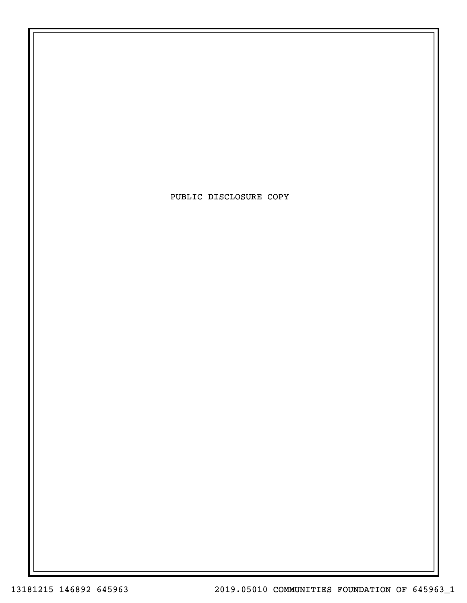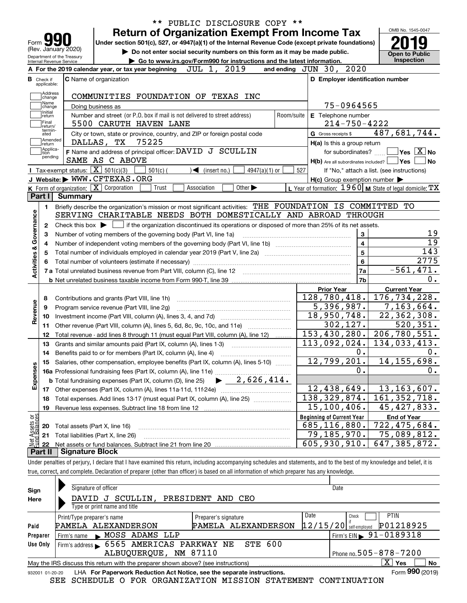|                                                          | PUBLIC DISCLOSURE COPY **<br>$\star\star$                                                                                                                                  |            |                                                                       |                             |
|----------------------------------------------------------|----------------------------------------------------------------------------------------------------------------------------------------------------------------------------|------------|-----------------------------------------------------------------------|-----------------------------|
|                                                          | <b>Return of Organization Exempt From Income Tax</b>                                                                                                                       |            |                                                                       | OMB No. 1545-0047           |
|                                                          | Under section 501(c), 527, or 4947(a)(1) of the Internal Revenue Code (except private foundations)                                                                         |            |                                                                       |                             |
| (Rev. January 2020)<br>Department of the Treasury        | Do not enter social security numbers on this form as it may be made public.                                                                                                |            |                                                                       | <b>Open to Public</b>       |
| Internal Revenue Service                                 | Go to www.irs.gov/Form990 for instructions and the latest information.                                                                                                     |            |                                                                       | Inspection                  |
|                                                          | A For the 2019 calendar year, or tax year beginning<br>JUL 1, 2019                                                                                                         |            | and ending JUN 30, 2020                                               |                             |
| <b>C</b> Name of organization                            |                                                                                                                                                                            |            | D Employer identification number                                      |                             |
|                                                          |                                                                                                                                                                            |            |                                                                       |                             |
|                                                          | COMMUNITIES FOUNDATION OF TEXAS INC                                                                                                                                        |            |                                                                       |                             |
| Doing business as                                        |                                                                                                                                                                            |            | 75-0964565                                                            |                             |
|                                                          | Number and street (or P.O. box if mail is not delivered to street address)                                                                                                 | Room/suite | E Telephone number                                                    |                             |
|                                                          | 5500 CARUTH HAVEN LANE                                                                                                                                                     |            | $214 - 750 - 4222$                                                    | 487,681,744.                |
| DALLAS, TX                                               | City or town, state or province, country, and ZIP or foreign postal code<br>75225                                                                                          |            | G Gross receipts \$                                                   |                             |
|                                                          | F Name and address of principal officer: DAVID J SCULLIN                                                                                                                   |            | H(a) Is this a group return                                           | ∣Yes ∣X∣No                  |
|                                                          | SAME AS C ABOVE                                                                                                                                                            |            | for subordinates?<br>$H(b)$ Are all subordinates included? $\Box$ Yes |                             |
| Tax-exempt status: $\boxed{\mathbf{X}}$ 501(c)(3)        | $501(c)$ (<br>4947(a)(1) or<br>$\blacktriangleleft$ (insert no.)                                                                                                           | 527        | If "No," attach a list. (see instructions)                            |                             |
|                                                          | J Website: WWW.CFTEXAS.ORG                                                                                                                                                 |            | $H(c)$ Group exemption number $\blacktriangleright$                   |                             |
| K Form of organization: $\boxed{\mathbf{X}}$ Corporation | Trust<br>Association<br>Other $\blacktriangleright$                                                                                                                        |            | L Year of formation: $1960$ M State of legal domicile: TX             |                             |
| Summary                                                  |                                                                                                                                                                            |            |                                                                       |                             |
|                                                          | Briefly describe the organization's mission or most significant activities: THE FOUNDATION IS COMMITTED                                                                    |            |                                                                       | TО                          |
|                                                          | SERVING CHARITABLE NEEDS BOTH DOMESTICALLY AND ABROAD THROUGH                                                                                                              |            |                                                                       |                             |
|                                                          | Check this box $\blacktriangleright$ $\blacksquare$ if the organization discontinued its operations or disposed of more than 25% of its net assets.                        |            |                                                                       |                             |
|                                                          | Number of voting members of the governing body (Part VI, line 1a)                                                                                                          |            | 3                                                                     |                             |
|                                                          |                                                                                                                                                                            |            | $\overline{\mathbf{4}}$                                               |                             |
|                                                          | Total number of individuals employed in calendar year 2019 (Part V, line 2a) manufacture controller to intervent                                                           |            | $\overline{5}$                                                        | 143                         |
|                                                          |                                                                                                                                                                            |            | $6\phantom{a}$                                                        | 2775                        |
|                                                          | 7 a Total unrelated business revenue from Part VIII, column (C), line 12 [11] [12] [11] [12] [11] [11] [12] [1                                                             |            | <b>7a</b>                                                             | $-561,471.$                 |
|                                                          |                                                                                                                                                                            |            | 7b                                                                    |                             |
|                                                          |                                                                                                                                                                            |            | <b>Prior Year</b>                                                     | <b>Current Year</b>         |
|                                                          | Contributions and grants (Part VIII, line 1h)                                                                                                                              |            | 128,780,418.                                                          | 176, 734, 228.              |
|                                                          | Program service revenue (Part VIII, line 2g)                                                                                                                               |            | 5,396,987.                                                            | 7,163,664.                  |
|                                                          |                                                                                                                                                                            |            | 18,950,748.                                                           | $\overline{22}$ , 362, 308. |
|                                                          | Other revenue (Part VIII, column (A), lines 5, 6d, 8c, 9c, 10c, and 11e)                                                                                                   |            | 302, 127.                                                             | $\overline{520}$ , 351.     |
|                                                          | Total revenue - add lines 8 through 11 (must equal Part VIII, column (A), line 12)                                                                                         |            | 153,430,280.                                                          | 206,780,551.                |
|                                                          | Grants and similar amounts paid (Part IX, column (A), lines 1-3)                                                                                                           |            | 113,092,024.                                                          | 134,033,413.                |
|                                                          | Benefits paid to or for members (Part IX, column (A), line 4)                                                                                                              |            | 0.                                                                    |                             |
|                                                          | 15 Salaries, other compensation, employee benefits (Part IX, column (A), lines 5-10)                                                                                       |            | 12,799,201.                                                           | 14, 155, 698.               |
|                                                          |                                                                                                                                                                            |            | 0.                                                                    |                             |
|                                                          |                                                                                                                                                                            |            |                                                                       |                             |
|                                                          |                                                                                                                                                                            |            | 12,438,649.                                                           | 13, 163, 607.               |
|                                                          | Total expenses. Add lines 13-17 (must equal Part IX, column (A), line 25)                                                                                                  |            | 138,329,874.                                                          | 161, 352, 718.              |
|                                                          | Revenue less expenses. Subtract line 18 from line 12                                                                                                                       |            | $\overline{15,100,406}$ .                                             | 45, 427, 833.               |
|                                                          |                                                                                                                                                                            |            | <b>Beginning of Current Year</b>                                      | <b>End of Year</b>          |
| Total assets (Part X, line 16)                           |                                                                                                                                                                            |            |                                                                       | 722,475,684.                |
| Total liabilities (Part X, line 26)                      |                                                                                                                                                                            |            |                                                                       | 75,089,812.                 |
|                                                          |                                                                                                                                                                            |            |                                                                       | 647, 385, 872.              |
|                                                          |                                                                                                                                                                            |            |                                                                       |                             |
| <b>Signature Block</b>                                   | Under penalties of perjury, I declare that I have examined this return, including accompanying schedules and statements, and to the best of my knowledge and belief, it is |            | 685, 116, 880.<br>79,185,970.<br>605,930,910.                         |                             |

true, correct, and complete. Declaration of preparer (other than officer) is based on all information of which preparer has any knowledge.

| Sign            | Signature of officer                                                              |                      | Date                                        |
|-----------------|-----------------------------------------------------------------------------------|----------------------|---------------------------------------------|
| Here            | SCULLIN, PRESIDENT AND CEO<br>DAVID<br>J                                          |                      |                                             |
|                 | Type or print name and title                                                      |                      |                                             |
|                 | Print/Type preparer's name                                                        | Preparer's signature | Date<br><b>PTIN</b><br>Check                |
| Paid            | PAMELA ALEXANDERSON                                                               | PAMELA ALEXANDERSON  | P01218925<br>12/15/20<br>self-employed      |
| Preparer        | Firm's name MOSS ADAMS LLP                                                        |                      | $^1$ Firm's EIN $\triangleright$ 91-0189318 |
| Use Only        | Firm's address 6565 AMERICAS PARKWAY NE                                           | <b>STE 600</b>       |                                             |
|                 | ALBUQUERQUE, NM 87110                                                             |                      | Phone no. $505 - 878 - 7200$                |
|                 | May the IRS discuss this return with the preparer shown above? (see instructions) |                      | $\overline{X}$ Yes<br><b>No</b>             |
| 932001 01-20-20 | LHA For Paperwork Reduction Act Notice, see the separate instructions.            |                      | Form 990 (2019)                             |

SEE SCHEDULE O FOR ORGANIZATION MISSION STATEMENT CONTINUATION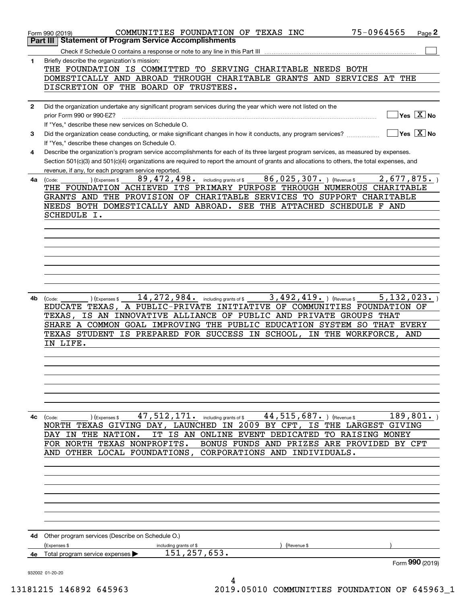|              | 75-0964565<br>COMMUNITIES FOUNDATION OF TEXAS INC<br>Page 2<br>Form 990 (2019)<br><b>Statement of Program Service Accomplishments</b><br>Part III |
|--------------|---------------------------------------------------------------------------------------------------------------------------------------------------|
|              |                                                                                                                                                   |
|              |                                                                                                                                                   |
| 1            | Briefly describe the organization's mission:                                                                                                      |
|              | THE FOUNDATION IS COMMITTED TO SERVING CHARITABLE NEEDS BOTH                                                                                      |
|              | DOMESTICALLY AND ABROAD THROUGH CHARITABLE GRANTS AND SERVICES AT<br>THE                                                                          |
|              | DISCRETION OF THE BOARD OF TRUSTEES.                                                                                                              |
|              |                                                                                                                                                   |
|              |                                                                                                                                                   |
| $\mathbf{2}$ | Did the organization undertake any significant program services during the year which were not listed on the                                      |
|              | $\sqrt{}$ Yes $\sqrt{}$ X $\sqrt{}$ No<br>prior Form 990 or 990-EZ?                                                                               |
|              | If "Yes," describe these new services on Schedule O.                                                                                              |
|              | $\overline{\ }$ Yes $\overline{\phantom{X}}$ No                                                                                                   |
| 3            | Did the organization cease conducting, or make significant changes in how it conducts, any program services?                                      |
|              | If "Yes," describe these changes on Schedule O.                                                                                                   |
| 4            | Describe the organization's program service accomplishments for each of its three largest program services, as measured by expenses.              |
|              | Section 501(c)(3) and 501(c)(4) organizations are required to report the amount of grants and allocations to others, the total expenses, and      |
|              |                                                                                                                                                   |
|              | revenue, if any, for each program service reported.                                                                                               |
| 4a           | 86,025,307. ) (Revenue \$<br>2,677,875.<br>89,472,498.<br>including grants of \$<br>(Expenses \$<br>(Code:                                        |
|              | THE FOUNDATION ACHIEVED ITS PRIMARY PURPOSE THROUGH NUMEROUS CHARITABLE                                                                           |
|              | GRANTS AND THE PROVISION OF CHARITABLE<br>SERVICES TO SUPPORT CHARITABLE                                                                          |
|              | NEEDS BOTH DOMESTICALLY AND ABROAD. SEE THE ATTACHED SCHEDULE<br>F AND                                                                            |
|              |                                                                                                                                                   |
|              | SCHEDULE I.                                                                                                                                       |
|              |                                                                                                                                                   |
|              |                                                                                                                                                   |
|              |                                                                                                                                                   |
|              |                                                                                                                                                   |
|              |                                                                                                                                                   |
|              |                                                                                                                                                   |
|              |                                                                                                                                                   |
|              |                                                                                                                                                   |
|              |                                                                                                                                                   |
|              |                                                                                                                                                   |
| 4b           | 14, 272, 984.<br>3,492,419. ) (Revenue \$<br>5, 132, 023.<br>(Expenses \$<br>including grants of \$<br>(Code:                                     |
|              | INITIATIVE OF COMMUNITIES FOUNDATION OF<br>EDUCATE TEXAS, A PUBLIC-PRIVATE                                                                        |
|              | INNOVATIVE ALLIANCE OF PUBLIC AND PRIVATE GROUPS THAT<br>IS AN<br>TEXAS,                                                                          |
|              |                                                                                                                                                   |
|              | SHARE A COMMON GOAL IMPROVING THE PUBLIC EDUCATION SYSTEM SO THAT EVERY                                                                           |
|              | TEXAS STUDENT IS PREPARED FOR SUCCESS IN SCHOOL,<br>IN THE WORKFORCE,<br>AND                                                                      |
|              | IN LIFE.                                                                                                                                          |
|              |                                                                                                                                                   |
|              |                                                                                                                                                   |
|              |                                                                                                                                                   |
|              |                                                                                                                                                   |
|              |                                                                                                                                                   |
|              |                                                                                                                                                   |
|              |                                                                                                                                                   |
|              |                                                                                                                                                   |
|              |                                                                                                                                                   |
| 4c           | 47,512,171.<br>189, 801.<br>44, 515, 687. ) (Revenue \$<br>including grants of \$<br>(Expenses \$<br>(Code:                                       |
|              | TEXAS GIVING DAY, LAUNCHED IN 2009 BY CFT, IS THE LARGEST GIVING<br>NORTH                                                                         |
|              |                                                                                                                                                   |
|              | IS AN ONLINE EVENT DEDICATED TO RAISING MONEY<br>IN THE NATION.<br>IT<br>DAY                                                                      |
|              | FOR NORTH TEXAS NONPROFITS.<br>BONUS FUNDS AND PRIZES ARE PROVIDED BY CFT                                                                         |
|              | AND OTHER LOCAL FOUNDATIONS,<br>CORPORATIONS AND INDIVIDUALS.                                                                                     |
|              |                                                                                                                                                   |
|              |                                                                                                                                                   |
|              |                                                                                                                                                   |
|              |                                                                                                                                                   |
|              |                                                                                                                                                   |
|              |                                                                                                                                                   |
|              |                                                                                                                                                   |
|              |                                                                                                                                                   |
|              |                                                                                                                                                   |
|              |                                                                                                                                                   |
| 4d           |                                                                                                                                                   |
|              | Other program services (Describe on Schedule O.)                                                                                                  |
|              | (Expenses \$<br>including grants of \$<br>Revenue \$                                                                                              |
| 4е           | 151, 257, 653.<br>Total program service expenses                                                                                                  |
|              | Form 990 (2019)                                                                                                                                   |
|              | 932002 01-20-20                                                                                                                                   |
|              | 4                                                                                                                                                 |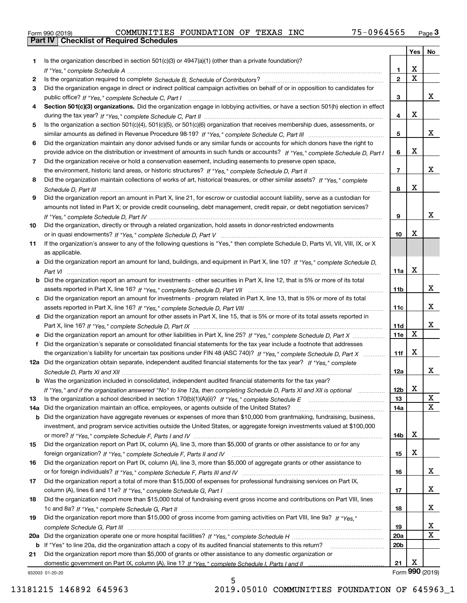|  | Form 990 (2019) |  |
|--|-----------------|--|

|     |                                                                                                                                                 |                 | Yes                     | No              |
|-----|-------------------------------------------------------------------------------------------------------------------------------------------------|-----------------|-------------------------|-----------------|
| 1   | Is the organization described in section $501(c)(3)$ or $4947(a)(1)$ (other than a private foundation)?                                         |                 |                         |                 |
|     |                                                                                                                                                 | 1.              | X                       |                 |
| 2   |                                                                                                                                                 | $\overline{2}$  | $\overline{\mathbf{x}}$ |                 |
| 3   | Did the organization engage in direct or indirect political campaign activities on behalf of or in opposition to candidates for                 |                 |                         |                 |
|     |                                                                                                                                                 | 3               |                         | X.              |
| 4   | Section 501(c)(3) organizations. Did the organization engage in lobbying activities, or have a section 501(h) election in effect                |                 |                         |                 |
|     |                                                                                                                                                 | 4               | X                       |                 |
| 5   | Is the organization a section 501(c)(4), 501(c)(5), or 501(c)(6) organization that receives membership dues, assessments, or                    |                 |                         |                 |
|     |                                                                                                                                                 | 5               |                         | x               |
| 6   | Did the organization maintain any donor advised funds or any similar funds or accounts for which donors have the right to                       |                 |                         |                 |
|     | provide advice on the distribution or investment of amounts in such funds or accounts? If "Yes," complete Schedule D, Part I                    | 6               | X                       |                 |
| 7   | Did the organization receive or hold a conservation easement, including easements to preserve open space,                                       |                 |                         |                 |
|     |                                                                                                                                                 | $\overline{7}$  |                         | x               |
| 8   | Did the organization maintain collections of works of art, historical treasures, or other similar assets? If "Yes," complete                    |                 | Х                       |                 |
|     |                                                                                                                                                 | 8               |                         |                 |
| 9   | Did the organization report an amount in Part X, line 21, for escrow or custodial account liability, serve as a custodian for                   |                 |                         |                 |
|     | amounts not listed in Part X; or provide credit counseling, debt management, credit repair, or debt negotiation services?                       |                 |                         | x               |
|     |                                                                                                                                                 | 9               |                         |                 |
| 10  | Did the organization, directly or through a related organization, hold assets in donor-restricted endowments                                    | 10              | Х                       |                 |
|     | If the organization's answer to any of the following questions is "Yes," then complete Schedule D, Parts VI, VII, VIII, IX, or X                |                 |                         |                 |
| 11  |                                                                                                                                                 |                 |                         |                 |
|     | as applicable.<br>a Did the organization report an amount for land, buildings, and equipment in Part X, line 10? If "Yes," complete Schedule D, |                 |                         |                 |
|     |                                                                                                                                                 | 11a             | X                       |                 |
| b   | Did the organization report an amount for investments - other securities in Part X, line 12, that is 5% or more of its total                    |                 |                         |                 |
|     |                                                                                                                                                 | 11 <sub>b</sub> |                         | x               |
| c   | Did the organization report an amount for investments - program related in Part X, line 13, that is 5% or more of its total                     |                 |                         |                 |
|     |                                                                                                                                                 | 11c             |                         | X.              |
|     | d Did the organization report an amount for other assets in Part X, line 15, that is 5% or more of its total assets reported in                 |                 |                         |                 |
|     |                                                                                                                                                 | 11d             |                         | X.              |
|     | e Did the organization report an amount for other liabilities in Part X, line 25? If "Yes," complete Schedule D, Part X                         | 11e             | $\mathbf X$             |                 |
| f   | Did the organization's separate or consolidated financial statements for the tax year include a footnote that addresses                         |                 |                         |                 |
|     | the organization's liability for uncertain tax positions under FIN 48 (ASC 740)? If "Yes," complete Schedule D, Part X                          | 11f             | х                       |                 |
|     | 12a Did the organization obtain separate, independent audited financial statements for the tax year? If "Yes," complete                         |                 |                         |                 |
|     |                                                                                                                                                 | 12a             |                         | X.              |
|     | <b>b</b> Was the organization included in consolidated, independent audited financial statements for the tax year?                              |                 |                         |                 |
|     | If "Yes," and if the organization answered "No" to line 12a, then completing Schedule D, Parts XI and XII is optional                           | 12b             | X                       |                 |
| 13  |                                                                                                                                                 | 13              |                         | х               |
| 14a | Did the organization maintain an office, employees, or agents outside of the United States?                                                     | 14a             |                         | х               |
| b   | Did the organization have aggregate revenues or expenses of more than \$10,000 from grantmaking, fundraising, business,                         |                 |                         |                 |
|     | investment, and program service activities outside the United States, or aggregate foreign investments valued at \$100,000                      |                 |                         |                 |
|     |                                                                                                                                                 | 14b             | x                       |                 |
| 15  | Did the organization report on Part IX, column (A), line 3, more than \$5,000 of grants or other assistance to or for any                       |                 |                         |                 |
|     |                                                                                                                                                 | 15              | X                       |                 |
| 16  | Did the organization report on Part IX, column (A), line 3, more than \$5,000 of aggregate grants or other assistance to                        |                 |                         |                 |
|     |                                                                                                                                                 | 16              |                         | x               |
| 17  | Did the organization report a total of more than \$15,000 of expenses for professional fundraising services on Part IX,                         |                 |                         |                 |
|     |                                                                                                                                                 | 17              |                         | x               |
| 18  | Did the organization report more than \$15,000 total of fundraising event gross income and contributions on Part VIII, lines                    |                 |                         |                 |
|     |                                                                                                                                                 | 18              |                         | x               |
| 19  | Did the organization report more than \$15,000 of gross income from gaming activities on Part VIII, line 9a? If "Yes."                          |                 |                         |                 |
|     |                                                                                                                                                 | 19              |                         | X               |
| 20a |                                                                                                                                                 | <b>20a</b>      |                         | х               |
| b   | If "Yes" to line 20a, did the organization attach a copy of its audited financial statements to this return?                                    | 20 <sub>b</sub> |                         |                 |
| 21  | Did the organization report more than \$5,000 of grants or other assistance to any domestic organization or                                     |                 |                         |                 |
|     |                                                                                                                                                 | 21              | х                       |                 |
|     | 932003 01-20-20                                                                                                                                 |                 |                         | Form 990 (2019) |

932003 01-20-20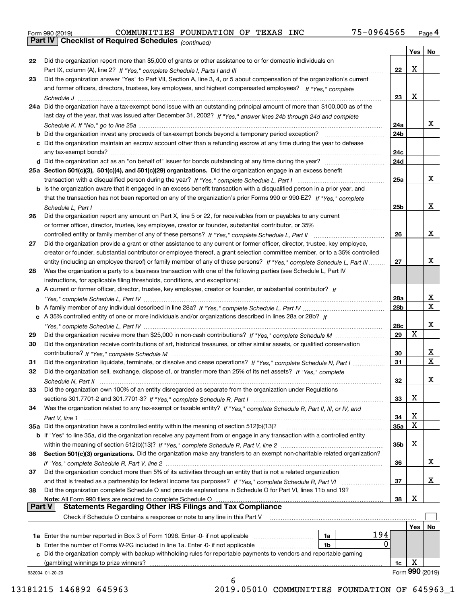|  | Form 990 (2019) |  |
|--|-----------------|--|

*(continued)*

|               |                                                                                                                                    |            | Yes | No                      |
|---------------|------------------------------------------------------------------------------------------------------------------------------------|------------|-----|-------------------------|
| 22            | Did the organization report more than \$5,000 of grants or other assistance to or for domestic individuals on                      |            |     |                         |
|               |                                                                                                                                    | 22         | X   |                         |
| 23            | Did the organization answer "Yes" to Part VII, Section A, line 3, 4, or 5 about compensation of the organization's current         |            |     |                         |
|               | and former officers, directors, trustees, key employees, and highest compensated employees? If "Yes," complete                     |            |     |                         |
|               |                                                                                                                                    | 23         | X   |                         |
|               | 24a Did the organization have a tax-exempt bond issue with an outstanding principal amount of more than \$100,000 as of the        |            |     |                         |
|               | last day of the year, that was issued after December 31, 2002? If "Yes," answer lines 24b through 24d and complete                 |            |     |                         |
|               |                                                                                                                                    | 24a        |     | x                       |
|               | <b>b</b> Did the organization invest any proceeds of tax-exempt bonds beyond a temporary period exception?                         | 24b        |     |                         |
|               | c Did the organization maintain an escrow account other than a refunding escrow at any time during the year to defease             |            |     |                         |
|               |                                                                                                                                    | 24c        |     |                         |
|               |                                                                                                                                    | 24d        |     |                         |
|               | 25a Section 501(c)(3), 501(c)(4), and 501(c)(29) organizations. Did the organization engage in an excess benefit                   |            |     |                         |
|               |                                                                                                                                    | 25a        |     | x                       |
|               | b Is the organization aware that it engaged in an excess benefit transaction with a disqualified person in a prior year, and       |            |     |                         |
|               | that the transaction has not been reported on any of the organization's prior Forms 990 or 990-EZ? If "Yes," complete              |            |     |                         |
|               | Schedule L. Part I                                                                                                                 | 25b        |     | X                       |
| 26            | Did the organization report any amount on Part X, line 5 or 22, for receivables from or payables to any current                    |            |     |                         |
|               | or former officer, director, trustee, key employee, creator or founder, substantial contributor, or 35%                            |            |     |                         |
|               |                                                                                                                                    | 26         |     | x                       |
| 27            | Did the organization provide a grant or other assistance to any current or former officer, director, trustee, key employee,        |            |     |                         |
|               | creator or founder, substantial contributor or employee thereof, a grant selection committee member, or to a 35% controlled        |            |     |                         |
|               | entity (including an employee thereof) or family member of any of these persons? If "Yes," complete Schedule L, Part III           | 27         |     | x                       |
| 28            | Was the organization a party to a business transaction with one of the following parties (see Schedule L, Part IV                  |            |     |                         |
|               | instructions, for applicable filing thresholds, conditions, and exceptions):                                                       |            |     |                         |
|               | a A current or former officer, director, trustee, key employee, creator or founder, or substantial contributor? If                 |            |     |                         |
|               |                                                                                                                                    | 28a        |     | x                       |
|               |                                                                                                                                    | 28b        |     | $\overline{\text{x}}$   |
|               | c A 35% controlled entity of one or more individuals and/or organizations described in lines 28a or 28b? If                        |            |     |                         |
|               |                                                                                                                                    | 28c        |     | x                       |
| 29            |                                                                                                                                    | 29         | X   |                         |
| 30            | Did the organization receive contributions of art, historical treasures, or other similar assets, or qualified conservation        |            |     |                         |
|               |                                                                                                                                    | 30         |     | х                       |
| 31            | Did the organization liquidate, terminate, or dissolve and cease operations? If "Yes," complete Schedule N, Part I                 | 31         |     | $\overline{\mathbf{x}}$ |
| 32            | Did the organization sell, exchange, dispose of, or transfer more than 25% of its net assets? If "Yes," complete                   |            |     |                         |
|               |                                                                                                                                    | 32         |     | х                       |
| 33            | Did the organization own 100% of an entity disregarded as separate from the organization under Regulations                         |            |     |                         |
|               |                                                                                                                                    | 33         | Χ   |                         |
| 34            | Was the organization related to any tax-exempt or taxable entity? If "Yes," complete Schedule R, Part II, III, or IV, and          |            |     |                         |
|               |                                                                                                                                    | 34         | X   |                         |
|               | 35a Did the organization have a controlled entity within the meaning of section 512(b)(13)?                                        | <b>35a</b> | X   |                         |
|               | <b>b</b> If "Yes" to line 35a, did the organization receive any payment from or engage in any transaction with a controlled entity |            |     |                         |
|               |                                                                                                                                    | 35b        | X   |                         |
| 36            | Section 501(c)(3) organizations. Did the organization make any transfers to an exempt non-charitable related organization?         |            |     |                         |
|               |                                                                                                                                    | 36         |     | x                       |
| 37            | Did the organization conduct more than 5% of its activities through an entity that is not a related organization                   |            |     |                         |
|               | and that is treated as a partnership for federal income tax purposes? If "Yes," complete Schedule R, Part VI                       | 37         |     | x                       |
| 38            | Did the organization complete Schedule O and provide explanations in Schedule O for Part VI, lines 11b and 19?                     |            |     |                         |
|               | Note: All Form 990 filers are required to complete Schedule O                                                                      | 38         | X   |                         |
| <b>Part V</b> | <b>Statements Regarding Other IRS Filings and Tax Compliance</b>                                                                   |            |     |                         |
|               | Check if Schedule O contains a response or note to any line in this Part V                                                         |            |     |                         |
|               |                                                                                                                                    |            | Yes | No                      |
|               | 194<br>1a Enter the number reported in Box 3 of Form 1096. Enter -0- if not applicable<br>1a                                       |            |     |                         |
|               | 0<br><b>b</b> Enter the number of Forms W-2G included in line 1a. Enter -0- if not applicable<br>1b                                |            |     |                         |
|               | c Did the organization comply with backup withholding rules for reportable payments to vendors and reportable gaming               |            |     |                         |
|               | (gambling) winnings to prize winners?                                                                                              | 1c         | х   |                         |
|               | 932004 01-20-20                                                                                                                    |            |     | Form 990 (2019)         |
|               | 6                                                                                                                                  |            |     |                         |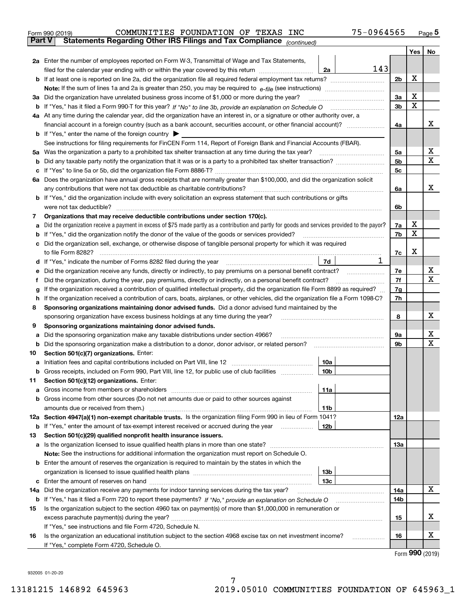| Form 990 (2019) | COMMUNITIES FOUNDATION OF TEXAS INC                                                            |  |  | 75-0964565 | Page 5 |
|-----------------|------------------------------------------------------------------------------------------------|--|--|------------|--------|
|                 | <b>Part V</b> Statements Regarding Other IRS Filings and Tax Compliance <sub>(continued)</sub> |  |  |            |        |

| Part V | Statements Regarding Other IRS Fillings and Tax Compilance $_{(continued)}$                                                                                                                                                                |                |        |    |
|--------|--------------------------------------------------------------------------------------------------------------------------------------------------------------------------------------------------------------------------------------------|----------------|--------|----|
|        |                                                                                                                                                                                                                                            |                | Yes    | No |
|        | 2a Enter the number of employees reported on Form W-3, Transmittal of Wage and Tax Statements,                                                                                                                                             |                |        |    |
|        | 143<br>filed for the calendar year ending with or within the year covered by this return<br>2a                                                                                                                                             |                |        |    |
|        |                                                                                                                                                                                                                                            | 2 <sub>b</sub> | X      |    |
|        |                                                                                                                                                                                                                                            |                |        |    |
|        | 3a Did the organization have unrelated business gross income of \$1,000 or more during the year?                                                                                                                                           | За             | X      |    |
|        | b If "Yes," has it filed a Form 990-T for this year? If "No" to line 3b, provide an explanation on Schedule O                                                                                                                              | 3b             | X      |    |
|        | 4a At any time during the calendar year, did the organization have an interest in, or a signature or other authority over, a                                                                                                               |                |        |    |
|        |                                                                                                                                                                                                                                            | 4a             |        | х  |
|        | <b>b</b> If "Yes," enter the name of the foreign country                                                                                                                                                                                   |                |        |    |
|        | See instructions for filing requirements for FinCEN Form 114, Report of Foreign Bank and Financial Accounts (FBAR).                                                                                                                        |                |        |    |
|        | 5a Was the organization a party to a prohibited tax shelter transaction at any time during the tax year?                                                                                                                                   | 5a             |        | х  |
|        |                                                                                                                                                                                                                                            | 5b             |        | X  |
|        |                                                                                                                                                                                                                                            | 5c             |        |    |
|        | 6a Does the organization have annual gross receipts that are normally greater than \$100,000, and did the organization solicit                                                                                                             |                |        |    |
|        | any contributions that were not tax deductible as charitable contributions?                                                                                                                                                                | 6a             |        | х  |
|        | <b>b</b> If "Yes," did the organization include with every solicitation an express statement that such contributions or gifts                                                                                                              |                |        |    |
|        | were not tax deductible?                                                                                                                                                                                                                   | 6b             |        |    |
| 7      | Organizations that may receive deductible contributions under section 170(c).                                                                                                                                                              |                |        |    |
| а      | Did the organization receive a payment in excess of \$75 made partly as a contribution and partly for goods and services provided to the payor?                                                                                            | 7a             | х<br>х |    |
| b      | If "Yes," did the organization notify the donor of the value of the goods or services provided?                                                                                                                                            | 7b             |        |    |
|        | c Did the organization sell, exchange, or otherwise dispose of tangible personal property for which it was required                                                                                                                        |                |        |    |
|        | to file Form 8282?<br>1                                                                                                                                                                                                                    | 7c             | x      |    |
|        | 7d<br>d If "Yes," indicate the number of Forms 8282 filed during the year                                                                                                                                                                  |                |        | х  |
| е      | Did the organization receive any funds, directly or indirectly, to pay premiums on a personal benefit contract?                                                                                                                            | 7е             |        | X  |
| f      | Did the organization, during the year, pay premiums, directly or indirectly, on a personal benefit contract?                                                                                                                               | 7f             |        |    |
| g      | If the organization received a contribution of qualified intellectual property, did the organization file Form 8899 as required?                                                                                                           | 7g             |        |    |
| h      | If the organization received a contribution of cars, boats, airplanes, or other vehicles, did the organization file a Form 1098-C?<br>Sponsoring organizations maintaining donor advised funds. Did a donor advised fund maintained by the | 7h             |        |    |
| 8      | sponsoring organization have excess business holdings at any time during the year?                                                                                                                                                         | 8              |        | х  |
| 9      | Sponsoring organizations maintaining donor advised funds.                                                                                                                                                                                  |                |        |    |
| а      | Did the sponsoring organization make any taxable distributions under section 4966?                                                                                                                                                         | 9а             |        | х  |
|        | <b>b</b> Did the sponsoring organization make a distribution to a donor, donor advisor, or related person?                                                                                                                                 | 9b             |        | х  |
| 10     | Section 501(c)(7) organizations. Enter:                                                                                                                                                                                                    |                |        |    |
| а      | Initiation fees and capital contributions included on Part VIII, line 12<br>10a                                                                                                                                                            |                |        |    |
|        | b Gross receipts, included on Form 990, Part VIII, line 12, for public use of club facilities<br>10 <sub>b</sub>                                                                                                                           |                |        |    |
| 11.    | Section 501(c)(12) organizations. Enter:                                                                                                                                                                                                   |                |        |    |
|        | 11a                                                                                                                                                                                                                                        |                |        |    |
|        | <b>b</b> Gross income from other sources (Do not net amounts due or paid to other sources against                                                                                                                                          |                |        |    |
|        | 11b                                                                                                                                                                                                                                        |                |        |    |
|        | 12a Section 4947(a)(1) non-exempt charitable trusts. Is the organization filing Form 990 in lieu of Form 1041?                                                                                                                             | 12a            |        |    |
|        | 12b<br><b>b</b> If "Yes," enter the amount of tax-exempt interest received or accrued during the year                                                                                                                                      |                |        |    |
| 13     | Section 501(c)(29) qualified nonprofit health insurance issuers.                                                                                                                                                                           |                |        |    |
|        | a Is the organization licensed to issue qualified health plans in more than one state?                                                                                                                                                     | 13a            |        |    |
|        | Note: See the instructions for additional information the organization must report on Schedule O.                                                                                                                                          |                |        |    |
|        | <b>b</b> Enter the amount of reserves the organization is required to maintain by the states in which the                                                                                                                                  |                |        |    |
|        | 13 <sub>b</sub>                                                                                                                                                                                                                            |                |        |    |
|        | 13с                                                                                                                                                                                                                                        |                |        |    |
|        | 14a Did the organization receive any payments for indoor tanning services during the tax year?                                                                                                                                             | 14a            |        | x  |
|        |                                                                                                                                                                                                                                            | 14b            |        |    |
| 15     | Is the organization subject to the section 4960 tax on payment(s) of more than \$1,000,000 in remuneration or                                                                                                                              |                |        |    |
|        |                                                                                                                                                                                                                                            | 15             |        | х  |
|        | If "Yes," see instructions and file Form 4720, Schedule N.                                                                                                                                                                                 |                |        |    |
| 16     | Is the organization an educational institution subject to the section 4968 excise tax on net investment income?                                                                                                                            | 16             |        | х  |
|        | If "Yes," complete Form 4720, Schedule O.                                                                                                                                                                                                  |                |        |    |

Form (2019) **990**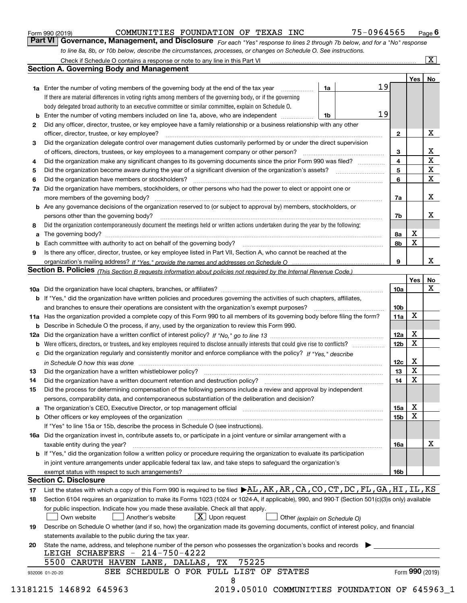| Form 990 (2019) |  |  |
|-----------------|--|--|
|                 |  |  |

| Form 990 (2019) | COMMUNITIES FOUNDATION OF TEXAS INC                                                                              |  |  | 75-0964565                                                                                                                  | $P_{\text{aqe}}$ 6 |
|-----------------|------------------------------------------------------------------------------------------------------------------|--|--|-----------------------------------------------------------------------------------------------------------------------------|--------------------|
|                 |                                                                                                                  |  |  | Part VI Governance, Management, and Disclosure For each "Yes" response to lines 2 through 7b below, and for a "No" response |                    |
|                 | to line 8a, 8b, or 10b below, describe the circumstances, processes, or changes on Schedule O. See instructions. |  |  |                                                                                                                             |                    |

|    |                                                                                                                                                                            |    |  |    |                 | Yes | No                      |  |  |
|----|----------------------------------------------------------------------------------------------------------------------------------------------------------------------------|----|--|----|-----------------|-----|-------------------------|--|--|
|    | <b>1a</b> Enter the number of voting members of the governing body at the end of the tax year                                                                              | 1a |  | 19 |                 |     |                         |  |  |
|    | If there are material differences in voting rights among members of the governing body, or if the governing                                                                |    |  |    |                 |     |                         |  |  |
|    | body delegated broad authority to an executive committee or similar committee, explain on Schedule O.                                                                      |    |  |    |                 |     |                         |  |  |
| b  | Enter the number of voting members included on line 1a, above, who are independent <i>manumum</i>                                                                          | 1b |  | 19 |                 |     |                         |  |  |
| 2  | Did any officer, director, trustee, or key employee have a family relationship or a business relationship with any other                                                   |    |  |    |                 |     |                         |  |  |
|    | officer, director, trustee, or key employee?                                                                                                                               |    |  |    | $\mathbf{2}$    |     | X                       |  |  |
| 3  | Did the organization delegate control over management duties customarily performed by or under the direct supervision                                                      |    |  |    |                 |     |                         |  |  |
|    |                                                                                                                                                                            |    |  |    | 3               |     | X                       |  |  |
| 4  | Did the organization make any significant changes to its governing documents since the prior Form 990 was filed?                                                           |    |  |    | 4               |     | $\overline{\mathbf{x}}$ |  |  |
| 5  |                                                                                                                                                                            |    |  |    | 5<br>6          |     | X<br>X                  |  |  |
| 6  | Did the organization have members or stockholders?                                                                                                                         |    |  |    |                 |     |                         |  |  |
| 7a | Did the organization have members, stockholders, or other persons who had the power to elect or appoint one or                                                             |    |  |    |                 |     |                         |  |  |
|    |                                                                                                                                                                            |    |  |    | 7a              |     | x                       |  |  |
|    | <b>b</b> Are any governance decisions of the organization reserved to (or subject to approval by) members, stockholders, or                                                |    |  |    |                 |     |                         |  |  |
|    | persons other than the governing body?                                                                                                                                     |    |  |    | 7b              |     | х                       |  |  |
| 8  | Did the organization contemporaneously document the meetings held or written actions undertaken during the year by the following:                                          |    |  |    |                 |     |                         |  |  |
| a  |                                                                                                                                                                            |    |  |    | 8a              | X   |                         |  |  |
| b  |                                                                                                                                                                            |    |  |    | 8b              | X   |                         |  |  |
| 9  | Is there any officer, director, trustee, or key employee listed in Part VII, Section A, who cannot be reached at the                                                       |    |  |    |                 |     |                         |  |  |
|    |                                                                                                                                                                            |    |  |    | 9               |     | x                       |  |  |
|    | <b>Section B. Policies</b> (This Section B requests information about policies not required by the Internal Revenue Code.)                                                 |    |  |    |                 |     |                         |  |  |
|    |                                                                                                                                                                            |    |  |    |                 | Yes | No                      |  |  |
|    |                                                                                                                                                                            |    |  |    | 10a             |     | X                       |  |  |
|    | <b>b</b> If "Yes," did the organization have written policies and procedures governing the activities of such chapters, affiliates,                                        |    |  |    |                 |     |                         |  |  |
|    |                                                                                                                                                                            |    |  |    | 10 <sub>b</sub> |     |                         |  |  |
|    | 11a Has the organization provided a complete copy of this Form 990 to all members of its governing body before filing the form?                                            |    |  |    | 11a             | X   |                         |  |  |
|    | <b>b</b> Describe in Schedule O the process, if any, used by the organization to review this Form 990.                                                                     |    |  |    |                 |     |                         |  |  |
|    |                                                                                                                                                                            |    |  |    | 12a             | X   |                         |  |  |
| b  |                                                                                                                                                                            |    |  |    | 12b             | X   |                         |  |  |
|    | c Did the organization regularly and consistently monitor and enforce compliance with the policy? If "Yes." describe                                                       |    |  |    |                 |     |                         |  |  |
|    | in Schedule O how this was done manufactured and continuum control of the state of the state of the state of t                                                             |    |  |    | 12c             | X   |                         |  |  |
| 13 |                                                                                                                                                                            |    |  |    | 13              | X   |                         |  |  |
| 14 | Did the organization have a written document retention and destruction policy? manufactured and the organization have a written document retention and destruction policy? |    |  |    | 14              | X   |                         |  |  |
| 15 | Did the process for determining compensation of the following persons include a review and approval by independent                                                         |    |  |    |                 |     |                         |  |  |
|    | persons, comparability data, and contemporaneous substantiation of the deliberation and decision?                                                                          |    |  |    |                 |     |                         |  |  |
|    |                                                                                                                                                                            |    |  |    |                 | X   |                         |  |  |
|    |                                                                                                                                                                            |    |  |    | 15a             | X   |                         |  |  |
|    |                                                                                                                                                                            |    |  |    | 15b             |     |                         |  |  |
|    | If "Yes" to line 15a or 15b, describe the process in Schedule O (see instructions).                                                                                        |    |  |    |                 |     |                         |  |  |
|    | 16a Did the organization invest in, contribute assets to, or participate in a joint venture or similar arrangement with a                                                  |    |  |    |                 |     | X                       |  |  |
|    | taxable entity during the year?                                                                                                                                            |    |  |    | 16a             |     |                         |  |  |
|    | b If "Yes," did the organization follow a written policy or procedure requiring the organization to evaluate its participation                                             |    |  |    |                 |     |                         |  |  |
|    | in joint venture arrangements under applicable federal tax law, and take steps to safeguard the organization's                                                             |    |  |    |                 |     |                         |  |  |
|    | exempt status with respect to such arrangements?                                                                                                                           |    |  |    | 16b             |     |                         |  |  |
|    | <b>Section C. Disclosure</b>                                                                                                                                               |    |  |    |                 |     |                         |  |  |
| 17 | List the states with which a copy of this Form 990 is required to be filed $\blacktriangleright$ AL, AR, CA, CO, CT, DC, FL, GA, HI, IL, KS                                |    |  |    |                 |     |                         |  |  |
| 18 | Section 6104 requires an organization to make its Forms 1023 (1024 or 1024-A, if applicable), 990, and 990-T (Section 501(c)(3)s only) available                           |    |  |    |                 |     |                         |  |  |
|    | for public inspection. Indicate how you made these available. Check all that apply.                                                                                        |    |  |    |                 |     |                         |  |  |
|    | $\boxed{\text{X}}$ Upon request<br>Another's website<br>Own website<br>Other (explain on Schedule O)                                                                       |    |  |    |                 |     |                         |  |  |
| 19 | Describe on Schedule O whether (and if so, how) the organization made its governing documents, conflict of interest policy, and financial                                  |    |  |    |                 |     |                         |  |  |
|    | statements available to the public during the tax year.                                                                                                                    |    |  |    |                 |     |                         |  |  |
| 20 | State the name, address, and telephone number of the person who possesses the organization's books and records                                                             |    |  |    |                 |     |                         |  |  |
|    | LEIGH SCHAEFERS - 214-750-4222                                                                                                                                             |    |  |    |                 |     |                         |  |  |
|    | 75225<br>5500 CARUTH HAVEN LANE, DALLAS,<br>TХ                                                                                                                             |    |  |    |                 |     |                         |  |  |
|    | SEE SCHEDULE O FOR FULL LIST OF STATES                                                                                                                                     |    |  |    |                 |     | Form 990 (2019)         |  |  |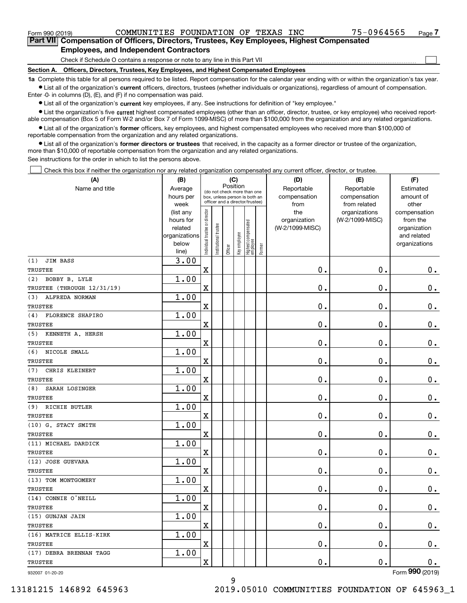<code>Form</code> 990 (2019) COMMUNITIES <code>FOUNDATION OF TEXAS INC</code> 75-0964565 <sub>Page</sub> **7Part VII Compensation of Officers, Directors, Trustees, Key Employees, Highest Compensated**

 $\mathcal{L}^{\text{max}}$ 

### **Employees, and Independent Contractors**

Check if Schedule O contains a response or note to any line in this Part VII

**Section A. Officers, Directors, Trustees, Key Employees, and Highest Compensated Employees**

**1a**  Complete this table for all persons required to be listed. Report compensation for the calendar year ending with or within the organization's tax year. **•** List all of the organization's current officers, directors, trustees (whether individuals or organizations), regardless of amount of compensation.

Enter -0- in columns (D), (E), and (F) if no compensation was paid.

 $\bullet$  List all of the organization's  $\,$ current key employees, if any. See instructions for definition of "key employee."

**•** List the organization's five current highest compensated employees (other than an officer, director, trustee, or key employee) who received reportable compensation (Box 5 of Form W-2 and/or Box 7 of Form 1099-MISC) of more than \$100,000 from the organization and any related organizations.

**•** List all of the organization's former officers, key employees, and highest compensated employees who received more than \$100,000 of reportable compensation from the organization and any related organizations.

**former directors or trustees**  ¥ List all of the organization's that received, in the capacity as a former director or trustee of the organization, more than \$10,000 of reportable compensation from the organization and any related organizations.

See instructions for the order in which to list the persons above.

Check this box if neither the organization nor any related organization compensated any current officer, director, or trustee.  $\mathcal{L}^{\text{max}}$ 

| (A)                        | (B)                      |                                |                                 | (C)      |              |                                  |        | (D)             | (E)             | (F)                         |
|----------------------------|--------------------------|--------------------------------|---------------------------------|----------|--------------|----------------------------------|--------|-----------------|-----------------|-----------------------------|
| Name and title             | Average                  |                                | (do not check more than one     | Position |              |                                  |        | Reportable      | Reportable      | Estimated                   |
|                            | hours per                |                                | box, unless person is both an   |          |              |                                  |        | compensation    | compensation    | amount of                   |
|                            | week                     |                                | officer and a director/trustee) |          |              |                                  |        | from            | from related    | other                       |
|                            | (list any                |                                |                                 |          |              |                                  |        | the             | organizations   | compensation                |
|                            | hours for                |                                |                                 |          |              |                                  |        | organization    | (W-2/1099-MISC) | from the                    |
|                            | related<br>organizations |                                |                                 |          |              |                                  |        | (W-2/1099-MISC) |                 | organization<br>and related |
|                            | below                    |                                |                                 |          |              |                                  |        |                 |                 | organizations               |
|                            | line)                    | Individual trustee or director | Institutional trustee           | Officer  | Key employee | Highest compensated<br> employee | Former |                 |                 |                             |
| <b>JIM BASS</b><br>(1)     | 3.00                     |                                |                                 |          |              |                                  |        |                 |                 |                             |
| <b>TRUSTEE</b>             |                          | $\overline{\mathbf{X}}$        |                                 |          |              |                                  |        | 0.              | 0.              | 0.                          |
| BOBBY B. LYLE<br>(2)       | 1.00                     |                                |                                 |          |              |                                  |        |                 |                 |                             |
| TRUSTEE (THROUGH 12/31/19) |                          | X                              |                                 |          |              |                                  |        | 0.              | 0.              | 0.                          |
| ALFREDA NORMAN<br>(3)      | 1.00                     |                                |                                 |          |              |                                  |        |                 |                 |                             |
| <b>TRUSTEE</b>             |                          | X                              |                                 |          |              |                                  |        | 0.              | 0.              | $0_{.}$                     |
| FLORENCE SHAPIRO<br>(4)    | 1.00                     |                                |                                 |          |              |                                  |        |                 |                 |                             |
| <b>TRUSTEE</b>             |                          | X                              |                                 |          |              |                                  |        | 0.              | 0.              | 0.                          |
| KENNETH A. HERSH<br>(5)    | 1.00                     |                                |                                 |          |              |                                  |        |                 |                 |                             |
| <b>TRUSTEE</b>             |                          | X                              |                                 |          |              |                                  |        | 0.              | 0.              | 0.                          |
| NICOLE SMALL<br>(6)        | 1.00                     |                                |                                 |          |              |                                  |        |                 |                 |                             |
| <b>TRUSTEE</b>             |                          | X                              |                                 |          |              |                                  |        | 0.              | 0.              | 0.                          |
| CHRIS KLEINERT<br>(7)      | 1.00                     |                                |                                 |          |              |                                  |        |                 |                 |                             |
| <b>TRUSTEE</b>             |                          | X                              |                                 |          |              |                                  |        | 0.              | 0.              | $\mathbf 0$ .               |
| (8)<br>SARAH LOSINGER      | 1.00                     |                                |                                 |          |              |                                  |        |                 |                 |                             |
| <b>TRUSTEE</b>             |                          | X                              |                                 |          |              |                                  |        | 0.              | 0.              | $\mathbf 0$ .               |
| RICHIE BUTLER<br>(9)       | 1.00                     |                                |                                 |          |              |                                  |        |                 |                 |                             |
| <b>TRUSTEE</b>             |                          | X                              |                                 |          |              |                                  |        | 0.              | 0.              | $\mathbf 0$ .               |
| (10) G. STACY SMITH        | 1.00                     |                                |                                 |          |              |                                  |        |                 |                 |                             |
| <b>TRUSTEE</b>             |                          | X                              |                                 |          |              |                                  |        | 0.              | 0.              | $\mathbf 0$ .               |
| (11) MICHAEL DARDICK       | 1.00                     |                                |                                 |          |              |                                  |        |                 |                 |                             |
| <b>TRUSTEE</b>             |                          | X                              |                                 |          |              |                                  |        | 0.              | 0.              | $\mathbf 0$ .               |
| (12) JOSE GUEVARA          | 1.00                     |                                |                                 |          |              |                                  |        |                 |                 |                             |
| <b>TRUSTEE</b>             |                          | X                              |                                 |          |              |                                  |        | 0.              | 0.              | $\mathbf 0$ .               |
| (13) TOM MONTGOMERY        | 1.00                     |                                |                                 |          |              |                                  |        |                 |                 |                             |
| <b>TRUSTEE</b>             |                          | X                              |                                 |          |              |                                  |        | 0.              | 0.              | $0$ .                       |
| (14) CONNIE O'NEILL        | 1.00                     |                                |                                 |          |              |                                  |        |                 |                 |                             |
| <b>TRUSTEE</b>             |                          | $\mathbf X$                    |                                 |          |              |                                  |        | 0.              | 0.              | 0.                          |
| (15) GUNJAN JAIN           | 1.00                     |                                |                                 |          |              |                                  |        |                 |                 |                             |
| TRUSTEE                    |                          | $\mathbf X$                    |                                 |          |              |                                  |        | $\mathbf 0$ .   | $\mathbf 0$ .   | 0.                          |
| (16) MATRICE ELLIS-KIRK    | 1.00                     |                                |                                 |          |              |                                  |        |                 |                 |                             |
| TRUSTEE                    |                          | $\mathbf X$                    |                                 |          |              |                                  |        | 0.              | $\mathbf 0$ .   | 0.                          |
| (17) DEBRA BRENNAN TAGG    | 1.00                     |                                |                                 |          |              |                                  |        |                 |                 |                             |
| TRUSTEE                    |                          | $\mathbf X$                    |                                 |          |              |                                  |        | 0.              | $\mathbf 0$ .   | 0.                          |
| 932007 01-20-20            |                          |                                |                                 |          |              |                                  |        |                 |                 | Form 990 (2019)             |

9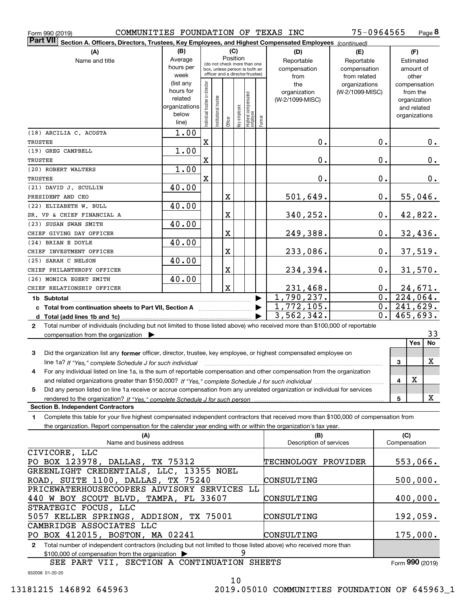| Form 990 (2019)                                                                                                                                      | COMMUNITIES FOUNDATION OF TEXAS INC |                               |                      |         |              |                                                                  |        |                                 | 75-0964565      |                     | Page 8                   |
|------------------------------------------------------------------------------------------------------------------------------------------------------|-------------------------------------|-------------------------------|----------------------|---------|--------------|------------------------------------------------------------------|--------|---------------------------------|-----------------|---------------------|--------------------------|
| <b>Part VII</b><br>Section A. Officers, Directors, Trustees, Key Employees, and Highest Compensated Employees (continued)                            |                                     |                               |                      |         |              |                                                                  |        |                                 |                 |                     |                          |
| (A)                                                                                                                                                  | (B)                                 |                               |                      |         | (C)          |                                                                  |        | (D)                             | (E)             |                     | (F)                      |
| Name and title                                                                                                                                       | Average                             |                               |                      |         | Position     | (do not check more than one                                      |        | Reportable                      | Reportable      |                     | Estimated                |
|                                                                                                                                                      | hours per                           |                               |                      |         |              | box, unless person is both an<br>officer and a director/trustee) |        | compensation                    | compensation    |                     | amount of                |
|                                                                                                                                                      | week                                |                               |                      |         |              |                                                                  |        | from                            | from related    |                     | other                    |
|                                                                                                                                                      | (list any<br>hours for              | ndividual trustee or director |                      |         |              |                                                                  |        | the                             | organizations   |                     | compensation             |
|                                                                                                                                                      | related                             |                               |                      |         |              |                                                                  |        | organization<br>(W-2/1099-MISC) | (W-2/1099-MISC) |                     | from the<br>organization |
|                                                                                                                                                      | organizations                       |                               |                      |         |              |                                                                  |        |                                 |                 |                     | and related              |
|                                                                                                                                                      | below                               |                               | nstitutional trustee |         |              |                                                                  |        |                                 |                 |                     | organizations            |
|                                                                                                                                                      | line)                               |                               |                      | Officer | Key employee | Highest compensated<br>employee                                  | Former |                                 |                 |                     |                          |
| (18) ARCILIA C. ACOSTA                                                                                                                               | 1.00                                |                               |                      |         |              |                                                                  |        |                                 |                 |                     |                          |
| TRUSTEE                                                                                                                                              |                                     | $\mathbf X$                   |                      |         |              |                                                                  |        | 0.                              | 0.              |                     | $0_{\cdot}$              |
| (19) GREG CAMPBELL                                                                                                                                   | 1.00                                |                               |                      |         |              |                                                                  |        |                                 |                 |                     |                          |
| TRUSTEE                                                                                                                                              |                                     | X                             |                      |         |              |                                                                  |        | 0.                              | 0.              |                     | $0_{.}$                  |
| (20) ROBERT WALTERS                                                                                                                                  | 1.00                                |                               |                      |         |              |                                                                  |        |                                 |                 |                     |                          |
| TRUSTEE                                                                                                                                              |                                     | X                             |                      |         |              |                                                                  |        | 0.                              | 0.              |                     | $0_{.}$                  |
| (21) DAVID J. SCULLIN                                                                                                                                | 40.00                               |                               |                      |         |              |                                                                  |        |                                 |                 |                     |                          |
| PRESIDENT AND CEO                                                                                                                                    |                                     |                               |                      | X       |              |                                                                  |        | 501,649.                        | 0.              |                     | 55,046.                  |
| (22) ELIZABETH W. BULL                                                                                                                               | 40.00                               |                               |                      |         |              |                                                                  |        |                                 |                 |                     |                          |
| SR. VP & CHIEF FINANCIAL A                                                                                                                           |                                     |                               |                      | X       |              |                                                                  |        | 340,252.                        | 0.              |                     | 42,822.                  |
| (23) SUSAN SWAN SMITH                                                                                                                                | 40.00                               |                               |                      |         |              |                                                                  |        |                                 |                 |                     |                          |
| CHIEF GIVING DAY OFFICER                                                                                                                             |                                     |                               |                      | X       |              |                                                                  |        | 249,388.                        | 0.              |                     | 32,436.                  |
| (24) BRIAN E DOYLE                                                                                                                                   | 40.00                               |                               |                      |         |              |                                                                  |        |                                 |                 |                     |                          |
| CHIEF INVESTMENT OFFICER                                                                                                                             |                                     |                               |                      | X       |              |                                                                  |        | 233,086.                        | 0.              |                     | 37,519.                  |
| (25) SARAH C NELSON                                                                                                                                  | 40.00                               |                               |                      |         |              |                                                                  |        |                                 |                 |                     |                          |
| CHIEF PHILANTHROPY OFFICER                                                                                                                           |                                     |                               |                      | X       |              |                                                                  |        | 234,394.                        | 0.              |                     | 31,570.                  |
| (26) MONICA EGERT SMITH                                                                                                                              | 40.00                               |                               |                      |         |              |                                                                  |        |                                 |                 |                     |                          |
| CHIEF RELATIONSHIP OFFICER                                                                                                                           |                                     |                               |                      | X       |              |                                                                  |        | 231,468.                        | $0$ .           |                     | 24,671.                  |
| 1b Subtotal                                                                                                                                          |                                     |                               |                      |         |              |                                                                  |        | 1,790,237.                      | 0.1             |                     | 224,064.                 |
|                                                                                                                                                      |                                     |                               |                      |         |              |                                                                  |        | 1,772,105.                      | 0.              |                     | 241,629.                 |
|                                                                                                                                                      |                                     |                               |                      |         |              |                                                                  |        | 3,562,342.                      | 0.              |                     | 465,693.                 |
| Total number of individuals (including but not limited to those listed above) who received more than \$100,000 of reportable<br>$\mathbf{2}$         |                                     |                               |                      |         |              |                                                                  |        |                                 |                 |                     |                          |
| compensation from the organization $\blacktriangleright$                                                                                             |                                     |                               |                      |         |              |                                                                  |        |                                 |                 |                     | 33                       |
|                                                                                                                                                      |                                     |                               |                      |         |              |                                                                  |        |                                 |                 |                     | <b>Yes</b><br>No         |
| 3<br>Did the organization list any former officer, director, trustee, key employee, or highest compensated employee on                               |                                     |                               |                      |         |              |                                                                  |        |                                 |                 |                     |                          |
| line 1a? If "Yes," complete Schedule J for such individual material content in the first of the New York of the                                      |                                     |                               |                      |         |              |                                                                  |        |                                 |                 | 3                   | x                        |
| 4<br>For any individual listed on line 1a, is the sum of reportable compensation and other compensation from the organization                        |                                     |                               |                      |         |              |                                                                  |        |                                 |                 |                     |                          |
|                                                                                                                                                      |                                     |                               |                      |         |              |                                                                  |        |                                 |                 | 4                   | X                        |
| Did any person listed on line 1a receive or accrue compensation from any unrelated organization or individual for services<br>5                      |                                     |                               |                      |         |              |                                                                  |        |                                 |                 |                     |                          |
|                                                                                                                                                      |                                     |                               |                      |         |              |                                                                  |        |                                 |                 | 5                   | X                        |
| <b>Section B. Independent Contractors</b>                                                                                                            |                                     |                               |                      |         |              |                                                                  |        |                                 |                 |                     |                          |
| Complete this table for your five highest compensated independent contractors that received more than \$100,000 of compensation from<br>$\mathbf{1}$ |                                     |                               |                      |         |              |                                                                  |        |                                 |                 |                     |                          |
| the organization. Report compensation for the calendar year ending with or within the organization's tax year.                                       |                                     |                               |                      |         |              |                                                                  |        |                                 |                 |                     |                          |
| (A)<br>Name and business address                                                                                                                     |                                     |                               |                      |         |              |                                                                  |        | (B)<br>Description of services  |                 | (C)<br>Compensation |                          |
| CIVICORE, LLC                                                                                                                                        |                                     |                               |                      |         |              |                                                                  |        |                                 |                 |                     |                          |
|                                                                                                                                                      |                                     |                               |                      |         |              |                                                                  |        | TECHNOLOGY PROVIDER             |                 |                     |                          |
| PO BOX 123978, DALLAS, TX 75312<br>GREENLIGHT CREDENTIALS, LLC, 13355 NOEL                                                                           |                                     |                               |                      |         |              |                                                                  |        |                                 |                 |                     | 553,066.                 |
| ROAD, SUITE 1100, DALLAS, TX 75240                                                                                                                   |                                     |                               |                      |         |              |                                                                  |        | CONSULTING                      |                 |                     | 500,000.                 |
| PRICEWATERHOUSECOOPERS ADVISORY SERVICES LL                                                                                                          |                                     |                               |                      |         |              |                                                                  |        |                                 |                 |                     |                          |
| 440 W BOY SCOUT BLVD, TAMPA, FL 33607                                                                                                                |                                     |                               |                      |         |              |                                                                  |        | CONSULTING                      |                 |                     | 400,000.                 |
| STRATEGIC FOCUS, LLC                                                                                                                                 |                                     |                               |                      |         |              |                                                                  |        |                                 |                 |                     |                          |
| 5057 KELLER SPRINGS, ADDISON, TX 75001                                                                                                               |                                     |                               |                      |         |              |                                                                  |        | CONSULTING                      |                 |                     | 192,059.                 |
| CAMBRIDGE ASSOCIATES LLC                                                                                                                             |                                     |                               |                      |         |              |                                                                  |        |                                 |                 |                     |                          |
| PO BOX 412015, BOSTON, MA 02241                                                                                                                      |                                     |                               |                      |         |              |                                                                  |        | CONSULTING                      |                 |                     | 175,000.                 |
|                                                                                                                                                      |                                     |                               |                      |         |              |                                                                  |        |                                 |                 |                     |                          |

**2**Total number of independent contractors (including but not limited to those listed above) who received more than \$100,000 of compensation from the organization 9 CONSULTING

SEE PART VII, SECTION A CONTINUATION SHEETS

Form (2019) **990**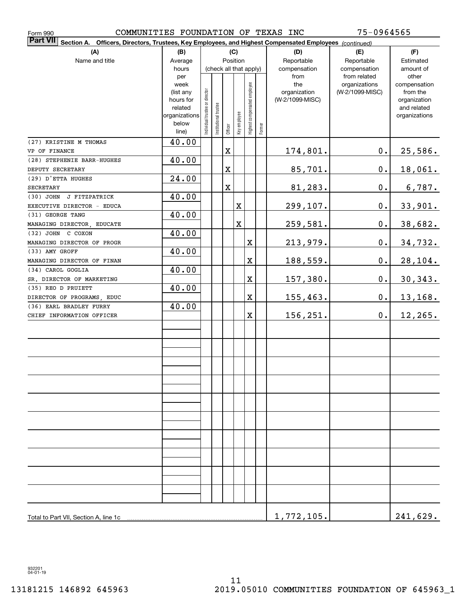| COMMUNITIES FOUNDATION OF TEXAS INC<br>Form 990                                                                              |                                                                                                                |  |                        |          |                         |                              |        |                                                | 75-0964565                                       |                                                                                   |
|------------------------------------------------------------------------------------------------------------------------------|----------------------------------------------------------------------------------------------------------------|--|------------------------|----------|-------------------------|------------------------------|--------|------------------------------------------------|--------------------------------------------------|-----------------------------------------------------------------------------------|
| <b>Part VII</b><br>Officers, Directors, Trustees, Key Employees, and Highest Compensated Employees (continued)<br>Section A. |                                                                                                                |  |                        |          |                         |                              |        |                                                |                                                  |                                                                                   |
| (A)<br>Name and title                                                                                                        | (B)<br>Average<br>hours<br>per                                                                                 |  | (check all that apply) | Position | (C)                     |                              |        | (D)<br>Reportable<br>compensation              | (E)<br>Reportable<br>compensation                | (F)<br>Estimated<br>amount of                                                     |
|                                                                                                                              | week<br>Individual trustee or director<br>(list any<br>hours for<br>related<br>organizations<br>below<br>line) |  | Institutional trustee  | Officer  | Key employee            | Highest compensated employee | Former | from<br>the<br>organization<br>(W-2/1099-MISC) | from related<br>organizations<br>(W-2/1099-MISC) | other<br>compensation<br>from the<br>organization<br>and related<br>organizations |
| (27) KRISTINE M THOMAS<br>VP OF FINANCE                                                                                      | 40.00                                                                                                          |  |                        | $\rm X$  |                         |                              |        | 174,801.                                       | $\mathbf 0$ .                                    | 25,586.                                                                           |
| (28) STEPHENIE BARR-HUGHES                                                                                                   | 40.00                                                                                                          |  |                        |          |                         |                              |        |                                                |                                                  |                                                                                   |
| DEPUTY SECRETARY                                                                                                             |                                                                                                                |  |                        | $\rm X$  |                         |                              |        | 85,701.                                        | $\mathbf 0$ .                                    | 18,061.                                                                           |
| (29) D'ETTA HUGHES                                                                                                           | 24.00                                                                                                          |  |                        |          |                         |                              |        |                                                |                                                  |                                                                                   |
| <b>SECRETARY</b>                                                                                                             |                                                                                                                |  |                        | $\rm X$  |                         |                              |        | 81,283.                                        | $\mathbf 0$ .                                    | 6,787.                                                                            |
| (30) JOHN J FITZPATRICK                                                                                                      | 40.00                                                                                                          |  |                        |          |                         |                              |        |                                                |                                                  |                                                                                   |
| EXECUTIVE DIRECTOR - EDUCA                                                                                                   |                                                                                                                |  |                        |          | X                       |                              |        | 299,107.                                       | $\mathbf 0$ .                                    | 33,901.                                                                           |
| (31) GEORGE TANG                                                                                                             | 40.00                                                                                                          |  |                        |          |                         |                              |        |                                                |                                                  |                                                                                   |
| MANAGING DIRECTOR, EDUCATE                                                                                                   |                                                                                                                |  |                        |          | $\overline{\textbf{X}}$ |                              |        | $259,581$ .                                    | $\mathbf 0$ .                                    | 38,682.                                                                           |
| (32) JOHN C COXON                                                                                                            | 40.00                                                                                                          |  |                        |          |                         | $\overline{\textbf{X}}$      |        |                                                | $\mathbf 0$ .                                    |                                                                                   |
| MANAGING DIRECTOR OF PROGR<br>(33) AMY GROFF                                                                                 | 40.00                                                                                                          |  |                        |          |                         |                              |        | 213,979.                                       |                                                  | 34,732.                                                                           |
| MANAGING DIRECTOR OF FINAN                                                                                                   |                                                                                                                |  |                        |          |                         | $\overline{\textbf{X}}$      |        | 188,559.                                       | $\mathbf 0$ .                                    | 28, 104.                                                                          |
| (34) CAROL GOGLIA                                                                                                            | 40.00                                                                                                          |  |                        |          |                         |                              |        |                                                |                                                  |                                                                                   |
| SR. DIRECTOR OF MARKETING                                                                                                    |                                                                                                                |  |                        |          |                         | $\overline{\textbf{X}}$      |        | 157,380.                                       | $\mathbf 0$ .                                    | 30, 343.                                                                          |
| (35) REO D PRUIETT                                                                                                           | 40.00                                                                                                          |  |                        |          |                         |                              |        |                                                |                                                  |                                                                                   |
| DIRECTOR OF PROGRAMS, EDUC                                                                                                   |                                                                                                                |  |                        |          |                         | $\overline{\textbf{X}}$      |        | 155, 463.                                      | $\mathbf 0$ .                                    | 13,168.                                                                           |
| (36) EARL BRADLEY FURRY                                                                                                      | 40.00                                                                                                          |  |                        |          |                         |                              |        |                                                |                                                  |                                                                                   |
| CHIEF INFORMATION OFFICER                                                                                                    |                                                                                                                |  |                        |          |                         | $\overline{\textbf{X}}$      |        | 156,251.                                       | 0.                                               | $12, 265$ .                                                                       |
|                                                                                                                              |                                                                                                                |  |                        |          |                         |                              |        |                                                |                                                  |                                                                                   |
|                                                                                                                              |                                                                                                                |  |                        |          |                         |                              |        |                                                |                                                  |                                                                                   |
|                                                                                                                              |                                                                                                                |  |                        |          |                         |                              |        |                                                |                                                  |                                                                                   |
|                                                                                                                              |                                                                                                                |  |                        |          |                         |                              |        |                                                |                                                  |                                                                                   |
|                                                                                                                              |                                                                                                                |  |                        |          |                         |                              |        |                                                |                                                  |                                                                                   |
|                                                                                                                              |                                                                                                                |  |                        |          |                         |                              |        |                                                |                                                  |                                                                                   |
|                                                                                                                              |                                                                                                                |  |                        |          |                         |                              |        |                                                |                                                  |                                                                                   |
|                                                                                                                              |                                                                                                                |  |                        |          |                         |                              |        |                                                |                                                  |                                                                                   |
|                                                                                                                              |                                                                                                                |  |                        |          |                         |                              |        |                                                |                                                  |                                                                                   |
|                                                                                                                              |                                                                                                                |  |                        |          |                         |                              |        |                                                |                                                  |                                                                                   |
|                                                                                                                              |                                                                                                                |  |                        |          |                         |                              |        |                                                |                                                  |                                                                                   |
|                                                                                                                              |                                                                                                                |  |                        |          |                         |                              |        |                                                |                                                  |                                                                                   |
| Total to Part VII, Section A, line 1c                                                                                        |                                                                                                                |  |                        |          |                         |                              |        | 1,772,105.                                     |                                                  | 241,629.                                                                          |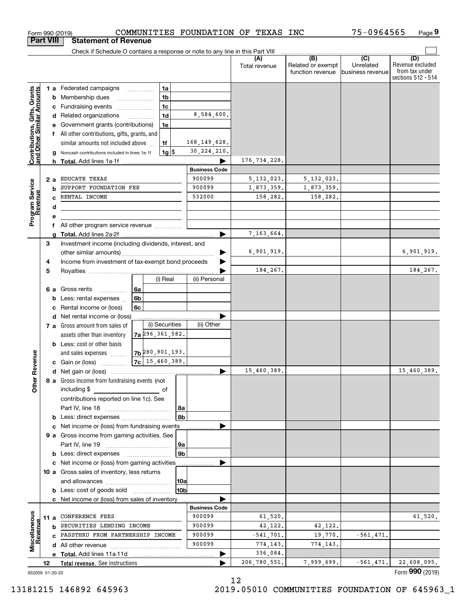| Check if Schedule O contains a response or note to any line in this Part VIII<br>(B)<br>(C)<br>(D)<br>(A)<br>Revenue excluded<br>Unrelated<br>Related or exempt<br>Total revenue<br>from tax under<br>function revenue<br>business revenue<br>Contributions, Gifts, Grants<br>and Other Similar Amounts<br><b>1 a</b> Federated campaigns<br>1a<br>.<br>1 <sub>b</sub><br><b>b</b> Membership dues<br>1 <sub>c</sub><br>c Fundraising events<br>8,584,600.<br>1 <sub>d</sub><br>d Related organizations<br>Government grants (contributions)<br>1e<br>f All other contributions, gifts, grants, and<br>168, 149, 628.<br>similar amounts not included above<br>1f<br>30, 224, 210,<br>$1g$ $\frac{1}{3}$<br>Noncash contributions included in lines 1a-1f<br>176, 734, 228.<br><b>Business Code</b><br>900099<br>EDUCATE TEXAS<br>5, 132, 023.<br>5, 132, 023.<br>2a<br>Program Service<br>Revenue<br>900099<br>SUPPORT FOUNDATION FEE<br>1,873,359.<br>1,873,359.<br>b<br>532000<br>158,282.<br>RENTAL INCOME<br>158,282.<br>C.<br>d<br>е<br>All other program service revenue<br>f<br>7,163,664.<br>3<br>Investment income (including dividends, interest, and<br>6,901,919.<br>Income from investment of tax-exempt bond proceeds<br>4<br>184,267.<br>5<br>(i) Real<br>(ii) Personal<br>6 a Gross rents<br>6а<br>.<br>6b<br>Less: rental expenses<br>b<br>6c<br>Rental income or (loss)<br>c<br>d Net rental income or (loss)<br>(i) Securities<br>(ii) Other<br>7 a Gross amount from sales of<br>$7a$ 296, 361, 582.<br>assets other than inventory<br><b>b</b> Less: cost or other basis<br>$7b$ $280, 901, 193.$<br>Revenue<br>and sales expenses<br>$7c$ 15, 460, 389.<br><b>c</b> Gain or (loss) $\ldots$<br>15,460,389.<br>15,460,389.<br>8 a Gross income from fundraising events (not<br>Othe<br>including \$<br>of<br>contributions reported on line 1c). See<br>8a<br>8b<br>c Net income or (loss) from fundraising events<br>9 a Gross income from gaming activities. See<br> 9a<br>9b<br><b>b</b> Less: direct expenses<br><u> Albanian (</u> † 1930)<br>c Net income or (loss) from gaming activities<br>10 a Gross sales of inventory, less returns<br> 10a<br>10 <sub>b</sub><br><b>b</b> Less: cost of goods sold<br>c Net income or (loss) from sales of inventory<br><b>Business Code</b><br>Miscellaneous<br>900099<br>61,520.<br>CONFERENCE FEES<br>61,520.<br>11 a<br>evenue<br>SECURITIES LENDING INCOME<br>900099<br>42,122.<br>42,122.<br>b<br>C PASSTHRU FROM PARTNERSHIP INCOME<br>900099<br>$-561, 471.$<br>$-541,701.$<br>19,770.<br>900099<br>774,143.<br>774,143.<br>336,084.<br>22,608,095.<br>206,780,551.<br>7,999,699.<br>$-561,471.$<br>12<br>Form 990 (2019)<br>932009 01-20-20 |  | <b>Part VIII</b> | <b>Statement of Revenue</b> |  |  |          |                    |
|-------------------------------------------------------------------------------------------------------------------------------------------------------------------------------------------------------------------------------------------------------------------------------------------------------------------------------------------------------------------------------------------------------------------------------------------------------------------------------------------------------------------------------------------------------------------------------------------------------------------------------------------------------------------------------------------------------------------------------------------------------------------------------------------------------------------------------------------------------------------------------------------------------------------------------------------------------------------------------------------------------------------------------------------------------------------------------------------------------------------------------------------------------------------------------------------------------------------------------------------------------------------------------------------------------------------------------------------------------------------------------------------------------------------------------------------------------------------------------------------------------------------------------------------------------------------------------------------------------------------------------------------------------------------------------------------------------------------------------------------------------------------------------------------------------------------------------------------------------------------------------------------------------------------------------------------------------------------------------------------------------------------------------------------------------------------------------------------------------------------------------------------------------------------------------------------------------------------------------------------------------------------------------------------------------------------------------------------------------------------------------------------------------------------------------------------------------------------------------------------------------------------------------------------------------------------------------------------------------------------------------------------------------------------------------------------------------------------------|--|------------------|-----------------------------|--|--|----------|--------------------|
|                                                                                                                                                                                                                                                                                                                                                                                                                                                                                                                                                                                                                                                                                                                                                                                                                                                                                                                                                                                                                                                                                                                                                                                                                                                                                                                                                                                                                                                                                                                                                                                                                                                                                                                                                                                                                                                                                                                                                                                                                                                                                                                                                                                                                                                                                                                                                                                                                                                                                                                                                                                                                                                                                                                         |  |                  |                             |  |  |          |                    |
|                                                                                                                                                                                                                                                                                                                                                                                                                                                                                                                                                                                                                                                                                                                                                                                                                                                                                                                                                                                                                                                                                                                                                                                                                                                                                                                                                                                                                                                                                                                                                                                                                                                                                                                                                                                                                                                                                                                                                                                                                                                                                                                                                                                                                                                                                                                                                                                                                                                                                                                                                                                                                                                                                                                         |  |                  |                             |  |  |          | sections 512 - 514 |
|                                                                                                                                                                                                                                                                                                                                                                                                                                                                                                                                                                                                                                                                                                                                                                                                                                                                                                                                                                                                                                                                                                                                                                                                                                                                                                                                                                                                                                                                                                                                                                                                                                                                                                                                                                                                                                                                                                                                                                                                                                                                                                                                                                                                                                                                                                                                                                                                                                                                                                                                                                                                                                                                                                                         |  |                  |                             |  |  |          |                    |
|                                                                                                                                                                                                                                                                                                                                                                                                                                                                                                                                                                                                                                                                                                                                                                                                                                                                                                                                                                                                                                                                                                                                                                                                                                                                                                                                                                                                                                                                                                                                                                                                                                                                                                                                                                                                                                                                                                                                                                                                                                                                                                                                                                                                                                                                                                                                                                                                                                                                                                                                                                                                                                                                                                                         |  |                  |                             |  |  |          |                    |
|                                                                                                                                                                                                                                                                                                                                                                                                                                                                                                                                                                                                                                                                                                                                                                                                                                                                                                                                                                                                                                                                                                                                                                                                                                                                                                                                                                                                                                                                                                                                                                                                                                                                                                                                                                                                                                                                                                                                                                                                                                                                                                                                                                                                                                                                                                                                                                                                                                                                                                                                                                                                                                                                                                                         |  |                  |                             |  |  |          |                    |
|                                                                                                                                                                                                                                                                                                                                                                                                                                                                                                                                                                                                                                                                                                                                                                                                                                                                                                                                                                                                                                                                                                                                                                                                                                                                                                                                                                                                                                                                                                                                                                                                                                                                                                                                                                                                                                                                                                                                                                                                                                                                                                                                                                                                                                                                                                                                                                                                                                                                                                                                                                                                                                                                                                                         |  |                  |                             |  |  |          |                    |
|                                                                                                                                                                                                                                                                                                                                                                                                                                                                                                                                                                                                                                                                                                                                                                                                                                                                                                                                                                                                                                                                                                                                                                                                                                                                                                                                                                                                                                                                                                                                                                                                                                                                                                                                                                                                                                                                                                                                                                                                                                                                                                                                                                                                                                                                                                                                                                                                                                                                                                                                                                                                                                                                                                                         |  |                  |                             |  |  |          |                    |
|                                                                                                                                                                                                                                                                                                                                                                                                                                                                                                                                                                                                                                                                                                                                                                                                                                                                                                                                                                                                                                                                                                                                                                                                                                                                                                                                                                                                                                                                                                                                                                                                                                                                                                                                                                                                                                                                                                                                                                                                                                                                                                                                                                                                                                                                                                                                                                                                                                                                                                                                                                                                                                                                                                                         |  |                  |                             |  |  |          |                    |
|                                                                                                                                                                                                                                                                                                                                                                                                                                                                                                                                                                                                                                                                                                                                                                                                                                                                                                                                                                                                                                                                                                                                                                                                                                                                                                                                                                                                                                                                                                                                                                                                                                                                                                                                                                                                                                                                                                                                                                                                                                                                                                                                                                                                                                                                                                                                                                                                                                                                                                                                                                                                                                                                                                                         |  |                  |                             |  |  |          |                    |
|                                                                                                                                                                                                                                                                                                                                                                                                                                                                                                                                                                                                                                                                                                                                                                                                                                                                                                                                                                                                                                                                                                                                                                                                                                                                                                                                                                                                                                                                                                                                                                                                                                                                                                                                                                                                                                                                                                                                                                                                                                                                                                                                                                                                                                                                                                                                                                                                                                                                                                                                                                                                                                                                                                                         |  |                  |                             |  |  |          |                    |
|                                                                                                                                                                                                                                                                                                                                                                                                                                                                                                                                                                                                                                                                                                                                                                                                                                                                                                                                                                                                                                                                                                                                                                                                                                                                                                                                                                                                                                                                                                                                                                                                                                                                                                                                                                                                                                                                                                                                                                                                                                                                                                                                                                                                                                                                                                                                                                                                                                                                                                                                                                                                                                                                                                                         |  |                  |                             |  |  |          |                    |
|                                                                                                                                                                                                                                                                                                                                                                                                                                                                                                                                                                                                                                                                                                                                                                                                                                                                                                                                                                                                                                                                                                                                                                                                                                                                                                                                                                                                                                                                                                                                                                                                                                                                                                                                                                                                                                                                                                                                                                                                                                                                                                                                                                                                                                                                                                                                                                                                                                                                                                                                                                                                                                                                                                                         |  |                  |                             |  |  |          |                    |
|                                                                                                                                                                                                                                                                                                                                                                                                                                                                                                                                                                                                                                                                                                                                                                                                                                                                                                                                                                                                                                                                                                                                                                                                                                                                                                                                                                                                                                                                                                                                                                                                                                                                                                                                                                                                                                                                                                                                                                                                                                                                                                                                                                                                                                                                                                                                                                                                                                                                                                                                                                                                                                                                                                                         |  |                  |                             |  |  |          |                    |
|                                                                                                                                                                                                                                                                                                                                                                                                                                                                                                                                                                                                                                                                                                                                                                                                                                                                                                                                                                                                                                                                                                                                                                                                                                                                                                                                                                                                                                                                                                                                                                                                                                                                                                                                                                                                                                                                                                                                                                                                                                                                                                                                                                                                                                                                                                                                                                                                                                                                                                                                                                                                                                                                                                                         |  |                  |                             |  |  |          |                    |
|                                                                                                                                                                                                                                                                                                                                                                                                                                                                                                                                                                                                                                                                                                                                                                                                                                                                                                                                                                                                                                                                                                                                                                                                                                                                                                                                                                                                                                                                                                                                                                                                                                                                                                                                                                                                                                                                                                                                                                                                                                                                                                                                                                                                                                                                                                                                                                                                                                                                                                                                                                                                                                                                                                                         |  |                  |                             |  |  |          |                    |
|                                                                                                                                                                                                                                                                                                                                                                                                                                                                                                                                                                                                                                                                                                                                                                                                                                                                                                                                                                                                                                                                                                                                                                                                                                                                                                                                                                                                                                                                                                                                                                                                                                                                                                                                                                                                                                                                                                                                                                                                                                                                                                                                                                                                                                                                                                                                                                                                                                                                                                                                                                                                                                                                                                                         |  |                  |                             |  |  |          |                    |
|                                                                                                                                                                                                                                                                                                                                                                                                                                                                                                                                                                                                                                                                                                                                                                                                                                                                                                                                                                                                                                                                                                                                                                                                                                                                                                                                                                                                                                                                                                                                                                                                                                                                                                                                                                                                                                                                                                                                                                                                                                                                                                                                                                                                                                                                                                                                                                                                                                                                                                                                                                                                                                                                                                                         |  |                  |                             |  |  |          |                    |
|                                                                                                                                                                                                                                                                                                                                                                                                                                                                                                                                                                                                                                                                                                                                                                                                                                                                                                                                                                                                                                                                                                                                                                                                                                                                                                                                                                                                                                                                                                                                                                                                                                                                                                                                                                                                                                                                                                                                                                                                                                                                                                                                                                                                                                                                                                                                                                                                                                                                                                                                                                                                                                                                                                                         |  |                  |                             |  |  |          |                    |
|                                                                                                                                                                                                                                                                                                                                                                                                                                                                                                                                                                                                                                                                                                                                                                                                                                                                                                                                                                                                                                                                                                                                                                                                                                                                                                                                                                                                                                                                                                                                                                                                                                                                                                                                                                                                                                                                                                                                                                                                                                                                                                                                                                                                                                                                                                                                                                                                                                                                                                                                                                                                                                                                                                                         |  |                  |                             |  |  |          |                    |
|                                                                                                                                                                                                                                                                                                                                                                                                                                                                                                                                                                                                                                                                                                                                                                                                                                                                                                                                                                                                                                                                                                                                                                                                                                                                                                                                                                                                                                                                                                                                                                                                                                                                                                                                                                                                                                                                                                                                                                                                                                                                                                                                                                                                                                                                                                                                                                                                                                                                                                                                                                                                                                                                                                                         |  |                  |                             |  |  |          | 6,901,919.         |
|                                                                                                                                                                                                                                                                                                                                                                                                                                                                                                                                                                                                                                                                                                                                                                                                                                                                                                                                                                                                                                                                                                                                                                                                                                                                                                                                                                                                                                                                                                                                                                                                                                                                                                                                                                                                                                                                                                                                                                                                                                                                                                                                                                                                                                                                                                                                                                                                                                                                                                                                                                                                                                                                                                                         |  |                  |                             |  |  |          |                    |
|                                                                                                                                                                                                                                                                                                                                                                                                                                                                                                                                                                                                                                                                                                                                                                                                                                                                                                                                                                                                                                                                                                                                                                                                                                                                                                                                                                                                                                                                                                                                                                                                                                                                                                                                                                                                                                                                                                                                                                                                                                                                                                                                                                                                                                                                                                                                                                                                                                                                                                                                                                                                                                                                                                                         |  |                  |                             |  |  | 184,267. |                    |
|                                                                                                                                                                                                                                                                                                                                                                                                                                                                                                                                                                                                                                                                                                                                                                                                                                                                                                                                                                                                                                                                                                                                                                                                                                                                                                                                                                                                                                                                                                                                                                                                                                                                                                                                                                                                                                                                                                                                                                                                                                                                                                                                                                                                                                                                                                                                                                                                                                                                                                                                                                                                                                                                                                                         |  |                  |                             |  |  |          |                    |
|                                                                                                                                                                                                                                                                                                                                                                                                                                                                                                                                                                                                                                                                                                                                                                                                                                                                                                                                                                                                                                                                                                                                                                                                                                                                                                                                                                                                                                                                                                                                                                                                                                                                                                                                                                                                                                                                                                                                                                                                                                                                                                                                                                                                                                                                                                                                                                                                                                                                                                                                                                                                                                                                                                                         |  |                  |                             |  |  |          |                    |
|                                                                                                                                                                                                                                                                                                                                                                                                                                                                                                                                                                                                                                                                                                                                                                                                                                                                                                                                                                                                                                                                                                                                                                                                                                                                                                                                                                                                                                                                                                                                                                                                                                                                                                                                                                                                                                                                                                                                                                                                                                                                                                                                                                                                                                                                                                                                                                                                                                                                                                                                                                                                                                                                                                                         |  |                  |                             |  |  |          |                    |
|                                                                                                                                                                                                                                                                                                                                                                                                                                                                                                                                                                                                                                                                                                                                                                                                                                                                                                                                                                                                                                                                                                                                                                                                                                                                                                                                                                                                                                                                                                                                                                                                                                                                                                                                                                                                                                                                                                                                                                                                                                                                                                                                                                                                                                                                                                                                                                                                                                                                                                                                                                                                                                                                                                                         |  |                  |                             |  |  |          |                    |
|                                                                                                                                                                                                                                                                                                                                                                                                                                                                                                                                                                                                                                                                                                                                                                                                                                                                                                                                                                                                                                                                                                                                                                                                                                                                                                                                                                                                                                                                                                                                                                                                                                                                                                                                                                                                                                                                                                                                                                                                                                                                                                                                                                                                                                                                                                                                                                                                                                                                                                                                                                                                                                                                                                                         |  |                  |                             |  |  |          |                    |
|                                                                                                                                                                                                                                                                                                                                                                                                                                                                                                                                                                                                                                                                                                                                                                                                                                                                                                                                                                                                                                                                                                                                                                                                                                                                                                                                                                                                                                                                                                                                                                                                                                                                                                                                                                                                                                                                                                                                                                                                                                                                                                                                                                                                                                                                                                                                                                                                                                                                                                                                                                                                                                                                                                                         |  |                  |                             |  |  |          |                    |
|                                                                                                                                                                                                                                                                                                                                                                                                                                                                                                                                                                                                                                                                                                                                                                                                                                                                                                                                                                                                                                                                                                                                                                                                                                                                                                                                                                                                                                                                                                                                                                                                                                                                                                                                                                                                                                                                                                                                                                                                                                                                                                                                                                                                                                                                                                                                                                                                                                                                                                                                                                                                                                                                                                                         |  |                  |                             |  |  |          |                    |
|                                                                                                                                                                                                                                                                                                                                                                                                                                                                                                                                                                                                                                                                                                                                                                                                                                                                                                                                                                                                                                                                                                                                                                                                                                                                                                                                                                                                                                                                                                                                                                                                                                                                                                                                                                                                                                                                                                                                                                                                                                                                                                                                                                                                                                                                                                                                                                                                                                                                                                                                                                                                                                                                                                                         |  |                  |                             |  |  |          |                    |
|                                                                                                                                                                                                                                                                                                                                                                                                                                                                                                                                                                                                                                                                                                                                                                                                                                                                                                                                                                                                                                                                                                                                                                                                                                                                                                                                                                                                                                                                                                                                                                                                                                                                                                                                                                                                                                                                                                                                                                                                                                                                                                                                                                                                                                                                                                                                                                                                                                                                                                                                                                                                                                                                                                                         |  |                  |                             |  |  |          |                    |
|                                                                                                                                                                                                                                                                                                                                                                                                                                                                                                                                                                                                                                                                                                                                                                                                                                                                                                                                                                                                                                                                                                                                                                                                                                                                                                                                                                                                                                                                                                                                                                                                                                                                                                                                                                                                                                                                                                                                                                                                                                                                                                                                                                                                                                                                                                                                                                                                                                                                                                                                                                                                                                                                                                                         |  |                  |                             |  |  |          |                    |
|                                                                                                                                                                                                                                                                                                                                                                                                                                                                                                                                                                                                                                                                                                                                                                                                                                                                                                                                                                                                                                                                                                                                                                                                                                                                                                                                                                                                                                                                                                                                                                                                                                                                                                                                                                                                                                                                                                                                                                                                                                                                                                                                                                                                                                                                                                                                                                                                                                                                                                                                                                                                                                                                                                                         |  |                  |                             |  |  |          |                    |
|                                                                                                                                                                                                                                                                                                                                                                                                                                                                                                                                                                                                                                                                                                                                                                                                                                                                                                                                                                                                                                                                                                                                                                                                                                                                                                                                                                                                                                                                                                                                                                                                                                                                                                                                                                                                                                                                                                                                                                                                                                                                                                                                                                                                                                                                                                                                                                                                                                                                                                                                                                                                                                                                                                                         |  |                  |                             |  |  |          |                    |
|                                                                                                                                                                                                                                                                                                                                                                                                                                                                                                                                                                                                                                                                                                                                                                                                                                                                                                                                                                                                                                                                                                                                                                                                                                                                                                                                                                                                                                                                                                                                                                                                                                                                                                                                                                                                                                                                                                                                                                                                                                                                                                                                                                                                                                                                                                                                                                                                                                                                                                                                                                                                                                                                                                                         |  |                  |                             |  |  |          |                    |
|                                                                                                                                                                                                                                                                                                                                                                                                                                                                                                                                                                                                                                                                                                                                                                                                                                                                                                                                                                                                                                                                                                                                                                                                                                                                                                                                                                                                                                                                                                                                                                                                                                                                                                                                                                                                                                                                                                                                                                                                                                                                                                                                                                                                                                                                                                                                                                                                                                                                                                                                                                                                                                                                                                                         |  |                  |                             |  |  |          |                    |
|                                                                                                                                                                                                                                                                                                                                                                                                                                                                                                                                                                                                                                                                                                                                                                                                                                                                                                                                                                                                                                                                                                                                                                                                                                                                                                                                                                                                                                                                                                                                                                                                                                                                                                                                                                                                                                                                                                                                                                                                                                                                                                                                                                                                                                                                                                                                                                                                                                                                                                                                                                                                                                                                                                                         |  |                  |                             |  |  |          |                    |
|                                                                                                                                                                                                                                                                                                                                                                                                                                                                                                                                                                                                                                                                                                                                                                                                                                                                                                                                                                                                                                                                                                                                                                                                                                                                                                                                                                                                                                                                                                                                                                                                                                                                                                                                                                                                                                                                                                                                                                                                                                                                                                                                                                                                                                                                                                                                                                                                                                                                                                                                                                                                                                                                                                                         |  |                  |                             |  |  |          |                    |
|                                                                                                                                                                                                                                                                                                                                                                                                                                                                                                                                                                                                                                                                                                                                                                                                                                                                                                                                                                                                                                                                                                                                                                                                                                                                                                                                                                                                                                                                                                                                                                                                                                                                                                                                                                                                                                                                                                                                                                                                                                                                                                                                                                                                                                                                                                                                                                                                                                                                                                                                                                                                                                                                                                                         |  |                  |                             |  |  |          |                    |
|                                                                                                                                                                                                                                                                                                                                                                                                                                                                                                                                                                                                                                                                                                                                                                                                                                                                                                                                                                                                                                                                                                                                                                                                                                                                                                                                                                                                                                                                                                                                                                                                                                                                                                                                                                                                                                                                                                                                                                                                                                                                                                                                                                                                                                                                                                                                                                                                                                                                                                                                                                                                                                                                                                                         |  |                  |                             |  |  |          |                    |
|                                                                                                                                                                                                                                                                                                                                                                                                                                                                                                                                                                                                                                                                                                                                                                                                                                                                                                                                                                                                                                                                                                                                                                                                                                                                                                                                                                                                                                                                                                                                                                                                                                                                                                                                                                                                                                                                                                                                                                                                                                                                                                                                                                                                                                                                                                                                                                                                                                                                                                                                                                                                                                                                                                                         |  |                  |                             |  |  |          |                    |
|                                                                                                                                                                                                                                                                                                                                                                                                                                                                                                                                                                                                                                                                                                                                                                                                                                                                                                                                                                                                                                                                                                                                                                                                                                                                                                                                                                                                                                                                                                                                                                                                                                                                                                                                                                                                                                                                                                                                                                                                                                                                                                                                                                                                                                                                                                                                                                                                                                                                                                                                                                                                                                                                                                                         |  |                  |                             |  |  |          |                    |
|                                                                                                                                                                                                                                                                                                                                                                                                                                                                                                                                                                                                                                                                                                                                                                                                                                                                                                                                                                                                                                                                                                                                                                                                                                                                                                                                                                                                                                                                                                                                                                                                                                                                                                                                                                                                                                                                                                                                                                                                                                                                                                                                                                                                                                                                                                                                                                                                                                                                                                                                                                                                                                                                                                                         |  |                  |                             |  |  |          |                    |
|                                                                                                                                                                                                                                                                                                                                                                                                                                                                                                                                                                                                                                                                                                                                                                                                                                                                                                                                                                                                                                                                                                                                                                                                                                                                                                                                                                                                                                                                                                                                                                                                                                                                                                                                                                                                                                                                                                                                                                                                                                                                                                                                                                                                                                                                                                                                                                                                                                                                                                                                                                                                                                                                                                                         |  |                  |                             |  |  |          |                    |
|                                                                                                                                                                                                                                                                                                                                                                                                                                                                                                                                                                                                                                                                                                                                                                                                                                                                                                                                                                                                                                                                                                                                                                                                                                                                                                                                                                                                                                                                                                                                                                                                                                                                                                                                                                                                                                                                                                                                                                                                                                                                                                                                                                                                                                                                                                                                                                                                                                                                                                                                                                                                                                                                                                                         |  |                  |                             |  |  |          |                    |
|                                                                                                                                                                                                                                                                                                                                                                                                                                                                                                                                                                                                                                                                                                                                                                                                                                                                                                                                                                                                                                                                                                                                                                                                                                                                                                                                                                                                                                                                                                                                                                                                                                                                                                                                                                                                                                                                                                                                                                                                                                                                                                                                                                                                                                                                                                                                                                                                                                                                                                                                                                                                                                                                                                                         |  |                  |                             |  |  |          |                    |
|                                                                                                                                                                                                                                                                                                                                                                                                                                                                                                                                                                                                                                                                                                                                                                                                                                                                                                                                                                                                                                                                                                                                                                                                                                                                                                                                                                                                                                                                                                                                                                                                                                                                                                                                                                                                                                                                                                                                                                                                                                                                                                                                                                                                                                                                                                                                                                                                                                                                                                                                                                                                                                                                                                                         |  |                  |                             |  |  |          |                    |
|                                                                                                                                                                                                                                                                                                                                                                                                                                                                                                                                                                                                                                                                                                                                                                                                                                                                                                                                                                                                                                                                                                                                                                                                                                                                                                                                                                                                                                                                                                                                                                                                                                                                                                                                                                                                                                                                                                                                                                                                                                                                                                                                                                                                                                                                                                                                                                                                                                                                                                                                                                                                                                                                                                                         |  |                  |                             |  |  |          |                    |
|                                                                                                                                                                                                                                                                                                                                                                                                                                                                                                                                                                                                                                                                                                                                                                                                                                                                                                                                                                                                                                                                                                                                                                                                                                                                                                                                                                                                                                                                                                                                                                                                                                                                                                                                                                                                                                                                                                                                                                                                                                                                                                                                                                                                                                                                                                                                                                                                                                                                                                                                                                                                                                                                                                                         |  |                  |                             |  |  |          |                    |
|                                                                                                                                                                                                                                                                                                                                                                                                                                                                                                                                                                                                                                                                                                                                                                                                                                                                                                                                                                                                                                                                                                                                                                                                                                                                                                                                                                                                                                                                                                                                                                                                                                                                                                                                                                                                                                                                                                                                                                                                                                                                                                                                                                                                                                                                                                                                                                                                                                                                                                                                                                                                                                                                                                                         |  |                  |                             |  |  |          |                    |
|                                                                                                                                                                                                                                                                                                                                                                                                                                                                                                                                                                                                                                                                                                                                                                                                                                                                                                                                                                                                                                                                                                                                                                                                                                                                                                                                                                                                                                                                                                                                                                                                                                                                                                                                                                                                                                                                                                                                                                                                                                                                                                                                                                                                                                                                                                                                                                                                                                                                                                                                                                                                                                                                                                                         |  |                  |                             |  |  |          |                    |
|                                                                                                                                                                                                                                                                                                                                                                                                                                                                                                                                                                                                                                                                                                                                                                                                                                                                                                                                                                                                                                                                                                                                                                                                                                                                                                                                                                                                                                                                                                                                                                                                                                                                                                                                                                                                                                                                                                                                                                                                                                                                                                                                                                                                                                                                                                                                                                                                                                                                                                                                                                                                                                                                                                                         |  |                  |                             |  |  |          |                    |
|                                                                                                                                                                                                                                                                                                                                                                                                                                                                                                                                                                                                                                                                                                                                                                                                                                                                                                                                                                                                                                                                                                                                                                                                                                                                                                                                                                                                                                                                                                                                                                                                                                                                                                                                                                                                                                                                                                                                                                                                                                                                                                                                                                                                                                                                                                                                                                                                                                                                                                                                                                                                                                                                                                                         |  |                  |                             |  |  |          |                    |

Form 990 (2019) Page COMMUNITIES FOUNDATION OF TEXAS INC

**9**

75-0964565

932009 01-20-20

12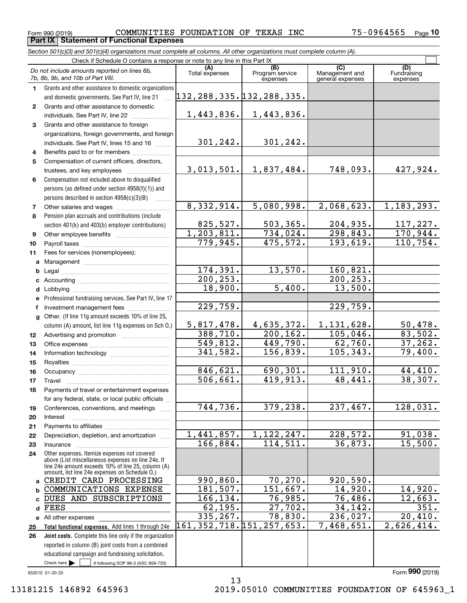**Part IX Statement of Functional Expenses**

<code>Form</code> 990 (2019) COMMUNITIES <code>FOUNDATION OF TEXAS INC  $75\text{--}0964565$  <code>Page</code></code> **10**

*Section 501(c)(3) and 501(c)(4) organizations must complete all columns. All other organizations must complete column (A).*

|                  | Check if Schedule O contains a response or note to any line in this Part IX                          |                                           |                             |                                    |                                |  |  |  |  |  |
|------------------|------------------------------------------------------------------------------------------------------|-------------------------------------------|-----------------------------|------------------------------------|--------------------------------|--|--|--|--|--|
|                  | Do not include amounts reported on lines 6b,<br>7b, 8b, 9b, and 10b of Part VIII.                    | Total expenses                            | Program service<br>expenses | Management and<br>general expenses | (D)<br>Fundraising<br>expenses |  |  |  |  |  |
| 1.               | Grants and other assistance to domestic organizations                                                |                                           |                             |                                    |                                |  |  |  |  |  |
|                  | and domestic governments. See Part IV, line 21                                                       | 132,288,335 <b>.</b> 132,288,335 <b>.</b> |                             |                                    |                                |  |  |  |  |  |
| $\mathbf{2}$     | Grants and other assistance to domestic                                                              |                                           |                             |                                    |                                |  |  |  |  |  |
|                  | individuals. See Part IV, line 22                                                                    | 1,443,836.                                | 1,443,836.                  |                                    |                                |  |  |  |  |  |
| 3                | Grants and other assistance to foreign                                                               |                                           |                             |                                    |                                |  |  |  |  |  |
|                  | organizations, foreign governments, and foreign                                                      |                                           |                             |                                    |                                |  |  |  |  |  |
|                  | individuals. See Part IV, lines 15 and 16                                                            | 301,242.                                  | 301,242.                    |                                    |                                |  |  |  |  |  |
| 4                | Benefits paid to or for members                                                                      |                                           |                             |                                    |                                |  |  |  |  |  |
| 5                | Compensation of current officers, directors,                                                         |                                           |                             |                                    |                                |  |  |  |  |  |
|                  | trustees, and key employees                                                                          | 3,013,501.                                | 1,837,484.                  | 748,093.                           | 427,924.                       |  |  |  |  |  |
| 6                | Compensation not included above to disqualified                                                      |                                           |                             |                                    |                                |  |  |  |  |  |
|                  | persons (as defined under section 4958(f)(1)) and                                                    |                                           |                             |                                    |                                |  |  |  |  |  |
|                  | persons described in section 4958(c)(3)(B)                                                           |                                           |                             |                                    |                                |  |  |  |  |  |
| 7                |                                                                                                      | 8,332,914.                                | 5,080,998.                  | 2,068,623.                         | 1, 183, 293.                   |  |  |  |  |  |
| 8                | Pension plan accruals and contributions (include                                                     |                                           |                             |                                    |                                |  |  |  |  |  |
|                  | section 401(k) and 403(b) employer contributions)                                                    | 825,527.                                  | 503, 365.                   | 204,935.                           | 117,227.                       |  |  |  |  |  |
| 9                |                                                                                                      | 1, 203, 811.                              | 734,024.                    | 298, 843.                          | 170,944.                       |  |  |  |  |  |
| 10               |                                                                                                      | 779,945.                                  | 475,572.                    | 193,619.                           | 110, 754.                      |  |  |  |  |  |
| 11               | Fees for services (nonemployees):                                                                    |                                           |                             |                                    |                                |  |  |  |  |  |
| a                |                                                                                                      |                                           |                             |                                    |                                |  |  |  |  |  |
| b                |                                                                                                      | 174,391.                                  | 13,570.                     | 160,821.                           |                                |  |  |  |  |  |
| с                |                                                                                                      | 200, 253.                                 |                             | 200, 253.                          |                                |  |  |  |  |  |
| d                |                                                                                                      | 18,900.                                   | 5,400.                      | 13,500.                            |                                |  |  |  |  |  |
| е                | Professional fundraising services. See Part IV, line 17                                              |                                           |                             |                                    |                                |  |  |  |  |  |
| f                |                                                                                                      | 229,759.                                  |                             | 229,759.                           |                                |  |  |  |  |  |
| a                | Other. (If line 11g amount exceeds 10% of line 25,                                                   |                                           |                             |                                    |                                |  |  |  |  |  |
|                  | column (A) amount, list line 11g expenses on Sch O.)                                                 | 5,817,478.                                | 4,635,372.                  | 1,131,628.                         | 50,478.                        |  |  |  |  |  |
| 12 <sup>12</sup> |                                                                                                      | 388,710.                                  | 200, 162.                   | 105,046.                           | 83,502.                        |  |  |  |  |  |
| 13               |                                                                                                      | 549,812.                                  | 449,790.                    | 62,760.                            | 37, 262.                       |  |  |  |  |  |
| 14               |                                                                                                      | 341, 582.                                 | 156,839.                    | 105, 343.                          | 79,400.                        |  |  |  |  |  |
| 15               |                                                                                                      |                                           |                             |                                    |                                |  |  |  |  |  |
| 16               |                                                                                                      | 846,621.                                  | 690,301.                    | 111,910.                           | 44,410.                        |  |  |  |  |  |
| 17               | Travel                                                                                               | 506, 661.                                 | 419,913.                    | 48,441.                            | 38,307.                        |  |  |  |  |  |
| 18               | Payments of travel or entertainment expenses                                                         |                                           |                             |                                    |                                |  |  |  |  |  |
|                  | for any federal, state, or local public officials                                                    | 744, 736.                                 | 379, 238.                   | 237,467.                           | 128,031.                       |  |  |  |  |  |
| 19               | Conferences, conventions, and meetings                                                               |                                           |                             |                                    |                                |  |  |  |  |  |
| 20               | Interest                                                                                             |                                           |                             |                                    |                                |  |  |  |  |  |
| 21<br>22         | Depreciation, depletion, and amortization                                                            | 1,441,857.                                | $\overline{1,122,247}$ .    | 228,572.                           | 91,038.                        |  |  |  |  |  |
| 23               | Insurance                                                                                            | 166,884.                                  | 114,511.                    | 36,873.                            | 15,500.                        |  |  |  |  |  |
| 24               | Other expenses. Itemize expenses not covered                                                         |                                           |                             |                                    |                                |  |  |  |  |  |
|                  | above (List miscellaneous expenses on line 24e. If                                                   |                                           |                             |                                    |                                |  |  |  |  |  |
|                  | line 24e amount exceeds 10% of line 25, column (A)<br>amount, list line 24e expenses on Schedule O.) |                                           |                             |                                    |                                |  |  |  |  |  |
| a                | CREDIT CARD PROCESSING                                                                               | 990, 860.                                 | 70,270.                     | 920,590.                           |                                |  |  |  |  |  |
| b                | COMMUNICATIONS EXPENSE                                                                               | 181,507.                                  | 151,667.                    | 14,920.                            | 14,920.                        |  |  |  |  |  |
| C                | DUES AND SUBSCRIPTIONS                                                                               | 166,134.                                  | 76,985.                     | 76,486.                            | 12,663.                        |  |  |  |  |  |
| d                | FEES                                                                                                 | 62,195.                                   | 27,702.                     | 34, 142.                           | 351.                           |  |  |  |  |  |
|                  | e All other expenses                                                                                 | 335, 267.                                 | 78,830.                     | 236,027.                           | 20,410.                        |  |  |  |  |  |
| 25               | Total functional expenses. Add lines 1 through 24e                                                   | 161, 352, 718. 151, 257, 653.             |                             | 7,468,651.                         | 2,626,414.                     |  |  |  |  |  |
| 26               | Joint costs. Complete this line only if the organization                                             |                                           |                             |                                    |                                |  |  |  |  |  |
|                  | reported in column (B) joint costs from a combined                                                   |                                           |                             |                                    |                                |  |  |  |  |  |
|                  | educational campaign and fundraising solicitation.                                                   |                                           |                             |                                    |                                |  |  |  |  |  |
|                  | Check here $\blacktriangleright$<br>if following SOP 98-2 (ASC 958-720)                              |                                           |                             |                                    |                                |  |  |  |  |  |
|                  | 932010 01-20-20                                                                                      |                                           |                             |                                    | Form 990 (2019)                |  |  |  |  |  |

13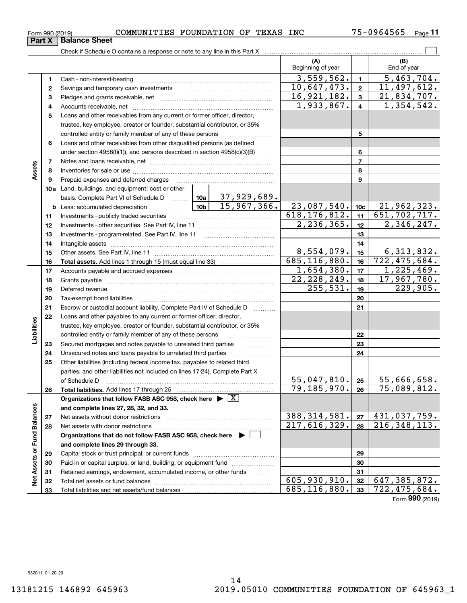|                      |    |                                                                                                                                          |               |            | (A)<br>Beginning of year |                 | (B)<br>End of year           |
|----------------------|----|------------------------------------------------------------------------------------------------------------------------------------------|---------------|------------|--------------------------|-----------------|------------------------------|
|                      | 1  |                                                                                                                                          |               |            | 3,559,562.               | $\mathbf{1}$    | 5,463,704.                   |
|                      | 2  |                                                                                                                                          |               |            | 10,647,473.              | $\overline{2}$  | 11,497,612.                  |
|                      | з  |                                                                                                                                          |               |            | 16,921,182.              | 3               | $\overline{21}$ , 834, 707.  |
|                      | 4  |                                                                                                                                          |               |            | 1,933,867.               | 4               | $\overline{1,354},542.$      |
|                      | 5  | Loans and other receivables from any current or former officer, director,                                                                |               |            |                          |                 |                              |
|                      |    | trustee, key employee, creator or founder, substantial contributor, or 35%                                                               |               |            |                          |                 |                              |
|                      |    |                                                                                                                                          |               |            |                          | 5               |                              |
|                      | 6  | Loans and other receivables from other disqualified persons (as defined                                                                  |               |            |                          |                 |                              |
|                      |    | under section $4958(f)(1)$ , and persons described in section $4958(c)(3)(B)$                                                            |               | $\ldots$   |                          | 6               |                              |
|                      | 7  |                                                                                                                                          |               |            |                          | $\overline{7}$  |                              |
| Assets               | 8  |                                                                                                                                          |               |            |                          | 8               |                              |
|                      | 9  |                                                                                                                                          |               | 9          |                          |                 |                              |
|                      |    | <b>10a</b> Land, buildings, and equipment: cost or other                                                                                 |               |            |                          |                 |                              |
|                      |    | basis. Complete Part VI of Schedule D    10a   37,929,689.                                                                               |               |            |                          |                 |                              |
|                      |    |                                                                                                                                          |               |            | 23,087,540.              | 10 <sub>c</sub> | 21,962,323.                  |
|                      | 11 |                                                                                                                                          |               |            | 618, 176, 812.           | 11              | $\overline{651, 702, 717}$ . |
|                      | 12 |                                                                                                                                          |               | 2,236,365. | 12                       | 2,346,247.      |                              |
|                      | 13 |                                                                                                                                          |               |            | 13                       |                 |                              |
|                      | 14 |                                                                                                                                          |               |            |                          | 14              |                              |
|                      | 15 |                                                                                                                                          | 8,554,079.    | 15         | 6, 313, 832.             |                 |                              |
|                      | 16 |                                                                                                                                          |               |            | 685, 116, 880.           | 16              | 722,475,684.                 |
|                      | 17 |                                                                                                                                          |               |            | 1,654,380.               | 17              | 1,225,469.                   |
|                      | 18 |                                                                                                                                          | 22, 228, 249. | 18         | 17,967,780.              |                 |                              |
|                      | 19 |                                                                                                                                          |               | 255,531.   | 19                       | 229,905.        |                              |
|                      | 20 |                                                                                                                                          |               |            |                          | 20              |                              |
|                      | 21 | Escrow or custodial account liability. Complete Part IV of Schedule D                                                                    |               |            |                          | 21              |                              |
|                      | 22 | Loans and other payables to any current or former officer, director,                                                                     |               |            |                          |                 |                              |
| Liabilities          |    | trustee, key employee, creator or founder, substantial contributor, or 35%                                                               |               |            |                          |                 |                              |
|                      |    |                                                                                                                                          |               |            |                          | 22              |                              |
|                      | 23 | Secured mortgages and notes payable to unrelated third parties                                                                           |               |            |                          | 23              |                              |
|                      | 24 |                                                                                                                                          |               |            |                          | 24              |                              |
|                      | 25 | Other liabilities (including federal income tax, payables to related third                                                               |               |            |                          |                 |                              |
|                      |    | parties, and other liabilities not included on lines 17-24). Complete Part X                                                             |               |            | $55,047,810.$ 25         |                 | 55,666,658.                  |
|                      |    |                                                                                                                                          |               |            | 79, 185, 970.            | 26              | 75,089,812.                  |
|                      | 26 | Total liabilities. Add lines 17 through 25<br>Organizations that follow FASB ASC 958, check here $\blacktriangleright \lfloor X \rfloor$ |               |            |                          |                 |                              |
|                      |    | and complete lines 27, 28, 32, and 33.                                                                                                   |               |            |                          |                 |                              |
|                      | 27 |                                                                                                                                          |               |            | 388, 314, 581.           | 27              | 431,037,759.                 |
|                      | 28 |                                                                                                                                          |               |            | 217,616,329.             | 28              | $\overline{216,348,113}$ .   |
| <b>Fund Balances</b> |    | Organizations that do not follow FASB ASC 958, check here $\blacktriangleright$                                                          |               |            |                          |                 |                              |
|                      |    | and complete lines 29 through 33.                                                                                                        |               |            |                          |                 |                              |
|                      | 29 |                                                                                                                                          |               |            |                          | 29              |                              |
|                      | 30 | Paid-in or capital surplus, or land, building, or equipment fund                                                                         |               |            |                          | 30              |                              |
|                      | 31 | Retained earnings, endowment, accumulated income, or other funds                                                                         |               |            |                          | 31              |                              |
| Net Assets or        | 32 |                                                                                                                                          |               |            | 605,930,910.             | 32              | $\overline{647}$ , 385, 872. |
|                      | 33 |                                                                                                                                          |               |            | 685, 116, 880.           | 33              | $\overline{722, 475, 684}$ . |

Form (2019) **990**

**Part X Balance Sheet**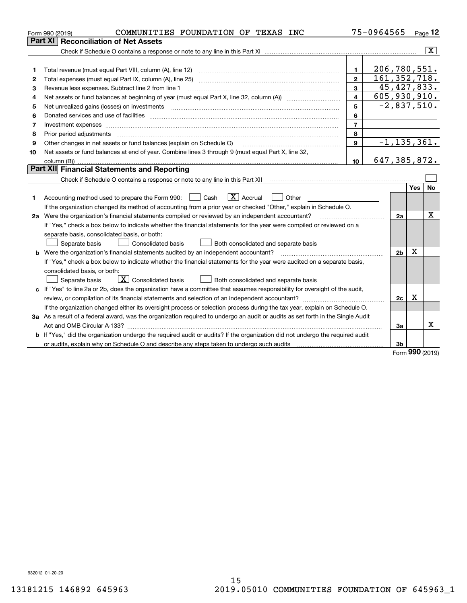|    | COMMUNITIES FOUNDATION OF TEXAS INC<br>Form 990 (2019)                                                                                                                                                                         |                         | 75-0964565     |                 |     | Page $12$               |
|----|--------------------------------------------------------------------------------------------------------------------------------------------------------------------------------------------------------------------------------|-------------------------|----------------|-----------------|-----|-------------------------|
|    | Part XI<br><b>Reconciliation of Net Assets</b>                                                                                                                                                                                 |                         |                |                 |     |                         |
|    |                                                                                                                                                                                                                                |                         |                |                 |     | $\overline{\mathbf{x}}$ |
|    |                                                                                                                                                                                                                                |                         |                |                 |     |                         |
| 1  |                                                                                                                                                                                                                                | 1                       | 206,780,551.   |                 |     |                         |
| 2  |                                                                                                                                                                                                                                | $\overline{2}$          | 161, 352, 718. |                 |     |                         |
| з  | Revenue less expenses. Subtract line 2 from line 1                                                                                                                                                                             | $\overline{3}$          |                | 45, 427, 833.   |     |                         |
| 4  |                                                                                                                                                                                                                                | $\overline{\mathbf{4}}$ | 605,930,910.   |                 |     |                         |
| 5  |                                                                                                                                                                                                                                | 5                       |                | $-2,837,510.$   |     |                         |
| 6  |                                                                                                                                                                                                                                | 6                       |                |                 |     |                         |
| 7  |                                                                                                                                                                                                                                | $\overline{7}$          |                |                 |     |                         |
| 8  | Prior period adjustments material contents and content of the content of the content of the content of the content of the content of the content of the content of the content of the content of the content of the content of | 8                       |                |                 |     |                         |
| 9  | Other changes in net assets or fund balances (explain on Schedule O)                                                                                                                                                           | 9                       |                | $-1, 135, 361.$ |     |                         |
| 10 | Net assets or fund balances at end of year. Combine lines 3 through 9 (must equal Part X, line 32,                                                                                                                             |                         |                |                 |     |                         |
|    |                                                                                                                                                                                                                                | 10                      | 647, 385, 872. |                 |     |                         |
|    | Part XII Financial Statements and Reporting                                                                                                                                                                                    |                         |                |                 |     |                         |
|    |                                                                                                                                                                                                                                |                         |                |                 |     |                         |
|    |                                                                                                                                                                                                                                |                         |                |                 | Yes | No                      |
| 1  | $\mathbf{X}$ Accrual<br>Accounting method used to prepare the Form 990: <u>I</u> Cash<br>Other<br>$\pm$                                                                                                                        |                         |                |                 |     |                         |
|    | If the organization changed its method of accounting from a prior year or checked "Other," explain in Schedule O.                                                                                                              |                         |                |                 |     |                         |
|    | 2a Were the organization's financial statements compiled or reviewed by an independent accountant?                                                                                                                             |                         |                | 2a              |     | X                       |
|    | If "Yes," check a box below to indicate whether the financial statements for the year were compiled or reviewed on a                                                                                                           |                         |                |                 |     |                         |
|    | separate basis, consolidated basis, or both:                                                                                                                                                                                   |                         |                |                 |     |                         |
|    | Both consolidated and separate basis<br>Separate basis<br>Consolidated basis                                                                                                                                                   |                         |                |                 |     |                         |
|    | <b>b</b> Were the organization's financial statements audited by an independent accountant?                                                                                                                                    |                         |                | 2 <sub>b</sub>  | х   |                         |
|    | If "Yes," check a box below to indicate whether the financial statements for the year were audited on a separate basis,                                                                                                        |                         |                |                 |     |                         |
|    | consolidated basis, or both:                                                                                                                                                                                                   |                         |                |                 |     |                         |
|    | $\vert$ X $\vert$ Consolidated basis<br>Both consolidated and separate basis<br>Separate basis                                                                                                                                 |                         |                |                 |     |                         |
|    | c If "Yes" to line 2a or 2b, does the organization have a committee that assumes responsibility for oversight of the audit,                                                                                                    |                         |                |                 |     |                         |
|    | review, or compilation of its financial statements and selection of an independent accountant?                                                                                                                                 |                         |                | 2c              | x   |                         |
|    | If the organization changed either its oversight process or selection process during the tax year, explain on Schedule O.                                                                                                      |                         |                |                 |     |                         |
|    | 3a As a result of a federal award, was the organization required to undergo an audit or audits as set forth in the Single Audit                                                                                                |                         |                |                 |     |                         |
|    |                                                                                                                                                                                                                                |                         |                | За              |     | х                       |
|    | <b>b</b> If "Yes," did the organization undergo the required audit or audits? If the organization did not undergo the required audit                                                                                           |                         |                |                 |     |                         |
|    | or audits, explain why on Schedule O and describe any steps taken to undergo such audits [11] content to under                                                                                                                 |                         |                | 3b              |     |                         |

Form (2019) **990**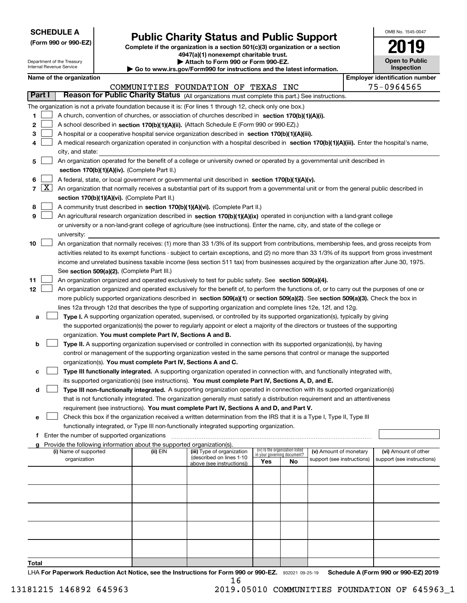| <b>SCHEDULE A</b> |
|-------------------|
|-------------------|

**(Form 990 or 990-EZ)**

## **Public Charity Status and Public Support**

**Complete if the organization is a section 501(c)(3) organization or a section 4947(a)(1) nonexempt charitable trust. | Attach to Form 990 or Form 990-EZ.** 

| OMB No. 1545-0047     |
|-----------------------|
| 201!                  |
| <b>Open to Public</b> |

| Department of the Treasury<br>Attach to Form 990 or Form 990-EZ.<br>Internal Revenue Service<br>$\blacktriangleright$ Go to www.irs.gov/Form990 for instructions and the latest information. |  |                                                                                                                                                                                                                                               |                                               |                                                                        |                                                                                                                                               | <b>Open to Public</b><br>Inspection |                                                                |                            |  |                                       |  |  |  |
|----------------------------------------------------------------------------------------------------------------------------------------------------------------------------------------------|--|-----------------------------------------------------------------------------------------------------------------------------------------------------------------------------------------------------------------------------------------------|-----------------------------------------------|------------------------------------------------------------------------|-----------------------------------------------------------------------------------------------------------------------------------------------|-------------------------------------|----------------------------------------------------------------|----------------------------|--|---------------------------------------|--|--|--|
|                                                                                                                                                                                              |  | Name of the organization                                                                                                                                                                                                                      |                                               |                                                                        |                                                                                                                                               |                                     |                                                                |                            |  | <b>Employer identification number</b> |  |  |  |
|                                                                                                                                                                                              |  |                                                                                                                                                                                                                                               |                                               |                                                                        | COMMUNITIES FOUNDATION OF TEXAS INC                                                                                                           |                                     |                                                                |                            |  | 75-0964565                            |  |  |  |
| Part I                                                                                                                                                                                       |  |                                                                                                                                                                                                                                               |                                               |                                                                        | Reason for Public Charity Status (All organizations must complete this part.) See instructions.                                               |                                     |                                                                |                            |  |                                       |  |  |  |
|                                                                                                                                                                                              |  |                                                                                                                                                                                                                                               |                                               |                                                                        | The organization is not a private foundation because it is: (For lines 1 through 12, check only one box.)                                     |                                     |                                                                |                            |  |                                       |  |  |  |
| 1.                                                                                                                                                                                           |  |                                                                                                                                                                                                                                               |                                               |                                                                        | A church, convention of churches, or association of churches described in section $170(b)(1)(A)(i)$ .                                         |                                     |                                                                |                            |  |                                       |  |  |  |
| 2                                                                                                                                                                                            |  |                                                                                                                                                                                                                                               |                                               |                                                                        | A school described in section 170(b)(1)(A)(ii). (Attach Schedule E (Form 990 or 990-EZ).)                                                     |                                     |                                                                |                            |  |                                       |  |  |  |
| з                                                                                                                                                                                            |  |                                                                                                                                                                                                                                               |                                               |                                                                        | A hospital or a cooperative hospital service organization described in section 170(b)(1)(A)(iii).                                             |                                     |                                                                |                            |  |                                       |  |  |  |
| 4                                                                                                                                                                                            |  |                                                                                                                                                                                                                                               |                                               |                                                                        | A medical research organization operated in conjunction with a hospital described in section 170(b)(1)(A)(iii). Enter the hospital's name,    |                                     |                                                                |                            |  |                                       |  |  |  |
|                                                                                                                                                                                              |  | city, and state:                                                                                                                                                                                                                              |                                               |                                                                        |                                                                                                                                               |                                     |                                                                |                            |  |                                       |  |  |  |
| 5                                                                                                                                                                                            |  |                                                                                                                                                                                                                                               |                                               |                                                                        | An organization operated for the benefit of a college or university owned or operated by a governmental unit described in                     |                                     |                                                                |                            |  |                                       |  |  |  |
|                                                                                                                                                                                              |  |                                                                                                                                                                                                                                               |                                               | section 170(b)(1)(A)(iv). (Complete Part II.)                          |                                                                                                                                               |                                     |                                                                |                            |  |                                       |  |  |  |
| 6                                                                                                                                                                                            |  |                                                                                                                                                                                                                                               |                                               |                                                                        |                                                                                                                                               |                                     |                                                                |                            |  |                                       |  |  |  |
| $7 \times$                                                                                                                                                                                   |  | A federal, state, or local government or governmental unit described in section 170(b)(1)(A)(v).<br>An organization that normally receives a substantial part of its support from a governmental unit or from the general public described in |                                               |                                                                        |                                                                                                                                               |                                     |                                                                |                            |  |                                       |  |  |  |
|                                                                                                                                                                                              |  | section 170(b)(1)(A)(vi). (Complete Part II.)                                                                                                                                                                                                 |                                               |                                                                        |                                                                                                                                               |                                     |                                                                |                            |  |                                       |  |  |  |
| 8                                                                                                                                                                                            |  | A community trust described in section 170(b)(1)(A)(vi). (Complete Part II.)                                                                                                                                                                  |                                               |                                                                        |                                                                                                                                               |                                     |                                                                |                            |  |                                       |  |  |  |
| 9                                                                                                                                                                                            |  |                                                                                                                                                                                                                                               |                                               |                                                                        | An agricultural research organization described in section 170(b)(1)(A)(ix) operated in conjunction with a land-grant college                 |                                     |                                                                |                            |  |                                       |  |  |  |
|                                                                                                                                                                                              |  |                                                                                                                                                                                                                                               |                                               |                                                                        | or university or a non-land-grant college of agriculture (see instructions). Enter the name, city, and state of the college or                |                                     |                                                                |                            |  |                                       |  |  |  |
|                                                                                                                                                                                              |  | university:                                                                                                                                                                                                                                   |                                               |                                                                        |                                                                                                                                               |                                     |                                                                |                            |  |                                       |  |  |  |
| 10                                                                                                                                                                                           |  |                                                                                                                                                                                                                                               |                                               |                                                                        | An organization that normally receives: (1) more than 33 1/3% of its support from contributions, membership fees, and gross receipts from     |                                     |                                                                |                            |  |                                       |  |  |  |
|                                                                                                                                                                                              |  |                                                                                                                                                                                                                                               |                                               |                                                                        | activities related to its exempt functions - subject to certain exceptions, and (2) no more than 33 1/3% of its support from gross investment |                                     |                                                                |                            |  |                                       |  |  |  |
|                                                                                                                                                                                              |  |                                                                                                                                                                                                                                               |                                               |                                                                        | income and unrelated business taxable income (less section 511 tax) from businesses acquired by the organization after June 30, 1975.         |                                     |                                                                |                            |  |                                       |  |  |  |
|                                                                                                                                                                                              |  |                                                                                                                                                                                                                                               |                                               | See section 509(a)(2). (Complete Part III.)                            |                                                                                                                                               |                                     |                                                                |                            |  |                                       |  |  |  |
| 11                                                                                                                                                                                           |  |                                                                                                                                                                                                                                               |                                               |                                                                        | An organization organized and operated exclusively to test for public safety. See section 509(a)(4).                                          |                                     |                                                                |                            |  |                                       |  |  |  |
| 12                                                                                                                                                                                           |  |                                                                                                                                                                                                                                               |                                               |                                                                        | An organization organized and operated exclusively for the benefit of, to perform the functions of, or to carry out the purposes of one or    |                                     |                                                                |                            |  |                                       |  |  |  |
|                                                                                                                                                                                              |  |                                                                                                                                                                                                                                               |                                               |                                                                        | more publicly supported organizations described in section 509(a)(1) or section 509(a)(2). See section 509(a)(3). Check the box in            |                                     |                                                                |                            |  |                                       |  |  |  |
|                                                                                                                                                                                              |  |                                                                                                                                                                                                                                               |                                               |                                                                        | lines 12a through 12d that describes the type of supporting organization and complete lines 12e, 12f, and 12g.                                |                                     |                                                                |                            |  |                                       |  |  |  |
| а                                                                                                                                                                                            |  |                                                                                                                                                                                                                                               |                                               |                                                                        | Type I. A supporting organization operated, supervised, or controlled by its supported organization(s), typically by giving                   |                                     |                                                                |                            |  |                                       |  |  |  |
|                                                                                                                                                                                              |  |                                                                                                                                                                                                                                               |                                               |                                                                        | the supported organization(s) the power to regularly appoint or elect a majority of the directors or trustees of the supporting               |                                     |                                                                |                            |  |                                       |  |  |  |
|                                                                                                                                                                                              |  |                                                                                                                                                                                                                                               |                                               | organization. You must complete Part IV, Sections A and B.             |                                                                                                                                               |                                     |                                                                |                            |  |                                       |  |  |  |
| b                                                                                                                                                                                            |  |                                                                                                                                                                                                                                               |                                               |                                                                        | Type II. A supporting organization supervised or controlled in connection with its supported organization(s), by having                       |                                     |                                                                |                            |  |                                       |  |  |  |
|                                                                                                                                                                                              |  |                                                                                                                                                                                                                                               |                                               |                                                                        | control or management of the supporting organization vested in the same persons that control or manage the supported                          |                                     |                                                                |                            |  |                                       |  |  |  |
|                                                                                                                                                                                              |  |                                                                                                                                                                                                                                               |                                               |                                                                        | organization(s). You must complete Part IV, Sections A and C.                                                                                 |                                     |                                                                |                            |  |                                       |  |  |  |
| с                                                                                                                                                                                            |  |                                                                                                                                                                                                                                               |                                               |                                                                        | Type III functionally integrated. A supporting organization operated in connection with, and functionally integrated with,                    |                                     |                                                                |                            |  |                                       |  |  |  |
|                                                                                                                                                                                              |  |                                                                                                                                                                                                                                               |                                               |                                                                        | its supported organization(s) (see instructions). You must complete Part IV, Sections A, D, and E.                                            |                                     |                                                                |                            |  |                                       |  |  |  |
| d                                                                                                                                                                                            |  |                                                                                                                                                                                                                                               |                                               |                                                                        | Type III non-functionally integrated. A supporting organization operated in connection with its supported organization(s)                     |                                     |                                                                |                            |  |                                       |  |  |  |
|                                                                                                                                                                                              |  |                                                                                                                                                                                                                                               |                                               |                                                                        | that is not functionally integrated. The organization generally must satisfy a distribution requirement and an attentiveness                  |                                     |                                                                |                            |  |                                       |  |  |  |
|                                                                                                                                                                                              |  |                                                                                                                                                                                                                                               |                                               |                                                                        | requirement (see instructions). You must complete Part IV, Sections A and D, and Part V.                                                      |                                     |                                                                |                            |  |                                       |  |  |  |
| е                                                                                                                                                                                            |  |                                                                                                                                                                                                                                               |                                               |                                                                        | Check this box if the organization received a written determination from the IRS that it is a Type I, Type II, Type III                       |                                     |                                                                |                            |  |                                       |  |  |  |
|                                                                                                                                                                                              |  |                                                                                                                                                                                                                                               |                                               |                                                                        | functionally integrated, or Type III non-functionally integrated supporting organization.                                                     |                                     |                                                                |                            |  |                                       |  |  |  |
|                                                                                                                                                                                              |  |                                                                                                                                                                                                                                               | f Enter the number of supported organizations |                                                                        |                                                                                                                                               |                                     |                                                                |                            |  |                                       |  |  |  |
|                                                                                                                                                                                              |  |                                                                                                                                                                                                                                               |                                               | Provide the following information about the supported organization(s). |                                                                                                                                               |                                     |                                                                |                            |  |                                       |  |  |  |
|                                                                                                                                                                                              |  | (i) Name of supported                                                                                                                                                                                                                         |                                               | (ii) EIN                                                               | (iii) Type of organization                                                                                                                    |                                     | (iv) Is the organization listed<br>in your governing document? | (v) Amount of monetary     |  | (vi) Amount of other                  |  |  |  |
|                                                                                                                                                                                              |  | organization                                                                                                                                                                                                                                  |                                               |                                                                        | (described on lines 1-10<br>above (see instructions))                                                                                         | Yes                                 | No                                                             | support (see instructions) |  | support (see instructions)            |  |  |  |
|                                                                                                                                                                                              |  |                                                                                                                                                                                                                                               |                                               |                                                                        |                                                                                                                                               |                                     |                                                                |                            |  |                                       |  |  |  |
|                                                                                                                                                                                              |  |                                                                                                                                                                                                                                               |                                               |                                                                        |                                                                                                                                               |                                     |                                                                |                            |  |                                       |  |  |  |
|                                                                                                                                                                                              |  |                                                                                                                                                                                                                                               |                                               |                                                                        |                                                                                                                                               |                                     |                                                                |                            |  |                                       |  |  |  |
|                                                                                                                                                                                              |  |                                                                                                                                                                                                                                               |                                               |                                                                        |                                                                                                                                               |                                     |                                                                |                            |  |                                       |  |  |  |
|                                                                                                                                                                                              |  |                                                                                                                                                                                                                                               |                                               |                                                                        |                                                                                                                                               |                                     |                                                                |                            |  |                                       |  |  |  |
|                                                                                                                                                                                              |  |                                                                                                                                                                                                                                               |                                               |                                                                        |                                                                                                                                               |                                     |                                                                |                            |  |                                       |  |  |  |
|                                                                                                                                                                                              |  |                                                                                                                                                                                                                                               |                                               |                                                                        |                                                                                                                                               |                                     |                                                                |                            |  |                                       |  |  |  |
|                                                                                                                                                                                              |  |                                                                                                                                                                                                                                               |                                               |                                                                        |                                                                                                                                               |                                     |                                                                |                            |  |                                       |  |  |  |
|                                                                                                                                                                                              |  |                                                                                                                                                                                                                                               |                                               |                                                                        |                                                                                                                                               |                                     |                                                                |                            |  |                                       |  |  |  |
|                                                                                                                                                                                              |  |                                                                                                                                                                                                                                               |                                               |                                                                        |                                                                                                                                               |                                     |                                                                |                            |  |                                       |  |  |  |
|                                                                                                                                                                                              |  |                                                                                                                                                                                                                                               |                                               |                                                                        |                                                                                                                                               |                                     |                                                                |                            |  |                                       |  |  |  |

**Total**

LHA For Paperwork Reduction Act Notice, see the Instructions for Form 990 or 990-EZ. 932021 09-25-19 Schedule A (Form 990 or 990-EZ) 2019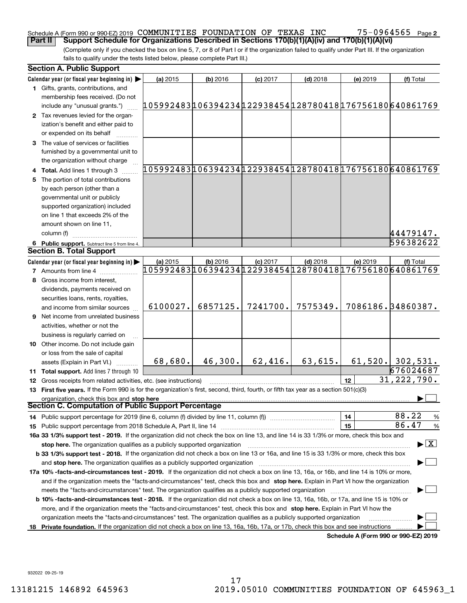### Schedule A (Form 990 or 990-EZ) 2019 Page COMMUNITIES FOUNDATION OF TEXAS INC 75-0964565 **Part II Support Schedule for Organizations Described in Sections 170(b)(1)(A)(iv) and 170(b)(1)(A)(vi)**

75-0964565 <sub>Page 2</sub>

(Complete only if you checked the box on line 5, 7, or 8 of Part I or if the organization failed to qualify under Part III. If the organization fails to qualify under the tests listed below, please complete Part III.)

|     | <b>Section A. Public Support</b>                                                                                                               |                                                       |            |            |                                                         |                                      |                                                        |
|-----|------------------------------------------------------------------------------------------------------------------------------------------------|-------------------------------------------------------|------------|------------|---------------------------------------------------------|--------------------------------------|--------------------------------------------------------|
|     | Calendar year (or fiscal year beginning in) $\blacktriangleright$                                                                              | (a) 2015                                              | $(b)$ 2016 | $(c)$ 2017 | $(d)$ 2018                                              | (e) 2019                             | (f) Total                                              |
|     | <b>1</b> Gifts, grants, contributions, and<br>membership fees received. (Do not                                                                |                                                       |            |            |                                                         |                                      |                                                        |
|     | include any "unusual grants.")                                                                                                                 | 05992483106394234122938454128780418176756180640861769 |            |            |                                                         |                                      |                                                        |
|     | 2 Tax revenues levied for the organ-<br>ization's benefit and either paid to<br>or expended on its behalf                                      |                                                       |            |            |                                                         |                                      |                                                        |
|     | 3 The value of services or facilities<br>furnished by a governmental unit to                                                                   |                                                       |            |            |                                                         |                                      |                                                        |
|     | the organization without charge                                                                                                                |                                                       |            |            |                                                         |                                      |                                                        |
|     | 4 Total. Add lines 1 through 3                                                                                                                 |                                                       |            |            |                                                         |                                      | 105992483106394234122938454128780418176756180640861769 |
| 5   | The portion of total contributions                                                                                                             |                                                       |            |            |                                                         |                                      |                                                        |
|     | by each person (other than a                                                                                                                   |                                                       |            |            |                                                         |                                      |                                                        |
|     | governmental unit or publicly                                                                                                                  |                                                       |            |            |                                                         |                                      |                                                        |
|     | supported organization) included                                                                                                               |                                                       |            |            |                                                         |                                      |                                                        |
|     | on line 1 that exceeds 2% of the                                                                                                               |                                                       |            |            |                                                         |                                      |                                                        |
|     | amount shown on line 11,                                                                                                                       |                                                       |            |            |                                                         |                                      |                                                        |
|     | column (f)                                                                                                                                     |                                                       |            |            |                                                         |                                      | 44479147.                                              |
|     | 6 Public support. Subtract line 5 from line 4.                                                                                                 |                                                       |            |            |                                                         |                                      | 596382622                                              |
|     | <b>Section B. Total Support</b>                                                                                                                |                                                       |            |            |                                                         |                                      |                                                        |
|     | Calendar year (or fiscal year beginning in)                                                                                                    | (a) 2015                                              | (b) 2016   | $(c)$ 2017 | $(d)$ 2018                                              | (e) 2019                             | (f) Total                                              |
|     | <b>7</b> Amounts from line 4                                                                                                                   |                                                       |            |            | 105992483106394234122938454128780418176756180 640861769 |                                      |                                                        |
|     | Gross income from interest,                                                                                                                    |                                                       |            |            |                                                         |                                      |                                                        |
|     | dividends, payments received on                                                                                                                |                                                       |            |            |                                                         |                                      |                                                        |
|     | securities loans, rents, royalties,                                                                                                            |                                                       |            |            |                                                         |                                      |                                                        |
|     | and income from similar sources                                                                                                                | 6100027.                                              | 6857125.   | 7241700.   | 7575349.                                                |                                      | 7086186.34860387.                                      |
|     | <b>9</b> Net income from unrelated business                                                                                                    |                                                       |            |            |                                                         |                                      |                                                        |
|     | activities, whether or not the                                                                                                                 |                                                       |            |            |                                                         |                                      |                                                        |
|     | business is regularly carried on                                                                                                               |                                                       |            |            |                                                         |                                      |                                                        |
|     | 10 Other income. Do not include gain                                                                                                           |                                                       |            |            |                                                         |                                      |                                                        |
|     | or loss from the sale of capital                                                                                                               |                                                       |            |            |                                                         |                                      |                                                        |
|     | assets (Explain in Part VI.)                                                                                                                   | 68,680.                                               | 46,300.    | 62,416.    | 63,615.                                                 |                                      | $61,520.$ 302,531.                                     |
|     | <b>11 Total support.</b> Add lines 7 through 10                                                                                                |                                                       |            |            |                                                         |                                      | 676024687                                              |
|     | 12 Gross receipts from related activities, etc. (see instructions)                                                                             |                                                       |            |            |                                                         | 12                                   | 31, 222, 790.                                          |
|     | 13 First five years. If the Form 990 is for the organization's first, second, third, fourth, or fifth tax year as a section 501(c)(3)          |                                                       |            |            |                                                         |                                      |                                                        |
|     | organization, check this box and stop here<br>Section C. Computation of Public Support Percentage                                              |                                                       |            |            |                                                         |                                      |                                                        |
|     | 14 Public support percentage for 2019 (line 6, column (f) divided by line 11, column (f) <i></i>                                               |                                                       |            |            |                                                         | 14                                   | 88.22<br>%                                             |
|     |                                                                                                                                                |                                                       |            |            |                                                         | 15                                   | 86.47<br>$\%$                                          |
|     | 16a 33 1/3% support test - 2019. If the organization did not check the box on line 13, and line 14 is 33 1/3% or more, check this box and      |                                                       |            |            |                                                         |                                      |                                                        |
|     | stop here. The organization qualifies as a publicly supported organization                                                                     |                                                       |            |            |                                                         |                                      | $\blacktriangleright$ $\boxed{\text{X}}$               |
|     | b 33 1/3% support test - 2018. If the organization did not check a box on line 13 or 16a, and line 15 is 33 1/3% or more, check this box       |                                                       |            |            |                                                         |                                      |                                                        |
|     | and <b>stop here.</b> The organization qualifies as a publicly supported organization                                                          |                                                       |            |            |                                                         |                                      |                                                        |
|     | 17a 10% -facts-and-circumstances test - 2019. If the organization did not check a box on line 13, 16a, or 16b, and line 14 is 10% or more,     |                                                       |            |            |                                                         |                                      |                                                        |
|     | and if the organization meets the "facts-and-circumstances" test, check this box and stop here. Explain in Part VI how the organization        |                                                       |            |            |                                                         |                                      |                                                        |
|     |                                                                                                                                                |                                                       |            |            |                                                         |                                      |                                                        |
|     | <b>b 10% -facts-and-circumstances test - 2018.</b> If the organization did not check a box on line 13, 16a, 16b, or 17a, and line 15 is 10% or |                                                       |            |            |                                                         |                                      |                                                        |
|     | more, and if the organization meets the "facts-and-circumstances" test, check this box and stop here. Explain in Part VI how the               |                                                       |            |            |                                                         |                                      |                                                        |
|     | organization meets the "facts-and-circumstances" test. The organization qualifies as a publicly supported organization                         |                                                       |            |            |                                                         |                                      |                                                        |
| 18. | Private foundation. If the organization did not check a box on line 13, 16a, 16b, 17a, or 17b, check this box and see instructions             |                                                       |            |            |                                                         |                                      |                                                        |
|     |                                                                                                                                                |                                                       |            |            |                                                         | Schedule A (Form 990 or 990-EZ) 2019 |                                                        |

932022 09-25-19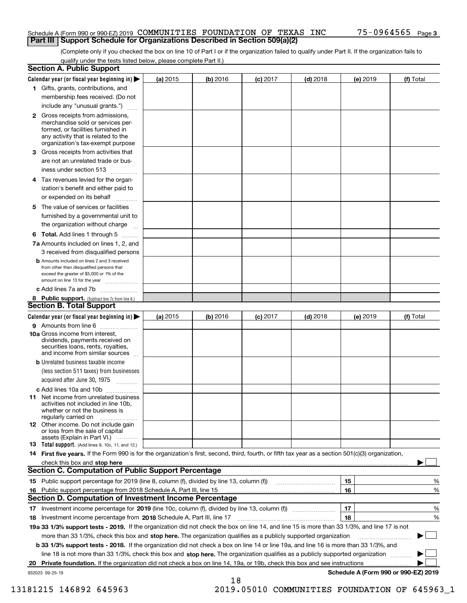### Schedule A (Form 990 or 990-EZ) 2019 Page COMMUNITIES FOUNDATION OF TEXAS INC 75-0964565 **Part III Support Schedule for Organizations Described in Section 509(a)(2)**

(Complete only if you checked the box on line 10 of Part I or if the organization failed to qualify under Part II. If the organization fails to qualify under the tests listed below, please complete Part II.)

|    | <b>Section A. Public Support</b>                                                                                                                                                                                               |          |          |                 |            |          |                                      |
|----|--------------------------------------------------------------------------------------------------------------------------------------------------------------------------------------------------------------------------------|----------|----------|-----------------|------------|----------|--------------------------------------|
|    | Calendar year (or fiscal year beginning in) $\blacktriangleright$                                                                                                                                                              | (a) 2015 | (b) 2016 | <b>(c)</b> 2017 | $(d)$ 2018 | (e) 2019 | (f) Total                            |
|    | 1 Gifts, grants, contributions, and                                                                                                                                                                                            |          |          |                 |            |          |                                      |
|    | membership fees received. (Do not                                                                                                                                                                                              |          |          |                 |            |          |                                      |
|    | include any "unusual grants.")                                                                                                                                                                                                 |          |          |                 |            |          |                                      |
|    | <b>2</b> Gross receipts from admissions,<br>merchandise sold or services per-<br>formed, or facilities furnished in<br>any activity that is related to the<br>organization's tax-exempt purpose                                |          |          |                 |            |          |                                      |
|    | 3 Gross receipts from activities that<br>are not an unrelated trade or bus-                                                                                                                                                    |          |          |                 |            |          |                                      |
|    | iness under section 513                                                                                                                                                                                                        |          |          |                 |            |          |                                      |
|    | 4 Tax revenues levied for the organ-<br>ization's benefit and either paid to                                                                                                                                                   |          |          |                 |            |          |                                      |
|    | or expended on its behalf                                                                                                                                                                                                      |          |          |                 |            |          |                                      |
|    | 5 The value of services or facilities<br>furnished by a governmental unit to                                                                                                                                                   |          |          |                 |            |          |                                      |
|    | the organization without charge                                                                                                                                                                                                |          |          |                 |            |          |                                      |
|    | <b>6 Total.</b> Add lines 1 through 5                                                                                                                                                                                          |          |          |                 |            |          |                                      |
|    | 7a Amounts included on lines 1, 2, and<br>3 received from disqualified persons                                                                                                                                                 |          |          |                 |            |          |                                      |
|    | <b>b</b> Amounts included on lines 2 and 3 received<br>from other than disqualified persons that<br>exceed the greater of \$5,000 or 1% of the<br>amount on line 13 for the year                                               |          |          |                 |            |          |                                      |
|    | c Add lines 7a and 7b                                                                                                                                                                                                          |          |          |                 |            |          |                                      |
|    | 8 Public support. (Subtract line 7c from line 6.)<br><b>Section B. Total Support</b>                                                                                                                                           |          |          |                 |            |          |                                      |
|    | Calendar year (or fiscal year beginning in)                                                                                                                                                                                    | (a) 2015 | (b) 2016 | $(c)$ 2017      | $(d)$ 2018 | (e) 2019 | (f) Total                            |
|    | 9 Amounts from line 6                                                                                                                                                                                                          |          |          |                 |            |          |                                      |
|    | <b>10a</b> Gross income from interest,<br>dividends, payments received on<br>securities loans, rents, royalties,<br>and income from similar sources                                                                            |          |          |                 |            |          |                                      |
|    | <b>b</b> Unrelated business taxable income<br>(less section 511 taxes) from businesses                                                                                                                                         |          |          |                 |            |          |                                      |
|    | acquired after June 30, 1975                                                                                                                                                                                                   |          |          |                 |            |          |                                      |
|    | c Add lines 10a and 10b<br>11 Net income from unrelated business<br>activities not included in line 10b,<br>whether or not the business is                                                                                     |          |          |                 |            |          |                                      |
|    | regularly carried on<br><b>12</b> Other income. Do not include gain<br>or loss from the sale of capital                                                                                                                        |          |          |                 |            |          |                                      |
|    | assets (Explain in Part VI.)<br>13 Total support. (Add lines 9, 10c, 11, and 12.)                                                                                                                                              |          |          |                 |            |          |                                      |
|    | 14 First five years. If the Form 990 is for the organization's first, second, third, fourth, or fifth tax year as a section 501(c)(3) organization,                                                                            |          |          |                 |            |          |                                      |
|    | check this box and stop here measurements and contact the contract of the contract of the contract of the contract of the contract of the contract of the contract of the contract of the contract of the contract of the cont |          |          |                 |            |          |                                      |
|    | <b>Section C. Computation of Public Support Percentage</b>                                                                                                                                                                     |          |          |                 |            |          |                                      |
|    |                                                                                                                                                                                                                                |          |          |                 |            | 15       | %                                    |
| 16 | Public support percentage from 2018 Schedule A, Part III, line 15                                                                                                                                                              |          |          |                 |            | 16       | %                                    |
|    | <b>Section D. Computation of Investment Income Percentage</b>                                                                                                                                                                  |          |          |                 |            |          |                                      |
|    | 17 Investment income percentage for 2019 (line 10c, column (f), divided by line 13, column (f))                                                                                                                                |          |          |                 |            | 17       | %                                    |
|    | 18 Investment income percentage from 2018 Schedule A, Part III, line 17                                                                                                                                                        |          |          |                 |            | 18       | %                                    |
|    | 19a 33 1/3% support tests - 2019. If the organization did not check the box on line 14, and line 15 is more than 33 1/3%, and line 17 is not                                                                                   |          |          |                 |            |          |                                      |
|    | more than 33 1/3%, check this box and stop here. The organization qualifies as a publicly supported organization                                                                                                               |          |          |                 |            |          |                                      |
|    | b 33 1/3% support tests - 2018. If the organization did not check a box on line 14 or line 19a, and line 16 is more than 33 1/3%, and                                                                                          |          |          |                 |            |          |                                      |
|    | line 18 is not more than 33 1/3%, check this box and stop here. The organization qualifies as a publicly supported organization                                                                                                |          |          |                 |            |          |                                      |
| 20 | <b>Private foundation.</b> If the organization did not check a box on line 14, 19a, or 19b, check this box and see instructions                                                                                                |          |          |                 |            |          | .                                    |
|    | 932023 09-25-19                                                                                                                                                                                                                |          | 18       |                 |            |          | Schedule A (Form 990 or 990-EZ) 2019 |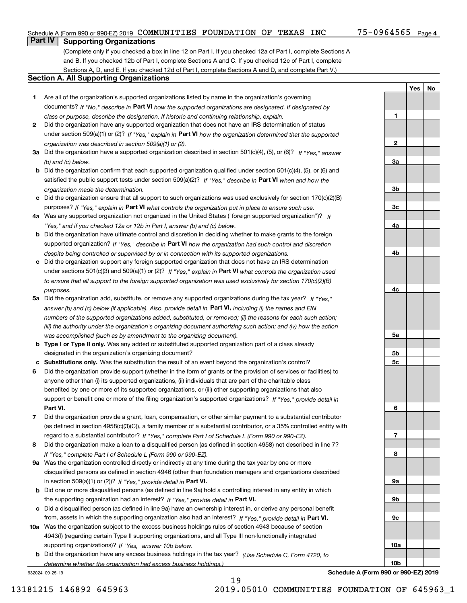**1**

**2**

**3a**

**3b**

**3c**

**4a**

**4b**

**YesNo**

## **Part IV Supporting Organizations**

(Complete only if you checked a box in line 12 on Part I. If you checked 12a of Part I, complete Sections A and B. If you checked 12b of Part I, complete Sections A and C. If you checked 12c of Part I, complete Sections A, D, and E. If you checked 12d of Part I, complete Sections A and D, and complete Part V.)

### **Section A. All Supporting Organizations**

- **1** Are all of the organization's supported organizations listed by name in the organization's governing documents? If "No," describe in **Part VI** how the supported organizations are designated. If designated by *class or purpose, describe the designation. If historic and continuing relationship, explain.*
- **2** Did the organization have any supported organization that does not have an IRS determination of status under section 509(a)(1) or (2)? If "Yes," explain in Part VI how the organization determined that the supported *organization was described in section 509(a)(1) or (2).*
- **3a** Did the organization have a supported organization described in section 501(c)(4), (5), or (6)? If "Yes," answer *(b) and (c) below.*
- **b** Did the organization confirm that each supported organization qualified under section 501(c)(4), (5), or (6) and satisfied the public support tests under section 509(a)(2)? If "Yes," describe in **Part VI** when and how the *organization made the determination.*
- **c**Did the organization ensure that all support to such organizations was used exclusively for section 170(c)(2)(B) purposes? If "Yes," explain in **Part VI** what controls the organization put in place to ensure such use.
- **4a***If* Was any supported organization not organized in the United States ("foreign supported organization")? *"Yes," and if you checked 12a or 12b in Part I, answer (b) and (c) below.*
- **b** Did the organization have ultimate control and discretion in deciding whether to make grants to the foreign supported organization? If "Yes," describe in **Part VI** how the organization had such control and discretion *despite being controlled or supervised by or in connection with its supported organizations.*
- **c** Did the organization support any foreign supported organization that does not have an IRS determination under sections 501(c)(3) and 509(a)(1) or (2)? If "Yes," explain in **Part VI** what controls the organization used *to ensure that all support to the foreign supported organization was used exclusively for section 170(c)(2)(B) purposes.*
- **5a** Did the organization add, substitute, or remove any supported organizations during the tax year? If "Yes," answer (b) and (c) below (if applicable). Also, provide detail in **Part VI,** including (i) the names and EIN *numbers of the supported organizations added, substituted, or removed; (ii) the reasons for each such action; (iii) the authority under the organization's organizing document authorizing such action; and (iv) how the action was accomplished (such as by amendment to the organizing document).*
- **b** Type I or Type II only. Was any added or substituted supported organization part of a class already designated in the organization's organizing document?
- **cSubstitutions only.**  Was the substitution the result of an event beyond the organization's control?
- **6** Did the organization provide support (whether in the form of grants or the provision of services or facilities) to **Part VI.** *If "Yes," provide detail in* support or benefit one or more of the filing organization's supported organizations? anyone other than (i) its supported organizations, (ii) individuals that are part of the charitable class benefited by one or more of its supported organizations, or (iii) other supporting organizations that also
- **7**Did the organization provide a grant, loan, compensation, or other similar payment to a substantial contributor *If "Yes," complete Part I of Schedule L (Form 990 or 990-EZ).* regard to a substantial contributor? (as defined in section 4958(c)(3)(C)), a family member of a substantial contributor, or a 35% controlled entity with
- **8** Did the organization make a loan to a disqualified person (as defined in section 4958) not described in line 7? *If "Yes," complete Part I of Schedule L (Form 990 or 990-EZ).*
- **9a** Was the organization controlled directly or indirectly at any time during the tax year by one or more in section 509(a)(1) or (2))? If "Yes," *provide detail in* <code>Part VI.</code> disqualified persons as defined in section 4946 (other than foundation managers and organizations described
- **b** Did one or more disqualified persons (as defined in line 9a) hold a controlling interest in any entity in which the supporting organization had an interest? If "Yes," provide detail in P**art VI**.
- **c**Did a disqualified person (as defined in line 9a) have an ownership interest in, or derive any personal benefit from, assets in which the supporting organization also had an interest? If "Yes," provide detail in P**art VI.**
- **10a** Was the organization subject to the excess business holdings rules of section 4943 because of section supporting organizations)? If "Yes," answer 10b below. 4943(f) (regarding certain Type II supporting organizations, and all Type III non-functionally integrated
- **b** Did the organization have any excess business holdings in the tax year? (Use Schedule C, Form 4720, to *determine whether the organization had excess business holdings.)*

932024 09-25-19

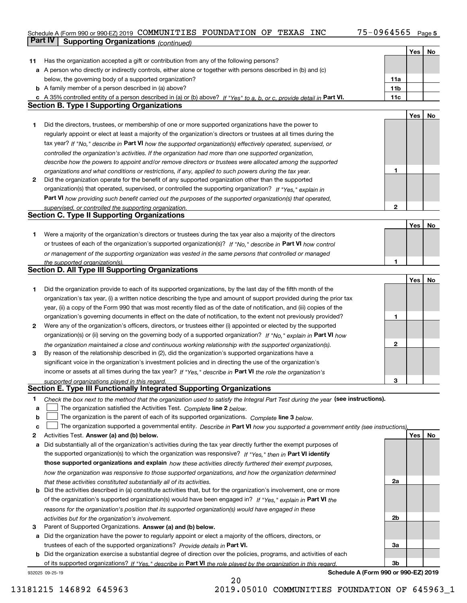## Schedule A (Form 990 or 990-EZ) 2019 Page COMMUNITIES FOUNDATION OF TEXAS INC 75-0964565 **Part IV** Supporting Organizations (*continued*)

|    |                                                                                                                                   |                 | Yes | No |
|----|-----------------------------------------------------------------------------------------------------------------------------------|-----------------|-----|----|
| 11 | Has the organization accepted a gift or contribution from any of the following persons?                                           |                 |     |    |
|    | a A person who directly or indirectly controls, either alone or together with persons described in (b) and (c)                    |                 |     |    |
|    | below, the governing body of a supported organization?                                                                            | 11a             |     |    |
|    | <b>b</b> A family member of a person described in (a) above?                                                                      | 11 <sub>b</sub> |     |    |
|    | c A 35% controlled entity of a person described in (a) or (b) above? If "Yes" to a, b, or c, provide detail in Part VI.           | 11c             |     |    |
|    | <b>Section B. Type I Supporting Organizations</b>                                                                                 |                 |     |    |
|    |                                                                                                                                   |                 | Yes | No |
| 1  | Did the directors, trustees, or membership of one or more supported organizations have the power to                               |                 |     |    |
|    | regularly appoint or elect at least a majority of the organization's directors or trustees at all times during the                |                 |     |    |
|    | tax year? If "No," describe in Part VI how the supported organization(s) effectively operated, supervised, or                     |                 |     |    |
|    | controlled the organization's activities. If the organization had more than one supported organization,                           |                 |     |    |
|    | describe how the powers to appoint and/or remove directors or trustees were allocated among the supported                         |                 |     |    |
|    | organizations and what conditions or restrictions, if any, applied to such powers during the tax year.                            | 1               |     |    |
| 2  | Did the organization operate for the benefit of any supported organization other than the supported                               |                 |     |    |
|    | organization(s) that operated, supervised, or controlled the supporting organization? If "Yes," explain in                        |                 |     |    |
|    | Part VI how providing such benefit carried out the purposes of the supported organization(s) that operated,                       |                 |     |    |
|    | supervised, or controlled the supporting organization.                                                                            | $\mathbf{2}$    |     |    |
|    | <b>Section C. Type II Supporting Organizations</b>                                                                                |                 |     |    |
|    |                                                                                                                                   |                 | Yes | No |
| 1. | Were a majority of the organization's directors or trustees during the tax year also a majority of the directors                  |                 |     |    |
|    | or trustees of each of the organization's supported organization(s)? If "No," describe in Part VI how control                     |                 |     |    |
|    | or management of the supporting organization was vested in the same persons that controlled or managed                            |                 |     |    |
|    | the supported organization(s).                                                                                                    | 1               |     |    |
|    | <b>Section D. All Type III Supporting Organizations</b>                                                                           |                 |     |    |
|    |                                                                                                                                   |                 | Yes | No |
| 1  | Did the organization provide to each of its supported organizations, by the last day of the fifth month of the                    |                 |     |    |
|    | organization's tax year, (i) a written notice describing the type and amount of support provided during the prior tax             |                 |     |    |
|    | year, (ii) a copy of the Form 990 that was most recently filed as of the date of notification, and (iii) copies of the            |                 |     |    |
|    | organization's governing documents in effect on the date of notification, to the extent not previously provided?                  | 1               |     |    |
| 2  | Were any of the organization's officers, directors, or trustees either (i) appointed or elected by the supported                  |                 |     |    |
|    | organization(s) or (ii) serving on the governing body of a supported organization? If "No," explain in Part VI how                |                 |     |    |
|    | the organization maintained a close and continuous working relationship with the supported organization(s).                       | $\mathbf{2}$    |     |    |
| 3  | By reason of the relationship described in (2), did the organization's supported organizations have a                             |                 |     |    |
|    | significant voice in the organization's investment policies and in directing the use of the organization's                        |                 |     |    |
|    | income or assets at all times during the tax year? If "Yes," describe in Part VI the role the organization's                      |                 |     |    |
|    | supported organizations played in this regard.                                                                                    | 3               |     |    |
|    | Section E. Type III Functionally Integrated Supporting Organizations                                                              |                 |     |    |
| 1  | Check the box next to the method that the organization used to satisfy the Integral Part Test during the year (see instructions). |                 |     |    |
| a  | The organization satisfied the Activities Test. Complete line 2 below.                                                            |                 |     |    |
| b  | The organization is the parent of each of its supported organizations. Complete line 3 below.                                     |                 |     |    |
| c  | The organization supported a governmental entity. Describe in Part VI how you supported a government entity (see instructions),   |                 |     |    |
| 2  | Activities Test. Answer (a) and (b) below.                                                                                        |                 | Yes | No |
| a  | Did substantially all of the organization's activities during the tax year directly further the exempt purposes of                |                 |     |    |
|    | the supported organization(s) to which the organization was responsive? If "Yes," then in Part VI identify                        |                 |     |    |
|    | those supported organizations and explain how these activities directly furthered their exempt purposes,                          |                 |     |    |
|    | how the organization was responsive to those supported organizations, and how the organization determined                         |                 |     |    |
|    | that these activities constituted substantially all of its activities.                                                            | 2a              |     |    |
| b  | Did the activities described in (a) constitute activities that, but for the organization's involvement, one or more               |                 |     |    |
|    | of the organization's supported organization(s) would have been engaged in? If "Yes," explain in Part VI the                      |                 |     |    |
|    | reasons for the organization's position that its supported organization(s) would have engaged in these                            |                 |     |    |
|    | activities but for the organization's involvement.                                                                                | 2b              |     |    |
| 3  | Parent of Supported Organizations. Answer (a) and (b) below.                                                                      |                 |     |    |
| а  | Did the organization have the power to regularly appoint or elect a majority of the officers, directors, or                       |                 |     |    |
|    | trustees of each of the supported organizations? Provide details in Part VI.                                                      | За              |     |    |
| b  | Did the organization exercise a substantial degree of direction over the policies, programs, and activities of each               |                 |     |    |
|    | of its supported organizations? If "Yes," describe in Part VI the role played by the organization in this regard.                 | 3b              |     |    |

20

932025 09-25-19

**Schedule A (Form 990 or 990-EZ) 2019**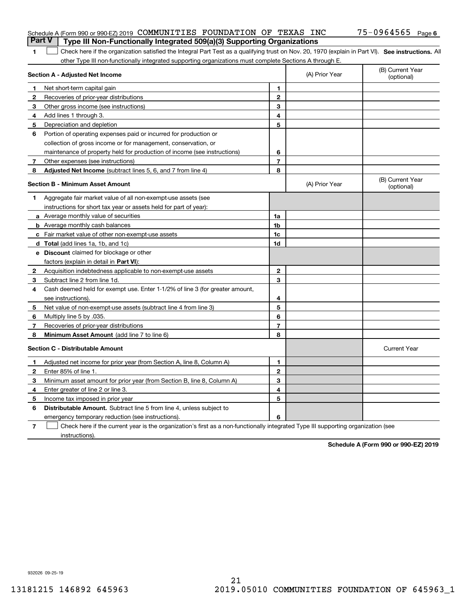| <b>Part V</b>  | Schedule A (Form 990 or 990-EZ) 2019 COMMUNITIES FOUNDATION OF TEXAS INC<br>Type III Non-Functionally Integrated 509(a)(3) Supporting Organizations |                |                | 75-0964565 Page 6              |
|----------------|-----------------------------------------------------------------------------------------------------------------------------------------------------|----------------|----------------|--------------------------------|
| 1              | Check here if the organization satisfied the Integral Part Test as a qualifying trust on Nov. 20, 1970 (explain in Part VI). See instructions. All  |                |                |                                |
|                | other Type III non-functionally integrated supporting organizations must complete Sections A through E.                                             |                |                |                                |
|                | <b>Section A - Adjusted Net Income</b>                                                                                                              |                | (A) Prior Year | (B) Current Year<br>(optional) |
|                | Net short-term capital gain                                                                                                                         | 1.             |                |                                |
| 2              | Recoveries of prior-year distributions                                                                                                              | $\mathbf{2}$   |                |                                |
| З              | Other gross income (see instructions)                                                                                                               | 3              |                |                                |
| 4              | Add lines 1 through 3.                                                                                                                              | 4              |                |                                |
| 5              | Depreciation and depletion                                                                                                                          | 5              |                |                                |
| 6              | Portion of operating expenses paid or incurred for production or                                                                                    |                |                |                                |
|                | collection of gross income or for management, conservation, or                                                                                      |                |                |                                |
|                | maintenance of property held for production of income (see instructions)                                                                            | 6              |                |                                |
| 7              | Other expenses (see instructions)                                                                                                                   | $\overline{7}$ |                |                                |
| 8              | Adjusted Net Income (subtract lines 5, 6, and 7 from line 4)                                                                                        | 8              |                |                                |
|                | <b>Section B - Minimum Asset Amount</b>                                                                                                             |                | (A) Prior Year | (B) Current Year<br>(optional) |
| 1              | Aggregate fair market value of all non-exempt-use assets (see                                                                                       |                |                |                                |
|                | instructions for short tax year or assets held for part of year):                                                                                   |                |                |                                |
|                | a Average monthly value of securities                                                                                                               | 1a             |                |                                |
|                | <b>b</b> Average monthly cash balances                                                                                                              | 1b             |                |                                |
|                | c Fair market value of other non-exempt-use assets                                                                                                  | 1c             |                |                                |
|                | d Total (add lines 1a, 1b, and 1c)                                                                                                                  | 1d             |                |                                |
|                | <b>e</b> Discount claimed for blockage or other                                                                                                     |                |                |                                |
|                | factors (explain in detail in Part VI):                                                                                                             |                |                |                                |
| 2              | Acquisition indebtedness applicable to non-exempt-use assets                                                                                        | $\mathbf{2}$   |                |                                |
| З              | Subtract line 2 from line 1d.                                                                                                                       | 3              |                |                                |
| 4              | Cash deemed held for exempt use. Enter 1-1/2% of line 3 (for greater amount,                                                                        |                |                |                                |
|                | see instructions).                                                                                                                                  | 4              |                |                                |
| 5              | Net value of non-exempt-use assets (subtract line 4 from line 3)                                                                                    | 5              |                |                                |
| 6              | Multiply line 5 by .035.                                                                                                                            | 6              |                |                                |
| 7              | Recoveries of prior-year distributions                                                                                                              | $\overline{7}$ |                |                                |
| 8              | Minimum Asset Amount (add line 7 to line 6)                                                                                                         | 8              |                |                                |
|                | <b>Section C - Distributable Amount</b>                                                                                                             |                |                | <b>Current Year</b>            |
|                | Adjusted net income for prior year (from Section A, line 8, Column A)                                                                               | 1              |                |                                |
|                | Enter 85% of line 1.                                                                                                                                | 2              |                |                                |
| 3              | Minimum asset amount for prior year (from Section B, line 8, Column A)                                                                              | 3              |                |                                |
| 4              | Enter greater of line 2 or line 3.                                                                                                                  | 4              |                |                                |
| 5              | Income tax imposed in prior year                                                                                                                    | 5              |                |                                |
| 6              | <b>Distributable Amount.</b> Subtract line 5 from line 4, unless subject to                                                                         |                |                |                                |
|                | emergency temporary reduction (see instructions).                                                                                                   | 6              |                |                                |
| $\overline{7}$ | Check here if the current year is the organization's first as a non-functionally integrated Type III supporting organization (see                   |                |                |                                |

instructions).

**Schedule A (Form 990 or 990-EZ) 2019**

932026 09-25-19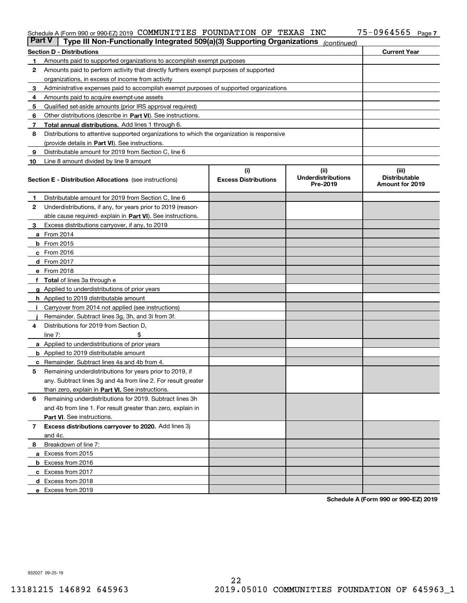### Schedule A (Form 990 or 990-EZ) 2019 COMMUNITILES FOUNDATION OF TEXAS INC 75─U964565 Page COMMUNITIES FOUNDATION OF TEXAS INC 75-0964565

| <b>Part V</b> | Type III Non-Functionally Integrated 509(a)(3) Supporting Organizations                    |                                    | (continued)                                    |                                                  |
|---------------|--------------------------------------------------------------------------------------------|------------------------------------|------------------------------------------------|--------------------------------------------------|
|               | <b>Section D - Distributions</b>                                                           |                                    |                                                | <b>Current Year</b>                              |
| 1             | Amounts paid to supported organizations to accomplish exempt purposes                      |                                    |                                                |                                                  |
| 2             | Amounts paid to perform activity that directly furthers exempt purposes of supported       |                                    |                                                |                                                  |
|               | organizations, in excess of income from activity                                           |                                    |                                                |                                                  |
| 3             | Administrative expenses paid to accomplish exempt purposes of supported organizations      |                                    |                                                |                                                  |
| 4             | Amounts paid to acquire exempt-use assets                                                  |                                    |                                                |                                                  |
| 5             | Qualified set-aside amounts (prior IRS approval required)                                  |                                    |                                                |                                                  |
| 6             | Other distributions (describe in Part VI). See instructions.                               |                                    |                                                |                                                  |
| 7             | Total annual distributions. Add lines 1 through 6.                                         |                                    |                                                |                                                  |
| 8             | Distributions to attentive supported organizations to which the organization is responsive |                                    |                                                |                                                  |
|               | (provide details in Part VI). See instructions.                                            |                                    |                                                |                                                  |
| 9             | Distributable amount for 2019 from Section C, line 6                                       |                                    |                                                |                                                  |
| 10            | Line 8 amount divided by line 9 amount                                                     |                                    |                                                |                                                  |
|               | <b>Section E - Distribution Allocations</b> (see instructions)                             | (i)<br><b>Excess Distributions</b> | (iii)<br><b>Underdistributions</b><br>Pre-2019 | (iii)<br><b>Distributable</b><br>Amount for 2019 |
| 1.            | Distributable amount for 2019 from Section C, line 6                                       |                                    |                                                |                                                  |
| 2             | Underdistributions, if any, for years prior to 2019 (reason-                               |                                    |                                                |                                                  |
|               | able cause required- explain in Part VI). See instructions.                                |                                    |                                                |                                                  |
| З             | Excess distributions carryover, if any, to 2019                                            |                                    |                                                |                                                  |
|               | <b>a</b> From 2014                                                                         |                                    |                                                |                                                  |
|               | <b>b</b> From 2015                                                                         |                                    |                                                |                                                  |
|               | $c$ From 2016                                                                              |                                    |                                                |                                                  |
|               | <b>d</b> From 2017                                                                         |                                    |                                                |                                                  |
|               | e From 2018                                                                                |                                    |                                                |                                                  |
|               | <b>Total</b> of lines 3a through e                                                         |                                    |                                                |                                                  |
|               | <b>g</b> Applied to underdistributions of prior years                                      |                                    |                                                |                                                  |
|               | <b>h</b> Applied to 2019 distributable amount                                              |                                    |                                                |                                                  |
|               | Carryover from 2014 not applied (see instructions)                                         |                                    |                                                |                                                  |
|               | Remainder. Subtract lines 3g, 3h, and 3i from 3f.                                          |                                    |                                                |                                                  |
| 4             | Distributions for 2019 from Section D,                                                     |                                    |                                                |                                                  |
|               | line $7:$                                                                                  |                                    |                                                |                                                  |
|               | <b>a</b> Applied to underdistributions of prior years                                      |                                    |                                                |                                                  |
|               | <b>b</b> Applied to 2019 distributable amount                                              |                                    |                                                |                                                  |
|               | c Remainder. Subtract lines 4a and 4b from 4.                                              |                                    |                                                |                                                  |
| 5             | Remaining underdistributions for years prior to 2019, if                                   |                                    |                                                |                                                  |
|               | any. Subtract lines 3g and 4a from line 2. For result greater                              |                                    |                                                |                                                  |
|               | than zero, explain in Part VI. See instructions.                                           |                                    |                                                |                                                  |
| 6             | Remaining underdistributions for 2019. Subtract lines 3h                                   |                                    |                                                |                                                  |
|               | and 4b from line 1. For result greater than zero, explain in                               |                                    |                                                |                                                  |
|               | Part VI. See instructions.                                                                 |                                    |                                                |                                                  |
| 7             | Excess distributions carryover to 2020. Add lines 3j                                       |                                    |                                                |                                                  |
|               | and 4c.                                                                                    |                                    |                                                |                                                  |
| 8             | Breakdown of line 7:                                                                       |                                    |                                                |                                                  |
|               | a Excess from 2015                                                                         |                                    |                                                |                                                  |
|               | <b>b</b> Excess from 2016                                                                  |                                    |                                                |                                                  |
|               | c Excess from 2017                                                                         |                                    |                                                |                                                  |
|               | d Excess from 2018                                                                         |                                    |                                                |                                                  |
|               | e Excess from 2019                                                                         |                                    |                                                |                                                  |

**Schedule A (Form 990 or 990-EZ) 2019**

932027 09-25-19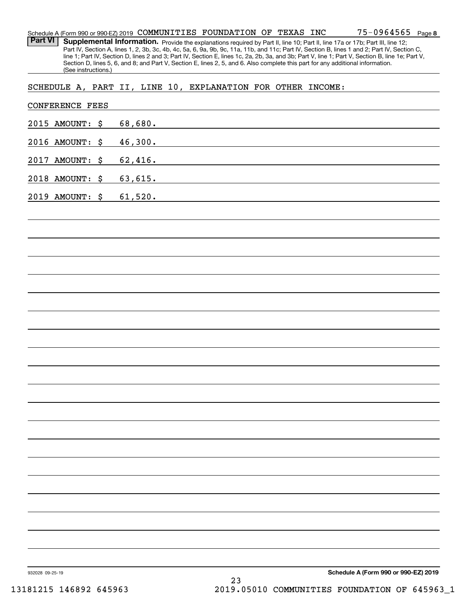**8** 75-0964565 Schedule A (Form 990 or 990-EZ) 2019 Page COMMUNITIES FOUNDATION OF TEXAS INC

Part VI | Supplemental Information. Provide the explanations required by Part II, line 10; Part II, line 17a or 17b; Part III, line 12; Part IV, Section A, lines 1, 2, 3b, 3c, 4b, 4c, 5a, 6, 9a, 9b, 9c, 11a, 11b, and 11c; Part IV, Section B, lines 1 and 2; Part IV, Section C, line 1; Part IV, Section D, lines 2 and 3; Part IV, Section E, lines 1c, 2a, 2b, 3a, and 3b; Part V, line 1; Part V, Section B, line 1e; Part V, Section D, lines 5, 6, and 8; and Part V, Section E, lines 2, 5, and 6. Also complete this part for any additional information. (See instructions.)

SCHEDULE A, PART II, LINE 10, EXPLANATION FOR OTHER INCOME:

|                 | <b>CONFERENCE FEES</b> |         |         |    |                                                                                                                                                                                                                               |                                      |
|-----------------|------------------------|---------|---------|----|-------------------------------------------------------------------------------------------------------------------------------------------------------------------------------------------------------------------------------|--------------------------------------|
|                 | 2015 AMOUNT: \$        | 68,680. |         |    | <u> 1980 - Johann Barn, mars and de Branch Barn, mars and de Branch Barn, mars and de Branch Barn, mars and de Br</u>                                                                                                         |                                      |
|                 | 2016 AMOUNT: \$        |         | 46,300. |    |                                                                                                                                                                                                                               |                                      |
| 2017            | AMOUNT: \$             |         | 62,416. |    |                                                                                                                                                                                                                               |                                      |
|                 | 2018 AMOUNT: \$        |         | 63,615. |    |                                                                                                                                                                                                                               |                                      |
|                 | 2019 AMOUNT: \$        | 61,520. |         |    | the control of the control of the control of the control of the control of the control of the control of the control of the control of the control of the control of the control of the control of the control of the control |                                      |
|                 |                        |         |         |    |                                                                                                                                                                                                                               |                                      |
|                 |                        |         |         |    |                                                                                                                                                                                                                               |                                      |
|                 |                        |         |         |    |                                                                                                                                                                                                                               |                                      |
|                 |                        |         |         |    |                                                                                                                                                                                                                               |                                      |
|                 |                        |         |         |    |                                                                                                                                                                                                                               |                                      |
|                 |                        |         |         |    |                                                                                                                                                                                                                               |                                      |
|                 |                        |         |         |    |                                                                                                                                                                                                                               |                                      |
|                 |                        |         |         |    |                                                                                                                                                                                                                               |                                      |
|                 |                        |         |         |    |                                                                                                                                                                                                                               |                                      |
|                 |                        |         |         |    |                                                                                                                                                                                                                               |                                      |
|                 |                        |         |         |    |                                                                                                                                                                                                                               |                                      |
|                 |                        |         |         |    |                                                                                                                                                                                                                               |                                      |
|                 |                        |         |         |    |                                                                                                                                                                                                                               |                                      |
|                 |                        |         |         |    |                                                                                                                                                                                                                               |                                      |
|                 |                        |         |         |    |                                                                                                                                                                                                                               |                                      |
|                 |                        |         |         |    |                                                                                                                                                                                                                               |                                      |
|                 |                        |         |         |    |                                                                                                                                                                                                                               |                                      |
|                 |                        |         |         |    |                                                                                                                                                                                                                               |                                      |
|                 |                        |         |         |    |                                                                                                                                                                                                                               |                                      |
|                 |                        |         |         |    |                                                                                                                                                                                                                               |                                      |
| 932028 09-25-19 |                        |         |         | 23 |                                                                                                                                                                                                                               | Schedule A (Form 990 or 990-EZ) 2019 |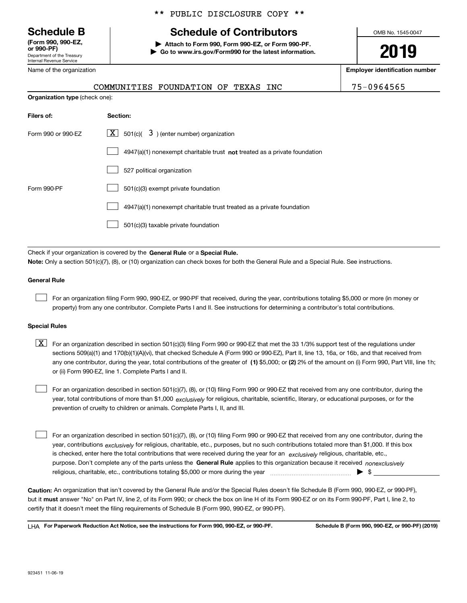Department of the Treasury Internal Revenue Service **(Form 990, 990-EZ, or 990-PF)**

Name of the organization

**Organization type** (check one):

### \*\* PUBLIC DISCLOSURE COPY \*\*

# **Schedule B Schedule of Contributors**

**| Attach to Form 990, Form 990-EZ, or Form 990-PF. | Go to www.irs.gov/Form990 for the latest information.** OMB No. 1545-0047

**2019**

**Employer identification number**

| COMMUNITIES FOUNDATION OF |  |  |
|---------------------------|--|--|
|                           |  |  |

TEXAS INC 75-0964565

| Filers of:         | Section:                                                                    |
|--------------------|-----------------------------------------------------------------------------|
| Form 990 or 990-EZ | $\lfloor x \rfloor$ 501(c)( 3) (enter number) organization                  |
|                    | $4947(a)(1)$ nonexempt charitable trust not treated as a private foundation |
|                    | 527 political organization                                                  |
| Form 990-PF        | 501(c)(3) exempt private foundation                                         |
|                    | 4947(a)(1) nonexempt charitable trust treated as a private foundation       |
|                    | 501(c)(3) taxable private foundation                                        |

Check if your organization is covered by the **General Rule** or a **Special Rule. Note:**  Only a section 501(c)(7), (8), or (10) organization can check boxes for both the General Rule and a Special Rule. See instructions.

### **General Rule**

 $\mathcal{L}^{\text{max}}$ 

For an organization filing Form 990, 990-EZ, or 990-PF that received, during the year, contributions totaling \$5,000 or more (in money or property) from any one contributor. Complete Parts I and II. See instructions for determining a contributor's total contributions.

### **Special Rules**

any one contributor, during the year, total contributions of the greater of  $\,$  (1) \$5,000; or **(2)** 2% of the amount on (i) Form 990, Part VIII, line 1h;  $\boxed{\textbf{X}}$  For an organization described in section 501(c)(3) filing Form 990 or 990-EZ that met the 33 1/3% support test of the regulations under sections 509(a)(1) and 170(b)(1)(A)(vi), that checked Schedule A (Form 990 or 990-EZ), Part II, line 13, 16a, or 16b, and that received from or (ii) Form 990-EZ, line 1. Complete Parts I and II.

year, total contributions of more than \$1,000 *exclusively* for religious, charitable, scientific, literary, or educational purposes, or for the For an organization described in section 501(c)(7), (8), or (10) filing Form 990 or 990-EZ that received from any one contributor, during the prevention of cruelty to children or animals. Complete Parts I, II, and III.  $\mathcal{L}^{\text{max}}$ 

purpose. Don't complete any of the parts unless the **General Rule** applies to this organization because it received *nonexclusively* year, contributions <sub>exclusively</sub> for religious, charitable, etc., purposes, but no such contributions totaled more than \$1,000. If this box is checked, enter here the total contributions that were received during the year for an  $\;$ exclusively religious, charitable, etc., For an organization described in section 501(c)(7), (8), or (10) filing Form 990 or 990-EZ that received from any one contributor, during the religious, charitable, etc., contributions totaling \$5,000 or more during the year  $\Box$ — $\Box$   $\Box$  $\mathcal{L}^{\text{max}}$ 

**Caution:**  An organization that isn't covered by the General Rule and/or the Special Rules doesn't file Schedule B (Form 990, 990-EZ, or 990-PF),  **must** but it answer "No" on Part IV, line 2, of its Form 990; or check the box on line H of its Form 990-EZ or on its Form 990-PF, Part I, line 2, to certify that it doesn't meet the filing requirements of Schedule B (Form 990, 990-EZ, or 990-PF).

**For Paperwork Reduction Act Notice, see the instructions for Form 990, 990-EZ, or 990-PF. Schedule B (Form 990, 990-EZ, or 990-PF) (2019)** LHA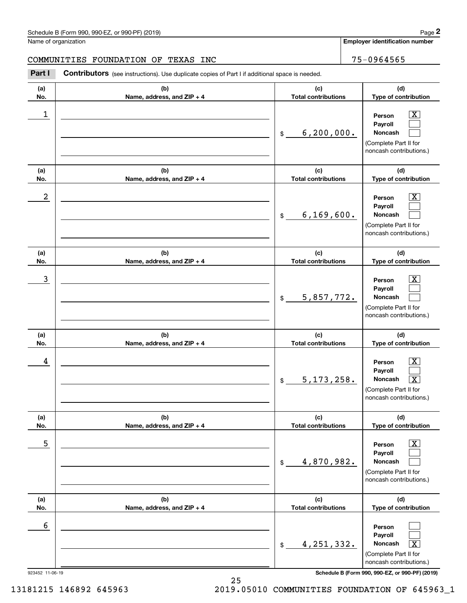$|X|$  $\mathcal{L}^{\text{max}}$  $\mathcal{L}^{\text{max}}$ 

 $\boxed{\text{X}}$  $\mathcal{L}^{\text{max}}$  $\mathcal{L}^{\text{max}}$ 

 $|X|$  $\mathcal{L}^{\text{max}}$  $\mathcal{L}^{\text{max}}$ 

 $\boxed{\text{X}}$  $\mathcal{L}^{\text{max}}$  $\lceil \text{X} \rceil$ 

 $\boxed{\text{X}}$  $\mathcal{L}^{\text{max}}$  $\mathcal{L}^{\text{max}}$ 

 $\mathcal{L}^{\text{max}}$  $\mathcal{L}^{\text{max}}$  $\mathbf{X}$ 

**Employer identification number**

**(a)No.(b)Name, address, and ZIP + 4 (c)Total contributions (d)Type of contribution PersonPayrollNoncash (a)No.(b)Name, address, and ZIP + 4 (c)Total contributions (d)Type of contribution PersonPayrollNoncash (a)No.(b)Name, address, and ZIP + 4 (c)Total contributions (d)Type of contribution PersonPayrollNoncash (a) No.(b) Name, address, and ZIP + 4 (c) Total contributions (d) Type of contribution PersonPayrollNoncash(a) No.(b) Name, address, and ZIP + 4 (c) Total contributions (d) Type of contribution PersonPayrollNoncash(a) No.(b)Name, address, and ZIP + 4 (c) Total contributions (d)Type of contribution PersonPayrollNoncash** Name of organization **Contributors** (see instructions). Use duplicate copies of Part I if additional space is needed. \$(Complete Part II for noncash contributions.) \$(Complete Part II for noncash contributions.) \$(Complete Part II for noncash contributions.) \$(Complete Part II for noncash contributions.) \$(Complete Part II for noncash contributions.) \$(Complete Part II for Chedule B (Form 990, 990-EZ, or 990-PF) (2019)<br>Iame of organization<br>**2Part I 2Part I 2Part I Contributors** (see instructions). Use duplicate copies of Part I if additional space is needed.  $\begin{array}{c|c|c|c|c|c} 1 & \hspace{1.5cm} & \hspace{1.5cm} & \hspace{1.5cm} & \hspace{1.5cm} & \hspace{1.5cm} & \hspace{1.5cm} & \hspace{1.5cm} & \hspace{1.5cm} & \hspace{1.5cm} & \hspace{1.5cm} & \hspace{1.5cm} & \hspace{1.5cm} & \hspace{1.5cm} & \hspace{1.5cm} & \hspace{1.5cm} & \hspace{1.5cm} & \hspace{1.5cm} & \hspace{1.5cm} & \hspace{1.5cm} & \hspace{1.5cm} &$ 6,200,000.  $2$  | Person  $\overline{\text{X}}$ 6,169,600.  $\overline{3}$  | Person  $\overline{X}$ 5,857,772.  $4$  | Person  $\overline{\text{X}}$  $5,173,258.$  $\sim$  5 | Person X 4,870,982. 6 4,251,332. X COMMUNITIES FOUNDATION OF TEXAS INC 75-0964565

923452 11-06-19 **Schedule B (Form 990, 990-EZ, or 990-PF) (2019)**

noncash contributions.)

13181215 146892 645963 2019.05010 COMMUNITIES FOUNDATION OF 645963\_1

25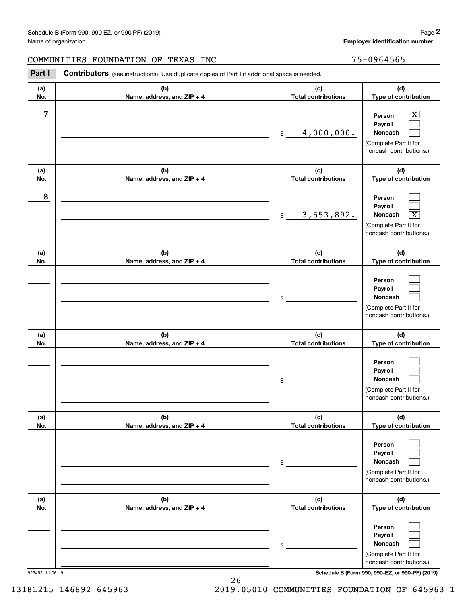**Employer identification number**

**(a)No.(b)Name, address, and ZIP + 4 (c)Total contributions (d)Type of contribution PersonPayrollNoncash (a)No.(b)Name, address, and ZIP + 4 (c)Total contributions (d)Type of contribution PersonPayrollNoncash (a)No.(b)Name, address, and ZIP + 4 (c)Total contributions (d)Type of contribution PersonPayrollNoncash (a) No.(b) Name, address, and ZIP + 4 (c) Total contributions (d) Type of contribution PersonPayrollNoncash(a) No.(b) Name, address, and ZIP + 4 (c) Total contributions (d) Type of contribution Person PayrollNoncash(a) No.(b)Name, address, and ZIP + 4 (c) Total contributions (d)Type of contribution PersonPayrollNoncash** Contributors (see instructions). Use duplicate copies of Part I if additional space is needed. \$(Complete Part II for noncash contributions.) \$(Complete Part II for noncash contributions.) \$(Complete Part II for noncash contributions.) \$(Complete Part II for noncash contributions.) \$(Complete Part II for noncash contributions.) \$(Complete Part II for Chedule B (Form 990, 990-EZ, or 990-PF) (2019)<br>Iame of organization<br>**2Part I 2Part I 2Part I Contributors** (see instructions). Use duplicate copies of Part I if additional space is needed.  $|X|$  $\mathcal{L}^{\text{max}}$  $\mathcal{L}^{\text{max}}$  $\mathcal{L}^{\text{max}}$  $\mathcal{L}^{\text{max}}$  $\overline{\mathbf{X}}$  $\mathcal{L}^{\text{max}}$  $\mathcal{L}^{\text{max}}$  $\mathcal{L}^{\text{max}}$  $\mathcal{L}^{\text{max}}$  $\mathcal{L}^{\text{max}}$  $\mathcal{L}^{\text{max}}$  $\mathcal{L}^{\text{max}}$  $\mathcal{L}^{\text{max}}$  $\mathcal{L}^{\text{max}}$  $\mathcal{L}^{\text{max}}$  $\mathcal{L}^{\text{max}}$  $\mathcal{L}^{\text{max}}$ 7 X 4,000,000. 8 3,553,892. X COMMUNITIES FOUNDATION OF TEXAS INC 75-0964565

923452 11-06-19 **Schedule B (Form 990, 990-EZ, or 990-PF) (2019)**

noncash contributions.)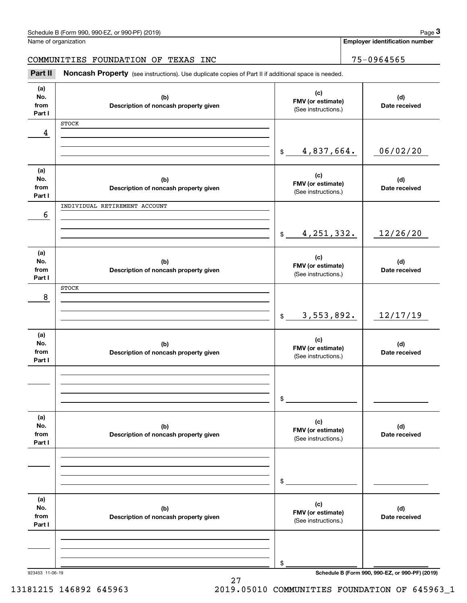|                              | Schedule B (Form 990, 990-EZ, or 990-PF) (2019)                                                     |                                                 | Page 3                                          |
|------------------------------|-----------------------------------------------------------------------------------------------------|-------------------------------------------------|-------------------------------------------------|
|                              | Name of organization                                                                                |                                                 | <b>Employer identification number</b>           |
|                              | COMMUNITIES FOUNDATION OF TEXAS INC                                                                 |                                                 | 75-0964565                                      |
| Part II                      | Noncash Property (see instructions). Use duplicate copies of Part II if additional space is needed. |                                                 |                                                 |
| (a)<br>No.<br>from<br>Part I | (b)<br>Description of noncash property given                                                        | (c)<br>FMV (or estimate)<br>(See instructions.) | (d)<br>Date received                            |
| 4                            | <b>STOCK</b>                                                                                        |                                                 |                                                 |
|                              |                                                                                                     |                                                 |                                                 |
|                              |                                                                                                     | 4,837,664.<br>$\mathfrak{S}$                    | 06/02/20                                        |
| (a)<br>No.<br>from<br>Part I | (b)<br>Description of noncash property given                                                        | (c)<br>FMV (or estimate)<br>(See instructions.) | (d)<br>Date received                            |
|                              | INDIVIDUAL RETIREMENT ACCOUNT                                                                       |                                                 |                                                 |
| 6                            |                                                                                                     | 4, 251, 332.<br>$\mathfrak s$                   | 12/26/20                                        |
| (a)                          |                                                                                                     |                                                 |                                                 |
| No.<br>from<br>Part I        | (b)<br>Description of noncash property given                                                        | (c)<br>FMV (or estimate)<br>(See instructions.) | (d)<br>Date received                            |
|                              | <b>STOCK</b>                                                                                        |                                                 |                                                 |
| 8                            |                                                                                                     |                                                 |                                                 |
|                              |                                                                                                     | 3,553,892.<br>$\mathfrak{S}$                    | 12/17/19                                        |
| (a)<br>No.<br>from<br>Part I | (b)<br>Description of noncash property given                                                        | (c)<br>FMV (or estimate)<br>(See instructions.) | (d)<br>Date received                            |
|                              |                                                                                                     |                                                 |                                                 |
|                              |                                                                                                     |                                                 |                                                 |
|                              |                                                                                                     | \$                                              |                                                 |
| (a)<br>No.<br>from<br>Part I | (b)<br>Description of noncash property given                                                        | (c)<br>FMV (or estimate)<br>(See instructions.) | (d)<br>Date received                            |
|                              |                                                                                                     |                                                 |                                                 |
|                              |                                                                                                     | \$                                              |                                                 |
| (a)<br>No.<br>from<br>Part I | (b)<br>Description of noncash property given                                                        | (c)<br>FMV (or estimate)<br>(See instructions.) | (d)<br>Date received                            |
|                              |                                                                                                     |                                                 |                                                 |
|                              |                                                                                                     |                                                 |                                                 |
|                              |                                                                                                     | \$                                              | Schedule B (Form 990, 990-EZ, or 990-PF) (2019) |

27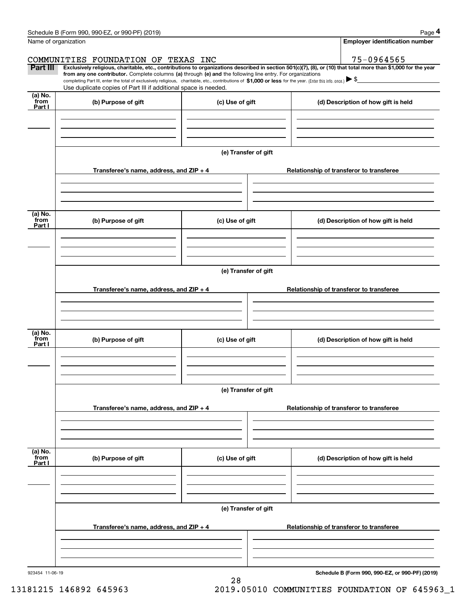|                           | Schedule B (Form 990, 990-EZ, or 990-PF) (2019)                                                                                                                                                                                                      |                      | Page 4                                                                                                                                                         |  |  |  |
|---------------------------|------------------------------------------------------------------------------------------------------------------------------------------------------------------------------------------------------------------------------------------------------|----------------------|----------------------------------------------------------------------------------------------------------------------------------------------------------------|--|--|--|
|                           | Name of organization                                                                                                                                                                                                                                 |                      | <b>Employer identification number</b>                                                                                                                          |  |  |  |
|                           | COMMUNITIES FOUNDATION OF TEXAS INC                                                                                                                                                                                                                  |                      | 75-0964565                                                                                                                                                     |  |  |  |
| Part III                  | from any one contributor. Complete columns (a) through (e) and the following line entry. For organizations                                                                                                                                           |                      | Exclusively religious, charitable, etc., contributions to organizations described in section 501(c)(7), (8), or (10) that total more than \$1,000 for the year |  |  |  |
|                           | completing Part III, enter the total of exclusively religious, charitable, etc., contributions of \$1,000 or less for the year. (Enter this info. once.) $\blacktriangleright$ \$<br>Use duplicate copies of Part III if additional space is needed. |                      |                                                                                                                                                                |  |  |  |
| (a) No.<br>from<br>Part I | (b) Purpose of gift                                                                                                                                                                                                                                  | (c) Use of gift      | (d) Description of how gift is held                                                                                                                            |  |  |  |
|                           |                                                                                                                                                                                                                                                      |                      |                                                                                                                                                                |  |  |  |
|                           |                                                                                                                                                                                                                                                      | (e) Transfer of gift |                                                                                                                                                                |  |  |  |
|                           | Transferee's name, address, and ZIP + 4                                                                                                                                                                                                              |                      | Relationship of transferor to transferee                                                                                                                       |  |  |  |
|                           |                                                                                                                                                                                                                                                      |                      |                                                                                                                                                                |  |  |  |
| (a) No.<br>from<br>Part I | (b) Purpose of gift                                                                                                                                                                                                                                  | (c) Use of gift      | (d) Description of how gift is held                                                                                                                            |  |  |  |
|                           |                                                                                                                                                                                                                                                      |                      |                                                                                                                                                                |  |  |  |
|                           |                                                                                                                                                                                                                                                      |                      |                                                                                                                                                                |  |  |  |
|                           |                                                                                                                                                                                                                                                      | (e) Transfer of gift |                                                                                                                                                                |  |  |  |
|                           | Transferee's name, address, and ZIP + 4                                                                                                                                                                                                              |                      | Relationship of transferor to transferee                                                                                                                       |  |  |  |
|                           |                                                                                                                                                                                                                                                      |                      |                                                                                                                                                                |  |  |  |
| (a) No.<br>from<br>Part I | (b) Purpose of gift                                                                                                                                                                                                                                  | (c) Use of gift      | (d) Description of how gift is held                                                                                                                            |  |  |  |
|                           |                                                                                                                                                                                                                                                      |                      |                                                                                                                                                                |  |  |  |
|                           |                                                                                                                                                                                                                                                      | (e) Transfer of gift |                                                                                                                                                                |  |  |  |
|                           | Transferee's name, address, and $ZIP + 4$                                                                                                                                                                                                            |                      | Relationship of transferor to transferee                                                                                                                       |  |  |  |
|                           |                                                                                                                                                                                                                                                      |                      |                                                                                                                                                                |  |  |  |
| (a) No.<br>from           | (b) Purpose of gift                                                                                                                                                                                                                                  | (c) Use of gift      | (d) Description of how gift is held                                                                                                                            |  |  |  |
| Part I                    |                                                                                                                                                                                                                                                      |                      |                                                                                                                                                                |  |  |  |
|                           |                                                                                                                                                                                                                                                      |                      |                                                                                                                                                                |  |  |  |
|                           | (e) Transfer of gift                                                                                                                                                                                                                                 |                      |                                                                                                                                                                |  |  |  |
|                           | Transferee's name, address, and $ZIP + 4$                                                                                                                                                                                                            |                      | Relationship of transferor to transferee                                                                                                                       |  |  |  |
|                           |                                                                                                                                                                                                                                                      |                      |                                                                                                                                                                |  |  |  |
| 923454 11-06-19           |                                                                                                                                                                                                                                                      |                      | Schedule B (Form 990, 990-EZ, or 990-PF) (2019)                                                                                                                |  |  |  |
|                           |                                                                                                                                                                                                                                                      | 28                   |                                                                                                                                                                |  |  |  |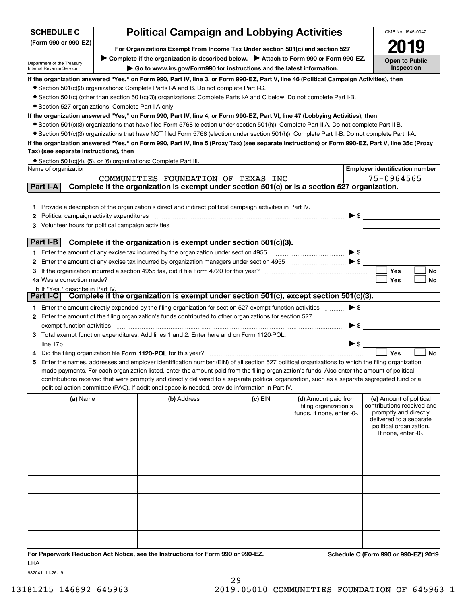| <b>Political Campaign and Lobbying Activities</b><br><b>SCHEDULE C</b> |                                                                                                                                |                                                                                                                                                                          |           |                                                     |                          | OMB No. 1545-0047                                   |  |  |  |  |
|------------------------------------------------------------------------|--------------------------------------------------------------------------------------------------------------------------------|--------------------------------------------------------------------------------------------------------------------------------------------------------------------------|-----------|-----------------------------------------------------|--------------------------|-----------------------------------------------------|--|--|--|--|
| (Form 990 or 990-EZ)                                                   |                                                                                                                                |                                                                                                                                                                          |           |                                                     |                          |                                                     |  |  |  |  |
|                                                                        |                                                                                                                                | For Organizations Exempt From Income Tax Under section 501(c) and section 527<br>► Complete if the organization is described below. ► Attach to Form 990 or Form 990-EZ. |           |                                                     |                          |                                                     |  |  |  |  |
| Department of the Treasury<br>Internal Revenue Service                 |                                                                                                                                | Go to www.irs.gov/Form990 for instructions and the latest information.                                                                                                   |           |                                                     |                          | <b>Open to Public</b><br>Inspection                 |  |  |  |  |
|                                                                        |                                                                                                                                | If the organization answered "Yes," on Form 990, Part IV, line 3, or Form 990-EZ, Part V, line 46 (Political Campaign Activities), then                                  |           |                                                     |                          |                                                     |  |  |  |  |
|                                                                        | • Section 501(c)(3) organizations: Complete Parts I-A and B. Do not complete Part I-C.                                         |                                                                                                                                                                          |           |                                                     |                          |                                                     |  |  |  |  |
|                                                                        |                                                                                                                                | • Section 501(c) (other than section 501(c)(3)) organizations: Complete Parts I-A and C below. Do not complete Part I-B.                                                 |           |                                                     |                          |                                                     |  |  |  |  |
| • Section 527 organizations: Complete Part I-A only.                   |                                                                                                                                |                                                                                                                                                                          |           |                                                     |                          |                                                     |  |  |  |  |
|                                                                        | If the organization answered "Yes," on Form 990, Part IV, line 4, or Form 990-EZ, Part VI, line 47 (Lobbying Activities), then |                                                                                                                                                                          |           |                                                     |                          |                                                     |  |  |  |  |
|                                                                        |                                                                                                                                | • Section 501(c)(3) organizations that have filed Form 5768 (election under section 501(h)): Complete Part II-A. Do not complete Part II-B.                              |           |                                                     |                          |                                                     |  |  |  |  |
|                                                                        |                                                                                                                                | • Section 501(c)(3) organizations that have NOT filed Form 5768 (election under section 501(h)): Complete Part II-B. Do not complete Part II-A.                          |           |                                                     |                          |                                                     |  |  |  |  |
| Tax) (see separate instructions), then                                 |                                                                                                                                | If the organization answered "Yes," on Form 990, Part IV, line 5 (Proxy Tax) (see separate instructions) or Form 990-EZ, Part V, line 35c (Proxy                         |           |                                                     |                          |                                                     |  |  |  |  |
|                                                                        |                                                                                                                                | • Section 501(c)(4), (5), or (6) organizations: Complete Part III.                                                                                                       |           |                                                     |                          |                                                     |  |  |  |  |
| Name of organization                                                   |                                                                                                                                |                                                                                                                                                                          |           |                                                     |                          | <b>Employer identification number</b>               |  |  |  |  |
|                                                                        |                                                                                                                                | COMMUNITIES FOUNDATION OF TEXAS INC                                                                                                                                      |           |                                                     |                          | 75-0964565                                          |  |  |  |  |
| Part I-A                                                               |                                                                                                                                | Complete if the organization is exempt under section 501(c) or is a section 527 organization.                                                                            |           |                                                     |                          |                                                     |  |  |  |  |
|                                                                        |                                                                                                                                |                                                                                                                                                                          |           |                                                     |                          |                                                     |  |  |  |  |
|                                                                        |                                                                                                                                | 1 Provide a description of the organization's direct and indirect political campaign activities in Part IV.                                                              |           |                                                     |                          |                                                     |  |  |  |  |
| <b>2</b> Political campaign activity expenditures                      |                                                                                                                                |                                                                                                                                                                          |           |                                                     | $\blacktriangleright$ \$ |                                                     |  |  |  |  |
| 3 Volunteer hours for political campaign activities                    |                                                                                                                                |                                                                                                                                                                          |           |                                                     |                          |                                                     |  |  |  |  |
| Part I-B                                                               |                                                                                                                                | Complete if the organization is exempt under section 501(c)(3).                                                                                                          |           |                                                     |                          |                                                     |  |  |  |  |
|                                                                        |                                                                                                                                | 1 Enter the amount of any excise tax incurred by the organization under section 4955                                                                                     |           |                                                     |                          |                                                     |  |  |  |  |
|                                                                        |                                                                                                                                | 2 Enter the amount of any excise tax incurred by organization managers under section 4955                                                                                |           | $\bullet$ $\bullet$ $\bullet$ $\bullet$ $\bullet$   |                          |                                                     |  |  |  |  |
| З                                                                      |                                                                                                                                |                                                                                                                                                                          |           |                                                     |                          | Yes<br>No                                           |  |  |  |  |
|                                                                        |                                                                                                                                |                                                                                                                                                                          |           |                                                     |                          | Yes<br>No                                           |  |  |  |  |
| <b>b</b> If "Yes," describe in Part IV.                                |                                                                                                                                | Part I-C   Complete if the organization is exempt under section 501(c), except section 501(c)(3).                                                                        |           |                                                     |                          |                                                     |  |  |  |  |
|                                                                        |                                                                                                                                |                                                                                                                                                                          |           |                                                     |                          |                                                     |  |  |  |  |
|                                                                        |                                                                                                                                | 1 Enter the amount directly expended by the filing organization for section 527 exempt function activities                                                               |           |                                                     | $\blacktriangleright$ \$ |                                                     |  |  |  |  |
| exempt function activities                                             |                                                                                                                                | 2 Enter the amount of the filing organization's funds contributed to other organizations for section 527                                                                 |           |                                                     | $\blacktriangleright$ \$ |                                                     |  |  |  |  |
|                                                                        |                                                                                                                                | 3 Total exempt function expenditures. Add lines 1 and 2. Enter here and on Form 1120-POL,                                                                                |           |                                                     |                          |                                                     |  |  |  |  |
|                                                                        |                                                                                                                                |                                                                                                                                                                          |           |                                                     | $\triangleright$ \$      |                                                     |  |  |  |  |
|                                                                        |                                                                                                                                |                                                                                                                                                                          |           |                                                     |                          | <b>No</b><br>Yes                                    |  |  |  |  |
| 5                                                                      |                                                                                                                                | Enter the names, addresses and employer identification number (EIN) of all section 527 political organizations to which the filing organization                          |           |                                                     |                          |                                                     |  |  |  |  |
|                                                                        |                                                                                                                                | made payments. For each organization listed, enter the amount paid from the filing organization's funds. Also enter the amount of political                              |           |                                                     |                          |                                                     |  |  |  |  |
|                                                                        |                                                                                                                                | contributions received that were promptly and directly delivered to a separate political organization, such as a separate segregated fund or a                           |           |                                                     |                          |                                                     |  |  |  |  |
|                                                                        |                                                                                                                                | political action committee (PAC). If additional space is needed, provide information in Part IV.                                                                         |           |                                                     |                          |                                                     |  |  |  |  |
| (a) Name                                                               |                                                                                                                                | (b) Address                                                                                                                                                              | $(c)$ EIN | (d) Amount paid from                                |                          | (e) Amount of political                             |  |  |  |  |
|                                                                        |                                                                                                                                |                                                                                                                                                                          |           | filing organization's<br>funds. If none, enter -0-. |                          | contributions received and<br>promptly and directly |  |  |  |  |
|                                                                        |                                                                                                                                |                                                                                                                                                                          |           |                                                     |                          | delivered to a separate                             |  |  |  |  |
|                                                                        |                                                                                                                                |                                                                                                                                                                          |           |                                                     |                          | political organization.<br>If none, enter -0-.      |  |  |  |  |
|                                                                        |                                                                                                                                |                                                                                                                                                                          |           |                                                     |                          |                                                     |  |  |  |  |
|                                                                        |                                                                                                                                |                                                                                                                                                                          |           |                                                     |                          |                                                     |  |  |  |  |
|                                                                        |                                                                                                                                |                                                                                                                                                                          |           |                                                     |                          |                                                     |  |  |  |  |
|                                                                        |                                                                                                                                |                                                                                                                                                                          |           |                                                     |                          |                                                     |  |  |  |  |
|                                                                        |                                                                                                                                |                                                                                                                                                                          |           |                                                     |                          |                                                     |  |  |  |  |
|                                                                        |                                                                                                                                |                                                                                                                                                                          |           |                                                     |                          |                                                     |  |  |  |  |
|                                                                        |                                                                                                                                |                                                                                                                                                                          |           |                                                     |                          |                                                     |  |  |  |  |

**For Paperwork Reduction Act Notice, see the Instructions for Form 990 or 990-EZ. Schedule C (Form 990 or 990-EZ) 2019** LHA

932041 11-26-19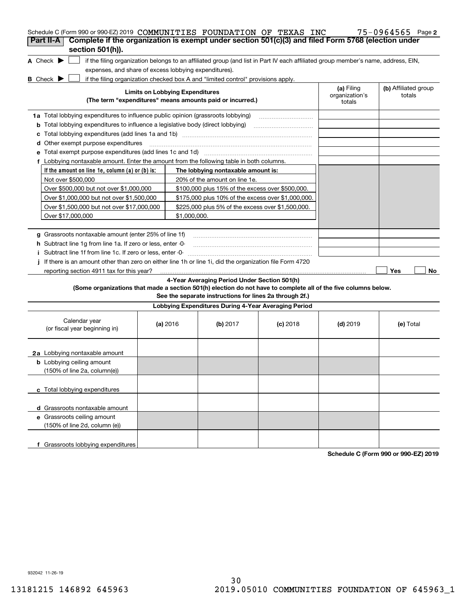| Schedule C (Form 990 or 990-EZ) 2019 COMMUNITIES FOUNDATION OF TEXAS INC                                                            |                                        |                                                                                  |                                                                                                                                   |                              | $75 - 0964565$ Page 2 |
|-------------------------------------------------------------------------------------------------------------------------------------|----------------------------------------|----------------------------------------------------------------------------------|-----------------------------------------------------------------------------------------------------------------------------------|------------------------------|-----------------------|
| Complete if the organization is exempt under section 501(c)(3) and filed Form 5768 (election under<br>Part II-A<br>section 501(h)). |                                        |                                                                                  |                                                                                                                                   |                              |                       |
|                                                                                                                                     |                                        |                                                                                  |                                                                                                                                   |                              |                       |
| A Check $\blacktriangleright$                                                                                                       |                                        |                                                                                  | if the filing organization belongs to an affiliated group (and list in Part IV each affiliated group member's name, address, EIN, |                              |                       |
| expenses, and share of excess lobbying expenditures).                                                                               |                                        |                                                                                  |                                                                                                                                   |                              |                       |
| B Check D                                                                                                                           | <b>Limits on Lobbying Expenditures</b> | if the filing organization checked box A and "limited control" provisions apply. |                                                                                                                                   | (a) Filing<br>organization's | (b) Affiliated group  |
|                                                                                                                                     |                                        | (The term "expenditures" means amounts paid or incurred.)                        |                                                                                                                                   | totals                       | totals                |
| 1a Total lobbying expenditures to influence public opinion (grassroots lobbying)                                                    |                                        |                                                                                  |                                                                                                                                   |                              |                       |
| <b>b</b> Total lobbying expenditures to influence a legislative body (direct lobbying)                                              |                                        |                                                                                  |                                                                                                                                   |                              |                       |
| c                                                                                                                                   |                                        |                                                                                  |                                                                                                                                   |                              |                       |
| <b>d</b> Other exempt purpose expenditures                                                                                          |                                        |                                                                                  |                                                                                                                                   |                              |                       |
|                                                                                                                                     |                                        |                                                                                  |                                                                                                                                   |                              |                       |
| f Lobbying nontaxable amount. Enter the amount from the following table in both columns.                                            |                                        |                                                                                  |                                                                                                                                   |                              |                       |
| If the amount on line 1e, column (a) or (b) is:                                                                                     |                                        | The lobbying nontaxable amount is:                                               |                                                                                                                                   |                              |                       |
| Not over \$500,000                                                                                                                  |                                        | 20% of the amount on line 1e.                                                    |                                                                                                                                   |                              |                       |
| Over \$500,000 but not over \$1,000,000                                                                                             |                                        | \$100,000 plus 15% of the excess over \$500,000.                                 |                                                                                                                                   |                              |                       |
| Over \$1,000,000 but not over \$1,500,000                                                                                           |                                        | \$175,000 plus 10% of the excess over \$1,000,000.                               |                                                                                                                                   |                              |                       |
| Over \$1,500,000 but not over \$17,000,000                                                                                          |                                        | \$225,000 plus 5% of the excess over \$1,500,000.                                |                                                                                                                                   |                              |                       |
| Over \$17,000,000                                                                                                                   | \$1,000,000.                           |                                                                                  |                                                                                                                                   |                              |                       |
|                                                                                                                                     |                                        |                                                                                  |                                                                                                                                   |                              |                       |
| g Grassroots nontaxable amount (enter 25% of line 1f)                                                                               |                                        |                                                                                  |                                                                                                                                   |                              |                       |
| <b>h</b> Subtract line 1g from line 1a. If zero or less, enter -0-                                                                  |                                        |                                                                                  |                                                                                                                                   |                              |                       |
| i Subtract line 1f from line 1c. If zero or less, enter -0-                                                                         |                                        |                                                                                  |                                                                                                                                   |                              |                       |
| If there is an amount other than zero on either line 1h or line 1i, did the organization file Form 4720                             |                                        |                                                                                  |                                                                                                                                   |                              |                       |
| reporting section 4911 tax for this year?                                                                                           |                                        |                                                                                  |                                                                                                                                   |                              | Yes<br>No             |
|                                                                                                                                     |                                        | 4-Year Averaging Period Under Section 501(h)                                     |                                                                                                                                   |                              |                       |
| (Some organizations that made a section 501(h) election do not have to complete all of the five columns below.                      |                                        | See the separate instructions for lines 2a through 2f.)                          |                                                                                                                                   |                              |                       |
|                                                                                                                                     |                                        | Lobbying Expenditures During 4-Year Averaging Period                             |                                                                                                                                   |                              |                       |
| Calendar year                                                                                                                       |                                        |                                                                                  |                                                                                                                                   |                              |                       |
| (or fiscal year beginning in)                                                                                                       | (a) 2016                               | (b) $2017$                                                                       | $(c)$ 2018                                                                                                                        | $(d)$ 2019                   | (e) Total             |
|                                                                                                                                     |                                        |                                                                                  |                                                                                                                                   |                              |                       |
| 2a Lobbying nontaxable amount                                                                                                       |                                        |                                                                                  |                                                                                                                                   |                              |                       |
| <b>b</b> Lobbying ceiling amount<br>(150% of line 2a, column(e))                                                                    |                                        |                                                                                  |                                                                                                                                   |                              |                       |
|                                                                                                                                     |                                        |                                                                                  |                                                                                                                                   |                              |                       |
| c Total lobbying expenditures                                                                                                       |                                        |                                                                                  |                                                                                                                                   |                              |                       |
|                                                                                                                                     |                                        |                                                                                  |                                                                                                                                   |                              |                       |
| d Grassroots nontaxable amount                                                                                                      |                                        |                                                                                  |                                                                                                                                   |                              |                       |
| e Grassroots ceiling amount                                                                                                         |                                        |                                                                                  |                                                                                                                                   |                              |                       |
| (150% of line 2d, column (e))                                                                                                       |                                        |                                                                                  |                                                                                                                                   |                              |                       |
| f Grassroots lobbying expenditures                                                                                                  |                                        |                                                                                  |                                                                                                                                   |                              |                       |
|                                                                                                                                     |                                        |                                                                                  |                                                                                                                                   |                              |                       |

**Schedule C (Form 990 or 990-EZ) 2019**

932042 11-26-19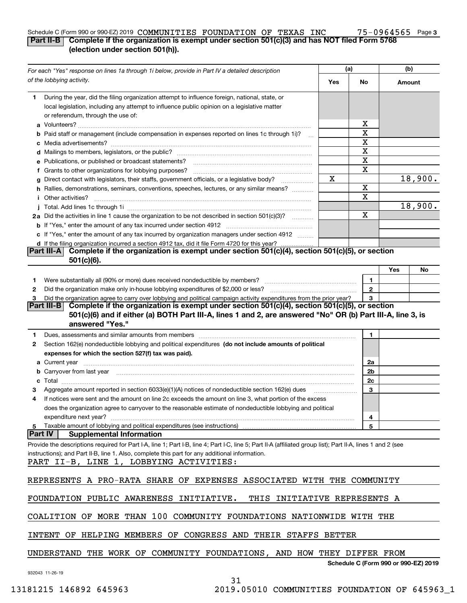### **3** Schedule C (Form 990 or 990-EZ) 2019 Page **Part II-B Complete if the organization is exempt under section 501(c)(3) and has NOT filed Form 5768 (election under section 501(h)).** COMMUNITIES FOUNDATION OF TEXAS INC 75-0964565

| For each "Yes" response on lines 1a through 1i below, provide in Part IV a detailed description |                                                                                                                                                                                                                                                                                                                                                                                                                                                                                             | (a) |                                      | (b)    |         |
|-------------------------------------------------------------------------------------------------|---------------------------------------------------------------------------------------------------------------------------------------------------------------------------------------------------------------------------------------------------------------------------------------------------------------------------------------------------------------------------------------------------------------------------------------------------------------------------------------------|-----|--------------------------------------|--------|---------|
|                                                                                                 | of the lobbying activity.                                                                                                                                                                                                                                                                                                                                                                                                                                                                   | Yes | No                                   | Amount |         |
| 1.                                                                                              | During the year, did the filing organization attempt to influence foreign, national, state, or<br>local legislation, including any attempt to influence public opinion on a legislative matter<br>or referendum, through the use of:                                                                                                                                                                                                                                                        |     |                                      |        |         |
|                                                                                                 |                                                                                                                                                                                                                                                                                                                                                                                                                                                                                             |     | х                                    |        |         |
|                                                                                                 | <b>b</b> Paid staff or management (include compensation in expenses reported on lines 1c through 1i)?<br>$\mathbf{r}$                                                                                                                                                                                                                                                                                                                                                                       |     | х                                    |        |         |
|                                                                                                 |                                                                                                                                                                                                                                                                                                                                                                                                                                                                                             |     | X                                    |        |         |
|                                                                                                 |                                                                                                                                                                                                                                                                                                                                                                                                                                                                                             |     | X                                    |        |         |
|                                                                                                 | e Publications, or published or broadcast statements?                                                                                                                                                                                                                                                                                                                                                                                                                                       |     | X                                    |        |         |
|                                                                                                 | f Grants to other organizations for lobbying purposes?                                                                                                                                                                                                                                                                                                                                                                                                                                      |     | х                                    |        |         |
|                                                                                                 | g Direct contact with legislators, their staffs, government officials, or a legislative body?                                                                                                                                                                                                                                                                                                                                                                                               | x   |                                      |        | 18,900. |
|                                                                                                 | h Rallies, demonstrations, seminars, conventions, speeches, lectures, or any similar means?                                                                                                                                                                                                                                                                                                                                                                                                 |     | х                                    |        |         |
|                                                                                                 | <i>i</i> Other activities?                                                                                                                                                                                                                                                                                                                                                                                                                                                                  |     | х                                    |        |         |
|                                                                                                 |                                                                                                                                                                                                                                                                                                                                                                                                                                                                                             |     |                                      |        | 18,900. |
|                                                                                                 | 2a Did the activities in line 1 cause the organization to be not described in section 501(c)(3)?                                                                                                                                                                                                                                                                                                                                                                                            |     | х                                    |        |         |
|                                                                                                 |                                                                                                                                                                                                                                                                                                                                                                                                                                                                                             |     |                                      |        |         |
|                                                                                                 | c If "Yes," enter the amount of any tax incurred by organization managers under section 4912                                                                                                                                                                                                                                                                                                                                                                                                |     |                                      |        |         |
|                                                                                                 | d If the filing organization incurred a section 4912 tax, did it file Form 4720 for this year?                                                                                                                                                                                                                                                                                                                                                                                              |     |                                      |        |         |
|                                                                                                 | Complete if the organization is exempt under section 501(c)(4), section 501(c)(5), or section<br> Part III-A <br>$501(c)(6)$ .                                                                                                                                                                                                                                                                                                                                                              |     |                                      |        |         |
|                                                                                                 |                                                                                                                                                                                                                                                                                                                                                                                                                                                                                             |     |                                      | Yes    | No      |
| 1                                                                                               |                                                                                                                                                                                                                                                                                                                                                                                                                                                                                             |     | 1                                    |        |         |
| 2                                                                                               |                                                                                                                                                                                                                                                                                                                                                                                                                                                                                             |     | $\mathbf{2}$                         |        |         |
| 3                                                                                               | Did the organization agree to carry over lobbying and political campaign activity expenditures from the prior year?                                                                                                                                                                                                                                                                                                                                                                         |     | 3                                    |        |         |
|                                                                                                 | Complete if the organization is exempt under section 501(c)(4), section 501(c)(5), or section<br> Part III-B                                                                                                                                                                                                                                                                                                                                                                                |     |                                      |        |         |
|                                                                                                 | 501(c)(6) and if either (a) BOTH Part III-A, lines 1 and 2, are answered "No" OR (b) Part III-A, line 3, is                                                                                                                                                                                                                                                                                                                                                                                 |     |                                      |        |         |
|                                                                                                 | answered "Yes."                                                                                                                                                                                                                                                                                                                                                                                                                                                                             |     |                                      |        |         |
| 1                                                                                               | Dues, assessments and similar amounts from members [111] www.communicallynews.communicallyness.communicallyness.com                                                                                                                                                                                                                                                                                                                                                                         |     | 1                                    |        |         |
| 2                                                                                               | Section 162(e) nondeductible lobbying and political expenditures (do not include amounts of political                                                                                                                                                                                                                                                                                                                                                                                       |     |                                      |        |         |
|                                                                                                 | expenses for which the section 527(f) tax was paid).                                                                                                                                                                                                                                                                                                                                                                                                                                        |     |                                      |        |         |
|                                                                                                 |                                                                                                                                                                                                                                                                                                                                                                                                                                                                                             |     | 2a                                   |        |         |
|                                                                                                 | <b>b</b> Carryover from last year                                                                                                                                                                                                                                                                                                                                                                                                                                                           |     | 2b                                   |        |         |
| c                                                                                               | $\textbf{Total} \textcolor{red}{\overbrace{\hspace{15em}}\hspace{15em}}\hspace{15em}\textcolor{red}{\overbrace{\hspace{15em}}\hspace{15em}}\hspace{15em}\textcolor{red}{\overbrace{\hspace{15em}}\hspace{15em}}\hspace{15em}\textcolor{red}{\overbrace{\hspace{15em}}\hspace{15em}}\hspace{15em}\textcolor{red}{\overbrace{\hspace{15em}}\hspace{15em}}\hspace{15em}\textcolor{red}{\overbrace{\hspace{15em}}\hspace{15em}}\hspace{15em}\textcolor{red}{\overbrace{\hspace{15em}}\hspace{1$ |     | 2c                                   |        |         |
|                                                                                                 | Aggregate amount reported in section 6033(e)(1)(A) notices of nondeductible section 162(e) dues                                                                                                                                                                                                                                                                                                                                                                                             |     | 3                                    |        |         |
| 4                                                                                               | If notices were sent and the amount on line 2c exceeds the amount on line 3, what portion of the excess                                                                                                                                                                                                                                                                                                                                                                                     |     |                                      |        |         |
|                                                                                                 | does the organization agree to carryover to the reasonable estimate of nondeductible lobbying and political                                                                                                                                                                                                                                                                                                                                                                                 |     |                                      |        |         |
|                                                                                                 | expenditure next year?                                                                                                                                                                                                                                                                                                                                                                                                                                                                      |     | 4                                    |        |         |
| 5                                                                                               | Taxable amount of lobbying and political expenditures (see instructions)                                                                                                                                                                                                                                                                                                                                                                                                                    |     | 5                                    |        |         |
| <b>Part IV</b>                                                                                  | <b>Supplemental Information</b>                                                                                                                                                                                                                                                                                                                                                                                                                                                             |     |                                      |        |         |
|                                                                                                 | Provide the descriptions required for Part I-A, line 1; Part I-B, line 4; Part I-C, line 5; Part II-A (affiliated group list); Part II-A, lines 1 and 2 (see                                                                                                                                                                                                                                                                                                                                |     |                                      |        |         |
|                                                                                                 | instructions); and Part II-B, line 1. Also, complete this part for any additional information.                                                                                                                                                                                                                                                                                                                                                                                              |     |                                      |        |         |
|                                                                                                 | PART II-B, LINE 1, LOBBYING ACTIVITIES:                                                                                                                                                                                                                                                                                                                                                                                                                                                     |     |                                      |        |         |
|                                                                                                 |                                                                                                                                                                                                                                                                                                                                                                                                                                                                                             |     |                                      |        |         |
|                                                                                                 | REPRESENTS A PRO-RATA SHARE OF EXPENSES ASSOCIATED WITH THE COMMUNITY                                                                                                                                                                                                                                                                                                                                                                                                                       |     |                                      |        |         |
|                                                                                                 |                                                                                                                                                                                                                                                                                                                                                                                                                                                                                             |     |                                      |        |         |
|                                                                                                 | FOUNDATION PUBLIC AWARENESS INITIATIVE.<br>THIS INITIATIVE REPRESENTS A                                                                                                                                                                                                                                                                                                                                                                                                                     |     |                                      |        |         |
|                                                                                                 |                                                                                                                                                                                                                                                                                                                                                                                                                                                                                             |     |                                      |        |         |
|                                                                                                 | COALITION OF MORE THAN 100 COMMUNITY FOUNDATIONS NATIONWIDE WITH THE                                                                                                                                                                                                                                                                                                                                                                                                                        |     |                                      |        |         |
|                                                                                                 |                                                                                                                                                                                                                                                                                                                                                                                                                                                                                             |     |                                      |        |         |
|                                                                                                 | INTENT OF HELPING MEMBERS OF CONGRESS AND THEIR STAFFS BETTER                                                                                                                                                                                                                                                                                                                                                                                                                               |     |                                      |        |         |
|                                                                                                 | UNDERSTAND THE WORK OF COMMUNITY FOUNDATIONS, AND HOW THEY DIFFER FROM                                                                                                                                                                                                                                                                                                                                                                                                                      |     |                                      |        |         |
|                                                                                                 |                                                                                                                                                                                                                                                                                                                                                                                                                                                                                             |     | Schedule C (Form 990 or 990-EZ) 2019 |        |         |
|                                                                                                 | 932043 11-26-19                                                                                                                                                                                                                                                                                                                                                                                                                                                                             |     |                                      |        |         |

31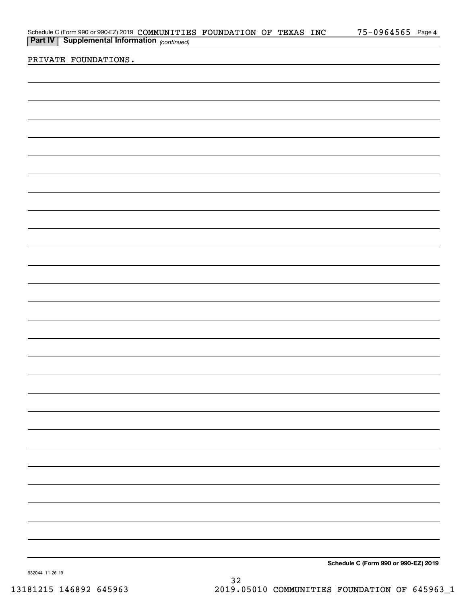|                                                                                                                                            |  | 75-0964565 Page 4                    |
|--------------------------------------------------------------------------------------------------------------------------------------------|--|--------------------------------------|
| Schedule C (Form 990 or 990-EZ) 2019 COMMUNITIES FOUNDATION OF TEXAS INC<br><b>Part IV</b> Supplemental Information <sub>(continued)</sub> |  |                                      |
|                                                                                                                                            |  |                                      |
| PRIVATE FOUNDATIONS.                                                                                                                       |  |                                      |
|                                                                                                                                            |  |                                      |
|                                                                                                                                            |  |                                      |
|                                                                                                                                            |  |                                      |
|                                                                                                                                            |  |                                      |
|                                                                                                                                            |  |                                      |
|                                                                                                                                            |  |                                      |
|                                                                                                                                            |  |                                      |
|                                                                                                                                            |  |                                      |
|                                                                                                                                            |  |                                      |
|                                                                                                                                            |  |                                      |
|                                                                                                                                            |  |                                      |
|                                                                                                                                            |  |                                      |
|                                                                                                                                            |  |                                      |
|                                                                                                                                            |  |                                      |
|                                                                                                                                            |  |                                      |
|                                                                                                                                            |  |                                      |
|                                                                                                                                            |  |                                      |
|                                                                                                                                            |  |                                      |
|                                                                                                                                            |  |                                      |
|                                                                                                                                            |  |                                      |
|                                                                                                                                            |  |                                      |
|                                                                                                                                            |  |                                      |
|                                                                                                                                            |  |                                      |
|                                                                                                                                            |  |                                      |
|                                                                                                                                            |  |                                      |
|                                                                                                                                            |  |                                      |
|                                                                                                                                            |  |                                      |
|                                                                                                                                            |  |                                      |
|                                                                                                                                            |  |                                      |
|                                                                                                                                            |  |                                      |
|                                                                                                                                            |  |                                      |
|                                                                                                                                            |  |                                      |
|                                                                                                                                            |  |                                      |
|                                                                                                                                            |  |                                      |
|                                                                                                                                            |  |                                      |
|                                                                                                                                            |  |                                      |
|                                                                                                                                            |  |                                      |
|                                                                                                                                            |  |                                      |
|                                                                                                                                            |  |                                      |
|                                                                                                                                            |  |                                      |
|                                                                                                                                            |  |                                      |
|                                                                                                                                            |  |                                      |
|                                                                                                                                            |  |                                      |
|                                                                                                                                            |  |                                      |
|                                                                                                                                            |  |                                      |
|                                                                                                                                            |  | Schodule C (Form 000 or 000 EZ) 2010 |

**Schedule C (Form 990 or 990-EZ) 2019**

932044 11-26-19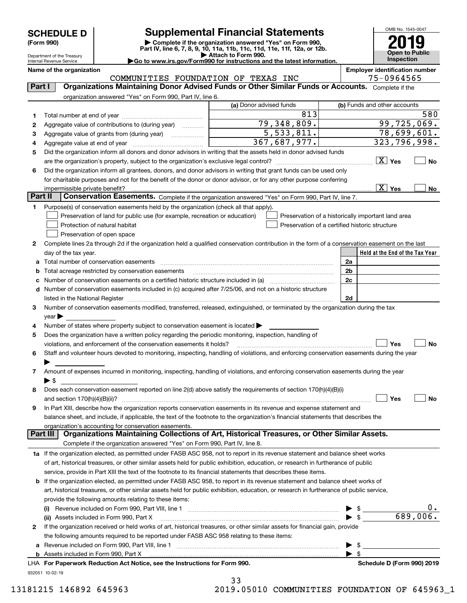# **SCHEDULE D Supplemental Financial Statements**

(Form 990)<br>
Pepartment of the Treasury<br>
Department of the Treasury<br>
Department of the Treasury<br>
Department of the Treasury<br> **Co to www.irs.gov/Form990 for instructions and the latest information.**<br> **Co to www.irs.gov/Form9** 



Department of the Treasury Internal Revenue Service

**Name of the organization Employer identification number**

| COMMUNITIES FOUNDATION OF TEXAS INC |  |  | 75-0964565 |
|-------------------------------------|--|--|------------|

| Part I  | <b>Organizations Maintaining Donor Advised Funds or Other Similar Funds or Accounts.</b> Complete if the                                                                                                                      |                         |                                                    |
|---------|-------------------------------------------------------------------------------------------------------------------------------------------------------------------------------------------------------------------------------|-------------------------|----------------------------------------------------|
|         | organization answered "Yes" on Form 990, Part IV, line 6.                                                                                                                                                                     | (a) Donor advised funds | (b) Funds and other accounts                       |
| 1       |                                                                                                                                                                                                                               | 813                     | 580                                                |
| 2       | Aggregate value of contributions to (during year)                                                                                                                                                                             | 79,348,809.             | 99,725,069.                                        |
| 3       | Aggregate value of grants from (during year)                                                                                                                                                                                  | 5,533,811.              | 78,699,601.                                        |
| 4       |                                                                                                                                                                                                                               | 323,796,998.            |                                                    |
| 5       | Did the organization inform all donors and donor advisors in writing that the assets held in donor advised funds                                                                                                              | 367,687,977.            |                                                    |
|         |                                                                                                                                                                                                                               |                         | $\boxed{\text{X}}$ Yes<br>No                       |
| 6       | Did the organization inform all grantees, donors, and donor advisors in writing that grant funds can be used only                                                                                                             |                         |                                                    |
|         | for charitable purposes and not for the benefit of the donor or donor advisor, or for any other purpose conferring                                                                                                            |                         |                                                    |
|         |                                                                                                                                                                                                                               |                         | $\boxed{\text{X}}$ Yes<br>No                       |
| Part II | Conservation Easements. Complete if the organization answered "Yes" on Form 990, Part IV, line 7.                                                                                                                             |                         |                                                    |
| 1       | Purpose(s) of conservation easements held by the organization (check all that apply).                                                                                                                                         |                         |                                                    |
|         | Preservation of land for public use (for example, recreation or education)                                                                                                                                                    |                         | Preservation of a historically important land area |
|         | Protection of natural habitat                                                                                                                                                                                                 |                         | Preservation of a certified historic structure     |
|         | Preservation of open space                                                                                                                                                                                                    |                         |                                                    |
| 2       | Complete lines 2a through 2d if the organization held a qualified conservation contribution in the form of a conservation easement on the last                                                                                |                         |                                                    |
|         | day of the tax year.                                                                                                                                                                                                          |                         | Held at the End of the Tax Year                    |
| а       | Total number of conservation easements                                                                                                                                                                                        |                         | 2a                                                 |
|         | Total acreage restricted by conservation easements                                                                                                                                                                            |                         | 2b                                                 |
|         |                                                                                                                                                                                                                               |                         | 2c                                                 |
|         | Number of conservation easements included in (c) acquired after 7/25/06, and not on a historic structure                                                                                                                      |                         |                                                    |
| d       |                                                                                                                                                                                                                               |                         |                                                    |
|         | listed in the National Register [111] Marshall Register [11] Marshall Register [11] Marshall Register [11] Marshall Register [11] Marshall Register [11] Marshall Register [11] Marshall Register [11] Marshall Register [11] |                         | 2d                                                 |
| 3       | Number of conservation easements modified, transferred, released, extinguished, or terminated by the organization during the tax                                                                                              |                         |                                                    |
|         | year                                                                                                                                                                                                                          |                         |                                                    |
| 4       | Number of states where property subject to conservation easement is located >                                                                                                                                                 |                         |                                                    |
| 5       | Does the organization have a written policy regarding the periodic monitoring, inspection, handling of                                                                                                                        |                         |                                                    |
|         | violations, and enforcement of the conservation easements it holds?                                                                                                                                                           |                         | Yes<br>No                                          |
| 6       | Staff and volunteer hours devoted to monitoring, inspecting, handling of violations, and enforcing conservation easements during the year                                                                                     |                         |                                                    |
|         |                                                                                                                                                                                                                               |                         |                                                    |
| 7       | Amount of expenses incurred in monitoring, inspecting, handling of violations, and enforcing conservation easements during the year                                                                                           |                         |                                                    |
|         | $\blacktriangleright$ \$                                                                                                                                                                                                      |                         |                                                    |
| 8       | Does each conservation easement reported on line 2(d) above satisfy the requirements of section 170(h)(4)(B)(i)                                                                                                               |                         |                                                    |
|         |                                                                                                                                                                                                                               |                         | Yes<br>No                                          |
| 9       | In Part XIII, describe how the organization reports conservation easements in its revenue and expense statement and                                                                                                           |                         |                                                    |
|         | balance sheet, and include, if applicable, the text of the footnote to the organization's financial statements that describes the                                                                                             |                         |                                                    |
|         | organization's accounting for conservation easements.                                                                                                                                                                         |                         |                                                    |
|         | Organizations Maintaining Collections of Art, Historical Treasures, or Other Similar Assets.<br>Part III                                                                                                                      |                         |                                                    |
|         | Complete if the organization answered "Yes" on Form 990, Part IV, line 8.                                                                                                                                                     |                         |                                                    |
|         | 1a If the organization elected, as permitted under FASB ASC 958, not to report in its revenue statement and balance sheet works                                                                                               |                         |                                                    |
|         | of art, historical treasures, or other similar assets held for public exhibition, education, or research in furtherance of public                                                                                             |                         |                                                    |
|         | service, provide in Part XIII the text of the footnote to its financial statements that describes these items.                                                                                                                |                         |                                                    |
|         | <b>b</b> If the organization elected, as permitted under FASB ASC 958, to report in its revenue statement and balance sheet works of                                                                                          |                         |                                                    |
|         | art, historical treasures, or other similar assets held for public exhibition, education, or research in furtherance of public service,                                                                                       |                         |                                                    |
|         | provide the following amounts relating to these items:                                                                                                                                                                        |                         |                                                    |
|         | (i)                                                                                                                                                                                                                           |                         |                                                    |
|         | (ii) Assets included in Form 990, Part X                                                                                                                                                                                      |                         | 689,006.<br>$\blacktriangleright$ \$               |
| 2       | If the organization received or held works of art, historical treasures, or other similar assets for financial gain, provide                                                                                                  |                         |                                                    |
|         | the following amounts required to be reported under FASB ASC 958 relating to these items:                                                                                                                                     |                         |                                                    |
| а       |                                                                                                                                                                                                                               |                         |                                                    |
|         |                                                                                                                                                                                                                               |                         | - \$                                               |
|         | LHA For Paperwork Reduction Act Notice, see the Instructions for Form 990.                                                                                                                                                    |                         | Schedule D (Form 990) 2019                         |
|         | 932051 10-02-19                                                                                                                                                                                                               |                         |                                                    |

33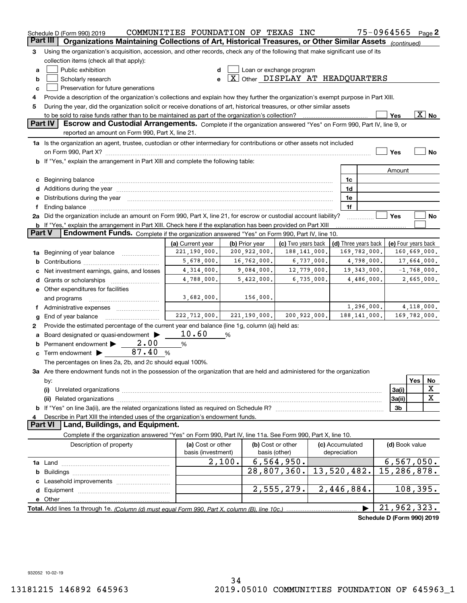| Part III<br>Organizations Maintaining Collections of Art, Historical Treasures, or Other Similar Assets (continued)<br>Using the organization's acquisition, accession, and other records, check any of the following that make significant use of its<br>3<br>collection items (check all that apply):<br>Loan or exchange program<br>Public exhibition<br>d<br>а<br>$\boxed{\text{X}}$ Other DISPLAY AT HEADQUARTERS<br>Scholarly research<br>e<br>b<br>Preservation for future generations<br>c<br>Provide a description of the organization's collections and explain how they further the organization's exempt purpose in Part XIII.<br>4<br>During the year, did the organization solicit or receive donations of art, historical treasures, or other similar assets<br>5<br>$\boxed{\text{X}}$ No<br>Yes<br>Part IV<br>Escrow and Custodial Arrangements. Complete if the organization answered "Yes" on Form 990, Part IV, line 9, or<br>reported an amount on Form 990, Part X, line 21. |           |
|----------------------------------------------------------------------------------------------------------------------------------------------------------------------------------------------------------------------------------------------------------------------------------------------------------------------------------------------------------------------------------------------------------------------------------------------------------------------------------------------------------------------------------------------------------------------------------------------------------------------------------------------------------------------------------------------------------------------------------------------------------------------------------------------------------------------------------------------------------------------------------------------------------------------------------------------------------------------------------------------------|-----------|
|                                                                                                                                                                                                                                                                                                                                                                                                                                                                                                                                                                                                                                                                                                                                                                                                                                                                                                                                                                                                    |           |
|                                                                                                                                                                                                                                                                                                                                                                                                                                                                                                                                                                                                                                                                                                                                                                                                                                                                                                                                                                                                    |           |
|                                                                                                                                                                                                                                                                                                                                                                                                                                                                                                                                                                                                                                                                                                                                                                                                                                                                                                                                                                                                    |           |
|                                                                                                                                                                                                                                                                                                                                                                                                                                                                                                                                                                                                                                                                                                                                                                                                                                                                                                                                                                                                    |           |
|                                                                                                                                                                                                                                                                                                                                                                                                                                                                                                                                                                                                                                                                                                                                                                                                                                                                                                                                                                                                    |           |
|                                                                                                                                                                                                                                                                                                                                                                                                                                                                                                                                                                                                                                                                                                                                                                                                                                                                                                                                                                                                    |           |
|                                                                                                                                                                                                                                                                                                                                                                                                                                                                                                                                                                                                                                                                                                                                                                                                                                                                                                                                                                                                    |           |
|                                                                                                                                                                                                                                                                                                                                                                                                                                                                                                                                                                                                                                                                                                                                                                                                                                                                                                                                                                                                    |           |
|                                                                                                                                                                                                                                                                                                                                                                                                                                                                                                                                                                                                                                                                                                                                                                                                                                                                                                                                                                                                    |           |
| 1a Is the organization an agent, trustee, custodian or other intermediary for contributions or other assets not included                                                                                                                                                                                                                                                                                                                                                                                                                                                                                                                                                                                                                                                                                                                                                                                                                                                                           |           |
| Yes                                                                                                                                                                                                                                                                                                                                                                                                                                                                                                                                                                                                                                                                                                                                                                                                                                                                                                                                                                                                | <b>No</b> |
| <b>b</b> If "Yes," explain the arrangement in Part XIII and complete the following table:                                                                                                                                                                                                                                                                                                                                                                                                                                                                                                                                                                                                                                                                                                                                                                                                                                                                                                          |           |
| Amount                                                                                                                                                                                                                                                                                                                                                                                                                                                                                                                                                                                                                                                                                                                                                                                                                                                                                                                                                                                             |           |
|                                                                                                                                                                                                                                                                                                                                                                                                                                                                                                                                                                                                                                                                                                                                                                                                                                                                                                                                                                                                    |           |
| Beginning balance<br>1c<br>c                                                                                                                                                                                                                                                                                                                                                                                                                                                                                                                                                                                                                                                                                                                                                                                                                                                                                                                                                                       |           |
| 1d                                                                                                                                                                                                                                                                                                                                                                                                                                                                                                                                                                                                                                                                                                                                                                                                                                                                                                                                                                                                 |           |
| Distributions during the year manufactured and continuum and contact the year manufactured and contact the year<br>1e<br>е<br>1f                                                                                                                                                                                                                                                                                                                                                                                                                                                                                                                                                                                                                                                                                                                                                                                                                                                                   |           |
| Ending balance material content contracts and all the content of the content of the content of the content of the content of the content of the content of the content of the content of the content of the content of the con<br>f<br>Did the organization include an amount on Form 990, Part X, line 21, for escrow or custodial account liability?<br>Yes<br>2a                                                                                                                                                                                                                                                                                                                                                                                                                                                                                                                                                                                                                                | No        |
| b If "Yes," explain the arrangement in Part XIII. Check here if the explanation has been provided on Part XIII                                                                                                                                                                                                                                                                                                                                                                                                                                                                                                                                                                                                                                                                                                                                                                                                                                                                                     |           |
| Part V<br>Endowment Funds. Complete if the organization answered "Yes" on Form 990, Part IV, line 10.                                                                                                                                                                                                                                                                                                                                                                                                                                                                                                                                                                                                                                                                                                                                                                                                                                                                                              |           |
| (a) Current year<br>(b) Prior year<br>(c) Two years back<br>(d) Three years back<br>(e) Four years back                                                                                                                                                                                                                                                                                                                                                                                                                                                                                                                                                                                                                                                                                                                                                                                                                                                                                            |           |
| 221,190,000.<br>200,922,000.<br>169,782,000.<br>160,669,000.<br>188,141,000.<br>Beginning of year balance<br>1a                                                                                                                                                                                                                                                                                                                                                                                                                                                                                                                                                                                                                                                                                                                                                                                                                                                                                    |           |
| 5,678,000.<br>16,762,000.<br>6,737,000.<br>4,798,000.<br>17,664,000.<br>b                                                                                                                                                                                                                                                                                                                                                                                                                                                                                                                                                                                                                                                                                                                                                                                                                                                                                                                          |           |
| 4,314,000.<br>9,084,000.<br>19, 343, 000.<br>12,779,000.<br>$-1,768,000.$<br>Net investment earnings, gains, and losses<br>с                                                                                                                                                                                                                                                                                                                                                                                                                                                                                                                                                                                                                                                                                                                                                                                                                                                                       |           |
| 4,788,000.<br>5,422,000.<br>6,735,000.<br>4,486,000.<br>2,665,000.<br>Grants or scholarships [ <i>[[[[[[[[[[[[[[[[[[[[[[[[[[[[[[[]]]]]</i><br>d                                                                                                                                                                                                                                                                                                                                                                                                                                                                                                                                                                                                                                                                                                                                                                                                                                                    |           |
| e Other expenditures for facilities                                                                                                                                                                                                                                                                                                                                                                                                                                                                                                                                                                                                                                                                                                                                                                                                                                                                                                                                                                |           |
| 3,682,000.<br>156,000.<br>and programs                                                                                                                                                                                                                                                                                                                                                                                                                                                                                                                                                                                                                                                                                                                                                                                                                                                                                                                                                             |           |
| 1,296,000.<br>4,118,000.<br>f Administrative expenses                                                                                                                                                                                                                                                                                                                                                                                                                                                                                                                                                                                                                                                                                                                                                                                                                                                                                                                                              |           |
| 222, 712, 000.<br>221, 190, 000.<br>200,922,000.<br>188, 141, 000.<br>169,782,000.<br>End of year balance<br>g                                                                                                                                                                                                                                                                                                                                                                                                                                                                                                                                                                                                                                                                                                                                                                                                                                                                                     |           |
| Provide the estimated percentage of the current year end balance (line 1g, column (a)) held as:<br>2                                                                                                                                                                                                                                                                                                                                                                                                                                                                                                                                                                                                                                                                                                                                                                                                                                                                                               |           |
| 10.60<br>Board designated or quasi-endowment ><br>%<br>a                                                                                                                                                                                                                                                                                                                                                                                                                                                                                                                                                                                                                                                                                                                                                                                                                                                                                                                                           |           |
| 2,00<br>Permanent endowment<br>%<br>b                                                                                                                                                                                                                                                                                                                                                                                                                                                                                                                                                                                                                                                                                                                                                                                                                                                                                                                                                              |           |
| 87.40<br>Term endowment ><br>%<br>c                                                                                                                                                                                                                                                                                                                                                                                                                                                                                                                                                                                                                                                                                                                                                                                                                                                                                                                                                                |           |
| The percentages on lines 2a, 2b, and 2c should equal 100%.                                                                                                                                                                                                                                                                                                                                                                                                                                                                                                                                                                                                                                                                                                                                                                                                                                                                                                                                         |           |
| 3a Are there endowment funds not in the possession of the organization that are held and administered for the organization                                                                                                                                                                                                                                                                                                                                                                                                                                                                                                                                                                                                                                                                                                                                                                                                                                                                         |           |
| Yes<br>by:                                                                                                                                                                                                                                                                                                                                                                                                                                                                                                                                                                                                                                                                                                                                                                                                                                                                                                                                                                                         | No        |
| 3a(i)<br>(i)                                                                                                                                                                                                                                                                                                                                                                                                                                                                                                                                                                                                                                                                                                                                                                                                                                                                                                                                                                                       | х         |
| 3a(ii)<br>(ii)                                                                                                                                                                                                                                                                                                                                                                                                                                                                                                                                                                                                                                                                                                                                                                                                                                                                                                                                                                                     | X         |
| 3b                                                                                                                                                                                                                                                                                                                                                                                                                                                                                                                                                                                                                                                                                                                                                                                                                                                                                                                                                                                                 |           |
| Describe in Part XIII the intended uses of the organization's endowment funds.<br>4                                                                                                                                                                                                                                                                                                                                                                                                                                                                                                                                                                                                                                                                                                                                                                                                                                                                                                                |           |
| Land, Buildings, and Equipment.<br><b>Part VI</b>                                                                                                                                                                                                                                                                                                                                                                                                                                                                                                                                                                                                                                                                                                                                                                                                                                                                                                                                                  |           |
| Complete if the organization answered "Yes" on Form 990, Part IV, line 11a. See Form 990, Part X, line 10.                                                                                                                                                                                                                                                                                                                                                                                                                                                                                                                                                                                                                                                                                                                                                                                                                                                                                         |           |
|                                                                                                                                                                                                                                                                                                                                                                                                                                                                                                                                                                                                                                                                                                                                                                                                                                                                                                                                                                                                    |           |
|                                                                                                                                                                                                                                                                                                                                                                                                                                                                                                                                                                                                                                                                                                                                                                                                                                                                                                                                                                                                    |           |
| (a) Cost or other<br>(b) Cost or other<br>Description of property<br>(c) Accumulated<br>(d) Book value<br>basis (investment)<br>basis (other)<br>depreciation                                                                                                                                                                                                                                                                                                                                                                                                                                                                                                                                                                                                                                                                                                                                                                                                                                      |           |
| 2,100.                                                                                                                                                                                                                                                                                                                                                                                                                                                                                                                                                                                                                                                                                                                                                                                                                                                                                                                                                                                             |           |
| 6, 564, 950.<br>6, 567, 050.<br>28,807,360.<br>15,286,878.<br>b                                                                                                                                                                                                                                                                                                                                                                                                                                                                                                                                                                                                                                                                                                                                                                                                                                                                                                                                    |           |
| 13,520,482.<br>c                                                                                                                                                                                                                                                                                                                                                                                                                                                                                                                                                                                                                                                                                                                                                                                                                                                                                                                                                                                   |           |
| d                                                                                                                                                                                                                                                                                                                                                                                                                                                                                                                                                                                                                                                                                                                                                                                                                                                                                                                                                                                                  |           |
| 2,555,279.<br>2,446,884.<br>108, 395.<br>е                                                                                                                                                                                                                                                                                                                                                                                                                                                                                                                                                                                                                                                                                                                                                                                                                                                                                                                                                         |           |
| Other.<br>21,962,323.                                                                                                                                                                                                                                                                                                                                                                                                                                                                                                                                                                                                                                                                                                                                                                                                                                                                                                                                                                              |           |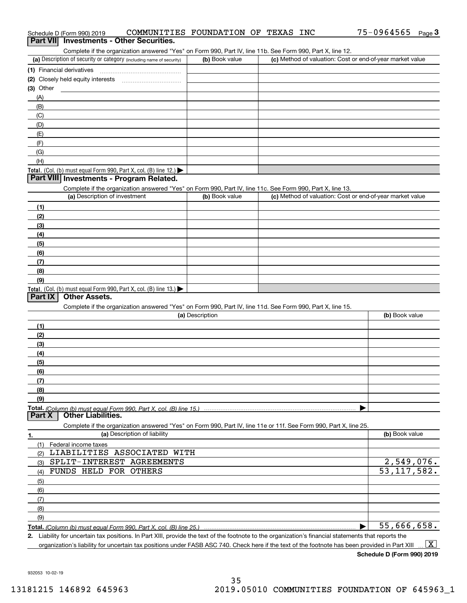| Schedule D (Form 990) 2019 | COMMUNITIES FOUNDATION OF TEXAS INC      |  |  | 75-0964565 | Page 3 |
|----------------------------|------------------------------------------|--|--|------------|--------|
|                            | Part VII Investments - Other Securities. |  |  |            |        |

|  | art VII Investments - Other Securities. |
|--|-----------------------------------------|
|--|-----------------------------------------|

Complete if the organization answered "Yes" on Form 990, Part IV, line 11b. See Form 990, Part X, line 12.

| (a) Description of security or category (including name of security)                   | (b) Book value | (c) Method of valuation: Cost or end-of-year market value |
|----------------------------------------------------------------------------------------|----------------|-----------------------------------------------------------|
| (1) Financial derivatives                                                              |                |                                                           |
| (2) Closely held equity interests                                                      |                |                                                           |
| $(3)$ Other                                                                            |                |                                                           |
| (A)                                                                                    |                |                                                           |
| (B)                                                                                    |                |                                                           |
| (C)                                                                                    |                |                                                           |
| (D)                                                                                    |                |                                                           |
| (E)                                                                                    |                |                                                           |
| (F)                                                                                    |                |                                                           |
| (G)                                                                                    |                |                                                           |
| (H)                                                                                    |                |                                                           |
| Total. (Col. (b) must equal Form 990, Part X, col. (B) line 12.) $\blacktriangleright$ |                |                                                           |

## **Part VIII Investments - Program Related.**

Complete if the organization answered "Yes" on Form 990, Part IV, line 11c. See Form 990, Part X, line 13.

| (a) Description of investment                                    | (b) Book value | (c) Method of valuation: Cost or end-of-year market value |
|------------------------------------------------------------------|----------------|-----------------------------------------------------------|
| (1)                                                              |                |                                                           |
| (2)                                                              |                |                                                           |
| $\frac{1}{(3)}$                                                  |                |                                                           |
| (4)                                                              |                |                                                           |
| $\left(5\right)$                                                 |                |                                                           |
| (6)                                                              |                |                                                           |
| (7)                                                              |                |                                                           |
| (8)                                                              |                |                                                           |
| (9)                                                              |                |                                                           |
| Total. (Col. (b) must equal Form 990, Part X, col. (B) line 13.) |                |                                                           |

### **Part IX Other Assets.**

Complete if the organization answered "Yes" on Form 990, Part IV, line 11d. See Form 990, Part X, line 15.

|                                    | (a) Description                                                                                                   | (b) Book value |
|------------------------------------|-------------------------------------------------------------------------------------------------------------------|----------------|
| (1)                                |                                                                                                                   |                |
| (2)                                |                                                                                                                   |                |
| (3)                                |                                                                                                                   |                |
| (4)                                |                                                                                                                   |                |
| (5)                                |                                                                                                                   |                |
| (6)                                |                                                                                                                   |                |
| (7)                                |                                                                                                                   |                |
| (8)                                |                                                                                                                   |                |
| (9)                                |                                                                                                                   |                |
|                                    |                                                                                                                   |                |
| <b>Part X   Other Liabilities.</b> |                                                                                                                   |                |
|                                    | Complete if the organization answered "Yes" on Form 990, Part IV, line 11e or 11f. See Form 990, Part X, line 25. |                |

| 1.  | (a) Description of liability | (b) Book value |
|-----|------------------------------|----------------|
| (1) | Federal income taxes         |                |
| (2) | LIABILITIES ASSOCIATED WITH  |                |
| (3) | SPLIT-INTEREST AGREEMENTS    | 2,549,076.     |
| (4) | FUNDS HELD FOR OTHERS        | 53, 117, 582.  |
| (5) |                              |                |
| (6) |                              |                |
| (7) |                              |                |
| (8) |                              |                |
| (9) |                              |                |
|     |                              | 55,666,658.    |

**2.** Liability for uncertain tax positions. In Part XIII, provide the text of the footnote to the organization's financial statements that reports the organization's liability for uncertain tax positions under FASB ASC 740. Check here if the text of the footnote has been provided in Part XIII  $\boxed{\text{X}}$ 

**Schedule D (Form 990) 2019**

932053 10-02-19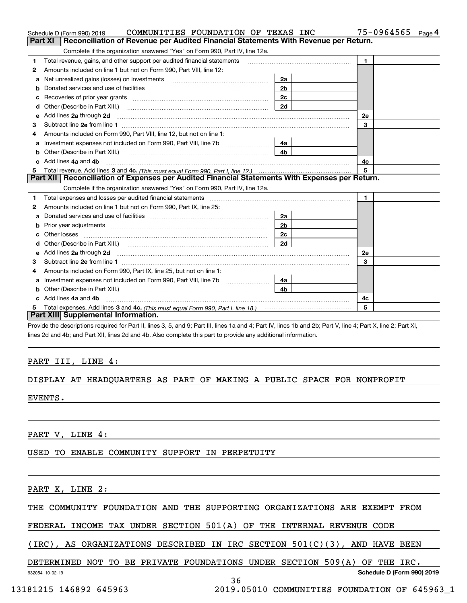|    | COMMUNITIES FOUNDATION OF TEXAS INC<br>Schedule D (Form 990) 2019                                                                                                                                                              |                | 75-0964565     | Page 4 |
|----|--------------------------------------------------------------------------------------------------------------------------------------------------------------------------------------------------------------------------------|----------------|----------------|--------|
|    | Reconciliation of Revenue per Audited Financial Statements With Revenue per Return.<br>Part XI                                                                                                                                 |                |                |        |
|    | Complete if the organization answered "Yes" on Form 990, Part IV, line 12a.                                                                                                                                                    |                |                |        |
| 1  | Total revenue, gains, and other support per audited financial statements                                                                                                                                                       |                | $\blacksquare$ |        |
| 2  | Amounts included on line 1 but not on Form 990, Part VIII, line 12:                                                                                                                                                            |                |                |        |
| a  |                                                                                                                                                                                                                                | 2a             |                |        |
|    |                                                                                                                                                                                                                                | 2 <sub>b</sub> |                |        |
|    | Recoveries of prior year grants [11] matter contracts and prior year grants [11] matter contracts and prior year grants and all the contracts and all the contracts of prior year.                                             | 2c             |                |        |
| d  | Other (Describe in Part XIII.) <b>Construction Contract Construction</b> Chemistry Chemistry Chemistry Chemistry Chemistry                                                                                                     | 2d             |                |        |
| е  | Add lines 2a through 2d                                                                                                                                                                                                        |                | 2e             |        |
| з  |                                                                                                                                                                                                                                |                | 3              |        |
| 4  | Amounts included on Form 990, Part VIII, line 12, but not on line 1:                                                                                                                                                           |                |                |        |
| a  |                                                                                                                                                                                                                                | 4a             |                |        |
| b  |                                                                                                                                                                                                                                | 4 <sub>b</sub> |                |        |
| c. | Add lines 4a and 4b                                                                                                                                                                                                            |                | 4c             |        |
|    |                                                                                                                                                                                                                                |                | 5              |        |
|    | Part XII   Reconciliation of Expenses per Audited Financial Statements With Expenses per Return.                                                                                                                               |                |                |        |
|    | Complete if the organization answered "Yes" on Form 990, Part IV, line 12a.                                                                                                                                                    |                |                |        |
| 1  |                                                                                                                                                                                                                                |                | $\blacksquare$ |        |
| 2  | Amounts included on line 1 but not on Form 990, Part IX, line 25:                                                                                                                                                              |                |                |        |
| a  |                                                                                                                                                                                                                                | 2a             |                |        |
| b  |                                                                                                                                                                                                                                | 2 <sub>b</sub> |                |        |
| C. |                                                                                                                                                                                                                                | 2c             |                |        |
| d  |                                                                                                                                                                                                                                | 2d             |                |        |
|    | Add lines 2a through 2d <b>contract and a contract and a contract a</b> contract a contract and a contract a contract a                                                                                                        |                | 2e             |        |
| 3  |                                                                                                                                                                                                                                |                | 3              |        |
| 4  | Amounts included on Form 990, Part IX, line 25, but not on line 1:                                                                                                                                                             |                |                |        |
|    | Investment expenses not included on Form 990, Part VIII, line 7b [100] [100] [100] [100] [100] [100] [100] [100] [100] [100] [100] [100] [100] [100] [100] [100] [100] [100] [100] [100] [100] [100] [100] [100] [100] [100] [ | 4a l           |                |        |
| b  |                                                                                                                                                                                                                                | 4b             |                |        |
|    | Add lines 4a and 4b                                                                                                                                                                                                            |                | 4c             |        |
|    |                                                                                                                                                                                                                                |                | 5              |        |
|    | Part XIII Supplemental Information.                                                                                                                                                                                            |                |                |        |

Provide the descriptions required for Part II, lines 3, 5, and 9; Part III, lines 1a and 4; Part IV, lines 1b and 2b; Part V, line 4; Part X, line 2; Part XI, lines 2d and 4b; and Part XII, lines 2d and 4b. Also complete this part to provide any additional information.

### PART III, LINE 4:

### DISPLAY AT HEADQUARTERS AS PART OF MAKING A PUBLIC SPACE FOR NONPROFIT

EVENTS.

PART V, LINE 4:

USED TO ENABLE COMMUNITY SUPPORT IN PERPETUITY

PART X, LINE 2:

THE COMMUNITY FOUNDATION AND THE SUPPORTING ORGANIZATIONS ARE EXEMPT FROM

FEDERAL INCOME TAX UNDER SECTION 501(A) OF THE INTERNAL REVENUE CODE

(IRC), AS ORGANIZATIONS DESCRIBED IN IRC SECTION 501(C)(3), AND HAVE BEEN

### DETERMINED NOT TO BE PRIVATE FOUNDATIONS UNDER SECTION 509(A) OF THE IRC.

**Schedule D (Form 990) 2019**

932054 10-02-19

36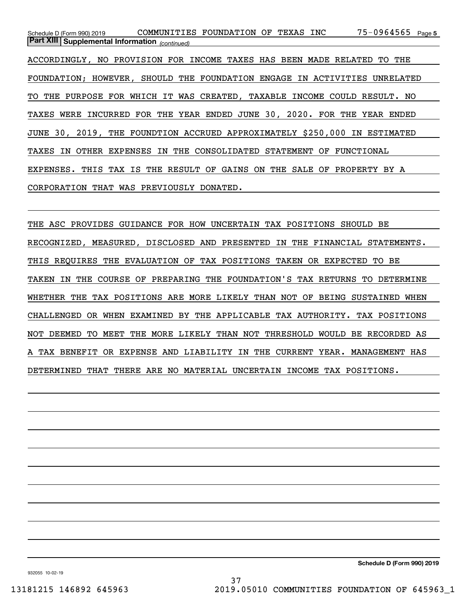75-0964565 Page 5 *(continued)* **Part XIII Supplemental Information**  Schedule D (Form 990) 2019 CO**MMUNITIES FOUNDATION OF TEXAS INC** 75-0964565 Page ACCORDINGLY, NO PROVISION FOR INCOME TAXES HAS BEEN MADE RELATED TO THE FOUNDATION; HOWEVER, SHOULD THE FOUNDATION ENGAGE IN ACTIVITIES UNRELATED TO THE PURPOSE FOR WHICH IT WAS CREATED, TAXABLE INCOME COULD RESULT. NO TAXES WERE INCURRED FOR THE YEAR ENDED JUNE 30, 2020. FOR THE YEAR ENDED JUNE 30, 2019, THE FOUNDTION ACCRUED APPROXIMATELY \$250,000 IN ESTIMATED TAXES IN OTHER EXPENSES IN THE CONSOLIDATED STATEMENT OF FUNCTIONAL EXPENSES. THIS TAX IS THE RESULT OF GAINS ON THE SALE OF PROPERTY BY A CORPORATION THAT WAS PREVIOUSLY DONATED.

THE ASC PROVIDES GUIDANCE FOR HOW UNCERTAIN TAX POSITIONS SHOULD BE RECOGNIZED, MEASURED, DISCLOSED AND PRESENTED IN THE FINANCIAL STATEMENTS. THIS REQUIRES THE EVALUATION OF TAX POSITIONS TAKEN OR EXPECTED TO BE TAKEN IN THE COURSE OF PREPARING THE FOUNDATION'S TAX RETURNS TO DETERMINE WHETHER THE TAX POSITIONS ARE MORE LIKELY THAN NOT OF BEING SUSTAINED WHEN CHALLENGED OR WHEN EXAMINED BY THE APPLICABLE TAX AUTHORITY. TAX POSITIONS NOT DEEMED TO MEET THE MORE LIKELY THAN NOT THRESHOLD WOULD BE RECORDED AS A TAX BENEFIT OR EXPENSE AND LIABILITY IN THE CURRENT YEAR. MANAGEMENT HAS DETERMINED THAT THERE ARE NO MATERIAL UNCERTAIN INCOME TAX POSITIONS.

**Schedule D (Form 990) 2019**

932055 10-02-19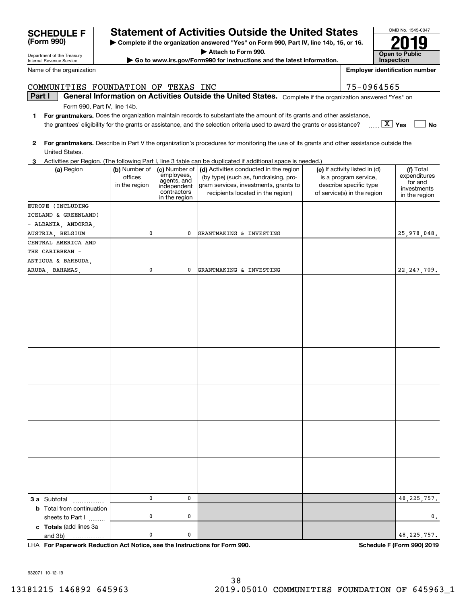932071 10-12-19

**3 a** Subtotal .................. **b** Total from continuation

**c Totals**  (add lines 3a

and 3b)

sheets to Part  $1$  ........

# 38 13181215 146892 645963 2019.05010 COMMUNITIES FOUNDATION OF 645963\_1

0.

| United States.                                               |                                           |                                                                                           |                                                                                                                                                               |                                                                                                                 |                                                                      |
|--------------------------------------------------------------|-------------------------------------------|-------------------------------------------------------------------------------------------|---------------------------------------------------------------------------------------------------------------------------------------------------------------|-----------------------------------------------------------------------------------------------------------------|----------------------------------------------------------------------|
|                                                              |                                           |                                                                                           | 3 Activities per Region. (The following Part I, line 3 table can be duplicated if additional space is needed.)                                                |                                                                                                                 |                                                                      |
| (a) Region                                                   | (b) Number of<br>offices<br>in the region | (c) Number of<br>employees,<br>agents, and<br>independent<br>contractors<br>in the region | (d) Activities conducted in the region<br>(by type) (such as, fundraising, pro-<br>gram services, investments, grants to<br>recipients located in the region) | (e) If activity listed in (d)<br>is a program service,<br>describe specific type<br>of service(s) in the region | (f) Total<br>expenditures<br>for and<br>investments<br>in the region |
| EUROPE (INCLUDING                                            |                                           |                                                                                           |                                                                                                                                                               |                                                                                                                 |                                                                      |
| ICELAND & GREENLAND)                                         |                                           |                                                                                           |                                                                                                                                                               |                                                                                                                 |                                                                      |
| - ALBANIA, ANDORRA,                                          |                                           |                                                                                           |                                                                                                                                                               |                                                                                                                 |                                                                      |
| AUSTRIA, BELGIUM                                             | 0                                         | 0                                                                                         | GRANTMAKING & INVESTING                                                                                                                                       |                                                                                                                 | 25,978,048.                                                          |
| CENTRAL AMERICA AND<br>THE CARIBBEAN -<br>ANTIGUA & BARBUDA, |                                           |                                                                                           |                                                                                                                                                               |                                                                                                                 |                                                                      |
| ARUBA, BAHAMAS,                                              | 0                                         | 0                                                                                         | GRANTMAKING & INVESTING                                                                                                                                       |                                                                                                                 | 22, 247, 709.                                                        |
|                                                              |                                           |                                                                                           |                                                                                                                                                               |                                                                                                                 |                                                                      |
|                                                              |                                           |                                                                                           |                                                                                                                                                               |                                                                                                                 |                                                                      |
|                                                              |                                           |                                                                                           |                                                                                                                                                               |                                                                                                                 |                                                                      |
|                                                              |                                           |                                                                                           |                                                                                                                                                               |                                                                                                                 |                                                                      |

**For Paperwork Reduction Act Notice, see the Instructions for Form 990. Schedule F (Form 990) 2019** LHA

0

0

0

0

0

0

**Yes** X the grantees' eligibility for the grants or assistance, and the selection criteria used to award the grants or assistance?

**Part I**  $\parallel$  General Information on Activities Outside the United States. Complete if the organization answered "Yes" on

**1For grantmakers.**  Does the organization maintain records to substantiate the amount of its grants and other assistance,

**2For grantmakers.**  Describe in Part V the organization's procedures for monitoring the use of its grants and other assistance outside the

|  | 3 Activities per Region. (The following Part I. line 3 table can be duplicated if additional space is needed.) |  |
|--|----------------------------------------------------------------------------------------------------------------|--|

| vallie of the organization. |                                     |  |  |  |
|-----------------------------|-------------------------------------|--|--|--|
|                             |                                     |  |  |  |
|                             | COMMINITTES FOUNDATION OF TEXAS INC |  |  |  |

## **F Statement of Activities Outside the United States**

**| Complete if the organization answered "Yes" on Form 990, Part IV, line 14b, 15, or 16.**

**| Attach to Form 990. | Go to www.irs.gov/Form990 for instructions and the latest information.**

OMB No. 1545-0047 **Open to Public Inspection2019**

**No**

48,225,757.

48,225,757.

**Employer identification number**

 $75 - 0964565$ 

|            | <b>SCHEDULE</b> |
|------------|-----------------|
| (Form 990) |                 |

Department of the Treasury

Name of the organization

| Internal Revenue Service |  |  |
|--------------------------|--|--|
| Namo of the organization |  |  |

Form 990, Part IV, line 14b.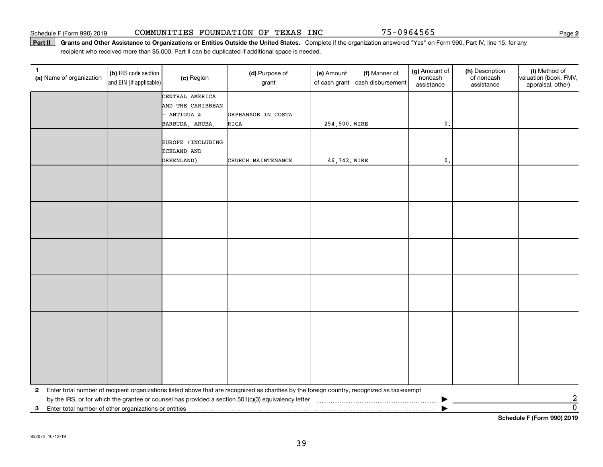### Part II | Grants and Other Assistance to Organizations or Entities Outside the United States. Complete if the organization answered "Yes" on Form 990, Part IV, line 15, for any recipient who received more than \$5,000. Part II can be duplicated if additional space is needed.

| 1<br>(a) Name of organization                           | (b) IRS code section<br>and EIN (if applicable) | (c) Region        | (d) Purpose of<br>grant                                                                                                                      | (e) Amount<br>of cash grant | (f) Manner of<br>cash disbursement | (g) Amount of<br>noncash<br>assistance | (h) Description<br>of noncash<br>assistance | (i) Method of<br>valuation (book, FMV,<br>appraisal, other) |
|---------------------------------------------------------|-------------------------------------------------|-------------------|----------------------------------------------------------------------------------------------------------------------------------------------|-----------------------------|------------------------------------|----------------------------------------|---------------------------------------------|-------------------------------------------------------------|
|                                                         |                                                 | CENTRAL AMERICA   |                                                                                                                                              |                             |                                    |                                        |                                             |                                                             |
|                                                         |                                                 | AND THE CARIBBEAN |                                                                                                                                              |                             |                                    |                                        |                                             |                                                             |
|                                                         |                                                 | ANTIGUA &         | ORPHANAGE IN COSTA                                                                                                                           |                             |                                    |                                        |                                             |                                                             |
|                                                         |                                                 | BARBUDA, ARUBA,   | RICA                                                                                                                                         | 254,500. WIRE               |                                    | $\mathbf{0}$ .                         |                                             |                                                             |
|                                                         |                                                 | EUROPE (INCLUDING |                                                                                                                                              |                             |                                    |                                        |                                             |                                                             |
|                                                         |                                                 | ICELAND AND       |                                                                                                                                              |                             |                                    |                                        |                                             |                                                             |
|                                                         |                                                 | GREENLAND)        | CHURCH MAINTENANCE                                                                                                                           | 46,742. WIRE                |                                    | $\mathbf{0}$                           |                                             |                                                             |
|                                                         |                                                 |                   |                                                                                                                                              |                             |                                    |                                        |                                             |                                                             |
|                                                         |                                                 |                   |                                                                                                                                              |                             |                                    |                                        |                                             |                                                             |
|                                                         |                                                 |                   |                                                                                                                                              |                             |                                    |                                        |                                             |                                                             |
|                                                         |                                                 |                   |                                                                                                                                              |                             |                                    |                                        |                                             |                                                             |
|                                                         |                                                 |                   |                                                                                                                                              |                             |                                    |                                        |                                             |                                                             |
|                                                         |                                                 |                   |                                                                                                                                              |                             |                                    |                                        |                                             |                                                             |
|                                                         |                                                 |                   |                                                                                                                                              |                             |                                    |                                        |                                             |                                                             |
|                                                         |                                                 |                   |                                                                                                                                              |                             |                                    |                                        |                                             |                                                             |
|                                                         |                                                 |                   |                                                                                                                                              |                             |                                    |                                        |                                             |                                                             |
|                                                         |                                                 |                   |                                                                                                                                              |                             |                                    |                                        |                                             |                                                             |
|                                                         |                                                 |                   |                                                                                                                                              |                             |                                    |                                        |                                             |                                                             |
|                                                         |                                                 |                   |                                                                                                                                              |                             |                                    |                                        |                                             |                                                             |
|                                                         |                                                 |                   |                                                                                                                                              |                             |                                    |                                        |                                             |                                                             |
|                                                         |                                                 |                   |                                                                                                                                              |                             |                                    |                                        |                                             |                                                             |
|                                                         |                                                 |                   |                                                                                                                                              |                             |                                    |                                        |                                             |                                                             |
|                                                         |                                                 |                   |                                                                                                                                              |                             |                                    |                                        |                                             |                                                             |
|                                                         |                                                 |                   |                                                                                                                                              |                             |                                    |                                        |                                             |                                                             |
|                                                         |                                                 |                   |                                                                                                                                              |                             |                                    |                                        |                                             |                                                             |
|                                                         |                                                 |                   |                                                                                                                                              |                             |                                    |                                        |                                             |                                                             |
|                                                         |                                                 |                   |                                                                                                                                              |                             |                                    |                                        |                                             |                                                             |
|                                                         |                                                 |                   |                                                                                                                                              |                             |                                    |                                        |                                             |                                                             |
| $\mathbf{2}$                                            |                                                 |                   | Enter total number of recipient organizations listed above that are recognized as charities by the foreign country, recognized as tax-exempt |                             |                                    |                                        |                                             |                                                             |
|                                                         |                                                 |                   |                                                                                                                                              |                             |                                    |                                        |                                             |                                                             |
| 3 Enter total number of other organizations or entities |                                                 |                   |                                                                                                                                              |                             |                                    |                                        |                                             | $\frac{2}{0}$                                               |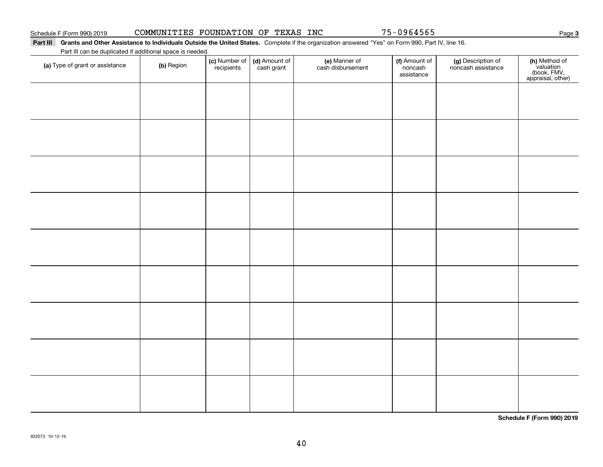$\overline{\phantom{0}}$ 

 $\overline{\phantom{0}}$ 

### Part III Grants and Other Assistance to Individuals Outside the United States. Complete if the organization answered "Yes" on Form 990, Part IV, line 16.

 $\overline{1}$ 

Part III can be duplicated if additional space is needed.

| (a) Type of grant or assistance | (b) Region | <b>(c)</b> Number of <b>(d)</b> Amount of recipients cash grant | e) Manner of<br>cash disbursement | <b>f)</b> Amount of<br>noncash<br>assistance | (g) Description of<br>noncash assistance | (h) Method of<br>valuation<br>(book, FMV,<br>appraisal, other) |
|---------------------------------|------------|-----------------------------------------------------------------|-----------------------------------|----------------------------------------------|------------------------------------------|----------------------------------------------------------------|
|                                 |            |                                                                 |                                   |                                              |                                          |                                                                |
|                                 |            |                                                                 |                                   |                                              |                                          |                                                                |
|                                 |            |                                                                 |                                   |                                              |                                          |                                                                |
|                                 |            |                                                                 |                                   |                                              |                                          |                                                                |
|                                 |            |                                                                 |                                   |                                              |                                          |                                                                |
|                                 |            |                                                                 |                                   |                                              |                                          |                                                                |
|                                 |            |                                                                 |                                   |                                              |                                          |                                                                |
|                                 |            |                                                                 |                                   |                                              |                                          |                                                                |
|                                 |            |                                                                 |                                   |                                              |                                          |                                                                |
|                                 |            |                                                                 |                                   |                                              |                                          |                                                                |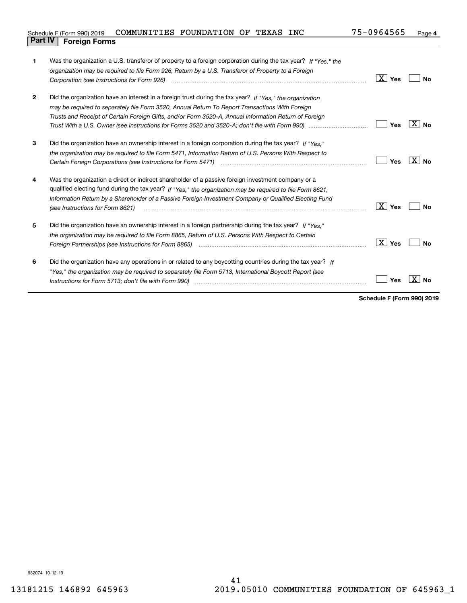| Schedule F (Form 990) 2019     | COMMUNITIES FOUNDATION OF TEXAS |  | <b>INC</b> | 75-0964565 | Page 4 |
|--------------------------------|---------------------------------|--|------------|------------|--------|
| <b>Part IV   Foreign Forms</b> |                                 |  |            |            |        |

| 1            | Was the organization a U.S. transferor of property to a foreign corporation during the tax year? If "Yes," the<br>organization may be required to file Form 926, Return by a U.S. Transferor of Property to a Foreign         |                        |       |
|--------------|-------------------------------------------------------------------------------------------------------------------------------------------------------------------------------------------------------------------------------|------------------------|-------|
|              | Corporation (see Instructions for Form 926) <i>manual content content corporation</i> (see Instructions for Form 926)                                                                                                         | $\boxed{\text{X}}$ Yes | No    |
| $\mathbf{2}$ | Did the organization have an interest in a foreign trust during the tax year? If "Yes," the organization                                                                                                                      |                        |       |
|              | may be required to separately file Form 3520, Annual Return To Report Transactions With Foreign                                                                                                                               |                        |       |
|              | Trusts and Receipt of Certain Foreign Gifts, and/or Form 3520-A, Annual Information Return of Foreign                                                                                                                         |                        |       |
|              |                                                                                                                                                                                                                               | Yes                    | X∣No  |
| 3            | Did the organization have an ownership interest in a foreign corporation during the tax year? If "Yes."                                                                                                                       |                        |       |
|              | the organization may be required to file Form 5471, Information Return of U.S. Persons With Respect to                                                                                                                        |                        |       |
|              | Certain Foreign Corporations (see Instructions for Form 5471) <i>manual contention contention contention</i> contents                                                                                                         | Yes                    | ∣X∣no |
| 4            | Was the organization a direct or indirect shareholder of a passive foreign investment company or a                                                                                                                            |                        |       |
|              | qualified electing fund during the tax year? If "Yes," the organization may be required to file Form 8621,                                                                                                                    |                        |       |
|              | Information Return by a Shareholder of a Passive Foreign Investment Company or Qualified Electing Fund<br>(see Instructions for Form 8621)                                                                                    | ∣ X ∣ Yes              | Nο    |
| 5            | Did the organization have an ownership interest in a foreign partnership during the tax year? If "Yes."                                                                                                                       |                        |       |
|              | the organization may be required to file Form 8865, Return of U.S. Persons With Respect to Certain                                                                                                                            |                        |       |
|              | Foreign Partnerships (see Instructions for Form 8865) manufactured contain the control of the control of the control of the control of the control of the control of the control of the control of the control of the control | $\boxed{\text{X}}$ Yes | Nο    |
| 6            | Did the organization have any operations in or related to any boycotting countries during the tax year? If                                                                                                                    |                        |       |
|              | "Yes," the organization may be required to separately file Form 5713, International Boycott Report (see                                                                                                                       |                        |       |
|              |                                                                                                                                                                                                                               | Yes                    |       |
|              |                                                                                                                                                                                                                               |                        |       |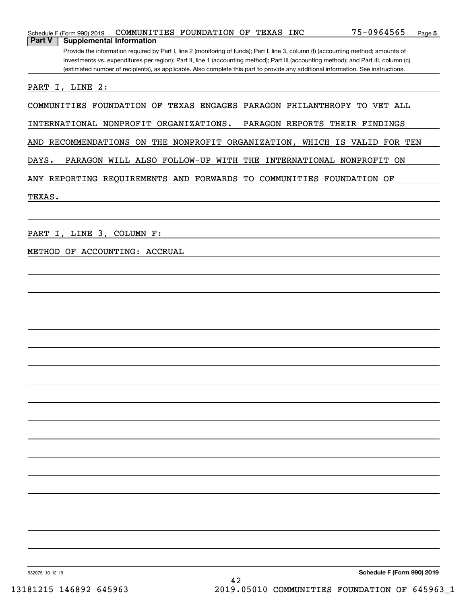| Schedule F (Form 990) 2019 |                                      | COMMUNITIES FOUNDATION OF TEXAS INC |                 | 75-0964565<br>Page 5                                                                                                                  |
|----------------------------|--------------------------------------|-------------------------------------|-----------------|---------------------------------------------------------------------------------------------------------------------------------------|
| Part V                     | <b>Supplemental Information</b>      |                                     |                 |                                                                                                                                       |
|                            |                                      |                                     |                 | Provide the information required by Part I, line 2 (monitoring of funds); Part I, line 3, column (f) (accounting method; amounts of   |
|                            |                                      |                                     |                 | investments vs. expenditures per region); Part II, line 1 (accounting method); Part III (accounting method); and Part III, column (c) |
|                            |                                      |                                     |                 | (estimated number of recipients), as applicable. Also complete this part to provide any additional information. See instructions.     |
|                            |                                      |                                     |                 |                                                                                                                                       |
| PART I, LINE 2:            |                                      |                                     |                 |                                                                                                                                       |
|                            |                                      |                                     |                 |                                                                                                                                       |
| COMMUNITIES FOUNDATION OF  |                                      |                                     |                 | TEXAS ENGAGES PARAGON PHILANTHROPY TO VET ALL                                                                                         |
|                            |                                      |                                     |                 |                                                                                                                                       |
| INTERNATIONAL NONPROFIT    |                                      | ORGANIZATIONS.                      | PARAGON REPORTS | THEIR FINDINGS                                                                                                                        |
|                            |                                      |                                     |                 |                                                                                                                                       |
| AND                        |                                      |                                     |                 | RECOMMENDATIONS ON THE NONPROFIT ORGANIZATION, WHICH IS VALID FOR TEN                                                                 |
|                            |                                      |                                     |                 |                                                                                                                                       |
| DAYS.                      | PARAGON WILL ALSO FOLLOW-UP WITH THE |                                     |                 | INTERNATIONAL NONPROFIT ON                                                                                                            |
|                            |                                      |                                     |                 |                                                                                                                                       |
|                            |                                      |                                     |                 | ANY REPORTING REOUIREMENTS AND FORWARDS TO COMMUNITIES FOUNDATION OF                                                                  |
|                            |                                      |                                     |                 |                                                                                                                                       |
| TEXAS.                     |                                      |                                     |                 |                                                                                                                                       |
|                            |                                      |                                     |                 |                                                                                                                                       |
|                            |                                      |                                     |                 |                                                                                                                                       |
|                            |                                      |                                     |                 |                                                                                                                                       |
| PART                       | I, LINE 3, COLUMN F:                 |                                     |                 |                                                                                                                                       |
|                            |                                      |                                     |                 |                                                                                                                                       |
| METHOD<br>OF               | ACCOUNTING:<br>ACCRUAL               |                                     |                 |                                                                                                                                       |
|                            |                                      |                                     |                 |                                                                                                                                       |
|                            |                                      |                                     |                 |                                                                                                                                       |
|                            |                                      |                                     |                 |                                                                                                                                       |
|                            |                                      |                                     |                 |                                                                                                                                       |
|                            |                                      |                                     |                 |                                                                                                                                       |
|                            |                                      |                                     |                 |                                                                                                                                       |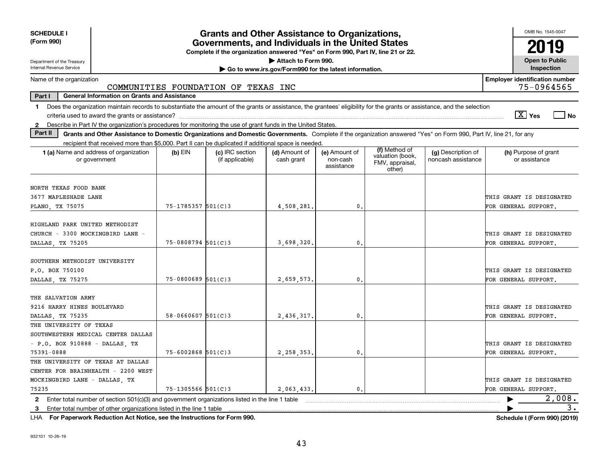| <b>SCHEDULE I</b>                                                                                                                                                              |                        | <b>Grants and Other Assistance to Organizations,</b>                                                                                  |                                                       |                                         |                                                                |                                          | OMB No. 1545-0047                                   |
|--------------------------------------------------------------------------------------------------------------------------------------------------------------------------------|------------------------|---------------------------------------------------------------------------------------------------------------------------------------|-------------------------------------------------------|-----------------------------------------|----------------------------------------------------------------|------------------------------------------|-----------------------------------------------------|
| (Form 990)                                                                                                                                                                     |                        | Governments, and Individuals in the United States<br>Complete if the organization answered "Yes" on Form 990, Part IV, line 21 or 22. |                                                       |                                         |                                                                |                                          | 2019                                                |
| Department of the Treasury                                                                                                                                                     |                        |                                                                                                                                       | Attach to Form 990.                                   |                                         |                                                                |                                          | <b>Open to Public</b>                               |
| Internal Revenue Service                                                                                                                                                       |                        |                                                                                                                                       | Go to www.irs.gov/Form990 for the latest information. |                                         |                                                                |                                          | Inspection                                          |
| Name of the organization                                                                                                                                                       |                        | COMMUNITIES FOUNDATION OF TEXAS INC                                                                                                   |                                                       |                                         |                                                                |                                          | <b>Employer identification number</b><br>75-0964565 |
| Part I<br><b>General Information on Grants and Assistance</b>                                                                                                                  |                        |                                                                                                                                       |                                                       |                                         |                                                                |                                          |                                                     |
| Does the organization maintain records to substantiate the amount of the grants or assistance, the grantees' eligibility for the grants or assistance, and the selection<br>1. |                        |                                                                                                                                       |                                                       |                                         |                                                                |                                          |                                                     |
|                                                                                                                                                                                |                        |                                                                                                                                       |                                                       |                                         |                                                                |                                          | $\boxed{\text{X}}$ Yes<br>$\exists$ No              |
| 2 Describe in Part IV the organization's procedures for monitoring the use of grant funds in the United States.                                                                |                        |                                                                                                                                       |                                                       |                                         |                                                                |                                          |                                                     |
| Part II<br>Grants and Other Assistance to Domestic Organizations and Domestic Governments. Complete if the organization answered "Yes" on Form 990, Part IV, line 21, for any  |                        |                                                                                                                                       |                                                       |                                         |                                                                |                                          |                                                     |
| recipient that received more than \$5,000. Part II can be duplicated if additional space is needed.                                                                            |                        |                                                                                                                                       |                                                       |                                         |                                                                |                                          |                                                     |
| 1 (a) Name and address of organization<br>or government                                                                                                                        | $(b)$ EIN              | (c) IRC section<br>(if applicable)                                                                                                    | (d) Amount of<br>cash grant                           | (e) Amount of<br>non-cash<br>assistance | (f) Method of<br>valuation (book,<br>FMV, appraisal,<br>other) | (g) Description of<br>noncash assistance | (h) Purpose of grant<br>or assistance               |
|                                                                                                                                                                                |                        |                                                                                                                                       |                                                       |                                         |                                                                |                                          |                                                     |
| NORTH TEXAS FOOD BANK<br>3677 MAPLESHADE LANE                                                                                                                                  |                        |                                                                                                                                       |                                                       |                                         |                                                                |                                          | THIS GRANT IS DESIGNATED                            |
| PLANO, TX 75075                                                                                                                                                                | $75 - 1785357$ 501(C)3 |                                                                                                                                       | 4,508,281.                                            | 0.                                      |                                                                |                                          | FOR GENERAL SUPPORT.                                |
|                                                                                                                                                                                |                        |                                                                                                                                       |                                                       |                                         |                                                                |                                          |                                                     |
| HIGHLAND PARK UNITED METHODIST                                                                                                                                                 |                        |                                                                                                                                       |                                                       |                                         |                                                                |                                          |                                                     |
| CHURCH - 3300 MOCKINGBIRD LANE -                                                                                                                                               |                        |                                                                                                                                       |                                                       |                                         |                                                                |                                          | THIS GRANT IS DESIGNATED                            |
| DALLAS, TX 75205                                                                                                                                                               | $75 - 0808794$ 501(C)3 |                                                                                                                                       | 3,698,320,                                            | $\mathbf{0}$ .                          |                                                                |                                          | FOR GENERAL SUPPORT.                                |
|                                                                                                                                                                                |                        |                                                                                                                                       |                                                       |                                         |                                                                |                                          |                                                     |
| SOUTHERN METHODIST UNIVERSITY                                                                                                                                                  |                        |                                                                                                                                       |                                                       |                                         |                                                                |                                          |                                                     |
| P.O. BOX 750100                                                                                                                                                                |                        |                                                                                                                                       |                                                       |                                         |                                                                |                                          | THIS GRANT IS DESIGNATED                            |
| DALLAS, TX 75275                                                                                                                                                               | $75 - 0800689$ 501(C)3 |                                                                                                                                       | 2,659,573.                                            | 0.                                      |                                                                |                                          | FOR GENERAL SUPPORT.                                |
|                                                                                                                                                                                |                        |                                                                                                                                       |                                                       |                                         |                                                                |                                          |                                                     |
| THE SALVATION ARMY                                                                                                                                                             |                        |                                                                                                                                       |                                                       |                                         |                                                                |                                          |                                                     |
| 9216 HARRY HINES BOULEVARD                                                                                                                                                     |                        |                                                                                                                                       |                                                       |                                         |                                                                |                                          | THIS GRANT IS DESIGNATED                            |
| DALLAS TX 75235                                                                                                                                                                | $58 - 0660607$ 501(C)3 |                                                                                                                                       | 2.436.317.                                            | $\mathbf{0}$ .                          |                                                                |                                          | FOR GENERAL SUPPORT.                                |
| THE UNIVERSITY OF TEXAS                                                                                                                                                        |                        |                                                                                                                                       |                                                       |                                         |                                                                |                                          |                                                     |
| SOUTHWESTERN MEDICAL CENTER DALLAS                                                                                                                                             |                        |                                                                                                                                       |                                                       |                                         |                                                                |                                          |                                                     |
| $-$ P.O. BOX 910888 - DALLAS, TX                                                                                                                                               |                        |                                                                                                                                       |                                                       |                                         |                                                                |                                          | THIS GRANT IS DESIGNATED                            |
| 75391-0888                                                                                                                                                                     | $75 - 6002868$ 501(C)3 |                                                                                                                                       | 2,258,353.                                            | $\mathbf{0}$ .                          |                                                                |                                          | FOR GENERAL SUPPORT.                                |
| THE UNIVERSITY OF TEXAS AT DALLAS                                                                                                                                              |                        |                                                                                                                                       |                                                       |                                         |                                                                |                                          |                                                     |
| CENTER FOR BRAINHEALTH - 2200 WEST                                                                                                                                             |                        |                                                                                                                                       |                                                       |                                         |                                                                |                                          |                                                     |
| MOCKINGBIRD LANE - DALLAS, TX                                                                                                                                                  |                        |                                                                                                                                       |                                                       |                                         |                                                                |                                          | THIS GRANT IS DESIGNATED                            |
| 75235                                                                                                                                                                          | 75-1305566 501(C)3     |                                                                                                                                       | 2.063.433.                                            | 0.                                      |                                                                |                                          | FOR GENERAL SUPPORT.                                |
| 2 Enter total number of section 501(c)(3) and government organizations listed in the line 1 table                                                                              |                        |                                                                                                                                       |                                                       |                                         |                                                                |                                          | 2,008.<br>▶                                         |
| Enter total number of other organizations listed in the line 1 table<br>3                                                                                                      |                        |                                                                                                                                       |                                                       |                                         |                                                                |                                          | 3.                                                  |

**For Paperwork Reduction Act Notice, see the Instructions for Form 990. Schedule I (Form 990) (2019)** LHA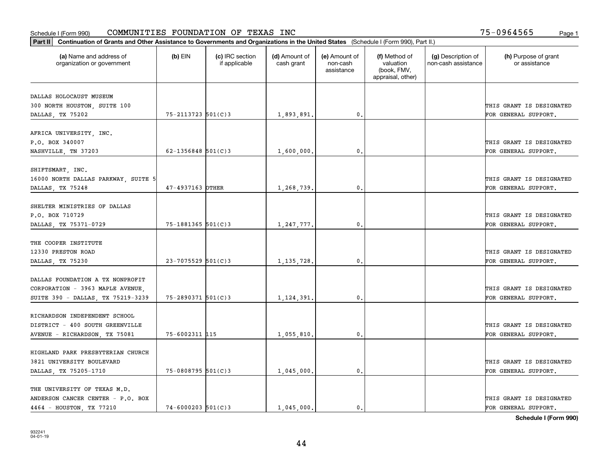| Part II   Continuation of Grants and Other Assistance to Governments and Organizations in the United States (Schedule I (Form 990), Part II.) |                        |                                  |                             |                                         |                                                                |                                           |                                       |
|-----------------------------------------------------------------------------------------------------------------------------------------------|------------------------|----------------------------------|-----------------------------|-----------------------------------------|----------------------------------------------------------------|-------------------------------------------|---------------------------------------|
| (a) Name and address of<br>organization or government                                                                                         | $(b)$ EIN              | (c) IRC section<br>if applicable | (d) Amount of<br>cash grant | (e) Amount of<br>non-cash<br>assistance | (f) Method of<br>valuation<br>(book, FMV,<br>appraisal, other) | (g) Description of<br>non-cash assistance | (h) Purpose of grant<br>or assistance |
| DALLAS HOLOCAUST MUSEUM                                                                                                                       |                        |                                  |                             |                                         |                                                                |                                           |                                       |
| 300 NORTH HOUSTON, SUITE 100                                                                                                                  |                        |                                  |                             |                                         |                                                                |                                           | THIS GRANT IS DESIGNATED              |
| DALLAS, TX 75202                                                                                                                              | 75-2113723 501(C)3     |                                  | 1,893,891.                  | 0.                                      |                                                                |                                           | FOR GENERAL SUPPORT.                  |
|                                                                                                                                               |                        |                                  |                             |                                         |                                                                |                                           |                                       |
| AFRICA UNIVERSITY, INC.                                                                                                                       |                        |                                  |                             |                                         |                                                                |                                           |                                       |
| P.O. BOX 340007                                                                                                                               |                        |                                  |                             |                                         |                                                                |                                           | THIS GRANT IS DESIGNATED              |
| NASHVILLE, TN 37203                                                                                                                           | $62 - 1356848$ 501(C)3 |                                  | 1,600,000,                  | 0.                                      |                                                                |                                           | FOR GENERAL SUPPORT.                  |
|                                                                                                                                               |                        |                                  |                             |                                         |                                                                |                                           |                                       |
| SHIFTSMART, INC.                                                                                                                              |                        |                                  |                             |                                         |                                                                |                                           |                                       |
| 16000 NORTH DALLAS PARKWAY, SUITE 5                                                                                                           |                        |                                  |                             |                                         |                                                                |                                           | THIS GRANT IS DESIGNATED              |
| DALLAS, TX 75248                                                                                                                              | 47-4937163 OTHER       |                                  | 1,268,739.                  | $\mathbf{0}$ .                          |                                                                |                                           | FOR GENERAL SUPPORT.                  |
| SHELTER MINISTRIES OF DALLAS                                                                                                                  |                        |                                  |                             |                                         |                                                                |                                           |                                       |
| P.O. BOX 710729                                                                                                                               |                        |                                  |                             |                                         |                                                                |                                           | THIS GRANT IS DESIGNATED              |
| DALLAS, TX 75371-0729                                                                                                                         | $75 - 1881365$ 501(C)3 |                                  | 1,247,777.                  | $\mathbf{0}$                            |                                                                |                                           | FOR GENERAL SUPPORT.                  |
|                                                                                                                                               |                        |                                  |                             |                                         |                                                                |                                           |                                       |
| THE COOPER INSTITUTE                                                                                                                          |                        |                                  |                             |                                         |                                                                |                                           |                                       |
| 12330 PRESTON ROAD                                                                                                                            |                        |                                  |                             |                                         |                                                                |                                           | THIS GRANT IS DESIGNATED              |
| DALLAS, TX 75230                                                                                                                              | $23 - 7075529$ 501(C)3 |                                  | 1, 135, 728.                | $\mathbf{0}$                            |                                                                |                                           | FOR GENERAL SUPPORT.                  |
|                                                                                                                                               |                        |                                  |                             |                                         |                                                                |                                           |                                       |
| DALLAS FOUNDATION A TX NONPROFIT                                                                                                              |                        |                                  |                             |                                         |                                                                |                                           |                                       |
| CORPORATION - 3963 MAPLE AVENUE,                                                                                                              |                        |                                  |                             |                                         |                                                                |                                           | THIS GRANT IS DESIGNATED              |
| SUITE 390 - DALLAS, TX 75219-3239                                                                                                             | $75 - 2890371$ 501(C)3 |                                  | 1,124,391.                  | 0.                                      |                                                                |                                           | FOR GENERAL SUPPORT.                  |
|                                                                                                                                               |                        |                                  |                             |                                         |                                                                |                                           |                                       |
| RICHARDSON INDEPENDENT SCHOOL                                                                                                                 |                        |                                  |                             |                                         |                                                                |                                           |                                       |
| DISTRICT - 400 SOUTH GREENVILLE                                                                                                               |                        |                                  |                             |                                         |                                                                |                                           | THIS GRANT IS DESIGNATED              |
| AVENUE - RICHARDSON, TX 75081                                                                                                                 | 75-6002311 115         |                                  | 1,055,810.                  | $^{\rm 0}$ .                            |                                                                |                                           | FOR GENERAL SUPPORT.                  |
|                                                                                                                                               |                        |                                  |                             |                                         |                                                                |                                           |                                       |
| HIGHLAND PARK PRESBYTERIAN CHURCH                                                                                                             |                        |                                  |                             |                                         |                                                                |                                           |                                       |
| 3821 UNIVERSITY BOULEVARD                                                                                                                     |                        |                                  |                             |                                         |                                                                |                                           | THIS GRANT IS DESIGNATED              |
| DALLAS, TX 75205-1710                                                                                                                         | 75-0808795 501(C)3     |                                  | 1,045,000.                  | $\mathfrak{o}$ .                        |                                                                |                                           | FOR GENERAL SUPPORT.                  |
| THE UNIVERSITY OF TEXAS M.D.                                                                                                                  |                        |                                  |                             |                                         |                                                                |                                           |                                       |
| ANDERSON CANCER CENTER - P.O. BOX                                                                                                             |                        |                                  |                             |                                         |                                                                |                                           | THIS GRANT IS DESIGNATED              |
| 4464 - HOUSTON, TX 77210                                                                                                                      | $74 - 6000203$ 501(C)3 |                                  | 1,045,000.                  | $\mathbf{0}$ .                          |                                                                |                                           | FOR GENERAL SUPPORT.                  |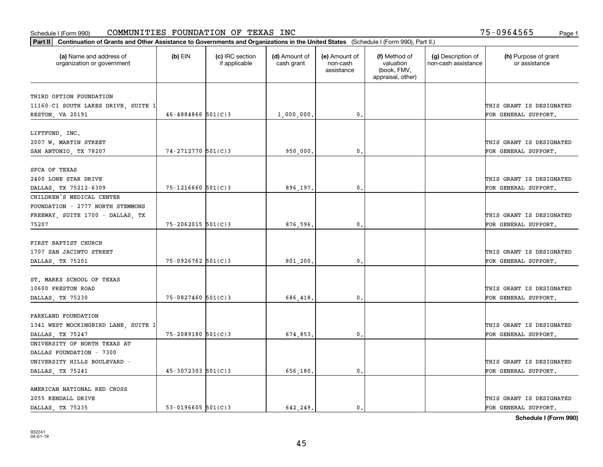| (a) Name and address of<br>organization or government | $(b)$ EIN              | (c) IRC section<br>if applicable | (d) Amount of<br>cash grant | (e) Amount of<br>non-cash<br>assistance | (f) Method of<br>valuation<br>(book, FMV,<br>appraisal, other) | (g) Description of<br>non-cash assistance | (h) Purpose of grant<br>or assistance |
|-------------------------------------------------------|------------------------|----------------------------------|-----------------------------|-----------------------------------------|----------------------------------------------------------------|-------------------------------------------|---------------------------------------|
| THIRD OPTION FOUNDATION                               |                        |                                  |                             |                                         |                                                                |                                           |                                       |
| 11160-C1 SOUTH LAKES DRIVE, SUITE 1                   |                        |                                  |                             |                                         |                                                                |                                           | THIS GRANT IS DESIGNATED              |
| RESTON, VA 20191                                      | $46 - 4884866$ 501(C)3 |                                  | 1,000,000.                  | 0.                                      |                                                                |                                           | FOR GENERAL SUPPORT.                  |
|                                                       |                        |                                  |                             |                                         |                                                                |                                           |                                       |
| LIFTFUND, INC.                                        |                        |                                  |                             |                                         |                                                                |                                           |                                       |
| 2007 W. MARTIN STREET                                 |                        |                                  |                             |                                         |                                                                |                                           | THIS GRANT IS DESIGNATED              |
| SAN ANTONIO, TX 78207                                 | 74-2712770 501(C)3     |                                  | 950,000                     | 0.                                      |                                                                |                                           | FOR GENERAL SUPPORT.                  |
|                                                       |                        |                                  |                             |                                         |                                                                |                                           |                                       |
| SPCA OF TEXAS                                         |                        |                                  |                             |                                         |                                                                |                                           |                                       |
| 2400 LONE STAR DRIVE                                  |                        |                                  |                             |                                         |                                                                |                                           | THIS GRANT IS DESIGNATED              |
| DALLAS, TX 75212-6309                                 | $75 - 1216660$ 501(C)3 |                                  | 896,197.                    | $\mathfrak{o}$ .                        |                                                                |                                           | FOR GENERAL SUPPORT.                  |
| CHILDREN'S MEDICAL CENTER                             |                        |                                  |                             |                                         |                                                                |                                           |                                       |
| FOUNDATION - 2777 NORTH STEMMONS                      |                        |                                  |                             |                                         |                                                                |                                           |                                       |
| FREEWAY, SUITE 1700 - DALLAS, TX                      |                        |                                  |                             |                                         |                                                                |                                           | THIS GRANT IS DESIGNATED              |
| 75207                                                 | $75 - 2062015$ 501(C)3 |                                  | 876,596.                    | $\mathbf{0}$                            |                                                                |                                           | FOR GENERAL SUPPORT.                  |
|                                                       |                        |                                  |                             |                                         |                                                                |                                           |                                       |
| FIRST BAPTIST CHURCH                                  |                        |                                  |                             |                                         |                                                                |                                           |                                       |
| 1707 SAN JACINTO STREET                               |                        |                                  |                             |                                         |                                                                |                                           | THIS GRANT IS DESIGNATED              |
| DALLAS, TX 75201                                      | $75-0926762$ 501(C)3   |                                  | 801,200                     | $\mathbf{0}$                            |                                                                |                                           | FOR GENERAL SUPPORT.                  |
| ST. MARKS SCHOOL OF TEXAS                             |                        |                                  |                             |                                         |                                                                |                                           |                                       |
| 10600 PRESTON ROAD                                    |                        |                                  |                             |                                         |                                                                |                                           | THIS GRANT IS DESIGNATED              |
| DALLAS, TX 75230                                      | 75-0827460 501(C)3     |                                  | 686,418.                    | $\mathbf{0}$                            |                                                                |                                           | FOR GENERAL SUPPORT.                  |
|                                                       |                        |                                  |                             |                                         |                                                                |                                           |                                       |
| PARKLAND FOUNDATION                                   |                        |                                  |                             |                                         |                                                                |                                           |                                       |
| 1341 WEST MOCKINGBIRD LANE, SUITE 1                   |                        |                                  |                             |                                         |                                                                |                                           | THIS GRANT IS DESIGNATED              |
| DALLAS, TX 75247                                      | 75-2089180 501(C)3     |                                  | 674,853.                    | $^{\circ}$ .                            |                                                                |                                           | FOR GENERAL SUPPORT.                  |
| UNIVERSITY OF NORTH TEXAS AT                          |                        |                                  |                             |                                         |                                                                |                                           |                                       |
| DALLAS FOUNDATION - 7300                              |                        |                                  |                             |                                         |                                                                |                                           |                                       |
| UNIVERSITY HILLS BOULEVARD -                          |                        |                                  |                             |                                         |                                                                |                                           | THIS GRANT IS DESIGNATED              |
| DALLAS, TX 75241                                      | $45 - 3072303$ 501(C)3 |                                  | 656,180.                    | $\mathbf{0}$                            |                                                                |                                           | FOR GENERAL SUPPORT.                  |
|                                                       |                        |                                  |                             |                                         |                                                                |                                           |                                       |
| AMERICAN NATIONAL RED CROSS                           |                        |                                  |                             |                                         |                                                                |                                           |                                       |
| 2055 KENDALL DRIVE                                    |                        |                                  |                             |                                         |                                                                |                                           | THIS GRANT IS DESIGNATED              |
| DALLAS TX 75235                                       | $53-0196605$ $501(C)3$ |                                  | 642.249.                    | $\mathbf{0}$ .                          |                                                                |                                           | FOR GENERAL SUPPORT.                  |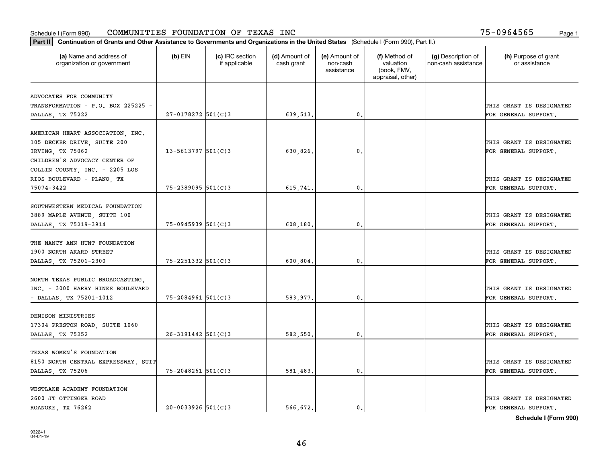| Part II   Continuation of Grants and Other Assistance to Governments and Organizations in the United States (Schedule I (Form 990), Part II.) |                        |                                  |                             |                                         |                                                                |                                           |                                                  |
|-----------------------------------------------------------------------------------------------------------------------------------------------|------------------------|----------------------------------|-----------------------------|-----------------------------------------|----------------------------------------------------------------|-------------------------------------------|--------------------------------------------------|
| (a) Name and address of<br>organization or government                                                                                         | $(b)$ EIN              | (c) IRC section<br>if applicable | (d) Amount of<br>cash grant | (e) Amount of<br>non-cash<br>assistance | (f) Method of<br>valuation<br>(book, FMV,<br>appraisal, other) | (g) Description of<br>non-cash assistance | (h) Purpose of grant<br>or assistance            |
| ADVOCATES FOR COMMUNITY                                                                                                                       |                        |                                  |                             |                                         |                                                                |                                           |                                                  |
| TRANSFORMATION - P.O. BOX 225225 -                                                                                                            |                        |                                  |                             |                                         |                                                                |                                           | THIS GRANT IS DESIGNATED                         |
| DALLAS, TX 75222                                                                                                                              | $27 - 0178272$ 501(C)3 |                                  | 639,513.                    | 0.                                      |                                                                |                                           | FOR GENERAL SUPPORT.                             |
|                                                                                                                                               |                        |                                  |                             |                                         |                                                                |                                           |                                                  |
| AMERICAN HEART ASSOCIATION, INC.                                                                                                              |                        |                                  |                             |                                         |                                                                |                                           |                                                  |
| 105 DECKER DRIVE, SUITE 200                                                                                                                   |                        |                                  |                             |                                         |                                                                |                                           | THIS GRANT IS DESIGNATED                         |
| IRVING, TX 75062                                                                                                                              | $13 - 5613797$ 501(C)3 |                                  | 630,826.                    | 0.                                      |                                                                |                                           | FOR GENERAL SUPPORT.                             |
| CHILDREN'S ADVOCACY CENTER OF                                                                                                                 |                        |                                  |                             |                                         |                                                                |                                           |                                                  |
| COLLIN COUNTY, INC. - 2205 LOS                                                                                                                |                        |                                  |                             |                                         |                                                                |                                           |                                                  |
| RIOS BOULEVARD - PLANO, TX                                                                                                                    |                        |                                  |                             |                                         |                                                                |                                           | THIS GRANT IS DESIGNATED                         |
| 75074-3422                                                                                                                                    | $75 - 2389095$ 501(C)3 |                                  | 615,741.                    | $\mathfrak{o}$ .                        |                                                                |                                           | FOR GENERAL SUPPORT.                             |
|                                                                                                                                               |                        |                                  |                             |                                         |                                                                |                                           |                                                  |
| SOUTHWESTERN MEDICAL FOUNDATION                                                                                                               |                        |                                  |                             |                                         |                                                                |                                           |                                                  |
| 3889 MAPLE AVENUE, SUITE 100                                                                                                                  | 75-0945939 501(C)3     |                                  |                             | 0.                                      |                                                                |                                           | THIS GRANT IS DESIGNATED<br>FOR GENERAL SUPPORT. |
| DALLAS, TX 75219-3914                                                                                                                         |                        |                                  | 608,180.                    |                                         |                                                                |                                           |                                                  |
| THE NANCY ANN HUNT FOUNDATION                                                                                                                 |                        |                                  |                             |                                         |                                                                |                                           |                                                  |
| 1900 NORTH AKARD STREET                                                                                                                       |                        |                                  |                             |                                         |                                                                |                                           | THIS GRANT IS DESIGNATED                         |
| DALLAS, TX 75201-2300                                                                                                                         | $75 - 2251332$ 501(C)3 |                                  | 600,804.                    | $\mathbf{0}$                            |                                                                |                                           | FOR GENERAL SUPPORT.                             |
|                                                                                                                                               |                        |                                  |                             |                                         |                                                                |                                           |                                                  |
| NORTH TEXAS PUBLIC BROADCASTING,                                                                                                              |                        |                                  |                             |                                         |                                                                |                                           |                                                  |
| INC. - 3000 HARRY HINES BOULEVARD                                                                                                             |                        |                                  |                             |                                         |                                                                |                                           | THIS GRANT IS DESIGNATED                         |
| - DALLAS, TX 75201-1012                                                                                                                       | $75 - 2084961$ 501(C)3 |                                  | 583,977.                    | $\mathbf{0}$                            |                                                                |                                           | FOR GENERAL SUPPORT.                             |
|                                                                                                                                               |                        |                                  |                             |                                         |                                                                |                                           |                                                  |
| DENISON MINISTRIES                                                                                                                            |                        |                                  |                             |                                         |                                                                |                                           |                                                  |
| 17304 PRESTON ROAD, SUITE 1060                                                                                                                |                        |                                  |                             |                                         |                                                                |                                           | THIS GRANT IS DESIGNATED                         |
| DALLAS, TX 75252                                                                                                                              | $26 - 3191442$ 501(C)3 |                                  | 582,550.                    | $\mathbf{0}$ .                          |                                                                |                                           | FOR GENERAL SUPPORT.                             |
|                                                                                                                                               |                        |                                  |                             |                                         |                                                                |                                           |                                                  |
| TEXAS WOMEN'S FOUNDATION                                                                                                                      |                        |                                  |                             |                                         |                                                                |                                           |                                                  |
| 8150 NORTH CENTRAL EXPRESSWAY, SUIT                                                                                                           |                        |                                  |                             |                                         |                                                                |                                           | THIS GRANT IS DESIGNATED                         |
| DALLAS, TX 75206                                                                                                                              | $75 - 2048261$ 501(C)3 |                                  | 581,483.                    | $\mathbf{0}$ .                          |                                                                |                                           | FOR GENERAL SUPPORT.                             |
| WESTLAKE ACADEMY FOUNDATION                                                                                                                   |                        |                                  |                             |                                         |                                                                |                                           |                                                  |
| 2600 JT OTTINGER ROAD                                                                                                                         |                        |                                  |                             |                                         |                                                                |                                           | THIS GRANT IS DESIGNATED                         |
| ROANOKE, TX 76262                                                                                                                             | $20 - 0033926$ 501(C)3 |                                  | 566.672.                    | $\mathfrak{o}$ .                        |                                                                |                                           | FOR GENERAL SUPPORT.                             |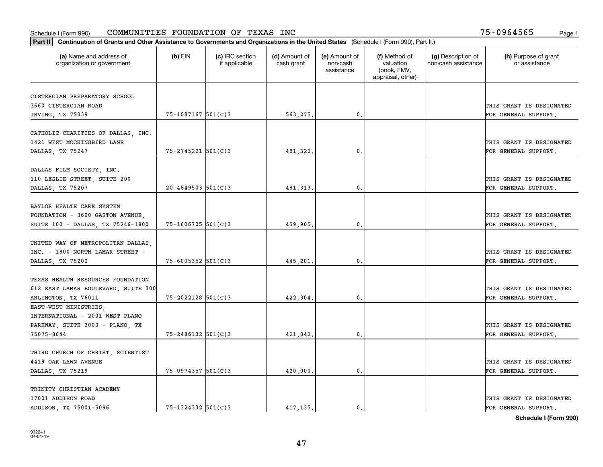| Part II   Continuation of Grants and Other Assistance to Governments and Organizations in the United States (Schedule I (Form 990), Part II.) |                         |                                  |                             |                                         |                                                                |                                           |                                       |
|-----------------------------------------------------------------------------------------------------------------------------------------------|-------------------------|----------------------------------|-----------------------------|-----------------------------------------|----------------------------------------------------------------|-------------------------------------------|---------------------------------------|
| (a) Name and address of<br>organization or government                                                                                         | $(b)$ EIN               | (c) IRC section<br>if applicable | (d) Amount of<br>cash grant | (e) Amount of<br>non-cash<br>assistance | (f) Method of<br>valuation<br>(book, FMV,<br>appraisal, other) | (g) Description of<br>non-cash assistance | (h) Purpose of grant<br>or assistance |
| CISTERCIAN PREPARATORY SCHOOL                                                                                                                 |                         |                                  |                             |                                         |                                                                |                                           |                                       |
| 3660 CISTERCIAN ROAD                                                                                                                          |                         |                                  |                             |                                         |                                                                |                                           | THIS GRANT IS DESIGNATED              |
| IRVING, TX 75039                                                                                                                              | $75 - 1087167$ 501(C)3  |                                  | 563,275.                    | 0.                                      |                                                                |                                           | FOR GENERAL SUPPORT.                  |
|                                                                                                                                               |                         |                                  |                             |                                         |                                                                |                                           |                                       |
| CATHOLIC CHARITIES OF DALLAS, INC.                                                                                                            |                         |                                  |                             |                                         |                                                                |                                           |                                       |
| 1421 WEST MOCKINGBIRD LANE                                                                                                                    |                         |                                  |                             |                                         |                                                                |                                           | THIS GRANT IS DESIGNATED              |
| DALLAS, TX 75247                                                                                                                              | $75 - 2745221$ 501(C)3  |                                  | 481,320.                    | 0.                                      |                                                                |                                           | FOR GENERAL SUPPORT.                  |
|                                                                                                                                               |                         |                                  |                             |                                         |                                                                |                                           |                                       |
| DALLAS FILM SOCIETY, INC.                                                                                                                     |                         |                                  |                             |                                         |                                                                |                                           |                                       |
| 110 LESLIE STREET, SUITE 200                                                                                                                  |                         |                                  |                             |                                         |                                                                |                                           | THIS GRANT IS DESIGNATED              |
| DALLAS, TX 75207                                                                                                                              | $20 - 4849503$ 501(C) 3 |                                  | 481, 313.                   | $\mathbf{0}$ .                          |                                                                |                                           | FOR GENERAL SUPPORT.                  |
|                                                                                                                                               |                         |                                  |                             |                                         |                                                                |                                           |                                       |
| BAYLOR HEALTH CARE SYSTEM                                                                                                                     |                         |                                  |                             |                                         |                                                                |                                           |                                       |
| FOUNDATION - 3600 GASTON AVENUE,                                                                                                              |                         |                                  |                             | $\mathbf{0}$ .                          |                                                                |                                           | THIS GRANT IS DESIGNATED              |
| SUITE 100 - DALLAS, TX 75246-1800                                                                                                             | 75-1606705 501(C)3      |                                  | 459,905.                    |                                         |                                                                |                                           | FOR GENERAL SUPPORT.                  |
| UNITED WAY OF METROPOLITAN DALLAS,                                                                                                            |                         |                                  |                             |                                         |                                                                |                                           |                                       |
| INC. - 1800 NORTH LAMAR STREET -                                                                                                              |                         |                                  |                             |                                         |                                                                |                                           | THIS GRANT IS DESIGNATED              |
| DALLAS, TX 75202                                                                                                                              | $75 - 6005352$ 501(C)3  |                                  | 445,201.                    | 0.                                      |                                                                |                                           | FOR GENERAL SUPPORT.                  |
|                                                                                                                                               |                         |                                  |                             |                                         |                                                                |                                           |                                       |
| TEXAS HEALTH RESOURCES FOUNDATION                                                                                                             |                         |                                  |                             |                                         |                                                                |                                           |                                       |
| 612 EAST LAMAR BOULEVARD, SUITE 300                                                                                                           |                         |                                  |                             |                                         |                                                                |                                           | THIS GRANT IS DESIGNATED              |
| ARLINGTON, TX 76011                                                                                                                           | $75 - 2022128$ 501(C)3  |                                  | 422,304.                    | 0.                                      |                                                                |                                           | FOR GENERAL SUPPORT.                  |
| EAST-WEST MINISTRIES,                                                                                                                         |                         |                                  |                             |                                         |                                                                |                                           |                                       |
| INTERNATIONAL - 2001 WEST PLANO                                                                                                               |                         |                                  |                             |                                         |                                                                |                                           |                                       |
| PARKWAY, SUITE 3000 - PLANO, TX                                                                                                               |                         |                                  |                             |                                         |                                                                |                                           | THIS GRANT IS DESIGNATED              |
| 75075-8644                                                                                                                                    | 75-2486132 501(C)3      |                                  | 421,842.                    | $\mathbf{0}$ .                          |                                                                |                                           | FOR GENERAL SUPPORT.                  |
|                                                                                                                                               |                         |                                  |                             |                                         |                                                                |                                           |                                       |
| THIRD CHURCH OF CHRIST, SCIENTIST                                                                                                             |                         |                                  |                             |                                         |                                                                |                                           |                                       |
| 4419 OAK LAWN AVENUE                                                                                                                          |                         |                                  |                             |                                         |                                                                |                                           | THIS GRANT IS DESIGNATED              |
| DALLAS, TX 75219                                                                                                                              | 75-0974357 501(C)3      |                                  | 420,000.                    | $\mathbf{0}$ .                          |                                                                |                                           | FOR GENERAL SUPPORT.                  |
|                                                                                                                                               |                         |                                  |                             |                                         |                                                                |                                           |                                       |
| TRINITY CHRISTIAN ACADEMY                                                                                                                     |                         |                                  |                             |                                         |                                                                |                                           |                                       |
| 17001 ADDISON ROAD                                                                                                                            |                         |                                  |                             |                                         |                                                                |                                           | THIS GRANT IS DESIGNATED              |
| ADDISON, TX 75001-5096                                                                                                                        | $75 - 1324332$ 501(C)3  |                                  | 417, 135.                   | $\mathbf{0}$ .                          |                                                                |                                           | FOR GENERAL SUPPORT.                  |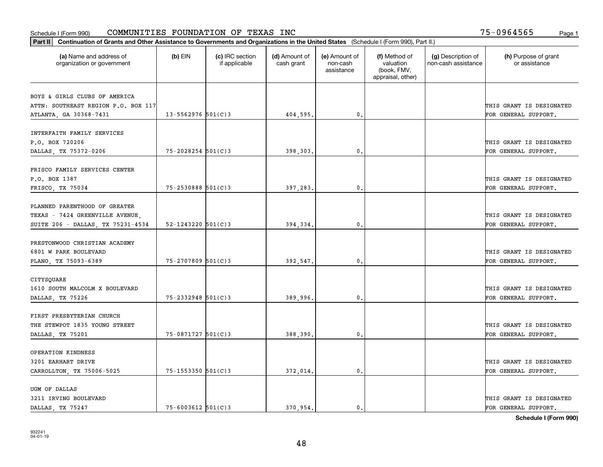| Part II   Continuation of Grants and Other Assistance to Governments and Organizations in the United States (Schedule I (Form 990), Part II.) |                          |                                  |                             |                                         |                                                                |                                           |                                       |
|-----------------------------------------------------------------------------------------------------------------------------------------------|--------------------------|----------------------------------|-----------------------------|-----------------------------------------|----------------------------------------------------------------|-------------------------------------------|---------------------------------------|
| (a) Name and address of<br>organization or government                                                                                         | $(b)$ EIN                | (c) IRC section<br>if applicable | (d) Amount of<br>cash grant | (e) Amount of<br>non-cash<br>assistance | (f) Method of<br>valuation<br>(book, FMV,<br>appraisal, other) | (g) Description of<br>non-cash assistance | (h) Purpose of grant<br>or assistance |
|                                                                                                                                               |                          |                                  |                             |                                         |                                                                |                                           |                                       |
| BOYS & GIRLS CLUBS OF AMERICA<br>ATTN: SOUTHEAST REGION P.O. BOX 117                                                                          |                          |                                  |                             |                                         |                                                                |                                           | THIS GRANT IS DESIGNATED              |
| ATLANTA, GA 30368-7431                                                                                                                        | $13 - 5562976$ 501(C)3   |                                  | 404,595.                    | 0.                                      |                                                                |                                           | FOR GENERAL SUPPORT.                  |
|                                                                                                                                               |                          |                                  |                             |                                         |                                                                |                                           |                                       |
| INTERFAITH FAMILY SERVICES                                                                                                                    |                          |                                  |                             |                                         |                                                                |                                           |                                       |
| P.O. BOX 720206                                                                                                                               |                          |                                  |                             |                                         |                                                                |                                           | THIS GRANT IS DESIGNATED              |
| DALLAS, TX 75372-0206                                                                                                                         | 75-2028254 501(C)3       |                                  | 398,303.                    | 0.                                      |                                                                |                                           | FOR GENERAL SUPPORT.                  |
|                                                                                                                                               |                          |                                  |                             |                                         |                                                                |                                           |                                       |
| FRISCO FAMILY SERVICES CENTER                                                                                                                 |                          |                                  |                             |                                         |                                                                |                                           |                                       |
| P.O. BOX 1387                                                                                                                                 |                          |                                  |                             |                                         |                                                                |                                           | THIS GRANT IS DESIGNATED              |
| FRISCO, TX 75034                                                                                                                              | $75 - 2530888$ 501(C)3   |                                  | 397,283.                    | $\mathbf{0}$ .                          |                                                                |                                           | FOR GENERAL SUPPORT.                  |
|                                                                                                                                               |                          |                                  |                             |                                         |                                                                |                                           |                                       |
| PLANNED PARENTHOOD OF GREATER                                                                                                                 |                          |                                  |                             |                                         |                                                                |                                           |                                       |
| TEXAS - 7424 GREENVILLE AVENUE.                                                                                                               |                          |                                  |                             |                                         |                                                                |                                           | THIS GRANT IS DESIGNATED              |
| SUITE 206 - DALLAS, TX 75231-4534                                                                                                             | $52 - 1243220$ $501(C)3$ |                                  | 394,334.                    | $\mathbf{0}$                            |                                                                |                                           | FOR GENERAL SUPPORT.                  |
|                                                                                                                                               |                          |                                  |                             |                                         |                                                                |                                           |                                       |
| PRESTONWOOD CHRISTIAN ACADEMY                                                                                                                 |                          |                                  |                             |                                         |                                                                |                                           |                                       |
| 6801 W PARK BOULEVARD                                                                                                                         |                          |                                  |                             |                                         |                                                                |                                           | THIS GRANT IS DESIGNATED              |
| PLANO, TX 75093-6389                                                                                                                          | 75-2707809 501(C)3       |                                  | 392,547.                    | $\mathbf{0}$                            |                                                                |                                           | FOR GENERAL SUPPORT.                  |
| CITYSQUARE                                                                                                                                    |                          |                                  |                             |                                         |                                                                |                                           |                                       |
| 1610 SOUTH MALCOLM X BOULEVARD                                                                                                                |                          |                                  |                             |                                         |                                                                |                                           | THIS GRANT IS DESIGNATED              |
| DALLAS, TX 75226                                                                                                                              | 75-2332948 501(C)3       |                                  | 389,996.                    | 0.                                      |                                                                |                                           | FOR GENERAL SUPPORT.                  |
|                                                                                                                                               |                          |                                  |                             |                                         |                                                                |                                           |                                       |
| FIRST PRESBYTERIAN CHURCH                                                                                                                     |                          |                                  |                             |                                         |                                                                |                                           |                                       |
| THE STEWPOT 1835 YOUNG STREET                                                                                                                 |                          |                                  |                             |                                         |                                                                |                                           | THIS GRANT IS DESIGNATED              |
| DALLAS, TX 75201                                                                                                                              | 75-0871727 501(C)3       |                                  | 388,390.                    | $^{\rm 0}$ .                            |                                                                |                                           | FOR GENERAL SUPPORT.                  |
|                                                                                                                                               |                          |                                  |                             |                                         |                                                                |                                           |                                       |
| OPERATION KINDNESS                                                                                                                            |                          |                                  |                             |                                         |                                                                |                                           |                                       |
| 3201 EARHART DRIVE                                                                                                                            |                          |                                  |                             |                                         |                                                                |                                           | THIS GRANT IS DESIGNATED              |
| CARROLLTON, TX 75006-5025                                                                                                                     | 75-1553350 501(C)3       |                                  | 372,014.                    | $\mathfrak{o}$ .                        |                                                                |                                           | FOR GENERAL SUPPORT.                  |
|                                                                                                                                               |                          |                                  |                             |                                         |                                                                |                                           |                                       |
| UGM OF DALLAS                                                                                                                                 |                          |                                  |                             |                                         |                                                                |                                           |                                       |
| 3211 IRVING BOULEVARD                                                                                                                         |                          |                                  |                             |                                         |                                                                |                                           | THIS GRANT IS DESIGNATED              |
| DALLAS, TX 75247                                                                                                                              | $75 - 6003612$ 501(C)3   |                                  | 370.954.                    | $\mathbf{0}$ .                          |                                                                |                                           | FOR GENERAL SUPPORT.                  |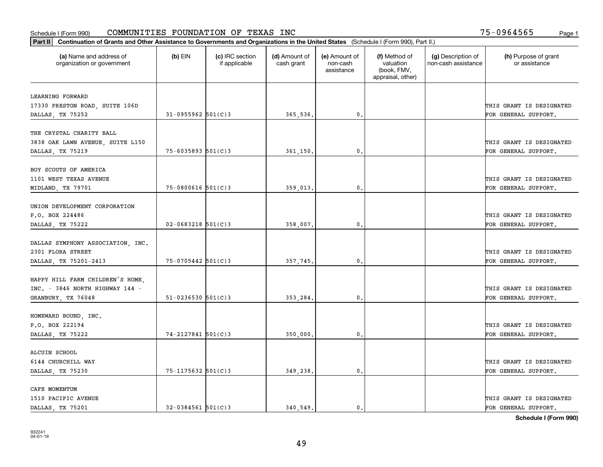| Part II   Continuation of Grants and Other Assistance to Governments and Organizations in the United States (Schedule I (Form 990), Part II.) |                          |                                  |                             |                                         |                                                                |                                           |                                                  |
|-----------------------------------------------------------------------------------------------------------------------------------------------|--------------------------|----------------------------------|-----------------------------|-----------------------------------------|----------------------------------------------------------------|-------------------------------------------|--------------------------------------------------|
| (a) Name and address of<br>organization or government                                                                                         | $(b)$ EIN                | (c) IRC section<br>if applicable | (d) Amount of<br>cash grant | (e) Amount of<br>non-cash<br>assistance | (f) Method of<br>valuation<br>(book, FMV,<br>appraisal, other) | (g) Description of<br>non-cash assistance | (h) Purpose of grant<br>or assistance            |
| LEARNING FORWARD                                                                                                                              |                          |                                  |                             |                                         |                                                                |                                           |                                                  |
| 17330 PRESTON ROAD, SUITE 106D                                                                                                                |                          |                                  |                             |                                         |                                                                |                                           | THIS GRANT IS DESIGNATED                         |
| DALLAS, TX 75252                                                                                                                              | $31 - 0955962$ 501(C)3   |                                  | 365,536.                    | $\mathfrak{o}$ .                        |                                                                |                                           | FOR GENERAL SUPPORT.                             |
|                                                                                                                                               |                          |                                  |                             |                                         |                                                                |                                           |                                                  |
| THE CRYSTAL CHARITY BALL                                                                                                                      |                          |                                  |                             |                                         |                                                                |                                           |                                                  |
| 3838 OAK LAWN AVENUE, SUITE L150                                                                                                              |                          |                                  |                             |                                         |                                                                |                                           | THIS GRANT IS DESIGNATED                         |
| DALLAS, TX 75219                                                                                                                              | $75 - 6035893$ $501(C)3$ |                                  | 361,150                     | 0.                                      |                                                                |                                           | FOR GENERAL SUPPORT.                             |
| BOY SCOUTS OF AMERICA                                                                                                                         |                          |                                  |                             |                                         |                                                                |                                           |                                                  |
| 1101 WEST TEXAS AVENUE                                                                                                                        |                          |                                  |                             |                                         |                                                                |                                           | THIS GRANT IS DESIGNATED                         |
| MIDLAND, TX 79701                                                                                                                             | $75 - 0800616$ 501(C)3   |                                  | 359,013.                    | $\mathbf{0}$                            |                                                                |                                           | FOR GENERAL SUPPORT.                             |
|                                                                                                                                               |                          |                                  |                             |                                         |                                                                |                                           |                                                  |
| UNION DEVELOPMENT CORPORATION                                                                                                                 |                          |                                  |                             |                                         |                                                                |                                           |                                                  |
| P.O. BOX 224486                                                                                                                               |                          |                                  |                             |                                         |                                                                |                                           | THIS GRANT IS DESIGNATED                         |
| DALLAS, TX 75222                                                                                                                              | $02 - 0683218$ 501(C)3   |                                  | 358,007.                    | 0.                                      |                                                                |                                           | FOR GENERAL SUPPORT.                             |
|                                                                                                                                               |                          |                                  |                             |                                         |                                                                |                                           |                                                  |
| DALLAS SYMPHONY ASSOCIATION, INC.<br>2301 FLORA STREET                                                                                        |                          |                                  |                             |                                         |                                                                |                                           |                                                  |
| DALLAS, TX 75201-2413                                                                                                                         | $75 - 0705442$ 501(C)3   |                                  | 357,745.                    | $\mathbf{0}$ .                          |                                                                |                                           | THIS GRANT IS DESIGNATED<br>FOR GENERAL SUPPORT. |
|                                                                                                                                               |                          |                                  |                             |                                         |                                                                |                                           |                                                  |
| HAPPY HILL FARM CHILDREN'S HOME,                                                                                                              |                          |                                  |                             |                                         |                                                                |                                           |                                                  |
| $INC. = 3846 NOTH HIGHWAY 144 -$                                                                                                              |                          |                                  |                             |                                         |                                                                |                                           | THIS GRANT IS DESIGNATED                         |
| GRANBURY, TX 76048                                                                                                                            | $51 - 0236530$ $501(C)3$ |                                  | 353,284.                    | 0.                                      |                                                                |                                           | FOR GENERAL SUPPORT.                             |
|                                                                                                                                               |                          |                                  |                             |                                         |                                                                |                                           |                                                  |
| HOMEWARD BOUND, INC.                                                                                                                          |                          |                                  |                             |                                         |                                                                |                                           |                                                  |
| P.O. BOX 222194                                                                                                                               |                          |                                  |                             |                                         |                                                                |                                           | THIS GRANT IS DESIGNATED                         |
| DALLAS, TX 75222                                                                                                                              | 74-2127841 501(C)3       |                                  | 350,000.                    | 0.                                      |                                                                |                                           | FOR GENERAL SUPPORT.                             |
| ALCUIN SCHOOL                                                                                                                                 |                          |                                  |                             |                                         |                                                                |                                           |                                                  |
| 6144 CHURCHILL WAY                                                                                                                            |                          |                                  |                             |                                         |                                                                |                                           | THIS GRANT IS DESIGNATED                         |
| DALLAS, TX 75230                                                                                                                              | $75 - 1175632$ 501(C)3   |                                  | 349,238.                    | $\mathfrak{o}$ .                        |                                                                |                                           | FOR GENERAL SUPPORT.                             |
|                                                                                                                                               |                          |                                  |                             |                                         |                                                                |                                           |                                                  |
| CAFE MOMENTUM                                                                                                                                 |                          |                                  |                             |                                         |                                                                |                                           |                                                  |
| 1510 PACIFIC AVENUE                                                                                                                           |                          |                                  |                             |                                         |                                                                |                                           | THIS GRANT IS DESIGNATED                         |
| DALLAS, TX 75201                                                                                                                              | $32 - 0384561$ 501(C)3   |                                  | 340,549.                    | $\mathbf{0}$ .                          |                                                                |                                           | FOR GENERAL SUPPORT.                             |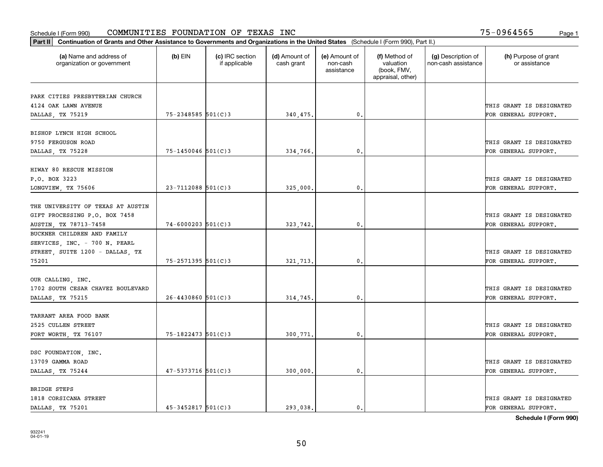| Part II   Continuation of Grants and Other Assistance to Governments and Organizations in the United States (Schedule I (Form 990), Part II.) |                        |                                  |                             |                                         |                                                                |                                           |                                       |
|-----------------------------------------------------------------------------------------------------------------------------------------------|------------------------|----------------------------------|-----------------------------|-----------------------------------------|----------------------------------------------------------------|-------------------------------------------|---------------------------------------|
| (a) Name and address of<br>organization or government                                                                                         | $(b)$ EIN              | (c) IRC section<br>if applicable | (d) Amount of<br>cash grant | (e) Amount of<br>non-cash<br>assistance | (f) Method of<br>valuation<br>(book, FMV,<br>appraisal, other) | (g) Description of<br>non-cash assistance | (h) Purpose of grant<br>or assistance |
| PARK CITIES PRESBYTERIAN CHURCH                                                                                                               |                        |                                  |                             |                                         |                                                                |                                           |                                       |
| 4124 OAK LAWN AVENUE                                                                                                                          |                        |                                  |                             |                                         |                                                                |                                           | THIS GRANT IS DESIGNATED              |
| DALLAS, TX 75219                                                                                                                              | $75 - 2348585$ 501(C)3 |                                  | 340,475.                    | $\mathfrak{o}$ .                        |                                                                |                                           | FOR GENERAL SUPPORT.                  |
|                                                                                                                                               |                        |                                  |                             |                                         |                                                                |                                           |                                       |
| BISHOP LYNCH HIGH SCHOOL                                                                                                                      |                        |                                  |                             |                                         |                                                                |                                           |                                       |
| 9750 FERGUSON ROAD                                                                                                                            |                        |                                  |                             |                                         |                                                                |                                           | THIS GRANT IS DESIGNATED              |
| DALLAS, TX 75228                                                                                                                              | 75-1450046 501(C)3     |                                  | 334,766.                    | 0.                                      |                                                                |                                           | FOR GENERAL SUPPORT.                  |
|                                                                                                                                               |                        |                                  |                             |                                         |                                                                |                                           |                                       |
| HIWAY 80 RESCUE MISSION                                                                                                                       |                        |                                  |                             |                                         |                                                                |                                           |                                       |
| P.O. BOX 3223                                                                                                                                 |                        |                                  |                             |                                         |                                                                |                                           | THIS GRANT IS DESIGNATED              |
| LONGVIEW, TX 75606                                                                                                                            | $23 - 7112088$ 501(C)3 |                                  | 325,000.                    | $\mathfrak{o}$ .                        |                                                                |                                           | FOR GENERAL SUPPORT.                  |
|                                                                                                                                               |                        |                                  |                             |                                         |                                                                |                                           |                                       |
| THE UNIVERSITY OF TEXAS AT AUSTIN                                                                                                             |                        |                                  |                             |                                         |                                                                |                                           |                                       |
| GIFT PROCESSING P.O. BOX 7458                                                                                                                 |                        |                                  |                             |                                         |                                                                |                                           | THIS GRANT IS DESIGNATED              |
| AUSTIN, TX 78713-7458                                                                                                                         | $74 - 6000203$ 501(C)3 |                                  | 323,742.                    | $\mathbf{0}$                            |                                                                |                                           | FOR GENERAL SUPPORT.                  |
| BUCKNER CHILDREN AND FAMILY                                                                                                                   |                        |                                  |                             |                                         |                                                                |                                           |                                       |
| SERVICES, INC. - 700 N. PEARL                                                                                                                 |                        |                                  |                             |                                         |                                                                |                                           |                                       |
| STREET, SUITE 1200 - DALLAS, TX                                                                                                               |                        |                                  |                             |                                         |                                                                |                                           | THIS GRANT IS DESIGNATED              |
| 75201                                                                                                                                         | 75-2571395 501(C)3     |                                  | 321,713.                    | $\mathbf{0}$                            |                                                                |                                           | FOR GENERAL SUPPORT.                  |
| OUR CALLING, INC.                                                                                                                             |                        |                                  |                             |                                         |                                                                |                                           |                                       |
| 1702 SOUTH CESAR CHAVEZ BOULEVARD                                                                                                             |                        |                                  |                             |                                         |                                                                |                                           | THIS GRANT IS DESIGNATED              |
| DALLAS, TX 75215                                                                                                                              | $26 - 4430860$ 501(C)3 |                                  | 314,745.                    | 0.                                      |                                                                |                                           | FOR GENERAL SUPPORT.                  |
|                                                                                                                                               |                        |                                  |                             |                                         |                                                                |                                           |                                       |
| TARRANT AREA FOOD BANK                                                                                                                        |                        |                                  |                             |                                         |                                                                |                                           |                                       |
| 2525 CULLEN STREET                                                                                                                            |                        |                                  |                             |                                         |                                                                |                                           | THIS GRANT IS DESIGNATED              |
| FORT WORTH, TX 76107                                                                                                                          | 75-1822473 501(C)3     |                                  | 300,771.                    | $^{\rm 0}$ .                            |                                                                |                                           | FOR GENERAL SUPPORT.                  |
|                                                                                                                                               |                        |                                  |                             |                                         |                                                                |                                           |                                       |
| DSC FOUNDATION, INC.                                                                                                                          |                        |                                  |                             |                                         |                                                                |                                           |                                       |
| 13709 GAMMA ROAD                                                                                                                              |                        |                                  |                             |                                         |                                                                |                                           | THIS GRANT IS DESIGNATED              |
| DALLAS, TX 75244                                                                                                                              | $47 - 5373716$ 501(C)3 |                                  | 300,000.                    | $^{\circ}$ .                            |                                                                |                                           | FOR GENERAL SUPPORT.                  |
|                                                                                                                                               |                        |                                  |                             |                                         |                                                                |                                           |                                       |
| <b>BRIDGE STEPS</b>                                                                                                                           |                        |                                  |                             |                                         |                                                                |                                           |                                       |
| 1818 CORSICANA STREET                                                                                                                         |                        |                                  |                             |                                         |                                                                |                                           | THIS GRANT IS DESIGNATED              |
| DALLAS, TX 75201                                                                                                                              | $45 - 3452817$ 501(C)3 |                                  | 293.038.                    | $\mathbf{0}$ .                          |                                                                |                                           | FOR GENERAL SUPPORT.                  |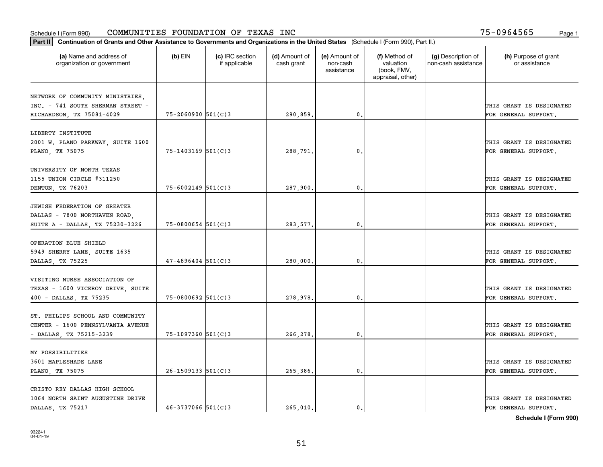| Part II   Continuation of Grants and Other Assistance to Governments and Organizations in the United States (Schedule I (Form 990), Part II.) |                          |                                  |                             |                                         |                                                                |                                           |                                       |
|-----------------------------------------------------------------------------------------------------------------------------------------------|--------------------------|----------------------------------|-----------------------------|-----------------------------------------|----------------------------------------------------------------|-------------------------------------------|---------------------------------------|
| (a) Name and address of<br>organization or government                                                                                         | $(b)$ EIN                | (c) IRC section<br>if applicable | (d) Amount of<br>cash grant | (e) Amount of<br>non-cash<br>assistance | (f) Method of<br>valuation<br>(book, FMV,<br>appraisal, other) | (g) Description of<br>non-cash assistance | (h) Purpose of grant<br>or assistance |
|                                                                                                                                               |                          |                                  |                             |                                         |                                                                |                                           |                                       |
| NETWORK OF COMMUNITY MINISTRIES,<br>INC. - 741 SOUTH SHERMAN STREET -                                                                         |                          |                                  |                             |                                         |                                                                |                                           | THIS GRANT IS DESIGNATED              |
| RICHARDSON, TX 75081-4029                                                                                                                     | $75 - 2060900$ 501(C)3   |                                  | 290,859.                    | $\mathbf{0}$ .                          |                                                                |                                           | FOR GENERAL SUPPORT.                  |
|                                                                                                                                               |                          |                                  |                             |                                         |                                                                |                                           |                                       |
| LIBERTY INSTITUTE                                                                                                                             |                          |                                  |                             |                                         |                                                                |                                           |                                       |
| 2001 W. PLANO PARKWAY, SUITE 1600                                                                                                             |                          |                                  |                             |                                         |                                                                |                                           | THIS GRANT IS DESIGNATED              |
| PLANO, TX 75075                                                                                                                               | $75 - 1403169$ 501(C)3   |                                  | 288,791                     | 0.                                      |                                                                |                                           | FOR GENERAL SUPPORT.                  |
|                                                                                                                                               |                          |                                  |                             |                                         |                                                                |                                           |                                       |
| UNIVERSITY OF NORTH TEXAS                                                                                                                     |                          |                                  |                             |                                         |                                                                |                                           |                                       |
| 1155 UNION CIRCLE #311250                                                                                                                     |                          |                                  |                             |                                         |                                                                |                                           | THIS GRANT IS DESIGNATED              |
| DENTON, TX 76203                                                                                                                              | 75-6002149 501(C)3       |                                  | 287,900.                    | 0.                                      |                                                                |                                           | FOR GENERAL SUPPORT.                  |
|                                                                                                                                               |                          |                                  |                             |                                         |                                                                |                                           |                                       |
| JEWISH FEDERATION OF GREATER                                                                                                                  |                          |                                  |                             |                                         |                                                                |                                           |                                       |
| DALLAS - 7800 NORTHAVEN ROAD,                                                                                                                 |                          |                                  |                             |                                         |                                                                |                                           | THIS GRANT IS DESIGNATED              |
| SUITE A - DALLAS, TX 75230-3226                                                                                                               | $75 - 0800654$ 501(C)3   |                                  | 283,577.                    | $\mathfrak{o}$ .                        |                                                                |                                           | FOR GENERAL SUPPORT.                  |
|                                                                                                                                               |                          |                                  |                             |                                         |                                                                |                                           |                                       |
| OPERATION BLUE SHIELD                                                                                                                         |                          |                                  |                             |                                         |                                                                |                                           | THIS GRANT IS DESIGNATED              |
| 5949 SHERRY LANE, SUITE 1635<br>DALLAS, TX 75225                                                                                              | $47 - 4896404$ 501(C)3   |                                  | 280,000,                    | 0.                                      |                                                                |                                           | FOR GENERAL SUPPORT.                  |
|                                                                                                                                               |                          |                                  |                             |                                         |                                                                |                                           |                                       |
| VISITING NURSE ASSOCIATION OF                                                                                                                 |                          |                                  |                             |                                         |                                                                |                                           |                                       |
| TEXAS - 1600 VICEROY DRIVE, SUITE                                                                                                             |                          |                                  |                             |                                         |                                                                |                                           | THIS GRANT IS DESIGNATED              |
| 400 - DALLAS, TX 75235                                                                                                                        | $75 - 0800692$ 501(C)3   |                                  | 278,978.                    | $\mathbf{0}$ .                          |                                                                |                                           | FOR GENERAL SUPPORT.                  |
|                                                                                                                                               |                          |                                  |                             |                                         |                                                                |                                           |                                       |
| ST. PHILIPS SCHOOL AND COMMUNITY                                                                                                              |                          |                                  |                             |                                         |                                                                |                                           |                                       |
| CENTER - 1600 PENNSYLVANIA AVENUE                                                                                                             |                          |                                  |                             |                                         |                                                                |                                           | THIS GRANT IS DESIGNATED              |
| - DALLAS, TX 75215-3239                                                                                                                       | 75-1097360 501(C)3       |                                  | 266,278.                    | 0.                                      |                                                                |                                           | FOR GENERAL SUPPORT.                  |
|                                                                                                                                               |                          |                                  |                             |                                         |                                                                |                                           |                                       |
| MY POSSIBILITIES                                                                                                                              |                          |                                  |                             |                                         |                                                                |                                           |                                       |
| 3601 MAPLESHADE LANE                                                                                                                          |                          |                                  |                             |                                         |                                                                |                                           | THIS GRANT IS DESIGNATED              |
| PLANO, TX 75075                                                                                                                               | $26 - 1509133$ $501(C)3$ |                                  | 265,386.                    | 0.                                      |                                                                |                                           | FOR GENERAL SUPPORT.                  |
|                                                                                                                                               |                          |                                  |                             |                                         |                                                                |                                           |                                       |
| CRISTO REY DALLAS HIGH SCHOOL                                                                                                                 |                          |                                  |                             |                                         |                                                                |                                           |                                       |
| 1064 NORTH SAINT AUGUSTINE DRIVE                                                                                                              |                          |                                  |                             |                                         |                                                                |                                           | THIS GRANT IS DESIGNATED              |
| DALLAS, TX 75217                                                                                                                              | $46 - 3737066$ 501(C)3   |                                  | 265,010.                    | $\mathbf{0}$ .                          |                                                                |                                           | FOR GENERAL SUPPORT.                  |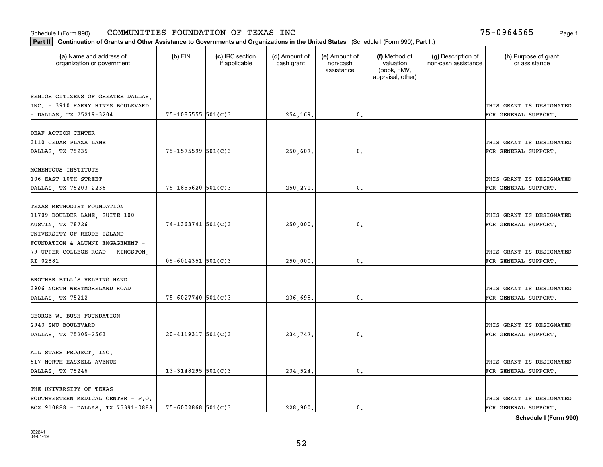| Part II   Continuation of Grants and Other Assistance to Governments and Organizations in the United States (Schedule I (Form 990), Part II.) |                          |                                  |                             |                                         |                                                                |                                           |                                       |
|-----------------------------------------------------------------------------------------------------------------------------------------------|--------------------------|----------------------------------|-----------------------------|-----------------------------------------|----------------------------------------------------------------|-------------------------------------------|---------------------------------------|
| (a) Name and address of<br>organization or government                                                                                         | $(b)$ EIN                | (c) IRC section<br>if applicable | (d) Amount of<br>cash grant | (e) Amount of<br>non-cash<br>assistance | (f) Method of<br>valuation<br>(book, FMV,<br>appraisal, other) | (g) Description of<br>non-cash assistance | (h) Purpose of grant<br>or assistance |
| SENIOR CITIZENS OF GREATER DALLAS,                                                                                                            |                          |                                  |                             |                                         |                                                                |                                           |                                       |
| INC. - 3910 HARRY HINES BOULEVARD                                                                                                             |                          |                                  |                             |                                         |                                                                |                                           | THIS GRANT IS DESIGNATED              |
| - DALLAS, TX 75219-3204                                                                                                                       | 75-1085555 501(C)3       |                                  | 254,169.                    | $\mathbf{0}$ .                          |                                                                |                                           | FOR GENERAL SUPPORT.                  |
|                                                                                                                                               |                          |                                  |                             |                                         |                                                                |                                           |                                       |
| DEAF ACTION CENTER                                                                                                                            |                          |                                  |                             |                                         |                                                                |                                           |                                       |
| 3110 CEDAR PLAZA LANE                                                                                                                         |                          |                                  |                             |                                         |                                                                |                                           | THIS GRANT IS DESIGNATED              |
| DALLAS, TX 75235                                                                                                                              | $75 - 1575599$ $501(C)3$ |                                  | 250,607.                    | 0.                                      |                                                                |                                           | FOR GENERAL SUPPORT.                  |
| MOMENTOUS INSTITUTE                                                                                                                           |                          |                                  |                             |                                         |                                                                |                                           |                                       |
| 106 EAST 10TH STREET                                                                                                                          |                          |                                  |                             |                                         |                                                                |                                           | THIS GRANT IS DESIGNATED              |
| DALLAS, TX 75203-2236                                                                                                                         | $75 - 1855620$ $501(C)3$ |                                  | 250,271.                    | 0.                                      |                                                                |                                           | FOR GENERAL SUPPORT.                  |
|                                                                                                                                               |                          |                                  |                             |                                         |                                                                |                                           |                                       |
| TEXAS METHODIST FOUNDATION                                                                                                                    |                          |                                  |                             |                                         |                                                                |                                           |                                       |
| 11709 BOULDER LANE, SUITE 100                                                                                                                 |                          |                                  |                             |                                         |                                                                |                                           | THIS GRANT IS DESIGNATED              |
| AUSTIN, TX 78726                                                                                                                              | $74-1363741$ 501(C)3     |                                  | 250,000.                    | 0.                                      |                                                                |                                           | FOR GENERAL SUPPORT.                  |
| UNIVERSITY OF RHODE ISLAND                                                                                                                    |                          |                                  |                             |                                         |                                                                |                                           |                                       |
| FOUNDATION & ALUMNI ENGAGEMENT -                                                                                                              |                          |                                  |                             |                                         |                                                                |                                           |                                       |
| 79 UPPER COLLEGE ROAD - KINGSTON,                                                                                                             |                          |                                  |                             |                                         |                                                                |                                           | THIS GRANT IS DESIGNATED              |
| RI 02881                                                                                                                                      | $05 - 6014351$ 501(C)3   |                                  | 250,000.                    | 0.                                      |                                                                |                                           | FOR GENERAL SUPPORT.                  |
|                                                                                                                                               |                          |                                  |                             |                                         |                                                                |                                           |                                       |
| BROTHER BILL'S HELPING HAND                                                                                                                   |                          |                                  |                             |                                         |                                                                |                                           |                                       |
| 3906 NORTH WESTMORELAND ROAD                                                                                                                  |                          |                                  |                             |                                         |                                                                |                                           | THIS GRANT IS DESIGNATED              |
| DALLAS, TX 75212                                                                                                                              | $75 - 6027740$ 501(C)3   |                                  | 236,698.                    | 0.                                      |                                                                |                                           | FOR GENERAL SUPPORT.                  |
| GEORGE W. BUSH FOUNDATION                                                                                                                     |                          |                                  |                             |                                         |                                                                |                                           |                                       |
| 2943 SMU BOULEVARD                                                                                                                            |                          |                                  |                             |                                         |                                                                |                                           | THIS GRANT IS DESIGNATED              |
| DALLAS, TX 75205-2563                                                                                                                         | $20 - 4119317$ 501(C)3   |                                  | 234,747.                    | 0.                                      |                                                                |                                           | FOR GENERAL SUPPORT.                  |
|                                                                                                                                               |                          |                                  |                             |                                         |                                                                |                                           |                                       |
| ALL STARS PROJECT, INC.                                                                                                                       |                          |                                  |                             |                                         |                                                                |                                           |                                       |
| 517 NORTH HASKELL AVENUE                                                                                                                      |                          |                                  |                             |                                         |                                                                |                                           | THIS GRANT IS DESIGNATED              |
| DALLAS, TX 75246                                                                                                                              | $13 - 3148295$ 501(C) 3  |                                  | 234,524.                    | 0.                                      |                                                                |                                           | FOR GENERAL SUPPORT.                  |
| THE UNIVERSITY OF TEXAS                                                                                                                       |                          |                                  |                             |                                         |                                                                |                                           |                                       |
| SOUTHWESTERN MEDICAL CENTER - P.O.                                                                                                            |                          |                                  |                             |                                         |                                                                |                                           | THIS GRANT IS DESIGNATED              |
| BOX 910888 - DALLAS, TX 75391-0888                                                                                                            | $75 - 6002868$ 501(C)3   |                                  | 228,900.                    | $\mathbf{0}$ .                          |                                                                |                                           | FOR GENERAL SUPPORT.                  |
|                                                                                                                                               |                          |                                  |                             |                                         |                                                                |                                           |                                       |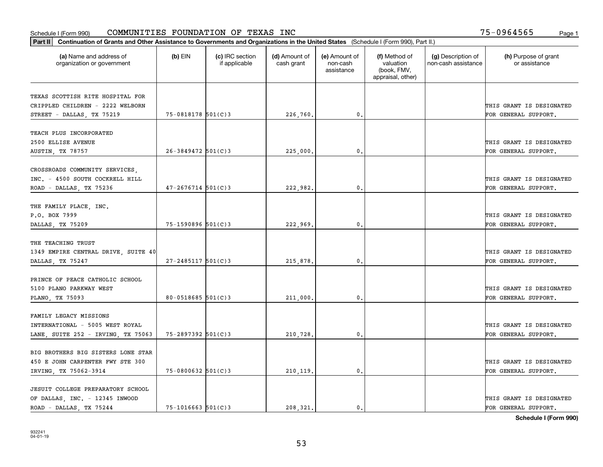| Part II   Continuation of Grants and Other Assistance to Governments and Organizations in the United States (Schedule I (Form 990), Part II.) |                        |                                  |                             |                                         |                                                                |                                           |                                       |
|-----------------------------------------------------------------------------------------------------------------------------------------------|------------------------|----------------------------------|-----------------------------|-----------------------------------------|----------------------------------------------------------------|-------------------------------------------|---------------------------------------|
| (a) Name and address of<br>organization or government                                                                                         | (b) $EIN$              | (c) IRC section<br>if applicable | (d) Amount of<br>cash grant | (e) Amount of<br>non-cash<br>assistance | (f) Method of<br>valuation<br>(book, FMV,<br>appraisal, other) | (g) Description of<br>non-cash assistance | (h) Purpose of grant<br>or assistance |
|                                                                                                                                               |                        |                                  |                             |                                         |                                                                |                                           |                                       |
| TEXAS SCOTTISH RITE HOSPITAL FOR                                                                                                              |                        |                                  |                             |                                         |                                                                |                                           |                                       |
| CRIPPLED CHILDREN - 2222 WELBORN                                                                                                              | 75-0818178 501(C)3     |                                  |                             | $\mathbf{0}$ .                          |                                                                |                                           | THIS GRANT IS DESIGNATED              |
| STREET - DALLAS, TX 75219                                                                                                                     |                        |                                  | 226,760.                    |                                         |                                                                |                                           | FOR GENERAL SUPPORT.                  |
| TEACH PLUS INCORPORATED                                                                                                                       |                        |                                  |                             |                                         |                                                                |                                           |                                       |
| 2500 ELLISE AVENUE                                                                                                                            |                        |                                  |                             |                                         |                                                                |                                           | THIS GRANT IS DESIGNATED              |
| AUSTIN, TX 78757                                                                                                                              | $26 - 3849472$ 501(C)3 |                                  | 225,000                     | 0.                                      |                                                                |                                           | FOR GENERAL SUPPORT.                  |
|                                                                                                                                               |                        |                                  |                             |                                         |                                                                |                                           |                                       |
| CROSSROADS COMMUNITY SERVICES,                                                                                                                |                        |                                  |                             |                                         |                                                                |                                           |                                       |
| INC. - 4500 SOUTH COCKRELL HILL                                                                                                               |                        |                                  |                             |                                         |                                                                |                                           | THIS GRANT IS DESIGNATED              |
| ROAD - DALLAS, TX 75236                                                                                                                       | $47 - 2676714$ 501(C)3 |                                  | 222,982.                    | 0.                                      |                                                                |                                           | FOR GENERAL SUPPORT.                  |
|                                                                                                                                               |                        |                                  |                             |                                         |                                                                |                                           |                                       |
| THE FAMILY PLACE, INC.                                                                                                                        |                        |                                  |                             |                                         |                                                                |                                           |                                       |
| P.O. BOX 7999                                                                                                                                 |                        |                                  |                             |                                         |                                                                |                                           | THIS GRANT IS DESIGNATED              |
| DALLAS, TX 75209                                                                                                                              | 75-1590896 501(C)3     |                                  | 222,969.                    | $\mathbf{0}$ .                          |                                                                |                                           | FOR GENERAL SUPPORT.                  |
|                                                                                                                                               |                        |                                  |                             |                                         |                                                                |                                           |                                       |
| THE TEACHING TRUST                                                                                                                            |                        |                                  |                             |                                         |                                                                |                                           |                                       |
| 1349 EMPIRE CENTRAL DRIVE, SUITE 40                                                                                                           |                        |                                  |                             |                                         |                                                                |                                           | THIS GRANT IS DESIGNATED              |
| DALLAS, TX 75247                                                                                                                              | $27 - 2485117$ 501(C)3 |                                  | 215,878.                    | 0.                                      |                                                                |                                           | FOR GENERAL SUPPORT.                  |
|                                                                                                                                               |                        |                                  |                             |                                         |                                                                |                                           |                                       |
| PRINCE OF PEACE CATHOLIC SCHOOL                                                                                                               |                        |                                  |                             |                                         |                                                                |                                           |                                       |
| 5100 PLANO PARKWAY WEST                                                                                                                       |                        |                                  |                             |                                         |                                                                |                                           | THIS GRANT IS DESIGNATED              |
| PLANO, TX 75093                                                                                                                               | 80-0518685 $501(C)3$   |                                  | 211,000,                    | $\mathbf{0}$ .                          |                                                                |                                           | FOR GENERAL SUPPORT.                  |
|                                                                                                                                               |                        |                                  |                             |                                         |                                                                |                                           |                                       |
| FAMILY LEGACY MISSIONS                                                                                                                        |                        |                                  |                             |                                         |                                                                |                                           |                                       |
| INTERNATIONAL - 5005 WEST ROYAL                                                                                                               |                        |                                  |                             |                                         |                                                                |                                           | THIS GRANT IS DESIGNATED              |
| LANE, SUITE 252 - IRVING, TX 75063                                                                                                            | 75-2897392 501(C)3     |                                  | 210,728.                    | 0.                                      |                                                                |                                           | FOR GENERAL SUPPORT.                  |
|                                                                                                                                               |                        |                                  |                             |                                         |                                                                |                                           |                                       |
| BIG BROTHERS BIG SISTERS LONE STAR                                                                                                            |                        |                                  |                             |                                         |                                                                |                                           |                                       |
| 450 E JOHN CARPENTER FWY STE 300                                                                                                              |                        |                                  |                             |                                         |                                                                |                                           | THIS GRANT IS DESIGNATED              |
| IRVING, TX 75062-3914                                                                                                                         | $75 - 0800632$ 501(C)3 |                                  | 210, 119.                   | 0.                                      |                                                                |                                           | FOR GENERAL SUPPORT.                  |
| JESUIT COLLEGE PREPARATORY SCHOOL                                                                                                             |                        |                                  |                             |                                         |                                                                |                                           |                                       |
| OF DALLAS, INC. - 12345 INWOOD                                                                                                                |                        |                                  |                             |                                         |                                                                |                                           | THIS GRANT IS DESIGNATED              |
| ROAD - DALLAS, TX 75244                                                                                                                       | $75 - 1016663$ 501(C)3 |                                  | 208,321.                    | 0.                                      |                                                                |                                           | FOR GENERAL SUPPORT.                  |
|                                                                                                                                               |                        |                                  |                             |                                         |                                                                |                                           |                                       |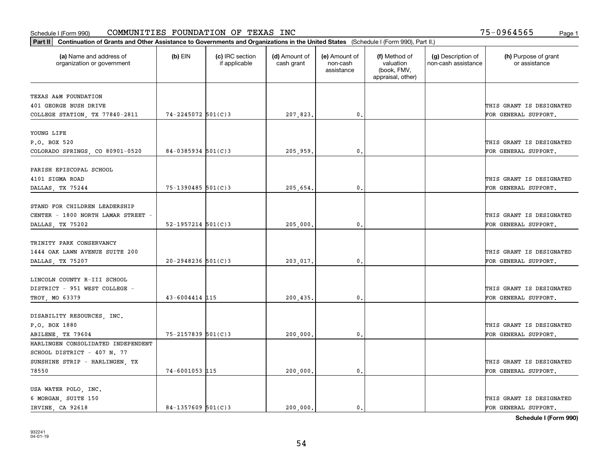| Part II   Continuation of Grants and Other Assistance to Governments and Organizations in the United States (Schedule I (Form 990), Part II.) |                          |                                  |                             |                                         |                                                                |                                           |                                       |
|-----------------------------------------------------------------------------------------------------------------------------------------------|--------------------------|----------------------------------|-----------------------------|-----------------------------------------|----------------------------------------------------------------|-------------------------------------------|---------------------------------------|
| (a) Name and address of<br>organization or government                                                                                         | $(b)$ EIN                | (c) IRC section<br>if applicable | (d) Amount of<br>cash grant | (e) Amount of<br>non-cash<br>assistance | (f) Method of<br>valuation<br>(book, FMV,<br>appraisal, other) | (g) Description of<br>non-cash assistance | (h) Purpose of grant<br>or assistance |
| TEXAS A&M FOUNDATION                                                                                                                          |                          |                                  |                             |                                         |                                                                |                                           |                                       |
| 401 GEORGE BUSH DRIVE                                                                                                                         |                          |                                  |                             |                                         |                                                                |                                           | THIS GRANT IS DESIGNATED              |
| COLLEGE STATION, TX 77840-2811                                                                                                                | 74-2245072 501(C)3       |                                  | 207,823.                    | 0.                                      |                                                                |                                           | FOR GENERAL SUPPORT.                  |
|                                                                                                                                               |                          |                                  |                             |                                         |                                                                |                                           |                                       |
| YOUNG LIFE                                                                                                                                    |                          |                                  |                             |                                         |                                                                |                                           |                                       |
| P.O. BOX 520                                                                                                                                  |                          |                                  |                             |                                         |                                                                |                                           | THIS GRANT IS DESIGNATED              |
| COLORADO SPRINGS, CO 80901-0520                                                                                                               | $84 - 0385934$ 501(C)3   |                                  | 205,959.                    | 0.                                      |                                                                |                                           | FOR GENERAL SUPPORT.                  |
|                                                                                                                                               |                          |                                  |                             |                                         |                                                                |                                           |                                       |
| PARISH EPISCOPAL SCHOOL                                                                                                                       |                          |                                  |                             |                                         |                                                                |                                           |                                       |
| 4101 SIGMA ROAD                                                                                                                               |                          |                                  |                             |                                         |                                                                |                                           | THIS GRANT IS DESIGNATED              |
| DALLAS, TX 75244                                                                                                                              | $75 - 1390485$ 501(C)3   |                                  | 205,654.                    | $\mathbf{0}$ .                          |                                                                |                                           | FOR GENERAL SUPPORT.                  |
|                                                                                                                                               |                          |                                  |                             |                                         |                                                                |                                           |                                       |
| STAND FOR CHILDREN LEADERSHIP                                                                                                                 |                          |                                  |                             |                                         |                                                                |                                           |                                       |
| CENTER - 1800 NORTH LAMAR STREET -                                                                                                            |                          |                                  |                             |                                         |                                                                |                                           | THIS GRANT IS DESIGNATED              |
| DALLAS, TX 75202                                                                                                                              | $52 - 1957214$ $501(C)3$ |                                  | 205,000,                    | $\mathbf{0}$                            |                                                                |                                           | FOR GENERAL SUPPORT.                  |
|                                                                                                                                               |                          |                                  |                             |                                         |                                                                |                                           |                                       |
| TRINITY PARK CONSERVANCY                                                                                                                      |                          |                                  |                             |                                         |                                                                |                                           |                                       |
| 1444 OAK LAWN AVENUE SUITE 200                                                                                                                |                          |                                  |                             |                                         |                                                                |                                           | THIS GRANT IS DESIGNATED              |
| DALLAS, TX 75207                                                                                                                              | $20 - 2948236$ 501(C)3   |                                  | 203,017.                    | $\mathbf{0}$                            |                                                                |                                           | FOR GENERAL SUPPORT.                  |
|                                                                                                                                               |                          |                                  |                             |                                         |                                                                |                                           |                                       |
| LINCOLN COUNTY R-III SCHOOL                                                                                                                   |                          |                                  |                             |                                         |                                                                |                                           |                                       |
| DISTRICT - 951 WEST COLLEGE -                                                                                                                 |                          |                                  |                             |                                         |                                                                |                                           | THIS GRANT IS DESIGNATED              |
| TROY, MO 63379                                                                                                                                | 43-6004414 115           |                                  | 200,435.                    | $\mathbf{0}$                            |                                                                |                                           | FOR GENERAL SUPPORT.                  |
| DISABILITY RESOURCES, INC.                                                                                                                    |                          |                                  |                             |                                         |                                                                |                                           |                                       |
| P.O. BOX 1880                                                                                                                                 |                          |                                  |                             |                                         |                                                                |                                           | THIS GRANT IS DESIGNATED              |
| ABILENE, TX 79604                                                                                                                             | 75-2157839 501(C)3       |                                  | 200,000                     | $^{\rm 0}$ .                            |                                                                |                                           | FOR GENERAL SUPPORT.                  |
| HARLINGEN CONSOLIDATED INDEPENDENT                                                                                                            |                          |                                  |                             |                                         |                                                                |                                           |                                       |
| SCHOOL DISTRICT - 407 N. 77                                                                                                                   |                          |                                  |                             |                                         |                                                                |                                           |                                       |
| SUNSHINE STRIP - HARLINGEN, TX                                                                                                                |                          |                                  |                             |                                         |                                                                |                                           | THIS GRANT IS DESIGNATED              |
| 78550                                                                                                                                         | 74-6001053 115           |                                  | 200,000.                    | $\mathfrak{o}$ .                        |                                                                |                                           | FOR GENERAL SUPPORT.                  |
|                                                                                                                                               |                          |                                  |                             |                                         |                                                                |                                           |                                       |
| USA WATER POLO, INC.                                                                                                                          |                          |                                  |                             |                                         |                                                                |                                           |                                       |
| 6 MORGAN, SUITE 150                                                                                                                           |                          |                                  |                             |                                         |                                                                |                                           | THIS GRANT IS DESIGNATED              |
| IRVINE, CA 92618                                                                                                                              | $84-1357609$ 501(C)3     |                                  | 200.000.                    | $\mathbf{0}$ .                          |                                                                |                                           | FOR GENERAL SUPPORT.                  |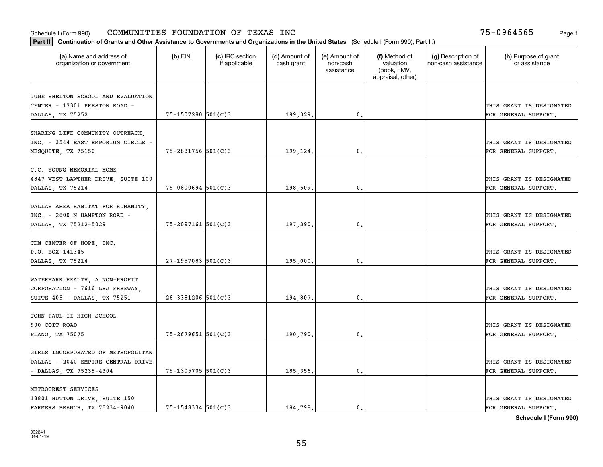| Part II   Continuation of Grants and Other Assistance to Governments and Organizations in the United States (Schedule I (Form 990), Part II.) |                        |                                  |                             |                                         |                                                                |                                           |                                       |
|-----------------------------------------------------------------------------------------------------------------------------------------------|------------------------|----------------------------------|-----------------------------|-----------------------------------------|----------------------------------------------------------------|-------------------------------------------|---------------------------------------|
| (a) Name and address of<br>organization or government                                                                                         | $(b)$ EIN              | (c) IRC section<br>if applicable | (d) Amount of<br>cash grant | (e) Amount of<br>non-cash<br>assistance | (f) Method of<br>valuation<br>(book, FMV,<br>appraisal, other) | (g) Description of<br>non-cash assistance | (h) Purpose of grant<br>or assistance |
| JUNE SHELTON SCHOOL AND EVALUATION                                                                                                            |                        |                                  |                             |                                         |                                                                |                                           |                                       |
| CENTER - 17301 PRESTON ROAD -                                                                                                                 |                        |                                  |                             |                                         |                                                                |                                           | THIS GRANT IS DESIGNATED              |
| DALLAS, TX 75252                                                                                                                              | 75-1507280 501(C)3     |                                  | 199,329.                    | $\mathfrak{o}$ .                        |                                                                |                                           | FOR GENERAL SUPPORT.                  |
|                                                                                                                                               |                        |                                  |                             |                                         |                                                                |                                           |                                       |
| SHARING LIFE COMMUNITY OUTREACH,                                                                                                              |                        |                                  |                             |                                         |                                                                |                                           |                                       |
| INC. - 3544 EAST EMPORIUM CIRCLE -                                                                                                            |                        |                                  |                             |                                         |                                                                |                                           | THIS GRANT IS DESIGNATED              |
| MESQUITE, TX 75150                                                                                                                            | $75 - 2831756$ 501(C)3 |                                  | 199,124.                    | 0.                                      |                                                                |                                           | FOR GENERAL SUPPORT.                  |
|                                                                                                                                               |                        |                                  |                             |                                         |                                                                |                                           |                                       |
| C.C. YOUNG MEMORIAL HOME                                                                                                                      |                        |                                  |                             |                                         |                                                                |                                           |                                       |
| 4847 WEST LAWTHER DRIVE, SUITE 100                                                                                                            |                        |                                  |                             |                                         |                                                                |                                           | THIS GRANT IS DESIGNATED              |
| DALLAS, TX 75214                                                                                                                              | $75 - 0800694$ 501(C)3 |                                  | 198,509.                    | $\mathfrak{o}$ .                        |                                                                |                                           | FOR GENERAL SUPPORT.                  |
|                                                                                                                                               |                        |                                  |                             |                                         |                                                                |                                           |                                       |
| DALLAS AREA HABITAT FOR HUMANITY,                                                                                                             |                        |                                  |                             |                                         |                                                                |                                           |                                       |
| INC. - 2800 N HAMPTON ROAD -                                                                                                                  |                        |                                  |                             |                                         |                                                                |                                           | THIS GRANT IS DESIGNATED              |
| DALLAS, TX 75212-5029                                                                                                                         | $75 - 2097161$ 501(C)3 |                                  | 197,390.                    | $\mathbf{0}$                            |                                                                |                                           | FOR GENERAL SUPPORT.                  |
| CDM CENTER OF HOPE, INC.                                                                                                                      |                        |                                  |                             |                                         |                                                                |                                           |                                       |
| P.O. BOX 141345                                                                                                                               |                        |                                  |                             |                                         |                                                                |                                           | THIS GRANT IS DESIGNATED              |
| DALLAS, TX 75214                                                                                                                              | $27-1957083$ 501(C)3   |                                  | 195,000,                    | $\mathbf{0}$                            |                                                                |                                           | FOR GENERAL SUPPORT.                  |
|                                                                                                                                               |                        |                                  |                             |                                         |                                                                |                                           |                                       |
| WATERMARK HEALTH, A NON-PROFIT                                                                                                                |                        |                                  |                             |                                         |                                                                |                                           |                                       |
| CORPORATION - 7616 LBJ FREEWAY,                                                                                                               |                        |                                  |                             |                                         |                                                                |                                           | THIS GRANT IS DESIGNATED              |
| SUITE 405 - DALLAS, TX 75251                                                                                                                  | $26 - 3381206$ 501(C)3 |                                  | 194,807.                    | 0.                                      |                                                                |                                           | FOR GENERAL SUPPORT.                  |
|                                                                                                                                               |                        |                                  |                             |                                         |                                                                |                                           |                                       |
| JOHN PAUL II HIGH SCHOOL                                                                                                                      |                        |                                  |                             |                                         |                                                                |                                           |                                       |
| 900 COIT ROAD                                                                                                                                 |                        |                                  |                             |                                         |                                                                |                                           | THIS GRANT IS DESIGNATED              |
| PLANO, TX 75075                                                                                                                               | $75 - 2679651$ 501(C)3 |                                  | 190,790.                    | $^{\circ}$ .                            |                                                                |                                           | FOR GENERAL SUPPORT.                  |
|                                                                                                                                               |                        |                                  |                             |                                         |                                                                |                                           |                                       |
| GIRLS INCORPORATED OF METROPOLITAN                                                                                                            |                        |                                  |                             |                                         |                                                                |                                           |                                       |
| DALLAS - 2040 EMPIRE CENTRAL DRIVE                                                                                                            |                        |                                  |                             |                                         |                                                                |                                           | THIS GRANT IS DESIGNATED              |
| - DALLAS, TX 75235-4304                                                                                                                       | 75-1305705 501(C)3     |                                  | 185,356.                    | $\mathbf{0}$ .                          |                                                                |                                           | FOR GENERAL SUPPORT.                  |
| METROCREST SERVICES                                                                                                                           |                        |                                  |                             |                                         |                                                                |                                           |                                       |
| 13801 HUTTON DRIVE, SUITE 150                                                                                                                 |                        |                                  |                             |                                         |                                                                |                                           | THIS GRANT IS DESIGNATED              |
| FARMERS BRANCH, TX 75234-9040                                                                                                                 | 75-1548334 501(C)3     |                                  | 184.798.                    | $\mathbf{0}$ .                          |                                                                |                                           | FOR GENERAL SUPPORT.                  |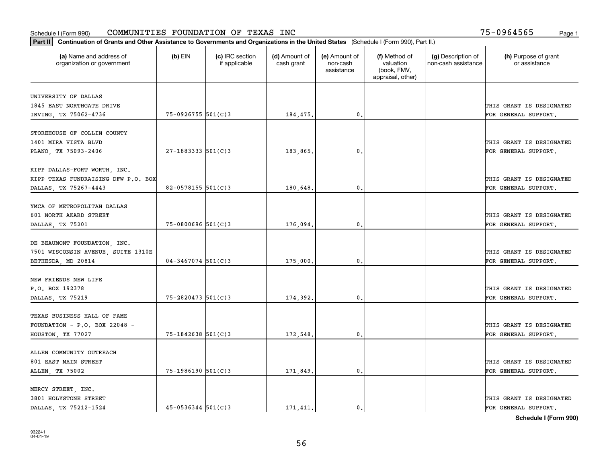| Part II   Continuation of Grants and Other Assistance to Governments and Organizations in the United States (Schedule I (Form 990), Part II.) |                          |                                  |                             |                                         |                                                                |                                           |                                       |
|-----------------------------------------------------------------------------------------------------------------------------------------------|--------------------------|----------------------------------|-----------------------------|-----------------------------------------|----------------------------------------------------------------|-------------------------------------------|---------------------------------------|
| (a) Name and address of<br>organization or government                                                                                         | $(b)$ EIN                | (c) IRC section<br>if applicable | (d) Amount of<br>cash grant | (e) Amount of<br>non-cash<br>assistance | (f) Method of<br>valuation<br>(book, FMV,<br>appraisal, other) | (g) Description of<br>non-cash assistance | (h) Purpose of grant<br>or assistance |
| UNIVERSITY OF DALLAS                                                                                                                          |                          |                                  |                             |                                         |                                                                |                                           |                                       |
| 1845 EAST NORTHGATE DRIVE                                                                                                                     |                          |                                  |                             |                                         |                                                                |                                           | THIS GRANT IS DESIGNATED              |
| IRVING, TX 75062-4736                                                                                                                         | 75-0926755 501(C)3       |                                  | 184,475.                    | $\mathbf{0}$ .                          |                                                                |                                           | FOR GENERAL SUPPORT.                  |
|                                                                                                                                               |                          |                                  |                             |                                         |                                                                |                                           |                                       |
| STOREHOUSE OF COLLIN COUNTY                                                                                                                   |                          |                                  |                             |                                         |                                                                |                                           |                                       |
| 1401 MIRA VISTA BLVD                                                                                                                          |                          |                                  |                             |                                         |                                                                |                                           | THIS GRANT IS DESIGNATED              |
| PLANO, TX 75093-2406                                                                                                                          | $27 - 1883333$ $501(C)3$ |                                  | 183,865,                    | 0.                                      |                                                                |                                           | FOR GENERAL SUPPORT.                  |
|                                                                                                                                               |                          |                                  |                             |                                         |                                                                |                                           |                                       |
| KIPP DALLAS-FORT WORTH, INC.                                                                                                                  |                          |                                  |                             |                                         |                                                                |                                           |                                       |
| KIPP TEXAS FUNDRAISING DFW P.O. BOX                                                                                                           |                          |                                  |                             |                                         |                                                                |                                           | THIS GRANT IS DESIGNATED              |
| DALLAS, TX 75267-4443                                                                                                                         | 82-0578155 501(C)3       |                                  | 180,648.                    | $\mathbf{0}$ .                          |                                                                |                                           | FOR GENERAL SUPPORT.                  |
| YMCA OF METROPOLITAN DALLAS                                                                                                                   |                          |                                  |                             |                                         |                                                                |                                           |                                       |
| 601 NORTH AKARD STREET                                                                                                                        |                          |                                  |                             |                                         |                                                                |                                           | THIS GRANT IS DESIGNATED              |
|                                                                                                                                               | 75-0800696 501(C)3       |                                  | 176,094.                    | $\mathbf{0}$ .                          |                                                                |                                           | FOR GENERAL SUPPORT.                  |
| DALLAS, TX 75201                                                                                                                              |                          |                                  |                             |                                         |                                                                |                                           |                                       |
| DE BEAUMONT FOUNDATION, INC.                                                                                                                  |                          |                                  |                             |                                         |                                                                |                                           |                                       |
| 7501 WISCONSIN AVENUE, SUITE 1310E                                                                                                            |                          |                                  |                             |                                         |                                                                |                                           | THIS GRANT IS DESIGNATED              |
| BETHESDA, MD 20814                                                                                                                            | $04 - 3467074$ 501(C)3   |                                  | 175,000.                    | 0.                                      |                                                                |                                           | FOR GENERAL SUPPORT.                  |
|                                                                                                                                               |                          |                                  |                             |                                         |                                                                |                                           |                                       |
| NEW FRIENDS NEW LIFE                                                                                                                          |                          |                                  |                             |                                         |                                                                |                                           |                                       |
| P.O. BOX 192378                                                                                                                               |                          |                                  |                             |                                         |                                                                |                                           | THIS GRANT IS DESIGNATED              |
| DALLAS, TX 75219                                                                                                                              | 75-2820473 501(C)3       |                                  | 174,392.                    | $\mathbf{0}$ .                          |                                                                |                                           | FOR GENERAL SUPPORT.                  |
|                                                                                                                                               |                          |                                  |                             |                                         |                                                                |                                           |                                       |
| TEXAS BUSINESS HALL OF FAME                                                                                                                   |                          |                                  |                             |                                         |                                                                |                                           |                                       |
| FOUNDATION - P.O. BOX 22048 -                                                                                                                 |                          |                                  |                             |                                         |                                                                |                                           | THIS GRANT IS DESIGNATED              |
| HOUSTON, TX 77027                                                                                                                             | 75-1842638 501(C)3       |                                  | 172,548.                    | $\mathfrak{o}$ .                        |                                                                |                                           | FOR GENERAL SUPPORT.                  |
| ALLEN COMMUNITY OUTREACH                                                                                                                      |                          |                                  |                             |                                         |                                                                |                                           |                                       |
|                                                                                                                                               |                          |                                  |                             |                                         |                                                                |                                           |                                       |
| 801 EAST MAIN STREET                                                                                                                          |                          |                                  |                             | $\mathfrak o$ .                         |                                                                |                                           | THIS GRANT IS DESIGNATED              |
| ALLEN, TX 75002                                                                                                                               | $75-1986190$ 501(C)3     |                                  | 171,849.                    |                                         |                                                                |                                           | FOR GENERAL SUPPORT.                  |
| MERCY STREET, INC.                                                                                                                            |                          |                                  |                             |                                         |                                                                |                                           |                                       |
| 3801 HOLYSTONE STREET                                                                                                                         |                          |                                  |                             |                                         |                                                                |                                           | THIS GRANT IS DESIGNATED              |
| DALLAS, TX 75212-1524                                                                                                                         | $45 - 0536344$ 501(C)3   |                                  | 171.411.                    | $\mathbf{0}$ .                          |                                                                |                                           | FOR GENERAL SUPPORT.                  |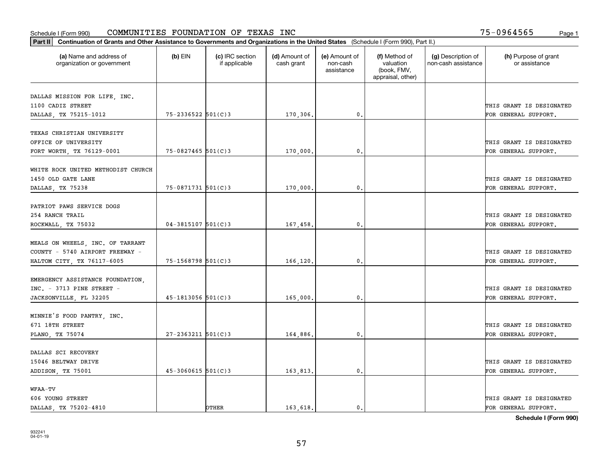| Part II   Continuation of Grants and Other Assistance to Governments and Organizations in the United States (Schedule I (Form 990), Part II.) |                        |                                  |                             |                                         |                                                                |                                           |                                       |  |
|-----------------------------------------------------------------------------------------------------------------------------------------------|------------------------|----------------------------------|-----------------------------|-----------------------------------------|----------------------------------------------------------------|-------------------------------------------|---------------------------------------|--|
| (a) Name and address of<br>organization or government                                                                                         | $(b)$ EIN              | (c) IRC section<br>if applicable | (d) Amount of<br>cash grant | (e) Amount of<br>non-cash<br>assistance | (f) Method of<br>valuation<br>(book, FMV,<br>appraisal, other) | (g) Description of<br>non-cash assistance | (h) Purpose of grant<br>or assistance |  |
|                                                                                                                                               |                        |                                  |                             |                                         |                                                                |                                           |                                       |  |
| DALLAS MISSION FOR LIFE, INC.<br>1100 CADIZ STREET                                                                                            |                        |                                  |                             |                                         |                                                                |                                           | THIS GRANT IS DESIGNATED              |  |
| DALLAS, TX 75215-1012                                                                                                                         | 75-2336522 501(C)3     |                                  | 170,306.                    | 0.                                      |                                                                |                                           | FOR GENERAL SUPPORT.                  |  |
|                                                                                                                                               |                        |                                  |                             |                                         |                                                                |                                           |                                       |  |
| TEXAS CHRISTIAN UNIVERSITY                                                                                                                    |                        |                                  |                             |                                         |                                                                |                                           |                                       |  |
| OFFICE OF UNIVERSITY                                                                                                                          |                        |                                  |                             |                                         |                                                                |                                           | THIS GRANT IS DESIGNATED              |  |
| FORT WORTH, TX 76129-0001                                                                                                                     | 75-0827465 501(C)3     |                                  | 170,000,                    | 0.                                      |                                                                |                                           | FOR GENERAL SUPPORT.                  |  |
|                                                                                                                                               |                        |                                  |                             |                                         |                                                                |                                           |                                       |  |
| WHITE ROCK UNITED METHODIST CHURCH                                                                                                            |                        |                                  |                             |                                         |                                                                |                                           |                                       |  |
| 1450 OLD GATE LANE                                                                                                                            |                        |                                  |                             |                                         |                                                                |                                           | THIS GRANT IS DESIGNATED              |  |
| DALLAS, TX 75238                                                                                                                              | $75 - 0871731$ 501(C)3 |                                  | 170,000,                    | $\mathbf{0}$ .                          |                                                                |                                           | FOR GENERAL SUPPORT.                  |  |
|                                                                                                                                               |                        |                                  |                             |                                         |                                                                |                                           |                                       |  |
| PATRIOT PAWS SERVICE DOGS                                                                                                                     |                        |                                  |                             |                                         |                                                                |                                           |                                       |  |
| 254 RANCH TRAIL                                                                                                                               |                        |                                  |                             |                                         |                                                                |                                           | THIS GRANT IS DESIGNATED              |  |
| ROCKWALL, TX 75032                                                                                                                            | $04 - 3815107$ 501(C)3 |                                  | 167,458.                    | $\mathbf{0}$                            |                                                                |                                           | FOR GENERAL SUPPORT.                  |  |
| MEALS ON WHEELS, INC. OF TARRANT                                                                                                              |                        |                                  |                             |                                         |                                                                |                                           |                                       |  |
| COUNTY - 5740 AIRPORT FREEWAY -                                                                                                               |                        |                                  |                             |                                         |                                                                |                                           | THIS GRANT IS DESIGNATED              |  |
| HALTOM CITY, TX 76117-6005                                                                                                                    | 75-1568798 501(C)3     |                                  | 166,120,                    | $\mathbf{0}$                            |                                                                |                                           | FOR GENERAL SUPPORT.                  |  |
|                                                                                                                                               |                        |                                  |                             |                                         |                                                                |                                           |                                       |  |
| EMERGENCY ASSISTANCE FOUNDATION,                                                                                                              |                        |                                  |                             |                                         |                                                                |                                           |                                       |  |
| INC. - 3713 PINE STREET -                                                                                                                     |                        |                                  |                             |                                         |                                                                |                                           | THIS GRANT IS DESIGNATED              |  |
| JACKSONVILLE, FL 32205                                                                                                                        | $45 - 1813056$ 501(C)3 |                                  | 165,000                     | 0.                                      |                                                                |                                           | FOR GENERAL SUPPORT.                  |  |
|                                                                                                                                               |                        |                                  |                             |                                         |                                                                |                                           |                                       |  |
| MINNIE'S FOOD PANTRY, INC.                                                                                                                    |                        |                                  |                             |                                         |                                                                |                                           |                                       |  |
| 671 18TH STREET                                                                                                                               |                        |                                  |                             |                                         |                                                                |                                           | THIS GRANT IS DESIGNATED              |  |
| PLANO, TX 75074                                                                                                                               | $27 - 2363211$ 501(C)3 |                                  | 164,886.                    | $^{\rm 0}$ .                            |                                                                |                                           | FOR GENERAL SUPPORT.                  |  |
|                                                                                                                                               |                        |                                  |                             |                                         |                                                                |                                           |                                       |  |
| DALLAS SCI RECOVERY                                                                                                                           |                        |                                  |                             |                                         |                                                                |                                           |                                       |  |
| 15046 BELTWAY DRIVE                                                                                                                           |                        |                                  |                             |                                         |                                                                |                                           | THIS GRANT IS DESIGNATED              |  |
| ADDISON, TX 75001                                                                                                                             | $45 - 3060615$ 501(C)3 |                                  | 163,813.                    | $\mathfrak{o}$ .                        |                                                                |                                           | FOR GENERAL SUPPORT.                  |  |
|                                                                                                                                               |                        |                                  |                             |                                         |                                                                |                                           |                                       |  |
| WFAA-TV                                                                                                                                       |                        |                                  |                             |                                         |                                                                |                                           |                                       |  |
| 606 YOUNG STREET                                                                                                                              |                        |                                  |                             |                                         |                                                                |                                           | THIS GRANT IS DESIGNATED              |  |
| DALLAS, TX 75202-4810                                                                                                                         |                        | OTHER                            | 163.618.                    | $\mathbf{0}$ .                          |                                                                |                                           | FOR GENERAL SUPPORT.                  |  |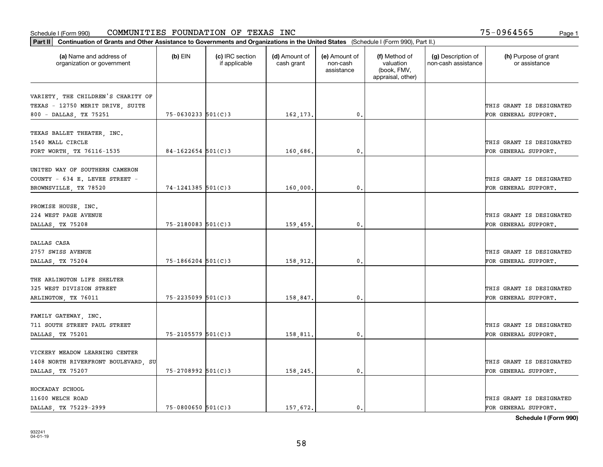| (a) Name and address of<br>(c) IRC section<br>(d) Amount of<br>(f) Method of<br>(g) Description of<br>(h) Purpose of grant<br>$(b)$ EIN<br>(e) Amount of<br>valuation<br>organization or government<br>if applicable<br>cash grant<br>non-cash<br>non-cash assistance<br>or assistance<br>(book, FMV,<br>assistance<br>appraisal, other)<br>VARIETY, THE CHILDREN'S CHARITY OF<br>TEXAS - 12750 MERIT DRIVE, SUITE<br>THIS GRANT IS DESIGNATED<br>$75 - 0630233$ 501(C)3<br>0.<br>800 - DALLAS, TX 75251<br>162,173.<br>FOR GENERAL SUPPORT.<br>TEXAS BALLET THEATER, INC.<br>1540 MALL CIRCLE<br>$84 - 1622654$ 501(C)3<br>160,686.<br>0.<br>FORT WORTH, TX 76116-1535<br>FOR GENERAL SUPPORT.<br>UNITED WAY OF SOUTHERN CAMERON<br>COUNTY - 634 E. LEVEE STREET -<br>$74 - 1241385$ 501(C)3<br>$\mathfrak{o}$ .<br>BROWNSVILLE, TX 78520<br>160,000,<br>FOR GENERAL SUPPORT.<br>PROMISE HOUSE, INC.<br>224 WEST PAGE AVENUE<br>75-2180083 501(C)3<br>DALLAS, TX 75208<br>159,459.<br>$\mathbf{0}$<br>FOR GENERAL SUPPORT.<br>DALLAS CASA<br>2757 SWISS AVENUE<br>$75 - 1866204$ 501(C)3<br>158,912.<br>$\mathbf{0}$<br>FOR GENERAL SUPPORT.<br>DALLAS, TX 75204<br>THE ARLINGTON LIFE SHELTER<br>325 WEST DIVISION STREET<br>75-2235099 501(C)3<br>0.<br>ARLINGTON, TX 76011<br>158,847.<br>FOR GENERAL SUPPORT.<br>FAMILY GATEWAY, INC.<br>711 SOUTH STREET PAUL STREET<br>THIS GRANT IS DESIGNATED<br>75-2105579 501(C)3<br>158,811.<br>$^{\rm 0}$ .<br>FOR GENERAL SUPPORT.<br>DALLAS, TX 75201<br>VICKERY MEADOW LEARNING CENTER<br>THIS GRANT IS DESIGNATED<br>1408 NORTH RIVERFRONT BOULEVARD, SU<br>75-2708992 501(C)3<br>158,245.<br>$^{\circ}$ .<br>FOR GENERAL SUPPORT.<br>DALLAS, TX 75207 | Part II   Continuation of Grants and Other Assistance to Governments and Organizations in the United States (Schedule I (Form 990), Part II.) |  |  |  |  |  |                          |  |  |
|---------------------------------------------------------------------------------------------------------------------------------------------------------------------------------------------------------------------------------------------------------------------------------------------------------------------------------------------------------------------------------------------------------------------------------------------------------------------------------------------------------------------------------------------------------------------------------------------------------------------------------------------------------------------------------------------------------------------------------------------------------------------------------------------------------------------------------------------------------------------------------------------------------------------------------------------------------------------------------------------------------------------------------------------------------------------------------------------------------------------------------------------------------------------------------------------------------------------------------------------------------------------------------------------------------------------------------------------------------------------------------------------------------------------------------------------------------------------------------------------------------------------------------------------------------------------------------------------------------------------------------------------------------------------------------------------------------|-----------------------------------------------------------------------------------------------------------------------------------------------|--|--|--|--|--|--------------------------|--|--|
|                                                                                                                                                                                                                                                                                                                                                                                                                                                                                                                                                                                                                                                                                                                                                                                                                                                                                                                                                                                                                                                                                                                                                                                                                                                                                                                                                                                                                                                                                                                                                                                                                                                                                                         |                                                                                                                                               |  |  |  |  |  |                          |  |  |
|                                                                                                                                                                                                                                                                                                                                                                                                                                                                                                                                                                                                                                                                                                                                                                                                                                                                                                                                                                                                                                                                                                                                                                                                                                                                                                                                                                                                                                                                                                                                                                                                                                                                                                         |                                                                                                                                               |  |  |  |  |  |                          |  |  |
|                                                                                                                                                                                                                                                                                                                                                                                                                                                                                                                                                                                                                                                                                                                                                                                                                                                                                                                                                                                                                                                                                                                                                                                                                                                                                                                                                                                                                                                                                                                                                                                                                                                                                                         |                                                                                                                                               |  |  |  |  |  |                          |  |  |
|                                                                                                                                                                                                                                                                                                                                                                                                                                                                                                                                                                                                                                                                                                                                                                                                                                                                                                                                                                                                                                                                                                                                                                                                                                                                                                                                                                                                                                                                                                                                                                                                                                                                                                         |                                                                                                                                               |  |  |  |  |  |                          |  |  |
|                                                                                                                                                                                                                                                                                                                                                                                                                                                                                                                                                                                                                                                                                                                                                                                                                                                                                                                                                                                                                                                                                                                                                                                                                                                                                                                                                                                                                                                                                                                                                                                                                                                                                                         |                                                                                                                                               |  |  |  |  |  |                          |  |  |
|                                                                                                                                                                                                                                                                                                                                                                                                                                                                                                                                                                                                                                                                                                                                                                                                                                                                                                                                                                                                                                                                                                                                                                                                                                                                                                                                                                                                                                                                                                                                                                                                                                                                                                         |                                                                                                                                               |  |  |  |  |  |                          |  |  |
|                                                                                                                                                                                                                                                                                                                                                                                                                                                                                                                                                                                                                                                                                                                                                                                                                                                                                                                                                                                                                                                                                                                                                                                                                                                                                                                                                                                                                                                                                                                                                                                                                                                                                                         |                                                                                                                                               |  |  |  |  |  | THIS GRANT IS DESIGNATED |  |  |
|                                                                                                                                                                                                                                                                                                                                                                                                                                                                                                                                                                                                                                                                                                                                                                                                                                                                                                                                                                                                                                                                                                                                                                                                                                                                                                                                                                                                                                                                                                                                                                                                                                                                                                         |                                                                                                                                               |  |  |  |  |  |                          |  |  |
|                                                                                                                                                                                                                                                                                                                                                                                                                                                                                                                                                                                                                                                                                                                                                                                                                                                                                                                                                                                                                                                                                                                                                                                                                                                                                                                                                                                                                                                                                                                                                                                                                                                                                                         |                                                                                                                                               |  |  |  |  |  |                          |  |  |
|                                                                                                                                                                                                                                                                                                                                                                                                                                                                                                                                                                                                                                                                                                                                                                                                                                                                                                                                                                                                                                                                                                                                                                                                                                                                                                                                                                                                                                                                                                                                                                                                                                                                                                         |                                                                                                                                               |  |  |  |  |  |                          |  |  |
|                                                                                                                                                                                                                                                                                                                                                                                                                                                                                                                                                                                                                                                                                                                                                                                                                                                                                                                                                                                                                                                                                                                                                                                                                                                                                                                                                                                                                                                                                                                                                                                                                                                                                                         |                                                                                                                                               |  |  |  |  |  | THIS GRANT IS DESIGNATED |  |  |
|                                                                                                                                                                                                                                                                                                                                                                                                                                                                                                                                                                                                                                                                                                                                                                                                                                                                                                                                                                                                                                                                                                                                                                                                                                                                                                                                                                                                                                                                                                                                                                                                                                                                                                         |                                                                                                                                               |  |  |  |  |  |                          |  |  |
|                                                                                                                                                                                                                                                                                                                                                                                                                                                                                                                                                                                                                                                                                                                                                                                                                                                                                                                                                                                                                                                                                                                                                                                                                                                                                                                                                                                                                                                                                                                                                                                                                                                                                                         |                                                                                                                                               |  |  |  |  |  |                          |  |  |
|                                                                                                                                                                                                                                                                                                                                                                                                                                                                                                                                                                                                                                                                                                                                                                                                                                                                                                                                                                                                                                                                                                                                                                                                                                                                                                                                                                                                                                                                                                                                                                                                                                                                                                         |                                                                                                                                               |  |  |  |  |  |                          |  |  |
|                                                                                                                                                                                                                                                                                                                                                                                                                                                                                                                                                                                                                                                                                                                                                                                                                                                                                                                                                                                                                                                                                                                                                                                                                                                                                                                                                                                                                                                                                                                                                                                                                                                                                                         |                                                                                                                                               |  |  |  |  |  | THIS GRANT IS DESIGNATED |  |  |
|                                                                                                                                                                                                                                                                                                                                                                                                                                                                                                                                                                                                                                                                                                                                                                                                                                                                                                                                                                                                                                                                                                                                                                                                                                                                                                                                                                                                                                                                                                                                                                                                                                                                                                         |                                                                                                                                               |  |  |  |  |  |                          |  |  |
|                                                                                                                                                                                                                                                                                                                                                                                                                                                                                                                                                                                                                                                                                                                                                                                                                                                                                                                                                                                                                                                                                                                                                                                                                                                                                                                                                                                                                                                                                                                                                                                                                                                                                                         |                                                                                                                                               |  |  |  |  |  |                          |  |  |
|                                                                                                                                                                                                                                                                                                                                                                                                                                                                                                                                                                                                                                                                                                                                                                                                                                                                                                                                                                                                                                                                                                                                                                                                                                                                                                                                                                                                                                                                                                                                                                                                                                                                                                         |                                                                                                                                               |  |  |  |  |  |                          |  |  |
|                                                                                                                                                                                                                                                                                                                                                                                                                                                                                                                                                                                                                                                                                                                                                                                                                                                                                                                                                                                                                                                                                                                                                                                                                                                                                                                                                                                                                                                                                                                                                                                                                                                                                                         |                                                                                                                                               |  |  |  |  |  | THIS GRANT IS DESIGNATED |  |  |
|                                                                                                                                                                                                                                                                                                                                                                                                                                                                                                                                                                                                                                                                                                                                                                                                                                                                                                                                                                                                                                                                                                                                                                                                                                                                                                                                                                                                                                                                                                                                                                                                                                                                                                         |                                                                                                                                               |  |  |  |  |  |                          |  |  |
|                                                                                                                                                                                                                                                                                                                                                                                                                                                                                                                                                                                                                                                                                                                                                                                                                                                                                                                                                                                                                                                                                                                                                                                                                                                                                                                                                                                                                                                                                                                                                                                                                                                                                                         |                                                                                                                                               |  |  |  |  |  |                          |  |  |
|                                                                                                                                                                                                                                                                                                                                                                                                                                                                                                                                                                                                                                                                                                                                                                                                                                                                                                                                                                                                                                                                                                                                                                                                                                                                                                                                                                                                                                                                                                                                                                                                                                                                                                         |                                                                                                                                               |  |  |  |  |  |                          |  |  |
|                                                                                                                                                                                                                                                                                                                                                                                                                                                                                                                                                                                                                                                                                                                                                                                                                                                                                                                                                                                                                                                                                                                                                                                                                                                                                                                                                                                                                                                                                                                                                                                                                                                                                                         |                                                                                                                                               |  |  |  |  |  | THIS GRANT IS DESIGNATED |  |  |
|                                                                                                                                                                                                                                                                                                                                                                                                                                                                                                                                                                                                                                                                                                                                                                                                                                                                                                                                                                                                                                                                                                                                                                                                                                                                                                                                                                                                                                                                                                                                                                                                                                                                                                         |                                                                                                                                               |  |  |  |  |  |                          |  |  |
|                                                                                                                                                                                                                                                                                                                                                                                                                                                                                                                                                                                                                                                                                                                                                                                                                                                                                                                                                                                                                                                                                                                                                                                                                                                                                                                                                                                                                                                                                                                                                                                                                                                                                                         |                                                                                                                                               |  |  |  |  |  |                          |  |  |
|                                                                                                                                                                                                                                                                                                                                                                                                                                                                                                                                                                                                                                                                                                                                                                                                                                                                                                                                                                                                                                                                                                                                                                                                                                                                                                                                                                                                                                                                                                                                                                                                                                                                                                         |                                                                                                                                               |  |  |  |  |  |                          |  |  |
|                                                                                                                                                                                                                                                                                                                                                                                                                                                                                                                                                                                                                                                                                                                                                                                                                                                                                                                                                                                                                                                                                                                                                                                                                                                                                                                                                                                                                                                                                                                                                                                                                                                                                                         |                                                                                                                                               |  |  |  |  |  |                          |  |  |
|                                                                                                                                                                                                                                                                                                                                                                                                                                                                                                                                                                                                                                                                                                                                                                                                                                                                                                                                                                                                                                                                                                                                                                                                                                                                                                                                                                                                                                                                                                                                                                                                                                                                                                         |                                                                                                                                               |  |  |  |  |  |                          |  |  |
|                                                                                                                                                                                                                                                                                                                                                                                                                                                                                                                                                                                                                                                                                                                                                                                                                                                                                                                                                                                                                                                                                                                                                                                                                                                                                                                                                                                                                                                                                                                                                                                                                                                                                                         |                                                                                                                                               |  |  |  |  |  |                          |  |  |
|                                                                                                                                                                                                                                                                                                                                                                                                                                                                                                                                                                                                                                                                                                                                                                                                                                                                                                                                                                                                                                                                                                                                                                                                                                                                                                                                                                                                                                                                                                                                                                                                                                                                                                         |                                                                                                                                               |  |  |  |  |  |                          |  |  |
|                                                                                                                                                                                                                                                                                                                                                                                                                                                                                                                                                                                                                                                                                                                                                                                                                                                                                                                                                                                                                                                                                                                                                                                                                                                                                                                                                                                                                                                                                                                                                                                                                                                                                                         |                                                                                                                                               |  |  |  |  |  |                          |  |  |
|                                                                                                                                                                                                                                                                                                                                                                                                                                                                                                                                                                                                                                                                                                                                                                                                                                                                                                                                                                                                                                                                                                                                                                                                                                                                                                                                                                                                                                                                                                                                                                                                                                                                                                         |                                                                                                                                               |  |  |  |  |  |                          |  |  |
| HOCKADAY SCHOOL                                                                                                                                                                                                                                                                                                                                                                                                                                                                                                                                                                                                                                                                                                                                                                                                                                                                                                                                                                                                                                                                                                                                                                                                                                                                                                                                                                                                                                                                                                                                                                                                                                                                                         |                                                                                                                                               |  |  |  |  |  |                          |  |  |
| 11600 WELCH ROAD                                                                                                                                                                                                                                                                                                                                                                                                                                                                                                                                                                                                                                                                                                                                                                                                                                                                                                                                                                                                                                                                                                                                                                                                                                                                                                                                                                                                                                                                                                                                                                                                                                                                                        |                                                                                                                                               |  |  |  |  |  | THIS GRANT IS DESIGNATED |  |  |
| $75 - 0800650$ 501(C)3<br>157.672.<br>DALLAS, TX 75229-2999<br>$\mathbf{0}$ .<br>FOR GENERAL SUPPORT.                                                                                                                                                                                                                                                                                                                                                                                                                                                                                                                                                                                                                                                                                                                                                                                                                                                                                                                                                                                                                                                                                                                                                                                                                                                                                                                                                                                                                                                                                                                                                                                                   |                                                                                                                                               |  |  |  |  |  |                          |  |  |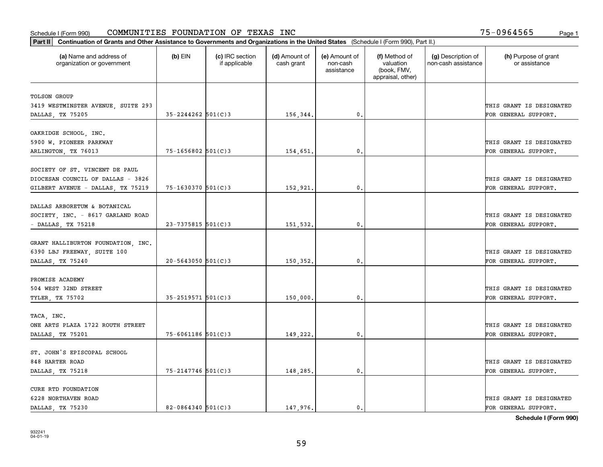| Part II   Continuation of Grants and Other Assistance to Governments and Organizations in the United States (Schedule I (Form 990), Part II.) |                        |                                  |                             |                                         |                                                                |                                           |                                       |
|-----------------------------------------------------------------------------------------------------------------------------------------------|------------------------|----------------------------------|-----------------------------|-----------------------------------------|----------------------------------------------------------------|-------------------------------------------|---------------------------------------|
| (a) Name and address of<br>organization or government                                                                                         | $(b)$ EIN              | (c) IRC section<br>if applicable | (d) Amount of<br>cash grant | (e) Amount of<br>non-cash<br>assistance | (f) Method of<br>valuation<br>(book, FMV,<br>appraisal, other) | (g) Description of<br>non-cash assistance | (h) Purpose of grant<br>or assistance |
| <b>TOLSON GROUP</b>                                                                                                                           |                        |                                  |                             |                                         |                                                                |                                           |                                       |
| 3419 WESTMINSTER AVENUE, SUITE 293                                                                                                            |                        |                                  |                             |                                         |                                                                |                                           | THIS GRANT IS DESIGNATED              |
| DALLAS, TX 75205                                                                                                                              | $35 - 2244262$ 501(C)3 |                                  | 156,344.                    | 0.                                      |                                                                |                                           | FOR GENERAL SUPPORT.                  |
|                                                                                                                                               |                        |                                  |                             |                                         |                                                                |                                           |                                       |
| OAKRIDGE SCHOOL, INC.                                                                                                                         |                        |                                  |                             |                                         |                                                                |                                           |                                       |
| 5900 W. PIONEER PARKWAY                                                                                                                       |                        |                                  |                             |                                         |                                                                |                                           | THIS GRANT IS DESIGNATED              |
| ARLINGTON, TX 76013                                                                                                                           | $75 - 1656802$ 501(C)3 |                                  | 154,651.                    | $\mathfrak{o}$ .                        |                                                                |                                           | FOR GENERAL SUPPORT.                  |
|                                                                                                                                               |                        |                                  |                             |                                         |                                                                |                                           |                                       |
| SOCIETY OF ST. VINCENT DE PAUL                                                                                                                |                        |                                  |                             |                                         |                                                                |                                           |                                       |
| DIOCESAN COUNCIL OF DALLAS - 3826                                                                                                             |                        |                                  |                             |                                         |                                                                |                                           | THIS GRANT IS DESIGNATED              |
| GILBERT AVENUE - DALLAS, TX 75219                                                                                                             | 75-1630370 501(C)3     |                                  | 152,921.                    | $\mathfrak{o}$ .                        |                                                                |                                           | FOR GENERAL SUPPORT.                  |
| DALLAS ARBORETUM & BOTANICAL                                                                                                                  |                        |                                  |                             |                                         |                                                                |                                           |                                       |
| SOCIETY, INC. - 8617 GARLAND ROAD                                                                                                             |                        |                                  |                             |                                         |                                                                |                                           | THIS GRANT IS DESIGNATED              |
| $-$ DALLAS, TX 75218                                                                                                                          | $23 - 7375815$ 501(C)3 |                                  | 151,532.                    | 0.                                      |                                                                |                                           | FOR GENERAL SUPPORT.                  |
|                                                                                                                                               |                        |                                  |                             |                                         |                                                                |                                           |                                       |
| GRANT HALLIBURTON FOUNDATION, INC.                                                                                                            |                        |                                  |                             |                                         |                                                                |                                           |                                       |
| 6390 LBJ FREEWAY, SUITE 100                                                                                                                   |                        |                                  |                             |                                         |                                                                |                                           | THIS GRANT IS DESIGNATED              |
| DALLAS, TX 75240                                                                                                                              | $20 - 5643050$ 501(C)3 |                                  | 150,352.                    | $\mathbf{0}$                            |                                                                |                                           | FOR GENERAL SUPPORT.                  |
|                                                                                                                                               |                        |                                  |                             |                                         |                                                                |                                           |                                       |
| PROMISE ACADEMY                                                                                                                               |                        |                                  |                             |                                         |                                                                |                                           |                                       |
| 504 WEST 32ND STREET                                                                                                                          |                        |                                  |                             |                                         |                                                                |                                           | THIS GRANT IS DESIGNATED              |
| TYLER, TX 75702                                                                                                                               | $35 - 2519571$ 501(C)3 |                                  | 150,000.                    | $\mathfrak o$ .                         |                                                                |                                           | FOR GENERAL SUPPORT.                  |
|                                                                                                                                               |                        |                                  |                             |                                         |                                                                |                                           |                                       |
| TACA, INC.                                                                                                                                    |                        |                                  |                             |                                         |                                                                |                                           |                                       |
| ONE ARTS PLAZA 1722 ROUTH STREET                                                                                                              |                        |                                  |                             |                                         |                                                                |                                           | THIS GRANT IS DESIGNATED              |
| DALLAS, TX 75201                                                                                                                              | $75 - 6061186$ 501(C)3 |                                  | 149,222.                    | $\mathbf{0}$ .                          |                                                                |                                           | FOR GENERAL SUPPORT.                  |
| ST. JOHN'S EPISCOPAL SCHOOL                                                                                                                   |                        |                                  |                             |                                         |                                                                |                                           |                                       |
| 848 HARTER ROAD                                                                                                                               |                        |                                  |                             |                                         |                                                                |                                           | THIS GRANT IS DESIGNATED              |
| DALLAS, TX 75218                                                                                                                              | $75 - 2147746$ 501(C)3 |                                  | 148,285.                    | $\mathfrak o$ .                         |                                                                |                                           | FOR GENERAL SUPPORT.                  |
|                                                                                                                                               |                        |                                  |                             |                                         |                                                                |                                           |                                       |
| CURE RTD FOUNDATION                                                                                                                           |                        |                                  |                             |                                         |                                                                |                                           |                                       |
| 6228 NORTHAVEN ROAD                                                                                                                           |                        |                                  |                             |                                         |                                                                |                                           | THIS GRANT IS DESIGNATED              |
| DALLAS, TX 75230                                                                                                                              | $82 - 0864340$ 501(C)3 |                                  | 147.976.                    | $\mathbf{0}$ .                          |                                                                |                                           | FOR GENERAL SUPPORT.                  |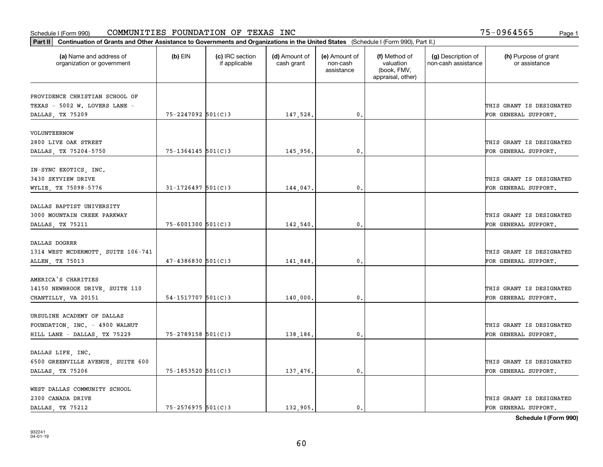| Part II   Continuation of Grants and Other Assistance to Governments and Organizations in the United States (Schedule I (Form 990), Part II.) |                        |                                  |                             |                                         |                                                                |                                           |                                       |
|-----------------------------------------------------------------------------------------------------------------------------------------------|------------------------|----------------------------------|-----------------------------|-----------------------------------------|----------------------------------------------------------------|-------------------------------------------|---------------------------------------|
| (a) Name and address of<br>organization or government                                                                                         | $(b)$ EIN              | (c) IRC section<br>if applicable | (d) Amount of<br>cash grant | (e) Amount of<br>non-cash<br>assistance | (f) Method of<br>valuation<br>(book, FMV,<br>appraisal, other) | (g) Description of<br>non-cash assistance | (h) Purpose of grant<br>or assistance |
|                                                                                                                                               |                        |                                  |                             |                                         |                                                                |                                           |                                       |
| PROVIDENCE CHRISTIAN SCHOOL OF<br>TEXAS - 5002 W. LOVERS LANE -                                                                               |                        |                                  |                             |                                         |                                                                |                                           | THIS GRANT IS DESIGNATED              |
| DALLAS, TX 75209                                                                                                                              | $75 - 2247092$ 501(C)3 |                                  | 147,528.                    | 0.                                      |                                                                |                                           | FOR GENERAL SUPPORT.                  |
|                                                                                                                                               |                        |                                  |                             |                                         |                                                                |                                           |                                       |
| VOLUNTEERNOW                                                                                                                                  |                        |                                  |                             |                                         |                                                                |                                           |                                       |
| 2800 LIVE OAK STREET                                                                                                                          |                        |                                  |                             |                                         |                                                                |                                           | THIS GRANT IS DESIGNATED              |
| DALLAS, TX 75204-5750                                                                                                                         | 75-1364145 501(C)3     |                                  | 145,956.                    | 0.                                      |                                                                |                                           | FOR GENERAL SUPPORT.                  |
|                                                                                                                                               |                        |                                  |                             |                                         |                                                                |                                           |                                       |
| IN-SYNC EXOTICS, INC.                                                                                                                         |                        |                                  |                             |                                         |                                                                |                                           |                                       |
| 3430 SKYVIEW DRIVE                                                                                                                            |                        |                                  |                             |                                         |                                                                |                                           | THIS GRANT IS DESIGNATED              |
| WYLIE, TX 75098-5776                                                                                                                          | $31 - 1726497$ 501(C)3 |                                  | 144,047.                    | $\mathbf{0}$ .                          |                                                                |                                           | FOR GENERAL SUPPORT.                  |
|                                                                                                                                               |                        |                                  |                             |                                         |                                                                |                                           |                                       |
| DALLAS BAPTIST UNIVERSITY                                                                                                                     |                        |                                  |                             |                                         |                                                                |                                           |                                       |
| 3000 MOUNTAIN CREEK PARKWAY                                                                                                                   |                        |                                  |                             |                                         |                                                                |                                           | THIS GRANT IS DESIGNATED              |
| DALLAS, TX 75211                                                                                                                              | 75-6001300 501(C)3     |                                  | 142,540.                    | 0.                                      |                                                                |                                           | FOR GENERAL SUPPORT.                  |
|                                                                                                                                               |                        |                                  |                             |                                         |                                                                |                                           |                                       |
| <b>DALLAS DOGRRR</b>                                                                                                                          |                        |                                  |                             |                                         |                                                                |                                           |                                       |
| 1314 WEST MCDERMOTT, SUITE 106-741                                                                                                            |                        |                                  |                             |                                         |                                                                |                                           | THIS GRANT IS DESIGNATED              |
| ALLEN, TX 75013                                                                                                                               | $47 - 4386830$ 501(C)3 |                                  | 141,848.                    | 0.                                      |                                                                |                                           | FOR GENERAL SUPPORT.                  |
| AMERICA'S CHARITIES                                                                                                                           |                        |                                  |                             |                                         |                                                                |                                           |                                       |
|                                                                                                                                               |                        |                                  |                             |                                         |                                                                |                                           | THIS GRANT IS DESIGNATED              |
| 14150 NEWBROOK DRIVE, SUITE 110                                                                                                               | $54 - 1517707$ 501(C)3 |                                  | 140,000,                    | 0.                                      |                                                                |                                           | FOR GENERAL SUPPORT.                  |
| CHANTILLY, VA 20151                                                                                                                           |                        |                                  |                             |                                         |                                                                |                                           |                                       |
| URSULINE ACADEMY OF DALLAS                                                                                                                    |                        |                                  |                             |                                         |                                                                |                                           |                                       |
| FOUNDATION, INC. - 4900 WALNUT                                                                                                                |                        |                                  |                             |                                         |                                                                |                                           | THIS GRANT IS DESIGNATED              |
| HILL LANE - DALLAS, TX 75229                                                                                                                  | $75 - 2789158$ 501(C)3 |                                  | 138,186.                    | $\mathbf{0}$ .                          |                                                                |                                           | FOR GENERAL SUPPORT.                  |
|                                                                                                                                               |                        |                                  |                             |                                         |                                                                |                                           |                                       |
| DALLAS LIFE, INC.                                                                                                                             |                        |                                  |                             |                                         |                                                                |                                           |                                       |
| 6500 GREENVILLE AVENUE, SUITE 600                                                                                                             |                        |                                  |                             |                                         |                                                                |                                           | THIS GRANT IS DESIGNATED              |
| DALLAS, TX 75206                                                                                                                              | 75-1853520 501(C)3     |                                  | 137,476.                    | 0.                                      |                                                                |                                           | FOR GENERAL SUPPORT.                  |
|                                                                                                                                               |                        |                                  |                             |                                         |                                                                |                                           |                                       |
| WEST DALLAS COMMUNITY SCHOOL                                                                                                                  |                        |                                  |                             |                                         |                                                                |                                           |                                       |
| 2300 CANADA DRIVE                                                                                                                             |                        |                                  |                             |                                         |                                                                |                                           | THIS GRANT IS DESIGNATED              |
| DALLAS, TX 75212                                                                                                                              | 75-2576975 501(C)3     |                                  | 132,905.                    | 0.                                      |                                                                |                                           | FOR GENERAL SUPPORT.                  |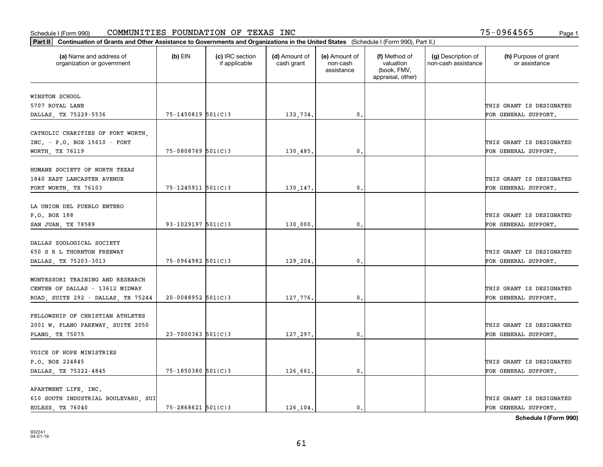| Part II   Continuation of Grants and Other Assistance to Governments and Organizations in the United States (Schedule I (Form 990), Part II.) |                        |                                  |                             |                                         |                                                                |                                           |                                       |
|-----------------------------------------------------------------------------------------------------------------------------------------------|------------------------|----------------------------------|-----------------------------|-----------------------------------------|----------------------------------------------------------------|-------------------------------------------|---------------------------------------|
| (a) Name and address of<br>organization or government                                                                                         | $(b)$ EIN              | (c) IRC section<br>if applicable | (d) Amount of<br>cash grant | (e) Amount of<br>non-cash<br>assistance | (f) Method of<br>valuation<br>(book, FMV,<br>appraisal, other) | (g) Description of<br>non-cash assistance | (h) Purpose of grant<br>or assistance |
| WINSTON SCHOOL                                                                                                                                |                        |                                  |                             |                                         |                                                                |                                           |                                       |
| 5707 ROYAL LANE                                                                                                                               |                        |                                  |                             |                                         |                                                                |                                           | THIS GRANT IS DESIGNATED              |
| DALLAS, TX 75229-5536                                                                                                                         | 75-1450819 501(C)3     |                                  | 132,734.                    | $\mathbf{0}$ .                          |                                                                |                                           | FOR GENERAL SUPPORT.                  |
|                                                                                                                                               |                        |                                  |                             |                                         |                                                                |                                           |                                       |
| CATHOLIC CHARITIES OF FORT WORTH,                                                                                                             |                        |                                  |                             |                                         |                                                                |                                           |                                       |
| INC. - P.O. BOX 15610 - FORT                                                                                                                  |                        |                                  |                             |                                         |                                                                |                                           | THIS GRANT IS DESIGNATED              |
| WORTH, TX 76119                                                                                                                               | $75 - 0808769$ 501(C)3 |                                  | 130,485.                    | 0.                                      |                                                                |                                           | FOR GENERAL SUPPORT.                  |
|                                                                                                                                               |                        |                                  |                             |                                         |                                                                |                                           |                                       |
| HUMANE SOCIETY OF NORTH TEXAS                                                                                                                 |                        |                                  |                             |                                         |                                                                |                                           |                                       |
| 1840 EAST LANCASTER AVENUE                                                                                                                    |                        |                                  |                             |                                         |                                                                |                                           | THIS GRANT IS DESIGNATED              |
| FORT WORTH, TX 76103                                                                                                                          | 75-1245911 501(C)3     |                                  | 130,147.                    | $\mathbf{0}$ .                          |                                                                |                                           | FOR GENERAL SUPPORT.                  |
|                                                                                                                                               |                        |                                  |                             |                                         |                                                                |                                           |                                       |
| LA UNION DEL PUEBLO ENTERO                                                                                                                    |                        |                                  |                             |                                         |                                                                |                                           |                                       |
| P.O. BOX 188                                                                                                                                  |                        |                                  |                             |                                         |                                                                |                                           | THIS GRANT IS DESIGNATED              |
| SAN JUAN, TX 78589                                                                                                                            | 93-1029197 501(C)3     |                                  | 130,000.                    | 0.                                      |                                                                |                                           | FOR GENERAL SUPPORT.                  |
|                                                                                                                                               |                        |                                  |                             |                                         |                                                                |                                           |                                       |
| DALLAS ZOOLOGICAL SOCIETY                                                                                                                     |                        |                                  |                             |                                         |                                                                |                                           |                                       |
| 650 S R L THORNTON FREEWAY                                                                                                                    |                        |                                  |                             |                                         |                                                                |                                           | THIS GRANT IS DESIGNATED              |
| DALLAS, TX 75203-3013                                                                                                                         | 75-0964982 501(C)3     |                                  | 129,204.                    | 0.                                      |                                                                |                                           | FOR GENERAL SUPPORT.                  |
| MONTESSORI TRAINING AND RESEARCH                                                                                                              |                        |                                  |                             |                                         |                                                                |                                           |                                       |
| CENTER OF DALLAS - 13612 MIDWAY                                                                                                               |                        |                                  |                             |                                         |                                                                |                                           | THIS GRANT IS DESIGNATED              |
| ROAD, SUITE 292 - DALLAS, TX 75244                                                                                                            | $20 - 0088952$ 501(C)3 |                                  | 127,776.                    | 0.                                      |                                                                |                                           | FOR GENERAL SUPPORT.                  |
|                                                                                                                                               |                        |                                  |                             |                                         |                                                                |                                           |                                       |
| FELLOWSHIP OF CHRISTIAN ATHLETES                                                                                                              |                        |                                  |                             |                                         |                                                                |                                           |                                       |
| 2001 W. PLANO PARKWAY, SUITE 2050                                                                                                             |                        |                                  |                             |                                         |                                                                |                                           | THIS GRANT IS DESIGNATED              |
| PLANO, TX 75075                                                                                                                               | $23 - 7000363$ 501(C)3 |                                  | 127,297.                    | $\mathbf{0}$ .                          |                                                                |                                           | FOR GENERAL SUPPORT.                  |
|                                                                                                                                               |                        |                                  |                             |                                         |                                                                |                                           |                                       |
| VOICE OF HOPE MINISTRIES                                                                                                                      |                        |                                  |                             |                                         |                                                                |                                           |                                       |
| P.O. BOX 224845                                                                                                                               |                        |                                  |                             |                                         |                                                                |                                           | THIS GRANT IS DESIGNATED              |
| DALLAS, TX 75222-4845                                                                                                                         | 75-1850380 501(C)3     |                                  | 126,661.                    | $\mathbf{0}$ .                          |                                                                |                                           | FOR GENERAL SUPPORT.                  |
|                                                                                                                                               |                        |                                  |                             |                                         |                                                                |                                           |                                       |
| APARTMENT LIFE, INC.                                                                                                                          |                        |                                  |                             |                                         |                                                                |                                           |                                       |
| 610 SOUTH INDUSTRIAL BOULEVARD, SUI                                                                                                           |                        |                                  |                             |                                         |                                                                |                                           | THIS GRANT IS DESIGNATED              |
| EULESS, TX 76040                                                                                                                              | $75 - 2868621$ 501(C)3 |                                  | 126,104.                    | $\mathbf{0}$ .                          |                                                                |                                           | FOR GENERAL SUPPORT.                  |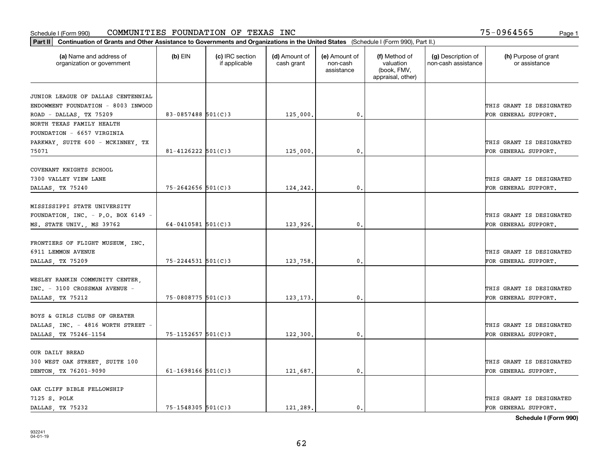#### Schedule I (Form 990) Page 1 COMMUNITIES FOUNDATION OF TEXAS INC 75-0964565

| Part II   Continuation of Grants and Other Assistance to Governments and Organizations in the United States (Schedule I (Form 990), Part II.) |                        |                                  |                             |                                         |                                                                |                                           |                                       |
|-----------------------------------------------------------------------------------------------------------------------------------------------|------------------------|----------------------------------|-----------------------------|-----------------------------------------|----------------------------------------------------------------|-------------------------------------------|---------------------------------------|
| (a) Name and address of<br>organization or government                                                                                         | $(b)$ EIN              | (c) IRC section<br>if applicable | (d) Amount of<br>cash grant | (e) Amount of<br>non-cash<br>assistance | (f) Method of<br>valuation<br>(book, FMV,<br>appraisal, other) | (g) Description of<br>non-cash assistance | (h) Purpose of grant<br>or assistance |
|                                                                                                                                               |                        |                                  |                             |                                         |                                                                |                                           |                                       |
| JUNIOR LEAGUE OF DALLAS CENTENNIAL                                                                                                            |                        |                                  |                             |                                         |                                                                |                                           |                                       |
| ENDOWMENT FOUNDATION - 8003 INWOOD                                                                                                            |                        |                                  |                             |                                         |                                                                |                                           | THIS GRANT IS DESIGNATED              |
| ROAD - DALLAS, TX 75209                                                                                                                       | 83-0857488 501(C)3     |                                  | 125,000.                    | 0.                                      |                                                                |                                           | FOR GENERAL SUPPORT.                  |
| NORTH TEXAS FAMILY HEALTH<br>FOUNDATION - 6657 VIRGINIA                                                                                       |                        |                                  |                             |                                         |                                                                |                                           |                                       |
|                                                                                                                                               |                        |                                  |                             |                                         |                                                                |                                           |                                       |
| PARKWAY, SUITE 600 - MCKINNEY, TX                                                                                                             |                        |                                  |                             |                                         |                                                                |                                           | THIS GRANT IS DESIGNATED              |
| 75071                                                                                                                                         | $81 - 4126222$ 501(C)3 |                                  | 125,000                     | 0.                                      |                                                                |                                           | FOR GENERAL SUPPORT.                  |
| COVENANT KNIGHTS SCHOOL                                                                                                                       |                        |                                  |                             |                                         |                                                                |                                           |                                       |
| 7300 VALLEY VIEW LANE                                                                                                                         |                        |                                  |                             |                                         |                                                                |                                           | THIS GRANT IS DESIGNATED              |
| DALLAS, TX 75240                                                                                                                              | $75 - 2642656$ 501(C)3 |                                  | 124,242.                    | 0.                                      |                                                                |                                           | FOR GENERAL SUPPORT.                  |
|                                                                                                                                               |                        |                                  |                             |                                         |                                                                |                                           |                                       |
| MISSISSIPPI STATE UNIVERSITY                                                                                                                  |                        |                                  |                             |                                         |                                                                |                                           |                                       |
| FOUNDATION, INC. - P.O. BOX 6149 -                                                                                                            |                        |                                  |                             |                                         |                                                                |                                           | THIS GRANT IS DESIGNATED              |
| MS. STATE UNIV., MS 39762                                                                                                                     | $64 - 0410581$ 501(C)3 |                                  | 123,926.                    | 0.                                      |                                                                |                                           | FOR GENERAL SUPPORT.                  |
|                                                                                                                                               |                        |                                  |                             |                                         |                                                                |                                           |                                       |
| FRONTIERS OF FLIGHT MUSEUM, INC.                                                                                                              |                        |                                  |                             |                                         |                                                                |                                           |                                       |
| 6911 LEMMON AVENUE                                                                                                                            |                        |                                  |                             |                                         |                                                                |                                           | THIS GRANT IS DESIGNATED              |
|                                                                                                                                               | 75-2244531 501(C)3     |                                  | 123,758.                    | $\mathbf{0}$ .                          |                                                                |                                           | FOR GENERAL SUPPORT.                  |
| DALLAS, TX 75209                                                                                                                              |                        |                                  |                             |                                         |                                                                |                                           |                                       |
| WESLEY RANKIN COMMUNITY CENTER,                                                                                                               |                        |                                  |                             |                                         |                                                                |                                           |                                       |
| INC. - 3100 CROSSMAN AVENUE -                                                                                                                 |                        |                                  |                             |                                         |                                                                |                                           | THIS GRANT IS DESIGNATED              |
|                                                                                                                                               | 75-0808775 501(C)3     |                                  | 123, 173,                   | 0.                                      |                                                                |                                           | FOR GENERAL SUPPORT.                  |
| DALLAS, TX 75212                                                                                                                              |                        |                                  |                             |                                         |                                                                |                                           |                                       |
| BOYS & GIRLS CLUBS OF GREATER                                                                                                                 |                        |                                  |                             |                                         |                                                                |                                           |                                       |
| DALLAS, INC. - 4816 WORTH STREET -                                                                                                            |                        |                                  |                             |                                         |                                                                |                                           | THIS GRANT IS DESIGNATED              |
|                                                                                                                                               | 75-1152657 501(C)3     |                                  |                             | 0.                                      |                                                                |                                           | FOR GENERAL SUPPORT.                  |
| DALLAS, TX 75246-1154                                                                                                                         |                        |                                  | 122,300.                    |                                         |                                                                |                                           |                                       |
| OUR DAILY BREAD                                                                                                                               |                        |                                  |                             |                                         |                                                                |                                           |                                       |
|                                                                                                                                               |                        |                                  |                             |                                         |                                                                |                                           | THIS GRANT IS DESIGNATED              |
| 300 WEST OAK STREET, SUITE 100                                                                                                                | $61 - 1698166$ 501(C)3 |                                  |                             |                                         |                                                                |                                           |                                       |
| DENTON, TX 76201-9090                                                                                                                         |                        |                                  | 121,687.                    | 0.                                      |                                                                |                                           | FOR GENERAL SUPPORT.                  |
| OAK CLIFF BIBLE FELLOWSHIP                                                                                                                    |                        |                                  |                             |                                         |                                                                |                                           |                                       |
| 7125 S. POLK                                                                                                                                  |                        |                                  |                             |                                         |                                                                |                                           | THIS GRANT IS DESIGNATED              |
| DALLAS TX 75232                                                                                                                               | $75 - 1548305$ 501(C)3 |                                  | 121,289.                    | $\mathbf{0}$ .                          |                                                                |                                           | FOR GENERAL SUPPORT.                  |
|                                                                                                                                               |                        |                                  |                             |                                         |                                                                |                                           |                                       |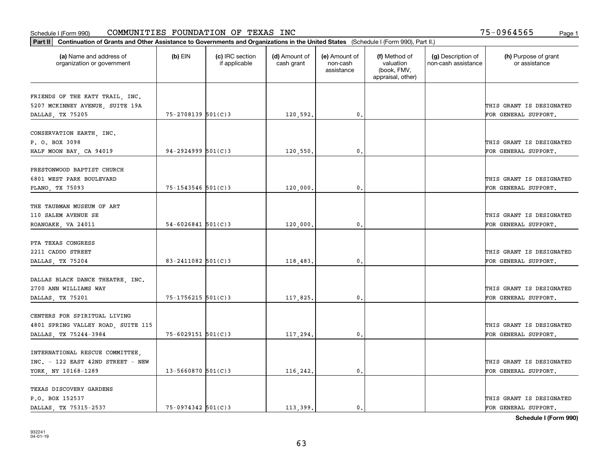|                                                                    | Part II   Continuation of Grants and Other Assistance to Governments and Organizations in the United States (Schedule I (Form 990), Part II.) |                                  |                             |                                         |                                                                |                                           |                                       |  |  |
|--------------------------------------------------------------------|-----------------------------------------------------------------------------------------------------------------------------------------------|----------------------------------|-----------------------------|-----------------------------------------|----------------------------------------------------------------|-------------------------------------------|---------------------------------------|--|--|
| (a) Name and address of<br>organization or government              | $(b)$ EIN                                                                                                                                     | (c) IRC section<br>if applicable | (d) Amount of<br>cash grant | (e) Amount of<br>non-cash<br>assistance | (f) Method of<br>valuation<br>(book, FMV,<br>appraisal, other) | (g) Description of<br>non-cash assistance | (h) Purpose of grant<br>or assistance |  |  |
|                                                                    |                                                                                                                                               |                                  |                             |                                         |                                                                |                                           |                                       |  |  |
| FRIENDS OF THE KATY TRAIL, INC.<br>5207 MCKINNEY AVENUE, SUITE 19A |                                                                                                                                               |                                  |                             |                                         |                                                                |                                           | THIS GRANT IS DESIGNATED              |  |  |
| DALLAS, TX 75205                                                   | 75-2708139 501(C)3                                                                                                                            |                                  | 120,592.                    | $\mathfrak{o}$ .                        |                                                                |                                           | FOR GENERAL SUPPORT.                  |  |  |
|                                                                    |                                                                                                                                               |                                  |                             |                                         |                                                                |                                           |                                       |  |  |
| CONSERVATION EARTH, INC.                                           |                                                                                                                                               |                                  |                             |                                         |                                                                |                                           |                                       |  |  |
| P. O. BOX 3098                                                     |                                                                                                                                               |                                  |                             |                                         |                                                                |                                           | THIS GRANT IS DESIGNATED              |  |  |
| HALF MOON BAY, CA 94019                                            | $94 - 2924999$ 501(C)3                                                                                                                        |                                  | 120,550,                    | 0.                                      |                                                                |                                           | FOR GENERAL SUPPORT.                  |  |  |
|                                                                    |                                                                                                                                               |                                  |                             |                                         |                                                                |                                           |                                       |  |  |
| PRESTONWOOD BAPTIST CHURCH                                         |                                                                                                                                               |                                  |                             |                                         |                                                                |                                           |                                       |  |  |
| 6801 WEST PARK BOULEVARD                                           |                                                                                                                                               |                                  |                             |                                         |                                                                |                                           | THIS GRANT IS DESIGNATED              |  |  |
| PLANO, TX 75093                                                    | $75 - 1543546$ 501(C)3                                                                                                                        |                                  | 120,000.                    | $\mathfrak{o}$ .                        |                                                                |                                           | FOR GENERAL SUPPORT.                  |  |  |
|                                                                    |                                                                                                                                               |                                  |                             |                                         |                                                                |                                           |                                       |  |  |
| THE TAUBMAN MUSEUM OF ART                                          |                                                                                                                                               |                                  |                             |                                         |                                                                |                                           |                                       |  |  |
| 110 SALEM AVENUE SE                                                |                                                                                                                                               |                                  |                             |                                         |                                                                |                                           | THIS GRANT IS DESIGNATED              |  |  |
| ROANOAKE, VA 24011                                                 | $54 - 6026841$ 501(C)3                                                                                                                        |                                  | 120,000.                    | $\mathbf{0}$                            |                                                                |                                           | FOR GENERAL SUPPORT.                  |  |  |
| PTA TEXAS CONGRESS                                                 |                                                                                                                                               |                                  |                             |                                         |                                                                |                                           |                                       |  |  |
| 2211 CADDO STREET                                                  |                                                                                                                                               |                                  |                             |                                         |                                                                |                                           | THIS GRANT IS DESIGNATED              |  |  |
| DALLAS, TX 75204                                                   | $83 - 2411082$ 501(C)3                                                                                                                        |                                  | 118,483.                    | $\mathbf{0}$                            |                                                                |                                           | FOR GENERAL SUPPORT.                  |  |  |
|                                                                    |                                                                                                                                               |                                  |                             |                                         |                                                                |                                           |                                       |  |  |
| DALLAS BLACK DANCE THEATRE, INC.                                   |                                                                                                                                               |                                  |                             |                                         |                                                                |                                           |                                       |  |  |
| 2700 ANN WILLIAMS WAY                                              |                                                                                                                                               |                                  |                             |                                         |                                                                |                                           | THIS GRANT IS DESIGNATED              |  |  |
| DALLAS, TX 75201                                                   | 75-1756215 501(C)3                                                                                                                            |                                  | 117,825.                    | 0.                                      |                                                                |                                           | FOR GENERAL SUPPORT.                  |  |  |
|                                                                    |                                                                                                                                               |                                  |                             |                                         |                                                                |                                           |                                       |  |  |
| CENTERS FOR SPIRITUAL LIVING                                       |                                                                                                                                               |                                  |                             |                                         |                                                                |                                           |                                       |  |  |
| 4801 SPRING VALLEY ROAD, SUITE 115                                 |                                                                                                                                               |                                  |                             |                                         |                                                                |                                           | THIS GRANT IS DESIGNATED              |  |  |
| DALLAS, TX 75244-3984                                              | $75 - 6029151$ 501(C)3                                                                                                                        |                                  | 117,294.                    | $^{\rm 0}$ .                            |                                                                |                                           | FOR GENERAL SUPPORT.                  |  |  |
|                                                                    |                                                                                                                                               |                                  |                             |                                         |                                                                |                                           |                                       |  |  |
| INTERNATIONAL RESCUE COMMITTEE,                                    |                                                                                                                                               |                                  |                             |                                         |                                                                |                                           |                                       |  |  |
| $INC. - 122$ EAST 42ND STREET - NEW                                |                                                                                                                                               |                                  |                             |                                         |                                                                |                                           | THIS GRANT IS DESIGNATED              |  |  |
| YORK, NY 10168-1289                                                | $13 - 5660870$ 501(C)3                                                                                                                        |                                  | 116,242.                    | $^{\circ}$ .                            |                                                                |                                           | FOR GENERAL SUPPORT.                  |  |  |
|                                                                    |                                                                                                                                               |                                  |                             |                                         |                                                                |                                           |                                       |  |  |
| TEXAS DISCOVERY GARDENS                                            |                                                                                                                                               |                                  |                             |                                         |                                                                |                                           |                                       |  |  |
| P.O. BOX 152537                                                    |                                                                                                                                               |                                  |                             |                                         |                                                                |                                           | THIS GRANT IS DESIGNATED              |  |  |
| DALLAS, TX 75315-2537                                              | $75-0974342$ 501(C)3                                                                                                                          |                                  | 113.399.                    | $\mathbf{0}$ .                          |                                                                |                                           | FOR GENERAL SUPPORT.                  |  |  |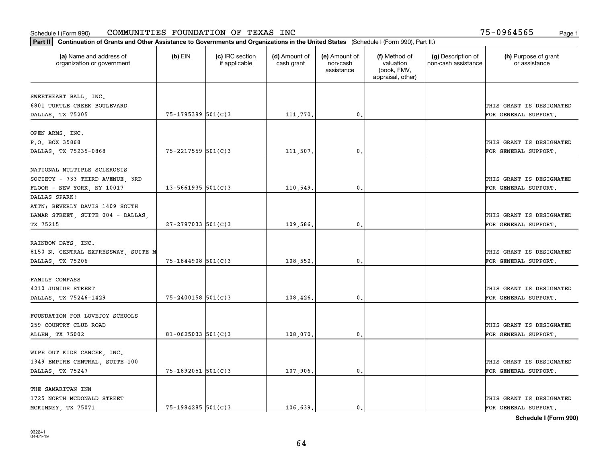| Part II   Continuation of Grants and Other Assistance to Governments and Organizations in the United States (Schedule I (Form 990), Part II.) |                        |                                  |                             |                                         |                                                                |                                           |                                                  |  |
|-----------------------------------------------------------------------------------------------------------------------------------------------|------------------------|----------------------------------|-----------------------------|-----------------------------------------|----------------------------------------------------------------|-------------------------------------------|--------------------------------------------------|--|
| (a) Name and address of<br>organization or government                                                                                         | $(b)$ EIN              | (c) IRC section<br>if applicable | (d) Amount of<br>cash grant | (e) Amount of<br>non-cash<br>assistance | (f) Method of<br>valuation<br>(book, FMV,<br>appraisal, other) | (g) Description of<br>non-cash assistance | (h) Purpose of grant<br>or assistance            |  |
|                                                                                                                                               |                        |                                  |                             |                                         |                                                                |                                           |                                                  |  |
| SWEETHEART BALL, INC.                                                                                                                         |                        |                                  |                             |                                         |                                                                |                                           |                                                  |  |
| 6801 TURTLE CREEK BOULEVARD                                                                                                                   | $75 - 1795399$ 501(C)3 |                                  |                             | 0.                                      |                                                                |                                           | THIS GRANT IS DESIGNATED<br>FOR GENERAL SUPPORT. |  |
| DALLAS, TX 75205                                                                                                                              |                        |                                  | 111,770.                    |                                         |                                                                |                                           |                                                  |  |
| OPEN ARMS, INC.                                                                                                                               |                        |                                  |                             |                                         |                                                                |                                           |                                                  |  |
| P.O. BOX 35868                                                                                                                                |                        |                                  |                             |                                         |                                                                |                                           | THIS GRANT IS DESIGNATED                         |  |
| DALLAS, TX 75235-0868                                                                                                                         | 75-2217559 501(C)3     |                                  | 111,507.                    | 0.                                      |                                                                |                                           | FOR GENERAL SUPPORT.                             |  |
|                                                                                                                                               |                        |                                  |                             |                                         |                                                                |                                           |                                                  |  |
| NATIONAL MULTIPLE SCLEROSIS                                                                                                                   |                        |                                  |                             |                                         |                                                                |                                           |                                                  |  |
| SOCIETY - 733 THIRD AVENUE, 3RD                                                                                                               |                        |                                  |                             |                                         |                                                                |                                           | THIS GRANT IS DESIGNATED                         |  |
| FLOOR - NEW YORK, NY 10017                                                                                                                    | $13 - 5661935$ 501(C)3 |                                  | 110,549.                    | $\mathbf{0}$ .                          |                                                                |                                           | FOR GENERAL SUPPORT.                             |  |
| DALLAS SPARK!                                                                                                                                 |                        |                                  |                             |                                         |                                                                |                                           |                                                  |  |
| ATTN: BEVERLY DAVIS 1409 SOUTH                                                                                                                |                        |                                  |                             |                                         |                                                                |                                           |                                                  |  |
| LAMAR STREET, SUITE 004 - DALLAS,                                                                                                             |                        |                                  |                             |                                         |                                                                |                                           | THIS GRANT IS DESIGNATED                         |  |
| TX 75215                                                                                                                                      | $27 - 2797033$ 501(C)3 |                                  | 109,586.                    | 0.                                      |                                                                |                                           | FOR GENERAL SUPPORT.                             |  |
|                                                                                                                                               |                        |                                  |                             |                                         |                                                                |                                           |                                                  |  |
| RAINBOW DAYS, INC.                                                                                                                            |                        |                                  |                             |                                         |                                                                |                                           |                                                  |  |
| 8150 N. CENTRAL EXPRESSWAY, SUITE M                                                                                                           |                        |                                  |                             |                                         |                                                                |                                           | THIS GRANT IS DESIGNATED                         |  |
| DALLAS, TX 75206                                                                                                                              | $75 - 1844908$ 501(C)3 |                                  | 108,552.                    | $\mathfrak{o}$ .                        |                                                                |                                           | FOR GENERAL SUPPORT.                             |  |
|                                                                                                                                               |                        |                                  |                             |                                         |                                                                |                                           |                                                  |  |
| FAMILY COMPASS                                                                                                                                |                        |                                  |                             |                                         |                                                                |                                           |                                                  |  |
| 4210 JUNIUS STREET                                                                                                                            |                        |                                  |                             |                                         |                                                                |                                           | THIS GRANT IS DESIGNATED                         |  |
| DALLAS, TX 75246-1429                                                                                                                         | $75 - 2400158$ 501(C)3 |                                  | 108,426.                    | 0.                                      |                                                                |                                           | FOR GENERAL SUPPORT.                             |  |
|                                                                                                                                               |                        |                                  |                             |                                         |                                                                |                                           |                                                  |  |
| FOUNDATION FOR LOVEJOY SCHOOLS                                                                                                                |                        |                                  |                             |                                         |                                                                |                                           |                                                  |  |
| 259 COUNTRY CLUB ROAD                                                                                                                         |                        |                                  |                             |                                         |                                                                |                                           | THIS GRANT IS DESIGNATED                         |  |
| ALLEN, TX 75002                                                                                                                               | $81 - 0625033$ 501(C)3 |                                  | 108,070.                    | $\mathbf{0}$ .                          |                                                                |                                           | FOR GENERAL SUPPORT.                             |  |
|                                                                                                                                               |                        |                                  |                             |                                         |                                                                |                                           |                                                  |  |
| WIPE OUT KIDS CANCER, INC.                                                                                                                    |                        |                                  |                             |                                         |                                                                |                                           | THIS GRANT IS DESIGNATED                         |  |
| 1349 EMPIRE CENTRAL, SUITE 100                                                                                                                |                        |                                  |                             |                                         |                                                                |                                           |                                                  |  |
| DALLAS, TX 75247                                                                                                                              | 75-1892051 501(C)3     |                                  | 107,906.                    | 0.                                      |                                                                |                                           | FOR GENERAL SUPPORT.                             |  |
| THE SAMARITAN INN                                                                                                                             |                        |                                  |                             |                                         |                                                                |                                           |                                                  |  |
| 1725 NORTH MCDONALD STREET                                                                                                                    |                        |                                  |                             |                                         |                                                                |                                           | THIS GRANT IS DESIGNATED                         |  |
| MCKINNEY TX 75071                                                                                                                             | $75 - 1984285$ 501(C)3 |                                  | 106,639.                    | $\mathbf{0}$ .                          |                                                                |                                           | FOR GENERAL SUPPORT.                             |  |
|                                                                                                                                               |                        |                                  |                             |                                         |                                                                |                                           |                                                  |  |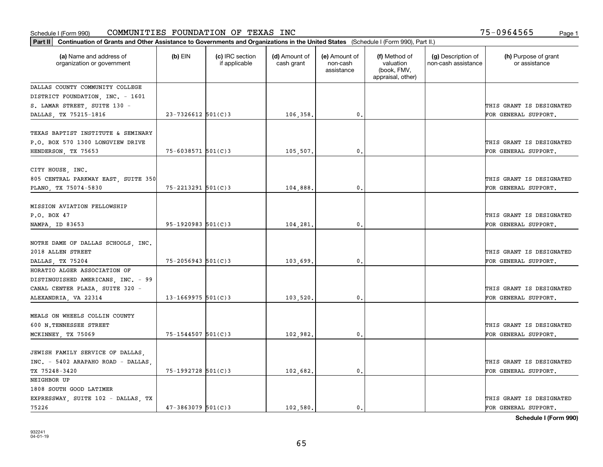| Part II   Continuation of Grants and Other Assistance to Governments and Organizations in the United States (Schedule I (Form 990), Part II.) |                        |                                  |                             |                                         |                                                                |                                           |                                                  |
|-----------------------------------------------------------------------------------------------------------------------------------------------|------------------------|----------------------------------|-----------------------------|-----------------------------------------|----------------------------------------------------------------|-------------------------------------------|--------------------------------------------------|
| (a) Name and address of<br>organization or government                                                                                         | $(b)$ EIN              | (c) IRC section<br>if applicable | (d) Amount of<br>cash grant | (e) Amount of<br>non-cash<br>assistance | (f) Method of<br>valuation<br>(book, FMV,<br>appraisal, other) | (g) Description of<br>non-cash assistance | (h) Purpose of grant<br>or assistance            |
| DALLAS COUNTY COMMUNITY COLLEGE                                                                                                               |                        |                                  |                             |                                         |                                                                |                                           |                                                  |
| DISTRICT FOUNDATION, INC. - 1601                                                                                                              |                        |                                  |                             |                                         |                                                                |                                           |                                                  |
| S. LAMAR STREET, SUITE 130 -                                                                                                                  |                        |                                  |                             |                                         |                                                                |                                           | THIS GRANT IS DESIGNATED                         |
| DALLAS, TX 75215-1816                                                                                                                         | $23 - 7326612$ 501(C)3 |                                  | 106,358.                    | 0.                                      |                                                                |                                           | FOR GENERAL SUPPORT.                             |
| TEXAS BAPTIST INSTITUTE & SEMINARY<br>P.O. BOX 570 1300 LONGVIEW DRIVE<br>HENDERSON, TX 75653                                                 | $75 - 6038571$ 501(C)3 |                                  | 105,507.                    | $\mathbf{0}$                            |                                                                |                                           | THIS GRANT IS DESIGNATED<br>FOR GENERAL SUPPORT. |
|                                                                                                                                               |                        |                                  |                             |                                         |                                                                |                                           |                                                  |
| CITY HOUSE, INC.<br>805 CENTRAL PARKWAY EAST, SUITE 350<br>PLANO, TX 75074-5830                                                               | 75-2213291 501(C)3     |                                  | 104,888,                    | $\mathbf{0}$ .                          |                                                                |                                           | THIS GRANT IS DESIGNATED<br>FOR GENERAL SUPPORT. |
|                                                                                                                                               |                        |                                  |                             |                                         |                                                                |                                           |                                                  |
| MISSION AVIATION FELLOWSHIP                                                                                                                   |                        |                                  |                             |                                         |                                                                |                                           |                                                  |
| P.O. BOX 47                                                                                                                                   |                        |                                  |                             |                                         |                                                                |                                           | THIS GRANT IS DESIGNATED                         |
| NAMPA, ID 83653                                                                                                                               | $95-1920983$ 501(C)3   |                                  | 104,281.                    | $\mathbf{0}$ .                          |                                                                |                                           | FOR GENERAL SUPPORT.                             |
| NOTRE DAME OF DALLAS SCHOOLS, INC.<br>2018 ALLEN STREET                                                                                       |                        |                                  |                             |                                         |                                                                |                                           | THIS GRANT IS DESIGNATED                         |
| DALLAS, TX 75204                                                                                                                              | $75 - 2056943$ 501(C)3 |                                  | 103,699,                    | 0.                                      |                                                                |                                           | FOR GENERAL SUPPORT.                             |
| HORATIO ALGER ASSOCIATION OF<br>DISTINGUISHED AMERICANS, INC. - 99<br>CANAL CENTER PLAZA, SUITE 320 -                                         |                        |                                  |                             |                                         |                                                                |                                           | THIS GRANT IS DESIGNATED                         |
| ALEXANDRIA, VA 22314                                                                                                                          | $13 - 1669975$ 501(C)3 |                                  | 103,520,                    | $\mathbf{0}$                            |                                                                |                                           | FOR GENERAL SUPPORT.                             |
| MEALS ON WHEELS COLLIN COUNTY<br>600 N.TENNESSEE STREET<br>MCKINNEY, TX 75069                                                                 | $75 - 1544507$ 501(C)3 |                                  | 102,982.                    | 0.                                      |                                                                |                                           | THIS GRANT IS DESIGNATED<br>FOR GENERAL SUPPORT. |
|                                                                                                                                               |                        |                                  |                             |                                         |                                                                |                                           |                                                  |
| JEWISH FAMILY SERVICE OF DALLAS,<br>INC. - 5402 ARAPAHO ROAD - DALLAS.<br>TX 75248-3420                                                       | 75-1992728 501(C)3     |                                  | 102,682.                    | $^{\circ}$ .                            |                                                                |                                           | THIS GRANT IS DESIGNATED<br>FOR GENERAL SUPPORT. |
| NEIGHBOR UP                                                                                                                                   |                        |                                  |                             |                                         |                                                                |                                           |                                                  |
| 1808 SOUTH GOOD LATIMER<br>EXPRESSWAY, SUITE 102 - DALLAS, TX                                                                                 |                        |                                  |                             |                                         |                                                                |                                           | THIS GRANT IS DESIGNATED                         |
| 75226                                                                                                                                         | $47 - 3863079$ 501(C)3 |                                  | 102.580.                    | $\mathfrak{o}$ .                        |                                                                |                                           | FOR GENERAL SUPPORT.                             |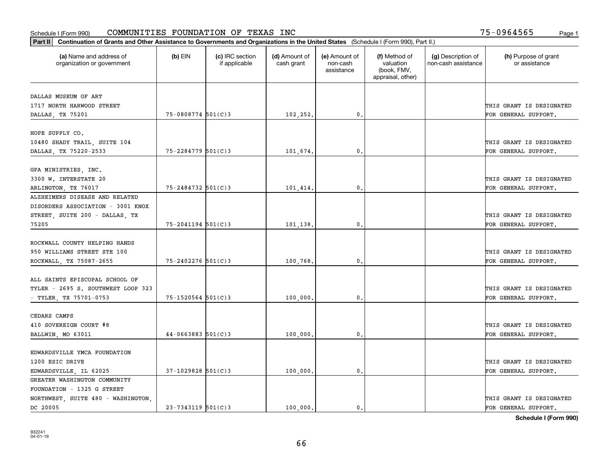| Part II   Continuation of Grants and Other Assistance to Governments and Organizations in the United States (Schedule I (Form 990), Part II.) |                        |                                  |                             |                                         |                                                                |                                           |                                       |
|-----------------------------------------------------------------------------------------------------------------------------------------------|------------------------|----------------------------------|-----------------------------|-----------------------------------------|----------------------------------------------------------------|-------------------------------------------|---------------------------------------|
| (a) Name and address of<br>organization or government                                                                                         | $(b)$ EIN              | (c) IRC section<br>if applicable | (d) Amount of<br>cash grant | (e) Amount of<br>non-cash<br>assistance | (f) Method of<br>valuation<br>(book, FMV,<br>appraisal, other) | (g) Description of<br>non-cash assistance | (h) Purpose of grant<br>or assistance |
|                                                                                                                                               |                        |                                  |                             |                                         |                                                                |                                           |                                       |
| DALLAS MUSEUM OF ART                                                                                                                          |                        |                                  |                             |                                         |                                                                |                                           |                                       |
| 1717 NORTH HARWOOD STREET                                                                                                                     |                        |                                  |                             |                                         |                                                                |                                           | THIS GRANT IS DESIGNATED              |
| DALLAS, TX 75201                                                                                                                              | $75 - 0808774$ 501(C)3 |                                  | 102,252.                    | 0.                                      |                                                                |                                           | FOR GENERAL SUPPORT.                  |
| HOPE SUPPLY CO.                                                                                                                               |                        |                                  |                             |                                         |                                                                |                                           |                                       |
| 10480 SHADY TRAIL, SUITE 104                                                                                                                  |                        |                                  |                             |                                         |                                                                |                                           | THIS GRANT IS DESIGNATED              |
| DALLAS, TX 75220-2533                                                                                                                         | $75 - 2284779$ 501(C)3 |                                  | 101,674.                    | 0.                                      |                                                                |                                           | FOR GENERAL SUPPORT.                  |
|                                                                                                                                               |                        |                                  |                             |                                         |                                                                |                                           |                                       |
| GPA MINISTRIES, INC.                                                                                                                          |                        |                                  |                             |                                         |                                                                |                                           |                                       |
| 3300 W. INTERSTATE 20                                                                                                                         |                        |                                  |                             |                                         |                                                                |                                           | THIS GRANT IS DESIGNATED              |
| ARLINGTON, TX 76017                                                                                                                           | 75-2484732 501(C)3     |                                  | 101,414.                    | $^{\circ}$ .                            |                                                                |                                           | FOR GENERAL SUPPORT.                  |
| ALZHEIMERS DISEASE AND RELATED                                                                                                                |                        |                                  |                             |                                         |                                                                |                                           |                                       |
| DISORDERS ASSOCIATION - 3001 KNOX                                                                                                             |                        |                                  |                             |                                         |                                                                |                                           |                                       |
| STREET, SUITE 200 - DALLAS, TX                                                                                                                |                        |                                  |                             |                                         |                                                                |                                           | THIS GRANT IS DESIGNATED              |
| 75205                                                                                                                                         | $75 - 2041194$ 501(C)3 |                                  | 101,138.                    | $\mathbf{0}$ .                          |                                                                |                                           | FOR GENERAL SUPPORT.                  |
|                                                                                                                                               |                        |                                  |                             |                                         |                                                                |                                           |                                       |
| ROCKWALL COUNTY HELPING HANDS                                                                                                                 |                        |                                  |                             |                                         |                                                                |                                           |                                       |
| 950 WILLIAMS STREET STE 100                                                                                                                   |                        |                                  |                             |                                         |                                                                |                                           | THIS GRANT IS DESIGNATED              |
| ROCKWALL, TX 75087-2655                                                                                                                       | 75-2402276 501(C)3     |                                  | 100,768.                    | 0.                                      |                                                                |                                           | FOR GENERAL SUPPORT.                  |
|                                                                                                                                               |                        |                                  |                             |                                         |                                                                |                                           |                                       |
| ALL SAINTS EPISCOPAL SCHOOL OF                                                                                                                |                        |                                  |                             |                                         |                                                                |                                           |                                       |
| TYLER - 2695 S. SOUTHWEST LOOP 323                                                                                                            |                        |                                  |                             |                                         |                                                                |                                           | THIS GRANT IS DESIGNATED              |
| - TYLER, TX 75701-0753                                                                                                                        | $75 - 1520564$ 501(C)3 |                                  | 100,000                     | $\mathbf{0}$ .                          |                                                                |                                           | FOR GENERAL SUPPORT.                  |
|                                                                                                                                               |                        |                                  |                             |                                         |                                                                |                                           |                                       |
| CEDARS CAMPS                                                                                                                                  |                        |                                  |                             |                                         |                                                                |                                           |                                       |
| 410 SOVEREIGN COURT #8                                                                                                                        |                        |                                  |                             |                                         |                                                                |                                           | THIS GRANT IS DESIGNATED              |
| BALLWIN, MO 63011                                                                                                                             | $44-0663883$ 501(C)3   |                                  | 100,000                     | 0.                                      |                                                                |                                           | FOR GENERAL SUPPORT.                  |
|                                                                                                                                               |                        |                                  |                             |                                         |                                                                |                                           |                                       |
| EDWARDSVILLE YMCA FOUNDATION                                                                                                                  |                        |                                  |                             |                                         |                                                                |                                           |                                       |
| 1200 ESIC DRIVE                                                                                                                               |                        |                                  |                             |                                         |                                                                |                                           | THIS GRANT IS DESIGNATED              |
| EDWARDSVILLE, IL 62025                                                                                                                        | $37-1029828$ 501(C)3   |                                  | 100,000                     | $\mathbf{0}$ .                          |                                                                |                                           | FOR GENERAL SUPPORT.                  |
| GREATER WASHINGTON COMMUNITY                                                                                                                  |                        |                                  |                             |                                         |                                                                |                                           |                                       |
| FOUNDATION - 1325 G STREET                                                                                                                    |                        |                                  |                             |                                         |                                                                |                                           |                                       |
| NORTHWEST, SUITE 480 - WASHINGTON,                                                                                                            |                        |                                  |                             |                                         |                                                                |                                           | THIS GRANT IS DESIGNATED              |
| DC 20005                                                                                                                                      | $23 - 7343119$ 501(C)3 |                                  | 100,000.                    | $\mathbf{0}$ .                          |                                                                |                                           | FOR GENERAL SUPPORT.                  |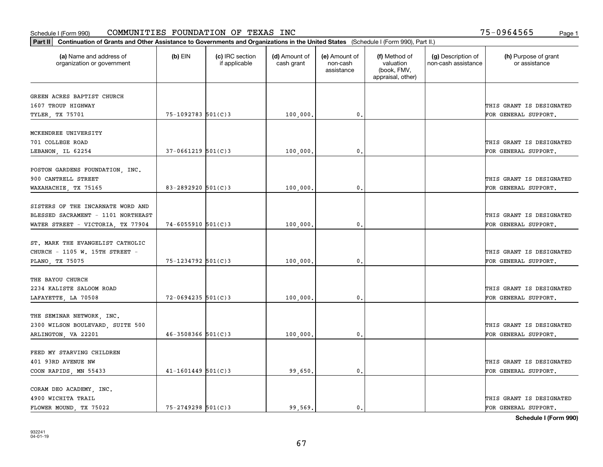| Part II   Continuation of Grants and Other Assistance to Governments and Organizations in the United States (Schedule I (Form 990), Part II.) |                          |                                  |                             |                                         |                                                                |                                           |                                       |
|-----------------------------------------------------------------------------------------------------------------------------------------------|--------------------------|----------------------------------|-----------------------------|-----------------------------------------|----------------------------------------------------------------|-------------------------------------------|---------------------------------------|
| (a) Name and address of<br>organization or government                                                                                         | $(b)$ EIN                | (c) IRC section<br>if applicable | (d) Amount of<br>cash grant | (e) Amount of<br>non-cash<br>assistance | (f) Method of<br>valuation<br>(book, FMV,<br>appraisal, other) | (g) Description of<br>non-cash assistance | (h) Purpose of grant<br>or assistance |
|                                                                                                                                               |                          |                                  |                             |                                         |                                                                |                                           |                                       |
| GREEN ACRES BAPTIST CHURCH<br>1607 TROUP HIGHWAY                                                                                              |                          |                                  |                             |                                         |                                                                |                                           | THIS GRANT IS DESIGNATED              |
| TYLER, TX 75701                                                                                                                               | 75-1092783 501(C)3       |                                  | 100,000.                    | 0.                                      |                                                                |                                           | FOR GENERAL SUPPORT.                  |
|                                                                                                                                               |                          |                                  |                             |                                         |                                                                |                                           |                                       |
| MCKENDREE UNIVERSITY                                                                                                                          |                          |                                  |                             |                                         |                                                                |                                           |                                       |
| 701 COLLEGE ROAD                                                                                                                              |                          |                                  |                             |                                         |                                                                |                                           | THIS GRANT IS DESIGNATED              |
| LEBANON, IL 62254                                                                                                                             | $37 - 0661219$ 501(C)3   |                                  | 100,000                     | 0.                                      |                                                                |                                           | FOR GENERAL SUPPORT.                  |
|                                                                                                                                               |                          |                                  |                             |                                         |                                                                |                                           |                                       |
| POSTON GARDENS FOUNDATION, INC.                                                                                                               |                          |                                  |                             |                                         |                                                                |                                           |                                       |
| 900 CANTRELL STREET                                                                                                                           |                          |                                  |                             |                                         |                                                                |                                           | THIS GRANT IS DESIGNATED              |
| WAXAHACHIE, TX 75165                                                                                                                          | 83-2892920 $501(C)3$     |                                  | 100,000                     | 0.                                      |                                                                |                                           | FOR GENERAL SUPPORT.                  |
|                                                                                                                                               |                          |                                  |                             |                                         |                                                                |                                           |                                       |
| SISTERS OF THE INCARNATE WORD AND                                                                                                             |                          |                                  |                             |                                         |                                                                |                                           |                                       |
| BLESSED SACRAMENT - 1101 NORTHEAST                                                                                                            |                          |                                  |                             |                                         |                                                                |                                           | THIS GRANT IS DESIGNATED              |
| WATER STREET - VICTORIA, TX 77904                                                                                                             | $74 - 6055910$ $501(C)3$ |                                  | 100,000                     | 0.                                      |                                                                |                                           | FOR GENERAL SUPPORT.                  |
|                                                                                                                                               |                          |                                  |                             |                                         |                                                                |                                           |                                       |
| ST. MARK THE EVANGELIST CATHOLIC                                                                                                              |                          |                                  |                             |                                         |                                                                |                                           |                                       |
| CHURCH - 1105 W. 15TH STREET -                                                                                                                |                          |                                  |                             |                                         |                                                                |                                           | THIS GRANT IS DESIGNATED              |
| PLANO, TX 75075                                                                                                                               | 75-1234792 501(C)3       |                                  | 100,000                     | 0.                                      |                                                                |                                           | FOR GENERAL SUPPORT.                  |
|                                                                                                                                               |                          |                                  |                             |                                         |                                                                |                                           |                                       |
| THE BAYOU CHURCH                                                                                                                              |                          |                                  |                             |                                         |                                                                |                                           |                                       |
| 2234 KALISTE SALOOM ROAD                                                                                                                      |                          |                                  |                             |                                         |                                                                |                                           | THIS GRANT IS DESIGNATED              |
| LAFAYETTE, LA 70508                                                                                                                           | $72 - 0694235$ 501(C)3   |                                  | 100,000                     | 0.                                      |                                                                |                                           | FOR GENERAL SUPPORT.                  |
|                                                                                                                                               |                          |                                  |                             |                                         |                                                                |                                           |                                       |
| THE SEMINAR NETWORK, INC.                                                                                                                     |                          |                                  |                             |                                         |                                                                |                                           | THIS GRANT IS DESIGNATED              |
| 2300 WILSON BOULEVARD, SUITE 500                                                                                                              |                          |                                  |                             |                                         |                                                                |                                           |                                       |
| ARLINGTON, VA 22201                                                                                                                           | $46 - 3508366$ 501(C)3   |                                  | 100,000                     | 0.                                      |                                                                |                                           | FOR GENERAL SUPPORT.                  |
| FEED MY STARVING CHILDREN                                                                                                                     |                          |                                  |                             |                                         |                                                                |                                           |                                       |
| 401 93RD AVENUE NW                                                                                                                            |                          |                                  |                             |                                         |                                                                |                                           | THIS GRANT IS DESIGNATED              |
| COON RAPIDS, MN 55433                                                                                                                         | $41 - 1601449$ 501(C)3   |                                  | 99,650                      | 0.                                      |                                                                |                                           | FOR GENERAL SUPPORT.                  |
|                                                                                                                                               |                          |                                  |                             |                                         |                                                                |                                           |                                       |
| CORAM DEO ACADEMY, INC.                                                                                                                       |                          |                                  |                             |                                         |                                                                |                                           |                                       |
| 4900 WICHITA TRAIL                                                                                                                            |                          |                                  |                             |                                         |                                                                |                                           | THIS GRANT IS DESIGNATED              |
| FLOWER MOUND, TX 75022                                                                                                                        | $75 - 2749298$ 501(C)3   |                                  | 99,569.                     | $\mathbf{0}$ .                          |                                                                |                                           | FOR GENERAL SUPPORT.                  |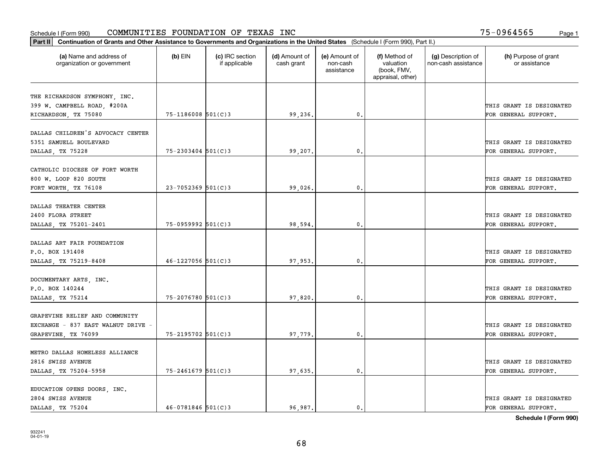| Part II   Continuation of Grants and Other Assistance to Governments and Organizations in the United States (Schedule I (Form 990), Part II.) |                        |                                  |                             |                                         |                                                                |                                           |                                       |  |
|-----------------------------------------------------------------------------------------------------------------------------------------------|------------------------|----------------------------------|-----------------------------|-----------------------------------------|----------------------------------------------------------------|-------------------------------------------|---------------------------------------|--|
| (a) Name and address of<br>organization or government                                                                                         | $(b)$ EIN              | (c) IRC section<br>if applicable | (d) Amount of<br>cash grant | (e) Amount of<br>non-cash<br>assistance | (f) Method of<br>valuation<br>(book, FMV,<br>appraisal, other) | (g) Description of<br>non-cash assistance | (h) Purpose of grant<br>or assistance |  |
| THE RICHARDSON SYMPHONY, INC.                                                                                                                 |                        |                                  |                             |                                         |                                                                |                                           |                                       |  |
| 399 W. CAMPBELL ROAD, #200A                                                                                                                   |                        |                                  |                             |                                         |                                                                |                                           | THIS GRANT IS DESIGNATED              |  |
| RICHARDSON, TX 75080                                                                                                                          | $75 - 1186008$ 501(C)3 |                                  | 99,236.                     | 0.                                      |                                                                |                                           | FOR GENERAL SUPPORT.                  |  |
|                                                                                                                                               |                        |                                  |                             |                                         |                                                                |                                           |                                       |  |
| DALLAS CHILDREN'S ADVOCACY CENTER                                                                                                             |                        |                                  |                             |                                         |                                                                |                                           |                                       |  |
| 5351 SAMUELL BOULEVARD                                                                                                                        |                        |                                  |                             |                                         |                                                                |                                           | THIS GRANT IS DESIGNATED              |  |
| DALLAS, TX 75228                                                                                                                              | $75 - 2303404$ 501(C)3 |                                  | 99,207.                     | 0.                                      |                                                                |                                           | FOR GENERAL SUPPORT.                  |  |
|                                                                                                                                               |                        |                                  |                             |                                         |                                                                |                                           |                                       |  |
| CATHOLIC DIOCESE OF FORT WORTH                                                                                                                |                        |                                  |                             |                                         |                                                                |                                           |                                       |  |
| 800 W. LOOP 820 SOUTH                                                                                                                         |                        |                                  |                             |                                         |                                                                |                                           | THIS GRANT IS DESIGNATED              |  |
| FORT WORTH, TX 76108                                                                                                                          | $23 - 7052369$ 501(C)3 |                                  | 99,026.                     | $\mathbf{0}$ .                          |                                                                |                                           | FOR GENERAL SUPPORT.                  |  |
|                                                                                                                                               |                        |                                  |                             |                                         |                                                                |                                           |                                       |  |
| DALLAS THEATER CENTER                                                                                                                         |                        |                                  |                             |                                         |                                                                |                                           |                                       |  |
| 2400 FLORA STREET                                                                                                                             | $75 - 0959992$ 501(C)3 |                                  |                             |                                         |                                                                |                                           | THIS GRANT IS DESIGNATED              |  |
| DALLAS, TX 75201-2401                                                                                                                         |                        |                                  | 98,594.                     | $\mathbf{0}$                            |                                                                |                                           | FOR GENERAL SUPPORT.                  |  |
| DALLAS ART FAIR FOUNDATION                                                                                                                    |                        |                                  |                             |                                         |                                                                |                                           |                                       |  |
| P.O. BOX 191408                                                                                                                               |                        |                                  |                             |                                         |                                                                |                                           | THIS GRANT IS DESIGNATED              |  |
| DALLAS, TX 75219-8408                                                                                                                         | $46 - 1227056$ 501(C)3 |                                  | 97,953.                     | 0.                                      |                                                                |                                           | FOR GENERAL SUPPORT.                  |  |
|                                                                                                                                               |                        |                                  |                             |                                         |                                                                |                                           |                                       |  |
| DOCUMENTARY ARTS, INC.                                                                                                                        |                        |                                  |                             |                                         |                                                                |                                           |                                       |  |
| P.O. BOX 140244                                                                                                                               |                        |                                  |                             |                                         |                                                                |                                           | THIS GRANT IS DESIGNATED              |  |
| DALLAS, TX 75214                                                                                                                              | $75 - 2076780$ 501(C)3 |                                  | 97,820.                     | $\mathbf{0}$                            |                                                                |                                           | FOR GENERAL SUPPORT.                  |  |
|                                                                                                                                               |                        |                                  |                             |                                         |                                                                |                                           |                                       |  |
| GRAPEVINE RELIEF AND COMMUNITY                                                                                                                |                        |                                  |                             |                                         |                                                                |                                           |                                       |  |
| EXCHANGE - 837 EAST WALNUT DRIVE -                                                                                                            |                        |                                  |                             |                                         |                                                                |                                           | THIS GRANT IS DESIGNATED              |  |
| GRAPEVINE, TX 76099                                                                                                                           | 75-2195702 501(C)3     |                                  | 97,779.                     | $^{\rm 0}$ .                            |                                                                |                                           | FOR GENERAL SUPPORT.                  |  |
|                                                                                                                                               |                        |                                  |                             |                                         |                                                                |                                           |                                       |  |
| METRO DALLAS HOMELESS ALLIANCE                                                                                                                |                        |                                  |                             |                                         |                                                                |                                           |                                       |  |
| 2816 SWISS AVENUE                                                                                                                             |                        |                                  |                             |                                         |                                                                |                                           | THIS GRANT IS DESIGNATED              |  |
| DALLAS, TX 75204-5958                                                                                                                         | $75 - 2461679$ 501(C)3 |                                  | 97,635.                     | $^{\circ}$ .                            |                                                                |                                           | FOR GENERAL SUPPORT.                  |  |
|                                                                                                                                               |                        |                                  |                             |                                         |                                                                |                                           |                                       |  |
| EDUCATION OPENS DOORS, INC.                                                                                                                   |                        |                                  |                             |                                         |                                                                |                                           |                                       |  |
| 2804 SWISS AVENUE                                                                                                                             |                        |                                  |                             |                                         |                                                                |                                           | THIS GRANT IS DESIGNATED              |  |
| DALLAS, TX 75204                                                                                                                              | $46 - 0781846$ 501(C)3 |                                  | 96.987.                     | $\mathbf{0}$ .                          |                                                                |                                           | FOR GENERAL SUPPORT.                  |  |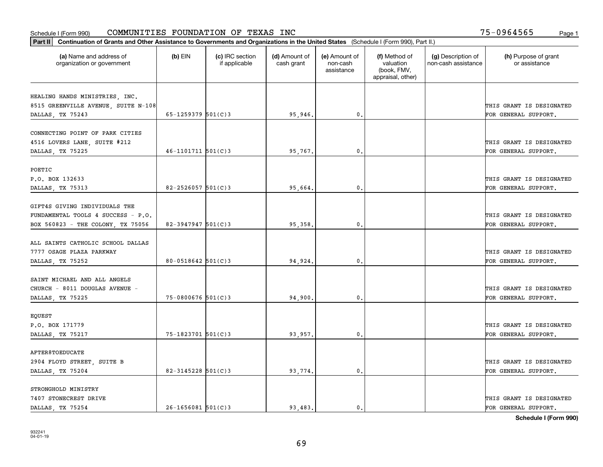| (a) Name and address of<br>organization or government | $(b)$ EIN                | (c) IRC section<br>if applicable | (d) Amount of<br>cash grant | (e) Amount of<br>non-cash<br>assistance | (f) Method of<br>valuation<br>(book, FMV,<br>appraisal, other) | (g) Description of<br>non-cash assistance | (h) Purpose of grant<br>or assistance |
|-------------------------------------------------------|--------------------------|----------------------------------|-----------------------------|-----------------------------------------|----------------------------------------------------------------|-------------------------------------------|---------------------------------------|
| HEALING HANDS MINISTRIES, INC.                        |                          |                                  |                             |                                         |                                                                |                                           |                                       |
| 8515 GREENVILLE AVENUE, SUITE N-108                   |                          |                                  |                             |                                         |                                                                |                                           | THIS GRANT IS DESIGNATED              |
| DALLAS, TX 75243                                      | 65-1259379 $501(C)$ 3    |                                  | 95,946.                     | 0.                                      |                                                                |                                           | FOR GENERAL SUPPORT.                  |
| CONNECTING POINT OF PARK CITIES                       |                          |                                  |                             |                                         |                                                                |                                           |                                       |
| 4516 LOVERS LANE, SUITE #212                          |                          |                                  |                             |                                         |                                                                |                                           | THIS GRANT IS DESIGNATED              |
| DALLAS, TX 75225                                      | $46 - 1101711$ $501(C)3$ |                                  | 95,767.                     | $\mathbf{0}$ .                          |                                                                |                                           | FOR GENERAL SUPPORT.                  |
|                                                       |                          |                                  |                             |                                         |                                                                |                                           |                                       |
| POETIC                                                |                          |                                  |                             |                                         |                                                                |                                           |                                       |
| P.O. BOX 132633                                       | $82 - 2526057$ 501(C) 3  |                                  |                             | $\mathbf{0}$ .                          |                                                                |                                           | THIS GRANT IS DESIGNATED              |
| DALLAS, TX 75313                                      |                          |                                  | 95,664.                     |                                         |                                                                |                                           | FOR GENERAL SUPPORT.                  |
| GIFT4S GIVING INDIVIDUALS THE                         |                          |                                  |                             |                                         |                                                                |                                           |                                       |
| FUNDAMENTAL TOOLS 4 SUCCESS - P.O.                    |                          |                                  |                             |                                         |                                                                |                                           | THIS GRANT IS DESIGNATED              |
| BOX 560823 - THE COLONY, TX 75056                     | 82-3947947 $501(C)3$     |                                  | 95,358.                     | 0.                                      |                                                                |                                           | FOR GENERAL SUPPORT.                  |
|                                                       |                          |                                  |                             |                                         |                                                                |                                           |                                       |
| ALL SAINTS CATHOLIC SCHOOL DALLAS                     |                          |                                  |                             |                                         |                                                                |                                           |                                       |
| 7777 OSAGE PLAZA PARKWAY                              |                          |                                  |                             |                                         |                                                                |                                           | THIS GRANT IS DESIGNATED              |
| DALLAS, TX 75252                                      | $80 - 0518642$ 501(C)3   |                                  | 94,924.                     | $\mathbf{0}$                            |                                                                |                                           | FOR GENERAL SUPPORT.                  |
| SAINT MICHAEL AND ALL ANGELS                          |                          |                                  |                             |                                         |                                                                |                                           |                                       |
| CHURCH - 8011 DOUGLAS AVENUE -                        |                          |                                  |                             |                                         |                                                                |                                           | THIS GRANT IS DESIGNATED              |
| DALLAS, TX 75225                                      | $75 - 0800676$ 501(C)3   |                                  | 94,900.                     | 0.                                      |                                                                |                                           | FOR GENERAL SUPPORT.                  |
|                                                       |                          |                                  |                             |                                         |                                                                |                                           |                                       |
| EQUEST<br>P.O. BOX 171779                             |                          |                                  |                             |                                         |                                                                |                                           | THIS GRANT IS DESIGNATED              |
| DALLAS, TX 75217                                      | $75 - 1823701$ 501(C)3   |                                  | 93,957.                     | $\mathbf{0}$ .                          |                                                                |                                           | FOR GENERAL SUPPORT.                  |
|                                                       |                          |                                  |                             |                                         |                                                                |                                           |                                       |
| AFTER8TOEDUCATE                                       |                          |                                  |                             |                                         |                                                                |                                           |                                       |
| 2904 FLOYD STREET, SUITE B                            |                          |                                  |                             |                                         |                                                                |                                           | THIS GRANT IS DESIGNATED              |
| DALLAS, TX 75204                                      | $82 - 3145228$ 501(C)3   |                                  | 93,774.                     | 0.                                      |                                                                |                                           | FOR GENERAL SUPPORT.                  |
| STRONGHOLD MINISTRY                                   |                          |                                  |                             |                                         |                                                                |                                           |                                       |
| 7407 STONECREST DRIVE                                 |                          |                                  |                             |                                         |                                                                |                                           | THIS GRANT IS DESIGNATED              |
| DALLAS, TX 75254                                      | $26 - 1656081$ 501(C)3   |                                  | 93.483.                     | $\mathbf{0}$ .                          |                                                                |                                           | FOR GENERAL SUPPORT.                  |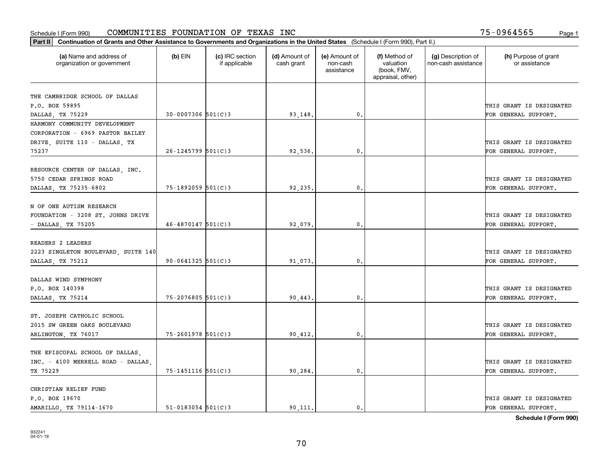| Part II   Continuation of Grants and Other Assistance to Governments and Organizations in the United States (Schedule I (Form 990), Part II.) |                        |                                  |                             |                                         |                                                                |                                           |                                       |
|-----------------------------------------------------------------------------------------------------------------------------------------------|------------------------|----------------------------------|-----------------------------|-----------------------------------------|----------------------------------------------------------------|-------------------------------------------|---------------------------------------|
| (a) Name and address of<br>organization or government                                                                                         | $(b)$ EIN              | (c) IRC section<br>if applicable | (d) Amount of<br>cash grant | (e) Amount of<br>non-cash<br>assistance | (f) Method of<br>valuation<br>(book, FMV,<br>appraisal, other) | (g) Description of<br>non-cash assistance | (h) Purpose of grant<br>or assistance |
|                                                                                                                                               |                        |                                  |                             |                                         |                                                                |                                           |                                       |
| THE CAMBRIDGE SCHOOL OF DALLAS<br>P.O. BOX 59895                                                                                              |                        |                                  |                             |                                         |                                                                |                                           | THIS GRANT IS DESIGNATED              |
|                                                                                                                                               | $30 - 0007306$ 501(C)3 |                                  |                             | 0.                                      |                                                                |                                           | FOR GENERAL SUPPORT.                  |
| DALLAS, TX 75229<br>HARMONY COMMUNITY DEVELOPMENT                                                                                             |                        |                                  | 93,148.                     |                                         |                                                                |                                           |                                       |
| CORPORATION - 6969 PASTOR BAILEY                                                                                                              |                        |                                  |                             |                                         |                                                                |                                           |                                       |
| DRIVE, SUITE 110 - DALLAS, TX                                                                                                                 |                        |                                  |                             |                                         |                                                                |                                           | THIS GRANT IS DESIGNATED              |
| 75237                                                                                                                                         | $26 - 1245799$ 501(C)3 |                                  | 92,536.                     | 0.                                      |                                                                |                                           | FOR GENERAL SUPPORT.                  |
|                                                                                                                                               |                        |                                  |                             |                                         |                                                                |                                           |                                       |
| RESOURCE CENTER OF DALLAS, INC.                                                                                                               |                        |                                  |                             |                                         |                                                                |                                           |                                       |
| 5750 CEDAR SPRINGS ROAD                                                                                                                       |                        |                                  |                             |                                         |                                                                |                                           | THIS GRANT IS DESIGNATED              |
| DALLAS, TX 75235-6802                                                                                                                         | 75-1892059 501(C)3     |                                  | 92,235.                     | $\mathbf{0}$ .                          |                                                                |                                           | FOR GENERAL SUPPORT.                  |
|                                                                                                                                               |                        |                                  |                             |                                         |                                                                |                                           |                                       |
| N OF ONE AUTISM RESEARCH                                                                                                                      |                        |                                  |                             |                                         |                                                                |                                           |                                       |
| FOUNDATION - 3208 ST. JOHNS DRIVE                                                                                                             |                        |                                  |                             |                                         |                                                                |                                           | THIS GRANT IS DESIGNATED              |
| - DALLAS, TX 75205                                                                                                                            | $46 - 4870147$ 501(C)3 |                                  | 92,079.                     | 0.                                      |                                                                |                                           | FOR GENERAL SUPPORT.                  |
|                                                                                                                                               |                        |                                  |                             |                                         |                                                                |                                           |                                       |
| READERS 2 LEADERS                                                                                                                             |                        |                                  |                             |                                         |                                                                |                                           |                                       |
| 2223 SINGLETON BOULEVARD, SUITE 140                                                                                                           |                        |                                  |                             |                                         |                                                                |                                           | THIS GRANT IS DESIGNATED              |
| DALLAS, TX 75212                                                                                                                              | $90 - 0641325$ 501(C)3 |                                  | 91,073.                     | 0.                                      |                                                                |                                           | FOR GENERAL SUPPORT.                  |
|                                                                                                                                               |                        |                                  |                             |                                         |                                                                |                                           |                                       |
| DALLAS WIND SYMPHONY                                                                                                                          |                        |                                  |                             |                                         |                                                                |                                           |                                       |
| P.O. BOX 140398                                                                                                                               |                        |                                  |                             |                                         |                                                                |                                           | THIS GRANT IS DESIGNATED              |
| DALLAS, TX 75214                                                                                                                              | $75 - 2076805$ 501(C)3 |                                  | 90,443.                     | 0.                                      |                                                                |                                           | FOR GENERAL SUPPORT.                  |
|                                                                                                                                               |                        |                                  |                             |                                         |                                                                |                                           |                                       |
| ST. JOSEPH CATHOLIC SCHOOL                                                                                                                    |                        |                                  |                             |                                         |                                                                |                                           |                                       |
| 2015 SW GREEN OAKS BOULEVARD                                                                                                                  |                        |                                  |                             |                                         |                                                                |                                           | THIS GRANT IS DESIGNATED              |
| ARLINGTON, TX 76017                                                                                                                           | 75-2601978 501(C)3     |                                  | 90,412.                     | $\mathbf{0}$ .                          |                                                                |                                           | FOR GENERAL SUPPORT.                  |
|                                                                                                                                               |                        |                                  |                             |                                         |                                                                |                                           |                                       |
| THE EPISCOPAL SCHOOL OF DALLAS,                                                                                                               |                        |                                  |                             |                                         |                                                                |                                           |                                       |
| INC. - 4100 MERRELL ROAD - DALLAS.                                                                                                            |                        |                                  |                             |                                         |                                                                |                                           | THIS GRANT IS DESIGNATED              |
| TX 75229                                                                                                                                      | 75-1451116 501(C)3     |                                  | 90,284.                     | 0.                                      |                                                                |                                           | FOR GENERAL SUPPORT.                  |
|                                                                                                                                               |                        |                                  |                             |                                         |                                                                |                                           |                                       |
| CHRISTIAN RELIEF FUND                                                                                                                         |                        |                                  |                             |                                         |                                                                |                                           |                                       |
| P.O. BOX 19670                                                                                                                                |                        |                                  |                             |                                         |                                                                |                                           | THIS GRANT IS DESIGNATED              |
| AMARILLO, TX 79114-1670                                                                                                                       | $51 - 0183054$ 501(C)3 |                                  | 90.111.                     | $\mathbf{0}$ .                          |                                                                |                                           | FOR GENERAL SUPPORT.                  |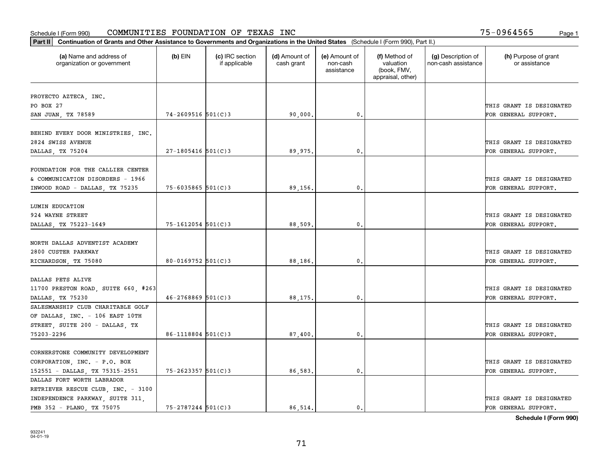|                                                                                                         | Part II   Continuation of Grants and Other Assistance to Governments and Organizations in the United States (Schedule I (Form 990), Part II.) |                                  |                             |                                         |                                                                |                                           |                                                  |  |  |
|---------------------------------------------------------------------------------------------------------|-----------------------------------------------------------------------------------------------------------------------------------------------|----------------------------------|-----------------------------|-----------------------------------------|----------------------------------------------------------------|-------------------------------------------|--------------------------------------------------|--|--|
| (a) Name and address of<br>organization or government                                                   | $(b)$ EIN                                                                                                                                     | (c) IRC section<br>if applicable | (d) Amount of<br>cash grant | (e) Amount of<br>non-cash<br>assistance | (f) Method of<br>valuation<br>(book, FMV,<br>appraisal, other) | (g) Description of<br>non-cash assistance | (h) Purpose of grant<br>or assistance            |  |  |
|                                                                                                         |                                                                                                                                               |                                  |                             |                                         |                                                                |                                           |                                                  |  |  |
| PROYECTO AZTECA, INC.<br>PO BOX 27                                                                      |                                                                                                                                               |                                  |                             |                                         |                                                                |                                           | THIS GRANT IS DESIGNATED                         |  |  |
| SAN JUAN, TX 78589                                                                                      | $74 - 2609516$ 501(C)3                                                                                                                        |                                  | 90,000.                     | 0.                                      |                                                                |                                           | FOR GENERAL SUPPORT.                             |  |  |
|                                                                                                         |                                                                                                                                               |                                  |                             |                                         |                                                                |                                           |                                                  |  |  |
| BEHIND EVERY DOOR MINISTRIES, INC.<br>2824 SWISS AVENUE                                                 |                                                                                                                                               |                                  |                             |                                         |                                                                |                                           | THIS GRANT IS DESIGNATED                         |  |  |
| DALLAS, TX 75204                                                                                        | $27 - 1805416$ 501(C)3                                                                                                                        |                                  | 89.975.                     | 0.                                      |                                                                |                                           | FOR GENERAL SUPPORT.                             |  |  |
| FOUNDATION FOR THE CALLIER CENTER<br>& COMMUNICATION DISORDERS - 1966<br>INWOOD ROAD - DALLAS, TX 75235 | $75 - 6035865$ 501(C)3                                                                                                                        |                                  | 89,156.                     | 0.                                      |                                                                |                                           | THIS GRANT IS DESIGNATED<br>FOR GENERAL SUPPORT. |  |  |
|                                                                                                         |                                                                                                                                               |                                  |                             |                                         |                                                                |                                           |                                                  |  |  |
| LUMIN EDUCATION                                                                                         |                                                                                                                                               |                                  |                             |                                         |                                                                |                                           |                                                  |  |  |
| 924 WAYNE STREET                                                                                        |                                                                                                                                               |                                  |                             |                                         |                                                                |                                           | THIS GRANT IS DESIGNATED                         |  |  |
| DALLAS, TX 75223-1649                                                                                   | 75-1612054 501(C)3                                                                                                                            |                                  | 88,509.                     | $\mathbf{0}$ .                          |                                                                |                                           | FOR GENERAL SUPPORT.                             |  |  |
| NORTH DALLAS ADVENTIST ACADEMY<br>2800 CUSTER PARKWAY                                                   |                                                                                                                                               |                                  |                             |                                         |                                                                |                                           | THIS GRANT IS DESIGNATED                         |  |  |
| RICHARDSON, TX 75080                                                                                    | 80-0169752 501(C)3                                                                                                                            |                                  | 88,186.                     | 0.                                      |                                                                |                                           | FOR GENERAL SUPPORT.                             |  |  |
|                                                                                                         |                                                                                                                                               |                                  |                             |                                         |                                                                |                                           |                                                  |  |  |
| DALLAS PETS ALIVE                                                                                       |                                                                                                                                               |                                  |                             |                                         |                                                                |                                           |                                                  |  |  |
| 11700 PRESTON ROAD, SUITE 660, #263                                                                     |                                                                                                                                               |                                  |                             |                                         |                                                                |                                           | THIS GRANT IS DESIGNATED                         |  |  |
| DALLAS, TX 75230                                                                                        | $46 - 2768869$ 501(C)3                                                                                                                        |                                  | 88,175.                     | 0.                                      |                                                                |                                           | FOR GENERAL SUPPORT.                             |  |  |
| SALESMANSHIP CLUB CHARITABLE GOLF                                                                       |                                                                                                                                               |                                  |                             |                                         |                                                                |                                           |                                                  |  |  |
| OF DALLAS, INC. - 106 EAST 10TH                                                                         |                                                                                                                                               |                                  |                             |                                         |                                                                |                                           |                                                  |  |  |
| STREET, SUITE 200 - DALLAS, TX                                                                          |                                                                                                                                               |                                  |                             |                                         |                                                                |                                           | THIS GRANT IS DESIGNATED                         |  |  |
| 75203-2296                                                                                              | $86 - 1118804$ 501(C)3                                                                                                                        |                                  | 87,400                      | $\mathbf{0}$ .                          |                                                                |                                           | FOR GENERAL SUPPORT.                             |  |  |
|                                                                                                         |                                                                                                                                               |                                  |                             |                                         |                                                                |                                           |                                                  |  |  |
| CORNERSTONE COMMUNITY DEVELOPMENT                                                                       |                                                                                                                                               |                                  |                             |                                         |                                                                |                                           |                                                  |  |  |
| CORPORATION, INC. - P.O. BOX                                                                            |                                                                                                                                               |                                  |                             |                                         |                                                                |                                           | THIS GRANT IS DESIGNATED                         |  |  |
| 152551 - DALLAS, TX 75315-2551                                                                          | 75-2623357 501(C)3                                                                                                                            |                                  | 86,583.                     | 0.                                      |                                                                |                                           | FOR GENERAL SUPPORT.                             |  |  |
| DALLAS FORT WORTH LABRADOR                                                                              |                                                                                                                                               |                                  |                             |                                         |                                                                |                                           |                                                  |  |  |
| RETRIEVER RESCUE CLUB, INC. - 3100                                                                      |                                                                                                                                               |                                  |                             |                                         |                                                                |                                           |                                                  |  |  |
| INDEPENDENCE PARKWAY, SUITE 311,                                                                        |                                                                                                                                               |                                  |                             |                                         |                                                                |                                           | THIS GRANT IS DESIGNATED                         |  |  |
| PMB 352 - PLANO, TX 75075                                                                               | $75 - 2787244$ 501(C)3                                                                                                                        |                                  | 86.514.                     | $\mathbf{0}$ .                          |                                                                |                                           | FOR GENERAL SUPPORT.                             |  |  |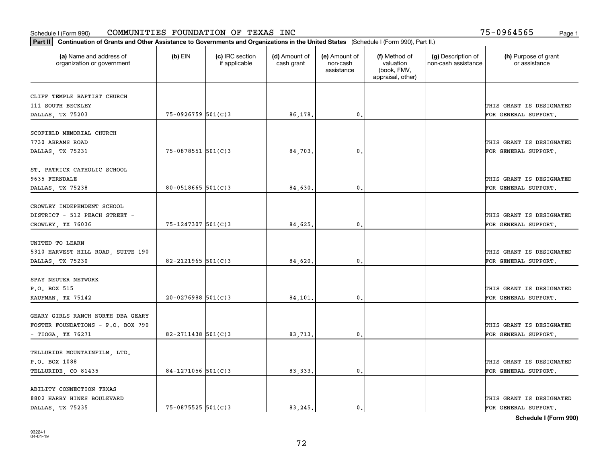| Part II   Continuation of Grants and Other Assistance to Governments and Organizations in the United States (Schedule I (Form 990), Part II.) |                        |                                  |                             |                                         |                                                                |                                           |                                       |
|-----------------------------------------------------------------------------------------------------------------------------------------------|------------------------|----------------------------------|-----------------------------|-----------------------------------------|----------------------------------------------------------------|-------------------------------------------|---------------------------------------|
| (a) Name and address of<br>organization or government                                                                                         | $(b)$ EIN              | (c) IRC section<br>if applicable | (d) Amount of<br>cash grant | (e) Amount of<br>non-cash<br>assistance | (f) Method of<br>valuation<br>(book, FMV,<br>appraisal, other) | (g) Description of<br>non-cash assistance | (h) Purpose of grant<br>or assistance |
| CLIFF TEMPLE BAPTIST CHURCH                                                                                                                   |                        |                                  |                             |                                         |                                                                |                                           |                                       |
| 111 SOUTH BECKLEY                                                                                                                             |                        |                                  |                             |                                         |                                                                |                                           | THIS GRANT IS DESIGNATED              |
| DALLAS, TX 75203                                                                                                                              | 75-0926759 501(C)3     |                                  | 86,178.                     | 0.                                      |                                                                |                                           | FOR GENERAL SUPPORT.                  |
|                                                                                                                                               |                        |                                  |                             |                                         |                                                                |                                           |                                       |
| SCOFIELD MEMORIAL CHURCH                                                                                                                      |                        |                                  |                             |                                         |                                                                |                                           |                                       |
| 7730 ABRAMS ROAD                                                                                                                              |                        |                                  |                             |                                         |                                                                |                                           | THIS GRANT IS DESIGNATED              |
| DALLAS, TX 75231                                                                                                                              | 75-0878551 501(C)3     |                                  | 84,703.                     | 0.                                      |                                                                |                                           | FOR GENERAL SUPPORT.                  |
|                                                                                                                                               |                        |                                  |                             |                                         |                                                                |                                           |                                       |
| ST. PATRICK CATHOLIC SCHOOL                                                                                                                   |                        |                                  |                             |                                         |                                                                |                                           |                                       |
| 9635 FERNDALE                                                                                                                                 |                        |                                  |                             |                                         |                                                                |                                           | THIS GRANT IS DESIGNATED              |
| DALLAS, TX 75238                                                                                                                              | $80 - 0518665$ 501(C)3 |                                  | 84,630.                     | $\mathbf{0}$ .                          |                                                                |                                           | FOR GENERAL SUPPORT.                  |
| CROWLEY INDEPENDENT SCHOOL                                                                                                                    |                        |                                  |                             |                                         |                                                                |                                           |                                       |
| DISTRICT - 512 PEACH STREET -                                                                                                                 |                        |                                  |                             |                                         |                                                                |                                           | THIS GRANT IS DESIGNATED              |
| CROWLEY, TX 76036                                                                                                                             | $75 - 1247307$ 501(C)3 |                                  | 84,625.                     | 0.                                      |                                                                |                                           | FOR GENERAL SUPPORT.                  |
|                                                                                                                                               |                        |                                  |                             |                                         |                                                                |                                           |                                       |
| UNITED TO LEARN                                                                                                                               |                        |                                  |                             |                                         |                                                                |                                           |                                       |
| 5310 HARVEST HILL ROAD, SUITE 190                                                                                                             |                        |                                  |                             |                                         |                                                                |                                           | THIS GRANT IS DESIGNATED              |
| DALLAS, TX 75230                                                                                                                              | 82-2121965 $501(C)$ 3  |                                  | 84,620.                     | 0.                                      |                                                                |                                           | FOR GENERAL SUPPORT.                  |
|                                                                                                                                               |                        |                                  |                             |                                         |                                                                |                                           |                                       |
| SPAY NEUTER NETWORK                                                                                                                           |                        |                                  |                             |                                         |                                                                |                                           |                                       |
| P.O. BOX 515                                                                                                                                  |                        |                                  |                             |                                         |                                                                |                                           | THIS GRANT IS DESIGNATED              |
| KAUFMAN, TX 75142                                                                                                                             | $20 - 0276988$ 501(C)3 |                                  | 84,101                      | 0.                                      |                                                                |                                           | FOR GENERAL SUPPORT.                  |
|                                                                                                                                               |                        |                                  |                             |                                         |                                                                |                                           |                                       |
| GEARY GIRLS RANCH NORTH DBA GEARY                                                                                                             |                        |                                  |                             |                                         |                                                                |                                           |                                       |
| FOSTER FOUNDATIONS - P.O. BOX 790                                                                                                             |                        |                                  |                             |                                         |                                                                |                                           | THIS GRANT IS DESIGNATED              |
| - TIOGA, TX 76271                                                                                                                             | $82 - 2711438$ 501(C)3 |                                  | 83,713.                     | $^{\circ}$ .                            |                                                                |                                           | FOR GENERAL SUPPORT.                  |
| TELLURIDE MOUNTAINFILM, LTD.                                                                                                                  |                        |                                  |                             |                                         |                                                                |                                           |                                       |
| P.O. BOX 1088                                                                                                                                 |                        |                                  |                             |                                         |                                                                |                                           | THIS GRANT IS DESIGNATED              |
| TELLURIDE, CO 81435                                                                                                                           | $84-1271056$ 501(C)3   |                                  | 83, 333.                    | $\mathbf{0}$ .                          |                                                                |                                           | FOR GENERAL SUPPORT.                  |
|                                                                                                                                               |                        |                                  |                             |                                         |                                                                |                                           |                                       |
| ABILITY CONNECTION TEXAS                                                                                                                      |                        |                                  |                             |                                         |                                                                |                                           |                                       |
| 8802 HARRY HINES BOULEVARD                                                                                                                    |                        |                                  |                             |                                         |                                                                |                                           | THIS GRANT IS DESIGNATED              |
| DALLAS, TX 75235                                                                                                                              | 75-0875525 501(C)3     |                                  | 83.245.                     | $\mathbf{0}$ .                          |                                                                |                                           | FOR GENERAL SUPPORT.                  |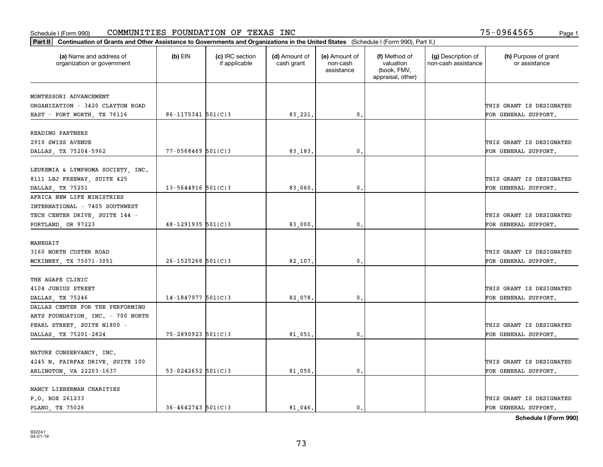|                                                       | Part II   Continuation of Grants and Other Assistance to Governments and Organizations in the United States (Schedule I (Form 990), Part II.) |                                  |                             |                                         |                                                                |                                           |                                       |  |  |
|-------------------------------------------------------|-----------------------------------------------------------------------------------------------------------------------------------------------|----------------------------------|-----------------------------|-----------------------------------------|----------------------------------------------------------------|-------------------------------------------|---------------------------------------|--|--|
| (a) Name and address of<br>organization or government | $(b)$ EIN                                                                                                                                     | (c) IRC section<br>if applicable | (d) Amount of<br>cash grant | (e) Amount of<br>non-cash<br>assistance | (f) Method of<br>valuation<br>(book, FMV,<br>appraisal, other) | (g) Description of<br>non-cash assistance | (h) Purpose of grant<br>or assistance |  |  |
| MONTESSORI ADVANCEMENT                                |                                                                                                                                               |                                  |                             |                                         |                                                                |                                           |                                       |  |  |
| ORGANIZATION - 3420 CLAYTON ROAD                      |                                                                                                                                               |                                  |                             |                                         |                                                                |                                           | THIS GRANT IS DESIGNATED              |  |  |
| EAST - FORT WORTH, TX 76116                           | 86-1175341 501(C)3                                                                                                                            |                                  | 83,221.                     | $\mathfrak{o}$ .                        |                                                                |                                           | FOR GENERAL SUPPORT.                  |  |  |
|                                                       |                                                                                                                                               |                                  |                             |                                         |                                                                |                                           |                                       |  |  |
| READING PARTNERS                                      |                                                                                                                                               |                                  |                             |                                         |                                                                |                                           |                                       |  |  |
| 2910 SWISS AVENUE                                     |                                                                                                                                               |                                  |                             |                                         |                                                                |                                           | THIS GRANT IS DESIGNATED              |  |  |
| DALLAS, TX 75204-5962                                 | $77 - 0568469$ 501(C)3                                                                                                                        |                                  | 83,183                      | 0.                                      |                                                                |                                           | FOR GENERAL SUPPORT.                  |  |  |
|                                                       |                                                                                                                                               |                                  |                             |                                         |                                                                |                                           |                                       |  |  |
| LEUKEMIA & LYMPHOMA SOCIETY, INC.                     |                                                                                                                                               |                                  |                             |                                         |                                                                |                                           |                                       |  |  |
| 8111 LBJ FREEWAY, SUITE 425                           |                                                                                                                                               |                                  |                             |                                         |                                                                |                                           | THIS GRANT IS DESIGNATED              |  |  |
| DALLAS, TX 75251                                      | $13 - 5644916$ 501(C)3                                                                                                                        |                                  | 83,060.                     | $\mathbf{0}$ .                          |                                                                |                                           | FOR GENERAL SUPPORT.                  |  |  |
| AFRICA NEW LIFE MINISTRIES                            |                                                                                                                                               |                                  |                             |                                         |                                                                |                                           |                                       |  |  |
| INTERNATIONAL - 7405 SOUTHWEST                        |                                                                                                                                               |                                  |                             |                                         |                                                                |                                           |                                       |  |  |
| TECH CENTER DRIVE, SUITE 144 -                        |                                                                                                                                               |                                  |                             |                                         |                                                                |                                           | THIS GRANT IS DESIGNATED              |  |  |
| PORTLAND, OR 97223                                    | $48 - 1291935$ 501(C)3                                                                                                                        |                                  | 83,000.                     | 0.                                      |                                                                |                                           | FOR GENERAL SUPPORT.                  |  |  |
|                                                       |                                                                                                                                               |                                  |                             |                                         |                                                                |                                           |                                       |  |  |
| MANEGAIT                                              |                                                                                                                                               |                                  |                             |                                         |                                                                |                                           |                                       |  |  |
| 3160 NORTH CUSTER ROAD                                |                                                                                                                                               |                                  |                             |                                         |                                                                |                                           | THIS GRANT IS DESIGNATED              |  |  |
| MCKINNEY, TX 75071-3051                               | $26 - 1525268$ 501(C)3                                                                                                                        |                                  | 82,107.                     | 0.                                      |                                                                |                                           | FOR GENERAL SUPPORT.                  |  |  |
|                                                       |                                                                                                                                               |                                  |                             |                                         |                                                                |                                           |                                       |  |  |
| THE AGAPE CLINIC                                      |                                                                                                                                               |                                  |                             |                                         |                                                                |                                           |                                       |  |  |
| 4104 JUNIUS STREET                                    |                                                                                                                                               |                                  |                             |                                         |                                                                |                                           | THIS GRANT IS DESIGNATED              |  |  |
| DALLAS, TX 75246                                      | $14-1847977$ 501(C)3                                                                                                                          |                                  | 82,078                      | 0.                                      |                                                                |                                           | FOR GENERAL SUPPORT.                  |  |  |
| DALLAS CENTER FOR THE PERFORMING                      |                                                                                                                                               |                                  |                             |                                         |                                                                |                                           |                                       |  |  |
| ARTS FOUNDATION, INC. - 700 NORTH                     |                                                                                                                                               |                                  |                             |                                         |                                                                |                                           |                                       |  |  |
| PEARL STREET, SUITE N1800 -                           |                                                                                                                                               |                                  |                             |                                         |                                                                |                                           | THIS GRANT IS DESIGNATED              |  |  |
| DALLAS, TX 75201-2824                                 | $75 - 2890923$ 501(C)3                                                                                                                        |                                  | 81,051                      | $\mathbf{0}$ .                          |                                                                |                                           | FOR GENERAL SUPPORT.                  |  |  |
|                                                       |                                                                                                                                               |                                  |                             |                                         |                                                                |                                           |                                       |  |  |
| NATURE CONSERVANCY, INC.                              |                                                                                                                                               |                                  |                             |                                         |                                                                |                                           |                                       |  |  |
| 4245 N. FAIRFAX DRIVE, SUITE 100                      |                                                                                                                                               |                                  |                             |                                         |                                                                |                                           | THIS GRANT IS DESIGNATED              |  |  |
| ARLINGTON, VA 22203-1637                              | 53-0242652 501(C)3                                                                                                                            |                                  | 81,050.                     | 0.                                      |                                                                |                                           | FOR GENERAL SUPPORT.                  |  |  |
|                                                       |                                                                                                                                               |                                  |                             |                                         |                                                                |                                           |                                       |  |  |
| NANCY LIEBERMAN CHARITIES                             |                                                                                                                                               |                                  |                             |                                         |                                                                |                                           |                                       |  |  |
| P.O. BOX 261233                                       |                                                                                                                                               |                                  |                             |                                         |                                                                |                                           | THIS GRANT IS DESIGNATED              |  |  |
| PLANO, TX 75026                                       | $36 - 4642743$ 501(C)3                                                                                                                        |                                  | 81.046.                     | $\mathbf{0}$ .                          |                                                                |                                           | FOR GENERAL SUPPORT.                  |  |  |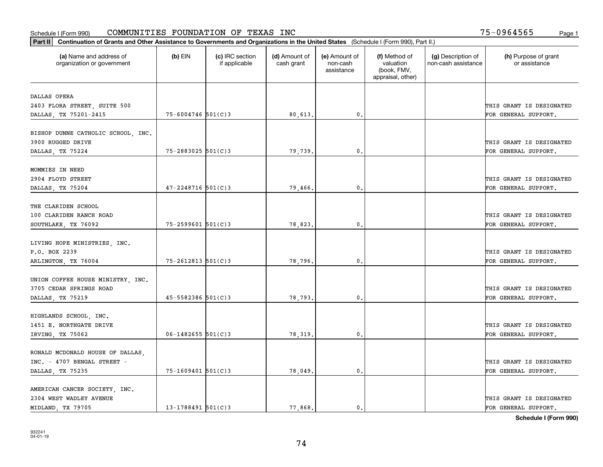|                                                       | Part II   Continuation of Grants and Other Assistance to Governments and Organizations in the United States (Schedule I (Form 990), Part II.) |                                  |                             |                                         |                                                                |                                           |                                       |  |  |  |  |
|-------------------------------------------------------|-----------------------------------------------------------------------------------------------------------------------------------------------|----------------------------------|-----------------------------|-----------------------------------------|----------------------------------------------------------------|-------------------------------------------|---------------------------------------|--|--|--|--|
| (a) Name and address of<br>organization or government | $(b)$ EIN                                                                                                                                     | (c) IRC section<br>if applicable | (d) Amount of<br>cash grant | (e) Amount of<br>non-cash<br>assistance | (f) Method of<br>valuation<br>(book, FMV,<br>appraisal, other) | (g) Description of<br>non-cash assistance | (h) Purpose of grant<br>or assistance |  |  |  |  |
| DALLAS OPERA                                          |                                                                                                                                               |                                  |                             |                                         |                                                                |                                           |                                       |  |  |  |  |
| 2403 FLORA STREET, SUITE 500                          |                                                                                                                                               |                                  |                             |                                         |                                                                |                                           | THIS GRANT IS DESIGNATED              |  |  |  |  |
| DALLAS, TX 75201-2415                                 | $75 - 6004746$ 501(C)3                                                                                                                        |                                  | 80,613.                     | $\mathfrak o$ .                         |                                                                |                                           | FOR GENERAL SUPPORT.                  |  |  |  |  |
|                                                       |                                                                                                                                               |                                  |                             |                                         |                                                                |                                           |                                       |  |  |  |  |
| BISHOP DUNNE CATHOLIC SCHOOL, INC.                    |                                                                                                                                               |                                  |                             |                                         |                                                                |                                           |                                       |  |  |  |  |
| 3900 RUGGED DRIVE                                     |                                                                                                                                               |                                  |                             |                                         |                                                                |                                           | THIS GRANT IS DESIGNATED              |  |  |  |  |
| DALLAS, TX 75224                                      | $75 - 2883025$ 501(C)3                                                                                                                        |                                  | 79,739.                     | $\mathfrak{o}$ .                        |                                                                |                                           | FOR GENERAL SUPPORT.                  |  |  |  |  |
|                                                       |                                                                                                                                               |                                  |                             |                                         |                                                                |                                           |                                       |  |  |  |  |
| MOMMIES IN NEED                                       |                                                                                                                                               |                                  |                             |                                         |                                                                |                                           |                                       |  |  |  |  |
| 2904 FLOYD STREET                                     |                                                                                                                                               |                                  |                             |                                         |                                                                |                                           | THIS GRANT IS DESIGNATED              |  |  |  |  |
| DALLAS, TX 75204                                      | $47 - 2248716$ 501(C)3                                                                                                                        |                                  | 79,466.                     | $\mathfrak{o}$ .                        |                                                                |                                           | FOR GENERAL SUPPORT.                  |  |  |  |  |
| THE CLARIDEN SCHOOL                                   |                                                                                                                                               |                                  |                             |                                         |                                                                |                                           |                                       |  |  |  |  |
| 100 CLARIDEN RANCH ROAD                               |                                                                                                                                               |                                  |                             |                                         |                                                                |                                           | THIS GRANT IS DESIGNATED              |  |  |  |  |
| SOUTHLAKE, TX 76092                                   | $75 - 2599601$ 501(C)3                                                                                                                        |                                  | 78,823.                     | 0.                                      |                                                                |                                           | FOR GENERAL SUPPORT.                  |  |  |  |  |
|                                                       |                                                                                                                                               |                                  |                             |                                         |                                                                |                                           |                                       |  |  |  |  |
| LIVING HOPE MINISTRIES, INC.                          |                                                                                                                                               |                                  |                             |                                         |                                                                |                                           |                                       |  |  |  |  |
| P.O. BOX 2239                                         |                                                                                                                                               |                                  |                             |                                         |                                                                |                                           | THIS GRANT IS DESIGNATED              |  |  |  |  |
| ARLINGTON, TX 76004                                   | $75 - 2612813$ 501(C)3                                                                                                                        |                                  | 78,796.                     | 0                                       |                                                                |                                           | FOR GENERAL SUPPORT.                  |  |  |  |  |
|                                                       |                                                                                                                                               |                                  |                             |                                         |                                                                |                                           |                                       |  |  |  |  |
| UNION COFFEE HOUSE MINISTRY, INC.                     |                                                                                                                                               |                                  |                             |                                         |                                                                |                                           |                                       |  |  |  |  |
| 3705 CEDAR SPRINGS ROAD                               |                                                                                                                                               |                                  |                             |                                         |                                                                |                                           | THIS GRANT IS DESIGNATED              |  |  |  |  |
| DALLAS, TX 75219                                      | $45 - 5582386$ 501(C)3                                                                                                                        |                                  | 78,793.                     | $\mathbf{0}$                            |                                                                |                                           | FOR GENERAL SUPPORT.                  |  |  |  |  |
|                                                       |                                                                                                                                               |                                  |                             |                                         |                                                                |                                           |                                       |  |  |  |  |
| HIGHLANDS SCHOOL, INC.                                |                                                                                                                                               |                                  |                             |                                         |                                                                |                                           |                                       |  |  |  |  |
| 1451 E. NORTHGATE DRIVE                               |                                                                                                                                               |                                  |                             |                                         |                                                                |                                           | THIS GRANT IS DESIGNATED              |  |  |  |  |
| IRVING, TX 75062                                      | $06 - 1482655$ 501(C)3                                                                                                                        |                                  | 78,319.                     | $\mathfrak{o}$ .                        |                                                                |                                           | FOR GENERAL SUPPORT.                  |  |  |  |  |
|                                                       |                                                                                                                                               |                                  |                             |                                         |                                                                |                                           |                                       |  |  |  |  |
| RONALD MCDONALD HOUSE OF DALLAS,                      |                                                                                                                                               |                                  |                             |                                         |                                                                |                                           |                                       |  |  |  |  |
| INC. - 4707 BENGAL STREET -                           |                                                                                                                                               |                                  |                             |                                         |                                                                |                                           | THIS GRANT IS DESIGNATED              |  |  |  |  |
| DALLAS, TX 75235                                      | $75 - 1609401$ 501(C)3                                                                                                                        |                                  | 78,049.                     | $\mathfrak{o}$ .                        |                                                                |                                           | FOR GENERAL SUPPORT.                  |  |  |  |  |
| AMERICAN CANCER SOCIETY, INC.                         |                                                                                                                                               |                                  |                             |                                         |                                                                |                                           |                                       |  |  |  |  |
| 2304 WEST WADLEY AVENUE                               |                                                                                                                                               |                                  |                             |                                         |                                                                |                                           | THIS GRANT IS DESIGNATED              |  |  |  |  |
| MIDLAND, TX 79705                                     | $13 - 1788491$ 501(C)3                                                                                                                        |                                  | 77.868.                     | $\mathfrak{o}$ .                        |                                                                |                                           | FOR GENERAL SUPPORT.                  |  |  |  |  |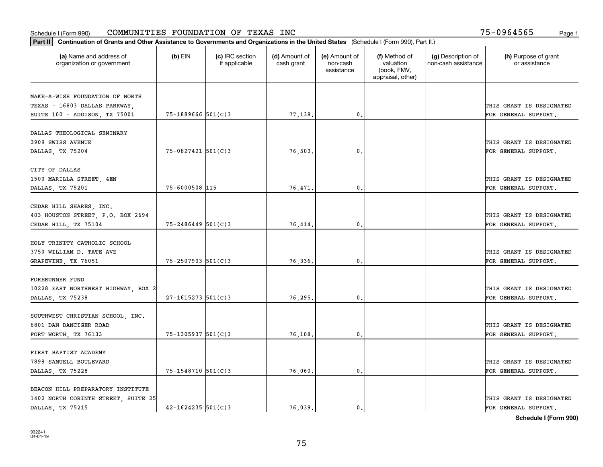| Part II   Continuation of Grants and Other Assistance to Governments and Organizations in the United States (Schedule I (Form 990), Part II.) |                        |                                  |                             |                                         |                                                                |                                           |                                       |
|-----------------------------------------------------------------------------------------------------------------------------------------------|------------------------|----------------------------------|-----------------------------|-----------------------------------------|----------------------------------------------------------------|-------------------------------------------|---------------------------------------|
| (a) Name and address of<br>organization or government                                                                                         | $(b)$ EIN              | (c) IRC section<br>if applicable | (d) Amount of<br>cash grant | (e) Amount of<br>non-cash<br>assistance | (f) Method of<br>valuation<br>(book, FMV,<br>appraisal, other) | (g) Description of<br>non-cash assistance | (h) Purpose of grant<br>or assistance |
| MAKE-A-WISH FOUNDATION OF NORTH                                                                                                               |                        |                                  |                             |                                         |                                                                |                                           |                                       |
| TEXAS - 16803 DALLAS PARKWAY,                                                                                                                 |                        |                                  |                             |                                         |                                                                |                                           | THIS GRANT IS DESIGNATED              |
| SUITE 100 - ADDISON, TX 75001                                                                                                                 | $75 - 1889666$ 501(C)3 |                                  | 77,138.                     | 0.                                      |                                                                |                                           | FOR GENERAL SUPPORT.                  |
|                                                                                                                                               |                        |                                  |                             |                                         |                                                                |                                           |                                       |
| DALLAS THEOLOGICAL SEMINARY                                                                                                                   |                        |                                  |                             |                                         |                                                                |                                           |                                       |
| 3909 SWISS AVENUE                                                                                                                             |                        |                                  |                             |                                         |                                                                |                                           | THIS GRANT IS DESIGNATED              |
| DALLAS, TX 75204                                                                                                                              | 75-0827421 501(C)3     |                                  | 76,503.                     | $\mathbf{0}$                            |                                                                |                                           | FOR GENERAL SUPPORT.                  |
|                                                                                                                                               |                        |                                  |                             |                                         |                                                                |                                           |                                       |
| CITY OF DALLAS                                                                                                                                |                        |                                  |                             |                                         |                                                                |                                           |                                       |
| 1500 MARILLA STREET, 4EN                                                                                                                      |                        |                                  |                             |                                         |                                                                |                                           | THIS GRANT IS DESIGNATED              |
| DALLAS, TX 75201                                                                                                                              | 75-6000508 115         |                                  | 76,471.                     | $\mathbf{0}$ .                          |                                                                |                                           | FOR GENERAL SUPPORT.                  |
| CEDAR HILL SHARES, INC.                                                                                                                       |                        |                                  |                             |                                         |                                                                |                                           |                                       |
| 403 HOUSTON STREET, P.O. BOX 2694                                                                                                             |                        |                                  |                             |                                         |                                                                |                                           | THIS GRANT IS DESIGNATED              |
| CEDAR HILL, TX 75104                                                                                                                          | $75 - 2486449$ 501(C)3 |                                  | 76,414.                     | $\mathbf{0}$                            |                                                                |                                           | FOR GENERAL SUPPORT.                  |
|                                                                                                                                               |                        |                                  |                             |                                         |                                                                |                                           |                                       |
| HOLY TRINITY CATHOLIC SCHOOL                                                                                                                  |                        |                                  |                             |                                         |                                                                |                                           |                                       |
| 3750 WILLIAM D. TATE AVE                                                                                                                      |                        |                                  |                             |                                         |                                                                |                                           | THIS GRANT IS DESIGNATED              |
| GRAPEVINE, TX 76051                                                                                                                           | $75 - 2507903$ 501(C)3 |                                  | 76,336.                     | $\mathbf{0}$                            |                                                                |                                           | FOR GENERAL SUPPORT.                  |
|                                                                                                                                               |                        |                                  |                             |                                         |                                                                |                                           |                                       |
| FORERUNNER FUND                                                                                                                               |                        |                                  |                             |                                         |                                                                |                                           |                                       |
| 10228 EAST NORTHWEST HIGHWAY, BOX 2                                                                                                           |                        |                                  |                             |                                         |                                                                |                                           | THIS GRANT IS DESIGNATED              |
| DALLAS, TX 75238                                                                                                                              | $27 - 1615273$ 501(C)3 |                                  | 76,295.                     | $\mathbf{0}$                            |                                                                |                                           | FOR GENERAL SUPPORT.                  |
|                                                                                                                                               |                        |                                  |                             |                                         |                                                                |                                           |                                       |
| SOUTHWEST CHRISTIAN SCHOOL, INC.                                                                                                              |                        |                                  |                             |                                         |                                                                |                                           |                                       |
| 6801 DAN DANCIGER ROAD                                                                                                                        |                        |                                  |                             |                                         |                                                                |                                           | THIS GRANT IS DESIGNATED              |
| FORT WORTH, TX 76133                                                                                                                          | 75-1305937 501(C)3     |                                  | 76,108.                     | $^{\rm 0}$ .                            |                                                                |                                           | FOR GENERAL SUPPORT.                  |
|                                                                                                                                               |                        |                                  |                             |                                         |                                                                |                                           |                                       |
| FIRST BAPTIST ACADEMY                                                                                                                         |                        |                                  |                             |                                         |                                                                |                                           |                                       |
| 7898 SAMUELL BOULEVARD                                                                                                                        |                        |                                  |                             |                                         |                                                                |                                           | THIS GRANT IS DESIGNATED              |
| DALLAS, TX 75228                                                                                                                              | 75-1548710 501(C)3     |                                  | 76,060.                     | $^{\circ}$ .                            |                                                                |                                           | FOR GENERAL SUPPORT.                  |
| BEACON HILL PREPARATORY INSTITUTE                                                                                                             |                        |                                  |                             |                                         |                                                                |                                           |                                       |
| 1402 NORTH CORINTH STREET, SUITE 25                                                                                                           |                        |                                  |                             |                                         |                                                                |                                           | THIS GRANT IS DESIGNATED              |
| DALLAS, TX 75215                                                                                                                              | $42 - 1624235$ 501(C)3 |                                  | 76.039.                     | $\mathbf{0}$ .                          |                                                                |                                           | FOR GENERAL SUPPORT.                  |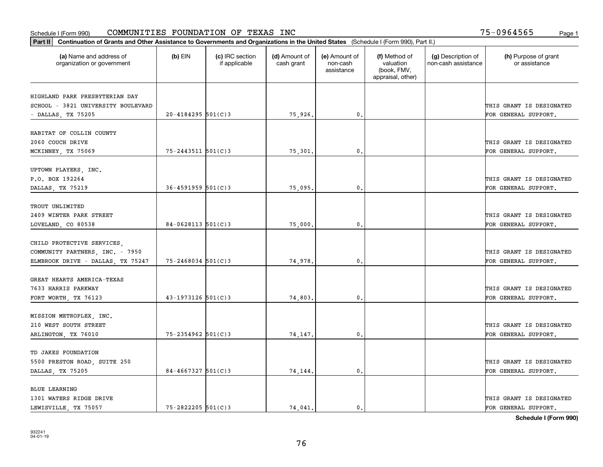| (a) Name and address of<br>organization or government | $(b)$ EIN               | (c) IRC section<br>if applicable | (d) Amount of<br>cash grant | (e) Amount of<br>non-cash<br>assistance | (f) Method of<br>valuation<br>(book, FMV,<br>appraisal, other) | (g) Description of<br>non-cash assistance | (h) Purpose of grant<br>or assistance |
|-------------------------------------------------------|-------------------------|----------------------------------|-----------------------------|-----------------------------------------|----------------------------------------------------------------|-------------------------------------------|---------------------------------------|
|                                                       |                         |                                  |                             |                                         |                                                                |                                           |                                       |
| HIGHLAND PARK PRESBYTERIAN DAY                        |                         |                                  |                             |                                         |                                                                |                                           |                                       |
| SCHOOL - 3821 UNIVERSITY BOULEVARD                    |                         |                                  |                             |                                         |                                                                |                                           | THIS GRANT IS DESIGNATED              |
| - DALLAS, TX 75205                                    | $20 - 4184295$ 501(C)3  |                                  | 75,926.                     | 0.                                      |                                                                |                                           | FOR GENERAL SUPPORT.                  |
| HABITAT OF COLLIN COUNTY                              |                         |                                  |                             |                                         |                                                                |                                           |                                       |
| 2060 COUCH DRIVE                                      |                         |                                  |                             |                                         |                                                                |                                           | THIS GRANT IS DESIGNATED              |
| MCKINNEY, TX 75069                                    | $75 - 2443511$ 501(C)3  |                                  | 75,301                      | 0.                                      |                                                                |                                           | FOR GENERAL SUPPORT.                  |
|                                                       |                         |                                  |                             |                                         |                                                                |                                           |                                       |
| UPTOWN PLAYERS, INC.                                  |                         |                                  |                             |                                         |                                                                |                                           |                                       |
| P.O. BOX 192264                                       |                         |                                  |                             |                                         |                                                                |                                           | THIS GRANT IS DESIGNATED              |
| DALLAS, TX 75219                                      | $36 - 4591959$ 501(C) 3 |                                  | 75,095.                     | $\mathfrak{o}$ .                        |                                                                |                                           | FOR GENERAL SUPPORT.                  |
|                                                       |                         |                                  |                             |                                         |                                                                |                                           |                                       |
| TROUT UNLIMITED                                       |                         |                                  |                             |                                         |                                                                |                                           |                                       |
| 2409 WINTER PARK STREET                               |                         |                                  |                             |                                         |                                                                |                                           | THIS GRANT IS DESIGNATED              |
| LOVELAND, CO 80538                                    | $84 - 0628113$ 501(C)3  |                                  | 75,000.                     | 0.                                      |                                                                |                                           | FOR GENERAL SUPPORT.                  |
|                                                       |                         |                                  |                             |                                         |                                                                |                                           |                                       |
| CHILD PROTECTIVE SERVICES,                            |                         |                                  |                             |                                         |                                                                |                                           |                                       |
| COMMUNITY PARTNERS, INC. - 7950                       |                         |                                  |                             |                                         |                                                                |                                           | THIS GRANT IS DESIGNATED              |
| ELMBROOK DRIVE - DALLAS, TX 75247                     | $75 - 2468034$ 501(C)3  |                                  | 74,978.                     | $\mathfrak o$ .                         |                                                                |                                           | FOR GENERAL SUPPORT.                  |
| GREAT HEARTS AMERICA-TEXAS                            |                         |                                  |                             |                                         |                                                                |                                           |                                       |
| 7633 HARRIS PARKWAY                                   |                         |                                  |                             |                                         |                                                                |                                           | THIS GRANT IS DESIGNATED              |
| FORT WORTH, TX 76123                                  | $43 - 1973126$ 501(C)3  |                                  | 74,803.                     | $\mathbf{0}$ .                          |                                                                |                                           | FOR GENERAL SUPPORT.                  |
|                                                       |                         |                                  |                             |                                         |                                                                |                                           |                                       |
| MISSION METROPLEX, INC.                               |                         |                                  |                             |                                         |                                                                |                                           |                                       |
| 210 WEST SOUTH STREET                                 |                         |                                  |                             |                                         |                                                                |                                           | THIS GRANT IS DESIGNATED              |
| ARLINGTON, TX 76010                                   | $75 - 2354962$ 501(C)3  |                                  | 74,147.                     | $^{\circ}$ .                            |                                                                |                                           | FOR GENERAL SUPPORT.                  |
|                                                       |                         |                                  |                             |                                         |                                                                |                                           |                                       |
| TD JAKES FOUNDATION                                   |                         |                                  |                             |                                         |                                                                |                                           |                                       |
| 5500 PRESTON ROAD, SUITE 250                          |                         |                                  |                             |                                         |                                                                |                                           | THIS GRANT IS DESIGNATED              |
| DALLAS, TX 75205                                      | $84 - 4667327$ 501(C)3  |                                  | 74,144.                     | $\mathbf{0}$                            |                                                                |                                           | FOR GENERAL SUPPORT.                  |
|                                                       |                         |                                  |                             |                                         |                                                                |                                           |                                       |
| <b>BLUE LEARNING</b>                                  |                         |                                  |                             |                                         |                                                                |                                           |                                       |
| 1301 WATERS RIDGE DRIVE                               |                         |                                  |                             |                                         |                                                                |                                           | THIS GRANT IS DESIGNATED              |
| LEWISVILLE, TX 75057                                  | $75 - 2822205$ 501(C)3  |                                  | 74.041.                     | $\mathbf{0}$ .                          |                                                                |                                           | FOR GENERAL SUPPORT.                  |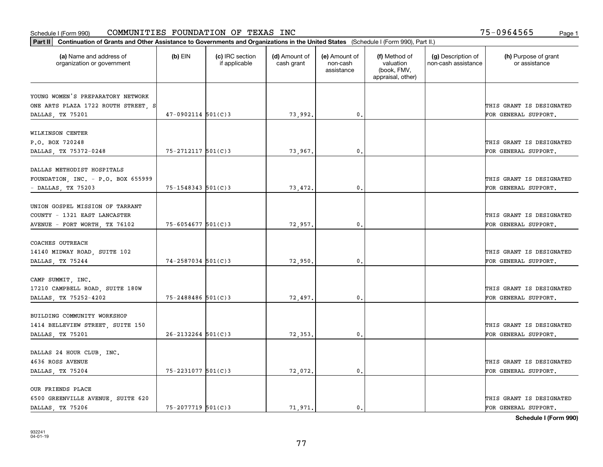| Part II   Continuation of Grants and Other Assistance to Governments and Organizations in the United States (Schedule I (Form 990), Part II.) |                        |                                  |                             |                                         |                                                                |                                           |                                       |
|-----------------------------------------------------------------------------------------------------------------------------------------------|------------------------|----------------------------------|-----------------------------|-----------------------------------------|----------------------------------------------------------------|-------------------------------------------|---------------------------------------|
| (a) Name and address of<br>organization or government                                                                                         | $(b)$ EIN              | (c) IRC section<br>if applicable | (d) Amount of<br>cash grant | (e) Amount of<br>non-cash<br>assistance | (f) Method of<br>valuation<br>(book, FMV,<br>appraisal, other) | (g) Description of<br>non-cash assistance | (h) Purpose of grant<br>or assistance |
|                                                                                                                                               |                        |                                  |                             |                                         |                                                                |                                           |                                       |
| YOUNG WOMEN'S PREPARATORY NETWORK<br>ONE ARTS PLAZA 1722 ROUTH STREET, S                                                                      |                        |                                  |                             |                                         |                                                                |                                           | THIS GRANT IS DESIGNATED              |
| DALLAS, TX 75201                                                                                                                              | $47-0902114$ 501(C)3   |                                  | 73,992.                     | 0.                                      |                                                                |                                           | FOR GENERAL SUPPORT.                  |
|                                                                                                                                               |                        |                                  |                             |                                         |                                                                |                                           |                                       |
| WILKINSON CENTER                                                                                                                              |                        |                                  |                             |                                         |                                                                |                                           |                                       |
| P.O. BOX 720248                                                                                                                               |                        |                                  |                             |                                         |                                                                |                                           | THIS GRANT IS DESIGNATED              |
| DALLAS, TX 75372-0248                                                                                                                         | $75 - 2712117$ 501(C)3 |                                  | 73,967.                     | 0.                                      |                                                                |                                           | FOR GENERAL SUPPORT.                  |
|                                                                                                                                               |                        |                                  |                             |                                         |                                                                |                                           |                                       |
| DALLAS METHODIST HOSPITALS                                                                                                                    |                        |                                  |                             |                                         |                                                                |                                           |                                       |
| FOUNDATION, INC. - P.O. BOX 655999                                                                                                            |                        |                                  |                             |                                         |                                                                |                                           | THIS GRANT IS DESIGNATED              |
| - DALLAS, TX 75203                                                                                                                            | 75-1548343 501(C)3     |                                  | 73,472.                     | $^{\rm 0}$ .                            |                                                                |                                           | FOR GENERAL SUPPORT.                  |
|                                                                                                                                               |                        |                                  |                             |                                         |                                                                |                                           |                                       |
| UNION GOSPEL MISSION OF TARRANT                                                                                                               |                        |                                  |                             |                                         |                                                                |                                           |                                       |
| COUNTY - 1321 EAST LANCASTER                                                                                                                  |                        |                                  |                             |                                         |                                                                |                                           | THIS GRANT IS DESIGNATED              |
| AVENUE - FORT WORTH, TX 76102                                                                                                                 | 75-6054677 501(C)3     |                                  | 72,957.                     | $\mathbf{0}$                            |                                                                |                                           | FOR GENERAL SUPPORT.                  |
|                                                                                                                                               |                        |                                  |                             |                                         |                                                                |                                           |                                       |
| COACHES OUTREACH                                                                                                                              |                        |                                  |                             |                                         |                                                                |                                           |                                       |
| 14140 MIDWAY ROAD, SUITE 102                                                                                                                  |                        |                                  |                             |                                         |                                                                |                                           | THIS GRANT IS DESIGNATED              |
| DALLAS, TX 75244                                                                                                                              | 74-2587034 501(C)3     |                                  | 72,950                      | 0.                                      |                                                                |                                           | FOR GENERAL SUPPORT.                  |
|                                                                                                                                               |                        |                                  |                             |                                         |                                                                |                                           |                                       |
| CAMP SUMMIT, INC.                                                                                                                             |                        |                                  |                             |                                         |                                                                |                                           | THIS GRANT IS DESIGNATED              |
| 17210 CAMPBELL ROAD, SUITE 180W                                                                                                               | $75 - 2488486$ 501(C)3 |                                  |                             | $\mathbf{0}$                            |                                                                |                                           |                                       |
| DALLAS, TX 75252-4202                                                                                                                         |                        |                                  | 72,497.                     |                                         |                                                                |                                           | FOR GENERAL SUPPORT.                  |
| BUILDING COMMUNITY WORKSHOP                                                                                                                   |                        |                                  |                             |                                         |                                                                |                                           |                                       |
| 1414 BELLEVIEW STREET, SUITE 150                                                                                                              |                        |                                  |                             |                                         |                                                                |                                           | THIS GRANT IS DESIGNATED              |
| DALLAS, TX 75201                                                                                                                              | $26 - 2132264$ 501(C)3 |                                  | 72,353.                     | $^{\rm 0}$ .                            |                                                                |                                           | FOR GENERAL SUPPORT.                  |
|                                                                                                                                               |                        |                                  |                             |                                         |                                                                |                                           |                                       |
| DALLAS 24 HOUR CLUB, INC.                                                                                                                     |                        |                                  |                             |                                         |                                                                |                                           |                                       |
| 4636 ROSS AVENUE                                                                                                                              |                        |                                  |                             |                                         |                                                                |                                           | THIS GRANT IS DESIGNATED              |
| DALLAS, TX 75204                                                                                                                              | 75-2231077 501(C)3     |                                  | 72,072.                     | $^{\circ}$ .                            |                                                                |                                           | FOR GENERAL SUPPORT.                  |
|                                                                                                                                               |                        |                                  |                             |                                         |                                                                |                                           |                                       |
| OUR FRIENDS PLACE                                                                                                                             |                        |                                  |                             |                                         |                                                                |                                           |                                       |
| 6500 GREENVILLE AVENUE, SUITE 620                                                                                                             |                        |                                  |                             |                                         |                                                                |                                           | THIS GRANT IS DESIGNATED              |
| DALLAS, TX 75206                                                                                                                              | $75 - 2077719$ 501(C)3 |                                  | 71.971.                     | $\mathbf{0}$ .                          |                                                                |                                           | FOR GENERAL SUPPORT.                  |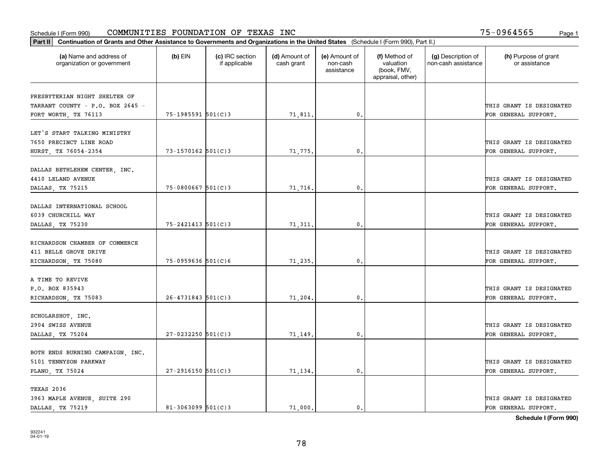#### Schedule I (Form 990) Page 1 COMMUNITIES FOUNDATION OF TEXAS INC 75-0964565

| Part II   Continuation of Grants and Other Assistance to Governments and Organizations in the United States (Schedule I (Form 990), Part II.) |                        |                                  |                             |                                         |                                                                |                                           |                                       |
|-----------------------------------------------------------------------------------------------------------------------------------------------|------------------------|----------------------------------|-----------------------------|-----------------------------------------|----------------------------------------------------------------|-------------------------------------------|---------------------------------------|
| (a) Name and address of<br>organization or government                                                                                         | $(b)$ EIN              | (c) IRC section<br>if applicable | (d) Amount of<br>cash grant | (e) Amount of<br>non-cash<br>assistance | (f) Method of<br>valuation<br>(book, FMV,<br>appraisal, other) | (g) Description of<br>non-cash assistance | (h) Purpose of grant<br>or assistance |
|                                                                                                                                               |                        |                                  |                             |                                         |                                                                |                                           |                                       |
| PRESBYTERIAN NIGHT SHELTER OF<br>TARRANT COUNTY - P.O. BOX 2645 -                                                                             |                        |                                  |                             |                                         |                                                                |                                           | THIS GRANT IS DESIGNATED              |
| FORT WORTH, TX 76113                                                                                                                          | 75-1985591 501(C)3     |                                  | 71,811.                     | 0.                                      |                                                                |                                           | FOR GENERAL SUPPORT.                  |
|                                                                                                                                               |                        |                                  |                             |                                         |                                                                |                                           |                                       |
| LET'S START TALKING MINISTRY                                                                                                                  |                        |                                  |                             |                                         |                                                                |                                           |                                       |
| 7650 PRECINCT LINE ROAD                                                                                                                       |                        |                                  |                             |                                         |                                                                |                                           | THIS GRANT IS DESIGNATED              |
| HURST, TX 76054-2354                                                                                                                          | $73 - 1570162$ 501(C)3 |                                  | 71,775.                     | 0.                                      |                                                                |                                           | FOR GENERAL SUPPORT.                  |
|                                                                                                                                               |                        |                                  |                             |                                         |                                                                |                                           |                                       |
| DALLAS BETHLEHEM CENTER, INC.                                                                                                                 |                        |                                  |                             |                                         |                                                                |                                           |                                       |
| 4410 LELAND AVENUE                                                                                                                            |                        |                                  |                             |                                         |                                                                |                                           | THIS GRANT IS DESIGNATED              |
| DALLAS, TX 75215                                                                                                                              | $75 - 0800667$ 501(C)3 |                                  | 71,716.                     | $\mathbf{0}$ .                          |                                                                |                                           | FOR GENERAL SUPPORT.                  |
|                                                                                                                                               |                        |                                  |                             |                                         |                                                                |                                           |                                       |
| DALLAS INTERNATIONAL SCHOOL                                                                                                                   |                        |                                  |                             |                                         |                                                                |                                           |                                       |
| 6039 CHURCHILL WAY                                                                                                                            |                        |                                  |                             |                                         |                                                                |                                           | THIS GRANT IS DESIGNATED              |
| DALLAS, TX 75230                                                                                                                              | $75 - 2421413$ 501(C)3 |                                  | 71,311.                     | 0.                                      |                                                                |                                           | FOR GENERAL SUPPORT.                  |
|                                                                                                                                               |                        |                                  |                             |                                         |                                                                |                                           |                                       |
| RICHARDSON CHAMBER OF COMMERCE                                                                                                                |                        |                                  |                             |                                         |                                                                |                                           |                                       |
| 411 BELLE GROVE DRIVE                                                                                                                         |                        |                                  |                             |                                         |                                                                |                                           | THIS GRANT IS DESIGNATED              |
| RICHARDSON, TX 75080                                                                                                                          | $75 - 0959636$ 501(C)6 |                                  | 71,235.                     | 0.                                      |                                                                |                                           | FOR GENERAL SUPPORT.                  |
|                                                                                                                                               |                        |                                  |                             |                                         |                                                                |                                           |                                       |
| A TIME TO REVIVE<br>P.O. BOX 835943                                                                                                           |                        |                                  |                             |                                         |                                                                |                                           | THIS GRANT IS DESIGNATED              |
|                                                                                                                                               | $26 - 4731843$ 501(C)3 |                                  | 71,204.                     | 0.                                      |                                                                |                                           | FOR GENERAL SUPPORT.                  |
| RICHARDSON, TX 75083                                                                                                                          |                        |                                  |                             |                                         |                                                                |                                           |                                       |
| SCHOLARSHOT, INC.                                                                                                                             |                        |                                  |                             |                                         |                                                                |                                           |                                       |
| 2904 SWISS AVENUE                                                                                                                             |                        |                                  |                             |                                         |                                                                |                                           | THIS GRANT IS DESIGNATED              |
| DALLAS, TX 75204                                                                                                                              | $27 - 0232250$ 501(C)3 |                                  | 71,149                      | 0.                                      |                                                                |                                           | FOR GENERAL SUPPORT.                  |
|                                                                                                                                               |                        |                                  |                             |                                         |                                                                |                                           |                                       |
| BOTH ENDS BURNING CAMPAIGN, INC.                                                                                                              |                        |                                  |                             |                                         |                                                                |                                           |                                       |
| 5101 TENNYSON PARKWAY                                                                                                                         |                        |                                  |                             |                                         |                                                                |                                           | THIS GRANT IS DESIGNATED              |
| PLANO, TX 75024                                                                                                                               | $27 - 2916150$ 501(C)3 |                                  | 71,134.                     | 0.                                      |                                                                |                                           | FOR GENERAL SUPPORT.                  |
|                                                                                                                                               |                        |                                  |                             |                                         |                                                                |                                           |                                       |
| TEXAS 2036                                                                                                                                    |                        |                                  |                             |                                         |                                                                |                                           |                                       |
| 3963 MAPLE AVENUE, SUITE 290                                                                                                                  |                        |                                  |                             |                                         |                                                                |                                           | THIS GRANT IS DESIGNATED              |
| DALLAS, TX 75219                                                                                                                              | $81 - 3063099$ 501(C)3 |                                  | 71,000.                     | 0.                                      |                                                                |                                           | FOR GENERAL SUPPORT.                  |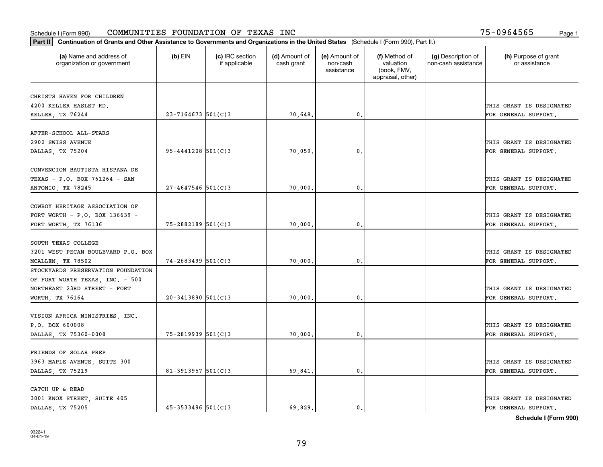| Part II   Continuation of Grants and Other Assistance to Governments and Organizations in the United States (Schedule I (Form 990), Part II.) |                        |                                  |                             |                                         |                                                                |                                           |                                       |
|-----------------------------------------------------------------------------------------------------------------------------------------------|------------------------|----------------------------------|-----------------------------|-----------------------------------------|----------------------------------------------------------------|-------------------------------------------|---------------------------------------|
| (a) Name and address of<br>organization or government                                                                                         | $(b)$ EIN              | (c) IRC section<br>if applicable | (d) Amount of<br>cash grant | (e) Amount of<br>non-cash<br>assistance | (f) Method of<br>valuation<br>(book, FMV,<br>appraisal, other) | (g) Description of<br>non-cash assistance | (h) Purpose of grant<br>or assistance |
| CHRISTS HAVEN FOR CHILDREN                                                                                                                    |                        |                                  |                             |                                         |                                                                |                                           |                                       |
| 4200 KELLER HASLET RD.                                                                                                                        |                        |                                  |                             |                                         |                                                                |                                           | THIS GRANT IS DESIGNATED              |
| KELLER, TX 76244                                                                                                                              | $23 - 7164673$ 501(C)3 |                                  | 70,648.                     | 0.                                      |                                                                |                                           | FOR GENERAL SUPPORT.                  |
|                                                                                                                                               |                        |                                  |                             |                                         |                                                                |                                           |                                       |
| AFTER-SCHOOL ALL-STARS                                                                                                                        |                        |                                  |                             |                                         |                                                                |                                           |                                       |
| 2902 SWISS AVENUE                                                                                                                             |                        |                                  |                             |                                         |                                                                |                                           | THIS GRANT IS DESIGNATED              |
| DALLAS, TX 75204                                                                                                                              | $95 - 4441208$ 501(C)3 |                                  | 70,059.                     | 0.                                      |                                                                |                                           | FOR GENERAL SUPPORT.                  |
|                                                                                                                                               |                        |                                  |                             |                                         |                                                                |                                           |                                       |
| CONVENCION BAUTISTA HISPANA DE                                                                                                                |                        |                                  |                             |                                         |                                                                |                                           |                                       |
| TEXAS - P.O. BOX 761264 - SAN                                                                                                                 |                        |                                  |                             |                                         |                                                                |                                           | THIS GRANT IS DESIGNATED              |
| ANTONIO, TX 78245                                                                                                                             | $27 - 4647546$ 501(C)3 |                                  | 70,000.                     | $\mathbf{0}$ .                          |                                                                |                                           | FOR GENERAL SUPPORT.                  |
| COWBOY HERITAGE ASSOCIATION OF                                                                                                                |                        |                                  |                             |                                         |                                                                |                                           |                                       |
| FORT WORTH - P.O. BOX 136639 -                                                                                                                |                        |                                  |                             |                                         |                                                                |                                           | THIS GRANT IS DESIGNATED              |
| FORT WORTH, TX 76136                                                                                                                          | 75-2882189 501(C)3     |                                  | 70,000.                     | 0.                                      |                                                                |                                           | FOR GENERAL SUPPORT.                  |
|                                                                                                                                               |                        |                                  |                             |                                         |                                                                |                                           |                                       |
| SOUTH TEXAS COLLEGE                                                                                                                           |                        |                                  |                             |                                         |                                                                |                                           |                                       |
| 3201 WEST PECAN BOULEVARD P.O. BOX                                                                                                            |                        |                                  |                             |                                         |                                                                |                                           | THIS GRANT IS DESIGNATED              |
| MCALLEN, TX 78502                                                                                                                             | $74 - 2683499$ 501(C)3 |                                  | 70,000.                     | 0.                                      |                                                                |                                           | FOR GENERAL SUPPORT.                  |
| STOCKYARDS PRESERVATION FOUNDATION                                                                                                            |                        |                                  |                             |                                         |                                                                |                                           |                                       |
| OF FORT WORTH TEXAS, INC. - 500                                                                                                               |                        |                                  |                             |                                         |                                                                |                                           |                                       |
| NORTHEAST 23RD STREET - FORT                                                                                                                  |                        |                                  |                             |                                         |                                                                |                                           | THIS GRANT IS DESIGNATED              |
| WORTH, TX 76164                                                                                                                               | $20 - 3413890$ 501(C)3 |                                  | 70,000.                     | 0.                                      |                                                                |                                           | FOR GENERAL SUPPORT.                  |
|                                                                                                                                               |                        |                                  |                             |                                         |                                                                |                                           |                                       |
| VISION AFRICA MINISTRIES, INC.                                                                                                                |                        |                                  |                             |                                         |                                                                |                                           |                                       |
| P.O. BOX 600008                                                                                                                               |                        |                                  |                             |                                         |                                                                |                                           | THIS GRANT IS DESIGNATED              |
| DALLAS, TX 75360-0008                                                                                                                         | 75-2819939 501(C)3     |                                  | 70,000.                     | $\mathfrak{o}$ .                        |                                                                |                                           | FOR GENERAL SUPPORT.                  |
|                                                                                                                                               |                        |                                  |                             |                                         |                                                                |                                           |                                       |
| FRIENDS OF SOLAR PREP                                                                                                                         |                        |                                  |                             |                                         |                                                                |                                           |                                       |
| 3963 MAPLE AVENUE, SUITE 300                                                                                                                  |                        |                                  |                             |                                         |                                                                |                                           | THIS GRANT IS DESIGNATED              |
| DALLAS, TX 75219                                                                                                                              | 81-3913957 $501(C)$ 3  |                                  | 69,841.                     | $\mathfrak o$ .                         |                                                                |                                           | FOR GENERAL SUPPORT.                  |
| CATCH UP & READ                                                                                                                               |                        |                                  |                             |                                         |                                                                |                                           |                                       |
| 3001 KNOX STREET, SUITE 405                                                                                                                   |                        |                                  |                             |                                         |                                                                |                                           | THIS GRANT IS DESIGNATED              |
| DALLAS, TX 75205                                                                                                                              | $45 - 3533496$ 501(C)3 |                                  | 69.829.                     | $\mathbf{0}$ .                          |                                                                |                                           | FOR GENERAL SUPPORT.                  |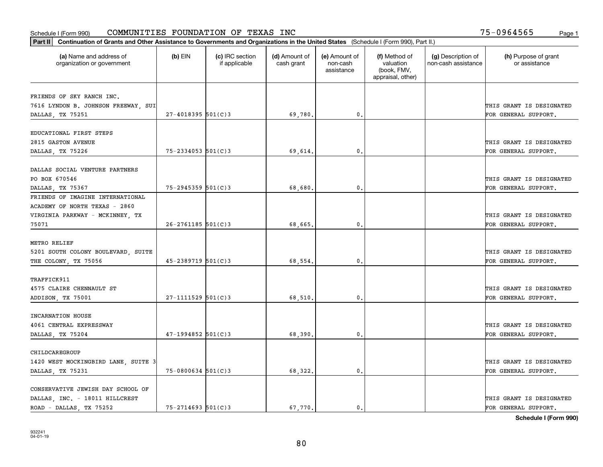|                                                       | Part II   Continuation of Grants and Other Assistance to Governments and Organizations in the United States (Schedule I (Form 990), Part II.) |                                  |                             |                                         |                                                                |                                           |                                       |  |  |  |  |
|-------------------------------------------------------|-----------------------------------------------------------------------------------------------------------------------------------------------|----------------------------------|-----------------------------|-----------------------------------------|----------------------------------------------------------------|-------------------------------------------|---------------------------------------|--|--|--|--|
| (a) Name and address of<br>organization or government | $(b)$ EIN                                                                                                                                     | (c) IRC section<br>if applicable | (d) Amount of<br>cash grant | (e) Amount of<br>non-cash<br>assistance | (f) Method of<br>valuation<br>(book, FMV,<br>appraisal, other) | (g) Description of<br>non-cash assistance | (h) Purpose of grant<br>or assistance |  |  |  |  |
| FRIENDS OF SKY RANCH INC.                             |                                                                                                                                               |                                  |                             |                                         |                                                                |                                           |                                       |  |  |  |  |
| 7616 LYNDON B. JOHNSON FREEWAY, SUI                   |                                                                                                                                               |                                  |                             |                                         |                                                                |                                           | THIS GRANT IS DESIGNATED              |  |  |  |  |
| DALLAS, TX 75251                                      | $27 - 4018395$ 501(C)3                                                                                                                        |                                  | 69,780.                     | $\mathbf{0}$ .                          |                                                                |                                           | FOR GENERAL SUPPORT.                  |  |  |  |  |
|                                                       |                                                                                                                                               |                                  |                             |                                         |                                                                |                                           |                                       |  |  |  |  |
| EDUCATIONAL FIRST STEPS                               |                                                                                                                                               |                                  |                             |                                         |                                                                |                                           |                                       |  |  |  |  |
| 2815 GASTON AVENUE                                    |                                                                                                                                               |                                  |                             |                                         |                                                                |                                           | THIS GRANT IS DESIGNATED              |  |  |  |  |
| DALLAS, TX 75226                                      | $75 - 2334053$ 501(C)3                                                                                                                        |                                  | 69.614.                     | 0.                                      |                                                                |                                           | FOR GENERAL SUPPORT.                  |  |  |  |  |
|                                                       |                                                                                                                                               |                                  |                             |                                         |                                                                |                                           |                                       |  |  |  |  |
| DALLAS SOCIAL VENTURE PARTNERS                        |                                                                                                                                               |                                  |                             |                                         |                                                                |                                           |                                       |  |  |  |  |
| PO BOX 670546                                         |                                                                                                                                               |                                  |                             |                                         |                                                                |                                           | THIS GRANT IS DESIGNATED              |  |  |  |  |
| DALLAS, TX 75367<br>FRIENDS OF IMAGINE INTERNATIONAL  | $75 - 2945359$ 501(C)3                                                                                                                        |                                  | 68,680,                     | $\mathfrak{o}$ .                        |                                                                |                                           | FOR GENERAL SUPPORT.                  |  |  |  |  |
| ACADEMY OF NORTH TEXAS - 2860                         |                                                                                                                                               |                                  |                             |                                         |                                                                |                                           |                                       |  |  |  |  |
| VIRGINIA PARKWAY - MCKINNEY, TX                       |                                                                                                                                               |                                  |                             |                                         |                                                                |                                           | THIS GRANT IS DESIGNATED              |  |  |  |  |
| 75071                                                 | $26 - 2761185$ 501(C)3                                                                                                                        |                                  | 68,665.                     | $\mathbf{0}$                            |                                                                |                                           | FOR GENERAL SUPPORT.                  |  |  |  |  |
|                                                       |                                                                                                                                               |                                  |                             |                                         |                                                                |                                           |                                       |  |  |  |  |
| METRO RELIEF                                          |                                                                                                                                               |                                  |                             |                                         |                                                                |                                           |                                       |  |  |  |  |
| 5201 SOUTH COLONY BOULEVARD, SUITE                    |                                                                                                                                               |                                  |                             |                                         |                                                                |                                           | THIS GRANT IS DESIGNATED              |  |  |  |  |
| THE COLONY, TX 75056                                  | $45 - 2389719$ 501(C)3                                                                                                                        |                                  | 68,554.                     | $\mathbf{0}$                            |                                                                |                                           | FOR GENERAL SUPPORT.                  |  |  |  |  |
|                                                       |                                                                                                                                               |                                  |                             |                                         |                                                                |                                           |                                       |  |  |  |  |
| TRAFFICK911                                           |                                                                                                                                               |                                  |                             |                                         |                                                                |                                           |                                       |  |  |  |  |
| 4575 CLAIRE CHENNAULT ST                              |                                                                                                                                               |                                  |                             |                                         |                                                                |                                           | THIS GRANT IS DESIGNATED              |  |  |  |  |
| ADDISON, TX 75001                                     | $27 - 1111529$ 501(C)3                                                                                                                        |                                  | 68,510.                     | $\mathbf{0}$ .                          |                                                                |                                           | FOR GENERAL SUPPORT.                  |  |  |  |  |
|                                                       |                                                                                                                                               |                                  |                             |                                         |                                                                |                                           |                                       |  |  |  |  |
| INCARNATION HOUSE<br>4061 CENTRAL EXPRESSWAY          |                                                                                                                                               |                                  |                             |                                         |                                                                |                                           | THIS GRANT IS DESIGNATED              |  |  |  |  |
| DALLAS, TX 75204                                      | $47-1994852$ 501(C)3                                                                                                                          |                                  | 68,390.                     | $^{\circ}$ .                            |                                                                |                                           | FOR GENERAL SUPPORT.                  |  |  |  |  |
|                                                       |                                                                                                                                               |                                  |                             |                                         |                                                                |                                           |                                       |  |  |  |  |
| CHILDCAREGROUP                                        |                                                                                                                                               |                                  |                             |                                         |                                                                |                                           |                                       |  |  |  |  |
| 1420 WEST MOCKINGBIRD LANE, SUITE 3                   |                                                                                                                                               |                                  |                             |                                         |                                                                |                                           | THIS GRANT IS DESIGNATED              |  |  |  |  |
| DALLAS, TX 75231                                      | $75 - 0800634$ 501(C)3                                                                                                                        |                                  | 68,322.                     | $\mathbf{0}$                            |                                                                |                                           | FOR GENERAL SUPPORT.                  |  |  |  |  |
|                                                       |                                                                                                                                               |                                  |                             |                                         |                                                                |                                           |                                       |  |  |  |  |
| CONSERVATIVE JEWISH DAY SCHOOL OF                     |                                                                                                                                               |                                  |                             |                                         |                                                                |                                           |                                       |  |  |  |  |
| DALLAS, INC. - 18011 HILLCREST                        |                                                                                                                                               |                                  |                             |                                         |                                                                |                                           | THIS GRANT IS DESIGNATED              |  |  |  |  |
| ROAD - DALLAS, TX 75252                               | $75 - 2714693$ 501(C)3                                                                                                                        |                                  | 67.770.                     | $\mathfrak{o}$ .                        |                                                                |                                           | FOR GENERAL SUPPORT.                  |  |  |  |  |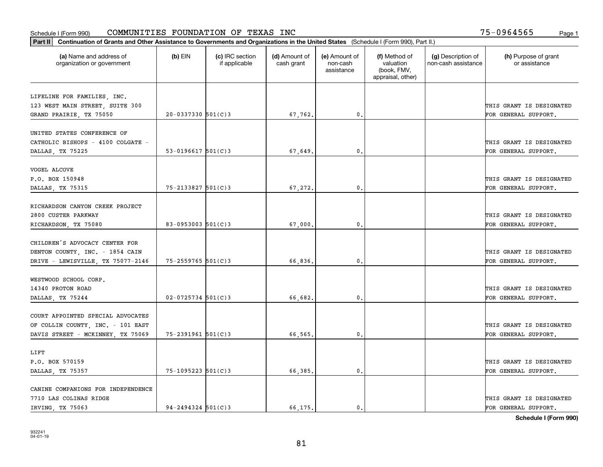| (a) Name and address of<br>organization or government | $(b)$ EIN                | (c) IRC section<br>if applicable | (d) Amount of<br>cash grant | (e) Amount of<br>non-cash<br>assistance | (f) Method of<br>valuation<br>(book, FMV,<br>appraisal, other) | (g) Description of<br>non-cash assistance | (h) Purpose of grant<br>or assistance |
|-------------------------------------------------------|--------------------------|----------------------------------|-----------------------------|-----------------------------------------|----------------------------------------------------------------|-------------------------------------------|---------------------------------------|
| LIFELINE FOR FAMILIES, INC.                           |                          |                                  |                             |                                         |                                                                |                                           |                                       |
| 123 WEST MAIN STREET, SUITE 300                       |                          |                                  |                             |                                         |                                                                |                                           | THIS GRANT IS DESIGNATED              |
| GRAND PRAIRIE, TX 75050                               | $20 - 0337330$ 501(C)3   |                                  | 67,762.                     | 0.                                      |                                                                |                                           | FOR GENERAL SUPPORT.                  |
|                                                       |                          |                                  |                             |                                         |                                                                |                                           |                                       |
| UNITED STATES CONFERENCE OF                           |                          |                                  |                             |                                         |                                                                |                                           |                                       |
| CATHOLIC BISHOPS - 4100 COLGATE -                     |                          |                                  |                             |                                         |                                                                |                                           | THIS GRANT IS DESIGNATED              |
| DALLAS, TX 75225                                      | $53 - 0196617$ $501(C)3$ |                                  | 67.649.                     | 0.                                      |                                                                |                                           | FOR GENERAL SUPPORT.                  |
|                                                       |                          |                                  |                             |                                         |                                                                |                                           |                                       |
| VOGEL ALCOVE                                          |                          |                                  |                             |                                         |                                                                |                                           |                                       |
| P.O. BOX 150948                                       |                          |                                  |                             |                                         |                                                                |                                           | THIS GRANT IS DESIGNATED              |
| DALLAS, TX 75315                                      | $75 - 2133827$ 501(C)3   |                                  | 67,272.                     | $\mathfrak{o}$ .                        |                                                                |                                           | FOR GENERAL SUPPORT.                  |
| RICHARDSON CANYON CREEK PROJECT                       |                          |                                  |                             |                                         |                                                                |                                           |                                       |
| 2800 CUSTER PARKWAY                                   |                          |                                  |                             |                                         |                                                                |                                           | THIS GRANT IS DESIGNATED              |
| RICHARDSON, TX 75080                                  | $83 - 0953003$ 501(C)3   |                                  | 67,000                      | 0.                                      |                                                                |                                           | FOR GENERAL SUPPORT.                  |
|                                                       |                          |                                  |                             |                                         |                                                                |                                           |                                       |
| CHILDREN'S ADVOCACY CENTER FOR                        |                          |                                  |                             |                                         |                                                                |                                           |                                       |
| DENTON COUNTY, INC. - 1854 CAIN                       |                          |                                  |                             |                                         |                                                                |                                           | THIS GRANT IS DESIGNATED              |
| DRIVE - LEWISVILLE, TX 75077-2146                     | $75 - 2559765$ 501(C)3   |                                  | 66,836.                     | $\mathbf 0$ .                           |                                                                |                                           | FOR GENERAL SUPPORT.                  |
|                                                       |                          |                                  |                             |                                         |                                                                |                                           |                                       |
| WESTWOOD SCHOOL CORP.                                 |                          |                                  |                             |                                         |                                                                |                                           |                                       |
| 14340 PROTON ROAD                                     |                          |                                  |                             |                                         |                                                                |                                           | THIS GRANT IS DESIGNATED              |
| DALLAS, TX 75244                                      | $02 - 0725734$ 501(C)3   |                                  | 66,682.                     | $\mathbf{0}$                            |                                                                |                                           | FOR GENERAL SUPPORT.                  |
|                                                       |                          |                                  |                             |                                         |                                                                |                                           |                                       |
| COURT APPOINTED SPECIAL ADVOCATES                     |                          |                                  |                             |                                         |                                                                |                                           |                                       |
| OF COLLIN COUNTY, INC. - 101 EAST                     |                          |                                  |                             |                                         |                                                                |                                           | THIS GRANT IS DESIGNATED              |
| DAVIS STREET - MCKINNEY, TX 75069                     | $75 - 2391961$ 501(C)3   |                                  | 66,565                      | 0.                                      |                                                                |                                           | FOR GENERAL SUPPORT.                  |
| LIFT                                                  |                          |                                  |                             |                                         |                                                                |                                           |                                       |
| P.O. BOX 570159                                       |                          |                                  |                             |                                         |                                                                |                                           | THIS GRANT IS DESIGNATED              |
| DALLAS, TX 75357                                      | $75 - 1095223$ $501(C)3$ |                                  | 66,385.                     | $\mathbf{0}$ .                          |                                                                |                                           | FOR GENERAL SUPPORT.                  |
|                                                       |                          |                                  |                             |                                         |                                                                |                                           |                                       |
| CANINE COMPANIONS FOR INDEPENDENCE                    |                          |                                  |                             |                                         |                                                                |                                           |                                       |
| 7710 LAS COLINAS RIDGE                                |                          |                                  |                             |                                         |                                                                |                                           | THIS GRANT IS DESIGNATED              |
| IRVING TX 75063                                       | $94 - 2494324$ 501(C)3   |                                  | 66,175.                     | $\mathbf{0}$ .                          |                                                                |                                           | FOR GENERAL SUPPORT.                  |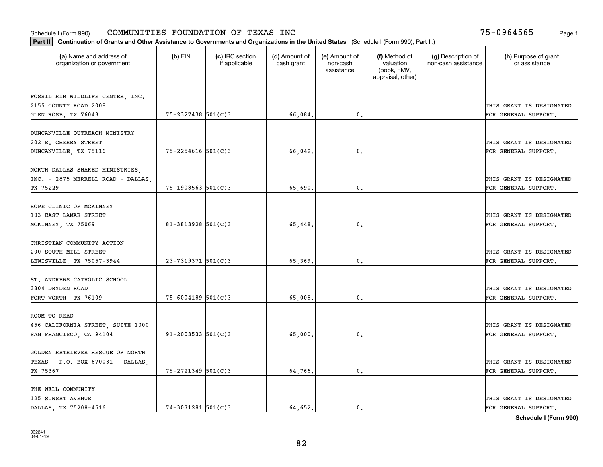| Part II   Continuation of Grants and Other Assistance to Governments and Organizations in the United States (Schedule I (Form 990), Part II.) |                          |                                  |                             |                                         |                                                                |                                           |                                       |
|-----------------------------------------------------------------------------------------------------------------------------------------------|--------------------------|----------------------------------|-----------------------------|-----------------------------------------|----------------------------------------------------------------|-------------------------------------------|---------------------------------------|
| (a) Name and address of<br>organization or government                                                                                         | $(b)$ EIN                | (c) IRC section<br>if applicable | (d) Amount of<br>cash grant | (e) Amount of<br>non-cash<br>assistance | (f) Method of<br>valuation<br>(book, FMV,<br>appraisal, other) | (g) Description of<br>non-cash assistance | (h) Purpose of grant<br>or assistance |
|                                                                                                                                               |                          |                                  |                             |                                         |                                                                |                                           |                                       |
| FOSSIL RIM WILDLIFE CENTER, INC.<br>2155 COUNTY ROAD 2008                                                                                     |                          |                                  |                             |                                         |                                                                |                                           | THIS GRANT IS DESIGNATED              |
| GLEN ROSE, TX 76043                                                                                                                           | 75-2327438 501(C)3       |                                  | 66,084.                     | 0.                                      |                                                                |                                           | FOR GENERAL SUPPORT.                  |
|                                                                                                                                               |                          |                                  |                             |                                         |                                                                |                                           |                                       |
| DUNCANVILLE OUTREACH MINISTRY                                                                                                                 |                          |                                  |                             |                                         |                                                                |                                           |                                       |
| 202 E. CHERRY STREET                                                                                                                          |                          |                                  |                             |                                         |                                                                |                                           | THIS GRANT IS DESIGNATED              |
| DUNCANVILLE, TX 75116                                                                                                                         | $75 - 2254616$ 501(C)3   |                                  | 66,042.                     | 0.                                      |                                                                |                                           | FOR GENERAL SUPPORT.                  |
|                                                                                                                                               |                          |                                  |                             |                                         |                                                                |                                           |                                       |
| NORTH DALLAS SHARED MINISTRIES,                                                                                                               |                          |                                  |                             |                                         |                                                                |                                           |                                       |
| INC. - 2875 MERRELL ROAD - DALLAS.                                                                                                            |                          |                                  |                             |                                         |                                                                |                                           | THIS GRANT IS DESIGNATED              |
| TX 75229                                                                                                                                      | $75 - 1908563$ 501(C)3   |                                  | 65,690.                     | $\mathbf{0}$ .                          |                                                                |                                           | FOR GENERAL SUPPORT.                  |
| HOPE CLINIC OF MCKINNEY                                                                                                                       |                          |                                  |                             |                                         |                                                                |                                           |                                       |
| 103 EAST LAMAR STREET                                                                                                                         |                          |                                  |                             |                                         |                                                                |                                           | THIS GRANT IS DESIGNATED              |
| MCKINNEY, TX 75069                                                                                                                            | $81 - 3813928$ 501(C)3   |                                  | 65,448.                     | $\mathbf{0}$                            |                                                                |                                           | FOR GENERAL SUPPORT.                  |
|                                                                                                                                               |                          |                                  |                             |                                         |                                                                |                                           |                                       |
| CHRISTIAN COMMUNITY ACTION                                                                                                                    |                          |                                  |                             |                                         |                                                                |                                           |                                       |
| 200 SOUTH MILL STREET                                                                                                                         |                          |                                  |                             |                                         |                                                                |                                           | THIS GRANT IS DESIGNATED              |
| LEWISVILLE, TX 75057-3944                                                                                                                     | $23 - 7319371$ 501(C)3   |                                  | 65,369                      | $\mathbf{0}$                            |                                                                |                                           | FOR GENERAL SUPPORT.                  |
|                                                                                                                                               |                          |                                  |                             |                                         |                                                                |                                           |                                       |
| ST. ANDREWS CATHOLIC SCHOOL                                                                                                                   |                          |                                  |                             |                                         |                                                                |                                           |                                       |
| 3304 DRYDEN ROAD                                                                                                                              |                          |                                  |                             |                                         |                                                                |                                           | THIS GRANT IS DESIGNATED              |
| FORT WORTH, TX 76109                                                                                                                          | $75 - 6004189$ 501(C)3   |                                  | 65,005.                     | 0.                                      |                                                                |                                           | FOR GENERAL SUPPORT.                  |
|                                                                                                                                               |                          |                                  |                             |                                         |                                                                |                                           |                                       |
| ROOM TO READ                                                                                                                                  |                          |                                  |                             |                                         |                                                                |                                           |                                       |
| 456 CALIFORNIA STREET, SUITE 1000                                                                                                             |                          |                                  |                             |                                         |                                                                |                                           | THIS GRANT IS DESIGNATED              |
| SAN FRANCISCO, CA 94104                                                                                                                       | $91 - 2003533$ $501(C)3$ |                                  | 65,000                      | $^{\rm 0}$ .                            |                                                                |                                           | FOR GENERAL SUPPORT.                  |
|                                                                                                                                               |                          |                                  |                             |                                         |                                                                |                                           |                                       |
| GOLDEN RETRIEVER RESCUE OF NORTH                                                                                                              |                          |                                  |                             |                                         |                                                                |                                           |                                       |
| TEXAS - P.O. BOX 670031 - DALLAS,                                                                                                             |                          |                                  |                             |                                         |                                                                |                                           | THIS GRANT IS DESIGNATED              |
| TX 75367                                                                                                                                      | 75-2721349 501(C)3       |                                  | 64,766.                     | $\mathfrak{o}$ .                        |                                                                |                                           | FOR GENERAL SUPPORT.                  |
| THE WELL COMMUNITY                                                                                                                            |                          |                                  |                             |                                         |                                                                |                                           |                                       |
| 125 SUNSET AVENUE                                                                                                                             |                          |                                  |                             |                                         |                                                                |                                           | THIS GRANT IS DESIGNATED              |
| DALLAS, TX 75208-4516                                                                                                                         | $74 - 3071281$ 501(C)3   |                                  | 64.652.                     | $\mathbf{0}$ .                          |                                                                |                                           | FOR GENERAL SUPPORT.                  |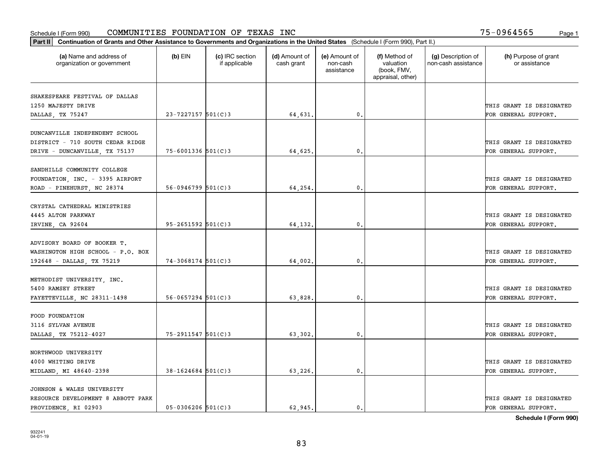| Part II   Continuation of Grants and Other Assistance to Governments and Organizations in the United States (Schedule I (Form 990), Part II.) |                        |                                  |                             |                                         |                                                                |                                           |                                       |
|-----------------------------------------------------------------------------------------------------------------------------------------------|------------------------|----------------------------------|-----------------------------|-----------------------------------------|----------------------------------------------------------------|-------------------------------------------|---------------------------------------|
| (a) Name and address of<br>organization or government                                                                                         | $(b)$ EIN              | (c) IRC section<br>if applicable | (d) Amount of<br>cash grant | (e) Amount of<br>non-cash<br>assistance | (f) Method of<br>valuation<br>(book, FMV,<br>appraisal, other) | (g) Description of<br>non-cash assistance | (h) Purpose of grant<br>or assistance |
| SHAKESPEARE FESTIVAL OF DALLAS                                                                                                                |                        |                                  |                             |                                         |                                                                |                                           |                                       |
| 1250 MAJESTY DRIVE                                                                                                                            |                        |                                  |                             |                                         |                                                                |                                           | THIS GRANT IS DESIGNATED              |
| DALLAS, TX 75247                                                                                                                              | 23-7227157 501(C)3     |                                  | 64,631.                     | $\mathbf{0}$ .                          |                                                                |                                           | FOR GENERAL SUPPORT.                  |
|                                                                                                                                               |                        |                                  |                             |                                         |                                                                |                                           |                                       |
| DUNCANVILLE INDEPENDENT SCHOOL                                                                                                                |                        |                                  |                             |                                         |                                                                |                                           |                                       |
| DISTRICT - 710 SOUTH CEDAR RIDGE                                                                                                              |                        |                                  |                             |                                         |                                                                |                                           | THIS GRANT IS DESIGNATED              |
| DRIVE - DUNCANVILLE, TX 75137                                                                                                                 | $75 - 6001336$ 501(C)3 |                                  | 64,625                      | 0.                                      |                                                                |                                           | FOR GENERAL SUPPORT.                  |
|                                                                                                                                               |                        |                                  |                             |                                         |                                                                |                                           |                                       |
| SANDHILLS COMMUNITY COLLEGE                                                                                                                   |                        |                                  |                             |                                         |                                                                |                                           |                                       |
| FOUNDATION, INC. - 3395 AIRPORT                                                                                                               |                        |                                  |                             |                                         |                                                                |                                           | THIS GRANT IS DESIGNATED              |
| ROAD - PINEHURST, NC 28374                                                                                                                    | $56-0946799$ $501(C)3$ |                                  | 64,254                      | $\mathbf{0}$ .                          |                                                                |                                           | FOR GENERAL SUPPORT.                  |
|                                                                                                                                               |                        |                                  |                             |                                         |                                                                |                                           |                                       |
| CRYSTAL CATHEDRAL MINISTRIES                                                                                                                  |                        |                                  |                             |                                         |                                                                |                                           |                                       |
| 4445 ALTON PARKWAY                                                                                                                            |                        |                                  |                             |                                         |                                                                |                                           | THIS GRANT IS DESIGNATED              |
| IRVINE, CA 92604                                                                                                                              | $95 - 2651592$ 501(C)3 |                                  | 64,132.                     | 0.                                      |                                                                |                                           | FOR GENERAL SUPPORT.                  |
| ADVISORY BOARD OF BOOKER T.                                                                                                                   |                        |                                  |                             |                                         |                                                                |                                           |                                       |
| WASHINGTON HIGH SCHOOL - P.O. BOX                                                                                                             |                        |                                  |                             |                                         |                                                                |                                           | THIS GRANT IS DESIGNATED              |
| 192648 - DALLAS, TX 75219                                                                                                                     | $74 - 3068174$ 501(C)3 |                                  | 64,002.                     | 0.                                      |                                                                |                                           | FOR GENERAL SUPPORT.                  |
|                                                                                                                                               |                        |                                  |                             |                                         |                                                                |                                           |                                       |
| METHODIST UNIVERSITY, INC.                                                                                                                    |                        |                                  |                             |                                         |                                                                |                                           |                                       |
| 5400 RAMSEY STREET                                                                                                                            |                        |                                  |                             |                                         |                                                                |                                           | THIS GRANT IS DESIGNATED              |
| FAYETTEVILLE, NC 28311-1498                                                                                                                   | $56 - 0657294$ 501(C)3 |                                  | 63,828                      | 0.                                      |                                                                |                                           | FOR GENERAL SUPPORT.                  |
|                                                                                                                                               |                        |                                  |                             |                                         |                                                                |                                           |                                       |
| FOOD FOUNDATION                                                                                                                               |                        |                                  |                             |                                         |                                                                |                                           |                                       |
| 3116 SYLVAN AVENUE                                                                                                                            |                        |                                  |                             |                                         |                                                                |                                           | THIS GRANT IS DESIGNATED              |
| DALLAS, TX 75212-4027                                                                                                                         | 75-2911547 501(C)3     |                                  | 63,302.                     | $\mathbf{0}$ .                          |                                                                |                                           | FOR GENERAL SUPPORT.                  |
|                                                                                                                                               |                        |                                  |                             |                                         |                                                                |                                           |                                       |
| NORTHWOOD UNIVERSITY                                                                                                                          |                        |                                  |                             |                                         |                                                                |                                           |                                       |
| 4000 WHITING DRIVE                                                                                                                            |                        |                                  |                             |                                         |                                                                |                                           | THIS GRANT IS DESIGNATED              |
| MIDLAND, MI 48640-2398                                                                                                                        | $38 - 1624684$ 501(C)3 |                                  | 63,226.                     | 0.                                      |                                                                |                                           | FOR GENERAL SUPPORT.                  |
| JOHNSON & WALES UNIVERSITY                                                                                                                    |                        |                                  |                             |                                         |                                                                |                                           |                                       |
| RESOURCE DEVELOPMENT 8 ABBOTT PARK                                                                                                            |                        |                                  |                             |                                         |                                                                |                                           | THIS GRANT IS DESIGNATED              |
| PROVIDENCE, RI 02903                                                                                                                          | $05 - 0306206$ 501(C)3 |                                  | 62.945.                     | $\mathbf{0}$ .                          |                                                                |                                           | FOR GENERAL SUPPORT.                  |
|                                                                                                                                               |                        |                                  |                             |                                         |                                                                |                                           |                                       |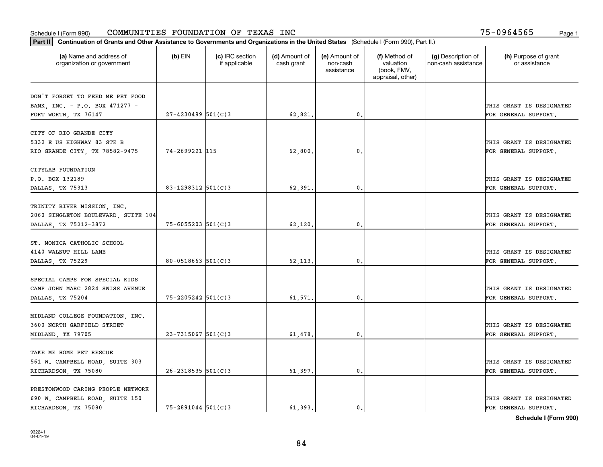| Part II   Continuation of Grants and Other Assistance to Governments and Organizations in the United States (Schedule I (Form 990), Part II.) |                         |                                  |                             |                                         |                                                                |                                           |                                                  |
|-----------------------------------------------------------------------------------------------------------------------------------------------|-------------------------|----------------------------------|-----------------------------|-----------------------------------------|----------------------------------------------------------------|-------------------------------------------|--------------------------------------------------|
| (a) Name and address of<br>organization or government                                                                                         | $(b)$ EIN               | (c) IRC section<br>if applicable | (d) Amount of<br>cash grant | (e) Amount of<br>non-cash<br>assistance | (f) Method of<br>valuation<br>(book, FMV,<br>appraisal, other) | (g) Description of<br>non-cash assistance | (h) Purpose of grant<br>or assistance            |
| DON'T FORGET TO FEED ME PET FOOD                                                                                                              |                         |                                  |                             |                                         |                                                                |                                           |                                                  |
| BANK, INC. - P.O. BOX 471277 -                                                                                                                |                         |                                  |                             |                                         |                                                                |                                           | THIS GRANT IS DESIGNATED                         |
| FORT WORTH, TX 76147                                                                                                                          | $27 - 4230499$ 501(C)3  |                                  | 62,821.                     | 0.                                      |                                                                |                                           | FOR GENERAL SUPPORT.                             |
| CITY OF RIO GRANDE CITY                                                                                                                       |                         |                                  |                             |                                         |                                                                |                                           |                                                  |
| 5332 E US HIGHWAY 83 STE B                                                                                                                    |                         |                                  |                             |                                         |                                                                |                                           | THIS GRANT IS DESIGNATED                         |
| RIO GRANDE CITY, TX 78582-9475                                                                                                                | 74-2699221 115          |                                  | 62,800                      | 0.                                      |                                                                |                                           | FOR GENERAL SUPPORT.                             |
|                                                                                                                                               |                         |                                  |                             |                                         |                                                                |                                           |                                                  |
| CITYLAB FOUNDATION                                                                                                                            |                         |                                  |                             |                                         |                                                                |                                           |                                                  |
| P.O. BOX 132189                                                                                                                               |                         |                                  |                             |                                         |                                                                |                                           | THIS GRANT IS DESIGNATED                         |
| DALLAS, TX 75313                                                                                                                              | 83-1298312 501(C)3      |                                  | 62,391.                     | 0.                                      |                                                                |                                           | FOR GENERAL SUPPORT.                             |
| TRINITY RIVER MISSION, INC.                                                                                                                   |                         |                                  |                             |                                         |                                                                |                                           |                                                  |
| 2060 SINGLETON BOULEVARD, SUITE 104                                                                                                           |                         |                                  |                             |                                         |                                                                |                                           | THIS GRANT IS DESIGNATED                         |
| DALLAS, TX 75212-3872                                                                                                                         | $75 - 6055203$ 501(C)3  |                                  | 62,120.                     | 0.                                      |                                                                |                                           | FOR GENERAL SUPPORT.                             |
|                                                                                                                                               |                         |                                  |                             |                                         |                                                                |                                           |                                                  |
| ST. MONICA CATHOLIC SCHOOL                                                                                                                    |                         |                                  |                             |                                         |                                                                |                                           |                                                  |
| 4140 WALNUT HILL LANE                                                                                                                         |                         |                                  |                             |                                         |                                                                |                                           | THIS GRANT IS DESIGNATED                         |
| DALLAS, TX 75229                                                                                                                              | $80 - 0518663$ 501(C) 3 |                                  | 62,113.                     | 0.                                      |                                                                |                                           | FOR GENERAL SUPPORT.                             |
|                                                                                                                                               |                         |                                  |                             |                                         |                                                                |                                           |                                                  |
| SPECIAL CAMPS FOR SPECIAL KIDS                                                                                                                |                         |                                  |                             |                                         |                                                                |                                           |                                                  |
| CAMP JOHN MARC 2824 SWISS AVENUE                                                                                                              |                         |                                  |                             |                                         |                                                                |                                           | THIS GRANT IS DESIGNATED                         |
| DALLAS, TX 75204                                                                                                                              | $75 - 2205242$ 501(C)3  |                                  | 61,571,                     | 0.                                      |                                                                |                                           | FOR GENERAL SUPPORT.                             |
| MIDLAND COLLEGE FOUNDATION, INC.                                                                                                              |                         |                                  |                             |                                         |                                                                |                                           |                                                  |
| 3600 NORTH GARFIELD STREET                                                                                                                    |                         |                                  |                             |                                         |                                                                |                                           | THIS GRANT IS DESIGNATED                         |
| MIDLAND, TX 79705                                                                                                                             | $23 - 7315067$ 501(C)3  |                                  | 61,478.                     | $\mathfrak{o}$ .                        |                                                                |                                           | FOR GENERAL SUPPORT.                             |
|                                                                                                                                               |                         |                                  |                             |                                         |                                                                |                                           |                                                  |
| TAKE ME HOME PET RESCUE                                                                                                                       |                         |                                  |                             |                                         |                                                                |                                           |                                                  |
| 561 W. CAMPBELL ROAD, SUITE 303                                                                                                               |                         |                                  |                             |                                         |                                                                |                                           | THIS GRANT IS DESIGNATED                         |
| RICHARDSON, TX 75080                                                                                                                          | $26 - 2318535$ 501(C)3  |                                  | 61,397.                     | $\mathbf{0}$                            |                                                                |                                           | FOR GENERAL SUPPORT.                             |
|                                                                                                                                               |                         |                                  |                             |                                         |                                                                |                                           |                                                  |
| PRESTONWOOD CARING PEOPLE NETWORK                                                                                                             |                         |                                  |                             |                                         |                                                                |                                           |                                                  |
| 690 W. CAMPBELL ROAD, SUITE 150<br>RICHARDSON, TX 75080                                                                                       | $75 - 2891044$ 501(C)3  |                                  | 61.393.                     | $\mathbf{0}$ .                          |                                                                |                                           | THIS GRANT IS DESIGNATED<br>FOR GENERAL SUPPORT. |
|                                                                                                                                               |                         |                                  |                             |                                         |                                                                |                                           |                                                  |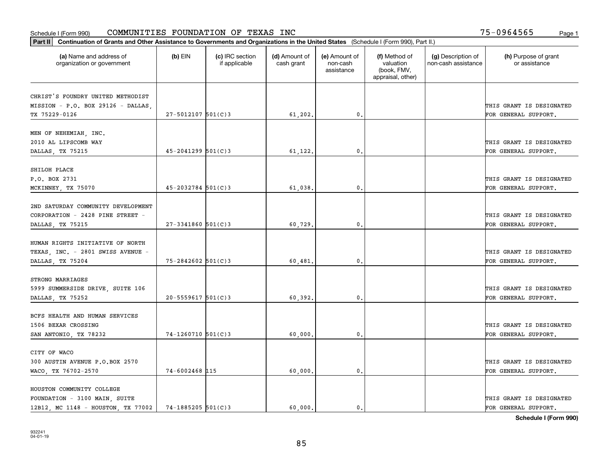| Part II   Continuation of Grants and Other Assistance to Governments and Organizations in the United States (Schedule I (Form 990), Part II.) |                        |                                  |                             |                                         |                                                                |                                           |                                       |
|-----------------------------------------------------------------------------------------------------------------------------------------------|------------------------|----------------------------------|-----------------------------|-----------------------------------------|----------------------------------------------------------------|-------------------------------------------|---------------------------------------|
| (a) Name and address of<br>organization or government                                                                                         | $(b)$ EIN              | (c) IRC section<br>if applicable | (d) Amount of<br>cash grant | (e) Amount of<br>non-cash<br>assistance | (f) Method of<br>valuation<br>(book, FMV,<br>appraisal, other) | (g) Description of<br>non-cash assistance | (h) Purpose of grant<br>or assistance |
| CHRIST'S FOUNDRY UNITED METHODIST                                                                                                             |                        |                                  |                             |                                         |                                                                |                                           |                                       |
| MISSION - P.O. BOX 29126 - DALLAS,                                                                                                            |                        |                                  |                             |                                         |                                                                |                                           | THIS GRANT IS DESIGNATED              |
| TX 75229-0126                                                                                                                                 | $27 - 5012107$ 501(C)3 |                                  | 61,202.                     | $\mathbf{0}$ .                          |                                                                |                                           | FOR GENERAL SUPPORT.                  |
|                                                                                                                                               |                        |                                  |                             |                                         |                                                                |                                           |                                       |
| MEN OF NEHEMIAH, INC.                                                                                                                         |                        |                                  |                             |                                         |                                                                |                                           |                                       |
| 2010 AL LIPSCOMB WAY                                                                                                                          |                        |                                  |                             |                                         |                                                                |                                           | THIS GRANT IS DESIGNATED              |
| DALLAS, TX 75215                                                                                                                              | $45 - 2041299$ 501(C)3 |                                  | 61,122.                     | 0.                                      |                                                                |                                           | FOR GENERAL SUPPORT.                  |
|                                                                                                                                               |                        |                                  |                             |                                         |                                                                |                                           |                                       |
| SHILOH PLACE                                                                                                                                  |                        |                                  |                             |                                         |                                                                |                                           |                                       |
| P.O. BOX 2731                                                                                                                                 |                        |                                  |                             |                                         |                                                                |                                           | THIS GRANT IS DESIGNATED              |
| MCKINNEY, TX 75070                                                                                                                            | $45 - 2032784$ 501(C)3 |                                  | 61,038.                     | $\mathbf{0}$ .                          |                                                                |                                           | FOR GENERAL SUPPORT.                  |
|                                                                                                                                               |                        |                                  |                             |                                         |                                                                |                                           |                                       |
| 2ND SATURDAY COMMUNITY DEVELOPMENT                                                                                                            |                        |                                  |                             |                                         |                                                                |                                           |                                       |
| CORPORATION - 2428 PINE STREET -                                                                                                              |                        |                                  |                             |                                         |                                                                |                                           | THIS GRANT IS DESIGNATED              |
| DALLAS, TX 75215                                                                                                                              | $27 - 3341860$ 501(C)3 |                                  | 60,729.                     | 0.                                      |                                                                |                                           | FOR GENERAL SUPPORT.                  |
|                                                                                                                                               |                        |                                  |                             |                                         |                                                                |                                           |                                       |
| HUMAN RIGHTS INITIATIVE OF NORTH                                                                                                              |                        |                                  |                             |                                         |                                                                |                                           |                                       |
| TEXAS, INC. - 2801 SWISS AVENUE -                                                                                                             |                        |                                  |                             |                                         |                                                                |                                           | THIS GRANT IS DESIGNATED              |
| DALLAS, TX 75204                                                                                                                              | $75 - 2842602$ 501(C)3 |                                  | 60,481                      | 0.                                      |                                                                |                                           | FOR GENERAL SUPPORT.                  |
| STRONG MARRIAGES                                                                                                                              |                        |                                  |                             |                                         |                                                                |                                           |                                       |
| 5999 SUMMERSIDE DRIVE, SUITE 106                                                                                                              |                        |                                  |                             |                                         |                                                                |                                           | THIS GRANT IS DESIGNATED              |
| DALLAS, TX 75252                                                                                                                              | $20 - 5559617$ 501(C)3 |                                  | 60.392.                     | 0.                                      |                                                                |                                           | FOR GENERAL SUPPORT.                  |
|                                                                                                                                               |                        |                                  |                             |                                         |                                                                |                                           |                                       |
| BCFS HEALTH AND HUMAN SERVICES                                                                                                                |                        |                                  |                             |                                         |                                                                |                                           |                                       |
| 1506 BEXAR CROSSING                                                                                                                           |                        |                                  |                             |                                         |                                                                |                                           | THIS GRANT IS DESIGNATED              |
| SAN ANTONIO, TX 78232                                                                                                                         | 74-1260710 501(C)3     |                                  | 60,000.                     | $\mathbf{0}$ .                          |                                                                |                                           | FOR GENERAL SUPPORT.                  |
|                                                                                                                                               |                        |                                  |                             |                                         |                                                                |                                           |                                       |
| CITY OF WACO                                                                                                                                  |                        |                                  |                             |                                         |                                                                |                                           |                                       |
| 300 AUSTIN AVENUE P.O.BOX 2570                                                                                                                |                        |                                  |                             |                                         |                                                                |                                           | THIS GRANT IS DESIGNATED              |
| WACO, TX 76702-2570                                                                                                                           | 74-6002468 115         |                                  | 60,000.                     | 0.                                      |                                                                |                                           | FOR GENERAL SUPPORT.                  |
|                                                                                                                                               |                        |                                  |                             |                                         |                                                                |                                           |                                       |
| HOUSTON COMMUNITY COLLEGE                                                                                                                     |                        |                                  |                             |                                         |                                                                |                                           |                                       |
| FOUNDATION - 3100 MAIN, SUITE                                                                                                                 |                        |                                  |                             |                                         |                                                                |                                           | THIS GRANT IS DESIGNATED              |
| 12B12, MC 1148 - HOUSTON, TX 77002                                                                                                            | $74 - 1885205$ 501(C)3 |                                  | 60,000.                     | $\mathbf{0}$ .                          |                                                                |                                           | FOR GENERAL SUPPORT.                  |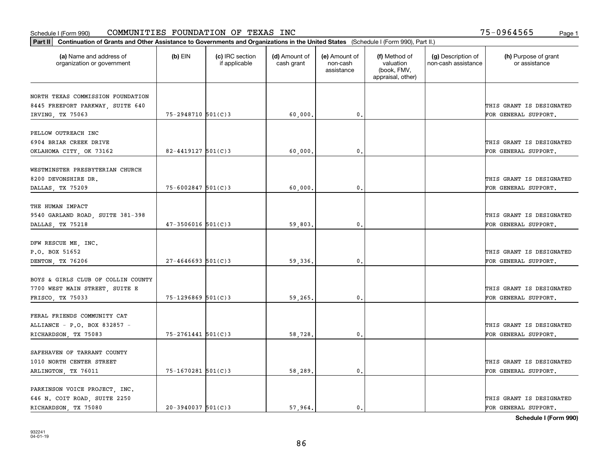| Part II   Continuation of Grants and Other Assistance to Governments and Organizations in the United States (Schedule I (Form 990), Part II.) |                        |                                  |                             |                                         |                                                                |                                           |                                       |
|-----------------------------------------------------------------------------------------------------------------------------------------------|------------------------|----------------------------------|-----------------------------|-----------------------------------------|----------------------------------------------------------------|-------------------------------------------|---------------------------------------|
| (a) Name and address of<br>organization or government                                                                                         | $(b)$ EIN              | (c) IRC section<br>if applicable | (d) Amount of<br>cash grant | (e) Amount of<br>non-cash<br>assistance | (f) Method of<br>valuation<br>(book, FMV,<br>appraisal, other) | (g) Description of<br>non-cash assistance | (h) Purpose of grant<br>or assistance |
|                                                                                                                                               |                        |                                  |                             |                                         |                                                                |                                           |                                       |
| NORTH TEXAS COMMISSION FOUNDATION                                                                                                             |                        |                                  |                             |                                         |                                                                |                                           |                                       |
| 8445 FREEPORT PARKWAY, SUITE 640                                                                                                              |                        |                                  |                             |                                         |                                                                |                                           | THIS GRANT IS DESIGNATED              |
| IRVING, TX 75063                                                                                                                              | $75 - 2948710$ 501(C)3 |                                  | 60,000,                     | 0.                                      |                                                                |                                           | FOR GENERAL SUPPORT.                  |
| PELLOW OUTREACH INC                                                                                                                           |                        |                                  |                             |                                         |                                                                |                                           |                                       |
| 6904 BRIAR CREEK DRIVE                                                                                                                        |                        |                                  |                             |                                         |                                                                |                                           | THIS GRANT IS DESIGNATED              |
| OKLAHOMA CITY, OK 73162                                                                                                                       | $82 - 4419127$ 501(C)3 |                                  | 60,000                      | 0.                                      |                                                                |                                           | FOR GENERAL SUPPORT.                  |
|                                                                                                                                               |                        |                                  |                             |                                         |                                                                |                                           |                                       |
| WESTMINSTER PRESBYTERIAN CHURCH                                                                                                               |                        |                                  |                             |                                         |                                                                |                                           |                                       |
| 8200 DEVONSHIRE DR.                                                                                                                           |                        |                                  |                             |                                         |                                                                |                                           | THIS GRANT IS DESIGNATED              |
| DALLAS, TX 75209                                                                                                                              | $75 - 6002847$ 501(C)3 |                                  | 60,000                      | 0.                                      |                                                                |                                           | FOR GENERAL SUPPORT.                  |
|                                                                                                                                               |                        |                                  |                             |                                         |                                                                |                                           |                                       |
| THE HUMAN IMPACT                                                                                                                              |                        |                                  |                             |                                         |                                                                |                                           |                                       |
| 9540 GARLAND ROAD, SUITE 381-398                                                                                                              |                        |                                  |                             |                                         |                                                                |                                           | THIS GRANT IS DESIGNATED              |
| DALLAS, TX 75218                                                                                                                              | $47 - 3506016$ 501(C)3 |                                  | 59,803.                     | 0.                                      |                                                                |                                           | FOR GENERAL SUPPORT.                  |
|                                                                                                                                               |                        |                                  |                             |                                         |                                                                |                                           |                                       |
| DFW RESCUE ME, INC.                                                                                                                           |                        |                                  |                             |                                         |                                                                |                                           |                                       |
| P.O. BOX 51652                                                                                                                                |                        |                                  |                             |                                         |                                                                |                                           | THIS GRANT IS DESIGNATED              |
| DENTON, TX 76206                                                                                                                              | $27 - 4646693$ 501(C)3 |                                  | 59,336.                     | 0.                                      |                                                                |                                           | FOR GENERAL SUPPORT.                  |
|                                                                                                                                               |                        |                                  |                             |                                         |                                                                |                                           |                                       |
| BOYS & GIRLS CLUB OF COLLIN COUNTY                                                                                                            |                        |                                  |                             |                                         |                                                                |                                           |                                       |
| 7700 WEST MAIN STREET, SUITE E                                                                                                                |                        |                                  |                             |                                         |                                                                |                                           | THIS GRANT IS DESIGNATED              |
| FRISCO, TX 75033                                                                                                                              | $75 - 1296869$ 501(C)3 |                                  | 59,265.                     | 0.                                      |                                                                |                                           | FOR GENERAL SUPPORT.                  |
|                                                                                                                                               |                        |                                  |                             |                                         |                                                                |                                           |                                       |
| FERAL FRIENDS COMMUNITY CAT                                                                                                                   |                        |                                  |                             |                                         |                                                                |                                           |                                       |
| ALLIANCE - P.O. BOX 832857 -                                                                                                                  |                        |                                  |                             |                                         |                                                                |                                           | THIS GRANT IS DESIGNATED              |
| RICHARDSON, TX 75083                                                                                                                          | $75 - 2761441$ 501(C)3 |                                  | 58,728.                     | 0.                                      |                                                                |                                           | FOR GENERAL SUPPORT.                  |
|                                                                                                                                               |                        |                                  |                             |                                         |                                                                |                                           |                                       |
| SAFEHAVEN OF TARRANT COUNTY                                                                                                                   |                        |                                  |                             |                                         |                                                                |                                           |                                       |
| 1010 NORTH CENTER STREET                                                                                                                      |                        |                                  |                             |                                         |                                                                |                                           | THIS GRANT IS DESIGNATED              |
| ARLINGTON, TX 76011                                                                                                                           | $75 - 1670281$ 501(C)3 |                                  | 58,289.                     | 0.                                      |                                                                |                                           | FOR GENERAL SUPPORT.                  |
| PARKINSON VOICE PROJECT, INC.                                                                                                                 |                        |                                  |                             |                                         |                                                                |                                           |                                       |
| 646 N. COIT ROAD, SUITE 2250                                                                                                                  |                        |                                  |                             |                                         |                                                                |                                           | THIS GRANT IS DESIGNATED              |
| RICHARDSON, TX 75080                                                                                                                          | $20-3940037$ 501(C)3   |                                  | 57.964.                     | $\mathbf{0}$ .                          |                                                                |                                           | FOR GENERAL SUPPORT.                  |
|                                                                                                                                               |                        |                                  |                             |                                         |                                                                |                                           |                                       |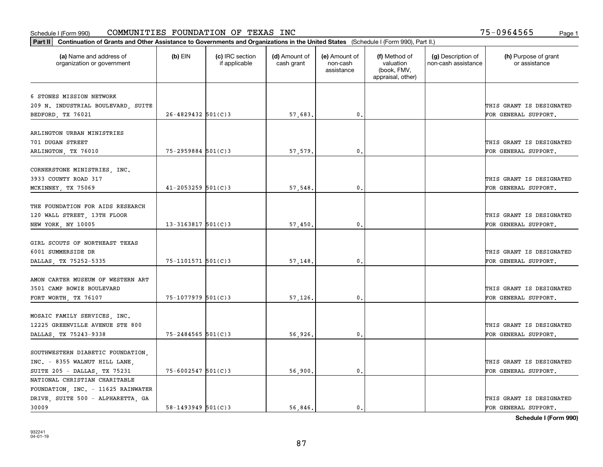| Part II   Continuation of Grants and Other Assistance to Governments and Organizations in the United States (Schedule I (Form 990), Part II.) |                          |                                  |                             |                                         |                                                                |                                           |                                       |
|-----------------------------------------------------------------------------------------------------------------------------------------------|--------------------------|----------------------------------|-----------------------------|-----------------------------------------|----------------------------------------------------------------|-------------------------------------------|---------------------------------------|
| (a) Name and address of<br>organization or government                                                                                         | $(b)$ EIN                | (c) IRC section<br>if applicable | (d) Amount of<br>cash grant | (e) Amount of<br>non-cash<br>assistance | (f) Method of<br>valuation<br>(book, FMV,<br>appraisal, other) | (g) Description of<br>non-cash assistance | (h) Purpose of grant<br>or assistance |
|                                                                                                                                               |                          |                                  |                             |                                         |                                                                |                                           |                                       |
| 6 STONES MISSION NETWORK                                                                                                                      |                          |                                  |                             |                                         |                                                                |                                           |                                       |
| 209 N. INDUSTRIAL BOULEVARD, SUITE                                                                                                            |                          |                                  |                             |                                         |                                                                |                                           | THIS GRANT IS DESIGNATED              |
| BEDFORD, TX 76021                                                                                                                             | $26 - 4829432$ 501(C)3   |                                  | 57,683.                     | 0.                                      |                                                                |                                           | FOR GENERAL SUPPORT.                  |
| ARLINGTON URBAN MINISTRIES                                                                                                                    |                          |                                  |                             |                                         |                                                                |                                           |                                       |
| 701 DUGAN STREET                                                                                                                              |                          |                                  |                             |                                         |                                                                |                                           | THIS GRANT IS DESIGNATED              |
|                                                                                                                                               |                          |                                  |                             |                                         |                                                                |                                           |                                       |
| ARLINGTON, TX 76010                                                                                                                           | $75 - 2959884$ 501(C)3   |                                  | 57,579                      | 0.                                      |                                                                |                                           | FOR GENERAL SUPPORT.                  |
| CORNERSTONE MINISTRIES, INC.                                                                                                                  |                          |                                  |                             |                                         |                                                                |                                           |                                       |
| 3933 COUNTY ROAD 317                                                                                                                          |                          |                                  |                             |                                         |                                                                |                                           | THIS GRANT IS DESIGNATED              |
| MCKINNEY, TX 75069                                                                                                                            | $41 - 2053259$ 501(C)3   |                                  | 57,548                      | 0.                                      |                                                                |                                           | FOR GENERAL SUPPORT.                  |
|                                                                                                                                               |                          |                                  |                             |                                         |                                                                |                                           |                                       |
| THE FOUNDATION FOR AIDS RESEARCH                                                                                                              |                          |                                  |                             |                                         |                                                                |                                           |                                       |
| 120 WALL STREET, 13TH FLOOR                                                                                                                   |                          |                                  |                             |                                         |                                                                |                                           | THIS GRANT IS DESIGNATED              |
| NEW YORK, NY 10005                                                                                                                            | $13 - 3163817$ 501(C)3   |                                  | 57,450.                     | $\mathbf{0}$ .                          |                                                                |                                           | FOR GENERAL SUPPORT.                  |
|                                                                                                                                               |                          |                                  |                             |                                         |                                                                |                                           |                                       |
| GIRL SCOUTS OF NORTHEAST TEXAS                                                                                                                |                          |                                  |                             |                                         |                                                                |                                           |                                       |
| 6001 SUMMERSIDE DR                                                                                                                            |                          |                                  |                             |                                         |                                                                |                                           | THIS GRANT IS DESIGNATED              |
| DALLAS, TX 75252-5335                                                                                                                         | 75-1101571 501(C)3       |                                  | 57,148.                     | 0.                                      |                                                                |                                           | FOR GENERAL SUPPORT.                  |
|                                                                                                                                               |                          |                                  |                             |                                         |                                                                |                                           |                                       |
| AMON CARTER MUSEUM OF WESTERN ART                                                                                                             |                          |                                  |                             |                                         |                                                                |                                           |                                       |
| 3501 CAMP BOWIE BOULEVARD                                                                                                                     |                          |                                  |                             |                                         |                                                                |                                           | THIS GRANT IS DESIGNATED              |
| FORT WORTH, TX 76107                                                                                                                          | 75-1077979 501(C)3       |                                  | 57,126.                     | 0.                                      |                                                                |                                           | FOR GENERAL SUPPORT.                  |
|                                                                                                                                               |                          |                                  |                             |                                         |                                                                |                                           |                                       |
| MOSAIC FAMILY SERVICES, INC.                                                                                                                  |                          |                                  |                             |                                         |                                                                |                                           |                                       |
| 12225 GREENVILLE AVENUE STE 800                                                                                                               |                          |                                  |                             |                                         |                                                                |                                           | THIS GRANT IS DESIGNATED              |
| DALLAS, TX 75243-9338                                                                                                                         | $75 - 2484565$ 501(C)3   |                                  | 56,926.                     | 0.                                      |                                                                |                                           | FOR GENERAL SUPPORT.                  |
|                                                                                                                                               |                          |                                  |                             |                                         |                                                                |                                           |                                       |
| SOUTHWESTERN DIABETIC FOUNDATION,                                                                                                             |                          |                                  |                             |                                         |                                                                |                                           |                                       |
| INC. - 8355 WALNUT HILL LANE,                                                                                                                 |                          |                                  |                             |                                         |                                                                |                                           | THIS GRANT IS DESIGNATED              |
| SUITE 205 - DALLAS, TX 75231                                                                                                                  | $75 - 6002547$ 501(C)3   |                                  | 56,900                      | 0.                                      |                                                                |                                           | FOR GENERAL SUPPORT.                  |
| NATIONAL CHRISTIAN CHARITABLE                                                                                                                 |                          |                                  |                             |                                         |                                                                |                                           |                                       |
| FOUNDATION, INC. - 11625 RAINWATER                                                                                                            |                          |                                  |                             |                                         |                                                                |                                           |                                       |
| DRIVE, SUITE 500 - ALPHARETTA, GA                                                                                                             |                          |                                  |                             |                                         |                                                                |                                           | THIS GRANT IS DESIGNATED              |
| 30009                                                                                                                                         | $58 - 1493949$ $501(C)3$ |                                  | 56.846.                     | $\mathbf{0}$ .                          |                                                                |                                           |                                       |
|                                                                                                                                               |                          |                                  |                             |                                         |                                                                |                                           | FOR GENERAL SUPPORT.                  |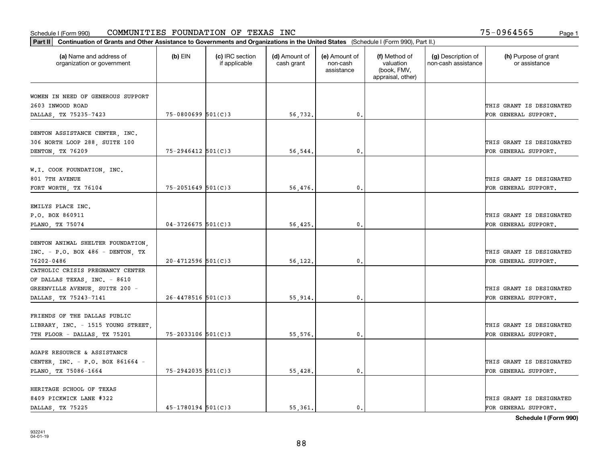| Part II   Continuation of Grants and Other Assistance to Governments and Organizations in the United States (Schedule I (Form 990), Part II.) |                        |                                  |                             |                                         |                                                                |                                           |                                                  |
|-----------------------------------------------------------------------------------------------------------------------------------------------|------------------------|----------------------------------|-----------------------------|-----------------------------------------|----------------------------------------------------------------|-------------------------------------------|--------------------------------------------------|
| (a) Name and address of<br>organization or government                                                                                         | $(b)$ EIN              | (c) IRC section<br>if applicable | (d) Amount of<br>cash grant | (e) Amount of<br>non-cash<br>assistance | (f) Method of<br>valuation<br>(book, FMV,<br>appraisal, other) | (g) Description of<br>non-cash assistance | (h) Purpose of grant<br>or assistance            |
|                                                                                                                                               |                        |                                  |                             |                                         |                                                                |                                           |                                                  |
| WOMEN IN NEED OF GENEROUS SUPPORT<br>2603 INWOOD ROAD                                                                                         |                        |                                  |                             |                                         |                                                                |                                           | THIS GRANT IS DESIGNATED                         |
| DALLAS, TX 75235-7423                                                                                                                         | $75 - 0800699$ 501(C)3 |                                  | 56,732.                     | 0.                                      |                                                                |                                           | FOR GENERAL SUPPORT.                             |
|                                                                                                                                               |                        |                                  |                             |                                         |                                                                |                                           |                                                  |
| DENTON ASSISTANCE CENTER, INC.<br>306 NORTH LOOP 288, SUITE 100                                                                               |                        |                                  |                             |                                         |                                                                |                                           | THIS GRANT IS DESIGNATED                         |
| DENTON, TX 76209                                                                                                                              | $75 - 2946412$ 501(C)3 |                                  | 56,544.                     | $\mathbf{0}$                            |                                                                |                                           | FOR GENERAL SUPPORT.                             |
| W.I. COOK FOUNDATION, INC.<br>801 7TH AVENUE                                                                                                  |                        |                                  |                             |                                         |                                                                |                                           | THIS GRANT IS DESIGNATED                         |
| FORT WORTH, TX 76104                                                                                                                          | $75 - 2051649$ 501(C)3 |                                  | 56,476.                     | $\mathfrak{o}$ .                        |                                                                |                                           | FOR GENERAL SUPPORT.                             |
| EMILYS PLACE INC.<br>P.O. BOX 860911<br>PLANO, TX 75074                                                                                       | $04 - 3726675$ 501(C)3 |                                  | 56,425.                     | $\mathbf{0}$                            |                                                                |                                           | THIS GRANT IS DESIGNATED<br>FOR GENERAL SUPPORT. |
|                                                                                                                                               |                        |                                  |                             |                                         |                                                                |                                           |                                                  |
| DENTON ANIMAL SHELTER FOUNDATION,<br>$INC. - P.O. BOX 486 - DENTON. TX$                                                                       |                        |                                  |                             |                                         |                                                                |                                           | THIS GRANT IS DESIGNATED                         |
| 76202-0486                                                                                                                                    | $20 - 4712596$ 501(C)3 |                                  | 56,122.                     | 0.                                      |                                                                |                                           | FOR GENERAL SUPPORT.                             |
| CATHOLIC CRISIS PREGNANCY CENTER<br>OF DALLAS TEXAS, INC. - 8610<br>GREENVILLE AVENUE, SUITE 200 -                                            |                        |                                  |                             |                                         |                                                                |                                           | THIS GRANT IS DESIGNATED                         |
| DALLAS, TX 75243-7141                                                                                                                         | $26 - 4478516$ 501(C)3 |                                  | 55,914.                     | $\mathbf{0}$                            |                                                                |                                           | FOR GENERAL SUPPORT.                             |
| FRIENDS OF THE DALLAS PUBLIC<br>LIBRARY, INC. - 1515 YOUNG STREET,<br>7TH FLOOR - DALLAS, TX 75201                                            | $75 - 2033106$ 501(C)3 |                                  | 55,576,                     | $^{\rm 0}$ .                            |                                                                |                                           | THIS GRANT IS DESIGNATED<br>FOR GENERAL SUPPORT. |
|                                                                                                                                               |                        |                                  |                             |                                         |                                                                |                                           |                                                  |
| AGAPE RESOURCE & ASSISTANCE<br>CENTER, INC. - P.O. BOX 861664 -                                                                               |                        |                                  |                             |                                         |                                                                |                                           | THIS GRANT IS DESIGNATED                         |
| PLANO, TX 75086-1664                                                                                                                          | 75-2942035 501(C)3     |                                  | 55,428.                     | $^{\circ}$ .                            |                                                                |                                           | FOR GENERAL SUPPORT.                             |
| HERITAGE SCHOOL OF TEXAS<br>8409 PICKWICK LANE #322<br>DALLAS, TX 75225                                                                       | $45 - 1780194$ 501(C)3 |                                  | 55.361.                     | $\mathbf{0}$ .                          |                                                                |                                           | THIS GRANT IS DESIGNATED<br>FOR GENERAL SUPPORT. |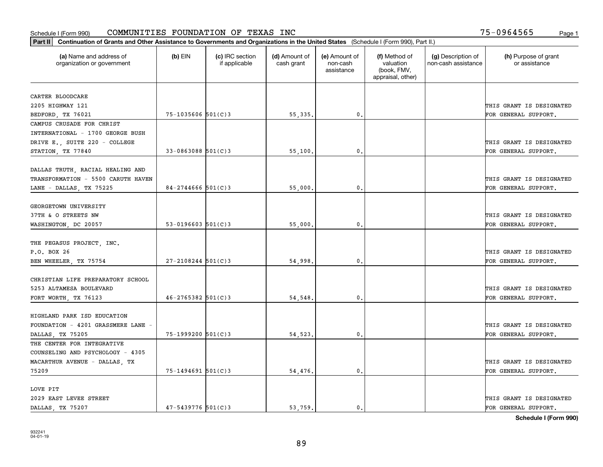| Part II   Continuation of Grants and Other Assistance to Governments and Organizations in the United States (Schedule I (Form 990), Part II.) |                        |                                  |                             |                                         |                                                                |                                           |                                       |
|-----------------------------------------------------------------------------------------------------------------------------------------------|------------------------|----------------------------------|-----------------------------|-----------------------------------------|----------------------------------------------------------------|-------------------------------------------|---------------------------------------|
| (a) Name and address of<br>organization or government                                                                                         | $(b)$ EIN              | (c) IRC section<br>if applicable | (d) Amount of<br>cash grant | (e) Amount of<br>non-cash<br>assistance | (f) Method of<br>valuation<br>(book, FMV,<br>appraisal, other) | (g) Description of<br>non-cash assistance | (h) Purpose of grant<br>or assistance |
| CARTER BLOODCARE                                                                                                                              |                        |                                  |                             |                                         |                                                                |                                           |                                       |
| 2205 HIGHWAY 121                                                                                                                              |                        |                                  |                             |                                         |                                                                |                                           | THIS GRANT IS DESIGNATED              |
| BEDFORD, TX 76021                                                                                                                             | $75 - 1035606$ 501(C)3 |                                  | 55, 335.                    | 0.                                      |                                                                |                                           | FOR GENERAL SUPPORT.                  |
| CAMPUS CRUSADE FOR CHRIST                                                                                                                     |                        |                                  |                             |                                         |                                                                |                                           |                                       |
| INTERNATIONAL - 1700 GEORGE BUSH                                                                                                              |                        |                                  |                             |                                         |                                                                |                                           |                                       |
| DRIVE E., SUITE 220 - COLLEGE                                                                                                                 |                        |                                  |                             |                                         |                                                                |                                           | THIS GRANT IS DESIGNATED              |
| STATION, TX 77840                                                                                                                             | 33-0863088 501(C)3     |                                  | 55,100                      | $\mathbf{0}$                            |                                                                |                                           | FOR GENERAL SUPPORT.                  |
|                                                                                                                                               |                        |                                  |                             |                                         |                                                                |                                           |                                       |
| DALLAS TRUTH, RACIAL HEALING AND                                                                                                              |                        |                                  |                             |                                         |                                                                |                                           |                                       |
| TRANSFORMATION - 5500 CARUTH HAVEN                                                                                                            |                        |                                  |                             |                                         |                                                                |                                           | THIS GRANT IS DESIGNATED              |
| LANE - DALLAS, TX 75225                                                                                                                       | 84-2744666 $501(C)3$   |                                  | 55,000                      | $\mathbf{0}$                            |                                                                |                                           | FOR GENERAL SUPPORT.                  |
|                                                                                                                                               |                        |                                  |                             |                                         |                                                                |                                           |                                       |
| GEORGETOWN UNIVERSITY                                                                                                                         |                        |                                  |                             |                                         |                                                                |                                           |                                       |
| 37TH & O STREETS NW                                                                                                                           |                        |                                  |                             |                                         |                                                                |                                           | THIS GRANT IS DESIGNATED              |
| WASHINGTON, DC 20057                                                                                                                          | $53-0196603$ $501(C)3$ |                                  | 55,000                      | $\mathbf{0}$                            |                                                                |                                           | FOR GENERAL SUPPORT.                  |
|                                                                                                                                               |                        |                                  |                             |                                         |                                                                |                                           |                                       |
|                                                                                                                                               |                        |                                  |                             |                                         |                                                                |                                           |                                       |
| THE PEGASUS PROJECT, INC.                                                                                                                     |                        |                                  |                             |                                         |                                                                |                                           |                                       |
| P.O. BOX 26                                                                                                                                   |                        |                                  |                             |                                         |                                                                |                                           | THIS GRANT IS DESIGNATED              |
| BEN WHEELER, TX 75754                                                                                                                         | $27 - 2108244$ 501(C)3 |                                  | 54,998                      | $\mathbf{0}$                            |                                                                |                                           | FOR GENERAL SUPPORT.                  |
|                                                                                                                                               |                        |                                  |                             |                                         |                                                                |                                           |                                       |
| CHRISTIAN LIFE PREPARATORY SCHOOL                                                                                                             |                        |                                  |                             |                                         |                                                                |                                           |                                       |
| 5253 ALTAMESA BOULEVARD                                                                                                                       |                        |                                  |                             |                                         |                                                                |                                           | THIS GRANT IS DESIGNATED              |
| FORT WORTH, TX 76123                                                                                                                          | $46 - 2765382$ 501(C)3 |                                  | 54,548                      | $\mathbf{0}$ .                          |                                                                |                                           | FOR GENERAL SUPPORT.                  |
|                                                                                                                                               |                        |                                  |                             |                                         |                                                                |                                           |                                       |
| HIGHLAND PARK ISD EDUCATION                                                                                                                   |                        |                                  |                             |                                         |                                                                |                                           |                                       |
| FOUNDATION - 4201 GRASSMERE LANE -                                                                                                            |                        |                                  |                             |                                         |                                                                |                                           | THIS GRANT IS DESIGNATED              |
| DALLAS, TX 75205                                                                                                                              | 75-1999200 501(C)3     |                                  | 54,523                      | $\mathbf{0}$ .                          |                                                                |                                           | FOR GENERAL SUPPORT.                  |
| THE CENTER FOR INTEGRATIVE                                                                                                                    |                        |                                  |                             |                                         |                                                                |                                           |                                       |
| COUNSELING AND PSYCHOLOGY - 4305                                                                                                              |                        |                                  |                             |                                         |                                                                |                                           |                                       |
| MACARTHUR AVENUE - DALLAS, TX                                                                                                                 |                        |                                  |                             |                                         |                                                                |                                           | THIS GRANT IS DESIGNATED              |
| 75209                                                                                                                                         | $75 - 1494691$ 501(C)3 |                                  | 54,476.                     | $\mathbf{0}$ .                          |                                                                |                                           | FOR GENERAL SUPPORT.                  |
|                                                                                                                                               |                        |                                  |                             |                                         |                                                                |                                           |                                       |
| LOVE PIT                                                                                                                                      |                        |                                  |                             |                                         |                                                                |                                           |                                       |
| 2029 EAST LEVEE STREET                                                                                                                        |                        |                                  |                             |                                         |                                                                |                                           | THIS GRANT IS DESIGNATED              |
| DALLAS TX 75207                                                                                                                               | $47 - 5439776$ 501(C)3 |                                  | 53,759.                     | $\mathbf{0}$ .                          |                                                                |                                           | FOR GENERAL SUPPORT.                  |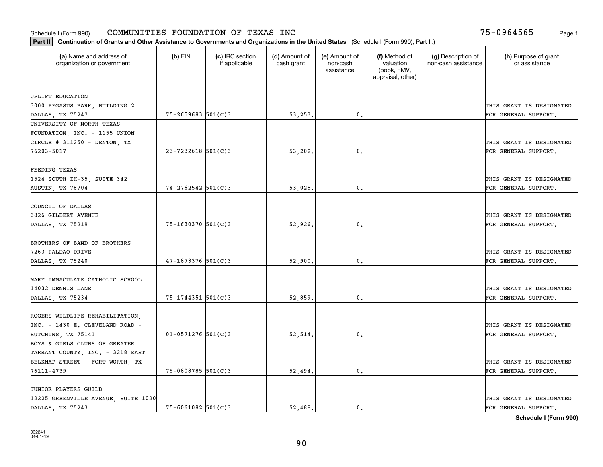| (a) Name and address of<br>organization or government       | $(b)$ EIN              | (c) IRC section<br>if applicable | (d) Amount of<br>cash grant | (e) Amount of<br>non-cash<br>assistance | (f) Method of<br>valuation<br>(book, FMV,<br>appraisal, other) | (g) Description of<br>non-cash assistance | (h) Purpose of grant<br>or assistance |
|-------------------------------------------------------------|------------------------|----------------------------------|-----------------------------|-----------------------------------------|----------------------------------------------------------------|-------------------------------------------|---------------------------------------|
| UPLIFT EDUCATION                                            |                        |                                  |                             |                                         |                                                                |                                           |                                       |
| 3000 PEGASUS PARK, BUILDING 2                               |                        |                                  |                             |                                         |                                                                |                                           | THIS GRANT IS DESIGNATED              |
| DALLAS, TX 75247                                            | $75 - 2659683$ 501(C)3 |                                  | 53,253.                     | $\mathbf{0}$ .                          |                                                                |                                           | FOR GENERAL SUPPORT.                  |
| UNIVERSITY OF NORTH TEXAS                                   |                        |                                  |                             |                                         |                                                                |                                           |                                       |
| FOUNDATION, INC. - 1155 UNION                               |                        |                                  |                             |                                         |                                                                |                                           |                                       |
| CIRCLE # 311250 - DENTON, TX                                |                        |                                  |                             |                                         |                                                                |                                           | THIS GRANT IS DESIGNATED              |
| 76203-5017                                                  | $23 - 7232618$ 501(C)3 |                                  | 53,202.                     | 0.                                      |                                                                |                                           | FOR GENERAL SUPPORT.                  |
|                                                             |                        |                                  |                             |                                         |                                                                |                                           |                                       |
| FEEDING TEXAS                                               |                        |                                  |                             |                                         |                                                                |                                           |                                       |
| 1524 SOUTH IH-35, SUITE 342                                 |                        |                                  |                             |                                         |                                                                |                                           | THIS GRANT IS DESIGNATED              |
| AUSTIN, TX 78704                                            | $74 - 2762542$ 501(C)3 |                                  | 53,025.                     | $\mathbf{0}$ .                          |                                                                |                                           | FOR GENERAL SUPPORT.                  |
| COUNCIL OF DALLAS                                           |                        |                                  |                             |                                         |                                                                |                                           |                                       |
| 3826 GILBERT AVENUE                                         |                        |                                  |                             |                                         |                                                                |                                           | THIS GRANT IS DESIGNATED              |
| DALLAS, TX 75219                                            | $75 - 1630370$ 501(C)3 |                                  | 52,926.                     | $\mathbf{0}$                            |                                                                |                                           | FOR GENERAL SUPPORT.                  |
|                                                             |                        |                                  |                             |                                         |                                                                |                                           |                                       |
| BROTHERS OF BAND OF BROTHERS                                |                        |                                  |                             |                                         |                                                                |                                           |                                       |
| 7263 PALDAO DRIVE                                           |                        |                                  |                             |                                         |                                                                |                                           | THIS GRANT IS DESIGNATED              |
| DALLAS, TX 75240                                            | $47 - 1873376$ 501(C)3 |                                  | 52,900                      | $\mathfrak o$ .                         |                                                                |                                           | FOR GENERAL SUPPORT.                  |
| MARY IMMACULATE CATHOLIC SCHOOL                             |                        |                                  |                             |                                         |                                                                |                                           |                                       |
| 14032 DENNIS LANE                                           |                        |                                  |                             |                                         |                                                                |                                           | THIS GRANT IS DESIGNATED              |
| DALLAS, TX 75234                                            | 75-1744351 501(C)3     |                                  | 52,859                      | 0.                                      |                                                                |                                           | FOR GENERAL SUPPORT.                  |
|                                                             |                        |                                  |                             |                                         |                                                                |                                           |                                       |
| ROGERS WILDLIFE REHABILITATION,                             |                        |                                  |                             |                                         |                                                                |                                           |                                       |
| INC. - 1430 E. CLEVELAND ROAD -                             |                        |                                  |                             |                                         |                                                                |                                           | THIS GRANT IS DESIGNATED              |
| HUTCHINS, TX 75141                                          | $01 - 0571276$ 501(C)3 |                                  | 52,514                      | $\mathbf{0}$ .                          |                                                                |                                           | FOR GENERAL SUPPORT.                  |
| BOYS & GIRLS CLUBS OF GREATER                               |                        |                                  |                             |                                         |                                                                |                                           |                                       |
| TARRANT COUNTY, INC. - 3218 EAST                            |                        |                                  |                             |                                         |                                                                |                                           |                                       |
| BELKNAP STREET - FORT WORTH, TX                             |                        |                                  |                             |                                         |                                                                |                                           | THIS GRANT IS DESIGNATED              |
| 76111-4739                                                  | 75-0808785 501(C)3     |                                  | 52,494.                     | 0.                                      |                                                                |                                           | FOR GENERAL SUPPORT.                  |
|                                                             |                        |                                  |                             |                                         |                                                                |                                           |                                       |
| JUNIOR PLAYERS GUILD<br>12225 GREENVILLE AVENUE, SUITE 1020 |                        |                                  |                             |                                         |                                                                |                                           | THIS GRANT IS DESIGNATED              |
|                                                             | $75 - 6061082$ 501(C)3 |                                  | 52,488.                     | $\mathbf{0}$ .                          |                                                                |                                           | FOR GENERAL SUPPORT.                  |
| DALLAS TX 75243                                             |                        |                                  |                             |                                         |                                                                |                                           |                                       |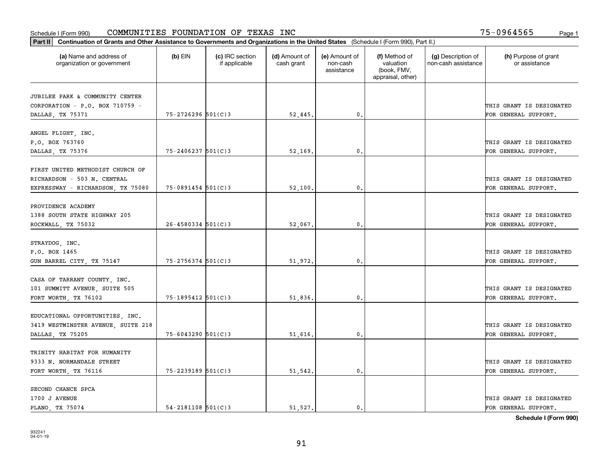| Part II   Continuation of Grants and Other Assistance to Governments and Organizations in the United States (Schedule I (Form 990), Part II.) |                          |                                  |                             |                                         |                                                                |                                           |                                                  |
|-----------------------------------------------------------------------------------------------------------------------------------------------|--------------------------|----------------------------------|-----------------------------|-----------------------------------------|----------------------------------------------------------------|-------------------------------------------|--------------------------------------------------|
| (a) Name and address of<br>organization or government                                                                                         | $(b)$ EIN                | (c) IRC section<br>if applicable | (d) Amount of<br>cash grant | (e) Amount of<br>non-cash<br>assistance | (f) Method of<br>valuation<br>(book, FMV,<br>appraisal, other) | (g) Description of<br>non-cash assistance | (h) Purpose of grant<br>or assistance            |
|                                                                                                                                               |                          |                                  |                             |                                         |                                                                |                                           |                                                  |
| JUBILEE PARK & COMMUNITY CENTER                                                                                                               |                          |                                  |                             |                                         |                                                                |                                           |                                                  |
| CORPORATION - P.O. BOX 710759 -                                                                                                               | 75-2726296 501(C)3       |                                  | 52,445.                     | $\mathbf{0}$ .                          |                                                                |                                           | THIS GRANT IS DESIGNATED<br>FOR GENERAL SUPPORT. |
| DALLAS, TX 75371                                                                                                                              |                          |                                  |                             |                                         |                                                                |                                           |                                                  |
| ANGEL FLIGHT, INC.                                                                                                                            |                          |                                  |                             |                                         |                                                                |                                           |                                                  |
| P.O. BOX 763760                                                                                                                               |                          |                                  |                             |                                         |                                                                |                                           | THIS GRANT IS DESIGNATED                         |
| DALLAS, TX 75376                                                                                                                              | $75 - 2406237$ 501(C)3   |                                  | 52,169                      | 0.                                      |                                                                |                                           | FOR GENERAL SUPPORT.                             |
|                                                                                                                                               |                          |                                  |                             |                                         |                                                                |                                           |                                                  |
| FIRST UNITED METHODIST CHURCH OF                                                                                                              |                          |                                  |                             |                                         |                                                                |                                           |                                                  |
| RICHARDSON - 503 N. CENTRAL                                                                                                                   |                          |                                  |                             |                                         |                                                                |                                           | THIS GRANT IS DESIGNATED                         |
| EXPRESSWAY - RICHARDSON, TX 75080                                                                                                             | $75 - 0891454$ 501(C)3   |                                  | 52,100.                     | 0.                                      |                                                                |                                           | FOR GENERAL SUPPORT.                             |
|                                                                                                                                               |                          |                                  |                             |                                         |                                                                |                                           |                                                  |
| PROVIDENCE ACADEMY                                                                                                                            |                          |                                  |                             |                                         |                                                                |                                           |                                                  |
| 1388 SOUTH STATE HIGHWAY 205                                                                                                                  |                          |                                  |                             |                                         |                                                                |                                           | THIS GRANT IS DESIGNATED                         |
| ROCKWALL, TX 75032                                                                                                                            | $26 - 4580334$ 501(C)3   |                                  | 52,067.                     | 0.                                      |                                                                |                                           | FOR GENERAL SUPPORT.                             |
|                                                                                                                                               |                          |                                  |                             |                                         |                                                                |                                           |                                                  |
| STRAYDOG, INC.                                                                                                                                |                          |                                  |                             |                                         |                                                                |                                           |                                                  |
| P.O. BOX 1465                                                                                                                                 |                          |                                  |                             |                                         |                                                                |                                           | THIS GRANT IS DESIGNATED                         |
| GUN BARREL CITY, TX 75147                                                                                                                     | 75-2756374 501(C)3       |                                  | 51,972.                     | $\mathbf{0}$ .                          |                                                                |                                           | FOR GENERAL SUPPORT.                             |
|                                                                                                                                               |                          |                                  |                             |                                         |                                                                |                                           |                                                  |
| CASA OF TARRANT COUNTY, INC.                                                                                                                  |                          |                                  |                             |                                         |                                                                |                                           |                                                  |
| 101 SUMMITT AVENUE, SUITE 505                                                                                                                 |                          |                                  |                             |                                         |                                                                |                                           | THIS GRANT IS DESIGNATED                         |
| FORT WORTH, TX 76102                                                                                                                          | 75-1895412 501(C)3       |                                  | 51,836.                     | $\mathbf{0}$ .                          |                                                                |                                           | FOR GENERAL SUPPORT.                             |
|                                                                                                                                               |                          |                                  |                             |                                         |                                                                |                                           |                                                  |
| EDUCATIONAL OPPORTUNITIES, INC.                                                                                                               |                          |                                  |                             |                                         |                                                                |                                           |                                                  |
| 3419 WESTMINSTER AVENUE, SUITE 218                                                                                                            |                          |                                  |                             |                                         |                                                                |                                           | THIS GRANT IS DESIGNATED                         |
| DALLAS, TX 75205                                                                                                                              | 75-6043290 501(C)3       |                                  | 51,616.                     | 0.                                      |                                                                |                                           | FOR GENERAL SUPPORT.                             |
|                                                                                                                                               |                          |                                  |                             |                                         |                                                                |                                           |                                                  |
| TRINITY HABITAT FOR HUMANITY                                                                                                                  |                          |                                  |                             |                                         |                                                                |                                           |                                                  |
| 9333 N. NORMANDALE STREET                                                                                                                     |                          |                                  |                             |                                         |                                                                |                                           | THIS GRANT IS DESIGNATED                         |
| FORT WORTH, TX 76116                                                                                                                          | 75-2239189 501(C)3       |                                  | 51,542.                     | $\mathfrak{o}$ .                        |                                                                |                                           | FOR GENERAL SUPPORT.                             |
|                                                                                                                                               |                          |                                  |                             |                                         |                                                                |                                           |                                                  |
| SECOND CHANCE SPCA                                                                                                                            |                          |                                  |                             |                                         |                                                                |                                           |                                                  |
| 1700 J AVENUE                                                                                                                                 |                          |                                  |                             |                                         |                                                                |                                           | THIS GRANT IS DESIGNATED                         |
| PLANO, TX 75074                                                                                                                               | $54 - 2181108$ $501(C)3$ |                                  | 51,527.                     | $\mathbf{0}$ .                          |                                                                |                                           | FOR GENERAL SUPPORT.                             |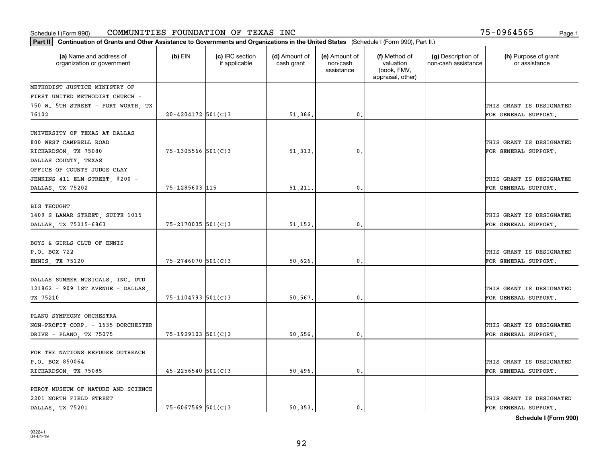| Part II   Continuation of Grants and Other Assistance to Governments and Organizations in the United States (Schedule I (Form 990), Part II.) |                        |                                  |                             |                                         |                                                                |                                           |                                                  |
|-----------------------------------------------------------------------------------------------------------------------------------------------|------------------------|----------------------------------|-----------------------------|-----------------------------------------|----------------------------------------------------------------|-------------------------------------------|--------------------------------------------------|
| (a) Name and address of<br>organization or government                                                                                         | $(b)$ EIN              | (c) IRC section<br>if applicable | (d) Amount of<br>cash grant | (e) Amount of<br>non-cash<br>assistance | (f) Method of<br>valuation<br>(book, FMV,<br>appraisal, other) | (g) Description of<br>non-cash assistance | (h) Purpose of grant<br>or assistance            |
| METHODIST JUSTICE MINISTRY OF                                                                                                                 |                        |                                  |                             |                                         |                                                                |                                           |                                                  |
| FIRST UNITED METHODIST CHURCH -                                                                                                               |                        |                                  |                             |                                         |                                                                |                                           |                                                  |
| 750 W. 5TH STREET - FORT WORTH, TX                                                                                                            |                        |                                  |                             |                                         |                                                                |                                           | THIS GRANT IS DESIGNATED                         |
| 76102                                                                                                                                         | $20 - 4204172$ 501(C)3 |                                  | 51,386.                     | 0.                                      |                                                                |                                           | FOR GENERAL SUPPORT.                             |
| UNIVERSITY OF TEXAS AT DALLAS<br>800 WEST CAMPBELL ROAD                                                                                       |                        |                                  |                             |                                         |                                                                |                                           | THIS GRANT IS DESIGNATED                         |
| RICHARDSON, TX 75080                                                                                                                          | $75 - 1305566$ 501(C)3 |                                  | 51, 313.                    | $^{\circ}$ .                            |                                                                |                                           | FOR GENERAL SUPPORT.                             |
| DALLAS COUNTY, TEXAS                                                                                                                          |                        |                                  |                             |                                         |                                                                |                                           |                                                  |
| OFFICE OF COUNTY JUDGE CLAY<br>JENKINS 411 ELM STREET, #200 -                                                                                 |                        |                                  |                             |                                         |                                                                |                                           | THIS GRANT IS DESIGNATED                         |
| DALLAS, TX 75202                                                                                                                              | 75-1285603 115         |                                  | 51,211.                     | $\mathbf{0}$ .                          |                                                                |                                           | FOR GENERAL SUPPORT.                             |
| <b>BIG THOUGHT</b><br>1409 S LAMAR STREET, SUITE 1015<br>DALLAS, TX 75215-6863                                                                | 75-2170035 501(C)3     |                                  | 51,152.                     | 0.                                      |                                                                |                                           | THIS GRANT IS DESIGNATED<br>FOR GENERAL SUPPORT. |
| BOYS & GIRLS CLUB OF ENNIS<br>P.O. BOX 722<br>ENNIS, TX 75120                                                                                 | $75 - 2746070$ 501(C)3 |                                  | 50,626.                     | 0.                                      |                                                                |                                           | THIS GRANT IS DESIGNATED<br>FOR GENERAL SUPPORT. |
| DALLAS SUMMER MUSICALS, INC. DTD<br>121862 - 909 1ST AVENUE - DALLAS,<br>TX 75210                                                             | $75 - 1104793$ 501(C)3 |                                  | 50.567.                     | 0.                                      |                                                                |                                           | THIS GRANT IS DESIGNATED<br>FOR GENERAL SUPPORT. |
| PLANO SYMPHONY ORCHESTRA<br>NON-PROFIT CORP. - 1635 DORCHESTER<br>DRIVE - PLANO, TX 75075                                                     | $75 - 1929103$ 501(C)3 |                                  | 50,556.                     | $\mathbf{0}$ .                          |                                                                |                                           | THIS GRANT IS DESIGNATED<br>FOR GENERAL SUPPORT. |
| FOR THE NATIONS REFUGEE OUTREACH<br>P.O. BOX 850064<br>RICHARDSON, TX 75085                                                                   | $45 - 2256540$ 501(C)3 |                                  | 50,496.                     | 0.                                      |                                                                |                                           | THIS GRANT IS DESIGNATED<br>FOR GENERAL SUPPORT. |
| PEROT MUSEUM OF NATURE AND SCIENCE<br>2201 NORTH FIELD STREET<br>DALLAS TX 75201                                                              | $75 - 6067569$ 501(C)3 |                                  | 50.353.                     | $\mathbf{0}$ .                          |                                                                |                                           | THIS GRANT IS DESIGNATED<br>FOR GENERAL SUPPORT. |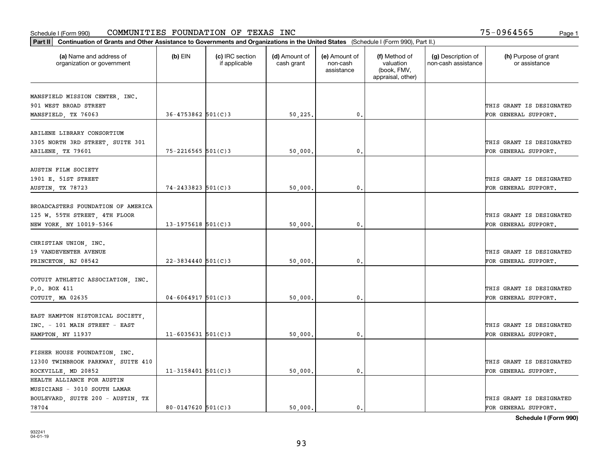| Part II   Continuation of Grants and Other Assistance to Governments and Organizations in the United States (Schedule I (Form 990), Part II.) |                        |                                  |                             |                                         |                                                                |                                           |                                       |
|-----------------------------------------------------------------------------------------------------------------------------------------------|------------------------|----------------------------------|-----------------------------|-----------------------------------------|----------------------------------------------------------------|-------------------------------------------|---------------------------------------|
| (a) Name and address of<br>organization or government                                                                                         | $(b)$ EIN              | (c) IRC section<br>if applicable | (d) Amount of<br>cash grant | (e) Amount of<br>non-cash<br>assistance | (f) Method of<br>valuation<br>(book, FMV,<br>appraisal, other) | (g) Description of<br>non-cash assistance | (h) Purpose of grant<br>or assistance |
|                                                                                                                                               |                        |                                  |                             |                                         |                                                                |                                           |                                       |
| MANSFIELD MISSION CENTER, INC.<br>901 WEST BROAD STREET                                                                                       |                        |                                  |                             |                                         |                                                                |                                           | THIS GRANT IS DESIGNATED              |
| MANSFIELD, TX 76063                                                                                                                           | $36 - 4753862$ 501(C)3 |                                  | 50,225.                     | 0.                                      |                                                                |                                           | FOR GENERAL SUPPORT.                  |
|                                                                                                                                               |                        |                                  |                             |                                         |                                                                |                                           |                                       |
| ABILENE LIBRARY CONSORTIUM                                                                                                                    |                        |                                  |                             |                                         |                                                                |                                           |                                       |
| 3305 NORTH 3RD STREET, SUITE 301                                                                                                              |                        |                                  |                             |                                         |                                                                |                                           | THIS GRANT IS DESIGNATED              |
| ABILENE, TX 79601                                                                                                                             | $75 - 2216565$ 501(C)3 |                                  | 50,000                      | $\mathbf{0}$                            |                                                                |                                           | FOR GENERAL SUPPORT.                  |
|                                                                                                                                               |                        |                                  |                             |                                         |                                                                |                                           |                                       |
| AUSTIN FILM SOCIETY                                                                                                                           |                        |                                  |                             |                                         |                                                                |                                           |                                       |
| 1901 E. 51ST STREET                                                                                                                           |                        |                                  |                             |                                         |                                                                |                                           | THIS GRANT IS DESIGNATED              |
| AUSTIN, TX 78723                                                                                                                              | $74 - 2433823$ 501(C)3 |                                  | 50,000.                     | $\mathbf{0}$ .                          |                                                                |                                           | FOR GENERAL SUPPORT.                  |
| BROADCASTERS FOUNDATION OF AMERICA                                                                                                            |                        |                                  |                             |                                         |                                                                |                                           |                                       |
| 125 W. 55TH STREET, 4TH FLOOR                                                                                                                 |                        |                                  |                             |                                         |                                                                |                                           | THIS GRANT IS DESIGNATED              |
| NEW YORK, NY 10019-5366                                                                                                                       | $13 - 1975618$ 501(C)3 |                                  | 50,000                      | $\mathbf{0}$                            |                                                                |                                           | FOR GENERAL SUPPORT.                  |
|                                                                                                                                               |                        |                                  |                             |                                         |                                                                |                                           |                                       |
| CHRISTIAN UNION, INC.                                                                                                                         |                        |                                  |                             |                                         |                                                                |                                           |                                       |
| 19 VANDEVENTER AVENUE                                                                                                                         |                        |                                  |                             |                                         |                                                                |                                           | THIS GRANT IS DESIGNATED              |
| PRINCETON, NJ 08542                                                                                                                           | $22 - 3834440$ 501(C)3 |                                  | 50,000                      | $\mathbf{0}$                            |                                                                |                                           | FOR GENERAL SUPPORT.                  |
|                                                                                                                                               |                        |                                  |                             |                                         |                                                                |                                           |                                       |
| COTUIT ATHLETIC ASSOCIATION, INC.                                                                                                             |                        |                                  |                             |                                         |                                                                |                                           |                                       |
| P.O. BOX 411                                                                                                                                  |                        |                                  |                             |                                         |                                                                |                                           | THIS GRANT IS DESIGNATED              |
| COTUIT, MA 02635                                                                                                                              | $04 - 6064917$ 501(C)3 |                                  | 50,000.                     | $\mathbf{0}$                            |                                                                |                                           | FOR GENERAL SUPPORT.                  |
|                                                                                                                                               |                        |                                  |                             |                                         |                                                                |                                           |                                       |
| EAST HAMPTON HISTORICAL SOCIETY,<br>INC. - 101 MAIN STREET - EAST                                                                             |                        |                                  |                             |                                         |                                                                |                                           | THIS GRANT IS DESIGNATED              |
| HAMPTON, NY 11937                                                                                                                             | $11 - 6035631$ 501(C)3 |                                  | 50,000                      | $^{\rm 0}$ .                            |                                                                |                                           | FOR GENERAL SUPPORT.                  |
|                                                                                                                                               |                        |                                  |                             |                                         |                                                                |                                           |                                       |
| FISHER HOUSE FOUNDATION, INC.                                                                                                                 |                        |                                  |                             |                                         |                                                                |                                           |                                       |
| 12300 TWINBROOK PARKWAY, SUITE 410                                                                                                            |                        |                                  |                             |                                         |                                                                |                                           | THIS GRANT IS DESIGNATED              |
| ROCKVILLE, MD 20852                                                                                                                           | $11 - 3158401$ 501(C)3 |                                  | 50,000.                     | $\mathfrak{o}$ .                        |                                                                |                                           | FOR GENERAL SUPPORT.                  |
| HEALTH ALLIANCE FOR AUSTIN                                                                                                                    |                        |                                  |                             |                                         |                                                                |                                           |                                       |
| MUSICIANS - 3010 SOUTH LAMAR                                                                                                                  |                        |                                  |                             |                                         |                                                                |                                           |                                       |
| BOULEVARD, SUITE 200 - AUSTIN, TX                                                                                                             |                        |                                  |                             |                                         |                                                                |                                           | THIS GRANT IS DESIGNATED              |
| 78704                                                                                                                                         | $80 - 0147620$ 501(C)3 |                                  | 50.000.                     | $\mathfrak{o}$ .                        |                                                                |                                           | FOR GENERAL SUPPORT.                  |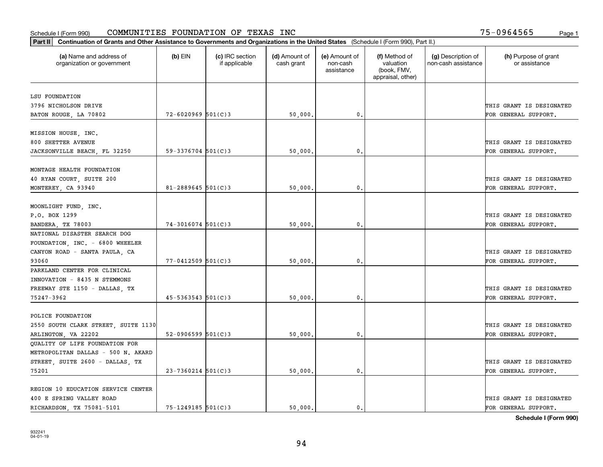| Part II   Continuation of Grants and Other Assistance to Governments and Organizations in the United States (Schedule I (Form 990), Part II.) |                          |                                  |                             |                                         |                                                                |                                           |                                       |
|-----------------------------------------------------------------------------------------------------------------------------------------------|--------------------------|----------------------------------|-----------------------------|-----------------------------------------|----------------------------------------------------------------|-------------------------------------------|---------------------------------------|
| (a) Name and address of<br>organization or government                                                                                         | $(b)$ EIN                | (c) IRC section<br>if applicable | (d) Amount of<br>cash grant | (e) Amount of<br>non-cash<br>assistance | (f) Method of<br>valuation<br>(book, FMV,<br>appraisal, other) | (g) Description of<br>non-cash assistance | (h) Purpose of grant<br>or assistance |
| LSU FOUNDATION                                                                                                                                |                          |                                  |                             |                                         |                                                                |                                           |                                       |
| 3796 NICHOLSON DRIVE                                                                                                                          |                          |                                  |                             |                                         |                                                                |                                           | THIS GRANT IS DESIGNATED              |
| BATON ROUGE, LA 70802                                                                                                                         | $72 - 6020969$ 501(C)3   |                                  | 50,000.                     | 0.                                      |                                                                |                                           | FOR GENERAL SUPPORT.                  |
|                                                                                                                                               |                          |                                  |                             |                                         |                                                                |                                           |                                       |
| MISSION HOUSE, INC.                                                                                                                           |                          |                                  |                             |                                         |                                                                |                                           |                                       |
| 800 SHETTER AVENUE                                                                                                                            |                          |                                  |                             |                                         |                                                                |                                           | THIS GRANT IS DESIGNATED              |
| JACKSONVILLE BEACH, FL 32250                                                                                                                  | $59 - 3376704$ 501(C)3   |                                  | 50,000                      | 0.                                      |                                                                |                                           | FOR GENERAL SUPPORT.                  |
|                                                                                                                                               |                          |                                  |                             |                                         |                                                                |                                           |                                       |
| MONTAGE HEALTH FOUNDATION                                                                                                                     |                          |                                  |                             |                                         |                                                                |                                           |                                       |
| 40 RYAN COURT, SUITE 200                                                                                                                      |                          |                                  |                             |                                         |                                                                |                                           | THIS GRANT IS DESIGNATED              |
| MONTEREY, CA 93940                                                                                                                            | $81 - 2889645$ 501(C)3   |                                  | 50,000.                     | $\mathbf{0}$ .                          |                                                                |                                           | FOR GENERAL SUPPORT.                  |
|                                                                                                                                               |                          |                                  |                             |                                         |                                                                |                                           |                                       |
| MOONLIGHT FUND, INC.                                                                                                                          |                          |                                  |                             |                                         |                                                                |                                           |                                       |
| P.O. BOX 1299                                                                                                                                 |                          |                                  |                             |                                         |                                                                |                                           | THIS GRANT IS DESIGNATED              |
| BANDERA, TX 78003                                                                                                                             | $74 - 3016074$ 501(C)3   |                                  | 50,000.                     | 0.                                      |                                                                |                                           | FOR GENERAL SUPPORT.                  |
| NATIONAL DISASTER SEARCH DOG                                                                                                                  |                          |                                  |                             |                                         |                                                                |                                           |                                       |
| FOUNDATION, INC. - 6800 WHEELER                                                                                                               |                          |                                  |                             |                                         |                                                                |                                           |                                       |
| CANYON ROAD - SANTA PAULA, CA                                                                                                                 |                          |                                  |                             |                                         |                                                                |                                           | THIS GRANT IS DESIGNATED              |
| 93060                                                                                                                                         | $77 - 0412509$ 501(C)3   |                                  | 50,000.                     | 0.                                      |                                                                |                                           | FOR GENERAL SUPPORT.                  |
| PARKLAND CENTER FOR CLINICAL                                                                                                                  |                          |                                  |                             |                                         |                                                                |                                           |                                       |
| INNOVATION - 8435 N STEMMONS                                                                                                                  |                          |                                  |                             |                                         |                                                                |                                           |                                       |
| FREEWAY STE 1150 - DALLAS, TX                                                                                                                 |                          |                                  |                             |                                         |                                                                |                                           | THIS GRANT IS DESIGNATED              |
| 75247-3962                                                                                                                                    | $45 - 5363543$ $501(C)3$ |                                  | 50,000                      | 0.                                      |                                                                |                                           | FOR GENERAL SUPPORT.                  |
|                                                                                                                                               |                          |                                  |                             |                                         |                                                                |                                           |                                       |
| POLICE FOUNDATION                                                                                                                             |                          |                                  |                             |                                         |                                                                |                                           |                                       |
| 2550 SOUTH CLARK STREET, SUITE 1130                                                                                                           |                          |                                  |                             |                                         |                                                                |                                           | THIS GRANT IS DESIGNATED              |
| ARLINGTON, VA 22202                                                                                                                           | 52-0906599 $501(C)3$     |                                  | 50,000                      | 0.                                      |                                                                |                                           | FOR GENERAL SUPPORT.                  |
| QUALITY OF LIFE FOUNDATION FOR                                                                                                                |                          |                                  |                             |                                         |                                                                |                                           |                                       |
| METROPOLITAN DALLAS - 500 N. AKARD                                                                                                            |                          |                                  |                             |                                         |                                                                |                                           |                                       |
| STREET, SUITE 2600 - DALLAS, TX                                                                                                               |                          |                                  |                             |                                         |                                                                |                                           | THIS GRANT IS DESIGNATED              |
| 75201                                                                                                                                         | $23 - 7360214$ 501(C)3   |                                  | 50,000                      | 0.                                      |                                                                |                                           | FOR GENERAL SUPPORT.                  |
| REGION 10 EDUCATION SERVICE CENTER                                                                                                            |                          |                                  |                             |                                         |                                                                |                                           |                                       |
| 400 E SPRING VALLEY ROAD                                                                                                                      |                          |                                  |                             |                                         |                                                                |                                           | THIS GRANT IS DESIGNATED              |
| RICHARDSON, TX 75081-5101                                                                                                                     | $75 - 1249185$ 501(C)3   |                                  | 50.000.                     | 0.                                      |                                                                |                                           | FOR GENERAL SUPPORT.                  |
|                                                                                                                                               |                          |                                  |                             |                                         |                                                                |                                           |                                       |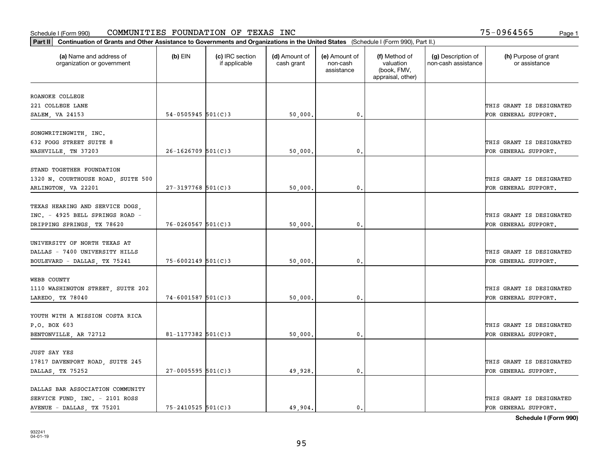| Part II   Continuation of Grants and Other Assistance to Governments and Organizations in the United States (Schedule I (Form 990), Part II.) |                         |                                  |                             |                                         |                                                                |                                           |                                       |
|-----------------------------------------------------------------------------------------------------------------------------------------------|-------------------------|----------------------------------|-----------------------------|-----------------------------------------|----------------------------------------------------------------|-------------------------------------------|---------------------------------------|
| (a) Name and address of<br>organization or government                                                                                         | $(b)$ EIN               | (c) IRC section<br>if applicable | (d) Amount of<br>cash grant | (e) Amount of<br>non-cash<br>assistance | (f) Method of<br>valuation<br>(book, FMV,<br>appraisal, other) | (g) Description of<br>non-cash assistance | (h) Purpose of grant<br>or assistance |
| ROANOKE COLLEGE                                                                                                                               |                         |                                  |                             |                                         |                                                                |                                           |                                       |
| 221 COLLEGE LANE                                                                                                                              |                         |                                  |                             |                                         |                                                                |                                           | THIS GRANT IS DESIGNATED              |
| SALEM, VA 24153                                                                                                                               | $54 - 0505945$ 501(C)3  |                                  | 50,000.                     | $\mathbf{0}$ .                          |                                                                |                                           | FOR GENERAL SUPPORT.                  |
|                                                                                                                                               |                         |                                  |                             |                                         |                                                                |                                           |                                       |
| SONGWRITINGWITH, INC.<br>632 FOGG STREET SUITE 8                                                                                              |                         |                                  |                             |                                         |                                                                |                                           |                                       |
|                                                                                                                                               | $26 - 1626709$ 501(C)3  |                                  |                             |                                         |                                                                |                                           | THIS GRANT IS DESIGNATED              |
| NASHVILLE, TN 37203                                                                                                                           |                         |                                  | 50,000                      | 0.                                      |                                                                |                                           | FOR GENERAL SUPPORT.                  |
| STAND TOGETHER FOUNDATION                                                                                                                     |                         |                                  |                             |                                         |                                                                |                                           |                                       |
| 1320 N. COURTHOUSE ROAD, SUITE 500                                                                                                            |                         |                                  |                             |                                         |                                                                |                                           | THIS GRANT IS DESIGNATED              |
| ARLINGTON, VA 22201                                                                                                                           | $27 - 3197768$ 501(C) 3 |                                  | 50,000.                     | $\mathfrak o$ .                         |                                                                |                                           | FOR GENERAL SUPPORT.                  |
|                                                                                                                                               |                         |                                  |                             |                                         |                                                                |                                           |                                       |
| TEXAS HEARING AND SERVICE DOGS,                                                                                                               |                         |                                  |                             |                                         |                                                                |                                           |                                       |
| INC. - 4925 BELL SPRINGS ROAD -                                                                                                               |                         |                                  |                             |                                         |                                                                |                                           | THIS GRANT IS DESIGNATED              |
| DRIPPING SPRINGS, TX 78620                                                                                                                    | $76 - 0260567$ 501(C)3  |                                  | 50,000                      | $\mathbf{0}$                            |                                                                |                                           | FOR GENERAL SUPPORT.                  |
| UNIVERSITY OF NORTH TEXAS AT                                                                                                                  |                         |                                  |                             |                                         |                                                                |                                           |                                       |
| DALLAS - 7400 UNIVERSITY HILLS                                                                                                                |                         |                                  |                             |                                         |                                                                |                                           | THIS GRANT IS DESIGNATED              |
| BOULEVARD - DALLAS, TX 75241                                                                                                                  | $75 - 6002149$ 501(C)3  |                                  | 50,000                      | 0.                                      |                                                                |                                           | FOR GENERAL SUPPORT.                  |
|                                                                                                                                               |                         |                                  |                             |                                         |                                                                |                                           |                                       |
| WEBB COUNTY                                                                                                                                   |                         |                                  |                             |                                         |                                                                |                                           |                                       |
| 1110 WASHINGTON STREET, SUITE 202                                                                                                             |                         |                                  |                             |                                         |                                                                |                                           | THIS GRANT IS DESIGNATED              |
| LAREDO, TX 78040                                                                                                                              | $74 - 6001587$ 501(C)3  |                                  | 50,000                      | $\mathfrak{o}$ .                        |                                                                |                                           | FOR GENERAL SUPPORT.                  |
|                                                                                                                                               |                         |                                  |                             |                                         |                                                                |                                           |                                       |
| YOUTH WITH A MISSION COSTA RICA                                                                                                               |                         |                                  |                             |                                         |                                                                |                                           |                                       |
| P.O. BOX 603                                                                                                                                  |                         |                                  |                             |                                         |                                                                |                                           | THIS GRANT IS DESIGNATED              |
| BENTONVILLE, AR 72712                                                                                                                         | $81 - 1177382$ 501(C)3  |                                  | 50,000.                     | $\mathfrak{o}$ .                        |                                                                |                                           | FOR GENERAL SUPPORT.                  |
| <b>JUST SAY YES</b>                                                                                                                           |                         |                                  |                             |                                         |                                                                |                                           |                                       |
| 17817 DAVENPORT ROAD, SUITE 245                                                                                                               |                         |                                  |                             |                                         |                                                                |                                           | THIS GRANT IS DESIGNATED              |
| DALLAS, TX 75252                                                                                                                              | $27 - 0005595$ 501(C)3  |                                  | 49,928                      | 0.                                      |                                                                |                                           | FOR GENERAL SUPPORT.                  |
|                                                                                                                                               |                         |                                  |                             |                                         |                                                                |                                           |                                       |
| DALLAS BAR ASSOCIATION COMMUNITY                                                                                                              |                         |                                  |                             |                                         |                                                                |                                           |                                       |
| SERVICE FUND, INC. - 2101 ROSS                                                                                                                |                         |                                  |                             |                                         |                                                                |                                           | THIS GRANT IS DESIGNATED              |
| AVENUE - DALLAS, TX 75201                                                                                                                     | 75-2410525 501(C)3      |                                  | 49.904.                     | $\mathbf{0}$ .                          |                                                                |                                           | FOR GENERAL SUPPORT.                  |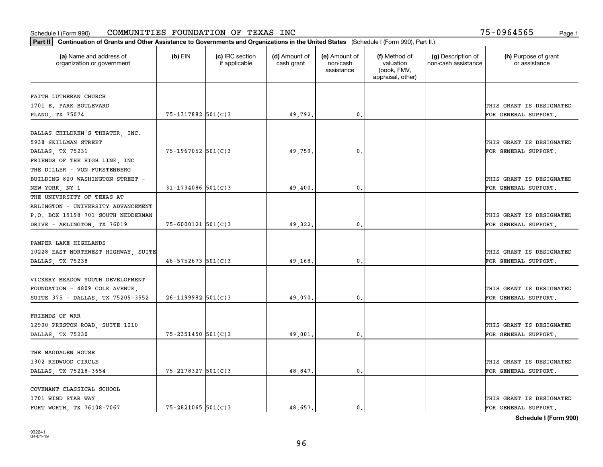| Part II   Continuation of Grants and Other Assistance to Governments and Organizations in the United States (Schedule I (Form 990), Part II.) |                        |                                  |                             |                                         |                                                                |                                           |                                       |
|-----------------------------------------------------------------------------------------------------------------------------------------------|------------------------|----------------------------------|-----------------------------|-----------------------------------------|----------------------------------------------------------------|-------------------------------------------|---------------------------------------|
| (a) Name and address of<br>organization or government                                                                                         | $(b)$ EIN              | (c) IRC section<br>if applicable | (d) Amount of<br>cash grant | (e) Amount of<br>non-cash<br>assistance | (f) Method of<br>valuation<br>(book, FMV,<br>appraisal, other) | (g) Description of<br>non-cash assistance | (h) Purpose of grant<br>or assistance |
| FAITH LUTHERAN CHURCH                                                                                                                         |                        |                                  |                             |                                         |                                                                |                                           |                                       |
| 1701 E. PARK BOULEVARD                                                                                                                        |                        |                                  |                             |                                         |                                                                |                                           | THIS GRANT IS DESIGNATED              |
| PLANO, TX 75074                                                                                                                               | 75-1317882 501(C)3     |                                  | 49,792.                     | $\mathbf{0}$ .                          |                                                                |                                           | FOR GENERAL SUPPORT.                  |
|                                                                                                                                               |                        |                                  |                             |                                         |                                                                |                                           |                                       |
| DALLAS CHILDREN'S THEATER, INC.                                                                                                               |                        |                                  |                             |                                         |                                                                |                                           |                                       |
| 5938 SKILLMAN STREET                                                                                                                          |                        |                                  |                             |                                         |                                                                |                                           | THIS GRANT IS DESIGNATED              |
| DALLAS TX 75231                                                                                                                               | 75-1967052 501(C)3     |                                  | 49.759                      | 0.                                      |                                                                |                                           | FOR GENERAL SUPPORT.                  |
| FRIENDS OF THE HIGH LINE, INC                                                                                                                 |                        |                                  |                             |                                         |                                                                |                                           |                                       |
| THE DILLER - VON FURSTENBERG                                                                                                                  |                        |                                  |                             |                                         |                                                                |                                           |                                       |
| BUILDING 820 WASHINGTON STREET -                                                                                                              |                        |                                  |                             |                                         |                                                                |                                           | THIS GRANT IS DESIGNATED              |
| NEW YORK, NY 1                                                                                                                                | $31 - 1734086$ 501(C)3 |                                  | 49,400.                     | $\mathbf{0}$ .                          |                                                                |                                           | FOR GENERAL SUPPORT.                  |
| THE UNIVERSITY OF TEXAS AT                                                                                                                    |                        |                                  |                             |                                         |                                                                |                                           |                                       |
| ARLINGTON - UNIVERSITY ADVANCEMENT                                                                                                            |                        |                                  |                             |                                         |                                                                |                                           |                                       |
| P.O. BOX 19198 701 SOUTH NEDDERMAN                                                                                                            |                        |                                  |                             |                                         |                                                                |                                           | THIS GRANT IS DESIGNATED              |
|                                                                                                                                               | $75 - 6000121$ 501(C)3 |                                  | 49,322.                     | 0.                                      |                                                                |                                           | FOR GENERAL SUPPORT.                  |
| DRIVE - ARLINGTON, TX 76019                                                                                                                   |                        |                                  |                             |                                         |                                                                |                                           |                                       |
| PAMPER LAKE HIGHLANDS                                                                                                                         |                        |                                  |                             |                                         |                                                                |                                           |                                       |
|                                                                                                                                               |                        |                                  |                             |                                         |                                                                |                                           | THIS GRANT IS DESIGNATED              |
| 10228 EAST NORTHWEST HIGHWAY, SUITE                                                                                                           | $46 - 5752673$ 501(C)3 |                                  |                             |                                         |                                                                |                                           |                                       |
| DALLAS, TX 75238                                                                                                                              |                        |                                  | 49,168.                     | $\mathbf 0$ .                           |                                                                |                                           | FOR GENERAL SUPPORT.                  |
| VICKERY MEADOW YOUTH DEVELOPMENT                                                                                                              |                        |                                  |                             |                                         |                                                                |                                           |                                       |
| FOUNDATION - 4809 COLE AVENUE                                                                                                                 |                        |                                  |                             |                                         |                                                                |                                           | THIS GRANT IS DESIGNATED              |
|                                                                                                                                               | $26 - 1199982$ 501(C)3 |                                  | 49,070.                     | 0.                                      |                                                                |                                           |                                       |
| SUITE 375 - DALLAS, TX 75205-3552                                                                                                             |                        |                                  |                             |                                         |                                                                |                                           | FOR GENERAL SUPPORT.                  |
| FRIENDS OF WRR                                                                                                                                |                        |                                  |                             |                                         |                                                                |                                           |                                       |
|                                                                                                                                               |                        |                                  |                             |                                         |                                                                |                                           | THIS GRANT IS DESIGNATED              |
| 12900 PRESTON ROAD, SUITE 1210                                                                                                                |                        |                                  |                             |                                         |                                                                |                                           |                                       |
| DALLAS, TX 75230                                                                                                                              | 75-2351450 501(C)3     |                                  | 49,001                      | 0.                                      |                                                                |                                           | FOR GENERAL SUPPORT.                  |
| THE MAGDALEN HOUSE                                                                                                                            |                        |                                  |                             |                                         |                                                                |                                           |                                       |
|                                                                                                                                               |                        |                                  |                             |                                         |                                                                |                                           |                                       |
| 1302 REDWOOD CIRCLE                                                                                                                           |                        |                                  |                             |                                         |                                                                |                                           | THIS GRANT IS DESIGNATED              |
| DALLAS, TX 75218-3654                                                                                                                         | 75-2178327 501(C)3     |                                  | 48,847                      | $\mathbf{0}$ .                          |                                                                |                                           | FOR GENERAL SUPPORT.                  |
| COVENANT CLASSICAL SCHOOL                                                                                                                     |                        |                                  |                             |                                         |                                                                |                                           |                                       |
| 1701 WIND STAR WAY                                                                                                                            |                        |                                  |                             |                                         |                                                                |                                           | THIS GRANT IS DESIGNATED              |
| FORT WORTH TX 76108-7067                                                                                                                      | $75 - 2821065$ 501(C)3 |                                  | 48,657.                     | $\mathbf{0}$ .                          |                                                                |                                           | FOR GENERAL SUPPORT.                  |
|                                                                                                                                               |                        |                                  |                             |                                         |                                                                |                                           |                                       |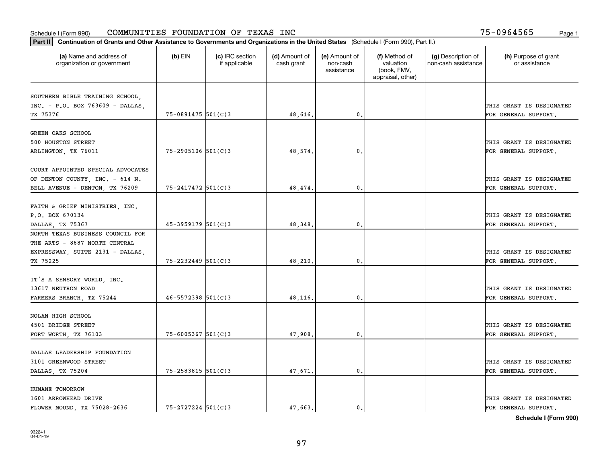| Part II   Continuation of Grants and Other Assistance to Governments and Organizations in the United States (Schedule I (Form 990), Part II.) |                        |                                  |                             |                                         |                                                                |                                           |                                       |
|-----------------------------------------------------------------------------------------------------------------------------------------------|------------------------|----------------------------------|-----------------------------|-----------------------------------------|----------------------------------------------------------------|-------------------------------------------|---------------------------------------|
| (a) Name and address of<br>organization or government                                                                                         | $(b)$ EIN              | (c) IRC section<br>if applicable | (d) Amount of<br>cash grant | (e) Amount of<br>non-cash<br>assistance | (f) Method of<br>valuation<br>(book, FMV,<br>appraisal, other) | (g) Description of<br>non-cash assistance | (h) Purpose of grant<br>or assistance |
| SOUTHERN BIBLE TRAINING SCHOOL,                                                                                                               |                        |                                  |                             |                                         |                                                                |                                           |                                       |
| INC. - P.O. BOX 763609 - DALLAS,                                                                                                              |                        |                                  |                             |                                         |                                                                |                                           | THIS GRANT IS DESIGNATED              |
| TX 75376                                                                                                                                      | $75 - 0891475$ 501(C)3 |                                  | 48,616.                     | 0.                                      |                                                                |                                           | FOR GENERAL SUPPORT.                  |
|                                                                                                                                               |                        |                                  |                             |                                         |                                                                |                                           |                                       |
| GREEN OAKS SCHOOL                                                                                                                             |                        |                                  |                             |                                         |                                                                |                                           |                                       |
| 500 HOUSTON STREET                                                                                                                            |                        |                                  |                             |                                         |                                                                |                                           | THIS GRANT IS DESIGNATED              |
| ARLINGTON, TX 76011                                                                                                                           | $75 - 2905106$ 501(C)3 |                                  | 48,574                      | 0.                                      |                                                                |                                           | FOR GENERAL SUPPORT.                  |
|                                                                                                                                               |                        |                                  |                             |                                         |                                                                |                                           |                                       |
| COURT APPOINTED SPECIAL ADVOCATES                                                                                                             |                        |                                  |                             |                                         |                                                                |                                           |                                       |
| OF DENTON COUNTY, INC. - 614 N.                                                                                                               |                        |                                  |                             |                                         |                                                                |                                           | THIS GRANT IS DESIGNATED              |
| BELL AVENUE - DENTON, TX 76209                                                                                                                | $75 - 2417472$ 501(C)3 |                                  | 48,474.                     | $\mathbf{0}$ .                          |                                                                |                                           | FOR GENERAL SUPPORT.                  |
|                                                                                                                                               |                        |                                  |                             |                                         |                                                                |                                           |                                       |
| FAITH & GRIEF MINISTRIES, INC.                                                                                                                |                        |                                  |                             |                                         |                                                                |                                           |                                       |
| P.O. BOX 670134                                                                                                                               |                        |                                  |                             |                                         |                                                                |                                           | THIS GRANT IS DESIGNATED              |
| DALLAS, TX 75367                                                                                                                              | 45-3959179 501(C)3     |                                  | 48,348.                     | $\mathbf{0}$ .                          |                                                                |                                           | FOR GENERAL SUPPORT.                  |
| NORTH TEXAS BUSINESS COUNCIL FOR                                                                                                              |                        |                                  |                             |                                         |                                                                |                                           |                                       |
| THE ARTS - 8687 NORTH CENTRAL                                                                                                                 |                        |                                  |                             |                                         |                                                                |                                           |                                       |
| EXPRESSWAY, SUITE 2131 - DALLAS,                                                                                                              |                        |                                  |                             |                                         |                                                                |                                           | THIS GRANT IS DESIGNATED              |
| TX 75225                                                                                                                                      | 75-2232449 501(C)3     |                                  | 48,210.                     | 0.                                      |                                                                |                                           | FOR GENERAL SUPPORT.                  |
|                                                                                                                                               |                        |                                  |                             |                                         |                                                                |                                           |                                       |
| IT'S A SENSORY WORLD, INC.                                                                                                                    |                        |                                  |                             |                                         |                                                                |                                           |                                       |
| 13617 NEUTRON ROAD                                                                                                                            |                        |                                  |                             |                                         |                                                                |                                           | THIS GRANT IS DESIGNATED              |
| FARMERS BRANCH, TX 75244                                                                                                                      | $46 - 5572398$ 501(C)3 |                                  | 48,116.                     | 0.                                      |                                                                |                                           | FOR GENERAL SUPPORT.                  |
| NOLAN HIGH SCHOOL                                                                                                                             |                        |                                  |                             |                                         |                                                                |                                           |                                       |
| 4501 BRIDGE STREET                                                                                                                            |                        |                                  |                             |                                         |                                                                |                                           | THIS GRANT IS DESIGNATED              |
|                                                                                                                                               | $75 - 6005367$ 501(C)3 |                                  |                             |                                         |                                                                |                                           |                                       |
| FORT WORTH, TX 76103                                                                                                                          |                        |                                  | 47,908.                     | $\mathbf{0}$ .                          |                                                                |                                           | FOR GENERAL SUPPORT.                  |
| DALLAS LEADERSHIP FOUNDATION                                                                                                                  |                        |                                  |                             |                                         |                                                                |                                           |                                       |
| 3101 GREENWOOD STREET                                                                                                                         |                        |                                  |                             |                                         |                                                                |                                           | THIS GRANT IS DESIGNATED              |
| DALLAS, TX 75204                                                                                                                              | 75-2583815 501(C)3     |                                  | 47,671.                     | $\mathfrak o$ .                         |                                                                |                                           | FOR GENERAL SUPPORT.                  |
|                                                                                                                                               |                        |                                  |                             |                                         |                                                                |                                           |                                       |
| HUMANE TOMORROW                                                                                                                               |                        |                                  |                             |                                         |                                                                |                                           |                                       |
| 1601 ARROWHEAD DRIVE                                                                                                                          |                        |                                  |                             |                                         |                                                                |                                           | THIS GRANT IS DESIGNATED              |
| FLOWER MOUND, TX 75028-2636                                                                                                                   | $75 - 2727224$ 501(C)3 |                                  | 47,663.                     | $\mathbf{0}$ .                          |                                                                |                                           | FOR GENERAL SUPPORT.                  |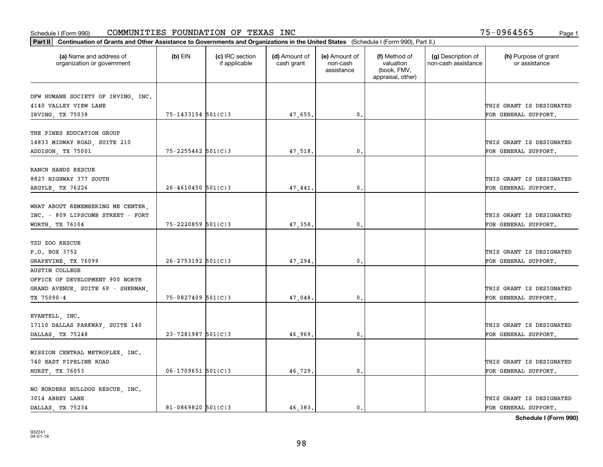| Part II   Continuation of Grants and Other Assistance to Governments and Organizations in the United States (Schedule I (Form 990), Part II.) |                        |                                  |                             |                                         |                                                                |                                           |                                       |
|-----------------------------------------------------------------------------------------------------------------------------------------------|------------------------|----------------------------------|-----------------------------|-----------------------------------------|----------------------------------------------------------------|-------------------------------------------|---------------------------------------|
| (a) Name and address of<br>organization or government                                                                                         | $(b)$ EIN              | (c) IRC section<br>if applicable | (d) Amount of<br>cash grant | (e) Amount of<br>non-cash<br>assistance | (f) Method of<br>valuation<br>(book, FMV,<br>appraisal, other) | (g) Description of<br>non-cash assistance | (h) Purpose of grant<br>or assistance |
|                                                                                                                                               |                        |                                  |                             |                                         |                                                                |                                           |                                       |
| DFW HUMANE SOCIETY OF IRVING, INC.<br>4140 VALLEY VIEW LANE                                                                                   |                        |                                  |                             |                                         |                                                                |                                           | THIS GRANT IS DESIGNATED              |
| IRVING, TX 75038                                                                                                                              | 75-1433154 501(C)3     |                                  | 47,655.                     | 0.                                      |                                                                |                                           | FOR GENERAL SUPPORT.                  |
|                                                                                                                                               |                        |                                  |                             |                                         |                                                                |                                           |                                       |
| THE PINES EDUCATION GROUP                                                                                                                     |                        |                                  |                             |                                         |                                                                |                                           |                                       |
| 14833 MIDWAY ROAD, SUITE 210                                                                                                                  |                        |                                  |                             |                                         |                                                                |                                           | THIS GRANT IS DESIGNATED              |
| ADDISON, TX 75001                                                                                                                             | $75 - 2255462$ 501(C)3 |                                  | 47,518.                     | 0.                                      |                                                                |                                           | FOR GENERAL SUPPORT.                  |
|                                                                                                                                               |                        |                                  |                             |                                         |                                                                |                                           |                                       |
| RANCH HANDS RESCUE                                                                                                                            |                        |                                  |                             |                                         |                                                                |                                           |                                       |
| 8827 HIGHWAY 377 SOUTH                                                                                                                        |                        |                                  |                             |                                         |                                                                |                                           | THIS GRANT IS DESIGNATED              |
| ARGYLE, TX 76226                                                                                                                              | $26 - 4610450$ 501(C)3 |                                  | 47,441.                     | $\mathbf{0}$ .                          |                                                                |                                           | FOR GENERAL SUPPORT.                  |
|                                                                                                                                               |                        |                                  |                             |                                         |                                                                |                                           |                                       |
| WHAT ABOUT REMEMBERING ME CENTER,                                                                                                             |                        |                                  |                             |                                         |                                                                |                                           |                                       |
| INC. - 809 LIPSCOMB STREET - FORT                                                                                                             |                        |                                  |                             |                                         |                                                                |                                           | THIS GRANT IS DESIGNATED              |
| WORTH, TX 76104                                                                                                                               | 75-2220859 501(C)3     |                                  | 47,358.                     | $\mathbf{0}$                            |                                                                |                                           | FOR GENERAL SUPPORT.                  |
|                                                                                                                                               |                        |                                  |                             |                                         |                                                                |                                           |                                       |
| TZU ZOO RESCUE                                                                                                                                |                        |                                  |                             |                                         |                                                                |                                           |                                       |
| P.O. BOX 3752                                                                                                                                 |                        |                                  |                             |                                         |                                                                |                                           | THIS GRANT IS DESIGNATED              |
| GRAPEVINE, TX 76099                                                                                                                           | $26 - 2753192$ 501(C)3 |                                  | 47,294.                     | $\mathbf{0}$                            |                                                                |                                           | FOR GENERAL SUPPORT.                  |
| <b>AUSTIN COLLEGE</b>                                                                                                                         |                        |                                  |                             |                                         |                                                                |                                           |                                       |
| OFFICE OF DEVELOPMENT 900 NORTH                                                                                                               |                        |                                  |                             |                                         |                                                                |                                           |                                       |
| GRAND AVENUE, SUITE 6P - SHERMAN,                                                                                                             |                        |                                  |                             |                                         |                                                                |                                           | THIS GRANT IS DESIGNATED              |
| TX 75090-4                                                                                                                                    | $75 - 0827409$ 501(C)3 |                                  | 47,048.                     | $\mathbf{0}$                            |                                                                |                                           | FOR GENERAL SUPPORT.                  |
|                                                                                                                                               |                        |                                  |                             |                                         |                                                                |                                           |                                       |
| EVANTELL, INC.                                                                                                                                |                        |                                  |                             |                                         |                                                                |                                           |                                       |
| 17110 DALLAS PARKWAY, SUITE 140                                                                                                               |                        |                                  |                             |                                         |                                                                |                                           | THIS GRANT IS DESIGNATED              |
| DALLAS, TX 75248                                                                                                                              | $23 - 7281987$ 501(C)3 |                                  | 46,969.                     | $^{\rm 0}$ .                            |                                                                |                                           | FOR GENERAL SUPPORT.                  |
|                                                                                                                                               |                        |                                  |                             |                                         |                                                                |                                           |                                       |
| MISSION CENTRAL METROPLEX, INC.                                                                                                               |                        |                                  |                             |                                         |                                                                |                                           |                                       |
| 740 EAST PIPELINE ROAD                                                                                                                        |                        |                                  |                             |                                         |                                                                |                                           | THIS GRANT IS DESIGNATED              |
| HURST, TX 76053                                                                                                                               | $06 - 1709651$ 501(C)3 |                                  | 46,729.                     | $\mathfrak{o}$ .                        |                                                                |                                           | FOR GENERAL SUPPORT.                  |
|                                                                                                                                               |                        |                                  |                             |                                         |                                                                |                                           |                                       |
| NO BORDERS BULLDOG RESCUE, INC.<br>3014 ABBEY LANE                                                                                            |                        |                                  |                             |                                         |                                                                |                                           | THIS GRANT IS DESIGNATED              |
| DALLAS, TX 75234                                                                                                                              | $81 - 0869820$ 501(C)3 |                                  | 46.383.                     | $\mathbf{0}$ .                          |                                                                |                                           | FOR GENERAL SUPPORT.                  |
|                                                                                                                                               |                        |                                  |                             |                                         |                                                                |                                           |                                       |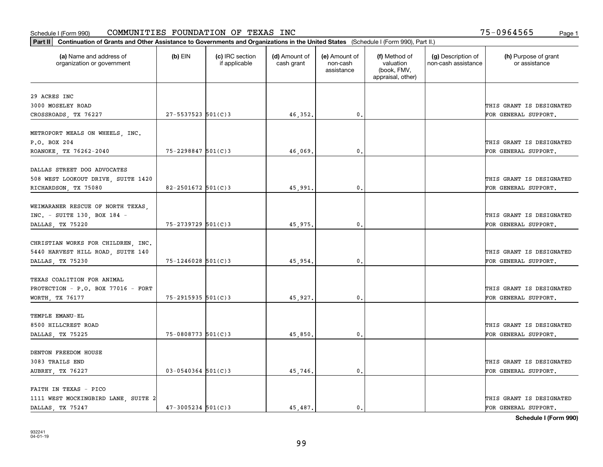| Part II   Continuation of Grants and Other Assistance to Governments and Organizations in the United States (Schedule I (Form 990), Part II.) |                         |                                  |                             |                                         |                                                                |                                           |                                                  |
|-----------------------------------------------------------------------------------------------------------------------------------------------|-------------------------|----------------------------------|-----------------------------|-----------------------------------------|----------------------------------------------------------------|-------------------------------------------|--------------------------------------------------|
| (a) Name and address of<br>organization or government                                                                                         | $(b)$ EIN               | (c) IRC section<br>if applicable | (d) Amount of<br>cash grant | (e) Amount of<br>non-cash<br>assistance | (f) Method of<br>valuation<br>(book, FMV,<br>appraisal, other) | (g) Description of<br>non-cash assistance | (h) Purpose of grant<br>or assistance            |
| 29 ACRES INC                                                                                                                                  |                         |                                  |                             |                                         |                                                                |                                           |                                                  |
| 3000 MOSELEY ROAD                                                                                                                             |                         |                                  |                             |                                         |                                                                |                                           | THIS GRANT IS DESIGNATED                         |
| CROSSROADS, TX 76227                                                                                                                          | 27-5537523 501(C)3      |                                  | 46,352.                     | 0.                                      |                                                                |                                           | FOR GENERAL SUPPORT.                             |
|                                                                                                                                               |                         |                                  |                             |                                         |                                                                |                                           |                                                  |
| METROPORT MEALS ON WHEELS, INC.                                                                                                               |                         |                                  |                             |                                         |                                                                |                                           |                                                  |
| P.O. BOX 204                                                                                                                                  |                         |                                  |                             |                                         |                                                                |                                           | THIS GRANT IS DESIGNATED                         |
| ROANOKE, TX 76262-2040                                                                                                                        | $75 - 2298847$ 501(C)3  |                                  | 46,069.                     | 0.                                      |                                                                |                                           | FOR GENERAL SUPPORT.                             |
|                                                                                                                                               |                         |                                  |                             |                                         |                                                                |                                           |                                                  |
| DALLAS STREET DOG ADVOCATES                                                                                                                   |                         |                                  |                             |                                         |                                                                |                                           |                                                  |
| 508 WEST LOOKOUT DRIVE, SUITE 1420                                                                                                            |                         |                                  |                             |                                         |                                                                |                                           | THIS GRANT IS DESIGNATED                         |
| RICHARDSON, TX 75080                                                                                                                          | $82 - 2501672$ 501(C) 3 |                                  | 45,991.                     | $\mathbf{0}$ .                          |                                                                |                                           | FOR GENERAL SUPPORT.                             |
| WEIMARANER RESCUE OF NORTH TEXAS,                                                                                                             |                         |                                  |                             |                                         |                                                                |                                           |                                                  |
|                                                                                                                                               |                         |                                  |                             |                                         |                                                                |                                           | THIS GRANT IS DESIGNATED                         |
| INC. - SUITE 130, BOX 184 -<br>DALLAS, TX 75220                                                                                               | 75-2739729 501(C)3      |                                  | 45,975.                     | 0.                                      |                                                                |                                           | FOR GENERAL SUPPORT.                             |
|                                                                                                                                               |                         |                                  |                             |                                         |                                                                |                                           |                                                  |
| CHRISTIAN WORKS FOR CHILDREN, INC.                                                                                                            |                         |                                  |                             |                                         |                                                                |                                           |                                                  |
| 5440 HARVEST HILL ROAD, SUITE 140                                                                                                             |                         |                                  |                             |                                         |                                                                |                                           | THIS GRANT IS DESIGNATED                         |
| DALLAS, TX 75230                                                                                                                              | $75 - 1246028$ 501(C)3  |                                  | 45,954.                     | 0.                                      |                                                                |                                           | FOR GENERAL SUPPORT.                             |
|                                                                                                                                               |                         |                                  |                             |                                         |                                                                |                                           |                                                  |
| TEXAS COALITION FOR ANIMAL                                                                                                                    |                         |                                  |                             |                                         |                                                                |                                           |                                                  |
| PROTECTION - P.O. BOX 77016 - FORT                                                                                                            |                         |                                  |                             |                                         |                                                                |                                           | THIS GRANT IS DESIGNATED                         |
| WORTH, TX 76177                                                                                                                               | $75 - 2915935$ 501(C)3  |                                  | 45,927.                     | 0.                                      |                                                                |                                           | FOR GENERAL SUPPORT.                             |
|                                                                                                                                               |                         |                                  |                             |                                         |                                                                |                                           |                                                  |
| TEMPLE EMANU-EL                                                                                                                               |                         |                                  |                             |                                         |                                                                |                                           |                                                  |
| 8500 HILLCREST ROAD                                                                                                                           |                         |                                  |                             |                                         |                                                                |                                           | THIS GRANT IS DESIGNATED                         |
| DALLAS, TX 75225                                                                                                                              | 75-0808773 501(C)3      |                                  | 45,850.                     | $\mathbf{0}$ .                          |                                                                |                                           | FOR GENERAL SUPPORT.                             |
|                                                                                                                                               |                         |                                  |                             |                                         |                                                                |                                           |                                                  |
| DENTON FREEDOM HOUSE                                                                                                                          |                         |                                  |                             |                                         |                                                                |                                           |                                                  |
| 3083 TRAILS END                                                                                                                               | $03 - 0540364$ 501(C)3  |                                  |                             | $\mathbf{0}$ .                          |                                                                |                                           | THIS GRANT IS DESIGNATED<br>FOR GENERAL SUPPORT. |
| <b>AUBREY, TX 76227</b>                                                                                                                       |                         |                                  | 45,746.                     |                                         |                                                                |                                           |                                                  |
| FAITH IN TEXAS - PICO                                                                                                                         |                         |                                  |                             |                                         |                                                                |                                           |                                                  |
| 1111 WEST MOCKINGBIRD LANE, SUITE 2                                                                                                           |                         |                                  |                             |                                         |                                                                |                                           | THIS GRANT IS DESIGNATED                         |
| DALLAS, TX 75247                                                                                                                              | $47 - 3005234$ 501(C)3  |                                  | 45,487.                     | $\mathbf{0}$ .                          |                                                                |                                           | FOR GENERAL SUPPORT.                             |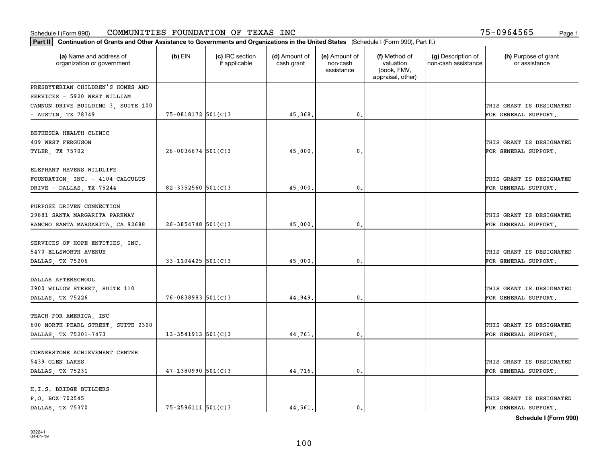|                                                              | Part II   Continuation of Grants and Other Assistance to Governments and Organizations in the United States (Schedule I (Form 990), Part II.) |                                  |                             |                                         |                                                                |                                           |                                       |  |  |  |  |
|--------------------------------------------------------------|-----------------------------------------------------------------------------------------------------------------------------------------------|----------------------------------|-----------------------------|-----------------------------------------|----------------------------------------------------------------|-------------------------------------------|---------------------------------------|--|--|--|--|
| (a) Name and address of<br>organization or government        | $(b)$ EIN                                                                                                                                     | (c) IRC section<br>if applicable | (d) Amount of<br>cash grant | (e) Amount of<br>non-cash<br>assistance | (f) Method of<br>valuation<br>(book, FMV,<br>appraisal, other) | (g) Description of<br>non-cash assistance | (h) Purpose of grant<br>or assistance |  |  |  |  |
| PRESBYTERIAN CHILDREN'S HOMES AND                            |                                                                                                                                               |                                  |                             |                                         |                                                                |                                           |                                       |  |  |  |  |
| SERVICES - 5920 WEST WILLIAM                                 |                                                                                                                                               |                                  |                             |                                         |                                                                |                                           |                                       |  |  |  |  |
| CANNON DRIVE BUILDING 3, SUITE 100                           |                                                                                                                                               |                                  |                             |                                         |                                                                |                                           | THIS GRANT IS DESIGNATED              |  |  |  |  |
| - AUSTIN, TX 78749                                           | 75-0818172 501(C)3                                                                                                                            |                                  | 45,368.                     | $\mathbf{0}$ .                          |                                                                |                                           | FOR GENERAL SUPPORT.                  |  |  |  |  |
| BETHESDA HEALTH CLINIC                                       |                                                                                                                                               |                                  |                             |                                         |                                                                |                                           |                                       |  |  |  |  |
| 409 WEST FERGUSON                                            |                                                                                                                                               |                                  |                             |                                         |                                                                |                                           | THIS GRANT IS DESIGNATED              |  |  |  |  |
| TYLER, TX 75702                                              | $26 - 0036674$ 501(C)3                                                                                                                        |                                  | 45,000                      | 0.                                      |                                                                |                                           | FOR GENERAL SUPPORT.                  |  |  |  |  |
|                                                              |                                                                                                                                               |                                  |                             |                                         |                                                                |                                           |                                       |  |  |  |  |
| ELEPHANT HAVENS WILDLIFE                                     |                                                                                                                                               |                                  |                             |                                         |                                                                |                                           |                                       |  |  |  |  |
| FOUNDATION, INC. - 4104 CALCULUS                             |                                                                                                                                               |                                  |                             |                                         |                                                                |                                           | THIS GRANT IS DESIGNATED              |  |  |  |  |
| DRIVE - DALLAS, TX 75244                                     | $82 - 3352560$ 501(C) 3                                                                                                                       |                                  | 45,000.                     | $\mathbf{0}$ .                          |                                                                |                                           | FOR GENERAL SUPPORT.                  |  |  |  |  |
| PURPOSE DRIVEN CONNECTION                                    |                                                                                                                                               |                                  |                             |                                         |                                                                |                                           |                                       |  |  |  |  |
| 29881 SANTA MARGARITA PARKWAY                                |                                                                                                                                               |                                  |                             |                                         |                                                                |                                           | THIS GRANT IS DESIGNATED              |  |  |  |  |
| RANCHO SANTA MARGARITA, CA 92688                             | $26 - 3854748$ 501(C)3                                                                                                                        |                                  | 45,000.                     | 0.                                      |                                                                |                                           | FOR GENERAL SUPPORT.                  |  |  |  |  |
|                                                              |                                                                                                                                               |                                  |                             |                                         |                                                                |                                           |                                       |  |  |  |  |
| SERVICES OF HOPE ENTITIES, INC.                              |                                                                                                                                               |                                  |                             |                                         |                                                                |                                           |                                       |  |  |  |  |
| 5470 ELLSWORTH AVENUE                                        |                                                                                                                                               |                                  |                             |                                         |                                                                |                                           | THIS GRANT IS DESIGNATED              |  |  |  |  |
| DALLAS, TX 75206                                             | $33 - 1104425$ 501(C) 3                                                                                                                       |                                  | 45,000.                     | 0.                                      |                                                                |                                           | FOR GENERAL SUPPORT.                  |  |  |  |  |
| DALLAS AFTERSCHOOL                                           |                                                                                                                                               |                                  |                             |                                         |                                                                |                                           |                                       |  |  |  |  |
| 3900 WILLOW STREET, SUITE 110                                |                                                                                                                                               |                                  |                             |                                         |                                                                |                                           | THIS GRANT IS DESIGNATED              |  |  |  |  |
| DALLAS, TX 75226                                             | $76 - 0838983$ $501(C)3$                                                                                                                      |                                  | 44,949.                     | 0.                                      |                                                                |                                           | FOR GENERAL SUPPORT.                  |  |  |  |  |
|                                                              |                                                                                                                                               |                                  |                             |                                         |                                                                |                                           |                                       |  |  |  |  |
| TEACH FOR AMERICA, INC<br>600 NORTH PEARL STREET, SUITE 2300 |                                                                                                                                               |                                  |                             |                                         |                                                                |                                           | THIS GRANT IS DESIGNATED              |  |  |  |  |
| DALLAS, TX 75201-7473                                        | $13 - 3541913$ $501(C)3$                                                                                                                      |                                  | 44,761                      | 0.                                      |                                                                |                                           | FOR GENERAL SUPPORT.                  |  |  |  |  |
|                                                              |                                                                                                                                               |                                  |                             |                                         |                                                                |                                           |                                       |  |  |  |  |
| CORNERSTONE ACHIEVEMENT CENTER                               |                                                                                                                                               |                                  |                             |                                         |                                                                |                                           |                                       |  |  |  |  |
| 5439 GLEN LAKES                                              |                                                                                                                                               |                                  |                             |                                         |                                                                |                                           | THIS GRANT IS DESIGNATED              |  |  |  |  |
| DALLAS, TX 75231                                             | $47 - 1380990$ 501(C)3                                                                                                                        |                                  | 44,716.                     | $\mathbf{0}$ .                          |                                                                |                                           | FOR GENERAL SUPPORT.                  |  |  |  |  |
| H.I.S. BRIDGE BUILDERS                                       |                                                                                                                                               |                                  |                             |                                         |                                                                |                                           |                                       |  |  |  |  |
| P.O. BOX 702545                                              |                                                                                                                                               |                                  |                             |                                         |                                                                |                                           | THIS GRANT IS DESIGNATED              |  |  |  |  |
| DALLAS, TX 75370                                             | $75 - 2596111$ $501(C)3$                                                                                                                      |                                  | 44.561.                     | $\mathbf{0}$ .                          |                                                                |                                           | FOR GENERAL SUPPORT.                  |  |  |  |  |
|                                                              |                                                                                                                                               |                                  |                             |                                         |                                                                |                                           |                                       |  |  |  |  |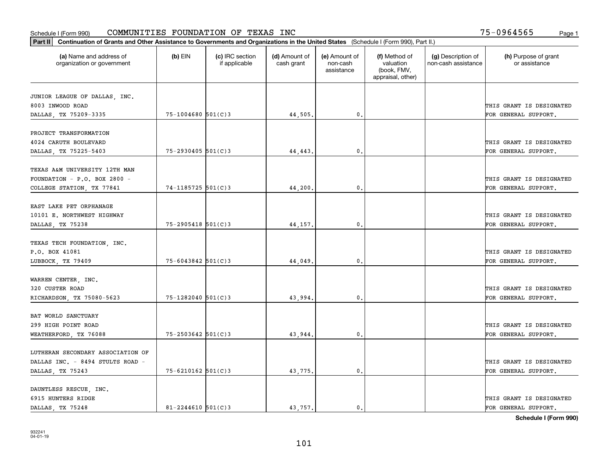| (a) Name and address of<br>organization or government | $(b)$ EIN              | (c) IRC section<br>if applicable | (d) Amount of<br>cash grant | (e) Amount of<br>non-cash<br>assistance | (f) Method of<br>valuation<br>(book, FMV,<br>appraisal, other) | (g) Description of<br>non-cash assistance | (h) Purpose of grant<br>or assistance |
|-------------------------------------------------------|------------------------|----------------------------------|-----------------------------|-----------------------------------------|----------------------------------------------------------------|-------------------------------------------|---------------------------------------|
| JUNIOR LEAGUE OF DALLAS, INC.                         |                        |                                  |                             |                                         |                                                                |                                           |                                       |
| 8003 INWOOD ROAD                                      |                        |                                  |                             |                                         |                                                                |                                           | THIS GRANT IS DESIGNATED              |
| DALLAS, TX 75209-3335                                 | $75 - 1004680$ 501(C)3 |                                  | 44,505.                     | 0.                                      |                                                                |                                           | FOR GENERAL SUPPORT.                  |
| PROJECT TRANSFORMATION                                |                        |                                  |                             |                                         |                                                                |                                           |                                       |
| 4024 CARUTH BOULEVARD                                 |                        |                                  |                             |                                         |                                                                |                                           | THIS GRANT IS DESIGNATED              |
| DALLAS, TX 75225-5403                                 | $75 - 2930405$ 501(C)3 |                                  | 44,443                      | $\mathbf{0}$                            |                                                                |                                           | FOR GENERAL SUPPORT.                  |
|                                                       |                        |                                  |                             |                                         |                                                                |                                           |                                       |
| TEXAS A&M UNIVERSITY 12TH MAN                         |                        |                                  |                             |                                         |                                                                |                                           |                                       |
| FOUNDATION - P.O. BOX 2800 -                          |                        |                                  |                             |                                         |                                                                |                                           | THIS GRANT IS DESIGNATED              |
| COLLEGE STATION, TX 77841                             | 74-1185725 501(C)3     |                                  | 44,200.                     | $\mathbf{0}$ .                          |                                                                |                                           | FOR GENERAL SUPPORT.                  |
| EAST LAKE PET ORPHANAGE                               |                        |                                  |                             |                                         |                                                                |                                           |                                       |
| 10101 E. NORTHWEST HIGHWAY                            |                        |                                  |                             |                                         |                                                                |                                           | THIS GRANT IS DESIGNATED              |
| DALLAS, TX 75238                                      | $75 - 2905418$ 501(C)3 |                                  | 44,157                      | 0.                                      |                                                                |                                           | FOR GENERAL SUPPORT.                  |
|                                                       |                        |                                  |                             |                                         |                                                                |                                           |                                       |
| TEXAS TECH FOUNDATION, INC.                           |                        |                                  |                             |                                         |                                                                |                                           |                                       |
| P.O. BOX 41081                                        |                        |                                  |                             |                                         |                                                                |                                           | THIS GRANT IS DESIGNATED              |
| LUBBOCK, TX 79409                                     | $75 - 6043842$ 501(C)3 |                                  | 44,049                      | 0.                                      |                                                                |                                           | FOR GENERAL SUPPORT.                  |
|                                                       |                        |                                  |                             |                                         |                                                                |                                           |                                       |
| WARREN CENTER, INC.<br>320 CUSTER ROAD                |                        |                                  |                             |                                         |                                                                |                                           | THIS GRANT IS DESIGNATED              |
| RICHARDSON, TX 75080-5623                             | 75-1282040 501(C)3     |                                  | 43,994                      | $\mathbf{0}$                            |                                                                |                                           | FOR GENERAL SUPPORT.                  |
|                                                       |                        |                                  |                             |                                         |                                                                |                                           |                                       |
| BAT WORLD SANCTUARY                                   |                        |                                  |                             |                                         |                                                                |                                           |                                       |
| 299 HIGH POINT ROAD                                   |                        |                                  |                             |                                         |                                                                |                                           | THIS GRANT IS DESIGNATED              |
| WEATHERFORD, TX 76088                                 | $75 - 2503642$ 501(C)3 |                                  | 43,944                      | $\mathsf{o}\,$ .                        |                                                                |                                           | FOR GENERAL SUPPORT.                  |
|                                                       |                        |                                  |                             |                                         |                                                                |                                           |                                       |
| LUTHERAN SECONDARY ASSOCIATION OF                     |                        |                                  |                             |                                         |                                                                |                                           |                                       |
| DALLAS INC. - 8494 STULTS ROAD -                      |                        |                                  |                             |                                         |                                                                |                                           | THIS GRANT IS DESIGNATED              |
| DALLAS, TX 75243                                      | $75 - 6210162$ 501(C)3 |                                  | 43,775                      | 0.                                      |                                                                |                                           | FOR GENERAL SUPPORT.                  |
| DAUNTLESS RESCUE, INC.                                |                        |                                  |                             |                                         |                                                                |                                           |                                       |
| 6915 HUNTERS RIDGE                                    |                        |                                  |                             |                                         |                                                                |                                           | THIS GRANT IS DESIGNATED              |
| DALLAS TX 75248                                       | $81 - 2244610$ 501(C)3 |                                  | 43.757.                     | 0.                                      |                                                                |                                           | FOR GENERAL SUPPORT.                  |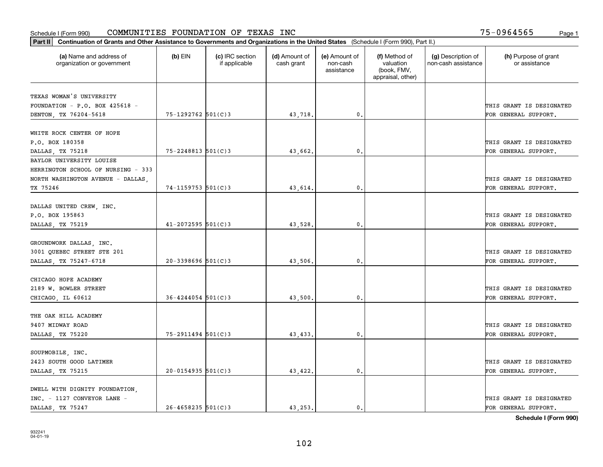| Part II   Continuation of Grants and Other Assistance to Governments and Organizations in the United States (Schedule I (Form 990), Part II.) |                         |                                  |                             |                                         |                                                                |                                           |                                       |
|-----------------------------------------------------------------------------------------------------------------------------------------------|-------------------------|----------------------------------|-----------------------------|-----------------------------------------|----------------------------------------------------------------|-------------------------------------------|---------------------------------------|
| (a) Name and address of<br>organization or government                                                                                         | $(b)$ EIN               | (c) IRC section<br>if applicable | (d) Amount of<br>cash grant | (e) Amount of<br>non-cash<br>assistance | (f) Method of<br>valuation<br>(book, FMV,<br>appraisal, other) | (g) Description of<br>non-cash assistance | (h) Purpose of grant<br>or assistance |
| TEXAS WOMAN'S UNIVERSITY                                                                                                                      |                         |                                  |                             |                                         |                                                                |                                           |                                       |
| FOUNDATION - P.O. BOX 425618 -                                                                                                                |                         |                                  |                             |                                         |                                                                |                                           | THIS GRANT IS DESIGNATED              |
| DENTON, TX 76204-5618                                                                                                                         | 75-1292762 501(C)3      |                                  | 43,718.                     | $\mathbf{0}$ .                          |                                                                |                                           | FOR GENERAL SUPPORT.                  |
|                                                                                                                                               |                         |                                  |                             |                                         |                                                                |                                           |                                       |
| WHITE ROCK CENTER OF HOPE                                                                                                                     |                         |                                  |                             |                                         |                                                                |                                           |                                       |
| P.O. BOX 180358                                                                                                                               |                         |                                  |                             |                                         |                                                                |                                           | THIS GRANT IS DESIGNATED              |
| DALLAS, TX 75218                                                                                                                              | 75-2248813 501(C)3      |                                  | 43,662.                     | 0.                                      |                                                                |                                           | FOR GENERAL SUPPORT.                  |
| BAYLOR UNIVERSITY LOUISE                                                                                                                      |                         |                                  |                             |                                         |                                                                |                                           |                                       |
| HERRINGTON SCHOOL OF NURSING - 333                                                                                                            |                         |                                  |                             |                                         |                                                                |                                           |                                       |
|                                                                                                                                               |                         |                                  |                             |                                         |                                                                |                                           | THIS GRANT IS DESIGNATED              |
| NORTH WASHINGTON AVENUE - DALLAS,<br>TX 75246                                                                                                 | $74 - 1159753$ 501(C) 3 |                                  | 43,614.                     | $\mathbf{0}$ .                          |                                                                |                                           | FOR GENERAL SUPPORT.                  |
|                                                                                                                                               |                         |                                  |                             |                                         |                                                                |                                           |                                       |
| DALLAS UNITED CREW, INC.                                                                                                                      |                         |                                  |                             |                                         |                                                                |                                           |                                       |
| P.O. BOX 195863                                                                                                                               |                         |                                  |                             |                                         |                                                                |                                           | THIS GRANT IS DESIGNATED              |
| DALLAS, TX 75219                                                                                                                              | $41 - 2072595$ 501(C)3  |                                  | 43,528.                     | 0.                                      |                                                                |                                           | FOR GENERAL SUPPORT.                  |
|                                                                                                                                               |                         |                                  |                             |                                         |                                                                |                                           |                                       |
| GROUNDWORK DALLAS, INC.                                                                                                                       |                         |                                  |                             |                                         |                                                                |                                           |                                       |
| 3001 QUEBEC STREET STE 201                                                                                                                    |                         |                                  |                             |                                         |                                                                |                                           | THIS GRANT IS DESIGNATED              |
| DALLAS, TX 75247-6718                                                                                                                         | $20 - 3398696$ 501(C)3  |                                  | 43,506.                     | 0.                                      |                                                                |                                           | FOR GENERAL SUPPORT.                  |
|                                                                                                                                               |                         |                                  |                             |                                         |                                                                |                                           |                                       |
| CHICAGO HOPE ACADEMY                                                                                                                          |                         |                                  |                             |                                         |                                                                |                                           |                                       |
| 2189 W. BOWLER STREET                                                                                                                         |                         |                                  |                             |                                         |                                                                |                                           | THIS GRANT IS DESIGNATED              |
| CHICAGO, IL 60612                                                                                                                             | $36 - 4244054$ 501(C)3  |                                  | 43,500.                     | $\mathbf{0}$ .                          |                                                                |                                           | FOR GENERAL SUPPORT.                  |
|                                                                                                                                               |                         |                                  |                             |                                         |                                                                |                                           |                                       |
| THE OAK HILL ACADEMY                                                                                                                          |                         |                                  |                             |                                         |                                                                |                                           |                                       |
| 9407 MIDWAY ROAD                                                                                                                              |                         |                                  |                             |                                         |                                                                |                                           | THIS GRANT IS DESIGNATED              |
| DALLAS, TX 75220                                                                                                                              | $75 - 2911494$ 501(C)3  |                                  | 43,433.                     | $\mathbf{0}$ .                          |                                                                |                                           | FOR GENERAL SUPPORT.                  |
|                                                                                                                                               |                         |                                  |                             |                                         |                                                                |                                           |                                       |
| SOUPMOBILE, INC.                                                                                                                              |                         |                                  |                             |                                         |                                                                |                                           |                                       |
| 2423 SOUTH GOOD LATIMER                                                                                                                       |                         |                                  |                             |                                         |                                                                |                                           | THIS GRANT IS DESIGNATED              |
|                                                                                                                                               |                         |                                  |                             |                                         |                                                                |                                           |                                       |
| DALLAS, TX 75215                                                                                                                              | $20 - 0154935$ 501(C)3  |                                  | 43,422.                     | $\mathfrak o$ .                         |                                                                |                                           | FOR GENERAL SUPPORT.                  |
| DWELL WITH DIGNITY FOUNDATION,                                                                                                                |                         |                                  |                             |                                         |                                                                |                                           |                                       |
| INC. - 1127 CONVEYOR LANE -                                                                                                                   |                         |                                  |                             |                                         |                                                                |                                           | THIS GRANT IS DESIGNATED              |
| DALLAS, TX 75247                                                                                                                              | $26 - 4658235$ 501(C)3  |                                  | 43.253.                     | $\mathbf{0}$ .                          |                                                                |                                           | FOR GENERAL SUPPORT.                  |
|                                                                                                                                               |                         |                                  |                             |                                         |                                                                |                                           |                                       |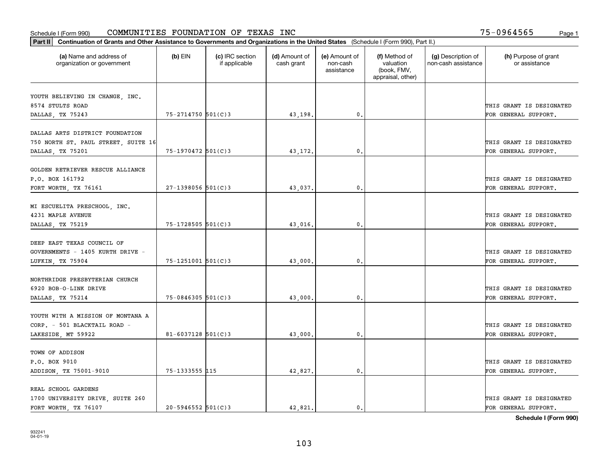| Part II   Continuation of Grants and Other Assistance to Governments and Organizations in the United States (Schedule I (Form 990), Part II.) |                        |                                  |                             |                                         |                                                                |                                           |                                       |
|-----------------------------------------------------------------------------------------------------------------------------------------------|------------------------|----------------------------------|-----------------------------|-----------------------------------------|----------------------------------------------------------------|-------------------------------------------|---------------------------------------|
| (a) Name and address of<br>organization or government                                                                                         | $(b)$ EIN              | (c) IRC section<br>if applicable | (d) Amount of<br>cash grant | (e) Amount of<br>non-cash<br>assistance | (f) Method of<br>valuation<br>(book, FMV,<br>appraisal, other) | (g) Description of<br>non-cash assistance | (h) Purpose of grant<br>or assistance |
|                                                                                                                                               |                        |                                  |                             |                                         |                                                                |                                           |                                       |
| YOUTH BELIEVING IN CHANGE, INC.<br>8574 STULTS ROAD                                                                                           |                        |                                  |                             |                                         |                                                                |                                           | THIS GRANT IS DESIGNATED              |
| DALLAS, TX 75243                                                                                                                              | 75-2714750 501(C)3     |                                  | 43,198.                     | $\mathfrak{o}$ .                        |                                                                |                                           | FOR GENERAL SUPPORT.                  |
|                                                                                                                                               |                        |                                  |                             |                                         |                                                                |                                           |                                       |
| DALLAS ARTS DISTRICT FOUNDATION                                                                                                               |                        |                                  |                             |                                         |                                                                |                                           |                                       |
| 750 NORTH ST. PAUL STREET, SUITE 16                                                                                                           |                        |                                  |                             |                                         |                                                                |                                           | THIS GRANT IS DESIGNATED              |
| DALLAS, TX 75201                                                                                                                              | $75 - 1970472$ 501(C)3 |                                  | 43,172.                     | 0.                                      |                                                                |                                           | FOR GENERAL SUPPORT.                  |
|                                                                                                                                               |                        |                                  |                             |                                         |                                                                |                                           |                                       |
| GOLDEN RETRIEVER RESCUE ALLIANCE                                                                                                              |                        |                                  |                             |                                         |                                                                |                                           |                                       |
| P.O. BOX 161792                                                                                                                               |                        |                                  |                             |                                         |                                                                |                                           | THIS GRANT IS DESIGNATED              |
| FORT WORTH, TX 76161                                                                                                                          | $27-1398056$ 501(C)3   |                                  | 43,037.                     | $\mathbf{0}$ .                          |                                                                |                                           | FOR GENERAL SUPPORT.                  |
| MI ESCUELITA PRESCHOOL, INC.                                                                                                                  |                        |                                  |                             |                                         |                                                                |                                           |                                       |
| 4231 MAPLE AVENUE                                                                                                                             |                        |                                  |                             |                                         |                                                                |                                           | THIS GRANT IS DESIGNATED              |
| DALLAS, TX 75219                                                                                                                              | 75-1728505 501(C)3     |                                  | 43,016.                     | $\mathbf{0}$                            |                                                                |                                           | FOR GENERAL SUPPORT.                  |
|                                                                                                                                               |                        |                                  |                             |                                         |                                                                |                                           |                                       |
| DEEP EAST TEXAS COUNCIL OF                                                                                                                    |                        |                                  |                             |                                         |                                                                |                                           |                                       |
| GOVERNMENTS - 1405 KURTH DRIVE -                                                                                                              |                        |                                  |                             |                                         |                                                                |                                           | THIS GRANT IS DESIGNATED              |
| LUFKIN, TX 75904                                                                                                                              | 75-1251001 501(C)3     |                                  | 43,000                      | $\mathbf{0}$                            |                                                                |                                           | FOR GENERAL SUPPORT.                  |
|                                                                                                                                               |                        |                                  |                             |                                         |                                                                |                                           |                                       |
| NORTHRIDGE PRESBYTERIAN CHURCH                                                                                                                |                        |                                  |                             |                                         |                                                                |                                           |                                       |
| 6920 BOB-O-LINK DRIVE                                                                                                                         |                        |                                  |                             |                                         |                                                                |                                           | THIS GRANT IS DESIGNATED              |
| DALLAS, TX 75214                                                                                                                              | $75 - 0846305$ 501(C)3 |                                  | 43,000.                     | 0.                                      |                                                                |                                           | FOR GENERAL SUPPORT.                  |
|                                                                                                                                               |                        |                                  |                             |                                         |                                                                |                                           |                                       |
| YOUTH WITH A MISSION OF MONTANA A                                                                                                             |                        |                                  |                             |                                         |                                                                |                                           |                                       |
| CORP. - 501 BLACKTAIL ROAD -                                                                                                                  | $81 - 6037128$ 501(C)3 |                                  |                             | $^{\rm 0}$ .                            |                                                                |                                           | THIS GRANT IS DESIGNATED              |
| LAKESIDE, MT 59922                                                                                                                            |                        |                                  | 43,000                      |                                         |                                                                |                                           | FOR GENERAL SUPPORT.                  |
| TOWN OF ADDISON                                                                                                                               |                        |                                  |                             |                                         |                                                                |                                           |                                       |
| P.O. BOX 9010                                                                                                                                 |                        |                                  |                             |                                         |                                                                |                                           | THIS GRANT IS DESIGNATED              |
| ADDISON, TX 75001-9010                                                                                                                        | 75-1333555 115         |                                  | 42,827.                     | $\mathfrak{o}$ .                        |                                                                |                                           | FOR GENERAL SUPPORT.                  |
|                                                                                                                                               |                        |                                  |                             |                                         |                                                                |                                           |                                       |
| REAL SCHOOL GARDENS                                                                                                                           |                        |                                  |                             |                                         |                                                                |                                           |                                       |
| 1700 UNIVERSITY DRIVE, SUITE 260                                                                                                              |                        |                                  |                             |                                         |                                                                |                                           | THIS GRANT IS DESIGNATED              |
| FORT WORTH, TX 76107                                                                                                                          | $20 - 5946552$ 501(C)3 |                                  | 42.821.                     | $\mathbf{0}$ .                          |                                                                |                                           | FOR GENERAL SUPPORT.                  |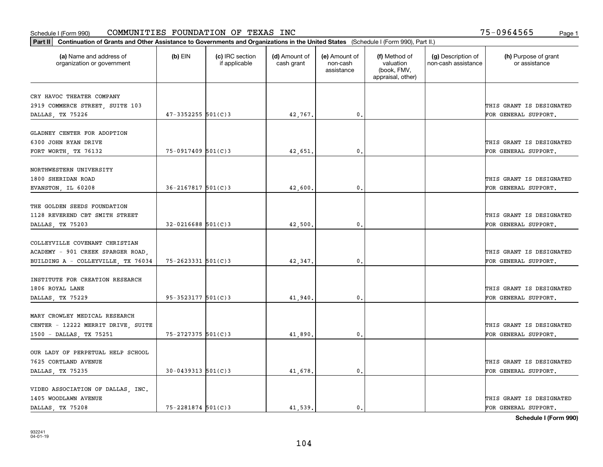| Part II   Continuation of Grants and Other Assistance to Governments and Organizations in the United States (Schedule I (Form 990), Part II.) |                          |                                  |                             |                                         |                                                                |                                           |                                       |
|-----------------------------------------------------------------------------------------------------------------------------------------------|--------------------------|----------------------------------|-----------------------------|-----------------------------------------|----------------------------------------------------------------|-------------------------------------------|---------------------------------------|
| (a) Name and address of<br>organization or government                                                                                         | $(b)$ EIN                | (c) IRC section<br>if applicable | (d) Amount of<br>cash grant | (e) Amount of<br>non-cash<br>assistance | (f) Method of<br>valuation<br>(book, FMV,<br>appraisal, other) | (g) Description of<br>non-cash assistance | (h) Purpose of grant<br>or assistance |
| CRY HAVOC THEATER COMPANY                                                                                                                     |                          |                                  |                             |                                         |                                                                |                                           |                                       |
| 2919 COMMERCE STREET, SUITE 103                                                                                                               |                          |                                  |                             |                                         |                                                                |                                           | THIS GRANT IS DESIGNATED              |
| DALLAS, TX 75226                                                                                                                              | $47 - 3352255$ 501(C)3   |                                  | 42,767.                     | $\mathbf{0}$ .                          |                                                                |                                           | FOR GENERAL SUPPORT.                  |
|                                                                                                                                               |                          |                                  |                             |                                         |                                                                |                                           |                                       |
| GLADNEY CENTER FOR ADOPTION                                                                                                                   |                          |                                  |                             |                                         |                                                                |                                           |                                       |
| 6300 JOHN RYAN DRIVE                                                                                                                          |                          |                                  |                             |                                         |                                                                |                                           | THIS GRANT IS DESIGNATED              |
| FORT WORTH, TX 76132                                                                                                                          | $75 - 0917409$ 501(C)3   |                                  | 42,651                      | 0.                                      |                                                                |                                           | FOR GENERAL SUPPORT.                  |
|                                                                                                                                               |                          |                                  |                             |                                         |                                                                |                                           |                                       |
| NORTHWESTERN UNIVERSITY                                                                                                                       |                          |                                  |                             |                                         |                                                                |                                           |                                       |
| 1800 SHERIDAN ROAD                                                                                                                            |                          |                                  |                             |                                         |                                                                |                                           | THIS GRANT IS DESIGNATED              |
| EVANSTON, IL 60208                                                                                                                            | $36 - 2167817$ 501(C) 3  |                                  | 42,600.                     | $\mathbf{0}$ .                          |                                                                |                                           | FOR GENERAL SUPPORT.                  |
| THE GOLDEN SEEDS FOUNDATION                                                                                                                   |                          |                                  |                             |                                         |                                                                |                                           |                                       |
| 1128 REVEREND CBT SMITH STREET                                                                                                                |                          |                                  |                             |                                         |                                                                |                                           | THIS GRANT IS DESIGNATED              |
| DALLAS, TX 75203                                                                                                                              | $32 - 0216688$ 501(C)3   |                                  | 42,500.                     | 0.                                      |                                                                |                                           | FOR GENERAL SUPPORT.                  |
|                                                                                                                                               |                          |                                  |                             |                                         |                                                                |                                           |                                       |
| COLLEYVILLE COVENANT CHRISTIAN                                                                                                                |                          |                                  |                             |                                         |                                                                |                                           |                                       |
| ACADEMY - 901 CREEK SPARGER ROAD,                                                                                                             |                          |                                  |                             |                                         |                                                                |                                           | THIS GRANT IS DESIGNATED              |
| BUILDING A - COLLEYVILLE, TX 76034                                                                                                            | $75 - 2623331$ $501(C)3$ |                                  | 42,347.                     | 0.                                      |                                                                |                                           | FOR GENERAL SUPPORT.                  |
|                                                                                                                                               |                          |                                  |                             |                                         |                                                                |                                           |                                       |
| INSTITUTE FOR CREATION RESEARCH                                                                                                               |                          |                                  |                             |                                         |                                                                |                                           |                                       |
| 1806 ROYAL LANE                                                                                                                               |                          |                                  |                             |                                         |                                                                |                                           | THIS GRANT IS DESIGNATED              |
| DALLAS, TX 75229                                                                                                                              | $95 - 3523177$ $501(C)3$ |                                  | 41,940.                     | 0.                                      |                                                                |                                           | FOR GENERAL SUPPORT.                  |
|                                                                                                                                               |                          |                                  |                             |                                         |                                                                |                                           |                                       |
| MARY CROWLEY MEDICAL RESEARCH                                                                                                                 |                          |                                  |                             |                                         |                                                                |                                           |                                       |
| CENTER - 12222 MERRIT DRIVE, SUITE                                                                                                            |                          |                                  |                             |                                         |                                                                |                                           | THIS GRANT IS DESIGNATED              |
| 1500 - DALLAS, TX 75251                                                                                                                       | 75-2727375 501(C)3       |                                  | 41,890.                     | 0.                                      |                                                                |                                           | FOR GENERAL SUPPORT.                  |
| OUR LADY OF PERPETUAL HELP SCHOOL                                                                                                             |                          |                                  |                             |                                         |                                                                |                                           |                                       |
| 7625 CORTLAND AVENUE                                                                                                                          |                          |                                  |                             |                                         |                                                                |                                           | THIS GRANT IS DESIGNATED              |
|                                                                                                                                               | $30 - 0439313$ $501(C)3$ |                                  |                             | $\mathbf{0}$ .                          |                                                                |                                           | FOR GENERAL SUPPORT.                  |
| DALLAS, TX 75235                                                                                                                              |                          |                                  | 41,678.                     |                                         |                                                                |                                           |                                       |
| VIDEO ASSOCIATION OF DALLAS, INC.                                                                                                             |                          |                                  |                             |                                         |                                                                |                                           |                                       |
| 1405 WOODLAWN AVENUE                                                                                                                          |                          |                                  |                             |                                         |                                                                |                                           | THIS GRANT IS DESIGNATED              |
| DALLAS TX 75208                                                                                                                               | 75-2281874 501(C)3       |                                  | 41,539.                     | $\mathbf{0}$ .                          |                                                                |                                           | FOR GENERAL SUPPORT.                  |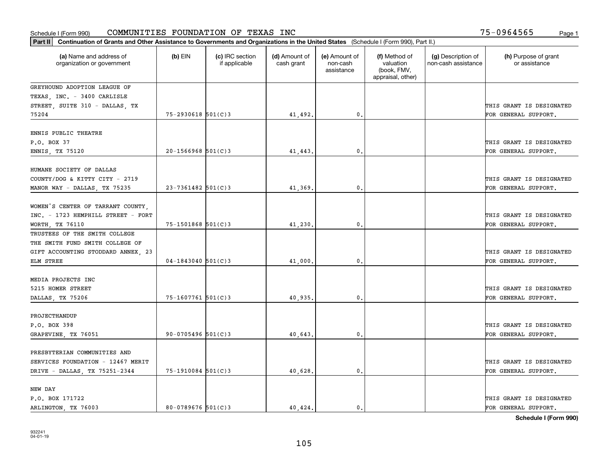| Part II   Continuation of Grants and Other Assistance to Governments and Organizations in the United States (Schedule I (Form 990), Part II.) |                        |                                  |                             |                                         |                                                                |                                           |                                       |
|-----------------------------------------------------------------------------------------------------------------------------------------------|------------------------|----------------------------------|-----------------------------|-----------------------------------------|----------------------------------------------------------------|-------------------------------------------|---------------------------------------|
| (a) Name and address of<br>organization or government                                                                                         | $(b)$ EIN              | (c) IRC section<br>if applicable | (d) Amount of<br>cash grant | (e) Amount of<br>non-cash<br>assistance | (f) Method of<br>valuation<br>(book, FMV,<br>appraisal, other) | (g) Description of<br>non-cash assistance | (h) Purpose of grant<br>or assistance |
| GREYHOUND ADOPTION LEAGUE OF                                                                                                                  |                        |                                  |                             |                                         |                                                                |                                           |                                       |
| TEXAS, INC. - 3400 CARLISLE                                                                                                                   |                        |                                  |                             |                                         |                                                                |                                           |                                       |
| STREET, SUITE 310 - DALLAS, TX                                                                                                                |                        |                                  |                             |                                         |                                                                |                                           | THIS GRANT IS DESIGNATED              |
| 75204                                                                                                                                         | $75 - 2930618$ 501(C)3 |                                  | 41,492.                     | 0.                                      |                                                                |                                           | FOR GENERAL SUPPORT.                  |
| ENNIS PUBLIC THEATRE<br>P.O. BOX 37                                                                                                           |                        |                                  |                             |                                         |                                                                |                                           | THIS GRANT IS DESIGNATED              |
| ENNIS, TX 75120                                                                                                                               | $20 - 1566968$ 501(C)3 |                                  | 41,443                      | $\mathbf{0}$                            |                                                                |                                           | FOR GENERAL SUPPORT.                  |
|                                                                                                                                               |                        |                                  |                             |                                         |                                                                |                                           |                                       |
| HUMANE SOCIETY OF DALLAS                                                                                                                      |                        |                                  |                             |                                         |                                                                |                                           |                                       |
| COUNTY/DOG & KITTY CITY - 2719                                                                                                                |                        |                                  |                             |                                         |                                                                |                                           | THIS GRANT IS DESIGNATED              |
| MANOR WAY - DALLAS, TX 75235                                                                                                                  | $23 - 7361482$ 501(C)3 |                                  | 41,369                      | $\mathbf{0}$ .                          |                                                                |                                           | FOR GENERAL SUPPORT.                  |
| WOMEN'S CENTER OF TARRANT COUNTY,                                                                                                             |                        |                                  |                             |                                         |                                                                |                                           |                                       |
| INC. - 1723 HEMPHILL STREET - FORT                                                                                                            |                        |                                  |                             |                                         |                                                                |                                           | THIS GRANT IS DESIGNATED              |
| WORTH, TX 76110                                                                                                                               | 75-1501868 501(C)3     |                                  | 41,230                      | $\mathbf{0}$                            |                                                                |                                           | FOR GENERAL SUPPORT.                  |
| TRUSTEES OF THE SMITH COLLEGE                                                                                                                 |                        |                                  |                             |                                         |                                                                |                                           |                                       |
| THE SMITH FUND SMITH COLLEGE OF                                                                                                               |                        |                                  |                             |                                         |                                                                |                                           |                                       |
| GIFT ACCOUNTING STODDARD ANNEX, 23                                                                                                            |                        |                                  |                             |                                         |                                                                |                                           | THIS GRANT IS DESIGNATED              |
| ELM STREE                                                                                                                                     | $04-1843040$ 501(C)3   |                                  | 41,000                      | $\mathbf{0}$                            |                                                                |                                           | FOR GENERAL SUPPORT.                  |
|                                                                                                                                               |                        |                                  |                             |                                         |                                                                |                                           |                                       |
| MEDIA PROJECTS INC                                                                                                                            |                        |                                  |                             |                                         |                                                                |                                           |                                       |
| 5215 HOMER STREET                                                                                                                             |                        |                                  |                             |                                         |                                                                |                                           | THIS GRANT IS DESIGNATED              |
| DALLAS, TX 75206                                                                                                                              | 75-1607761 501(C)3     |                                  | 40,935                      | $\mathbf{0}$                            |                                                                |                                           | FOR GENERAL SUPPORT.                  |
| PROJECTHANDUP                                                                                                                                 |                        |                                  |                             |                                         |                                                                |                                           |                                       |
| P.O. BOX 398                                                                                                                                  |                        |                                  |                             |                                         |                                                                |                                           | THIS GRANT IS DESIGNATED              |
| GRAPEVINE, TX 76051                                                                                                                           | $90-0705496$ 501(C)3   |                                  | 40,643                      | $\mathbf{0}$ .                          |                                                                |                                           | FOR GENERAL SUPPORT.                  |
|                                                                                                                                               |                        |                                  |                             |                                         |                                                                |                                           |                                       |
| PRESBYTERIAN COMMUNITIES AND                                                                                                                  |                        |                                  |                             |                                         |                                                                |                                           |                                       |
| SERVICES FOUNDATION - 12467 MERIT                                                                                                             |                        |                                  |                             |                                         |                                                                |                                           | THIS GRANT IS DESIGNATED              |
| DRIVE - DALLAS, TX 75251-2344                                                                                                                 | $75 - 1910084$ 501(C)3 |                                  | 40,628.                     | $\mathbf{0}$ .                          |                                                                |                                           | FOR GENERAL SUPPORT.                  |
| NEW DAY                                                                                                                                       |                        |                                  |                             |                                         |                                                                |                                           |                                       |
| P.O. BOX 171722                                                                                                                               |                        |                                  |                             |                                         |                                                                |                                           | THIS GRANT IS DESIGNATED              |
| ARLINGTON, TX 76003                                                                                                                           | $80 - 0789676$ 501(C)3 |                                  | 40.424.                     | $\mathbf{0}$ .                          |                                                                |                                           | FOR GENERAL SUPPORT.                  |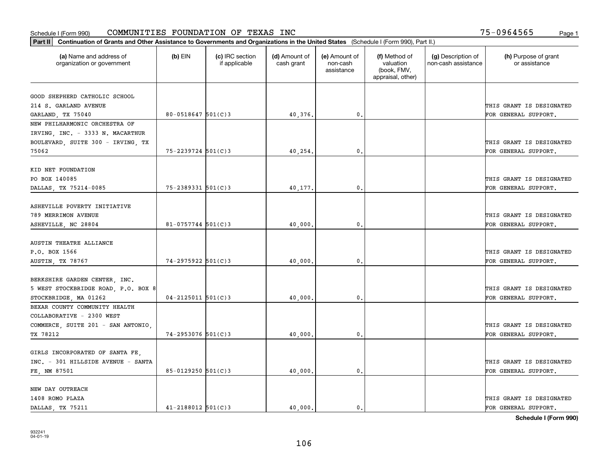| Part II   Continuation of Grants and Other Assistance to Governments and Organizations in the United States (Schedule I (Form 990), Part II.) |                          |                                  |                             |                                         |                                                                |                                           |                                       |
|-----------------------------------------------------------------------------------------------------------------------------------------------|--------------------------|----------------------------------|-----------------------------|-----------------------------------------|----------------------------------------------------------------|-------------------------------------------|---------------------------------------|
| (a) Name and address of<br>organization or government                                                                                         | $(b)$ EIN                | (c) IRC section<br>if applicable | (d) Amount of<br>cash grant | (e) Amount of<br>non-cash<br>assistance | (f) Method of<br>valuation<br>(book, FMV,<br>appraisal, other) | (g) Description of<br>non-cash assistance | (h) Purpose of grant<br>or assistance |
| GOOD SHEPHERD CATHOLIC SCHOOL                                                                                                                 |                          |                                  |                             |                                         |                                                                |                                           |                                       |
| 214 S. GARLAND AVENUE                                                                                                                         |                          |                                  |                             |                                         |                                                                |                                           | THIS GRANT IS DESIGNATED              |
| GARLAND, TX 75040                                                                                                                             | $80 - 0518647$ 501(C)3   |                                  | 40,376.                     | 0.                                      |                                                                |                                           | FOR GENERAL SUPPORT.                  |
| NEW PHILHARMONIC ORCHESTRA OF                                                                                                                 |                          |                                  |                             |                                         |                                                                |                                           |                                       |
| IRVING, INC. - 3333 N. MACARTHUR                                                                                                              |                          |                                  |                             |                                         |                                                                |                                           |                                       |
| BOULEVARD, SUITE 300 - IRVING, TX                                                                                                             |                          |                                  |                             |                                         |                                                                |                                           | THIS GRANT IS DESIGNATED              |
| 75062                                                                                                                                         | $75 - 2239724$ 501(C)3   |                                  | 40,254.                     | 0.                                      |                                                                |                                           | FOR GENERAL SUPPORT.                  |
|                                                                                                                                               |                          |                                  |                             |                                         |                                                                |                                           |                                       |
| KID NET FOUNDATION                                                                                                                            |                          |                                  |                             |                                         |                                                                |                                           |                                       |
| PO BOX 140085                                                                                                                                 |                          |                                  |                             |                                         |                                                                |                                           | THIS GRANT IS DESIGNATED              |
| DALLAS, TX 75214-0085                                                                                                                         | $75 - 2389331$ 501(C)3   |                                  | 40,177.                     | $\mathbf 0$ .                           |                                                                |                                           | FOR GENERAL SUPPORT.                  |
|                                                                                                                                               |                          |                                  |                             |                                         |                                                                |                                           |                                       |
| ASHEVILLE POVERTY INITIATIVE                                                                                                                  |                          |                                  |                             |                                         |                                                                |                                           |                                       |
| 789 MERRIMON AVENUE                                                                                                                           |                          |                                  |                             |                                         |                                                                |                                           | THIS GRANT IS DESIGNATED              |
| ASHEVILLE, NC 28804                                                                                                                           | 81-0757744 $501(C)3$     |                                  | 40,000                      | 0.                                      |                                                                |                                           | FOR GENERAL SUPPORT.                  |
|                                                                                                                                               |                          |                                  |                             |                                         |                                                                |                                           |                                       |
| AUSTIN THEATRE ALLIANCE                                                                                                                       |                          |                                  |                             |                                         |                                                                |                                           |                                       |
| P.O. BOX 1566                                                                                                                                 |                          |                                  |                             |                                         |                                                                |                                           | THIS GRANT IS DESIGNATED              |
| AUSTIN, TX 78767                                                                                                                              | $74 - 2975922$ 501(C)3   |                                  | 40,000                      | 0                                       |                                                                |                                           | FOR GENERAL SUPPORT.                  |
|                                                                                                                                               |                          |                                  |                             |                                         |                                                                |                                           |                                       |
| BERKSHIRE GARDEN CENTER, INC.                                                                                                                 |                          |                                  |                             |                                         |                                                                |                                           |                                       |
| 5 WEST STOCKBRIDGE ROAD, P.O. BOX 8                                                                                                           |                          |                                  |                             |                                         |                                                                |                                           | THIS GRANT IS DESIGNATED              |
| STOCKBRIDGE, MA 01262                                                                                                                         | $04 - 2125011$ $501(C)3$ |                                  | 40,000                      | $\mathbf{0}$                            |                                                                |                                           | FOR GENERAL SUPPORT.                  |
| BEXAR COUNTY COMMUNITY HEALTH                                                                                                                 |                          |                                  |                             |                                         |                                                                |                                           |                                       |
| COLLABORATIVE - 2300 WEST                                                                                                                     |                          |                                  |                             |                                         |                                                                |                                           |                                       |
| COMMERCE, SUITE 201 - SAN ANTONIO,                                                                                                            |                          |                                  |                             |                                         |                                                                |                                           | THIS GRANT IS DESIGNATED              |
| TX 78212                                                                                                                                      | 74-2953076 501(C)3       |                                  | 40,000                      | $\mathfrak{o}$ .                        |                                                                |                                           | FOR GENERAL SUPPORT.                  |
|                                                                                                                                               |                          |                                  |                             |                                         |                                                                |                                           |                                       |
| GIRLS INCORPORATED OF SANTA FE,                                                                                                               |                          |                                  |                             |                                         |                                                                |                                           |                                       |
| INC. - 301 HILLSIDE AVENUE - SANTA                                                                                                            |                          |                                  |                             |                                         |                                                                |                                           | THIS GRANT IS DESIGNATED              |
| FE, NM 87501                                                                                                                                  | $85 - 0129250$ 501(C)3   |                                  | 40,000.                     | $\mathfrak{o}$ .                        |                                                                |                                           | FOR GENERAL SUPPORT.                  |
|                                                                                                                                               |                          |                                  |                             |                                         |                                                                |                                           |                                       |
| NEW DAY OUTREACH                                                                                                                              |                          |                                  |                             |                                         |                                                                |                                           |                                       |
| 1408 ROMO PLAZA                                                                                                                               | $41 - 2188012$ 501(C)3   |                                  | 40.000.                     |                                         |                                                                |                                           | THIS GRANT IS DESIGNATED              |
| DALLAS, TX 75211                                                                                                                              |                          |                                  |                             | $\mathfrak{o}$ .                        |                                                                |                                           | FOR GENERAL SUPPORT.                  |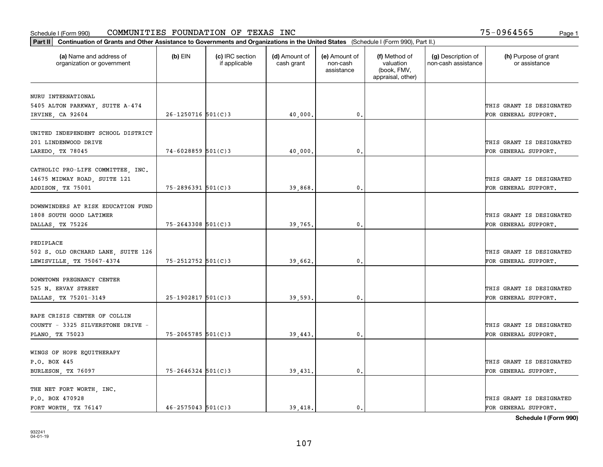| (a) Name and address of<br>organization or government | $(b)$ EIN              | (c) IRC section<br>if applicable | (d) Amount of<br>cash grant | (e) Amount of<br>non-cash<br>assistance | (f) Method of<br>valuation<br>(book, FMV,<br>appraisal, other) | (g) Description of<br>non-cash assistance | (h) Purpose of grant<br>or assistance |
|-------------------------------------------------------|------------------------|----------------------------------|-----------------------------|-----------------------------------------|----------------------------------------------------------------|-------------------------------------------|---------------------------------------|
|                                                       |                        |                                  |                             |                                         |                                                                |                                           |                                       |
| NURU INTERNATIONAL<br>5405 ALTON PARKWAY, SUITE A-474 |                        |                                  |                             |                                         |                                                                |                                           | THIS GRANT IS DESIGNATED              |
| IRVINE, CA 92604                                      | $26 - 1250716$ 501(C)3 |                                  | 40,000.                     | $\mathfrak{o}$ .                        |                                                                |                                           | FOR GENERAL SUPPORT.                  |
|                                                       |                        |                                  |                             |                                         |                                                                |                                           |                                       |
| UNITED INDEPENDENT SCHOOL DISTRICT                    |                        |                                  |                             |                                         |                                                                |                                           |                                       |
| 201 LINDENWOOD DRIVE                                  |                        |                                  |                             |                                         |                                                                |                                           | THIS GRANT IS DESIGNATED              |
| LAREDO, TX 78045                                      | $74 - 6028859$ 501(C)3 |                                  | 40,000                      | 0.                                      |                                                                |                                           | FOR GENERAL SUPPORT.                  |
|                                                       |                        |                                  |                             |                                         |                                                                |                                           |                                       |
| CATHOLIC PRO-LIFE COMMITTEE, INC.                     |                        |                                  |                             |                                         |                                                                |                                           |                                       |
| 14675 MIDWAY ROAD, SUITE 121                          |                        |                                  |                             |                                         |                                                                |                                           | THIS GRANT IS DESIGNATED              |
| ADDISON, TX 75001                                     | $75 - 2896391$ 501(C)3 |                                  | 39,868.                     | 0.                                      |                                                                |                                           | FOR GENERAL SUPPORT.                  |
| DOWNWINDERS AT RISK EDUCATION FUND                    |                        |                                  |                             |                                         |                                                                |                                           |                                       |
| 1808 SOUTH GOOD LATIMER                               |                        |                                  |                             |                                         |                                                                |                                           | THIS GRANT IS DESIGNATED              |
| DALLAS, TX 75226                                      | $75 - 2643308$ 501(C)3 |                                  | 39,765.                     | 0.                                      |                                                                |                                           | FOR GENERAL SUPPORT.                  |
|                                                       |                        |                                  |                             |                                         |                                                                |                                           |                                       |
| PEDIPLACE                                             |                        |                                  |                             |                                         |                                                                |                                           |                                       |
| 502 S. OLD ORCHARD LANE, SUITE 126                    |                        |                                  |                             |                                         |                                                                |                                           | THIS GRANT IS DESIGNATED              |
| LEWISVILLE, TX 75067-4374                             | $75 - 2512752$ 501(C)3 |                                  | 39,662.                     | 0.                                      |                                                                |                                           | FOR GENERAL SUPPORT.                  |
|                                                       |                        |                                  |                             |                                         |                                                                |                                           |                                       |
| DOWNTOWN PREGNANCY CENTER                             |                        |                                  |                             |                                         |                                                                |                                           |                                       |
| 525 N. ERVAY STREET                                   |                        |                                  |                             |                                         |                                                                |                                           | THIS GRANT IS DESIGNATED              |
| DALLAS, TX 75201-3149                                 | $25-1902817$ 501(C)3   |                                  | 39,593,                     | 0.                                      |                                                                |                                           | FOR GENERAL SUPPORT.                  |
| RAPE CRISIS CENTER OF COLLIN                          |                        |                                  |                             |                                         |                                                                |                                           |                                       |
| COUNTY - 3325 SILVERSTONE DRIVE -                     |                        |                                  |                             |                                         |                                                                |                                           | THIS GRANT IS DESIGNATED              |
| PLANO, TX 75023                                       | $75 - 2065785$ 501(C)3 |                                  | 39,443.                     | $\mathfrak{o}$ .                        |                                                                |                                           | FOR GENERAL SUPPORT.                  |
|                                                       |                        |                                  |                             |                                         |                                                                |                                           |                                       |
| WINGS OF HOPE EQUITHERAPY                             |                        |                                  |                             |                                         |                                                                |                                           |                                       |
| P.O. BOX 445                                          |                        |                                  |                             |                                         |                                                                |                                           | THIS GRANT IS DESIGNATED              |
| BURLESON, TX 76097                                    | $75 - 2646324$ 501(C)3 |                                  | 39,431                      | $\mathbf{0}$                            |                                                                |                                           | FOR GENERAL SUPPORT.                  |
|                                                       |                        |                                  |                             |                                         |                                                                |                                           |                                       |
| THE NET FORT WORTH, INC.                              |                        |                                  |                             |                                         |                                                                |                                           |                                       |
| P.O. BOX 470928                                       |                        |                                  |                             |                                         |                                                                |                                           | THIS GRANT IS DESIGNATED              |
| FORT WORTH, TX 76147                                  | $46 - 2575043$ 501(C)3 |                                  | 39,418.                     | $\mathbf{0}$ .                          |                                                                |                                           | FOR GENERAL SUPPORT.                  |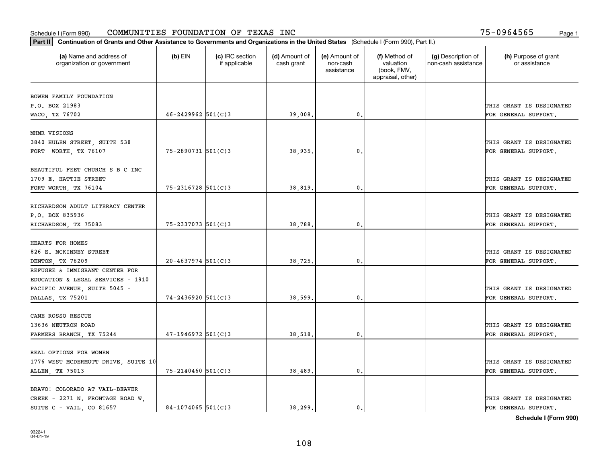| (a) Name and address of<br>organization or government | (b) EIN                | (c) IRC section<br>if applicable | (d) Amount of<br>cash grant | (e) Amount of<br>non-cash<br>assistance | (f) Method of<br>valuation<br>(book, FMV,<br>appraisal, other) | (g) Description of<br>non-cash assistance | (h) Purpose of grant<br>or assistance            |
|-------------------------------------------------------|------------------------|----------------------------------|-----------------------------|-----------------------------------------|----------------------------------------------------------------|-------------------------------------------|--------------------------------------------------|
|                                                       |                        |                                  |                             |                                         |                                                                |                                           |                                                  |
| BOWEN FAMILY FOUNDATION<br>P.O. BOX 21983             |                        |                                  |                             |                                         |                                                                |                                           | THIS GRANT IS DESIGNATED                         |
| WACO, TX 76702                                        | $46 - 2429962$ 501(C)3 |                                  | 39,008.                     | 0.                                      |                                                                |                                           | FOR GENERAL SUPPORT.                             |
|                                                       |                        |                                  |                             |                                         |                                                                |                                           |                                                  |
| MHMR VISIONS                                          |                        |                                  |                             |                                         |                                                                |                                           |                                                  |
| 3840 HULEN STREET, SUITE 538                          |                        |                                  |                             |                                         |                                                                |                                           | THIS GRANT IS DESIGNATED                         |
| FORT WORTH, TX 76107                                  | 75-2890731 501(C)3     |                                  | 38,935                      | $\mathbf{0}$                            |                                                                |                                           | FOR GENERAL SUPPORT.                             |
|                                                       |                        |                                  |                             |                                         |                                                                |                                           |                                                  |
| BEAUTIFUL FEET CHURCH S B C INC                       |                        |                                  |                             |                                         |                                                                |                                           |                                                  |
| 1709 E. HATTIE STREET                                 | $75 - 2316728$ 501(C)3 |                                  | 38,819                      | $\mathbf{0}$ .                          |                                                                |                                           | THIS GRANT IS DESIGNATED<br>FOR GENERAL SUPPORT. |
| FORT WORTH, TX 76104                                  |                        |                                  |                             |                                         |                                                                |                                           |                                                  |
| RICHARDSON ADULT LITERACY CENTER                      |                        |                                  |                             |                                         |                                                                |                                           |                                                  |
| P.O. BOX 835936                                       |                        |                                  |                             |                                         |                                                                |                                           | THIS GRANT IS DESIGNATED                         |
| RICHARDSON, TX 75083                                  | $75 - 2337073$ 501(C)3 |                                  | 38,788                      | $\mathbf{0}$                            |                                                                |                                           | FOR GENERAL SUPPORT.                             |
|                                                       |                        |                                  |                             |                                         |                                                                |                                           |                                                  |
| HEARTS FOR HOMES                                      |                        |                                  |                             |                                         |                                                                |                                           |                                                  |
| 826 E. MCKINNEY STREET                                |                        |                                  |                             |                                         |                                                                |                                           | THIS GRANT IS DESIGNATED                         |
| DENTON, TX 76209                                      | $20 - 4637974$ 501(C)3 |                                  | 38,725                      | 0.                                      |                                                                |                                           | FOR GENERAL SUPPORT.                             |
| REFUGEE & IMMIGRANT CENTER FOR                        |                        |                                  |                             |                                         |                                                                |                                           |                                                  |
| EDUCATION & LEGAL SERVICES - 1910                     |                        |                                  |                             |                                         |                                                                |                                           |                                                  |
| PACIFIC AVENUE, SUITE 5045 -                          |                        |                                  |                             |                                         |                                                                |                                           | THIS GRANT IS DESIGNATED                         |
| DALLAS, TX 75201                                      | $74 - 2436920$ 501(C)3 |                                  | 38,599                      | $\mathbf{0}$                            |                                                                |                                           | FOR GENERAL SUPPORT.                             |
|                                                       |                        |                                  |                             |                                         |                                                                |                                           |                                                  |
| CANE ROSSO RESCUE                                     |                        |                                  |                             |                                         |                                                                |                                           | THIS GRANT IS DESIGNATED                         |
| 13636 NEUTRON ROAD                                    | $47-1946972$ 501(C)3   |                                  |                             | $\mathbf{0}$ .                          |                                                                |                                           |                                                  |
| FARMERS BRANCH, TX 75244                              |                        |                                  | 38,518                      |                                         |                                                                |                                           | FOR GENERAL SUPPORT.                             |
| REAL OPTIONS FOR WOMEN                                |                        |                                  |                             |                                         |                                                                |                                           |                                                  |
| 1776 WEST MCDERMOTT DRIVE, SUITE 10                   |                        |                                  |                             |                                         |                                                                |                                           | THIS GRANT IS DESIGNATED                         |
| ALLEN, TX 75013                                       | $75 - 2140460$ 501(C)3 |                                  | 38,489                      | $\mathbf{0}$                            |                                                                |                                           | FOR GENERAL SUPPORT.                             |
|                                                       |                        |                                  |                             |                                         |                                                                |                                           |                                                  |
| BRAVO! COLORADO AT VAIL-BEAVER                        |                        |                                  |                             |                                         |                                                                |                                           |                                                  |
| CREEK - 2271 N. FRONTAGE ROAD W.                      |                        |                                  |                             |                                         |                                                                |                                           | THIS GRANT IS DESIGNATED                         |
| SUITE C - VAIL, CO 81657                              | $84-1074065$ 501(C)3   |                                  | 38.299.                     | 0.                                      |                                                                |                                           | FOR GENERAL SUPPORT.                             |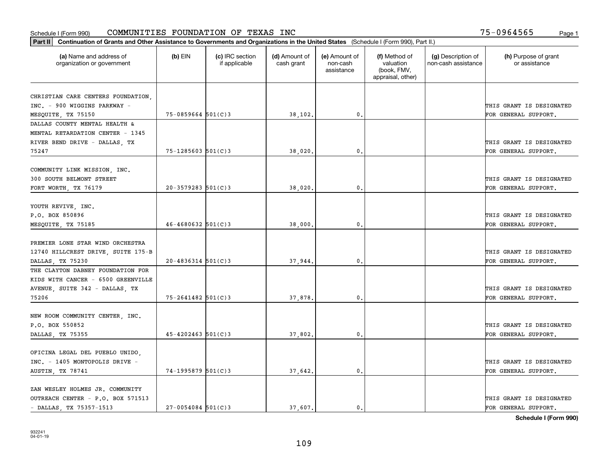| Part II   Continuation of Grants and Other Assistance to Governments and Organizations in the United States (Schedule I (Form 990), Part II.) |                          |                                  |                             |                                         |                                                                |                                           |                                                  |
|-----------------------------------------------------------------------------------------------------------------------------------------------|--------------------------|----------------------------------|-----------------------------|-----------------------------------------|----------------------------------------------------------------|-------------------------------------------|--------------------------------------------------|
| (a) Name and address of<br>organization or government                                                                                         | $(b)$ EIN                | (c) IRC section<br>if applicable | (d) Amount of<br>cash grant | (e) Amount of<br>non-cash<br>assistance | (f) Method of<br>valuation<br>(book, FMV,<br>appraisal, other) | (g) Description of<br>non-cash assistance | (h) Purpose of grant<br>or assistance            |
|                                                                                                                                               |                          |                                  |                             |                                         |                                                                |                                           |                                                  |
| CHRISTIAN CARE CENTERS FOUNDATION,                                                                                                            |                          |                                  |                             |                                         |                                                                |                                           |                                                  |
| INC. - 900 WIGGINS PARKWAY -<br>MESQUITE, TX 75150                                                                                            | $75 - 0859664$ 501(C)3   |                                  | 38,102.                     | $\mathbf{0}$ .                          |                                                                |                                           | THIS GRANT IS DESIGNATED<br>FOR GENERAL SUPPORT. |
| DALLAS COUNTY MENTAL HEALTH &                                                                                                                 |                          |                                  |                             |                                         |                                                                |                                           |                                                  |
| MENTAL RETARDATION CENTER - 1345                                                                                                              |                          |                                  |                             |                                         |                                                                |                                           |                                                  |
| RIVER BEND DRIVE - DALLAS, TX                                                                                                                 |                          |                                  |                             |                                         |                                                                |                                           | THIS GRANT IS DESIGNATED                         |
| 75247                                                                                                                                         | $75 - 1285603$ $501(C)3$ |                                  | 38,020,                     | 0.                                      |                                                                |                                           | FOR GENERAL SUPPORT.                             |
|                                                                                                                                               |                          |                                  |                             |                                         |                                                                |                                           |                                                  |
| COMMUNITY LINK MISSION, INC.                                                                                                                  |                          |                                  |                             |                                         |                                                                |                                           |                                                  |
| 300 SOUTH BELMONT STREET                                                                                                                      |                          |                                  |                             |                                         |                                                                |                                           | THIS GRANT IS DESIGNATED                         |
| FORT WORTH, TX 76179                                                                                                                          | $20 - 3579283$ 501(C) 3  |                                  | 38,020.                     | $\mathbf{0}$ .                          |                                                                |                                           | FOR GENERAL SUPPORT.                             |
|                                                                                                                                               |                          |                                  |                             |                                         |                                                                |                                           |                                                  |
| YOUTH REVIVE, INC.                                                                                                                            |                          |                                  |                             |                                         |                                                                |                                           |                                                  |
| P.O. BOX 850896                                                                                                                               |                          |                                  |                             |                                         |                                                                |                                           | THIS GRANT IS DESIGNATED                         |
| MESQUITE, TX 75185                                                                                                                            | $46 - 4680632$ 501(C)3   |                                  | 38,000.                     | 0.                                      |                                                                |                                           | FOR GENERAL SUPPORT.                             |
|                                                                                                                                               |                          |                                  |                             |                                         |                                                                |                                           |                                                  |
| PREMIER LONE STAR WIND ORCHESTRA                                                                                                              |                          |                                  |                             |                                         |                                                                |                                           |                                                  |
| 12740 HILLCREST DRIVE, SUITE 175-B                                                                                                            |                          |                                  |                             |                                         |                                                                |                                           | THIS GRANT IS DESIGNATED                         |
| DALLAS, TX 75230                                                                                                                              | $20 - 4836314$ 501(C)3   |                                  | 37,944.                     | 0.                                      |                                                                |                                           | FOR GENERAL SUPPORT.                             |
| THE CLAYTON DABNEY FOUNDATION FOR                                                                                                             |                          |                                  |                             |                                         |                                                                |                                           |                                                  |
| KIDS WITH CANCER - 6500 GREENVILLE                                                                                                            |                          |                                  |                             |                                         |                                                                |                                           |                                                  |
| AVENUE, SUITE 342 - DALLAS, TX                                                                                                                |                          |                                  |                             |                                         |                                                                |                                           | THIS GRANT IS DESIGNATED                         |
| 75206                                                                                                                                         | $75 - 2641482$ 501(C)3   |                                  | 37,878.                     | 0.                                      |                                                                |                                           | FOR GENERAL SUPPORT.                             |
|                                                                                                                                               |                          |                                  |                             |                                         |                                                                |                                           |                                                  |
| NEW ROOM COMMUNITY CENTER, INC.                                                                                                               |                          |                                  |                             |                                         |                                                                |                                           |                                                  |
| P.O. BOX 550852                                                                                                                               |                          |                                  |                             |                                         |                                                                |                                           | THIS GRANT IS DESIGNATED                         |
| DALLAS, TX 75355                                                                                                                              | $45 - 4202463$ 501(C)3   |                                  | 37,802.                     | 0.                                      |                                                                |                                           | FOR GENERAL SUPPORT.                             |
|                                                                                                                                               |                          |                                  |                             |                                         |                                                                |                                           |                                                  |
| OFICINA LEGAL DEL PUEBLO UNIDO,                                                                                                               |                          |                                  |                             |                                         |                                                                |                                           |                                                  |
| INC. - 1405 MONTOPOLIS DRIVE -                                                                                                                |                          |                                  |                             |                                         |                                                                |                                           | THIS GRANT IS DESIGNATED                         |
| AUSTIN, TX 78741                                                                                                                              | 74-1995879 501(C)3       |                                  | 37,642.                     | $\mathbf{0}$ .                          |                                                                |                                           | FOR GENERAL SUPPORT.                             |
|                                                                                                                                               |                          |                                  |                             |                                         |                                                                |                                           |                                                  |
| ZAN WESLEY HOLMES JR. COMMUNITY                                                                                                               |                          |                                  |                             |                                         |                                                                |                                           | THIS GRANT IS DESIGNATED                         |
| OUTREACH CENTER - P.O. BOX 571513<br>- DALLAS, TX 75357-1513                                                                                  | $27 - 0054084$ 501(C)3   |                                  | 37,607.                     | $\mathbf{0}$ .                          |                                                                |                                           | FOR GENERAL SUPPORT.                             |
|                                                                                                                                               |                          |                                  |                             |                                         |                                                                |                                           |                                                  |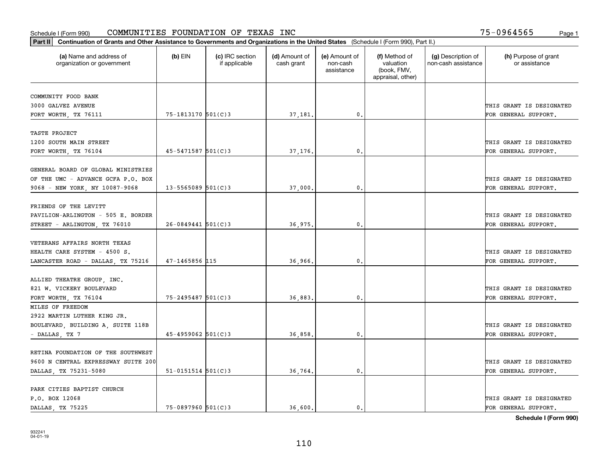| Part II   Continuation of Grants and Other Assistance to Governments and Organizations in the United States (Schedule I (Form 990), Part II.) |                          |                                  |                             |                                         |                                                                |                                           |                                       |
|-----------------------------------------------------------------------------------------------------------------------------------------------|--------------------------|----------------------------------|-----------------------------|-----------------------------------------|----------------------------------------------------------------|-------------------------------------------|---------------------------------------|
| (a) Name and address of<br>organization or government                                                                                         | $(b)$ EIN                | (c) IRC section<br>if applicable | (d) Amount of<br>cash grant | (e) Amount of<br>non-cash<br>assistance | (f) Method of<br>valuation<br>(book, FMV,<br>appraisal, other) | (g) Description of<br>non-cash assistance | (h) Purpose of grant<br>or assistance |
|                                                                                                                                               |                          |                                  |                             |                                         |                                                                |                                           |                                       |
| COMMUNITY FOOD BANK<br>3000 GALVEZ AVENUE                                                                                                     |                          |                                  |                             |                                         |                                                                |                                           | THIS GRANT IS DESIGNATED              |
| FORT WORTH, TX 76111                                                                                                                          | 75-1813170 501(C)3       |                                  | 37,181.                     | $\mathbf{0}$ .                          |                                                                |                                           | FOR GENERAL SUPPORT.                  |
|                                                                                                                                               |                          |                                  |                             |                                         |                                                                |                                           |                                       |
| TASTE PROJECT                                                                                                                                 |                          |                                  |                             |                                         |                                                                |                                           |                                       |
| 1200 SOUTH MAIN STREET                                                                                                                        |                          |                                  |                             |                                         |                                                                |                                           | THIS GRANT IS DESIGNATED              |
| FORT WORTH, TX 76104                                                                                                                          | $45 - 5471587$ 501(C)3   |                                  | 37,176                      | 0.                                      |                                                                |                                           | FOR GENERAL SUPPORT.                  |
|                                                                                                                                               |                          |                                  |                             |                                         |                                                                |                                           |                                       |
| GENERAL BOARD OF GLOBAL MINISTRIES                                                                                                            |                          |                                  |                             |                                         |                                                                |                                           |                                       |
| OF THE UMC - ADVANCE GCFA P.O. BOX                                                                                                            |                          |                                  |                             |                                         |                                                                |                                           | THIS GRANT IS DESIGNATED              |
| 9068 - NEW YORK, NY 10087-9068                                                                                                                | $13 - 5565089$ 501(C)3   |                                  | 37,000                      | 0.                                      |                                                                |                                           | FOR GENERAL SUPPORT.                  |
|                                                                                                                                               |                          |                                  |                             |                                         |                                                                |                                           |                                       |
| FRIENDS OF THE LEVITT                                                                                                                         |                          |                                  |                             |                                         |                                                                |                                           |                                       |
| PAVILION-ARLINGTON - 505 E. BORDER                                                                                                            |                          |                                  |                             |                                         |                                                                |                                           | THIS GRANT IS DESIGNATED              |
| STREET - ARLINGTON, TX 76010                                                                                                                  | $26 - 0849441$ 501(C)3   |                                  | 36,975.                     | 0.                                      |                                                                |                                           | FOR GENERAL SUPPORT.                  |
|                                                                                                                                               |                          |                                  |                             |                                         |                                                                |                                           |                                       |
| VETERANS AFFAIRS NORTH TEXAS                                                                                                                  |                          |                                  |                             |                                         |                                                                |                                           |                                       |
| HEALTH CARE SYSTEM - 4500 S.                                                                                                                  |                          |                                  |                             |                                         |                                                                |                                           | THIS GRANT IS DESIGNATED              |
| LANCASTER ROAD - DALLAS, TX 75216                                                                                                             | $47 - 1465856$ 115       |                                  | 36,966.                     | $\mathbf{0}$ .                          |                                                                |                                           | FOR GENERAL SUPPORT.                  |
|                                                                                                                                               |                          |                                  |                             |                                         |                                                                |                                           |                                       |
| ALLIED THEATRE GROUP, INC.                                                                                                                    |                          |                                  |                             |                                         |                                                                |                                           |                                       |
| 821 W. VICKERY BOULEVARD                                                                                                                      |                          |                                  |                             |                                         |                                                                |                                           | THIS GRANT IS DESIGNATED              |
| FORT WORTH, TX 76104                                                                                                                          | 75-2495487 501(C)3       |                                  | 36,883                      | 0.                                      |                                                                |                                           | FOR GENERAL SUPPORT.                  |
| MILES OF FREEDOM                                                                                                                              |                          |                                  |                             |                                         |                                                                |                                           |                                       |
| 2922 MARTIN LUTHER KING JR.                                                                                                                   |                          |                                  |                             |                                         |                                                                |                                           |                                       |
| BOULEVARD, BUILDING A, SUITE 118B                                                                                                             |                          |                                  |                             |                                         |                                                                |                                           | THIS GRANT IS DESIGNATED              |
| - DALLAS, TX 7                                                                                                                                | $45 - 4959062$ 501(C)3   |                                  | 36,858                      | 0.                                      |                                                                |                                           | FOR GENERAL SUPPORT.                  |
|                                                                                                                                               |                          |                                  |                             |                                         |                                                                |                                           |                                       |
| RETINA FOUNDATION OF THE SOUTHWEST                                                                                                            |                          |                                  |                             |                                         |                                                                |                                           |                                       |
| 9600 N CENTRAL EXPRESSWAY SUITE 200                                                                                                           |                          |                                  |                             |                                         |                                                                |                                           | THIS GRANT IS DESIGNATED              |
| DALLAS, TX 75231-5080                                                                                                                         | $51 - 0151514$ $501(C)3$ |                                  | 36,764.                     | 0.                                      |                                                                |                                           | FOR GENERAL SUPPORT.                  |
|                                                                                                                                               |                          |                                  |                             |                                         |                                                                |                                           |                                       |
| PARK CITIES BAPTIST CHURCH                                                                                                                    |                          |                                  |                             |                                         |                                                                |                                           |                                       |
| P.O. BOX 12068                                                                                                                                |                          |                                  |                             |                                         |                                                                |                                           | THIS GRANT IS DESIGNATED              |
| DALLAS TX 75225                                                                                                                               | $75 - 0897960$ 501(C)3   |                                  | 36,600.                     | $\mathbf{0}$ .                          |                                                                |                                           | FOR GENERAL SUPPORT.                  |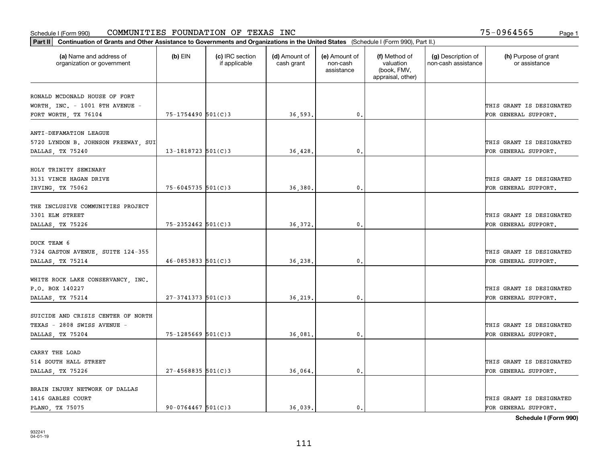| Part II   Continuation of Grants and Other Assistance to Governments and Organizations in the United States (Schedule I (Form 990), Part II.) |                          |                                  |                             |                                         |                                                                |                                           |                                       |
|-----------------------------------------------------------------------------------------------------------------------------------------------|--------------------------|----------------------------------|-----------------------------|-----------------------------------------|----------------------------------------------------------------|-------------------------------------------|---------------------------------------|
| (a) Name and address of<br>organization or government                                                                                         | $(b)$ EIN                | (c) IRC section<br>if applicable | (d) Amount of<br>cash grant | (e) Amount of<br>non-cash<br>assistance | (f) Method of<br>valuation<br>(book, FMV,<br>appraisal, other) | (g) Description of<br>non-cash assistance | (h) Purpose of grant<br>or assistance |
|                                                                                                                                               |                          |                                  |                             |                                         |                                                                |                                           |                                       |
| RONALD MCDONALD HOUSE OF FORT                                                                                                                 |                          |                                  |                             |                                         |                                                                |                                           |                                       |
| WORTH, INC. - 1001 8TH AVENUE -                                                                                                               |                          |                                  |                             |                                         |                                                                |                                           | THIS GRANT IS DESIGNATED              |
| FORT WORTH, TX 76104                                                                                                                          | 75-1754490 501(C)3       |                                  | 36,593.                     | $\mathbf{0}$ .                          |                                                                |                                           | FOR GENERAL SUPPORT.                  |
| ANTI-DEFAMATION LEAGUE                                                                                                                        |                          |                                  |                             |                                         |                                                                |                                           |                                       |
| 5720 LYNDON B. JOHNSON FREEWAY, SUI                                                                                                           |                          |                                  |                             |                                         |                                                                |                                           | THIS GRANT IS DESIGNATED              |
| DALLAS, TX 75240                                                                                                                              | 13-1818723 $501(C)$ 3    |                                  | 36,428                      | 0.                                      |                                                                |                                           | FOR GENERAL SUPPORT.                  |
|                                                                                                                                               |                          |                                  |                             |                                         |                                                                |                                           |                                       |
| HOLY TRINITY SEMINARY                                                                                                                         |                          |                                  |                             |                                         |                                                                |                                           |                                       |
| 3131 VINCE HAGAN DRIVE                                                                                                                        |                          |                                  |                             |                                         |                                                                |                                           | THIS GRANT IS DESIGNATED              |
| IRVING, TX 75062                                                                                                                              | 75-6045735 501(C)3       |                                  | 36,380.                     | $\mathbf{0}$ .                          |                                                                |                                           | FOR GENERAL SUPPORT.                  |
|                                                                                                                                               |                          |                                  |                             |                                         |                                                                |                                           |                                       |
| THE INCLUSIVE COMMUNITIES PROJECT                                                                                                             |                          |                                  |                             |                                         |                                                                |                                           |                                       |
| 3301 ELM STREET                                                                                                                               |                          |                                  |                             |                                         |                                                                |                                           | THIS GRANT IS DESIGNATED              |
| DALLAS, TX 75226                                                                                                                              | 75-2352462 501(C)3       |                                  | 36,372.                     | 0.                                      |                                                                |                                           | FOR GENERAL SUPPORT.                  |
|                                                                                                                                               |                          |                                  |                             |                                         |                                                                |                                           |                                       |
| DUCK TEAM 6                                                                                                                                   |                          |                                  |                             |                                         |                                                                |                                           |                                       |
| 7324 GASTON AVENUE, SUITE 124-355                                                                                                             |                          |                                  |                             |                                         |                                                                |                                           | THIS GRANT IS DESIGNATED              |
| DALLAS, TX 75214                                                                                                                              | $46 - 0853833$ $501(C)3$ |                                  | 36,238.                     | 0.                                      |                                                                |                                           | FOR GENERAL SUPPORT.                  |
|                                                                                                                                               |                          |                                  |                             |                                         |                                                                |                                           |                                       |
| WHITE ROCK LAKE CONSERVANCY, INC.                                                                                                             |                          |                                  |                             |                                         |                                                                |                                           |                                       |
| P.O. BOX 140227                                                                                                                               |                          |                                  |                             |                                         |                                                                |                                           | THIS GRANT IS DESIGNATED              |
| DALLAS, TX 75214                                                                                                                              | $27 - 3741373$ 501(C)3   |                                  | 36, 219.                    | 0.                                      |                                                                |                                           | FOR GENERAL SUPPORT.                  |
|                                                                                                                                               |                          |                                  |                             |                                         |                                                                |                                           |                                       |
| SUICIDE AND CRISIS CENTER OF NORTH                                                                                                            |                          |                                  |                             |                                         |                                                                |                                           |                                       |
| TEXAS - 2808 SWISS AVENUE -                                                                                                                   |                          |                                  |                             |                                         |                                                                |                                           | THIS GRANT IS DESIGNATED              |
| DALLAS, TX 75204                                                                                                                              | $75 - 1285669$ 501(C)3   |                                  | 36,081.                     | $\mathbf{0}$ .                          |                                                                |                                           | FOR GENERAL SUPPORT.                  |
|                                                                                                                                               |                          |                                  |                             |                                         |                                                                |                                           |                                       |
| CARRY THE LOAD                                                                                                                                |                          |                                  |                             |                                         |                                                                |                                           |                                       |
| 514 SOUTH HALL STREET                                                                                                                         |                          |                                  |                             |                                         |                                                                |                                           | THIS GRANT IS DESIGNATED              |
| DALLAS, TX 75226                                                                                                                              | $27 - 4568835$ 501(C)3   |                                  | 36,064.                     | 0.                                      |                                                                |                                           | FOR GENERAL SUPPORT.                  |
| BRAIN INJURY NETWORK OF DALLAS                                                                                                                |                          |                                  |                             |                                         |                                                                |                                           |                                       |
| 1416 GABLES COURT                                                                                                                             |                          |                                  |                             |                                         |                                                                |                                           | THIS GRANT IS DESIGNATED              |
| PLANO, TX 75075                                                                                                                               | $90 - 0764467$ 501(C)3   |                                  | 36,039.                     | $\mathbf{0}$ .                          |                                                                |                                           | FOR GENERAL SUPPORT.                  |
|                                                                                                                                               |                          |                                  |                             |                                         |                                                                |                                           |                                       |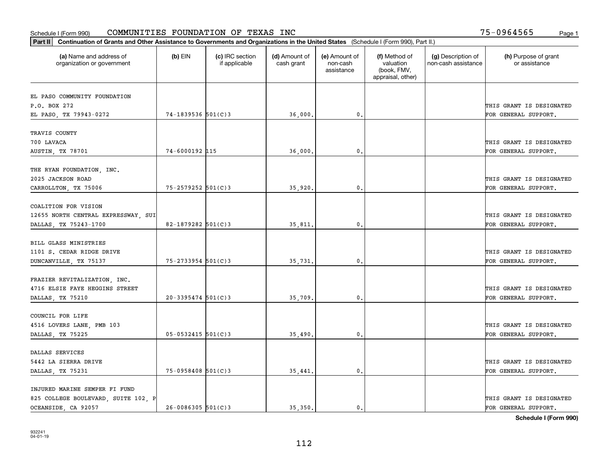| Part II   Continuation of Grants and Other Assistance to Governments and Organizations in the United States (Schedule I (Form 990), Part II.) |                        |                                  |                             |                                         |                                                                |                                           |                                       |
|-----------------------------------------------------------------------------------------------------------------------------------------------|------------------------|----------------------------------|-----------------------------|-----------------------------------------|----------------------------------------------------------------|-------------------------------------------|---------------------------------------|
| (a) Name and address of<br>organization or government                                                                                         | $(b)$ EIN              | (c) IRC section<br>if applicable | (d) Amount of<br>cash grant | (e) Amount of<br>non-cash<br>assistance | (f) Method of<br>valuation<br>(book, FMV,<br>appraisal, other) | (g) Description of<br>non-cash assistance | (h) Purpose of grant<br>or assistance |
|                                                                                                                                               |                        |                                  |                             |                                         |                                                                |                                           |                                       |
| EL PASO COMMUNITY FOUNDATION<br>P.O. BOX 272                                                                                                  |                        |                                  |                             |                                         |                                                                |                                           | THIS GRANT IS DESIGNATED              |
| EL PASO, TX 79943-0272                                                                                                                        | 74-1839536 501(C)3     |                                  | 36,000                      | 0.                                      |                                                                |                                           | FOR GENERAL SUPPORT.                  |
|                                                                                                                                               |                        |                                  |                             |                                         |                                                                |                                           |                                       |
| TRAVIS COUNTY                                                                                                                                 |                        |                                  |                             |                                         |                                                                |                                           |                                       |
| 700 LAVACA                                                                                                                                    |                        |                                  |                             |                                         |                                                                |                                           | THIS GRANT IS DESIGNATED              |
| AUSTIN, TX 78701                                                                                                                              | 74-6000192 115         |                                  | 36,000                      | 0.                                      |                                                                |                                           | FOR GENERAL SUPPORT.                  |
|                                                                                                                                               |                        |                                  |                             |                                         |                                                                |                                           |                                       |
| THE RYAN FOUNDATION, INC.                                                                                                                     |                        |                                  |                             |                                         |                                                                |                                           |                                       |
| 2025 JACKSON ROAD                                                                                                                             |                        |                                  |                             |                                         |                                                                |                                           | THIS GRANT IS DESIGNATED              |
| CARROLLTON, TX 75006                                                                                                                          | 75-2579252 501(C)3     |                                  | 35,920                      | 0.                                      |                                                                |                                           | FOR GENERAL SUPPORT.                  |
|                                                                                                                                               |                        |                                  |                             |                                         |                                                                |                                           |                                       |
| COALITION FOR VISION                                                                                                                          |                        |                                  |                             |                                         |                                                                |                                           |                                       |
| 12655 NORTH CENTRAL EXPRESSWAY, SUI                                                                                                           |                        |                                  |                             |                                         |                                                                |                                           | THIS GRANT IS DESIGNATED              |
| DALLAS, TX 75243-1700                                                                                                                         | 82-1879282 501(C)3     |                                  | 35,811.                     | 0.                                      |                                                                |                                           | FOR GENERAL SUPPORT.                  |
| BILL GLASS MINISTRIES                                                                                                                         |                        |                                  |                             |                                         |                                                                |                                           |                                       |
|                                                                                                                                               |                        |                                  |                             |                                         |                                                                |                                           |                                       |
| 1101 S. CEDAR RIDGE DRIVE                                                                                                                     | 75-2733954 501(C)3     |                                  |                             |                                         |                                                                |                                           | THIS GRANT IS DESIGNATED              |
| DUNCANVILLE, TX 75137                                                                                                                         |                        |                                  | 35,731                      | 0.                                      |                                                                |                                           | FOR GENERAL SUPPORT.                  |
| FRAZIER REVITALIZATION, INC.                                                                                                                  |                        |                                  |                             |                                         |                                                                |                                           |                                       |
| 4716 ELSIE FAYE HEGGINS STREET                                                                                                                |                        |                                  |                             |                                         |                                                                |                                           | THIS GRANT IS DESIGNATED              |
| DALLAS, TX 75210                                                                                                                              | $20-3395474$ 501(C)3   |                                  | 35,709                      | 0.                                      |                                                                |                                           | FOR GENERAL SUPPORT.                  |
|                                                                                                                                               |                        |                                  |                             |                                         |                                                                |                                           |                                       |
| COUNCIL FOR LIFE                                                                                                                              |                        |                                  |                             |                                         |                                                                |                                           |                                       |
| 4516 LOVERS LANE, PMB 103                                                                                                                     |                        |                                  |                             |                                         |                                                                |                                           | THIS GRANT IS DESIGNATED              |
| DALLAS, TX 75225                                                                                                                              | $05 - 0532415$ 501(C)3 |                                  | 35,490                      | $\mathbf{0}$ .                          |                                                                |                                           | FOR GENERAL SUPPORT.                  |
|                                                                                                                                               |                        |                                  |                             |                                         |                                                                |                                           |                                       |
| DALLAS SERVICES                                                                                                                               |                        |                                  |                             |                                         |                                                                |                                           |                                       |
| 5442 LA SIERRA DRIVE                                                                                                                          |                        |                                  |                             |                                         |                                                                |                                           | THIS GRANT IS DESIGNATED              |
| DALLAS, TX 75231                                                                                                                              | $75-0958408$ 501(C)3   |                                  | 35,441.                     | $\mathbf{0}$ .                          |                                                                |                                           | FOR GENERAL SUPPORT.                  |
|                                                                                                                                               |                        |                                  |                             |                                         |                                                                |                                           |                                       |
| INJURED MARINE SEMPER FI FUND                                                                                                                 |                        |                                  |                             |                                         |                                                                |                                           |                                       |
| 825 COLLEGE BOULEVARD, SUITE 102, P                                                                                                           |                        |                                  |                             |                                         |                                                                |                                           | THIS GRANT IS DESIGNATED              |
| OCEANSIDE, CA 92057                                                                                                                           | $26 - 0086305$ 501(C)3 |                                  | 35.350.                     | $\mathbf{0}$ .                          |                                                                |                                           | FOR GENERAL SUPPORT.                  |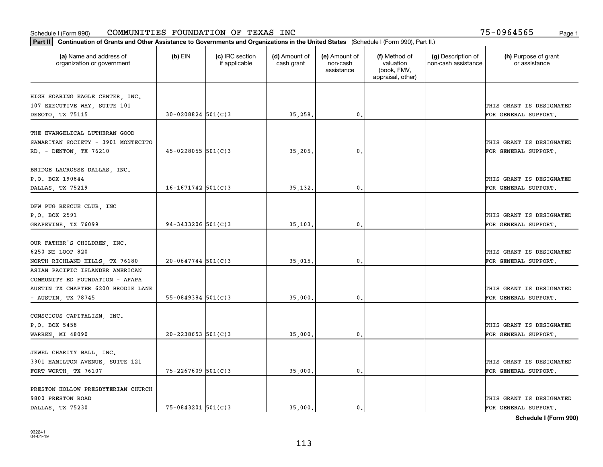| Part II   Continuation of Grants and Other Assistance to Governments and Organizations in the United States (Schedule I (Form 990), Part II.) |                        |                                  |                             |                                         |                                                                |                                           |                                       |
|-----------------------------------------------------------------------------------------------------------------------------------------------|------------------------|----------------------------------|-----------------------------|-----------------------------------------|----------------------------------------------------------------|-------------------------------------------|---------------------------------------|
| (a) Name and address of<br>organization or government                                                                                         | $(b)$ EIN              | (c) IRC section<br>if applicable | (d) Amount of<br>cash grant | (e) Amount of<br>non-cash<br>assistance | (f) Method of<br>valuation<br>(book, FMV,<br>appraisal, other) | (g) Description of<br>non-cash assistance | (h) Purpose of grant<br>or assistance |
|                                                                                                                                               |                        |                                  |                             |                                         |                                                                |                                           |                                       |
| HIGH SOARING EAGLE CENTER, INC.                                                                                                               |                        |                                  |                             |                                         |                                                                |                                           | THIS GRANT IS DESIGNATED              |
| 107 EXECUTIVE WAY, SUITE 101<br>DESOTO, TX 75115                                                                                              | $30 - 0208824$ 501(C)3 |                                  | 35,258.                     | 0.                                      |                                                                |                                           | FOR GENERAL SUPPORT.                  |
|                                                                                                                                               |                        |                                  |                             |                                         |                                                                |                                           |                                       |
| THE EVANGELICAL LUTHERAN GOOD                                                                                                                 |                        |                                  |                             |                                         |                                                                |                                           |                                       |
| SAMARITAN SOCIETY - 3901 MONTECITO                                                                                                            |                        |                                  |                             |                                         |                                                                |                                           | THIS GRANT IS DESIGNATED              |
| RD. - DENTON, TX 76210                                                                                                                        | $45 - 0228055$ 501(C)3 |                                  | 35,205                      | 0.                                      |                                                                |                                           | FOR GENERAL SUPPORT.                  |
|                                                                                                                                               |                        |                                  |                             |                                         |                                                                |                                           |                                       |
| BRIDGE LACROSSE DALLAS, INC.                                                                                                                  |                        |                                  |                             |                                         |                                                                |                                           |                                       |
| P.O. BOX 190844                                                                                                                               |                        |                                  |                             |                                         |                                                                |                                           | THIS GRANT IS DESIGNATED              |
| DALLAS, TX 75219                                                                                                                              | $16 - 1671742$ 501(C)3 |                                  | 35,132.                     | $\mathbf{0}$ .                          |                                                                |                                           | FOR GENERAL SUPPORT.                  |
|                                                                                                                                               |                        |                                  |                             |                                         |                                                                |                                           |                                       |
| DFW PUG RESCUE CLUB, INC                                                                                                                      |                        |                                  |                             |                                         |                                                                |                                           |                                       |
| P.O. BOX 2591                                                                                                                                 |                        |                                  |                             |                                         |                                                                |                                           | THIS GRANT IS DESIGNATED              |
| GRAPEVINE, TX 76099                                                                                                                           | $94 - 3433206$ 501(C)3 |                                  | 35,103.                     | 0.                                      |                                                                |                                           | FOR GENERAL SUPPORT.                  |
|                                                                                                                                               |                        |                                  |                             |                                         |                                                                |                                           |                                       |
| OUR FATHER'S CHILDREN, INC.                                                                                                                   |                        |                                  |                             |                                         |                                                                |                                           |                                       |
| 6250 NE LOOP 820                                                                                                                              |                        |                                  |                             |                                         |                                                                |                                           | THIS GRANT IS DESIGNATED              |
| NORTH RICHLAND HILLS, TX 76180                                                                                                                | $20 - 0647744$ 501(C)3 |                                  | 35,015.                     | 0.                                      |                                                                |                                           | FOR GENERAL SUPPORT.                  |
| ASIAN PACIFIC ISLANDER AMERICAN                                                                                                               |                        |                                  |                             |                                         |                                                                |                                           |                                       |
| COMMUNITY ED FOUNDATION - APAPA                                                                                                               |                        |                                  |                             |                                         |                                                                |                                           |                                       |
| AUSTIN TX CHAPTER 6200 BRODIE LANE                                                                                                            |                        |                                  |                             |                                         |                                                                |                                           | THIS GRANT IS DESIGNATED              |
| - AUSTIN, TX 78745                                                                                                                            | $55 - 0849384$ 501(C)3 |                                  | 35,000                      | 0.                                      |                                                                |                                           | FOR GENERAL SUPPORT.                  |
|                                                                                                                                               |                        |                                  |                             |                                         |                                                                |                                           |                                       |
| CONSCIOUS CAPITALISM, INC.                                                                                                                    |                        |                                  |                             |                                         |                                                                |                                           |                                       |
| P.O. BOX 5458                                                                                                                                 |                        |                                  |                             |                                         |                                                                |                                           | THIS GRANT IS DESIGNATED              |
|                                                                                                                                               | $20 - 2238653$ 501(C)3 |                                  | 35,000.                     | $\mathbf{0}$ .                          |                                                                |                                           | FOR GENERAL SUPPORT.                  |
| WARREN, MI 48090                                                                                                                              |                        |                                  |                             |                                         |                                                                |                                           |                                       |
| JEWEL CHARITY BALL, INC.                                                                                                                      |                        |                                  |                             |                                         |                                                                |                                           |                                       |
| 3301 HAMILTON AVENUE, SUITE 121                                                                                                               |                        |                                  |                             |                                         |                                                                |                                           | THIS GRANT IS DESIGNATED              |
|                                                                                                                                               | 75-2267609 501(C)3     |                                  |                             | 0.                                      |                                                                |                                           | FOR GENERAL SUPPORT.                  |
| FORT WORTH, TX 76107                                                                                                                          |                        |                                  | 35,000.                     |                                         |                                                                |                                           |                                       |
| PRESTON HOLLOW PRESBYTERIAN CHURCH                                                                                                            |                        |                                  |                             |                                         |                                                                |                                           |                                       |
| 9800 PRESTON ROAD                                                                                                                             |                        |                                  |                             |                                         |                                                                |                                           | THIS GRANT IS DESIGNATED              |
| DALLAS TX 75230                                                                                                                               | 75-0843201 501(C)3     |                                  | 35,000.                     | $\mathbf{0}$ .                          |                                                                |                                           | FOR GENERAL SUPPORT.                  |
|                                                                                                                                               |                        |                                  |                             |                                         |                                                                |                                           |                                       |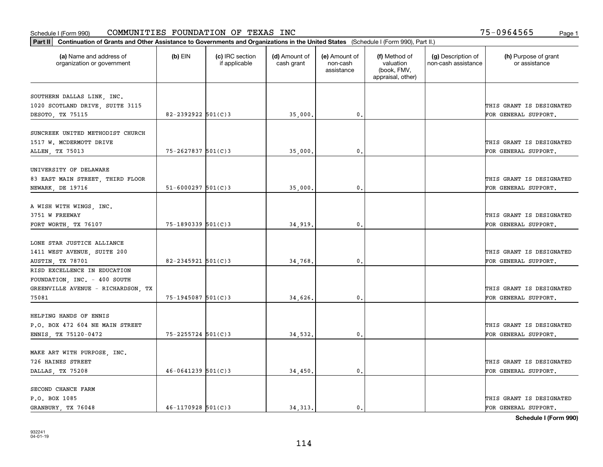| Part II   Continuation of Grants and Other Assistance to Governments and Organizations in the United States (Schedule I (Form 990), Part II.) |                        |                                  |                             |                                         |                                                                |                                           |                                       |
|-----------------------------------------------------------------------------------------------------------------------------------------------|------------------------|----------------------------------|-----------------------------|-----------------------------------------|----------------------------------------------------------------|-------------------------------------------|---------------------------------------|
| (a) Name and address of<br>organization or government                                                                                         | $(b)$ EIN              | (c) IRC section<br>if applicable | (d) Amount of<br>cash grant | (e) Amount of<br>non-cash<br>assistance | (f) Method of<br>valuation<br>(book, FMV,<br>appraisal, other) | (g) Description of<br>non-cash assistance | (h) Purpose of grant<br>or assistance |
| SOUTHERN DALLAS LINK, INC.                                                                                                                    |                        |                                  |                             |                                         |                                                                |                                           |                                       |
| 1020 SCOTLAND DRIVE, SUITE 3115                                                                                                               |                        |                                  |                             |                                         |                                                                |                                           | THIS GRANT IS DESIGNATED              |
| DESOTO, TX 75115                                                                                                                              | $82 - 2392922$ 501(C)3 |                                  | 35,000.                     | 0.                                      |                                                                |                                           | FOR GENERAL SUPPORT.                  |
|                                                                                                                                               |                        |                                  |                             |                                         |                                                                |                                           |                                       |
| SUNCREEK UNITED METHODIST CHURCH                                                                                                              |                        |                                  |                             |                                         |                                                                |                                           |                                       |
| 1517 W. MCDERMOTT DRIVE                                                                                                                       |                        |                                  |                             |                                         |                                                                |                                           | THIS GRANT IS DESIGNATED              |
| ALLEN, TX 75013                                                                                                                               | 75-2627837 501(C)3     |                                  | 35,000,                     | $\mathbf{0}$ .                          |                                                                |                                           | FOR GENERAL SUPPORT.                  |
| UNIVERSITY OF DELAWARE                                                                                                                        |                        |                                  |                             |                                         |                                                                |                                           |                                       |
| 83 EAST MAIN STREET, THIRD FLOOR                                                                                                              |                        |                                  |                             |                                         |                                                                |                                           | THIS GRANT IS DESIGNATED              |
| NEWARK, DE 19716                                                                                                                              | $51 - 6000297$ 501(C)3 |                                  | 35,000.                     | $\mathbf{0}$ .                          |                                                                |                                           | FOR GENERAL SUPPORT.                  |
|                                                                                                                                               |                        |                                  |                             |                                         |                                                                |                                           |                                       |
| A WISH WITH WINGS, INC.                                                                                                                       |                        |                                  |                             |                                         |                                                                |                                           |                                       |
| 3751 W FREEWAY                                                                                                                                |                        |                                  |                             |                                         |                                                                |                                           | THIS GRANT IS DESIGNATED              |
| FORT WORTH, TX 76107                                                                                                                          | 75-1890339 501(C)3     |                                  | 34,919.                     | 0.                                      |                                                                |                                           | FOR GENERAL SUPPORT.                  |
|                                                                                                                                               |                        |                                  |                             |                                         |                                                                |                                           |                                       |
| LONE STAR JUSTICE ALLIANCE                                                                                                                    |                        |                                  |                             |                                         |                                                                |                                           |                                       |
| 1411 WEST AVENUE, SUITE 200                                                                                                                   |                        |                                  |                             |                                         |                                                                |                                           | THIS GRANT IS DESIGNATED              |
| AUSTIN, TX 78701                                                                                                                              | $82 - 2345921$ 501(C)3 |                                  | 34,768.                     | $\mathbf{0}$                            |                                                                |                                           | FOR GENERAL SUPPORT.                  |
| RISD EXCELLENCE IN EDUCATION                                                                                                                  |                        |                                  |                             |                                         |                                                                |                                           |                                       |
| FOUNDATION, INC. - 400 SOUTH                                                                                                                  |                        |                                  |                             |                                         |                                                                |                                           |                                       |
| GREENVILLE AVENUE - RICHARDSON, TX                                                                                                            |                        |                                  |                             |                                         |                                                                |                                           | THIS GRANT IS DESIGNATED              |
| 75081                                                                                                                                         | $75 - 1945087$ 501(C)3 |                                  | 34,626.                     | 0.                                      |                                                                |                                           | FOR GENERAL SUPPORT.                  |
| HELPING HANDS OF ENNIS                                                                                                                        |                        |                                  |                             |                                         |                                                                |                                           |                                       |
| P.O. BOX 472 604 NE MAIN STREET                                                                                                               |                        |                                  |                             |                                         |                                                                |                                           | THIS GRANT IS DESIGNATED              |
|                                                                                                                                               |                        |                                  |                             |                                         |                                                                |                                           |                                       |
| ENNIS, TX 75120-0472                                                                                                                          | $75 - 2255724$ 501(C)3 |                                  | 34,532.                     | $\mathfrak{o}$ .                        |                                                                |                                           | FOR GENERAL SUPPORT.                  |
| MAKE ART WITH PURPOSE, INC.                                                                                                                   |                        |                                  |                             |                                         |                                                                |                                           |                                       |
| 726 HAINES STREET                                                                                                                             |                        |                                  |                             |                                         |                                                                |                                           | THIS GRANT IS DESIGNATED              |
| DALLAS, TX 75208                                                                                                                              | $46 - 0641239$ 501(C)3 |                                  | 34,450.                     | $\mathbf{0}$ .                          |                                                                |                                           | FOR GENERAL SUPPORT.                  |
|                                                                                                                                               |                        |                                  |                             |                                         |                                                                |                                           |                                       |
| SECOND CHANCE FARM                                                                                                                            |                        |                                  |                             |                                         |                                                                |                                           |                                       |
| P.O. BOX 1085                                                                                                                                 |                        |                                  |                             |                                         |                                                                |                                           | THIS GRANT IS DESIGNATED              |
| GRANBURY, TX 76048                                                                                                                            | $46 - 1170928$ 501(C)3 |                                  | 34.313.                     | $\mathbf{0}$ .                          |                                                                |                                           | FOR GENERAL SUPPORT.                  |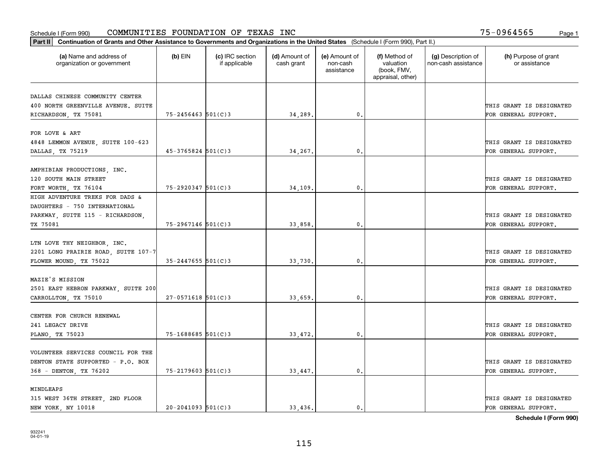|                                                                    | Part II   Continuation of Grants and Other Assistance to Governments and Organizations in the United States (Schedule I (Form 990), Part II.) |                                  |                             |                                         |                                                                |                                           |                                       |  |  |  |  |
|--------------------------------------------------------------------|-----------------------------------------------------------------------------------------------------------------------------------------------|----------------------------------|-----------------------------|-----------------------------------------|----------------------------------------------------------------|-------------------------------------------|---------------------------------------|--|--|--|--|
| (a) Name and address of<br>organization or government              | $(b)$ EIN                                                                                                                                     | (c) IRC section<br>if applicable | (d) Amount of<br>cash grant | (e) Amount of<br>non-cash<br>assistance | (f) Method of<br>valuation<br>(book, FMV,<br>appraisal, other) | (g) Description of<br>non-cash assistance | (h) Purpose of grant<br>or assistance |  |  |  |  |
| DALLAS CHINESE COMMUNITY CENTER                                    |                                                                                                                                               |                                  |                             |                                         |                                                                |                                           |                                       |  |  |  |  |
| 400 NORTH GREENVILLE AVENUE. SUITE                                 |                                                                                                                                               |                                  |                             |                                         |                                                                |                                           | THIS GRANT IS DESIGNATED              |  |  |  |  |
| RICHARDSON, TX 75081                                               | $75 - 2456463$ 501(C)3                                                                                                                        |                                  | 34,289.                     | $\mathfrak o$ .                         |                                                                |                                           | FOR GENERAL SUPPORT.                  |  |  |  |  |
|                                                                    |                                                                                                                                               |                                  |                             |                                         |                                                                |                                           |                                       |  |  |  |  |
| FOR LOVE & ART                                                     |                                                                                                                                               |                                  |                             |                                         |                                                                |                                           |                                       |  |  |  |  |
| 4848 LEMMON AVENUE, SUITE 100-623                                  |                                                                                                                                               |                                  |                             |                                         |                                                                |                                           | THIS GRANT IS DESIGNATED              |  |  |  |  |
| DALLAS, TX 75219                                                   | $45 - 3765824$ 501(C)3                                                                                                                        |                                  | 34,267.                     | 0.                                      |                                                                |                                           | FOR GENERAL SUPPORT.                  |  |  |  |  |
|                                                                    |                                                                                                                                               |                                  |                             |                                         |                                                                |                                           |                                       |  |  |  |  |
| AMPHIBIAN PRODUCTIONS, INC.                                        |                                                                                                                                               |                                  |                             |                                         |                                                                |                                           |                                       |  |  |  |  |
| 120 SOUTH MAIN STREET                                              |                                                                                                                                               |                                  |                             |                                         |                                                                |                                           | THIS GRANT IS DESIGNATED              |  |  |  |  |
| FORT WORTH, TX 76104                                               | $75 - 2920347$ 501(C)3                                                                                                                        |                                  | 34,109.                     | $\mathbf 0$ .                           |                                                                |                                           | FOR GENERAL SUPPORT.                  |  |  |  |  |
| HIGH ADVENTURE TREKS FOR DADS &                                    |                                                                                                                                               |                                  |                             |                                         |                                                                |                                           |                                       |  |  |  |  |
| DAUGHTERS - 750 INTERNATIONAL                                      |                                                                                                                                               |                                  |                             |                                         |                                                                |                                           |                                       |  |  |  |  |
| PARKWAY, SUITE 115 - RICHARDSON,                                   |                                                                                                                                               |                                  |                             |                                         |                                                                |                                           | THIS GRANT IS DESIGNATED              |  |  |  |  |
| TX 75081                                                           | 75-2967146 501(C)3                                                                                                                            |                                  | 33,858.                     | 0.                                      |                                                                |                                           | FOR GENERAL SUPPORT.                  |  |  |  |  |
|                                                                    |                                                                                                                                               |                                  |                             |                                         |                                                                |                                           |                                       |  |  |  |  |
| LTN LOVE THY NEIGHBOR, INC.<br>2201 LONG PRAIRIE ROAD, SUITE 107-7 |                                                                                                                                               |                                  |                             |                                         |                                                                |                                           | THIS GRANT IS DESIGNATED              |  |  |  |  |
| FLOWER MOUND, TX 75022                                             | $35 - 2447655$ 501(C)3                                                                                                                        |                                  | 33,730                      | 0                                       |                                                                |                                           | FOR GENERAL SUPPORT.                  |  |  |  |  |
|                                                                    |                                                                                                                                               |                                  |                             |                                         |                                                                |                                           |                                       |  |  |  |  |
| MAZIE'S MISSION                                                    |                                                                                                                                               |                                  |                             |                                         |                                                                |                                           |                                       |  |  |  |  |
| 2501 EAST HEBRON PARKWAY, SUITE 200                                |                                                                                                                                               |                                  |                             |                                         |                                                                |                                           | THIS GRANT IS DESIGNATED              |  |  |  |  |
| CARROLLTON, TX 75010                                               | $27 - 0571618$ 501(C)3                                                                                                                        |                                  | 33,659.                     | $\mathbf{0}$                            |                                                                |                                           | FOR GENERAL SUPPORT.                  |  |  |  |  |
|                                                                    |                                                                                                                                               |                                  |                             |                                         |                                                                |                                           |                                       |  |  |  |  |
| CENTER FOR CHURCH RENEWAL                                          |                                                                                                                                               |                                  |                             |                                         |                                                                |                                           |                                       |  |  |  |  |
| 241 LEGACY DRIVE                                                   |                                                                                                                                               |                                  |                             |                                         |                                                                |                                           | THIS GRANT IS DESIGNATED              |  |  |  |  |
| PLANO, TX 75023                                                    | $75 - 1688685$ 501(C)3                                                                                                                        |                                  | 33,472.                     | $\mathfrak{o}$ .                        |                                                                |                                           | FOR GENERAL SUPPORT.                  |  |  |  |  |
|                                                                    |                                                                                                                                               |                                  |                             |                                         |                                                                |                                           |                                       |  |  |  |  |
| VOLUNTEER SERVICES COUNCIL FOR THE                                 |                                                                                                                                               |                                  |                             |                                         |                                                                |                                           |                                       |  |  |  |  |
| DENTON STATE SUPPORTED - P.O. BOX                                  |                                                                                                                                               |                                  |                             |                                         |                                                                |                                           | THIS GRANT IS DESIGNATED              |  |  |  |  |
| 368 - DENTON, TX 76202                                             | $75 - 2179603$ 501(C)3                                                                                                                        |                                  | 33,447.                     | $\mathfrak{o}$ .                        |                                                                |                                           | FOR GENERAL SUPPORT.                  |  |  |  |  |
|                                                                    |                                                                                                                                               |                                  |                             |                                         |                                                                |                                           |                                       |  |  |  |  |
| MINDLEAPS                                                          |                                                                                                                                               |                                  |                             |                                         |                                                                |                                           |                                       |  |  |  |  |
| 315 WEST 36TH STREET, 2ND FLOOR                                    |                                                                                                                                               |                                  |                             |                                         |                                                                |                                           | THIS GRANT IS DESIGNATED              |  |  |  |  |
| NEW YORK, NY 10018                                                 | $20 - 2041093$ 501(C)3                                                                                                                        |                                  | 33.436.                     | $\mathfrak{o}$ .                        |                                                                |                                           | FOR GENERAL SUPPORT.                  |  |  |  |  |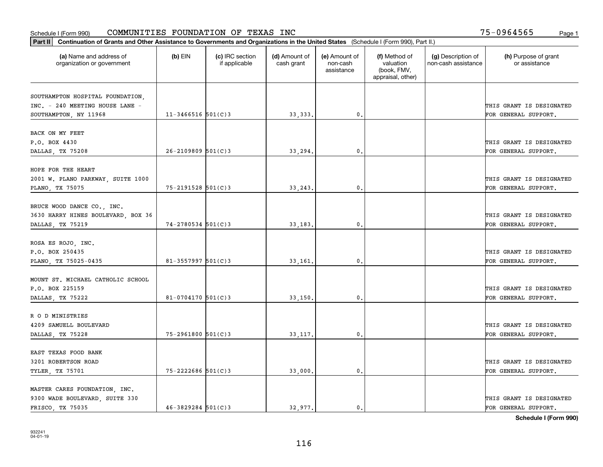| Part II   Continuation of Grants and Other Assistance to Governments and Organizations in the United States (Schedule I (Form 990), Part II.) |                        |                                  |                             |                                         |                                                                |                                           |                                                  |
|-----------------------------------------------------------------------------------------------------------------------------------------------|------------------------|----------------------------------|-----------------------------|-----------------------------------------|----------------------------------------------------------------|-------------------------------------------|--------------------------------------------------|
| (a) Name and address of<br>organization or government                                                                                         | $(b)$ EIN              | (c) IRC section<br>if applicable | (d) Amount of<br>cash grant | (e) Amount of<br>non-cash<br>assistance | (f) Method of<br>valuation<br>(book, FMV,<br>appraisal, other) | (g) Description of<br>non-cash assistance | (h) Purpose of grant<br>or assistance            |
|                                                                                                                                               |                        |                                  |                             |                                         |                                                                |                                           |                                                  |
| SOUTHAMPTON HOSPITAL FOUNDATION,<br>INC. - 240 MEETING HOUSE LANE -                                                                           |                        |                                  |                             |                                         |                                                                |                                           | THIS GRANT IS DESIGNATED                         |
| SOUTHAMPTON, NY 11968                                                                                                                         | $11 - 3466516$ 501(C)3 |                                  | 33, 333.                    | $\mathfrak{o}$ .                        |                                                                |                                           | FOR GENERAL SUPPORT.                             |
|                                                                                                                                               |                        |                                  |                             |                                         |                                                                |                                           |                                                  |
| BACK ON MY FEET                                                                                                                               |                        |                                  |                             |                                         |                                                                |                                           |                                                  |
| P.O. BOX 4430                                                                                                                                 |                        |                                  |                             |                                         |                                                                |                                           | THIS GRANT IS DESIGNATED                         |
| DALLAS, TX 75208                                                                                                                              | $26 - 2109809$ 501(C)3 |                                  | 33,294.                     | 0.                                      |                                                                |                                           | FOR GENERAL SUPPORT.                             |
|                                                                                                                                               |                        |                                  |                             |                                         |                                                                |                                           |                                                  |
| HOPE FOR THE HEART                                                                                                                            |                        |                                  |                             |                                         |                                                                |                                           |                                                  |
| 2001 W. PLANO PARKWAY, SUITE 1000                                                                                                             |                        |                                  |                             |                                         |                                                                |                                           | THIS GRANT IS DESIGNATED                         |
| PLANO, TX 75075                                                                                                                               | $75 - 2191528$ 501(C)3 |                                  | 33,243.                     | $\mathbf{0}$ .                          |                                                                |                                           | FOR GENERAL SUPPORT.                             |
|                                                                                                                                               |                        |                                  |                             |                                         |                                                                |                                           |                                                  |
| BRUCE WOOD DANCE CO., INC.                                                                                                                    |                        |                                  |                             |                                         |                                                                |                                           |                                                  |
| 3630 HARRY HINES BOULEVARD, BOX 36<br>DALLAS, TX 75219                                                                                        | 74-2780534 501(C)3     |                                  | 33,183.                     | $\mathbf{0}$                            |                                                                |                                           | THIS GRANT IS DESIGNATED<br>FOR GENERAL SUPPORT. |
|                                                                                                                                               |                        |                                  |                             |                                         |                                                                |                                           |                                                  |
| ROSA ES ROJO, INC.                                                                                                                            |                        |                                  |                             |                                         |                                                                |                                           |                                                  |
| P.O. BOX 250435                                                                                                                               |                        |                                  |                             |                                         |                                                                |                                           | THIS GRANT IS DESIGNATED                         |
| PLANO, TX 75025-0435                                                                                                                          | $81 - 3557997$ 501(C)3 |                                  | 33,161                      | $\mathbf{0}$                            |                                                                |                                           | FOR GENERAL SUPPORT.                             |
|                                                                                                                                               |                        |                                  |                             |                                         |                                                                |                                           |                                                  |
| MOUNT ST. MICHAEL CATHOLIC SCHOOL                                                                                                             |                        |                                  |                             |                                         |                                                                |                                           |                                                  |
| P.O. BOX 225159                                                                                                                               |                        |                                  |                             |                                         |                                                                |                                           | THIS GRANT IS DESIGNATED                         |
| DALLAS, TX 75222                                                                                                                              | $81 - 0704170$ 501(C)3 |                                  | 33,150.                     | 0.                                      |                                                                |                                           | FOR GENERAL SUPPORT.                             |
|                                                                                                                                               |                        |                                  |                             |                                         |                                                                |                                           |                                                  |
| R O D MINISTRIES                                                                                                                              |                        |                                  |                             |                                         |                                                                |                                           |                                                  |
| 4209 SAMUELL BOULEVARD                                                                                                                        |                        |                                  |                             |                                         |                                                                |                                           | THIS GRANT IS DESIGNATED                         |
| DALLAS, TX 75228                                                                                                                              | 75-2961800 501(C)3     |                                  | 33, 117.                    | $^{\rm 0}$ .                            |                                                                |                                           | FOR GENERAL SUPPORT.                             |
|                                                                                                                                               |                        |                                  |                             |                                         |                                                                |                                           |                                                  |
| EAST TEXAS FOOD BANK<br>3201 ROBERTSON ROAD                                                                                                   |                        |                                  |                             |                                         |                                                                |                                           | THIS GRANT IS DESIGNATED                         |
|                                                                                                                                               | 75-2222686 501(C)3     |                                  | 33,000.                     | $^{\circ}$ .                            |                                                                |                                           | FOR GENERAL SUPPORT.                             |
| <b>TYLER, TX 75701</b>                                                                                                                        |                        |                                  |                             |                                         |                                                                |                                           |                                                  |
| MASTER CARES FOUNDATION, INC.                                                                                                                 |                        |                                  |                             |                                         |                                                                |                                           |                                                  |
| 9300 WADE BOULEVARD, SUITE 330                                                                                                                |                        |                                  |                             |                                         |                                                                |                                           | THIS GRANT IS DESIGNATED                         |
| FRISCO, TX 75035                                                                                                                              | $46 - 3829284$ 501(C)3 |                                  | 32.977.                     | $\mathbf{0}$ .                          |                                                                |                                           | FOR GENERAL SUPPORT.                             |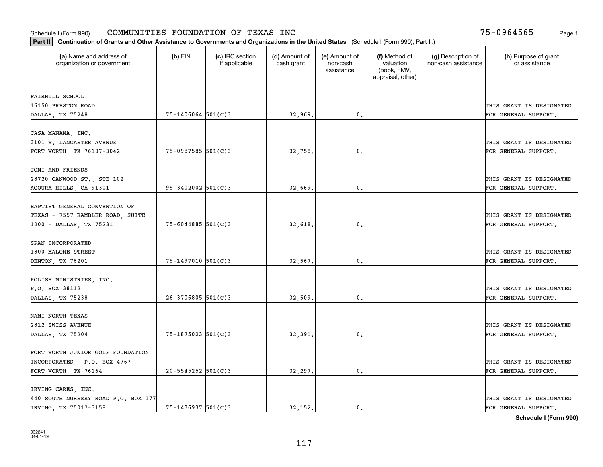| Part II   Continuation of Grants and Other Assistance to Governments and Organizations in the United States (Schedule I (Form 990), Part II.) |                        |                                  |                             |                                         |                                                                |                                           |                                       |
|-----------------------------------------------------------------------------------------------------------------------------------------------|------------------------|----------------------------------|-----------------------------|-----------------------------------------|----------------------------------------------------------------|-------------------------------------------|---------------------------------------|
| (a) Name and address of<br>organization or government                                                                                         | $(b)$ EIN              | (c) IRC section<br>if applicable | (d) Amount of<br>cash grant | (e) Amount of<br>non-cash<br>assistance | (f) Method of<br>valuation<br>(book, FMV,<br>appraisal, other) | (g) Description of<br>non-cash assistance | (h) Purpose of grant<br>or assistance |
| FAIRHILL SCHOOL                                                                                                                               |                        |                                  |                             |                                         |                                                                |                                           |                                       |
| 16150 PRESTON ROAD                                                                                                                            |                        |                                  |                             |                                         |                                                                |                                           | THIS GRANT IS DESIGNATED              |
| DALLAS, TX 75248                                                                                                                              | $75 - 1406064$ 501(C)3 |                                  | 32,969.                     | $\mathfrak o$ .                         |                                                                |                                           | FOR GENERAL SUPPORT.                  |
|                                                                                                                                               |                        |                                  |                             |                                         |                                                                |                                           |                                       |
| CASA MANANA, INC.                                                                                                                             |                        |                                  |                             |                                         |                                                                |                                           |                                       |
| 3101 W. LANCASTER AVENUE                                                                                                                      |                        |                                  |                             |                                         |                                                                |                                           | THIS GRANT IS DESIGNATED              |
| FORT WORTH, TX 76107-3042                                                                                                                     | $75 - 0987585$ 501(C)3 |                                  | 32,758                      | 0.                                      |                                                                |                                           | FOR GENERAL SUPPORT.                  |
|                                                                                                                                               |                        |                                  |                             |                                         |                                                                |                                           |                                       |
| JONI AND FRIENDS                                                                                                                              |                        |                                  |                             |                                         |                                                                |                                           |                                       |
| 28720 CANWOOD ST., STE 102                                                                                                                    |                        |                                  |                             |                                         |                                                                |                                           | THIS GRANT IS DESIGNATED              |
| AGOURA HILLS, CA 91301                                                                                                                        | $95 - 3402002$ 501(C)3 |                                  | 32,669.                     | $\mathfrak{o}$ .                        |                                                                |                                           | FOR GENERAL SUPPORT.                  |
| BAPTIST GENERAL CONVENTION OF                                                                                                                 |                        |                                  |                             |                                         |                                                                |                                           |                                       |
| TEXAS - 7557 RAMBLER ROAD, SUITE                                                                                                              |                        |                                  |                             |                                         |                                                                |                                           | THIS GRANT IS DESIGNATED              |
| 1200 - DALLAS, TX 75231                                                                                                                       | $75 - 6044885$ 501(C)3 |                                  | 32,618.                     | 0.                                      |                                                                |                                           | FOR GENERAL SUPPORT.                  |
|                                                                                                                                               |                        |                                  |                             |                                         |                                                                |                                           |                                       |
| SPAN INCORPORATED                                                                                                                             |                        |                                  |                             |                                         |                                                                |                                           |                                       |
| 1800 MALONE STREET                                                                                                                            |                        |                                  |                             |                                         |                                                                |                                           | THIS GRANT IS DESIGNATED              |
| DENTON, TX 76201                                                                                                                              | 75-1497010 501(C)3     |                                  | 32,567.                     | 0                                       |                                                                |                                           | FOR GENERAL SUPPORT.                  |
|                                                                                                                                               |                        |                                  |                             |                                         |                                                                |                                           |                                       |
| POLISH MINISTRIES, INC.                                                                                                                       |                        |                                  |                             |                                         |                                                                |                                           |                                       |
| P.O. BOX 38112                                                                                                                                |                        |                                  |                             |                                         |                                                                |                                           | THIS GRANT IS DESIGNATED              |
| DALLAS, TX 75238                                                                                                                              | $26 - 3706805$ 501(C)3 |                                  | 32,509.                     | $\mathbf{0}$                            |                                                                |                                           | FOR GENERAL SUPPORT.                  |
|                                                                                                                                               |                        |                                  |                             |                                         |                                                                |                                           |                                       |
| NAMI NORTH TEXAS                                                                                                                              |                        |                                  |                             |                                         |                                                                |                                           |                                       |
| 2812 SWISS AVENUE                                                                                                                             |                        |                                  |                             |                                         |                                                                |                                           | THIS GRANT IS DESIGNATED              |
| DALLAS, TX 75204                                                                                                                              | $75 - 1875023$ 501(C)3 |                                  | 32,391                      | $\mathfrak{o}$ .                        |                                                                |                                           | FOR GENERAL SUPPORT.                  |
| FORT WORTH JUNIOR GOLF FOUNDATION                                                                                                             |                        |                                  |                             |                                         |                                                                |                                           |                                       |
|                                                                                                                                               |                        |                                  |                             |                                         |                                                                |                                           | THIS GRANT IS DESIGNATED              |
| INCORPORATED - P.O. BOX 4767 -                                                                                                                | $20 - 5545252$ 501(C)3 |                                  |                             | $\mathfrak{o}$ .                        |                                                                |                                           | FOR GENERAL SUPPORT.                  |
| FORT WORTH, TX 76164                                                                                                                          |                        |                                  | 32,297.                     |                                         |                                                                |                                           |                                       |
| IRVING CARES, INC.                                                                                                                            |                        |                                  |                             |                                         |                                                                |                                           |                                       |
| 440 SOUTH NURSERY ROAD P.O. BOX 177                                                                                                           |                        |                                  |                             |                                         |                                                                |                                           | THIS GRANT IS DESIGNATED              |
| IRVING, TX 75017-3158                                                                                                                         | $75 - 1436937$ 501(C)3 |                                  | 32.152.                     | $\mathfrak{o}$ .                        |                                                                |                                           | FOR GENERAL SUPPORT.                  |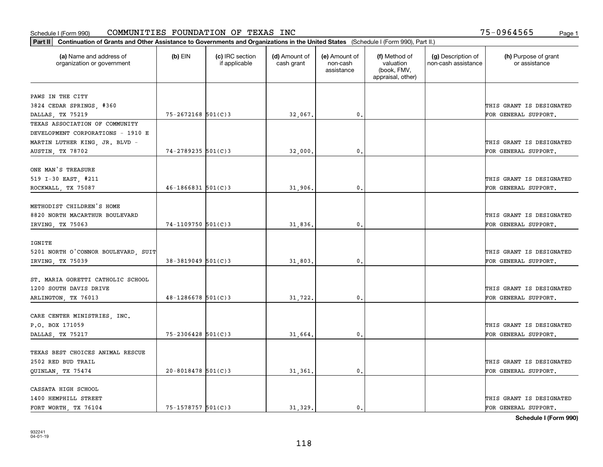| (a) Name and address of<br>organization or government | $(b)$ EIN              | (c) IRC section<br>if applicable | (d) Amount of<br>cash grant | (e) Amount of<br>non-cash<br>assistance | (f) Method of<br>valuation<br>(book, FMV,<br>appraisal, other) | (g) Description of<br>non-cash assistance | (h) Purpose of grant<br>or assistance |
|-------------------------------------------------------|------------------------|----------------------------------|-----------------------------|-----------------------------------------|----------------------------------------------------------------|-------------------------------------------|---------------------------------------|
| PAWS IN THE CITY                                      |                        |                                  |                             |                                         |                                                                |                                           |                                       |
| 3824 CEDAR SPRINGS, #360                              |                        |                                  |                             |                                         |                                                                |                                           | THIS GRANT IS DESIGNATED              |
| DALLAS, TX 75219                                      | 75-2672168 501(C)3     |                                  | 32,067.                     | $\mathbf{0}$ .                          |                                                                |                                           | FOR GENERAL SUPPORT.                  |
| TEXAS ASSOCIATION OF COMMUNITY                        |                        |                                  |                             |                                         |                                                                |                                           |                                       |
| DEVELOPMENT CORPORATIONS - 1910 E                     |                        |                                  |                             |                                         |                                                                |                                           |                                       |
| MARTIN LUTHER KING, JR. BLVD -                        |                        |                                  |                             |                                         |                                                                |                                           | THIS GRANT IS DESIGNATED              |
| <b>AUSTIN, TX 78702</b>                               | 74-2789235 501(C)3     |                                  | 32,000                      | 0.                                      |                                                                |                                           | FOR GENERAL SUPPORT.                  |
| ONE MAN'S TREASURE                                    |                        |                                  |                             |                                         |                                                                |                                           |                                       |
| 519 I-30 EAST, #211                                   |                        |                                  |                             |                                         |                                                                |                                           | THIS GRANT IS DESIGNATED              |
| ROCKWALL, TX 75087                                    | $46 - 1866831$ 501(C)3 |                                  | 31,906.                     | $\mathbf{0}$ .                          |                                                                |                                           | FOR GENERAL SUPPORT.                  |
|                                                       |                        |                                  |                             |                                         |                                                                |                                           |                                       |
| METHODIST CHILDREN'S HOME                             |                        |                                  |                             |                                         |                                                                |                                           |                                       |
| 8820 NORTH MACARTHUR BOULEVARD                        |                        |                                  |                             |                                         |                                                                |                                           | THIS GRANT IS DESIGNATED              |
| IRVING, TX 75063                                      | $74 - 1109750$ 501(C)3 |                                  | 31,836.                     | 0.                                      |                                                                |                                           | FOR GENERAL SUPPORT.                  |
|                                                       |                        |                                  |                             |                                         |                                                                |                                           |                                       |
| IGNITE                                                |                        |                                  |                             |                                         |                                                                |                                           |                                       |
| 5201 NORTH O'CONNOR BOULEVARD, SUIT                   |                        |                                  |                             |                                         |                                                                |                                           | THIS GRANT IS DESIGNATED              |
| IRVING, TX 75039                                      | $38 - 3819049$ 501(C)3 |                                  | 31,803.                     | 0.                                      |                                                                |                                           | FOR GENERAL SUPPORT.                  |
| ST. MARIA GORETTI CATHOLIC SCHOOL                     |                        |                                  |                             |                                         |                                                                |                                           |                                       |
| 1200 SOUTH DAVIS DRIVE                                |                        |                                  |                             |                                         |                                                                |                                           | THIS GRANT IS DESIGNATED              |
| ARLINGTON, TX 76013                                   | $48 - 1286678$ 501(C)3 |                                  | 31,722.                     | 0.                                      |                                                                |                                           | FOR GENERAL SUPPORT.                  |
|                                                       |                        |                                  |                             |                                         |                                                                |                                           |                                       |
| CARE CENTER MINISTRIES, INC.                          |                        |                                  |                             |                                         |                                                                |                                           |                                       |
| P.O. BOX 171059                                       |                        |                                  |                             |                                         |                                                                |                                           | THIS GRANT IS DESIGNATED              |
| DALLAS, TX 75217                                      | 75-2306428 501(C)3     |                                  | 31,664                      | 0.                                      |                                                                |                                           | FOR GENERAL SUPPORT.                  |
| TEXAS BEST CHOICES ANIMAL RESCUE                      |                        |                                  |                             |                                         |                                                                |                                           |                                       |
| 2502 RED BUD TRAIL                                    |                        |                                  |                             |                                         |                                                                |                                           | THIS GRANT IS DESIGNATED              |
| QUINLAN, TX 75474                                     | $20 - 8018478$ 501(C)3 |                                  | 31,361                      | $\mathbf{0}$ .                          |                                                                |                                           | FOR GENERAL SUPPORT.                  |
|                                                       |                        |                                  |                             |                                         |                                                                |                                           |                                       |
| CASSATA HIGH SCHOOL                                   |                        |                                  |                             |                                         |                                                                |                                           |                                       |
| 1400 HEMPHILL STREET                                  |                        |                                  |                             |                                         |                                                                |                                           | THIS GRANT IS DESIGNATED              |
| FORT WORTH, TX 76104                                  | 75-1578757 501(C)3     |                                  | 31.329.                     | $\mathbf{0}$ .                          |                                                                |                                           | FOR GENERAL SUPPORT.                  |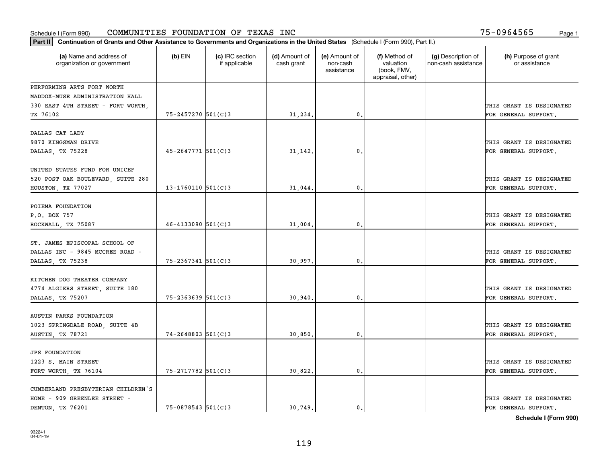| Part II   Continuation of Grants and Other Assistance to Governments and Organizations in the United States (Schedule I (Form 990), Part II.) |                          |                                  |                             |                                         |                                                                |                                           |                                       |  |  |  |
|-----------------------------------------------------------------------------------------------------------------------------------------------|--------------------------|----------------------------------|-----------------------------|-----------------------------------------|----------------------------------------------------------------|-------------------------------------------|---------------------------------------|--|--|--|
| (a) Name and address of<br>organization or government                                                                                         | $(b)$ EIN                | (c) IRC section<br>if applicable | (d) Amount of<br>cash grant | (e) Amount of<br>non-cash<br>assistance | (f) Method of<br>valuation<br>(book, FMV,<br>appraisal, other) | (g) Description of<br>non-cash assistance | (h) Purpose of grant<br>or assistance |  |  |  |
| PERFORMING ARTS FORT WORTH                                                                                                                    |                          |                                  |                             |                                         |                                                                |                                           |                                       |  |  |  |
| MADDOX-MUSE ADMINISTRATION HALL                                                                                                               |                          |                                  |                             |                                         |                                                                |                                           |                                       |  |  |  |
| 330 EAST 4TH STREET - FORT WORTH,                                                                                                             |                          |                                  |                             |                                         |                                                                |                                           | THIS GRANT IS DESIGNATED              |  |  |  |
| TX 76102                                                                                                                                      | 75-2457270 501(C)3       |                                  | 31,234.                     | 0.                                      |                                                                |                                           | FOR GENERAL SUPPORT.                  |  |  |  |
| DALLAS CAT LADY                                                                                                                               |                          |                                  |                             |                                         |                                                                |                                           |                                       |  |  |  |
| 9870 KINGSMAN DRIVE                                                                                                                           |                          |                                  |                             |                                         |                                                                |                                           | THIS GRANT IS DESIGNATED              |  |  |  |
| DALLAS, TX 75228                                                                                                                              | $45 - 2647771$ 501(C)3   |                                  | 31,142.                     | 0.                                      |                                                                |                                           | FOR GENERAL SUPPORT.                  |  |  |  |
|                                                                                                                                               |                          |                                  |                             |                                         |                                                                |                                           |                                       |  |  |  |
| UNITED STATES FUND FOR UNICEF                                                                                                                 |                          |                                  |                             |                                         |                                                                |                                           |                                       |  |  |  |
| 520 POST OAK BOULEVARD, SUITE 280                                                                                                             |                          |                                  |                             |                                         |                                                                |                                           | THIS GRANT IS DESIGNATED              |  |  |  |
| HOUSTON, TX 77027                                                                                                                             | $13-1760110$ 501(C)3     |                                  | 31,044.                     | $\mathbf{0}$ .                          |                                                                |                                           | FOR GENERAL SUPPORT.                  |  |  |  |
|                                                                                                                                               |                          |                                  |                             |                                         |                                                                |                                           |                                       |  |  |  |
| POIEMA FOUNDATION                                                                                                                             |                          |                                  |                             |                                         |                                                                |                                           |                                       |  |  |  |
| P.O. BOX 757                                                                                                                                  |                          |                                  |                             |                                         |                                                                |                                           | THIS GRANT IS DESIGNATED              |  |  |  |
| ROCKWALL, TX 75087                                                                                                                            | $46 - 4133090$ 501(C)3   |                                  | 31,004.                     | 0.                                      |                                                                |                                           | FOR GENERAL SUPPORT.                  |  |  |  |
| ST. JAMES EPISCOPAL SCHOOL OF                                                                                                                 |                          |                                  |                             |                                         |                                                                |                                           |                                       |  |  |  |
| DALLAS INC - 9845 MCCREE ROAD -                                                                                                               |                          |                                  |                             |                                         |                                                                |                                           | THIS GRANT IS DESIGNATED              |  |  |  |
| DALLAS, TX 75238                                                                                                                              | 75-2367341 501(C)3       |                                  | 30,997.                     | 0.                                      |                                                                |                                           | FOR GENERAL SUPPORT.                  |  |  |  |
|                                                                                                                                               |                          |                                  |                             |                                         |                                                                |                                           |                                       |  |  |  |
| KITCHEN DOG THEATER COMPANY                                                                                                                   |                          |                                  |                             |                                         |                                                                |                                           |                                       |  |  |  |
| 4774 ALGIERS STREET, SUITE 180                                                                                                                |                          |                                  |                             |                                         |                                                                |                                           | THIS GRANT IS DESIGNATED              |  |  |  |
| DALLAS, TX 75207                                                                                                                              | $75 - 2363639$ $501(C)3$ |                                  | 30,940                      | 0.                                      |                                                                |                                           | FOR GENERAL SUPPORT.                  |  |  |  |
|                                                                                                                                               |                          |                                  |                             |                                         |                                                                |                                           |                                       |  |  |  |
| AUSTIN PARKS FOUNDATION                                                                                                                       |                          |                                  |                             |                                         |                                                                |                                           |                                       |  |  |  |
| 1023 SPRINGDALE ROAD, SUITE 4B                                                                                                                |                          |                                  |                             |                                         |                                                                |                                           | THIS GRANT IS DESIGNATED              |  |  |  |
| AUSTIN, TX 78721                                                                                                                              | $74 - 2648803$ 501(C)3   |                                  | 30,850.                     | $\mathbf{0}$ .                          |                                                                |                                           | FOR GENERAL SUPPORT.                  |  |  |  |
|                                                                                                                                               |                          |                                  |                             |                                         |                                                                |                                           |                                       |  |  |  |
| <b>JPS FOUNDATION</b><br>1223 S. MAIN STREET                                                                                                  |                          |                                  |                             |                                         |                                                                |                                           | THIS GRANT IS DESIGNATED              |  |  |  |
| FORT WORTH, TX 76104                                                                                                                          | 75-2717782 501(C)3       |                                  | 30,822.                     | 0.                                      |                                                                |                                           | FOR GENERAL SUPPORT.                  |  |  |  |
|                                                                                                                                               |                          |                                  |                             |                                         |                                                                |                                           |                                       |  |  |  |
| CUMBERLAND PRESBYTERIAN CHILDREN'S                                                                                                            |                          |                                  |                             |                                         |                                                                |                                           |                                       |  |  |  |
| HOME - 909 GREENLEE STREET -                                                                                                                  |                          |                                  |                             |                                         |                                                                |                                           | THIS GRANT IS DESIGNATED              |  |  |  |
| DENTON TX 76201                                                                                                                               | $75 - 0878543$ 501(C)3   |                                  | 30.749.                     | $\mathbf{0}$ .                          |                                                                |                                           | FOR GENERAL SUPPORT.                  |  |  |  |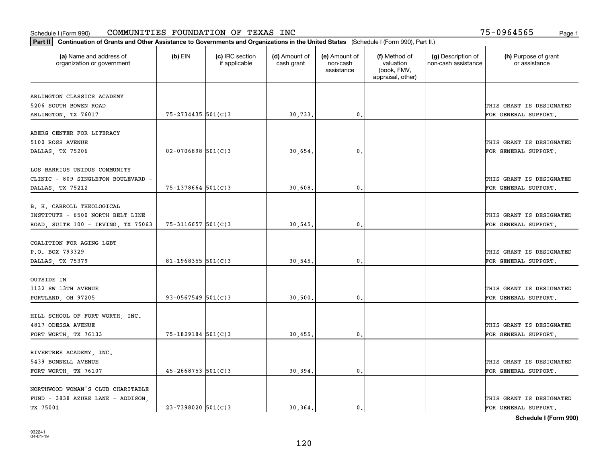| Part II   Continuation of Grants and Other Assistance to Governments and Organizations in the United States (Schedule I (Form 990), Part II.) |                        |                                  |                             |                                         |                                                                |                                           |                                       |
|-----------------------------------------------------------------------------------------------------------------------------------------------|------------------------|----------------------------------|-----------------------------|-----------------------------------------|----------------------------------------------------------------|-------------------------------------------|---------------------------------------|
| (a) Name and address of<br>organization or government                                                                                         | $(b)$ EIN              | (c) IRC section<br>if applicable | (d) Amount of<br>cash grant | (e) Amount of<br>non-cash<br>assistance | (f) Method of<br>valuation<br>(book, FMV,<br>appraisal, other) | (g) Description of<br>non-cash assistance | (h) Purpose of grant<br>or assistance |
| ARLINGTON CLASSICS ACADEMY                                                                                                                    |                        |                                  |                             |                                         |                                                                |                                           |                                       |
| 5206 SOUTH BOWEN ROAD                                                                                                                         |                        |                                  |                             |                                         |                                                                |                                           | THIS GRANT IS DESIGNATED              |
| ARLINGTON, TX 76017                                                                                                                           | 75-2734435 501(C)3     |                                  | 30,733.                     | $\mathbf{0}$ .                          |                                                                |                                           | FOR GENERAL SUPPORT.                  |
|                                                                                                                                               |                        |                                  |                             |                                         |                                                                |                                           |                                       |
| ABERG CENTER FOR LITERACY                                                                                                                     |                        |                                  |                             |                                         |                                                                |                                           |                                       |
| 5100 ROSS AVENUE                                                                                                                              |                        |                                  |                             |                                         |                                                                |                                           | THIS GRANT IS DESIGNATED              |
| DALLAS, TX 75206                                                                                                                              | $02 - 0706898$ 501(C)3 |                                  | 30.654.                     | 0.                                      |                                                                |                                           | FOR GENERAL SUPPORT.                  |
|                                                                                                                                               |                        |                                  |                             |                                         |                                                                |                                           |                                       |
| LOS BARRIOS UNIDOS COMMUNITY                                                                                                                  |                        |                                  |                             |                                         |                                                                |                                           |                                       |
| CLINIC - 809 SINGLETON BOULEVARD -                                                                                                            |                        |                                  |                             |                                         |                                                                |                                           | THIS GRANT IS DESIGNATED              |
| DALLAS, TX 75212                                                                                                                              | $75 - 1378664$ 501(C)3 |                                  | 30,608.                     | $\mathfrak{o}$ .                        |                                                                |                                           | FOR GENERAL SUPPORT.                  |
| B. H. CARROLL THEOLOGICAL                                                                                                                     |                        |                                  |                             |                                         |                                                                |                                           |                                       |
| INSTITUTE - 6500 NORTH BELT LINE                                                                                                              |                        |                                  |                             |                                         |                                                                |                                           | THIS GRANT IS DESIGNATED              |
| ROAD, SUITE 100 - IRVING, TX 75063                                                                                                            | $75 - 3116657$ 501(C)3 |                                  | 30,545.                     | $\mathbf{0}$                            |                                                                |                                           | FOR GENERAL SUPPORT.                  |
|                                                                                                                                               |                        |                                  |                             |                                         |                                                                |                                           |                                       |
| COALITION FOR AGING LGBT                                                                                                                      |                        |                                  |                             |                                         |                                                                |                                           |                                       |
| P.O. BOX 793329                                                                                                                               |                        |                                  |                             |                                         |                                                                |                                           | THIS GRANT IS DESIGNATED              |
| DALLAS, TX 75379                                                                                                                              | $81 - 1968355$ 501(C)3 |                                  | 30,545.                     | $\mathbf{0}$                            |                                                                |                                           | FOR GENERAL SUPPORT.                  |
|                                                                                                                                               |                        |                                  |                             |                                         |                                                                |                                           |                                       |
| OUTSIDE IN                                                                                                                                    |                        |                                  |                             |                                         |                                                                |                                           |                                       |
| 1132 SW 13TH AVENUE                                                                                                                           |                        |                                  |                             |                                         |                                                                |                                           | THIS GRANT IS DESIGNATED              |
| PORTLAND, OH 97205                                                                                                                            | $93 - 0567549$ 501(C)3 |                                  | 30,500.                     | $\mathbf{0}$ .                          |                                                                |                                           | FOR GENERAL SUPPORT.                  |
|                                                                                                                                               |                        |                                  |                             |                                         |                                                                |                                           |                                       |
| HILL SCHOOL OF FORT WORTH, INC.                                                                                                               |                        |                                  |                             |                                         |                                                                |                                           |                                       |
| 4817 ODESSA AVENUE                                                                                                                            |                        |                                  |                             |                                         |                                                                |                                           | THIS GRANT IS DESIGNATED              |
| FORT WORTH, TX 76133                                                                                                                          | 75-1829184 501(C)3     |                                  | 30,455.                     | $^{\circ}$ .                            |                                                                |                                           | FOR GENERAL SUPPORT.                  |
|                                                                                                                                               |                        |                                  |                             |                                         |                                                                |                                           |                                       |
| RIVERTREE ACADEMY, INC.<br>5439 BONNELL AVENUE                                                                                                |                        |                                  |                             |                                         |                                                                |                                           | THIS GRANT IS DESIGNATED              |
|                                                                                                                                               | $45 - 2668753$ 501(C)3 |                                  | 30,394.                     | $\mathbf{0}$ .                          |                                                                |                                           | FOR GENERAL SUPPORT.                  |
| FORT WORTH, TX 76107                                                                                                                          |                        |                                  |                             |                                         |                                                                |                                           |                                       |
| NORTHWOOD WOMAN'S CLUB CHARITABLE                                                                                                             |                        |                                  |                             |                                         |                                                                |                                           |                                       |
| FUND - 3838 AZURE LANE - ADDISON,                                                                                                             |                        |                                  |                             |                                         |                                                                |                                           | THIS GRANT IS DESIGNATED              |
| TX 75001                                                                                                                                      | $23 - 7398020$ 501(C)3 |                                  | 30, 364.                    | $\mathbf{0}$ .                          |                                                                |                                           | FOR GENERAL SUPPORT.                  |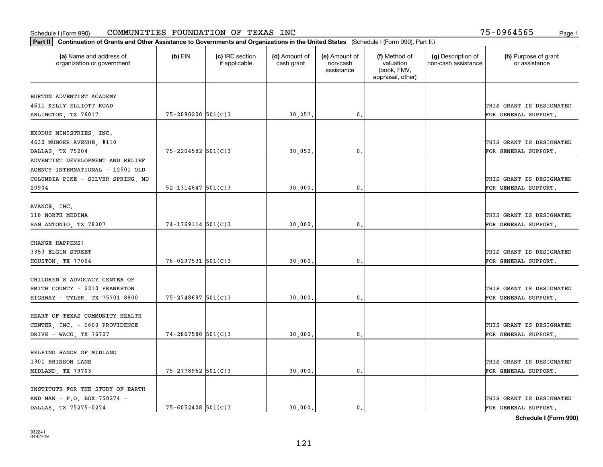| Part II   Continuation of Grants and Other Assistance to Governments and Organizations in the United States (Schedule I (Form 990), Part II.) |                        |                                  |                             |                                         |                                                                |                                           |                                       |
|-----------------------------------------------------------------------------------------------------------------------------------------------|------------------------|----------------------------------|-----------------------------|-----------------------------------------|----------------------------------------------------------------|-------------------------------------------|---------------------------------------|
| (a) Name and address of<br>organization or government                                                                                         | $(b)$ EIN              | (c) IRC section<br>if applicable | (d) Amount of<br>cash grant | (e) Amount of<br>non-cash<br>assistance | (f) Method of<br>valuation<br>(book, FMV,<br>appraisal, other) | (g) Description of<br>non-cash assistance | (h) Purpose of grant<br>or assistance |
|                                                                                                                                               |                        |                                  |                             |                                         |                                                                |                                           |                                       |
| BURTON ADVENTIST ACADEMY<br>4611 KELLY ELLIOTT ROAD                                                                                           |                        |                                  |                             |                                         |                                                                |                                           | THIS GRANT IS DESIGNATED              |
| ARLINGTON, TX 76017                                                                                                                           | 75-2090200 501(C)3     |                                  | 30,257.                     | $\mathbf{0}$ .                          |                                                                |                                           | FOR GENERAL SUPPORT.                  |
|                                                                                                                                               |                        |                                  |                             |                                         |                                                                |                                           |                                       |
| EXODUS MINISTRIES, INC.                                                                                                                       |                        |                                  |                             |                                         |                                                                |                                           |                                       |
| 4630 MUNGER AVENUE, #110                                                                                                                      |                        |                                  |                             |                                         |                                                                |                                           | THIS GRANT IS DESIGNATED              |
| DALLAS, TX 75204                                                                                                                              | 75-2204582 501(C)3     |                                  | 30,052.                     | 0.                                      |                                                                |                                           | FOR GENERAL SUPPORT.                  |
| ADVENTIST DEVELOPMENT AND RELIEF                                                                                                              |                        |                                  |                             |                                         |                                                                |                                           |                                       |
| AGENCY INTERNATIONAL - 12501 OLD                                                                                                              |                        |                                  |                             |                                         |                                                                |                                           |                                       |
| COLUMBIA PIKE - SILVER SPRING, MD                                                                                                             |                        |                                  |                             |                                         |                                                                |                                           | THIS GRANT IS DESIGNATED              |
| 20904                                                                                                                                         | $52 - 1314847$ 501(C)3 |                                  | 30,000.                     | $\mathfrak{o}$ .                        |                                                                |                                           | FOR GENERAL SUPPORT.                  |
|                                                                                                                                               |                        |                                  |                             |                                         |                                                                |                                           |                                       |
| AVANCE, INC.                                                                                                                                  |                        |                                  |                             |                                         |                                                                |                                           |                                       |
| 118 NORTH MEDINA                                                                                                                              |                        |                                  |                             |                                         |                                                                |                                           | THIS GRANT IS DESIGNATED              |
| SAN ANTONIO, TX 78207                                                                                                                         | $74 - 1769114$ 501(C)3 |                                  | 30,000                      | $\mathbf{0}$                            |                                                                |                                           | FOR GENERAL SUPPORT.                  |
|                                                                                                                                               |                        |                                  |                             |                                         |                                                                |                                           |                                       |
| CHANGE HAPPENS!                                                                                                                               |                        |                                  |                             |                                         |                                                                |                                           |                                       |
| 3353 ELGIN STREET                                                                                                                             |                        |                                  |                             |                                         |                                                                |                                           | THIS GRANT IS DESIGNATED              |
| HOUSTON, TX 77004                                                                                                                             | $76 - 0297531$ 501(C)3 |                                  | 30,000                      | $\mathfrak o$ .                         |                                                                |                                           | FOR GENERAL SUPPORT.                  |
|                                                                                                                                               |                        |                                  |                             |                                         |                                                                |                                           |                                       |
| CHILDREN'S ADVOCACY CENTER OF                                                                                                                 |                        |                                  |                             |                                         |                                                                |                                           |                                       |
| SMITH COUNTY - 2210 FRANKSTON                                                                                                                 |                        |                                  |                             |                                         |                                                                |                                           | THIS GRANT IS DESIGNATED              |
| HIGHWAY - TYLER, TX 75701-8900                                                                                                                | 75-2748697 501(C)3     |                                  | 30,000.                     | $\mathbf{0}$                            |                                                                |                                           | FOR GENERAL SUPPORT.                  |
|                                                                                                                                               |                        |                                  |                             |                                         |                                                                |                                           |                                       |
| HEART OF TEXAS COMMUNITY HEALTH                                                                                                               |                        |                                  |                             |                                         |                                                                |                                           |                                       |
| CENTER, INC. - 1600 PROVIDENCE                                                                                                                |                        |                                  |                             |                                         |                                                                |                                           | THIS GRANT IS DESIGNATED              |
| DRIVE - WACO, TX 76707                                                                                                                        | 74-2867580 501(C)3     |                                  | 30,000                      | $^{\circ}$ .                            |                                                                |                                           | FOR GENERAL SUPPORT.                  |
| HELPING HANDS OF MIDLAND                                                                                                                      |                        |                                  |                             |                                         |                                                                |                                           |                                       |
| 1301 BRINSON LANE                                                                                                                             |                        |                                  |                             |                                         |                                                                |                                           | THIS GRANT IS DESIGNATED              |
|                                                                                                                                               | 75-2778962 501(C)3     |                                  |                             | $\mathbf{0}$                            |                                                                |                                           | FOR GENERAL SUPPORT.                  |
| MIDLAND, TX 79703                                                                                                                             |                        |                                  | 30,000                      |                                         |                                                                |                                           |                                       |
| INSTITUTE FOR THE STUDY OF EARTH                                                                                                              |                        |                                  |                             |                                         |                                                                |                                           |                                       |
| AND MAN - P.O. BOX 750274 -                                                                                                                   |                        |                                  |                             |                                         |                                                                |                                           | THIS GRANT IS DESIGNATED              |
| DALLAS TX 75275-0274                                                                                                                          | $75 - 6052408$ 501(C)3 |                                  | 30.000.                     | $\mathbf{0}$ .                          |                                                                |                                           | FOR GENERAL SUPPORT.                  |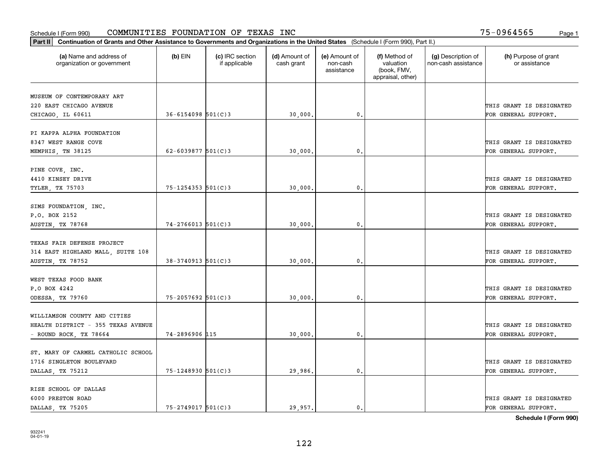| Part II   Continuation of Grants and Other Assistance to Governments and Organizations in the United States (Schedule I (Form 990), Part II.) |                          |                                  |                             |                                         |                                                                |                                           |                                       |
|-----------------------------------------------------------------------------------------------------------------------------------------------|--------------------------|----------------------------------|-----------------------------|-----------------------------------------|----------------------------------------------------------------|-------------------------------------------|---------------------------------------|
| (a) Name and address of<br>organization or government                                                                                         | $(b)$ EIN                | (c) IRC section<br>if applicable | (d) Amount of<br>cash grant | (e) Amount of<br>non-cash<br>assistance | (f) Method of<br>valuation<br>(book, FMV,<br>appraisal, other) | (g) Description of<br>non-cash assistance | (h) Purpose of grant<br>or assistance |
| MUSEUM OF CONTEMPORARY ART                                                                                                                    |                          |                                  |                             |                                         |                                                                |                                           |                                       |
| 220 EAST CHICAGO AVENUE                                                                                                                       |                          |                                  |                             |                                         |                                                                |                                           | THIS GRANT IS DESIGNATED              |
| CHICAGO, IL 60611                                                                                                                             | $36 - 6154098$ 501(C) 3  |                                  | 30,000.                     | $\mathfrak o$ .                         |                                                                |                                           | FOR GENERAL SUPPORT.                  |
|                                                                                                                                               |                          |                                  |                             |                                         |                                                                |                                           |                                       |
| PI KAPPA ALPHA FOUNDATION                                                                                                                     |                          |                                  |                             |                                         |                                                                |                                           |                                       |
| 8347 WEST RANGE COVE                                                                                                                          |                          |                                  |                             |                                         |                                                                |                                           | THIS GRANT IS DESIGNATED              |
| MEMPHIS, TN 38125                                                                                                                             | $62 - 6039877$ 501(C)3   |                                  | 30,000                      | $\mathfrak{o}$ .                        |                                                                |                                           | FOR GENERAL SUPPORT.                  |
|                                                                                                                                               |                          |                                  |                             |                                         |                                                                |                                           |                                       |
| PINE COVE, INC.                                                                                                                               |                          |                                  |                             |                                         |                                                                |                                           |                                       |
| 4410 KINSEY DRIVE                                                                                                                             |                          |                                  |                             |                                         |                                                                |                                           | THIS GRANT IS DESIGNATED              |
| TYLER, TX 75703                                                                                                                               | $75 - 1254353$ $501(C)3$ |                                  | 30,000,                     | $\mathfrak{o}$ .                        |                                                                |                                           | FOR GENERAL SUPPORT.                  |
| SIMS FOUNDATION, INC.                                                                                                                         |                          |                                  |                             |                                         |                                                                |                                           |                                       |
| P.O. BOX 2152                                                                                                                                 |                          |                                  |                             |                                         |                                                                |                                           | THIS GRANT IS DESIGNATED              |
| AUSTIN, TX 78768                                                                                                                              | $74 - 2766013$ 501(C)3   |                                  | 30,000.                     | 0.                                      |                                                                |                                           | FOR GENERAL SUPPORT.                  |
|                                                                                                                                               |                          |                                  |                             |                                         |                                                                |                                           |                                       |
| TEXAS FAIR DEFENSE PROJECT                                                                                                                    |                          |                                  |                             |                                         |                                                                |                                           |                                       |
| 314 EAST HIGHLAND MALL, SUITE 108                                                                                                             |                          |                                  |                             |                                         |                                                                |                                           | THIS GRANT IS DESIGNATED              |
| <b>AUSTIN, TX 78752</b>                                                                                                                       | $38-3740913$ 501(C)3     |                                  | 30,000                      | $\mathbf{0}$                            |                                                                |                                           | FOR GENERAL SUPPORT.                  |
|                                                                                                                                               |                          |                                  |                             |                                         |                                                                |                                           |                                       |
| WEST TEXAS FOOD BANK                                                                                                                          |                          |                                  |                             |                                         |                                                                |                                           |                                       |
| P.O BOX 4242                                                                                                                                  |                          |                                  |                             |                                         |                                                                |                                           | THIS GRANT IS DESIGNATED              |
| ODESSA, TX 79760                                                                                                                              | $75 - 2057692$ 501(C)3   |                                  | 30,000,                     | $\mathbf{0}$                            |                                                                |                                           | FOR GENERAL SUPPORT.                  |
|                                                                                                                                               |                          |                                  |                             |                                         |                                                                |                                           |                                       |
| WILLIAMSON COUNTY AND CITIES<br>HEALTH DISTRICT - 355 TEXAS AVENUE                                                                            |                          |                                  |                             |                                         |                                                                |                                           | THIS GRANT IS DESIGNATED              |
|                                                                                                                                               | 74-2896906 115           |                                  |                             |                                         |                                                                |                                           |                                       |
| - ROUND ROCK, TX 78664                                                                                                                        |                          |                                  | 30,000                      | $\mathfrak{o}$ .                        |                                                                |                                           | FOR GENERAL SUPPORT.                  |
| ST. MARY OF CARMEL CATHOLIC SCHOOL                                                                                                            |                          |                                  |                             |                                         |                                                                |                                           |                                       |
| 1716 SINGLETON BOULEVARD                                                                                                                      |                          |                                  |                             |                                         |                                                                |                                           | THIS GRANT IS DESIGNATED              |
| DALLAS, TX 75212                                                                                                                              | $75 - 1248930$ 501(C)3   |                                  | 29,986.                     | $\mathfrak{o}$ .                        |                                                                |                                           | FOR GENERAL SUPPORT.                  |
|                                                                                                                                               |                          |                                  |                             |                                         |                                                                |                                           |                                       |
| RISE SCHOOL OF DALLAS                                                                                                                         |                          |                                  |                             |                                         |                                                                |                                           |                                       |
| 6000 PRESTON ROAD                                                                                                                             |                          |                                  |                             |                                         |                                                                |                                           | THIS GRANT IS DESIGNATED              |
| DALLAS, TX 75205                                                                                                                              | $75 - 2749017$ 501(C)3   |                                  | 29.957.                     | $\mathfrak{o}$ .                        |                                                                |                                           | FOR GENERAL SUPPORT.                  |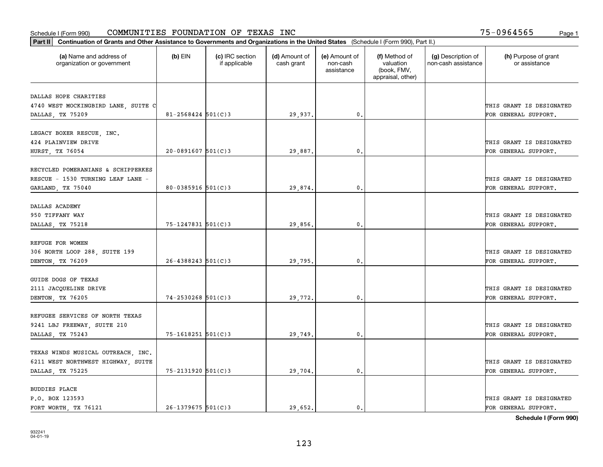|                                                       | Part II   Continuation of Grants and Other Assistance to Governments and Organizations in the United States (Schedule I (Form 990), Part II.) |                                  |                             |                                         |                                                                |                                           |                                       |  |  |  |  |
|-------------------------------------------------------|-----------------------------------------------------------------------------------------------------------------------------------------------|----------------------------------|-----------------------------|-----------------------------------------|----------------------------------------------------------------|-------------------------------------------|---------------------------------------|--|--|--|--|
| (a) Name and address of<br>organization or government | $(b)$ EIN                                                                                                                                     | (c) IRC section<br>if applicable | (d) Amount of<br>cash grant | (e) Amount of<br>non-cash<br>assistance | (f) Method of<br>valuation<br>(book, FMV,<br>appraisal, other) | (g) Description of<br>non-cash assistance | (h) Purpose of grant<br>or assistance |  |  |  |  |
| DALLAS HOPE CHARITIES                                 |                                                                                                                                               |                                  |                             |                                         |                                                                |                                           |                                       |  |  |  |  |
| 4740 WEST MOCKINGBIRD LANE, SUITE C                   |                                                                                                                                               |                                  |                             |                                         |                                                                |                                           | THIS GRANT IS DESIGNATED              |  |  |  |  |
| DALLAS, TX 75209                                      | $81 - 2568424$ 501(C)3                                                                                                                        |                                  | 29,937.                     | 0.                                      |                                                                |                                           | FOR GENERAL SUPPORT.                  |  |  |  |  |
|                                                       |                                                                                                                                               |                                  |                             |                                         |                                                                |                                           |                                       |  |  |  |  |
| LEGACY BOXER RESCUE, INC.                             |                                                                                                                                               |                                  |                             |                                         |                                                                |                                           |                                       |  |  |  |  |
| 424 PLAINVIEW DRIVE                                   |                                                                                                                                               |                                  |                             |                                         |                                                                |                                           | THIS GRANT IS DESIGNATED              |  |  |  |  |
| HURST, TX 76054                                       | $20-0891607$ $501(C)3$                                                                                                                        |                                  | 29,887.                     | 0.                                      |                                                                |                                           | FOR GENERAL SUPPORT.                  |  |  |  |  |
|                                                       |                                                                                                                                               |                                  |                             |                                         |                                                                |                                           |                                       |  |  |  |  |
| RECYCLED POMERANIANS & SCHIPPERKES                    |                                                                                                                                               |                                  |                             |                                         |                                                                |                                           |                                       |  |  |  |  |
| RESCUE - 1530 TURNING LEAF LANE -                     |                                                                                                                                               |                                  |                             |                                         |                                                                |                                           | THIS GRANT IS DESIGNATED              |  |  |  |  |
| GARLAND, TX 75040                                     | $80 - 0385916$ 501(C)3                                                                                                                        |                                  | 29,874.                     | $\mathbf{0}$ .                          |                                                                |                                           | FOR GENERAL SUPPORT.                  |  |  |  |  |
| DALLAS ACADEMY                                        |                                                                                                                                               |                                  |                             |                                         |                                                                |                                           |                                       |  |  |  |  |
| 950 TIFFANY WAY                                       |                                                                                                                                               |                                  |                             |                                         |                                                                |                                           | THIS GRANT IS DESIGNATED              |  |  |  |  |
| DALLAS, TX 75218                                      | 75-1247831 501(C)3                                                                                                                            |                                  | 29,856.                     | $\mathbf{0}$                            |                                                                |                                           | FOR GENERAL SUPPORT.                  |  |  |  |  |
|                                                       |                                                                                                                                               |                                  |                             |                                         |                                                                |                                           |                                       |  |  |  |  |
| REFUGE FOR WOMEN                                      |                                                                                                                                               |                                  |                             |                                         |                                                                |                                           |                                       |  |  |  |  |
| 306 NORTH LOOP 288, SUITE 199                         |                                                                                                                                               |                                  |                             |                                         |                                                                |                                           | THIS GRANT IS DESIGNATED              |  |  |  |  |
| DENTON, TX 76209                                      | $26 - 4388243$ 501(C)3                                                                                                                        |                                  | 29,795.                     | $\mathbf{0}$                            |                                                                |                                           | FOR GENERAL SUPPORT.                  |  |  |  |  |
|                                                       |                                                                                                                                               |                                  |                             |                                         |                                                                |                                           |                                       |  |  |  |  |
| GUIDE DOGS OF TEXAS                                   |                                                                                                                                               |                                  |                             |                                         |                                                                |                                           |                                       |  |  |  |  |
| 2111 JACQUELINE DRIVE                                 |                                                                                                                                               |                                  |                             |                                         |                                                                |                                           | THIS GRANT IS DESIGNATED              |  |  |  |  |
| DENTON, TX 76205                                      | $74 - 2530268$ 501(C)3                                                                                                                        |                                  | 29,772.                     | 0.                                      |                                                                |                                           | FOR GENERAL SUPPORT.                  |  |  |  |  |
|                                                       |                                                                                                                                               |                                  |                             |                                         |                                                                |                                           |                                       |  |  |  |  |
| REFUGEE SERVICES OF NORTH TEXAS                       |                                                                                                                                               |                                  |                             |                                         |                                                                |                                           |                                       |  |  |  |  |
| 9241 LBJ FREEWAY, SUITE 210                           |                                                                                                                                               |                                  |                             |                                         |                                                                |                                           | THIS GRANT IS DESIGNATED              |  |  |  |  |
| DALLAS, TX 75243                                      | 75-1618251 501(C)3                                                                                                                            |                                  | 29,749.                     | $^{\rm 0}$ .                            |                                                                |                                           | FOR GENERAL SUPPORT.                  |  |  |  |  |
| TEXAS WINDS MUSICAL OUTREACH, INC.                    |                                                                                                                                               |                                  |                             |                                         |                                                                |                                           |                                       |  |  |  |  |
| 6211 WEST NORTHWEST HIGHWAY, SUITE                    |                                                                                                                                               |                                  |                             |                                         |                                                                |                                           | THIS GRANT IS DESIGNATED              |  |  |  |  |
| DALLAS, TX 75225                                      | 75-2131920 501(C)3                                                                                                                            |                                  | 29,704.                     | $\mathfrak{o}$ .                        |                                                                |                                           | FOR GENERAL SUPPORT.                  |  |  |  |  |
|                                                       |                                                                                                                                               |                                  |                             |                                         |                                                                |                                           |                                       |  |  |  |  |
| <b>BUDDIES PLACE</b>                                  |                                                                                                                                               |                                  |                             |                                         |                                                                |                                           |                                       |  |  |  |  |
| P.O. BOX 123593                                       |                                                                                                                                               |                                  |                             |                                         |                                                                |                                           | THIS GRANT IS DESIGNATED              |  |  |  |  |
| FORT WORTH, TX 76121                                  | $26 - 1379675$ 501(C)3                                                                                                                        |                                  | 29.652.                     | $\mathbf{0}$ .                          |                                                                |                                           | FOR GENERAL SUPPORT.                  |  |  |  |  |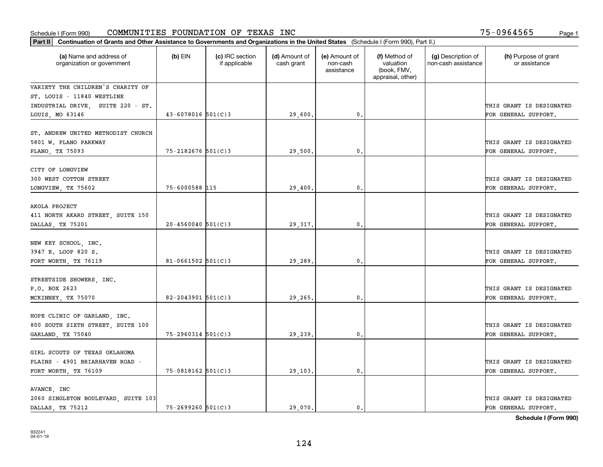|                                                                  | Part II   Continuation of Grants and Other Assistance to Governments and Organizations in the United States (Schedule I (Form 990), Part II.) |                                  |                             |                                         |                                                                |                                           |                                                  |  |  |  |  |
|------------------------------------------------------------------|-----------------------------------------------------------------------------------------------------------------------------------------------|----------------------------------|-----------------------------|-----------------------------------------|----------------------------------------------------------------|-------------------------------------------|--------------------------------------------------|--|--|--|--|
| (a) Name and address of<br>organization or government            | $(b)$ EIN                                                                                                                                     | (c) IRC section<br>if applicable | (d) Amount of<br>cash grant | (e) Amount of<br>non-cash<br>assistance | (f) Method of<br>valuation<br>(book, FMV,<br>appraisal, other) | (g) Description of<br>non-cash assistance | (h) Purpose of grant<br>or assistance            |  |  |  |  |
| VARIETY THE CHILDREN'S CHARITY OF                                |                                                                                                                                               |                                  |                             |                                         |                                                                |                                           |                                                  |  |  |  |  |
| ST. LOUIS - 11840 WESTLINE                                       |                                                                                                                                               |                                  |                             |                                         |                                                                |                                           |                                                  |  |  |  |  |
| INDUSTRIAL DRIVE, SUITE 220 - ST.                                |                                                                                                                                               |                                  |                             |                                         |                                                                |                                           | THIS GRANT IS DESIGNATED                         |  |  |  |  |
| LOUIS, MO 63146                                                  | $43 - 6078016$ 501(C)3                                                                                                                        |                                  | 29,600.                     | 0.                                      |                                                                |                                           | FOR GENERAL SUPPORT.                             |  |  |  |  |
| ST. ANDREW UNITED METHODIST CHURCH<br>5801 W. PLANO PARKWAY      |                                                                                                                                               |                                  |                             |                                         |                                                                |                                           | THIS GRANT IS DESIGNATED                         |  |  |  |  |
| PLANO, TX 75093                                                  | $75 - 2182676$ 501(C)3                                                                                                                        |                                  | 29,500.                     | $\mathbf{0}$ .                          |                                                                |                                           | FOR GENERAL SUPPORT.                             |  |  |  |  |
| CITY OF LONGVIEW<br>300 WEST COTTON STREET<br>LONGVIEW, TX 75602 | 75-6000588 115                                                                                                                                |                                  | 29,400.                     | $\mathbf{0}$ .                          |                                                                |                                           | THIS GRANT IS DESIGNATED<br>FOR GENERAL SUPPORT. |  |  |  |  |
|                                                                  |                                                                                                                                               |                                  |                             |                                         |                                                                |                                           |                                                  |  |  |  |  |
| AKOLA PROJECT                                                    |                                                                                                                                               |                                  |                             |                                         |                                                                |                                           |                                                  |  |  |  |  |
| 411 NORTH AKARD STREET, SUITE 150                                |                                                                                                                                               |                                  |                             |                                         |                                                                |                                           | THIS GRANT IS DESIGNATED                         |  |  |  |  |
| DALLAS, TX 75201                                                 | $20 - 4560040$ 501(C)3                                                                                                                        |                                  | 29, 317.                    | 0.                                      |                                                                |                                           | FOR GENERAL SUPPORT.                             |  |  |  |  |
| NEW KEY SCHOOL, INC.<br>3947 E. LOOP 820 S.                      |                                                                                                                                               |                                  |                             |                                         |                                                                |                                           | THIS GRANT IS DESIGNATED                         |  |  |  |  |
| FORT WORTH, TX 76119                                             | $81 - 0661502$ 501(C)3                                                                                                                        |                                  | 29,289.                     | $\mathbf{0}$                            |                                                                |                                           | FOR GENERAL SUPPORT.                             |  |  |  |  |
| STREETSIDE SHOWERS, INC.<br>P.O. BOX 2623<br>MCKINNEY, TX 75070  | $82 - 2043901$ 501(C)3                                                                                                                        |                                  | 29,265.                     | 0.                                      |                                                                |                                           | THIS GRANT IS DESIGNATED<br>FOR GENERAL SUPPORT. |  |  |  |  |
|                                                                  |                                                                                                                                               |                                  |                             |                                         |                                                                |                                           |                                                  |  |  |  |  |
| HOPE CLINIC OF GARLAND, INC.                                     |                                                                                                                                               |                                  |                             |                                         |                                                                |                                           |                                                  |  |  |  |  |
| 800 SOUTH SIXTH STREET, SUITE 100                                |                                                                                                                                               |                                  |                             |                                         |                                                                |                                           | THIS GRANT IS DESIGNATED                         |  |  |  |  |
| GARLAND, TX 75040                                                | $75 - 2960314$ 501(C)3                                                                                                                        |                                  | 29,239.                     | $\mathbf{0}$ .                          |                                                                |                                           | FOR GENERAL SUPPORT.                             |  |  |  |  |
| GIRL SCOUTS OF TEXAS OKLAHOMA<br>PLAINS - 4901 BRIARHAVEN ROAD - |                                                                                                                                               |                                  |                             |                                         |                                                                |                                           | THIS GRANT IS DESIGNATED                         |  |  |  |  |
| FORT WORTH, TX 76109                                             | $75 - 0818162$ 501(C)3                                                                                                                        |                                  | 29,103.                     | $\mathbf{0}$ .                          |                                                                |                                           | FOR GENERAL SUPPORT.                             |  |  |  |  |
|                                                                  |                                                                                                                                               |                                  |                             |                                         |                                                                |                                           |                                                  |  |  |  |  |
| AVANCE, INC                                                      |                                                                                                                                               |                                  |                             |                                         |                                                                |                                           |                                                  |  |  |  |  |
| 2060 SINGLETON BOULEVARD, SUITE 103                              |                                                                                                                                               |                                  |                             |                                         |                                                                |                                           | THIS GRANT IS DESIGNATED                         |  |  |  |  |
| DALLAS, TX 75212                                                 | $75 - 2699260$ 501(C)3                                                                                                                        |                                  | 29.070.                     | $\mathbf{0}$ .                          |                                                                |                                           | FOR GENERAL SUPPORT.                             |  |  |  |  |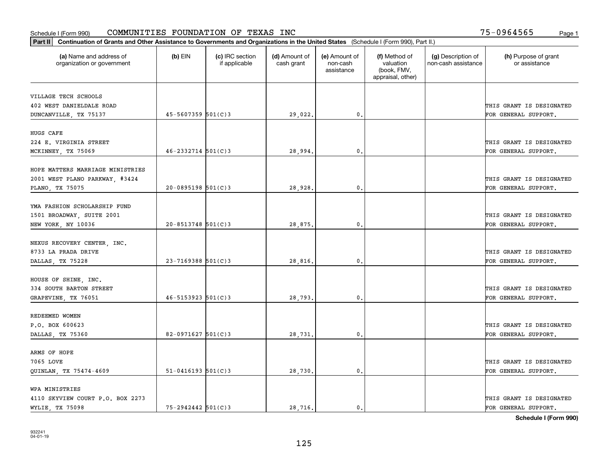| Part II   Continuation of Grants and Other Assistance to Governments and Organizations in the United States (Schedule I (Form 990), Part II.) |                          |                                  |                             |                                         |                                                                |                                           |                                       |
|-----------------------------------------------------------------------------------------------------------------------------------------------|--------------------------|----------------------------------|-----------------------------|-----------------------------------------|----------------------------------------------------------------|-------------------------------------------|---------------------------------------|
| (a) Name and address of<br>organization or government                                                                                         | $(b)$ EIN                | (c) IRC section<br>if applicable | (d) Amount of<br>cash grant | (e) Amount of<br>non-cash<br>assistance | (f) Method of<br>valuation<br>(book, FMV,<br>appraisal, other) | (g) Description of<br>non-cash assistance | (h) Purpose of grant<br>or assistance |
| VILLAGE TECH SCHOOLS                                                                                                                          |                          |                                  |                             |                                         |                                                                |                                           |                                       |
| 402 WEST DANIELDALE ROAD                                                                                                                      |                          |                                  |                             |                                         |                                                                |                                           | THIS GRANT IS DESIGNATED              |
| DUNCANVILLE, TX 75137                                                                                                                         | 45-5607359 501(C)3       |                                  | 29,022.                     | $\mathbf{0}$ .                          |                                                                |                                           | FOR GENERAL SUPPORT.                  |
|                                                                                                                                               |                          |                                  |                             |                                         |                                                                |                                           |                                       |
| HUGS CAFE                                                                                                                                     |                          |                                  |                             |                                         |                                                                |                                           |                                       |
| 224 E. VIRGINIA STREET                                                                                                                        |                          |                                  |                             |                                         |                                                                |                                           | THIS GRANT IS DESIGNATED              |
| MCKINNEY, TX 75069                                                                                                                            | $46 - 2332714$ 501(C)3   |                                  | 28,994                      | $\mathbf 0$ .                           |                                                                |                                           | FOR GENERAL SUPPORT.                  |
| HOPE MATTERS MARRIAGE MINISTRIES                                                                                                              |                          |                                  |                             |                                         |                                                                |                                           |                                       |
| 2001 WEST PLANO PARKWAY, #3424                                                                                                                |                          |                                  |                             |                                         |                                                                |                                           | THIS GRANT IS DESIGNATED              |
| PLANO, TX 75075                                                                                                                               | $20-0895198$ 501(C)3     |                                  | 28,928                      | 0.                                      |                                                                |                                           | FOR GENERAL SUPPORT.                  |
|                                                                                                                                               |                          |                                  |                             |                                         |                                                                |                                           |                                       |
| YMA FASHION SCHOLARSHIP FUND                                                                                                                  |                          |                                  |                             |                                         |                                                                |                                           |                                       |
| 1501 BROADWAY, SUITE 2001                                                                                                                     |                          |                                  |                             |                                         |                                                                |                                           | THIS GRANT IS DESIGNATED              |
| NEW YORK, NY 10036                                                                                                                            | $20 - 8513748$ 501(C)3   |                                  | 28,875                      | $\mathbf{0}$                            |                                                                |                                           | FOR GENERAL SUPPORT.                  |
| NEXUS RECOVERY CENTER, INC.                                                                                                                   |                          |                                  |                             |                                         |                                                                |                                           |                                       |
| 8733 LA PRADA DRIVE                                                                                                                           |                          |                                  |                             |                                         |                                                                |                                           | THIS GRANT IS DESIGNATED              |
| DALLAS, TX 75228                                                                                                                              | $23 - 7169388$ 501(C)3   |                                  | 28,816                      | 0.                                      |                                                                |                                           | FOR GENERAL SUPPORT.                  |
|                                                                                                                                               |                          |                                  |                             |                                         |                                                                |                                           |                                       |
| HOUSE OF SHINE, INC.                                                                                                                          |                          |                                  |                             |                                         |                                                                |                                           |                                       |
| 334 SOUTH BARTON STREET                                                                                                                       |                          |                                  |                             |                                         |                                                                |                                           | THIS GRANT IS DESIGNATED              |
| GRAPEVINE, TX 76051                                                                                                                           | $46 - 5153923$ $501(C)3$ |                                  | 28,793                      | $\mathbf{0}$                            |                                                                |                                           | FOR GENERAL SUPPORT.                  |
| REDEEMED WOMEN                                                                                                                                |                          |                                  |                             |                                         |                                                                |                                           |                                       |
| P.O. BOX 600623                                                                                                                               |                          |                                  |                             |                                         |                                                                |                                           | THIS GRANT IS DESIGNATED              |
| DALLAS, TX 75360                                                                                                                              | 82-0971627 $501(C)3$     |                                  | 28,731.                     | $\mathbf{0}$ .                          |                                                                |                                           | FOR GENERAL SUPPORT.                  |
|                                                                                                                                               |                          |                                  |                             |                                         |                                                                |                                           |                                       |
| ARMS OF HOPE                                                                                                                                  |                          |                                  |                             |                                         |                                                                |                                           |                                       |
| 7065 LOVE                                                                                                                                     |                          |                                  |                             |                                         |                                                                |                                           | THIS GRANT IS DESIGNATED              |
| QUINLAN, TX 75474-4609                                                                                                                        | $51 - 0416193$ $501(C)3$ |                                  | 28,730                      | 0.                                      |                                                                |                                           | FOR GENERAL SUPPORT.                  |
| WPA MINISTRIES                                                                                                                                |                          |                                  |                             |                                         |                                                                |                                           |                                       |
| 4110 SKYVIEW COURT P.O. BOX 2273                                                                                                              |                          |                                  |                             |                                         |                                                                |                                           | THIS GRANT IS DESIGNATED              |
| WYLIE, TX 75098                                                                                                                               | $75 - 2942442$ 501(C)3   |                                  | 28.716.                     | $\mathbf{0}$ .                          |                                                                |                                           | FOR GENERAL SUPPORT.                  |
|                                                                                                                                               |                          |                                  |                             |                                         |                                                                |                                           |                                       |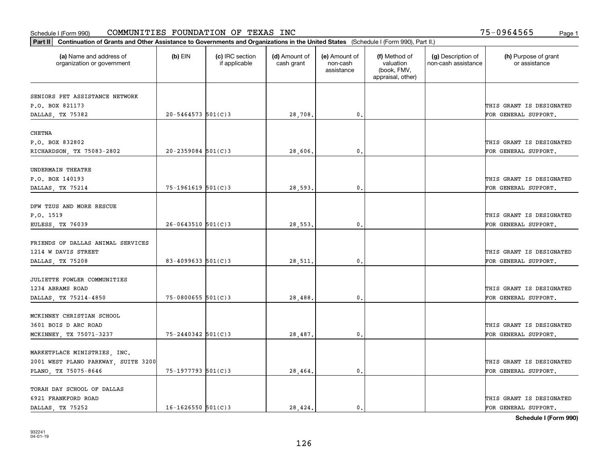|                                                       | Part II   Continuation of Grants and Other Assistance to Governments and Organizations in the United States (Schedule I (Form 990), Part II.) |                                  |                             |                                         |                                                                |                                           |                                       |  |  |  |  |
|-------------------------------------------------------|-----------------------------------------------------------------------------------------------------------------------------------------------|----------------------------------|-----------------------------|-----------------------------------------|----------------------------------------------------------------|-------------------------------------------|---------------------------------------|--|--|--|--|
| (a) Name and address of<br>organization or government | $(b)$ EIN                                                                                                                                     | (c) IRC section<br>if applicable | (d) Amount of<br>cash grant | (e) Amount of<br>non-cash<br>assistance | (f) Method of<br>valuation<br>(book, FMV,<br>appraisal, other) | (g) Description of<br>non-cash assistance | (h) Purpose of grant<br>or assistance |  |  |  |  |
| SENIORS PET ASSISTANCE NETWORK                        |                                                                                                                                               |                                  |                             |                                         |                                                                |                                           |                                       |  |  |  |  |
| P.O. BOX 821173                                       |                                                                                                                                               |                                  |                             |                                         |                                                                |                                           | THIS GRANT IS DESIGNATED              |  |  |  |  |
| DALLAS, TX 75382                                      | $20 - 5464573$ 501(C)3                                                                                                                        |                                  | 28,708.                     | 0.                                      |                                                                |                                           | FOR GENERAL SUPPORT.                  |  |  |  |  |
|                                                       |                                                                                                                                               |                                  |                             |                                         |                                                                |                                           |                                       |  |  |  |  |
| <b>CHETNA</b>                                         |                                                                                                                                               |                                  |                             |                                         |                                                                |                                           |                                       |  |  |  |  |
| P.O. BOX 832802                                       |                                                                                                                                               |                                  |                             |                                         |                                                                |                                           | THIS GRANT IS DESIGNATED              |  |  |  |  |
| RICHARDSON, TX 75083-2802                             | $20 - 2359084$ 501(C)3                                                                                                                        |                                  | 28,606,                     | 0.                                      |                                                                |                                           | FOR GENERAL SUPPORT.                  |  |  |  |  |
|                                                       |                                                                                                                                               |                                  |                             |                                         |                                                                |                                           |                                       |  |  |  |  |
| UNDERMAIN THEATRE                                     |                                                                                                                                               |                                  |                             |                                         |                                                                |                                           |                                       |  |  |  |  |
| P.O. BOX 140193                                       |                                                                                                                                               |                                  |                             |                                         |                                                                |                                           | THIS GRANT IS DESIGNATED              |  |  |  |  |
| DALLAS, TX 75214                                      | $75 - 1961619$ $501(C)3$                                                                                                                      |                                  | 28,593.                     | 0.                                      |                                                                |                                           | FOR GENERAL SUPPORT.                  |  |  |  |  |
|                                                       |                                                                                                                                               |                                  |                             |                                         |                                                                |                                           |                                       |  |  |  |  |
| DFW TZUS AND MORE RESCUE                              |                                                                                                                                               |                                  |                             |                                         |                                                                |                                           |                                       |  |  |  |  |
| P.O. 1519                                             |                                                                                                                                               |                                  |                             |                                         |                                                                |                                           | THIS GRANT IS DESIGNATED              |  |  |  |  |
| EULESS, TX 76039                                      | $26 - 0643510$ 501(C)3                                                                                                                        |                                  | 28,553.                     | $\mathfrak{o}$ .                        |                                                                |                                           | FOR GENERAL SUPPORT.                  |  |  |  |  |
|                                                       |                                                                                                                                               |                                  |                             |                                         |                                                                |                                           |                                       |  |  |  |  |
| FRIENDS OF DALLAS ANIMAL SERVICES                     |                                                                                                                                               |                                  |                             |                                         |                                                                |                                           |                                       |  |  |  |  |
| 1214 W DAVIS STREET                                   |                                                                                                                                               |                                  |                             |                                         |                                                                |                                           | THIS GRANT IS DESIGNATED              |  |  |  |  |
| DALLAS, TX 75208                                      | 83-4099633 $501(C)$ 3                                                                                                                         |                                  | 28,511                      | 0.                                      |                                                                |                                           | FOR GENERAL SUPPORT.                  |  |  |  |  |
|                                                       |                                                                                                                                               |                                  |                             |                                         |                                                                |                                           |                                       |  |  |  |  |
| JULIETTE FOWLER COMMUNITIES                           |                                                                                                                                               |                                  |                             |                                         |                                                                |                                           |                                       |  |  |  |  |
| 1234 ABRAMS ROAD                                      |                                                                                                                                               |                                  |                             |                                         |                                                                |                                           | THIS GRANT IS DESIGNATED              |  |  |  |  |
| DALLAS, TX 75214-4850                                 | $75 - 0800655$ 501(C)3                                                                                                                        |                                  | 28,488.                     | 0.                                      |                                                                |                                           | FOR GENERAL SUPPORT.                  |  |  |  |  |
| MCKINNEY CHRISTIAN SCHOOL                             |                                                                                                                                               |                                  |                             |                                         |                                                                |                                           |                                       |  |  |  |  |
| 3601 BOIS D ARC ROAD                                  |                                                                                                                                               |                                  |                             |                                         |                                                                |                                           | THIS GRANT IS DESIGNATED              |  |  |  |  |
| MCKINNEY, TX 75071-3237                               | 75-2440342 501(C)3                                                                                                                            |                                  | 28,487.                     | 0.                                      |                                                                |                                           | FOR GENERAL SUPPORT.                  |  |  |  |  |
|                                                       |                                                                                                                                               |                                  |                             |                                         |                                                                |                                           |                                       |  |  |  |  |
| MARKETPLACE MINISTRIES, INC.                          |                                                                                                                                               |                                  |                             |                                         |                                                                |                                           |                                       |  |  |  |  |
| 2001 WEST PLANO PARKWAY, SUITE 3200                   |                                                                                                                                               |                                  |                             |                                         |                                                                |                                           | THIS GRANT IS DESIGNATED              |  |  |  |  |
| PLANO, TX 75075-8646                                  | 75-1977793 501(C)3                                                                                                                            |                                  | 28,464.                     | 0.                                      |                                                                |                                           | FOR GENERAL SUPPORT.                  |  |  |  |  |
|                                                       |                                                                                                                                               |                                  |                             |                                         |                                                                |                                           |                                       |  |  |  |  |
| TORAH DAY SCHOOL OF DALLAS                            |                                                                                                                                               |                                  |                             |                                         |                                                                |                                           |                                       |  |  |  |  |
| 6921 FRANKFORD ROAD                                   |                                                                                                                                               |                                  |                             |                                         |                                                                |                                           | THIS GRANT IS DESIGNATED              |  |  |  |  |
| DALLAS TX 75252                                       | $16 - 1626550$ 501(C)3                                                                                                                        |                                  | 28,424.                     | $\mathbf{0}$ .                          |                                                                |                                           | FOR GENERAL SUPPORT.                  |  |  |  |  |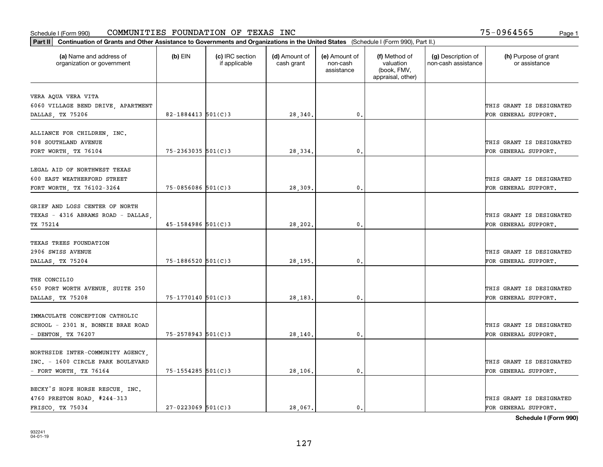| Part II   Continuation of Grants and Other Assistance to Governments and Organizations in the United States (Schedule I (Form 990), Part II.) |                        |                                  |                             |                                         |                                                                |                                           |                                       |
|-----------------------------------------------------------------------------------------------------------------------------------------------|------------------------|----------------------------------|-----------------------------|-----------------------------------------|----------------------------------------------------------------|-------------------------------------------|---------------------------------------|
| (a) Name and address of<br>organization or government                                                                                         | $(b)$ EIN              | (c) IRC section<br>if applicable | (d) Amount of<br>cash grant | (e) Amount of<br>non-cash<br>assistance | (f) Method of<br>valuation<br>(book, FMV,<br>appraisal, other) | (g) Description of<br>non-cash assistance | (h) Purpose of grant<br>or assistance |
| VERA AQUA VERA VITA                                                                                                                           |                        |                                  |                             |                                         |                                                                |                                           |                                       |
| 6060 VILLAGE BEND DRIVE, APARTMENT                                                                                                            |                        |                                  |                             |                                         |                                                                |                                           | THIS GRANT IS DESIGNATED              |
| DALLAS, TX 75206                                                                                                                              | 82-1884413 $501(C)$ 3  |                                  | 28,340.                     | $\mathbf{0}$ .                          |                                                                |                                           | FOR GENERAL SUPPORT.                  |
|                                                                                                                                               |                        |                                  |                             |                                         |                                                                |                                           |                                       |
| ALLIANCE FOR CHILDREN, INC.                                                                                                                   |                        |                                  |                             |                                         |                                                                |                                           |                                       |
| 908 SOUTHLAND AVENUE                                                                                                                          |                        |                                  |                             |                                         |                                                                |                                           | THIS GRANT IS DESIGNATED              |
| FORT WORTH, TX 76104                                                                                                                          | $75 - 2363035$ 501(C)3 |                                  | 28,334                      | 0.                                      |                                                                |                                           | FOR GENERAL SUPPORT.                  |
|                                                                                                                                               |                        |                                  |                             |                                         |                                                                |                                           |                                       |
| LEGAL AID OF NORTHWEST TEXAS                                                                                                                  |                        |                                  |                             |                                         |                                                                |                                           |                                       |
| 600 EAST WEATHERFORD STREET                                                                                                                   |                        |                                  |                             |                                         |                                                                |                                           | THIS GRANT IS DESIGNATED              |
| FORT WORTH, TX 76102-3264                                                                                                                     | $75 - 0856086$ 501(C)3 |                                  | 28,309                      | $\mathbf{0}$ .                          |                                                                |                                           | FOR GENERAL SUPPORT.                  |
|                                                                                                                                               |                        |                                  |                             |                                         |                                                                |                                           |                                       |
| GRIEF AND LOSS CENTER OF NORTH                                                                                                                |                        |                                  |                             |                                         |                                                                |                                           |                                       |
| TEXAS - 4316 ABRAMS ROAD - DALLAS                                                                                                             |                        |                                  |                             |                                         |                                                                |                                           | THIS GRANT IS DESIGNATED              |
| TX 75214                                                                                                                                      | $45 - 1584986$ 501(C)3 |                                  | 28,202.                     | 0.                                      |                                                                |                                           | FOR GENERAL SUPPORT.                  |
|                                                                                                                                               |                        |                                  |                             |                                         |                                                                |                                           |                                       |
| TEXAS TREES FOUNDATION                                                                                                                        |                        |                                  |                             |                                         |                                                                |                                           |                                       |
| 2906 SWISS AVENUE                                                                                                                             |                        |                                  |                             |                                         |                                                                |                                           | THIS GRANT IS DESIGNATED              |
| DALLAS, TX 75204                                                                                                                              | 75-1886520 501(C)3     |                                  | 28,195                      | 0.                                      |                                                                |                                           | FOR GENERAL SUPPORT.                  |
|                                                                                                                                               |                        |                                  |                             |                                         |                                                                |                                           |                                       |
| THE CONCILIO                                                                                                                                  |                        |                                  |                             |                                         |                                                                |                                           |                                       |
| 650 FORT WORTH AVENUE, SUITE 250                                                                                                              |                        |                                  |                             |                                         |                                                                |                                           | THIS GRANT IS DESIGNATED              |
| DALLAS, TX 75208                                                                                                                              | $75 - 1770140$ 501(C)3 |                                  | 28,183                      | 0.                                      |                                                                |                                           | FOR GENERAL SUPPORT.                  |
| IMMACULATE CONCEPTION CATHOLIC                                                                                                                |                        |                                  |                             |                                         |                                                                |                                           |                                       |
|                                                                                                                                               |                        |                                  |                             |                                         |                                                                |                                           | THIS GRANT IS DESIGNATED              |
| SCHOOL - 2301 N. BONNIE BRAE ROAD                                                                                                             |                        |                                  |                             |                                         |                                                                |                                           |                                       |
| - DENTON, TX 76207                                                                                                                            | 75-2578943 501(C)3     |                                  | 28,140.                     | $\mathbf{0}$ .                          |                                                                |                                           | FOR GENERAL SUPPORT.                  |
|                                                                                                                                               |                        |                                  |                             |                                         |                                                                |                                           |                                       |
| NORTHSIDE INTER-COMMUNITY AGENCY,<br>INC. - 1600 CIRCLE PARK BOULEVARD                                                                        |                        |                                  |                             |                                         |                                                                |                                           | THIS GRANT IS DESIGNATED              |
|                                                                                                                                               |                        |                                  |                             |                                         |                                                                |                                           |                                       |
| - FORT WORTH, TX $76164$                                                                                                                      | $75 - 1554285$ 501(C)3 |                                  | 28,106.                     | 0.                                      |                                                                |                                           | FOR GENERAL SUPPORT.                  |
| BECKY'S HOPE HORSE RESCUE, INC.                                                                                                               |                        |                                  |                             |                                         |                                                                |                                           |                                       |
| 4760 PRESTON ROAD, #244-313                                                                                                                   |                        |                                  |                             |                                         |                                                                |                                           | THIS GRANT IS DESIGNATED              |
| FRISCO TX 75034                                                                                                                               | $27 - 0223069$ 501(C)3 |                                  | 28,067.                     | 0.                                      |                                                                |                                           | FOR GENERAL SUPPORT.                  |
|                                                                                                                                               |                        |                                  |                             |                                         |                                                                |                                           |                                       |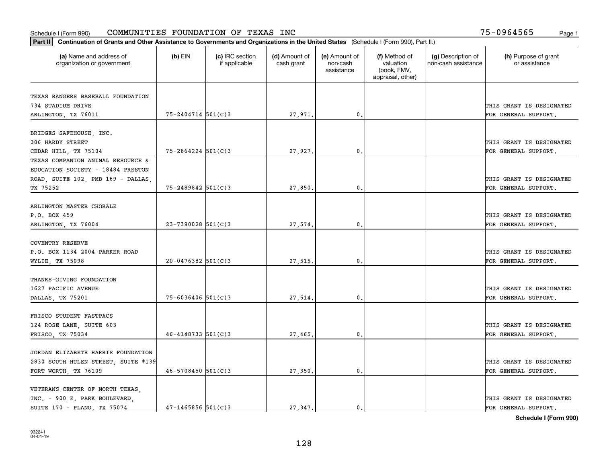|                                                           | Part II   Continuation of Grants and Other Assistance to Governments and Organizations in the United States (Schedule I (Form 990), Part II.) |                                  |                             |                                         |                                                                |                                           |                                       |  |  |  |
|-----------------------------------------------------------|-----------------------------------------------------------------------------------------------------------------------------------------------|----------------------------------|-----------------------------|-----------------------------------------|----------------------------------------------------------------|-------------------------------------------|---------------------------------------|--|--|--|
| (a) Name and address of<br>organization or government     | $(b)$ EIN                                                                                                                                     | (c) IRC section<br>if applicable | (d) Amount of<br>cash grant | (e) Amount of<br>non-cash<br>assistance | (f) Method of<br>valuation<br>(book, FMV,<br>appraisal, other) | (g) Description of<br>non-cash assistance | (h) Purpose of grant<br>or assistance |  |  |  |
|                                                           |                                                                                                                                               |                                  |                             |                                         |                                                                |                                           |                                       |  |  |  |
| TEXAS RANGERS BASEBALL FOUNDATION                         |                                                                                                                                               |                                  |                             |                                         |                                                                |                                           |                                       |  |  |  |
| 734 STADIUM DRIVE                                         |                                                                                                                                               |                                  |                             |                                         |                                                                |                                           | THIS GRANT IS DESIGNATED              |  |  |  |
| ARLINGTON, TX 76011                                       | 75-2404714 501(C)3                                                                                                                            |                                  | 27,971.                     | $\mathfrak{o}$ .                        |                                                                |                                           | FOR GENERAL SUPPORT.                  |  |  |  |
|                                                           |                                                                                                                                               |                                  |                             |                                         |                                                                |                                           |                                       |  |  |  |
| BRIDGES SAFEHOUSE, INC.<br>306 HARDY STREET               |                                                                                                                                               |                                  |                             |                                         |                                                                |                                           |                                       |  |  |  |
|                                                           |                                                                                                                                               |                                  |                             |                                         |                                                                |                                           | THIS GRANT IS DESIGNATED              |  |  |  |
| CEDAR HILL, TX 75104<br>TEXAS COMPANION ANIMAL RESOURCE & | $75 - 2864224$ 501(C)3                                                                                                                        |                                  | 27,927                      | 0.                                      |                                                                |                                           | FOR GENERAL SUPPORT.                  |  |  |  |
|                                                           |                                                                                                                                               |                                  |                             |                                         |                                                                |                                           |                                       |  |  |  |
| EDUCATION SOCIETY - 18484 PRESTON                         |                                                                                                                                               |                                  |                             |                                         |                                                                |                                           |                                       |  |  |  |
| ROAD, SUITE 102, PMB 169 - DALLAS,                        |                                                                                                                                               |                                  |                             |                                         |                                                                |                                           | THIS GRANT IS DESIGNATED              |  |  |  |
| TX 75252                                                  | $75 - 2489842$ 501(C)3                                                                                                                        |                                  | 27,850.                     | $\mathfrak{o}$ .                        |                                                                |                                           | FOR GENERAL SUPPORT.                  |  |  |  |
| ARLINGTON MASTER CHORALE                                  |                                                                                                                                               |                                  |                             |                                         |                                                                |                                           |                                       |  |  |  |
| P.O. BOX 459                                              |                                                                                                                                               |                                  |                             |                                         |                                                                |                                           | THIS GRANT IS DESIGNATED              |  |  |  |
|                                                           |                                                                                                                                               |                                  |                             | 0.                                      |                                                                |                                           |                                       |  |  |  |
| ARLINGTON, TX 76004                                       | $23 - 7390028$ 501(C)3                                                                                                                        |                                  | 27,574.                     |                                         |                                                                |                                           | FOR GENERAL SUPPORT.                  |  |  |  |
| <b>COVENTRY RESERVE</b>                                   |                                                                                                                                               |                                  |                             |                                         |                                                                |                                           |                                       |  |  |  |
| P.O. BOX 1134 2004 PARKER ROAD                            |                                                                                                                                               |                                  |                             |                                         |                                                                |                                           | THIS GRANT IS DESIGNATED              |  |  |  |
|                                                           | $20 - 0476382$ 501(C)3                                                                                                                        |                                  |                             | 0.                                      |                                                                |                                           | FOR GENERAL SUPPORT.                  |  |  |  |
| WYLIE, TX 75098                                           |                                                                                                                                               |                                  | 27,515.                     |                                         |                                                                |                                           |                                       |  |  |  |
| THANKS-GIVING FOUNDATION                                  |                                                                                                                                               |                                  |                             |                                         |                                                                |                                           |                                       |  |  |  |
| 1627 PACIFIC AVENUE                                       |                                                                                                                                               |                                  |                             |                                         |                                                                |                                           | THIS GRANT IS DESIGNATED              |  |  |  |
| DALLAS, TX 75201                                          | $75 - 6036406$ 501(C)3                                                                                                                        |                                  | 27,514.                     | 0.                                      |                                                                |                                           | FOR GENERAL SUPPORT.                  |  |  |  |
|                                                           |                                                                                                                                               |                                  |                             |                                         |                                                                |                                           |                                       |  |  |  |
| FRISCO STUDENT FASTPACS                                   |                                                                                                                                               |                                  |                             |                                         |                                                                |                                           |                                       |  |  |  |
| 124 ROSE LANE, SUITE 603                                  |                                                                                                                                               |                                  |                             |                                         |                                                                |                                           | THIS GRANT IS DESIGNATED              |  |  |  |
| FRISCO, TX 75034                                          | $46 - 4148733$ 501(C)3                                                                                                                        |                                  | 27,465.                     | 0.                                      |                                                                |                                           | FOR GENERAL SUPPORT.                  |  |  |  |
|                                                           |                                                                                                                                               |                                  |                             |                                         |                                                                |                                           |                                       |  |  |  |
| JORDAN ELIZABETH HARRIS FOUNDATION                        |                                                                                                                                               |                                  |                             |                                         |                                                                |                                           |                                       |  |  |  |
| 2830 SOUTH HULEN STREET, SUITE #139                       |                                                                                                                                               |                                  |                             |                                         |                                                                |                                           | THIS GRANT IS DESIGNATED              |  |  |  |
|                                                           | $46 - 5708450$ 501(C)3                                                                                                                        |                                  |                             | $\mathbf{0}$ .                          |                                                                |                                           |                                       |  |  |  |
| FORT WORTH, TX 76109                                      |                                                                                                                                               |                                  | 27,350.                     |                                         |                                                                |                                           | FOR GENERAL SUPPORT.                  |  |  |  |
| VETERANS CENTER OF NORTH TEXAS,                           |                                                                                                                                               |                                  |                             |                                         |                                                                |                                           |                                       |  |  |  |
| INC. - 900 E. PARK BOULEVARD,                             |                                                                                                                                               |                                  |                             |                                         |                                                                |                                           | THIS GRANT IS DESIGNATED              |  |  |  |
| SUITE 170 - PLANO, TX 75074                               | $47 - 1465856$ 501(C)3                                                                                                                        |                                  | 27.347.                     | $\mathbf{0}$ .                          |                                                                |                                           | FOR GENERAL SUPPORT.                  |  |  |  |
|                                                           |                                                                                                                                               |                                  |                             |                                         |                                                                |                                           |                                       |  |  |  |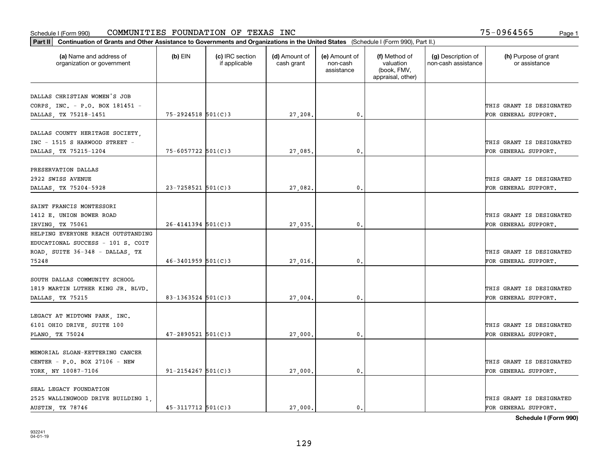|                                                       | Part II   Continuation of Grants and Other Assistance to Governments and Organizations in the United States (Schedule I (Form 990), Part II.) |                                  |                             |                                         |                                                                |                                           |                                       |  |  |  |  |
|-------------------------------------------------------|-----------------------------------------------------------------------------------------------------------------------------------------------|----------------------------------|-----------------------------|-----------------------------------------|----------------------------------------------------------------|-------------------------------------------|---------------------------------------|--|--|--|--|
| (a) Name and address of<br>organization or government | $(b)$ EIN                                                                                                                                     | (c) IRC section<br>if applicable | (d) Amount of<br>cash grant | (e) Amount of<br>non-cash<br>assistance | (f) Method of<br>valuation<br>(book, FMV,<br>appraisal, other) | (g) Description of<br>non-cash assistance | (h) Purpose of grant<br>or assistance |  |  |  |  |
|                                                       |                                                                                                                                               |                                  |                             |                                         |                                                                |                                           |                                       |  |  |  |  |
| DALLAS CHRISTIAN WOMEN'S JOB                          |                                                                                                                                               |                                  |                             |                                         |                                                                |                                           | THIS GRANT IS DESIGNATED              |  |  |  |  |
| CORPS, INC. - P.O. BOX 181451 -                       | 75-2924518 501(C)3                                                                                                                            |                                  |                             | 0.                                      |                                                                |                                           |                                       |  |  |  |  |
| DALLAS, TX 75218-1451                                 |                                                                                                                                               |                                  | 27,208.                     |                                         |                                                                |                                           | FOR GENERAL SUPPORT.                  |  |  |  |  |
| DALLAS COUNTY HERITAGE SOCIETY,                       |                                                                                                                                               |                                  |                             |                                         |                                                                |                                           |                                       |  |  |  |  |
| INC - 1515 S HARWOOD STREET -                         |                                                                                                                                               |                                  |                             |                                         |                                                                |                                           | THIS GRANT IS DESIGNATED              |  |  |  |  |
| DALLAS, TX 75215-1204                                 | 75-6057722 501(C)3                                                                                                                            |                                  | 27,085.                     | 0.                                      |                                                                |                                           | FOR GENERAL SUPPORT.                  |  |  |  |  |
|                                                       |                                                                                                                                               |                                  |                             |                                         |                                                                |                                           |                                       |  |  |  |  |
| PRESERVATION DALLAS                                   |                                                                                                                                               |                                  |                             |                                         |                                                                |                                           |                                       |  |  |  |  |
| 2922 SWISS AVENUE                                     |                                                                                                                                               |                                  |                             |                                         |                                                                |                                           | THIS GRANT IS DESIGNATED              |  |  |  |  |
| DALLAS, TX 75204-5928                                 | $23 - 7258521$ 501(C)3                                                                                                                        |                                  | 27,082.                     | $\mathbf{0}$ .                          |                                                                |                                           | FOR GENERAL SUPPORT.                  |  |  |  |  |
|                                                       |                                                                                                                                               |                                  |                             |                                         |                                                                |                                           |                                       |  |  |  |  |
| SAINT FRANCIS MONTESSORI                              |                                                                                                                                               |                                  |                             |                                         |                                                                |                                           |                                       |  |  |  |  |
| 1412 E. UNION BOWER ROAD                              |                                                                                                                                               |                                  |                             |                                         |                                                                |                                           | THIS GRANT IS DESIGNATED              |  |  |  |  |
| IRVING, TX 75061                                      | $26 - 4141394$ 501(C)3                                                                                                                        |                                  | 27,035.                     | 0.                                      |                                                                |                                           | FOR GENERAL SUPPORT.                  |  |  |  |  |
| HELPING EVERYONE REACH OUTSTANDING                    |                                                                                                                                               |                                  |                             |                                         |                                                                |                                           |                                       |  |  |  |  |
| EDUCATIONAL SUCCESS - 101 S. COIT                     |                                                                                                                                               |                                  |                             |                                         |                                                                |                                           |                                       |  |  |  |  |
| ROAD, SUITE 36-348 - DALLAS, TX                       |                                                                                                                                               |                                  |                             |                                         |                                                                |                                           | THIS GRANT IS DESIGNATED              |  |  |  |  |
| 75248                                                 | $46 - 3401959$ 501(C)3                                                                                                                        |                                  | 27,016.                     | 0.                                      |                                                                |                                           | FOR GENERAL SUPPORT.                  |  |  |  |  |
|                                                       |                                                                                                                                               |                                  |                             |                                         |                                                                |                                           |                                       |  |  |  |  |
| SOUTH DALLAS COMMUNITY SCHOOL                         |                                                                                                                                               |                                  |                             |                                         |                                                                |                                           |                                       |  |  |  |  |
| 1819 MARTIN LUTHER KING JR. BLVD.                     |                                                                                                                                               |                                  |                             |                                         |                                                                |                                           | THIS GRANT IS DESIGNATED              |  |  |  |  |
| DALLAS, TX 75215                                      | 83-1363524 $501(C)$ 3                                                                                                                         |                                  | 27,004.                     | 0.                                      |                                                                |                                           | FOR GENERAL SUPPORT.                  |  |  |  |  |
|                                                       |                                                                                                                                               |                                  |                             |                                         |                                                                |                                           |                                       |  |  |  |  |
| LEGACY AT MIDTOWN PARK, INC.                          |                                                                                                                                               |                                  |                             |                                         |                                                                |                                           |                                       |  |  |  |  |
| 6101 OHIO DRIVE, SUITE 100                            |                                                                                                                                               |                                  |                             |                                         |                                                                |                                           | THIS GRANT IS DESIGNATED              |  |  |  |  |
| PLANO, TX 75024                                       | $47 - 2890521$ 501(C)3                                                                                                                        |                                  | 27,000.                     | $\mathbf{0}$ .                          |                                                                |                                           | FOR GENERAL SUPPORT.                  |  |  |  |  |
|                                                       |                                                                                                                                               |                                  |                             |                                         |                                                                |                                           |                                       |  |  |  |  |
| MEMORIAL SLOAN-KETTERING CANCER                       |                                                                                                                                               |                                  |                             |                                         |                                                                |                                           |                                       |  |  |  |  |
| CENTER - P.O. BOX 27106 - NEW                         |                                                                                                                                               |                                  |                             |                                         |                                                                |                                           | THIS GRANT IS DESIGNATED              |  |  |  |  |
| YORK, NY 10087-7106                                   | $91 - 2154267$ 501(C)3                                                                                                                        |                                  | 27,000                      | 0.                                      |                                                                |                                           | FOR GENERAL SUPPORT.                  |  |  |  |  |
|                                                       |                                                                                                                                               |                                  |                             |                                         |                                                                |                                           |                                       |  |  |  |  |
| SEAL LEGACY FOUNDATION                                |                                                                                                                                               |                                  |                             |                                         |                                                                |                                           |                                       |  |  |  |  |
| 2525 WALLINGWOOD DRIVE BUILDING 1,                    |                                                                                                                                               |                                  |                             |                                         |                                                                |                                           | THIS GRANT IS DESIGNATED              |  |  |  |  |
| AUSTIN, TX 78746                                      | $45 - 3117712$ 501(C)3                                                                                                                        |                                  | 27,000.                     | $\mathbf{0}$ .                          |                                                                |                                           | FOR GENERAL SUPPORT.                  |  |  |  |  |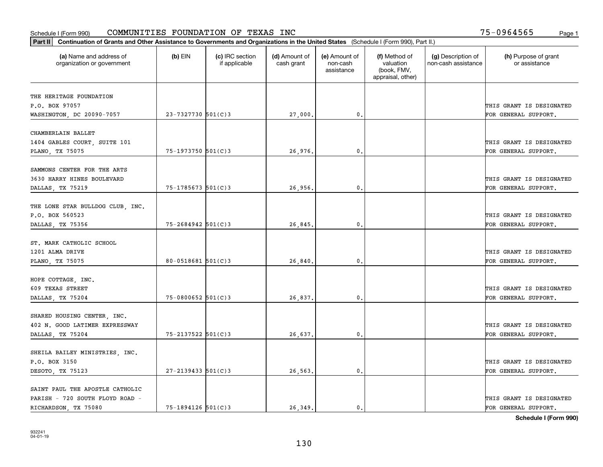| Part II   Continuation of Grants and Other Assistance to Governments and Organizations in the United States (Schedule I (Form 990), Part II.) |                        |                                  |                             |                                         |                                                                |                                           |                                       |
|-----------------------------------------------------------------------------------------------------------------------------------------------|------------------------|----------------------------------|-----------------------------|-----------------------------------------|----------------------------------------------------------------|-------------------------------------------|---------------------------------------|
| (a) Name and address of<br>organization or government                                                                                         | $(b)$ EIN              | (c) IRC section<br>if applicable | (d) Amount of<br>cash grant | (e) Amount of<br>non-cash<br>assistance | (f) Method of<br>valuation<br>(book, FMV,<br>appraisal, other) | (g) Description of<br>non-cash assistance | (h) Purpose of grant<br>or assistance |
| THE HERITAGE FOUNDATION                                                                                                                       |                        |                                  |                             |                                         |                                                                |                                           |                                       |
| P.O. BOX 97057                                                                                                                                |                        |                                  |                             |                                         |                                                                |                                           | THIS GRANT IS DESIGNATED              |
| WASHINGTON, DC 20090-7057                                                                                                                     | 23-7327730 501(C)3     |                                  | 27,000.                     | 0.                                      |                                                                |                                           | FOR GENERAL SUPPORT.                  |
|                                                                                                                                               |                        |                                  |                             |                                         |                                                                |                                           |                                       |
| CHAMBERLAIN BALLET                                                                                                                            |                        |                                  |                             |                                         |                                                                |                                           |                                       |
| 1404 GABLES COURT, SUITE 101                                                                                                                  |                        |                                  |                             |                                         |                                                                |                                           | THIS GRANT IS DESIGNATED              |
| PLANO, TX 75075                                                                                                                               | $75 - 1973750$ 501(C)3 |                                  | 26,976.                     | 0.                                      |                                                                |                                           | FOR GENERAL SUPPORT.                  |
|                                                                                                                                               |                        |                                  |                             |                                         |                                                                |                                           |                                       |
| SAMMONS CENTER FOR THE ARTS                                                                                                                   |                        |                                  |                             |                                         |                                                                |                                           |                                       |
| 3630 HARRY HINES BOULEVARD                                                                                                                    |                        |                                  |                             |                                         |                                                                |                                           | THIS GRANT IS DESIGNATED              |
| DALLAS, TX 75219                                                                                                                              | $75 - 1785673$ 501(C)3 |                                  | 26,956.                     | $\mathbf{0}$ .                          |                                                                |                                           | FOR GENERAL SUPPORT.                  |
| THE LONE STAR BULLDOG CLUB, INC.                                                                                                              |                        |                                  |                             |                                         |                                                                |                                           |                                       |
| P.O. BOX 560523                                                                                                                               |                        |                                  |                             |                                         |                                                                |                                           | THIS GRANT IS DESIGNATED              |
| DALLAS, TX 75356                                                                                                                              | 75-2684942 501(C)3     |                                  | 26,845.                     | $\mathbf{0}$                            |                                                                |                                           | FOR GENERAL SUPPORT.                  |
|                                                                                                                                               |                        |                                  |                             |                                         |                                                                |                                           |                                       |
| ST. MARK CATHOLIC SCHOOL                                                                                                                      |                        |                                  |                             |                                         |                                                                |                                           |                                       |
| 1201 ALMA DRIVE                                                                                                                               |                        |                                  |                             |                                         |                                                                |                                           | THIS GRANT IS DESIGNATED              |
| PLANO, TX 75075                                                                                                                               | $80 - 0518681$ 501(C)3 |                                  | 26,840                      | $\mathbf{0}$                            |                                                                |                                           | FOR GENERAL SUPPORT.                  |
|                                                                                                                                               |                        |                                  |                             |                                         |                                                                |                                           |                                       |
| HOPE COTTAGE, INC.                                                                                                                            |                        |                                  |                             |                                         |                                                                |                                           |                                       |
| 609 TEXAS STREET                                                                                                                              |                        |                                  |                             |                                         |                                                                |                                           | THIS GRANT IS DESIGNATED              |
| DALLAS, TX 75204                                                                                                                              | $75 - 0800652$ 501(C)3 |                                  | 26,837.                     | 0.                                      |                                                                |                                           | FOR GENERAL SUPPORT.                  |
|                                                                                                                                               |                        |                                  |                             |                                         |                                                                |                                           |                                       |
| SHARED HOUSING CENTER, INC.                                                                                                                   |                        |                                  |                             |                                         |                                                                |                                           |                                       |
| 402 N. GOOD LATIMER EXPRESSWAY                                                                                                                |                        |                                  |                             |                                         |                                                                |                                           | THIS GRANT IS DESIGNATED              |
| DALLAS, TX 75204                                                                                                                              | 75-2137522 501(C)3     |                                  | 26,637.                     | $^{\rm 0}$ .                            |                                                                |                                           | FOR GENERAL SUPPORT.                  |
| SHEILA BAILEY MINISTRIES, INC.                                                                                                                |                        |                                  |                             |                                         |                                                                |                                           |                                       |
| P.O. BOX 3150                                                                                                                                 |                        |                                  |                             |                                         |                                                                |                                           | THIS GRANT IS DESIGNATED              |
| DESOTO, TX 75123                                                                                                                              | $27 - 2139433$ 501(C)3 |                                  | 26,563.                     | $\mathfrak{o}$ .                        |                                                                |                                           | FOR GENERAL SUPPORT.                  |
|                                                                                                                                               |                        |                                  |                             |                                         |                                                                |                                           |                                       |
| SAINT PAUL THE APOSTLE CATHOLIC                                                                                                               |                        |                                  |                             |                                         |                                                                |                                           |                                       |
| PARISH - 720 SOUTH FLOYD ROAD -                                                                                                               |                        |                                  |                             |                                         |                                                                |                                           | THIS GRANT IS DESIGNATED              |
| RICHARDSON, TX 75080                                                                                                                          | 75-1894126 501(C)3     |                                  | 26.349.                     | $\mathbf{0}$ .                          |                                                                |                                           | FOR GENERAL SUPPORT.                  |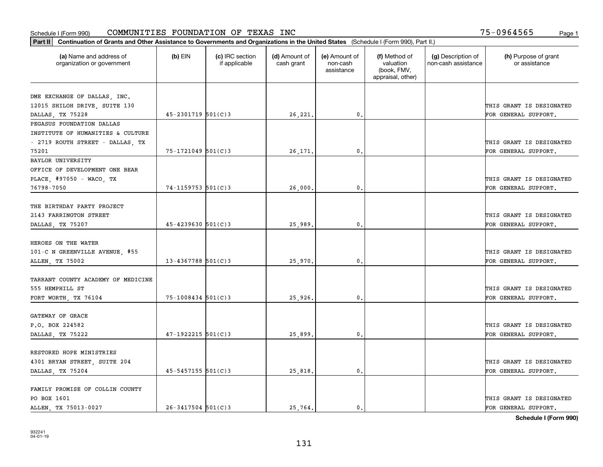| (a) Name and address of<br>organization or government | $(b)$ EIN               | (c) IRC section<br>if applicable | (d) Amount of<br>cash grant | (e) Amount of<br>non-cash | (f) Method of<br>valuation       | (g) Description of<br>non-cash assistance | (h) Purpose of grant<br>or assistance |
|-------------------------------------------------------|-------------------------|----------------------------------|-----------------------------|---------------------------|----------------------------------|-------------------------------------------|---------------------------------------|
|                                                       |                         |                                  |                             | assistance                | (book, FMV,<br>appraisal, other) |                                           |                                       |
| DME EXCHANGE OF DALLAS, INC.                          |                         |                                  |                             |                           |                                  |                                           |                                       |
| 12015 SHILOH DRIVE, SUITE 130                         |                         |                                  |                             |                           |                                  |                                           | THIS GRANT IS DESIGNATED              |
| DALLAS, TX 75228                                      | $45 - 2301719$ 501(C)3  |                                  | 26,221.                     | $\mathfrak{o}$ .          |                                  |                                           | FOR GENERAL SUPPORT.                  |
| PEGASUS FOUNDATION DALLAS                             |                         |                                  |                             |                           |                                  |                                           |                                       |
| INSTITUTE OF HUMANITIES & CULTURE                     |                         |                                  |                             |                           |                                  |                                           |                                       |
| - 2719 ROUTH STREET - DALLAS, TX                      |                         |                                  |                             |                           |                                  |                                           | THIS GRANT IS DESIGNATED              |
| 75201                                                 | $75 - 1721049$ 501(C)3  |                                  | 26,171                      | 0.                        |                                  |                                           | FOR GENERAL SUPPORT.                  |
| BAYLOR UNIVERSITY                                     |                         |                                  |                             |                           |                                  |                                           |                                       |
| OFFICE OF DEVELOPMENT ONE BEAR                        |                         |                                  |                             |                           |                                  |                                           |                                       |
| PLACE, #97050 - WACO, TX                              |                         |                                  |                             |                           |                                  |                                           | THIS GRANT IS DESIGNATED              |
| 76798-7050                                            | 74-1159753 501(C)3      |                                  | 26,000.                     | 0.                        |                                  |                                           | FOR GENERAL SUPPORT.                  |
|                                                       |                         |                                  |                             |                           |                                  |                                           |                                       |
| THE BIRTHDAY PARTY PROJECT                            |                         |                                  |                             |                           |                                  |                                           |                                       |
| 2143 FARRINGTON STREET                                |                         |                                  |                             |                           |                                  |                                           | THIS GRANT IS DESIGNATED              |
| DALLAS, TX 75207                                      | $45 - 4239630$ 501(C)3  |                                  | 25,989.                     | 0.                        |                                  |                                           | FOR GENERAL SUPPORT.                  |
|                                                       |                         |                                  |                             |                           |                                  |                                           |                                       |
| HEROES ON THE WATER                                   |                         |                                  |                             |                           |                                  |                                           |                                       |
| 101-C N GREENVILLE AVENUE, #55                        |                         |                                  |                             |                           |                                  |                                           | THIS GRANT IS DESIGNATED              |
| ALLEN, TX 75002                                       | $13 - 4367788$ 501(C) 3 |                                  | 25,970.                     | 0.                        |                                  |                                           | FOR GENERAL SUPPORT.                  |
|                                                       |                         |                                  |                             |                           |                                  |                                           |                                       |
| TARRANT COUNTY ACADEMY OF MEDICINE                    |                         |                                  |                             |                           |                                  |                                           |                                       |
| 555 HEMPHILL ST                                       |                         |                                  |                             |                           |                                  |                                           | THIS GRANT IS DESIGNATED              |
| FORT WORTH, TX 76104                                  | $75 - 1008434$ 501(C)3  |                                  | 25,926,                     | 0.                        |                                  |                                           | FOR GENERAL SUPPORT.                  |
| GATEWAY OF GRACE                                      |                         |                                  |                             |                           |                                  |                                           |                                       |
| P.O. BOX 224582                                       |                         |                                  |                             |                           |                                  |                                           | THIS GRANT IS DESIGNATED              |
|                                                       | $47-1922215$ 501(C)3    |                                  |                             | $\mathfrak{o}$ .          |                                  |                                           | FOR GENERAL SUPPORT.                  |
| DALLAS, TX 75222                                      |                         |                                  | 25,899.                     |                           |                                  |                                           |                                       |
| RESTORED HOPE MINISTRIES                              |                         |                                  |                             |                           |                                  |                                           |                                       |
| 4301 BRYAN STREET, SUITE 204                          |                         |                                  |                             |                           |                                  |                                           | THIS GRANT IS DESIGNATED              |
| DALLAS, TX 75204                                      | $45 - 5457155$ 501(C)3  |                                  | 25,818.                     | $\mathbf{0}$              |                                  |                                           | FOR GENERAL SUPPORT.                  |
|                                                       |                         |                                  |                             |                           |                                  |                                           |                                       |
| FAMILY PROMISE OF COLLIN COUNTY                       |                         |                                  |                             |                           |                                  |                                           |                                       |
| PO BOX 1601                                           |                         |                                  |                             |                           |                                  |                                           | THIS GRANT IS DESIGNATED              |
| ALLEN TX 75013-0027                                   | $26 - 3417504$ 501(C)3  |                                  | 25.764.                     | $\mathbf{0}$ .            |                                  |                                           | FOR GENERAL SUPPORT.                  |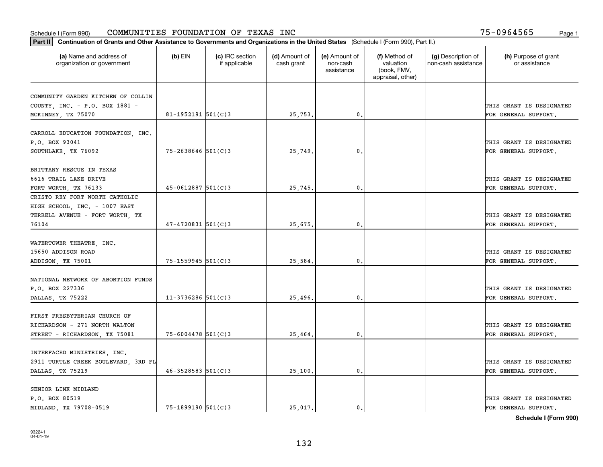|                                                       | Part II   Continuation of Grants and Other Assistance to Governments and Organizations in the United States (Schedule I (Form 990), Part II.) |                                  |                             |                                         |                                                                |                                           |                                       |  |  |  |  |
|-------------------------------------------------------|-----------------------------------------------------------------------------------------------------------------------------------------------|----------------------------------|-----------------------------|-----------------------------------------|----------------------------------------------------------------|-------------------------------------------|---------------------------------------|--|--|--|--|
| (a) Name and address of<br>organization or government | $(b)$ EIN                                                                                                                                     | (c) IRC section<br>if applicable | (d) Amount of<br>cash grant | (e) Amount of<br>non-cash<br>assistance | (f) Method of<br>valuation<br>(book, FMV,<br>appraisal, other) | (g) Description of<br>non-cash assistance | (h) Purpose of grant<br>or assistance |  |  |  |  |
| COMMUNITY GARDEN KITCHEN OF COLLIN                    |                                                                                                                                               |                                  |                             |                                         |                                                                |                                           |                                       |  |  |  |  |
| COUNTY, INC. - P.O. BOX 1881 -                        |                                                                                                                                               |                                  |                             |                                         |                                                                |                                           | THIS GRANT IS DESIGNATED              |  |  |  |  |
| MCKINNEY, TX 75070                                    | $81 - 1952191$ 501(C)3                                                                                                                        |                                  | 25,753.                     | 0.                                      |                                                                |                                           | FOR GENERAL SUPPORT.                  |  |  |  |  |
|                                                       |                                                                                                                                               |                                  |                             |                                         |                                                                |                                           |                                       |  |  |  |  |
| CARROLL EDUCATION FOUNDATION, INC.                    |                                                                                                                                               |                                  |                             |                                         |                                                                |                                           |                                       |  |  |  |  |
| P.O. BOX 93041                                        |                                                                                                                                               |                                  |                             |                                         |                                                                |                                           | THIS GRANT IS DESIGNATED              |  |  |  |  |
| SOUTHLAKE, TX 76092                                   | $75 - 2638646$ 501(C)3                                                                                                                        |                                  | 25,749.                     | 0.                                      |                                                                |                                           | FOR GENERAL SUPPORT.                  |  |  |  |  |
|                                                       |                                                                                                                                               |                                  |                             |                                         |                                                                |                                           |                                       |  |  |  |  |
| BRITTANY RESCUE IN TEXAS                              |                                                                                                                                               |                                  |                             |                                         |                                                                |                                           |                                       |  |  |  |  |
| 6616 TRAIL LAKE DRIVE                                 |                                                                                                                                               |                                  |                             |                                         |                                                                |                                           | THIS GRANT IS DESIGNATED              |  |  |  |  |
| FORT WORTH, TX 76133                                  | $45 - 0612887$ 501(C)3                                                                                                                        |                                  | 25,745.                     | $\mathfrak{o}$ .                        |                                                                |                                           | FOR GENERAL SUPPORT.                  |  |  |  |  |
| CRISTO REY FORT WORTH CATHOLIC                        |                                                                                                                                               |                                  |                             |                                         |                                                                |                                           |                                       |  |  |  |  |
| HIGH SCHOOL, INC. - 1007 EAST                         |                                                                                                                                               |                                  |                             |                                         |                                                                |                                           |                                       |  |  |  |  |
| TERRELL AVENUE - FORT WORTH, TX                       |                                                                                                                                               |                                  |                             |                                         |                                                                |                                           | THIS GRANT IS DESIGNATED              |  |  |  |  |
| 76104                                                 | $47 - 4720831$ 501(C)3                                                                                                                        |                                  | 25,675.                     | 0.                                      |                                                                |                                           | FOR GENERAL SUPPORT.                  |  |  |  |  |
| WATERTOWER THEATRE, INC.                              |                                                                                                                                               |                                  |                             |                                         |                                                                |                                           |                                       |  |  |  |  |
| 15650 ADDISON ROAD                                    |                                                                                                                                               |                                  |                             |                                         |                                                                |                                           | THIS GRANT IS DESIGNATED              |  |  |  |  |
| ADDISON, TX 75001                                     | $75 - 1559945$ 501(C)3                                                                                                                        |                                  | 25,584.                     | 0                                       |                                                                |                                           | FOR GENERAL SUPPORT.                  |  |  |  |  |
|                                                       |                                                                                                                                               |                                  |                             |                                         |                                                                |                                           |                                       |  |  |  |  |
| NATIONAL NETWORK OF ABORTION FUNDS                    |                                                                                                                                               |                                  |                             |                                         |                                                                |                                           |                                       |  |  |  |  |
| P.O. BOX 227336                                       |                                                                                                                                               |                                  |                             |                                         |                                                                |                                           | THIS GRANT IS DESIGNATED              |  |  |  |  |
| DALLAS, TX 75222                                      | $11-3736286$ 501(C)3                                                                                                                          |                                  | 25,496.                     | $\mathbf{0}$                            |                                                                |                                           | FOR GENERAL SUPPORT.                  |  |  |  |  |
|                                                       |                                                                                                                                               |                                  |                             |                                         |                                                                |                                           |                                       |  |  |  |  |
| FIRST PRESBYTERIAN CHURCH OF                          |                                                                                                                                               |                                  |                             |                                         |                                                                |                                           |                                       |  |  |  |  |
| RICHARDSON - 271 NORTH WALTON                         |                                                                                                                                               |                                  |                             |                                         |                                                                |                                           | THIS GRANT IS DESIGNATED              |  |  |  |  |
| STREET - RICHARDSON, TX 75081                         | $75 - 6004478$ 501(C)3                                                                                                                        |                                  | 25,464.                     | $\mathbf{0}$ .                          |                                                                |                                           | FOR GENERAL SUPPORT.                  |  |  |  |  |
|                                                       |                                                                                                                                               |                                  |                             |                                         |                                                                |                                           |                                       |  |  |  |  |
| INTERFACED MINISTRIES, INC.                           |                                                                                                                                               |                                  |                             |                                         |                                                                |                                           |                                       |  |  |  |  |
| 2911 TURTLE CREEK BOULEVARD, 3RD FL                   |                                                                                                                                               |                                  |                             |                                         |                                                                |                                           | THIS GRANT IS DESIGNATED              |  |  |  |  |
| DALLAS, TX 75219                                      | $46 - 3528583$ 501(C) 3                                                                                                                       |                                  | 25,100.                     | $\mathfrak{o}$ .                        |                                                                |                                           | FOR GENERAL SUPPORT.                  |  |  |  |  |
| SENIOR LINK MIDLAND                                   |                                                                                                                                               |                                  |                             |                                         |                                                                |                                           |                                       |  |  |  |  |
| P.O. BOX 80519                                        |                                                                                                                                               |                                  |                             |                                         |                                                                |                                           | THIS GRANT IS DESIGNATED              |  |  |  |  |
| MIDLAND, TX 79708-0519                                | $75 - 1899190$ 501(C)3                                                                                                                        |                                  | 25.017.                     | $\mathfrak{o}$ .                        |                                                                |                                           | FOR GENERAL SUPPORT.                  |  |  |  |  |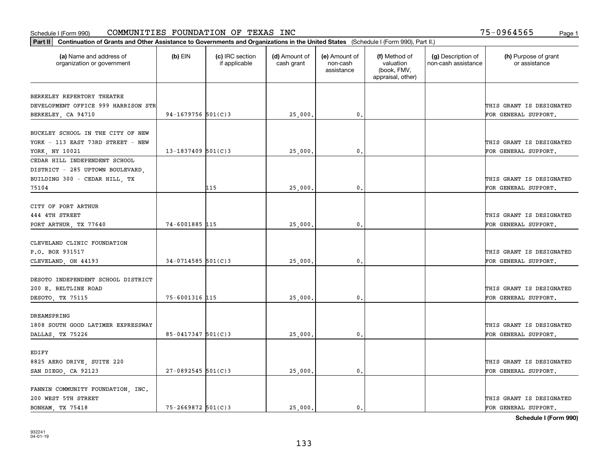| Part II   Continuation of Grants and Other Assistance to Governments and Organizations in the United States (Schedule I (Form 990), Part II.) |                        |                                  |                             |                                         |                                                                |                                           |                                       |
|-----------------------------------------------------------------------------------------------------------------------------------------------|------------------------|----------------------------------|-----------------------------|-----------------------------------------|----------------------------------------------------------------|-------------------------------------------|---------------------------------------|
| (a) Name and address of<br>organization or government                                                                                         | $(b)$ EIN              | (c) IRC section<br>if applicable | (d) Amount of<br>cash grant | (e) Amount of<br>non-cash<br>assistance | (f) Method of<br>valuation<br>(book, FMV,<br>appraisal, other) | (g) Description of<br>non-cash assistance | (h) Purpose of grant<br>or assistance |
| BERKELEY REPERTORY THEATRE                                                                                                                    |                        |                                  |                             |                                         |                                                                |                                           |                                       |
| DEVELOPMENT OFFICE 999 HARRISON STR                                                                                                           |                        |                                  |                             |                                         |                                                                |                                           | THIS GRANT IS DESIGNATED              |
| BERKELEY, CA 94710                                                                                                                            | 94-1679756 $501(C)3$   |                                  | 25,000.                     | $\mathbf{0}$ .                          |                                                                |                                           | FOR GENERAL SUPPORT.                  |
|                                                                                                                                               |                        |                                  |                             |                                         |                                                                |                                           |                                       |
| BUCKLEY SCHOOL IN THE CITY OF NEW                                                                                                             |                        |                                  |                             |                                         |                                                                |                                           |                                       |
| YORK - 113 EAST 73RD STREET - NEW                                                                                                             |                        |                                  |                             |                                         |                                                                |                                           | THIS GRANT IS DESIGNATED              |
| YORK, NY 10021                                                                                                                                | $13 - 1837409$ 501(C)3 |                                  | 25,000                      | 0.                                      |                                                                |                                           | FOR GENERAL SUPPORT.                  |
| CEDAR HILL INDEPENDENT SCHOOL                                                                                                                 |                        |                                  |                             |                                         |                                                                |                                           |                                       |
| DISTRICT - 285 UPTOWN BOULEVARD,                                                                                                              |                        |                                  |                             |                                         |                                                                |                                           |                                       |
| BUILDING 300 - CEDAR HILL, TX                                                                                                                 |                        |                                  |                             |                                         |                                                                |                                           | THIS GRANT IS DESIGNATED              |
| 75104                                                                                                                                         |                        | 115                              | 25,000                      | $\mathbf{0}$ .                          |                                                                |                                           | FOR GENERAL SUPPORT.                  |
|                                                                                                                                               |                        |                                  |                             |                                         |                                                                |                                           |                                       |
| CITY OF PORT ARTHUR                                                                                                                           |                        |                                  |                             |                                         |                                                                |                                           |                                       |
| 444 4TH STREET                                                                                                                                |                        |                                  |                             |                                         |                                                                |                                           | THIS GRANT IS DESIGNATED              |
| PORT ARTHUR, TX 77640                                                                                                                         | 74-6001885 115         |                                  | 25,000.                     | 0.                                      |                                                                |                                           | FOR GENERAL SUPPORT.                  |
|                                                                                                                                               |                        |                                  |                             |                                         |                                                                |                                           |                                       |
| CLEVELAND CLINIC FOUNDATION                                                                                                                   |                        |                                  |                             |                                         |                                                                |                                           |                                       |
| P.O. BOX 931517                                                                                                                               |                        |                                  |                             |                                         |                                                                |                                           | THIS GRANT IS DESIGNATED              |
| CLEVELAND, OH 44193                                                                                                                           | $34 - 0714585$ 501(C)3 |                                  | 25,000.                     | 0.                                      |                                                                |                                           | FOR GENERAL SUPPORT.                  |
|                                                                                                                                               |                        |                                  |                             |                                         |                                                                |                                           |                                       |
| DESOTO INDEPENDENT SCHOOL DISTRICT                                                                                                            |                        |                                  |                             |                                         |                                                                |                                           |                                       |
| 200 E. BELTLINE ROAD                                                                                                                          |                        |                                  |                             |                                         |                                                                |                                           | THIS GRANT IS DESIGNATED              |
| DESOTO, TX 75115                                                                                                                              | 75-6001316 115         |                                  | 25,000                      | 0.                                      |                                                                |                                           | FOR GENERAL SUPPORT.                  |
|                                                                                                                                               |                        |                                  |                             |                                         |                                                                |                                           |                                       |
| DREAMSPRING                                                                                                                                   |                        |                                  |                             |                                         |                                                                |                                           |                                       |
| 1808 SOUTH GOOD LATIMER EXPRESSWAY                                                                                                            |                        |                                  |                             |                                         |                                                                |                                           | THIS GRANT IS DESIGNATED              |
| DALLAS, TX 75226                                                                                                                              | $85 - 0417347$ 501(C)3 |                                  | 25,000.                     | $\mathbf{0}$ .                          |                                                                |                                           | FOR GENERAL SUPPORT.                  |
|                                                                                                                                               |                        |                                  |                             |                                         |                                                                |                                           |                                       |
| EDIFY                                                                                                                                         |                        |                                  |                             |                                         |                                                                |                                           |                                       |
| 8825 AERO DRIVE, SUITE 220                                                                                                                    |                        |                                  |                             |                                         |                                                                |                                           | THIS GRANT IS DESIGNATED              |
| SAN DIEGO, CA 92123                                                                                                                           | $27 - 0892545$ 501(C)3 |                                  | 25,000.                     | 0.                                      |                                                                |                                           | FOR GENERAL SUPPORT.                  |
|                                                                                                                                               |                        |                                  |                             |                                         |                                                                |                                           |                                       |
| FANNIN COMMUNITY FOUNDATION, INC.                                                                                                             |                        |                                  |                             |                                         |                                                                |                                           |                                       |
| 200 WEST 5TH STREET                                                                                                                           |                        |                                  |                             |                                         |                                                                |                                           | THIS GRANT IS DESIGNATED              |
| <b>BONHAM, TX 75418</b>                                                                                                                       | 75-2669872 501(C)3     |                                  | 25,000.                     | $\mathbf{0}$ .                          |                                                                |                                           | FOR GENERAL SUPPORT.                  |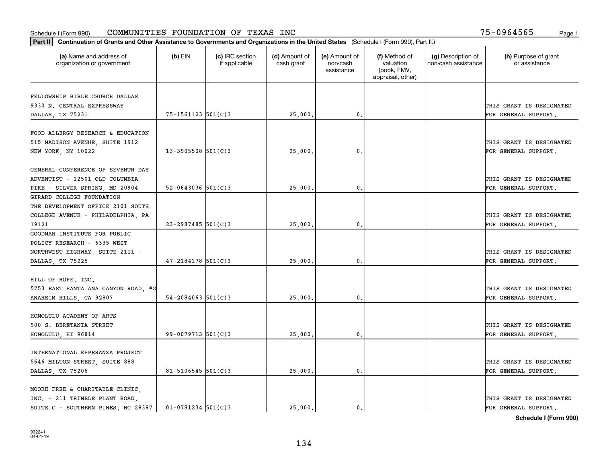| Part II   Continuation of Grants and Other Assistance to Governments and Organizations in the United States (Schedule I (Form 990), Part II.) |                        |                                  |                             |                                         |                                                                |                                           |                                       |
|-----------------------------------------------------------------------------------------------------------------------------------------------|------------------------|----------------------------------|-----------------------------|-----------------------------------------|----------------------------------------------------------------|-------------------------------------------|---------------------------------------|
| (a) Name and address of<br>organization or government                                                                                         | $(b)$ EIN              | (c) IRC section<br>if applicable | (d) Amount of<br>cash grant | (e) Amount of<br>non-cash<br>assistance | (f) Method of<br>valuation<br>(book, FMV,<br>appraisal, other) | (g) Description of<br>non-cash assistance | (h) Purpose of grant<br>or assistance |
|                                                                                                                                               |                        |                                  |                             |                                         |                                                                |                                           |                                       |
| FELLOWSHIP BIBLE CHURCH DALLAS<br>9330 N. CENTRAL EXPRESSWAY                                                                                  |                        |                                  |                             |                                         |                                                                |                                           | THIS GRANT IS DESIGNATED              |
| DALLAS, TX 75231                                                                                                                              | 75-1561123 501(C)3     |                                  | 25,000.                     | 0.                                      |                                                                |                                           | FOR GENERAL SUPPORT.                  |
|                                                                                                                                               |                        |                                  |                             |                                         |                                                                |                                           |                                       |
| FOOD ALLERGY RESEARCH & EDUCATION                                                                                                             |                        |                                  |                             |                                         |                                                                |                                           |                                       |
| 515 MADISON AVENUE, SUITE 1912                                                                                                                |                        |                                  |                             |                                         |                                                                |                                           | THIS GRANT IS DESIGNATED              |
| NEW YORK, NY 10022                                                                                                                            | $13 - 3905508$ 501(C)3 |                                  | 25,000                      | 0.                                      |                                                                |                                           | FOR GENERAL SUPPORT.                  |
|                                                                                                                                               |                        |                                  |                             |                                         |                                                                |                                           |                                       |
| GENERAL CONFERENCE OF SEVENTH DAY                                                                                                             |                        |                                  |                             |                                         |                                                                |                                           |                                       |
| ADVENTIST - 12501 OLD COLUMBIA                                                                                                                |                        |                                  |                             |                                         |                                                                |                                           | THIS GRANT IS DESIGNATED              |
| PIKE - SILVER SPRING, MD 20904                                                                                                                | $52 - 0643036$ 501(C)3 |                                  | 25,000.                     | $\mathbf{0}$ .                          |                                                                |                                           | FOR GENERAL SUPPORT.                  |
| GIRARD COLLEGE FOUNDATION                                                                                                                     |                        |                                  |                             |                                         |                                                                |                                           |                                       |
| THE DEVELOPMENT OFFICE 2101 SOUTH                                                                                                             |                        |                                  |                             |                                         |                                                                |                                           |                                       |
| COLLEGE AVENUE - PHILADELPHIA, PA                                                                                                             |                        |                                  |                             |                                         |                                                                |                                           | THIS GRANT IS DESIGNATED              |
| 19121                                                                                                                                         | 23-2987485 501(C)3     |                                  | 25,000.                     | $\mathbf{0}$ .                          |                                                                |                                           | FOR GENERAL SUPPORT.                  |
| GOODMAN INSTITUTE FOR PUBLIC                                                                                                                  |                        |                                  |                             |                                         |                                                                |                                           |                                       |
| POLICY RESEARCH - 6335 WEST                                                                                                                   |                        |                                  |                             |                                         |                                                                |                                           |                                       |
| NORTHWEST HIGHWAY, SUITE 2111 -                                                                                                               |                        |                                  |                             |                                         |                                                                |                                           | THIS GRANT IS DESIGNATED              |
| DALLAS, TX 75225                                                                                                                              | $47 - 2184178$ 501(C)3 |                                  | 25,000.                     | 0.                                      |                                                                |                                           | FOR GENERAL SUPPORT.                  |
|                                                                                                                                               |                        |                                  |                             |                                         |                                                                |                                           |                                       |
| HILL OF HOPE, INC.                                                                                                                            |                        |                                  |                             |                                         |                                                                |                                           |                                       |
| 5753 EAST SANTA ANA CANYON ROAD, #G                                                                                                           |                        |                                  |                             |                                         |                                                                |                                           | THIS GRANT IS DESIGNATED              |
| ANAHEIM HILLS, CA 92807                                                                                                                       | $54 - 2084063$ 501(C)3 |                                  | 25,000.                     | 0.                                      |                                                                |                                           | FOR GENERAL SUPPORT.                  |
|                                                                                                                                               |                        |                                  |                             |                                         |                                                                |                                           |                                       |
| HONOLULU ACADEMY OF ARTS                                                                                                                      |                        |                                  |                             |                                         |                                                                |                                           |                                       |
| 900 S. BERETANIA STREET                                                                                                                       |                        |                                  |                             |                                         |                                                                |                                           | THIS GRANT IS DESIGNATED              |
| HONOLULU, HI 96814                                                                                                                            | $99 - 0079713$ 501(C)3 |                                  | 25,000.                     | $\mathbf{0}$ .                          |                                                                |                                           | FOR GENERAL SUPPORT.                  |
| INTERNATIONAL ESPERANZA PROJECT                                                                                                               |                        |                                  |                             |                                         |                                                                |                                           |                                       |
|                                                                                                                                               |                        |                                  |                             |                                         |                                                                |                                           |                                       |
| 5646 MILTON STREET, SUITE 888                                                                                                                 |                        |                                  |                             |                                         |                                                                |                                           | THIS GRANT IS DESIGNATED              |
| DALLAS, TX 75206                                                                                                                              | 81-5106545 $501(C)3$   |                                  | 25,000.                     | $\mathbf{0}$ .                          |                                                                |                                           | FOR GENERAL SUPPORT.                  |
| MOORE FREE & CHARITABLE CLINIC,                                                                                                               |                        |                                  |                             |                                         |                                                                |                                           |                                       |
| INC. - 211 TRIMBLE PLANT ROAD,                                                                                                                |                        |                                  |                             |                                         |                                                                |                                           | THIS GRANT IS DESIGNATED              |
| SUITE C - SOUTHERN PINES, NC 28387                                                                                                            | $01 - 0781234$ 501(C)3 |                                  | 25,000.                     | $\mathbf{0}$ .                          |                                                                |                                           | FOR GENERAL SUPPORT.                  |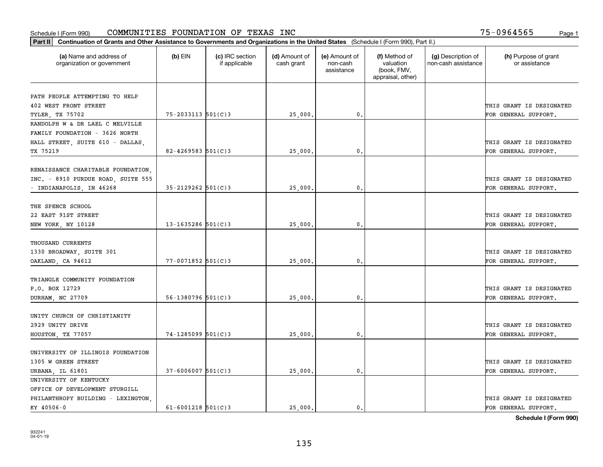| (a) Name and address of<br>$(b)$ EIN<br>(c) IRC section<br>(d) Amount of<br>(e) Amount of<br>(f) Method of<br>(g) Description of<br>(h) Purpose of grant<br>cash grant<br>valuation<br>non-cash assistance<br>or assistance<br>organization or government<br>if applicable<br>non-cash<br>(book, FMV,<br>assistance<br>appraisal, other)<br>PATH PEOPLE ATTEMPTING TO HELP<br>402 WEST FRONT STREET<br>THIS GRANT IS DESIGNATED<br>$75 - 2033113$ $501(C)3$ |                 |  |         |                |  |                          |
|-------------------------------------------------------------------------------------------------------------------------------------------------------------------------------------------------------------------------------------------------------------------------------------------------------------------------------------------------------------------------------------------------------------------------------------------------------------|-----------------|--|---------|----------------|--|--------------------------|
|                                                                                                                                                                                                                                                                                                                                                                                                                                                             |                 |  |         |                |  |                          |
|                                                                                                                                                                                                                                                                                                                                                                                                                                                             |                 |  |         |                |  |                          |
|                                                                                                                                                                                                                                                                                                                                                                                                                                                             |                 |  |         |                |  |                          |
|                                                                                                                                                                                                                                                                                                                                                                                                                                                             |                 |  |         |                |  |                          |
|                                                                                                                                                                                                                                                                                                                                                                                                                                                             | TYLER, TX 75702 |  | 25,000. | $\mathbf{0}$ . |  | FOR GENERAL SUPPORT.     |
| RANDOLPH W & DR LAEL C MELVILLE                                                                                                                                                                                                                                                                                                                                                                                                                             |                 |  |         |                |  |                          |
| FAMILY FOUNDATION - 3626 NORTH                                                                                                                                                                                                                                                                                                                                                                                                                              |                 |  |         |                |  |                          |
| HALL STREET, SUITE 610 - DALLAS,                                                                                                                                                                                                                                                                                                                                                                                                                            |                 |  |         |                |  | THIS GRANT IS DESIGNATED |
| TX 75219<br>$82 - 4269583$ 501(C)3<br>25,000<br>0.<br>FOR GENERAL SUPPORT.                                                                                                                                                                                                                                                                                                                                                                                  |                 |  |         |                |  |                          |
| RENAISSANCE CHARITABLE FOUNDATION,                                                                                                                                                                                                                                                                                                                                                                                                                          |                 |  |         |                |  |                          |
| INC. - 8910 PURDUE ROAD, SUITE 555                                                                                                                                                                                                                                                                                                                                                                                                                          |                 |  |         |                |  | THIS GRANT IS DESIGNATED |
| - INDIANAPOLIS, IN 46268<br>$35 - 2129262$ 501(C)3<br>25,000<br>0.<br>FOR GENERAL SUPPORT.                                                                                                                                                                                                                                                                                                                                                                  |                 |  |         |                |  |                          |
|                                                                                                                                                                                                                                                                                                                                                                                                                                                             |                 |  |         |                |  |                          |
| THE SPENCE SCHOOL                                                                                                                                                                                                                                                                                                                                                                                                                                           |                 |  |         |                |  |                          |
| 22 EAST 91ST STREET                                                                                                                                                                                                                                                                                                                                                                                                                                         |                 |  |         |                |  | THIS GRANT IS DESIGNATED |
| $13 - 1635286$ 501(C)3<br>25,000.<br>0.<br>FOR GENERAL SUPPORT.<br>NEW YORK, NY 10128                                                                                                                                                                                                                                                                                                                                                                       |                 |  |         |                |  |                          |
|                                                                                                                                                                                                                                                                                                                                                                                                                                                             |                 |  |         |                |  |                          |
| THOUSAND CURRENTS                                                                                                                                                                                                                                                                                                                                                                                                                                           |                 |  |         |                |  |                          |
| 1330 BROADWAY, SUITE 301                                                                                                                                                                                                                                                                                                                                                                                                                                    |                 |  |         |                |  | THIS GRANT IS DESIGNATED |
| $77 - 0071852$ 501(C)3<br>25,000<br>OAKLAND, CA 94612<br>0.<br>FOR GENERAL SUPPORT.                                                                                                                                                                                                                                                                                                                                                                         |                 |  |         |                |  |                          |
|                                                                                                                                                                                                                                                                                                                                                                                                                                                             |                 |  |         |                |  |                          |
| TRIANGLE COMMUNITY FOUNDATION                                                                                                                                                                                                                                                                                                                                                                                                                               |                 |  |         |                |  |                          |
| P.O. BOX 12729                                                                                                                                                                                                                                                                                                                                                                                                                                              |                 |  |         |                |  | THIS GRANT IS DESIGNATED |
| $56 - 1380796$ 501(C)3<br>$\mathfrak{o}$ .<br>25,000<br>FOR GENERAL SUPPORT.<br>DURHAM, NC 27709                                                                                                                                                                                                                                                                                                                                                            |                 |  |         |                |  |                          |
|                                                                                                                                                                                                                                                                                                                                                                                                                                                             |                 |  |         |                |  |                          |
| UNITY CHURCH OF CHRISTIANITY                                                                                                                                                                                                                                                                                                                                                                                                                                |                 |  |         |                |  |                          |
| 2929 UNITY DRIVE                                                                                                                                                                                                                                                                                                                                                                                                                                            |                 |  |         |                |  | THIS GRANT IS DESIGNATED |
| 74-1285099 501(C)3<br>HOUSTON, TX 77057<br>25,000<br>0.<br>FOR GENERAL SUPPORT.                                                                                                                                                                                                                                                                                                                                                                             |                 |  |         |                |  |                          |
|                                                                                                                                                                                                                                                                                                                                                                                                                                                             |                 |  |         |                |  |                          |
| UNIVERSITY OF ILLINOIS FOUNDATION                                                                                                                                                                                                                                                                                                                                                                                                                           |                 |  |         |                |  |                          |
| 1305 W GREEN STREET                                                                                                                                                                                                                                                                                                                                                                                                                                         |                 |  |         |                |  | THIS GRANT IS DESIGNATED |
| $37 - 6006007$ 501(C)3<br>25,000.<br>$\mathbf{0}$ .<br>FOR GENERAL SUPPORT.<br>URBANA, IL 61801                                                                                                                                                                                                                                                                                                                                                             |                 |  |         |                |  |                          |
| UNIVERSITY OF KENTUCKY                                                                                                                                                                                                                                                                                                                                                                                                                                      |                 |  |         |                |  |                          |
| OFFICE OF DEVELOPMENT STURGILL                                                                                                                                                                                                                                                                                                                                                                                                                              |                 |  |         |                |  |                          |
| PHILANTHROPY BUILDING - LEXINGTON.                                                                                                                                                                                                                                                                                                                                                                                                                          |                 |  |         |                |  | THIS GRANT IS DESIGNATED |
| KY 40506-0<br>$61 - 6001218$ 501(C)3<br>25,000.<br>$\mathbf{0}$ .<br>FOR GENERAL SUPPORT.                                                                                                                                                                                                                                                                                                                                                                   |                 |  |         |                |  |                          |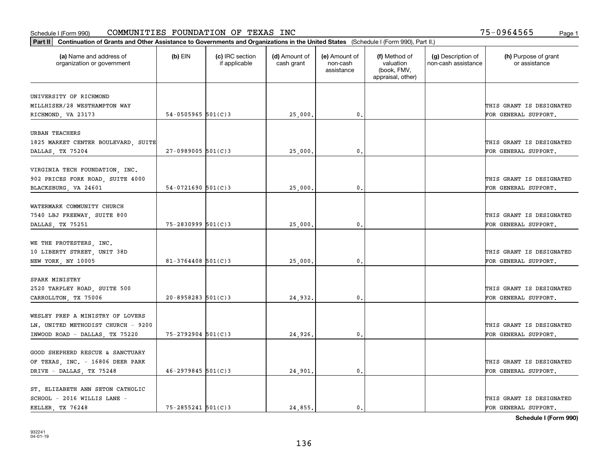| Part II   Continuation of Grants and Other Assistance to Governments and Organizations in the United States (Schedule I (Form 990), Part II.) |                          |                                  |                             |                                         |                                                                |                                           |                                       |
|-----------------------------------------------------------------------------------------------------------------------------------------------|--------------------------|----------------------------------|-----------------------------|-----------------------------------------|----------------------------------------------------------------|-------------------------------------------|---------------------------------------|
| (a) Name and address of<br>organization or government                                                                                         | $(b)$ EIN                | (c) IRC section<br>if applicable | (d) Amount of<br>cash grant | (e) Amount of<br>non-cash<br>assistance | (f) Method of<br>valuation<br>(book, FMV,<br>appraisal, other) | (g) Description of<br>non-cash assistance | (h) Purpose of grant<br>or assistance |
| UNIVERSITY OF RICHMOND                                                                                                                        |                          |                                  |                             |                                         |                                                                |                                           |                                       |
| MILLHISER/28 WESTHAMPTON WAY                                                                                                                  |                          |                                  |                             |                                         |                                                                |                                           | THIS GRANT IS DESIGNATED              |
| RICHMOND, VA 23173                                                                                                                            | 54-0505965 $501(C)3$     |                                  | 25,000.                     | 0.                                      |                                                                |                                           | FOR GENERAL SUPPORT.                  |
|                                                                                                                                               |                          |                                  |                             |                                         |                                                                |                                           |                                       |
| <b>URBAN TEACHERS</b>                                                                                                                         |                          |                                  |                             |                                         |                                                                |                                           |                                       |
| 1825 MARKET CENTER BOULEVARD, SUITE                                                                                                           |                          |                                  |                             |                                         |                                                                |                                           | THIS GRANT IS DESIGNATED              |
| DALLAS, TX 75204                                                                                                                              | $27 - 0989005$ 501(C)3   |                                  | 25,000                      | 0.                                      |                                                                |                                           | FOR GENERAL SUPPORT.                  |
|                                                                                                                                               |                          |                                  |                             |                                         |                                                                |                                           |                                       |
| VIRGINIA TECH FOUNDATION, INC.                                                                                                                |                          |                                  |                             |                                         |                                                                |                                           |                                       |
| 902 PRICES FORK ROAD, SUITE 4000                                                                                                              |                          |                                  |                             |                                         |                                                                |                                           | THIS GRANT IS DESIGNATED              |
| BLACKSBURG, VA 24601                                                                                                                          | $54-0721690$ 501(C)3     |                                  | 25,000.                     | $\mathbf{0}$ .                          |                                                                |                                           | FOR GENERAL SUPPORT.                  |
| WATERMARK COMMUNITY CHURCH                                                                                                                    |                          |                                  |                             |                                         |                                                                |                                           |                                       |
| 7540 LBJ FREEWAY, SUITE 800                                                                                                                   |                          |                                  |                             |                                         |                                                                |                                           | THIS GRANT IS DESIGNATED              |
| DALLAS, TX 75251                                                                                                                              | $75 - 2830999$ $501(C)3$ |                                  | 25,000.                     | 0.                                      |                                                                |                                           | FOR GENERAL SUPPORT.                  |
|                                                                                                                                               |                          |                                  |                             |                                         |                                                                |                                           |                                       |
| WE THE PROTESTERS, INC.                                                                                                                       |                          |                                  |                             |                                         |                                                                |                                           |                                       |
| 10 LIBERTY STREET, UNIT 38D                                                                                                                   |                          |                                  |                             |                                         |                                                                |                                           | THIS GRANT IS DESIGNATED              |
| NEW YORK, NY 10005                                                                                                                            | $81 - 3764408$ 501(C)3   |                                  | 25,000.                     | 0.                                      |                                                                |                                           | FOR GENERAL SUPPORT.                  |
|                                                                                                                                               |                          |                                  |                             |                                         |                                                                |                                           |                                       |
| SPARK MINISTRY                                                                                                                                |                          |                                  |                             |                                         |                                                                |                                           |                                       |
| 2520 TARPLEY ROAD, SUITE 500                                                                                                                  |                          |                                  |                             |                                         |                                                                |                                           | THIS GRANT IS DESIGNATED              |
| CARROLLTON, TX 75006                                                                                                                          | $20 - 8958283$ 501(C)3   |                                  | 24,932.                     | 0.                                      |                                                                |                                           | FOR GENERAL SUPPORT.                  |
|                                                                                                                                               |                          |                                  |                             |                                         |                                                                |                                           |                                       |
| WESLEY PREP A MINISTRY OF LOVERS                                                                                                              |                          |                                  |                             |                                         |                                                                |                                           |                                       |
| LN. UNITED METHODIST CHURCH - 9200                                                                                                            |                          |                                  |                             |                                         |                                                                |                                           | THIS GRANT IS DESIGNATED              |
| INWOOD ROAD - DALLAS, TX 75220                                                                                                                | 75-2792904 501(C)3       |                                  | 24,926.                     | 0.                                      |                                                                |                                           | FOR GENERAL SUPPORT.                  |
|                                                                                                                                               |                          |                                  |                             |                                         |                                                                |                                           |                                       |
| GOOD SHEPHERD RESCUE & SANCTUARY                                                                                                              |                          |                                  |                             |                                         |                                                                |                                           | THIS GRANT IS DESIGNATED              |
| OF TEXAS, INC. - 16806 DEER PARK                                                                                                              | $46 - 2979845$ 501(C)3   |                                  |                             | 0.                                      |                                                                |                                           | FOR GENERAL SUPPORT.                  |
| DRIVE - DALLAS, TX 75248                                                                                                                      |                          |                                  | 24,901                      |                                         |                                                                |                                           |                                       |
| ST. ELIZABETH ANN SETON CATHOLIC                                                                                                              |                          |                                  |                             |                                         |                                                                |                                           |                                       |
| SCHOOL - 2016 WILLIS LANE -                                                                                                                   |                          |                                  |                             |                                         |                                                                |                                           | THIS GRANT IS DESIGNATED              |
| KELLER TX 76248                                                                                                                               | 75-2855241 501(C)3       |                                  | 24,855.                     | $\mathbf{0}$ .                          |                                                                |                                           | FOR GENERAL SUPPORT.                  |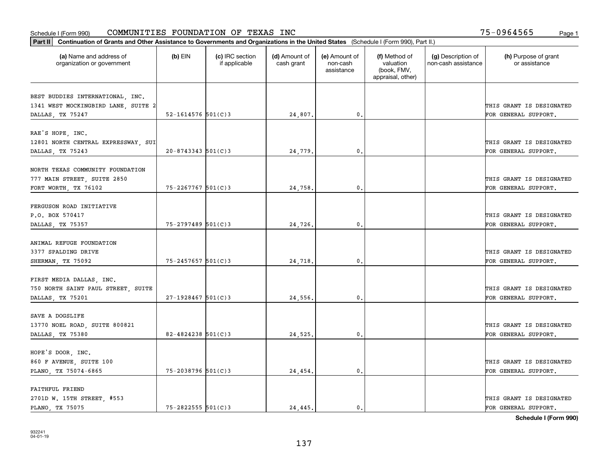| Part II   Continuation of Grants and Other Assistance to Governments and Organizations in the United States (Schedule I (Form 990), Part II.) |                        |                                  |                             |                                         |                                                                |                                           |                                       |
|-----------------------------------------------------------------------------------------------------------------------------------------------|------------------------|----------------------------------|-----------------------------|-----------------------------------------|----------------------------------------------------------------|-------------------------------------------|---------------------------------------|
| (a) Name and address of<br>organization or government                                                                                         | $(b)$ EIN              | (c) IRC section<br>if applicable | (d) Amount of<br>cash grant | (e) Amount of<br>non-cash<br>assistance | (f) Method of<br>valuation<br>(book, FMV,<br>appraisal, other) | (g) Description of<br>non-cash assistance | (h) Purpose of grant<br>or assistance |
| BEST BUDDIES INTERNATIONAL, INC.                                                                                                              |                        |                                  |                             |                                         |                                                                |                                           |                                       |
| 1341 WEST MOCKINGBIRD LANE, SUITE 2                                                                                                           |                        |                                  |                             |                                         |                                                                |                                           | THIS GRANT IS DESIGNATED              |
| DALLAS, TX 75247                                                                                                                              | 52-1614576 $501(C)3$   |                                  | 24,807.                     | $\mathfrak o$ .                         |                                                                |                                           | FOR GENERAL SUPPORT.                  |
|                                                                                                                                               |                        |                                  |                             |                                         |                                                                |                                           |                                       |
| RAE'S HOPE, INC.                                                                                                                              |                        |                                  |                             |                                         |                                                                |                                           |                                       |
| 12801 NORTH CENTRAL EXPRESSWAY, SUI                                                                                                           |                        |                                  |                             |                                         |                                                                |                                           | THIS GRANT IS DESIGNATED              |
| DALLAS, TX 75243                                                                                                                              | $20 - 8743343$ 501(C)3 |                                  | 24,779                      | 0.                                      |                                                                |                                           | FOR GENERAL SUPPORT.                  |
|                                                                                                                                               |                        |                                  |                             |                                         |                                                                |                                           |                                       |
| NORTH TEXAS COMMUNITY FOUNDATION                                                                                                              |                        |                                  |                             |                                         |                                                                |                                           |                                       |
| 777 MAIN STREET, SUITE 2850                                                                                                                   |                        |                                  |                             |                                         |                                                                |                                           | THIS GRANT IS DESIGNATED              |
| FORT WORTH, TX 76102                                                                                                                          | $75 - 2267767$ 501(C)3 |                                  | 24,758.                     | $\mathbf{0}$ .                          |                                                                |                                           | FOR GENERAL SUPPORT.                  |
|                                                                                                                                               |                        |                                  |                             |                                         |                                                                |                                           |                                       |
| FERGUSON ROAD INITIATIVE<br>P.O. BOX 570417                                                                                                   |                        |                                  |                             |                                         |                                                                |                                           | THIS GRANT IS DESIGNATED              |
|                                                                                                                                               | $75 - 2797489$ 501(C)3 |                                  | 24,726.                     | 0.                                      |                                                                |                                           | FOR GENERAL SUPPORT.                  |
| DALLAS, TX 75357                                                                                                                              |                        |                                  |                             |                                         |                                                                |                                           |                                       |
| ANIMAL REFUGE FOUNDATION                                                                                                                      |                        |                                  |                             |                                         |                                                                |                                           |                                       |
| 3377 SPALDING DRIVE                                                                                                                           |                        |                                  |                             |                                         |                                                                |                                           | THIS GRANT IS DESIGNATED              |
| SHERMAN, TX 75092                                                                                                                             | $75 - 2457657$ 501(C)3 |                                  | 24,718.                     | 0.                                      |                                                                |                                           | FOR GENERAL SUPPORT.                  |
|                                                                                                                                               |                        |                                  |                             |                                         |                                                                |                                           |                                       |
| FIRST MEDIA DALLAS, INC.                                                                                                                      |                        |                                  |                             |                                         |                                                                |                                           |                                       |
| 750 NORTH SAINT PAUL STREET, SUITE                                                                                                            |                        |                                  |                             |                                         |                                                                |                                           | THIS GRANT IS DESIGNATED              |
| DALLAS, TX 75201                                                                                                                              | $27-1928467$ 501(C)3   |                                  | 24,556.                     | 0.                                      |                                                                |                                           | FOR GENERAL SUPPORT.                  |
|                                                                                                                                               |                        |                                  |                             |                                         |                                                                |                                           |                                       |
| SAVE A DOGSLIFE                                                                                                                               |                        |                                  |                             |                                         |                                                                |                                           |                                       |
| 13770 NOEL ROAD, SUITE 800821                                                                                                                 |                        |                                  |                             |                                         |                                                                |                                           | THIS GRANT IS DESIGNATED              |
| DALLAS, TX 75380                                                                                                                              | 82-4824238 $501(C)3$   |                                  | 24,525.                     | $\mathbf{0}$ .                          |                                                                |                                           | FOR GENERAL SUPPORT.                  |
|                                                                                                                                               |                        |                                  |                             |                                         |                                                                |                                           |                                       |
| HOPE'S DOOR, INC.                                                                                                                             |                        |                                  |                             |                                         |                                                                |                                           |                                       |
| 860 F AVENUE, SUITE 100                                                                                                                       |                        |                                  |                             |                                         |                                                                |                                           | THIS GRANT IS DESIGNATED              |
| PLANO, TX 75074-6865                                                                                                                          | 75-2038796 501(C)3     |                                  | 24,454.                     | 0.                                      |                                                                |                                           | FOR GENERAL SUPPORT.                  |
| <b>FAITHFUL FRIEND</b>                                                                                                                        |                        |                                  |                             |                                         |                                                                |                                           |                                       |
| 2701D W. 15TH STREET, #553                                                                                                                    |                        |                                  |                             |                                         |                                                                |                                           | THIS GRANT IS DESIGNATED              |
| PLANO, TX 75075                                                                                                                               | $75 - 2822555$ 501(C)3 |                                  | 24.445.                     | $\mathbf{0}$ .                          |                                                                |                                           | FOR GENERAL SUPPORT.                  |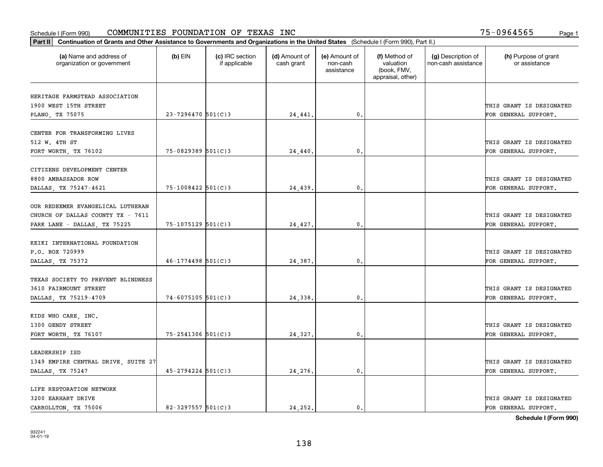| Part II   Continuation of Grants and Other Assistance to Governments and Organizations in the United States (Schedule I (Form 990), Part II.) |                        |                                  |                             |                                         |                                                                |                                           |                                       |
|-----------------------------------------------------------------------------------------------------------------------------------------------|------------------------|----------------------------------|-----------------------------|-----------------------------------------|----------------------------------------------------------------|-------------------------------------------|---------------------------------------|
| (a) Name and address of<br>organization or government                                                                                         | $(b)$ EIN              | (c) IRC section<br>if applicable | (d) Amount of<br>cash grant | (e) Amount of<br>non-cash<br>assistance | (f) Method of<br>valuation<br>(book, FMV,<br>appraisal, other) | (g) Description of<br>non-cash assistance | (h) Purpose of grant<br>or assistance |
| HERITAGE FARMSTEAD ASSOCIATION                                                                                                                |                        |                                  |                             |                                         |                                                                |                                           |                                       |
| 1900 WEST 15TH STREET                                                                                                                         |                        |                                  |                             |                                         |                                                                |                                           | THIS GRANT IS DESIGNATED              |
| PLANO, TX 75075                                                                                                                               | $23 - 7296470$ 501(C)3 |                                  | 24,441.                     | 0.                                      |                                                                |                                           | FOR GENERAL SUPPORT.                  |
|                                                                                                                                               |                        |                                  |                             |                                         |                                                                |                                           |                                       |
| CENTER FOR TRANSFORMING LIVES                                                                                                                 |                        |                                  |                             |                                         |                                                                |                                           |                                       |
| 512 W. 4TH ST                                                                                                                                 |                        |                                  |                             |                                         |                                                                |                                           | THIS GRANT IS DESIGNATED              |
| FORT WORTH, TX 76102                                                                                                                          | $75 - 0829389$ 501(C)3 |                                  | 24,440.                     | 0.                                      |                                                                |                                           | FOR GENERAL SUPPORT.                  |
|                                                                                                                                               |                        |                                  |                             |                                         |                                                                |                                           |                                       |
| CITIZENS DEVELOPMENT CENTER                                                                                                                   |                        |                                  |                             |                                         |                                                                |                                           |                                       |
| 8800 AMBASSADOR ROW                                                                                                                           |                        |                                  |                             |                                         |                                                                |                                           | THIS GRANT IS DESIGNATED              |
| DALLAS, TX 75247-4621                                                                                                                         | 75-1008422 501(C)3     |                                  | 24,439.                     | $\mathbf{0}$ .                          |                                                                |                                           | FOR GENERAL SUPPORT.                  |
| OUR REDEEMER EVANGELICAL LUTHERAN                                                                                                             |                        |                                  |                             |                                         |                                                                |                                           |                                       |
| CHURCH OF DALLAS COUNTY TX - 7611                                                                                                             |                        |                                  |                             |                                         |                                                                |                                           | THIS GRANT IS DESIGNATED              |
| PARK LANE - DALLAS, TX 75225                                                                                                                  | 75-1075129 501(C)3     |                                  | 24,427.                     | $\mathbf{0}$ .                          |                                                                |                                           | FOR GENERAL SUPPORT.                  |
|                                                                                                                                               |                        |                                  |                             |                                         |                                                                |                                           |                                       |
| KEIKI INTERNATIONAL FOUNDATION                                                                                                                |                        |                                  |                             |                                         |                                                                |                                           |                                       |
| P.O. BOX 720999                                                                                                                               |                        |                                  |                             |                                         |                                                                |                                           | THIS GRANT IS DESIGNATED              |
| DALLAS, TX 75372                                                                                                                              | $46 - 1774498$ 501(C)3 |                                  | 24,387.                     | 0.                                      |                                                                |                                           | FOR GENERAL SUPPORT.                  |
|                                                                                                                                               |                        |                                  |                             |                                         |                                                                |                                           |                                       |
| TEXAS SOCIETY TO PREVENT BLINDNESS                                                                                                            |                        |                                  |                             |                                         |                                                                |                                           |                                       |
| 3610 FAIRMOUNT STREET                                                                                                                         |                        |                                  |                             |                                         |                                                                |                                           | THIS GRANT IS DESIGNATED              |
| DALLAS, TX 75219-4709                                                                                                                         | $74 - 6075105$ 501(C)3 |                                  | 24,338.                     | 0.                                      |                                                                |                                           | FOR GENERAL SUPPORT.                  |
|                                                                                                                                               |                        |                                  |                             |                                         |                                                                |                                           |                                       |
| KIDS WHO CARE, INC.                                                                                                                           |                        |                                  |                             |                                         |                                                                |                                           |                                       |
| 1300 GENDY STREET                                                                                                                             |                        |                                  |                             |                                         |                                                                |                                           | THIS GRANT IS DESIGNATED              |
| FORT WORTH, TX 76107                                                                                                                          | 75-2541306 501(C)3     |                                  | 24,327.                     | $\mathbf{0}$ .                          |                                                                |                                           | FOR GENERAL SUPPORT.                  |
| LEADERSHIP ISD                                                                                                                                |                        |                                  |                             |                                         |                                                                |                                           |                                       |
| 1349 EMPIRE CENTRAL DRIVE, SUITE 27                                                                                                           |                        |                                  |                             |                                         |                                                                |                                           | THIS GRANT IS DESIGNATED              |
| DALLAS, TX 75247                                                                                                                              | $45 - 2794224$ 501(C)3 |                                  | 24,276.                     | $\mathfrak o$ .                         |                                                                |                                           | FOR GENERAL SUPPORT.                  |
|                                                                                                                                               |                        |                                  |                             |                                         |                                                                |                                           |                                       |
| LIFE RESTORATION NETWORK                                                                                                                      |                        |                                  |                             |                                         |                                                                |                                           |                                       |
| 3200 EARHART DRIVE                                                                                                                            |                        |                                  |                             |                                         |                                                                |                                           | THIS GRANT IS DESIGNATED              |
| CARROLLTON, TX 75006                                                                                                                          | $82 - 3297557$ 501(C)3 |                                  | 24.252.                     | $\mathbf{0}$ .                          |                                                                |                                           | FOR GENERAL SUPPORT.                  |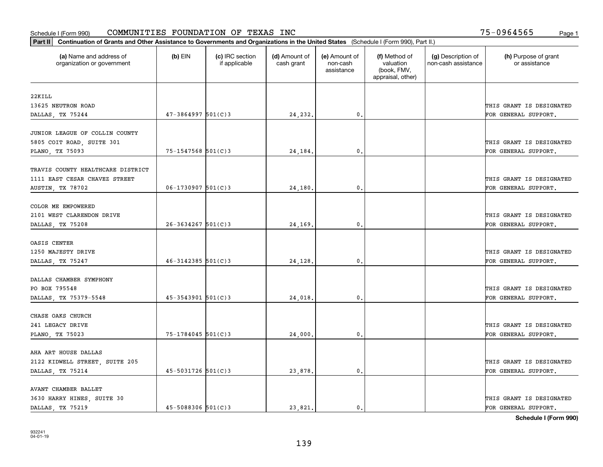| Part II   Continuation of Grants and Other Assistance to Governments and Organizations in the United States (Schedule I (Form 990), Part II.) |                        |                                  |                             |                                         |                                                                |                                           |                                       |
|-----------------------------------------------------------------------------------------------------------------------------------------------|------------------------|----------------------------------|-----------------------------|-----------------------------------------|----------------------------------------------------------------|-------------------------------------------|---------------------------------------|
| (a) Name and address of<br>organization or government                                                                                         | $(b)$ EIN              | (c) IRC section<br>if applicable | (d) Amount of<br>cash grant | (e) Amount of<br>non-cash<br>assistance | (f) Method of<br>valuation<br>(book, FMV,<br>appraisal, other) | (g) Description of<br>non-cash assistance | (h) Purpose of grant<br>or assistance |
| 22KILL                                                                                                                                        |                        |                                  |                             |                                         |                                                                |                                           |                                       |
| 13625 NEUTRON ROAD                                                                                                                            |                        |                                  |                             |                                         |                                                                |                                           | THIS GRANT IS DESIGNATED              |
| DALLAS, TX 75244                                                                                                                              | $47 - 3864997$ 501(C)3 |                                  | 24,232.                     | $\mathfrak{o}$ .                        |                                                                |                                           | FOR GENERAL SUPPORT.                  |
|                                                                                                                                               |                        |                                  |                             |                                         |                                                                |                                           |                                       |
| JUNIOR LEAGUE OF COLLIN COUNTY                                                                                                                |                        |                                  |                             |                                         |                                                                |                                           |                                       |
| 5805 COIT ROAD, SUITE 301                                                                                                                     |                        |                                  |                             |                                         |                                                                |                                           | THIS GRANT IS DESIGNATED              |
| PLANO, TX 75093                                                                                                                               | $75 - 1547568$ 501(C)3 |                                  | 24,184.                     | 0.                                      |                                                                |                                           | FOR GENERAL SUPPORT.                  |
|                                                                                                                                               |                        |                                  |                             |                                         |                                                                |                                           |                                       |
| TRAVIS COUNTY HEALTHCARE DISTRICT<br>1111 EAST CESAR CHAVEZ STREET                                                                            |                        |                                  |                             |                                         |                                                                |                                           | THIS GRANT IS DESIGNATED              |
| AUSTIN, TX 78702                                                                                                                              | $06 - 1730907$ 501(C)3 |                                  | 24,180.                     | $\mathbf{0}$ .                          |                                                                |                                           | FOR GENERAL SUPPORT.                  |
|                                                                                                                                               |                        |                                  |                             |                                         |                                                                |                                           |                                       |
| COLOR ME EMPOWERED                                                                                                                            |                        |                                  |                             |                                         |                                                                |                                           |                                       |
| 2101 WEST CLARENDON DRIVE                                                                                                                     |                        |                                  |                             |                                         |                                                                |                                           | THIS GRANT IS DESIGNATED              |
| DALLAS, TX 75208                                                                                                                              | $26 - 3634267$ 501(C)3 |                                  | 24,169.                     | 0.                                      |                                                                |                                           | FOR GENERAL SUPPORT.                  |
|                                                                                                                                               |                        |                                  |                             |                                         |                                                                |                                           |                                       |
| OASIS CENTER                                                                                                                                  |                        |                                  |                             |                                         |                                                                |                                           |                                       |
| 1250 MAJESTY DRIVE                                                                                                                            |                        |                                  |                             |                                         |                                                                |                                           | THIS GRANT IS DESIGNATED              |
| DALLAS, TX 75247                                                                                                                              | $46 - 3142385$ 501(C)3 |                                  | 24,128.                     | $\mathbf{0}$                            |                                                                |                                           | FOR GENERAL SUPPORT.                  |
| DALLAS CHAMBER SYMPHONY                                                                                                                       |                        |                                  |                             |                                         |                                                                |                                           |                                       |
| PO BOX 795548                                                                                                                                 |                        |                                  |                             |                                         |                                                                |                                           | THIS GRANT IS DESIGNATED              |
| DALLAS, TX 75379-5548                                                                                                                         | $45 - 3543901$ 501(C)3 |                                  | 24,018.                     | 0.                                      |                                                                |                                           | FOR GENERAL SUPPORT.                  |
|                                                                                                                                               |                        |                                  |                             |                                         |                                                                |                                           |                                       |
| CHASE OAKS CHURCH                                                                                                                             |                        |                                  |                             |                                         |                                                                |                                           |                                       |
| 241 LEGACY DRIVE                                                                                                                              |                        |                                  |                             |                                         |                                                                |                                           | THIS GRANT IS DESIGNATED              |
| PLANO, TX 75023                                                                                                                               | 75-1784045 501(C)3     |                                  | 24,000                      | $^{\rm 0}$ .                            |                                                                |                                           | FOR GENERAL SUPPORT.                  |
|                                                                                                                                               |                        |                                  |                             |                                         |                                                                |                                           |                                       |
| AHA ART HOUSE DALLAS                                                                                                                          |                        |                                  |                             |                                         |                                                                |                                           |                                       |
| 2122 KIDWELL STREET, SUITE 205                                                                                                                |                        |                                  |                             |                                         |                                                                |                                           | THIS GRANT IS DESIGNATED              |
| DALLAS, TX 75214                                                                                                                              | $45 - 5031726$ 501(C)3 |                                  | 23,878.                     | $\mathfrak{o}$ .                        |                                                                |                                           | FOR GENERAL SUPPORT.                  |
| AVANT CHAMBER BALLET                                                                                                                          |                        |                                  |                             |                                         |                                                                |                                           |                                       |
| 3630 HARRY HINES, SUITE 30                                                                                                                    |                        |                                  |                             |                                         |                                                                |                                           | THIS GRANT IS DESIGNATED              |
| DALLAS, TX 75219                                                                                                                              | $45 - 5088306$ 501(C)3 |                                  | 23.821.                     | $\mathbf{0}$ .                          |                                                                |                                           | FOR GENERAL SUPPORT.                  |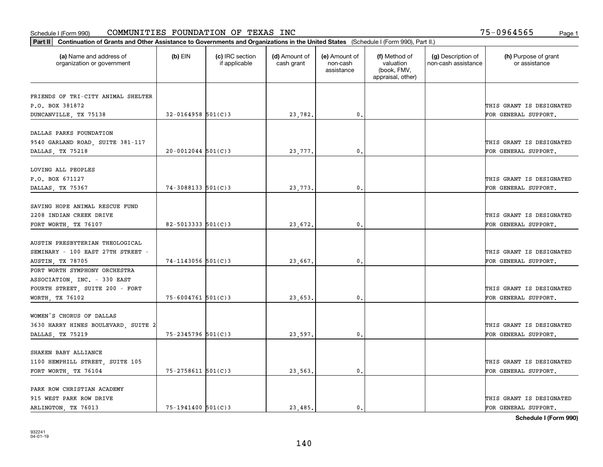| Part II   Continuation of Grants and Other Assistance to Governments and Organizations in the United States (Schedule I (Form 990), Part II.) |                          |                                  |                             |                                         |                                                                |                                           |                                       |
|-----------------------------------------------------------------------------------------------------------------------------------------------|--------------------------|----------------------------------|-----------------------------|-----------------------------------------|----------------------------------------------------------------|-------------------------------------------|---------------------------------------|
| (a) Name and address of<br>organization or government                                                                                         | $(b)$ EIN                | (c) IRC section<br>if applicable | (d) Amount of<br>cash grant | (e) Amount of<br>non-cash<br>assistance | (f) Method of<br>valuation<br>(book, FMV,<br>appraisal, other) | (g) Description of<br>non-cash assistance | (h) Purpose of grant<br>or assistance |
|                                                                                                                                               |                          |                                  |                             |                                         |                                                                |                                           |                                       |
| FRIENDS OF TRI-CITY ANIMAL SHELTER<br>P.O. BOX 381872                                                                                         |                          |                                  |                             |                                         |                                                                |                                           | THIS GRANT IS DESIGNATED              |
| DUNCANVILLE, TX 75138                                                                                                                         | $32 - 0164958$ 501(C)3   |                                  | 23,782.                     | $\mathfrak{o}$ .                        |                                                                |                                           | FOR GENERAL SUPPORT.                  |
|                                                                                                                                               |                          |                                  |                             |                                         |                                                                |                                           |                                       |
| DALLAS PARKS FOUNDATION                                                                                                                       |                          |                                  |                             |                                         |                                                                |                                           |                                       |
| 9540 GARLAND ROAD, SUITE 381-117                                                                                                              |                          |                                  |                             |                                         |                                                                |                                           | THIS GRANT IS DESIGNATED              |
| DALLAS, TX 75218                                                                                                                              | $20 - 0012044$ 501(C)3   |                                  | 23,777.                     | 0.                                      |                                                                |                                           | FOR GENERAL SUPPORT.                  |
|                                                                                                                                               |                          |                                  |                             |                                         |                                                                |                                           |                                       |
| LOVING ALL PEOPLES                                                                                                                            |                          |                                  |                             |                                         |                                                                |                                           |                                       |
| P.O. BOX 671127                                                                                                                               |                          |                                  |                             |                                         |                                                                |                                           | THIS GRANT IS DESIGNATED              |
| DALLAS, TX 75367                                                                                                                              | $74 - 3088133$ 501(C)3   |                                  | 23,773.                     | $\mathfrak{o}$ .                        |                                                                |                                           | FOR GENERAL SUPPORT.                  |
|                                                                                                                                               |                          |                                  |                             |                                         |                                                                |                                           |                                       |
| SAVING HOPE ANIMAL RESCUE FUND                                                                                                                |                          |                                  |                             |                                         |                                                                |                                           |                                       |
| 2208 INDIAN CREEK DRIVE                                                                                                                       | $82 - 5013333$ $501(C)3$ |                                  |                             | $\mathbf{0}$                            |                                                                |                                           | THIS GRANT IS DESIGNATED              |
| FORT WORTH, TX 76107                                                                                                                          |                          |                                  | 23,672.                     |                                         |                                                                |                                           | FOR GENERAL SUPPORT.                  |
| AUSTIN PRESBYTERIAN THEOLOGICAL                                                                                                               |                          |                                  |                             |                                         |                                                                |                                           |                                       |
| SEMINARY - 100 EAST 27TH STREET -                                                                                                             |                          |                                  |                             |                                         |                                                                |                                           | THIS GRANT IS DESIGNATED              |
| AUSTIN, TX 78705                                                                                                                              | $74 - 1143056$ 501(C)3   |                                  | 23,667.                     | $\mathbf{0}$                            |                                                                |                                           | FOR GENERAL SUPPORT.                  |
| FORT WORTH SYMPHONY ORCHESTRA                                                                                                                 |                          |                                  |                             |                                         |                                                                |                                           |                                       |
| ASSOCIATION, INC. - 330 EAST                                                                                                                  |                          |                                  |                             |                                         |                                                                |                                           |                                       |
| FOURTH STREET, SUITE 200 - FORT                                                                                                               |                          |                                  |                             |                                         |                                                                |                                           | THIS GRANT IS DESIGNATED              |
| WORTH, TX 76102                                                                                                                               | $75 - 6004761$ 501(C)3   |                                  | 23,653.                     | $\mathbf{0}$ .                          |                                                                |                                           | FOR GENERAL SUPPORT.                  |
|                                                                                                                                               |                          |                                  |                             |                                         |                                                                |                                           |                                       |
| WOMEN'S CHORUS OF DALLAS                                                                                                                      |                          |                                  |                             |                                         |                                                                |                                           |                                       |
| 3630 HARRY HINES BOULEVARD, SUITE 2                                                                                                           |                          |                                  |                             |                                         |                                                                |                                           | THIS GRANT IS DESIGNATED              |
| DALLAS, TX 75219                                                                                                                              | 75-2345796 501(C)3       |                                  | 23,597.                     | $^{\circ}$ .                            |                                                                |                                           | FOR GENERAL SUPPORT.                  |
|                                                                                                                                               |                          |                                  |                             |                                         |                                                                |                                           |                                       |
| SHAKEN BABY ALLIANCE                                                                                                                          |                          |                                  |                             |                                         |                                                                |                                           |                                       |
| 1100 HEMPHILL STREET, SUITE 105                                                                                                               |                          |                                  |                             |                                         |                                                                |                                           | THIS GRANT IS DESIGNATED              |
| FORT WORTH, TX 76104                                                                                                                          | 75-2758611 501(C)3       |                                  | 23,563.                     | $\mathbf{0}$ .                          |                                                                |                                           | FOR GENERAL SUPPORT.                  |
| PARK ROW CHRISTIAN ACADEMY                                                                                                                    |                          |                                  |                             |                                         |                                                                |                                           |                                       |
| 915 WEST PARK ROW DRIVE                                                                                                                       |                          |                                  |                             |                                         |                                                                |                                           | THIS GRANT IS DESIGNATED              |
| ARLINGTON, TX 76013                                                                                                                           | $75 - 1941400$ 501(C)3   |                                  | 23,485.                     | $\mathbf{0}$ .                          |                                                                |                                           | FOR GENERAL SUPPORT.                  |
|                                                                                                                                               |                          |                                  |                             |                                         |                                                                |                                           |                                       |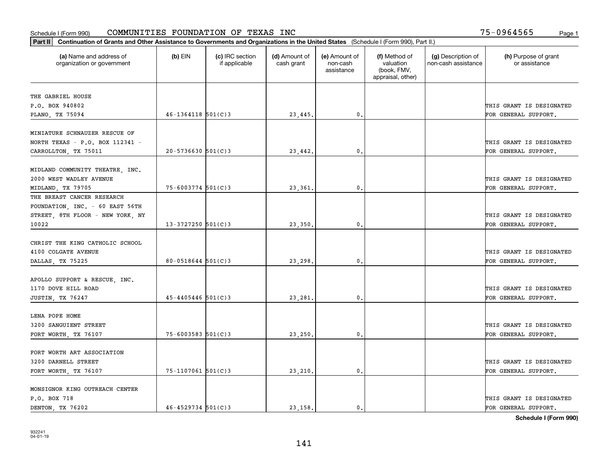| Part II   Continuation of Grants and Other Assistance to Governments and Organizations in the United States (Schedule I (Form 990), Part II.) |                        |                                  |                             |                                         |                                                                |                                           |                                                  |
|-----------------------------------------------------------------------------------------------------------------------------------------------|------------------------|----------------------------------|-----------------------------|-----------------------------------------|----------------------------------------------------------------|-------------------------------------------|--------------------------------------------------|
| (a) Name and address of<br>organization or government                                                                                         | $(b)$ EIN              | (c) IRC section<br>if applicable | (d) Amount of<br>cash grant | (e) Amount of<br>non-cash<br>assistance | (f) Method of<br>valuation<br>(book, FMV,<br>appraisal, other) | (g) Description of<br>non-cash assistance | (h) Purpose of grant<br>or assistance            |
| THE GABRIEL HOUSE                                                                                                                             |                        |                                  |                             |                                         |                                                                |                                           |                                                  |
| P.O. BOX 940802                                                                                                                               |                        |                                  |                             |                                         |                                                                |                                           | THIS GRANT IS DESIGNATED                         |
| PLANO, TX 75094                                                                                                                               | $46 - 1364118$ 501(C)3 |                                  | 23,445.                     | 0.                                      |                                                                |                                           | FOR GENERAL SUPPORT.                             |
|                                                                                                                                               |                        |                                  |                             |                                         |                                                                |                                           |                                                  |
| MINIATURE SCHNAUZER RESCUE OF                                                                                                                 |                        |                                  |                             |                                         |                                                                |                                           |                                                  |
| NORTH TEXAS - P.O. BOX 112341 -                                                                                                               | $20 - 5736630$ 501(C)3 |                                  | 23,442.                     | 0.                                      |                                                                |                                           | THIS GRANT IS DESIGNATED<br>FOR GENERAL SUPPORT. |
| CARROLLTON, TX 75011                                                                                                                          |                        |                                  |                             |                                         |                                                                |                                           |                                                  |
| MIDLAND COMMUNITY THEATRE, INC.                                                                                                               |                        |                                  |                             |                                         |                                                                |                                           |                                                  |
| 2000 WEST WADLEY AVENUE                                                                                                                       |                        |                                  |                             |                                         |                                                                |                                           | THIS GRANT IS DESIGNATED                         |
| MIDLAND, TX 79705                                                                                                                             | $75 - 6003774$ 501(C)3 |                                  | 23,361                      | $\mathfrak{o}$ .                        |                                                                |                                           | FOR GENERAL SUPPORT.                             |
| THE BREAST CANCER RESEARCH                                                                                                                    |                        |                                  |                             |                                         |                                                                |                                           |                                                  |
| FOUNDATION, INC. - 60 EAST 56TH                                                                                                               |                        |                                  |                             |                                         |                                                                |                                           |                                                  |
| STREET, 8TH FLOOR - NEW YORK, NY                                                                                                              |                        |                                  |                             |                                         |                                                                |                                           | THIS GRANT IS DESIGNATED                         |
| 10022                                                                                                                                         | $13 - 3727250$ 501(C)3 |                                  | 23,350.                     | 0.                                      |                                                                |                                           | FOR GENERAL SUPPORT.                             |
| CHRIST THE KING CATHOLIC SCHOOL                                                                                                               |                        |                                  |                             |                                         |                                                                |                                           |                                                  |
| 4100 COLGATE AVENUE                                                                                                                           |                        |                                  |                             |                                         |                                                                |                                           | THIS GRANT IS DESIGNATED                         |
| DALLAS, TX 75225                                                                                                                              | $80 - 0518644$ 501(C)3 |                                  | 23,298.                     | 0                                       |                                                                |                                           | FOR GENERAL SUPPORT.                             |
|                                                                                                                                               |                        |                                  |                             |                                         |                                                                |                                           |                                                  |
| APOLLO SUPPORT & RESCUE, INC.                                                                                                                 |                        |                                  |                             |                                         |                                                                |                                           |                                                  |
| 1170 DOVE HILL ROAD                                                                                                                           |                        |                                  |                             |                                         |                                                                |                                           | THIS GRANT IS DESIGNATED                         |
| JUSTIN, TX 76247                                                                                                                              | $45 - 4405446$ 501(C)3 |                                  | 23,281                      | $\mathbf{0}$                            |                                                                |                                           | FOR GENERAL SUPPORT.                             |
|                                                                                                                                               |                        |                                  |                             |                                         |                                                                |                                           |                                                  |
| LENA POPE HOME                                                                                                                                |                        |                                  |                             |                                         |                                                                |                                           |                                                  |
| 3200 SANGUIENT STREET                                                                                                                         |                        |                                  |                             |                                         |                                                                |                                           | THIS GRANT IS DESIGNATED                         |
| FORT WORTH, TX 76107                                                                                                                          | $75 - 6003583$ 501(C)3 |                                  | 23,250                      | $\mathbf{0}$ .                          |                                                                |                                           | FOR GENERAL SUPPORT.                             |
| FORT WORTH ART ASSOCIATION                                                                                                                    |                        |                                  |                             |                                         |                                                                |                                           |                                                  |
| 3200 DARNELL STREET                                                                                                                           |                        |                                  |                             |                                         |                                                                |                                           | THIS GRANT IS DESIGNATED                         |
| FORT WORTH, TX 76107                                                                                                                          | $75 - 1107061$ 501(C)3 |                                  | 23,210.                     | $\mathfrak{o}$ .                        |                                                                |                                           | FOR GENERAL SUPPORT.                             |
|                                                                                                                                               |                        |                                  |                             |                                         |                                                                |                                           |                                                  |
| MONSIGNOR KING OUTREACH CENTER                                                                                                                |                        |                                  |                             |                                         |                                                                |                                           |                                                  |
| P.O. BOX 718                                                                                                                                  |                        |                                  |                             |                                         |                                                                |                                           | THIS GRANT IS DESIGNATED                         |
| DENTON, TX 76202                                                                                                                              | $46 - 4529734$ 501(C)3 |                                  | 23.158.                     | $\mathfrak{o}$ .                        |                                                                |                                           | FOR GENERAL SUPPORT.                             |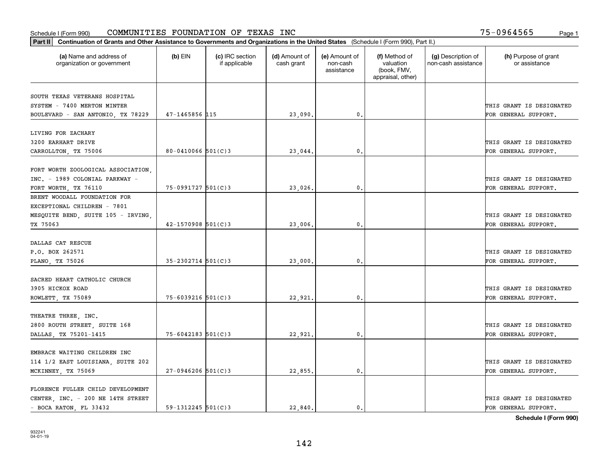| Part II   Continuation of Grants and Other Assistance to Governments and Organizations in the United States (Schedule I (Form 990), Part II.) |                        |                                  |                             |                                         |                                                                |                                           |                                       |
|-----------------------------------------------------------------------------------------------------------------------------------------------|------------------------|----------------------------------|-----------------------------|-----------------------------------------|----------------------------------------------------------------|-------------------------------------------|---------------------------------------|
| (a) Name and address of<br>organization or government                                                                                         | $(b)$ EIN              | (c) IRC section<br>if applicable | (d) Amount of<br>cash grant | (e) Amount of<br>non-cash<br>assistance | (f) Method of<br>valuation<br>(book, FMV,<br>appraisal, other) | (g) Description of<br>non-cash assistance | (h) Purpose of grant<br>or assistance |
| SOUTH TEXAS VETERANS HOSPITAL                                                                                                                 |                        |                                  |                             |                                         |                                                                |                                           |                                       |
| SYSTEM - 7400 MERTON MINTER                                                                                                                   |                        |                                  |                             |                                         |                                                                |                                           | THIS GRANT IS DESIGNATED              |
| BOULEVARD - SAN ANTONIO, TX 78229                                                                                                             | 47-1465856 115         |                                  | 23,090.                     | $\mathbf{0}$ .                          |                                                                |                                           | FOR GENERAL SUPPORT.                  |
|                                                                                                                                               |                        |                                  |                             |                                         |                                                                |                                           |                                       |
| LIVING FOR ZACHARY                                                                                                                            |                        |                                  |                             |                                         |                                                                |                                           |                                       |
| 3200 EARHART DRIVE                                                                                                                            |                        |                                  |                             |                                         |                                                                |                                           | THIS GRANT IS DESIGNATED              |
| CARROLLTON, TX 75006                                                                                                                          | $80 - 0410066$ 501(C)3 |                                  | 23,044.                     | 0.                                      |                                                                |                                           | FOR GENERAL SUPPORT.                  |
|                                                                                                                                               |                        |                                  |                             |                                         |                                                                |                                           |                                       |
| FORT WORTH ZOOLOGICAL ASSOCIATION,                                                                                                            |                        |                                  |                             |                                         |                                                                |                                           |                                       |
| INC. - 1989 COLONIAL PARKWAY -                                                                                                                |                        |                                  |                             |                                         |                                                                |                                           | THIS GRANT IS DESIGNATED              |
| FORT WORTH, TX 76110                                                                                                                          | $75-0991727$ 501(C)3   |                                  | 23,026.                     | $\mathfrak{o}$ .                        |                                                                |                                           | FOR GENERAL SUPPORT.                  |
| BRENT WOODALL FOUNDATION FOR                                                                                                                  |                        |                                  |                             |                                         |                                                                |                                           |                                       |
| EXCEPTIONAL CHILDREN - 7801                                                                                                                   |                        |                                  |                             |                                         |                                                                |                                           |                                       |
| MESQUITE BEND, SUITE 105 - IRVING,                                                                                                            |                        |                                  |                             |                                         |                                                                |                                           | THIS GRANT IS DESIGNATED              |
| TX 75063                                                                                                                                      | $42 - 1570908$ 501(C)3 |                                  | 23,006.                     | $\mathbf{0}$                            |                                                                |                                           | FOR GENERAL SUPPORT.                  |
|                                                                                                                                               |                        |                                  |                             |                                         |                                                                |                                           |                                       |
| DALLAS CAT RESCUE                                                                                                                             |                        |                                  |                             |                                         |                                                                |                                           |                                       |
| P.O. BOX 262571                                                                                                                               |                        |                                  |                             |                                         |                                                                |                                           | THIS GRANT IS DESIGNATED              |
| PLANO, TX 75026                                                                                                                               | $35 - 2302714$ 501(C)3 |                                  | 23,000.                     | $\mathbf{0}$                            |                                                                |                                           | FOR GENERAL SUPPORT.                  |
| SACRED HEART CATHOLIC CHURCH                                                                                                                  |                        |                                  |                             |                                         |                                                                |                                           |                                       |
| 3905 HICKOX ROAD                                                                                                                              |                        |                                  |                             |                                         |                                                                |                                           | THIS GRANT IS DESIGNATED              |
| ROWLETT, TX 75089                                                                                                                             | $75 - 6039216$ 501(C)3 |                                  | 22,921                      | $\mathbf{0}$                            |                                                                |                                           | FOR GENERAL SUPPORT.                  |
|                                                                                                                                               |                        |                                  |                             |                                         |                                                                |                                           |                                       |
| THEATRE THREE, INC.                                                                                                                           |                        |                                  |                             |                                         |                                                                |                                           |                                       |
| 2800 ROUTH STREET, SUITE 168                                                                                                                  |                        |                                  |                             |                                         |                                                                |                                           | THIS GRANT IS DESIGNATED              |
| DALLAS, TX 75201-1415                                                                                                                         | $75 - 6042183$ 501(C)3 |                                  | 22,921                      | $^{\circ}$ .                            |                                                                |                                           | FOR GENERAL SUPPORT.                  |
|                                                                                                                                               |                        |                                  |                             |                                         |                                                                |                                           |                                       |
| EMBRACE WAITING CHILDREN INC                                                                                                                  |                        |                                  |                             |                                         |                                                                |                                           |                                       |
| 114 1/2 EAST LOUISIANA, SUITE 202                                                                                                             |                        |                                  |                             |                                         |                                                                |                                           | THIS GRANT IS DESIGNATED              |
| MCKINNEY, TX 75069                                                                                                                            | $27-0946206$ 501(C)3   |                                  | 22,855.                     | $\mathbf{0}$ .                          |                                                                |                                           | FOR GENERAL SUPPORT.                  |
|                                                                                                                                               |                        |                                  |                             |                                         |                                                                |                                           |                                       |
| FLORENCE FULLER CHILD DEVELOPMENT                                                                                                             |                        |                                  |                             |                                         |                                                                |                                           |                                       |
| CENTER, INC. - 200 NE 14TH STREET                                                                                                             |                        |                                  |                             |                                         |                                                                |                                           | THIS GRANT IS DESIGNATED              |
| - BOCA RATON, FL 33432                                                                                                                        | $59 - 1312245$ 501(C)3 |                                  | 22.840.                     | $\mathbf{0}$ .                          |                                                                |                                           | FOR GENERAL SUPPORT.                  |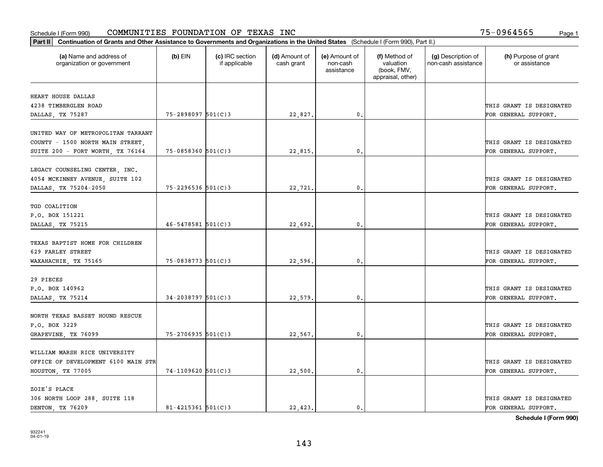| Part II   Continuation of Grants and Other Assistance to Governments and Organizations in the United States (Schedule I (Form 990), Part II.) |                          |                                  |                             |                                         |                                                                |                                           |                                       |
|-----------------------------------------------------------------------------------------------------------------------------------------------|--------------------------|----------------------------------|-----------------------------|-----------------------------------------|----------------------------------------------------------------|-------------------------------------------|---------------------------------------|
| (a) Name and address of<br>organization or government                                                                                         | $(b)$ EIN                | (c) IRC section<br>if applicable | (d) Amount of<br>cash grant | (e) Amount of<br>non-cash<br>assistance | (f) Method of<br>valuation<br>(book, FMV,<br>appraisal, other) | (g) Description of<br>non-cash assistance | (h) Purpose of grant<br>or assistance |
|                                                                                                                                               |                          |                                  |                             |                                         |                                                                |                                           |                                       |
| HEART HOUSE DALLAS<br>4238 TIMBERGLEN ROAD                                                                                                    |                          |                                  |                             |                                         |                                                                |                                           | THIS GRANT IS DESIGNATED              |
| DALLAS, TX 75287                                                                                                                              | 75-2898097 501(C)3       |                                  | 22,827.                     | 0.                                      |                                                                |                                           | FOR GENERAL SUPPORT.                  |
|                                                                                                                                               |                          |                                  |                             |                                         |                                                                |                                           |                                       |
| UNITED WAY OF METROPOLITAN TARRANT                                                                                                            |                          |                                  |                             |                                         |                                                                |                                           |                                       |
| COUNTY - 1500 NORTH MAIN STREET,                                                                                                              |                          |                                  |                             |                                         |                                                                |                                           | THIS GRANT IS DESIGNATED              |
| SUITE 200 - FORT WORTH, TX 76164                                                                                                              | $75 - 0858360$ $501(C)3$ |                                  | 22,815.                     | 0.                                      |                                                                |                                           | FOR GENERAL SUPPORT.                  |
|                                                                                                                                               |                          |                                  |                             |                                         |                                                                |                                           |                                       |
| LEGACY COUNSELING CENTER, INC.                                                                                                                |                          |                                  |                             |                                         |                                                                |                                           |                                       |
| 4054 MCKINNEY AVENUE, SUITE 102                                                                                                               |                          |                                  |                             |                                         |                                                                |                                           | THIS GRANT IS DESIGNATED              |
| DALLAS, TX 75204-2050                                                                                                                         | $75 - 2296536$ 501(C)3   |                                  | 22,721.                     | 0.                                      |                                                                |                                           | FOR GENERAL SUPPORT.                  |
|                                                                                                                                               |                          |                                  |                             |                                         |                                                                |                                           |                                       |
| TGD COALITION                                                                                                                                 |                          |                                  |                             |                                         |                                                                |                                           |                                       |
| P.O. BOX 151221                                                                                                                               |                          |                                  |                             |                                         |                                                                |                                           | THIS GRANT IS DESIGNATED              |
| DALLAS, TX 75215                                                                                                                              | $46 - 5478581$ 501(C)3   |                                  | 22,692.                     | 0.                                      |                                                                |                                           | FOR GENERAL SUPPORT.                  |
|                                                                                                                                               |                          |                                  |                             |                                         |                                                                |                                           |                                       |
| TEXAS BAPTIST HOME FOR CHILDREN                                                                                                               |                          |                                  |                             |                                         |                                                                |                                           |                                       |
| 629 FARLEY STREET                                                                                                                             |                          |                                  |                             |                                         |                                                                |                                           | THIS GRANT IS DESIGNATED              |
| WAXAHACHIE, TX 75165                                                                                                                          | $75 - 0838773$ 501(C)3   |                                  | 22,596.                     | 0.                                      |                                                                |                                           | FOR GENERAL SUPPORT.                  |
|                                                                                                                                               |                          |                                  |                             |                                         |                                                                |                                           |                                       |
| 29 PIECES                                                                                                                                     |                          |                                  |                             |                                         |                                                                |                                           |                                       |
| P.O. BOX 140962                                                                                                                               |                          |                                  |                             |                                         |                                                                |                                           | THIS GRANT IS DESIGNATED              |
| DALLAS, TX 75214                                                                                                                              | $34 - 2038797$ 501(C)3   |                                  | 22,579                      | 0.                                      |                                                                |                                           | FOR GENERAL SUPPORT.                  |
| NORTH TEXAS BASSET HOUND RESCUE                                                                                                               |                          |                                  |                             |                                         |                                                                |                                           |                                       |
| P.O. BOX 3229                                                                                                                                 |                          |                                  |                             |                                         |                                                                |                                           | THIS GRANT IS DESIGNATED              |
|                                                                                                                                               | 75-2706935 501(C)3       |                                  |                             | 0.                                      |                                                                |                                           | FOR GENERAL SUPPORT.                  |
| GRAPEVINE, TX 76099                                                                                                                           |                          |                                  | 22,567.                     |                                         |                                                                |                                           |                                       |
| WILLIAM MARSH RICE UNIVERSITY                                                                                                                 |                          |                                  |                             |                                         |                                                                |                                           |                                       |
| OFFICE OF DEVELOPMENT 6100 MAIN STR                                                                                                           |                          |                                  |                             |                                         |                                                                |                                           | THIS GRANT IS DESIGNATED              |
| HOUSTON, TX 77005                                                                                                                             | $74 - 1109620$ 501(C)3   |                                  | 22,500                      | 0.                                      |                                                                |                                           | FOR GENERAL SUPPORT.                  |
|                                                                                                                                               |                          |                                  |                             |                                         |                                                                |                                           |                                       |
| ZOIE'S PLACE                                                                                                                                  |                          |                                  |                             |                                         |                                                                |                                           |                                       |
| 306 NORTH LOOP 288, SUITE 118                                                                                                                 |                          |                                  |                             |                                         |                                                                |                                           | THIS GRANT IS DESIGNATED              |
| DENTON, TX 76209                                                                                                                              | 81-4215361 $501(C)$ 3    |                                  | 22,423.                     | $\mathbf{0}$ .                          |                                                                |                                           | FOR GENERAL SUPPORT.                  |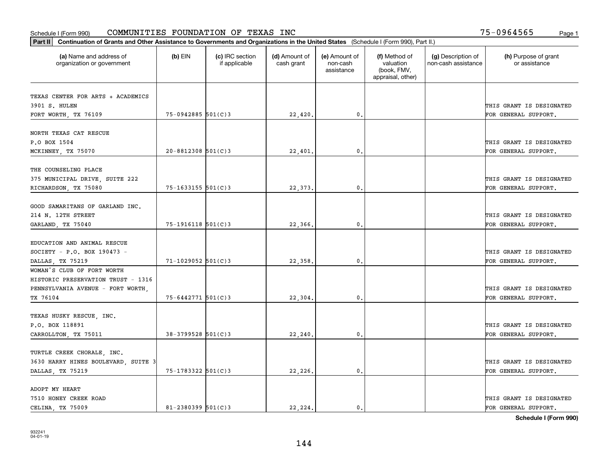| Part II   Continuation of Grants and Other Assistance to Governments and Organizations in the United States (Schedule I (Form 990), Part II.) |                        |                                  |                             |                                         |                                                                |                                           |                                       |
|-----------------------------------------------------------------------------------------------------------------------------------------------|------------------------|----------------------------------|-----------------------------|-----------------------------------------|----------------------------------------------------------------|-------------------------------------------|---------------------------------------|
| (a) Name and address of<br>organization or government                                                                                         | $(b)$ EIN              | (c) IRC section<br>if applicable | (d) Amount of<br>cash grant | (e) Amount of<br>non-cash<br>assistance | (f) Method of<br>valuation<br>(book, FMV,<br>appraisal, other) | (g) Description of<br>non-cash assistance | (h) Purpose of grant<br>or assistance |
|                                                                                                                                               |                        |                                  |                             |                                         |                                                                |                                           |                                       |
| TEXAS CENTER FOR ARTS + ACADEMICS<br>3901 S. HULEN                                                                                            |                        |                                  |                             |                                         |                                                                |                                           | THIS GRANT IS DESIGNATED              |
| FORT WORTH, TX 76109                                                                                                                          | $75-0942885$ 501(C)3   |                                  | 22,420.                     | 0.                                      |                                                                |                                           | FOR GENERAL SUPPORT.                  |
|                                                                                                                                               |                        |                                  |                             |                                         |                                                                |                                           |                                       |
| NORTH TEXAS CAT RESCUE                                                                                                                        |                        |                                  |                             |                                         |                                                                |                                           |                                       |
| P.O BOX 1504                                                                                                                                  |                        |                                  |                             |                                         |                                                                |                                           | THIS GRANT IS DESIGNATED              |
| MCKINNEY, TX 75070                                                                                                                            | $20 - 8812308$ 501(C)3 |                                  | 22,401                      | 0.                                      |                                                                |                                           | FOR GENERAL SUPPORT.                  |
|                                                                                                                                               |                        |                                  |                             |                                         |                                                                |                                           |                                       |
| THE COUNSELING PLACE                                                                                                                          |                        |                                  |                             |                                         |                                                                |                                           |                                       |
| 375 MUNICIPAL DRIVE, SUITE 222                                                                                                                |                        |                                  |                             |                                         |                                                                |                                           | THIS GRANT IS DESIGNATED              |
| RICHARDSON, TX 75080                                                                                                                          | $75 - 1633155$ 501(C)3 |                                  | 22,373.                     | 0.                                      |                                                                |                                           | FOR GENERAL SUPPORT.                  |
|                                                                                                                                               |                        |                                  |                             |                                         |                                                                |                                           |                                       |
| GOOD SAMARITANS OF GARLAND INC.                                                                                                               |                        |                                  |                             |                                         |                                                                |                                           |                                       |
| 214 N. 12TH STREET                                                                                                                            |                        |                                  |                             |                                         |                                                                |                                           | THIS GRANT IS DESIGNATED              |
| GARLAND, TX 75040                                                                                                                             | $75-1916118$ $501(C)3$ |                                  | 22,366.                     | $\mathfrak{o}$ .                        |                                                                |                                           | FOR GENERAL SUPPORT.                  |
|                                                                                                                                               |                        |                                  |                             |                                         |                                                                |                                           |                                       |
| EDUCATION AND ANIMAL RESCUE                                                                                                                   |                        |                                  |                             |                                         |                                                                |                                           |                                       |
| SOCIETY - P.O. BOX 190473 -                                                                                                                   |                        |                                  |                             |                                         |                                                                |                                           | THIS GRANT IS DESIGNATED              |
| DALLAS, TX 75219                                                                                                                              | $71 - 1029052$ 501(C)3 |                                  | 22,358.                     | 0.                                      |                                                                |                                           | FOR GENERAL SUPPORT.                  |
| WOMAN'S CLUB OF FORT WORTH                                                                                                                    |                        |                                  |                             |                                         |                                                                |                                           |                                       |
| HISTORIC PRESERVATION TRUST - 1316                                                                                                            |                        |                                  |                             |                                         |                                                                |                                           |                                       |
| PENNSYLVANIA AVENUE - FORT WORTH,                                                                                                             |                        |                                  |                             |                                         |                                                                |                                           | THIS GRANT IS DESIGNATED              |
| TX 76104                                                                                                                                      | $75 - 6442771$ 501(C)3 |                                  | 22,304.                     | $\mathfrak{o}$ .                        |                                                                |                                           | FOR GENERAL SUPPORT.                  |
|                                                                                                                                               |                        |                                  |                             |                                         |                                                                |                                           |                                       |
| TEXAS HUSKY RESCUE, INC.                                                                                                                      |                        |                                  |                             |                                         |                                                                |                                           |                                       |
| P.O. BOX 118891                                                                                                                               |                        |                                  |                             |                                         |                                                                |                                           | THIS GRANT IS DESIGNATED              |
| CARROLLTON, TX 75011                                                                                                                          | $38 - 3799528$ 501(C)3 |                                  | 22, 240.                    | $\mathbf{0}$ .                          |                                                                |                                           | FOR GENERAL SUPPORT.                  |
|                                                                                                                                               |                        |                                  |                             |                                         |                                                                |                                           |                                       |
| TURTLE CREEK CHORALE, INC.                                                                                                                    |                        |                                  |                             |                                         |                                                                |                                           |                                       |
| 3630 HARRY HINES BOULEVARD, SUITE 3                                                                                                           |                        |                                  |                             |                                         |                                                                |                                           | THIS GRANT IS DESIGNATED              |
| DALLAS, TX 75219                                                                                                                              | 75-1783322 501(C)3     |                                  | 22,226.                     | $\mathbf{0}$ .                          |                                                                |                                           | FOR GENERAL SUPPORT.                  |
|                                                                                                                                               |                        |                                  |                             |                                         |                                                                |                                           |                                       |
| ADOPT MY HEART                                                                                                                                |                        |                                  |                             |                                         |                                                                |                                           |                                       |
| 7510 HONEY CREEK ROAD                                                                                                                         |                        |                                  |                             |                                         |                                                                |                                           | THIS GRANT IS DESIGNATED              |
| CELINA, TX 75009                                                                                                                              | $81 - 2380399$ 501(C)3 |                                  | 22, 224.                    | $\mathbf{0}$ .                          |                                                                |                                           | FOR GENERAL SUPPORT.                  |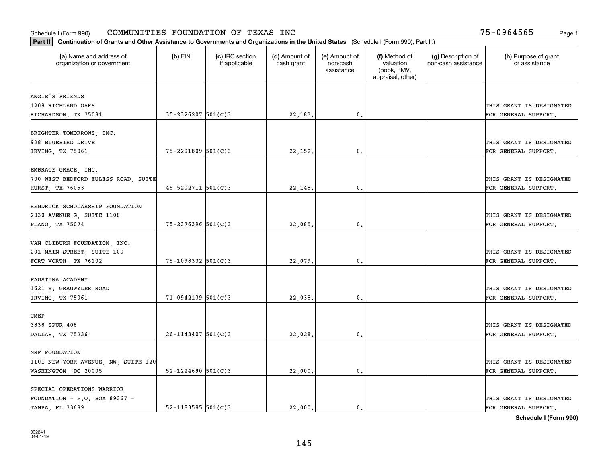| (a) Name and address of<br>organization or government | $(b)$ EIN                | (c) IRC section<br>if applicable | (d) Amount of<br>cash grant | (e) Amount of<br>non-cash<br>assistance | (f) Method of<br>valuation<br>(book, FMV,<br>appraisal, other) | (g) Description of<br>non-cash assistance | (h) Purpose of grant<br>or assistance |
|-------------------------------------------------------|--------------------------|----------------------------------|-----------------------------|-----------------------------------------|----------------------------------------------------------------|-------------------------------------------|---------------------------------------|
| ANGIE'S FRIENDS                                       |                          |                                  |                             |                                         |                                                                |                                           |                                       |
| 1208 RICHLAND OAKS                                    |                          |                                  |                             |                                         |                                                                |                                           | THIS GRANT IS DESIGNATED              |
| RICHARDSON, TX 75081                                  | $35 - 2326207$ 501(C)3   |                                  | 22,183.                     | $\mathbf{0}$ .                          |                                                                |                                           | FOR GENERAL SUPPORT.                  |
|                                                       |                          |                                  |                             |                                         |                                                                |                                           |                                       |
| BRIGHTER TOMORROWS, INC.<br>928 BLUEBIRD DRIVE        |                          |                                  |                             |                                         |                                                                |                                           | THIS GRANT IS DESIGNATED              |
| IRVING, TX 75061                                      | 75-2291809 501(C)3       |                                  | 22,152                      | 0.                                      |                                                                |                                           | FOR GENERAL SUPPORT.                  |
|                                                       |                          |                                  |                             |                                         |                                                                |                                           |                                       |
| EMBRACE GRACE, INC.                                   |                          |                                  |                             |                                         |                                                                |                                           |                                       |
| 700 WEST BEDFORD EULESS ROAD, SUITE                   |                          |                                  |                             |                                         |                                                                |                                           | THIS GRANT IS DESIGNATED              |
| HURST, TX 76053                                       | $45 - 5202711$ $501(C)3$ |                                  | 22,145.                     | $\mathbf{0}$ .                          |                                                                |                                           | FOR GENERAL SUPPORT.                  |
|                                                       |                          |                                  |                             |                                         |                                                                |                                           |                                       |
| HENDRICK SCHOLARSHIP FOUNDATION                       |                          |                                  |                             |                                         |                                                                |                                           |                                       |
| 2030 AVENUE G, SUITE 1108                             |                          |                                  |                             |                                         |                                                                |                                           | THIS GRANT IS DESIGNATED              |
| PLANO, TX 75074                                       | 75-2376396 501(C)3       |                                  | 22,085.                     | 0.                                      |                                                                |                                           | FOR GENERAL SUPPORT.                  |
|                                                       |                          |                                  |                             |                                         |                                                                |                                           |                                       |
| VAN CLIBURN FOUNDATION, INC.                          |                          |                                  |                             |                                         |                                                                |                                           |                                       |
| 201 MAIN STREET, SUITE 100                            |                          |                                  |                             |                                         |                                                                |                                           | THIS GRANT IS DESIGNATED              |
| FORT WORTH, TX 76102                                  | 75-1098332 501(C)3       |                                  | 22,079                      | $\mathfrak o$ .                         |                                                                |                                           | FOR GENERAL SUPPORT.                  |
| FAUSTINA ACADEMY                                      |                          |                                  |                             |                                         |                                                                |                                           |                                       |
| 1621 W. GRAUWYLER ROAD                                |                          |                                  |                             |                                         |                                                                |                                           | THIS GRANT IS DESIGNATED              |
| IRVING, TX 75061                                      | $71-0942139$ 501(C)3     |                                  | 22,038                      | 0.                                      |                                                                |                                           | FOR GENERAL SUPPORT.                  |
|                                                       |                          |                                  |                             |                                         |                                                                |                                           |                                       |
| UMEP                                                  |                          |                                  |                             |                                         |                                                                |                                           |                                       |
| 3838 SPUR 408                                         |                          |                                  |                             |                                         |                                                                |                                           | THIS GRANT IS DESIGNATED              |
| DALLAS, TX 75236                                      | $26 - 1143407$ 501(C) 3  |                                  | 22,028.                     | $\mathbf{0}$ .                          |                                                                |                                           | FOR GENERAL SUPPORT.                  |
|                                                       |                          |                                  |                             |                                         |                                                                |                                           |                                       |
| NRF FOUNDATION                                        |                          |                                  |                             |                                         |                                                                |                                           |                                       |
| 1101 NEW YORK AVENUE, NW, SUITE 120                   |                          |                                  |                             |                                         |                                                                |                                           | THIS GRANT IS DESIGNATED              |
| WASHINGTON, DC 20005                                  | $52 - 1224690$ 501(C)3   |                                  | 22,000                      | $\mathbf{0}$                            |                                                                |                                           | FOR GENERAL SUPPORT.                  |
|                                                       |                          |                                  |                             |                                         |                                                                |                                           |                                       |
| SPECIAL OPERATIONS WARRIOR                            |                          |                                  |                             |                                         |                                                                |                                           |                                       |
| FOUNDATION - P.O. BOX 89367 -                         |                          |                                  |                             |                                         |                                                                |                                           | THIS GRANT IS DESIGNATED              |
| TAMPA, FL 33689                                       | $52 - 1183585$ $501(C)3$ |                                  | 22,000.                     | $\mathbf{0}$ .                          |                                                                |                                           | FOR GENERAL SUPPORT.                  |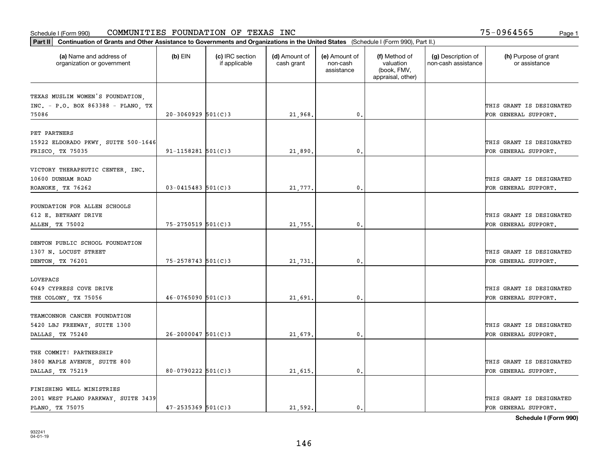| Part II   Continuation of Grants and Other Assistance to Governments and Organizations in the United States (Schedule I (Form 990), Part II.) |                        |                                  |                             |                                         |                                                                |                                           |                                                  |
|-----------------------------------------------------------------------------------------------------------------------------------------------|------------------------|----------------------------------|-----------------------------|-----------------------------------------|----------------------------------------------------------------|-------------------------------------------|--------------------------------------------------|
| (a) Name and address of<br>organization or government                                                                                         | $(b)$ EIN              | (c) IRC section<br>if applicable | (d) Amount of<br>cash grant | (e) Amount of<br>non-cash<br>assistance | (f) Method of<br>valuation<br>(book, FMV,<br>appraisal, other) | (g) Description of<br>non-cash assistance | (h) Purpose of grant<br>or assistance            |
|                                                                                                                                               |                        |                                  |                             |                                         |                                                                |                                           |                                                  |
| TEXAS MUSLIM WOMEN'S FOUNDATION.<br>INC. - P.O. BOX 863388 - PLANO, TX                                                                        |                        |                                  |                             |                                         |                                                                |                                           | THIS GRANT IS DESIGNATED                         |
| 75086                                                                                                                                         | $20-3060929$ 501(C)3   |                                  | 21,968.                     | 0.                                      |                                                                |                                           | FOR GENERAL SUPPORT.                             |
|                                                                                                                                               |                        |                                  |                             |                                         |                                                                |                                           |                                                  |
| PET PARTNERS                                                                                                                                  |                        |                                  |                             |                                         |                                                                |                                           |                                                  |
| 15922 ELDORADO PKWY, SUITE 500-1646                                                                                                           |                        |                                  |                             |                                         |                                                                |                                           | THIS GRANT IS DESIGNATED                         |
| FRISCO, TX 75035                                                                                                                              | $91 - 1158281$ 501(C)3 |                                  | 21,890                      | 0.                                      |                                                                |                                           | FOR GENERAL SUPPORT.                             |
|                                                                                                                                               |                        |                                  |                             |                                         |                                                                |                                           |                                                  |
| VICTORY THERAPEUTIC CENTER, INC.                                                                                                              |                        |                                  |                             |                                         |                                                                |                                           |                                                  |
| 10600 DUNHAM ROAD                                                                                                                             |                        |                                  |                             |                                         |                                                                |                                           | THIS GRANT IS DESIGNATED                         |
| ROANOKE, TX 76262                                                                                                                             | $03 - 0415483$ 501(C)3 |                                  | 21,777.                     | $\mathbf{0}$ .                          |                                                                |                                           | FOR GENERAL SUPPORT.                             |
|                                                                                                                                               |                        |                                  |                             |                                         |                                                                |                                           |                                                  |
| FOUNDATION FOR ALLEN SCHOOLS                                                                                                                  |                        |                                  |                             |                                         |                                                                |                                           |                                                  |
| 612 E. BETHANY DRIVE                                                                                                                          | $75 - 2750519$ 501(C)3 |                                  |                             | 0.                                      |                                                                |                                           | THIS GRANT IS DESIGNATED<br>FOR GENERAL SUPPORT. |
| ALLEN, TX 75002                                                                                                                               |                        |                                  | 21,755.                     |                                         |                                                                |                                           |                                                  |
| DENTON PUBLIC SCHOOL FOUNDATION                                                                                                               |                        |                                  |                             |                                         |                                                                |                                           |                                                  |
| 1307 N. LOCUST STREET                                                                                                                         |                        |                                  |                             |                                         |                                                                |                                           | THIS GRANT IS DESIGNATED                         |
| DENTON, TX 76201                                                                                                                              | $75 - 2578743$ 501(C)3 |                                  | 21,731.                     | 0.                                      |                                                                |                                           | FOR GENERAL SUPPORT.                             |
|                                                                                                                                               |                        |                                  |                             |                                         |                                                                |                                           |                                                  |
| LOVEPACS                                                                                                                                      |                        |                                  |                             |                                         |                                                                |                                           |                                                  |
| 6049 CYPRESS COVE DRIVE                                                                                                                       |                        |                                  |                             |                                         |                                                                |                                           | THIS GRANT IS DESIGNATED                         |
| THE COLONY, TX 75056                                                                                                                          | $46 - 0765090$ 501(C)3 |                                  | 21,691.                     | 0.                                      |                                                                |                                           | FOR GENERAL SUPPORT.                             |
|                                                                                                                                               |                        |                                  |                             |                                         |                                                                |                                           |                                                  |
| TEAMCONNOR CANCER FOUNDATION                                                                                                                  |                        |                                  |                             |                                         |                                                                |                                           |                                                  |
| 5420 LBJ FREEWAY, SUITE 1300                                                                                                                  |                        |                                  |                             |                                         |                                                                |                                           | THIS GRANT IS DESIGNATED                         |
| DALLAS, TX 75240                                                                                                                              | $26 - 2000047$ 501(C)3 |                                  | 21,679                      | $\mathbf{0}$ .                          |                                                                |                                           | FOR GENERAL SUPPORT.                             |
|                                                                                                                                               |                        |                                  |                             |                                         |                                                                |                                           |                                                  |
| THE COMMIT! PARTNERSHIP                                                                                                                       |                        |                                  |                             |                                         |                                                                |                                           | THIS GRANT IS DESIGNATED                         |
| 3800 MAPLE AVENUE, SUITE 800<br>DALLAS, TX 75219                                                                                              | $80 - 0790222$ 501(C)3 |                                  | 21,615.                     | 0.                                      |                                                                |                                           | FOR GENERAL SUPPORT.                             |
|                                                                                                                                               |                        |                                  |                             |                                         |                                                                |                                           |                                                  |
| FINISHING WELL MINISTRIES                                                                                                                     |                        |                                  |                             |                                         |                                                                |                                           |                                                  |
| 2001 WEST PLANO PARKWAY, SUITE 3439                                                                                                           |                        |                                  |                             |                                         |                                                                |                                           | THIS GRANT IS DESIGNATED                         |
| PLANO, TX 75075                                                                                                                               | $47 - 2535369$ 501(C)3 |                                  | 21,592.                     | 0.                                      |                                                                |                                           | FOR GENERAL SUPPORT.                             |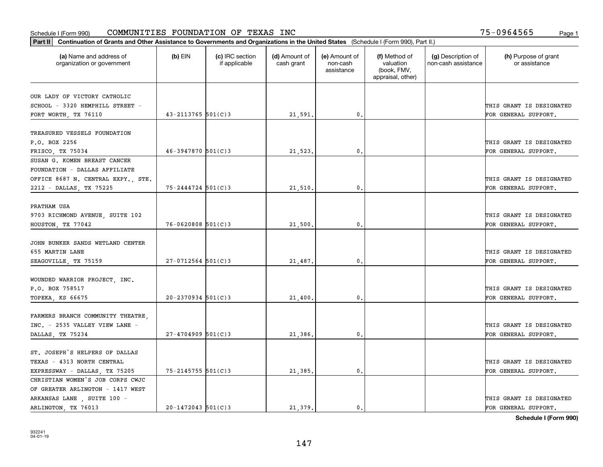| Part II   Continuation of Grants and Other Assistance to Governments and Organizations in the United States (Schedule I (Form 990), Part II.) |                        |                                  |                             |                                         |                                                                |                                           |                                       |
|-----------------------------------------------------------------------------------------------------------------------------------------------|------------------------|----------------------------------|-----------------------------|-----------------------------------------|----------------------------------------------------------------|-------------------------------------------|---------------------------------------|
| (a) Name and address of<br>organization or government                                                                                         | $(b)$ EIN              | (c) IRC section<br>if applicable | (d) Amount of<br>cash grant | (e) Amount of<br>non-cash<br>assistance | (f) Method of<br>valuation<br>(book, FMV,<br>appraisal, other) | (g) Description of<br>non-cash assistance | (h) Purpose of grant<br>or assistance |
|                                                                                                                                               |                        |                                  |                             |                                         |                                                                |                                           |                                       |
| OUR LADY OF VICTORY CATHOLIC<br>SCHOOL - 3320 HEMPHILL STREET -                                                                               |                        |                                  |                             |                                         |                                                                |                                           | THIS GRANT IS DESIGNATED              |
| FORT WORTH, TX 76110                                                                                                                          | $43 - 2113765$ 501(C)3 |                                  | 21,591.                     | 0.                                      |                                                                |                                           | FOR GENERAL SUPPORT.                  |
|                                                                                                                                               |                        |                                  |                             |                                         |                                                                |                                           |                                       |
| TREASURED VESSELS FOUNDATION                                                                                                                  |                        |                                  |                             |                                         |                                                                |                                           |                                       |
| P.O. BOX 2256                                                                                                                                 |                        |                                  |                             |                                         |                                                                |                                           | THIS GRANT IS DESIGNATED              |
| FRISCO, TX 75034                                                                                                                              | $46 - 3947870$ 501(C)3 |                                  | 21,523,                     | 0.                                      |                                                                |                                           | FOR GENERAL SUPPORT.                  |
| SUSAN G. KOMEN BREAST CANCER                                                                                                                  |                        |                                  |                             |                                         |                                                                |                                           |                                       |
| FOUNDATION - DALLAS AFFILIATE                                                                                                                 |                        |                                  |                             |                                         |                                                                |                                           |                                       |
| OFFICE 8687 N. CENTRAL EXPY., STE.                                                                                                            |                        |                                  |                             |                                         |                                                                |                                           | THIS GRANT IS DESIGNATED              |
| 2212 - DALLAS, TX 75225                                                                                                                       | $75 - 2444724$ 501(C)3 |                                  | 21,510.                     | $\mathfrak{o}$ .                        |                                                                |                                           | FOR GENERAL SUPPORT.                  |
|                                                                                                                                               |                        |                                  |                             |                                         |                                                                |                                           |                                       |
| PRATHAM USA                                                                                                                                   |                        |                                  |                             |                                         |                                                                |                                           |                                       |
| 9703 RICHMOND AVENUE, SUITE 102                                                                                                               |                        |                                  |                             |                                         |                                                                |                                           | THIS GRANT IS DESIGNATED              |
| HOUSTON, TX 77042                                                                                                                             | $76 - 0620808$ 501(C)3 |                                  | 21,500                      | $\mathbf{0}$                            |                                                                |                                           | FOR GENERAL SUPPORT.                  |
|                                                                                                                                               |                        |                                  |                             |                                         |                                                                |                                           |                                       |
| JOHN BUNKER SANDS WETLAND CENTER                                                                                                              |                        |                                  |                             |                                         |                                                                |                                           |                                       |
| 655 MARTIN LANE                                                                                                                               |                        |                                  |                             |                                         |                                                                |                                           | THIS GRANT IS DESIGNATED              |
| SEAGOVILLE, TX 75159                                                                                                                          | $27 - 0712564$ 501(C)3 |                                  | 21,487.                     | $\mathbf{0}$                            |                                                                |                                           | FOR GENERAL SUPPORT.                  |
|                                                                                                                                               |                        |                                  |                             |                                         |                                                                |                                           |                                       |
| WOUNDED WARRIOR PROJECT, INC.                                                                                                                 |                        |                                  |                             |                                         |                                                                |                                           |                                       |
| P.O. BOX 758517                                                                                                                               |                        |                                  |                             |                                         |                                                                |                                           | THIS GRANT IS DESIGNATED              |
| TOPEKA, KS 66675                                                                                                                              | $20 - 2370934$ 501(C)3 |                                  | 21,400.                     | $\mathbf{0}$                            |                                                                |                                           | FOR GENERAL SUPPORT.                  |
|                                                                                                                                               |                        |                                  |                             |                                         |                                                                |                                           |                                       |
| FARMERS BRANCH COMMUNITY THEATRE,<br>INC. - 2535 VALLEY VIEW LANE -                                                                           |                        |                                  |                             |                                         |                                                                |                                           | THIS GRANT IS DESIGNATED              |
|                                                                                                                                               |                        |                                  |                             |                                         |                                                                |                                           |                                       |
| DALLAS, TX 75234                                                                                                                              | $27 - 4704909$ 501(C)3 |                                  | 21,386.                     | $^{\circ}$ .                            |                                                                |                                           | FOR GENERAL SUPPORT.                  |
| ST. JOSEPH'S HELPERS OF DALLAS                                                                                                                |                        |                                  |                             |                                         |                                                                |                                           |                                       |
| TEXAS - 4313 NORTH CENTRAL                                                                                                                    |                        |                                  |                             |                                         |                                                                |                                           | THIS GRANT IS DESIGNATED              |
| EXPRESSWAY - DALLAS, TX 75205                                                                                                                 | 75-2145755 501(C)3     |                                  | 21,385.                     | $\mathbf{0}$ .                          |                                                                |                                           | FOR GENERAL SUPPORT.                  |
| CHRISTIAN WOMEN'S JOB CORPS CWJC                                                                                                              |                        |                                  |                             |                                         |                                                                |                                           |                                       |
| OF GREATER ARLINGTON - 1417 WEST                                                                                                              |                        |                                  |                             |                                         |                                                                |                                           |                                       |
| ARKANSAS LANE, SUITE 100 -                                                                                                                    |                        |                                  |                             |                                         |                                                                |                                           | THIS GRANT IS DESIGNATED              |
| ARLINGTON, TX 76013                                                                                                                           | $20 - 1472043$ 501(C)3 |                                  | 21.379.                     | $\mathbf{0}$ .                          |                                                                |                                           | FOR GENERAL SUPPORT.                  |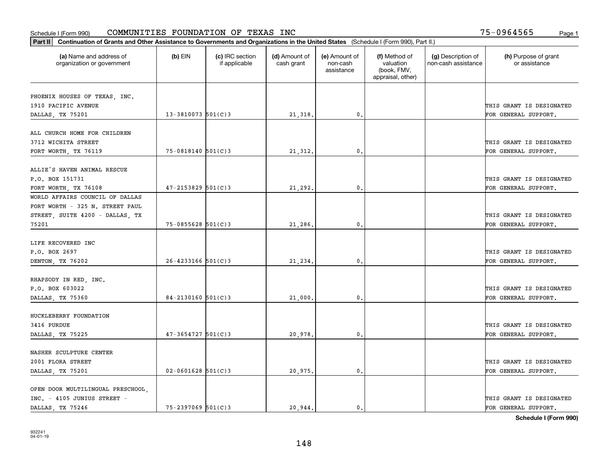| Part II   Continuation of Grants and Other Assistance to Governments and Organizations in the United States (Schedule I (Form 990), Part II.) |                        |                                  |                             |                                         |                                                                |                                           |                                       |
|-----------------------------------------------------------------------------------------------------------------------------------------------|------------------------|----------------------------------|-----------------------------|-----------------------------------------|----------------------------------------------------------------|-------------------------------------------|---------------------------------------|
| (a) Name and address of<br>organization or government                                                                                         | $(b)$ EIN              | (c) IRC section<br>if applicable | (d) Amount of<br>cash grant | (e) Amount of<br>non-cash<br>assistance | (f) Method of<br>valuation<br>(book, FMV,<br>appraisal, other) | (g) Description of<br>non-cash assistance | (h) Purpose of grant<br>or assistance |
|                                                                                                                                               |                        |                                  |                             |                                         |                                                                |                                           |                                       |
| PHOENIX HOUSES OF TEXAS, INC.<br>1910 PACIFIC AVENUE                                                                                          |                        |                                  |                             |                                         |                                                                |                                           | THIS GRANT IS DESIGNATED              |
| DALLAS, TX 75201                                                                                                                              | $13 - 3810073$ 501(C)3 |                                  | 21,318.                     | 0.                                      |                                                                |                                           | FOR GENERAL SUPPORT.                  |
|                                                                                                                                               |                        |                                  |                             |                                         |                                                                |                                           |                                       |
| ALL CHURCH HOME FOR CHILDREN                                                                                                                  |                        |                                  |                             |                                         |                                                                |                                           |                                       |
| 3712 WICHITA STREET                                                                                                                           |                        |                                  |                             |                                         |                                                                |                                           | THIS GRANT IS DESIGNATED              |
| FORT WORTH, TX 76119                                                                                                                          | $75 - 0818140$ 501(C)3 |                                  | 21, 312.                    | 0.                                      |                                                                |                                           | FOR GENERAL SUPPORT.                  |
|                                                                                                                                               |                        |                                  |                             |                                         |                                                                |                                           |                                       |
| ALLIE'S HAVEN ANIMAL RESCUE                                                                                                                   |                        |                                  |                             |                                         |                                                                |                                           |                                       |
| P.O. BOX 151731                                                                                                                               |                        |                                  |                             |                                         |                                                                |                                           | THIS GRANT IS DESIGNATED              |
| FORT WORTH, TX 76108                                                                                                                          | $47 - 2153829$ 501(C)3 |                                  | 21,292.                     | $\mathbf{0}$ .                          |                                                                |                                           | FOR GENERAL SUPPORT.                  |
| WORLD AFFAIRS COUNCIL OF DALLAS                                                                                                               |                        |                                  |                             |                                         |                                                                |                                           |                                       |
| FORT WORTH - 325 N. STREET PAUL                                                                                                               |                        |                                  |                             |                                         |                                                                |                                           |                                       |
| STREET, SUITE 4200 - DALLAS, TX                                                                                                               |                        |                                  |                             |                                         |                                                                |                                           | THIS GRANT IS DESIGNATED              |
| 75201                                                                                                                                         | 75-0855628 501(C)3     |                                  | 21,286.                     | 0.                                      |                                                                |                                           | FOR GENERAL SUPPORT.                  |
|                                                                                                                                               |                        |                                  |                             |                                         |                                                                |                                           |                                       |
| LIFE RECOVERED INC                                                                                                                            |                        |                                  |                             |                                         |                                                                |                                           |                                       |
| P.O. BOX 2697                                                                                                                                 |                        |                                  |                             |                                         |                                                                |                                           | THIS GRANT IS DESIGNATED              |
| DENTON, TX 76202                                                                                                                              | $26 - 4233166$ 501(C)3 |                                  | 21,234.                     | 0.                                      |                                                                |                                           | FOR GENERAL SUPPORT.                  |
|                                                                                                                                               |                        |                                  |                             |                                         |                                                                |                                           |                                       |
| RHAPSODY IN RED, INC.                                                                                                                         |                        |                                  |                             |                                         |                                                                |                                           |                                       |
| P.O. BOX 603022                                                                                                                               |                        |                                  |                             |                                         |                                                                |                                           | THIS GRANT IS DESIGNATED              |
| DALLAS, TX 75360                                                                                                                              | $84 - 2130160$ 501(C)3 |                                  | 21,000                      | 0.                                      |                                                                |                                           | FOR GENERAL SUPPORT.                  |
|                                                                                                                                               |                        |                                  |                             |                                         |                                                                |                                           |                                       |
| HUCKLEBERRY FOUNDATION                                                                                                                        |                        |                                  |                             |                                         |                                                                |                                           |                                       |
| 3416 PURDUE                                                                                                                                   |                        |                                  |                             |                                         |                                                                |                                           | THIS GRANT IS DESIGNATED              |
| DALLAS, TX 75225                                                                                                                              | $47 - 3654727$ 501(C)3 |                                  | 20,978.                     | $\mathbf{0}$ .                          |                                                                |                                           | FOR GENERAL SUPPORT.                  |
|                                                                                                                                               |                        |                                  |                             |                                         |                                                                |                                           |                                       |
| NASHER SCULPTURE CENTER                                                                                                                       |                        |                                  |                             |                                         |                                                                |                                           |                                       |
| 2001 FLORA STREET                                                                                                                             | $02 - 0601628$ 501(C)3 |                                  |                             | 0.                                      |                                                                |                                           | THIS GRANT IS DESIGNATED              |
| DALLAS, TX 75201                                                                                                                              |                        |                                  | 20,975.                     |                                         |                                                                |                                           | FOR GENERAL SUPPORT.                  |
| OPEN DOOR MULTILINGUAL PRESCHOOL,                                                                                                             |                        |                                  |                             |                                         |                                                                |                                           |                                       |
| INC. - 4105 JUNIUS STREET -                                                                                                                   |                        |                                  |                             |                                         |                                                                |                                           | THIS GRANT IS DESIGNATED              |
| DALLAS TX 75246                                                                                                                               | $75 - 2397069$ 501(C)3 |                                  | 20,944.                     | $\mathbf{0}$ .                          |                                                                |                                           | FOR GENERAL SUPPORT.                  |
|                                                                                                                                               |                        |                                  |                             |                                         |                                                                |                                           |                                       |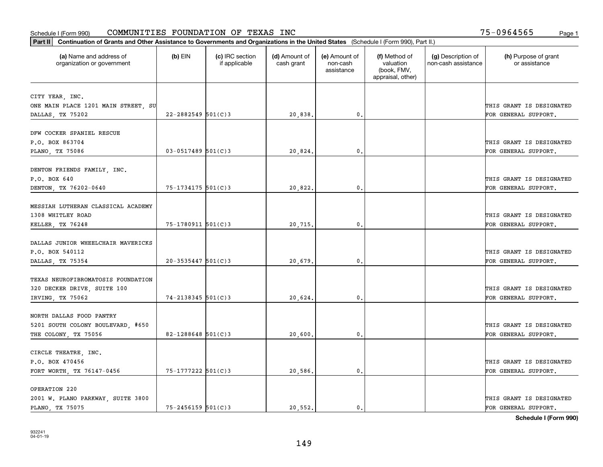| Part II   Continuation of Grants and Other Assistance to Governments and Organizations in the United States (Schedule I (Form 990), Part II.) |                        |                                  |                             |                                         |                                                                |                                           |                                       |
|-----------------------------------------------------------------------------------------------------------------------------------------------|------------------------|----------------------------------|-----------------------------|-----------------------------------------|----------------------------------------------------------------|-------------------------------------------|---------------------------------------|
| (a) Name and address of<br>organization or government                                                                                         | $(b)$ EIN              | (c) IRC section<br>if applicable | (d) Amount of<br>cash grant | (e) Amount of<br>non-cash<br>assistance | (f) Method of<br>valuation<br>(book, FMV,<br>appraisal, other) | (g) Description of<br>non-cash assistance | (h) Purpose of grant<br>or assistance |
|                                                                                                                                               |                        |                                  |                             |                                         |                                                                |                                           |                                       |
| CITY YEAR, INC.<br>ONE MAIN PLACE 1201 MAIN STREET, SU                                                                                        |                        |                                  |                             |                                         |                                                                |                                           | THIS GRANT IS DESIGNATED              |
| DALLAS, TX 75202                                                                                                                              | $22 - 2882549$ 501(C)3 |                                  | 20,838.                     | 0.                                      |                                                                |                                           | FOR GENERAL SUPPORT.                  |
|                                                                                                                                               |                        |                                  |                             |                                         |                                                                |                                           |                                       |
| DFW COCKER SPANIEL RESCUE                                                                                                                     |                        |                                  |                             |                                         |                                                                |                                           |                                       |
| P.O. BOX 863704                                                                                                                               |                        |                                  |                             |                                         |                                                                |                                           | THIS GRANT IS DESIGNATED              |
| PLANO, TX 75086                                                                                                                               | $03 - 0517489$ 501(C)3 |                                  | 20,824                      | 0.                                      |                                                                |                                           | FOR GENERAL SUPPORT.                  |
|                                                                                                                                               |                        |                                  |                             |                                         |                                                                |                                           |                                       |
| DENTON FRIENDS FAMILY, INC.                                                                                                                   |                        |                                  |                             |                                         |                                                                |                                           |                                       |
| P.O. BOX 640                                                                                                                                  |                        |                                  |                             |                                         |                                                                |                                           | THIS GRANT IS DESIGNATED              |
| DENTON, TX 76202-0640                                                                                                                         | $75 - 1734175$ 501(C)3 |                                  | 20,822.                     | $\mathbf{0}$ .                          |                                                                |                                           | FOR GENERAL SUPPORT.                  |
|                                                                                                                                               |                        |                                  |                             |                                         |                                                                |                                           |                                       |
| MESSIAH LUTHERAN CLASSICAL ACADEMY<br>1308 WHITLEY ROAD                                                                                       |                        |                                  |                             |                                         |                                                                |                                           |                                       |
|                                                                                                                                               | 75-1780911 501(C)3     |                                  |                             | $\mathbf{0}$ .                          |                                                                |                                           | THIS GRANT IS DESIGNATED              |
| KELLER, TX 76248                                                                                                                              |                        |                                  | 20,715.                     |                                         |                                                                |                                           | FOR GENERAL SUPPORT.                  |
| DALLAS JUNIOR WHEELCHAIR MAVERICKS                                                                                                            |                        |                                  |                             |                                         |                                                                |                                           |                                       |
| P.O. BOX 540112                                                                                                                               |                        |                                  |                             |                                         |                                                                |                                           | THIS GRANT IS DESIGNATED              |
| DALLAS, TX 75354                                                                                                                              | $20 - 3535447$ 501(C)3 |                                  | 20,679.                     | 0.                                      |                                                                |                                           | FOR GENERAL SUPPORT.                  |
|                                                                                                                                               |                        |                                  |                             |                                         |                                                                |                                           |                                       |
| TEXAS NEUROFIBROMATOSIS FOUNDATION                                                                                                            |                        |                                  |                             |                                         |                                                                |                                           |                                       |
| 320 DECKER DRIVE, SUITE 100                                                                                                                   |                        |                                  |                             |                                         |                                                                |                                           | THIS GRANT IS DESIGNATED              |
| IRVING, TX 75062                                                                                                                              | 74-2138345 501(C)3     |                                  | 20,624.                     | 0.                                      |                                                                |                                           | FOR GENERAL SUPPORT.                  |
|                                                                                                                                               |                        |                                  |                             |                                         |                                                                |                                           |                                       |
| NORTH DALLAS FOOD PANTRY                                                                                                                      |                        |                                  |                             |                                         |                                                                |                                           |                                       |
| 5201 SOUTH COLONY BOULEVARD, #650                                                                                                             |                        |                                  |                             |                                         |                                                                |                                           | THIS GRANT IS DESIGNATED              |
| THE COLONY, TX 75056                                                                                                                          | 82-1288648 $501(C)$ 3  |                                  | 20,600.                     | $\mathbf{0}$ .                          |                                                                |                                           | FOR GENERAL SUPPORT.                  |
|                                                                                                                                               |                        |                                  |                             |                                         |                                                                |                                           |                                       |
| CIRCLE THEATRE, INC.                                                                                                                          |                        |                                  |                             |                                         |                                                                |                                           |                                       |
| P.O. BOX 470456                                                                                                                               |                        |                                  |                             |                                         |                                                                |                                           | THIS GRANT IS DESIGNATED              |
| FORT WORTH, TX 76147-0456                                                                                                                     | 75-1777222 501(C)3     |                                  | 20,586.                     | $\mathbf{0}$ .                          |                                                                |                                           | FOR GENERAL SUPPORT.                  |
| OPERATION 220                                                                                                                                 |                        |                                  |                             |                                         |                                                                |                                           |                                       |
| 2001 W. PLANO PARKWAY, SUITE 3800                                                                                                             |                        |                                  |                             |                                         |                                                                |                                           | THIS GRANT IS DESIGNATED              |
| PLANO, TX 75075                                                                                                                               | $75 - 2456159$ 501(C)3 |                                  | 20.552.                     | $\mathbf{0}$ .                          |                                                                |                                           | FOR GENERAL SUPPORT.                  |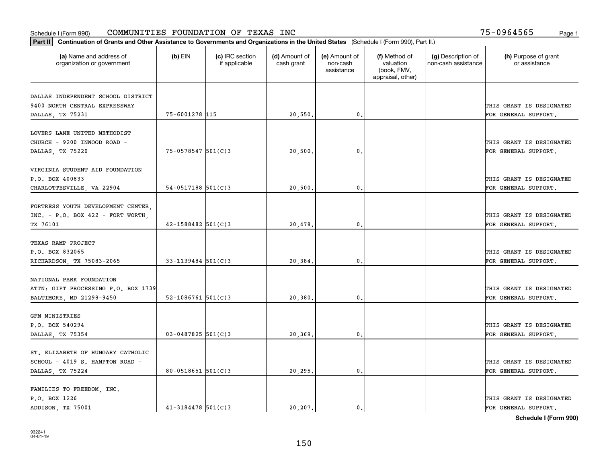| Part II   Continuation of Grants and Other Assistance to Governments and Organizations in the United States (Schedule I (Form 990), Part II.) |                         |                                  |                             |                                         |                                                                |                                           |                                       |
|-----------------------------------------------------------------------------------------------------------------------------------------------|-------------------------|----------------------------------|-----------------------------|-----------------------------------------|----------------------------------------------------------------|-------------------------------------------|---------------------------------------|
| (a) Name and address of<br>organization or government                                                                                         | $(b)$ EIN               | (c) IRC section<br>if applicable | (d) Amount of<br>cash grant | (e) Amount of<br>non-cash<br>assistance | (f) Method of<br>valuation<br>(book, FMV,<br>appraisal, other) | (g) Description of<br>non-cash assistance | (h) Purpose of grant<br>or assistance |
| DALLAS INDEPENDENT SCHOOL DISTRICT                                                                                                            |                         |                                  |                             |                                         |                                                                |                                           |                                       |
| 9400 NORTH CENTRAL EXPRESSWAY                                                                                                                 |                         |                                  |                             |                                         |                                                                |                                           | THIS GRANT IS DESIGNATED              |
| DALLAS, TX 75231                                                                                                                              | 75-6001278 115          |                                  | 20,550.                     | 0.                                      |                                                                |                                           | FOR GENERAL SUPPORT.                  |
|                                                                                                                                               |                         |                                  |                             |                                         |                                                                |                                           |                                       |
| LOVERS LANE UNITED METHODIST                                                                                                                  |                         |                                  |                             |                                         |                                                                |                                           |                                       |
| CHURCH - 9200 INWOOD ROAD -                                                                                                                   |                         |                                  |                             |                                         |                                                                |                                           | THIS GRANT IS DESIGNATED              |
| DALLAS, TX 75220                                                                                                                              | $75 - 0578547$ 501(C)3  |                                  | 20,500                      | 0.                                      |                                                                |                                           | FOR GENERAL SUPPORT.                  |
|                                                                                                                                               |                         |                                  |                             |                                         |                                                                |                                           |                                       |
| VIRGINIA STUDENT AID FOUNDATION                                                                                                               |                         |                                  |                             |                                         |                                                                |                                           |                                       |
| P.O. BOX 400833                                                                                                                               |                         |                                  |                             |                                         |                                                                |                                           | THIS GRANT IS DESIGNATED              |
| CHARLOTTESVILLE, VA 22904                                                                                                                     | $54-0517188$ 501(C)3    |                                  | 20,500.                     | $\mathfrak{o}$ .                        |                                                                |                                           | FOR GENERAL SUPPORT.                  |
|                                                                                                                                               |                         |                                  |                             |                                         |                                                                |                                           |                                       |
| FORTRESS YOUTH DEVELOPMENT CENTER,                                                                                                            |                         |                                  |                             |                                         |                                                                |                                           | THIS GRANT IS DESIGNATED              |
| $INC. - P.O. BOX 422 - FORT WORK.$<br>TX 76101                                                                                                | $42 - 1588482$ 501(C)3  |                                  | 20,478.                     | 0.                                      |                                                                |                                           | FOR GENERAL SUPPORT.                  |
|                                                                                                                                               |                         |                                  |                             |                                         |                                                                |                                           |                                       |
| TEXAS RAMP PROJECT                                                                                                                            |                         |                                  |                             |                                         |                                                                |                                           |                                       |
| P.O. BOX 832065                                                                                                                               |                         |                                  |                             |                                         |                                                                |                                           | THIS GRANT IS DESIGNATED              |
| RICHARDSON, TX 75083-2065                                                                                                                     | $33 - 1139484$ 501(C)3  |                                  | 20,384.                     | $\mathbf{0}$                            |                                                                |                                           | FOR GENERAL SUPPORT.                  |
|                                                                                                                                               |                         |                                  |                             |                                         |                                                                |                                           |                                       |
| NATIONAL PARK FOUNDATION                                                                                                                      |                         |                                  |                             |                                         |                                                                |                                           |                                       |
| ATTN: GIFT PROCESSING P.O. BOX 1739                                                                                                           |                         |                                  |                             |                                         |                                                                |                                           | THIS GRANT IS DESIGNATED              |
| BALTIMORE, MD 21298-9450                                                                                                                      | $52 - 1086761$ 501(C)3  |                                  | 20,380.                     | $\mathbf{0}$                            |                                                                |                                           | FOR GENERAL SUPPORT.                  |
|                                                                                                                                               |                         |                                  |                             |                                         |                                                                |                                           |                                       |
| GFM MINISTRIES                                                                                                                                |                         |                                  |                             |                                         |                                                                |                                           |                                       |
| P.O. BOX 540294                                                                                                                               |                         |                                  |                             |                                         |                                                                |                                           | THIS GRANT IS DESIGNATED              |
| DALLAS, TX 75354                                                                                                                              | $03 - 0487825$ 501(C)3  |                                  | 20,369                      | $\mathbf{0}$ .                          |                                                                |                                           | FOR GENERAL SUPPORT.                  |
|                                                                                                                                               |                         |                                  |                             |                                         |                                                                |                                           |                                       |
| ST. ELIZABETH OF HUNGARY CATHOLIC<br>SCHOOL - 4019 S. HAMPTON ROAD -                                                                          |                         |                                  |                             |                                         |                                                                |                                           | THIS GRANT IS DESIGNATED              |
| DALLAS, TX 75224                                                                                                                              | $80 - 0518651$ 501(C)3  |                                  | 20,295.                     | $\mathfrak{o}$ .                        |                                                                |                                           | FOR GENERAL SUPPORT.                  |
|                                                                                                                                               |                         |                                  |                             |                                         |                                                                |                                           |                                       |
| FAMILIES TO FREEDOM, INC.                                                                                                                     |                         |                                  |                             |                                         |                                                                |                                           |                                       |
| P.O. BOX 1226                                                                                                                                 |                         |                                  |                             |                                         |                                                                |                                           | THIS GRANT IS DESIGNATED              |
| ADDISON, TX 75001                                                                                                                             | $41 - 3184478$ 501(C) 3 |                                  | 20,207.                     | $\mathfrak{o}$ .                        |                                                                |                                           | FOR GENERAL SUPPORT.                  |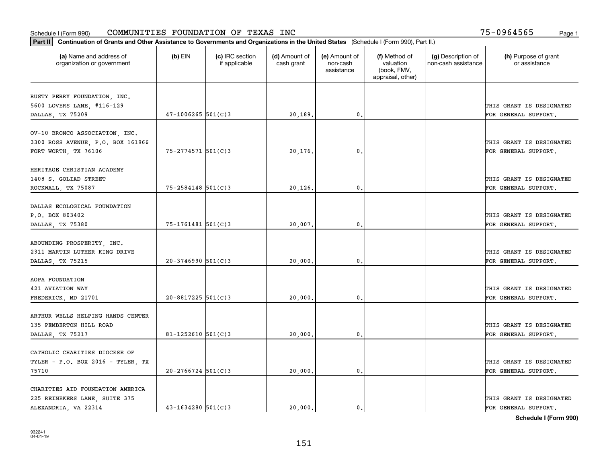| Part II   Continuation of Grants and Other Assistance to Governments and Organizations in the United States (Schedule I (Form 990), Part II.) |                        |                                  |                             |                                         |                                                                |                                           |                                       |
|-----------------------------------------------------------------------------------------------------------------------------------------------|------------------------|----------------------------------|-----------------------------|-----------------------------------------|----------------------------------------------------------------|-------------------------------------------|---------------------------------------|
| (a) Name and address of<br>organization or government                                                                                         | $(b)$ EIN              | (c) IRC section<br>if applicable | (d) Amount of<br>cash grant | (e) Amount of<br>non-cash<br>assistance | (f) Method of<br>valuation<br>(book, FMV,<br>appraisal, other) | (g) Description of<br>non-cash assistance | (h) Purpose of grant<br>or assistance |
|                                                                                                                                               |                        |                                  |                             |                                         |                                                                |                                           |                                       |
| RUSTY PERRY FOUNDATION, INC.<br>5600 LOVERS LANE, #116-129                                                                                    |                        |                                  |                             |                                         |                                                                |                                           | THIS GRANT IS DESIGNATED              |
| DALLAS, TX 75209                                                                                                                              | $47 - 1006265$ 501(C)3 |                                  | 20,189.                     | 0.                                      |                                                                |                                           | FOR GENERAL SUPPORT.                  |
|                                                                                                                                               |                        |                                  |                             |                                         |                                                                |                                           |                                       |
| OV-10 BRONCO ASSOCIATION, INC.                                                                                                                |                        |                                  |                             |                                         |                                                                |                                           |                                       |
| 3300 ROSS AVENUE, P.O. BOX 161966                                                                                                             |                        |                                  |                             |                                         |                                                                |                                           | THIS GRANT IS DESIGNATED              |
| FORT WORTH, TX 76106                                                                                                                          | $75 - 2774571$ 501(C)3 |                                  | 20,176.                     | 0.                                      |                                                                |                                           | FOR GENERAL SUPPORT.                  |
|                                                                                                                                               |                        |                                  |                             |                                         |                                                                |                                           |                                       |
| HERITAGE CHRISTIAN ACADEMY                                                                                                                    |                        |                                  |                             |                                         |                                                                |                                           |                                       |
| 1408 S. GOLIAD STREET                                                                                                                         |                        |                                  |                             |                                         |                                                                |                                           | THIS GRANT IS DESIGNATED              |
| ROCKWALL, TX 75087                                                                                                                            | $75 - 2584148$ 501(C)3 |                                  | 20,126.                     | $\mathbf{0}$ .                          |                                                                |                                           | FOR GENERAL SUPPORT.                  |
| DALLAS ECOLOGICAL FOUNDATION                                                                                                                  |                        |                                  |                             |                                         |                                                                |                                           |                                       |
| P.O. BOX 803402                                                                                                                               |                        |                                  |                             |                                         |                                                                |                                           | THIS GRANT IS DESIGNATED              |
| DALLAS, TX 75380                                                                                                                              | 75-1761481 501(C)3     |                                  | 20,007.                     | $\mathbf{0}$                            |                                                                |                                           | FOR GENERAL SUPPORT.                  |
|                                                                                                                                               |                        |                                  |                             |                                         |                                                                |                                           |                                       |
| ABOUNDING PROSPERITY, INC.                                                                                                                    |                        |                                  |                             |                                         |                                                                |                                           |                                       |
| 2311 MARTIN LUTHER KING DRIVE                                                                                                                 |                        |                                  |                             |                                         |                                                                |                                           | THIS GRANT IS DESIGNATED              |
| DALLAS, TX 75215                                                                                                                              | $20-3746990$ 501(C)3   |                                  | 20,000                      | $\mathbf{0}$                            |                                                                |                                           | FOR GENERAL SUPPORT.                  |
|                                                                                                                                               |                        |                                  |                             |                                         |                                                                |                                           |                                       |
| AOPA FOUNDATION                                                                                                                               |                        |                                  |                             |                                         |                                                                |                                           |                                       |
| 421 AVIATION WAY                                                                                                                              |                        |                                  |                             |                                         |                                                                |                                           | THIS GRANT IS DESIGNATED              |
| FREDERICK, MD 21701                                                                                                                           | $20 - 8817225$ 501(C)3 |                                  | 20,000.                     | 0.                                      |                                                                |                                           | FOR GENERAL SUPPORT.                  |
|                                                                                                                                               |                        |                                  |                             |                                         |                                                                |                                           |                                       |
| ARTHUR WELLS HELPING HANDS CENTER                                                                                                             |                        |                                  |                             |                                         |                                                                |                                           |                                       |
| 135 PEMBERTON HILL ROAD                                                                                                                       |                        |                                  |                             |                                         |                                                                |                                           | THIS GRANT IS DESIGNATED              |
| DALLAS, TX 75217                                                                                                                              | $81 - 1252610$ 501(C)3 |                                  | 20,000                      | $^{\rm 0}$ .                            |                                                                |                                           | FOR GENERAL SUPPORT.                  |
| CATHOLIC CHARITIES DIOCESE OF                                                                                                                 |                        |                                  |                             |                                         |                                                                |                                           |                                       |
| TYLER - P.O. BOX 2016 - TYLER, TX                                                                                                             |                        |                                  |                             |                                         |                                                                |                                           | THIS GRANT IS DESIGNATED              |
| 75710                                                                                                                                         | $20 - 2766724$ 501(C)3 |                                  | 20,000.                     | $\mathfrak{o}$ .                        |                                                                |                                           | FOR GENERAL SUPPORT.                  |
|                                                                                                                                               |                        |                                  |                             |                                         |                                                                |                                           |                                       |
| CHARITIES AID FOUNDATION AMERICA                                                                                                              |                        |                                  |                             |                                         |                                                                |                                           |                                       |
| 225 REINEKERS LANE, SUITE 375                                                                                                                 |                        |                                  |                             |                                         |                                                                |                                           | THIS GRANT IS DESIGNATED              |
| ALEXANDRIA, VA 22314                                                                                                                          | $43 - 1634280$ 501(C)3 |                                  | 20.000.                     | $\mathbf{0}$ .                          |                                                                |                                           | FOR GENERAL SUPPORT.                  |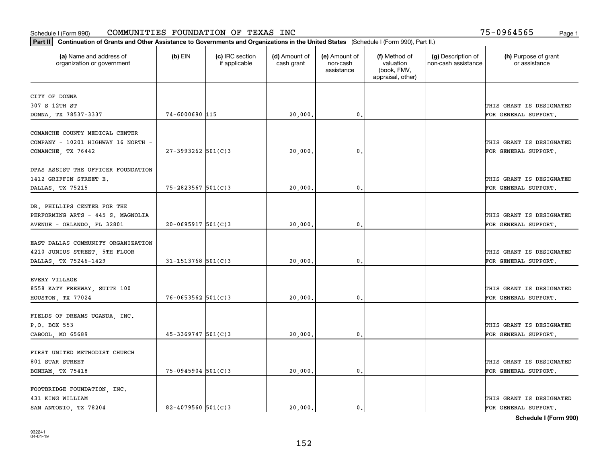| Part II   Continuation of Grants and Other Assistance to Governments and Organizations in the United States (Schedule I (Form 990), Part II.) |                        |                                  |                             |                                         |                                                                |                                           |                                       |
|-----------------------------------------------------------------------------------------------------------------------------------------------|------------------------|----------------------------------|-----------------------------|-----------------------------------------|----------------------------------------------------------------|-------------------------------------------|---------------------------------------|
| (a) Name and address of<br>organization or government                                                                                         | $(b)$ EIN              | (c) IRC section<br>if applicable | (d) Amount of<br>cash grant | (e) Amount of<br>non-cash<br>assistance | (f) Method of<br>valuation<br>(book, FMV,<br>appraisal, other) | (g) Description of<br>non-cash assistance | (h) Purpose of grant<br>or assistance |
|                                                                                                                                               |                        |                                  |                             |                                         |                                                                |                                           |                                       |
| CITY OF DONNA<br>307 S 12TH ST                                                                                                                |                        |                                  |                             |                                         |                                                                |                                           | THIS GRANT IS DESIGNATED              |
| DONNA, TX 78537-3337                                                                                                                          | 74-6000690 115         |                                  | 20,000.                     | 0.                                      |                                                                |                                           | FOR GENERAL SUPPORT.                  |
|                                                                                                                                               |                        |                                  |                             |                                         |                                                                |                                           |                                       |
| COMANCHE COUNTY MEDICAL CENTER                                                                                                                |                        |                                  |                             |                                         |                                                                |                                           |                                       |
| COMPANY - 10201 HIGHWAY 16 NORTH -                                                                                                            |                        |                                  |                             |                                         |                                                                |                                           | THIS GRANT IS DESIGNATED              |
| COMANCHE, TX 76442                                                                                                                            | $27 - 3993262$ 501(C)3 |                                  | 20,000                      | 0.                                      |                                                                |                                           | FOR GENERAL SUPPORT.                  |
|                                                                                                                                               |                        |                                  |                             |                                         |                                                                |                                           |                                       |
| DPAS ASSIST THE OFFICER FOUNDATION                                                                                                            |                        |                                  |                             |                                         |                                                                |                                           |                                       |
| 1412 GRIFFIN STREET E.                                                                                                                        |                        |                                  |                             |                                         |                                                                |                                           | THIS GRANT IS DESIGNATED              |
| DALLAS, TX 75215                                                                                                                              | $75 - 2823567$ 501(C)3 |                                  | 20,000                      | 0.                                      |                                                                |                                           | FOR GENERAL SUPPORT.                  |
|                                                                                                                                               |                        |                                  |                             |                                         |                                                                |                                           |                                       |
| DR. PHILLIPS CENTER FOR THE                                                                                                                   |                        |                                  |                             |                                         |                                                                |                                           |                                       |
| PERFORMING ARTS - 445 S. MAGNOLIA                                                                                                             |                        |                                  |                             |                                         |                                                                |                                           | THIS GRANT IS DESIGNATED              |
| AVENUE - ORLANDO, FL 32801                                                                                                                    | $20 - 0695917$ 501(C)3 |                                  | 20,000                      | 0.                                      |                                                                |                                           | FOR GENERAL SUPPORT.                  |
|                                                                                                                                               |                        |                                  |                             |                                         |                                                                |                                           |                                       |
| EAST DALLAS COMMUNITY ORGANIZATION                                                                                                            |                        |                                  |                             |                                         |                                                                |                                           |                                       |
| 4210 JUNIUS STREET, 5TH FLOOR                                                                                                                 |                        |                                  |                             |                                         |                                                                |                                           | THIS GRANT IS DESIGNATED              |
| DALLAS, TX 75246-1429                                                                                                                         | $31 - 1513768$ 501(C)3 |                                  | 20,000                      | 0.                                      |                                                                |                                           | FOR GENERAL SUPPORT.                  |
|                                                                                                                                               |                        |                                  |                             |                                         |                                                                |                                           |                                       |
| <b>EVERY VILLAGE</b>                                                                                                                          |                        |                                  |                             |                                         |                                                                |                                           |                                       |
| 8558 KATY FREEWAY, SUITE 100                                                                                                                  |                        |                                  |                             |                                         |                                                                |                                           | THIS GRANT IS DESIGNATED              |
| HOUSTON, TX 77024                                                                                                                             | $76 - 0653562$ 501(C)3 |                                  | 20,000                      | 0.                                      |                                                                |                                           | FOR GENERAL SUPPORT.                  |
| FIELDS OF DREAMS UGANDA, INC.                                                                                                                 |                        |                                  |                             |                                         |                                                                |                                           |                                       |
| P.O. BOX 553                                                                                                                                  |                        |                                  |                             |                                         |                                                                |                                           | THIS GRANT IS DESIGNATED              |
|                                                                                                                                               | $45 - 3369747$ 501(C)3 |                                  |                             | 0.                                      |                                                                |                                           | FOR GENERAL SUPPORT.                  |
| CABOOL, MO 65689                                                                                                                              |                        |                                  | 20,000                      |                                         |                                                                |                                           |                                       |
| FIRST UNITED METHODIST CHURCH                                                                                                                 |                        |                                  |                             |                                         |                                                                |                                           |                                       |
| 801 STAR STREET                                                                                                                               |                        |                                  |                             |                                         |                                                                |                                           | THIS GRANT IS DESIGNATED              |
| BONHAM, TX 75418                                                                                                                              | $75-0945904$ 501(C)3   |                                  | 20,000                      | 0.                                      |                                                                |                                           | FOR GENERAL SUPPORT.                  |
|                                                                                                                                               |                        |                                  |                             |                                         |                                                                |                                           |                                       |
| FOOTBRIDGE FOUNDATION, INC.                                                                                                                   |                        |                                  |                             |                                         |                                                                |                                           |                                       |
| 431 KING WILLIAM                                                                                                                              |                        |                                  |                             |                                         |                                                                |                                           | THIS GRANT IS DESIGNATED              |
| SAN ANTONIO TX 78204                                                                                                                          | $82 - 4079560$ 501(C)3 |                                  | 20,000.                     | 0.                                      |                                                                |                                           | FOR GENERAL SUPPORT.                  |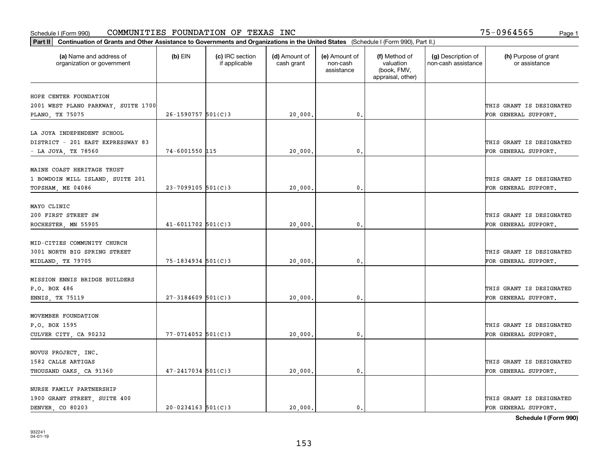| Part II   Continuation of Grants and Other Assistance to Governments and Organizations in the United States (Schedule I (Form 990), Part II.) |                         |                                  |                             |                                         |                                                                |                                           |                                       |
|-----------------------------------------------------------------------------------------------------------------------------------------------|-------------------------|----------------------------------|-----------------------------|-----------------------------------------|----------------------------------------------------------------|-------------------------------------------|---------------------------------------|
| (a) Name and address of<br>organization or government                                                                                         | $(b)$ EIN               | (c) IRC section<br>if applicable | (d) Amount of<br>cash grant | (e) Amount of<br>non-cash<br>assistance | (f) Method of<br>valuation<br>(book, FMV,<br>appraisal, other) | (g) Description of<br>non-cash assistance | (h) Purpose of grant<br>or assistance |
| HOPE CENTER FOUNDATION                                                                                                                        |                         |                                  |                             |                                         |                                                                |                                           |                                       |
| 2001 WEST PLANO PARKWAY, SUITE 1700                                                                                                           |                         |                                  |                             |                                         |                                                                |                                           | THIS GRANT IS DESIGNATED              |
| PLANO, TX 75075                                                                                                                               | $26 - 1590757$ 501(C)3  |                                  | 20,000.                     | $\mathbf{0}$ .                          |                                                                |                                           | FOR GENERAL SUPPORT.                  |
|                                                                                                                                               |                         |                                  |                             |                                         |                                                                |                                           |                                       |
| LA JOYA INDEPENDENT SCHOOL                                                                                                                    |                         |                                  |                             |                                         |                                                                |                                           |                                       |
| DISTRICT - 201 EAST EXPRESSWAY 83                                                                                                             |                         |                                  |                             |                                         |                                                                |                                           | THIS GRANT IS DESIGNATED              |
| - LA JOYA, TX 78560                                                                                                                           | 74-6001550 115          |                                  | 20,000                      | 0.                                      |                                                                |                                           | FOR GENERAL SUPPORT.                  |
|                                                                                                                                               |                         |                                  |                             |                                         |                                                                |                                           |                                       |
| MAINE COAST HERITAGE TRUST                                                                                                                    |                         |                                  |                             |                                         |                                                                |                                           | THIS GRANT IS DESIGNATED              |
| 1 BOWDOIN MILL ISLAND, SUITE 201<br>TOPSHAM, ME 04086                                                                                         | $23 - 7099105$ 501(C) 3 |                                  | 20,000.                     | $\mathbf{0}$ .                          |                                                                |                                           | FOR GENERAL SUPPORT.                  |
|                                                                                                                                               |                         |                                  |                             |                                         |                                                                |                                           |                                       |
| MAYO CLINIC                                                                                                                                   |                         |                                  |                             |                                         |                                                                |                                           |                                       |
| 200 FIRST STREET SW                                                                                                                           |                         |                                  |                             |                                         |                                                                |                                           | THIS GRANT IS DESIGNATED              |
| ROCHESTER, MN 55905                                                                                                                           | $41 - 6011702$ 501(C)3  |                                  | 20,000                      | $\mathbf{0}$                            |                                                                |                                           | FOR GENERAL SUPPORT.                  |
|                                                                                                                                               |                         |                                  |                             |                                         |                                                                |                                           |                                       |
| MID-CITIES COMMUNITY CHURCH                                                                                                                   |                         |                                  |                             |                                         |                                                                |                                           |                                       |
| 3001 NORTH BIG SPRING STREET                                                                                                                  |                         |                                  |                             |                                         |                                                                |                                           | THIS GRANT IS DESIGNATED              |
| MIDLAND, TX 79705                                                                                                                             | $75 - 1834934$ 501(C)3  |                                  | 20,000                      | $\mathbf{0}$                            |                                                                |                                           | FOR GENERAL SUPPORT.                  |
| MISSION ENNIS BRIDGE BUILDERS                                                                                                                 |                         |                                  |                             |                                         |                                                                |                                           |                                       |
| P.O. BOX 486                                                                                                                                  |                         |                                  |                             |                                         |                                                                |                                           | THIS GRANT IS DESIGNATED              |
| ENNIS, TX 75119                                                                                                                               | $27 - 3184609$ 501(C)3  |                                  | 20,000.                     | $\mathbf{0}$ .                          |                                                                |                                           | FOR GENERAL SUPPORT.                  |
|                                                                                                                                               |                         |                                  |                             |                                         |                                                                |                                           |                                       |
| MOVEMBER FOUNDATION                                                                                                                           |                         |                                  |                             |                                         |                                                                |                                           |                                       |
| P.O. BOX 1595                                                                                                                                 |                         |                                  |                             |                                         |                                                                |                                           | THIS GRANT IS DESIGNATED              |
| CULVER CITY, CA 90232                                                                                                                         | $77 - 0714052$ 501(C)3  |                                  | 20,000.                     | $^{\circ}$ .                            |                                                                |                                           | FOR GENERAL SUPPORT.                  |
|                                                                                                                                               |                         |                                  |                             |                                         |                                                                |                                           |                                       |
| NOVUS PROJECT, INC.                                                                                                                           |                         |                                  |                             |                                         |                                                                |                                           |                                       |
| 1582 CALLE ARTIGAS                                                                                                                            |                         |                                  |                             |                                         |                                                                |                                           | THIS GRANT IS DESIGNATED              |
| THOUSAND OAKS, CA 91360                                                                                                                       | $47 - 2417034$ 501(C)3  |                                  | 20,000                      | 0.                                      |                                                                |                                           | FOR GENERAL SUPPORT.                  |
| NURSE FAMILY PARTNERSHIP                                                                                                                      |                         |                                  |                             |                                         |                                                                |                                           |                                       |
| 1900 GRANT STREET, SUITE 400                                                                                                                  |                         |                                  |                             |                                         |                                                                |                                           | THIS GRANT IS DESIGNATED              |
| DENVER, CO 80203                                                                                                                              | $20 - 0234163$ 501(C)3  |                                  | 20,000.                     | $\mathfrak{o}$ .                        |                                                                |                                           | FOR GENERAL SUPPORT.                  |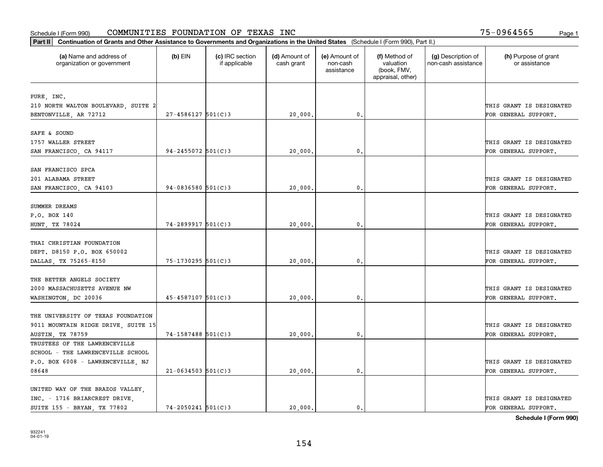| Part II   Continuation of Grants and Other Assistance to Governments and Organizations in the United States (Schedule I (Form 990), Part II.) |                        |                                  |                             |                                         |                                                                |                                           |                                       |
|-----------------------------------------------------------------------------------------------------------------------------------------------|------------------------|----------------------------------|-----------------------------|-----------------------------------------|----------------------------------------------------------------|-------------------------------------------|---------------------------------------|
| (a) Name and address of<br>organization or government                                                                                         | $(b)$ EIN              | (c) IRC section<br>if applicable | (d) Amount of<br>cash grant | (e) Amount of<br>non-cash<br>assistance | (f) Method of<br>valuation<br>(book, FMV,<br>appraisal, other) | (g) Description of<br>non-cash assistance | (h) Purpose of grant<br>or assistance |
|                                                                                                                                               |                        |                                  |                             |                                         |                                                                |                                           |                                       |
| PURE, INC.                                                                                                                                    |                        |                                  |                             |                                         |                                                                |                                           |                                       |
| 210 NORTH WALTON BOULEVARD, SUITE 2                                                                                                           |                        |                                  |                             |                                         |                                                                |                                           | THIS GRANT IS DESIGNATED              |
| BENTONVILLE, AR 72712                                                                                                                         | $27 - 4586127$ 501(C)3 |                                  | 20,000                      | 0.                                      |                                                                |                                           | FOR GENERAL SUPPORT.                  |
| SAFE & SOUND                                                                                                                                  |                        |                                  |                             |                                         |                                                                |                                           |                                       |
| 1757 WALLER STREET                                                                                                                            |                        |                                  |                             |                                         |                                                                |                                           | THIS GRANT IS DESIGNATED              |
| SAN FRANCISCO, CA 94117                                                                                                                       | $94 - 2455072$ 501(C)3 |                                  | 20,000                      | 0.                                      |                                                                |                                           | FOR GENERAL SUPPORT.                  |
|                                                                                                                                               |                        |                                  |                             |                                         |                                                                |                                           |                                       |
| SAN FRANCISCO SPCA                                                                                                                            |                        |                                  |                             |                                         |                                                                |                                           |                                       |
| 201 ALABAMA STREET                                                                                                                            |                        |                                  |                             |                                         |                                                                |                                           | THIS GRANT IS DESIGNATED              |
| SAN FRANCISCO, CA 94103                                                                                                                       | $94 - 0836580$ 501(C)3 |                                  | 20,000                      | 0.                                      |                                                                |                                           | FOR GENERAL SUPPORT.                  |
|                                                                                                                                               |                        |                                  |                             |                                         |                                                                |                                           |                                       |
| SUMMER DREAMS                                                                                                                                 |                        |                                  |                             |                                         |                                                                |                                           |                                       |
| P.O. BOX 140                                                                                                                                  |                        |                                  |                             |                                         |                                                                |                                           | THIS GRANT IS DESIGNATED              |
| HUNT, TX 78024                                                                                                                                | $74 - 2899917$ 501(C)3 |                                  | 20,000                      | 0.                                      |                                                                |                                           | FOR GENERAL SUPPORT.                  |
|                                                                                                                                               |                        |                                  |                             |                                         |                                                                |                                           |                                       |
| THAI CHRISTIAN FOUNDATION                                                                                                                     |                        |                                  |                             |                                         |                                                                |                                           |                                       |
| DEPT. D8150 P.O. BOX 650002                                                                                                                   |                        |                                  |                             |                                         |                                                                |                                           | THIS GRANT IS DESIGNATED              |
| DALLAS, TX 75265-8150                                                                                                                         | $75 - 1730295$ 501(C)3 |                                  | 20,000                      | 0.                                      |                                                                |                                           | FOR GENERAL SUPPORT.                  |
|                                                                                                                                               |                        |                                  |                             |                                         |                                                                |                                           |                                       |
| THE BETTER ANGELS SOCIETY                                                                                                                     |                        |                                  |                             |                                         |                                                                |                                           |                                       |
| 2000 MASSACHUSETTS AVENUE NW                                                                                                                  |                        |                                  |                             |                                         |                                                                |                                           | THIS GRANT IS DESIGNATED              |
| WASHINGTON, DC 20036                                                                                                                          | $45 - 4587107$ 501(C)3 |                                  | 20,000                      | $\mathbf{0}$ .                          |                                                                |                                           | FOR GENERAL SUPPORT.                  |
|                                                                                                                                               |                        |                                  |                             |                                         |                                                                |                                           |                                       |
| THE UNIVERSITY OF TEXAS FOUNDATION                                                                                                            |                        |                                  |                             |                                         |                                                                |                                           |                                       |
| 9011 MOUNTAIN RIDGE DRIVE, SUITE 15                                                                                                           |                        |                                  |                             |                                         |                                                                |                                           | THIS GRANT IS DESIGNATED              |
| AUSTIN, TX 78759                                                                                                                              | 74-1587488 501(C)3     |                                  | 20,000                      | 0.                                      |                                                                |                                           | FOR GENERAL SUPPORT.                  |
| TRUSTEES OF THE LAWRENCEVILLE                                                                                                                 |                        |                                  |                             |                                         |                                                                |                                           |                                       |
| SCHOOL - THE LAWRENCEVILLE SCHOOL                                                                                                             |                        |                                  |                             |                                         |                                                                |                                           |                                       |
| P.O. BOX 6008 - LAWRENCEVILLE, NJ                                                                                                             |                        |                                  |                             |                                         |                                                                |                                           | THIS GRANT IS DESIGNATED              |
| 08648                                                                                                                                         | $21 - 0634503$ 501(C)3 |                                  | 20,000                      | 0.                                      |                                                                |                                           | FOR GENERAL SUPPORT.                  |
|                                                                                                                                               |                        |                                  |                             |                                         |                                                                |                                           |                                       |
| UNITED WAY OF THE BRAZOS VALLEY,                                                                                                              |                        |                                  |                             |                                         |                                                                |                                           |                                       |
| INC. - 1716 BRIARCREST DRIVE,                                                                                                                 |                        |                                  |                             |                                         |                                                                |                                           | THIS GRANT IS DESIGNATED              |
| SUITE 155 - BRYAN, TX 77802                                                                                                                   | $74 - 2050241$ 501(C)3 |                                  | 20,000.                     | 0.                                      |                                                                |                                           | FOR GENERAL SUPPORT.                  |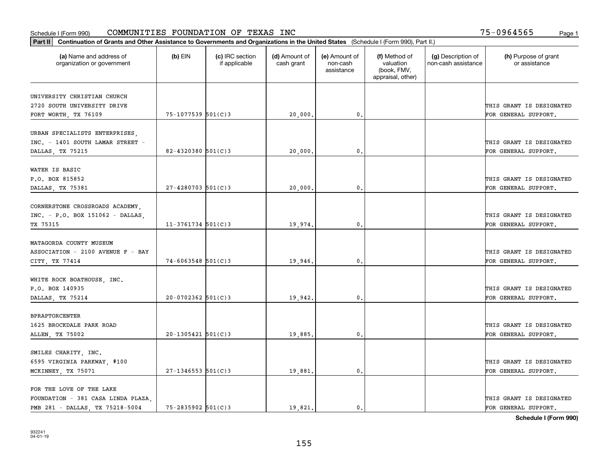| Part II   Continuation of Grants and Other Assistance to Governments and Organizations in the United States (Schedule I (Form 990), Part II.) |                        |                                  |                             |                                         |                                                                |                                           |                                       |
|-----------------------------------------------------------------------------------------------------------------------------------------------|------------------------|----------------------------------|-----------------------------|-----------------------------------------|----------------------------------------------------------------|-------------------------------------------|---------------------------------------|
| (a) Name and address of<br>organization or government                                                                                         | $(b)$ EIN              | (c) IRC section<br>if applicable | (d) Amount of<br>cash grant | (e) Amount of<br>non-cash<br>assistance | (f) Method of<br>valuation<br>(book, FMV,<br>appraisal, other) | (g) Description of<br>non-cash assistance | (h) Purpose of grant<br>or assistance |
|                                                                                                                                               |                        |                                  |                             |                                         |                                                                |                                           |                                       |
| UNIVERSITY CHRISTIAN CHURCH                                                                                                                   |                        |                                  |                             |                                         |                                                                |                                           |                                       |
| 2720 SOUTH UNIVERSITY DRIVE                                                                                                                   |                        |                                  |                             |                                         |                                                                |                                           | THIS GRANT IS DESIGNATED              |
| FORT WORTH, TX 76109                                                                                                                          | 75-1077539 501(C)3     |                                  | 20,000.                     | 0.                                      |                                                                |                                           | FOR GENERAL SUPPORT.                  |
| URBAN SPECIALISTS ENTERPRISES,                                                                                                                |                        |                                  |                             |                                         |                                                                |                                           |                                       |
| INC. - 1401 SOUTH LAMAR STREET -                                                                                                              |                        |                                  |                             |                                         |                                                                |                                           | THIS GRANT IS DESIGNATED              |
| DALLAS, TX 75215                                                                                                                              | 82-4320380 $501(C)3$   |                                  | 20,000                      | $\mathfrak{o}$ .                        |                                                                |                                           | FOR GENERAL SUPPORT.                  |
|                                                                                                                                               |                        |                                  |                             |                                         |                                                                |                                           |                                       |
| WATER IS BASIC                                                                                                                                |                        |                                  |                             |                                         |                                                                |                                           |                                       |
| P.O. BOX 815852                                                                                                                               |                        |                                  |                             |                                         |                                                                |                                           | THIS GRANT IS DESIGNATED              |
| DALLAS, TX 75381                                                                                                                              | $27 - 4280703$ 501(C)3 |                                  | 20,000                      | $\mathfrak{o}$ .                        |                                                                |                                           | FOR GENERAL SUPPORT.                  |
|                                                                                                                                               |                        |                                  |                             |                                         |                                                                |                                           |                                       |
| CORNERSTONE CROSSROADS ACADEMY,                                                                                                               |                        |                                  |                             |                                         |                                                                |                                           |                                       |
| $INC. - P.O. BOX 151062 - DALLAS,$                                                                                                            |                        |                                  |                             |                                         |                                                                |                                           | THIS GRANT IS DESIGNATED              |
| TX 75315                                                                                                                                      | $11-3761734$ 501(C)3   |                                  | 19,974.                     | 0.                                      |                                                                |                                           | FOR GENERAL SUPPORT.                  |
|                                                                                                                                               |                        |                                  |                             |                                         |                                                                |                                           |                                       |
| MATAGORDA COUNTY MUSEUM                                                                                                                       |                        |                                  |                             |                                         |                                                                |                                           |                                       |
| ASSOCIATION - 2100 AVENUE F - BAY                                                                                                             |                        |                                  |                             |                                         |                                                                |                                           | THIS GRANT IS DESIGNATED              |
| CITY, TX 77414                                                                                                                                | $74 - 6063548$ 501(C)3 |                                  | 19,946.                     | 0.                                      |                                                                |                                           | FOR GENERAL SUPPORT.                  |
|                                                                                                                                               |                        |                                  |                             |                                         |                                                                |                                           |                                       |
| WHITE ROCK BOATHOUSE, INC.                                                                                                                    |                        |                                  |                             |                                         |                                                                |                                           |                                       |
| P.O. BOX 140935                                                                                                                               |                        |                                  |                             |                                         |                                                                |                                           | THIS GRANT IS DESIGNATED              |
| DALLAS, TX 75214                                                                                                                              | $20-0702362$ 501(C)3   |                                  | 19,942.                     | $\mathfrak{o}$ .                        |                                                                |                                           | FOR GENERAL SUPPORT.                  |
|                                                                                                                                               |                        |                                  |                             |                                         |                                                                |                                           |                                       |
| <b>BPRAPTORCENTER</b>                                                                                                                         |                        |                                  |                             |                                         |                                                                |                                           |                                       |
| 1625 BROCKDALE PARK ROAD                                                                                                                      |                        |                                  |                             |                                         |                                                                |                                           | THIS GRANT IS DESIGNATED              |
| ALLEN, TX 75002                                                                                                                               | $20-1305421$ 501(C)3   |                                  | 19,885.                     | 0.                                      |                                                                |                                           | FOR GENERAL SUPPORT.                  |
|                                                                                                                                               |                        |                                  |                             |                                         |                                                                |                                           |                                       |
| SMILES CHARITY, INC.                                                                                                                          |                        |                                  |                             |                                         |                                                                |                                           |                                       |
| 6595 VIRGINIA PARKWAY, #100                                                                                                                   |                        |                                  |                             |                                         |                                                                |                                           | THIS GRANT IS DESIGNATED              |
| MCKINNEY, TX 75071                                                                                                                            | $27 - 1346553$ 501(C)3 |                                  | 19,881.                     | $\mathbf{0}$ .                          |                                                                |                                           | FOR GENERAL SUPPORT.                  |
|                                                                                                                                               |                        |                                  |                             |                                         |                                                                |                                           |                                       |
| FOR THE LOVE OF THE LAKE                                                                                                                      |                        |                                  |                             |                                         |                                                                |                                           |                                       |
| FOUNDATION - 381 CASA LINDA PLAZA.                                                                                                            |                        |                                  |                             |                                         |                                                                |                                           | THIS GRANT IS DESIGNATED              |
| PMB 281 - DALLAS, TX 75218-5004                                                                                                               | $75 - 2835902$ 501(C)3 |                                  | 19,821.                     | $\mathbf{0}$ .                          |                                                                |                                           | FOR GENERAL SUPPORT.                  |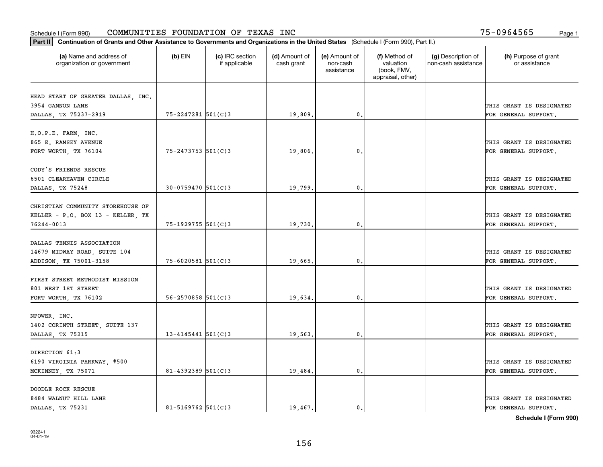| Part II   Continuation of Grants and Other Assistance to Governments and Organizations in the United States (Schedule I (Form 990), Part II.) |                          |                                  |                             |                                         |                                                                |                                           |                                       |
|-----------------------------------------------------------------------------------------------------------------------------------------------|--------------------------|----------------------------------|-----------------------------|-----------------------------------------|----------------------------------------------------------------|-------------------------------------------|---------------------------------------|
| (a) Name and address of<br>organization or government                                                                                         | $(b)$ EIN                | (c) IRC section<br>if applicable | (d) Amount of<br>cash grant | (e) Amount of<br>non-cash<br>assistance | (f) Method of<br>valuation<br>(book, FMV,<br>appraisal, other) | (g) Description of<br>non-cash assistance | (h) Purpose of grant<br>or assistance |
|                                                                                                                                               |                          |                                  |                             |                                         |                                                                |                                           |                                       |
| HEAD START OF GREATER DALLAS, INC.                                                                                                            |                          |                                  |                             |                                         |                                                                |                                           | THIS GRANT IS DESIGNATED              |
| 3954 GANNON LANE                                                                                                                              | 75-2247281 501(C)3       |                                  |                             | 0.                                      |                                                                |                                           | FOR GENERAL SUPPORT.                  |
| DALLAS, TX 75237-2919                                                                                                                         |                          |                                  | 19,809.                     |                                         |                                                                |                                           |                                       |
| H.O.P.E. FARM, INC.                                                                                                                           |                          |                                  |                             |                                         |                                                                |                                           |                                       |
| 865 E. RAMSEY AVENUE                                                                                                                          |                          |                                  |                             |                                         |                                                                |                                           | THIS GRANT IS DESIGNATED              |
| FORT WORTH, TX 76104                                                                                                                          | 75-2473753 501(C)3       |                                  | 19,806.                     | 0.                                      |                                                                |                                           | FOR GENERAL SUPPORT.                  |
|                                                                                                                                               |                          |                                  |                             |                                         |                                                                |                                           |                                       |
| CODY'S FRIENDS RESCUE                                                                                                                         |                          |                                  |                             |                                         |                                                                |                                           |                                       |
| 6501 CLEARHAVEN CIRCLE                                                                                                                        |                          |                                  |                             |                                         |                                                                |                                           | THIS GRANT IS DESIGNATED              |
| DALLAS, TX 75248                                                                                                                              | $30 - 0759470$ 501(C)3   |                                  | 19,799.                     | $\mathbf{0}$ .                          |                                                                |                                           | FOR GENERAL SUPPORT.                  |
|                                                                                                                                               |                          |                                  |                             |                                         |                                                                |                                           |                                       |
| CHRISTIAN COMMUNITY STOREHOUSE OF                                                                                                             |                          |                                  |                             |                                         |                                                                |                                           |                                       |
| KELLER - P.O. BOX 13 - KELLER, TX                                                                                                             |                          |                                  |                             |                                         |                                                                |                                           | THIS GRANT IS DESIGNATED              |
| 76244-0013                                                                                                                                    | 75-1929755 501(C)3       |                                  | 19,730.                     | 0.                                      |                                                                |                                           | FOR GENERAL SUPPORT.                  |
|                                                                                                                                               |                          |                                  |                             |                                         |                                                                |                                           |                                       |
| DALLAS TENNIS ASSOCIATION                                                                                                                     |                          |                                  |                             |                                         |                                                                |                                           |                                       |
| 14679 MIDWAY ROAD, SUITE 104                                                                                                                  |                          |                                  |                             |                                         |                                                                |                                           | THIS GRANT IS DESIGNATED              |
| ADDISON, TX 75001-3158                                                                                                                        | $75 - 6020581$ 501(C)3   |                                  | 19,665.                     | 0.                                      |                                                                |                                           | FOR GENERAL SUPPORT.                  |
|                                                                                                                                               |                          |                                  |                             |                                         |                                                                |                                           |                                       |
| FIRST STREET METHODIST MISSION                                                                                                                |                          |                                  |                             |                                         |                                                                |                                           |                                       |
| 801 WEST 1ST STREET                                                                                                                           |                          |                                  |                             |                                         |                                                                |                                           | THIS GRANT IS DESIGNATED              |
| FORT WORTH, TX 76102                                                                                                                          | $56 - 2570858$ $501(C)3$ |                                  | 19,634,                     | 0.                                      |                                                                |                                           | FOR GENERAL SUPPORT.                  |
|                                                                                                                                               |                          |                                  |                             |                                         |                                                                |                                           |                                       |
| NPOWER, INC.                                                                                                                                  |                          |                                  |                             |                                         |                                                                |                                           |                                       |
| 1402 CORINTH STREET, SUITE 137                                                                                                                |                          |                                  |                             |                                         |                                                                |                                           | THIS GRANT IS DESIGNATED              |
| DALLAS, TX 75215                                                                                                                              | $13 - 4145441$ 501(C)3   |                                  | 19,563.                     | $\mathbf{0}$ .                          |                                                                |                                           | FOR GENERAL SUPPORT.                  |
|                                                                                                                                               |                          |                                  |                             |                                         |                                                                |                                           |                                       |
| DIRECTION 61:3                                                                                                                                |                          |                                  |                             |                                         |                                                                |                                           |                                       |
| 6190 VIRGINIA PARKWAY, #500                                                                                                                   |                          |                                  |                             |                                         |                                                                |                                           | THIS GRANT IS DESIGNATED              |
| MCKINNEY, TX 75071                                                                                                                            | 81-4392389 $501(C)3$     |                                  | 19,484.                     | 0.                                      |                                                                |                                           | FOR GENERAL SUPPORT.                  |
| DOODLE ROCK RESCUE                                                                                                                            |                          |                                  |                             |                                         |                                                                |                                           |                                       |
| 8484 WALNUT HILL LANE                                                                                                                         |                          |                                  |                             |                                         |                                                                |                                           | THIS GRANT IS DESIGNATED              |
| DALLAS TX 75231                                                                                                                               | $81 - 5169762$ 501(C)3   |                                  | 19,467.                     | $\mathbf{0}$ .                          |                                                                |                                           | FOR GENERAL SUPPORT.                  |
|                                                                                                                                               |                          |                                  |                             |                                         |                                                                |                                           |                                       |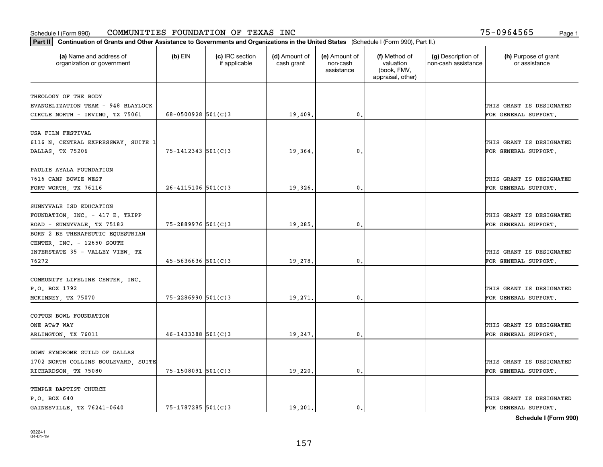| Part II   Continuation of Grants and Other Assistance to Governments and Organizations in the United States (Schedule I (Form 990), Part II.) |                          |                                  |                             |                                         |                                                                |                                           |                                       |
|-----------------------------------------------------------------------------------------------------------------------------------------------|--------------------------|----------------------------------|-----------------------------|-----------------------------------------|----------------------------------------------------------------|-------------------------------------------|---------------------------------------|
| (a) Name and address of<br>organization or government                                                                                         | $(b)$ EIN                | (c) IRC section<br>if applicable | (d) Amount of<br>cash grant | (e) Amount of<br>non-cash<br>assistance | (f) Method of<br>valuation<br>(book, FMV,<br>appraisal, other) | (g) Description of<br>non-cash assistance | (h) Purpose of grant<br>or assistance |
| THEOLOGY OF THE BODY                                                                                                                          |                          |                                  |                             |                                         |                                                                |                                           |                                       |
| EVANGELIZATION TEAM - 948 BLAYLOCK                                                                                                            |                          |                                  |                             |                                         |                                                                |                                           | THIS GRANT IS DESIGNATED              |
| CIRCLE NORTH - IRVING, TX 75061                                                                                                               | $68 - 0500928$ 501(C)3   |                                  | 19,409.                     | 0.                                      |                                                                |                                           | FOR GENERAL SUPPORT.                  |
|                                                                                                                                               |                          |                                  |                             |                                         |                                                                |                                           |                                       |
| USA FILM FESTIVAL                                                                                                                             |                          |                                  |                             |                                         |                                                                |                                           |                                       |
| 6116 N. CENTRAL EXPRESSWAY, SUITE 1                                                                                                           |                          |                                  |                             |                                         |                                                                |                                           | THIS GRANT IS DESIGNATED              |
| DALLAS, TX 75206                                                                                                                              | $75 - 1412343$ $501(C)3$ |                                  | 19,364.                     | 0.                                      |                                                                |                                           | FOR GENERAL SUPPORT.                  |
|                                                                                                                                               |                          |                                  |                             |                                         |                                                                |                                           |                                       |
| PAULIE AYALA FOUNDATION                                                                                                                       |                          |                                  |                             |                                         |                                                                |                                           |                                       |
| 7616 CAMP BOWIE WEST                                                                                                                          |                          |                                  |                             |                                         |                                                                |                                           | THIS GRANT IS DESIGNATED              |
| FORT WORTH, TX 76116                                                                                                                          | $26 - 4115106$ 501(C)3   |                                  | 19,326.                     | $\mathbf{0}$ .                          |                                                                |                                           | FOR GENERAL SUPPORT.                  |
|                                                                                                                                               |                          |                                  |                             |                                         |                                                                |                                           |                                       |
| SUNNYVALE ISD EDUCATION                                                                                                                       |                          |                                  |                             |                                         |                                                                |                                           |                                       |
| FOUNDATION, INC. - 417 E. TRIPP                                                                                                               |                          |                                  |                             |                                         |                                                                |                                           | THIS GRANT IS DESIGNATED              |
| ROAD - SUNNYVALE, TX 75182                                                                                                                    | 75-2889976 501(C)3       |                                  | 19,285.                     | $\mathbf{0}$                            |                                                                |                                           | FOR GENERAL SUPPORT.                  |
| BORN 2 BE THERAPEUTIC EQUESTRIAN                                                                                                              |                          |                                  |                             |                                         |                                                                |                                           |                                       |
| CENTER, INC. - 12650 SOUTH                                                                                                                    |                          |                                  |                             |                                         |                                                                |                                           |                                       |
| INTERSTATE 35 - VALLEY VIEW, TX                                                                                                               |                          |                                  |                             |                                         |                                                                |                                           | THIS GRANT IS DESIGNATED              |
| 76272                                                                                                                                         | $45 - 5636636$ $501(C)3$ |                                  | 19,278.                     | $\mathbf{0}$                            |                                                                |                                           | FOR GENERAL SUPPORT.                  |
|                                                                                                                                               |                          |                                  |                             |                                         |                                                                |                                           |                                       |
| COMMUNITY LIFELINE CENTER, INC.                                                                                                               |                          |                                  |                             |                                         |                                                                |                                           |                                       |
| P.O. BOX 1792                                                                                                                                 |                          |                                  |                             |                                         |                                                                |                                           | THIS GRANT IS DESIGNATED              |
| MCKINNEY, TX 75070                                                                                                                            | $75 - 2286990$ 501(C)3   |                                  | 19,271.                     | $\mathbf{0}$                            |                                                                |                                           | FOR GENERAL SUPPORT.                  |
| COTTON BOWL FOUNDATION                                                                                                                        |                          |                                  |                             |                                         |                                                                |                                           |                                       |
| ONE AT&T WAY                                                                                                                                  |                          |                                  |                             |                                         |                                                                |                                           | THIS GRANT IS DESIGNATED              |
|                                                                                                                                               | $46 - 1433388$ 501(C)3   |                                  |                             | $^{\rm 0}$ .                            |                                                                |                                           |                                       |
| ARLINGTON, TX 76011                                                                                                                           |                          |                                  | 19,247.                     |                                         |                                                                |                                           | FOR GENERAL SUPPORT.                  |
| DOWN SYNDROME GUILD OF DALLAS                                                                                                                 |                          |                                  |                             |                                         |                                                                |                                           |                                       |
| 1702 NORTH COLLINS BOULEVARD, SUITE                                                                                                           |                          |                                  |                             |                                         |                                                                |                                           | THIS GRANT IS DESIGNATED              |
| RICHARDSON, TX 75080                                                                                                                          | 75-1508091 501(C)3       |                                  | 19,220.                     | $\mathfrak{o}$ .                        |                                                                |                                           | FOR GENERAL SUPPORT.                  |
|                                                                                                                                               |                          |                                  |                             |                                         |                                                                |                                           |                                       |
| TEMPLE BAPTIST CHURCH                                                                                                                         |                          |                                  |                             |                                         |                                                                |                                           |                                       |
| P.O. BOX 640                                                                                                                                  |                          |                                  |                             |                                         |                                                                |                                           | THIS GRANT IS DESIGNATED              |
| GAINESVILLE, TX 76241-0640                                                                                                                    | $75 - 1787285$ 501(C)3   |                                  | 19,201.                     | $\mathbf{0}$ .                          |                                                                |                                           | FOR GENERAL SUPPORT.                  |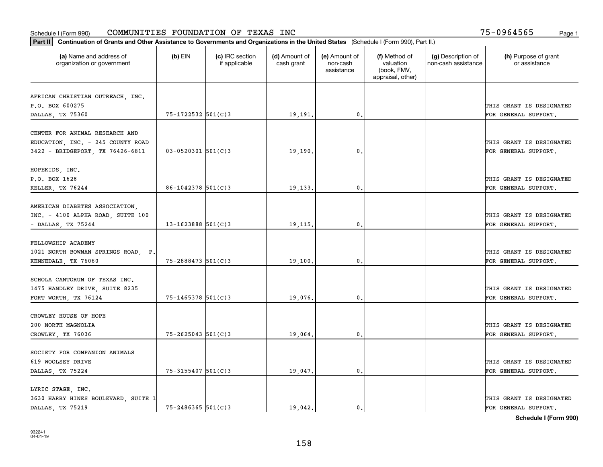| Part II   Continuation of Grants and Other Assistance to Governments and Organizations in the United States (Schedule I (Form 990), Part II.) |                         |                                  |                             |                                         |                                                                |                                           |                                       |
|-----------------------------------------------------------------------------------------------------------------------------------------------|-------------------------|----------------------------------|-----------------------------|-----------------------------------------|----------------------------------------------------------------|-------------------------------------------|---------------------------------------|
| (a) Name and address of<br>organization or government                                                                                         | $(b)$ EIN               | (c) IRC section<br>if applicable | (d) Amount of<br>cash grant | (e) Amount of<br>non-cash<br>assistance | (f) Method of<br>valuation<br>(book, FMV,<br>appraisal, other) | (g) Description of<br>non-cash assistance | (h) Purpose of grant<br>or assistance |
|                                                                                                                                               |                         |                                  |                             |                                         |                                                                |                                           |                                       |
| AFRICAN CHRISTIAN OUTREACH, INC.<br>P.O. BOX 600275                                                                                           |                         |                                  |                             |                                         |                                                                |                                           | THIS GRANT IS DESIGNATED              |
| DALLAS, TX 75360                                                                                                                              | 75-1722532 501(C)3      |                                  | 19,191.                     | 0.                                      |                                                                |                                           | FOR GENERAL SUPPORT.                  |
|                                                                                                                                               |                         |                                  |                             |                                         |                                                                |                                           |                                       |
| CENTER FOR ANIMAL RESEARCH AND                                                                                                                |                         |                                  |                             |                                         |                                                                |                                           |                                       |
| EDUCATION, INC. - 245 COUNTY ROAD                                                                                                             |                         |                                  |                             |                                         |                                                                |                                           | THIS GRANT IS DESIGNATED              |
| 3422 - BRIDGEPORT, TX 76426-6811                                                                                                              | $03 - 0520301$ 501(C)3  |                                  | 19,190.                     | 0.                                      |                                                                |                                           | FOR GENERAL SUPPORT.                  |
|                                                                                                                                               |                         |                                  |                             |                                         |                                                                |                                           |                                       |
| HOPEKIDS, INC.                                                                                                                                |                         |                                  |                             |                                         |                                                                |                                           |                                       |
| P.O. BOX 1628                                                                                                                                 |                         |                                  |                             |                                         |                                                                |                                           | THIS GRANT IS DESIGNATED              |
| KELLER, TX 76244                                                                                                                              | $86 - 1042378$ 501(C) 3 |                                  | 19,133.                     | $\mathbf{0}$ .                          |                                                                |                                           | FOR GENERAL SUPPORT.                  |
|                                                                                                                                               |                         |                                  |                             |                                         |                                                                |                                           |                                       |
| AMERICAN DIABETES ASSOCIATION,                                                                                                                |                         |                                  |                             |                                         |                                                                |                                           |                                       |
| INC. - 4100 ALPHA ROAD, SUITE 100                                                                                                             |                         |                                  |                             |                                         |                                                                |                                           | THIS GRANT IS DESIGNATED              |
| $-$ DALLAS, TX 75244                                                                                                                          | $13 - 1623888$ 501(C)3  |                                  | 19,115.                     | 0.                                      |                                                                |                                           | FOR GENERAL SUPPORT.                  |
|                                                                                                                                               |                         |                                  |                             |                                         |                                                                |                                           |                                       |
| FELLOWSHIP ACADEMY                                                                                                                            |                         |                                  |                             |                                         |                                                                |                                           | THIS GRANT IS DESIGNATED              |
| 1021 NORTH BOWMAN SPRINGS ROAD, P.<br>KENNEDALE, TX 76060                                                                                     | $75 - 2888473$ 501(C)3  |                                  | 19,100.                     | 0.                                      |                                                                |                                           | FOR GENERAL SUPPORT.                  |
|                                                                                                                                               |                         |                                  |                             |                                         |                                                                |                                           |                                       |
| SCHOLA CANTORUM OF TEXAS INC.                                                                                                                 |                         |                                  |                             |                                         |                                                                |                                           |                                       |
| 1475 HANDLEY DRIVE, SUITE 8235                                                                                                                |                         |                                  |                             |                                         |                                                                |                                           | THIS GRANT IS DESIGNATED              |
| FORT WORTH, TX 76124                                                                                                                          | $75 - 1465378$ 501(C)3  |                                  | 19,076.                     | 0.                                      |                                                                |                                           | FOR GENERAL SUPPORT.                  |
|                                                                                                                                               |                         |                                  |                             |                                         |                                                                |                                           |                                       |
| CROWLEY HOUSE OF HOPE                                                                                                                         |                         |                                  |                             |                                         |                                                                |                                           |                                       |
| 200 NORTH MAGNOLIA                                                                                                                            |                         |                                  |                             |                                         |                                                                |                                           | THIS GRANT IS DESIGNATED              |
| CROWLEY, TX 76036                                                                                                                             | $75 - 2625043$ 501(C)3  |                                  | 19,064.                     | $\mathbf{0}$ .                          |                                                                |                                           | FOR GENERAL SUPPORT.                  |
|                                                                                                                                               |                         |                                  |                             |                                         |                                                                |                                           |                                       |
| SOCIETY FOR COMPANION ANIMALS                                                                                                                 |                         |                                  |                             |                                         |                                                                |                                           |                                       |
| 619 WOOLSEY DRIVE                                                                                                                             |                         |                                  |                             |                                         |                                                                |                                           | THIS GRANT IS DESIGNATED              |
| DALLAS, TX 75224                                                                                                                              | 75-3155407 501(C)3      |                                  | 19,047.                     | $\mathbf{0}$ .                          |                                                                |                                           | FOR GENERAL SUPPORT.                  |
|                                                                                                                                               |                         |                                  |                             |                                         |                                                                |                                           |                                       |
| LYRIC STAGE, INC.                                                                                                                             |                         |                                  |                             |                                         |                                                                |                                           |                                       |
| 3630 HARRY HINES BOULEVARD, SUITE 1                                                                                                           |                         |                                  |                             |                                         |                                                                |                                           | THIS GRANT IS DESIGNATED              |
| DALLAS, TX 75219                                                                                                                              | $75 - 2486365$ 501(C)3  |                                  | 19.042.                     | $\mathbf{0}$ .                          |                                                                |                                           | FOR GENERAL SUPPORT.                  |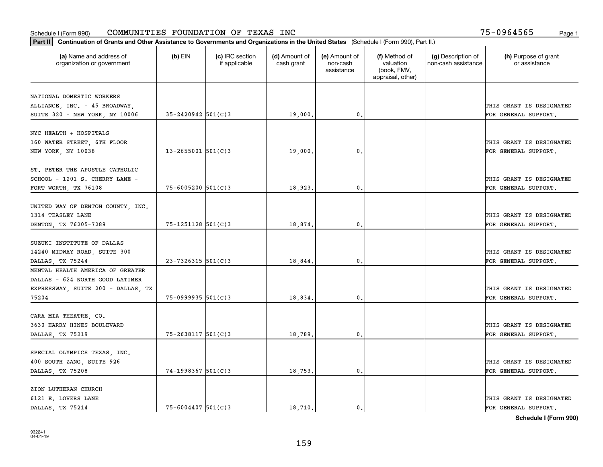| Part II   Continuation of Grants and Other Assistance to Governments and Organizations in the United States (Schedule I (Form 990), Part II.) |                        |                                  |                             |                                         |                                                                |                                           |                                       |
|-----------------------------------------------------------------------------------------------------------------------------------------------|------------------------|----------------------------------|-----------------------------|-----------------------------------------|----------------------------------------------------------------|-------------------------------------------|---------------------------------------|
| (a) Name and address of<br>organization or government                                                                                         | $(b)$ EIN              | (c) IRC section<br>if applicable | (d) Amount of<br>cash grant | (e) Amount of<br>non-cash<br>assistance | (f) Method of<br>valuation<br>(book, FMV,<br>appraisal, other) | (g) Description of<br>non-cash assistance | (h) Purpose of grant<br>or assistance |
|                                                                                                                                               |                        |                                  |                             |                                         |                                                                |                                           |                                       |
| NATIONAL DOMESTIC WORKERS                                                                                                                     |                        |                                  |                             |                                         |                                                                |                                           | THIS GRANT IS DESIGNATED              |
| ALLIANCE, INC. - 45 BROADWAY,<br>SUITE 320 - NEW YORK, NY 10006                                                                               | $35 - 2420942$ 501(C)3 |                                  | 19,000.                     | 0.                                      |                                                                |                                           | FOR GENERAL SUPPORT.                  |
|                                                                                                                                               |                        |                                  |                             |                                         |                                                                |                                           |                                       |
| NYC HEALTH + HOSPITALS                                                                                                                        |                        |                                  |                             |                                         |                                                                |                                           |                                       |
| 160 WATER STREET, 6TH FLOOR                                                                                                                   |                        |                                  |                             |                                         |                                                                |                                           | THIS GRANT IS DESIGNATED              |
| NEW YORK, NY 10038                                                                                                                            | $13 - 2655001$ 501(C)3 |                                  | 19,000                      | 0.                                      |                                                                |                                           | FOR GENERAL SUPPORT.                  |
|                                                                                                                                               |                        |                                  |                             |                                         |                                                                |                                           |                                       |
| ST. PETER THE APOSTLE CATHOLIC                                                                                                                |                        |                                  |                             |                                         |                                                                |                                           |                                       |
| SCHOOL - 1201 S. CHERRY LANE -                                                                                                                |                        |                                  |                             |                                         |                                                                |                                           | THIS GRANT IS DESIGNATED              |
| FORT WORTH, TX 76108                                                                                                                          | $75 - 6005200$ 501(C)3 |                                  | 18,923.                     | $\mathbf{0}$ .                          |                                                                |                                           | FOR GENERAL SUPPORT.                  |
|                                                                                                                                               |                        |                                  |                             |                                         |                                                                |                                           |                                       |
| UNITED WAY OF DENTON COUNTY, INC.                                                                                                             |                        |                                  |                             |                                         |                                                                |                                           |                                       |
| 1314 TEASLEY LANE                                                                                                                             |                        |                                  |                             |                                         |                                                                |                                           | THIS GRANT IS DESIGNATED              |
| DENTON, TX 76205-7289                                                                                                                         | 75-1251128 501(C)3     |                                  | 18,874.                     | 0.                                      |                                                                |                                           | FOR GENERAL SUPPORT.                  |
|                                                                                                                                               |                        |                                  |                             |                                         |                                                                |                                           |                                       |
| SUZUKI INSTITUTE OF DALLAS                                                                                                                    |                        |                                  |                             |                                         |                                                                |                                           |                                       |
| 14240 MIDWAY ROAD, SUITE 300                                                                                                                  |                        |                                  |                             |                                         |                                                                |                                           | THIS GRANT IS DESIGNATED              |
| DALLAS, TX 75244                                                                                                                              | $23 - 7326315$ 501(C)3 |                                  | 18,844.                     | 0.                                      |                                                                |                                           | FOR GENERAL SUPPORT.                  |
| MENTAL HEALTH AMERICA OF GREATER                                                                                                              |                        |                                  |                             |                                         |                                                                |                                           |                                       |
| DALLAS - 624 NORTH GOOD LATIMER                                                                                                               |                        |                                  |                             |                                         |                                                                |                                           |                                       |
| EXPRESSWAY, SUITE 200 - DALLAS, TX                                                                                                            |                        |                                  |                             |                                         |                                                                |                                           | THIS GRANT IS DESIGNATED              |
| 75204                                                                                                                                         | $75-0999935$ 501(C)3   |                                  | 18,834,                     | 0.                                      |                                                                |                                           | FOR GENERAL SUPPORT.                  |
|                                                                                                                                               |                        |                                  |                             |                                         |                                                                |                                           |                                       |
| CARA MIA THEATRE, CO.                                                                                                                         |                        |                                  |                             |                                         |                                                                |                                           |                                       |
| 3630 HARRY HINES BOULEVARD                                                                                                                    |                        |                                  |                             |                                         |                                                                |                                           | THIS GRANT IS DESIGNATED              |
|                                                                                                                                               |                        |                                  |                             | $\mathbf{0}$ .                          |                                                                |                                           |                                       |
| DALLAS, TX 75219                                                                                                                              | $75 - 2638117$ 501(C)3 |                                  | 18,789                      |                                         |                                                                |                                           | FOR GENERAL SUPPORT.                  |
| SPECIAL OLYMPICS TEXAS, INC.                                                                                                                  |                        |                                  |                             |                                         |                                                                |                                           |                                       |
| 400 SOUTH ZANG, SUITE 926                                                                                                                     |                        |                                  |                             |                                         |                                                                |                                           | THIS GRANT IS DESIGNATED              |
|                                                                                                                                               |                        |                                  |                             |                                         |                                                                |                                           |                                       |
| DALLAS, TX 75208                                                                                                                              | $74-1998367$ 501(C)3   |                                  | 18,753.                     | 0.                                      |                                                                |                                           | FOR GENERAL SUPPORT.                  |
| ZION LUTHERAN CHURCH                                                                                                                          |                        |                                  |                             |                                         |                                                                |                                           |                                       |
| 6121 E. LOVERS LANE                                                                                                                           |                        |                                  |                             |                                         |                                                                |                                           | THIS GRANT IS DESIGNATED              |
|                                                                                                                                               |                        |                                  |                             |                                         |                                                                |                                           |                                       |
| DALLAS, TX 75214                                                                                                                              | $75 - 6004407$ 501(C)3 |                                  | 18,710.                     | $\mathbf{0}$ .                          |                                                                |                                           | FOR GENERAL SUPPORT.                  |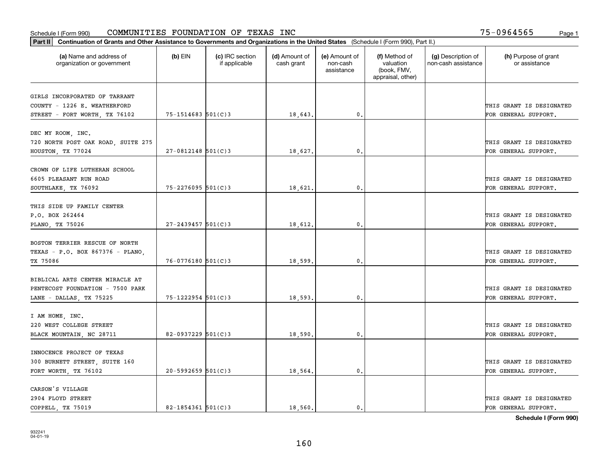| Part II   Continuation of Grants and Other Assistance to Governments and Organizations in the United States (Schedule I (Form 990), Part II.) |                        |                                  |                             |                                         |                                                                |                                           |                                       |  |
|-----------------------------------------------------------------------------------------------------------------------------------------------|------------------------|----------------------------------|-----------------------------|-----------------------------------------|----------------------------------------------------------------|-------------------------------------------|---------------------------------------|--|
| (a) Name and address of<br>organization or government                                                                                         | $(b)$ EIN              | (c) IRC section<br>if applicable | (d) Amount of<br>cash grant | (e) Amount of<br>non-cash<br>assistance | (f) Method of<br>valuation<br>(book, FMV,<br>appraisal, other) | (g) Description of<br>non-cash assistance | (h) Purpose of grant<br>or assistance |  |
|                                                                                                                                               |                        |                                  |                             |                                         |                                                                |                                           |                                       |  |
| GIRLS INCORPORATED OF TARRANT<br>COUNTY - 1226 E. WEATHERFORD                                                                                 |                        |                                  |                             |                                         |                                                                |                                           | THIS GRANT IS DESIGNATED              |  |
| STREET - FORT WORTH, TX 76102                                                                                                                 | 75-1514683 501(C)3     |                                  | 18,643.                     | 0.                                      |                                                                |                                           | FOR GENERAL SUPPORT.                  |  |
|                                                                                                                                               |                        |                                  |                             |                                         |                                                                |                                           |                                       |  |
| DEC MY ROOM, INC.                                                                                                                             |                        |                                  |                             |                                         |                                                                |                                           |                                       |  |
| 720 NORTH POST OAK ROAD, SUITE 275                                                                                                            |                        |                                  |                             |                                         |                                                                |                                           | THIS GRANT IS DESIGNATED              |  |
| HOUSTON, TX 77024                                                                                                                             | $27 - 0812148$ 501(C)3 |                                  | 18,627                      | 0.                                      |                                                                |                                           | FOR GENERAL SUPPORT.                  |  |
|                                                                                                                                               |                        |                                  |                             |                                         |                                                                |                                           |                                       |  |
| CROWN OF LIFE LUTHERAN SCHOOL                                                                                                                 |                        |                                  |                             |                                         |                                                                |                                           |                                       |  |
| 6605 PLEASANT RUN ROAD                                                                                                                        |                        |                                  |                             |                                         |                                                                |                                           | THIS GRANT IS DESIGNATED              |  |
| SOUTHLAKE, TX 76092                                                                                                                           | $75 - 2276095$ 501(C)3 |                                  | 18,621                      | $\mathbf{0}$ .                          |                                                                |                                           | FOR GENERAL SUPPORT.                  |  |
|                                                                                                                                               |                        |                                  |                             |                                         |                                                                |                                           |                                       |  |
| THIS SIDE UP FAMILY CENTER                                                                                                                    |                        |                                  |                             |                                         |                                                                |                                           |                                       |  |
| P.O. BOX 262464                                                                                                                               |                        |                                  |                             |                                         |                                                                |                                           | THIS GRANT IS DESIGNATED              |  |
| PLANO, TX 75026                                                                                                                               | $27 - 2439457$ 501(C)3 |                                  | 18,612.                     | 0.                                      |                                                                |                                           | FOR GENERAL SUPPORT.                  |  |
|                                                                                                                                               |                        |                                  |                             |                                         |                                                                |                                           |                                       |  |
| BOSTON TERRIER RESCUE OF NORTH                                                                                                                |                        |                                  |                             |                                         |                                                                |                                           |                                       |  |
| TEXAS - P.O. BOX 867376 - PLANO,                                                                                                              |                        |                                  |                             |                                         |                                                                |                                           | THIS GRANT IS DESIGNATED              |  |
| TX 75086                                                                                                                                      | 76-0776180 501(C)3     |                                  | 18,599                      | 0.                                      |                                                                |                                           | FOR GENERAL SUPPORT.                  |  |
|                                                                                                                                               |                        |                                  |                             |                                         |                                                                |                                           |                                       |  |
| BIBLICAL ARTS CENTER MIRACLE AT                                                                                                               |                        |                                  |                             |                                         |                                                                |                                           |                                       |  |
| PENTECOST FOUNDATION - 7500 PARK                                                                                                              |                        |                                  |                             |                                         |                                                                |                                           | THIS GRANT IS DESIGNATED              |  |
| LANE - DALLAS, TX 75225                                                                                                                       | $75 - 1222954$ 501(C)3 |                                  | 18,593                      | 0.                                      |                                                                |                                           | FOR GENERAL SUPPORT.                  |  |
| I AM HOME, INC.                                                                                                                               |                        |                                  |                             |                                         |                                                                |                                           |                                       |  |
| 220 WEST COLLEGE STREET                                                                                                                       |                        |                                  |                             |                                         |                                                                |                                           | THIS GRANT IS DESIGNATED              |  |
| BLACK MOUNTAIN, NC 28711                                                                                                                      | 82-0937229 $501(C)$ 3  |                                  | 18,590.                     | $\mathbf{0}$ .                          |                                                                |                                           | FOR GENERAL SUPPORT.                  |  |
|                                                                                                                                               |                        |                                  |                             |                                         |                                                                |                                           |                                       |  |
| INNOCENCE PROJECT OF TEXAS                                                                                                                    |                        |                                  |                             |                                         |                                                                |                                           |                                       |  |
| 300 BURNETT STREET, SUITE 160                                                                                                                 |                        |                                  |                             |                                         |                                                                |                                           | THIS GRANT IS DESIGNATED              |  |
| FORT WORTH, TX 76102                                                                                                                          | $20 - 5992659$ 501(C)3 |                                  | 18,564.                     | 0.                                      |                                                                |                                           | FOR GENERAL SUPPORT.                  |  |
|                                                                                                                                               |                        |                                  |                             |                                         |                                                                |                                           |                                       |  |
| CARSON'S VILLAGE                                                                                                                              |                        |                                  |                             |                                         |                                                                |                                           |                                       |  |
| 2904 FLOYD STREET                                                                                                                             |                        |                                  |                             |                                         |                                                                |                                           | THIS GRANT IS DESIGNATED              |  |
| COPPELL, TX 75019                                                                                                                             | $82 - 1854361$ 501(C)3 |                                  | 18,560.                     | 0.                                      |                                                                |                                           | FOR GENERAL SUPPORT.                  |  |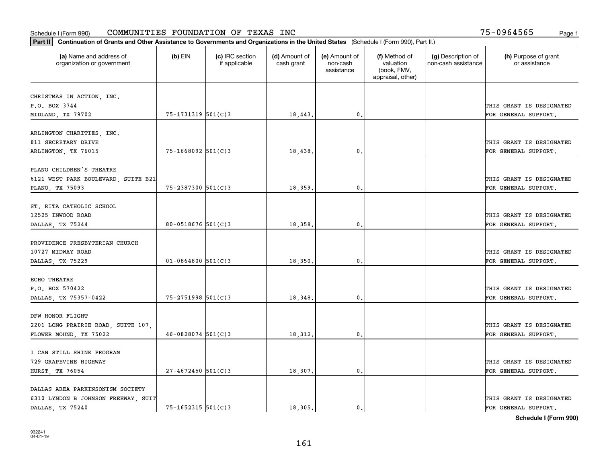| Part II   Continuation of Grants and Other Assistance to Governments and Organizations in the United States (Schedule I (Form 990), Part II.) |                          |                                  |                             |                                         |                                                                |                                           |                                       |
|-----------------------------------------------------------------------------------------------------------------------------------------------|--------------------------|----------------------------------|-----------------------------|-----------------------------------------|----------------------------------------------------------------|-------------------------------------------|---------------------------------------|
| (a) Name and address of<br>organization or government                                                                                         | $(b)$ EIN                | (c) IRC section<br>if applicable | (d) Amount of<br>cash grant | (e) Amount of<br>non-cash<br>assistance | (f) Method of<br>valuation<br>(book, FMV,<br>appraisal, other) | (g) Description of<br>non-cash assistance | (h) Purpose of grant<br>or assistance |
|                                                                                                                                               |                          |                                  |                             |                                         |                                                                |                                           |                                       |
| CHRISTMAS IN ACTION, INC.<br>P.O. BOX 3744                                                                                                    |                          |                                  |                             |                                         |                                                                |                                           | THIS GRANT IS DESIGNATED              |
| MIDLAND, TX 79702                                                                                                                             | $75 - 1731319$ $501(C)3$ |                                  | 18,443.                     | $\mathfrak{o}$ .                        |                                                                |                                           | FOR GENERAL SUPPORT.                  |
|                                                                                                                                               |                          |                                  |                             |                                         |                                                                |                                           |                                       |
| ARLINGTON CHARITIES, INC.                                                                                                                     |                          |                                  |                             |                                         |                                                                |                                           |                                       |
| 811 SECRETARY DRIVE                                                                                                                           |                          |                                  |                             |                                         |                                                                |                                           | THIS GRANT IS DESIGNATED              |
| ARLINGTON, TX 76015                                                                                                                           | $75 - 1668092$ 501(C)3   |                                  | 18,438.                     | 0.                                      |                                                                |                                           | FOR GENERAL SUPPORT.                  |
|                                                                                                                                               |                          |                                  |                             |                                         |                                                                |                                           |                                       |
| PLANO CHILDREN'S THEATRE                                                                                                                      |                          |                                  |                             |                                         |                                                                |                                           |                                       |
| 6121 WEST PARK BOULEVARD, SUITE B21                                                                                                           |                          |                                  |                             |                                         |                                                                |                                           | THIS GRANT IS DESIGNATED              |
| PLANO, TX 75093                                                                                                                               | $75 - 2387300$ 501(C)3   |                                  | 18,359.                     | $\mathfrak{o}$ .                        |                                                                |                                           | FOR GENERAL SUPPORT.                  |
|                                                                                                                                               |                          |                                  |                             |                                         |                                                                |                                           |                                       |
| ST. RITA CATHOLIC SCHOOL                                                                                                                      |                          |                                  |                             |                                         |                                                                |                                           |                                       |
| 12525 INWOOD ROAD                                                                                                                             |                          |                                  |                             |                                         |                                                                |                                           | THIS GRANT IS DESIGNATED              |
| DALLAS, TX 75244                                                                                                                              | 80-0518676 $501(C)3$     |                                  | 18,358.                     | $\mathfrak{o}$ .                        |                                                                |                                           | FOR GENERAL SUPPORT.                  |
|                                                                                                                                               |                          |                                  |                             |                                         |                                                                |                                           |                                       |
| PROVIDENCE PRESBYTERIAN CHURCH                                                                                                                |                          |                                  |                             |                                         |                                                                |                                           |                                       |
| 10727 MIDWAY ROAD                                                                                                                             |                          |                                  |                             |                                         |                                                                |                                           | THIS GRANT IS DESIGNATED              |
| DALLAS, TX 75229                                                                                                                              | $01 - 0864800$ 501(C)3   |                                  | 18,350.                     | 0.                                      |                                                                |                                           | FOR GENERAL SUPPORT.                  |
| ECHO THEATRE                                                                                                                                  |                          |                                  |                             |                                         |                                                                |                                           |                                       |
| P.O. BOX 570422                                                                                                                               |                          |                                  |                             |                                         |                                                                |                                           | THIS GRANT IS DESIGNATED              |
| DALLAS, TX 75357-0422                                                                                                                         | 75-2751998 501(C)3       |                                  | 18,348.                     | 0.                                      |                                                                |                                           | FOR GENERAL SUPPORT.                  |
|                                                                                                                                               |                          |                                  |                             |                                         |                                                                |                                           |                                       |
| DFW HONOR FLIGHT                                                                                                                              |                          |                                  |                             |                                         |                                                                |                                           |                                       |
| 2201 LONG PRAIRIE ROAD, SUITE 107,                                                                                                            |                          |                                  |                             |                                         |                                                                |                                           | THIS GRANT IS DESIGNATED              |
| FLOWER MOUND, TX 75022                                                                                                                        | $46 - 0828074$ 501(C)3   |                                  | 18,312.                     | 0.                                      |                                                                |                                           | FOR GENERAL SUPPORT.                  |
|                                                                                                                                               |                          |                                  |                             |                                         |                                                                |                                           |                                       |
| I CAN STILL SHINE PROGRAM                                                                                                                     |                          |                                  |                             |                                         |                                                                |                                           |                                       |
| 729 GRAPEVINE HIGHWAY                                                                                                                         |                          |                                  |                             |                                         |                                                                |                                           | THIS GRANT IS DESIGNATED              |
| HURST, TX 76054                                                                                                                               | $27 - 4672450$ 501(C)3   |                                  | 18,307.                     | 0.                                      |                                                                |                                           | FOR GENERAL SUPPORT.                  |
|                                                                                                                                               |                          |                                  |                             |                                         |                                                                |                                           |                                       |
| DALLAS AREA PARKINSONISM SOCIETY                                                                                                              |                          |                                  |                             |                                         |                                                                |                                           |                                       |
| 6310 LYNDON B JOHNSON FREEWAY, SUIT                                                                                                           |                          |                                  |                             |                                         |                                                                |                                           | THIS GRANT IS DESIGNATED              |
| DALLAS, TX 75240                                                                                                                              | $75 - 1652315$ 501(C)3   |                                  | 18,305.                     | $\mathbf{0}$ .                          |                                                                |                                           | FOR GENERAL SUPPORT.                  |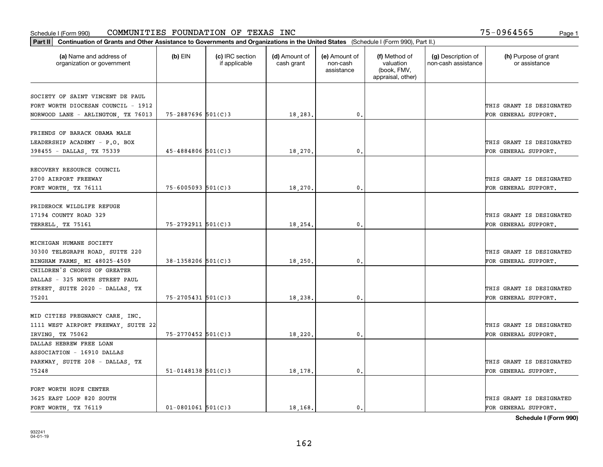#### Schedule I (Form 990) Page 1 COMMUNITIES FOUNDATION OF TEXAS INC 75-0964565

| Part II   Continuation of Grants and Other Assistance to Governments and Organizations in the United States (Schedule I (Form 990), Part II.) |                          |                                  |                             |                                         |                                                                |                                           |                                       |  |
|-----------------------------------------------------------------------------------------------------------------------------------------------|--------------------------|----------------------------------|-----------------------------|-----------------------------------------|----------------------------------------------------------------|-------------------------------------------|---------------------------------------|--|
| (a) Name and address of<br>organization or government                                                                                         | $(b)$ EIN                | (c) IRC section<br>if applicable | (d) Amount of<br>cash grant | (e) Amount of<br>non-cash<br>assistance | (f) Method of<br>valuation<br>(book, FMV,<br>appraisal, other) | (g) Description of<br>non-cash assistance | (h) Purpose of grant<br>or assistance |  |
|                                                                                                                                               |                          |                                  |                             |                                         |                                                                |                                           |                                       |  |
| SOCIETY OF SAINT VINCENT DE PAUL                                                                                                              |                          |                                  |                             |                                         |                                                                |                                           |                                       |  |
| FORT WORTH DIOCESAN COUNCIL - 1912                                                                                                            |                          |                                  |                             |                                         |                                                                |                                           | THIS GRANT IS DESIGNATED              |  |
| NORWOOD LANE - ARLINGTON, TX 76013                                                                                                            | 75-2887696 501(C)3       |                                  | 18,283.                     | 0.                                      |                                                                |                                           | FOR GENERAL SUPPORT.                  |  |
| FRIENDS OF BARACK OBAMA MALE                                                                                                                  |                          |                                  |                             |                                         |                                                                |                                           |                                       |  |
|                                                                                                                                               |                          |                                  |                             |                                         |                                                                |                                           |                                       |  |
| LEADERSHIP ACADEMY - P.O. BOX                                                                                                                 |                          |                                  |                             |                                         |                                                                |                                           | THIS GRANT IS DESIGNATED              |  |
| 398455 - DALLAS, TX 75339                                                                                                                     | $45 - 4884806$ 501(C)3   |                                  | 18,270                      | 0.                                      |                                                                |                                           | FOR GENERAL SUPPORT.                  |  |
| RECOVERY RESOURCE COUNCIL                                                                                                                     |                          |                                  |                             |                                         |                                                                |                                           |                                       |  |
| 2700 AIRPORT FREEWAY                                                                                                                          |                          |                                  |                             |                                         |                                                                |                                           | THIS GRANT IS DESIGNATED              |  |
| FORT WORTH, TX 76111                                                                                                                          | $75 - 6005093$ 501(C)3   |                                  | 18,270.                     | 0.                                      |                                                                |                                           | FOR GENERAL SUPPORT.                  |  |
|                                                                                                                                               |                          |                                  |                             |                                         |                                                                |                                           |                                       |  |
| PRIDEROCK WILDLIFE REFUGE                                                                                                                     |                          |                                  |                             |                                         |                                                                |                                           |                                       |  |
| 17194 COUNTY ROAD 329                                                                                                                         |                          |                                  |                             |                                         |                                                                |                                           | THIS GRANT IS DESIGNATED              |  |
| TERRELL, TX 75161                                                                                                                             | $75 - 2792911$ 501(C)3   |                                  | 18,254.                     | 0.                                      |                                                                |                                           | FOR GENERAL SUPPORT.                  |  |
|                                                                                                                                               |                          |                                  |                             |                                         |                                                                |                                           |                                       |  |
| MICHIGAN HUMANE SOCIETY                                                                                                                       |                          |                                  |                             |                                         |                                                                |                                           |                                       |  |
| 30300 TELEGRAPH ROAD, SUITE 220                                                                                                               |                          |                                  |                             |                                         |                                                                |                                           | THIS GRANT IS DESIGNATED              |  |
| BINGHAM FARMS, MI 48025-4509                                                                                                                  | $38 - 1358206$ 501(C)3   |                                  | 18,250                      | 0.                                      |                                                                |                                           | FOR GENERAL SUPPORT.                  |  |
| CHILDREN'S CHORUS OF GREATER                                                                                                                  |                          |                                  |                             |                                         |                                                                |                                           |                                       |  |
| DALLAS - 325 NORTH STREET PAUL                                                                                                                |                          |                                  |                             |                                         |                                                                |                                           |                                       |  |
| STREET, SUITE 2020 - DALLAS, TX                                                                                                               |                          |                                  |                             |                                         |                                                                |                                           | THIS GRANT IS DESIGNATED              |  |
| 75201                                                                                                                                         | $75 - 2705431$ 501(C)3   |                                  | 18,238.                     | 0.                                      |                                                                |                                           | FOR GENERAL SUPPORT.                  |  |
|                                                                                                                                               |                          |                                  |                             |                                         |                                                                |                                           |                                       |  |
| MID CITIES PREGNANCY CARE, INC.                                                                                                               |                          |                                  |                             |                                         |                                                                |                                           |                                       |  |
| 1111 WEST AIRPORT FREEWAY, SUITE 22                                                                                                           |                          |                                  |                             |                                         |                                                                |                                           | THIS GRANT IS DESIGNATED              |  |
| IRVING, TX 75062                                                                                                                              | 75-2770452 501(C)3       |                                  | 18,220                      | 0.                                      |                                                                |                                           | FOR GENERAL SUPPORT.                  |  |
| DALLAS HEBREW FREE LOAN                                                                                                                       |                          |                                  |                             |                                         |                                                                |                                           |                                       |  |
| ASSOCIATION - 16910 DALLAS                                                                                                                    |                          |                                  |                             |                                         |                                                                |                                           |                                       |  |
| PARKWAY, SUITE 208 - DALLAS, TX                                                                                                               |                          |                                  |                             |                                         |                                                                |                                           | THIS GRANT IS DESIGNATED              |  |
| 75248                                                                                                                                         | $51 - 0148138$ $501(C)3$ |                                  |                             |                                         |                                                                |                                           |                                       |  |
|                                                                                                                                               |                          |                                  | 18,178.                     | 0.                                      |                                                                |                                           | FOR GENERAL SUPPORT.                  |  |
| FORT WORTH HOPE CENTER                                                                                                                        |                          |                                  |                             |                                         |                                                                |                                           |                                       |  |
| 3625 EAST LOOP 820 SOUTH                                                                                                                      |                          |                                  |                             |                                         |                                                                |                                           | THIS GRANT IS DESIGNATED              |  |
| FORT WORTH TX 76119                                                                                                                           | $01 - 0801061$ 501(C)3   |                                  | 18,168.                     | $\mathbf{0}$ .                          |                                                                |                                           | FOR GENERAL SUPPORT.                  |  |
|                                                                                                                                               |                          |                                  |                             |                                         |                                                                |                                           |                                       |  |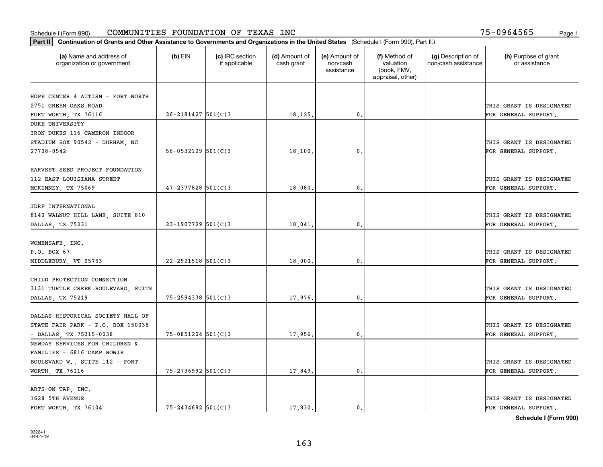| Part II   Continuation of Grants and Other Assistance to Governments and Organizations in the United States (Schedule I (Form 990), Part II.) |                          |                                  |                             |                                         |                                                                |                                           |                                       |
|-----------------------------------------------------------------------------------------------------------------------------------------------|--------------------------|----------------------------------|-----------------------------|-----------------------------------------|----------------------------------------------------------------|-------------------------------------------|---------------------------------------|
| (a) Name and address of<br>organization or government                                                                                         | $(b)$ EIN                | (c) IRC section<br>if applicable | (d) Amount of<br>cash grant | (e) Amount of<br>non-cash<br>assistance | (f) Method of<br>valuation<br>(book, FMV,<br>appraisal, other) | (g) Description of<br>non-cash assistance | (h) Purpose of grant<br>or assistance |
|                                                                                                                                               |                          |                                  |                             |                                         |                                                                |                                           |                                       |
| HOPE CENTER 4 AUTISM - FORT WORTH<br>2751 GREEN OAKS ROAD                                                                                     |                          |                                  |                             |                                         |                                                                |                                           | THIS GRANT IS DESIGNATED              |
| FORT WORTH, TX 76116                                                                                                                          | $26 - 2181427$ 501(C)3   |                                  | 18,125.                     | 0.                                      |                                                                |                                           | FOR GENERAL SUPPORT.                  |
| DUKE UNIVERSITY                                                                                                                               |                          |                                  |                             |                                         |                                                                |                                           |                                       |
| IRON DUKES 116 CAMERON INDOOR                                                                                                                 |                          |                                  |                             |                                         |                                                                |                                           |                                       |
| STADIUM BOX 90542 - DURHAM, NC                                                                                                                |                          |                                  |                             |                                         |                                                                |                                           | THIS GRANT IS DESIGNATED              |
| 27708-0542                                                                                                                                    | $56 - 0532129$ $501(C)3$ |                                  | 18,100                      | 0.                                      |                                                                |                                           | FOR GENERAL SUPPORT.                  |
|                                                                                                                                               |                          |                                  |                             |                                         |                                                                |                                           |                                       |
| HARVEST SEED PROJECT FOUNDATION                                                                                                               |                          |                                  |                             |                                         |                                                                |                                           |                                       |
| 112 EAST LOUISIANA STREET                                                                                                                     |                          |                                  |                             |                                         |                                                                |                                           | THIS GRANT IS DESIGNATED              |
| MCKINNEY, TX 75069                                                                                                                            | $47 - 2377828$ 501(C)3   |                                  | 18,080.                     | 0.                                      |                                                                |                                           | FOR GENERAL SUPPORT.                  |
|                                                                                                                                               |                          |                                  |                             |                                         |                                                                |                                           |                                       |
| JDRF INTERNATIONAL                                                                                                                            |                          |                                  |                             |                                         |                                                                |                                           |                                       |
| 8140 WALNUT HILL LANE, SUITE 810                                                                                                              |                          |                                  |                             |                                         |                                                                |                                           | THIS GRANT IS DESIGNATED              |
| DALLAS, TX 75231                                                                                                                              | 23-1907729 501(C)3       |                                  | 18,041                      | $\mathbf{0}$ .                          |                                                                |                                           | FOR GENERAL SUPPORT.                  |
|                                                                                                                                               |                          |                                  |                             |                                         |                                                                |                                           |                                       |
| WOMENSAFE, INC.                                                                                                                               |                          |                                  |                             |                                         |                                                                |                                           |                                       |
| P.O. BOX 67                                                                                                                                   |                          |                                  |                             |                                         |                                                                |                                           | THIS GRANT IS DESIGNATED              |
| MIDDLEBURY, VT 05753                                                                                                                          | $22 - 2921518$ 501(C)3   |                                  | 18,000.                     | 0.                                      |                                                                |                                           | FOR GENERAL SUPPORT.                  |
|                                                                                                                                               |                          |                                  |                             |                                         |                                                                |                                           |                                       |
| CHILD PROTECTION CONNECTION                                                                                                                   |                          |                                  |                             |                                         |                                                                |                                           |                                       |
| 3131 TURTLE CREEK BOULEVARD, SUITE                                                                                                            |                          |                                  |                             |                                         |                                                                |                                           | THIS GRANT IS DESIGNATED              |
| DALLAS, TX 75219                                                                                                                              | $75 - 2594338$ 501(C)3   |                                  | 17,976.                     | 0.                                      |                                                                |                                           | FOR GENERAL SUPPORT.                  |
|                                                                                                                                               |                          |                                  |                             |                                         |                                                                |                                           |                                       |
| DALLAS HISTORICAL SOCIETY HALL OF                                                                                                             |                          |                                  |                             |                                         |                                                                |                                           |                                       |
| STATE FAIR PARK - P.O. BOX 150038                                                                                                             |                          |                                  |                             |                                         |                                                                |                                           | THIS GRANT IS DESIGNATED              |
| - DALLAS, TX 75315-0038                                                                                                                       | 75-0851204 501(C)3       |                                  | 17,956.                     | $\mathbf{0}$ .                          |                                                                |                                           | FOR GENERAL SUPPORT.                  |
| NEWDAY SERVICES FOR CHILDREN &                                                                                                                |                          |                                  |                             |                                         |                                                                |                                           |                                       |
| FAMILIES - 6816 CAMP BOWIE                                                                                                                    |                          |                                  |                             |                                         |                                                                |                                           |                                       |
| BOULEVARD W., SUITE 112 - FORT                                                                                                                |                          |                                  |                             |                                         |                                                                |                                           | THIS GRANT IS DESIGNATED              |
| WORTH, TX 76116                                                                                                                               | 75-2736992 501(C)3       |                                  | 17,849.                     | $\mathfrak o$ .                         |                                                                |                                           | FOR GENERAL SUPPORT.                  |
|                                                                                                                                               |                          |                                  |                             |                                         |                                                                |                                           |                                       |
| ARTS ON TAP, INC.<br>1628 5TH AVENUE                                                                                                          |                          |                                  |                             |                                         |                                                                |                                           | THIS GRANT IS DESIGNATED              |
| FORT WORTH TX 76104                                                                                                                           | $75 - 2434692$ 501(C)3   |                                  | 17,830.                     | $\mathbf{0}$ .                          |                                                                |                                           | FOR GENERAL SUPPORT.                  |
|                                                                                                                                               |                          |                                  |                             |                                         |                                                                |                                           |                                       |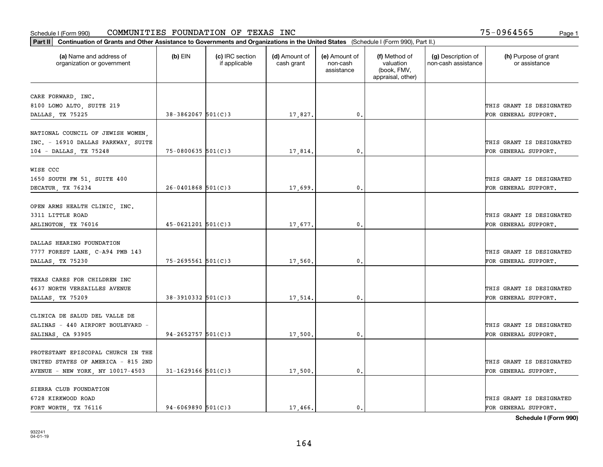| (a) Name and address of<br>(c) IRC section<br>(d) Amount of<br>(e) Amount of<br>(f) Method of<br>(g) Description of<br>(h) Purpose of grant<br>(b) $EIN$<br>valuation<br>non-cash assistance<br>organization or government<br>if applicable<br>cash grant<br>non-cash<br>or assistance<br>(book, FMV,<br>assistance<br>appraisal, other)<br>CARE FORWARD, INC.<br>8100 LOMO ALTO, SUITE 219<br>THIS GRANT IS DESIGNATED<br>$38 - 3862067$ 501(C)3<br>0.<br>DALLAS, TX 75225<br>17,827.<br>FOR GENERAL SUPPORT.<br>NATIONAL COUNCIL OF JEWISH WOMEN,<br>INC. - 16910 DALLAS PARKWAY, SUITE<br>THIS GRANT IS DESIGNATED<br>$75 - 0800635$ 501(C)3<br>0.<br>104 - DALLAS, TX 75248<br>17,814.<br>FOR GENERAL SUPPORT.<br>WISE CCC<br>1650 SOUTH FM 51, SUITE 400<br>THIS GRANT IS DESIGNATED<br>$26 - 0401868$ 501(C)3<br>DECATUR, TX 76234<br>17,699<br>0.<br>FOR GENERAL SUPPORT.<br>OPEN ARMS HEALTH CLINIC, INC.<br>3311 LITTLE ROAD<br>THIS GRANT IS DESIGNATED<br>$45 - 0621201$ 501(C)3<br>0.<br>ARLINGTON, TX 76016<br>17,677.<br>FOR GENERAL SUPPORT.<br>DALLAS HEARING FOUNDATION<br>7777 FOREST LANE, C-A94 PMB 143<br>THIS GRANT IS DESIGNATED<br>$75 - 2695561$ 501(C)3<br>DALLAS, TX 75230<br>17,560<br>0.<br>FOR GENERAL SUPPORT.<br>TEXAS CARES FOR CHILDREN INC<br>4637 NORTH VERSAILLES AVENUE<br>THIS GRANT IS DESIGNATED<br>$38 - 3910332$ $501(C)3$<br>17,514.<br>0.<br>FOR GENERAL SUPPORT.<br>DALLAS, TX 75209<br>CLINICA DE SALUD DEL VALLE DE<br>SALINAS - 440 AIRPORT BOULEVARD -<br>THIS GRANT IS DESIGNATED<br>$94 - 2652757$ 501(C)3<br>17,500<br>0.<br>FOR GENERAL SUPPORT.<br>SALINAS, CA 93905<br>PROTESTANT EPISCOPAL CHURCH IN THE<br>UNITED STATES OF AMERICA - 815 2ND<br>THIS GRANT IS DESIGNATED | Part II   Continuation of Grants and Other Assistance to Governments and Organizations in the United States (Schedule I (Form 990), Part II.) |  |  |  |  |  |  |  |  |
|-------------------------------------------------------------------------------------------------------------------------------------------------------------------------------------------------------------------------------------------------------------------------------------------------------------------------------------------------------------------------------------------------------------------------------------------------------------------------------------------------------------------------------------------------------------------------------------------------------------------------------------------------------------------------------------------------------------------------------------------------------------------------------------------------------------------------------------------------------------------------------------------------------------------------------------------------------------------------------------------------------------------------------------------------------------------------------------------------------------------------------------------------------------------------------------------------------------------------------------------------------------------------------------------------------------------------------------------------------------------------------------------------------------------------------------------------------------------------------------------------------------------------------------------------------------------------------------------------------------------------------------------------------------------------------------------------------------------------------------|-----------------------------------------------------------------------------------------------------------------------------------------------|--|--|--|--|--|--|--|--|
|                                                                                                                                                                                                                                                                                                                                                                                                                                                                                                                                                                                                                                                                                                                                                                                                                                                                                                                                                                                                                                                                                                                                                                                                                                                                                                                                                                                                                                                                                                                                                                                                                                                                                                                                     |                                                                                                                                               |  |  |  |  |  |  |  |  |
|                                                                                                                                                                                                                                                                                                                                                                                                                                                                                                                                                                                                                                                                                                                                                                                                                                                                                                                                                                                                                                                                                                                                                                                                                                                                                                                                                                                                                                                                                                                                                                                                                                                                                                                                     |                                                                                                                                               |  |  |  |  |  |  |  |  |
|                                                                                                                                                                                                                                                                                                                                                                                                                                                                                                                                                                                                                                                                                                                                                                                                                                                                                                                                                                                                                                                                                                                                                                                                                                                                                                                                                                                                                                                                                                                                                                                                                                                                                                                                     |                                                                                                                                               |  |  |  |  |  |  |  |  |
|                                                                                                                                                                                                                                                                                                                                                                                                                                                                                                                                                                                                                                                                                                                                                                                                                                                                                                                                                                                                                                                                                                                                                                                                                                                                                                                                                                                                                                                                                                                                                                                                                                                                                                                                     |                                                                                                                                               |  |  |  |  |  |  |  |  |
|                                                                                                                                                                                                                                                                                                                                                                                                                                                                                                                                                                                                                                                                                                                                                                                                                                                                                                                                                                                                                                                                                                                                                                                                                                                                                                                                                                                                                                                                                                                                                                                                                                                                                                                                     |                                                                                                                                               |  |  |  |  |  |  |  |  |
|                                                                                                                                                                                                                                                                                                                                                                                                                                                                                                                                                                                                                                                                                                                                                                                                                                                                                                                                                                                                                                                                                                                                                                                                                                                                                                                                                                                                                                                                                                                                                                                                                                                                                                                                     |                                                                                                                                               |  |  |  |  |  |  |  |  |
|                                                                                                                                                                                                                                                                                                                                                                                                                                                                                                                                                                                                                                                                                                                                                                                                                                                                                                                                                                                                                                                                                                                                                                                                                                                                                                                                                                                                                                                                                                                                                                                                                                                                                                                                     |                                                                                                                                               |  |  |  |  |  |  |  |  |
|                                                                                                                                                                                                                                                                                                                                                                                                                                                                                                                                                                                                                                                                                                                                                                                                                                                                                                                                                                                                                                                                                                                                                                                                                                                                                                                                                                                                                                                                                                                                                                                                                                                                                                                                     |                                                                                                                                               |  |  |  |  |  |  |  |  |
|                                                                                                                                                                                                                                                                                                                                                                                                                                                                                                                                                                                                                                                                                                                                                                                                                                                                                                                                                                                                                                                                                                                                                                                                                                                                                                                                                                                                                                                                                                                                                                                                                                                                                                                                     |                                                                                                                                               |  |  |  |  |  |  |  |  |
|                                                                                                                                                                                                                                                                                                                                                                                                                                                                                                                                                                                                                                                                                                                                                                                                                                                                                                                                                                                                                                                                                                                                                                                                                                                                                                                                                                                                                                                                                                                                                                                                                                                                                                                                     |                                                                                                                                               |  |  |  |  |  |  |  |  |
|                                                                                                                                                                                                                                                                                                                                                                                                                                                                                                                                                                                                                                                                                                                                                                                                                                                                                                                                                                                                                                                                                                                                                                                                                                                                                                                                                                                                                                                                                                                                                                                                                                                                                                                                     |                                                                                                                                               |  |  |  |  |  |  |  |  |
|                                                                                                                                                                                                                                                                                                                                                                                                                                                                                                                                                                                                                                                                                                                                                                                                                                                                                                                                                                                                                                                                                                                                                                                                                                                                                                                                                                                                                                                                                                                                                                                                                                                                                                                                     |                                                                                                                                               |  |  |  |  |  |  |  |  |
|                                                                                                                                                                                                                                                                                                                                                                                                                                                                                                                                                                                                                                                                                                                                                                                                                                                                                                                                                                                                                                                                                                                                                                                                                                                                                                                                                                                                                                                                                                                                                                                                                                                                                                                                     |                                                                                                                                               |  |  |  |  |  |  |  |  |
|                                                                                                                                                                                                                                                                                                                                                                                                                                                                                                                                                                                                                                                                                                                                                                                                                                                                                                                                                                                                                                                                                                                                                                                                                                                                                                                                                                                                                                                                                                                                                                                                                                                                                                                                     |                                                                                                                                               |  |  |  |  |  |  |  |  |
|                                                                                                                                                                                                                                                                                                                                                                                                                                                                                                                                                                                                                                                                                                                                                                                                                                                                                                                                                                                                                                                                                                                                                                                                                                                                                                                                                                                                                                                                                                                                                                                                                                                                                                                                     |                                                                                                                                               |  |  |  |  |  |  |  |  |
|                                                                                                                                                                                                                                                                                                                                                                                                                                                                                                                                                                                                                                                                                                                                                                                                                                                                                                                                                                                                                                                                                                                                                                                                                                                                                                                                                                                                                                                                                                                                                                                                                                                                                                                                     |                                                                                                                                               |  |  |  |  |  |  |  |  |
|                                                                                                                                                                                                                                                                                                                                                                                                                                                                                                                                                                                                                                                                                                                                                                                                                                                                                                                                                                                                                                                                                                                                                                                                                                                                                                                                                                                                                                                                                                                                                                                                                                                                                                                                     |                                                                                                                                               |  |  |  |  |  |  |  |  |
|                                                                                                                                                                                                                                                                                                                                                                                                                                                                                                                                                                                                                                                                                                                                                                                                                                                                                                                                                                                                                                                                                                                                                                                                                                                                                                                                                                                                                                                                                                                                                                                                                                                                                                                                     |                                                                                                                                               |  |  |  |  |  |  |  |  |
|                                                                                                                                                                                                                                                                                                                                                                                                                                                                                                                                                                                                                                                                                                                                                                                                                                                                                                                                                                                                                                                                                                                                                                                                                                                                                                                                                                                                                                                                                                                                                                                                                                                                                                                                     |                                                                                                                                               |  |  |  |  |  |  |  |  |
|                                                                                                                                                                                                                                                                                                                                                                                                                                                                                                                                                                                                                                                                                                                                                                                                                                                                                                                                                                                                                                                                                                                                                                                                                                                                                                                                                                                                                                                                                                                                                                                                                                                                                                                                     |                                                                                                                                               |  |  |  |  |  |  |  |  |
|                                                                                                                                                                                                                                                                                                                                                                                                                                                                                                                                                                                                                                                                                                                                                                                                                                                                                                                                                                                                                                                                                                                                                                                                                                                                                                                                                                                                                                                                                                                                                                                                                                                                                                                                     |                                                                                                                                               |  |  |  |  |  |  |  |  |
|                                                                                                                                                                                                                                                                                                                                                                                                                                                                                                                                                                                                                                                                                                                                                                                                                                                                                                                                                                                                                                                                                                                                                                                                                                                                                                                                                                                                                                                                                                                                                                                                                                                                                                                                     |                                                                                                                                               |  |  |  |  |  |  |  |  |
|                                                                                                                                                                                                                                                                                                                                                                                                                                                                                                                                                                                                                                                                                                                                                                                                                                                                                                                                                                                                                                                                                                                                                                                                                                                                                                                                                                                                                                                                                                                                                                                                                                                                                                                                     |                                                                                                                                               |  |  |  |  |  |  |  |  |
|                                                                                                                                                                                                                                                                                                                                                                                                                                                                                                                                                                                                                                                                                                                                                                                                                                                                                                                                                                                                                                                                                                                                                                                                                                                                                                                                                                                                                                                                                                                                                                                                                                                                                                                                     |                                                                                                                                               |  |  |  |  |  |  |  |  |
|                                                                                                                                                                                                                                                                                                                                                                                                                                                                                                                                                                                                                                                                                                                                                                                                                                                                                                                                                                                                                                                                                                                                                                                                                                                                                                                                                                                                                                                                                                                                                                                                                                                                                                                                     |                                                                                                                                               |  |  |  |  |  |  |  |  |
|                                                                                                                                                                                                                                                                                                                                                                                                                                                                                                                                                                                                                                                                                                                                                                                                                                                                                                                                                                                                                                                                                                                                                                                                                                                                                                                                                                                                                                                                                                                                                                                                                                                                                                                                     |                                                                                                                                               |  |  |  |  |  |  |  |  |
|                                                                                                                                                                                                                                                                                                                                                                                                                                                                                                                                                                                                                                                                                                                                                                                                                                                                                                                                                                                                                                                                                                                                                                                                                                                                                                                                                                                                                                                                                                                                                                                                                                                                                                                                     |                                                                                                                                               |  |  |  |  |  |  |  |  |
|                                                                                                                                                                                                                                                                                                                                                                                                                                                                                                                                                                                                                                                                                                                                                                                                                                                                                                                                                                                                                                                                                                                                                                                                                                                                                                                                                                                                                                                                                                                                                                                                                                                                                                                                     |                                                                                                                                               |  |  |  |  |  |  |  |  |
|                                                                                                                                                                                                                                                                                                                                                                                                                                                                                                                                                                                                                                                                                                                                                                                                                                                                                                                                                                                                                                                                                                                                                                                                                                                                                                                                                                                                                                                                                                                                                                                                                                                                                                                                     |                                                                                                                                               |  |  |  |  |  |  |  |  |
|                                                                                                                                                                                                                                                                                                                                                                                                                                                                                                                                                                                                                                                                                                                                                                                                                                                                                                                                                                                                                                                                                                                                                                                                                                                                                                                                                                                                                                                                                                                                                                                                                                                                                                                                     |                                                                                                                                               |  |  |  |  |  |  |  |  |
|                                                                                                                                                                                                                                                                                                                                                                                                                                                                                                                                                                                                                                                                                                                                                                                                                                                                                                                                                                                                                                                                                                                                                                                                                                                                                                                                                                                                                                                                                                                                                                                                                                                                                                                                     |                                                                                                                                               |  |  |  |  |  |  |  |  |
| $31 - 1629166$ 501(C)3<br>AVENUE - NEW YORK, NY 10017-4503<br>17,500.<br>0.<br>FOR GENERAL SUPPORT.                                                                                                                                                                                                                                                                                                                                                                                                                                                                                                                                                                                                                                                                                                                                                                                                                                                                                                                                                                                                                                                                                                                                                                                                                                                                                                                                                                                                                                                                                                                                                                                                                                 |                                                                                                                                               |  |  |  |  |  |  |  |  |
| SIERRA CLUB FOUNDATION                                                                                                                                                                                                                                                                                                                                                                                                                                                                                                                                                                                                                                                                                                                                                                                                                                                                                                                                                                                                                                                                                                                                                                                                                                                                                                                                                                                                                                                                                                                                                                                                                                                                                                              |                                                                                                                                               |  |  |  |  |  |  |  |  |
| 6728 KIRKWOOD ROAD<br>THIS GRANT IS DESIGNATED                                                                                                                                                                                                                                                                                                                                                                                                                                                                                                                                                                                                                                                                                                                                                                                                                                                                                                                                                                                                                                                                                                                                                                                                                                                                                                                                                                                                                                                                                                                                                                                                                                                                                      |                                                                                                                                               |  |  |  |  |  |  |  |  |
| FORT WORTH TX 76116<br>$94 - 6069890$ 501(C)3<br>17,466.<br>$\mathbf{0}$ .<br>FOR GENERAL SUPPORT.                                                                                                                                                                                                                                                                                                                                                                                                                                                                                                                                                                                                                                                                                                                                                                                                                                                                                                                                                                                                                                                                                                                                                                                                                                                                                                                                                                                                                                                                                                                                                                                                                                  |                                                                                                                                               |  |  |  |  |  |  |  |  |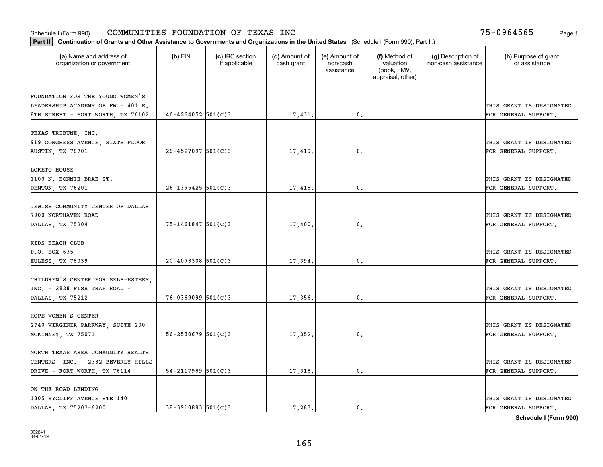| Part II   Continuation of Grants and Other Assistance to Governments and Organizations in the United States (Schedule I (Form 990), Part II.) |                          |                                  |                             |                                         |                                                                |                                           |                                       |  |
|-----------------------------------------------------------------------------------------------------------------------------------------------|--------------------------|----------------------------------|-----------------------------|-----------------------------------------|----------------------------------------------------------------|-------------------------------------------|---------------------------------------|--|
| (a) Name and address of<br>organization or government                                                                                         | $(b)$ EIN                | (c) IRC section<br>if applicable | (d) Amount of<br>cash grant | (e) Amount of<br>non-cash<br>assistance | (f) Method of<br>valuation<br>(book, FMV,<br>appraisal, other) | (g) Description of<br>non-cash assistance | (h) Purpose of grant<br>or assistance |  |
|                                                                                                                                               |                          |                                  |                             |                                         |                                                                |                                           |                                       |  |
| FOUNDATION FOR THE YOUNG WOMEN'S<br>LEADERSHIP ACADEMY OF FW - 401 E.                                                                         |                          |                                  |                             |                                         |                                                                |                                           | THIS GRANT IS DESIGNATED              |  |
| 8TH STREET - FORT WORTH, TX 76102                                                                                                             | $46 - 4264052$ 501(C)3   |                                  | 17,431.                     | 0.                                      |                                                                |                                           | FOR GENERAL SUPPORT.                  |  |
|                                                                                                                                               |                          |                                  |                             |                                         |                                                                |                                           |                                       |  |
| TEXAS TRIBUNE, INC.                                                                                                                           |                          |                                  |                             |                                         |                                                                |                                           |                                       |  |
| 919 CONGRESS AVENUE, SIXTH FLOOR                                                                                                              |                          |                                  |                             |                                         |                                                                |                                           | THIS GRANT IS DESIGNATED              |  |
| AUSTIN, TX 78701                                                                                                                              | $26 - 4527097$ 501(C)3   |                                  | 17,419                      | $^{\circ}$ .                            |                                                                |                                           | FOR GENERAL SUPPORT.                  |  |
|                                                                                                                                               |                          |                                  |                             |                                         |                                                                |                                           |                                       |  |
| LORETO HOUSE                                                                                                                                  |                          |                                  |                             |                                         |                                                                |                                           |                                       |  |
| 1100 N. BONNIE BRAE ST.                                                                                                                       |                          |                                  |                             |                                         |                                                                |                                           | THIS GRANT IS DESIGNATED              |  |
| DENTON, TX 76201                                                                                                                              | $26 - 1395425$ 501(C)3   |                                  | 17,415.                     | $\mathbf{0}$ .                          |                                                                |                                           | FOR GENERAL SUPPORT.                  |  |
| JEWISH COMMUNITY CENTER OF DALLAS                                                                                                             |                          |                                  |                             |                                         |                                                                |                                           |                                       |  |
| 7900 NORTHAVEN ROAD                                                                                                                           |                          |                                  |                             |                                         |                                                                |                                           | THIS GRANT IS DESIGNATED              |  |
| DALLAS, TX 75204                                                                                                                              | 75-1461847 501(C)3       |                                  | 17,400                      | 0.                                      |                                                                |                                           | FOR GENERAL SUPPORT.                  |  |
|                                                                                                                                               |                          |                                  |                             |                                         |                                                                |                                           |                                       |  |
| KIDS BEACH CLUB                                                                                                                               |                          |                                  |                             |                                         |                                                                |                                           |                                       |  |
| P.O. BOX 635                                                                                                                                  |                          |                                  |                             |                                         |                                                                |                                           | THIS GRANT IS DESIGNATED              |  |
| EULESS, TX 76039                                                                                                                              | $20 - 4073308$ 501(C)3   |                                  | 17,394.                     | 0.                                      |                                                                |                                           | FOR GENERAL SUPPORT.                  |  |
|                                                                                                                                               |                          |                                  |                             |                                         |                                                                |                                           |                                       |  |
| CHILDREN'S CENTER FOR SELF-ESTEEM                                                                                                             |                          |                                  |                             |                                         |                                                                |                                           |                                       |  |
| INC. - 2828 FISH TRAP ROAD -                                                                                                                  |                          |                                  |                             |                                         |                                                                |                                           | THIS GRANT IS DESIGNATED              |  |
| DALLAS, TX 75212                                                                                                                              | $76 - 0369099$ 501(C)3   |                                  | 17,356.                     | 0.                                      |                                                                |                                           | FOR GENERAL SUPPORT.                  |  |
|                                                                                                                                               |                          |                                  |                             |                                         |                                                                |                                           |                                       |  |
| HOPE WOMEN'S CENTER                                                                                                                           |                          |                                  |                             |                                         |                                                                |                                           |                                       |  |
| 2740 VIRGINIA PARKWAY, SUITE 200                                                                                                              |                          |                                  |                             |                                         |                                                                |                                           | THIS GRANT IS DESIGNATED              |  |
| MCKINNEY TX 75071                                                                                                                             | $56 - 2530679$ $501(C)3$ |                                  | 17,352.                     | $\mathbf{0}$ .                          |                                                                |                                           | FOR GENERAL SUPPORT.                  |  |
| NORTH TEXAS AREA COMMUNITY HEALTH                                                                                                             |                          |                                  |                             |                                         |                                                                |                                           |                                       |  |
| CENTERS, INC. - 2332 BEVERLY HILLS                                                                                                            |                          |                                  |                             |                                         |                                                                |                                           | THIS GRANT IS DESIGNATED              |  |
| DRIVE - FORT WORTH, TX 76114                                                                                                                  | $54 - 2117989$ 501(C)3   |                                  | 17,318.                     | 0.                                      |                                                                |                                           | FOR GENERAL SUPPORT.                  |  |
|                                                                                                                                               |                          |                                  |                             |                                         |                                                                |                                           |                                       |  |
| ON THE ROAD LENDING                                                                                                                           |                          |                                  |                             |                                         |                                                                |                                           |                                       |  |
| 1305 WYCLIFF AVENUE STE 140                                                                                                                   |                          |                                  |                             |                                         |                                                                |                                           | THIS GRANT IS DESIGNATED              |  |
| DALLAS TX 75207-6200                                                                                                                          | $38 - 3910893$ 501(C) 3  |                                  | 17,283.                     | 0.                                      |                                                                |                                           | FOR GENERAL SUPPORT.                  |  |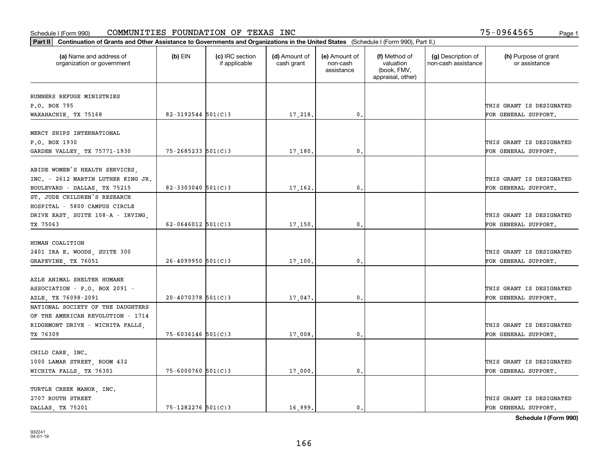| Part II   Continuation of Grants and Other Assistance to Governments and Organizations in the United States (Schedule I (Form 990), Part II.) |                          |                                  |                             |                                         |                                                                |                                           |                                       |  |  |
|-----------------------------------------------------------------------------------------------------------------------------------------------|--------------------------|----------------------------------|-----------------------------|-----------------------------------------|----------------------------------------------------------------|-------------------------------------------|---------------------------------------|--|--|
| (a) Name and address of<br>organization or government                                                                                         | $(b)$ EIN                | (c) IRC section<br>if applicable | (d) Amount of<br>cash grant | (e) Amount of<br>non-cash<br>assistance | (f) Method of<br>valuation<br>(book, FMV,<br>appraisal, other) | (g) Description of<br>non-cash assistance | (h) Purpose of grant<br>or assistance |  |  |
| RUNNERS REFUGE MINISTRIES                                                                                                                     |                          |                                  |                             |                                         |                                                                |                                           |                                       |  |  |
| P.O. BOX 795                                                                                                                                  |                          |                                  |                             |                                         |                                                                |                                           | THIS GRANT IS DESIGNATED              |  |  |
| WAXAHACHIE, TX 75168                                                                                                                          | $82 - 3192544$ 501(C)3   |                                  | 17,218.                     | $\mathbf{0}$ .                          |                                                                |                                           | FOR GENERAL SUPPORT.                  |  |  |
|                                                                                                                                               |                          |                                  |                             |                                         |                                                                |                                           |                                       |  |  |
| MERCY SHIPS INTERNATIONAL                                                                                                                     |                          |                                  |                             |                                         |                                                                |                                           |                                       |  |  |
| P.O. BOX 1930                                                                                                                                 |                          |                                  |                             |                                         |                                                                |                                           | THIS GRANT IS DESIGNATED              |  |  |
| GARDEN VALLEY, TX 75771-1930                                                                                                                  | $75 - 2685233$ $501(C)3$ |                                  | 17,180                      | 0.                                      |                                                                |                                           | FOR GENERAL SUPPORT.                  |  |  |
|                                                                                                                                               |                          |                                  |                             |                                         |                                                                |                                           |                                       |  |  |
| ABIDE WOMEN'S HEALTH SERVICES                                                                                                                 |                          |                                  |                             |                                         |                                                                |                                           |                                       |  |  |
| INC. - 2612 MARTIN LUTHER KING JR.                                                                                                            |                          |                                  |                             |                                         |                                                                |                                           | THIS GRANT IS DESIGNATED              |  |  |
| BOULEVARD - DALLAS, TX 75215                                                                                                                  | 82-3303040 $501(C)$ 3    |                                  | 17,162.                     | 0.                                      |                                                                |                                           | FOR GENERAL SUPPORT.                  |  |  |
| ST. JUDE CHILDREN'S RESEARCH                                                                                                                  |                          |                                  |                             |                                         |                                                                |                                           |                                       |  |  |
| HOSPITAL - 5800 CAMPUS CIRCLE                                                                                                                 |                          |                                  |                             |                                         |                                                                |                                           |                                       |  |  |
| DRIVE EAST, SUITE 108-A - IRVING,                                                                                                             |                          |                                  |                             |                                         |                                                                |                                           | THIS GRANT IS DESIGNATED              |  |  |
| TX 75063                                                                                                                                      | 62-0646012 $501(C)$ 3    |                                  | 17,150.                     | 0.                                      |                                                                |                                           | FOR GENERAL SUPPORT.                  |  |  |
|                                                                                                                                               |                          |                                  |                             |                                         |                                                                |                                           |                                       |  |  |
| HUMAN COALITION                                                                                                                               |                          |                                  |                             |                                         |                                                                |                                           |                                       |  |  |
| 2401 IRA E. WOODS, SUITE 300                                                                                                                  |                          |                                  |                             |                                         |                                                                |                                           | THIS GRANT IS DESIGNATED              |  |  |
| GRAPEVINE, TX 76051                                                                                                                           | $26 - 4099950$ 501(C)3   |                                  | 17,100.                     | 0.                                      |                                                                |                                           | FOR GENERAL SUPPORT.                  |  |  |
|                                                                                                                                               |                          |                                  |                             |                                         |                                                                |                                           |                                       |  |  |
| AZLE ANIMAL SHELTER HUMANE                                                                                                                    |                          |                                  |                             |                                         |                                                                |                                           |                                       |  |  |
| ASSOCIATION - P.O. BOX 2091 -                                                                                                                 |                          |                                  |                             |                                         |                                                                |                                           | THIS GRANT IS DESIGNATED              |  |  |
| AZLE, TX 76098-2091                                                                                                                           | $20 - 4070378$ 501(C)3   |                                  | 17,047.                     | 0.                                      |                                                                |                                           | FOR GENERAL SUPPORT.                  |  |  |
| NATIONAL SOCIETY OF THE DAUGHTERS                                                                                                             |                          |                                  |                             |                                         |                                                                |                                           |                                       |  |  |
| OF THE AMERICAN REVOLUTION - 1714                                                                                                             |                          |                                  |                             |                                         |                                                                |                                           |                                       |  |  |
| RIDGEMONT DRIVE - WICHITA FALLS,                                                                                                              |                          |                                  |                             |                                         |                                                                |                                           | THIS GRANT IS DESIGNATED              |  |  |
| TX 76309                                                                                                                                      | $75 - 6036146$ 501(C)3   |                                  | 17,008                      | $\mathbf{0}$ .                          |                                                                |                                           | FOR GENERAL SUPPORT.                  |  |  |
|                                                                                                                                               |                          |                                  |                             |                                         |                                                                |                                           |                                       |  |  |
| CHILD CARE, INC.                                                                                                                              |                          |                                  |                             |                                         |                                                                |                                           |                                       |  |  |
| 1000 LAMAR STREET, ROOM 432                                                                                                                   |                          |                                  |                             |                                         |                                                                |                                           | THIS GRANT IS DESIGNATED              |  |  |
| WICHITA FALLS, TX 76301                                                                                                                       | 75-6000760 501(C)3       |                                  | 17,000.                     | 0.                                      |                                                                |                                           | FOR GENERAL SUPPORT.                  |  |  |
|                                                                                                                                               |                          |                                  |                             |                                         |                                                                |                                           |                                       |  |  |
| TURTLE CREEK MANOR, INC.                                                                                                                      |                          |                                  |                             |                                         |                                                                |                                           |                                       |  |  |
| 2707 ROUTH STREET                                                                                                                             |                          |                                  |                             |                                         |                                                                |                                           | THIS GRANT IS DESIGNATED              |  |  |
| DALLAS, TX 75201                                                                                                                              | $75 - 1282276$ 501(C)3   |                                  | 16,999.                     | $\mathbf{0}$ .                          |                                                                |                                           | FOR GENERAL SUPPORT.                  |  |  |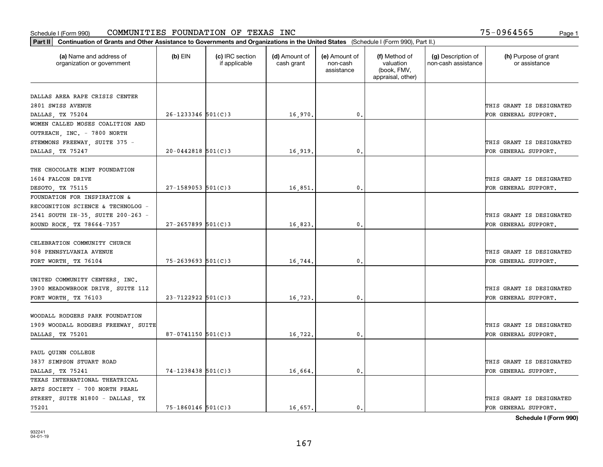| Part II   Continuation of Grants and Other Assistance to Governments and Organizations in the United States (Schedule I (Form 990), Part II.) |                        |                                  |                             |                                         |                                                                |                                           |                                       |  |
|-----------------------------------------------------------------------------------------------------------------------------------------------|------------------------|----------------------------------|-----------------------------|-----------------------------------------|----------------------------------------------------------------|-------------------------------------------|---------------------------------------|--|
| (a) Name and address of<br>organization or government                                                                                         | $(b)$ EIN              | (c) IRC section<br>if applicable | (d) Amount of<br>cash grant | (e) Amount of<br>non-cash<br>assistance | (f) Method of<br>valuation<br>(book, FMV,<br>appraisal, other) | (g) Description of<br>non-cash assistance | (h) Purpose of grant<br>or assistance |  |
|                                                                                                                                               |                        |                                  |                             |                                         |                                                                |                                           |                                       |  |
| DALLAS AREA RAPE CRISIS CENTER                                                                                                                |                        |                                  |                             |                                         |                                                                |                                           |                                       |  |
| 2801 SWISS AVENUE                                                                                                                             |                        |                                  |                             |                                         |                                                                |                                           | THIS GRANT IS DESIGNATED              |  |
| DALLAS, TX 75204                                                                                                                              | $26 - 1233346$ 501(C)3 |                                  | 16,970.                     | 0.                                      |                                                                |                                           | FOR GENERAL SUPPORT.                  |  |
| WOMEN CALLED MOSES COALITION AND                                                                                                              |                        |                                  |                             |                                         |                                                                |                                           |                                       |  |
| OUTREACH, INC. - 7800 NORTH                                                                                                                   |                        |                                  |                             |                                         |                                                                |                                           |                                       |  |
| STEMMONS FREEWAY, SUITE 375 -                                                                                                                 |                        |                                  |                             |                                         |                                                                |                                           | THIS GRANT IS DESIGNATED              |  |
| DALLAS, TX 75247                                                                                                                              | $20 - 0442818$ 501(C)3 |                                  | 16,919                      | 0.                                      |                                                                |                                           | FOR GENERAL SUPPORT.                  |  |
| THE CHOCOLATE MINT FOUNDATION                                                                                                                 |                        |                                  |                             |                                         |                                                                |                                           |                                       |  |
| 1604 FALCON DRIVE                                                                                                                             |                        |                                  |                             |                                         |                                                                |                                           | THIS GRANT IS DESIGNATED              |  |
| DESOTO, TX 75115                                                                                                                              | $27 - 1589053$ 501(C)3 |                                  | 16,851.                     | 0.                                      |                                                                |                                           | FOR GENERAL SUPPORT.                  |  |
| FOUNDATION FOR INSPIRATION &                                                                                                                  |                        |                                  |                             |                                         |                                                                |                                           |                                       |  |
| RECOGNITION SCIENCE & TECHNOLOG -                                                                                                             |                        |                                  |                             |                                         |                                                                |                                           |                                       |  |
| 2541 SOUTH IH-35, SUITE 200-263 -                                                                                                             |                        |                                  |                             |                                         |                                                                |                                           | THIS GRANT IS DESIGNATED              |  |
| ROUND ROCK, TX 78664-7357                                                                                                                     | $27 - 2657899$ 501(C)3 |                                  | 16,823.                     | 0.                                      |                                                                |                                           | FOR GENERAL SUPPORT.                  |  |
|                                                                                                                                               |                        |                                  |                             |                                         |                                                                |                                           |                                       |  |
| CELEBRATION COMMUNITY CHURCH                                                                                                                  |                        |                                  |                             |                                         |                                                                |                                           |                                       |  |
| 908 PENNSYLVANIA AVENUE                                                                                                                       |                        |                                  |                             |                                         |                                                                |                                           | THIS GRANT IS DESIGNATED              |  |
|                                                                                                                                               | $75 - 2639693$ 501(C)3 |                                  | 16,744.                     | 0.                                      |                                                                |                                           | FOR GENERAL SUPPORT.                  |  |
| FORT WORTH, TX 76104                                                                                                                          |                        |                                  |                             |                                         |                                                                |                                           |                                       |  |
| UNITED COMMUNITY CENTERS, INC.                                                                                                                |                        |                                  |                             |                                         |                                                                |                                           |                                       |  |
| 3900 MEADOWBROOK DRIVE, SUITE 112                                                                                                             |                        |                                  |                             |                                         |                                                                |                                           | THIS GRANT IS DESIGNATED              |  |
| FORT WORTH, TX 76103                                                                                                                          | $23 - 7122922$ 501(C)3 |                                  | 16,723.                     | $\mathbf{0}$ .                          |                                                                |                                           | FOR GENERAL SUPPORT.                  |  |
|                                                                                                                                               |                        |                                  |                             |                                         |                                                                |                                           |                                       |  |
| WOODALL RODGERS PARK FOUNDATION                                                                                                               |                        |                                  |                             |                                         |                                                                |                                           |                                       |  |
| 1909 WOODALL RODGERS FREEWAY, SUITE                                                                                                           |                        |                                  |                             |                                         |                                                                |                                           | THIS GRANT IS DESIGNATED              |  |
| DALLAS, TX 75201                                                                                                                              | 87-0741150 501(C)3     |                                  | 16,722.                     | 0.                                      |                                                                |                                           | FOR GENERAL SUPPORT.                  |  |
|                                                                                                                                               |                        |                                  |                             |                                         |                                                                |                                           |                                       |  |
| PAUL QUINN COLLEGE                                                                                                                            |                        |                                  |                             |                                         |                                                                |                                           |                                       |  |
| 3837 SIMPSON STUART ROAD                                                                                                                      |                        |                                  |                             |                                         |                                                                |                                           | THIS GRANT IS DESIGNATED              |  |
| DALLAS, TX 75241                                                                                                                              | $74 - 1238438$ 501(C)3 |                                  | 16,664.                     | $\mathbf{0}$ .                          |                                                                |                                           | FOR GENERAL SUPPORT.                  |  |
| TEXAS INTERNATIONAL THEATRICAL                                                                                                                |                        |                                  |                             |                                         |                                                                |                                           |                                       |  |
| ARTS SOCIETY - 700 NORTH PEARL                                                                                                                |                        |                                  |                             |                                         |                                                                |                                           |                                       |  |
| STREET, SUITE N1800 - DALLAS, TX                                                                                                              |                        |                                  |                             |                                         |                                                                |                                           | THIS GRANT IS DESIGNATED              |  |
| 75201                                                                                                                                         | $75 - 1860146$ 501(C)3 |                                  | 16,657.                     | 0.                                      |                                                                |                                           | FOR GENERAL SUPPORT.                  |  |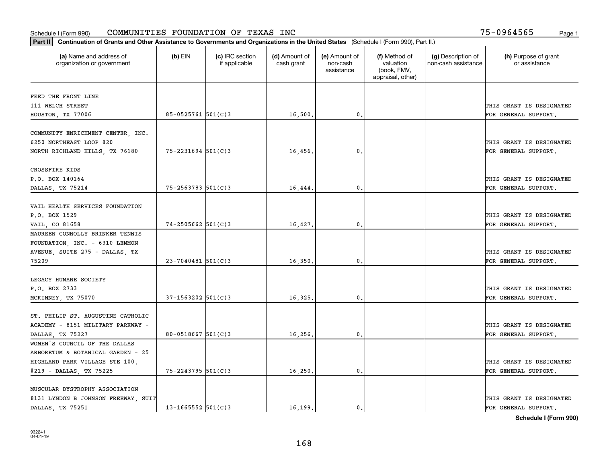| Part II   Continuation of Grants and Other Assistance to Governments and Organizations in the United States (Schedule I (Form 990), Part II.) |                          |                                  |                             |                                         |                                                                |                                           |                                       |
|-----------------------------------------------------------------------------------------------------------------------------------------------|--------------------------|----------------------------------|-----------------------------|-----------------------------------------|----------------------------------------------------------------|-------------------------------------------|---------------------------------------|
| (a) Name and address of<br>organization or government                                                                                         | $(b)$ EIN                | (c) IRC section<br>if applicable | (d) Amount of<br>cash grant | (e) Amount of<br>non-cash<br>assistance | (f) Method of<br>valuation<br>(book, FMV,<br>appraisal, other) | (g) Description of<br>non-cash assistance | (h) Purpose of grant<br>or assistance |
| FEED THE FRONT LINE                                                                                                                           |                          |                                  |                             |                                         |                                                                |                                           |                                       |
| 111 WELCH STREET                                                                                                                              |                          |                                  |                             |                                         |                                                                |                                           | THIS GRANT IS DESIGNATED              |
| HOUSTON, TX 77006                                                                                                                             | 85-0525761 501(C)3       |                                  | 16,500.                     | $\mathbf{0}$ .                          |                                                                |                                           | FOR GENERAL SUPPORT.                  |
|                                                                                                                                               |                          |                                  |                             |                                         |                                                                |                                           |                                       |
| COMMUNITY ENRICHMENT CENTER, INC.<br>6250 NORTHEAST LOOP 820                                                                                  |                          |                                  |                             |                                         |                                                                |                                           | THIS GRANT IS DESIGNATED              |
|                                                                                                                                               | $75 - 2231694$ 501(C)3   |                                  | 16,456.                     | 0.                                      |                                                                |                                           | FOR GENERAL SUPPORT.                  |
| NORTH RICHLAND HILLS, TX 76180                                                                                                                |                          |                                  |                             |                                         |                                                                |                                           |                                       |
| CROSSFIRE KIDS                                                                                                                                |                          |                                  |                             |                                         |                                                                |                                           |                                       |
| P.O. BOX 140164                                                                                                                               |                          |                                  |                             |                                         |                                                                |                                           | THIS GRANT IS DESIGNATED              |
| DALLAS, TX 75214                                                                                                                              | $75 - 2563783$ 501(C) 3  |                                  | 16,444                      | $\mathbf{0}$ .                          |                                                                |                                           | FOR GENERAL SUPPORT.                  |
|                                                                                                                                               |                          |                                  |                             |                                         |                                                                |                                           |                                       |
| VAIL HEALTH SERVICES FOUNDATION                                                                                                               |                          |                                  |                             |                                         |                                                                |                                           |                                       |
| P.O. BOX 1529                                                                                                                                 |                          |                                  |                             |                                         |                                                                |                                           | THIS GRANT IS DESIGNATED              |
| VAIL, CO 81658                                                                                                                                | $74 - 2505662$ 501(C)3   |                                  | 16,427.                     | 0.                                      |                                                                |                                           | FOR GENERAL SUPPORT.                  |
| MAUREEN CONNOLLY BRINKER TENNIS                                                                                                               |                          |                                  |                             |                                         |                                                                |                                           |                                       |
| FOUNDATION, INC. - 6310 LEMMON                                                                                                                |                          |                                  |                             |                                         |                                                                |                                           |                                       |
| AVENUE, SUITE 275 - DALLAS, TX                                                                                                                |                          |                                  |                             |                                         |                                                                |                                           | THIS GRANT IS DESIGNATED              |
| 75209                                                                                                                                         | $23 - 7040481$ 501(C)3   |                                  | 16,350.                     | 0.                                      |                                                                |                                           | FOR GENERAL SUPPORT.                  |
| LEGACY HUMANE SOCIETY                                                                                                                         |                          |                                  |                             |                                         |                                                                |                                           |                                       |
| P.O. BOX 2733                                                                                                                                 |                          |                                  |                             |                                         |                                                                |                                           | THIS GRANT IS DESIGNATED              |
| MCKINNEY, TX 75070                                                                                                                            | $37 - 1563202$ 501(C)3   |                                  | 16,325.                     | 0.                                      |                                                                |                                           | FOR GENERAL SUPPORT.                  |
|                                                                                                                                               |                          |                                  |                             |                                         |                                                                |                                           |                                       |
| ST. PHILIP ST. AUGUSTINE CATHOLIC                                                                                                             |                          |                                  |                             |                                         |                                                                |                                           |                                       |
| ACADEMY - 8151 MILITARY PARKWAY -                                                                                                             |                          |                                  |                             |                                         |                                                                |                                           | THIS GRANT IS DESIGNATED              |
| DALLAS, TX 75227                                                                                                                              | 80-0518667 $501(C)$ 3    |                                  | 16,256.                     | 0.                                      |                                                                |                                           | FOR GENERAL SUPPORT.                  |
| WOMEN'S COUNCIL OF THE DALLAS                                                                                                                 |                          |                                  |                             |                                         |                                                                |                                           |                                       |
| ARBORETUM & BOTANICAL GARDEN - 25                                                                                                             |                          |                                  |                             |                                         |                                                                |                                           |                                       |
| HIGHLAND PARK VILLAGE STE 100,                                                                                                                |                          |                                  |                             |                                         |                                                                |                                           | THIS GRANT IS DESIGNATED              |
| #219 - DALLAS, TX 75225                                                                                                                       | 75-2243795 501(C)3       |                                  | 16, 250.                    | 0.                                      |                                                                |                                           | FOR GENERAL SUPPORT.                  |
|                                                                                                                                               |                          |                                  |                             |                                         |                                                                |                                           |                                       |
| MUSCULAR DYSTROPHY ASSOCIATION                                                                                                                |                          |                                  |                             |                                         |                                                                |                                           |                                       |
| 8131 LYNDON B JOHNSON FREEWAY, SUIT                                                                                                           |                          |                                  |                             |                                         |                                                                |                                           | THIS GRANT IS DESIGNATED              |
| DALLAS, TX 75251                                                                                                                              | $13 - 1665552$ $501(C)3$ |                                  | 16.199.                     | $\mathbf{0}$ .                          |                                                                |                                           | FOR GENERAL SUPPORT.                  |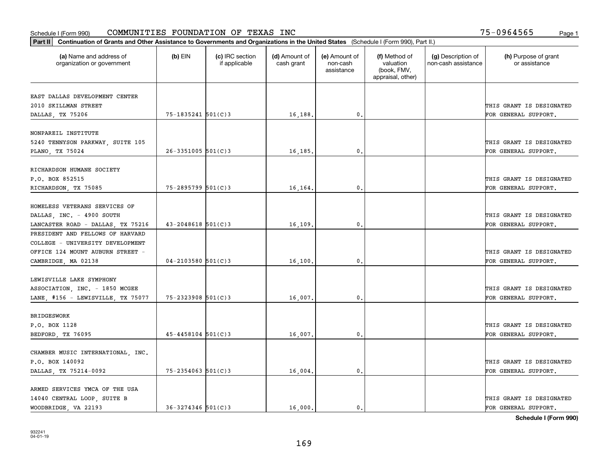| Part II   Continuation of Grants and Other Assistance to Governments and Organizations in the United States (Schedule I (Form 990), Part II.) |                        |                                  |                             |                                         |                                                                |                                           |                                       |  |
|-----------------------------------------------------------------------------------------------------------------------------------------------|------------------------|----------------------------------|-----------------------------|-----------------------------------------|----------------------------------------------------------------|-------------------------------------------|---------------------------------------|--|
| (a) Name and address of<br>organization or government                                                                                         | $(b)$ EIN              | (c) IRC section<br>if applicable | (d) Amount of<br>cash grant | (e) Amount of<br>non-cash<br>assistance | (f) Method of<br>valuation<br>(book, FMV,<br>appraisal, other) | (g) Description of<br>non-cash assistance | (h) Purpose of grant<br>or assistance |  |
|                                                                                                                                               |                        |                                  |                             |                                         |                                                                |                                           |                                       |  |
| EAST DALLAS DEVELOPMENT CENTER<br>2010 SKILLMAN STREET                                                                                        |                        |                                  |                             |                                         |                                                                |                                           | THIS GRANT IS DESIGNATED              |  |
| DALLAS, TX 75206                                                                                                                              | 75-1835241 501(C)3     |                                  | 16,188.                     | 0.                                      |                                                                |                                           | FOR GENERAL SUPPORT.                  |  |
|                                                                                                                                               |                        |                                  |                             |                                         |                                                                |                                           |                                       |  |
| NONPAREIL INSTITUTE                                                                                                                           |                        |                                  |                             |                                         |                                                                |                                           |                                       |  |
| 5240 TENNYSON PARKWAY, SUITE 105                                                                                                              |                        |                                  |                             |                                         |                                                                |                                           | THIS GRANT IS DESIGNATED              |  |
| PLANO, TX 75024                                                                                                                               | $26 - 3351005$ 501(C)3 |                                  | 16,185.                     | 0.                                      |                                                                |                                           | FOR GENERAL SUPPORT.                  |  |
|                                                                                                                                               |                        |                                  |                             |                                         |                                                                |                                           |                                       |  |
| RICHARDSON HUMANE SOCIETY                                                                                                                     |                        |                                  |                             |                                         |                                                                |                                           |                                       |  |
| P.O. BOX 852515                                                                                                                               |                        |                                  |                             |                                         |                                                                |                                           | THIS GRANT IS DESIGNATED              |  |
| RICHARDSON, TX 75085                                                                                                                          | $75 - 2895799$ 501(C)3 |                                  | 16,164.                     | $\mathbf{0}$ .                          |                                                                |                                           | FOR GENERAL SUPPORT.                  |  |
|                                                                                                                                               |                        |                                  |                             |                                         |                                                                |                                           |                                       |  |
| HOMELESS VETERANS SERVICES OF                                                                                                                 |                        |                                  |                             |                                         |                                                                |                                           |                                       |  |
| DALLAS, INC. - 4900 SOUTH                                                                                                                     |                        |                                  |                             |                                         |                                                                |                                           | THIS GRANT IS DESIGNATED              |  |
| LANCASTER ROAD - DALLAS, TX 75216                                                                                                             | $43 - 2048618$ 501(C)3 |                                  | 16,109.                     | $\mathbf{0}$                            |                                                                |                                           | FOR GENERAL SUPPORT.                  |  |
| PRESIDENT AND FELLOWS OF HARVARD                                                                                                              |                        |                                  |                             |                                         |                                                                |                                           |                                       |  |
| COLLEGE - UNIVERSITY DEVELOPMENT                                                                                                              |                        |                                  |                             |                                         |                                                                |                                           |                                       |  |
| OFFICE 124 MOUNT AUBURN STREET -                                                                                                              |                        |                                  |                             |                                         |                                                                |                                           | THIS GRANT IS DESIGNATED              |  |
| CAMBRIDGE, MA 02138                                                                                                                           | $04 - 2103580$ 501(C)3 |                                  | 16,100                      | $\mathbf{0}$                            |                                                                |                                           | FOR GENERAL SUPPORT.                  |  |
|                                                                                                                                               |                        |                                  |                             |                                         |                                                                |                                           |                                       |  |
| LEWISVILLE LAKE SYMPHONY                                                                                                                      |                        |                                  |                             |                                         |                                                                |                                           |                                       |  |
| ASSOCIATION, INC. - 1850 MCGEE                                                                                                                |                        |                                  |                             |                                         |                                                                |                                           | THIS GRANT IS DESIGNATED              |  |
| LANE, #156 - LEWISVILLE, TX 75077                                                                                                             | $75 - 2323908$ 501(C)3 |                                  | 16,007.                     | 0.                                      |                                                                |                                           | FOR GENERAL SUPPORT.                  |  |
|                                                                                                                                               |                        |                                  |                             |                                         |                                                                |                                           |                                       |  |
| <b>BRIDGESWORK</b>                                                                                                                            |                        |                                  |                             |                                         |                                                                |                                           |                                       |  |
| P.O. BOX 1128                                                                                                                                 |                        |                                  |                             |                                         |                                                                |                                           | THIS GRANT IS DESIGNATED              |  |
| BEDFORD, TX 76095                                                                                                                             | $45 - 4458104$ 501(C)3 |                                  | 16,007.                     | $^{\rm 0}$ .                            |                                                                |                                           | FOR GENERAL SUPPORT.                  |  |
|                                                                                                                                               |                        |                                  |                             |                                         |                                                                |                                           |                                       |  |
| CHAMBER MUSIC INTERNATIONAL, INC.                                                                                                             |                        |                                  |                             |                                         |                                                                |                                           |                                       |  |
| P.O. BOX 140092                                                                                                                               |                        |                                  |                             |                                         |                                                                |                                           | THIS GRANT IS DESIGNATED              |  |
| DALLAS, TX 75214-0092                                                                                                                         | $75 - 2354063$ 501(C)3 |                                  | 16,004.                     | $\mathfrak{o}$ .                        |                                                                |                                           | FOR GENERAL SUPPORT.                  |  |
| ARMED SERVICES YMCA OF THE USA                                                                                                                |                        |                                  |                             |                                         |                                                                |                                           |                                       |  |
| 14040 CENTRAL LOOP, SUITE B                                                                                                                   |                        |                                  |                             |                                         |                                                                |                                           | THIS GRANT IS DESIGNATED              |  |
| WOODBRIDGE, VA 22193                                                                                                                          | $36 - 3274346$ 501(C)3 |                                  | 16,000.                     | $\mathbf{0}$ .                          |                                                                |                                           | FOR GENERAL SUPPORT.                  |  |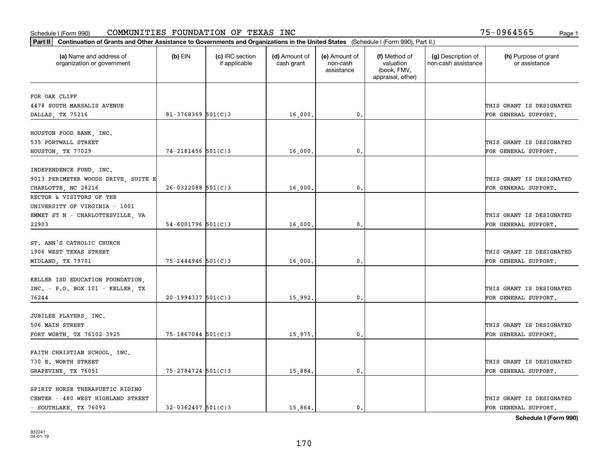| (a) Name and address of<br>organization or government | $(b)$ EIN               | (c) IRC section<br>if applicable | (d) Amount of<br>cash grant | (e) Amount of<br>non-cash<br>assistance | (f) Method of<br>valuation<br>(book, FMV,<br>appraisal, other) | (g) Description of<br>non-cash assistance | (h) Purpose of grant<br>or assistance            |
|-------------------------------------------------------|-------------------------|----------------------------------|-----------------------------|-----------------------------------------|----------------------------------------------------------------|-------------------------------------------|--------------------------------------------------|
| FOR OAK CLIFF                                         |                         |                                  |                             |                                         |                                                                |                                           |                                                  |
| 4478 SOUTH MARSALIS AVENUE                            |                         |                                  |                             |                                         |                                                                |                                           | THIS GRANT IS DESIGNATED                         |
| DALLAS, TX 75216                                      | $81 - 3768369$ 501(C)3  |                                  | 16,000.                     | $\mathfrak{o}$ .                        |                                                                |                                           | FOR GENERAL SUPPORT.                             |
| HOUSTON FOOD BANK, INC.                               |                         |                                  |                             |                                         |                                                                |                                           |                                                  |
| 535 PORTWALL STREET                                   |                         |                                  |                             |                                         |                                                                |                                           | THIS GRANT IS DESIGNATED                         |
| HOUSTON, TX 77029                                     | $74 - 2181456$ 501(C)3  |                                  | 16,000                      | 0.                                      |                                                                |                                           | FOR GENERAL SUPPORT.                             |
|                                                       |                         |                                  |                             |                                         |                                                                |                                           |                                                  |
| INDEPENDENCE FUND, INC.                               |                         |                                  |                             |                                         |                                                                |                                           |                                                  |
| 9013 PERIMETER WOODS DRIVE, SUITE E                   |                         |                                  |                             |                                         |                                                                |                                           | THIS GRANT IS DESIGNATED                         |
| CHARLOTTE, NC 28216                                   | $26 - 0322088$ 501(C)3  |                                  | 16,000.                     | $\mathfrak{o}$ .                        |                                                                |                                           | FOR GENERAL SUPPORT.                             |
| RECTOR & VISITORS OF THE                              |                         |                                  |                             |                                         |                                                                |                                           |                                                  |
| UNIVERSITY OF VIRGINIA - 1001                         |                         |                                  |                             |                                         |                                                                |                                           |                                                  |
| EMMET ST N - CHARLOTTESVILLE, VA<br>22903             | $54 - 6001796$ 501(C)3  |                                  |                             | 0.                                      |                                                                |                                           | THIS GRANT IS DESIGNATED                         |
|                                                       |                         |                                  | 16,000.                     |                                         |                                                                |                                           | FOR GENERAL SUPPORT.                             |
| ST. ANN'S CATHOLIC CHURCH                             |                         |                                  |                             |                                         |                                                                |                                           |                                                  |
| 1906 WEST TEXAS STREET                                |                         |                                  |                             |                                         |                                                                |                                           | THIS GRANT IS DESIGNATED                         |
| MIDLAND, TX 79701                                     | $75 - 1444946$ 501(C) 3 |                                  | 16,000,                     | 0.                                      |                                                                |                                           | FOR GENERAL SUPPORT.                             |
|                                                       |                         |                                  |                             |                                         |                                                                |                                           |                                                  |
| KELLER ISD EDUCATION FOUNDATION.                      |                         |                                  |                             |                                         |                                                                |                                           |                                                  |
| $INC. - P.O. BOX 101 - KELLER, TX$                    |                         |                                  |                             |                                         |                                                                |                                           | THIS GRANT IS DESIGNATED                         |
| 76244                                                 | $20-1994337$ 501(C)3    |                                  | 15,992.                     | 0.                                      |                                                                |                                           | FOR GENERAL SUPPORT.                             |
|                                                       |                         |                                  |                             |                                         |                                                                |                                           |                                                  |
| JUBILEE PLAYERS, INC.<br>506 MAIN STREET              |                         |                                  |                             |                                         |                                                                |                                           |                                                  |
|                                                       | $75 - 1867044$ 501(C)3  |                                  |                             | $\mathfrak{o}$ .                        |                                                                |                                           | THIS GRANT IS DESIGNATED<br>FOR GENERAL SUPPORT. |
| FORT WORTH, TX 76102-3925                             |                         |                                  | 15,975.                     |                                         |                                                                |                                           |                                                  |
| FAITH CHRISTIAN SCHOOL, INC.                          |                         |                                  |                             |                                         |                                                                |                                           |                                                  |
| 730 E. WORTH STREET                                   |                         |                                  |                             |                                         |                                                                |                                           | THIS GRANT IS DESIGNATED                         |
| GRAPEVINE, TX 76051                                   | $75 - 2784724$ 501(C)3  |                                  | 15,884.                     | $\mathbf{0}$                            |                                                                |                                           | FOR GENERAL SUPPORT.                             |
|                                                       |                         |                                  |                             |                                         |                                                                |                                           |                                                  |
| SPIRIT HORSE THERAPUETIC RIDING                       |                         |                                  |                             |                                         |                                                                |                                           |                                                  |
| CENTER - 480 WEST HIGHLAND STREET                     |                         |                                  |                             |                                         |                                                                |                                           | THIS GRANT IS DESIGNATED                         |
| - SOUTHLAKE, TX 76092                                 | $32 - 0362407$ 501(C)3  |                                  | 15,864.                     | $\mathbf{0}$ .                          |                                                                |                                           | FOR GENERAL SUPPORT.                             |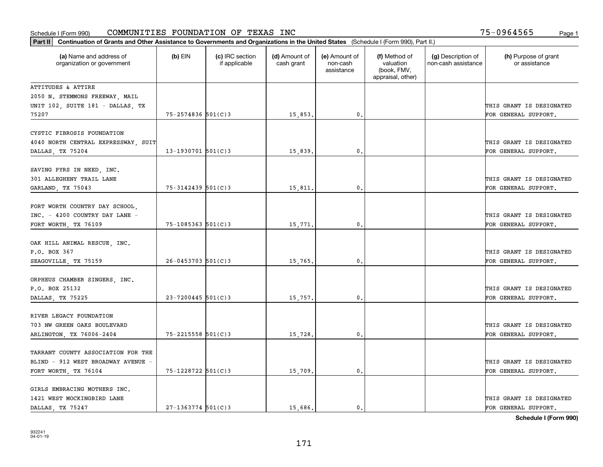| Part II   Continuation of Grants and Other Assistance to Governments and Organizations in the United States (Schedule I (Form 990), Part II.) |                          |                                  |                             |                                         |                                                                |                                           |                                                  |
|-----------------------------------------------------------------------------------------------------------------------------------------------|--------------------------|----------------------------------|-----------------------------|-----------------------------------------|----------------------------------------------------------------|-------------------------------------------|--------------------------------------------------|
| (a) Name and address of<br>organization or government                                                                                         | $(b)$ EIN                | (c) IRC section<br>if applicable | (d) Amount of<br>cash grant | (e) Amount of<br>non-cash<br>assistance | (f) Method of<br>valuation<br>(book, FMV,<br>appraisal, other) | (g) Description of<br>non-cash assistance | (h) Purpose of grant<br>or assistance            |
| ATTITUDES & ATTIRE                                                                                                                            |                          |                                  |                             |                                         |                                                                |                                           |                                                  |
| 2050 N. STEMMONS FREEWAY, MAIL                                                                                                                |                          |                                  |                             |                                         |                                                                |                                           |                                                  |
| UNIT 102, SUITE 181 - DALLAS, TX                                                                                                              |                          |                                  |                             |                                         |                                                                |                                           | THIS GRANT IS DESIGNATED                         |
| 75207                                                                                                                                         | $75 - 2574836$ 501(C)3   |                                  | 15,853.                     | 0.                                      |                                                                |                                           | FOR GENERAL SUPPORT.                             |
| CYSTIC FIBROSIS FOUNDATION<br>4040 NORTH CENTRAL EXPRESSWAY, SUIT<br>DALLAS, TX 75204                                                         | $13 - 1930701$ 501(C)3   |                                  | 15,839.                     | $\mathbf{0}$ .                          |                                                                |                                           | THIS GRANT IS DESIGNATED<br>FOR GENERAL SUPPORT. |
|                                                                                                                                               |                          |                                  |                             |                                         |                                                                |                                           |                                                  |
| SAVING PYRS IN NEED, INC.<br>301 ALLEGHENY TRAIL LANE<br>GARLAND, TX 75043                                                                    | 75-3142439 501(C)3       |                                  | 15,811.                     | $\mathbf{0}$ .                          |                                                                |                                           | THIS GRANT IS DESIGNATED<br>FOR GENERAL SUPPORT. |
|                                                                                                                                               |                          |                                  |                             |                                         |                                                                |                                           |                                                  |
| FORT WORTH COUNTRY DAY SCHOOL,<br>INC. - 4200 COUNTRY DAY LANE -                                                                              |                          |                                  |                             |                                         |                                                                |                                           | THIS GRANT IS DESIGNATED                         |
| FORT WORTH, TX 76109                                                                                                                          | 75-1085363 501(C)3       |                                  | 15,771.                     | 0.                                      |                                                                |                                           | FOR GENERAL SUPPORT.                             |
| OAK HILL ANIMAL RESCUE, INC.<br>P.O. BOX 367                                                                                                  |                          |                                  |                             |                                         |                                                                |                                           | THIS GRANT IS DESIGNATED                         |
| SEAGOVILLE, TX 75159                                                                                                                          | $26 - 0453703$ 501(C)3   |                                  | 15,765.                     | $\mathbf{0}$                            |                                                                |                                           | FOR GENERAL SUPPORT.                             |
| ORPHEUS CHAMBER SINGERS, INC.<br>P.O. BOX 25132                                                                                               |                          |                                  |                             |                                         |                                                                |                                           | THIS GRANT IS DESIGNATED                         |
| DALLAS, TX 75225                                                                                                                              | $23 - 7200445$ 501(C)3   |                                  | 15,757.                     | 0.                                      |                                                                |                                           | FOR GENERAL SUPPORT.                             |
| RIVER LEGACY FOUNDATION<br>703 NW GREEN OAKS BOULEVARD                                                                                        |                          |                                  |                             |                                         |                                                                |                                           | THIS GRANT IS DESIGNATED                         |
| ARLINGTON, TX 76006-2404                                                                                                                      | $75 - 2215558$ $501(C)3$ |                                  | 15,728.                     | 0.                                      |                                                                |                                           | FOR GENERAL SUPPORT.                             |
| TARRANT COUNTY ASSOCIATION FOR THE                                                                                                            |                          |                                  |                             |                                         |                                                                |                                           |                                                  |
| BLIND - 912 WEST BROADWAY AVENUE -<br>FORT WORTH, TX 76104                                                                                    | 75-1228722 501(C)3       |                                  | 15,709.                     | 0.                                      |                                                                |                                           | THIS GRANT IS DESIGNATED<br>FOR GENERAL SUPPORT. |
|                                                                                                                                               |                          |                                  |                             |                                         |                                                                |                                           |                                                  |
| GIRLS EMBRACING MOTHERS INC.<br>1421 WEST MOCKINGBIRD LANE                                                                                    |                          |                                  |                             |                                         |                                                                |                                           | THIS GRANT IS DESIGNATED                         |
| DALLAS, TX 75247                                                                                                                              | $27 - 1363774$ 501(C)3   |                                  | 15,686.                     | 0.                                      |                                                                |                                           | FOR GENERAL SUPPORT.                             |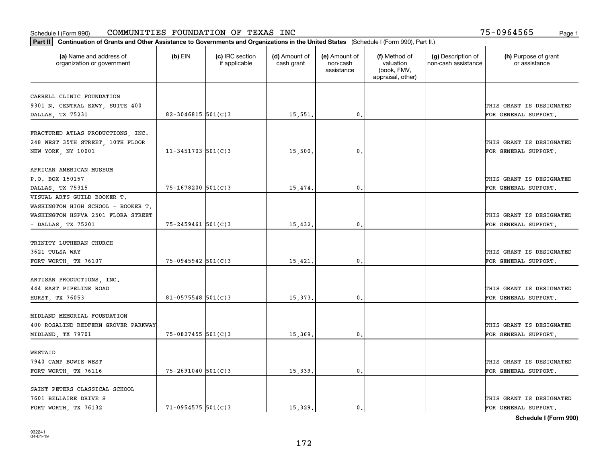| Part II   Continuation of Grants and Other Assistance to Governments and Organizations in the United States (Schedule I (Form 990), Part II.) |                        |                                  |                             |                                         |                                                                |                                           |                                       |
|-----------------------------------------------------------------------------------------------------------------------------------------------|------------------------|----------------------------------|-----------------------------|-----------------------------------------|----------------------------------------------------------------|-------------------------------------------|---------------------------------------|
| (a) Name and address of<br>organization or government                                                                                         | $(b)$ EIN              | (c) IRC section<br>if applicable | (d) Amount of<br>cash grant | (e) Amount of<br>non-cash<br>assistance | (f) Method of<br>valuation<br>(book, FMV,<br>appraisal, other) | (g) Description of<br>non-cash assistance | (h) Purpose of grant<br>or assistance |
| CARRELL CLINIC FOUNDATION                                                                                                                     |                        |                                  |                             |                                         |                                                                |                                           |                                       |
| 9301 N. CENTRAL EXWY, SUITE 400                                                                                                               |                        |                                  |                             |                                         |                                                                |                                           | THIS GRANT IS DESIGNATED              |
| DALLAS, TX 75231                                                                                                                              | 82-3046815 $501(C)$ 3  |                                  | 15,551.                     | 0.                                      |                                                                |                                           | FOR GENERAL SUPPORT.                  |
|                                                                                                                                               |                        |                                  |                             |                                         |                                                                |                                           |                                       |
| FRACTURED ATLAS PRODUCTIONS, INC.                                                                                                             |                        |                                  |                             |                                         |                                                                |                                           |                                       |
| 248 WEST 35TH STREET, 10TH FLOOR                                                                                                              |                        |                                  |                             |                                         |                                                                |                                           | THIS GRANT IS DESIGNATED              |
| NEW YORK, NY 10001                                                                                                                            | $11 - 3451703$ 501(C)3 |                                  | 15,500.                     | $\mathbf{0}$ .                          |                                                                |                                           | FOR GENERAL SUPPORT.                  |
|                                                                                                                                               |                        |                                  |                             |                                         |                                                                |                                           |                                       |
| AFRICAN AMERICAN MUSEUM                                                                                                                       |                        |                                  |                             |                                         |                                                                |                                           |                                       |
| P.O. BOX 150157                                                                                                                               |                        |                                  |                             |                                         |                                                                |                                           | THIS GRANT IS DESIGNATED              |
| DALLAS, TX 75315                                                                                                                              | $75 - 1678200$ 501(C)3 |                                  | 15,474.                     | $\mathbf{0}$ .                          |                                                                |                                           | FOR GENERAL SUPPORT.                  |
| VISUAL ARTS GUILD BOOKER T.                                                                                                                   |                        |                                  |                             |                                         |                                                                |                                           |                                       |
| WASHINGTON HIGH SCHOOL - BOOKER T.                                                                                                            |                        |                                  |                             |                                         |                                                                |                                           |                                       |
| WASHINGTON HSPVA 2501 FLORA STREET                                                                                                            |                        |                                  |                             |                                         |                                                                |                                           | THIS GRANT IS DESIGNATED              |
| - DALLAS, TX 75201                                                                                                                            | $75 - 2459461$ 501(C)3 |                                  | 15,432.                     | 0.                                      |                                                                |                                           | FOR GENERAL SUPPORT.                  |
|                                                                                                                                               |                        |                                  |                             |                                         |                                                                |                                           |                                       |
| TRINITY LUTHERAN CHURCH                                                                                                                       |                        |                                  |                             |                                         |                                                                |                                           |                                       |
| 3621 TULSA WAY                                                                                                                                |                        |                                  |                             |                                         |                                                                |                                           | THIS GRANT IS DESIGNATED              |
| FORT WORTH, TX 76107                                                                                                                          | $75 - 0945942$ 501(C)3 |                                  | 15,421                      | $\mathbf{0}$                            |                                                                |                                           | FOR GENERAL SUPPORT.                  |
|                                                                                                                                               |                        |                                  |                             |                                         |                                                                |                                           |                                       |
| ARTISAN PRODUCTIONS, INC.<br>444 EAST PIPELINE ROAD                                                                                           |                        |                                  |                             |                                         |                                                                |                                           | THIS GRANT IS DESIGNATED              |
| HURST, TX 76053                                                                                                                               | $81 - 0575548$ 501(C)3 |                                  | 15,373.                     | 0.                                      |                                                                |                                           | FOR GENERAL SUPPORT.                  |
|                                                                                                                                               |                        |                                  |                             |                                         |                                                                |                                           |                                       |
| MIDLAND MEMORIAL FOUNDATION                                                                                                                   |                        |                                  |                             |                                         |                                                                |                                           |                                       |
| 400 ROSALIND REDFERN GROVER PARKWAY                                                                                                           |                        |                                  |                             |                                         |                                                                |                                           | THIS GRANT IS DESIGNATED              |
| MIDLAND, TX 79701                                                                                                                             | 75-0827455 501(C)3     |                                  | 15,369                      | 0.                                      |                                                                |                                           | FOR GENERAL SUPPORT.                  |
|                                                                                                                                               |                        |                                  |                             |                                         |                                                                |                                           |                                       |
| WESTAID                                                                                                                                       |                        |                                  |                             |                                         |                                                                |                                           |                                       |
| 7940 CAMP BOWIE WEST                                                                                                                          |                        |                                  |                             |                                         |                                                                |                                           | THIS GRANT IS DESIGNATED              |
| FORT WORTH, TX 76116                                                                                                                          | $75 - 2691040$ 501(C)3 |                                  | 15,339.                     | $\mathbf{0}$ .                          |                                                                |                                           | FOR GENERAL SUPPORT.                  |
|                                                                                                                                               |                        |                                  |                             |                                         |                                                                |                                           |                                       |
| SAINT PETERS CLASSICAL SCHOOL                                                                                                                 |                        |                                  |                             |                                         |                                                                |                                           |                                       |
| 7601 BELLAIRE DRIVE S                                                                                                                         |                        |                                  |                             |                                         |                                                                |                                           | THIS GRANT IS DESIGNATED              |
| FORT WORTH, TX 76132                                                                                                                          | $71-0954575$ 501(C)3   |                                  | 15,329.                     | 0.                                      |                                                                |                                           | FOR GENERAL SUPPORT.                  |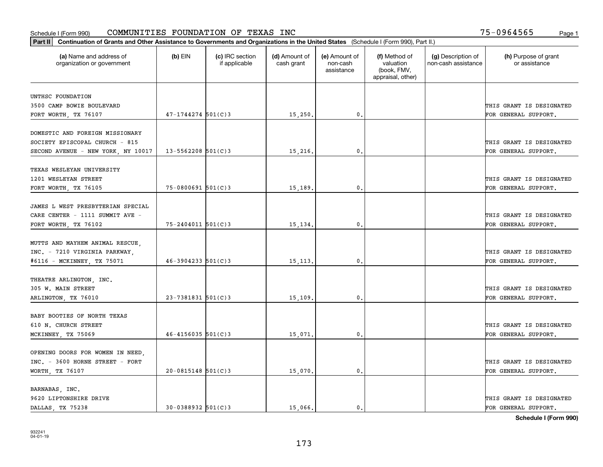| Part II   Continuation of Grants and Other Assistance to Governments and Organizations in the United States (Schedule I (Form 990), Part II.) |                        |                                  |                             |                                         |                                                                |                                           |                                       |
|-----------------------------------------------------------------------------------------------------------------------------------------------|------------------------|----------------------------------|-----------------------------|-----------------------------------------|----------------------------------------------------------------|-------------------------------------------|---------------------------------------|
| (a) Name and address of<br>organization or government                                                                                         | $(b)$ EIN              | (c) IRC section<br>if applicable | (d) Amount of<br>cash grant | (e) Amount of<br>non-cash<br>assistance | (f) Method of<br>valuation<br>(book, FMV,<br>appraisal, other) | (g) Description of<br>non-cash assistance | (h) Purpose of grant<br>or assistance |
| UNTHSC FOUNDATION                                                                                                                             |                        |                                  |                             |                                         |                                                                |                                           |                                       |
| 3500 CAMP BOWIE BOULEVARD                                                                                                                     |                        |                                  |                             |                                         |                                                                |                                           | THIS GRANT IS DESIGNATED              |
| FORT WORTH, TX 76107                                                                                                                          | $47 - 1744274$ 501(C)3 |                                  | 15,250.                     | 0.                                      |                                                                |                                           | FOR GENERAL SUPPORT.                  |
|                                                                                                                                               |                        |                                  |                             |                                         |                                                                |                                           |                                       |
| DOMESTIC AND FOREIGN MISSIONARY                                                                                                               |                        |                                  |                             |                                         |                                                                |                                           |                                       |
| SOCIETY EPISCOPAL CHURCH - 815                                                                                                                |                        |                                  |                             |                                         |                                                                |                                           | THIS GRANT IS DESIGNATED              |
| SECOND AVENUE - NEW YORK, NY 10017                                                                                                            | $13 - 5562208$ 501(C)3 |                                  | 15,216.                     | 0.                                      |                                                                |                                           | FOR GENERAL SUPPORT.                  |
|                                                                                                                                               |                        |                                  |                             |                                         |                                                                |                                           |                                       |
| TEXAS WESLEYAN UNIVERSITY                                                                                                                     |                        |                                  |                             |                                         |                                                                |                                           |                                       |
| 1201 WESLEYAN STREET                                                                                                                          |                        |                                  |                             |                                         |                                                                |                                           | THIS GRANT IS DESIGNATED              |
| FORT WORTH, TX 76105                                                                                                                          | $75 - 0800691$ 501(C)3 |                                  | 15,189.                     | $\mathbf{0}$ .                          |                                                                |                                           | FOR GENERAL SUPPORT.                  |
|                                                                                                                                               |                        |                                  |                             |                                         |                                                                |                                           |                                       |
| JAMES L WEST PRESBYTERIAN SPECIAL                                                                                                             |                        |                                  |                             |                                         |                                                                |                                           |                                       |
| CARE CENTER - 1111 SUMMIT AVE -                                                                                                               |                        |                                  |                             |                                         |                                                                |                                           | THIS GRANT IS DESIGNATED              |
| FORT WORTH, TX 76102                                                                                                                          | $75 - 2404011$ 501(C)3 |                                  | 15, 134.                    | $\mathbf{0}$                            |                                                                |                                           | FOR GENERAL SUPPORT.                  |
| MUTTS AND MAYHEM ANIMAL RESCUE,                                                                                                               |                        |                                  |                             |                                         |                                                                |                                           |                                       |
| INC. - 7210 VIRGINIA PARKWAY,                                                                                                                 |                        |                                  |                             |                                         |                                                                |                                           | THIS GRANT IS DESIGNATED              |
| #6116 - MCKINNEY, TX 75071                                                                                                                    | $46 - 3904233$ 501(C)3 |                                  | 15, 113.                    | $\mathbf{0}$                            |                                                                |                                           | FOR GENERAL SUPPORT.                  |
|                                                                                                                                               |                        |                                  |                             |                                         |                                                                |                                           |                                       |
| THEATRE ARLINGTON, INC.                                                                                                                       |                        |                                  |                             |                                         |                                                                |                                           |                                       |
| 305 W. MAIN STREET                                                                                                                            |                        |                                  |                             |                                         |                                                                |                                           | THIS GRANT IS DESIGNATED              |
| ARLINGTON, TX 76010                                                                                                                           | $23 - 7381831$ 501(C)3 |                                  | 15, 109.                    | $\mathbf{0}$                            |                                                                |                                           | FOR GENERAL SUPPORT.                  |
|                                                                                                                                               |                        |                                  |                             |                                         |                                                                |                                           |                                       |
| BABY BOOTIES OF NORTH TEXAS                                                                                                                   |                        |                                  |                             |                                         |                                                                |                                           |                                       |
| 610 N. CHURCH STREET                                                                                                                          |                        |                                  |                             |                                         |                                                                |                                           | THIS GRANT IS DESIGNATED              |
| MCKINNEY, TX 75069                                                                                                                            | $46 - 4156035$ 501(C)3 |                                  | 15,071                      | $^{\rm 0}$ .                            |                                                                |                                           | FOR GENERAL SUPPORT.                  |
|                                                                                                                                               |                        |                                  |                             |                                         |                                                                |                                           |                                       |
| OPENING DOORS FOR WOMEN IN NEED,                                                                                                              |                        |                                  |                             |                                         |                                                                |                                           |                                       |
| INC. - 3600 HORNE STREET - FORT                                                                                                               |                        |                                  |                             |                                         |                                                                |                                           | THIS GRANT IS DESIGNATED              |
| WORTH, TX 76107                                                                                                                               | $20-0815148$ 501(C)3   |                                  | 15,070.                     | $\mathfrak{o}$ .                        |                                                                |                                           | FOR GENERAL SUPPORT.                  |
|                                                                                                                                               |                        |                                  |                             |                                         |                                                                |                                           |                                       |
| BARNABAS, INC.<br>9620 LIPTONSHIRE DRIVE                                                                                                      |                        |                                  |                             |                                         |                                                                |                                           | THIS GRANT IS DESIGNATED              |
| DALLAS TX 75238                                                                                                                               | $30 - 0388932$ 501(C)3 |                                  | 15,066.                     | $\mathfrak{o}$ .                        |                                                                |                                           | FOR GENERAL SUPPORT.                  |
|                                                                                                                                               |                        |                                  |                             |                                         |                                                                |                                           |                                       |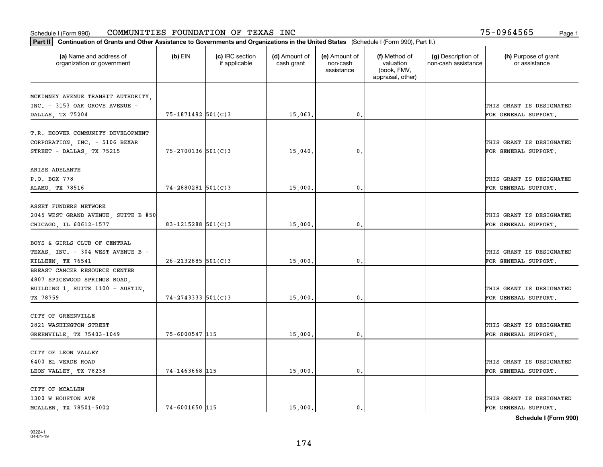| Part II   Continuation of Grants and Other Assistance to Governments and Organizations in the United States (Schedule I (Form 990), Part II.) |                          |                                  |                             |                                         |                                                                |                                           |                                       |
|-----------------------------------------------------------------------------------------------------------------------------------------------|--------------------------|----------------------------------|-----------------------------|-----------------------------------------|----------------------------------------------------------------|-------------------------------------------|---------------------------------------|
| (a) Name and address of<br>organization or government                                                                                         | $(b)$ EIN                | (c) IRC section<br>if applicable | (d) Amount of<br>cash grant | (e) Amount of<br>non-cash<br>assistance | (f) Method of<br>valuation<br>(book, FMV,<br>appraisal, other) | (g) Description of<br>non-cash assistance | (h) Purpose of grant<br>or assistance |
|                                                                                                                                               |                          |                                  |                             |                                         |                                                                |                                           |                                       |
| MCKINNEY AVENUE TRANSIT AUTHORITY,<br>INC. - 3153 OAK GROVE AVENUE -                                                                          |                          |                                  |                             |                                         |                                                                |                                           | THIS GRANT IS DESIGNATED              |
| DALLAS, TX 75204                                                                                                                              | $75 - 1871492$ 501(C)3   |                                  | 15,063.                     | 0.                                      |                                                                |                                           | FOR GENERAL SUPPORT.                  |
|                                                                                                                                               |                          |                                  |                             |                                         |                                                                |                                           |                                       |
| T.R. HOOVER COMMUNITY DEVELOPMENT<br>CORPORATION, INC. - 5106 BEXAR                                                                           |                          |                                  |                             |                                         |                                                                |                                           | THIS GRANT IS DESIGNATED              |
| STREET - DALLAS, TX 75215                                                                                                                     | $75 - 2700136$ 501(C)3   |                                  | 15,040                      | 0.                                      |                                                                |                                           | FOR GENERAL SUPPORT.                  |
|                                                                                                                                               |                          |                                  |                             |                                         |                                                                |                                           |                                       |
| ARISE ADELANTE                                                                                                                                |                          |                                  |                             |                                         |                                                                |                                           |                                       |
| P.O. BOX 778                                                                                                                                  |                          |                                  |                             |                                         |                                                                |                                           | THIS GRANT IS DESIGNATED              |
| ALAMO, TX 78516                                                                                                                               | $74 - 2880281$ 501(C)3   |                                  | 15,000.                     | $\mathbf 0$ .                           |                                                                |                                           | FOR GENERAL SUPPORT.                  |
|                                                                                                                                               |                          |                                  |                             |                                         |                                                                |                                           |                                       |
| ASSET FUNDERS NETWORK                                                                                                                         |                          |                                  |                             |                                         |                                                                |                                           |                                       |
| 2045 WEST GRAND AVENUE, SUITE B #50                                                                                                           |                          |                                  |                             |                                         |                                                                |                                           | THIS GRANT IS DESIGNATED              |
| CHICAGO, IL 60612-1577                                                                                                                        | 83-1215288 501(C)3       |                                  | 15,000.                     | 0.                                      |                                                                |                                           | FOR GENERAL SUPPORT.                  |
|                                                                                                                                               |                          |                                  |                             |                                         |                                                                |                                           |                                       |
| BOYS & GIRLS CLUB OF CENTRAL                                                                                                                  |                          |                                  |                             |                                         |                                                                |                                           |                                       |
| TEXAS, INC. - 304 WEST AVENUE B -                                                                                                             |                          |                                  |                             |                                         |                                                                |                                           | THIS GRANT IS DESIGNATED              |
| KILLEEN, TX 76541                                                                                                                             | $26 - 2132885$ 501(C)3   |                                  | 15,000                      | 0                                       |                                                                |                                           | FOR GENERAL SUPPORT.                  |
| BREAST CANCER RESOURCE CENTER                                                                                                                 |                          |                                  |                             |                                         |                                                                |                                           |                                       |
| 4807 SPICEWOOD SPRINGS ROAD,                                                                                                                  |                          |                                  |                             |                                         |                                                                |                                           |                                       |
| BUILDING 1, SUITE 1100 - AUSTIN,                                                                                                              |                          |                                  |                             |                                         |                                                                |                                           | THIS GRANT IS DESIGNATED              |
| TX 78759                                                                                                                                      | $74 - 2743333$ $501(C)3$ |                                  | 15,000.                     | $\mathbf{0}$                            |                                                                |                                           | FOR GENERAL SUPPORT.                  |
|                                                                                                                                               |                          |                                  |                             |                                         |                                                                |                                           |                                       |
| CITY OF GREENVILLE                                                                                                                            |                          |                                  |                             |                                         |                                                                |                                           |                                       |
| 2821 WASHINGTON STREET                                                                                                                        |                          |                                  |                             |                                         |                                                                |                                           | THIS GRANT IS DESIGNATED              |
| GREENVILLE, TX 75403-1049                                                                                                                     | 75-6000547 115           |                                  | 15,000                      | $\mathbf{0}$ .                          |                                                                |                                           | FOR GENERAL SUPPORT.                  |
|                                                                                                                                               |                          |                                  |                             |                                         |                                                                |                                           |                                       |
| CITY OF LEON VALLEY                                                                                                                           |                          |                                  |                             |                                         |                                                                |                                           |                                       |
| 6400 EL VERDE ROAD                                                                                                                            |                          |                                  |                             |                                         |                                                                |                                           | THIS GRANT IS DESIGNATED              |
| LEON VALLEY, TX 78238                                                                                                                         | 74-1463668 115           |                                  | 15,000.                     | $\mathfrak{o}$ .                        |                                                                |                                           | FOR GENERAL SUPPORT.                  |
|                                                                                                                                               |                          |                                  |                             |                                         |                                                                |                                           |                                       |
| CITY OF MCALLEN                                                                                                                               |                          |                                  |                             |                                         |                                                                |                                           |                                       |
| 1300 W HOUSTON AVE                                                                                                                            |                          |                                  |                             |                                         |                                                                |                                           | THIS GRANT IS DESIGNATED              |
| MCALLEN, TX 78501-5002                                                                                                                        | 74-6001650 115           |                                  | 15,000.                     | $\mathfrak{o}$ .                        |                                                                |                                           | FOR GENERAL SUPPORT.                  |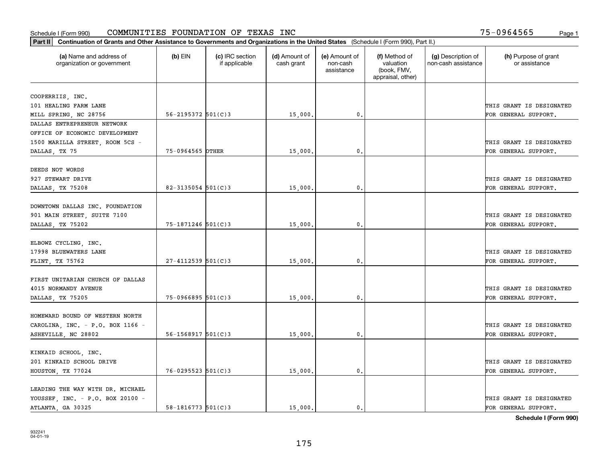| Part II   Continuation of Grants and Other Assistance to Governments and Organizations in the United States (Schedule I (Form 990), Part II.) |                          |                                  |                             |                                         |                                                                |                                           |                                       |
|-----------------------------------------------------------------------------------------------------------------------------------------------|--------------------------|----------------------------------|-----------------------------|-----------------------------------------|----------------------------------------------------------------|-------------------------------------------|---------------------------------------|
| (a) Name and address of<br>organization or government                                                                                         | $(b)$ EIN                | (c) IRC section<br>if applicable | (d) Amount of<br>cash grant | (e) Amount of<br>non-cash<br>assistance | (f) Method of<br>valuation<br>(book, FMV,<br>appraisal, other) | (g) Description of<br>non-cash assistance | (h) Purpose of grant<br>or assistance |
|                                                                                                                                               |                          |                                  |                             |                                         |                                                                |                                           |                                       |
| COOPERRIIS, INC.                                                                                                                              |                          |                                  |                             |                                         |                                                                |                                           | THIS GRANT IS DESIGNATED              |
| 101 HEALING FARM LANE                                                                                                                         | 56-2195372 501(C)3       |                                  |                             | $\mathbf{0}$ .                          |                                                                |                                           | FOR GENERAL SUPPORT.                  |
| MILL SPRING, NC 28756<br>DALLAS ENTREPRENEUR NETWORK                                                                                          |                          |                                  | 15,000.                     |                                         |                                                                |                                           |                                       |
| OFFICE OF ECONOMIC DEVELOPMENT                                                                                                                |                          |                                  |                             |                                         |                                                                |                                           |                                       |
|                                                                                                                                               |                          |                                  |                             |                                         |                                                                |                                           | THIS GRANT IS DESIGNATED              |
| 1500 MARILLA STREET, ROOM 5CS -                                                                                                               | 75-0964565 OTHER         |                                  | 15,000                      | 0.                                      |                                                                |                                           | FOR GENERAL SUPPORT.                  |
| DALLAS, TX 75                                                                                                                                 |                          |                                  |                             |                                         |                                                                |                                           |                                       |
| DEEDS NOT WORDS                                                                                                                               |                          |                                  |                             |                                         |                                                                |                                           |                                       |
| 927 STEWART DRIVE                                                                                                                             |                          |                                  |                             |                                         |                                                                |                                           | THIS GRANT IS DESIGNATED              |
| DALLAS, TX 75208                                                                                                                              | 82-3135054 $501(C)$ 3    |                                  | 15,000.                     | 0.                                      |                                                                |                                           | FOR GENERAL SUPPORT.                  |
|                                                                                                                                               |                          |                                  |                             |                                         |                                                                |                                           |                                       |
| DOWNTOWN DALLAS INC. FOUNDATION                                                                                                               |                          |                                  |                             |                                         |                                                                |                                           |                                       |
| 901 MAIN STREET, SUITE 7100                                                                                                                   |                          |                                  |                             |                                         |                                                                |                                           | THIS GRANT IS DESIGNATED              |
| DALLAS, TX 75202                                                                                                                              | 75-1871246 501(C)3       |                                  | 15,000.                     | 0.                                      |                                                                |                                           | FOR GENERAL SUPPORT.                  |
|                                                                                                                                               |                          |                                  |                             |                                         |                                                                |                                           |                                       |
|                                                                                                                                               |                          |                                  |                             |                                         |                                                                |                                           |                                       |
| ELBOWZ CYCLING, INC.<br>17998 BLUEWATERS LANE                                                                                                 |                          |                                  |                             |                                         |                                                                |                                           | THIS GRANT IS DESIGNATED              |
|                                                                                                                                               |                          |                                  |                             |                                         |                                                                |                                           |                                       |
| FLINT, TX 75762                                                                                                                               | $27 - 4112539$ 501(C)3   |                                  | 15,000.                     | 0.                                      |                                                                |                                           | FOR GENERAL SUPPORT.                  |
| FIRST UNITARIAN CHURCH OF DALLAS                                                                                                              |                          |                                  |                             |                                         |                                                                |                                           |                                       |
|                                                                                                                                               |                          |                                  |                             |                                         |                                                                |                                           |                                       |
| 4015 NORMANDY AVENUE                                                                                                                          |                          |                                  |                             |                                         |                                                                |                                           | THIS GRANT IS DESIGNATED              |
| DALLAS, TX 75205                                                                                                                              | $75 - 0966895$ 501(C)3   |                                  | 15,000.                     | $\mathbf{0}$ .                          |                                                                |                                           | FOR GENERAL SUPPORT.                  |
|                                                                                                                                               |                          |                                  |                             |                                         |                                                                |                                           |                                       |
| HOMEWARD BOUND OF WESTERN NORTH                                                                                                               |                          |                                  |                             |                                         |                                                                |                                           |                                       |
| CAROLINA, INC. - P.O. BOX 1166 -                                                                                                              |                          |                                  |                             |                                         |                                                                |                                           | THIS GRANT IS DESIGNATED              |
| ASHEVILLE, NC 28802                                                                                                                           | $56 - 1568917$ $501(C)3$ |                                  | 15,000.                     | 0.                                      |                                                                |                                           | FOR GENERAL SUPPORT.                  |
|                                                                                                                                               |                          |                                  |                             |                                         |                                                                |                                           |                                       |
| KINKAID SCHOOL, INC.                                                                                                                          |                          |                                  |                             |                                         |                                                                |                                           |                                       |
| 201 KINKAID SCHOOL DRIVE                                                                                                                      |                          |                                  |                             |                                         |                                                                |                                           | THIS GRANT IS DESIGNATED              |
| HOUSTON, TX 77024                                                                                                                             | $76 - 0295523$ 501(C)3   |                                  | 15,000.                     | $\mathfrak{o}$ .                        |                                                                |                                           | FOR GENERAL SUPPORT.                  |
|                                                                                                                                               |                          |                                  |                             |                                         |                                                                |                                           |                                       |
| LEADING THE WAY WITH DR. MICHAEL                                                                                                              |                          |                                  |                             |                                         |                                                                |                                           |                                       |
| YOUSSEF, INC. - P.O. BOX 20100 -                                                                                                              |                          |                                  |                             |                                         |                                                                |                                           | THIS GRANT IS DESIGNATED              |
| ATLANTA, GA 30325                                                                                                                             | $58 - 1816773$ $501(C)3$ |                                  | 15,000.                     | $\mathbf{0}$ .                          |                                                                |                                           | FOR GENERAL SUPPORT.                  |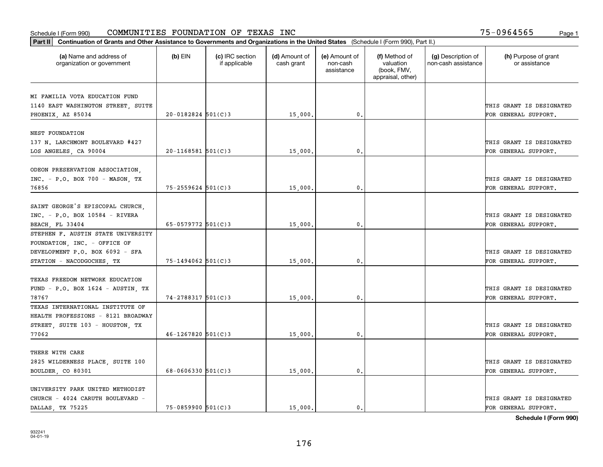| Part II   Continuation of Grants and Other Assistance to Governments and Organizations in the United States (Schedule I (Form 990), Part II.) |                          |                                  |                             |                                         |                                                                |                                           |                                       |
|-----------------------------------------------------------------------------------------------------------------------------------------------|--------------------------|----------------------------------|-----------------------------|-----------------------------------------|----------------------------------------------------------------|-------------------------------------------|---------------------------------------|
| (a) Name and address of<br>organization or government                                                                                         | $(b)$ EIN                | (c) IRC section<br>if applicable | (d) Amount of<br>cash grant | (e) Amount of<br>non-cash<br>assistance | (f) Method of<br>valuation<br>(book, FMV,<br>appraisal, other) | (g) Description of<br>non-cash assistance | (h) Purpose of grant<br>or assistance |
| MI FAMILIA VOTA EDUCATION FUND                                                                                                                |                          |                                  |                             |                                         |                                                                |                                           |                                       |
| 1140 EAST WASHINGTON STREET, SUITE                                                                                                            |                          |                                  |                             |                                         |                                                                |                                           | THIS GRANT IS DESIGNATED              |
| PHOENIX, AZ 85034                                                                                                                             | $20 - 0182824$ 501(C)3   |                                  | 15,000.                     | $\mathbf{0}$ .                          |                                                                |                                           | FOR GENERAL SUPPORT.                  |
|                                                                                                                                               |                          |                                  |                             |                                         |                                                                |                                           |                                       |
| NEST FOUNDATION                                                                                                                               |                          |                                  |                             |                                         |                                                                |                                           |                                       |
| 137 N. LARCHMONT BOULEVARD #427                                                                                                               |                          |                                  |                             |                                         |                                                                |                                           | THIS GRANT IS DESIGNATED              |
| LOS ANGELES, CA 90004                                                                                                                         | $20 - 1168581$ 501(C)3   |                                  | 15,000                      | 0.                                      |                                                                |                                           | FOR GENERAL SUPPORT.                  |
|                                                                                                                                               |                          |                                  |                             |                                         |                                                                |                                           |                                       |
| ODEON PRESERVATION ASSOCIATION,                                                                                                               |                          |                                  |                             |                                         |                                                                |                                           |                                       |
| $INC. - P.O. BOX 700 - MASON. TX$                                                                                                             |                          |                                  |                             |                                         |                                                                |                                           | THIS GRANT IS DESIGNATED              |
| 76856                                                                                                                                         | $75 - 2559624$ 501(C)3   |                                  | 15,000.                     | $\mathbf{0}$ .                          |                                                                |                                           | FOR GENERAL SUPPORT.                  |
|                                                                                                                                               |                          |                                  |                             |                                         |                                                                |                                           |                                       |
| SAINT GEORGE'S EPISCOPAL CHURCH,                                                                                                              |                          |                                  |                             |                                         |                                                                |                                           |                                       |
| $INC. - P.O. BOX 10584 - RIVERA$                                                                                                              |                          |                                  |                             |                                         |                                                                |                                           | THIS GRANT IS DESIGNATED              |
| BEACH, FL 33404                                                                                                                               | 65-0579772 $501(C)3$     |                                  | 15,000.                     | 0.                                      |                                                                |                                           | FOR GENERAL SUPPORT.                  |
| STEPHEN F. AUSTIN STATE UNIVERSITY                                                                                                            |                          |                                  |                             |                                         |                                                                |                                           |                                       |
| FOUNDATION, INC. - OFFICE OF                                                                                                                  |                          |                                  |                             |                                         |                                                                |                                           |                                       |
| DEVELOPMENT P.O. BOX 6092 - SFA                                                                                                               |                          |                                  |                             |                                         |                                                                |                                           | THIS GRANT IS DESIGNATED              |
| STATION - NACODGOCHES, TX                                                                                                                     | 75-1494062 501(C)3       |                                  | 15,000.                     | 0.                                      |                                                                |                                           | FOR GENERAL SUPPORT.                  |
|                                                                                                                                               |                          |                                  |                             |                                         |                                                                |                                           |                                       |
| TEXAS FREEDOM NETWORK EDUCATION                                                                                                               |                          |                                  |                             |                                         |                                                                |                                           |                                       |
| FUND - P.O. BOX $1624$ - AUSTIN, TX                                                                                                           |                          |                                  |                             |                                         |                                                                |                                           | THIS GRANT IS DESIGNATED              |
| 78767                                                                                                                                         | $74 - 2788317$ 501(C)3   |                                  | 15,000                      | 0.                                      |                                                                |                                           | FOR GENERAL SUPPORT.                  |
| TEXAS INTERNATIONAL INSTITUTE OF                                                                                                              |                          |                                  |                             |                                         |                                                                |                                           |                                       |
| HEALTH PROFESSIONS - 8121 BROADWAY                                                                                                            |                          |                                  |                             |                                         |                                                                |                                           |                                       |
| STREET, SUITE 103 - HOUSTON, TX                                                                                                               |                          |                                  |                             |                                         |                                                                |                                           | THIS GRANT IS DESIGNATED              |
| 77062                                                                                                                                         | $46 - 1267820$ 501(C)3   |                                  | 15,000.                     | $\mathbf{0}$ .                          |                                                                |                                           | FOR GENERAL SUPPORT.                  |
|                                                                                                                                               |                          |                                  |                             |                                         |                                                                |                                           |                                       |
| THERE WITH CARE                                                                                                                               |                          |                                  |                             |                                         |                                                                |                                           |                                       |
| 2825 WILDERNESS PLACE, SUITE 100                                                                                                              |                          |                                  |                             |                                         |                                                                |                                           | THIS GRANT IS DESIGNATED              |
| BOULDER, CO 80301                                                                                                                             | $68 - 0606330$ $501(C)3$ |                                  | 15,000.                     | 0.                                      |                                                                |                                           | FOR GENERAL SUPPORT.                  |
| UNIVERSITY PARK UNITED METHODIST                                                                                                              |                          |                                  |                             |                                         |                                                                |                                           |                                       |
| CHURCH - 4024 CARUTH BOULEVARD -                                                                                                              |                          |                                  |                             |                                         |                                                                |                                           | THIS GRANT IS DESIGNATED              |
| DALLAS TX 75225                                                                                                                               | 75-0859900 501(C)3       |                                  | 15,000.                     | $\mathbf{0}$ .                          |                                                                |                                           | FOR GENERAL SUPPORT.                  |
|                                                                                                                                               |                          |                                  |                             |                                         |                                                                |                                           |                                       |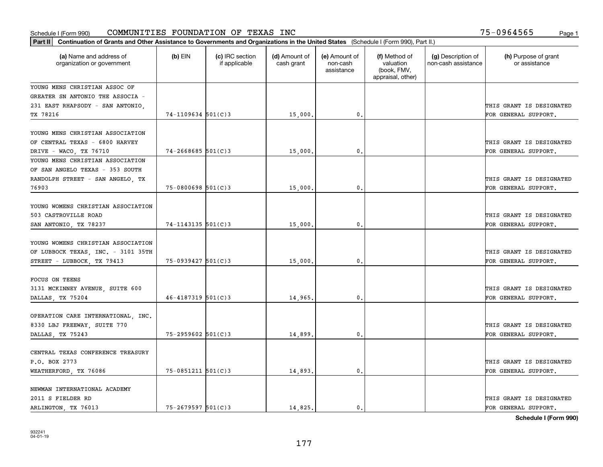| Part II   Continuation of Grants and Other Assistance to Governments and Organizations in the United States (Schedule I (Form 990), Part II.) |                          |                                  |                             |                                         |                                                                |                                           |                                       |
|-----------------------------------------------------------------------------------------------------------------------------------------------|--------------------------|----------------------------------|-----------------------------|-----------------------------------------|----------------------------------------------------------------|-------------------------------------------|---------------------------------------|
| (a) Name and address of<br>organization or government                                                                                         | $(b)$ EIN                | (c) IRC section<br>if applicable | (d) Amount of<br>cash grant | (e) Amount of<br>non-cash<br>assistance | (f) Method of<br>valuation<br>(book, FMV,<br>appraisal, other) | (g) Description of<br>non-cash assistance | (h) Purpose of grant<br>or assistance |
| YOUNG MENS CHRISTIAN ASSOC OF                                                                                                                 |                          |                                  |                             |                                         |                                                                |                                           |                                       |
| GREATER SN ANTONIO THE ASSOCIA -                                                                                                              |                          |                                  |                             |                                         |                                                                |                                           |                                       |
| 231 EAST RHAPSODY - SAN ANTONIO,                                                                                                              |                          |                                  |                             |                                         |                                                                |                                           | THIS GRANT IS DESIGNATED              |
| TX 78216                                                                                                                                      | $74 - 1109634$ 501(C)3   |                                  | 15,000.                     | 0.                                      |                                                                |                                           | FOR GENERAL SUPPORT.                  |
| YOUNG MENS CHRISTIAN ASSOCIATION                                                                                                              |                          |                                  |                             |                                         |                                                                |                                           |                                       |
| OF CENTRAL TEXAS - 6800 HARVEY                                                                                                                |                          |                                  |                             |                                         |                                                                |                                           | THIS GRANT IS DESIGNATED              |
| DRIVE - WACO, TX 76710<br>YOUNG MENS CHRISTIAN ASSOCIATION                                                                                    | $74 - 2668685$ 501(C)3   |                                  | 15,000,                     | $\mathbf{0}$ .                          |                                                                |                                           | FOR GENERAL SUPPORT.                  |
| OF SAN ANGELO TEXAS - 353 SOUTH                                                                                                               |                          |                                  |                             |                                         |                                                                |                                           |                                       |
| RANDOLPH STREET - SAN ANGELO, TX                                                                                                              |                          |                                  |                             |                                         |                                                                |                                           | THIS GRANT IS DESIGNATED              |
| 76903                                                                                                                                         | $75 - 0800698$ 501(C)3   |                                  | 15,000.                     | $\mathbf{0}$ .                          |                                                                |                                           | FOR GENERAL SUPPORT.                  |
|                                                                                                                                               |                          |                                  |                             |                                         |                                                                |                                           |                                       |
| YOUNG WOMENS CHRISTIAN ASSOCIATION                                                                                                            |                          |                                  |                             |                                         |                                                                |                                           |                                       |
| 503 CASTROVILLE ROAD                                                                                                                          |                          |                                  |                             |                                         |                                                                |                                           | THIS GRANT IS DESIGNATED              |
| SAN ANTONIO, TX 78237                                                                                                                         | $74 - 1143135$ 501(C)3   |                                  | 15,000.                     | 0.                                      |                                                                |                                           | FOR GENERAL SUPPORT.                  |
| YOUNG WOMENS CHRISTIAN ASSOCIATION                                                                                                            |                          |                                  |                             |                                         |                                                                |                                           | THIS GRANT IS DESIGNATED              |
| OF LUBBOCK TEXAS, INC. - 3101 35TH                                                                                                            | $75-0939427$ 501(C)3     |                                  |                             | $\mathbf{0}$                            |                                                                |                                           | FOR GENERAL SUPPORT.                  |
| STREET - LUBBOCK, TX 79413                                                                                                                    |                          |                                  | 15,000.                     |                                         |                                                                |                                           |                                       |
| <b>FOCUS ON TEENS</b>                                                                                                                         |                          |                                  |                             |                                         |                                                                |                                           |                                       |
| 3131 MCKINNEY AVENUE, SUITE 600                                                                                                               |                          |                                  |                             |                                         |                                                                |                                           | THIS GRANT IS DESIGNATED              |
| DALLAS, TX 75204                                                                                                                              | $46 - 4187319$ 501(C)3   |                                  | 14,965.                     | 0.                                      |                                                                |                                           | FOR GENERAL SUPPORT.                  |
|                                                                                                                                               |                          |                                  |                             |                                         |                                                                |                                           |                                       |
| OPERATION CARE INTERNATIONAL, INC.<br>8330 LBJ FREEWAY, SUITE 770                                                                             |                          |                                  |                             |                                         |                                                                |                                           | THIS GRANT IS DESIGNATED              |
| DALLAS, TX 75243                                                                                                                              | 75-2959602 501(C)3       |                                  | 14,899                      | 0.                                      |                                                                |                                           | FOR GENERAL SUPPORT.                  |
|                                                                                                                                               |                          |                                  |                             |                                         |                                                                |                                           |                                       |
| CENTRAL TEXAS CONFERENCE TREASURY                                                                                                             |                          |                                  |                             |                                         |                                                                |                                           |                                       |
| P.O. BOX 2773                                                                                                                                 |                          |                                  |                             |                                         |                                                                |                                           | THIS GRANT IS DESIGNATED              |
| WEATHERFORD, TX 76086                                                                                                                         | $75 - 0851211$ $501(C)3$ |                                  | 14,893.                     | 0.                                      |                                                                |                                           | FOR GENERAL SUPPORT.                  |
|                                                                                                                                               |                          |                                  |                             |                                         |                                                                |                                           |                                       |
| NEWMAN INTERNATIONAL ACADEMY                                                                                                                  |                          |                                  |                             |                                         |                                                                |                                           |                                       |
| 2011 S FIELDER RD                                                                                                                             |                          |                                  |                             |                                         |                                                                |                                           | THIS GRANT IS DESIGNATED              |
| ARLINGTON, TX 76013                                                                                                                           | $75 - 2679597$ 501(C)3   |                                  | 14,825.                     | 0.                                      |                                                                |                                           | FOR GENERAL SUPPORT.                  |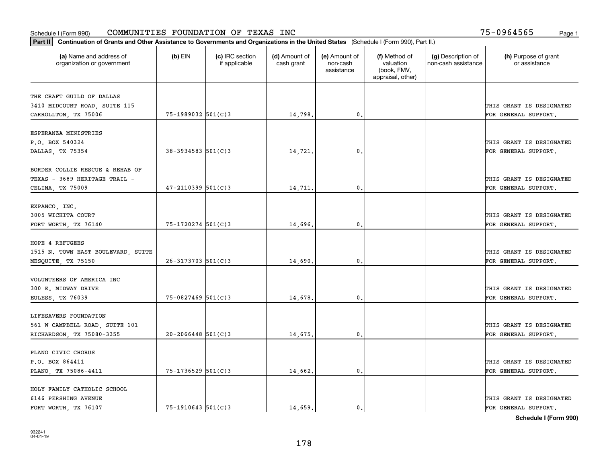| Part II   Continuation of Grants and Other Assistance to Governments and Organizations in the United States (Schedule I (Form 990), Part II.) |                          |                                  |                             |                                         |                                                                |                                           |                                       |
|-----------------------------------------------------------------------------------------------------------------------------------------------|--------------------------|----------------------------------|-----------------------------|-----------------------------------------|----------------------------------------------------------------|-------------------------------------------|---------------------------------------|
| (a) Name and address of<br>organization or government                                                                                         | $(b)$ EIN                | (c) IRC section<br>if applicable | (d) Amount of<br>cash grant | (e) Amount of<br>non-cash<br>assistance | (f) Method of<br>valuation<br>(book, FMV,<br>appraisal, other) | (g) Description of<br>non-cash assistance | (h) Purpose of grant<br>or assistance |
| THE CRAFT GUILD OF DALLAS                                                                                                                     |                          |                                  |                             |                                         |                                                                |                                           |                                       |
| 3410 MIDCOURT ROAD, SUITE 115                                                                                                                 |                          |                                  |                             |                                         |                                                                |                                           | THIS GRANT IS DESIGNATED              |
| CARROLLTON, TX 75006                                                                                                                          | 75-1989032 501(C)3       |                                  | 14,798.                     | $\mathbf 0$ .                           |                                                                |                                           | FOR GENERAL SUPPORT.                  |
|                                                                                                                                               |                          |                                  |                             |                                         |                                                                |                                           |                                       |
| ESPERANZA MINISTRIES                                                                                                                          |                          |                                  |                             |                                         |                                                                |                                           |                                       |
| P.O. BOX 540324                                                                                                                               |                          |                                  |                             |                                         |                                                                |                                           | THIS GRANT IS DESIGNATED              |
| DALLAS, TX 75354                                                                                                                              | $38 - 3934583$ $501(C)3$ |                                  | 14,721                      | 0.                                      |                                                                |                                           | FOR GENERAL SUPPORT.                  |
|                                                                                                                                               |                          |                                  |                             |                                         |                                                                |                                           |                                       |
| BORDER COLLIE RESCUE & REHAB OF<br>TEXAS - 3689 HERITAGE TRAIL -                                                                              |                          |                                  |                             |                                         |                                                                |                                           | THIS GRANT IS DESIGNATED              |
| CELINA, TX 75009                                                                                                                              | $47 - 2110399$ 501(C)3   |                                  | 14,711.                     | $\mathfrak{o}$ .                        |                                                                |                                           | FOR GENERAL SUPPORT.                  |
|                                                                                                                                               |                          |                                  |                             |                                         |                                                                |                                           |                                       |
| EXPANCO, INC.                                                                                                                                 |                          |                                  |                             |                                         |                                                                |                                           |                                       |
| 3005 WICHITA COURT                                                                                                                            |                          |                                  |                             |                                         |                                                                |                                           | THIS GRANT IS DESIGNATED              |
| FORT WORTH, TX 76140                                                                                                                          | $75 - 1720274$ 501(C)3   |                                  | 14,696.                     | $\mathbf{0}$                            |                                                                |                                           | FOR GENERAL SUPPORT.                  |
|                                                                                                                                               |                          |                                  |                             |                                         |                                                                |                                           |                                       |
| HOPE 4 REFUGEES                                                                                                                               |                          |                                  |                             |                                         |                                                                |                                           |                                       |
| 1515 N. TOWN EAST BOULEVARD, SUITE                                                                                                            |                          |                                  |                             |                                         |                                                                |                                           | THIS GRANT IS DESIGNATED              |
| MESQUITE, TX 75150                                                                                                                            | $26 - 3173703$ 501(C)3   |                                  | 14,690                      | $\mathbf 0$ .                           |                                                                |                                           | FOR GENERAL SUPPORT.                  |
|                                                                                                                                               |                          |                                  |                             |                                         |                                                                |                                           |                                       |
| VOLUNTEERS OF AMERICA INC<br>300 E. MIDWAY DRIVE                                                                                              |                          |                                  |                             |                                         |                                                                |                                           | THIS GRANT IS DESIGNATED              |
| EULESS, TX 76039                                                                                                                              | 75-0827469 501(C)3       |                                  | 14,678.                     | $\mathbf 0$ .                           |                                                                |                                           | FOR GENERAL SUPPORT.                  |
|                                                                                                                                               |                          |                                  |                             |                                         |                                                                |                                           |                                       |
| LIFESAVERS FOUNDATION                                                                                                                         |                          |                                  |                             |                                         |                                                                |                                           |                                       |
| 561 W CAMPBELL ROAD, SUITE 101                                                                                                                |                          |                                  |                             |                                         |                                                                |                                           | THIS GRANT IS DESIGNATED              |
| RICHARDSON, TX 75080-3355                                                                                                                     | $20 - 2066448$ 501(C)3   |                                  | 14,675.                     | $^{\circ}$ .                            |                                                                |                                           | FOR GENERAL SUPPORT.                  |
|                                                                                                                                               |                          |                                  |                             |                                         |                                                                |                                           |                                       |
| PLANO CIVIC CHORUS                                                                                                                            |                          |                                  |                             |                                         |                                                                |                                           |                                       |
| P.O. BOX 864411                                                                                                                               |                          |                                  |                             |                                         |                                                                |                                           | THIS GRANT IS DESIGNATED              |
| PLANO, TX 75086-4411                                                                                                                          | 75-1736529 501(C)3       |                                  | 14,662.                     | $\mathbf{0}$                            |                                                                |                                           | FOR GENERAL SUPPORT.                  |
| HOLY FAMILY CATHOLIC SCHOOL                                                                                                                   |                          |                                  |                             |                                         |                                                                |                                           |                                       |
| 6146 PERSHING AVENUE                                                                                                                          |                          |                                  |                             |                                         |                                                                |                                           | THIS GRANT IS DESIGNATED              |
| FORT WORTH TX 76107                                                                                                                           | $75 - 1910643$ 501(C)3   |                                  | 14,659.                     | $\mathbf{0}$ .                          |                                                                |                                           | FOR GENERAL SUPPORT.                  |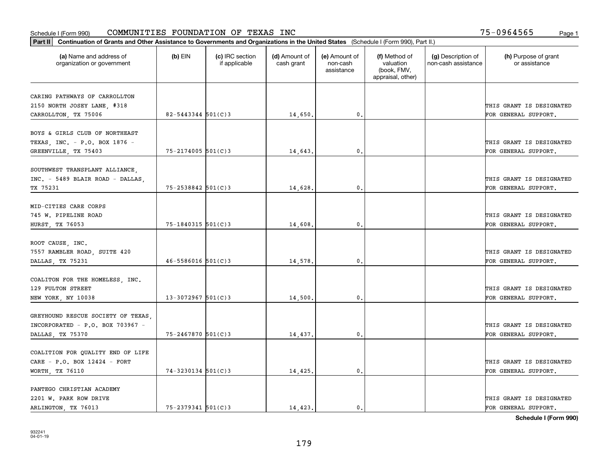| Part II   Continuation of Grants and Other Assistance to Governments and Organizations in the United States (Schedule I (Form 990), Part II.) |                        |                                  |                             |                                         |                                                                |                                           |                                       |
|-----------------------------------------------------------------------------------------------------------------------------------------------|------------------------|----------------------------------|-----------------------------|-----------------------------------------|----------------------------------------------------------------|-------------------------------------------|---------------------------------------|
| (a) Name and address of<br>organization or government                                                                                         | $(b)$ EIN              | (c) IRC section<br>if applicable | (d) Amount of<br>cash grant | (e) Amount of<br>non-cash<br>assistance | (f) Method of<br>valuation<br>(book, FMV,<br>appraisal, other) | (g) Description of<br>non-cash assistance | (h) Purpose of grant<br>or assistance |
| CARING PATHWAYS OF CARROLLTON                                                                                                                 |                        |                                  |                             |                                         |                                                                |                                           |                                       |
| 2150 NORTH JOSEY LANE, #318                                                                                                                   |                        |                                  |                             |                                         |                                                                |                                           | THIS GRANT IS DESIGNATED              |
| CARROLLTON, TX 75006                                                                                                                          | $82 - 5443344$ 501(C)3 |                                  | 14,650.                     | 0.                                      |                                                                |                                           | FOR GENERAL SUPPORT.                  |
|                                                                                                                                               |                        |                                  |                             |                                         |                                                                |                                           |                                       |
| BOYS & GIRLS CLUB OF NORTHEAST                                                                                                                |                        |                                  |                             |                                         |                                                                |                                           |                                       |
| TEXAS, INC. - P.O. BOX 1876 -                                                                                                                 |                        |                                  |                             |                                         |                                                                |                                           | THIS GRANT IS DESIGNATED              |
| GREENVILLE, TX 75403                                                                                                                          | $75 - 2174005$ 501(C)3 |                                  | 14,643.                     | 0.                                      |                                                                |                                           | FOR GENERAL SUPPORT.                  |
| SOUTHWEST TRANSPLANT ALLIANCE,                                                                                                                |                        |                                  |                             |                                         |                                                                |                                           |                                       |
| INC. - 5489 BLAIR ROAD - DALLAS,                                                                                                              |                        |                                  |                             |                                         |                                                                |                                           | THIS GRANT IS DESIGNATED              |
| TX 75231                                                                                                                                      | $75 - 2538842$ 501(C)3 |                                  | 14,628.                     | $\mathbf{0}$ .                          |                                                                |                                           | FOR GENERAL SUPPORT.                  |
|                                                                                                                                               |                        |                                  |                             |                                         |                                                                |                                           |                                       |
| MID-CITIES CARE CORPS                                                                                                                         |                        |                                  |                             |                                         |                                                                |                                           |                                       |
| 745 W. PIPELINE ROAD                                                                                                                          |                        |                                  |                             |                                         |                                                                |                                           | THIS GRANT IS DESIGNATED              |
| HURST, TX 76053                                                                                                                               | 75-1840315 501(C)3     |                                  | 14,608.                     | 0.                                      |                                                                |                                           | FOR GENERAL SUPPORT.                  |
|                                                                                                                                               |                        |                                  |                             |                                         |                                                                |                                           |                                       |
| ROOT CAUSE, INC.<br>7557 RAMBLER ROAD, SUITE 420                                                                                              |                        |                                  |                             |                                         |                                                                |                                           | THIS GRANT IS DESIGNATED              |
| DALLAS, TX 75231                                                                                                                              | $46 - 5586016$ 501(C)3 |                                  | 14,578.                     | 0.                                      |                                                                |                                           | FOR GENERAL SUPPORT.                  |
|                                                                                                                                               |                        |                                  |                             |                                         |                                                                |                                           |                                       |
| COALITON FOR THE HOMELESS, INC.                                                                                                               |                        |                                  |                             |                                         |                                                                |                                           |                                       |
| 129 FULTON STREET                                                                                                                             |                        |                                  |                             |                                         |                                                                |                                           | THIS GRANT IS DESIGNATED              |
| NEW YORK, NY 10038                                                                                                                            | $13 - 3072967$ 501(C)3 |                                  | 14,500.                     | 0.                                      |                                                                |                                           | FOR GENERAL SUPPORT.                  |
|                                                                                                                                               |                        |                                  |                             |                                         |                                                                |                                           |                                       |
| GREYHOUND RESCUE SOCIETY OF TEXAS                                                                                                             |                        |                                  |                             |                                         |                                                                |                                           |                                       |
| INCORPORATED - $P.O.$ BOX 703967 -                                                                                                            |                        |                                  |                             |                                         |                                                                |                                           | THIS GRANT IS DESIGNATED              |
| DALLAS, TX 75370                                                                                                                              | 75-2467870 501(C)3     |                                  | 14,437.                     | $\mathbf{0}$ .                          |                                                                |                                           | FOR GENERAL SUPPORT.                  |
| COALITION FOR QUALITY END OF LIFE                                                                                                             |                        |                                  |                             |                                         |                                                                |                                           |                                       |
| CARE - P.O. BOX 12424 - FORT                                                                                                                  |                        |                                  |                             |                                         |                                                                |                                           | THIS GRANT IS DESIGNATED              |
| WORTH, TX 76110                                                                                                                               | $74 - 3230134$ 501(C)3 |                                  | 14,425.                     | $\mathfrak o$ .                         |                                                                |                                           | FOR GENERAL SUPPORT.                  |
|                                                                                                                                               |                        |                                  |                             |                                         |                                                                |                                           |                                       |
| PANTEGO CHRISTIAN ACADEMY                                                                                                                     |                        |                                  |                             |                                         |                                                                |                                           |                                       |
| 2201 W. PARK ROW DRIVE                                                                                                                        |                        |                                  |                             |                                         |                                                                |                                           | THIS GRANT IS DESIGNATED              |
| ARLINGTON, TX 76013                                                                                                                           | $75 - 2379341$ 501(C)3 |                                  | 14,423.                     | $\mathbf{0}$ .                          |                                                                |                                           | FOR GENERAL SUPPORT.                  |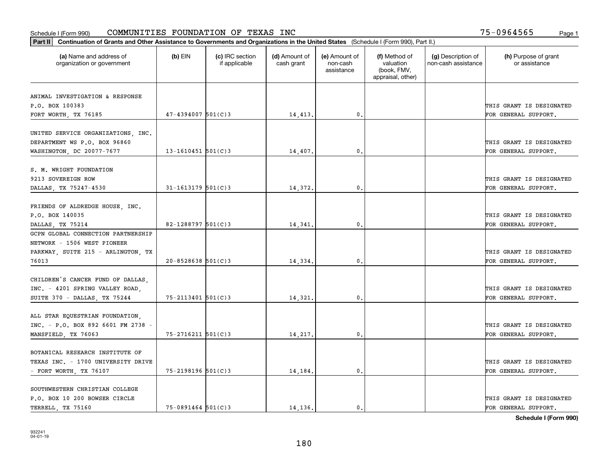| Part II   Continuation of Grants and Other Assistance to Governments and Organizations in the United States (Schedule I (Form 990), Part II.) |                        |                                  |                             |                                         |                                                                |                                           |                                                  |
|-----------------------------------------------------------------------------------------------------------------------------------------------|------------------------|----------------------------------|-----------------------------|-----------------------------------------|----------------------------------------------------------------|-------------------------------------------|--------------------------------------------------|
| (a) Name and address of<br>organization or government                                                                                         | (b) EIN                | (c) IRC section<br>if applicable | (d) Amount of<br>cash grant | (e) Amount of<br>non-cash<br>assistance | (f) Method of<br>valuation<br>(book, FMV,<br>appraisal, other) | (g) Description of<br>non-cash assistance | (h) Purpose of grant<br>or assistance            |
|                                                                                                                                               |                        |                                  |                             |                                         |                                                                |                                           |                                                  |
| ANIMAL INVESTIGATION & RESPONSE<br>P.O. BOX 100383                                                                                            |                        |                                  |                             |                                         |                                                                |                                           | THIS GRANT IS DESIGNATED                         |
| FORT WORTH, TX 76185                                                                                                                          | $47 - 4394007$ 501(C)3 |                                  | 14,413.                     | 0.                                      |                                                                |                                           | FOR GENERAL SUPPORT.                             |
|                                                                                                                                               |                        |                                  |                             |                                         |                                                                |                                           |                                                  |
| UNITED SERVICE ORGANIZATIONS, INC.<br>DEPARTMENT WS P.O. BOX 96860                                                                            |                        |                                  |                             |                                         |                                                                |                                           | THIS GRANT IS DESIGNATED                         |
| WASHINGTON, DC 20077-7677                                                                                                                     | 13-1610451 $501(C)3$   |                                  | 14,407.                     | 0.                                      |                                                                |                                           | FOR GENERAL SUPPORT.                             |
| S. M. WRIGHT FOUNDATION<br>9213 SOVEREIGN ROW                                                                                                 |                        |                                  |                             |                                         |                                                                |                                           | THIS GRANT IS DESIGNATED                         |
| DALLAS, TX 75247-4530                                                                                                                         | $31 - 1613179$ 501(C)3 |                                  | 14,372.                     | 0.                                      |                                                                |                                           | FOR GENERAL SUPPORT.                             |
| FRIENDS OF ALDREDGE HOUSE, INC.<br>P.O. BOX 140035<br>DALLAS, TX 75214                                                                        | $82 - 1288797$ 501(C)3 |                                  | 14,341.                     | 0.                                      |                                                                |                                           | THIS GRANT IS DESIGNATED<br>FOR GENERAL SUPPORT. |
| GCPN GLOBAL CONNECTION PARTNERSHIP                                                                                                            |                        |                                  |                             |                                         |                                                                |                                           |                                                  |
| NETWORK - 1506 WEST PIONEER                                                                                                                   |                        |                                  |                             |                                         |                                                                |                                           |                                                  |
| PARKWAY, SUITE 215 - ARLINGTON, TX                                                                                                            |                        |                                  |                             |                                         |                                                                |                                           | THIS GRANT IS DESIGNATED                         |
| 76013                                                                                                                                         | $20 - 8528638$ 501(C)3 |                                  | 14,334                      | 0.                                      |                                                                |                                           | FOR GENERAL SUPPORT.                             |
| CHILDREN'S CANCER FUND OF DALLAS,<br>INC. - 4201 SPRING VALLEY ROAD,<br>SUITE 370 - DALLAS, TX 75244                                          | 75-2113401 501(C)3     |                                  | 14,321.                     | $\mathbf{0}$ .                          |                                                                |                                           | THIS GRANT IS DESIGNATED<br>FOR GENERAL SUPPORT. |
|                                                                                                                                               |                        |                                  |                             |                                         |                                                                |                                           |                                                  |
| ALL STAR EQUESTRIAN FOUNDATION,<br>INC. - P.O. BOX 892 6601 FM 2738 -<br>MANSFIELD, TX 76063                                                  | $75 - 2716211$ 501(C)3 |                                  | 14,217.                     | 0.                                      |                                                                |                                           | THIS GRANT IS DESIGNATED<br>FOR GENERAL SUPPORT. |
|                                                                                                                                               |                        |                                  |                             |                                         |                                                                |                                           |                                                  |
| BOTANICAL RESEARCH INSTITUTE OF<br>TEXAS INC. - 1700 UNIVERSITY DRIVE                                                                         |                        |                                  |                             |                                         |                                                                |                                           | THIS GRANT IS DESIGNATED                         |
| - FORT WORTH, TX 76107                                                                                                                        | 75-2198196 501(C)3     |                                  | 14,184.                     | 0.                                      |                                                                |                                           | FOR GENERAL SUPPORT.                             |
| SOUTHWESTERN CHRISTIAN COLLEGE<br>P.O. BOX 10 200 BOWSER CIRCLE<br>TERRELL TX 75160                                                           | $75 - 0891464$ 501(C)3 |                                  | 14, 136.                    | 0.                                      |                                                                |                                           | THIS GRANT IS DESIGNATED<br>FOR GENERAL SUPPORT. |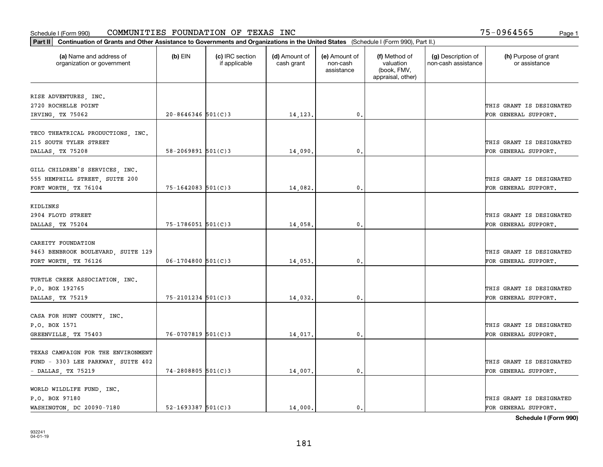| Part II   Continuation of Grants and Other Assistance to Governments and Organizations in the United States (Schedule I (Form 990), Part II.) |                          |                                  |                             |                                         |                                                                |                                           |                                       |
|-----------------------------------------------------------------------------------------------------------------------------------------------|--------------------------|----------------------------------|-----------------------------|-----------------------------------------|----------------------------------------------------------------|-------------------------------------------|---------------------------------------|
| (a) Name and address of<br>organization or government                                                                                         | $(b)$ EIN                | (c) IRC section<br>if applicable | (d) Amount of<br>cash grant | (e) Amount of<br>non-cash<br>assistance | (f) Method of<br>valuation<br>(book, FMV,<br>appraisal, other) | (g) Description of<br>non-cash assistance | (h) Purpose of grant<br>or assistance |
|                                                                                                                                               |                          |                                  |                             |                                         |                                                                |                                           |                                       |
| RISE ADVENTURES, INC.<br>2720 ROCHELLE POINT                                                                                                  |                          |                                  |                             |                                         |                                                                |                                           | THIS GRANT IS DESIGNATED              |
| IRVING, TX 75062                                                                                                                              | $20 - 8646346$ 501(C)3   |                                  | 14,123.                     | 0.                                      |                                                                |                                           | FOR GENERAL SUPPORT.                  |
|                                                                                                                                               |                          |                                  |                             |                                         |                                                                |                                           |                                       |
| TECO THEATRICAL PRODUCTIONS, INC.                                                                                                             |                          |                                  |                             |                                         |                                                                |                                           |                                       |
| 215 SOUTH TYLER STREET                                                                                                                        |                          |                                  |                             |                                         |                                                                |                                           | THIS GRANT IS DESIGNATED              |
| DALLAS, TX 75208                                                                                                                              | $58 - 2069891$ $501(C)3$ |                                  | 14,090                      | 0.                                      |                                                                |                                           | FOR GENERAL SUPPORT.                  |
|                                                                                                                                               |                          |                                  |                             |                                         |                                                                |                                           |                                       |
| GILL CHILDREN'S SERVICES, INC.                                                                                                                |                          |                                  |                             |                                         |                                                                |                                           |                                       |
| 555 HEMPHILL STREET, SUITE 200                                                                                                                |                          |                                  |                             |                                         |                                                                |                                           | THIS GRANT IS DESIGNATED              |
| FORT WORTH, TX 76104                                                                                                                          | $75 - 1642083$ 501(C)3   |                                  | 14,082.                     | $\mathbf{0}$ .                          |                                                                |                                           | FOR GENERAL SUPPORT.                  |
|                                                                                                                                               |                          |                                  |                             |                                         |                                                                |                                           |                                       |
| KIDLINKS                                                                                                                                      |                          |                                  |                             |                                         |                                                                |                                           |                                       |
| 2904 FLOYD STREET                                                                                                                             |                          |                                  |                             |                                         |                                                                |                                           | THIS GRANT IS DESIGNATED              |
| DALLAS, TX 75204                                                                                                                              | 75-1786051 501(C)3       |                                  | 14,058.                     | 0.                                      |                                                                |                                           | FOR GENERAL SUPPORT.                  |
| CAREITY FOUNDATION                                                                                                                            |                          |                                  |                             |                                         |                                                                |                                           |                                       |
| 9463 BENBROOK BOULEVARD, SUITE 129                                                                                                            |                          |                                  |                             |                                         |                                                                |                                           | THIS GRANT IS DESIGNATED              |
| FORT WORTH, TX 76126                                                                                                                          | $06 - 1704800$ 501(C)3   |                                  | 14,053.                     | 0.                                      |                                                                |                                           | FOR GENERAL SUPPORT.                  |
|                                                                                                                                               |                          |                                  |                             |                                         |                                                                |                                           |                                       |
| TURTLE CREEK ASSOCIATION, INC.                                                                                                                |                          |                                  |                             |                                         |                                                                |                                           |                                       |
| P.O. BOX 192765                                                                                                                               |                          |                                  |                             |                                         |                                                                |                                           | THIS GRANT IS DESIGNATED              |
| DALLAS, TX 75219                                                                                                                              | $75 - 2101234$ 501(C)3   |                                  | 14,032.                     | 0.                                      |                                                                |                                           | FOR GENERAL SUPPORT.                  |
|                                                                                                                                               |                          |                                  |                             |                                         |                                                                |                                           |                                       |
| CASA FOR HUNT COUNTY, INC.                                                                                                                    |                          |                                  |                             |                                         |                                                                |                                           |                                       |
| P.O. BOX 1571                                                                                                                                 |                          |                                  |                             |                                         |                                                                |                                           | THIS GRANT IS DESIGNATED              |
| GREENVILLE, TX 75403                                                                                                                          | $76 - 0707819$ 501(C)3   |                                  | 14,017.                     | $\mathbf{0}$ .                          |                                                                |                                           | FOR GENERAL SUPPORT.                  |
|                                                                                                                                               |                          |                                  |                             |                                         |                                                                |                                           |                                       |
| TEXAS CAMPAIGN FOR THE ENVIRONMENT                                                                                                            |                          |                                  |                             |                                         |                                                                |                                           |                                       |
| FUND - 3303 LEE PARKWAY, SUITE 402                                                                                                            |                          |                                  |                             |                                         |                                                                |                                           | THIS GRANT IS DESIGNATED              |
| - DALLAS, TX 75219                                                                                                                            | $74 - 2808805$ 501(C)3   |                                  | 14,007.                     | 0.                                      |                                                                |                                           | FOR GENERAL SUPPORT.                  |
| WORLD WILDLIFE FUND, INC.                                                                                                                     |                          |                                  |                             |                                         |                                                                |                                           |                                       |
| P.O. BOX 97180                                                                                                                                |                          |                                  |                             |                                         |                                                                |                                           | THIS GRANT IS DESIGNATED              |
| WASHINGTON, DC 20090-7180                                                                                                                     | $52 - 1693387$ $501(C)3$ |                                  | 14,000.                     | 0.                                      |                                                                |                                           | FOR GENERAL SUPPORT.                  |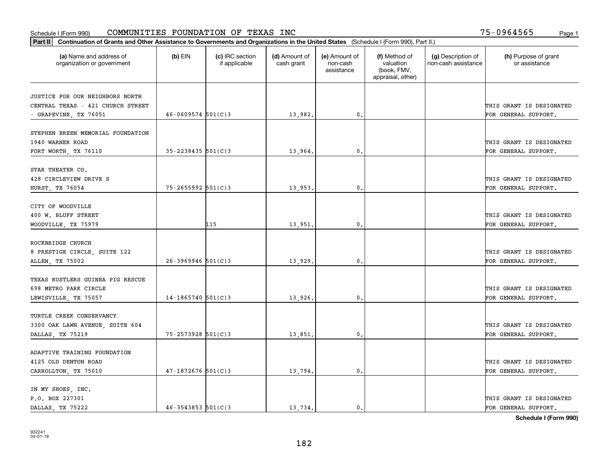| Part II   Continuation of Grants and Other Assistance to Governments and Organizations in the United States (Schedule I (Form 990), Part II.) |                        |                                  |                             |                                         |                                                                |                                           |                                       |
|-----------------------------------------------------------------------------------------------------------------------------------------------|------------------------|----------------------------------|-----------------------------|-----------------------------------------|----------------------------------------------------------------|-------------------------------------------|---------------------------------------|
| (a) Name and address of<br>organization or government                                                                                         | $(b)$ EIN              | (c) IRC section<br>if applicable | (d) Amount of<br>cash grant | (e) Amount of<br>non-cash<br>assistance | (f) Method of<br>valuation<br>(book, FMV,<br>appraisal, other) | (g) Description of<br>non-cash assistance | (h) Purpose of grant<br>or assistance |
|                                                                                                                                               |                        |                                  |                             |                                         |                                                                |                                           |                                       |
| JUSTICE FOR OUR NEIGHBORS NORTH<br>CENTRAL TEXAS - 421 CHURCH STREET                                                                          |                        |                                  |                             |                                         |                                                                |                                           | THIS GRANT IS DESIGNATED              |
| - GRAPEVINE, TX 76051                                                                                                                         | $46 - 0609574$ 501(C)3 |                                  | 13,982.                     | $\mathbf{0}$ .                          |                                                                |                                           | FOR GENERAL SUPPORT.                  |
|                                                                                                                                               |                        |                                  |                             |                                         |                                                                |                                           |                                       |
| STEPHEN BREEN MEMORIAL FOUNDATION                                                                                                             |                        |                                  |                             |                                         |                                                                |                                           |                                       |
| 1940 WARNER ROAD                                                                                                                              |                        |                                  |                             |                                         |                                                                |                                           | THIS GRANT IS DESIGNATED              |
| FORT WORTH, TX 76110                                                                                                                          | $35 - 2238435$ 501(C)3 |                                  | 13,964                      | 0.                                      |                                                                |                                           | FOR GENERAL SUPPORT.                  |
|                                                                                                                                               |                        |                                  |                             |                                         |                                                                |                                           |                                       |
| STAR THEATER CO.                                                                                                                              |                        |                                  |                             |                                         |                                                                |                                           |                                       |
| 428 CIRCLEVIEW DRIVE S                                                                                                                        |                        |                                  |                             |                                         |                                                                |                                           | THIS GRANT IS DESIGNATED              |
| HURST, TX 76054                                                                                                                               | $75 - 2655992$ 501(C)3 |                                  | 13,953.                     | $\mathbf{0}$ .                          |                                                                |                                           | FOR GENERAL SUPPORT.                  |
|                                                                                                                                               |                        |                                  |                             |                                         |                                                                |                                           |                                       |
| CITY OF WOODVILLE                                                                                                                             |                        |                                  |                             |                                         |                                                                |                                           |                                       |
| 400 W. BLUFF STREET                                                                                                                           |                        |                                  |                             |                                         |                                                                |                                           | THIS GRANT IS DESIGNATED              |
| WOODVILLE, TX 75979                                                                                                                           |                        | 115                              | 13,951                      | 0.                                      |                                                                |                                           | FOR GENERAL SUPPORT.                  |
|                                                                                                                                               |                        |                                  |                             |                                         |                                                                |                                           |                                       |
| ROCKBRIDGE CHURCH                                                                                                                             |                        |                                  |                             |                                         |                                                                |                                           |                                       |
| 8 PRESTIGE CIRCLE, SUITE 122                                                                                                                  |                        |                                  |                             |                                         |                                                                |                                           | THIS GRANT IS DESIGNATED              |
| ALLEN, TX 75002                                                                                                                               | $26 - 3969946$ 501(C)3 |                                  | 13,929.                     | 0.                                      |                                                                |                                           | FOR GENERAL SUPPORT.                  |
|                                                                                                                                               |                        |                                  |                             |                                         |                                                                |                                           |                                       |
| TEXAS RUSTLERS GUINEA PIG RESCUE                                                                                                              |                        |                                  |                             |                                         |                                                                |                                           |                                       |
| 698 METRO PARK CIRCLE                                                                                                                         |                        |                                  |                             |                                         |                                                                |                                           | THIS GRANT IS DESIGNATED              |
| LEWISVILLE, TX 75057                                                                                                                          | $14 - 1865740$ 501(C)3 |                                  | 13,926.                     | 0.                                      |                                                                |                                           | FOR GENERAL SUPPORT.                  |
|                                                                                                                                               |                        |                                  |                             |                                         |                                                                |                                           |                                       |
| TURTLE CREEK CONSERVANCY                                                                                                                      |                        |                                  |                             |                                         |                                                                |                                           |                                       |
| 3300 OAK LAWN AVENUE, SUITE 604                                                                                                               |                        |                                  |                             |                                         |                                                                |                                           | THIS GRANT IS DESIGNATED              |
| DALLAS, TX 75219                                                                                                                              | $75 - 2573928$ 501(C)3 |                                  | 13,851.                     | $\mathbf{0}$ .                          |                                                                |                                           | FOR GENERAL SUPPORT.                  |
|                                                                                                                                               |                        |                                  |                             |                                         |                                                                |                                           |                                       |
| ADAPTIVE TRAINING FOUNDATION                                                                                                                  |                        |                                  |                             |                                         |                                                                |                                           |                                       |
| 4125 OLD DENTON ROAD                                                                                                                          |                        |                                  |                             |                                         |                                                                |                                           | THIS GRANT IS DESIGNATED              |
| CARROLLTON, TX 75010                                                                                                                          | $47 - 1872676$ 501(C)3 |                                  | 13,794.                     | 0.                                      |                                                                |                                           | FOR GENERAL SUPPORT.                  |
|                                                                                                                                               |                        |                                  |                             |                                         |                                                                |                                           |                                       |
| IN MY SHOES, INC.                                                                                                                             |                        |                                  |                             |                                         |                                                                |                                           |                                       |
| P.O. BOX 227301                                                                                                                               |                        |                                  |                             |                                         |                                                                |                                           | THIS GRANT IS DESIGNATED              |
| DALLAS TX 75222                                                                                                                               | $46 - 3543853$ 501(C)3 |                                  | 13.734.                     | $\mathbf{0}$ .                          |                                                                |                                           | FOR GENERAL SUPPORT.                  |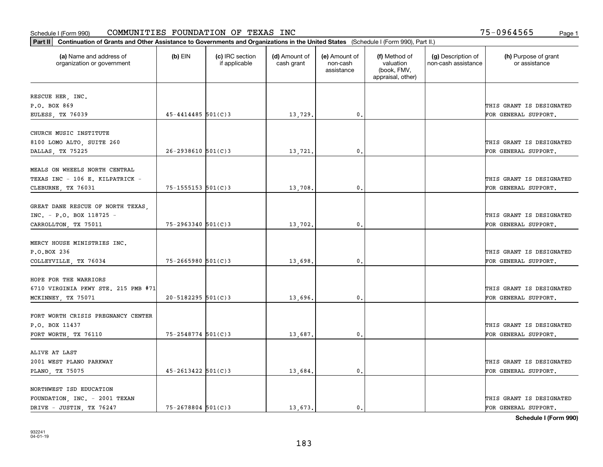| Part II   Continuation of Grants and Other Assistance to Governments and Organizations in the United States (Schedule I (Form 990), Part II.) |                          |                                  |                             |                                         |                                                                |                                           |                                       |
|-----------------------------------------------------------------------------------------------------------------------------------------------|--------------------------|----------------------------------|-----------------------------|-----------------------------------------|----------------------------------------------------------------|-------------------------------------------|---------------------------------------|
| (a) Name and address of<br>organization or government                                                                                         | $(b)$ EIN                | (c) IRC section<br>if applicable | (d) Amount of<br>cash grant | (e) Amount of<br>non-cash<br>assistance | (f) Method of<br>valuation<br>(book, FMV,<br>appraisal, other) | (g) Description of<br>non-cash assistance | (h) Purpose of grant<br>or assistance |
| RESCUE HER, INC.                                                                                                                              |                          |                                  |                             |                                         |                                                                |                                           |                                       |
| P.O. BOX 869                                                                                                                                  |                          |                                  |                             |                                         |                                                                |                                           | THIS GRANT IS DESIGNATED              |
| EULESS, TX 76039                                                                                                                              | $45 - 4414485$ 501(C)3   |                                  | 13,729.                     | $\mathbf 0$ .                           |                                                                |                                           | FOR GENERAL SUPPORT.                  |
|                                                                                                                                               |                          |                                  |                             |                                         |                                                                |                                           |                                       |
| CHURCH MUSIC INSTITUTE                                                                                                                        |                          |                                  |                             |                                         |                                                                |                                           |                                       |
| 8100 LOMO ALTO, SUITE 260                                                                                                                     |                          |                                  |                             |                                         |                                                                |                                           | THIS GRANT IS DESIGNATED              |
| DALLAS, TX 75225                                                                                                                              | $26 - 2938610$ 501(C)3   |                                  | 13,721                      | $\mathfrak{o}$ .                        |                                                                |                                           | FOR GENERAL SUPPORT.                  |
| MEALS ON WHEELS NORTH CENTRAL                                                                                                                 |                          |                                  |                             |                                         |                                                                |                                           |                                       |
| TEXAS INC - 106 E. KILPATRICK -                                                                                                               |                          |                                  |                             |                                         |                                                                |                                           | THIS GRANT IS DESIGNATED              |
| CLEBURNE, TX 76031                                                                                                                            | $75 - 1555153$ $501(C)3$ |                                  | 13,708.                     | $\mathbf{0}$ .                          |                                                                |                                           | FOR GENERAL SUPPORT.                  |
|                                                                                                                                               |                          |                                  |                             |                                         |                                                                |                                           |                                       |
| GREAT DANE RESCUE OF NORTH TEXAS,                                                                                                             |                          |                                  |                             |                                         |                                                                |                                           |                                       |
| INC. - P.O. BOX 118725 -                                                                                                                      |                          |                                  |                             |                                         |                                                                |                                           | THIS GRANT IS DESIGNATED              |
| CARROLLTON, TX 75011                                                                                                                          | $75 - 2963340$ 501(C)3   |                                  | 13,702.                     | $\mathbf{0}$                            |                                                                |                                           | FOR GENERAL SUPPORT.                  |
|                                                                                                                                               |                          |                                  |                             |                                         |                                                                |                                           |                                       |
| MERCY HOUSE MINISTRIES INC.                                                                                                                   |                          |                                  |                             |                                         |                                                                |                                           |                                       |
| P.O.BOX 236                                                                                                                                   |                          |                                  |                             |                                         |                                                                |                                           | THIS GRANT IS DESIGNATED              |
| COLLEYVILLE, TX 76034                                                                                                                         | $75 - 2665980$ 501(C)3   |                                  | 13,698.                     | $\mathfrak o$ .                         |                                                                |                                           | FOR GENERAL SUPPORT.                  |
|                                                                                                                                               |                          |                                  |                             |                                         |                                                                |                                           |                                       |
| HOPE FOR THE WARRIORS<br>6710 VIRGINIA PKWY STE. 215 PMB #71                                                                                  |                          |                                  |                             |                                         |                                                                |                                           | THIS GRANT IS DESIGNATED              |
| MCKINNEY, TX 75071                                                                                                                            | $20 - 5182295$ 501(C)3   |                                  | 13,696.                     | $\mathbf{0}$ .                          |                                                                |                                           | FOR GENERAL SUPPORT.                  |
|                                                                                                                                               |                          |                                  |                             |                                         |                                                                |                                           |                                       |
| FORT WORTH CRISIS PREGNANCY CENTER                                                                                                            |                          |                                  |                             |                                         |                                                                |                                           |                                       |
| P.O. BOX 11437                                                                                                                                |                          |                                  |                             |                                         |                                                                |                                           | THIS GRANT IS DESIGNATED              |
| FORT WORTH, TX 76110                                                                                                                          | 75-2548774 501(C)3       |                                  | 13,687.                     | $^{\circ}$ .                            |                                                                |                                           | FOR GENERAL SUPPORT.                  |
|                                                                                                                                               |                          |                                  |                             |                                         |                                                                |                                           |                                       |
| ALIVE AT LAST                                                                                                                                 |                          |                                  |                             |                                         |                                                                |                                           |                                       |
| 2001 WEST PLANO PARKWAY                                                                                                                       |                          |                                  |                             |                                         |                                                                |                                           | THIS GRANT IS DESIGNATED              |
| PLANO, TX 75075                                                                                                                               | $45 - 2613422$ 501(C)3   |                                  | 13,684.                     | $\mathfrak o$ .                         |                                                                |                                           | FOR GENERAL SUPPORT.                  |
|                                                                                                                                               |                          |                                  |                             |                                         |                                                                |                                           |                                       |
| NORTHWEST ISD EDUCATION                                                                                                                       |                          |                                  |                             |                                         |                                                                |                                           | THIS GRANT IS DESIGNATED              |
| FOUNDATION, INC. - 2001 TEXAN<br>DRIVE - JUSTIN, TX 76247                                                                                     | $75 - 2678804$ 501(C)3   |                                  | 13,673.                     | $\mathfrak{o}$ .                        |                                                                |                                           | FOR GENERAL SUPPORT.                  |
|                                                                                                                                               |                          |                                  |                             |                                         |                                                                |                                           |                                       |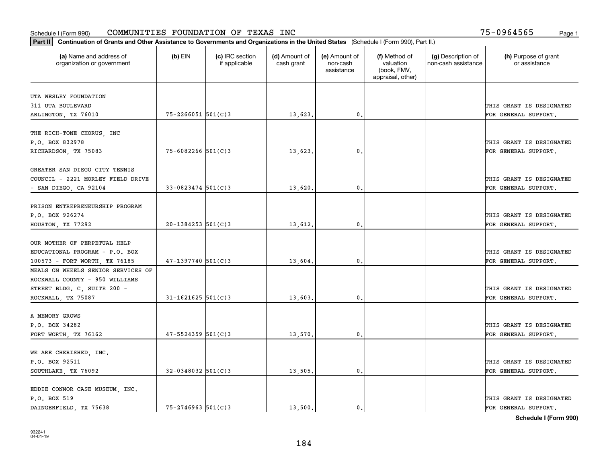| Part II   Continuation of Grants and Other Assistance to Governments and Organizations in the United States (Schedule I (Form 990), Part II.) |                        |                                  |                             |                                         |                                                                |                                           |                                       |
|-----------------------------------------------------------------------------------------------------------------------------------------------|------------------------|----------------------------------|-----------------------------|-----------------------------------------|----------------------------------------------------------------|-------------------------------------------|---------------------------------------|
| (a) Name and address of<br>organization or government                                                                                         | $(b)$ EIN              | (c) IRC section<br>if applicable | (d) Amount of<br>cash grant | (e) Amount of<br>non-cash<br>assistance | (f) Method of<br>valuation<br>(book, FMV,<br>appraisal, other) | (g) Description of<br>non-cash assistance | (h) Purpose of grant<br>or assistance |
| UTA WESLEY FOUNDATION                                                                                                                         |                        |                                  |                             |                                         |                                                                |                                           |                                       |
| 311 UTA BOULEVARD                                                                                                                             |                        |                                  |                             |                                         |                                                                |                                           | THIS GRANT IS DESIGNATED              |
| ARLINGTON, TX 76010                                                                                                                           | $75 - 2266051$ 501(C)3 |                                  | 13,623.                     | 0.                                      |                                                                |                                           | FOR GENERAL SUPPORT.                  |
|                                                                                                                                               |                        |                                  |                             |                                         |                                                                |                                           |                                       |
| THE RICH-TONE CHORUS, INC                                                                                                                     |                        |                                  |                             |                                         |                                                                |                                           |                                       |
| P.O. BOX 832978                                                                                                                               |                        |                                  |                             |                                         |                                                                |                                           | THIS GRANT IS DESIGNATED              |
| RICHARDSON, TX 75083                                                                                                                          | $75 - 6082266$ 501(C)3 |                                  | 13,623.                     | 0.                                      |                                                                |                                           | FOR GENERAL SUPPORT.                  |
|                                                                                                                                               |                        |                                  |                             |                                         |                                                                |                                           |                                       |
| GREATER SAN DIEGO CITY TENNIS                                                                                                                 |                        |                                  |                             |                                         |                                                                |                                           |                                       |
| COUNCIL - 2221 MORLEY FIELD DRIVE                                                                                                             |                        |                                  |                             |                                         |                                                                |                                           | THIS GRANT IS DESIGNATED              |
| - SAN DIEGO, CA 92104                                                                                                                         | $33 - 0823474$ 501(C)3 |                                  | 13,620.                     | $\mathbf{0}$ .                          |                                                                |                                           | FOR GENERAL SUPPORT.                  |
|                                                                                                                                               |                        |                                  |                             |                                         |                                                                |                                           |                                       |
| PRISON ENTREPRENEURSHIP PROGRAM                                                                                                               |                        |                                  |                             |                                         |                                                                |                                           |                                       |
| P.O. BOX 926274                                                                                                                               |                        |                                  |                             |                                         |                                                                |                                           | THIS GRANT IS DESIGNATED              |
| HOUSTON, TX 77292                                                                                                                             | $20-1384253$ 501(C)3   |                                  | 13,612.                     | $\mathbf{0}$                            |                                                                |                                           | FOR GENERAL SUPPORT.                  |
|                                                                                                                                               |                        |                                  |                             |                                         |                                                                |                                           |                                       |
| OUR MOTHER OF PERPETUAL HELP                                                                                                                  |                        |                                  |                             |                                         |                                                                |                                           |                                       |
| EDUCATIONAL PROGRAM - P.O. BOX                                                                                                                |                        |                                  |                             |                                         |                                                                |                                           | THIS GRANT IS DESIGNATED              |
| 100573 - FORT WORTH, TX 76185                                                                                                                 | $47 - 1397740$ 501(C)3 |                                  | 13,604                      | $\mathbf{0}$                            |                                                                |                                           | FOR GENERAL SUPPORT.                  |
| MEALS ON WHEELS SENIOR SERVICES OF                                                                                                            |                        |                                  |                             |                                         |                                                                |                                           |                                       |
| ROCKWALL COUNTY - 950 WILLIAMS                                                                                                                |                        |                                  |                             |                                         |                                                                |                                           |                                       |
| STREET BLDG. C, SUITE 200 -                                                                                                                   |                        |                                  |                             |                                         |                                                                |                                           | THIS GRANT IS DESIGNATED              |
| ROCKWALL, TX 75087                                                                                                                            | $31 - 1621625$ 501(C)3 |                                  | 13,603.                     | $\mathbf{0}$                            |                                                                |                                           | FOR GENERAL SUPPORT.                  |
|                                                                                                                                               |                        |                                  |                             |                                         |                                                                |                                           |                                       |
| A MEMORY GROWS                                                                                                                                |                        |                                  |                             |                                         |                                                                |                                           |                                       |
| P.O. BOX 34282                                                                                                                                |                        |                                  |                             |                                         |                                                                |                                           | THIS GRANT IS DESIGNATED              |
| FORT WORTH, TX 76162                                                                                                                          | $47 - 5524359$ 501(C)3 |                                  | 13,570                      | $^{\rm 0}$ .                            |                                                                |                                           | FOR GENERAL SUPPORT.                  |
|                                                                                                                                               |                        |                                  |                             |                                         |                                                                |                                           |                                       |
| WE ARE CHERISHED, INC.                                                                                                                        |                        |                                  |                             |                                         |                                                                |                                           |                                       |
| P.O. BOX 92511                                                                                                                                |                        |                                  |                             |                                         |                                                                |                                           | THIS GRANT IS DESIGNATED              |
| SOUTHLAKE, TX 76092                                                                                                                           | $32 - 0348032$ 501(C)3 |                                  | 13,505.                     | $\mathfrak{o}$ .                        |                                                                |                                           | FOR GENERAL SUPPORT.                  |
|                                                                                                                                               |                        |                                  |                             |                                         |                                                                |                                           |                                       |
| EDDIE CONNOR CASE MUSEUM, INC.                                                                                                                |                        |                                  |                             |                                         |                                                                |                                           |                                       |
| P.O. BOX 519                                                                                                                                  |                        |                                  |                             |                                         |                                                                |                                           | THIS GRANT IS DESIGNATED              |
| DAINGERFIELD, TX 75638                                                                                                                        | $75 - 2746963$ 501(C)3 |                                  | 13.500.                     | $\mathfrak{o}$ .                        |                                                                |                                           | FOR GENERAL SUPPORT.                  |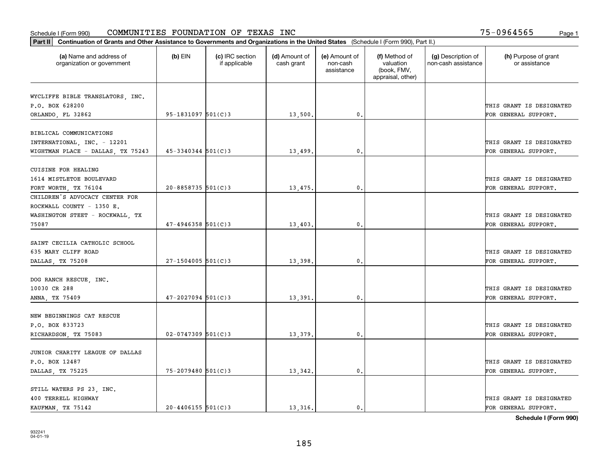| Part II   Continuation of Grants and Other Assistance to Governments and Organizations in the United States (Schedule I (Form 990), Part II.) |                        |                                  |                             |                                         |                                                                |                                           |                                       |
|-----------------------------------------------------------------------------------------------------------------------------------------------|------------------------|----------------------------------|-----------------------------|-----------------------------------------|----------------------------------------------------------------|-------------------------------------------|---------------------------------------|
| (a) Name and address of<br>organization or government                                                                                         | $(b)$ EIN              | (c) IRC section<br>if applicable | (d) Amount of<br>cash grant | (e) Amount of<br>non-cash<br>assistance | (f) Method of<br>valuation<br>(book, FMV,<br>appraisal, other) | (g) Description of<br>non-cash assistance | (h) Purpose of grant<br>or assistance |
|                                                                                                                                               |                        |                                  |                             |                                         |                                                                |                                           |                                       |
| WYCLIFFE BIBLE TRANSLATORS, INC.<br>P.O. BOX 628200                                                                                           |                        |                                  |                             |                                         |                                                                |                                           | THIS GRANT IS DESIGNATED              |
| ORLANDO, FL 32862                                                                                                                             | $95 - 1831097$ 501(C)3 |                                  | 13,500.                     | 0.                                      |                                                                |                                           | FOR GENERAL SUPPORT.                  |
|                                                                                                                                               |                        |                                  |                             |                                         |                                                                |                                           |                                       |
| BIBLICAL COMMUNICATIONS                                                                                                                       |                        |                                  |                             |                                         |                                                                |                                           |                                       |
| INTERNATIONAL, INC. - 12201                                                                                                                   |                        |                                  |                             |                                         |                                                                |                                           | THIS GRANT IS DESIGNATED              |
| WIGHTMAN PLACE - DALLAS, TX 75243                                                                                                             | $45 - 3340344$ 501(C)3 |                                  | 13,499                      | 0.                                      |                                                                |                                           | FOR GENERAL SUPPORT.                  |
|                                                                                                                                               |                        |                                  |                             |                                         |                                                                |                                           |                                       |
| CUISINE FOR HEALING                                                                                                                           |                        |                                  |                             |                                         |                                                                |                                           |                                       |
| 1614 MISTLETOE BOULEVARD                                                                                                                      |                        |                                  |                             |                                         |                                                                |                                           | THIS GRANT IS DESIGNATED              |
| FORT WORTH, TX 76104                                                                                                                          | $20 - 8858735$ 501(C)3 |                                  | 13,475.                     | $\mathbf{0}$ .                          |                                                                |                                           | FOR GENERAL SUPPORT.                  |
| CHILDREN'S ADVOCACY CENTER FOR                                                                                                                |                        |                                  |                             |                                         |                                                                |                                           |                                       |
| ROCKWALL COUNTY - 1350 E.                                                                                                                     |                        |                                  |                             |                                         |                                                                |                                           |                                       |
| WASHINGTON STEET - ROCKWALL, TX                                                                                                               |                        |                                  |                             |                                         |                                                                |                                           | THIS GRANT IS DESIGNATED              |
| 75087                                                                                                                                         | $47 - 4946358$ 501(C)3 |                                  | 13,403.                     | 0.                                      |                                                                |                                           | FOR GENERAL SUPPORT.                  |
|                                                                                                                                               |                        |                                  |                             |                                         |                                                                |                                           |                                       |
| SAINT CECILIA CATHOLIC SCHOOL                                                                                                                 |                        |                                  |                             |                                         |                                                                |                                           |                                       |
| 635 MARY CLIFF ROAD                                                                                                                           |                        |                                  |                             |                                         |                                                                |                                           | THIS GRANT IS DESIGNATED              |
| DALLAS, TX 75208                                                                                                                              | $27 - 1504005$ 501(C)3 |                                  | 13,398.                     | 0.                                      |                                                                |                                           | FOR GENERAL SUPPORT.                  |
|                                                                                                                                               |                        |                                  |                             |                                         |                                                                |                                           |                                       |
| DOG RANCH RESCUE, INC.                                                                                                                        |                        |                                  |                             |                                         |                                                                |                                           |                                       |
| 10030 CR 288                                                                                                                                  |                        |                                  |                             |                                         |                                                                |                                           | THIS GRANT IS DESIGNATED              |
| ANNA, TX 75409                                                                                                                                | $47 - 2027094$ 501(C)3 |                                  | 13,391,                     | 0.                                      |                                                                |                                           | FOR GENERAL SUPPORT.                  |
|                                                                                                                                               |                        |                                  |                             |                                         |                                                                |                                           |                                       |
| NEW BEGINNINGS CAT RESCUE                                                                                                                     |                        |                                  |                             |                                         |                                                                |                                           |                                       |
| P.O. BOX 833723                                                                                                                               |                        |                                  |                             |                                         |                                                                |                                           | THIS GRANT IS DESIGNATED              |
| RICHARDSON, TX 75083                                                                                                                          | $02 - 0747309$ 501(C)3 |                                  | 13,379                      | $\mathbf{0}$ .                          |                                                                |                                           | FOR GENERAL SUPPORT.                  |
| JUNIOR CHARITY LEAGUE OF DALLAS                                                                                                               |                        |                                  |                             |                                         |                                                                |                                           |                                       |
| P.O. BOX 12487                                                                                                                                |                        |                                  |                             |                                         |                                                                |                                           | THIS GRANT IS DESIGNATED              |
| DALLAS, TX 75225                                                                                                                              | $75 - 2079480$ 501(C)3 |                                  | 13,342.                     | 0.                                      |                                                                |                                           | FOR GENERAL SUPPORT.                  |
|                                                                                                                                               |                        |                                  |                             |                                         |                                                                |                                           |                                       |
| STILL WATERS PS 23, INC.                                                                                                                      |                        |                                  |                             |                                         |                                                                |                                           |                                       |
| 400 TERRELL HIGHWAY                                                                                                                           |                        |                                  |                             |                                         |                                                                |                                           | THIS GRANT IS DESIGNATED              |
| KAUFMAN, TX 75142                                                                                                                             | $20 - 4406155$ 501(C)3 |                                  | 13,316.                     | 0.                                      |                                                                |                                           | FOR GENERAL SUPPORT.                  |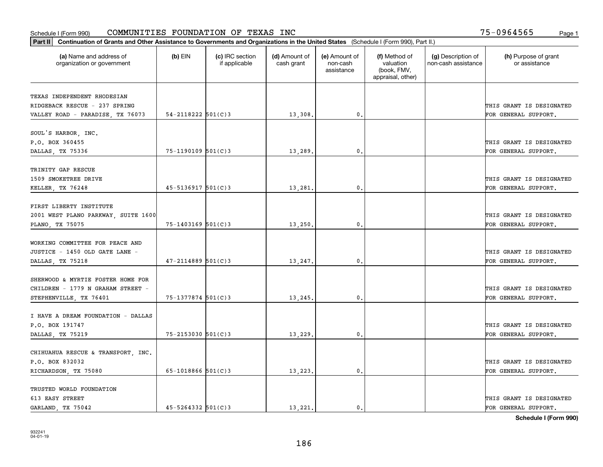| Part II   Continuation of Grants and Other Assistance to Governments and Organizations in the United States (Schedule I (Form 990), Part II.) |                          |                                  |                             |                                         |                                                                |                                           |                                       |
|-----------------------------------------------------------------------------------------------------------------------------------------------|--------------------------|----------------------------------|-----------------------------|-----------------------------------------|----------------------------------------------------------------|-------------------------------------------|---------------------------------------|
| (a) Name and address of<br>organization or government                                                                                         | $(b)$ EIN                | (c) IRC section<br>if applicable | (d) Amount of<br>cash grant | (e) Amount of<br>non-cash<br>assistance | (f) Method of<br>valuation<br>(book, FMV,<br>appraisal, other) | (g) Description of<br>non-cash assistance | (h) Purpose of grant<br>or assistance |
| TEXAS INDEPENDENT RHODESIAN                                                                                                                   |                          |                                  |                             |                                         |                                                                |                                           |                                       |
| RIDGEBACK RESCUE - 237 SPRING                                                                                                                 |                          |                                  |                             |                                         |                                                                |                                           | THIS GRANT IS DESIGNATED              |
| VALLEY ROAD - PARADISE, TX 76073                                                                                                              | $54 - 2118222$ $501(C)3$ |                                  | 13,308.                     | 0.                                      |                                                                |                                           | FOR GENERAL SUPPORT.                  |
|                                                                                                                                               |                          |                                  |                             |                                         |                                                                |                                           |                                       |
| SOUL'S HARBOR, INC.                                                                                                                           |                          |                                  |                             |                                         |                                                                |                                           |                                       |
| P.O. BOX 360455                                                                                                                               |                          |                                  |                             |                                         |                                                                |                                           | THIS GRANT IS DESIGNATED              |
| DALLAS, TX 75336                                                                                                                              | $75 - 1190109$ 501(C)3   |                                  | 13,289                      | 0.                                      |                                                                |                                           | FOR GENERAL SUPPORT.                  |
|                                                                                                                                               |                          |                                  |                             |                                         |                                                                |                                           |                                       |
| TRINITY GAP RESCUE                                                                                                                            |                          |                                  |                             |                                         |                                                                |                                           |                                       |
| 1509 SMOKETREE DRIVE                                                                                                                          |                          |                                  |                             |                                         |                                                                |                                           | THIS GRANT IS DESIGNATED              |
| KELLER, TX 76248                                                                                                                              | $45 - 5136917$ 501(C)3   |                                  | 13,281                      | $\mathfrak{o}$ .                        |                                                                |                                           | FOR GENERAL SUPPORT.                  |
| FIRST LIBERTY INSTITUTE                                                                                                                       |                          |                                  |                             |                                         |                                                                |                                           |                                       |
| 2001 WEST PLANO PARKWAY, SUITE 1600                                                                                                           |                          |                                  |                             |                                         |                                                                |                                           | THIS GRANT IS DESIGNATED              |
| PLANO, TX 75075                                                                                                                               | 75-1403169 501(C)3       |                                  | 13,250.                     | 0.                                      |                                                                |                                           | FOR GENERAL SUPPORT.                  |
|                                                                                                                                               |                          |                                  |                             |                                         |                                                                |                                           |                                       |
| WORKING COMMITTEE FOR PEACE AND                                                                                                               |                          |                                  |                             |                                         |                                                                |                                           |                                       |
| JUSTICE - 1450 OLD GATE LANE -                                                                                                                |                          |                                  |                             |                                         |                                                                |                                           | THIS GRANT IS DESIGNATED              |
| DALLAS, TX 75218                                                                                                                              | $47 - 2114889$ 501(C)3   |                                  | 13,247.                     | $\mathbf{0}$                            |                                                                |                                           | FOR GENERAL SUPPORT.                  |
|                                                                                                                                               |                          |                                  |                             |                                         |                                                                |                                           |                                       |
| SHERWOOD & MYRTIE FOSTER HOME FOR                                                                                                             |                          |                                  |                             |                                         |                                                                |                                           |                                       |
| CHILDREN - 1779 N GRAHAM STREET -                                                                                                             |                          |                                  |                             |                                         |                                                                |                                           | THIS GRANT IS DESIGNATED              |
| STEPHENVILLE, TX 76401                                                                                                                        | 75-1377874 501(C)3       |                                  | 13,245.                     | $\mathbf{0}$                            |                                                                |                                           | FOR GENERAL SUPPORT.                  |
|                                                                                                                                               |                          |                                  |                             |                                         |                                                                |                                           |                                       |
| I HAVE A DREAM FOUNDATION - DALLAS<br>P.O. BOX 191747                                                                                         |                          |                                  |                             |                                         |                                                                |                                           | THIS GRANT IS DESIGNATED              |
| DALLAS, TX 75219                                                                                                                              | $75 - 2153030$ $501(C)3$ |                                  | 13,229                      | $\mathbf{0}$ .                          |                                                                |                                           | FOR GENERAL SUPPORT.                  |
|                                                                                                                                               |                          |                                  |                             |                                         |                                                                |                                           |                                       |
| CHIHUAHUA RESCUE & TRANSPORT, INC.                                                                                                            |                          |                                  |                             |                                         |                                                                |                                           |                                       |
| P.O. BOX 832032                                                                                                                               |                          |                                  |                             |                                         |                                                                |                                           | THIS GRANT IS DESIGNATED              |
| RICHARDSON, TX 75080                                                                                                                          | $65-1018866$ $501(C)3$   |                                  | 13,223.                     | $\mathfrak{o}$ .                        |                                                                |                                           | FOR GENERAL SUPPORT.                  |
|                                                                                                                                               |                          |                                  |                             |                                         |                                                                |                                           |                                       |
| TRUSTED WORLD FOUNDATION                                                                                                                      |                          |                                  |                             |                                         |                                                                |                                           |                                       |
| 613 EASY STREET                                                                                                                               |                          |                                  |                             |                                         |                                                                |                                           | THIS GRANT IS DESIGNATED              |
| GARLAND, TX 75042                                                                                                                             | $45 - 5264332$ 501(C)3   |                                  | 13.221.                     | $\mathfrak{o}$ .                        |                                                                |                                           | FOR GENERAL SUPPORT.                  |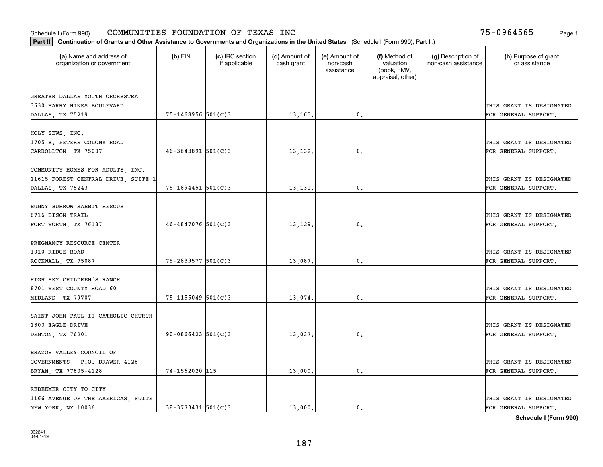| Part II   Continuation of Grants and Other Assistance to Governments and Organizations in the United States (Schedule I (Form 990), Part II.) |                          |                                  |                             |                                         |                                                                |                                           |                                       |
|-----------------------------------------------------------------------------------------------------------------------------------------------|--------------------------|----------------------------------|-----------------------------|-----------------------------------------|----------------------------------------------------------------|-------------------------------------------|---------------------------------------|
| (a) Name and address of<br>organization or government                                                                                         | $(b)$ EIN                | (c) IRC section<br>if applicable | (d) Amount of<br>cash grant | (e) Amount of<br>non-cash<br>assistance | (f) Method of<br>valuation<br>(book, FMV,<br>appraisal, other) | (g) Description of<br>non-cash assistance | (h) Purpose of grant<br>or assistance |
|                                                                                                                                               |                          |                                  |                             |                                         |                                                                |                                           |                                       |
| GREATER DALLAS YOUTH ORCHESTRA<br>3630 HARRY HINES BOULEVARD                                                                                  |                          |                                  |                             |                                         |                                                                |                                           | THIS GRANT IS DESIGNATED              |
| DALLAS, TX 75219                                                                                                                              | 75-1468956 501(C)3       |                                  | 13,165.                     | $\mathbf{0}$ .                          |                                                                |                                           | FOR GENERAL SUPPORT.                  |
|                                                                                                                                               |                          |                                  |                             |                                         |                                                                |                                           |                                       |
| HOLY SEWS, INC.                                                                                                                               |                          |                                  |                             |                                         |                                                                |                                           |                                       |
| 1705 E. PETERS COLONY ROAD                                                                                                                    |                          |                                  |                             |                                         |                                                                |                                           | THIS GRANT IS DESIGNATED              |
| CARROLLTON, TX 75007                                                                                                                          | $46 - 3643891$ 501(C)3   |                                  | 13,132.                     | 0.                                      |                                                                |                                           | FOR GENERAL SUPPORT.                  |
|                                                                                                                                               |                          |                                  |                             |                                         |                                                                |                                           |                                       |
| COMMUNITY HOMES FOR ADULTS, INC.                                                                                                              |                          |                                  |                             |                                         |                                                                |                                           |                                       |
| 11615 FOREST CENTRAL DRIVE, SUITE 1                                                                                                           |                          |                                  |                             |                                         |                                                                |                                           | THIS GRANT IS DESIGNATED              |
| DALLAS, TX 75243                                                                                                                              | 75-1894451 501(C)3       |                                  | 13,131.                     | $\mathbf{0}$ .                          |                                                                |                                           | FOR GENERAL SUPPORT.                  |
|                                                                                                                                               |                          |                                  |                             |                                         |                                                                |                                           |                                       |
| BUNNY BURROW RABBIT RESCUE                                                                                                                    |                          |                                  |                             |                                         |                                                                |                                           |                                       |
| 6716 BISON TRAIL                                                                                                                              |                          |                                  |                             |                                         |                                                                |                                           | THIS GRANT IS DESIGNATED              |
| FORT WORTH, TX 76137                                                                                                                          | $46 - 4847076$ 501(C)3   |                                  | 13,129.                     | 0.                                      |                                                                |                                           | FOR GENERAL SUPPORT.                  |
|                                                                                                                                               |                          |                                  |                             |                                         |                                                                |                                           |                                       |
| PREGNANCY RESOURCE CENTER                                                                                                                     |                          |                                  |                             |                                         |                                                                |                                           |                                       |
| 1010 RIDGE ROAD                                                                                                                               |                          |                                  |                             |                                         |                                                                |                                           | THIS GRANT IS DESIGNATED              |
| ROCKWALL, TX 75087                                                                                                                            | 75-2839577 501(C)3       |                                  | 13,087.                     | 0.                                      |                                                                |                                           | FOR GENERAL SUPPORT.                  |
|                                                                                                                                               |                          |                                  |                             |                                         |                                                                |                                           |                                       |
| HIGH SKY CHILDREN'S RANCH                                                                                                                     |                          |                                  |                             |                                         |                                                                |                                           |                                       |
| 8701 WEST COUNTY ROAD 60                                                                                                                      |                          |                                  |                             |                                         |                                                                |                                           | THIS GRANT IS DESIGNATED              |
| MIDLAND, TX 79707                                                                                                                             | 75-1155049 501(C)3       |                                  | 13,074                      | 0.                                      |                                                                |                                           | FOR GENERAL SUPPORT.                  |
|                                                                                                                                               |                          |                                  |                             |                                         |                                                                |                                           |                                       |
| SAINT JOHN PAUL II CATHOLIC CHURCH                                                                                                            |                          |                                  |                             |                                         |                                                                |                                           |                                       |
| 1303 EAGLE DRIVE                                                                                                                              |                          |                                  |                             |                                         |                                                                |                                           | THIS GRANT IS DESIGNATED              |
| DENTON, TX 76201                                                                                                                              | $90 - 0866423$ $501(C)3$ |                                  | 13,037.                     | $\mathbf{0}$ .                          |                                                                |                                           | FOR GENERAL SUPPORT.                  |
|                                                                                                                                               |                          |                                  |                             |                                         |                                                                |                                           |                                       |
| BRAZOS VALLEY COUNCIL OF                                                                                                                      |                          |                                  |                             |                                         |                                                                |                                           |                                       |
| GOVERNMENTS - P.O. DRAWER 4128 -                                                                                                              |                          |                                  |                             |                                         |                                                                |                                           | THIS GRANT IS DESIGNATED              |
| BRYAN, TX 77805-4128                                                                                                                          | 74-1562020 115           |                                  | 13,000.                     | 0.                                      |                                                                |                                           | FOR GENERAL SUPPORT.                  |
|                                                                                                                                               |                          |                                  |                             |                                         |                                                                |                                           |                                       |
| REDEEMER CITY TO CITY                                                                                                                         |                          |                                  |                             |                                         |                                                                |                                           |                                       |
| 1166 AVENUE OF THE AMERICAS, SUITE                                                                                                            |                          |                                  |                             |                                         |                                                                |                                           | THIS GRANT IS DESIGNATED              |
| NEW YORK, NY 10036                                                                                                                            | $38 - 3773431$ 501(C)3   |                                  | 13,000.                     | 0.                                      |                                                                |                                           | FOR GENERAL SUPPORT.                  |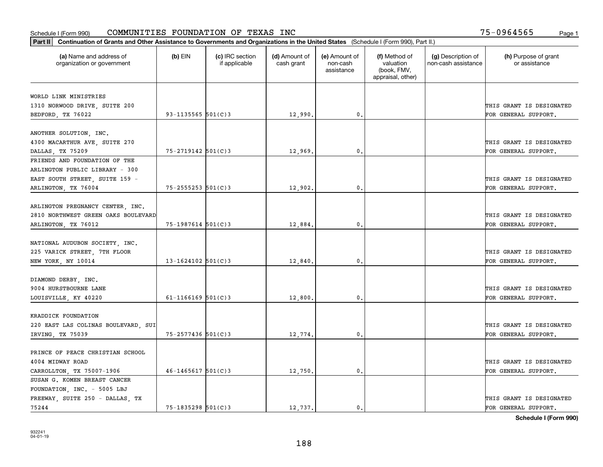| Part II   Continuation of Grants and Other Assistance to Governments and Organizations in the United States (Schedule I (Form 990), Part II.) |                        |                                  |                             |                                         |                                                                |                                           |                                       |
|-----------------------------------------------------------------------------------------------------------------------------------------------|------------------------|----------------------------------|-----------------------------|-----------------------------------------|----------------------------------------------------------------|-------------------------------------------|---------------------------------------|
| (a) Name and address of<br>organization or government                                                                                         | $(b)$ EIN              | (c) IRC section<br>if applicable | (d) Amount of<br>cash grant | (e) Amount of<br>non-cash<br>assistance | (f) Method of<br>valuation<br>(book, FMV,<br>appraisal, other) | (g) Description of<br>non-cash assistance | (h) Purpose of grant<br>or assistance |
|                                                                                                                                               |                        |                                  |                             |                                         |                                                                |                                           |                                       |
| WORLD LINK MINISTRIES                                                                                                                         |                        |                                  |                             |                                         |                                                                |                                           |                                       |
| 1310 NORWOOD DRIVE, SUITE 200                                                                                                                 |                        |                                  |                             |                                         |                                                                |                                           | THIS GRANT IS DESIGNATED              |
| BEDFORD, TX 76022                                                                                                                             | 93-1135565 $501(C)$ 3  |                                  | 12,990                      | 0.                                      |                                                                |                                           | FOR GENERAL SUPPORT.                  |
|                                                                                                                                               |                        |                                  |                             |                                         |                                                                |                                           |                                       |
| ANOTHER SOLUTION, INC.                                                                                                                        |                        |                                  |                             |                                         |                                                                |                                           |                                       |
| 4300 MACARTHUR AVE, SUITE 270                                                                                                                 | $75 - 2719142$ 501(C)3 |                                  |                             | $\mathbf{0}$                            |                                                                |                                           | THIS GRANT IS DESIGNATED              |
| DALLAS, TX 75209<br>FRIENDS AND FOUNDATION OF THE                                                                                             |                        |                                  | 12,969                      |                                         |                                                                |                                           | FOR GENERAL SUPPORT.                  |
| ARLINGTON PUBLIC LIBRARY - 300                                                                                                                |                        |                                  |                             |                                         |                                                                |                                           |                                       |
| EAST SOUTH STREET, SUITE 159 -                                                                                                                |                        |                                  |                             |                                         |                                                                |                                           | THIS GRANT IS DESIGNATED              |
| ARLINGTON, TX 76004                                                                                                                           | $75 - 2555253$ 501(C)3 |                                  | 12,902                      | 0.                                      |                                                                |                                           | FOR GENERAL SUPPORT.                  |
|                                                                                                                                               |                        |                                  |                             |                                         |                                                                |                                           |                                       |
| ARLINGTON PREGNANCY CENTER, INC.                                                                                                              |                        |                                  |                             |                                         |                                                                |                                           |                                       |
| 2810 NORTHWEST GREEN OAKS BOULEVARD                                                                                                           |                        |                                  |                             |                                         |                                                                |                                           | THIS GRANT IS DESIGNATED              |
| ARLINGTON, TX 76012                                                                                                                           | 75-1987614 501(C)3     |                                  | 12,884                      | $\mathbf{0}$                            |                                                                |                                           | FOR GENERAL SUPPORT.                  |
|                                                                                                                                               |                        |                                  |                             |                                         |                                                                |                                           |                                       |
| NATIONAL AUDUBON SOCIETY, INC.                                                                                                                |                        |                                  |                             |                                         |                                                                |                                           |                                       |
| 225 VARICK STREET, 7TH FLOOR                                                                                                                  |                        |                                  |                             |                                         |                                                                |                                           | THIS GRANT IS DESIGNATED              |
| NEW YORK, NY 10014                                                                                                                            | $13 - 1624102$ 501(C)3 |                                  | 12,840                      | $\mathbf{0}$                            |                                                                |                                           | FOR GENERAL SUPPORT.                  |
|                                                                                                                                               |                        |                                  |                             |                                         |                                                                |                                           |                                       |
| DIAMOND DERBY, INC.                                                                                                                           |                        |                                  |                             |                                         |                                                                |                                           |                                       |
| 9004 HURSTBOURNE LANE                                                                                                                         |                        |                                  |                             |                                         |                                                                |                                           | THIS GRANT IS DESIGNATED              |
| LOUISVILLE, KY 40220                                                                                                                          | $61 - 1166169$ 501(C)3 |                                  | 12,800                      | $\mathfrak o$ .                         |                                                                |                                           | FOR GENERAL SUPPORT.                  |
|                                                                                                                                               |                        |                                  |                             |                                         |                                                                |                                           |                                       |
| KRADDICK FOUNDATION                                                                                                                           |                        |                                  |                             |                                         |                                                                |                                           |                                       |
| 220 EAST LAS COLINAS BOULEVARD, SUI                                                                                                           |                        |                                  |                             |                                         |                                                                |                                           | THIS GRANT IS DESIGNATED              |
| IRVING, TX 75039                                                                                                                              | 75-2577436 501(C)3     |                                  | 12,774                      | $\mathbf{0}$ .                          |                                                                |                                           | FOR GENERAL SUPPORT.                  |
|                                                                                                                                               |                        |                                  |                             |                                         |                                                                |                                           |                                       |
| PRINCE OF PEACE CHRISTIAN SCHOOL                                                                                                              |                        |                                  |                             |                                         |                                                                |                                           |                                       |
| 4004 MIDWAY ROAD                                                                                                                              |                        |                                  |                             |                                         |                                                                |                                           | THIS GRANT IS DESIGNATED              |
| CARROLLTON, TX 75007-1906                                                                                                                     | $46 - 1465617$ 501(C)3 |                                  | 12,750                      | 0.                                      |                                                                |                                           | FOR GENERAL SUPPORT.                  |
| SUSAN G. KOMEN BREAST CANCER                                                                                                                  |                        |                                  |                             |                                         |                                                                |                                           |                                       |
| FOUNDATION, INC. - 5005 LBJ                                                                                                                   |                        |                                  |                             |                                         |                                                                |                                           |                                       |
| FREEWAY, SUITE 250 - DALLAS, TX                                                                                                               |                        |                                  |                             |                                         |                                                                |                                           | THIS GRANT IS DESIGNATED              |
| 75244                                                                                                                                         | $75 - 1835298$ 501(C)3 |                                  | 12,737.                     | 0.                                      |                                                                |                                           | FOR GENERAL SUPPORT.                  |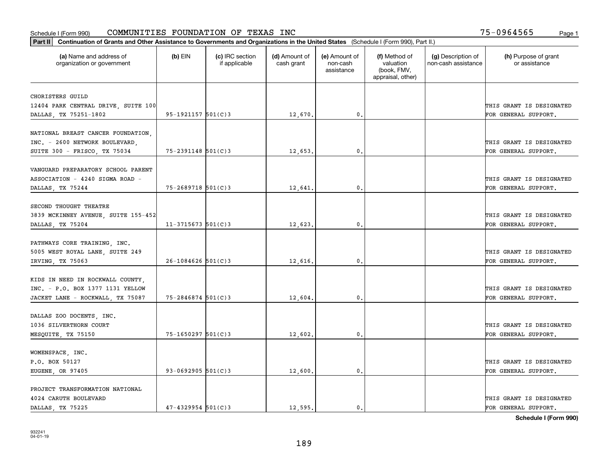| Part II   Continuation of Grants and Other Assistance to Governments and Organizations in the United States (Schedule I (Form 990), Part II.) |                        |                                  |                             |                                         |                                                                |                                           |                                                  |
|-----------------------------------------------------------------------------------------------------------------------------------------------|------------------------|----------------------------------|-----------------------------|-----------------------------------------|----------------------------------------------------------------|-------------------------------------------|--------------------------------------------------|
| (a) Name and address of<br>organization or government                                                                                         | $(b)$ EIN              | (c) IRC section<br>if applicable | (d) Amount of<br>cash grant | (e) Amount of<br>non-cash<br>assistance | (f) Method of<br>valuation<br>(book, FMV,<br>appraisal, other) | (g) Description of<br>non-cash assistance | (h) Purpose of grant<br>or assistance            |
|                                                                                                                                               |                        |                                  |                             |                                         |                                                                |                                           |                                                  |
| CHORISTERS GUILD<br>12404 PARK CENTRAL DRIVE, SUITE 100                                                                                       |                        |                                  |                             |                                         |                                                                |                                           | THIS GRANT IS DESIGNATED                         |
| DALLAS, TX 75251-1802                                                                                                                         | $95 - 1921157$ 501(C)3 |                                  | 12,670.                     | 0.                                      |                                                                |                                           | FOR GENERAL SUPPORT.                             |
|                                                                                                                                               |                        |                                  |                             |                                         |                                                                |                                           |                                                  |
| NATIONAL BREAST CANCER FOUNDATION,                                                                                                            |                        |                                  |                             |                                         |                                                                |                                           |                                                  |
| INC. - 2600 NETWORK BOULEVARD,                                                                                                                |                        |                                  |                             |                                         |                                                                |                                           | THIS GRANT IS DESIGNATED                         |
| SUITE 300 - FRISCO, TX 75034                                                                                                                  | $75 - 2391148$ 501(C)3 |                                  | 12,653.                     | 0.                                      |                                                                |                                           | FOR GENERAL SUPPORT.                             |
|                                                                                                                                               |                        |                                  |                             |                                         |                                                                |                                           |                                                  |
| VANGUARD PREPARATORY SCHOOL PARENT                                                                                                            |                        |                                  |                             |                                         |                                                                |                                           |                                                  |
| ASSOCIATION - 4240 SIGMA ROAD -                                                                                                               |                        |                                  |                             |                                         |                                                                |                                           | THIS GRANT IS DESIGNATED                         |
| DALLAS, TX 75244                                                                                                                              | 75-2689718 501(C)3     |                                  | 12,641.                     | $\mathbf{0}$ .                          |                                                                |                                           | FOR GENERAL SUPPORT.                             |
| SECOND THOUGHT THEATRE                                                                                                                        |                        |                                  |                             |                                         |                                                                |                                           |                                                  |
| 3839 MCKINNEY AVENUE, SUITE 155-452                                                                                                           |                        |                                  |                             |                                         |                                                                |                                           | THIS GRANT IS DESIGNATED                         |
| DALLAS, TX 75204                                                                                                                              | $11-3715673$ 501(C)3   |                                  | 12,623.                     | $\mathbf{0}$ .                          |                                                                |                                           | FOR GENERAL SUPPORT.                             |
|                                                                                                                                               |                        |                                  |                             |                                         |                                                                |                                           |                                                  |
| PATHWAYS CORE TRAINING, INC.                                                                                                                  |                        |                                  |                             |                                         |                                                                |                                           |                                                  |
| 5005 WEST ROYAL LANE, SUITE 249                                                                                                               |                        |                                  |                             |                                         |                                                                |                                           | THIS GRANT IS DESIGNATED                         |
| IRVING, TX 75063                                                                                                                              | $26 - 1084626$ 501(C)3 |                                  | 12,616.                     | 0.                                      |                                                                |                                           | FOR GENERAL SUPPORT.                             |
|                                                                                                                                               |                        |                                  |                             |                                         |                                                                |                                           |                                                  |
| KIDS IN NEED IN ROCKWALL COUNTY,                                                                                                              |                        |                                  |                             |                                         |                                                                |                                           |                                                  |
| INC. - P.O. BOX 1377 1131 YELLOW                                                                                                              |                        |                                  |                             |                                         |                                                                |                                           | THIS GRANT IS DESIGNATED                         |
| JACKET LANE - ROCKWALL, TX 75087                                                                                                              | $75 - 2846874$ 501(C)3 |                                  | 12,604.                     | 0.                                      |                                                                |                                           | FOR GENERAL SUPPORT.                             |
|                                                                                                                                               |                        |                                  |                             |                                         |                                                                |                                           |                                                  |
| DALLAS ZOO DOCENTS, INC.<br>1036 SILVERTHORN COURT                                                                                            |                        |                                  |                             |                                         |                                                                |                                           |                                                  |
|                                                                                                                                               | 75-1650297 501(C)3     |                                  |                             | $\mathbf{0}$ .                          |                                                                |                                           | THIS GRANT IS DESIGNATED<br>FOR GENERAL SUPPORT. |
| MESQUITE, TX 75150                                                                                                                            |                        |                                  | 12,602.                     |                                         |                                                                |                                           |                                                  |
| WOMENSPACE, INC.                                                                                                                              |                        |                                  |                             |                                         |                                                                |                                           |                                                  |
| P.O. BOX 50127                                                                                                                                |                        |                                  |                             |                                         |                                                                |                                           | THIS GRANT IS DESIGNATED                         |
| EUGENE, OR 97405                                                                                                                              | 93-0692905 $501(C)3$   |                                  | 12,600.                     | $\mathbf{0}$ .                          |                                                                |                                           | FOR GENERAL SUPPORT.                             |
|                                                                                                                                               |                        |                                  |                             |                                         |                                                                |                                           |                                                  |
| PROJECT TRANSFORMATION NATIONAL                                                                                                               |                        |                                  |                             |                                         |                                                                |                                           |                                                  |
| 4024 CARUTH BOULEVARD                                                                                                                         |                        |                                  |                             |                                         |                                                                |                                           | THIS GRANT IS DESIGNATED                         |
| DALLAS, TX 75225                                                                                                                              | $47 - 4329954$ 501(C)3 |                                  | 12,595.                     | $\mathbf{0}$ .                          |                                                                |                                           | FOR GENERAL SUPPORT.                             |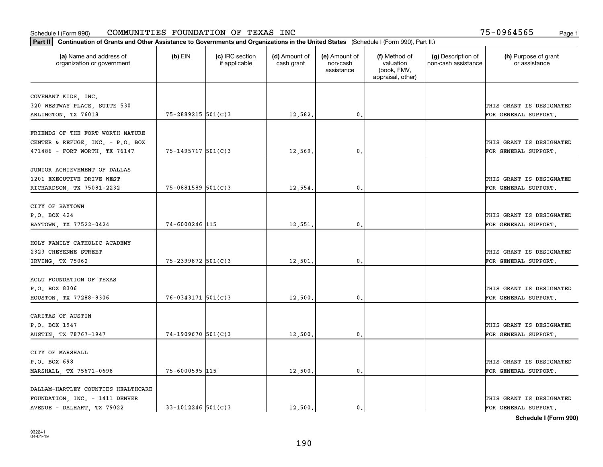| Part II   Continuation of Grants and Other Assistance to Governments and Organizations in the United States (Schedule I (Form 990), Part II.) |                        |                                  |                             |                                         |                                                                |                                           |                                       |
|-----------------------------------------------------------------------------------------------------------------------------------------------|------------------------|----------------------------------|-----------------------------|-----------------------------------------|----------------------------------------------------------------|-------------------------------------------|---------------------------------------|
| (a) Name and address of<br>organization or government                                                                                         | $(b)$ EIN              | (c) IRC section<br>if applicable | (d) Amount of<br>cash grant | (e) Amount of<br>non-cash<br>assistance | (f) Method of<br>valuation<br>(book, FMV,<br>appraisal, other) | (g) Description of<br>non-cash assistance | (h) Purpose of grant<br>or assistance |
|                                                                                                                                               |                        |                                  |                             |                                         |                                                                |                                           |                                       |
| COVENANT KIDS, INC.<br>320 WESTWAY PLACE, SUITE 530                                                                                           |                        |                                  |                             |                                         |                                                                |                                           | THIS GRANT IS DESIGNATED              |
| ARLINGTON, TX 76018                                                                                                                           | 75-2889215 501(C)3     |                                  | 12,582.                     | 0.                                      |                                                                |                                           | FOR GENERAL SUPPORT.                  |
|                                                                                                                                               |                        |                                  |                             |                                         |                                                                |                                           |                                       |
| FRIENDS OF THE FORT WORTH NATURE                                                                                                              |                        |                                  |                             |                                         |                                                                |                                           |                                       |
| CENTER & REFUGE, INC. - P.O. BOX                                                                                                              |                        |                                  |                             |                                         |                                                                |                                           | THIS GRANT IS DESIGNATED              |
| 471486 - FORT WORTH, TX 76147                                                                                                                 | $75 - 1495717$ 501(C)3 |                                  | 12,569                      | 0.                                      |                                                                |                                           | FOR GENERAL SUPPORT.                  |
|                                                                                                                                               |                        |                                  |                             |                                         |                                                                |                                           |                                       |
| JUNIOR ACHIEVEMENT OF DALLAS                                                                                                                  |                        |                                  |                             |                                         |                                                                |                                           |                                       |
| 1201 EXECUTIVE DRIVE WEST                                                                                                                     |                        |                                  |                             |                                         |                                                                |                                           | THIS GRANT IS DESIGNATED              |
| RICHARDSON, TX 75081-2232                                                                                                                     | $75 - 0881589$ 501(C)3 |                                  | 12,554.                     | $\mathbf{0}$ .                          |                                                                |                                           | FOR GENERAL SUPPORT.                  |
|                                                                                                                                               |                        |                                  |                             |                                         |                                                                |                                           |                                       |
| CITY OF BAYTOWN                                                                                                                               |                        |                                  |                             |                                         |                                                                |                                           |                                       |
| P.O. BOX 424                                                                                                                                  |                        |                                  |                             |                                         |                                                                |                                           | THIS GRANT IS DESIGNATED              |
| BAYTOWN, TX 77522-0424                                                                                                                        | 74-6000246 115         |                                  | 12,551                      | $\mathbf{0}$                            |                                                                |                                           | FOR GENERAL SUPPORT.                  |
|                                                                                                                                               |                        |                                  |                             |                                         |                                                                |                                           |                                       |
| HOLY FAMILY CATHOLIC ACADEMY                                                                                                                  |                        |                                  |                             |                                         |                                                                |                                           |                                       |
| 2323 CHEYENNE STREET                                                                                                                          |                        |                                  |                             |                                         |                                                                |                                           | THIS GRANT IS DESIGNATED              |
| IRVING, TX 75062                                                                                                                              | 75-2399872 501(C)3     |                                  | 12,501                      | $\mathbf{0}$                            |                                                                |                                           | FOR GENERAL SUPPORT.                  |
|                                                                                                                                               |                        |                                  |                             |                                         |                                                                |                                           |                                       |
| ACLU FOUNDATION OF TEXAS                                                                                                                      |                        |                                  |                             |                                         |                                                                |                                           |                                       |
| P.O. BOX 8306                                                                                                                                 |                        |                                  |                             |                                         |                                                                |                                           | THIS GRANT IS DESIGNATED              |
| HOUSTON, TX 77288-8306                                                                                                                        | 76-0343171 501(C)3     |                                  | 12,500.                     | 0.                                      |                                                                |                                           | FOR GENERAL SUPPORT.                  |
| CARITAS OF AUSTIN                                                                                                                             |                        |                                  |                             |                                         |                                                                |                                           |                                       |
| P.O. BOX 1947                                                                                                                                 |                        |                                  |                             |                                         |                                                                |                                           | THIS GRANT IS DESIGNATED              |
|                                                                                                                                               | 74-1909670 501(C)3     |                                  |                             |                                         |                                                                |                                           |                                       |
| AUSTIN, TX 78767-1947                                                                                                                         |                        |                                  | 12,500                      | $^{\rm 0}$ .                            |                                                                |                                           | FOR GENERAL SUPPORT.                  |
| CITY OF MARSHALL                                                                                                                              |                        |                                  |                             |                                         |                                                                |                                           |                                       |
| P.O. BOX 698                                                                                                                                  |                        |                                  |                             |                                         |                                                                |                                           | THIS GRANT IS DESIGNATED              |
| MARSHALL, TX 75671-0698                                                                                                                       | 75-6000595 115         |                                  | 12,500.                     | $\mathfrak{o}$ .                        |                                                                |                                           | FOR GENERAL SUPPORT.                  |
|                                                                                                                                               |                        |                                  |                             |                                         |                                                                |                                           |                                       |
| DALLAM-HARTLEY COUNTIES HEALTHCARE                                                                                                            |                        |                                  |                             |                                         |                                                                |                                           |                                       |
| FOUNDATION, INC. - 1411 DENVER                                                                                                                |                        |                                  |                             |                                         |                                                                |                                           | THIS GRANT IS DESIGNATED              |
| AVENUE - DALHART, TX 79022                                                                                                                    | $33 - 1012246$ 501(C)3 |                                  | 12,500.                     | $\mathbf{0}$ .                          |                                                                |                                           | FOR GENERAL SUPPORT.                  |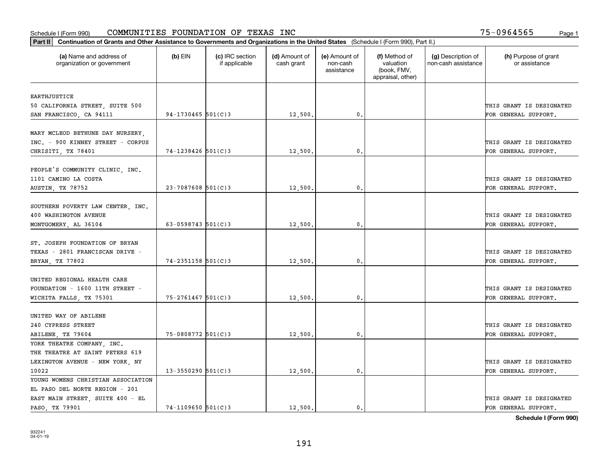| Part II   Continuation of Grants and Other Assistance to Governments and Organizations in the United States (Schedule I (Form 990), Part II.) |                        |                                  |                             |                                         |                                                                |                                           |                                                  |
|-----------------------------------------------------------------------------------------------------------------------------------------------|------------------------|----------------------------------|-----------------------------|-----------------------------------------|----------------------------------------------------------------|-------------------------------------------|--------------------------------------------------|
| (a) Name and address of<br>organization or government                                                                                         | $(b)$ EIN              | (c) IRC section<br>if applicable | (d) Amount of<br>cash grant | (e) Amount of<br>non-cash<br>assistance | (f) Method of<br>valuation<br>(book, FMV,<br>appraisal, other) | (g) Description of<br>non-cash assistance | (h) Purpose of grant<br>or assistance            |
|                                                                                                                                               |                        |                                  |                             |                                         |                                                                |                                           |                                                  |
| <b>EARTHJUSTICE</b>                                                                                                                           |                        |                                  |                             |                                         |                                                                |                                           | THIS GRANT IS DESIGNATED                         |
| 50 CALIFORNIA STREET, SUITE 500                                                                                                               |                        |                                  |                             | $\mathbf{0}$ .                          |                                                                |                                           |                                                  |
| SAN FRANCISCO, CA 94111                                                                                                                       | $94-1730465$ 501(C)3   |                                  | 12,500.                     |                                         |                                                                |                                           | FOR GENERAL SUPPORT.                             |
| MARY MCLEOD BETHUNE DAY NURSERY,<br>INC. - 900 KINNEY STREET - CORPUS                                                                         | 74-1238426 501(C)3     |                                  |                             | 0.                                      |                                                                |                                           | THIS GRANT IS DESIGNATED                         |
| CHRISITI, TX 78401                                                                                                                            |                        |                                  | 12,500                      |                                         |                                                                |                                           | FOR GENERAL SUPPORT.                             |
| PEOPLE'S COMMUNITY CLINIC, INC.<br>1101 CAMINO LA COSTA<br>AUSTIN, TX 78752                                                                   | $23 - 7087608$ 501(C)3 |                                  | 12,500.                     | $\mathfrak{o}$ .                        |                                                                |                                           | THIS GRANT IS DESIGNATED<br>FOR GENERAL SUPPORT. |
|                                                                                                                                               |                        |                                  |                             |                                         |                                                                |                                           |                                                  |
| SOUTHERN POVERTY LAW CENTER, INC.<br>400 WASHINGTON AVENUE                                                                                    |                        |                                  |                             |                                         |                                                                |                                           | THIS GRANT IS DESIGNATED                         |
| MONTGOMERY, AL 36104                                                                                                                          | $63 - 0598743$ 501(C)3 |                                  | 12,500                      | $\mathbf{0}$                            |                                                                |                                           | FOR GENERAL SUPPORT.                             |
| ST. JOSEPH FOUNDATION OF BRYAN<br>TEXAS - 2801 FRANCISCAN DRIVE -                                                                             |                        |                                  |                             |                                         |                                                                |                                           | THIS GRANT IS DESIGNATED                         |
| BRYAN, TX 77802                                                                                                                               | $74 - 2351158$ 501(C)3 |                                  | 12,500.                     | $\mathbf 0$ .                           |                                                                |                                           | FOR GENERAL SUPPORT.                             |
| UNITED REGIONAL HEALTH CARE<br>FOUNDATION - 1600 11TH STREET -<br>WICHITA FALLS, TX 75301                                                     | $75 - 2761467$ 501(C)3 |                                  | 12,500.                     | $\mathbf{0}$                            |                                                                |                                           | THIS GRANT IS DESIGNATED<br>FOR GENERAL SUPPORT. |
| UNITED WAY OF ABILENE                                                                                                                         |                        |                                  |                             |                                         |                                                                |                                           |                                                  |
| 240 CYPRESS STREET                                                                                                                            |                        |                                  |                             |                                         |                                                                |                                           | THIS GRANT IS DESIGNATED                         |
| ABILENE, TX 79604                                                                                                                             | 75-0808772 501(C)3     |                                  | 12,500.                     | $^{\circ}$ .                            |                                                                |                                           | FOR GENERAL SUPPORT.                             |
| YORK THEATRE COMPANY, INC.                                                                                                                    |                        |                                  |                             |                                         |                                                                |                                           |                                                  |
| THE THEATRE AT SAINT PETERS 619                                                                                                               |                        |                                  |                             |                                         |                                                                |                                           |                                                  |
| LEXINGTON AVENUE - NEW YORK, NY                                                                                                               |                        |                                  |                             |                                         |                                                                |                                           | THIS GRANT IS DESIGNATED                         |
| 10022                                                                                                                                         | $13 - 3550290$ 501(C)3 |                                  | 12,500                      | $\mathbf{0}$                            |                                                                |                                           | FOR GENERAL SUPPORT.                             |
| YOUNG WOMENS CHRISTIAN ASSOCIATION                                                                                                            |                        |                                  |                             |                                         |                                                                |                                           |                                                  |
| EL PASO DEL NORTE REGION - 201                                                                                                                |                        |                                  |                             |                                         |                                                                |                                           |                                                  |
| EAST MAIN STREET, SUITE 400 - EL                                                                                                              |                        |                                  |                             |                                         |                                                                |                                           | THIS GRANT IS DESIGNATED                         |
| PASO, TX 79901                                                                                                                                | $74 - 1109650$ 501(C)3 |                                  | 12,500.                     | $\mathbf{0}$ .                          |                                                                |                                           | FOR GENERAL SUPPORT.                             |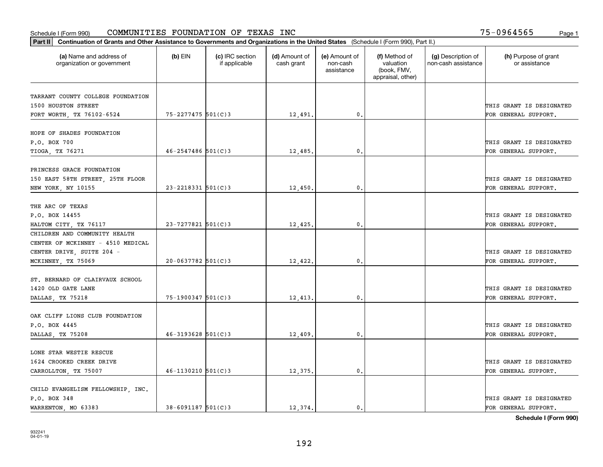| Part II   Continuation of Grants and Other Assistance to Governments and Organizations in the United States (Schedule I (Form 990), Part II.) |                        |                                  |                             |                                         |                                                                |                                           |                                       |
|-----------------------------------------------------------------------------------------------------------------------------------------------|------------------------|----------------------------------|-----------------------------|-----------------------------------------|----------------------------------------------------------------|-------------------------------------------|---------------------------------------|
| (a) Name and address of<br>organization or government                                                                                         | $(b)$ EIN              | (c) IRC section<br>if applicable | (d) Amount of<br>cash grant | (e) Amount of<br>non-cash<br>assistance | (f) Method of<br>valuation<br>(book, FMV,<br>appraisal, other) | (g) Description of<br>non-cash assistance | (h) Purpose of grant<br>or assistance |
|                                                                                                                                               |                        |                                  |                             |                                         |                                                                |                                           |                                       |
| TARRANT COUNTY COLLEGE FOUNDATION<br>1500 HOUSTON STREET                                                                                      |                        |                                  |                             |                                         |                                                                |                                           | THIS GRANT IS DESIGNATED              |
| FORT WORTH, TX 76102-6524                                                                                                                     | 75-2277475 501(C)3     |                                  | 12,491.                     | 0.                                      |                                                                |                                           | FOR GENERAL SUPPORT.                  |
|                                                                                                                                               |                        |                                  |                             |                                         |                                                                |                                           |                                       |
| HOPE OF SHADES FOUNDATION                                                                                                                     |                        |                                  |                             |                                         |                                                                |                                           |                                       |
| P.O. BOX 700                                                                                                                                  |                        |                                  |                             |                                         |                                                                |                                           | THIS GRANT IS DESIGNATED              |
| <b>TIOGA, TX 76271</b>                                                                                                                        | $46 - 2547486$ 501(C)3 |                                  | 12,485.                     | 0.                                      |                                                                |                                           | FOR GENERAL SUPPORT.                  |
|                                                                                                                                               |                        |                                  |                             |                                         |                                                                |                                           |                                       |
| PRINCESS GRACE FOUNDATION                                                                                                                     |                        |                                  |                             |                                         |                                                                |                                           |                                       |
| 150 EAST 58TH STREET, 25TH FLOOR                                                                                                              |                        |                                  |                             |                                         |                                                                |                                           | THIS GRANT IS DESIGNATED              |
| NEW YORK, NY 10155                                                                                                                            | $23 - 2218331$ 501(C)3 |                                  | 12,450                      | 0.                                      |                                                                |                                           | FOR GENERAL SUPPORT.                  |
|                                                                                                                                               |                        |                                  |                             |                                         |                                                                |                                           |                                       |
| THE ARC OF TEXAS                                                                                                                              |                        |                                  |                             |                                         |                                                                |                                           |                                       |
| P.O. BOX 14455                                                                                                                                |                        |                                  |                             |                                         |                                                                |                                           | THIS GRANT IS DESIGNATED              |
| HALTOM CITY, TX 76117                                                                                                                         | 23-7277821 501(C)3     |                                  | 12,425.                     | 0.                                      |                                                                |                                           | FOR GENERAL SUPPORT.                  |
| CHILDREN AND COMMUNITY HEALTH                                                                                                                 |                        |                                  |                             |                                         |                                                                |                                           |                                       |
| CENTER OF MCKINNEY - 4510 MEDICAL                                                                                                             |                        |                                  |                             |                                         |                                                                |                                           |                                       |
| CENTER DRIVE, SUITE 204 -                                                                                                                     |                        |                                  |                             |                                         |                                                                |                                           | THIS GRANT IS DESIGNATED              |
| MCKINNEY, TX 75069                                                                                                                            | $20 - 0637782$ 501(C)3 |                                  | 12,422                      | 0.                                      |                                                                |                                           | FOR GENERAL SUPPORT.                  |
|                                                                                                                                               |                        |                                  |                             |                                         |                                                                |                                           |                                       |
| ST. BERNARD OF CLAIRVAUX SCHOOL                                                                                                               |                        |                                  |                             |                                         |                                                                |                                           |                                       |
| 1420 OLD GATE LANE                                                                                                                            |                        |                                  |                             |                                         |                                                                |                                           | THIS GRANT IS DESIGNATED              |
| DALLAS, TX 75218                                                                                                                              | 75-1900347 501(C)3     |                                  | 12,413                      | 0.                                      |                                                                |                                           | FOR GENERAL SUPPORT.                  |
|                                                                                                                                               |                        |                                  |                             |                                         |                                                                |                                           |                                       |
| OAK CLIFF LIONS CLUB FOUNDATION                                                                                                               |                        |                                  |                             |                                         |                                                                |                                           |                                       |
| P.O. BOX 4445                                                                                                                                 |                        |                                  |                             |                                         |                                                                |                                           | THIS GRANT IS DESIGNATED              |
| DALLAS, TX 75208                                                                                                                              | $46 - 3193628$ 501(C)3 |                                  | 12,409                      | 0.                                      |                                                                |                                           | FOR GENERAL SUPPORT.                  |
|                                                                                                                                               |                        |                                  |                             |                                         |                                                                |                                           |                                       |
| LONE STAR WESTIE RESCUE                                                                                                                       |                        |                                  |                             |                                         |                                                                |                                           |                                       |
| 1624 CROOKED CREEK DRIVE                                                                                                                      |                        |                                  |                             |                                         |                                                                |                                           | THIS GRANT IS DESIGNATED              |
| CARROLLTON, TX 75007                                                                                                                          | $46 - 1130210$ 501(C)3 |                                  | 12,375.                     | $\mathbf{0}$ .                          |                                                                |                                           | FOR GENERAL SUPPORT.                  |
|                                                                                                                                               |                        |                                  |                             |                                         |                                                                |                                           |                                       |
| CHILD EVANGELISM FELLOWSHIP, INC.                                                                                                             |                        |                                  |                             |                                         |                                                                |                                           | THIS GRANT IS DESIGNATED              |
| P.O. BOX 348                                                                                                                                  | $38 - 6091187$ 501(C)3 |                                  | 12.374.                     |                                         |                                                                |                                           |                                       |
| WARRENTON, MO 63383                                                                                                                           |                        |                                  |                             | 0.                                      |                                                                |                                           | FOR GENERAL SUPPORT.                  |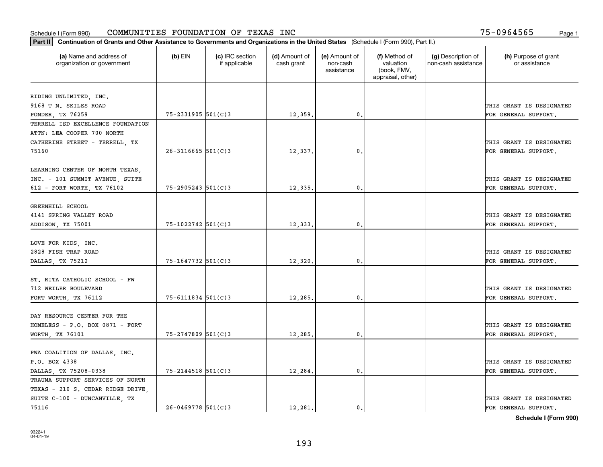| Part II   Continuation of Grants and Other Assistance to Governments and Organizations in the United States (Schedule I (Form 990), Part II.) |                        |                                  |                             |                                         |                                                                |                                           |                                       |
|-----------------------------------------------------------------------------------------------------------------------------------------------|------------------------|----------------------------------|-----------------------------|-----------------------------------------|----------------------------------------------------------------|-------------------------------------------|---------------------------------------|
| (a) Name and address of<br>organization or government                                                                                         | $(b)$ EIN              | (c) IRC section<br>if applicable | (d) Amount of<br>cash grant | (e) Amount of<br>non-cash<br>assistance | (f) Method of<br>valuation<br>(book, FMV,<br>appraisal, other) | (g) Description of<br>non-cash assistance | (h) Purpose of grant<br>or assistance |
|                                                                                                                                               |                        |                                  |                             |                                         |                                                                |                                           |                                       |
| RIDING UNLIMITED, INC.<br>9168 T N. SKILES ROAD                                                                                               |                        |                                  |                             |                                         |                                                                |                                           | THIS GRANT IS DESIGNATED              |
| PONDER, TX 76259                                                                                                                              | 75-2331905 501(C)3     |                                  | 12,359.                     | $\mathbf{0}$ .                          |                                                                |                                           | FOR GENERAL SUPPORT.                  |
| TERRELL ISD EXCELLENCE FOUNDATION                                                                                                             |                        |                                  |                             |                                         |                                                                |                                           |                                       |
| ATTN: LEA COOPER 700 NORTH                                                                                                                    |                        |                                  |                             |                                         |                                                                |                                           |                                       |
| CATHERINE STREET - TERRELL, TX                                                                                                                |                        |                                  |                             |                                         |                                                                |                                           | THIS GRANT IS DESIGNATED              |
| 75160                                                                                                                                         | $26 - 3116665$ 501(C)3 |                                  | 12,337.                     | 0.                                      |                                                                |                                           | FOR GENERAL SUPPORT.                  |
|                                                                                                                                               |                        |                                  |                             |                                         |                                                                |                                           |                                       |
| LEARNING CENTER OF NORTH TEXAS,                                                                                                               |                        |                                  |                             |                                         |                                                                |                                           |                                       |
| INC. - 101 SUMMIT AVENUE, SUITE                                                                                                               |                        |                                  |                             |                                         |                                                                |                                           | THIS GRANT IS DESIGNATED              |
| 612 - FORT WORTH, TX 76102                                                                                                                    | $75 - 2905243$ 501(C)3 |                                  | 12,335.                     | $\mathbf{0}$ .                          |                                                                |                                           | FOR GENERAL SUPPORT.                  |
|                                                                                                                                               |                        |                                  |                             |                                         |                                                                |                                           |                                       |
| GREENHILL SCHOOL                                                                                                                              |                        |                                  |                             |                                         |                                                                |                                           |                                       |
| 4141 SPRING VALLEY ROAD                                                                                                                       |                        |                                  |                             |                                         |                                                                |                                           | THIS GRANT IS DESIGNATED              |
| ADDISON, TX 75001                                                                                                                             | $75 - 1022742$ 501(C)3 |                                  | 12,333.                     | 0.                                      |                                                                |                                           | FOR GENERAL SUPPORT.                  |
|                                                                                                                                               |                        |                                  |                             |                                         |                                                                |                                           |                                       |
| LOVE FOR KIDS, INC.                                                                                                                           |                        |                                  |                             |                                         |                                                                |                                           |                                       |
| 2828 FISH TRAP ROAD                                                                                                                           |                        |                                  |                             |                                         |                                                                |                                           | THIS GRANT IS DESIGNATED              |
| DALLAS, TX 75212                                                                                                                              | 75-1647732 501(C)3     |                                  | 12,320.                     | $\mathbf{0}$                            |                                                                |                                           | FOR GENERAL SUPPORT.                  |
|                                                                                                                                               |                        |                                  |                             |                                         |                                                                |                                           |                                       |
| ST. RITA CATHOLIC SCHOOL - FW                                                                                                                 |                        |                                  |                             |                                         |                                                                |                                           |                                       |
| 712 WEILER BOULEVARD                                                                                                                          |                        |                                  |                             |                                         |                                                                |                                           | THIS GRANT IS DESIGNATED              |
| FORT WORTH, TX 76112                                                                                                                          | $75 - 6111834$ 501(C)3 |                                  | 12,285.                     | 0.                                      |                                                                |                                           | FOR GENERAL SUPPORT.                  |
|                                                                                                                                               |                        |                                  |                             |                                         |                                                                |                                           |                                       |
| DAY RESOURCE CENTER FOR THE                                                                                                                   |                        |                                  |                             |                                         |                                                                |                                           |                                       |
| HOMELESS - P.O. BOX 0871 - FORT                                                                                                               |                        |                                  |                             |                                         |                                                                |                                           | THIS GRANT IS DESIGNATED              |
| WORTH, TX 76101                                                                                                                               | 75-2747809 501(C)3     |                                  | 12,285.                     | 0.                                      |                                                                |                                           | FOR GENERAL SUPPORT.                  |
|                                                                                                                                               |                        |                                  |                             |                                         |                                                                |                                           |                                       |
| PWA COALITION OF DALLAS, INC.                                                                                                                 |                        |                                  |                             |                                         |                                                                |                                           |                                       |
| P.O. BOX 4338                                                                                                                                 |                        |                                  |                             |                                         |                                                                |                                           | THIS GRANT IS DESIGNATED              |
| DALLAS, TX 75208-0338                                                                                                                         | $75 - 2144518$ 501(C)3 |                                  | 12,284.                     | $\mathbf{0}$ .                          |                                                                |                                           | FOR GENERAL SUPPORT.                  |
| TRAUMA SUPPORT SERVICES OF NORTH                                                                                                              |                        |                                  |                             |                                         |                                                                |                                           |                                       |
| TEXAS - 210 S. CEDAR RIDGE DRIVE,                                                                                                             |                        |                                  |                             |                                         |                                                                |                                           |                                       |
| SUITE C-100 - DUNCANVILLE, TX                                                                                                                 |                        |                                  |                             |                                         |                                                                |                                           | THIS GRANT IS DESIGNATED              |
| 75116                                                                                                                                         | $26 - 0469778$ 501(C)3 |                                  | 12, 281.                    | $\mathbf{0}$ .                          |                                                                |                                           | FOR GENERAL SUPPORT.                  |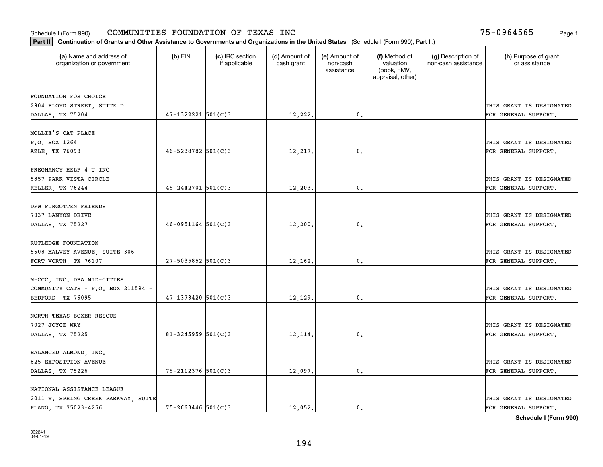|                                                       | Part II   Continuation of Grants and Other Assistance to Governments and Organizations in the United States (Schedule I (Form 990), Part II.) |                                  |                             |                                         |                                                                |                                           |                                       |  |  |  |
|-------------------------------------------------------|-----------------------------------------------------------------------------------------------------------------------------------------------|----------------------------------|-----------------------------|-----------------------------------------|----------------------------------------------------------------|-------------------------------------------|---------------------------------------|--|--|--|
| (a) Name and address of<br>organization or government | $(b)$ EIN                                                                                                                                     | (c) IRC section<br>if applicable | (d) Amount of<br>cash grant | (e) Amount of<br>non-cash<br>assistance | (f) Method of<br>valuation<br>(book, FMV,<br>appraisal, other) | (g) Description of<br>non-cash assistance | (h) Purpose of grant<br>or assistance |  |  |  |
| FOUNDATION FOR CHOICE                                 |                                                                                                                                               |                                  |                             |                                         |                                                                |                                           |                                       |  |  |  |
| 2904 FLOYD STREET, SUITE D                            |                                                                                                                                               |                                  |                             |                                         |                                                                |                                           | THIS GRANT IS DESIGNATED              |  |  |  |
| DALLAS, TX 75204                                      | $47-1322221$ 501(C)3                                                                                                                          |                                  | 12,222.                     | 0.                                      |                                                                |                                           | FOR GENERAL SUPPORT.                  |  |  |  |
|                                                       |                                                                                                                                               |                                  |                             |                                         |                                                                |                                           |                                       |  |  |  |
| MOLLIE'S CAT PLACE                                    |                                                                                                                                               |                                  |                             |                                         |                                                                |                                           |                                       |  |  |  |
| P.O. BOX 1264                                         |                                                                                                                                               |                                  |                             |                                         |                                                                |                                           | THIS GRANT IS DESIGNATED              |  |  |  |
| AZLE, TX 76098                                        | $46 - 5238782$ 501(C)3                                                                                                                        |                                  | 12,217.                     | 0.                                      |                                                                |                                           | FOR GENERAL SUPPORT.                  |  |  |  |
|                                                       |                                                                                                                                               |                                  |                             |                                         |                                                                |                                           |                                       |  |  |  |
| PREGNANCY HELP 4 U INC                                |                                                                                                                                               |                                  |                             |                                         |                                                                |                                           |                                       |  |  |  |
| 5857 PARK VISTA CIRCLE                                |                                                                                                                                               |                                  |                             |                                         |                                                                |                                           | THIS GRANT IS DESIGNATED              |  |  |  |
| KELLER, TX 76244                                      | $45 - 2442701$ 501(C)3                                                                                                                        |                                  | $12, 203$ .                 | $\mathbf{0}$ .                          |                                                                |                                           | FOR GENERAL SUPPORT.                  |  |  |  |
|                                                       |                                                                                                                                               |                                  |                             |                                         |                                                                |                                           |                                       |  |  |  |
| DFW FURGOTTEN FRIENDS                                 |                                                                                                                                               |                                  |                             |                                         |                                                                |                                           |                                       |  |  |  |
| 7037 LANYON DRIVE                                     |                                                                                                                                               |                                  |                             |                                         |                                                                |                                           | THIS GRANT IS DESIGNATED              |  |  |  |
| DALLAS, TX 75227                                      | $46 - 0951164$ 501(C)3                                                                                                                        |                                  | 12,200.                     | 0.                                      |                                                                |                                           | FOR GENERAL SUPPORT.                  |  |  |  |
|                                                       |                                                                                                                                               |                                  |                             |                                         |                                                                |                                           |                                       |  |  |  |
| RUTLEDGE FOUNDATION                                   |                                                                                                                                               |                                  |                             |                                         |                                                                |                                           |                                       |  |  |  |
| 5608 MALVEY AVENUE, SUITE 306                         |                                                                                                                                               |                                  |                             |                                         |                                                                |                                           | THIS GRANT IS DESIGNATED              |  |  |  |
| FORT WORTH, TX 76107                                  | $27 - 5035852$ 501(C)3                                                                                                                        |                                  | 12,162.                     | 0.                                      |                                                                |                                           | FOR GENERAL SUPPORT.                  |  |  |  |
|                                                       |                                                                                                                                               |                                  |                             |                                         |                                                                |                                           |                                       |  |  |  |
| M-CCC, INC. DBA MID-CITIES                            |                                                                                                                                               |                                  |                             |                                         |                                                                |                                           |                                       |  |  |  |
| COMMUNITY CATS - P.O. BOX 211594 -                    |                                                                                                                                               |                                  |                             |                                         |                                                                |                                           | THIS GRANT IS DESIGNATED              |  |  |  |
| BEDFORD, TX 76095                                     | $47 - 1373420$ 501(C)3                                                                                                                        |                                  | 12,129                      | 0.                                      |                                                                |                                           | FOR GENERAL SUPPORT.                  |  |  |  |
|                                                       |                                                                                                                                               |                                  |                             |                                         |                                                                |                                           |                                       |  |  |  |
| NORTH TEXAS BOXER RESCUE                              |                                                                                                                                               |                                  |                             |                                         |                                                                |                                           |                                       |  |  |  |
| 7027 JOYCE WAY                                        |                                                                                                                                               |                                  |                             |                                         |                                                                |                                           | THIS GRANT IS DESIGNATED              |  |  |  |
| DALLAS, TX 75225                                      | $81 - 3245959$ 501(C)3                                                                                                                        |                                  | 12,114.                     | $\mathbf{0}$ .                          |                                                                |                                           | FOR GENERAL SUPPORT.                  |  |  |  |
| BALANCED ALMOND, INC.                                 |                                                                                                                                               |                                  |                             |                                         |                                                                |                                           |                                       |  |  |  |
| 825 EXPOSITION AVENUE                                 |                                                                                                                                               |                                  |                             |                                         |                                                                |                                           | THIS GRANT IS DESIGNATED              |  |  |  |
|                                                       | 75-2112376 501(C)3                                                                                                                            |                                  | 12,097.                     | $\mathfrak o$ .                         |                                                                |                                           | FOR GENERAL SUPPORT.                  |  |  |  |
| DALLAS, TX 75226                                      |                                                                                                                                               |                                  |                             |                                         |                                                                |                                           |                                       |  |  |  |
| NATIONAL ASSISTANCE LEAGUE                            |                                                                                                                                               |                                  |                             |                                         |                                                                |                                           |                                       |  |  |  |
| 2011 W. SPRING CREEK PARKWAY, SUITE                   |                                                                                                                                               |                                  |                             |                                         |                                                                |                                           | THIS GRANT IS DESIGNATED              |  |  |  |
| PLANO, TX 75023-4256                                  | $75 - 2663446$ 501(C)3                                                                                                                        |                                  | 12,052.                     | 0.                                      |                                                                |                                           | FOR GENERAL SUPPORT.                  |  |  |  |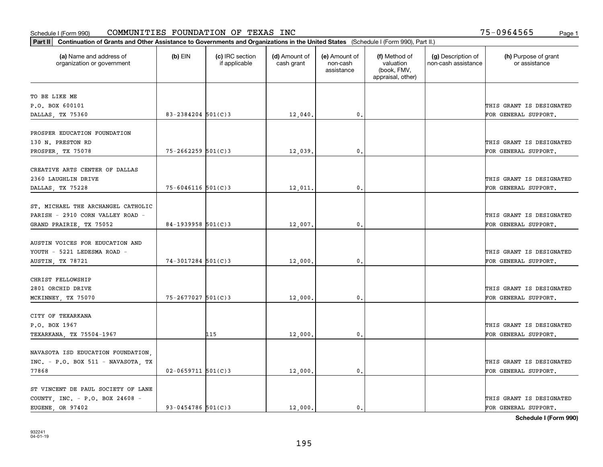| Part II   Continuation of Grants and Other Assistance to Governments and Organizations in the United States (Schedule I (Form 990), Part II.) |                        |                                  |                             |                                         |                                                                |                                           |                                       |
|-----------------------------------------------------------------------------------------------------------------------------------------------|------------------------|----------------------------------|-----------------------------|-----------------------------------------|----------------------------------------------------------------|-------------------------------------------|---------------------------------------|
| (a) Name and address of<br>organization or government                                                                                         | $(b)$ EIN              | (c) IRC section<br>if applicable | (d) Amount of<br>cash grant | (e) Amount of<br>non-cash<br>assistance | (f) Method of<br>valuation<br>(book, FMV,<br>appraisal, other) | (g) Description of<br>non-cash assistance | (h) Purpose of grant<br>or assistance |
| TO BE LIKE ME                                                                                                                                 |                        |                                  |                             |                                         |                                                                |                                           |                                       |
| P.O. BOX 600101                                                                                                                               |                        |                                  |                             |                                         |                                                                |                                           | THIS GRANT IS DESIGNATED              |
| DALLAS, TX 75360                                                                                                                              | 83-2384204 $501(C)3$   |                                  | 12,040.                     | $\mathbf{0}$ .                          |                                                                |                                           | FOR GENERAL SUPPORT.                  |
|                                                                                                                                               |                        |                                  |                             |                                         |                                                                |                                           |                                       |
| PROSPER EDUCATION FOUNDATION                                                                                                                  |                        |                                  |                             |                                         |                                                                |                                           |                                       |
| 130 N. PRESTON RD                                                                                                                             |                        |                                  |                             |                                         |                                                                |                                           | THIS GRANT IS DESIGNATED              |
| PROSPER, TX 75078                                                                                                                             | $75 - 2662259$ 501(C)3 |                                  | 12,039                      | 0.                                      |                                                                |                                           | FOR GENERAL SUPPORT.                  |
|                                                                                                                                               |                        |                                  |                             |                                         |                                                                |                                           |                                       |
| CREATIVE ARTS CENTER OF DALLAS                                                                                                                |                        |                                  |                             |                                         |                                                                |                                           |                                       |
| 2360 LAUGHLIN DRIVE                                                                                                                           |                        |                                  |                             |                                         |                                                                |                                           | THIS GRANT IS DESIGNATED              |
| DALLAS, TX 75228                                                                                                                              | $75 - 6046116$ 501(C)3 |                                  | 12,011.                     | $\mathbf{0}$ .                          |                                                                |                                           | FOR GENERAL SUPPORT.                  |
| ST. MICHAEL THE ARCHANGEL CATHOLIC                                                                                                            |                        |                                  |                             |                                         |                                                                |                                           |                                       |
| PARISH - 2910 CORN VALLEY ROAD -                                                                                                              |                        |                                  |                             |                                         |                                                                |                                           |                                       |
|                                                                                                                                               |                        |                                  |                             |                                         |                                                                |                                           | THIS GRANT IS DESIGNATED              |
| GRAND PRAIRIE, TX 75052                                                                                                                       | 84-1939958 $501(C)3$   |                                  | 12,007.                     | 0.                                      |                                                                |                                           | FOR GENERAL SUPPORT.                  |
| AUSTIN VOICES FOR EDUCATION AND                                                                                                               |                        |                                  |                             |                                         |                                                                |                                           |                                       |
| YOUTH - 5221 LEDESMA ROAD -                                                                                                                   |                        |                                  |                             |                                         |                                                                |                                           | THIS GRANT IS DESIGNATED              |
| AUSTIN, TX 78721                                                                                                                              | $74-3017284$ 501(C)3   |                                  | 12,000                      | 0.                                      |                                                                |                                           | FOR GENERAL SUPPORT.                  |
|                                                                                                                                               |                        |                                  |                             |                                         |                                                                |                                           |                                       |
| CHRIST FELLOWSHIP                                                                                                                             |                        |                                  |                             |                                         |                                                                |                                           |                                       |
| 2801 ORCHID DRIVE                                                                                                                             |                        |                                  |                             |                                         |                                                                |                                           | THIS GRANT IS DESIGNATED              |
| MCKINNEY, TX 75070                                                                                                                            | $75 - 2677027$ 501(C)3 |                                  | 12,000                      | 0.                                      |                                                                |                                           | FOR GENERAL SUPPORT.                  |
|                                                                                                                                               |                        |                                  |                             |                                         |                                                                |                                           |                                       |
| CITY OF TEXARKANA                                                                                                                             |                        |                                  |                             |                                         |                                                                |                                           |                                       |
| P.O. BOX 1967                                                                                                                                 |                        |                                  |                             |                                         |                                                                |                                           | THIS GRANT IS DESIGNATED              |
| TEXARKANA, TX 75504-1967                                                                                                                      |                        | 115                              | 12,000                      | $\mathbf{0}$ .                          |                                                                |                                           | FOR GENERAL SUPPORT.                  |
|                                                                                                                                               |                        |                                  |                             |                                         |                                                                |                                           |                                       |
| NAVASOTA ISD EDUCATION FOUNDATION,                                                                                                            |                        |                                  |                             |                                         |                                                                |                                           |                                       |
| INC. - P.O. BOX 511 - NAVASOTA, TX                                                                                                            |                        |                                  |                             |                                         |                                                                |                                           | THIS GRANT IS DESIGNATED              |
| 77868                                                                                                                                         | $02 - 0659711$ 501(C)3 |                                  | 12,000                      | 0.                                      |                                                                |                                           | FOR GENERAL SUPPORT.                  |
| ST VINCENT DE PAUL SOCIETY OF LANE                                                                                                            |                        |                                  |                             |                                         |                                                                |                                           |                                       |
| COUNTY, INC. - P.O. BOX 24608 -                                                                                                               |                        |                                  |                             |                                         |                                                                |                                           | THIS GRANT IS DESIGNATED              |
| EUGENE OR 97402                                                                                                                               | $93 - 0454786$ 501(C)3 |                                  | 12,000.                     | $\mathbf{0}$ .                          |                                                                |                                           | FOR GENERAL SUPPORT.                  |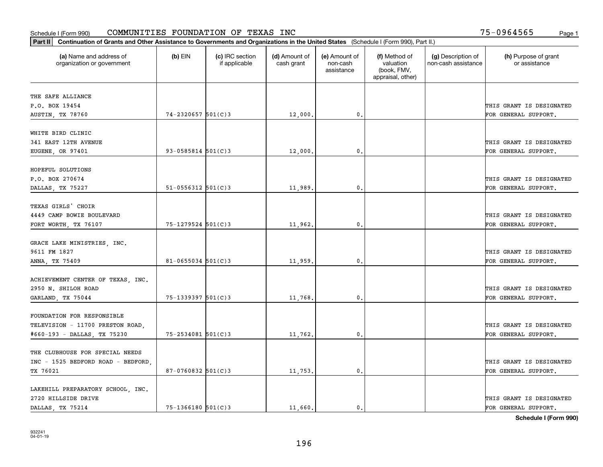| Part II   Continuation of Grants and Other Assistance to Governments and Organizations in the United States (Schedule I (Form 990), Part II.) |                          |                                  |                             |                                         |                                                                |                                           |                                       |
|-----------------------------------------------------------------------------------------------------------------------------------------------|--------------------------|----------------------------------|-----------------------------|-----------------------------------------|----------------------------------------------------------------|-------------------------------------------|---------------------------------------|
| (a) Name and address of<br>organization or government                                                                                         | $(b)$ EIN                | (c) IRC section<br>if applicable | (d) Amount of<br>cash grant | (e) Amount of<br>non-cash<br>assistance | (f) Method of<br>valuation<br>(book, FMV,<br>appraisal, other) | (g) Description of<br>non-cash assistance | (h) Purpose of grant<br>or assistance |
| THE SAFE ALLIANCE                                                                                                                             |                          |                                  |                             |                                         |                                                                |                                           |                                       |
| P.O. BOX 19454                                                                                                                                |                          |                                  |                             |                                         |                                                                |                                           | THIS GRANT IS DESIGNATED              |
| AUSTIN, TX 78760                                                                                                                              | $74 - 2320657$ 501(C)3   |                                  | 12,000.                     | $\mathbf{0}$ .                          |                                                                |                                           | FOR GENERAL SUPPORT.                  |
| WHITE BIRD CLINIC                                                                                                                             |                          |                                  |                             |                                         |                                                                |                                           |                                       |
| 341 EAST 12TH AVENUE                                                                                                                          |                          |                                  |                             |                                         |                                                                |                                           | THIS GRANT IS DESIGNATED              |
| EUGENE, OR 97401                                                                                                                              | $93 - 0585814$ $501(C)3$ |                                  | 12,000                      | 0.                                      |                                                                |                                           | FOR GENERAL SUPPORT.                  |
| HOPEFUL SOLUTIONS                                                                                                                             |                          |                                  |                             |                                         |                                                                |                                           |                                       |
| P.O. BOX 270674                                                                                                                               |                          |                                  |                             |                                         |                                                                |                                           | THIS GRANT IS DESIGNATED              |
| DALLAS, TX 75227                                                                                                                              | $51 - 0556312$ $501(C)3$ |                                  | 11,989.                     | $\mathbf{0}$ .                          |                                                                |                                           | FOR GENERAL SUPPORT.                  |
| TEXAS GIRLS' CHOIR                                                                                                                            |                          |                                  |                             |                                         |                                                                |                                           |                                       |
| 4449 CAMP BOWIE BOULEVARD                                                                                                                     |                          |                                  |                             |                                         |                                                                |                                           | THIS GRANT IS DESIGNATED              |
| FORT WORTH, TX 76107                                                                                                                          | $75 - 1279524$ 501(C)3   |                                  | 11,962.                     | 0.                                      |                                                                |                                           | FOR GENERAL SUPPORT.                  |
| GRACE LAKE MINISTRIES, INC.                                                                                                                   |                          |                                  |                             |                                         |                                                                |                                           |                                       |
| 9611 FM 1827                                                                                                                                  |                          |                                  |                             |                                         |                                                                |                                           | THIS GRANT IS DESIGNATED              |
| ANNA, TX 75409                                                                                                                                | $81 - 0655034$ 501(C)3   |                                  | 11,959.                     | 0.                                      |                                                                |                                           | FOR GENERAL SUPPORT.                  |
|                                                                                                                                               |                          |                                  |                             |                                         |                                                                |                                           |                                       |
| ACHIEVEMENT CENTER OF TEXAS, INC.                                                                                                             |                          |                                  |                             |                                         |                                                                |                                           |                                       |
| 2950 N. SHILOH ROAD                                                                                                                           |                          |                                  |                             |                                         |                                                                |                                           | THIS GRANT IS DESIGNATED              |
| GARLAND, TX 75044                                                                                                                             | 75-1339397 501(C)3       |                                  | 11,768                      | 0.                                      |                                                                |                                           | FOR GENERAL SUPPORT.                  |
| FOUNDATION FOR RESPONSIBLE                                                                                                                    |                          |                                  |                             |                                         |                                                                |                                           |                                       |
| TELEVISION - 11700 PRESTON ROAD,                                                                                                              |                          |                                  |                             |                                         |                                                                |                                           | THIS GRANT IS DESIGNATED              |
| #660-193 - DALLAS, TX 75230                                                                                                                   | 75-2534081 501(C)3       |                                  | 11,762.                     | 0.                                      |                                                                |                                           | FOR GENERAL SUPPORT.                  |
| THE CLUBHOUSE FOR SPECIAL NEEDS                                                                                                               |                          |                                  |                             |                                         |                                                                |                                           |                                       |
| INC - 1525 BEDFORD ROAD - BEDFORD,                                                                                                            |                          |                                  |                             |                                         |                                                                |                                           | THIS GRANT IS DESIGNATED              |
| TX 76021                                                                                                                                      | $87-0760832$ 501(C)3     |                                  | 11,753.                     | $\mathbf 0$ .                           |                                                                |                                           | FOR GENERAL SUPPORT.                  |
| LAKEHILL PREPARATORY SCHOOL, INC.                                                                                                             |                          |                                  |                             |                                         |                                                                |                                           |                                       |
| 2720 HILLSIDE DRIVE                                                                                                                           |                          |                                  |                             |                                         |                                                                |                                           | THIS GRANT IS DESIGNATED              |
| DALLAS TX 75214                                                                                                                               | 75-1366180 501(C)3       |                                  | 11,660.                     | $\mathbf{0}$ .                          |                                                                |                                           | FOR GENERAL SUPPORT.                  |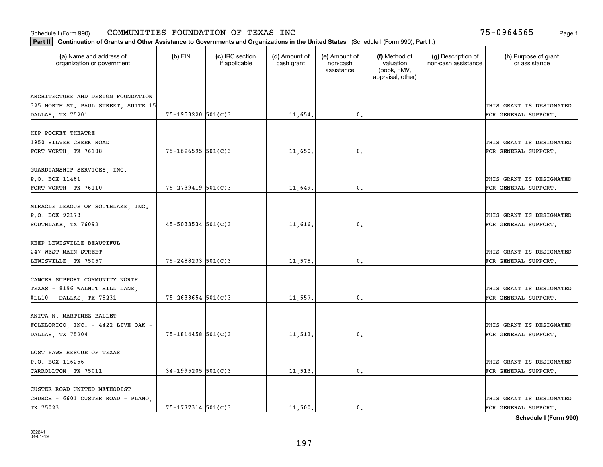| Part II   Continuation of Grants and Other Assistance to Governments and Organizations in the United States (Schedule I (Form 990), Part II.) |                        |                                  |                             |                                         |                                                                |                                           |                                       |
|-----------------------------------------------------------------------------------------------------------------------------------------------|------------------------|----------------------------------|-----------------------------|-----------------------------------------|----------------------------------------------------------------|-------------------------------------------|---------------------------------------|
| (a) Name and address of<br>organization or government                                                                                         | $(b)$ EIN              | (c) IRC section<br>if applicable | (d) Amount of<br>cash grant | (e) Amount of<br>non-cash<br>assistance | (f) Method of<br>valuation<br>(book, FMV,<br>appraisal, other) | (g) Description of<br>non-cash assistance | (h) Purpose of grant<br>or assistance |
|                                                                                                                                               |                        |                                  |                             |                                         |                                                                |                                           |                                       |
| ARCHITECTURE AND DESIGN FOUNDATION<br>325 NORTH ST. PAUL STREET, SUITE 15                                                                     |                        |                                  |                             |                                         |                                                                |                                           | THIS GRANT IS DESIGNATED              |
| DALLAS, TX 75201                                                                                                                              | $75 - 1953220$ 501(C)3 |                                  | 11,654.                     | 0.                                      |                                                                |                                           | FOR GENERAL SUPPORT.                  |
|                                                                                                                                               |                        |                                  |                             |                                         |                                                                |                                           |                                       |
| HIP POCKET THEATRE                                                                                                                            |                        |                                  |                             |                                         |                                                                |                                           |                                       |
| 1950 SILVER CREEK ROAD                                                                                                                        |                        |                                  |                             |                                         |                                                                |                                           | THIS GRANT IS DESIGNATED              |
| FORT WORTH, TX 76108                                                                                                                          | $75 - 1626595$ 501(C)3 |                                  | 11,650.                     | 0.                                      |                                                                |                                           | FOR GENERAL SUPPORT.                  |
|                                                                                                                                               |                        |                                  |                             |                                         |                                                                |                                           |                                       |
| GUARDIANSHIP SERVICES, INC.                                                                                                                   |                        |                                  |                             |                                         |                                                                |                                           |                                       |
| P.O. BOX 11481                                                                                                                                |                        |                                  |                             |                                         |                                                                |                                           | THIS GRANT IS DESIGNATED              |
| FORT WORTH, TX 76110                                                                                                                          | 75-2739419 501(C)3     |                                  | 11,649.                     | $\mathbf{0}$ .                          |                                                                |                                           | FOR GENERAL SUPPORT.                  |
|                                                                                                                                               |                        |                                  |                             |                                         |                                                                |                                           |                                       |
| MIRACLE LEAGUE OF SOUTHLAKE, INC.                                                                                                             |                        |                                  |                             |                                         |                                                                |                                           |                                       |
| P.O. BOX 92173                                                                                                                                |                        |                                  |                             |                                         |                                                                |                                           | THIS GRANT IS DESIGNATED              |
| SOUTHLAKE, TX 76092                                                                                                                           | $45 - 5033534$ 501(C)3 |                                  | 11,616.                     | 0.                                      |                                                                |                                           | FOR GENERAL SUPPORT.                  |
| KEEP LEWISVILLE BEAUTIFUL                                                                                                                     |                        |                                  |                             |                                         |                                                                |                                           |                                       |
| 247 WEST MAIN STREET                                                                                                                          |                        |                                  |                             |                                         |                                                                |                                           | THIS GRANT IS DESIGNATED              |
| LEWISVILLE, TX 75057                                                                                                                          | 75-2488233 501(C)3     |                                  | 11,575.                     | 0.                                      |                                                                |                                           | FOR GENERAL SUPPORT.                  |
|                                                                                                                                               |                        |                                  |                             |                                         |                                                                |                                           |                                       |
| CANCER SUPPORT COMMUNITY NORTH                                                                                                                |                        |                                  |                             |                                         |                                                                |                                           |                                       |
| TEXAS - 8196 WALNUT HILL LANE,                                                                                                                |                        |                                  |                             |                                         |                                                                |                                           | THIS GRANT IS DESIGNATED              |
| #LL10 - DALLAS, TX 75231                                                                                                                      | $75 - 2633654$ 501(C)3 |                                  | 11,557.                     | 0.                                      |                                                                |                                           | FOR GENERAL SUPPORT.                  |
|                                                                                                                                               |                        |                                  |                             |                                         |                                                                |                                           |                                       |
| ANITA N. MARTINEZ BALLET                                                                                                                      |                        |                                  |                             |                                         |                                                                |                                           |                                       |
| FOLKLORICO, INC. - 4422 LIVE OAK -                                                                                                            |                        |                                  |                             |                                         |                                                                |                                           | THIS GRANT IS DESIGNATED              |
| DALLAS, TX 75204                                                                                                                              | 75-1814458 501(C)3     |                                  | 11,513.                     | $\mathbf{0}$ .                          |                                                                |                                           | FOR GENERAL SUPPORT.                  |
|                                                                                                                                               |                        |                                  |                             |                                         |                                                                |                                           |                                       |
| LOST PAWS RESCUE OF TEXAS                                                                                                                     |                        |                                  |                             |                                         |                                                                |                                           |                                       |
| P.O. BOX 116256                                                                                                                               |                        |                                  |                             |                                         |                                                                |                                           | THIS GRANT IS DESIGNATED              |
| CARROLLTON, TX 75011                                                                                                                          | $34-1995205$ 501(C)3   |                                  | 11,513.                     | $\mathbf{0}$ .                          |                                                                |                                           | FOR GENERAL SUPPORT.                  |
|                                                                                                                                               |                        |                                  |                             |                                         |                                                                |                                           |                                       |
| CUSTER ROAD UNITED METHODIST                                                                                                                  |                        |                                  |                             |                                         |                                                                |                                           |                                       |
| CHURCH - 6601 CUSTER ROAD - PLANO                                                                                                             |                        |                                  |                             |                                         |                                                                |                                           | THIS GRANT IS DESIGNATED              |
| TX 75023                                                                                                                                      | 75-1777314 501(C)3     |                                  | 11,500.                     | $\mathbf{0}$ .                          |                                                                |                                           | FOR GENERAL SUPPORT.                  |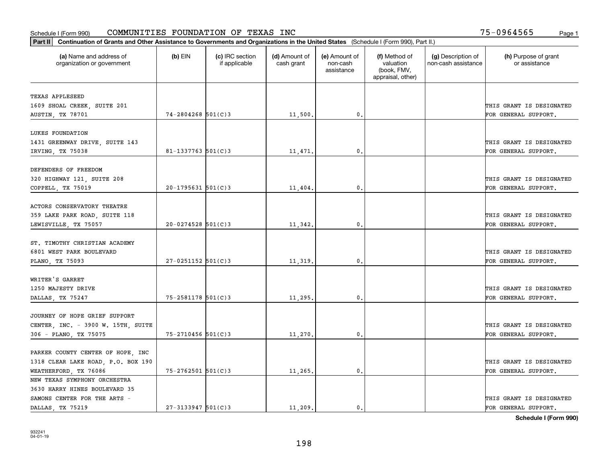| Part II   Continuation of Grants and Other Assistance to Governments and Organizations in the United States (Schedule I (Form 990), Part II.) |                        |                                  |                             |                                         |                                                                |                                           |                                       |
|-----------------------------------------------------------------------------------------------------------------------------------------------|------------------------|----------------------------------|-----------------------------|-----------------------------------------|----------------------------------------------------------------|-------------------------------------------|---------------------------------------|
| (a) Name and address of<br>organization or government                                                                                         | $(b)$ EIN              | (c) IRC section<br>if applicable | (d) Amount of<br>cash grant | (e) Amount of<br>non-cash<br>assistance | (f) Method of<br>valuation<br>(book, FMV,<br>appraisal, other) | (g) Description of<br>non-cash assistance | (h) Purpose of grant<br>or assistance |
|                                                                                                                                               |                        |                                  |                             |                                         |                                                                |                                           |                                       |
| TEXAS APPLESEED                                                                                                                               |                        |                                  |                             |                                         |                                                                |                                           |                                       |
| 1609 SHOAL CREEK, SUITE 201                                                                                                                   |                        |                                  |                             |                                         |                                                                |                                           | THIS GRANT IS DESIGNATED              |
| AUSTIN, TX 78701                                                                                                                              | $74 - 2804268$ 501(C)3 |                                  | 11,500.                     | 0.                                      |                                                                |                                           | FOR GENERAL SUPPORT.                  |
| LUKES FOUNDATION                                                                                                                              |                        |                                  |                             |                                         |                                                                |                                           |                                       |
| 1431 GREENWAY DRIVE, SUITE 143                                                                                                                |                        |                                  |                             |                                         |                                                                |                                           | THIS GRANT IS DESIGNATED              |
| IRVING, TX 75038                                                                                                                              | 81-1337763 $501(C)$ 3  |                                  | 11,471                      | 0.                                      |                                                                |                                           | FOR GENERAL SUPPORT.                  |
|                                                                                                                                               |                        |                                  |                             |                                         |                                                                |                                           |                                       |
| DEFENDERS OF FREEDOM                                                                                                                          |                        |                                  |                             |                                         |                                                                |                                           |                                       |
| 320 HIGHWAY 121, SUITE 208                                                                                                                    |                        |                                  |                             |                                         |                                                                |                                           | THIS GRANT IS DESIGNATED              |
| COPPELL, TX 75019                                                                                                                             | $20-1795631$ 501(C)3   |                                  | 11,404.                     | 0.                                      |                                                                |                                           | FOR GENERAL SUPPORT.                  |
|                                                                                                                                               |                        |                                  |                             |                                         |                                                                |                                           |                                       |
| ACTORS CONSERVATORY THEATRE                                                                                                                   |                        |                                  |                             |                                         |                                                                |                                           |                                       |
| 359 LAKE PARK ROAD, SUITE 118                                                                                                                 |                        |                                  |                             |                                         |                                                                |                                           | THIS GRANT IS DESIGNATED              |
| LEWISVILLE, TX 75057                                                                                                                          | $20 - 0274528$ 501(C)3 |                                  | 11,342.                     | 0.                                      |                                                                |                                           | FOR GENERAL SUPPORT.                  |
|                                                                                                                                               |                        |                                  |                             |                                         |                                                                |                                           |                                       |
| ST. TIMOTHY CHRISTIAN ACADEMY                                                                                                                 |                        |                                  |                             |                                         |                                                                |                                           |                                       |
| 6801 WEST PARK BOULEVARD                                                                                                                      |                        |                                  |                             |                                         |                                                                |                                           | THIS GRANT IS DESIGNATED              |
| PLANO, TX 75093                                                                                                                               | $27 - 0251152$ 501(C)3 |                                  | 11,319                      | 0.                                      |                                                                |                                           | FOR GENERAL SUPPORT.                  |
|                                                                                                                                               |                        |                                  |                             |                                         |                                                                |                                           |                                       |
| WRITER'S GARRET                                                                                                                               |                        |                                  |                             |                                         |                                                                |                                           |                                       |
| 1250 MAJESTY DRIVE                                                                                                                            |                        |                                  |                             |                                         |                                                                |                                           | THIS GRANT IS DESIGNATED              |
| DALLAS, TX 75247                                                                                                                              | 75-2581178 501(C)3     |                                  | 11,295.                     | 0.                                      |                                                                |                                           | FOR GENERAL SUPPORT.                  |
|                                                                                                                                               |                        |                                  |                             |                                         |                                                                |                                           |                                       |
| JOURNEY OF HOPE GRIEF SUPPORT                                                                                                                 |                        |                                  |                             |                                         |                                                                |                                           |                                       |
| CENTER, INC. - 3900 W. 15TH, SUITE                                                                                                            |                        |                                  |                             |                                         |                                                                |                                           | THIS GRANT IS DESIGNATED              |
| 306 - PLANO, TX 75075                                                                                                                         | 75-2710456 501(C)3     |                                  | 11,270.                     | 0.                                      |                                                                |                                           | FOR GENERAL SUPPORT.                  |
|                                                                                                                                               |                        |                                  |                             |                                         |                                                                |                                           |                                       |
| PARKER COUNTY CENTER OF HOPE, INC                                                                                                             |                        |                                  |                             |                                         |                                                                |                                           |                                       |
| 1318 CLEAR LAKE ROAD, P.O. BOX 190                                                                                                            |                        |                                  |                             |                                         |                                                                |                                           | THIS GRANT IS DESIGNATED              |
| WEATHERFORD, TX 76086                                                                                                                         | $75 - 2762501$ 501(C)3 |                                  | 11,265.                     | 0.                                      |                                                                |                                           | FOR GENERAL SUPPORT.                  |
| NEW TEXAS SYMPHONY ORCHESTRA                                                                                                                  |                        |                                  |                             |                                         |                                                                |                                           |                                       |
| 3630 HARRY HINES BOULEVARD 35                                                                                                                 |                        |                                  |                             |                                         |                                                                |                                           |                                       |
| SAMONS CENTER FOR THE ARTS -                                                                                                                  |                        |                                  |                             |                                         |                                                                |                                           | THIS GRANT IS DESIGNATED              |
| DALLAS TX 75219                                                                                                                               | $27 - 3133947$ 501(C)3 |                                  | 11,209.                     | $\mathbf{0}$ .                          |                                                                |                                           | FOR GENERAL SUPPORT.                  |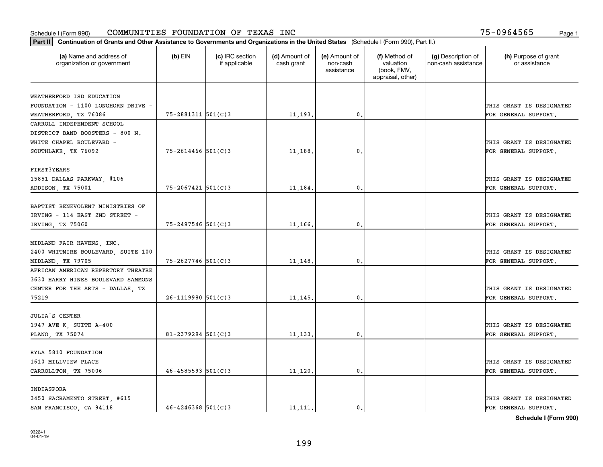| (a) Name and address of<br>organization or government           | $(b)$ EIN                | (c) IRC section<br>if applicable | (d) Amount of<br>cash grant | (e) Amount of<br>non-cash<br>assistance | (f) Method of<br>valuation<br>(book, FMV, | (g) Description of<br>non-cash assistance | (h) Purpose of grant<br>or assistance |
|-----------------------------------------------------------------|--------------------------|----------------------------------|-----------------------------|-----------------------------------------|-------------------------------------------|-------------------------------------------|---------------------------------------|
|                                                                 |                          |                                  |                             |                                         | appraisal, other)                         |                                           |                                       |
|                                                                 |                          |                                  |                             |                                         |                                           |                                           |                                       |
| WEATHERFORD ISD EDUCATION<br>FOUNDATION - 1100 LONGHORN DRIVE - |                          |                                  |                             |                                         |                                           |                                           | THIS GRANT IS DESIGNATED              |
| WEATHERFORD, TX 76086                                           | $75 - 2881311$ $501(C)3$ |                                  | 11, 193.                    | 0.                                      |                                           |                                           | FOR GENERAL SUPPORT.                  |
| CARROLL INDEPENDENT SCHOOL                                      |                          |                                  |                             |                                         |                                           |                                           |                                       |
| DISTRICT BAND BOOSTERS - 800 N.                                 |                          |                                  |                             |                                         |                                           |                                           |                                       |
| WHITE CHAPEL BOULEVARD -                                        |                          |                                  |                             |                                         |                                           |                                           | THIS GRANT IS DESIGNATED              |
| SOUTHLAKE, TX 76092                                             | $75 - 2614466$ 501(C)3   |                                  | 11,188                      | $\mathbf{0}$ .                          |                                           |                                           | FOR GENERAL SUPPORT.                  |
|                                                                 |                          |                                  |                             |                                         |                                           |                                           |                                       |
| FIRST3YEARS                                                     |                          |                                  |                             |                                         |                                           |                                           |                                       |
| 15851 DALLAS PARKWAY, #106                                      |                          |                                  |                             |                                         |                                           |                                           | THIS GRANT IS DESIGNATED              |
| ADDISON, TX 75001                                               | $75 - 2067421$ 501(C)3   |                                  | 11,184.                     | $\mathbf{0}$ .                          |                                           |                                           | FOR GENERAL SUPPORT.                  |
|                                                                 |                          |                                  |                             |                                         |                                           |                                           |                                       |
| BAPTIST BENEVOLENT MINISTRIES OF                                |                          |                                  |                             |                                         |                                           |                                           |                                       |
| IRVING - 114 EAST 2ND STREET -                                  |                          |                                  |                             |                                         |                                           |                                           | THIS GRANT IS DESIGNATED              |
| IRVING, TX 75060                                                | 75-2497546 501(C)3       |                                  | 11,166.                     | 0.                                      |                                           |                                           | FOR GENERAL SUPPORT.                  |
|                                                                 |                          |                                  |                             |                                         |                                           |                                           |                                       |
| MIDLAND FAIR HAVENS, INC.                                       |                          |                                  |                             |                                         |                                           |                                           |                                       |
| 2400 WHITMIRE BOULEVARD, SUITE 100                              |                          |                                  |                             |                                         |                                           |                                           | THIS GRANT IS DESIGNATED              |
| MIDLAND, TX 79705                                               | 75-2627746 501(C)3       |                                  | 11,148.                     | $\mathbf{0}$                            |                                           |                                           | FOR GENERAL SUPPORT.                  |
| AFRICAN AMERICAN REPERTORY THEATRE                              |                          |                                  |                             |                                         |                                           |                                           |                                       |
| 3630 HARRY HINES BOULEVARD SAMMONS                              |                          |                                  |                             |                                         |                                           |                                           |                                       |
| CENTER FOR THE ARTS - DALLAS, TX                                |                          |                                  |                             |                                         |                                           |                                           | THIS GRANT IS DESIGNATED              |
| 75219                                                           | $26 - 1119980$ 501(C)3   |                                  | 11, 145                     | 0.                                      |                                           |                                           | FOR GENERAL SUPPORT.                  |
|                                                                 |                          |                                  |                             |                                         |                                           |                                           |                                       |
| <b>JULIA'S CENTER</b>                                           |                          |                                  |                             |                                         |                                           |                                           |                                       |
| 1947 AVE K, SUITE A-400                                         |                          |                                  |                             |                                         |                                           |                                           | THIS GRANT IS DESIGNATED              |
| PLANO, TX 75074                                                 | $81 - 2379294$ 501(C)3   |                                  | 11,133.                     | 0.                                      |                                           |                                           | FOR GENERAL SUPPORT.                  |
|                                                                 |                          |                                  |                             |                                         |                                           |                                           |                                       |
| RYLA 5810 FOUNDATION                                            |                          |                                  |                             |                                         |                                           |                                           |                                       |
| 1610 MILLVIEW PLACE                                             |                          |                                  |                             |                                         |                                           |                                           | THIS GRANT IS DESIGNATED              |
| CARROLLTON, TX 75006                                            | $46 - 4585593$ 501(C)3   |                                  | 11,120.                     | 0.                                      |                                           |                                           | FOR GENERAL SUPPORT.                  |
|                                                                 |                          |                                  |                             |                                         |                                           |                                           |                                       |
| INDIASPORA                                                      |                          |                                  |                             |                                         |                                           |                                           |                                       |
| 3450 SACRAMENTO STREET, #615                                    |                          |                                  |                             |                                         |                                           |                                           | THIS GRANT IS DESIGNATED              |
| SAN FRANCISCO, CA 94118                                         | $46 - 4246368$ 501(C) 3  |                                  | 11, 111.                    | 0.                                      |                                           |                                           | FOR GENERAL SUPPORT.                  |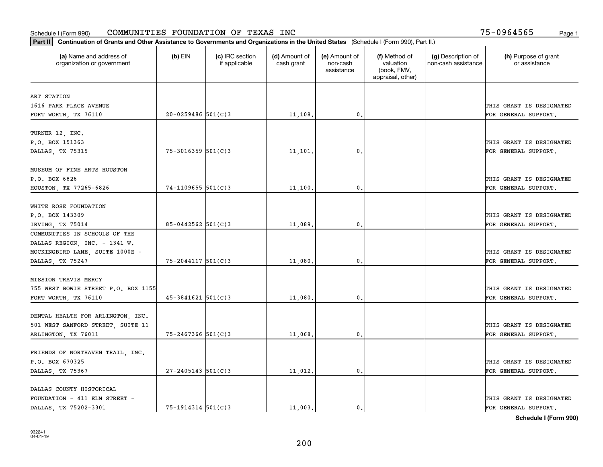| Part II   Continuation of Grants and Other Assistance to Governments and Organizations in the United States (Schedule I (Form 990), Part II.) |                         |                                  |                             |                                         |                                                                |                                           |                                       |
|-----------------------------------------------------------------------------------------------------------------------------------------------|-------------------------|----------------------------------|-----------------------------|-----------------------------------------|----------------------------------------------------------------|-------------------------------------------|---------------------------------------|
| (a) Name and address of<br>organization or government                                                                                         | $(b)$ EIN               | (c) IRC section<br>if applicable | (d) Amount of<br>cash grant | (e) Amount of<br>non-cash<br>assistance | (f) Method of<br>valuation<br>(book, FMV,<br>appraisal, other) | (g) Description of<br>non-cash assistance | (h) Purpose of grant<br>or assistance |
| ART STATION                                                                                                                                   |                         |                                  |                             |                                         |                                                                |                                           |                                       |
| 1616 PARK PLACE AVENUE                                                                                                                        |                         |                                  |                             |                                         |                                                                |                                           | THIS GRANT IS DESIGNATED              |
| FORT WORTH, TX 76110                                                                                                                          | $20 - 0259486$ 501(C)3  |                                  | 11,108.                     | 0.                                      |                                                                |                                           | FOR GENERAL SUPPORT.                  |
|                                                                                                                                               |                         |                                  |                             |                                         |                                                                |                                           |                                       |
| TURNER 12, INC.                                                                                                                               |                         |                                  |                             |                                         |                                                                |                                           |                                       |
| P.O. BOX 151363                                                                                                                               |                         |                                  |                             |                                         |                                                                |                                           | THIS GRANT IS DESIGNATED              |
| DALLAS, TX 75315                                                                                                                              | $75 - 3016359$ 501(C)3  |                                  | 11,101                      | 0.                                      |                                                                |                                           | FOR GENERAL SUPPORT.                  |
|                                                                                                                                               |                         |                                  |                             |                                         |                                                                |                                           |                                       |
| MUSEUM OF FINE ARTS HOUSTON                                                                                                                   |                         |                                  |                             |                                         |                                                                |                                           |                                       |
| P.O. BOX 6826                                                                                                                                 |                         |                                  |                             |                                         |                                                                |                                           | THIS GRANT IS DESIGNATED              |
| HOUSTON, TX 77265-6826                                                                                                                        | $74 - 1109655$ 501(C)3  |                                  | 11,100.                     | $\mathbf{0}$ .                          |                                                                |                                           | FOR GENERAL SUPPORT.                  |
|                                                                                                                                               |                         |                                  |                             |                                         |                                                                |                                           |                                       |
| WHITE ROSE FOUNDATION                                                                                                                         |                         |                                  |                             |                                         |                                                                |                                           |                                       |
| P.O. BOX 143309                                                                                                                               |                         |                                  |                             |                                         |                                                                |                                           | THIS GRANT IS DESIGNATED              |
| IRVING, TX 75014                                                                                                                              | 85-0442562 501(C)3      |                                  | 11,089.                     | 0.                                      |                                                                |                                           | FOR GENERAL SUPPORT.                  |
| COMMUNITIES IN SCHOOLS OF THE                                                                                                                 |                         |                                  |                             |                                         |                                                                |                                           |                                       |
| DALLAS REGION, INC. - 1341 W.                                                                                                                 |                         |                                  |                             |                                         |                                                                |                                           |                                       |
| MOCKINGBIRD LANE, SUITE 1000E -                                                                                                               |                         |                                  |                             |                                         |                                                                |                                           | THIS GRANT IS DESIGNATED              |
| DALLAS, TX 75247                                                                                                                              | 75-2044117 501(C)3      |                                  | 11,080.                     | 0.                                      |                                                                |                                           | FOR GENERAL SUPPORT.                  |
|                                                                                                                                               |                         |                                  |                             |                                         |                                                                |                                           |                                       |
| MISSION TRAVIS MERCY                                                                                                                          |                         |                                  |                             |                                         |                                                                |                                           |                                       |
| 755 WEST BOWIE STREET P.O. BOX 1155                                                                                                           |                         |                                  |                             |                                         |                                                                |                                           | THIS GRANT IS DESIGNATED              |
| FORT WORTH, TX 76110                                                                                                                          | $45 - 3841621$ 501(C)3  |                                  | 11,080.                     | 0.                                      |                                                                |                                           | FOR GENERAL SUPPORT.                  |
|                                                                                                                                               |                         |                                  |                             |                                         |                                                                |                                           |                                       |
| DENTAL HEALTH FOR ARLINGTON, INC.<br>501 WEST SANFORD STREET, SUITE 11                                                                        |                         |                                  |                             |                                         |                                                                |                                           | THIS GRANT IS DESIGNATED              |
|                                                                                                                                               | 75-2467366 501(C)3      |                                  |                             |                                         |                                                                |                                           |                                       |
| ARLINGTON, TX 76011                                                                                                                           |                         |                                  | 11,068                      | $^{\circ}$ .                            |                                                                |                                           | FOR GENERAL SUPPORT.                  |
| FRIENDS OF NORTHAVEN TRAIL, INC.                                                                                                              |                         |                                  |                             |                                         |                                                                |                                           |                                       |
| P.O. BOX 670325                                                                                                                               |                         |                                  |                             |                                         |                                                                |                                           | THIS GRANT IS DESIGNATED              |
| DALLAS, TX 75367                                                                                                                              | $27 - 2405143$ 501(C) 3 |                                  | 11,012.                     | 0.                                      |                                                                |                                           | FOR GENERAL SUPPORT.                  |
|                                                                                                                                               |                         |                                  |                             |                                         |                                                                |                                           |                                       |
| DALLAS COUNTY HISTORICAL                                                                                                                      |                         |                                  |                             |                                         |                                                                |                                           |                                       |
| FOUNDATION - 411 ELM STREET -                                                                                                                 |                         |                                  |                             |                                         |                                                                |                                           | THIS GRANT IS DESIGNATED              |
| DALLAS, TX 75202-3301                                                                                                                         | 75-1914314 501(C)3      |                                  | 11,003.                     | $\mathbf{0}$ .                          |                                                                |                                           | FOR GENERAL SUPPORT.                  |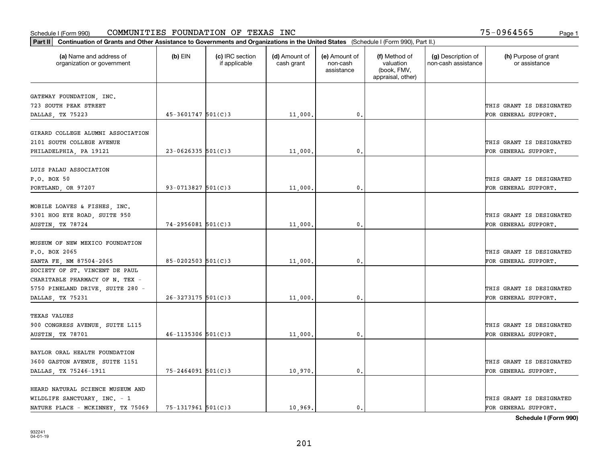| (a) Name and address of<br>organization or government | $(b)$ EIN              | (c) IRC section<br>if applicable | (d) Amount of<br>cash grant | (e) Amount of<br>non-cash<br>assistance | (f) Method of<br>valuation<br>(book, FMV,<br>appraisal, other) | (g) Description of<br>non-cash assistance | (h) Purpose of grant<br>or assistance |
|-------------------------------------------------------|------------------------|----------------------------------|-----------------------------|-----------------------------------------|----------------------------------------------------------------|-------------------------------------------|---------------------------------------|
| GATEWAY FOUNDATION, INC.                              |                        |                                  |                             |                                         |                                                                |                                           |                                       |
| 723 SOUTH PEAK STREET                                 |                        |                                  |                             |                                         |                                                                |                                           | THIS GRANT IS DESIGNATED              |
| DALLAS, TX 75223                                      | $45 - 3601747$ 501(C)3 |                                  | 11,000.                     | 0.                                      |                                                                |                                           | FOR GENERAL SUPPORT.                  |
|                                                       |                        |                                  |                             |                                         |                                                                |                                           |                                       |
| GIRARD COLLEGE ALUMNI ASSOCIATION                     |                        |                                  |                             |                                         |                                                                |                                           |                                       |
| 2101 SOUTH COLLEGE AVENUE                             |                        |                                  |                             |                                         |                                                                |                                           | THIS GRANT IS DESIGNATED              |
| PHILADELPHIA, PA 19121                                | $23 - 0626335$ 501(C)3 |                                  | 11,000                      | 0.                                      |                                                                |                                           | FOR GENERAL SUPPORT.                  |
|                                                       |                        |                                  |                             |                                         |                                                                |                                           |                                       |
| LUIS PALAU ASSOCIATION                                |                        |                                  |                             |                                         |                                                                |                                           |                                       |
| P.O. BOX 50                                           |                        |                                  |                             |                                         |                                                                |                                           | THIS GRANT IS DESIGNATED              |
| PORTLAND, OR 97207                                    | 93-0713827 $501(C)3$   |                                  | 11,000.                     | $\mathfrak{o}$ .                        |                                                                |                                           | FOR GENERAL SUPPORT.                  |
| MOBILE LOAVES & FISHES, INC.                          |                        |                                  |                             |                                         |                                                                |                                           |                                       |
| 9301 HOG EYE ROAD, SUITE 950                          |                        |                                  |                             |                                         |                                                                |                                           | THIS GRANT IS DESIGNATED              |
| AUSTIN, TX 78724                                      | $74 - 2956081$ 501(C)3 |                                  | 11,000.                     | 0.                                      |                                                                |                                           | FOR GENERAL SUPPORT.                  |
|                                                       |                        |                                  |                             |                                         |                                                                |                                           |                                       |
| MUSEUM OF NEW MEXICO FOUNDATION                       |                        |                                  |                             |                                         |                                                                |                                           |                                       |
| P.O. BOX 2065                                         |                        |                                  |                             |                                         |                                                                |                                           | THIS GRANT IS DESIGNATED              |
| SANTA FE, NM 87504-2065                               | $85 - 0202503$ 501(C)3 |                                  | 11,000,                     | 0.                                      |                                                                |                                           | FOR GENERAL SUPPORT.                  |
| SOCIETY OF ST. VINCENT DE PAUL                        |                        |                                  |                             |                                         |                                                                |                                           |                                       |
| CHARITABLE PHARMACY OF N. TEX -                       |                        |                                  |                             |                                         |                                                                |                                           |                                       |
| 5750 PINELAND DRIVE, SUITE 280 -                      |                        |                                  |                             |                                         |                                                                |                                           | THIS GRANT IS DESIGNATED              |
| DALLAS, TX 75231                                      | $26 - 3273175$ 501(C)3 |                                  | 11,000,                     | 0.                                      |                                                                |                                           | FOR GENERAL SUPPORT.                  |
|                                                       |                        |                                  |                             |                                         |                                                                |                                           |                                       |
| <b>TEXAS VALUES</b>                                   |                        |                                  |                             |                                         |                                                                |                                           |                                       |
| 900 CONGRESS AVENUE, SUITE L115                       |                        |                                  |                             |                                         |                                                                |                                           | THIS GRANT IS DESIGNATED              |
| AUSTIN, TX 78701                                      | $46 - 1135306$ 501(C)3 |                                  | 11,000,                     | $\mathfrak{o}$ .                        |                                                                |                                           | FOR GENERAL SUPPORT.                  |
|                                                       |                        |                                  |                             |                                         |                                                                |                                           |                                       |
| BAYLOR ORAL HEALTH FOUNDATION                         |                        |                                  |                             |                                         |                                                                |                                           |                                       |
| 3600 GASTON AVENUE, SUITE 1151                        |                        |                                  |                             |                                         |                                                                |                                           | THIS GRANT IS DESIGNATED              |
| DALLAS, TX 75246-1911                                 | $75 - 2464091$ 501(C)3 |                                  | 10,970.                     | $\mathbf{0}$                            |                                                                |                                           | FOR GENERAL SUPPORT.                  |
| HEARD NATURAL SCIENCE MUSEUM AND                      |                        |                                  |                             |                                         |                                                                |                                           |                                       |
| WILDLIFE SANCTUARY, INC. - 1                          |                        |                                  |                             |                                         |                                                                |                                           | THIS GRANT IS DESIGNATED              |
| NATURE PLACE - MCKINNEY, TX 75069                     | $75 - 1317961$ 501(C)3 |                                  | 10.969.                     | $\mathbf{0}$ .                          |                                                                |                                           | FOR GENERAL SUPPORT.                  |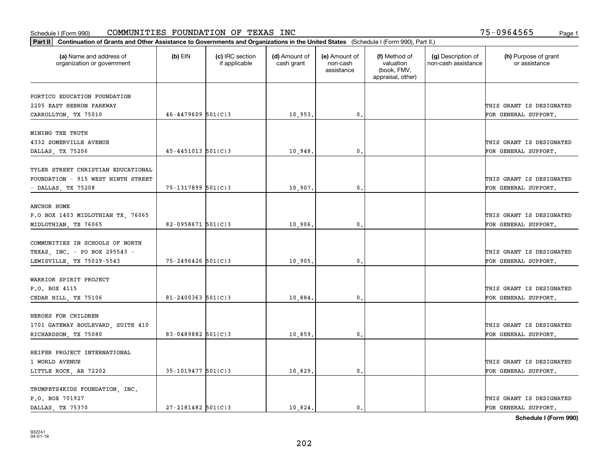| Part II   Continuation of Grants and Other Assistance to Governments and Organizations in the United States (Schedule I (Form 990), Part II.) |                        |                                  |                             |                                         |                                                                |                                           |                                       |
|-----------------------------------------------------------------------------------------------------------------------------------------------|------------------------|----------------------------------|-----------------------------|-----------------------------------------|----------------------------------------------------------------|-------------------------------------------|---------------------------------------|
| (a) Name and address of<br>organization or government                                                                                         | $(b)$ EIN              | (c) IRC section<br>if applicable | (d) Amount of<br>cash grant | (e) Amount of<br>non-cash<br>assistance | (f) Method of<br>valuation<br>(book, FMV,<br>appraisal, other) | (g) Description of<br>non-cash assistance | (h) Purpose of grant<br>or assistance |
| PORTICO EDUCATION FOUNDATION                                                                                                                  |                        |                                  |                             |                                         |                                                                |                                           |                                       |
| 2205 EAST HEBRON PARKWAY                                                                                                                      |                        |                                  |                             |                                         |                                                                |                                           | THIS GRANT IS DESIGNATED              |
| CARROLLTON, TX 75010                                                                                                                          | $46 - 4479609$ 501(C)3 |                                  | 10,953.                     | $\mathfrak o$ .                         |                                                                |                                           | FOR GENERAL SUPPORT.                  |
|                                                                                                                                               |                        |                                  |                             |                                         |                                                                |                                           |                                       |
| MINING THE TRUTH                                                                                                                              |                        |                                  |                             |                                         |                                                                |                                           |                                       |
| 4332 SOMERVILLE AVENUE                                                                                                                        |                        |                                  |                             |                                         |                                                                |                                           | THIS GRANT IS DESIGNATED              |
| DALLAS, TX 75206                                                                                                                              | $45 - 4451013$ 501(C)3 |                                  | 10,948                      | 0.                                      |                                                                |                                           | FOR GENERAL SUPPORT.                  |
|                                                                                                                                               |                        |                                  |                             |                                         |                                                                |                                           |                                       |
| TYLER STREET CHRISTIAN EDUCATIONAL                                                                                                            |                        |                                  |                             |                                         |                                                                |                                           |                                       |
| FOUNDATION - 915 WEST NINTH STREET                                                                                                            | 75-1317899 501(C)3     |                                  |                             |                                         |                                                                |                                           | THIS GRANT IS DESIGNATED              |
| - DALLAS, TX 75208                                                                                                                            |                        |                                  | 10,907.                     | $\mathbf 0$ .                           |                                                                |                                           | FOR GENERAL SUPPORT.                  |
| ANCHOR HOME                                                                                                                                   |                        |                                  |                             |                                         |                                                                |                                           |                                       |
| P.O BOX 1403 MIDLOTHIAN TX, 76065                                                                                                             |                        |                                  |                             |                                         |                                                                |                                           | THIS GRANT IS DESIGNATED              |
| MIDLOTHIAN, TX 76065                                                                                                                          | $82 - 0958671$ 501(C)3 |                                  | 10,906                      | 0.                                      |                                                                |                                           | FOR GENERAL SUPPORT.                  |
|                                                                                                                                               |                        |                                  |                             |                                         |                                                                |                                           |                                       |
| COMMUNITIES IN SCHOOLS OF NORTH                                                                                                               |                        |                                  |                             |                                         |                                                                |                                           |                                       |
| TEXAS, INC. - PO BOX 295543 -                                                                                                                 |                        |                                  |                             |                                         |                                                                |                                           | THIS GRANT IS DESIGNATED              |
| LEWISVILLE, TX 75029-5543                                                                                                                     | $75 - 2496426$ 501(C)3 |                                  | 10,905                      | 0                                       |                                                                |                                           | FOR GENERAL SUPPORT.                  |
|                                                                                                                                               |                        |                                  |                             |                                         |                                                                |                                           |                                       |
| WARRIOR SPIRIT PROJECT                                                                                                                        |                        |                                  |                             |                                         |                                                                |                                           |                                       |
| P.O. BOX 4115                                                                                                                                 |                        |                                  |                             |                                         |                                                                |                                           | THIS GRANT IS DESIGNATED              |
| CEDAR HILL, TX 75106                                                                                                                          | $81 - 2400363$ 501(C)3 |                                  | 10,884.                     | $\mathbf{0}$                            |                                                                |                                           | FOR GENERAL SUPPORT.                  |
| HEROES FOR CHILDREN                                                                                                                           |                        |                                  |                             |                                         |                                                                |                                           |                                       |
| 1701 GATEWAY BOULEVARD, SUITE 410                                                                                                             |                        |                                  |                             |                                         |                                                                |                                           | THIS GRANT IS DESIGNATED              |
| RICHARDSON, TX 75080                                                                                                                          | 83-0489882 $501(C)3$   |                                  | 10,859                      | $\mathbf{0}$ .                          |                                                                |                                           | FOR GENERAL SUPPORT.                  |
|                                                                                                                                               |                        |                                  |                             |                                         |                                                                |                                           |                                       |
| HEIFER PROJECT INTERNATIONAL                                                                                                                  |                        |                                  |                             |                                         |                                                                |                                           |                                       |
| 1 WORLD AVENUE                                                                                                                                |                        |                                  |                             |                                         |                                                                |                                           | THIS GRANT IS DESIGNATED              |
| LITTLE ROCK, AR 72202                                                                                                                         | $35-1019477$ 501(C)3   |                                  | 10,829.                     | $\mathfrak{o}$ .                        |                                                                |                                           | FOR GENERAL SUPPORT.                  |
|                                                                                                                                               |                        |                                  |                             |                                         |                                                                |                                           |                                       |
| TRUMPETS4KIDS FOUNDATION, INC.                                                                                                                |                        |                                  |                             |                                         |                                                                |                                           |                                       |
| P.O. BOX 701927                                                                                                                               |                        |                                  |                             |                                         |                                                                |                                           | THIS GRANT IS DESIGNATED              |
| DALLAS, TX 75370                                                                                                                              | $27 - 2181482$ 501(C)3 |                                  | 10.824.                     | $\mathfrak{o}$ .                        |                                                                |                                           | FOR GENERAL SUPPORT.                  |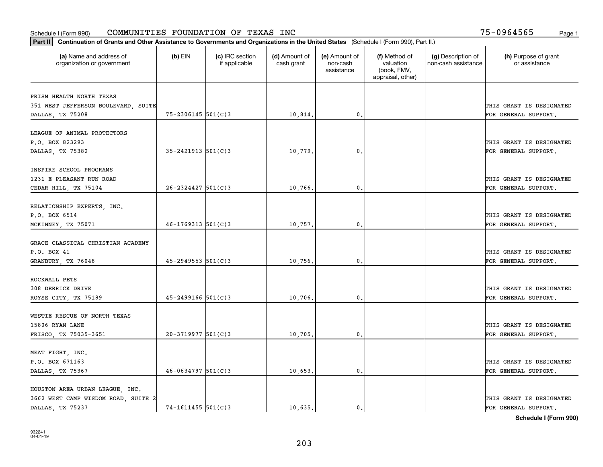| Part II   Continuation of Grants and Other Assistance to Governments and Organizations in the United States (Schedule I (Form 990), Part II.) |                          |                                  |                             |                                         |                                                                |                                           |                                       |
|-----------------------------------------------------------------------------------------------------------------------------------------------|--------------------------|----------------------------------|-----------------------------|-----------------------------------------|----------------------------------------------------------------|-------------------------------------------|---------------------------------------|
| (a) Name and address of<br>organization or government                                                                                         | $(b)$ EIN                | (c) IRC section<br>if applicable | (d) Amount of<br>cash grant | (e) Amount of<br>non-cash<br>assistance | (f) Method of<br>valuation<br>(book, FMV,<br>appraisal, other) | (g) Description of<br>non-cash assistance | (h) Purpose of grant<br>or assistance |
|                                                                                                                                               |                          |                                  |                             |                                         |                                                                |                                           |                                       |
| PRISM HEALTH NORTH TEXAS<br>351 WEST JEFFERSON BOULEVARD, SUITE                                                                               |                          |                                  |                             |                                         |                                                                |                                           | THIS GRANT IS DESIGNATED              |
| DALLAS, TX 75208                                                                                                                              | $75 - 2306145$ 501(C)3   |                                  | 10,814.                     | 0.                                      |                                                                |                                           | FOR GENERAL SUPPORT.                  |
|                                                                                                                                               |                          |                                  |                             |                                         |                                                                |                                           |                                       |
| LEAGUE OF ANIMAL PROTECTORS                                                                                                                   |                          |                                  |                             |                                         |                                                                |                                           |                                       |
| P.O. BOX 823293                                                                                                                               |                          |                                  |                             |                                         |                                                                |                                           | THIS GRANT IS DESIGNATED              |
| DALLAS, TX 75382                                                                                                                              | $35 - 2421913$ $501(C)3$ |                                  | 10,779                      | 0.                                      |                                                                |                                           | FOR GENERAL SUPPORT.                  |
|                                                                                                                                               |                          |                                  |                             |                                         |                                                                |                                           |                                       |
| INSPIRE SCHOOL PROGRAMS                                                                                                                       |                          |                                  |                             |                                         |                                                                |                                           |                                       |
| 1231 E PLEASANT RUN ROAD                                                                                                                      |                          |                                  |                             |                                         |                                                                |                                           | THIS GRANT IS DESIGNATED              |
| CEDAR HILL, TX 75104                                                                                                                          | $26 - 2324427$ 501(C)3   |                                  | 10,766.                     | $\mathbf{0}$ .                          |                                                                |                                           | FOR GENERAL SUPPORT.                  |
|                                                                                                                                               |                          |                                  |                             |                                         |                                                                |                                           |                                       |
| RELATIONSHIP EXPERTS, INC.                                                                                                                    |                          |                                  |                             |                                         |                                                                |                                           |                                       |
| P.O. BOX 6514                                                                                                                                 |                          |                                  |                             |                                         |                                                                |                                           | THIS GRANT IS DESIGNATED              |
| MCKINNEY, TX 75071                                                                                                                            | $46 - 1769313$ $501(C)3$ |                                  | 10,757.                     | 0.                                      |                                                                |                                           | FOR GENERAL SUPPORT.                  |
|                                                                                                                                               |                          |                                  |                             |                                         |                                                                |                                           |                                       |
| GRACE CLASSICAL CHRISTIAN ACADEMY                                                                                                             |                          |                                  |                             |                                         |                                                                |                                           |                                       |
| P.O. BOX 41                                                                                                                                   |                          |                                  |                             |                                         |                                                                |                                           | THIS GRANT IS DESIGNATED              |
| GRANBURY, TX 76048                                                                                                                            | $45 - 2949553$ 501(C)3   |                                  | 10,756.                     | 0.                                      |                                                                |                                           | FOR GENERAL SUPPORT.                  |
|                                                                                                                                               |                          |                                  |                             |                                         |                                                                |                                           |                                       |
| ROCKWALL PETS                                                                                                                                 |                          |                                  |                             |                                         |                                                                |                                           |                                       |
| 308 DERRICK DRIVE                                                                                                                             |                          |                                  |                             |                                         |                                                                |                                           | THIS GRANT IS DESIGNATED              |
| ROYSE CITY, TX 75189                                                                                                                          | $45 - 2499166$ 501(C)3   |                                  | 10,706,                     | 0.                                      |                                                                |                                           | FOR GENERAL SUPPORT.                  |
|                                                                                                                                               |                          |                                  |                             |                                         |                                                                |                                           |                                       |
| WESTIE RESCUE OF NORTH TEXAS                                                                                                                  |                          |                                  |                             |                                         |                                                                |                                           |                                       |
| 15806 RYAN LANE                                                                                                                               |                          |                                  |                             |                                         |                                                                |                                           | THIS GRANT IS DESIGNATED              |
| FRISCO, TX 75035-3651                                                                                                                         | $20-3719977$ 501(C)3     |                                  | 10,705.                     | $\mathbf{0}$ .                          |                                                                |                                           | FOR GENERAL SUPPORT.                  |
|                                                                                                                                               |                          |                                  |                             |                                         |                                                                |                                           |                                       |
| MEAT FIGHT, INC.                                                                                                                              |                          |                                  |                             |                                         |                                                                |                                           |                                       |
| P.O. BOX 671163                                                                                                                               |                          |                                  |                             |                                         |                                                                |                                           | THIS GRANT IS DESIGNATED              |
| DALLAS, TX 75367                                                                                                                              | $46 - 0634797$ 501(C)3   |                                  | 10,653.                     | 0.                                      |                                                                |                                           | FOR GENERAL SUPPORT.                  |
|                                                                                                                                               |                          |                                  |                             |                                         |                                                                |                                           |                                       |
| HOUSTON AREA URBAN LEAGUE, INC.<br>3662 WEST CAMP WISDOM ROAD, SUITE 2                                                                        |                          |                                  |                             |                                         |                                                                |                                           | THIS GRANT IS DESIGNATED              |
| DALLAS TX 75237                                                                                                                               | $74 - 1611455$ 501(C)3   |                                  | 10,635.                     | 0.                                      |                                                                |                                           | FOR GENERAL SUPPORT.                  |
|                                                                                                                                               |                          |                                  |                             |                                         |                                                                |                                           |                                       |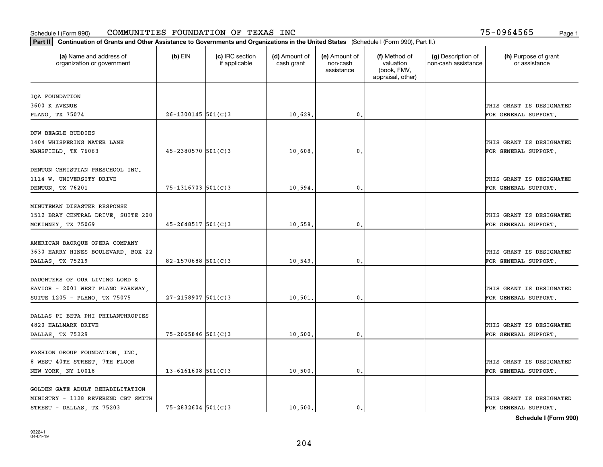| Part II   Continuation of Grants and Other Assistance to Governments and Organizations in the United States (Schedule I (Form 990), Part II.) |                         |                                  |                             |                                         |                                                                |                                           |                                       |
|-----------------------------------------------------------------------------------------------------------------------------------------------|-------------------------|----------------------------------|-----------------------------|-----------------------------------------|----------------------------------------------------------------|-------------------------------------------|---------------------------------------|
| (a) Name and address of<br>organization or government                                                                                         | $(b)$ EIN               | (c) IRC section<br>if applicable | (d) Amount of<br>cash grant | (e) Amount of<br>non-cash<br>assistance | (f) Method of<br>valuation<br>(book, FMV,<br>appraisal, other) | (g) Description of<br>non-cash assistance | (h) Purpose of grant<br>or assistance |
|                                                                                                                                               |                         |                                  |                             |                                         |                                                                |                                           |                                       |
| IQA FOUNDATION<br>3600 K AVENUE                                                                                                               |                         |                                  |                             |                                         |                                                                |                                           | THIS GRANT IS DESIGNATED              |
| PLANO, TX 75074                                                                                                                               | $26 - 1300145$ 501(C)3  |                                  | 10,629.                     | 0.                                      |                                                                |                                           | FOR GENERAL SUPPORT.                  |
|                                                                                                                                               |                         |                                  |                             |                                         |                                                                |                                           |                                       |
| DFW BEAGLE BUDDIES                                                                                                                            |                         |                                  |                             |                                         |                                                                |                                           |                                       |
| 1404 WHISPERING WATER LANE                                                                                                                    |                         |                                  |                             |                                         |                                                                |                                           | THIS GRANT IS DESIGNATED              |
| MANSFIELD, TX 76063                                                                                                                           | $45 - 2380570$ 501(C)3  |                                  | 10,608                      | 0.                                      |                                                                |                                           | FOR GENERAL SUPPORT.                  |
|                                                                                                                                               |                         |                                  |                             |                                         |                                                                |                                           |                                       |
| DENTON CHRISTIAN PRESCHOOL INC.                                                                                                               |                         |                                  |                             |                                         |                                                                |                                           |                                       |
| 1114 W. UNIVERSITY DRIVE                                                                                                                      |                         |                                  |                             |                                         |                                                                |                                           | THIS GRANT IS DESIGNATED              |
| DENTON, TX 76201                                                                                                                              | 75-1316703 501(C)3      |                                  | 10,594                      | 0.                                      |                                                                |                                           | FOR GENERAL SUPPORT.                  |
|                                                                                                                                               |                         |                                  |                             |                                         |                                                                |                                           |                                       |
| MINUTEMAN DISASTER RESPONSE                                                                                                                   |                         |                                  |                             |                                         |                                                                |                                           |                                       |
| 1512 BRAY CENTRAL DRIVE, SUITE 200                                                                                                            |                         |                                  |                             |                                         |                                                                |                                           | THIS GRANT IS DESIGNATED              |
| MCKINNEY, TX 75069                                                                                                                            | $45 - 2648517$ 501(C)3  |                                  | 10,558.                     | 0.                                      |                                                                |                                           | FOR GENERAL SUPPORT.                  |
|                                                                                                                                               |                         |                                  |                             |                                         |                                                                |                                           |                                       |
| AMERICAN BAORQUE OPERA COMPANY                                                                                                                |                         |                                  |                             |                                         |                                                                |                                           |                                       |
| 3630 HARRY HINES BOULEVARD, BOX 22                                                                                                            |                         |                                  |                             |                                         |                                                                |                                           | THIS GRANT IS DESIGNATED              |
| DALLAS, TX 75219                                                                                                                              | $82 - 1570688$ 501(C)3  |                                  | 10,549                      | $\mathbf{0}$ .                          |                                                                |                                           | FOR GENERAL SUPPORT.                  |
|                                                                                                                                               |                         |                                  |                             |                                         |                                                                |                                           |                                       |
| DAUGHTERS OF OUR LIVING LORD &                                                                                                                |                         |                                  |                             |                                         |                                                                |                                           |                                       |
| SAVIOR - 2001 WEST PLANO PARKWAY,                                                                                                             |                         |                                  |                             |                                         |                                                                |                                           | THIS GRANT IS DESIGNATED              |
| SUITE 1205 - PLANO, TX 75075                                                                                                                  | $27 - 2158907$ 501(C)3  |                                  | 10,501                      | $\mathfrak{o}$ .                        |                                                                |                                           | FOR GENERAL SUPPORT.                  |
| DALLAS PI BETA PHI PHILANTHROPIES                                                                                                             |                         |                                  |                             |                                         |                                                                |                                           |                                       |
| 4820 HALLMARK DRIVE                                                                                                                           |                         |                                  |                             |                                         |                                                                |                                           | THIS GRANT IS DESIGNATED              |
|                                                                                                                                               | 75-2065846 501(C)3      |                                  |                             | 0.                                      |                                                                |                                           | FOR GENERAL SUPPORT.                  |
| DALLAS, TX 75229                                                                                                                              |                         |                                  | 10,500                      |                                         |                                                                |                                           |                                       |
| FASHION GROUP FOUNDATION, INC.                                                                                                                |                         |                                  |                             |                                         |                                                                |                                           |                                       |
| 8 WEST 40TH STREET, 7TH FLOOR                                                                                                                 |                         |                                  |                             |                                         |                                                                |                                           | THIS GRANT IS DESIGNATED              |
| NEW YORK, NY 10018                                                                                                                            | $13 - 6161608$ 501(C) 3 |                                  | 10,500.                     | $\mathfrak{o}$ .                        |                                                                |                                           | FOR GENERAL SUPPORT.                  |
|                                                                                                                                               |                         |                                  |                             |                                         |                                                                |                                           |                                       |
| GOLDEN GATE ADULT REHABILITATION                                                                                                              |                         |                                  |                             |                                         |                                                                |                                           |                                       |
| MINISTRY - 1128 REVEREND CBT SMITH                                                                                                            |                         |                                  |                             |                                         |                                                                |                                           | THIS GRANT IS DESIGNATED              |
| STREET - DALLAS, TX 75203                                                                                                                     | $75 - 2832604$ 501(C)3  |                                  | 10,500.                     | $\mathbf{0}$ .                          |                                                                |                                           | FOR GENERAL SUPPORT.                  |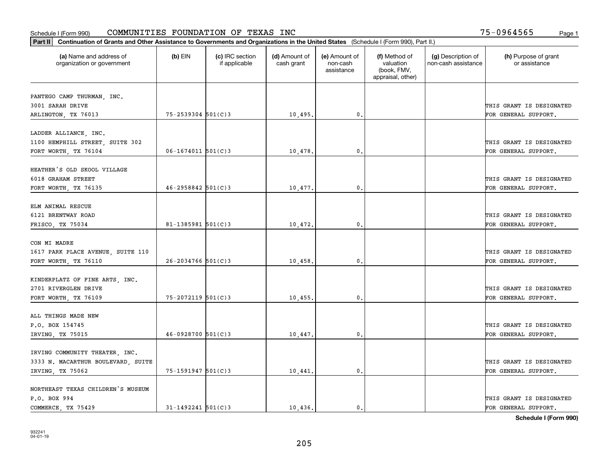| Part II   Continuation of Grants and Other Assistance to Governments and Organizations in the United States (Schedule I (Form 990), Part II.) |                        |                                  |                             |                                         |                                                                |                                           |                                       |
|-----------------------------------------------------------------------------------------------------------------------------------------------|------------------------|----------------------------------|-----------------------------|-----------------------------------------|----------------------------------------------------------------|-------------------------------------------|---------------------------------------|
| (a) Name and address of<br>organization or government                                                                                         | $(b)$ EIN              | (c) IRC section<br>if applicable | (d) Amount of<br>cash grant | (e) Amount of<br>non-cash<br>assistance | (f) Method of<br>valuation<br>(book, FMV,<br>appraisal, other) | (g) Description of<br>non-cash assistance | (h) Purpose of grant<br>or assistance |
|                                                                                                                                               |                        |                                  |                             |                                         |                                                                |                                           |                                       |
| PANTEGO CAMP THURMAN, INC.<br>3001 SARAH DRIVE                                                                                                |                        |                                  |                             |                                         |                                                                |                                           | THIS GRANT IS DESIGNATED              |
| ARLINGTON, TX 76013                                                                                                                           | $75 - 2539304$ 501(C)3 |                                  | 10,495.                     | 0.                                      |                                                                |                                           | FOR GENERAL SUPPORT.                  |
|                                                                                                                                               |                        |                                  |                             |                                         |                                                                |                                           |                                       |
| LADDER ALLIANCE, INC.                                                                                                                         |                        |                                  |                             |                                         |                                                                |                                           |                                       |
| 1100 HEMPHILL STREET, SUITE 302                                                                                                               |                        |                                  |                             |                                         |                                                                |                                           | THIS GRANT IS DESIGNATED              |
| FORT WORTH, TX 76104                                                                                                                          | $06 - 1674011$ 501(C)3 |                                  | 10,478.                     | 0.                                      |                                                                |                                           | FOR GENERAL SUPPORT.                  |
|                                                                                                                                               |                        |                                  |                             |                                         |                                                                |                                           |                                       |
| HEATHER'S OLD SKOOL VILLAGE<br>6018 GRAHAM STREET                                                                                             |                        |                                  |                             |                                         |                                                                |                                           | THIS GRANT IS DESIGNATED              |
| FORT WORTH, TX 76135                                                                                                                          | $46 - 2958842$ 501(C)3 |                                  | 10,477.                     | $\mathbf{0}$ .                          |                                                                |                                           | FOR GENERAL SUPPORT.                  |
|                                                                                                                                               |                        |                                  |                             |                                         |                                                                |                                           |                                       |
| ELM ANIMAL RESCUE                                                                                                                             |                        |                                  |                             |                                         |                                                                |                                           |                                       |
| 6121 BRENTWAY ROAD                                                                                                                            |                        |                                  |                             |                                         |                                                                |                                           | THIS GRANT IS DESIGNATED              |
| FRISCO, TX 75034                                                                                                                              | 81-1385981 $501(C)$ 3  |                                  | 10,472.                     | $\mathbf{0}$                            |                                                                |                                           | FOR GENERAL SUPPORT.                  |
|                                                                                                                                               |                        |                                  |                             |                                         |                                                                |                                           |                                       |
| CON MI MADRE                                                                                                                                  |                        |                                  |                             |                                         |                                                                |                                           |                                       |
| 1617 PARK PLACE AVENUE, SUITE 110                                                                                                             |                        |                                  |                             |                                         |                                                                |                                           | THIS GRANT IS DESIGNATED              |
| FORT WORTH, TX 76110                                                                                                                          | $26 - 2034766$ 501(C)3 |                                  | 10,458.                     | $\mathbf{0}$                            |                                                                |                                           | FOR GENERAL SUPPORT.                  |
|                                                                                                                                               |                        |                                  |                             |                                         |                                                                |                                           |                                       |
| KINDERPLATZ OF FINE ARTS, INC.<br>2701 RIVERGLEN DRIVE                                                                                        |                        |                                  |                             |                                         |                                                                |                                           | THIS GRANT IS DESIGNATED              |
| FORT WORTH, TX 76109                                                                                                                          | $75 - 2072119$ 501(C)3 |                                  | 10,455.                     | 0.                                      |                                                                |                                           | FOR GENERAL SUPPORT.                  |
|                                                                                                                                               |                        |                                  |                             |                                         |                                                                |                                           |                                       |
| ALL THINGS MADE NEW                                                                                                                           |                        |                                  |                             |                                         |                                                                |                                           |                                       |
| P.O. BOX 154745                                                                                                                               |                        |                                  |                             |                                         |                                                                |                                           | THIS GRANT IS DESIGNATED              |
| IRVING, TX 75015                                                                                                                              | $46 - 0928700$ 501(C)3 |                                  | 10,447.                     | $^{\rm 0}$ .                            |                                                                |                                           | FOR GENERAL SUPPORT.                  |
|                                                                                                                                               |                        |                                  |                             |                                         |                                                                |                                           |                                       |
| IRVING COMMUNITY THEATER, INC.                                                                                                                |                        |                                  |                             |                                         |                                                                |                                           |                                       |
| 3333 N. MACARTHUR BOULEVARD, SUITE                                                                                                            |                        |                                  |                             |                                         |                                                                |                                           | THIS GRANT IS DESIGNATED              |
| IRVING, TX 75062                                                                                                                              | 75-1591947 501(C)3     |                                  | 10,441.                     | $\mathfrak{o}$ .                        |                                                                |                                           | FOR GENERAL SUPPORT.                  |
| NORTHEAST TEXAS CHILDREN'S MUSEUM                                                                                                             |                        |                                  |                             |                                         |                                                                |                                           |                                       |
| P.O. BOX 994                                                                                                                                  |                        |                                  |                             |                                         |                                                                |                                           | THIS GRANT IS DESIGNATED              |
| COMMERCE, TX 75429                                                                                                                            | $31 - 1492241$ 501(C)3 |                                  | 10.436.                     | $\mathbf{0}$ .                          |                                                                |                                           | FOR GENERAL SUPPORT.                  |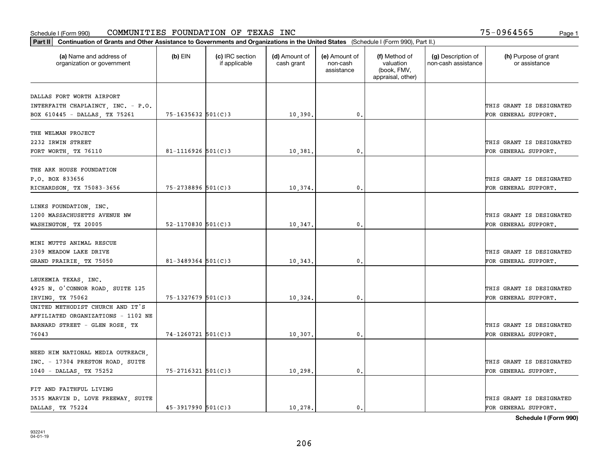| Part II   Continuation of Grants and Other Assistance to Governments and Organizations in the United States (Schedule I (Form 990), Part II.) |                        |                                  |                             |                                         |                                                                |                                           |                                       |
|-----------------------------------------------------------------------------------------------------------------------------------------------|------------------------|----------------------------------|-----------------------------|-----------------------------------------|----------------------------------------------------------------|-------------------------------------------|---------------------------------------|
| (a) Name and address of<br>organization or government                                                                                         | $(b)$ EIN              | (c) IRC section<br>if applicable | (d) Amount of<br>cash grant | (e) Amount of<br>non-cash<br>assistance | (f) Method of<br>valuation<br>(book, FMV,<br>appraisal, other) | (g) Description of<br>non-cash assistance | (h) Purpose of grant<br>or assistance |
|                                                                                                                                               |                        |                                  |                             |                                         |                                                                |                                           |                                       |
| DALLAS FORT WORTH AIRPORT                                                                                                                     |                        |                                  |                             |                                         |                                                                |                                           | THIS GRANT IS DESIGNATED              |
| INTERFAITH CHAPLAINCY, INC. - P.O.<br>BOX 610445 - DALLAS, TX 75261                                                                           | $75 - 1635632$ 501(C)3 |                                  | 10,390.                     | 0.                                      |                                                                |                                           | FOR GENERAL SUPPORT.                  |
|                                                                                                                                               |                        |                                  |                             |                                         |                                                                |                                           |                                       |
| THE WELMAN PROJECT                                                                                                                            |                        |                                  |                             |                                         |                                                                |                                           |                                       |
| 2232 IRWIN STREET                                                                                                                             |                        |                                  |                             |                                         |                                                                |                                           | THIS GRANT IS DESIGNATED              |
| FORT WORTH, TX 76110                                                                                                                          | 81-1116926 $501(C)3$   |                                  | 10,381                      | 0.                                      |                                                                |                                           | FOR GENERAL SUPPORT.                  |
|                                                                                                                                               |                        |                                  |                             |                                         |                                                                |                                           |                                       |
| THE ARK HOUSE FOUNDATION                                                                                                                      |                        |                                  |                             |                                         |                                                                |                                           |                                       |
| P.O. BOX 833656                                                                                                                               |                        |                                  |                             |                                         |                                                                |                                           | THIS GRANT IS DESIGNATED              |
| RICHARDSON, TX 75083-3656                                                                                                                     | 75-2738896 501(C)3     |                                  | 10,374.                     | $\mathbf{0}$ .                          |                                                                |                                           | FOR GENERAL SUPPORT.                  |
|                                                                                                                                               |                        |                                  |                             |                                         |                                                                |                                           |                                       |
| LINKS FOUNDATION, INC.                                                                                                                        |                        |                                  |                             |                                         |                                                                |                                           |                                       |
| 1200 MASSACHUSETTS AVENUE NW                                                                                                                  |                        |                                  |                             |                                         |                                                                |                                           | THIS GRANT IS DESIGNATED              |
| WASHINGTON, TX 20005                                                                                                                          | 52-1170830 $501(C)3$   |                                  | 10,347.                     | 0.                                      |                                                                |                                           | FOR GENERAL SUPPORT.                  |
|                                                                                                                                               |                        |                                  |                             |                                         |                                                                |                                           |                                       |
| MINI MUTTS ANIMAL RESCUE                                                                                                                      |                        |                                  |                             |                                         |                                                                |                                           |                                       |
| 2309 MEADOW LAKE DRIVE                                                                                                                        |                        |                                  |                             |                                         |                                                                |                                           | THIS GRANT IS DESIGNATED              |
| GRAND PRAIRIE, TX 75050                                                                                                                       | $81 - 3489364$ 501(C)3 |                                  | 10,343                      | 0.                                      |                                                                |                                           | FOR GENERAL SUPPORT.                  |
|                                                                                                                                               |                        |                                  |                             |                                         |                                                                |                                           |                                       |
| LEUKEMIA TEXAS, INC.                                                                                                                          |                        |                                  |                             |                                         |                                                                |                                           |                                       |
| 4925 N. O'CONNOR ROAD, SUITE 125                                                                                                              |                        |                                  |                             |                                         |                                                                |                                           | THIS GRANT IS DESIGNATED              |
| IRVING TX 75062                                                                                                                               | $75 - 1327679$ 501(C)3 |                                  | 10,324.                     | 0.                                      |                                                                |                                           | FOR GENERAL SUPPORT.                  |
| UNITED METHODIST CHURCH AND IT'S                                                                                                              |                        |                                  |                             |                                         |                                                                |                                           |                                       |
| AFFILIATED ORGANIZATIONS - 1102 NE                                                                                                            |                        |                                  |                             |                                         |                                                                |                                           |                                       |
| BARNARD STREET - GLEN ROSE, TX                                                                                                                |                        |                                  |                             |                                         |                                                                |                                           | THIS GRANT IS DESIGNATED              |
| 76043                                                                                                                                         | $74 - 1260721$ 501(C)3 |                                  | 10, 307.                    | $\mathbf{0}$ .                          |                                                                |                                           | FOR GENERAL SUPPORT.                  |
|                                                                                                                                               |                        |                                  |                             |                                         |                                                                |                                           |                                       |
| NEED HIM NATIONAL MEDIA OUTREACH,                                                                                                             |                        |                                  |                             |                                         |                                                                |                                           |                                       |
| INC. - 17304 PRESTON ROAD, SUITE                                                                                                              |                        |                                  |                             |                                         |                                                                |                                           | THIS GRANT IS DESIGNATED              |
| 1040 - DALLAS, TX 75252                                                                                                                       | $75 - 2716321$ 501(C)3 |                                  | 10,298.                     | 0.                                      |                                                                |                                           | FOR GENERAL SUPPORT.                  |
|                                                                                                                                               |                        |                                  |                             |                                         |                                                                |                                           |                                       |
| FIT AND FAITHFUL LIVING                                                                                                                       |                        |                                  |                             |                                         |                                                                |                                           |                                       |
| 3535 MARVIN D. LOVE FREEWAY, SUITE                                                                                                            |                        |                                  |                             |                                         |                                                                |                                           | THIS GRANT IS DESIGNATED              |
| DALLAS, TX 75224                                                                                                                              | $45 - 3917990$ 501(C)3 |                                  | 10,278.                     | $\mathbf{0}$ .                          |                                                                |                                           | FOR GENERAL SUPPORT.                  |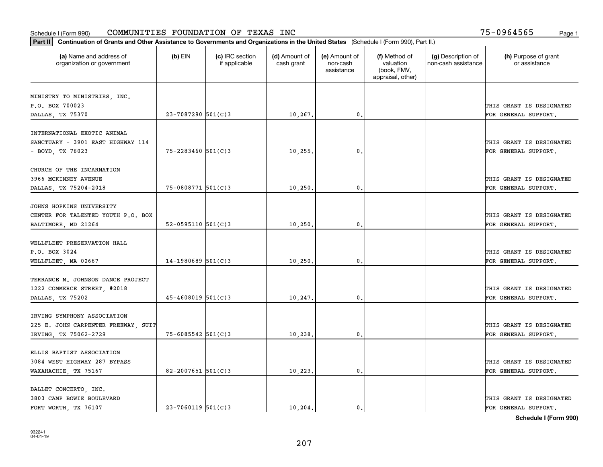| Part II   Continuation of Grants and Other Assistance to Governments and Organizations in the United States (Schedule I (Form 990), Part II.) |                          |                                  |                             |                                         |                                                                |                                           |                                       |  |  |  |
|-----------------------------------------------------------------------------------------------------------------------------------------------|--------------------------|----------------------------------|-----------------------------|-----------------------------------------|----------------------------------------------------------------|-------------------------------------------|---------------------------------------|--|--|--|
| (a) Name and address of<br>organization or government                                                                                         | $(b)$ EIN                | (c) IRC section<br>if applicable | (d) Amount of<br>cash grant | (e) Amount of<br>non-cash<br>assistance | (f) Method of<br>valuation<br>(book, FMV,<br>appraisal, other) | (g) Description of<br>non-cash assistance | (h) Purpose of grant<br>or assistance |  |  |  |
| MINISTRY TO MINISTRIES, INC.                                                                                                                  |                          |                                  |                             |                                         |                                                                |                                           |                                       |  |  |  |
| P.O. BOX 700023                                                                                                                               |                          |                                  |                             |                                         |                                                                |                                           | THIS GRANT IS DESIGNATED              |  |  |  |
| DALLAS, TX 75370                                                                                                                              | 23-7087290 501(C)3       |                                  | 10,267.                     | 0.                                      |                                                                |                                           | FOR GENERAL SUPPORT.                  |  |  |  |
|                                                                                                                                               |                          |                                  |                             |                                         |                                                                |                                           |                                       |  |  |  |
| INTERNATIONAL EXOTIC ANIMAL                                                                                                                   |                          |                                  |                             |                                         |                                                                |                                           |                                       |  |  |  |
| SANCTUARY - 3901 EAST HIGHWAY 114                                                                                                             |                          |                                  |                             |                                         |                                                                |                                           | THIS GRANT IS DESIGNATED              |  |  |  |
| - BOYD, TX 76023                                                                                                                              | 75-2283460 501(C)3       |                                  | 10, 255.                    | 0.                                      |                                                                |                                           | FOR GENERAL SUPPORT.                  |  |  |  |
|                                                                                                                                               |                          |                                  |                             |                                         |                                                                |                                           |                                       |  |  |  |
| CHURCH OF THE INCARNATION                                                                                                                     |                          |                                  |                             |                                         |                                                                |                                           |                                       |  |  |  |
| 3966 MCKINNEY AVENUE                                                                                                                          | 75-0808771 501(C)3       |                                  |                             | $^{\circ}$ .                            |                                                                |                                           | THIS GRANT IS DESIGNATED              |  |  |  |
| DALLAS, TX 75204-2018                                                                                                                         |                          |                                  | 10, 250.                    |                                         |                                                                |                                           | FOR GENERAL SUPPORT.                  |  |  |  |
| JOHNS HOPKINS UNIVERSITY                                                                                                                      |                          |                                  |                             |                                         |                                                                |                                           |                                       |  |  |  |
| CENTER FOR TALENTED YOUTH P.O. BOX                                                                                                            |                          |                                  |                             |                                         |                                                                |                                           | THIS GRANT IS DESIGNATED              |  |  |  |
| BALTIMORE, MD 21264                                                                                                                           | $52 - 0595110$ $501(C)3$ |                                  | 10, 250.                    | $\mathbf{0}$                            |                                                                |                                           | FOR GENERAL SUPPORT.                  |  |  |  |
|                                                                                                                                               |                          |                                  |                             |                                         |                                                                |                                           |                                       |  |  |  |
| WELLFLEET PRESERVATION HALL                                                                                                                   |                          |                                  |                             |                                         |                                                                |                                           |                                       |  |  |  |
| P.O. BOX 3024                                                                                                                                 |                          |                                  |                             |                                         |                                                                |                                           | THIS GRANT IS DESIGNATED              |  |  |  |
| WELLFLEET, MA 02667                                                                                                                           | $14-1980689$ 501(C)3     |                                  | 10, 250.                    | 0.                                      |                                                                |                                           | FOR GENERAL SUPPORT.                  |  |  |  |
|                                                                                                                                               |                          |                                  |                             |                                         |                                                                |                                           |                                       |  |  |  |
| TERRANCE M. JOHNSON DANCE PROJECT                                                                                                             |                          |                                  |                             |                                         |                                                                |                                           |                                       |  |  |  |
| 1222 COMMERCE STREET, #2018                                                                                                                   | $45 - 4608019$ 501(C)3   |                                  |                             | 0.                                      |                                                                |                                           | THIS GRANT IS DESIGNATED              |  |  |  |
| DALLAS, TX 75202                                                                                                                              |                          |                                  | 10,247.                     |                                         |                                                                |                                           | FOR GENERAL SUPPORT.                  |  |  |  |
| IRVING SYMPHONY ASSOCIATION                                                                                                                   |                          |                                  |                             |                                         |                                                                |                                           |                                       |  |  |  |
| 225 E. JOHN CARPENTER FREEWAY, SUIT                                                                                                           |                          |                                  |                             |                                         |                                                                |                                           | THIS GRANT IS DESIGNATED              |  |  |  |
| IRVING, TX 75062-2729                                                                                                                         | $75 - 6085542$ 501(C)3   |                                  | 10,238.                     | $^{\circ}$ .                            |                                                                |                                           | FOR GENERAL SUPPORT.                  |  |  |  |
|                                                                                                                                               |                          |                                  |                             |                                         |                                                                |                                           |                                       |  |  |  |
| ELLIS BAPTIST ASSOCIATION                                                                                                                     |                          |                                  |                             |                                         |                                                                |                                           |                                       |  |  |  |
| 3084 WEST HIGHWAY 287 BYPASS                                                                                                                  |                          |                                  |                             |                                         |                                                                |                                           | THIS GRANT IS DESIGNATED              |  |  |  |
| WAXAHACHIE, TX 75167                                                                                                                          | 82-2007651 501(C)3       |                                  | 10,223.                     | 0.                                      |                                                                |                                           | FOR GENERAL SUPPORT.                  |  |  |  |
|                                                                                                                                               |                          |                                  |                             |                                         |                                                                |                                           |                                       |  |  |  |
| BALLET CONCERTO, INC.                                                                                                                         |                          |                                  |                             |                                         |                                                                |                                           |                                       |  |  |  |
| 3803 CAMP BOWIE BOULEVARD                                                                                                                     |                          |                                  |                             |                                         |                                                                |                                           | THIS GRANT IS DESIGNATED              |  |  |  |
| FORT WORTH TX 76107                                                                                                                           | $23 - 7060119$ 501(C)3   |                                  | 10.204.                     | $\mathbf{0}$ .                          |                                                                |                                           | FOR GENERAL SUPPORT.                  |  |  |  |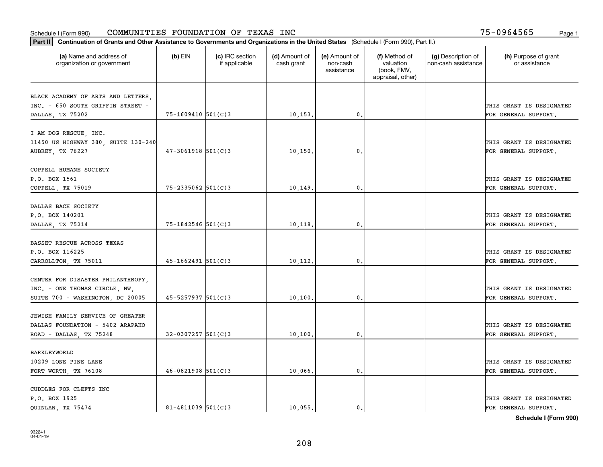| Part II   Continuation of Grants and Other Assistance to Governments and Organizations in the United States (Schedule I (Form 990), Part II.) |                        |                                  |                             |                                         |                                                                |                                           |                                       |
|-----------------------------------------------------------------------------------------------------------------------------------------------|------------------------|----------------------------------|-----------------------------|-----------------------------------------|----------------------------------------------------------------|-------------------------------------------|---------------------------------------|
| (a) Name and address of<br>organization or government                                                                                         | $(b)$ EIN              | (c) IRC section<br>if applicable | (d) Amount of<br>cash grant | (e) Amount of<br>non-cash<br>assistance | (f) Method of<br>valuation<br>(book, FMV,<br>appraisal, other) | (g) Description of<br>non-cash assistance | (h) Purpose of grant<br>or assistance |
|                                                                                                                                               |                        |                                  |                             |                                         |                                                                |                                           |                                       |
| BLACK ACADEMY OF ARTS AND LETTERS,<br>INC. - 650 SOUTH GRIFFIN STREET -                                                                       |                        |                                  |                             |                                         |                                                                |                                           | THIS GRANT IS DESIGNATED              |
| DALLAS, TX 75202                                                                                                                              | $75 - 1609410$ 501(C)3 |                                  | 10, 153.                    | 0.                                      |                                                                |                                           | FOR GENERAL SUPPORT.                  |
|                                                                                                                                               |                        |                                  |                             |                                         |                                                                |                                           |                                       |
| I AM DOG RESCUE, INC.                                                                                                                         |                        |                                  |                             |                                         |                                                                |                                           |                                       |
| 11450 US HIGHWAY 380, SUITE 130-240                                                                                                           |                        |                                  |                             |                                         |                                                                |                                           | THIS GRANT IS DESIGNATED              |
| AUBREY, TX 76227                                                                                                                              | $47 - 3061918$ 501(C)3 |                                  | 10,150                      | 0.                                      |                                                                |                                           | FOR GENERAL SUPPORT.                  |
|                                                                                                                                               |                        |                                  |                             |                                         |                                                                |                                           |                                       |
| COPPELL HUMANE SOCIETY                                                                                                                        |                        |                                  |                             |                                         |                                                                |                                           |                                       |
| P.O. BOX 1561                                                                                                                                 |                        |                                  |                             |                                         |                                                                |                                           | THIS GRANT IS DESIGNATED              |
| COPPELL, TX 75019                                                                                                                             | $75 - 2335062$ 501(C)3 |                                  | 10, 149.                    | $\mathbf{0}$ .                          |                                                                |                                           | FOR GENERAL SUPPORT.                  |
|                                                                                                                                               |                        |                                  |                             |                                         |                                                                |                                           |                                       |
| DALLAS BACH SOCIETY                                                                                                                           |                        |                                  |                             |                                         |                                                                |                                           |                                       |
| P.O. BOX 140201                                                                                                                               |                        |                                  |                             |                                         |                                                                |                                           | THIS GRANT IS DESIGNATED              |
| DALLAS, TX 75214                                                                                                                              | 75-1842546 501(C)3     |                                  | 10,118.                     | 0.                                      |                                                                |                                           | FOR GENERAL SUPPORT.                  |
|                                                                                                                                               |                        |                                  |                             |                                         |                                                                |                                           |                                       |
| BASSET RESCUE ACROSS TEXAS                                                                                                                    |                        |                                  |                             |                                         |                                                                |                                           |                                       |
| P.O. BOX 116225                                                                                                                               |                        |                                  |                             |                                         |                                                                |                                           | THIS GRANT IS DESIGNATED              |
| CARROLLTON, TX 75011                                                                                                                          | $45 - 1662491$ 501(C)3 |                                  | 10,112.                     | 0.                                      |                                                                |                                           | FOR GENERAL SUPPORT.                  |
| CENTER FOR DISASTER PHILANTHROPY,                                                                                                             |                        |                                  |                             |                                         |                                                                |                                           |                                       |
| INC. - ONE THOMAS CIRCLE, NW,                                                                                                                 |                        |                                  |                             |                                         |                                                                |                                           | THIS GRANT IS DESIGNATED              |
| SUITE 700 - WASHINGTON, DC 20005                                                                                                              | $45 - 5257937$ 501(C)3 |                                  | 10, 100.                    | 0.                                      |                                                                |                                           | FOR GENERAL SUPPORT.                  |
|                                                                                                                                               |                        |                                  |                             |                                         |                                                                |                                           |                                       |
| JEWISH FAMILY SERVICE OF GREATER                                                                                                              |                        |                                  |                             |                                         |                                                                |                                           |                                       |
| DALLAS FOUNDATION - 5402 ARAPAHO                                                                                                              |                        |                                  |                             |                                         |                                                                |                                           | THIS GRANT IS DESIGNATED              |
| ROAD - DALLAS, TX 75248                                                                                                                       | 32-0307257 501(C)3     |                                  | 10,100                      | 0.                                      |                                                                |                                           | FOR GENERAL SUPPORT.                  |
|                                                                                                                                               |                        |                                  |                             |                                         |                                                                |                                           |                                       |
| BARKLEYWORLD                                                                                                                                  |                        |                                  |                             |                                         |                                                                |                                           |                                       |
| 10209 LONE PINE LANE                                                                                                                          |                        |                                  |                             |                                         |                                                                |                                           | THIS GRANT IS DESIGNATED              |
| FORT WORTH, TX 76108                                                                                                                          | $46 - 0821908$ 501(C)3 |                                  | 10,066.                     | 0.                                      |                                                                |                                           | FOR GENERAL SUPPORT.                  |
|                                                                                                                                               |                        |                                  |                             |                                         |                                                                |                                           |                                       |
| CUDDLES FOR CLEFTS INC                                                                                                                        |                        |                                  |                             |                                         |                                                                |                                           |                                       |
| P.O. BOX 1925                                                                                                                                 |                        |                                  |                             |                                         |                                                                |                                           | THIS GRANT IS DESIGNATED              |
| QUINLAN, TX 75474                                                                                                                             | $81 - 4811039$ 501(C)3 |                                  | 10,055.                     | 0.                                      |                                                                |                                           | FOR GENERAL SUPPORT.                  |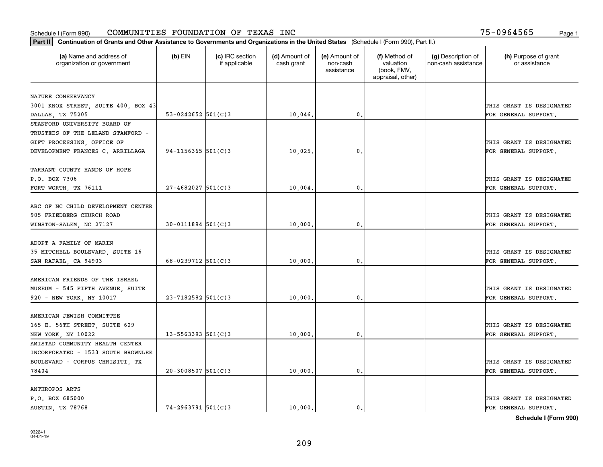| Part II   Continuation of Grants and Other Assistance to Governments and Organizations in the United States (Schedule I (Form 990), Part II.) |                          |                                  |                             |                                         |                                                                |                                           |                                       |
|-----------------------------------------------------------------------------------------------------------------------------------------------|--------------------------|----------------------------------|-----------------------------|-----------------------------------------|----------------------------------------------------------------|-------------------------------------------|---------------------------------------|
| (a) Name and address of<br>organization or government                                                                                         | $(b)$ EIN                | (c) IRC section<br>if applicable | (d) Amount of<br>cash grant | (e) Amount of<br>non-cash<br>assistance | (f) Method of<br>valuation<br>(book, FMV,<br>appraisal, other) | (g) Description of<br>non-cash assistance | (h) Purpose of grant<br>or assistance |
|                                                                                                                                               |                          |                                  |                             |                                         |                                                                |                                           |                                       |
| NATURE CONSERVANCY                                                                                                                            |                          |                                  |                             |                                         |                                                                |                                           |                                       |
| 3001 KNOX STREET, SUITE 400, BOX 43                                                                                                           |                          |                                  |                             |                                         |                                                                |                                           | THIS GRANT IS DESIGNATED              |
| DALLAS, TX 75205                                                                                                                              | 53-0242652 $501(C)3$     |                                  | 10,046.                     | 0.                                      |                                                                |                                           | FOR GENERAL SUPPORT.                  |
| STANFORD UNIVERSITY BOARD OF                                                                                                                  |                          |                                  |                             |                                         |                                                                |                                           |                                       |
| TRUSTEES OF THE LELAND STANFORD -                                                                                                             |                          |                                  |                             |                                         |                                                                |                                           |                                       |
| GIFT PROCESSING, OFFICE OF                                                                                                                    |                          |                                  |                             |                                         |                                                                |                                           | THIS GRANT IS DESIGNATED              |
| DEVELOPMENT FRANCES C. ARRILLAGA                                                                                                              | $94 - 1156365$ 501(C)3   |                                  | 10,025.                     | 0.                                      |                                                                |                                           | FOR GENERAL SUPPORT.                  |
| TARRANT COUNTY HANDS OF HOPE                                                                                                                  |                          |                                  |                             |                                         |                                                                |                                           |                                       |
| P.O. BOX 7306                                                                                                                                 |                          |                                  |                             |                                         |                                                                |                                           | THIS GRANT IS DESIGNATED              |
| FORT WORTH, TX 76111                                                                                                                          | $27 - 4682027$ 501(C)3   |                                  | 10,004.                     | $\mathfrak{o}$ .                        |                                                                |                                           | FOR GENERAL SUPPORT.                  |
|                                                                                                                                               |                          |                                  |                             |                                         |                                                                |                                           |                                       |
| ABC OF NC CHILD DEVELOPMENT CENTER                                                                                                            |                          |                                  |                             |                                         |                                                                |                                           |                                       |
| 905 FRIEDBERG CHURCH ROAD                                                                                                                     |                          |                                  |                             |                                         |                                                                |                                           | THIS GRANT IS DESIGNATED              |
| WINSTON-SALEM, NC 27127                                                                                                                       | $30 - 0111894$ 501(C)3   |                                  | 10,000                      | 0.                                      |                                                                |                                           | FOR GENERAL SUPPORT.                  |
|                                                                                                                                               |                          |                                  |                             |                                         |                                                                |                                           |                                       |
| ADOPT A FAMILY OF MARIN                                                                                                                       |                          |                                  |                             |                                         |                                                                |                                           |                                       |
| 35 MITCHELL BOULEVARD, SUITE 16                                                                                                               |                          |                                  |                             |                                         |                                                                |                                           | THIS GRANT IS DESIGNATED              |
| SAN RAFAEL, CA 94903                                                                                                                          | $68 - 0239712$ 501(C)3   |                                  | 10,000                      | 0.                                      |                                                                |                                           | FOR GENERAL SUPPORT.                  |
|                                                                                                                                               |                          |                                  |                             |                                         |                                                                |                                           |                                       |
| AMERICAN FRIENDS OF THE ISRAEL                                                                                                                |                          |                                  |                             |                                         |                                                                |                                           |                                       |
| MUSEUM - 545 FIFTH AVENUE, SUITE                                                                                                              |                          |                                  |                             |                                         |                                                                |                                           | THIS GRANT IS DESIGNATED              |
| 920 - NEW YORK, NY 10017                                                                                                                      | $23 - 7182582$ 501(C)3   |                                  | 10,000                      | 0.                                      |                                                                |                                           | FOR GENERAL SUPPORT.                  |
|                                                                                                                                               |                          |                                  |                             |                                         |                                                                |                                           |                                       |
| AMERICAN JEWISH COMMITTEE                                                                                                                     |                          |                                  |                             |                                         |                                                                |                                           |                                       |
| 165 E. 56TH STREET, SUITE 629                                                                                                                 |                          |                                  |                             |                                         |                                                                |                                           | THIS GRANT IS DESIGNATED              |
| NEW YORK, NY 10022                                                                                                                            | $13 - 5563393$ $501(C)3$ |                                  | 10,000                      | $\mathbf{0}$ .                          |                                                                |                                           | FOR GENERAL SUPPORT.                  |
| AMISTAD COMMUNITY HEALTH CENTER                                                                                                               |                          |                                  |                             |                                         |                                                                |                                           |                                       |
| INCORPORATED - 1533 SOUTH BROWNLEE                                                                                                            |                          |                                  |                             |                                         |                                                                |                                           |                                       |
| BOULEVARD - CORPUS CHRISITI, TX                                                                                                               |                          |                                  |                             |                                         |                                                                |                                           | THIS GRANT IS DESIGNATED              |
| 78404                                                                                                                                         | $20 - 3008507$ 501(C)3   |                                  | 10,000                      | 0.                                      |                                                                |                                           | FOR GENERAL SUPPORT.                  |
|                                                                                                                                               |                          |                                  |                             |                                         |                                                                |                                           |                                       |
| <b>ANTHROPOS ARTS</b>                                                                                                                         |                          |                                  |                             |                                         |                                                                |                                           |                                       |
| P.O. BOX 685000                                                                                                                               |                          |                                  |                             |                                         |                                                                |                                           | THIS GRANT IS DESIGNATED              |
| AUSTIN, TX 78768                                                                                                                              | $74 - 2963791$ 501(C)3   |                                  | 10,000.                     | $\mathbf{0}$ .                          |                                                                |                                           | FOR GENERAL SUPPORT.                  |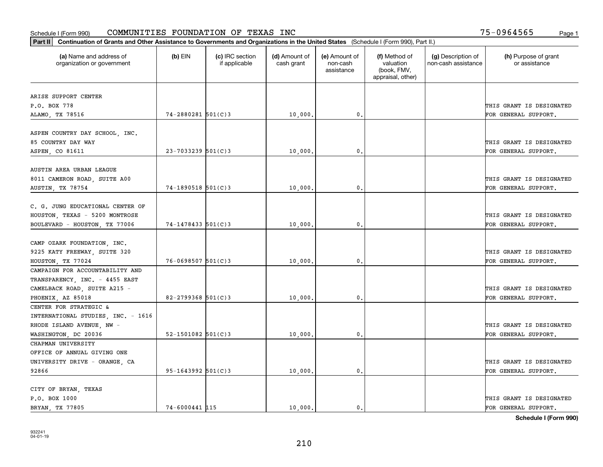| Part II   Continuation of Grants and Other Assistance to Governments and Organizations in the United States (Schedule I (Form 990), Part II.) |                          |                                  |                             |                                         |                                                                |                                           |                                       |
|-----------------------------------------------------------------------------------------------------------------------------------------------|--------------------------|----------------------------------|-----------------------------|-----------------------------------------|----------------------------------------------------------------|-------------------------------------------|---------------------------------------|
| (a) Name and address of<br>organization or government                                                                                         | $(b)$ EIN                | (c) IRC section<br>if applicable | (d) Amount of<br>cash grant | (e) Amount of<br>non-cash<br>assistance | (f) Method of<br>valuation<br>(book, FMV,<br>appraisal, other) | (g) Description of<br>non-cash assistance | (h) Purpose of grant<br>or assistance |
| ARISE SUPPORT CENTER                                                                                                                          |                          |                                  |                             |                                         |                                                                |                                           |                                       |
| P.O. BOX 778                                                                                                                                  |                          |                                  |                             |                                         |                                                                |                                           | THIS GRANT IS DESIGNATED              |
| ALAMO, TX 78516                                                                                                                               | $74 - 2880281$ 501(C)3   |                                  | 10,000.                     | 0.                                      |                                                                |                                           | FOR GENERAL SUPPORT.                  |
|                                                                                                                                               |                          |                                  |                             |                                         |                                                                |                                           |                                       |
| ASPEN COUNTRY DAY SCHOOL, INC.                                                                                                                |                          |                                  |                             |                                         |                                                                |                                           |                                       |
| 85 COUNTRY DAY WAY                                                                                                                            |                          |                                  |                             |                                         |                                                                |                                           | THIS GRANT IS DESIGNATED              |
| ASPEN, CO 81611                                                                                                                               | $23 - 7033239$ 501(C)3   |                                  | 10,000                      | 0.                                      |                                                                |                                           | FOR GENERAL SUPPORT.                  |
|                                                                                                                                               |                          |                                  |                             |                                         |                                                                |                                           |                                       |
| AUSTIN AREA URBAN LEAGUE                                                                                                                      |                          |                                  |                             |                                         |                                                                |                                           |                                       |
| 8011 CAMERON ROAD, SUITE A00                                                                                                                  |                          |                                  |                             |                                         |                                                                |                                           | THIS GRANT IS DESIGNATED              |
| AUSTIN, TX 78754                                                                                                                              | $74-1890518$ 501(C)3     |                                  | 10,000.                     | $\mathbf 0$ .                           |                                                                |                                           | FOR GENERAL SUPPORT.                  |
|                                                                                                                                               |                          |                                  |                             |                                         |                                                                |                                           |                                       |
| C. G. JUNG EDUCATIONAL CENTER OF                                                                                                              |                          |                                  |                             |                                         |                                                                |                                           |                                       |
| HOUSTON, TEXAS - 5200 MONTROSE                                                                                                                |                          |                                  |                             |                                         |                                                                |                                           | THIS GRANT IS DESIGNATED              |
| BOULEVARD - HOUSTON, TX 77006                                                                                                                 | $74 - 1478433$ 501(C)3   |                                  | 10,000                      | 0.                                      |                                                                |                                           | FOR GENERAL SUPPORT.                  |
|                                                                                                                                               |                          |                                  |                             |                                         |                                                                |                                           |                                       |
| CAMP OZARK FOUNDATION, INC.                                                                                                                   |                          |                                  |                             |                                         |                                                                |                                           |                                       |
| 9225 KATY FREEWAY, SUITE 320                                                                                                                  |                          |                                  |                             |                                         |                                                                |                                           | THIS GRANT IS DESIGNATED              |
| HOUSTON, TX 77024                                                                                                                             | $76 - 0698507$ 501(C)3   |                                  | 10,000                      | 0                                       |                                                                |                                           | FOR GENERAL SUPPORT.                  |
| CAMPAIGN FOR ACCOUNTABILITY AND                                                                                                               |                          |                                  |                             |                                         |                                                                |                                           |                                       |
| TRANSPARENCY, INC. - 4455 EAST                                                                                                                |                          |                                  |                             |                                         |                                                                |                                           |                                       |
| CAMELBACK ROAD, SUITE A215 -                                                                                                                  | $82 - 2799368$ 501(C)3   |                                  |                             | $\mathbf{0}$                            |                                                                |                                           | THIS GRANT IS DESIGNATED              |
| PHOENIX, AZ 85018<br>CENTER FOR STRATEGIC &                                                                                                   |                          |                                  | 10,000.                     |                                         |                                                                |                                           | FOR GENERAL SUPPORT.                  |
| INTERNATIONAL STUDIES, INC. - 1616                                                                                                            |                          |                                  |                             |                                         |                                                                |                                           |                                       |
| RHODE ISLAND AVENUE, NW -                                                                                                                     |                          |                                  |                             |                                         |                                                                |                                           | THIS GRANT IS DESIGNATED              |
| WASHINGTON, DC 20036                                                                                                                          | $52 - 1501082$ $501(C)3$ |                                  | 10,000                      | $\mathbf{0}$ .                          |                                                                |                                           | FOR GENERAL SUPPORT.                  |
| CHAPMAN UNIVERSITY                                                                                                                            |                          |                                  |                             |                                         |                                                                |                                           |                                       |
| OFFICE OF ANNUAL GIVING ONE                                                                                                                   |                          |                                  |                             |                                         |                                                                |                                           |                                       |
| UNIVERSITY DRIVE - ORANGE, CA                                                                                                                 |                          |                                  |                             |                                         |                                                                |                                           | THIS GRANT IS DESIGNATED              |
| 92866                                                                                                                                         | $95 - 1643992$ 501(C)3   |                                  | 10,000.                     | $\mathfrak o$ .                         |                                                                |                                           | FOR GENERAL SUPPORT.                  |
|                                                                                                                                               |                          |                                  |                             |                                         |                                                                |                                           |                                       |
| CITY OF BRYAN, TEXAS                                                                                                                          |                          |                                  |                             |                                         |                                                                |                                           |                                       |
| P.O. BOX 1000                                                                                                                                 |                          |                                  |                             |                                         |                                                                |                                           | THIS GRANT IS DESIGNATED              |
| BRYAN, TX 77805                                                                                                                               | 74-6000441 115           |                                  | 10.000.                     | 0.                                      |                                                                |                                           | FOR GENERAL SUPPORT.                  |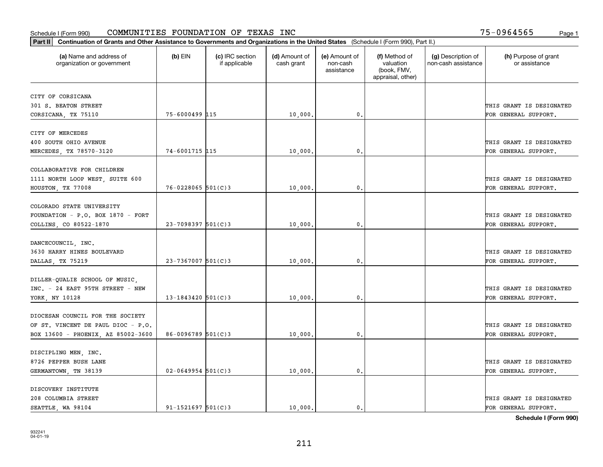| Part II   Continuation of Grants and Other Assistance to Governments and Organizations in the United States (Schedule I (Form 990), Part II.) |                         |                                  |                             |                                         |                                                                |                                           |                                       |
|-----------------------------------------------------------------------------------------------------------------------------------------------|-------------------------|----------------------------------|-----------------------------|-----------------------------------------|----------------------------------------------------------------|-------------------------------------------|---------------------------------------|
| (a) Name and address of<br>organization or government                                                                                         | $(b)$ EIN               | (c) IRC section<br>if applicable | (d) Amount of<br>cash grant | (e) Amount of<br>non-cash<br>assistance | (f) Method of<br>valuation<br>(book, FMV,<br>appraisal, other) | (g) Description of<br>non-cash assistance | (h) Purpose of grant<br>or assistance |
| CITY OF CORSICANA                                                                                                                             |                         |                                  |                             |                                         |                                                                |                                           |                                       |
| 301 S. BEATON STREET                                                                                                                          |                         |                                  |                             |                                         |                                                                |                                           | THIS GRANT IS DESIGNATED              |
| CORSICANA, TX 75110                                                                                                                           | 75-6000499 115          |                                  | 10,000.                     | $\mathbf 0$ .                           |                                                                |                                           | FOR GENERAL SUPPORT.                  |
|                                                                                                                                               |                         |                                  |                             |                                         |                                                                |                                           |                                       |
| CITY OF MERCEDES                                                                                                                              |                         |                                  |                             |                                         |                                                                |                                           |                                       |
| 400 SOUTH OHIO AVENUE                                                                                                                         |                         |                                  |                             |                                         |                                                                |                                           | THIS GRANT IS DESIGNATED              |
| MERCEDES, TX 78570-3120                                                                                                                       | 74-6001715 115          |                                  | 10,000                      | 0.                                      |                                                                |                                           | FOR GENERAL SUPPORT.                  |
|                                                                                                                                               |                         |                                  |                             |                                         |                                                                |                                           |                                       |
| COLLABORATIVE FOR CHILDREN                                                                                                                    |                         |                                  |                             |                                         |                                                                |                                           |                                       |
| 1111 NORTH LOOP WEST, SUITE 600                                                                                                               |                         |                                  |                             |                                         |                                                                |                                           | THIS GRANT IS DESIGNATED              |
| HOUSTON, TX 77008                                                                                                                             | $76 - 0228065$ 501(C)3  |                                  | 10,000.                     | $\mathbf{0}$ .                          |                                                                |                                           | FOR GENERAL SUPPORT.                  |
|                                                                                                                                               |                         |                                  |                             |                                         |                                                                |                                           |                                       |
| COLORADO STATE UNIVERSITY                                                                                                                     |                         |                                  |                             |                                         |                                                                |                                           |                                       |
| FOUNDATION - P.O. BOX 1870 - FORT                                                                                                             | $23 - 7098397$ 501(C)3  |                                  |                             |                                         |                                                                |                                           | THIS GRANT IS DESIGNATED              |
| COLLINS, CO 80522-1870                                                                                                                        |                         |                                  | 10,000                      | $\mathbf{0}$                            |                                                                |                                           | FOR GENERAL SUPPORT.                  |
| DANCECOUNCIL, INC.                                                                                                                            |                         |                                  |                             |                                         |                                                                |                                           |                                       |
| 3630 HARRY HINES BOULEVARD                                                                                                                    |                         |                                  |                             |                                         |                                                                |                                           | THIS GRANT IS DESIGNATED              |
| DALLAS, TX 75219                                                                                                                              | $23 - 7367007$ 501(C) 3 |                                  | 10,000                      | $\mathbf{0}$                            |                                                                |                                           | FOR GENERAL SUPPORT.                  |
|                                                                                                                                               |                         |                                  |                             |                                         |                                                                |                                           |                                       |
| DILLER-QUALIE SCHOOL OF MUSIC,                                                                                                                |                         |                                  |                             |                                         |                                                                |                                           |                                       |
| INC. - 24 EAST 95TH STREET - NEW                                                                                                              |                         |                                  |                             |                                         |                                                                |                                           | THIS GRANT IS DESIGNATED              |
| YORK, NY 10128                                                                                                                                | $13 - 1843420$ 501(C)3  |                                  | 10,000                      | $\mathbf 0$ .                           |                                                                |                                           | FOR GENERAL SUPPORT.                  |
|                                                                                                                                               |                         |                                  |                             |                                         |                                                                |                                           |                                       |
| DIOCESAN COUNCIL FOR THE SOCIETY                                                                                                              |                         |                                  |                             |                                         |                                                                |                                           |                                       |
| OF ST. VINCENT DE PAUL DIOC - P.O.                                                                                                            |                         |                                  |                             |                                         |                                                                |                                           | THIS GRANT IS DESIGNATED              |
| BOX 13600 - PHOENIX, AZ 85002-3600                                                                                                            | $86 - 0096789$ 501(C)3  |                                  | 10,000.                     | $\mathfrak{o}$ .                        |                                                                |                                           | FOR GENERAL SUPPORT.                  |
|                                                                                                                                               |                         |                                  |                             |                                         |                                                                |                                           |                                       |
| DISCIPLING MEN, INC.                                                                                                                          |                         |                                  |                             |                                         |                                                                |                                           |                                       |
| 8726 PEPPER BUSH LANE                                                                                                                         |                         |                                  |                             |                                         |                                                                |                                           | THIS GRANT IS DESIGNATED              |
| GERMANTOWN, TN 38139                                                                                                                          | $02 - 0649954$ 501(C)3  |                                  | 10,000                      | $\mathbf{0}$                            |                                                                |                                           | FOR GENERAL SUPPORT.                  |
|                                                                                                                                               |                         |                                  |                             |                                         |                                                                |                                           |                                       |
| DISCOVERY INSTITUTE<br>208 COLUMBIA STREET                                                                                                    |                         |                                  |                             |                                         |                                                                |                                           | THIS GRANT IS DESIGNATED              |
| SEATTLE, WA 98104                                                                                                                             | $91 - 1521697$ 501(C)3  |                                  | 10,000.                     | $\mathfrak{o}$ .                        |                                                                |                                           | FOR GENERAL SUPPORT.                  |
|                                                                                                                                               |                         |                                  |                             |                                         |                                                                |                                           |                                       |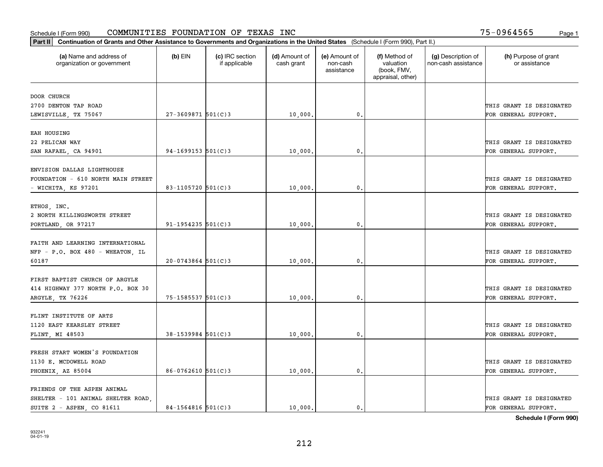| Part II   Continuation of Grants and Other Assistance to Governments and Organizations in the United States (Schedule I (Form 990), Part II.) |                        |                                  |                             |                                         |                                                                |                                           |                                       |
|-----------------------------------------------------------------------------------------------------------------------------------------------|------------------------|----------------------------------|-----------------------------|-----------------------------------------|----------------------------------------------------------------|-------------------------------------------|---------------------------------------|
| (a) Name and address of<br>organization or government                                                                                         | $(b)$ EIN              | (c) IRC section<br>if applicable | (d) Amount of<br>cash grant | (e) Amount of<br>non-cash<br>assistance | (f) Method of<br>valuation<br>(book, FMV,<br>appraisal, other) | (g) Description of<br>non-cash assistance | (h) Purpose of grant<br>or assistance |
| DOOR CHURCH                                                                                                                                   |                        |                                  |                             |                                         |                                                                |                                           |                                       |
| 2700 DENTON TAP ROAD                                                                                                                          |                        |                                  |                             |                                         |                                                                |                                           | THIS GRANT IS DESIGNATED              |
| LEWISVILLE, TX 75067                                                                                                                          | $27 - 3609871$ 501(C)3 |                                  | 10,000.                     | $\mathbf 0$ .                           |                                                                |                                           | FOR GENERAL SUPPORT.                  |
| EAH HOUSING                                                                                                                                   |                        |                                  |                             |                                         |                                                                |                                           |                                       |
| 22 PELICAN WAY                                                                                                                                |                        |                                  |                             |                                         |                                                                |                                           | THIS GRANT IS DESIGNATED              |
| SAN RAFAEL, CA 94901                                                                                                                          | $94-1699153$ $501(C)3$ |                                  | 10,000                      | 0.                                      |                                                                |                                           | FOR GENERAL SUPPORT.                  |
|                                                                                                                                               |                        |                                  |                             |                                         |                                                                |                                           |                                       |
| ENVISION DALLAS LIGHTHOUSE                                                                                                                    |                        |                                  |                             |                                         |                                                                |                                           |                                       |
| FOUNDATION - 610 NORTH MAIN STREET                                                                                                            |                        |                                  |                             |                                         |                                                                |                                           | THIS GRANT IS DESIGNATED              |
| - WICHITA, KS 97201                                                                                                                           | 83-1105720 $501(C)$ 3  |                                  | 10,000,                     | $\mathbf{0}$ .                          |                                                                |                                           | FOR GENERAL SUPPORT.                  |
|                                                                                                                                               |                        |                                  |                             |                                         |                                                                |                                           |                                       |
| ETHOS, INC.                                                                                                                                   |                        |                                  |                             |                                         |                                                                |                                           |                                       |
| 2 NORTH KILLINGSWORTH STREET                                                                                                                  |                        |                                  |                             |                                         |                                                                |                                           | THIS GRANT IS DESIGNATED              |
| PORTLAND, OR 97217                                                                                                                            | $91 - 1954235$ 501(C)3 |                                  | 10,000                      | $\mathbf{0}$                            |                                                                |                                           | FOR GENERAL SUPPORT.                  |
| FAITH AND LEARNING INTERNATIONAL                                                                                                              |                        |                                  |                             |                                         |                                                                |                                           |                                       |
| NFP - P.O. BOX 480 - WHEATON, IL                                                                                                              |                        |                                  |                             |                                         |                                                                |                                           | THIS GRANT IS DESIGNATED              |
| 60187                                                                                                                                         | $20-0743864$ 501(C)3   |                                  | 10,000                      | $\mathbf{0}$                            |                                                                |                                           | FOR GENERAL SUPPORT.                  |
|                                                                                                                                               |                        |                                  |                             |                                         |                                                                |                                           |                                       |
| FIRST BAPTIST CHURCH OF ARGYLE                                                                                                                |                        |                                  |                             |                                         |                                                                |                                           |                                       |
| 414 HIGHWAY 377 NORTH P.O. BOX 30                                                                                                             |                        |                                  |                             |                                         |                                                                |                                           | THIS GRANT IS DESIGNATED              |
| ARGYLE, TX 76226                                                                                                                              | $75 - 1585537$ 501(C)3 |                                  | 10,000.                     | 0.                                      |                                                                |                                           | FOR GENERAL SUPPORT.                  |
|                                                                                                                                               |                        |                                  |                             |                                         |                                                                |                                           |                                       |
| FLINT INSTITUTE OF ARTS                                                                                                                       |                        |                                  |                             |                                         |                                                                |                                           |                                       |
| 1120 EAST KEARSLEY STREET                                                                                                                     |                        |                                  |                             |                                         |                                                                |                                           | THIS GRANT IS DESIGNATED              |
| FLINT, MI 48503                                                                                                                               | $38 - 1539984$ 501(C)3 |                                  | 10,000                      | $^{\rm 0}$ .                            |                                                                |                                           | FOR GENERAL SUPPORT.                  |
|                                                                                                                                               |                        |                                  |                             |                                         |                                                                |                                           |                                       |
| FRESH START WOMEN'S FOUNDATION                                                                                                                |                        |                                  |                             |                                         |                                                                |                                           |                                       |
| 1130 E. MCDOWELL ROAD                                                                                                                         |                        |                                  |                             |                                         |                                                                |                                           | THIS GRANT IS DESIGNATED              |
| PHOENIX, AZ 85004                                                                                                                             | $86-0762610$ 501(C)3   |                                  | 10,000.                     | $\mathfrak{o}$ .                        |                                                                |                                           | FOR GENERAL SUPPORT.                  |
| FRIENDS OF THE ASPEN ANIMAL                                                                                                                   |                        |                                  |                             |                                         |                                                                |                                           |                                       |
| SHELTER - 101 ANIMAL SHELTER ROAD                                                                                                             |                        |                                  |                             |                                         |                                                                |                                           | THIS GRANT IS DESIGNATED              |
| SUITE 2 - ASPEN, CO 81611                                                                                                                     | $84 - 1564816$ 501(C)3 |                                  | 10,000.                     | $\mathbf{0}$ .                          |                                                                |                                           | FOR GENERAL SUPPORT.                  |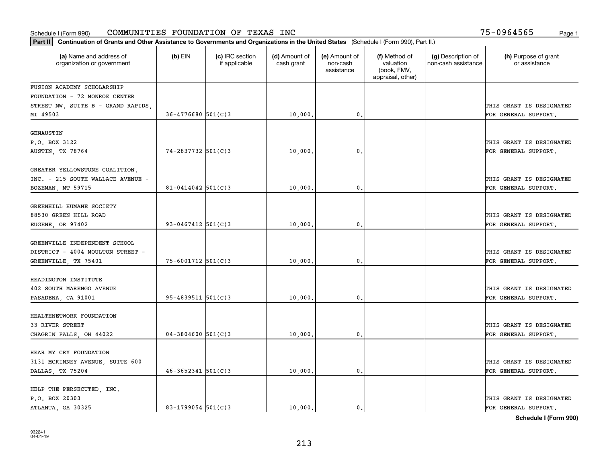| Part II   Continuation of Grants and Other Assistance to Governments and Organizations in the United States (Schedule I (Form 990), Part II.) |                          |                                  |                             |                                         |                                                                |                                           |                                                  |
|-----------------------------------------------------------------------------------------------------------------------------------------------|--------------------------|----------------------------------|-----------------------------|-----------------------------------------|----------------------------------------------------------------|-------------------------------------------|--------------------------------------------------|
| (a) Name and address of<br>organization or government                                                                                         | $(b)$ EIN                | (c) IRC section<br>if applicable | (d) Amount of<br>cash grant | (e) Amount of<br>non-cash<br>assistance | (f) Method of<br>valuation<br>(book, FMV,<br>appraisal, other) | (g) Description of<br>non-cash assistance | (h) Purpose of grant<br>or assistance            |
| FUSION ACADEMY SCHOLARSHIP                                                                                                                    |                          |                                  |                             |                                         |                                                                |                                           |                                                  |
| FOUNDATION - 72 MONROE CENTER                                                                                                                 |                          |                                  |                             |                                         |                                                                |                                           |                                                  |
| STREET NW, SUITE B - GRAND RAPIDS,                                                                                                            |                          |                                  |                             |                                         |                                                                |                                           | THIS GRANT IS DESIGNATED                         |
| MI 49503                                                                                                                                      | $36 - 4776680$ 501(C)3   |                                  | 10,000.                     | $\mathfrak{o}$ .                        |                                                                |                                           | FOR GENERAL SUPPORT.                             |
| GENAUSTIN                                                                                                                                     |                          |                                  |                             |                                         |                                                                |                                           |                                                  |
| P.O. BOX 3122                                                                                                                                 |                          |                                  |                             |                                         |                                                                |                                           | THIS GRANT IS DESIGNATED                         |
|                                                                                                                                               | $74 - 2837732$ 501(C)3   |                                  | 10,000                      | 0.                                      |                                                                |                                           | FOR GENERAL SUPPORT.                             |
| AUSTIN, TX 78764                                                                                                                              |                          |                                  |                             |                                         |                                                                |                                           |                                                  |
| GREATER YELLOWSTONE COALITION,                                                                                                                |                          |                                  |                             |                                         |                                                                |                                           |                                                  |
| INC. - 215 SOUTH WALLACE AVENUE -                                                                                                             |                          |                                  |                             |                                         |                                                                |                                           | THIS GRANT IS DESIGNATED                         |
| BOZEMAN, MT 59715                                                                                                                             | $81 - 0414042$ 501(C)3   |                                  | 10,000.                     | $\mathfrak{o}$ .                        |                                                                |                                           | FOR GENERAL SUPPORT.                             |
|                                                                                                                                               |                          |                                  |                             |                                         |                                                                |                                           |                                                  |
| GREENHILL HUMANE SOCIETY                                                                                                                      |                          |                                  |                             |                                         |                                                                |                                           |                                                  |
| 88530 GREEN HILL ROAD                                                                                                                         |                          |                                  |                             |                                         |                                                                |                                           | THIS GRANT IS DESIGNATED                         |
| EUGENE, OR 97402                                                                                                                              | $93 - 0467412$ 501(C)3   |                                  | 10,000.                     | 0.                                      |                                                                |                                           | FOR GENERAL SUPPORT.                             |
| GREENVILLE INDEPENDENT SCHOOL<br>DISTRICT - 4004 MOULTON STREET -<br>GREENVILLE, TX 75401                                                     | $75 - 6001712$ 501(C)3   |                                  | 10,000                      | 0.                                      |                                                                |                                           | THIS GRANT IS DESIGNATED<br>FOR GENERAL SUPPORT. |
|                                                                                                                                               |                          |                                  |                             |                                         |                                                                |                                           |                                                  |
| HEADINGTON INSTITUTE                                                                                                                          |                          |                                  |                             |                                         |                                                                |                                           |                                                  |
| 402 SOUTH MARENGO AVENUE                                                                                                                      |                          |                                  |                             |                                         |                                                                |                                           | THIS GRANT IS DESIGNATED                         |
| PASADENA, CA 91001                                                                                                                            | $95 - 4839511$ $501(C)3$ |                                  | 10,000                      | $\mathfrak{o}$ .                        |                                                                |                                           | FOR GENERAL SUPPORT.                             |
| HEALTHNETWORK FOUNDATION<br>33 RIVER STREET                                                                                                   |                          |                                  |                             |                                         |                                                                |                                           | THIS GRANT IS DESIGNATED                         |
| CHAGRIN FALLS, OH 44022                                                                                                                       | $04 - 3804600$ 501(C)3   |                                  | 10,000.                     | 0.                                      |                                                                |                                           | FOR GENERAL SUPPORT.                             |
|                                                                                                                                               |                          |                                  |                             |                                         |                                                                |                                           |                                                  |
| HEAR MY CRY FOUNDATION                                                                                                                        |                          |                                  |                             |                                         |                                                                |                                           |                                                  |
| 3131 MCKINNEY AVENUE, SUITE 600                                                                                                               |                          |                                  |                             |                                         |                                                                |                                           | THIS GRANT IS DESIGNATED                         |
| DALLAS, TX 75204                                                                                                                              | $46 - 3652341$ 501(C)3   |                                  | 10,000.                     | $\mathbf{0}$ .                          |                                                                |                                           | FOR GENERAL SUPPORT.                             |
| HELP THE PERSECUTED, INC.<br>P.O. BOX 20303                                                                                                   |                          |                                  |                             |                                         |                                                                |                                           | THIS GRANT IS DESIGNATED                         |
| ATLANTA, GA 30325                                                                                                                             | $83 - 1799054$ 501(C)3   |                                  | 10,000.                     | $\mathbf{0}$ .                          |                                                                |                                           | FOR GENERAL SUPPORT.                             |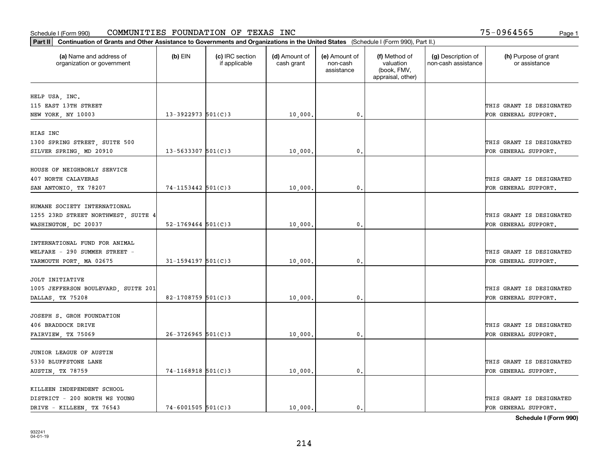| Part II   Continuation of Grants and Other Assistance to Governments and Organizations in the United States (Schedule I (Form 990), Part II.) |                          |                                  |                             |                                         |                                                                |                                           |                                       |
|-----------------------------------------------------------------------------------------------------------------------------------------------|--------------------------|----------------------------------|-----------------------------|-----------------------------------------|----------------------------------------------------------------|-------------------------------------------|---------------------------------------|
| (a) Name and address of<br>organization or government                                                                                         | $(b)$ EIN                | (c) IRC section<br>if applicable | (d) Amount of<br>cash grant | (e) Amount of<br>non-cash<br>assistance | (f) Method of<br>valuation<br>(book, FMV,<br>appraisal, other) | (g) Description of<br>non-cash assistance | (h) Purpose of grant<br>or assistance |
|                                                                                                                                               |                          |                                  |                             |                                         |                                                                |                                           |                                       |
| HELP USA, INC.<br>115 EAST 13TH STREET                                                                                                        |                          |                                  |                             |                                         |                                                                |                                           | THIS GRANT IS DESIGNATED              |
| NEW YORK, NY 10003                                                                                                                            | $13 - 3922973$ 501(C)3   |                                  | 10,000.                     | 0.                                      |                                                                |                                           | FOR GENERAL SUPPORT.                  |
|                                                                                                                                               |                          |                                  |                             |                                         |                                                                |                                           |                                       |
| HIAS INC                                                                                                                                      |                          |                                  |                             |                                         |                                                                |                                           |                                       |
| 1300 SPRING STREET, SUITE 500                                                                                                                 |                          |                                  |                             |                                         |                                                                |                                           | THIS GRANT IS DESIGNATED              |
| SILVER SPRING, MD 20910                                                                                                                       | $13 - 5633307$ 501(C)3   |                                  | 10,000                      | 0.                                      |                                                                |                                           | FOR GENERAL SUPPORT.                  |
|                                                                                                                                               |                          |                                  |                             |                                         |                                                                |                                           |                                       |
| HOUSE OF NEIGHBORLY SERVICE                                                                                                                   |                          |                                  |                             |                                         |                                                                |                                           |                                       |
| 407 NORTH CALAVERAS                                                                                                                           |                          |                                  |                             |                                         |                                                                |                                           | THIS GRANT IS DESIGNATED              |
| SAN ANTONIO, TX 78207                                                                                                                         | 74-1153442 501(C)3       |                                  | 10,000.                     | $\mathbf{0}$ .                          |                                                                |                                           | FOR GENERAL SUPPORT.                  |
|                                                                                                                                               |                          |                                  |                             |                                         |                                                                |                                           |                                       |
| HUMANE SOCIETY INTERNATIONAL                                                                                                                  |                          |                                  |                             |                                         |                                                                |                                           |                                       |
| 1255 23RD STREET NORTHWEST, SUITE 4                                                                                                           |                          |                                  |                             |                                         |                                                                |                                           | THIS GRANT IS DESIGNATED              |
| WASHINGTON, DC 20037                                                                                                                          | $52 - 1769464$ $501(C)3$ |                                  | 10,000.                     | 0.                                      |                                                                |                                           | FOR GENERAL SUPPORT.                  |
|                                                                                                                                               |                          |                                  |                             |                                         |                                                                |                                           |                                       |
| INTERNATIONAL FUND FOR ANIMAL                                                                                                                 |                          |                                  |                             |                                         |                                                                |                                           |                                       |
| WELFARE - 290 SUMMER STREET -                                                                                                                 |                          |                                  |                             |                                         |                                                                |                                           | THIS GRANT IS DESIGNATED              |
| YARMOUTH PORT, MA 02675                                                                                                                       | $31 - 1594197$ 501(C)3   |                                  | 10,000.                     | 0.                                      |                                                                |                                           | FOR GENERAL SUPPORT.                  |
| JOLT INITIATIVE                                                                                                                               |                          |                                  |                             |                                         |                                                                |                                           |                                       |
| 1005 JEFFERSON BOULEVARD, SUITE 201                                                                                                           |                          |                                  |                             |                                         |                                                                |                                           | THIS GRANT IS DESIGNATED              |
| DALLAS, TX 75208                                                                                                                              | 82-1708759 $501(C)3$     |                                  | 10,000.                     | 0.                                      |                                                                |                                           | FOR GENERAL SUPPORT.                  |
|                                                                                                                                               |                          |                                  |                             |                                         |                                                                |                                           |                                       |
| JOSEPH S. GROH FOUNDATION                                                                                                                     |                          |                                  |                             |                                         |                                                                |                                           |                                       |
| 406 BRADDOCK DRIVE                                                                                                                            |                          |                                  |                             |                                         |                                                                |                                           | THIS GRANT IS DESIGNATED              |
| FAIRVIEW, TX 75069                                                                                                                            | $26 - 3726965$ 501(C)3   |                                  | 10,000,                     | $\mathbf{0}$ .                          |                                                                |                                           | FOR GENERAL SUPPORT.                  |
|                                                                                                                                               |                          |                                  |                             |                                         |                                                                |                                           |                                       |
| JUNIOR LEAGUE OF AUSTIN                                                                                                                       |                          |                                  |                             |                                         |                                                                |                                           |                                       |
| 5330 BLUFFSTONE LANE                                                                                                                          |                          |                                  |                             |                                         |                                                                |                                           | THIS GRANT IS DESIGNATED              |
| AUSTIN, TX 78759                                                                                                                              | 74-1168918 501(C)3       |                                  | 10,000.                     | $\mathfrak o$ .                         |                                                                |                                           | FOR GENERAL SUPPORT.                  |
|                                                                                                                                               |                          |                                  |                             |                                         |                                                                |                                           |                                       |
| KILLEEN INDEPENDENT SCHOOL                                                                                                                    |                          |                                  |                             |                                         |                                                                |                                           |                                       |
| DISTRICT - 200 NORTH WS YOUNG                                                                                                                 |                          |                                  |                             |                                         |                                                                |                                           | THIS GRANT IS DESIGNATED              |
| DRIVE - KILLEEN, TX 76543                                                                                                                     | $74 - 6001505$ 501(C)3   |                                  | 10,000.                     | $\mathbf{0}$ .                          |                                                                |                                           | FOR GENERAL SUPPORT.                  |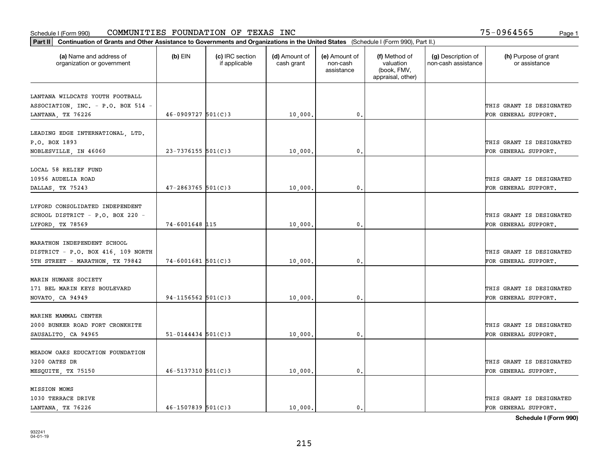#### Schedule I (Form 990) Page 1 COMMUNITIES FOUNDATION OF TEXAS INC 75-0964565

| Part II   Continuation of Grants and Other Assistance to Governments and Organizations in the United States (Schedule I (Form 990), Part II.) |                          |                                  |                             |                                         |                                                                |                                           |                                       |
|-----------------------------------------------------------------------------------------------------------------------------------------------|--------------------------|----------------------------------|-----------------------------|-----------------------------------------|----------------------------------------------------------------|-------------------------------------------|---------------------------------------|
| (a) Name and address of<br>organization or government                                                                                         | $(b)$ EIN                | (c) IRC section<br>if applicable | (d) Amount of<br>cash grant | (e) Amount of<br>non-cash<br>assistance | (f) Method of<br>valuation<br>(book, FMV,<br>appraisal, other) | (g) Description of<br>non-cash assistance | (h) Purpose of grant<br>or assistance |
|                                                                                                                                               |                          |                                  |                             |                                         |                                                                |                                           |                                       |
| LANTANA WILDCATS YOUTH FOOTBALL<br>ASSOCIATION, INC. - P.O. BOX 514 -                                                                         |                          |                                  |                             |                                         |                                                                |                                           | THIS GRANT IS DESIGNATED              |
| LANTANA, TX 76226                                                                                                                             | $46 - 0909727$ 501(C)3   |                                  | 10,000.                     | $\mathbf{0}$ .                          |                                                                |                                           | FOR GENERAL SUPPORT.                  |
|                                                                                                                                               |                          |                                  |                             |                                         |                                                                |                                           |                                       |
| LEADING EDGE INTERNATIONAL, LTD.                                                                                                              |                          |                                  |                             |                                         |                                                                |                                           |                                       |
| P.O. BOX 1893                                                                                                                                 |                          |                                  |                             |                                         |                                                                |                                           | THIS GRANT IS DESIGNATED              |
| NOBLESVILLE, IN 46060                                                                                                                         | $23 - 7376155$ 501(C)3   |                                  | 10,000                      | 0.                                      |                                                                |                                           | FOR GENERAL SUPPORT.                  |
|                                                                                                                                               |                          |                                  |                             |                                         |                                                                |                                           |                                       |
| LOCAL 58 RELIEF FUND                                                                                                                          |                          |                                  |                             |                                         |                                                                |                                           |                                       |
| 10956 AUDELIA ROAD                                                                                                                            |                          |                                  |                             |                                         |                                                                |                                           | THIS GRANT IS DESIGNATED              |
| DALLAS, TX 75243                                                                                                                              | $47 - 2863765$ 501(C)3   |                                  | 10,000.                     | $\mathbf{0}$ .                          |                                                                |                                           | FOR GENERAL SUPPORT.                  |
|                                                                                                                                               |                          |                                  |                             |                                         |                                                                |                                           |                                       |
| LYFORD CONSOLIDATED INDEPENDENT                                                                                                               |                          |                                  |                             |                                         |                                                                |                                           |                                       |
| SCHOOL DISTRICT - P.O. BOX 220 -                                                                                                              |                          |                                  |                             |                                         |                                                                |                                           | THIS GRANT IS DESIGNATED              |
| LYFORD, TX 78569                                                                                                                              | 74-6001648 115           |                                  | 10,000.                     | 0.                                      |                                                                |                                           | FOR GENERAL SUPPORT.                  |
| MARATHON INDEPENDENT SCHOOL                                                                                                                   |                          |                                  |                             |                                         |                                                                |                                           |                                       |
| DISTRICT - P.O. BOX 416, 109 NORTH                                                                                                            |                          |                                  |                             |                                         |                                                                |                                           | THIS GRANT IS DESIGNATED              |
| 5TH STREET - MARATHON, TX 79842                                                                                                               | $74 - 6001681$ 501(C)3   |                                  | 10,000                      | 0.                                      |                                                                |                                           | FOR GENERAL SUPPORT.                  |
|                                                                                                                                               |                          |                                  |                             |                                         |                                                                |                                           |                                       |
| MARIN HUMANE SOCIETY                                                                                                                          |                          |                                  |                             |                                         |                                                                |                                           |                                       |
| 171 BEL MARIN KEYS BOULEVARD                                                                                                                  |                          |                                  |                             |                                         |                                                                |                                           | THIS GRANT IS DESIGNATED              |
| NOVATO, CA 94949                                                                                                                              | $94 - 1156562$ 501(C)3   |                                  | 10,000                      | 0.                                      |                                                                |                                           | FOR GENERAL SUPPORT.                  |
|                                                                                                                                               |                          |                                  |                             |                                         |                                                                |                                           |                                       |
| MARINE MAMMAL CENTER                                                                                                                          |                          |                                  |                             |                                         |                                                                |                                           |                                       |
| 2000 BUNKER ROAD FORT CRONKHITE                                                                                                               |                          |                                  |                             |                                         |                                                                |                                           | THIS GRANT IS DESIGNATED              |
| SAUSALITO, CA 94965                                                                                                                           | $51 - 0144434$ $501(C)3$ |                                  | 10,000.                     | $\mathbf{0}$ .                          |                                                                |                                           | FOR GENERAL SUPPORT.                  |
|                                                                                                                                               |                          |                                  |                             |                                         |                                                                |                                           |                                       |
| MEADOW OAKS EDUCATION FOUNDATION                                                                                                              |                          |                                  |                             |                                         |                                                                |                                           |                                       |
| 3200 OATES DR                                                                                                                                 |                          |                                  |                             |                                         |                                                                |                                           | THIS GRANT IS DESIGNATED              |
| MESQUITE, TX 75150                                                                                                                            | $46 - 5137310$ 501(C)3   |                                  | 10,000.                     | 0.                                      |                                                                |                                           | FOR GENERAL SUPPORT.                  |
|                                                                                                                                               |                          |                                  |                             |                                         |                                                                |                                           |                                       |
| <b>MISSION MOMS</b><br>1030 TERRACE DRIVE                                                                                                     |                          |                                  |                             |                                         |                                                                |                                           | THIS GRANT IS DESIGNATED              |
| LANTANA, TX 76226                                                                                                                             | $46 - 1507839$ 501(C)3   |                                  | 10,000.                     | $\mathbf{0}$ .                          |                                                                |                                           | FOR GENERAL SUPPORT.                  |
|                                                                                                                                               |                          |                                  |                             |                                         |                                                                |                                           |                                       |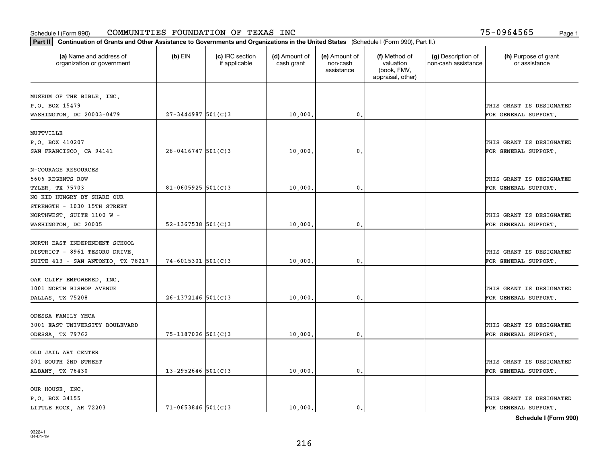| Part II   Continuation of Grants and Other Assistance to Governments and Organizations in the United States (Schedule I (Form 990), Part II.) |                          |                                  |                             |                                         |                                                                |                                           |                                       |
|-----------------------------------------------------------------------------------------------------------------------------------------------|--------------------------|----------------------------------|-----------------------------|-----------------------------------------|----------------------------------------------------------------|-------------------------------------------|---------------------------------------|
| (a) Name and address of<br>organization or government                                                                                         | $(b)$ EIN                | (c) IRC section<br>if applicable | (d) Amount of<br>cash grant | (e) Amount of<br>non-cash<br>assistance | (f) Method of<br>valuation<br>(book, FMV,<br>appraisal, other) | (g) Description of<br>non-cash assistance | (h) Purpose of grant<br>or assistance |
|                                                                                                                                               |                          |                                  |                             |                                         |                                                                |                                           |                                       |
| MUSEUM OF THE BIBLE, INC.                                                                                                                     |                          |                                  |                             |                                         |                                                                |                                           | THIS GRANT IS DESIGNATED              |
| P.O. BOX 15479                                                                                                                                | $27 - 3444987$ 501(C)3   |                                  | 10,000.                     | 0.                                      |                                                                |                                           | FOR GENERAL SUPPORT.                  |
| WASHINGTON, DC 20003-0479                                                                                                                     |                          |                                  |                             |                                         |                                                                |                                           |                                       |
| MUTTVILLE                                                                                                                                     |                          |                                  |                             |                                         |                                                                |                                           |                                       |
| P.O. BOX 410207                                                                                                                               |                          |                                  |                             |                                         |                                                                |                                           | THIS GRANT IS DESIGNATED              |
| SAN FRANCISCO, CA 94141                                                                                                                       | $26 - 0416747$ 501(C)3   |                                  | 10,000                      | 0.                                      |                                                                |                                           | FOR GENERAL SUPPORT.                  |
|                                                                                                                                               |                          |                                  |                             |                                         |                                                                |                                           |                                       |
| N-COURAGE RESOURCES                                                                                                                           |                          |                                  |                             |                                         |                                                                |                                           |                                       |
| 5606 REGENTS ROW                                                                                                                              |                          |                                  |                             |                                         |                                                                |                                           | THIS GRANT IS DESIGNATED              |
| TYLER, TX 75703                                                                                                                               | 81-0605925 $501(C)3$     |                                  | 10,000                      | $\mathfrak{o}$ .                        |                                                                |                                           | FOR GENERAL SUPPORT.                  |
| NO KID HUNGRY BY SHARE OUR                                                                                                                    |                          |                                  |                             |                                         |                                                                |                                           |                                       |
| STRENGTH - 1030 15TH STREET                                                                                                                   |                          |                                  |                             |                                         |                                                                |                                           |                                       |
| NORTHWEST, SUITE 1100 W -                                                                                                                     |                          |                                  |                             |                                         |                                                                |                                           | THIS GRANT IS DESIGNATED              |
| WASHINGTON, DC 20005                                                                                                                          | $52 - 1367538$ $501(C)3$ |                                  | 10,000                      | 0.                                      |                                                                |                                           | FOR GENERAL SUPPORT.                  |
|                                                                                                                                               |                          |                                  |                             |                                         |                                                                |                                           |                                       |
| NORTH EAST INDEPENDENT SCHOOL                                                                                                                 |                          |                                  |                             |                                         |                                                                |                                           |                                       |
| DISTRICT - 8961 TESORO DRIVE,                                                                                                                 |                          |                                  |                             |                                         |                                                                |                                           | THIS GRANT IS DESIGNATED              |
| SUITE 413 - SAN ANTONIO, TX 78217                                                                                                             | $74 - 6015301$ 501(C)3   |                                  | 10,000                      | 0.                                      |                                                                |                                           | FOR GENERAL SUPPORT.                  |
|                                                                                                                                               |                          |                                  |                             |                                         |                                                                |                                           |                                       |
| OAK CLIFF EMPOWERED, INC.                                                                                                                     |                          |                                  |                             |                                         |                                                                |                                           |                                       |
| 1001 NORTH BISHOP AVENUE                                                                                                                      |                          |                                  |                             |                                         |                                                                |                                           | THIS GRANT IS DESIGNATED              |
| DALLAS, TX 75208                                                                                                                              | $26 - 1372146$ 501(C)3   |                                  | 10,000                      | 0.                                      |                                                                |                                           | FOR GENERAL SUPPORT.                  |
|                                                                                                                                               |                          |                                  |                             |                                         |                                                                |                                           |                                       |
| ODESSA FAMILY YMCA                                                                                                                            |                          |                                  |                             |                                         |                                                                |                                           |                                       |
| 3001 EAST UNIVERSITY BOULEVARD                                                                                                                |                          |                                  |                             |                                         |                                                                |                                           | THIS GRANT IS DESIGNATED              |
| ODESSA, TX 79762                                                                                                                              | 75-1187026 501(C)3       |                                  | 10,000,                     | $^{\circ}$ .                            |                                                                |                                           | FOR GENERAL SUPPORT.                  |
|                                                                                                                                               |                          |                                  |                             |                                         |                                                                |                                           |                                       |
| OLD JAIL ART CENTER                                                                                                                           |                          |                                  |                             |                                         |                                                                |                                           |                                       |
| 201 SOUTH 2ND STREET                                                                                                                          |                          |                                  |                             |                                         |                                                                |                                           | THIS GRANT IS DESIGNATED              |
| ALBANY, TX 76430                                                                                                                              | $13 - 2952646$ 501(C)3   |                                  | 10,000.                     | 0.                                      |                                                                |                                           | FOR GENERAL SUPPORT.                  |
|                                                                                                                                               |                          |                                  |                             |                                         |                                                                |                                           |                                       |
| OUR HOUSE, INC.                                                                                                                               |                          |                                  |                             |                                         |                                                                |                                           |                                       |
| P.O. BOX 34155                                                                                                                                |                          |                                  |                             |                                         |                                                                |                                           | THIS GRANT IS DESIGNATED              |
| LITTLE ROCK, AR 72203                                                                                                                         | $71 - 0653846$ 501(C)3   |                                  | 10,000.                     | $\mathbf{0}$ .                          |                                                                |                                           | FOR GENERAL SUPPORT.                  |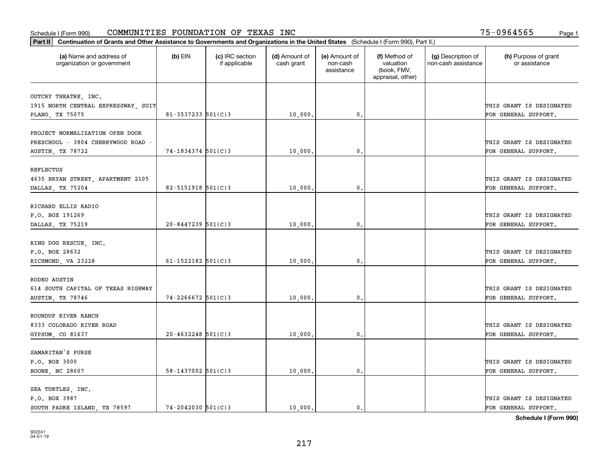#### Schedule I (Form 990) Page 1 COMMUNITIES FOUNDATION OF TEXAS INC 75-0964565

| (a) Name and address of<br>organization or government | $(b)$ EIN                | (c) IRC section<br>if applicable | (d) Amount of<br>cash grant | (e) Amount of<br>non-cash<br>assistance | (f) Method of<br>valuation<br>(book, FMV,<br>appraisal, other) | (g) Description of<br>non-cash assistance | (h) Purpose of grant<br>or assistance |
|-------------------------------------------------------|--------------------------|----------------------------------|-----------------------------|-----------------------------------------|----------------------------------------------------------------|-------------------------------------------|---------------------------------------|
| OUTCRY THEATRE, INC.                                  |                          |                                  |                             |                                         |                                                                |                                           |                                       |
| 1915 NORTH CENTRAL EXPRESSWAY, SUIT                   |                          |                                  |                             |                                         |                                                                |                                           | THIS GRANT IS DESIGNATED              |
| PLANO, TX 75075                                       | $81 - 3537233$ 501(C)3   |                                  | 10,000.                     | 0.                                      |                                                                |                                           | FOR GENERAL SUPPORT.                  |
| PROJECT NORMALIZATION OPEN DOOR                       |                          |                                  |                             |                                         |                                                                |                                           |                                       |
| PRESCHOOL - 3804 CHERRYWOOD ROAD -                    |                          |                                  |                             |                                         |                                                                |                                           | THIS GRANT IS DESIGNATED              |
| AUSTIN, TX 78722                                      | $74 - 1834374$ 501(C)3   |                                  | 10,000                      | 0.                                      |                                                                |                                           | FOR GENERAL SUPPORT.                  |
|                                                       |                          |                                  |                             |                                         |                                                                |                                           |                                       |
| REFLECTUS                                             |                          |                                  |                             |                                         |                                                                |                                           |                                       |
| 4635 BRYAN STREET, APARTMENT 2105                     |                          |                                  |                             |                                         |                                                                |                                           | THIS GRANT IS DESIGNATED              |
| DALLAS, TX 75204                                      | $82 - 5151918$ $501(C)3$ |                                  | 10,000.                     | $\mathfrak{o}$ .                        |                                                                |                                           | FOR GENERAL SUPPORT.                  |
| RICHARD ELLIS RADIO                                   |                          |                                  |                             |                                         |                                                                |                                           |                                       |
| P.O. BOX 191269                                       |                          |                                  |                             |                                         |                                                                |                                           | THIS GRANT IS DESIGNATED              |
| DALLAS, TX 75219                                      | $20 - 8447239$ 501(C)3   |                                  | 10,000                      | 0.                                      |                                                                |                                           | FOR GENERAL SUPPORT.                  |
|                                                       |                          |                                  |                             |                                         |                                                                |                                           |                                       |
| RING DOG RESCUE, INC.                                 |                          |                                  |                             |                                         |                                                                |                                           |                                       |
| P.O. BOX 28632                                        |                          |                                  |                             |                                         |                                                                |                                           | THIS GRANT IS DESIGNATED              |
| RICHMOND, VA 23228                                    | 61-1522182 $501(C)3$     |                                  | 10,000.                     | $\mathbf 0$ .                           |                                                                |                                           | FOR GENERAL SUPPORT.                  |
|                                                       |                          |                                  |                             |                                         |                                                                |                                           |                                       |
| RODEO AUSTIN                                          |                          |                                  |                             |                                         |                                                                |                                           |                                       |
| 614 SOUTH CAPITAL OF TEXAS HIGHWAY                    |                          |                                  |                             | $\mathbf{0}$                            |                                                                |                                           | THIS GRANT IS DESIGNATED              |
| AUSTIN, TX 78746                                      | 74-2266672 501(C)3       |                                  | 10,000.                     |                                         |                                                                |                                           | FOR GENERAL SUPPORT.                  |
| ROUNDUP RIVER RANCH                                   |                          |                                  |                             |                                         |                                                                |                                           |                                       |
| 8333 COLORADO RIVER ROAD                              |                          |                                  |                             |                                         |                                                                |                                           | THIS GRANT IS DESIGNATED              |
| GYPSUM, CO 81637                                      | $20 - 4632248$ 501(C)3   |                                  | 10,000                      | 0.                                      |                                                                |                                           | FOR GENERAL SUPPORT.                  |
|                                                       |                          |                                  |                             |                                         |                                                                |                                           |                                       |
| SAMARITAN'S PURSE                                     |                          |                                  |                             |                                         |                                                                |                                           |                                       |
| P.O. BOX 3000                                         |                          |                                  |                             |                                         |                                                                |                                           | THIS GRANT IS DESIGNATED              |
| BOONE, NC 28607                                       | $58 - 1437002$ $501(C)3$ |                                  | 10,000                      | $\mathbf{0}$                            |                                                                |                                           | FOR GENERAL SUPPORT.                  |
| SEA TURTLES, INC.                                     |                          |                                  |                             |                                         |                                                                |                                           |                                       |
| P.O. BOX 3987                                         |                          |                                  |                             |                                         |                                                                |                                           | THIS GRANT IS DESIGNATED              |
| SOUTH PADRE ISLAND, TX 78597                          | $74 - 2042030$ 501(C)3   |                                  | 10,000.                     | $\mathbf{0}$ .                          |                                                                |                                           | FOR GENERAL SUPPORT.                  |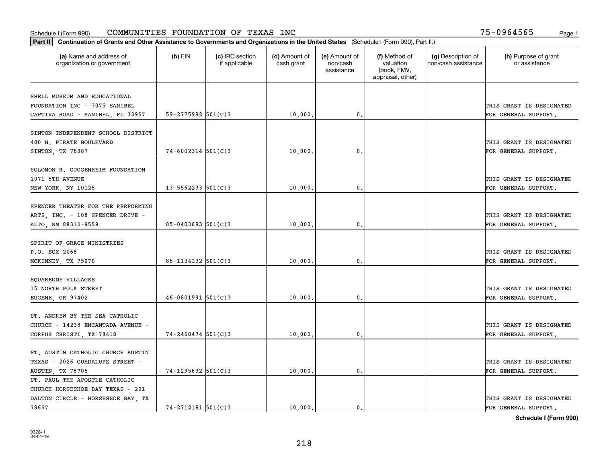| Part II   Continuation of Grants and Other Assistance to Governments and Organizations in the United States (Schedule I (Form 990), Part II.) |                          |                                  |                             |                                         |                                                                |                                           |                                       |
|-----------------------------------------------------------------------------------------------------------------------------------------------|--------------------------|----------------------------------|-----------------------------|-----------------------------------------|----------------------------------------------------------------|-------------------------------------------|---------------------------------------|
| (a) Name and address of<br>organization or government                                                                                         | $(b)$ EIN                | (c) IRC section<br>if applicable | (d) Amount of<br>cash grant | (e) Amount of<br>non-cash<br>assistance | (f) Method of<br>valuation<br>(book, FMV,<br>appraisal, other) | (g) Description of<br>non-cash assistance | (h) Purpose of grant<br>or assistance |
|                                                                                                                                               |                          |                                  |                             |                                         |                                                                |                                           |                                       |
| SHELL MUSEUM AND EDUCATIONAL                                                                                                                  |                          |                                  |                             |                                         |                                                                |                                           |                                       |
| FOUNDATION INC - 3075 SANIBEL                                                                                                                 |                          |                                  |                             |                                         |                                                                |                                           | THIS GRANT IS DESIGNATED              |
| CAPTIVA ROAD - SANIBEL, FL 33957                                                                                                              | $59 - 2775992$ 501(C)3   |                                  | 10,000.                     | $\mathfrak{o}$ .                        |                                                                |                                           | FOR GENERAL SUPPORT.                  |
| SINTON INDEPENDENT SCHOOL DISTRICT                                                                                                            |                          |                                  |                             |                                         |                                                                |                                           |                                       |
| 400 N. PIRATE BOULEVARD                                                                                                                       |                          |                                  |                             |                                         |                                                                |                                           | THIS GRANT IS DESIGNATED              |
| SINTON, TX 78387                                                                                                                              | $74 - 6002314$ 501(C)3   |                                  | 10,000                      | 0.                                      |                                                                |                                           | FOR GENERAL SUPPORT.                  |
|                                                                                                                                               |                          |                                  |                             |                                         |                                                                |                                           |                                       |
| SOLOMON R. GUGGENHEIM FOUNDATION                                                                                                              |                          |                                  |                             |                                         |                                                                |                                           |                                       |
| 1071 5TH AVENUE                                                                                                                               |                          |                                  |                             |                                         |                                                                |                                           | THIS GRANT IS DESIGNATED              |
| NEW YORK, NY 10128                                                                                                                            | $13 - 5562233$ $501(C)3$ |                                  | 10,000.                     | $\mathfrak{o}$ .                        |                                                                |                                           | FOR GENERAL SUPPORT.                  |
|                                                                                                                                               |                          |                                  |                             |                                         |                                                                |                                           |                                       |
| SPENCER THEATER FOR THE PERFORMING                                                                                                            |                          |                                  |                             |                                         |                                                                |                                           |                                       |
| ARTS, INC. - 108 SPENCER DRIVE -                                                                                                              |                          |                                  |                             |                                         |                                                                |                                           | THIS GRANT IS DESIGNATED              |
| ALTO, NM 88312-9559                                                                                                                           | $85 - 0403693$ 501(C)3   |                                  | 10,000.                     | 0.                                      |                                                                |                                           | FOR GENERAL SUPPORT.                  |
|                                                                                                                                               |                          |                                  |                             |                                         |                                                                |                                           |                                       |
| SPIRIT OF GRACE MINISTRIES                                                                                                                    |                          |                                  |                             |                                         |                                                                |                                           |                                       |
| P.O. BOX 2068                                                                                                                                 |                          |                                  |                             |                                         |                                                                |                                           | THIS GRANT IS DESIGNATED              |
| MCKINNEY, TX 75070                                                                                                                            | $86 - 1134132$ 501(C)3   |                                  | 10,000                      | $\mathbf 0$ .                           |                                                                |                                           | FOR GENERAL SUPPORT.                  |
|                                                                                                                                               |                          |                                  |                             |                                         |                                                                |                                           |                                       |
| SQUAREONE VILLAGES                                                                                                                            |                          |                                  |                             |                                         |                                                                |                                           |                                       |
| 15 NORTH POLK STREET                                                                                                                          |                          |                                  |                             |                                         |                                                                |                                           | THIS GRANT IS DESIGNATED              |
| EUGENE, OR 97402                                                                                                                              | $46 - 0801991$ 501(C)3   |                                  | 10,000                      | $\mathfrak{o}$ .                        |                                                                |                                           | FOR GENERAL SUPPORT.                  |
|                                                                                                                                               |                          |                                  |                             |                                         |                                                                |                                           |                                       |
| ST. ANDREW BY THE SEA CATHOLIC                                                                                                                |                          |                                  |                             |                                         |                                                                |                                           |                                       |
| CHURCH - 14238 ENCANTADA AVENUE -                                                                                                             |                          |                                  |                             |                                         |                                                                |                                           | THIS GRANT IS DESIGNATED              |
| CORPUS CHRISTI, TX 78418                                                                                                                      | $74 - 2460474$ 501(C)3   |                                  | 10,000                      | $\mathbf{0}$ .                          |                                                                |                                           | FOR GENERAL SUPPORT.                  |
|                                                                                                                                               |                          |                                  |                             |                                         |                                                                |                                           |                                       |
| ST. AUSTIN CATHOLIC CHURCH AUSTIN                                                                                                             |                          |                                  |                             |                                         |                                                                |                                           |                                       |
| TEXAS - 2026 GUADALUPE STREET                                                                                                                 |                          |                                  |                             |                                         |                                                                |                                           | THIS GRANT IS DESIGNATED              |
| AUSTIN, TX 78705                                                                                                                              | $74 - 1295632$ 501(C)3   |                                  | 10,000.                     | $\mathbf{0}$ .                          |                                                                |                                           | FOR GENERAL SUPPORT.                  |
| ST. PAUL THE APOSTLE CATHOLIC                                                                                                                 |                          |                                  |                             |                                         |                                                                |                                           |                                       |
| CHURCH HORSESHOE BAY TEXAS - 201                                                                                                              |                          |                                  |                             |                                         |                                                                |                                           |                                       |
| DALTON CIRCLE - HORSESHOE BAY, TX                                                                                                             |                          |                                  |                             |                                         |                                                                |                                           | THIS GRANT IS DESIGNATED              |
| 78657                                                                                                                                         | $74 - 2712181$ 501(C)3   |                                  | 10,000.                     | $\mathbf{0}$ .                          |                                                                |                                           | FOR GENERAL SUPPORT.                  |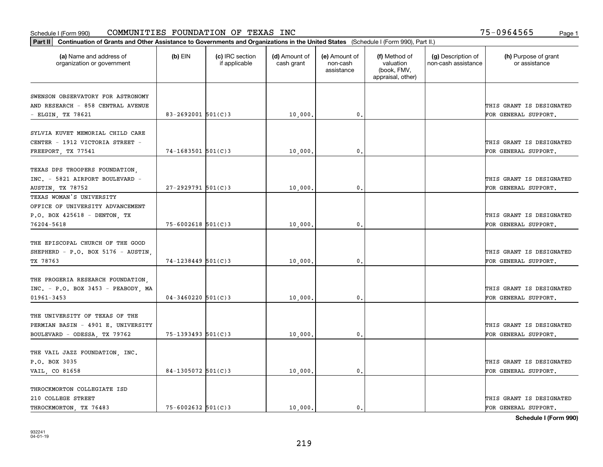| (a) Name and address of<br>organization or government                                                      | $(b)$ EIN              | (c) IRC section<br>if applicable | (d) Amount of<br>cash grant | (e) Amount of<br>non-cash<br>assistance | (f) Method of<br>valuation<br>(book, FMV,<br>appraisal, other) | (g) Description of<br>non-cash assistance | (h) Purpose of grant<br>or assistance            |
|------------------------------------------------------------------------------------------------------------|------------------------|----------------------------------|-----------------------------|-----------------------------------------|----------------------------------------------------------------|-------------------------------------------|--------------------------------------------------|
| SWENSON OBSERVATORY FOR ASTRONOMY<br>AND RESEARCH - 858 CENTRAL AVENUE                                     |                        |                                  |                             |                                         |                                                                |                                           | THIS GRANT IS DESIGNATED                         |
| - ELGIN, TX 78621                                                                                          | 83-2692001 $501(C)$ 3  |                                  | 10,000.                     | $\mathbf 0$ .                           |                                                                |                                           | FOR GENERAL SUPPORT.                             |
| SYLVIA KUVET MEMORIAL CHILD CARE<br>CENTER - 1912 VICTORIA STREET -<br>FREEPORT, TX 77541                  | 74-1683501 501(C)3     |                                  | 10,000                      | 0.                                      |                                                                |                                           | THIS GRANT IS DESIGNATED<br>FOR GENERAL SUPPORT. |
| TEXAS DPS TROOPERS FOUNDATION,<br>INC. - 5821 AIRPORT BOULEVARD -<br>AUSTIN, TX 78752                      | $27 - 2929791$ 501(C)3 |                                  | 10,000,                     | $\mathfrak{o}$ .                        |                                                                |                                           | THIS GRANT IS DESIGNATED<br>FOR GENERAL SUPPORT. |
| TEXAS WOMAN'S UNIVERSITY<br>OFFICE OF UNIVERSITY ADVANCEMENT<br>P.O. BOX 425618 - DENTON, TX<br>76204-5618 | $75 - 6002618$ 501(C)3 |                                  | 10,000                      | $\mathbf{0}$                            |                                                                |                                           | THIS GRANT IS DESIGNATED<br>FOR GENERAL SUPPORT. |
| THE EPISCOPAL CHURCH OF THE GOOD<br>SHEPHERD - P.O. BOX 5176 - AUSTIN.<br>TX 78763                         | $74 - 1238449$ 501(C)3 |                                  | 10,000                      | $\mathfrak o$ .                         |                                                                |                                           | THIS GRANT IS DESIGNATED<br>FOR GENERAL SUPPORT. |
| THE PROGERIA RESEARCH FOUNDATION.<br>$INC. - P.O. BOX 3453 - PEABODY, MA$<br>$01961 - 3453$                | $04 - 3460220$ 501(C)3 |                                  | 10,000                      | $\mathbf 0$ .                           |                                                                |                                           | THIS GRANT IS DESIGNATED<br>FOR GENERAL SUPPORT. |
| THE UNIVERSITY OF TEXAS OF THE<br>PERMIAN BASIN - 4901 E. UNIVERSITY<br>BOULEVARD - ODESSA, TX 79762       | 75-1393493 501(C)3     |                                  | 10,000                      | $^{\circ}$ .                            |                                                                |                                           | THIS GRANT IS DESIGNATED<br>FOR GENERAL SUPPORT. |
| THE VAIL JAZZ FOUNDATION, INC.<br>P.O. BOX 3035<br>VAIL, CO 81658                                          | $84-1305072$ 501(C)3   |                                  | 10,000                      | $\mathbf{0}$                            |                                                                |                                           | THIS GRANT IS DESIGNATED<br>FOR GENERAL SUPPORT. |
| THROCKMORTON COLLEGIATE ISD<br>210 COLLEGE STREET<br>THROCKMORTON, TX 76483                                | $75 - 6002632$ 501(C)3 |                                  | 10,000.                     | $\mathbf{0}$ .                          |                                                                |                                           | THIS GRANT IS DESIGNATED<br>FOR GENERAL SUPPORT. |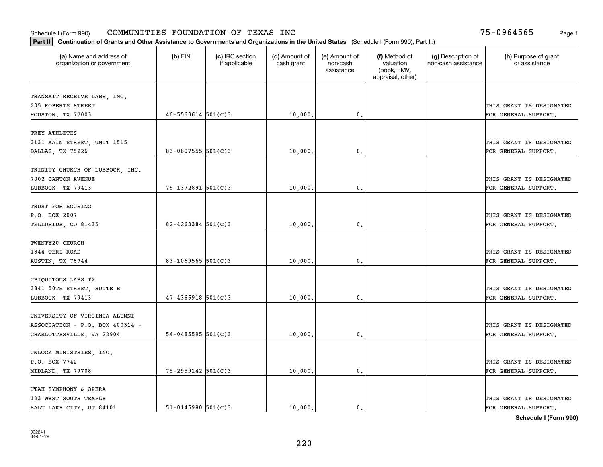#### Schedule I (Form 990) Page 1 COMMUNITIES FOUNDATION OF TEXAS INC 75-0964565

| Part II   Continuation of Grants and Other Assistance to Governments and Organizations in the United States (Schedule I (Form 990), Part II.) |                          |                                  |                             |                                         |                                                                |                                           |                                       |
|-----------------------------------------------------------------------------------------------------------------------------------------------|--------------------------|----------------------------------|-----------------------------|-----------------------------------------|----------------------------------------------------------------|-------------------------------------------|---------------------------------------|
| (a) Name and address of<br>organization or government                                                                                         | $(b)$ EIN                | (c) IRC section<br>if applicable | (d) Amount of<br>cash grant | (e) Amount of<br>non-cash<br>assistance | (f) Method of<br>valuation<br>(book, FMV,<br>appraisal, other) | (g) Description of<br>non-cash assistance | (h) Purpose of grant<br>or assistance |
|                                                                                                                                               |                          |                                  |                             |                                         |                                                                |                                           |                                       |
| TRANSMIT RECEIVE LABS, INC.<br>205 ROBERTS STREET                                                                                             |                          |                                  |                             |                                         |                                                                |                                           | THIS GRANT IS DESIGNATED              |
| HOUSTON, TX 77003                                                                                                                             | $46 - 5563614$ $501(C)3$ |                                  | 10,000.                     | $\mathbf{0}$ .                          |                                                                |                                           | FOR GENERAL SUPPORT.                  |
|                                                                                                                                               |                          |                                  |                             |                                         |                                                                |                                           |                                       |
| TREY ATHLETES                                                                                                                                 |                          |                                  |                             |                                         |                                                                |                                           |                                       |
| 3131 MAIN STREET, UNIT 1515                                                                                                                   |                          |                                  |                             |                                         |                                                                |                                           | THIS GRANT IS DESIGNATED              |
| DALLAS, TX 75226                                                                                                                              | 83-0807555 $501(C)$ 3    |                                  | 10,000                      | 0.                                      |                                                                |                                           | FOR GENERAL SUPPORT.                  |
|                                                                                                                                               |                          |                                  |                             |                                         |                                                                |                                           |                                       |
| TRINITY CHURCH OF LUBBOCK, INC.                                                                                                               |                          |                                  |                             |                                         |                                                                |                                           |                                       |
| 7002 CANTON AVENUE                                                                                                                            |                          |                                  |                             |                                         |                                                                |                                           | THIS GRANT IS DESIGNATED              |
| LUBBOCK, TX 79413                                                                                                                             | 75-1372891 501(C)3       |                                  | 10,000                      | $\mathfrak{o}$ .                        |                                                                |                                           | FOR GENERAL SUPPORT.                  |
|                                                                                                                                               |                          |                                  |                             |                                         |                                                                |                                           |                                       |
| TRUST FOR HOUSING                                                                                                                             |                          |                                  |                             |                                         |                                                                |                                           |                                       |
| P.O. BOX 2007                                                                                                                                 |                          |                                  |                             |                                         |                                                                |                                           | THIS GRANT IS DESIGNATED              |
| TELLURIDE, CO 81435                                                                                                                           | 82-4263384 $501(C)$ 3    |                                  | 10,000                      | 0.                                      |                                                                |                                           | FOR GENERAL SUPPORT.                  |
| TWENTY20 CHURCH                                                                                                                               |                          |                                  |                             |                                         |                                                                |                                           |                                       |
| 1844 TERI ROAD                                                                                                                                |                          |                                  |                             |                                         |                                                                |                                           | THIS GRANT IS DESIGNATED              |
| AUSTIN, TX 78744                                                                                                                              | 83-1069565 501(C)3       |                                  | 10,000                      | 0.                                      |                                                                |                                           | FOR GENERAL SUPPORT.                  |
|                                                                                                                                               |                          |                                  |                             |                                         |                                                                |                                           |                                       |
| UBIQUITOUS LABS TX                                                                                                                            |                          |                                  |                             |                                         |                                                                |                                           |                                       |
| 3841 50TH STREET, SUITE B                                                                                                                     |                          |                                  |                             |                                         |                                                                |                                           | THIS GRANT IS DESIGNATED              |
| LUBBOCK, TX 79413                                                                                                                             | $47 - 4365918$ 501(C)3   |                                  | 10,000                      | 0.                                      |                                                                |                                           | FOR GENERAL SUPPORT.                  |
|                                                                                                                                               |                          |                                  |                             |                                         |                                                                |                                           |                                       |
| UNIVERSITY OF VIRGINIA ALUMNI                                                                                                                 |                          |                                  |                             |                                         |                                                                |                                           |                                       |
| ASSOCIATION - P.O. BOX 400314 -                                                                                                               |                          |                                  |                             |                                         |                                                                |                                           | THIS GRANT IS DESIGNATED              |
| CHARLOTTESVILLE, VA 22904                                                                                                                     | $54 - 0485595$ 501(C)3   |                                  | 10,000,                     | $\mathbf{0}$ .                          |                                                                |                                           | FOR GENERAL SUPPORT.                  |
|                                                                                                                                               |                          |                                  |                             |                                         |                                                                |                                           |                                       |
| UNLOCK MINISTRIES, INC.                                                                                                                       |                          |                                  |                             |                                         |                                                                |                                           |                                       |
| P.O. BOX 7742                                                                                                                                 |                          |                                  |                             |                                         |                                                                |                                           | THIS GRANT IS DESIGNATED              |
| MIDLAND, TX 79708                                                                                                                             | $75 - 2959142$ 501(C)3   |                                  | 10,000.                     | 0.                                      |                                                                |                                           | FOR GENERAL SUPPORT.                  |
| UTAH SYMPHONY & OPERA                                                                                                                         |                          |                                  |                             |                                         |                                                                |                                           |                                       |
| 123 WEST SOUTH TEMPLE                                                                                                                         |                          |                                  |                             |                                         |                                                                |                                           | THIS GRANT IS DESIGNATED              |
| SALT LAKE CITY, UT 84101                                                                                                                      | $51 - 0145980$ 501(C)3   |                                  | 10,000.                     | $\mathbf{0}$ .                          |                                                                |                                           | FOR GENERAL SUPPORT.                  |
|                                                                                                                                               |                          |                                  |                             |                                         |                                                                |                                           |                                       |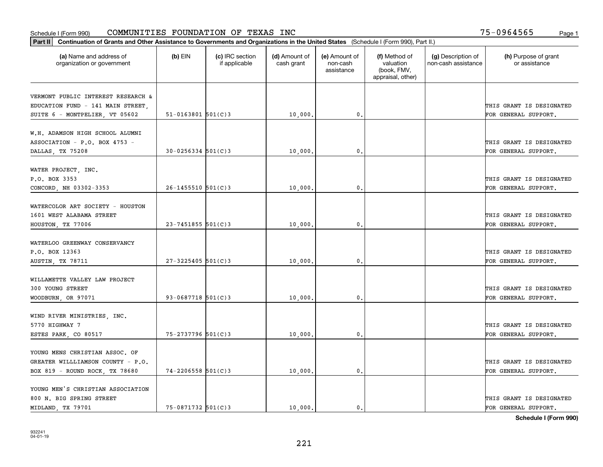| Part II   Continuation of Grants and Other Assistance to Governments and Organizations in the United States (Schedule I (Form 990), Part II.) |                          |                                  |                             |                                         |                                                                |                                           |                                       |
|-----------------------------------------------------------------------------------------------------------------------------------------------|--------------------------|----------------------------------|-----------------------------|-----------------------------------------|----------------------------------------------------------------|-------------------------------------------|---------------------------------------|
| (a) Name and address of<br>organization or government                                                                                         | $(b)$ EIN                | (c) IRC section<br>if applicable | (d) Amount of<br>cash grant | (e) Amount of<br>non-cash<br>assistance | (f) Method of<br>valuation<br>(book, FMV,<br>appraisal, other) | (g) Description of<br>non-cash assistance | (h) Purpose of grant<br>or assistance |
|                                                                                                                                               |                          |                                  |                             |                                         |                                                                |                                           |                                       |
| VERMONT PUBLIC INTEREST RESEARCH &<br>EDUCATION FUND - 141 MAIN STREET,                                                                       |                          |                                  |                             |                                         |                                                                |                                           | THIS GRANT IS DESIGNATED              |
| SUITE 6 - MONTPELIER, VT 05602                                                                                                                | $51 - 0163801$ $501(C)3$ |                                  | 10,000.                     | 0.                                      |                                                                |                                           | FOR GENERAL SUPPORT.                  |
|                                                                                                                                               |                          |                                  |                             |                                         |                                                                |                                           |                                       |
| W.H. ADAMSON HIGH SCHOOL ALUMNI                                                                                                               |                          |                                  |                             |                                         |                                                                |                                           |                                       |
| ASSOCIATION - P.O. BOX 4753 -                                                                                                                 |                          |                                  |                             |                                         |                                                                |                                           | THIS GRANT IS DESIGNATED              |
| DALLAS, TX 75208                                                                                                                              | $30 - 0256334$ 501(C)3   |                                  | 10,000                      | 0.                                      |                                                                |                                           | FOR GENERAL SUPPORT.                  |
|                                                                                                                                               |                          |                                  |                             |                                         |                                                                |                                           |                                       |
| WATER PROJECT, INC.                                                                                                                           |                          |                                  |                             |                                         |                                                                |                                           |                                       |
| P.O. BOX 3353                                                                                                                                 |                          |                                  |                             |                                         |                                                                |                                           | THIS GRANT IS DESIGNATED              |
| CONCORD, NH 03302-3353                                                                                                                        | $26 - 1455510$ 501(C)3   |                                  | 10,000                      | $\mathbf{0}$ .                          |                                                                |                                           | FOR GENERAL SUPPORT.                  |
|                                                                                                                                               |                          |                                  |                             |                                         |                                                                |                                           |                                       |
| WATERCOLOR ART SOCIETY - HOUSTON                                                                                                              |                          |                                  |                             |                                         |                                                                |                                           |                                       |
| 1601 WEST ALABAMA STREET                                                                                                                      |                          |                                  |                             |                                         |                                                                |                                           | THIS GRANT IS DESIGNATED              |
| HOUSTON, TX 77006                                                                                                                             | $23 - 7451855$ 501(C)3   |                                  | 10,000.                     | 0.                                      |                                                                |                                           | FOR GENERAL SUPPORT.                  |
|                                                                                                                                               |                          |                                  |                             |                                         |                                                                |                                           |                                       |
| WATERLOO GREENWAY CONSERVANCY                                                                                                                 |                          |                                  |                             |                                         |                                                                |                                           |                                       |
| P.O. BOX 12363                                                                                                                                |                          |                                  |                             |                                         |                                                                |                                           | THIS GRANT IS DESIGNATED              |
| AUSTIN, TX 78711                                                                                                                              | $27 - 3225405$ 501(C)3   |                                  | 10,000.                     | 0.                                      |                                                                |                                           | FOR GENERAL SUPPORT.                  |
| WILLAMETTE VALLEY LAW PROJECT                                                                                                                 |                          |                                  |                             |                                         |                                                                |                                           |                                       |
| 300 YOUNG STREET                                                                                                                              |                          |                                  |                             |                                         |                                                                |                                           | THIS GRANT IS DESIGNATED              |
| WOODBURN, OR 97071                                                                                                                            | $93 - 0687718$ 501(C)3   |                                  | 10,000                      | 0.                                      |                                                                |                                           | FOR GENERAL SUPPORT.                  |
|                                                                                                                                               |                          |                                  |                             |                                         |                                                                |                                           |                                       |
| WIND RIVER MINISTRIES, INC.                                                                                                                   |                          |                                  |                             |                                         |                                                                |                                           |                                       |
| 5770 HIGHWAY 7                                                                                                                                |                          |                                  |                             |                                         |                                                                |                                           | THIS GRANT IS DESIGNATED              |
| ESTES PARK, CO 80517                                                                                                                          | 75-2737796 501(C)3       |                                  | 10,000                      | 0.                                      |                                                                |                                           | FOR GENERAL SUPPORT.                  |
|                                                                                                                                               |                          |                                  |                             |                                         |                                                                |                                           |                                       |
| YOUNG MENS CHRISTIAN ASSOC. OF                                                                                                                |                          |                                  |                             |                                         |                                                                |                                           |                                       |
| GREATER WILLLIAMSON COUNTY - P.O.                                                                                                             |                          |                                  |                             |                                         |                                                                |                                           | THIS GRANT IS DESIGNATED              |
| BOX 819 - ROUND ROCK, TX 78680                                                                                                                | $74 - 2206558$ 501(C)3   |                                  | 10,000                      | $\mathbf 0$ .                           |                                                                |                                           | FOR GENERAL SUPPORT.                  |
|                                                                                                                                               |                          |                                  |                             |                                         |                                                                |                                           |                                       |
| YOUNG MEN'S CHRISTIAN ASSOCIATION                                                                                                             |                          |                                  |                             |                                         |                                                                |                                           |                                       |
| 800 N. BIG SPRING STREET                                                                                                                      |                          |                                  |                             |                                         |                                                                |                                           | THIS GRANT IS DESIGNATED              |
| MIDLAND, TX 79701                                                                                                                             | 75-0871732 501(C)3       |                                  | 10,000.                     | $\mathbf{0}$ .                          |                                                                |                                           | FOR GENERAL SUPPORT.                  |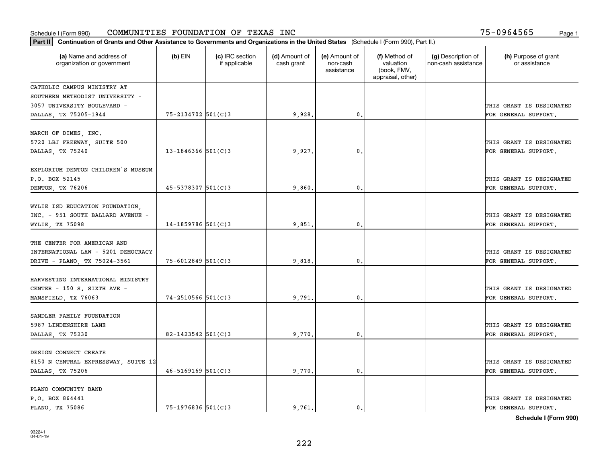| Part II   Continuation of Grants and Other Assistance to Governments and Organizations in the United States (Schedule I (Form 990), Part II.) |                          |                                  |                             |                                         |                                                                |                                           |                                       |
|-----------------------------------------------------------------------------------------------------------------------------------------------|--------------------------|----------------------------------|-----------------------------|-----------------------------------------|----------------------------------------------------------------|-------------------------------------------|---------------------------------------|
| (a) Name and address of<br>organization or government                                                                                         | $(b)$ EIN                | (c) IRC section<br>if applicable | (d) Amount of<br>cash grant | (e) Amount of<br>non-cash<br>assistance | (f) Method of<br>valuation<br>(book, FMV,<br>appraisal, other) | (g) Description of<br>non-cash assistance | (h) Purpose of grant<br>or assistance |
| CATHOLIC CAMPUS MINISTRY AT                                                                                                                   |                          |                                  |                             |                                         |                                                                |                                           |                                       |
| SOUTHERN METHODIST UNIVERSITY -                                                                                                               |                          |                                  |                             |                                         |                                                                |                                           |                                       |
| 3057 UNIVERSITY BOULEVARD -                                                                                                                   |                          |                                  |                             |                                         |                                                                |                                           | THIS GRANT IS DESIGNATED              |
| DALLAS, TX 75205-1944                                                                                                                         | 75-2134702 501(C)3       |                                  | 9,928.                      | 0.                                      |                                                                |                                           | FOR GENERAL SUPPORT.                  |
| MARCH OF DIMES, INC.                                                                                                                          |                          |                                  |                             |                                         |                                                                |                                           |                                       |
| 5720 LBJ FREEWAY, SUITE 500                                                                                                                   |                          |                                  |                             |                                         |                                                                |                                           | THIS GRANT IS DESIGNATED              |
| DALLAS, TX 75240                                                                                                                              | 13-1846366 $501(C)$ 3    |                                  | 9,927                       | 0.                                      |                                                                |                                           | FOR GENERAL SUPPORT.                  |
|                                                                                                                                               |                          |                                  |                             |                                         |                                                                |                                           |                                       |
| EXPLORIUM DENTON CHILDREN'S MUSEUM                                                                                                            |                          |                                  |                             |                                         |                                                                |                                           |                                       |
| P.O. BOX 52145                                                                                                                                |                          |                                  |                             |                                         |                                                                |                                           | THIS GRANT IS DESIGNATED              |
| DENTON, TX 76206                                                                                                                              | $45 - 5378307$ 501(C) 3  |                                  | 9,860.                      | $\mathbf{0}$ .                          |                                                                |                                           | FOR GENERAL SUPPORT.                  |
|                                                                                                                                               |                          |                                  |                             |                                         |                                                                |                                           |                                       |
| WYLIE ISD EDUCATION FOUNDATION,                                                                                                               |                          |                                  |                             |                                         |                                                                |                                           |                                       |
| INC. - 951 SOUTH BALLARD AVENUE -                                                                                                             |                          |                                  |                             | 0.                                      |                                                                |                                           | THIS GRANT IS DESIGNATED              |
| WYLIE, TX 75098                                                                                                                               | $14 - 1859786$ 501(C)3   |                                  | 9,851                       |                                         |                                                                |                                           | FOR GENERAL SUPPORT.                  |
| THE CENTER FOR AMERICAN AND                                                                                                                   |                          |                                  |                             |                                         |                                                                |                                           |                                       |
| INTERNATIONAL LAW - 5201 DEMOCRACY                                                                                                            |                          |                                  |                             |                                         |                                                                |                                           | THIS GRANT IS DESIGNATED              |
| DRIVE - PLANO, TX 75024-3561                                                                                                                  | $75 - 6012849$ 501(C)3   |                                  | 9,818                       | 0.                                      |                                                                |                                           | FOR GENERAL SUPPORT.                  |
|                                                                                                                                               |                          |                                  |                             |                                         |                                                                |                                           |                                       |
| HARVESTING INTERNATIONAL MINISTRY                                                                                                             |                          |                                  |                             |                                         |                                                                |                                           |                                       |
| CENTER - 150 S. SIXTH AVE -                                                                                                                   |                          |                                  |                             |                                         |                                                                |                                           | THIS GRANT IS DESIGNATED              |
| MANSFIELD, TX 76063                                                                                                                           | $74 - 2510566$ 501(C)3   |                                  | 9.791                       | $\mathbf{0}$ .                          |                                                                |                                           | FOR GENERAL SUPPORT.                  |
|                                                                                                                                               |                          |                                  |                             |                                         |                                                                |                                           |                                       |
| SANDLER FAMILY FOUNDATION                                                                                                                     |                          |                                  |                             |                                         |                                                                |                                           |                                       |
| 5987 LINDENSHIRE LANE                                                                                                                         |                          |                                  |                             |                                         |                                                                |                                           | THIS GRANT IS DESIGNATED              |
| DALLAS, TX 75230                                                                                                                              | 82-1423542 501(C)3       |                                  | 9,770.                      | 0.                                      |                                                                |                                           | FOR GENERAL SUPPORT.                  |
| DESIGN CONNECT CREATE                                                                                                                         |                          |                                  |                             |                                         |                                                                |                                           |                                       |
| 8150 N CENTRAL EXPRESSWAY, SUITE 12                                                                                                           |                          |                                  |                             |                                         |                                                                |                                           | THIS GRANT IS DESIGNATED              |
| DALLAS, TX 75206                                                                                                                              | $46 - 5169169$ $501(C)3$ |                                  | 9,770.                      | $\mathbf 0$ .                           |                                                                |                                           | FOR GENERAL SUPPORT.                  |
|                                                                                                                                               |                          |                                  |                             |                                         |                                                                |                                           |                                       |
| PLANO COMMUNITY BAND                                                                                                                          |                          |                                  |                             |                                         |                                                                |                                           |                                       |
| P.O. BOX 864441                                                                                                                               |                          |                                  |                             |                                         |                                                                |                                           | THIS GRANT IS DESIGNATED              |
| PLANO, TX 75086                                                                                                                               | $75 - 1976836$ 501(C)3   |                                  | 9.761.                      | $\mathbf{0}$ .                          |                                                                |                                           | FOR GENERAL SUPPORT.                  |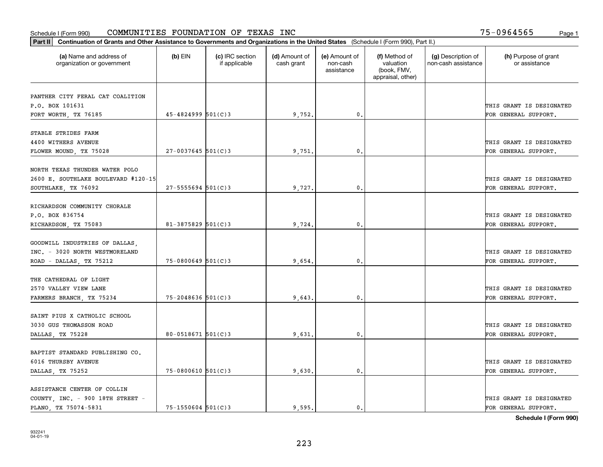| Part II   Continuation of Grants and Other Assistance to Governments and Organizations in the United States (Schedule I (Form 990), Part II.) |                        |                                  |                             |                                         |                                                                |                                           |                                       |
|-----------------------------------------------------------------------------------------------------------------------------------------------|------------------------|----------------------------------|-----------------------------|-----------------------------------------|----------------------------------------------------------------|-------------------------------------------|---------------------------------------|
| (a) Name and address of<br>organization or government                                                                                         | $(b)$ EIN              | (c) IRC section<br>if applicable | (d) Amount of<br>cash grant | (e) Amount of<br>non-cash<br>assistance | (f) Method of<br>valuation<br>(book, FMV,<br>appraisal, other) | (g) Description of<br>non-cash assistance | (h) Purpose of grant<br>or assistance |
|                                                                                                                                               |                        |                                  |                             |                                         |                                                                |                                           |                                       |
| PANTHER CITY FERAL CAT COALITION<br>P.O. BOX 101631                                                                                           |                        |                                  |                             |                                         |                                                                |                                           | THIS GRANT IS DESIGNATED              |
|                                                                                                                                               | $45 - 4824999$ 501(C)3 |                                  |                             | 0.                                      |                                                                |                                           |                                       |
| FORT WORTH, TX 76185                                                                                                                          |                        |                                  | 9,752.                      |                                         |                                                                |                                           | FOR GENERAL SUPPORT.                  |
| STABLE STRIDES FARM                                                                                                                           |                        |                                  |                             |                                         |                                                                |                                           |                                       |
| 4400 WITHERS AVENUE                                                                                                                           |                        |                                  |                             |                                         |                                                                |                                           | THIS GRANT IS DESIGNATED              |
| FLOWER MOUND, TX 75028                                                                                                                        | $27 - 0037645$ 501(C)3 |                                  | 9,751                       | $\mathbf{0}$                            |                                                                |                                           | FOR GENERAL SUPPORT.                  |
|                                                                                                                                               |                        |                                  |                             |                                         |                                                                |                                           |                                       |
| NORTH TEXAS THUNDER WATER POLO                                                                                                                |                        |                                  |                             |                                         |                                                                |                                           |                                       |
| 2600 E. SOUTHLAKE BOULEVARD #120-15                                                                                                           |                        |                                  |                             |                                         |                                                                |                                           | THIS GRANT IS DESIGNATED              |
| SOUTHLAKE, TX 76092                                                                                                                           | $27 - 5555694$ 501(C)3 |                                  | 9,727                       | $\mathbf{0}$                            |                                                                |                                           | FOR GENERAL SUPPORT.                  |
|                                                                                                                                               |                        |                                  |                             |                                         |                                                                |                                           |                                       |
| RICHARDSON COMMUNITY CHORALE                                                                                                                  |                        |                                  |                             |                                         |                                                                |                                           |                                       |
| P.O. BOX 836754                                                                                                                               |                        |                                  |                             |                                         |                                                                |                                           | THIS GRANT IS DESIGNATED              |
|                                                                                                                                               | $81 - 3875829$ 501(C)3 |                                  |                             | $\mathbf{0}$                            |                                                                |                                           |                                       |
| RICHARDSON, TX 75083                                                                                                                          |                        |                                  | 9,724                       |                                         |                                                                |                                           | FOR GENERAL SUPPORT.                  |
| GOODWILL INDUSTRIES OF DALLAS,                                                                                                                |                        |                                  |                             |                                         |                                                                |                                           |                                       |
| INC. - 3020 NORTH WESTMORELAND                                                                                                                |                        |                                  |                             |                                         |                                                                |                                           |                                       |
|                                                                                                                                               | $75 - 0800649$ 501(C)3 |                                  |                             | $\mathbf{0}$                            |                                                                |                                           | THIS GRANT IS DESIGNATED              |
| ROAD - DALLAS, TX 75212                                                                                                                       |                        |                                  | 9,654                       |                                         |                                                                |                                           | FOR GENERAL SUPPORT.                  |
| THE CATHEDRAL OF LIGHT                                                                                                                        |                        |                                  |                             |                                         |                                                                |                                           |                                       |
| 2570 VALLEY VIEW LANE                                                                                                                         |                        |                                  |                             |                                         |                                                                |                                           | THIS GRANT IS DESIGNATED              |
|                                                                                                                                               | $75 - 2048636$ 501(C)3 |                                  | 9,643                       | $\mathbf{0}$ .                          |                                                                |                                           | FOR GENERAL SUPPORT.                  |
| FARMERS BRANCH, TX 75234                                                                                                                      |                        |                                  |                             |                                         |                                                                |                                           |                                       |
| SAINT PIUS X CATHOLIC SCHOOL                                                                                                                  |                        |                                  |                             |                                         |                                                                |                                           |                                       |
| 3030 GUS THOMASSON ROAD                                                                                                                       |                        |                                  |                             |                                         |                                                                |                                           | THIS GRANT IS DESIGNATED              |
|                                                                                                                                               | $80 - 0518671$ 501(C)3 |                                  |                             | $\mathbf{0}$ .                          |                                                                |                                           |                                       |
| DALLAS, TX 75228                                                                                                                              |                        |                                  | 9,631                       |                                         |                                                                |                                           | FOR GENERAL SUPPORT.                  |
| BAPTIST STANDARD PUBLISHING CO.                                                                                                               |                        |                                  |                             |                                         |                                                                |                                           |                                       |
| 6016 THURSBY AVENUE                                                                                                                           |                        |                                  |                             |                                         |                                                                |                                           | THIS GRANT IS DESIGNATED              |
|                                                                                                                                               |                        |                                  |                             |                                         |                                                                |                                           |                                       |
| DALLAS, TX 75252                                                                                                                              | $75 - 0800610$ 501(C)3 |                                  | 9,630                       | $\mathbf{0}$ .                          |                                                                |                                           | FOR GENERAL SUPPORT.                  |
| ASSISTANCE CENTER OF COLLIN                                                                                                                   |                        |                                  |                             |                                         |                                                                |                                           |                                       |
|                                                                                                                                               |                        |                                  |                             |                                         |                                                                |                                           | THIS GRANT IS DESIGNATED              |
| COUNTY, INC. - 900 18TH STREET -                                                                                                              |                        |                                  |                             |                                         |                                                                |                                           |                                       |
| PLANO, TX 75074-5831                                                                                                                          | $75 - 1550604$ 501(C)3 |                                  | 9,595,                      | $\mathbf{0}$ .                          |                                                                |                                           | FOR GENERAL SUPPORT.                  |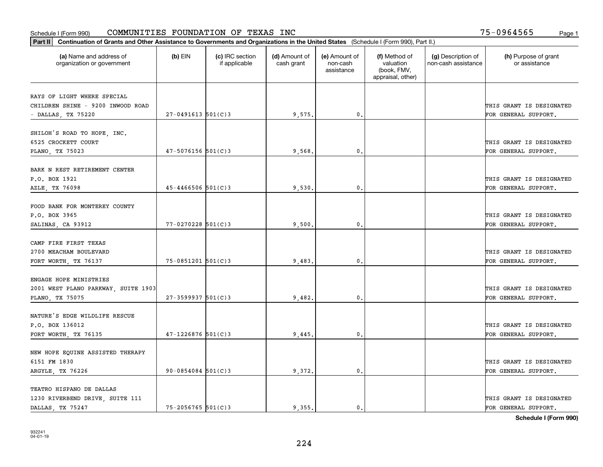#### Schedule I (Form 990) Page 1 COMMUNITIES FOUNDATION OF TEXAS INC 75-0964565

| (a) Name and address of<br>organization or government | $(b)$ EIN              | (c) IRC section<br>if applicable | (d) Amount of<br>cash grant | (e) Amount of<br>non-cash<br>assistance | (f) Method of<br>valuation<br>(book, FMV,<br>appraisal, other) | (g) Description of<br>non-cash assistance | (h) Purpose of grant<br>or assistance            |
|-------------------------------------------------------|------------------------|----------------------------------|-----------------------------|-----------------------------------------|----------------------------------------------------------------|-------------------------------------------|--------------------------------------------------|
| RAYS OF LIGHT WHERE SPECIAL                           |                        |                                  |                             |                                         |                                                                |                                           |                                                  |
| CHILDREN SHINE - 9200 INWOOD ROAD                     |                        |                                  |                             |                                         |                                                                |                                           | THIS GRANT IS DESIGNATED                         |
| - DALLAS, TX 75220                                    | $27 - 0491613$ 501(C)3 |                                  | 9,575.                      | 0.                                      |                                                                |                                           | FOR GENERAL SUPPORT.                             |
| SHILOH'S ROAD TO HOPE, INC.                           |                        |                                  |                             |                                         |                                                                |                                           |                                                  |
| 6525 CROCKETT COURT                                   |                        |                                  |                             |                                         |                                                                |                                           | THIS GRANT IS DESIGNATED                         |
| PLANO, TX 75023                                       | $47 - 5076156$ 501(C)3 |                                  | 9,568                       | 0.                                      |                                                                |                                           | FOR GENERAL SUPPORT.                             |
|                                                       |                        |                                  |                             |                                         |                                                                |                                           |                                                  |
| BARK N REST RETIREMENT CENTER                         |                        |                                  |                             |                                         |                                                                |                                           |                                                  |
| P.O. BOX 1921<br>AZLE, TX 76098                       | $45 - 4466506$ 501(C)3 |                                  | 9,530                       | $\mathfrak{o}$ .                        |                                                                |                                           | THIS GRANT IS DESIGNATED<br>FOR GENERAL SUPPORT. |
|                                                       |                        |                                  |                             |                                         |                                                                |                                           |                                                  |
| FOOD BANK FOR MONTEREY COUNTY                         |                        |                                  |                             |                                         |                                                                |                                           |                                                  |
| P.O. BOX 3965                                         |                        |                                  |                             |                                         |                                                                |                                           | THIS GRANT IS DESIGNATED                         |
| SALINAS, CA 93912                                     | 77-0270228 501(C)3     |                                  | 9,500                       | 0.                                      |                                                                |                                           | FOR GENERAL SUPPORT.                             |
| CAMP FIRE FIRST TEXAS                                 |                        |                                  |                             |                                         |                                                                |                                           |                                                  |
| 2700 MEACHAM BOULEVARD                                |                        |                                  |                             |                                         |                                                                |                                           | THIS GRANT IS DESIGNATED                         |
| FORT WORTH, TX 76137                                  | $75 - 0851201$ 501(C)3 |                                  | 9,483.                      | $\mathbf 0$ .                           |                                                                |                                           | FOR GENERAL SUPPORT.                             |
|                                                       |                        |                                  |                             |                                         |                                                                |                                           |                                                  |
| ENGAGE HOPE MINISTRIES                                |                        |                                  |                             |                                         |                                                                |                                           |                                                  |
| 2001 WEST PLANO PARKWAY, SUITE 1903                   |                        |                                  |                             |                                         |                                                                |                                           | THIS GRANT IS DESIGNATED                         |
| PLANO, TX 75075                                       | $27 - 3599937$ 501(C)3 |                                  | 9,482.                      | $\mathbf{0}$ .                          |                                                                |                                           | FOR GENERAL SUPPORT.                             |
| NATURE'S EDGE WILDLIFE RESCUE                         |                        |                                  |                             |                                         |                                                                |                                           |                                                  |
| P.O. BOX 136012                                       |                        |                                  |                             |                                         |                                                                |                                           | THIS GRANT IS DESIGNATED                         |
| FORT WORTH, TX 76135                                  | $47 - 1226876$ 501(C)3 |                                  | 9,445                       | 0.                                      |                                                                |                                           | FOR GENERAL SUPPORT.                             |
|                                                       |                        |                                  |                             |                                         |                                                                |                                           |                                                  |
| NEW HOPE EQUINE ASSISTED THERAPY                      |                        |                                  |                             |                                         |                                                                |                                           |                                                  |
| 6151 FM 1830                                          |                        |                                  |                             |                                         |                                                                |                                           | THIS GRANT IS DESIGNATED                         |
| ARGYLE, TX 76226                                      | $90 - 0854084$ 501(C)3 |                                  | 9,372.                      | $\mathbf{0}$ .                          |                                                                |                                           | FOR GENERAL SUPPORT.                             |
| TEATRO HISPANO DE DALLAS                              |                        |                                  |                             |                                         |                                                                |                                           |                                                  |
| 1230 RIVERBEND DRIVE, SUITE 111                       |                        |                                  |                             |                                         |                                                                |                                           | THIS GRANT IS DESIGNATED                         |
| DALLAS, TX 75247                                      | 75-2056765 501(C)3     |                                  | 9.355.                      | $\mathbf{0}$ .                          |                                                                |                                           | FOR GENERAL SUPPORT.                             |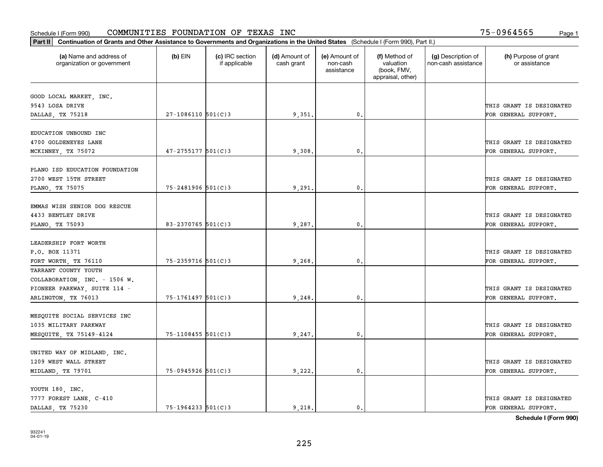|                                                       | Part II   Continuation of Grants and Other Assistance to Governments and Organizations in the United States (Schedule I (Form 990), Part II.) |                                  |                             |                                         |                                                                |                                           |                                       |  |  |  |  |
|-------------------------------------------------------|-----------------------------------------------------------------------------------------------------------------------------------------------|----------------------------------|-----------------------------|-----------------------------------------|----------------------------------------------------------------|-------------------------------------------|---------------------------------------|--|--|--|--|
| (a) Name and address of<br>organization or government | $(b)$ EIN                                                                                                                                     | (c) IRC section<br>if applicable | (d) Amount of<br>cash grant | (e) Amount of<br>non-cash<br>assistance | (f) Method of<br>valuation<br>(book, FMV,<br>appraisal, other) | (g) Description of<br>non-cash assistance | (h) Purpose of grant<br>or assistance |  |  |  |  |
| GOOD LOCAL MARKET, INC.                               |                                                                                                                                               |                                  |                             |                                         |                                                                |                                           |                                       |  |  |  |  |
| 9543 LOSA DRIVE                                       |                                                                                                                                               |                                  |                             |                                         |                                                                |                                           | THIS GRANT IS DESIGNATED              |  |  |  |  |
| DALLAS, TX 75218                                      | $27-1086110$ 501(C)3                                                                                                                          |                                  | 9,351.                      | 0.                                      |                                                                |                                           | FOR GENERAL SUPPORT.                  |  |  |  |  |
|                                                       |                                                                                                                                               |                                  |                             |                                         |                                                                |                                           |                                       |  |  |  |  |
| EDUCATION UNBOUND INC                                 |                                                                                                                                               |                                  |                             |                                         |                                                                |                                           |                                       |  |  |  |  |
| 4700 GOLDENEYES LANE                                  |                                                                                                                                               |                                  |                             |                                         |                                                                |                                           | THIS GRANT IS DESIGNATED              |  |  |  |  |
| MCKINNEY, TX 75072                                    | $47 - 2755177$ 501(C)3                                                                                                                        |                                  | 9,308                       | $\mathbf{0}$                            |                                                                |                                           | FOR GENERAL SUPPORT.                  |  |  |  |  |
|                                                       |                                                                                                                                               |                                  |                             |                                         |                                                                |                                           |                                       |  |  |  |  |
| PLANO ISD EDUCATION FOUNDATION                        |                                                                                                                                               |                                  |                             |                                         |                                                                |                                           |                                       |  |  |  |  |
| 2700 WEST 15TH STREET                                 |                                                                                                                                               |                                  |                             |                                         |                                                                |                                           | THIS GRANT IS DESIGNATED              |  |  |  |  |
| PLANO, TX 75075                                       | 75-2481906 501(C)3                                                                                                                            |                                  | 9,291                       | $\mathbf{0}$ .                          |                                                                |                                           | FOR GENERAL SUPPORT.                  |  |  |  |  |
|                                                       |                                                                                                                                               |                                  |                             |                                         |                                                                |                                           |                                       |  |  |  |  |
| EMMAS WISH SENIOR DOG RESCUE                          |                                                                                                                                               |                                  |                             |                                         |                                                                |                                           |                                       |  |  |  |  |
| 4433 BENTLEY DRIVE                                    |                                                                                                                                               |                                  |                             |                                         |                                                                |                                           | THIS GRANT IS DESIGNATED              |  |  |  |  |
| PLANO, TX 75093                                       | $83 - 2370765$ 501(C)3                                                                                                                        |                                  | 9,287.                      | $\mathbf{0}$ .                          |                                                                |                                           | FOR GENERAL SUPPORT.                  |  |  |  |  |
|                                                       |                                                                                                                                               |                                  |                             |                                         |                                                                |                                           |                                       |  |  |  |  |
| LEADERSHIP FORT WORTH                                 |                                                                                                                                               |                                  |                             |                                         |                                                                |                                           |                                       |  |  |  |  |
| P.O. BOX 11371                                        |                                                                                                                                               |                                  |                             |                                         |                                                                |                                           | THIS GRANT IS DESIGNATED              |  |  |  |  |
| FORT WORTH, TX 76110                                  | 75-2359716 501(C)3                                                                                                                            |                                  | 9,268.                      | 0.                                      |                                                                |                                           | FOR GENERAL SUPPORT.                  |  |  |  |  |
| TARRANT COUNTY YOUTH                                  |                                                                                                                                               |                                  |                             |                                         |                                                                |                                           |                                       |  |  |  |  |
| COLLABORATION, INC. - 1506 W.                         |                                                                                                                                               |                                  |                             |                                         |                                                                |                                           |                                       |  |  |  |  |
| PIONEER PARKWAY, SUITE 114 -                          |                                                                                                                                               |                                  |                             |                                         |                                                                |                                           | THIS GRANT IS DESIGNATED              |  |  |  |  |
| ARLINGTON, TX 76013                                   | 75-1761497 501(C)3                                                                                                                            |                                  | 9,248.                      | 0.                                      |                                                                |                                           | FOR GENERAL SUPPORT.                  |  |  |  |  |
|                                                       |                                                                                                                                               |                                  |                             |                                         |                                                                |                                           |                                       |  |  |  |  |
| MESQUITE SOCIAL SERVICES INC                          |                                                                                                                                               |                                  |                             |                                         |                                                                |                                           |                                       |  |  |  |  |
| 1035 MILITARY PARKWAY                                 |                                                                                                                                               |                                  |                             |                                         |                                                                |                                           | THIS GRANT IS DESIGNATED              |  |  |  |  |
| MESQUITE, TX 75149-4124                               | 75-1108455 501(C)3                                                                                                                            |                                  | 9,247.                      | $\mathfrak{o}$ .                        |                                                                |                                           | FOR GENERAL SUPPORT.                  |  |  |  |  |
|                                                       |                                                                                                                                               |                                  |                             |                                         |                                                                |                                           |                                       |  |  |  |  |
| UNITED WAY OF MIDLAND, INC.                           |                                                                                                                                               |                                  |                             |                                         |                                                                |                                           |                                       |  |  |  |  |
| 1209 WEST WALL STREET                                 |                                                                                                                                               |                                  |                             |                                         |                                                                |                                           | THIS GRANT IS DESIGNATED              |  |  |  |  |
| MIDLAND, TX 79701                                     | 75-0945926 501(C)3                                                                                                                            |                                  | 9,222.                      | $\mathbf{0}$ .                          |                                                                |                                           | FOR GENERAL SUPPORT.                  |  |  |  |  |
|                                                       |                                                                                                                                               |                                  |                             |                                         |                                                                |                                           |                                       |  |  |  |  |
| YOUTH 180, INC.                                       |                                                                                                                                               |                                  |                             |                                         |                                                                |                                           |                                       |  |  |  |  |
| 7777 FOREST LANE, C-410                               |                                                                                                                                               |                                  |                             |                                         |                                                                |                                           | THIS GRANT IS DESIGNATED              |  |  |  |  |
| DALLAS, TX 75230                                      | $75 - 1964233$ 501(C)3                                                                                                                        |                                  | 9.218.                      | $\mathbf{0}$ .                          |                                                                |                                           | FOR GENERAL SUPPORT.                  |  |  |  |  |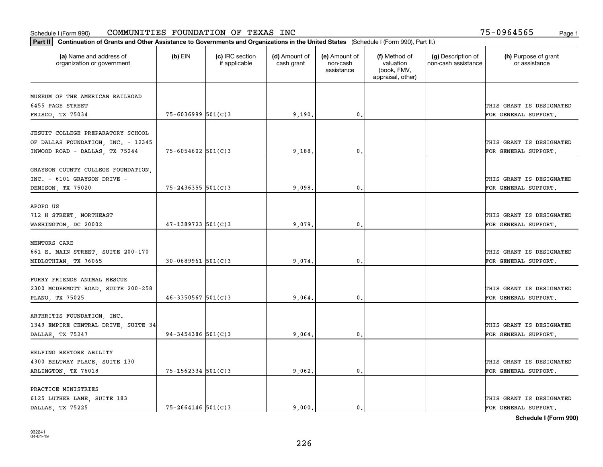|                                                                   | Part II   Continuation of Grants and Other Assistance to Governments and Organizations in the United States (Schedule I (Form 990), Part II.) |                                  |                             |                                         |                                                                |                                           |                                       |  |  |  |  |
|-------------------------------------------------------------------|-----------------------------------------------------------------------------------------------------------------------------------------------|----------------------------------|-----------------------------|-----------------------------------------|----------------------------------------------------------------|-------------------------------------------|---------------------------------------|--|--|--|--|
| (a) Name and address of<br>organization or government             | $(b)$ EIN                                                                                                                                     | (c) IRC section<br>if applicable | (d) Amount of<br>cash grant | (e) Amount of<br>non-cash<br>assistance | (f) Method of<br>valuation<br>(book, FMV,<br>appraisal, other) | (g) Description of<br>non-cash assistance | (h) Purpose of grant<br>or assistance |  |  |  |  |
|                                                                   |                                                                                                                                               |                                  |                             |                                         |                                                                |                                           |                                       |  |  |  |  |
| MUSEUM OF THE AMERICAN RAILROAD<br>6455 PAGE STREET               |                                                                                                                                               |                                  |                             |                                         |                                                                |                                           | THIS GRANT IS DESIGNATED              |  |  |  |  |
| FRISCO, TX 75034                                                  | $75 - 6036999$ 501(C)3                                                                                                                        |                                  | 9,190.                      | 0.                                      |                                                                |                                           | FOR GENERAL SUPPORT.                  |  |  |  |  |
|                                                                   |                                                                                                                                               |                                  |                             |                                         |                                                                |                                           |                                       |  |  |  |  |
| JESUIT COLLEGE PREPARATORY SCHOOL                                 |                                                                                                                                               |                                  |                             |                                         |                                                                |                                           |                                       |  |  |  |  |
| OF DALLAS FOUNDATION, INC. - 12345                                |                                                                                                                                               |                                  |                             |                                         |                                                                |                                           | THIS GRANT IS DESIGNATED              |  |  |  |  |
| INWOOD ROAD - DALLAS, TX 75244                                    | $75 - 6054602$ 501(C)3                                                                                                                        |                                  | 9,188                       | 0.                                      |                                                                |                                           | FOR GENERAL SUPPORT.                  |  |  |  |  |
|                                                                   |                                                                                                                                               |                                  |                             |                                         |                                                                |                                           |                                       |  |  |  |  |
| GRAYSON COUNTY COLLEGE FOUNDATION,                                |                                                                                                                                               |                                  |                             |                                         |                                                                |                                           |                                       |  |  |  |  |
| $INC. = 6101$ GRAYSON DRIVE -                                     |                                                                                                                                               |                                  |                             |                                         |                                                                |                                           | THIS GRANT IS DESIGNATED              |  |  |  |  |
| DENISON, TX 75020                                                 | $75 - 2436355$ 501(C)3                                                                                                                        |                                  | 9,098                       | $\mathbf 0$ .                           |                                                                |                                           | FOR GENERAL SUPPORT.                  |  |  |  |  |
| APOPO US                                                          |                                                                                                                                               |                                  |                             |                                         |                                                                |                                           |                                       |  |  |  |  |
| 712 H STREET, NORTHEAST                                           |                                                                                                                                               |                                  |                             |                                         |                                                                |                                           | THIS GRANT IS DESIGNATED              |  |  |  |  |
| WASHINGTON, DC 20002                                              | $47 - 1389723$ 501(C)3                                                                                                                        |                                  | 9,079.                      | 0.                                      |                                                                |                                           | FOR GENERAL SUPPORT.                  |  |  |  |  |
|                                                                   |                                                                                                                                               |                                  |                             |                                         |                                                                |                                           |                                       |  |  |  |  |
| MENTORS CARE                                                      |                                                                                                                                               |                                  |                             |                                         |                                                                |                                           |                                       |  |  |  |  |
| 661 E. MAIN STREET, SUITE 200-170                                 |                                                                                                                                               |                                  |                             |                                         |                                                                |                                           | THIS GRANT IS DESIGNATED              |  |  |  |  |
| MIDLOTHIAN, TX 76065                                              | $30 - 0689961$ 501(C)3                                                                                                                        |                                  | 9,074                       | 0                                       |                                                                |                                           | FOR GENERAL SUPPORT.                  |  |  |  |  |
|                                                                   |                                                                                                                                               |                                  |                             |                                         |                                                                |                                           |                                       |  |  |  |  |
| FURRY FRIENDS ANIMAL RESCUE                                       |                                                                                                                                               |                                  |                             |                                         |                                                                |                                           |                                       |  |  |  |  |
| 2300 MCDERMOTT ROAD, SUITE 200-258                                |                                                                                                                                               |                                  |                             |                                         |                                                                |                                           | THIS GRANT IS DESIGNATED              |  |  |  |  |
| PLANO, TX 75025                                                   | $46 - 3350567$ 501(C)3                                                                                                                        |                                  | 9,064                       | $\mathbf{0}$                            |                                                                |                                           | FOR GENERAL SUPPORT.                  |  |  |  |  |
|                                                                   |                                                                                                                                               |                                  |                             |                                         |                                                                |                                           |                                       |  |  |  |  |
| ARTHRITIS FOUNDATION, INC.<br>1349 EMPIRE CENTRAL DRIVE, SUITE 34 |                                                                                                                                               |                                  |                             |                                         |                                                                |                                           | THIS GRANT IS DESIGNATED              |  |  |  |  |
| DALLAS, TX 75247                                                  | $94 - 3454386$ 501(C)3                                                                                                                        |                                  | 9,064                       | $\mathbf{0}$ .                          |                                                                |                                           | FOR GENERAL SUPPORT.                  |  |  |  |  |
|                                                                   |                                                                                                                                               |                                  |                             |                                         |                                                                |                                           |                                       |  |  |  |  |
| HELPING RESTORE ABILITY                                           |                                                                                                                                               |                                  |                             |                                         |                                                                |                                           |                                       |  |  |  |  |
| 4300 BELTWAY PLACE, SUITE 130                                     |                                                                                                                                               |                                  |                             |                                         |                                                                |                                           | THIS GRANT IS DESIGNATED              |  |  |  |  |
| ARLINGTON, TX 76018                                               | $75 - 1562334$ 501(C)3                                                                                                                        |                                  | 9,062.                      | $\mathfrak{o}$ .                        |                                                                |                                           | FOR GENERAL SUPPORT.                  |  |  |  |  |
|                                                                   |                                                                                                                                               |                                  |                             |                                         |                                                                |                                           |                                       |  |  |  |  |
| PRACTICE MINISTRIES                                               |                                                                                                                                               |                                  |                             |                                         |                                                                |                                           |                                       |  |  |  |  |
| 6125 LUTHER LANE, SUITE 183                                       |                                                                                                                                               |                                  |                             |                                         |                                                                |                                           | THIS GRANT IS DESIGNATED              |  |  |  |  |
| DALLAS, TX 75225                                                  | $75 - 2664146$ 501(C)3                                                                                                                        |                                  | 9.000.                      | $\mathfrak{o}$ .                        |                                                                |                                           | FOR GENERAL SUPPORT.                  |  |  |  |  |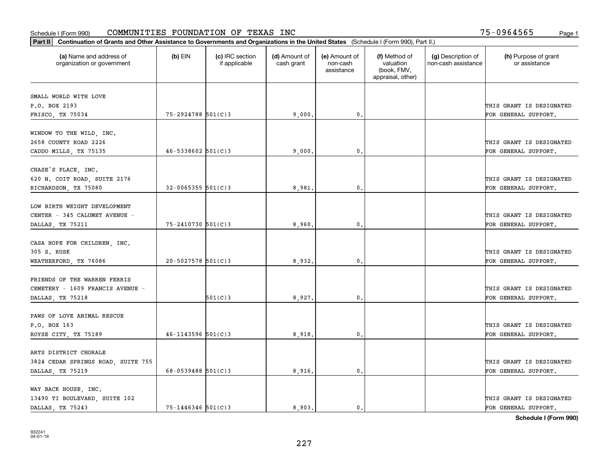| Part II   Continuation of Grants and Other Assistance to Governments and Organizations in the United States (Schedule I (Form 990), Part II.) |                        |                                  |                             |                                         |                                                                |                                           |                                       |
|-----------------------------------------------------------------------------------------------------------------------------------------------|------------------------|----------------------------------|-----------------------------|-----------------------------------------|----------------------------------------------------------------|-------------------------------------------|---------------------------------------|
| (a) Name and address of<br>organization or government                                                                                         | $(b)$ EIN              | (c) IRC section<br>if applicable | (d) Amount of<br>cash grant | (e) Amount of<br>non-cash<br>assistance | (f) Method of<br>valuation<br>(book, FMV,<br>appraisal, other) | (g) Description of<br>non-cash assistance | (h) Purpose of grant<br>or assistance |
|                                                                                                                                               |                        |                                  |                             |                                         |                                                                |                                           |                                       |
| SMALL WORLD WITH LOVE<br>P.O. BOX 2193                                                                                                        |                        |                                  |                             |                                         |                                                                |                                           | THIS GRANT IS DESIGNATED              |
| FRISCO, TX 75034                                                                                                                              | 75-2924788 501(C)3     |                                  | 9,000                       | 0.                                      |                                                                |                                           | FOR GENERAL SUPPORT.                  |
|                                                                                                                                               |                        |                                  |                             |                                         |                                                                |                                           |                                       |
| WINDOW TO THE WILD, INC.                                                                                                                      |                        |                                  |                             |                                         |                                                                |                                           |                                       |
| 2658 COUNTY ROAD 2226                                                                                                                         |                        |                                  |                             |                                         |                                                                |                                           | THIS GRANT IS DESIGNATED              |
| CADDO MILLS, TX 75135                                                                                                                         | $46 - 5338602$ 501(C)3 |                                  | 9,000                       | 0.                                      |                                                                |                                           | FOR GENERAL SUPPORT.                  |
|                                                                                                                                               |                        |                                  |                             |                                         |                                                                |                                           |                                       |
| CHASE'S PLACE, INC.                                                                                                                           |                        |                                  |                             |                                         |                                                                |                                           |                                       |
| 620 N. COIT ROAD, SUITE 2176                                                                                                                  |                        |                                  |                             |                                         |                                                                |                                           | THIS GRANT IS DESIGNATED              |
| RICHARDSON, TX 75080                                                                                                                          | $32 - 0065355$ 501(C)3 |                                  | 8,981.                      | $\mathfrak{o}$ .                        |                                                                |                                           | FOR GENERAL SUPPORT.                  |
|                                                                                                                                               |                        |                                  |                             |                                         |                                                                |                                           |                                       |
| LOW BIRTH WEIGHT DEVELOPMENT                                                                                                                  |                        |                                  |                             |                                         |                                                                |                                           |                                       |
| CENTER - 345 CALUMET AVENUE -                                                                                                                 |                        |                                  |                             |                                         |                                                                |                                           | THIS GRANT IS DESIGNATED              |
| DALLAS, TX 75211                                                                                                                              | $75 - 2410730$ 501(C)3 |                                  | 8,960                       | 0.                                      |                                                                |                                           | FOR GENERAL SUPPORT.                  |
|                                                                                                                                               |                        |                                  |                             |                                         |                                                                |                                           |                                       |
| CASA HOPE FOR CHILDREN, INC.                                                                                                                  |                        |                                  |                             |                                         |                                                                |                                           |                                       |
| 305 S. RUSK                                                                                                                                   |                        |                                  |                             |                                         |                                                                |                                           | THIS GRANT IS DESIGNATED              |
| WEATHERFORD, TX 76086                                                                                                                         | $20 - 5027578$ 501(C)3 |                                  | 8,932.                      | 0.                                      |                                                                |                                           | FOR GENERAL SUPPORT.                  |
| FRIENDS OF THE WARREN FERRIS                                                                                                                  |                        |                                  |                             |                                         |                                                                |                                           |                                       |
| CEMETERY - 1609 FRANCIS AVENUE -                                                                                                              |                        |                                  |                             |                                         |                                                                |                                           | THIS GRANT IS DESIGNATED              |
| DALLAS, TX 75218                                                                                                                              |                        | 501(C)3                          | 8,927                       | 0.                                      |                                                                |                                           | FOR GENERAL SUPPORT.                  |
|                                                                                                                                               |                        |                                  |                             |                                         |                                                                |                                           |                                       |
| PAWS OF LOVE ANIMAL RESCUE                                                                                                                    |                        |                                  |                             |                                         |                                                                |                                           |                                       |
| P.O. BOX 163                                                                                                                                  |                        |                                  |                             |                                         |                                                                |                                           | THIS GRANT IS DESIGNATED              |
| ROYSE CITY, TX 75189                                                                                                                          | $46 - 1143596$ 501(C)3 |                                  | 8,918                       | $^{\circ}$ .                            |                                                                |                                           | FOR GENERAL SUPPORT.                  |
|                                                                                                                                               |                        |                                  |                             |                                         |                                                                |                                           |                                       |
| ARTS DISTRICT CHORALE                                                                                                                         |                        |                                  |                             |                                         |                                                                |                                           |                                       |
| 3824 CEDAR SPRINGS ROAD, SUITE 755                                                                                                            |                        |                                  |                             |                                         |                                                                |                                           | THIS GRANT IS DESIGNATED              |
| DALLAS, TX 75219                                                                                                                              | 68-0539488 $501(C)$ 3  |                                  | 8,916,                      | 0.                                      |                                                                |                                           | FOR GENERAL SUPPORT.                  |
|                                                                                                                                               |                        |                                  |                             |                                         |                                                                |                                           |                                       |
| WAY BACK HOUSE, INC.                                                                                                                          |                        |                                  |                             |                                         |                                                                |                                           |                                       |
| 13490 TI BOULEVARD, SUITE 102                                                                                                                 |                        |                                  |                             |                                         |                                                                |                                           | THIS GRANT IS DESIGNATED              |
| DALLAS TX 75243                                                                                                                               | $75 - 1446346$ 501(C)3 |                                  | 8.903.                      | 0.                                      |                                                                |                                           | FOR GENERAL SUPPORT.                  |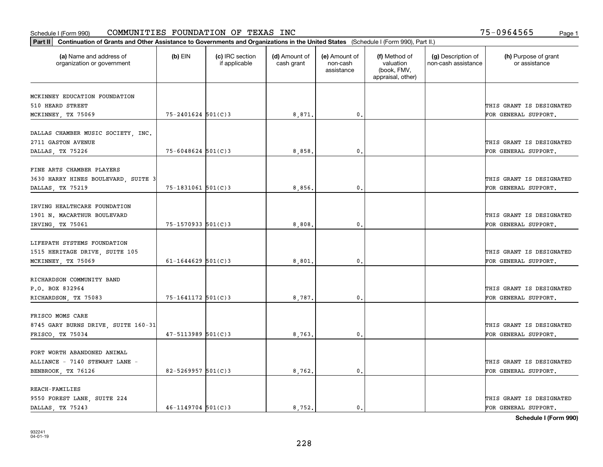| Part II   Continuation of Grants and Other Assistance to Governments and Organizations in the United States (Schedule I (Form 990), Part II.) |                        |                                  |                             |                                         |                                                                |                                           |                                       |
|-----------------------------------------------------------------------------------------------------------------------------------------------|------------------------|----------------------------------|-----------------------------|-----------------------------------------|----------------------------------------------------------------|-------------------------------------------|---------------------------------------|
| (a) Name and address of<br>organization or government                                                                                         | $(b)$ EIN              | (c) IRC section<br>if applicable | (d) Amount of<br>cash grant | (e) Amount of<br>non-cash<br>assistance | (f) Method of<br>valuation<br>(book, FMV,<br>appraisal, other) | (g) Description of<br>non-cash assistance | (h) Purpose of grant<br>or assistance |
|                                                                                                                                               |                        |                                  |                             |                                         |                                                                |                                           |                                       |
| MCKINNEY EDUCATION FOUNDATION<br>510 HEARD STREET                                                                                             |                        |                                  |                             |                                         |                                                                |                                           | THIS GRANT IS DESIGNATED              |
| MCKINNEY, TX 75069                                                                                                                            | $75 - 2401624$ 501(C)3 |                                  | 8,871.                      | 0.                                      |                                                                |                                           | FOR GENERAL SUPPORT.                  |
|                                                                                                                                               |                        |                                  |                             |                                         |                                                                |                                           |                                       |
| DALLAS CHAMBER MUSIC SOCIETY, INC.                                                                                                            |                        |                                  |                             |                                         |                                                                |                                           |                                       |
| 2711 GASTON AVENUE                                                                                                                            |                        |                                  |                             |                                         |                                                                |                                           | THIS GRANT IS DESIGNATED              |
| DALLAS, TX 75226                                                                                                                              | $75 - 6048624$ 501(C)3 |                                  | 8,858                       | $\mathbf{0}$                            |                                                                |                                           | FOR GENERAL SUPPORT.                  |
|                                                                                                                                               |                        |                                  |                             |                                         |                                                                |                                           |                                       |
| FINE ARTS CHAMBER PLAYERS                                                                                                                     |                        |                                  |                             |                                         |                                                                |                                           |                                       |
| 3630 HARRY HINES BOULEVARD, SUITE 3                                                                                                           |                        |                                  |                             |                                         |                                                                |                                           | THIS GRANT IS DESIGNATED              |
| DALLAS, TX 75219                                                                                                                              | $75 - 1831061$ 501(C)3 |                                  | 8,856.                      | $\mathbf{0}$ .                          |                                                                |                                           | FOR GENERAL SUPPORT.                  |
| IRVING HEALTHCARE FOUNDATION                                                                                                                  |                        |                                  |                             |                                         |                                                                |                                           |                                       |
| 1901 N. MACARTHUR BOULEVARD                                                                                                                   |                        |                                  |                             |                                         |                                                                |                                           | THIS GRANT IS DESIGNATED              |
| IRVING, TX 75061                                                                                                                              | 75-1570933 501(C)3     |                                  | 8,808                       | $\mathbf{0}$                            |                                                                |                                           | FOR GENERAL SUPPORT.                  |
|                                                                                                                                               |                        |                                  |                             |                                         |                                                                |                                           |                                       |
| LIFEPATH SYSTEMS FOUNDATION                                                                                                                   |                        |                                  |                             |                                         |                                                                |                                           |                                       |
| 1515 HERITAGE DRIVE, SUITE 105                                                                                                                |                        |                                  |                             |                                         |                                                                |                                           | THIS GRANT IS DESIGNATED              |
| MCKINNEY, TX 75069                                                                                                                            | $61 - 1644629$ 501(C)3 |                                  | 8,801                       | $\mathbf{0}$                            |                                                                |                                           | FOR GENERAL SUPPORT.                  |
|                                                                                                                                               |                        |                                  |                             |                                         |                                                                |                                           |                                       |
| RICHARDSON COMMUNITY BAND                                                                                                                     |                        |                                  |                             |                                         |                                                                |                                           |                                       |
| P.O. BOX 832964                                                                                                                               |                        |                                  |                             |                                         |                                                                |                                           | THIS GRANT IS DESIGNATED              |
| RICHARDSON, TX 75083                                                                                                                          | 75-1641172 501(C)3     |                                  | 8,787.                      | $\mathbf{0}$                            |                                                                |                                           | FOR GENERAL SUPPORT.                  |
| FRISCO MOMS CARE                                                                                                                              |                        |                                  |                             |                                         |                                                                |                                           |                                       |
| 8745 GARY BURNS DRIVE, SUITE 160-31                                                                                                           |                        |                                  |                             |                                         |                                                                |                                           | THIS GRANT IS DESIGNATED              |
| FRISCO, TX 75034                                                                                                                              | $47 - 5113989$ 501(C)3 |                                  | 8,763.                      | $^{\rm 0}$ .                            |                                                                |                                           | FOR GENERAL SUPPORT.                  |
|                                                                                                                                               |                        |                                  |                             |                                         |                                                                |                                           |                                       |
| FORT WORTH ABANDONED ANIMAL                                                                                                                   |                        |                                  |                             |                                         |                                                                |                                           |                                       |
| ALLIANCE - 7140 STEWART LANE -                                                                                                                |                        |                                  |                             |                                         |                                                                |                                           | THIS GRANT IS DESIGNATED              |
| BENBROOK, TX 76126                                                                                                                            | $82 - 5269957$ 501(C)3 |                                  | 8,762.                      | $\mathfrak{o}$ .                        |                                                                |                                           | FOR GENERAL SUPPORT.                  |
|                                                                                                                                               |                        |                                  |                             |                                         |                                                                |                                           |                                       |
| <b>REACH-FAMILIES</b>                                                                                                                         |                        |                                  |                             |                                         |                                                                |                                           |                                       |
| 9550 FOREST LANE, SUITE 224                                                                                                                   |                        |                                  |                             |                                         |                                                                |                                           | THIS GRANT IS DESIGNATED              |
| DALLAS, TX 75243                                                                                                                              | $46 - 1149704$ 501(C)3 |                                  | 8.752.                      | $\mathbf{0}$ .                          |                                                                |                                           | FOR GENERAL SUPPORT.                  |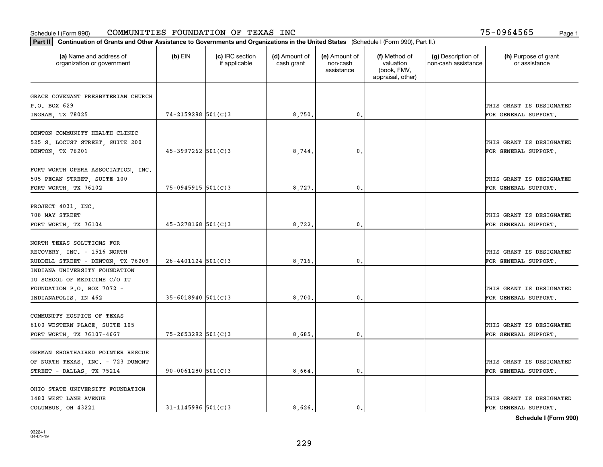| Part II   Continuation of Grants and Other Assistance to Governments and Organizations in the United States (Schedule I (Form 990), Part II.) |                        |                                  |                             |                                         |                                                                |                                           |                                                  |
|-----------------------------------------------------------------------------------------------------------------------------------------------|------------------------|----------------------------------|-----------------------------|-----------------------------------------|----------------------------------------------------------------|-------------------------------------------|--------------------------------------------------|
| (a) Name and address of<br>organization or government                                                                                         | $(b)$ EIN              | (c) IRC section<br>if applicable | (d) Amount of<br>cash grant | (e) Amount of<br>non-cash<br>assistance | (f) Method of<br>valuation<br>(book, FMV,<br>appraisal, other) | (g) Description of<br>non-cash assistance | (h) Purpose of grant<br>or assistance            |
|                                                                                                                                               |                        |                                  |                             |                                         |                                                                |                                           |                                                  |
| GRACE COVENANT PRESBYTERIAN CHURCH                                                                                                            |                        |                                  |                             |                                         |                                                                |                                           |                                                  |
| P.O. BOX 629<br>INGRAM, TX 78025                                                                                                              | 74-2159298 501(C)3     |                                  | 8,750.                      | 0.                                      |                                                                |                                           | THIS GRANT IS DESIGNATED<br>FOR GENERAL SUPPORT. |
|                                                                                                                                               |                        |                                  |                             |                                         |                                                                |                                           |                                                  |
| DENTON COMMUNITY HEALTH CLINIC<br>525 S. LOCUST STREET, SUITE 200<br>DENTON, TX 76201                                                         | 45-3997262 501(C)3     |                                  | 8,744                       | $\mathbf{0}$                            |                                                                |                                           | THIS GRANT IS DESIGNATED<br>FOR GENERAL SUPPORT. |
|                                                                                                                                               |                        |                                  |                             |                                         |                                                                |                                           |                                                  |
| FORT WORTH OPERA ASSOCIATION, INC.<br>505 PECAN STREET, SUITE 100<br>FORT WORTH, TX 76102                                                     | 75-0945915 501(C)3     |                                  | 8,727.                      | $\mathbf{0}$ .                          |                                                                |                                           | THIS GRANT IS DESIGNATED<br>FOR GENERAL SUPPORT. |
|                                                                                                                                               |                        |                                  |                             |                                         |                                                                |                                           |                                                  |
| PROJECT 4031, INC.                                                                                                                            |                        |                                  |                             |                                         |                                                                |                                           |                                                  |
| 708 MAY STREET                                                                                                                                |                        |                                  |                             |                                         |                                                                |                                           | THIS GRANT IS DESIGNATED                         |
| FORT WORTH, TX 76104                                                                                                                          | 45-3278168 501(C)3     |                                  | 8,722.                      | $\mathbf{0}$ .                          |                                                                |                                           | FOR GENERAL SUPPORT.                             |
| NORTH TEXAS SOLUTIONS FOR<br>RECOVERY, INC. - 1516 NORTH                                                                                      |                        |                                  |                             |                                         |                                                                |                                           | THIS GRANT IS DESIGNATED                         |
| RUDDELL STREET - DENTON, TX 76209                                                                                                             | $26 - 4401124$ 501(C)3 |                                  | 8,716.                      | $\mathbf{0}$                            |                                                                |                                           | FOR GENERAL SUPPORT.                             |
| INDIANA UNIVERSITY FOUNDATION                                                                                                                 |                        |                                  |                             |                                         |                                                                |                                           |                                                  |
| IU SCHOOL OF MEDICINE C/O IU                                                                                                                  |                        |                                  |                             |                                         |                                                                |                                           |                                                  |
| FOUNDATION P.O. BOX 7072 -                                                                                                                    |                        |                                  |                             |                                         |                                                                |                                           | THIS GRANT IS DESIGNATED                         |
| INDIANAPOLIS, IN 462                                                                                                                          | $35 - 6018940$ 501(C)3 |                                  | 8,700                       | $\mathbf{0}$                            |                                                                |                                           | FOR GENERAL SUPPORT.                             |
| COMMUNITY HOSPICE OF TEXAS<br>6100 WESTERN PLACE, SUITE 105                                                                                   |                        |                                  |                             |                                         |                                                                |                                           | THIS GRANT IS DESIGNATED                         |
| FORT WORTH, TX 76107-4667                                                                                                                     | 75-2653292 501(C)3     |                                  | 8,685.                      | 0.                                      |                                                                |                                           | FOR GENERAL SUPPORT.                             |
|                                                                                                                                               |                        |                                  |                             |                                         |                                                                |                                           |                                                  |
| GERMAN SHORTHAIRED POINTER RESCUE                                                                                                             |                        |                                  |                             |                                         |                                                                |                                           |                                                  |
| OF NORTH TEXAS, INC. - 723 DUMONT                                                                                                             |                        |                                  |                             |                                         |                                                                |                                           | THIS GRANT IS DESIGNATED                         |
| STREET - DALLAS, TX 75214                                                                                                                     | $90 - 0061280$ 501(C)3 |                                  | 8,664.                      | $\mathfrak o$ .                         |                                                                |                                           | FOR GENERAL SUPPORT.                             |
|                                                                                                                                               |                        |                                  |                             |                                         |                                                                |                                           |                                                  |
| OHIO STATE UNIVERSITY FOUNDATION                                                                                                              |                        |                                  |                             |                                         |                                                                |                                           |                                                  |
| 1480 WEST LANE AVENUE                                                                                                                         |                        |                                  |                             |                                         |                                                                |                                           | THIS GRANT IS DESIGNATED                         |
| COLUMBUS OH 43221                                                                                                                             | $31 - 1145986$ 501(C)3 |                                  | 8,626.                      | $\mathfrak{o}$ .                        |                                                                |                                           | FOR GENERAL SUPPORT.                             |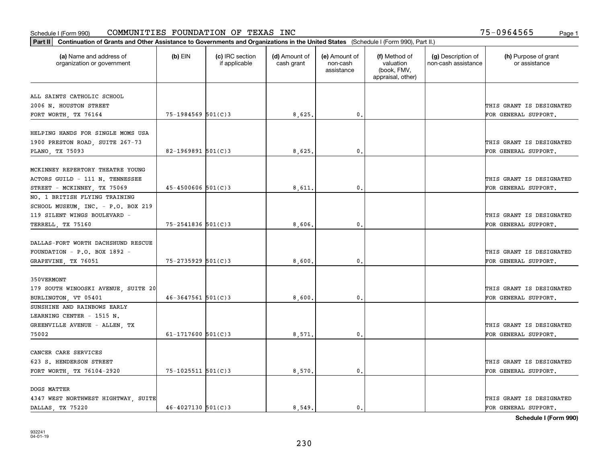|                                                                                                    |                        |                                  | Part II   Continuation of Grants and Other Assistance to Governments and Organizations in the United States (Schedule I (Form 990), Part II.) |                                         |                                                                |                                           |                                                  |  |  |  |  |  |  |
|----------------------------------------------------------------------------------------------------|------------------------|----------------------------------|-----------------------------------------------------------------------------------------------------------------------------------------------|-----------------------------------------|----------------------------------------------------------------|-------------------------------------------|--------------------------------------------------|--|--|--|--|--|--|
| (a) Name and address of<br>organization or government                                              | $(b)$ EIN              | (c) IRC section<br>if applicable | (d) Amount of<br>cash grant                                                                                                                   | (e) Amount of<br>non-cash<br>assistance | (f) Method of<br>valuation<br>(book, FMV,<br>appraisal, other) | (g) Description of<br>non-cash assistance | (h) Purpose of grant<br>or assistance            |  |  |  |  |  |  |
|                                                                                                    |                        |                                  |                                                                                                                                               |                                         |                                                                |                                           |                                                  |  |  |  |  |  |  |
| ALL SAINTS CATHOLIC SCHOOL<br>2006 N. HOUSTON STREET                                               |                        |                                  |                                                                                                                                               |                                         |                                                                |                                           | THIS GRANT IS DESIGNATED                         |  |  |  |  |  |  |
| FORT WORTH, TX 76164                                                                               | $75 - 1984569$ 501(C)3 |                                  | 8,625.                                                                                                                                        | 0.                                      |                                                                |                                           | FOR GENERAL SUPPORT.                             |  |  |  |  |  |  |
|                                                                                                    |                        |                                  |                                                                                                                                               |                                         |                                                                |                                           |                                                  |  |  |  |  |  |  |
| HELPING HANDS FOR SINGLE MOMS USA<br>1900 PRESTON ROAD, SUITE 267-73                               |                        |                                  |                                                                                                                                               |                                         |                                                                |                                           | THIS GRANT IS DESIGNATED                         |  |  |  |  |  |  |
| PLANO, TX 75093                                                                                    | 82-1969891 $501(C)$ 3  |                                  | 8,625                                                                                                                                         | $\mathbf{0}$                            |                                                                |                                           | FOR GENERAL SUPPORT.                             |  |  |  |  |  |  |
| MCKINNEY REPERTORY THEATRE YOUNG<br>ACTORS GUILD - 111 N. TENNESSEE<br>STREET - MCKINNEY, TX 75069 | $45 - 4500606$ 501(C)3 |                                  | 8,611                                                                                                                                         | $\mathbf{0}$ .                          |                                                                |                                           | THIS GRANT IS DESIGNATED<br>FOR GENERAL SUPPORT. |  |  |  |  |  |  |
| NO. 1 BRITISH FLYING TRAINING                                                                      |                        |                                  |                                                                                                                                               |                                         |                                                                |                                           |                                                  |  |  |  |  |  |  |
| SCHOOL MUSEUM, INC. - P.O. BOX 219<br>119 SILENT WINGS BOULEVARD -                                 |                        |                                  |                                                                                                                                               |                                         |                                                                |                                           | THIS GRANT IS DESIGNATED                         |  |  |  |  |  |  |
| TERRELL, TX 75160                                                                                  | 75-2541836 501(C)3     |                                  | 8,606                                                                                                                                         | $\mathbf{0}$ .                          |                                                                |                                           | FOR GENERAL SUPPORT.                             |  |  |  |  |  |  |
| DALLAS-FORT WORTH DACHSHUND RESCUE<br>FOUNDATION - P.O. BOX 1892 -<br>GRAPEVINE, TX 76051          | 75-2735929 501(C)3     |                                  | 8,600.                                                                                                                                        | 0.                                      |                                                                |                                           | THIS GRANT IS DESIGNATED<br>FOR GENERAL SUPPORT. |  |  |  |  |  |  |
| 350VERMONT                                                                                         |                        |                                  |                                                                                                                                               |                                         |                                                                |                                           |                                                  |  |  |  |  |  |  |
| 179 SOUTH WINOOSKI AVENUE, SUITE 20                                                                |                        |                                  |                                                                                                                                               |                                         |                                                                |                                           | THIS GRANT IS DESIGNATED                         |  |  |  |  |  |  |
| BURLINGTON, VT 05401                                                                               | $46 - 3647561$ 501(C)3 |                                  | 8,600.                                                                                                                                        | 0.                                      |                                                                |                                           | FOR GENERAL SUPPORT.                             |  |  |  |  |  |  |
| SUNSHINE AND RAINBOWS EARLY<br>LEARNING CENTER - 1515 N.                                           |                        |                                  |                                                                                                                                               |                                         |                                                                |                                           |                                                  |  |  |  |  |  |  |
| GREENVILLE AVENUE - ALLEN, TX                                                                      |                        |                                  |                                                                                                                                               |                                         |                                                                |                                           | THIS GRANT IS DESIGNATED                         |  |  |  |  |  |  |
| 75002                                                                                              | 61-1717600 $501(C)3$   |                                  | 8,571                                                                                                                                         | $\mathbf{0}$ .                          |                                                                |                                           | FOR GENERAL SUPPORT.                             |  |  |  |  |  |  |
| CANCER CARE SERVICES                                                                               |                        |                                  |                                                                                                                                               |                                         |                                                                |                                           |                                                  |  |  |  |  |  |  |
| 623 S. HENDERSON STREET                                                                            |                        |                                  |                                                                                                                                               |                                         |                                                                |                                           | THIS GRANT IS DESIGNATED                         |  |  |  |  |  |  |
| FORT WORTH, TX 76104-2920                                                                          | 75-1025511 501(C)3     |                                  | 8,570.                                                                                                                                        | $\mathbf{0}$ .                          |                                                                |                                           | FOR GENERAL SUPPORT.                             |  |  |  |  |  |  |
| DOGS MATTER                                                                                        |                        |                                  |                                                                                                                                               |                                         |                                                                |                                           |                                                  |  |  |  |  |  |  |
| 4347 WEST NORTHWEST HIGHTWAY, SUITE                                                                |                        |                                  |                                                                                                                                               |                                         |                                                                |                                           | THIS GRANT IS DESIGNATED                         |  |  |  |  |  |  |
| DALLAS, TX 75220                                                                                   | 46-4027130 501(C)3     |                                  | 8.549.                                                                                                                                        | $\mathbf{0}$ .                          |                                                                |                                           | FOR GENERAL SUPPORT.                             |  |  |  |  |  |  |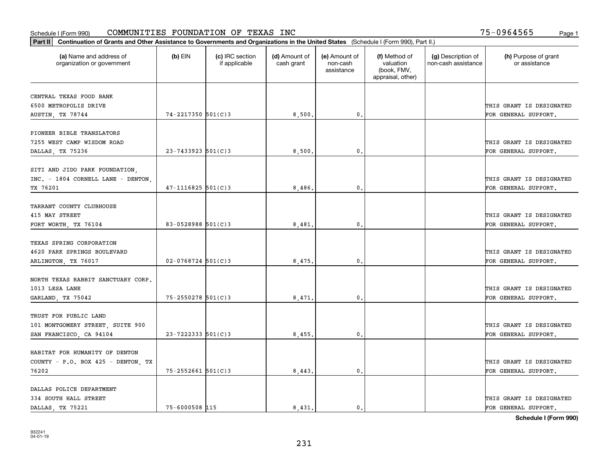| Part II   Continuation of Grants and Other Assistance to Governments and Organizations in the United States (Schedule I (Form 990), Part II.) |                        |                                  |                             |                                         |                                                                |                                           |                                       |
|-----------------------------------------------------------------------------------------------------------------------------------------------|------------------------|----------------------------------|-----------------------------|-----------------------------------------|----------------------------------------------------------------|-------------------------------------------|---------------------------------------|
| (a) Name and address of<br>organization or government                                                                                         | $(b)$ EIN              | (c) IRC section<br>if applicable | (d) Amount of<br>cash grant | (e) Amount of<br>non-cash<br>assistance | (f) Method of<br>valuation<br>(book, FMV,<br>appraisal, other) | (g) Description of<br>non-cash assistance | (h) Purpose of grant<br>or assistance |
| CENTRAL TEXAS FOOD BANK                                                                                                                       |                        |                                  |                             |                                         |                                                                |                                           |                                       |
| 6500 METROPOLIS DRIVE                                                                                                                         |                        |                                  |                             |                                         |                                                                |                                           | THIS GRANT IS DESIGNATED              |
| AUSTIN, TX 78744                                                                                                                              | $74 - 2217350$ 501(C)3 |                                  | 8,500.                      | 0.                                      |                                                                |                                           | FOR GENERAL SUPPORT.                  |
|                                                                                                                                               |                        |                                  |                             |                                         |                                                                |                                           |                                       |
| PIONEER BIBLE TRANSLATORS                                                                                                                     |                        |                                  |                             |                                         |                                                                |                                           |                                       |
| 7255 WEST CAMP WISDOM ROAD                                                                                                                    |                        |                                  |                             |                                         |                                                                |                                           | THIS GRANT IS DESIGNATED              |
| DALLAS, TX 75236                                                                                                                              | $23 - 7433923$ 501(C)3 |                                  | 8,500                       | 0.                                      |                                                                |                                           | FOR GENERAL SUPPORT.                  |
|                                                                                                                                               |                        |                                  |                             |                                         |                                                                |                                           |                                       |
| SITI AND JIDO PARK FOUNDATION,                                                                                                                |                        |                                  |                             |                                         |                                                                |                                           |                                       |
| INC. - 1804 CORNELL LANE - DENTON,                                                                                                            |                        |                                  |                             |                                         |                                                                |                                           | THIS GRANT IS DESIGNATED              |
| TX 76201                                                                                                                                      | $47 - 1116825$ 501(C)3 |                                  | 8,486                       | $\mathbf{0}$ .                          |                                                                |                                           | FOR GENERAL SUPPORT.                  |
| TARRANT COUNTY CLUBHOUSE                                                                                                                      |                        |                                  |                             |                                         |                                                                |                                           |                                       |
| 415 MAY STREET                                                                                                                                |                        |                                  |                             |                                         |                                                                |                                           | THIS GRANT IS DESIGNATED              |
| FORT WORTH, TX 76104                                                                                                                          | $83 - 0528988$ 501(C)3 |                                  | 8,481                       | $\mathbf{0}$ .                          |                                                                |                                           | FOR GENERAL SUPPORT.                  |
|                                                                                                                                               |                        |                                  |                             |                                         |                                                                |                                           |                                       |
| TEXAS SPRING CORPORATION                                                                                                                      |                        |                                  |                             |                                         |                                                                |                                           |                                       |
| 4620 PARK SPRINGS BOULEVARD                                                                                                                   |                        |                                  |                             |                                         |                                                                |                                           | THIS GRANT IS DESIGNATED              |
| ARLINGTON, TX 76017                                                                                                                           | $02 - 0768724$ 501(C)3 |                                  | 8,475                       | 0.                                      |                                                                |                                           | FOR GENERAL SUPPORT.                  |
|                                                                                                                                               |                        |                                  |                             |                                         |                                                                |                                           |                                       |
| NORTH TEXAS RABBIT SANCTUARY CORP.                                                                                                            |                        |                                  |                             |                                         |                                                                |                                           |                                       |
| 1013 LESA LANE                                                                                                                                |                        |                                  |                             |                                         |                                                                |                                           | THIS GRANT IS DESIGNATED              |
| GARLAND, TX 75042                                                                                                                             | 75-2550278 501(C)3     |                                  | 8,471                       | 0.                                      |                                                                |                                           | FOR GENERAL SUPPORT.                  |
|                                                                                                                                               |                        |                                  |                             |                                         |                                                                |                                           |                                       |
| TRUST FOR PUBLIC LAND<br>101 MONTGOMERY STREET, SUITE 900                                                                                     |                        |                                  |                             |                                         |                                                                |                                           | THIS GRANT IS DESIGNATED              |
|                                                                                                                                               | $23 - 7222333$ 501(C)3 |                                  |                             |                                         |                                                                |                                           |                                       |
| SAN FRANCISCO, CA 94104                                                                                                                       |                        |                                  | 8,455.                      | $\mathbf{0}$ .                          |                                                                |                                           | FOR GENERAL SUPPORT.                  |
| HABITAT FOR HUMANITY OF DENTON                                                                                                                |                        |                                  |                             |                                         |                                                                |                                           |                                       |
| COUNTY - P.O. BOX 425 - DENTON, TX                                                                                                            |                        |                                  |                             |                                         |                                                                |                                           | THIS GRANT IS DESIGNATED              |
| 76202                                                                                                                                         | $75 - 2552661$ 501(C)3 |                                  | 8,443.                      | $\mathfrak o$ .                         |                                                                |                                           | FOR GENERAL SUPPORT.                  |
|                                                                                                                                               |                        |                                  |                             |                                         |                                                                |                                           |                                       |
| DALLAS POLICE DEPARTMENT                                                                                                                      |                        |                                  |                             |                                         |                                                                |                                           |                                       |
| 334 SOUTH HALL STREET                                                                                                                         |                        |                                  |                             |                                         |                                                                |                                           | THIS GRANT IS DESIGNATED              |
| DALLAS, TX 75221                                                                                                                              | 75-6000508 115         |                                  | 8,431.                      | $\mathbf{0}$ .                          |                                                                |                                           | FOR GENERAL SUPPORT.                  |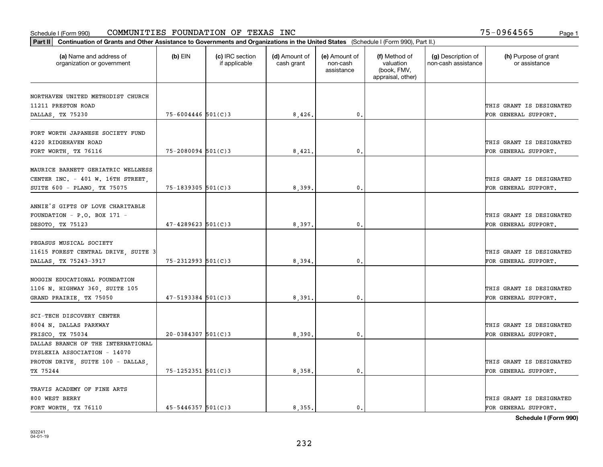| Part II   Continuation of Grants and Other Assistance to Governments and Organizations in the United States (Schedule I (Form 990), Part II.) |                        |                                  |                             |                                         |                                                                |                                           |                                       |
|-----------------------------------------------------------------------------------------------------------------------------------------------|------------------------|----------------------------------|-----------------------------|-----------------------------------------|----------------------------------------------------------------|-------------------------------------------|---------------------------------------|
| (a) Name and address of<br>organization or government                                                                                         | $(b)$ EIN              | (c) IRC section<br>if applicable | (d) Amount of<br>cash grant | (e) Amount of<br>non-cash<br>assistance | (f) Method of<br>valuation<br>(book, FMV,<br>appraisal, other) | (g) Description of<br>non-cash assistance | (h) Purpose of grant<br>or assistance |
| NORTHAVEN UNITED METHODIST CHURCH                                                                                                             |                        |                                  |                             |                                         |                                                                |                                           |                                       |
| 11211 PRESTON ROAD                                                                                                                            |                        |                                  |                             |                                         |                                                                |                                           | THIS GRANT IS DESIGNATED              |
| DALLAS, TX 75230                                                                                                                              | $75 - 6004446$ 501(C)3 |                                  | 8,426.                      | $\mathfrak o$ .                         |                                                                |                                           | FOR GENERAL SUPPORT.                  |
|                                                                                                                                               |                        |                                  |                             |                                         |                                                                |                                           |                                       |
| FORT WORTH JAPANESE SOCIETY FUND                                                                                                              |                        |                                  |                             |                                         |                                                                |                                           |                                       |
| 4220 RIDGEHAVEN ROAD                                                                                                                          |                        |                                  |                             |                                         |                                                                |                                           | THIS GRANT IS DESIGNATED              |
| FORT WORTH, TX 76116                                                                                                                          | $75 - 2080094$ 501(C)3 |                                  | 8,421                       | 0.                                      |                                                                |                                           | FOR GENERAL SUPPORT.                  |
|                                                                                                                                               |                        |                                  |                             |                                         |                                                                |                                           |                                       |
| MAURICE BARNETT GERIATRIC WELLNESS                                                                                                            |                        |                                  |                             |                                         |                                                                |                                           |                                       |
| CENTER INC. - 401 W. 16TH STREET,                                                                                                             |                        |                                  |                             |                                         |                                                                |                                           | THIS GRANT IS DESIGNATED              |
| SUITE 600 - PLANO, TX 75075                                                                                                                   | $75 - 1839305$ 501(C)3 |                                  | 8,399.                      | $\mathfrak o$ .                         |                                                                |                                           | FOR GENERAL SUPPORT.                  |
|                                                                                                                                               |                        |                                  |                             |                                         |                                                                |                                           |                                       |
| ANNIE'S GIFTS OF LOVE CHARITABLE                                                                                                              |                        |                                  |                             |                                         |                                                                |                                           |                                       |
| FOUNDATION - P.O. BOX 171 -                                                                                                                   |                        |                                  |                             |                                         |                                                                |                                           | THIS GRANT IS DESIGNATED              |
| DESOTO, TX 75123                                                                                                                              | $47 - 4289623$ 501(C)3 |                                  | 8,397                       | 0.                                      |                                                                |                                           | FOR GENERAL SUPPORT.                  |
|                                                                                                                                               |                        |                                  |                             |                                         |                                                                |                                           |                                       |
| PEGASUS MUSICAL SOCIETY                                                                                                                       |                        |                                  |                             |                                         |                                                                |                                           |                                       |
| 11615 FOREST CENTRAL DRIVE, SUITE 3                                                                                                           |                        |                                  |                             |                                         |                                                                |                                           | THIS GRANT IS DESIGNATED              |
| DALLAS, TX 75243-3917                                                                                                                         | $75 - 2312993$ 501(C)3 |                                  | 8,394                       | 0                                       |                                                                |                                           | FOR GENERAL SUPPORT.                  |
|                                                                                                                                               |                        |                                  |                             |                                         |                                                                |                                           |                                       |
| NOGGIN EDUCATIONAL FOUNDATION                                                                                                                 |                        |                                  |                             |                                         |                                                                |                                           |                                       |
| 1106 N. HIGHWAY 360, SUITE 105                                                                                                                |                        |                                  |                             |                                         |                                                                |                                           | THIS GRANT IS DESIGNATED              |
| GRAND PRAIRIE, TX 75050                                                                                                                       | $47 - 5193384$ 501(C)3 |                                  | 8,391                       | $\mathbf{0}$                            |                                                                |                                           | FOR GENERAL SUPPORT.                  |
| SCI-TECH DISCOVERY CENTER                                                                                                                     |                        |                                  |                             |                                         |                                                                |                                           |                                       |
| 8004 N. DALLAS PARKWAY                                                                                                                        |                        |                                  |                             |                                         |                                                                |                                           | THIS GRANT IS DESIGNATED              |
| FRISCO, TX 75034                                                                                                                              | $20 - 0384307$ 501(C)3 |                                  | 8,390                       | $\mathbf{0}$ .                          |                                                                |                                           | FOR GENERAL SUPPORT.                  |
| DALLAS BRANCH OF THE INTERNATIONAL                                                                                                            |                        |                                  |                             |                                         |                                                                |                                           |                                       |
| DYSLEXIA ASSOCIATION - 14070                                                                                                                  |                        |                                  |                             |                                         |                                                                |                                           |                                       |
| PROTON DRIVE, SUITE 100 - DALLAS,                                                                                                             |                        |                                  |                             |                                         |                                                                |                                           | THIS GRANT IS DESIGNATED              |
| TX 75244                                                                                                                                      | 75-1252351 501(C)3     |                                  | 8,358.                      | $\mathfrak{o}$ .                        |                                                                |                                           | FOR GENERAL SUPPORT.                  |
|                                                                                                                                               |                        |                                  |                             |                                         |                                                                |                                           |                                       |
| TRAVIS ACADEMY OF FINE ARTS                                                                                                                   |                        |                                  |                             |                                         |                                                                |                                           |                                       |
| 800 WEST BERRY                                                                                                                                |                        |                                  |                             |                                         |                                                                |                                           | THIS GRANT IS DESIGNATED              |
| FORT WORTH, TX 76110                                                                                                                          | $45 - 5446357$ 501(C)3 |                                  | 8.355.                      | 0.                                      |                                                                |                                           | FOR GENERAL SUPPORT.                  |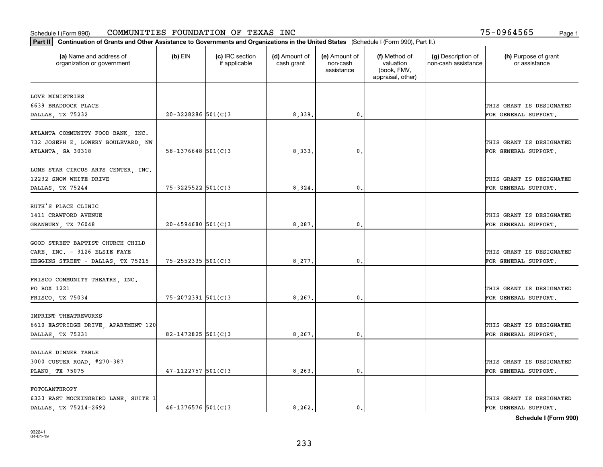| Part II   Continuation of Grants and Other Assistance to Governments and Organizations in the United States (Schedule I (Form 990), Part II.) |                          |                                  |                             |                                         |                                                                |                                           |                                       |
|-----------------------------------------------------------------------------------------------------------------------------------------------|--------------------------|----------------------------------|-----------------------------|-----------------------------------------|----------------------------------------------------------------|-------------------------------------------|---------------------------------------|
| (a) Name and address of<br>organization or government                                                                                         | $(b)$ EIN                | (c) IRC section<br>if applicable | (d) Amount of<br>cash grant | (e) Amount of<br>non-cash<br>assistance | (f) Method of<br>valuation<br>(book, FMV,<br>appraisal, other) | (g) Description of<br>non-cash assistance | (h) Purpose of grant<br>or assistance |
| LOVE MINISTRIES                                                                                                                               |                          |                                  |                             |                                         |                                                                |                                           |                                       |
| 6639 BRADDOCK PLACE                                                                                                                           |                          |                                  |                             |                                         |                                                                |                                           | THIS GRANT IS DESIGNATED              |
| DALLAS, TX 75232                                                                                                                              | $20 - 3228286$ 501(C)3   |                                  | 8,339.                      | 0.                                      |                                                                |                                           | FOR GENERAL SUPPORT.                  |
|                                                                                                                                               |                          |                                  |                             |                                         |                                                                |                                           |                                       |
| ATLANTA COMMUNITY FOOD BANK, INC.                                                                                                             |                          |                                  |                             |                                         |                                                                |                                           |                                       |
| 732 JOSEPH E. LOWERY BOULEVARD, NW                                                                                                            |                          |                                  |                             |                                         |                                                                |                                           | THIS GRANT IS DESIGNATED              |
| ATLANTA, GA 30318                                                                                                                             | $58 - 1376648$ $501(C)3$ |                                  | 8,333                       | 0.                                      |                                                                |                                           | FOR GENERAL SUPPORT.                  |
|                                                                                                                                               |                          |                                  |                             |                                         |                                                                |                                           |                                       |
| LONE STAR CIRCUS ARTS CENTER, INC.                                                                                                            |                          |                                  |                             |                                         |                                                                |                                           |                                       |
| 12232 SNOW WHITE DRIVE                                                                                                                        |                          |                                  |                             |                                         |                                                                |                                           | THIS GRANT IS DESIGNATED              |
| DALLAS, TX 75244                                                                                                                              | 75-3225522 501(C)3       |                                  | 8,324.                      | $\mathbf{0}$ .                          |                                                                |                                           | FOR GENERAL SUPPORT.                  |
|                                                                                                                                               |                          |                                  |                             |                                         |                                                                |                                           |                                       |
| RUTH'S PLACE CLINIC                                                                                                                           |                          |                                  |                             |                                         |                                                                |                                           |                                       |
| 1411 CRAWFORD AVENUE                                                                                                                          |                          |                                  |                             |                                         |                                                                |                                           | THIS GRANT IS DESIGNATED              |
| GRANBURY, TX 76048                                                                                                                            | $20 - 4594680$ 501(C)3   |                                  | 8,287.                      | 0.                                      |                                                                |                                           | FOR GENERAL SUPPORT.                  |
|                                                                                                                                               |                          |                                  |                             |                                         |                                                                |                                           |                                       |
| GOOD STREET BAPTIST CHURCH CHILD<br>CARE, INC. - 3126 ELSIE FAYE                                                                              |                          |                                  |                             |                                         |                                                                |                                           | THIS GRANT IS DESIGNATED              |
|                                                                                                                                               | $75 - 2552335$ 501(C)3   |                                  | 8,277.                      | 0.                                      |                                                                |                                           | FOR GENERAL SUPPORT.                  |
| HEGGINS STREET - DALLAS, TX 75215                                                                                                             |                          |                                  |                             |                                         |                                                                |                                           |                                       |
| FRISCO COMMUNITY THEATRE, INC.                                                                                                                |                          |                                  |                             |                                         |                                                                |                                           |                                       |
| PO BOX 1221                                                                                                                                   |                          |                                  |                             |                                         |                                                                |                                           | THIS GRANT IS DESIGNATED              |
| FRISCO, TX 75034                                                                                                                              | $75 - 2072391$ 501(C)3   |                                  | 8,267.                      | 0.                                      |                                                                |                                           | FOR GENERAL SUPPORT.                  |
|                                                                                                                                               |                          |                                  |                             |                                         |                                                                |                                           |                                       |
| IMPRINT THEATREWORKS                                                                                                                          |                          |                                  |                             |                                         |                                                                |                                           |                                       |
| 6610 EASTRIDGE DRIVE, APARTMENT 120                                                                                                           |                          |                                  |                             |                                         |                                                                |                                           | THIS GRANT IS DESIGNATED              |
| DALLAS, TX 75231                                                                                                                              | 82-1472825 $501(C)3$     |                                  | 8,267.                      | $\mathbf{0}$ .                          |                                                                |                                           | FOR GENERAL SUPPORT.                  |
|                                                                                                                                               |                          |                                  |                             |                                         |                                                                |                                           |                                       |
| DALLAS DINNER TABLE                                                                                                                           |                          |                                  |                             |                                         |                                                                |                                           |                                       |
| 3000 CUSTER ROAD, #270-387                                                                                                                    |                          |                                  |                             |                                         |                                                                |                                           | THIS GRANT IS DESIGNATED              |
| PLANO, TX 75075                                                                                                                               | $47 - 1122757$ 501(C)3   |                                  | 8,263.                      | 0.                                      |                                                                |                                           | FOR GENERAL SUPPORT.                  |
|                                                                                                                                               |                          |                                  |                             |                                         |                                                                |                                           |                                       |
| FOTOLANTHROPY                                                                                                                                 |                          |                                  |                             |                                         |                                                                |                                           |                                       |
| 6333 EAST MOCKINGBIRD LANE, SUITE 1                                                                                                           |                          |                                  |                             |                                         |                                                                |                                           | THIS GRANT IS DESIGNATED              |
| DALLAS TX 75214-2692                                                                                                                          | $46 - 1376576$ 501(C)3   |                                  | 8, 262.                     | 0.                                      |                                                                |                                           | FOR GENERAL SUPPORT.                  |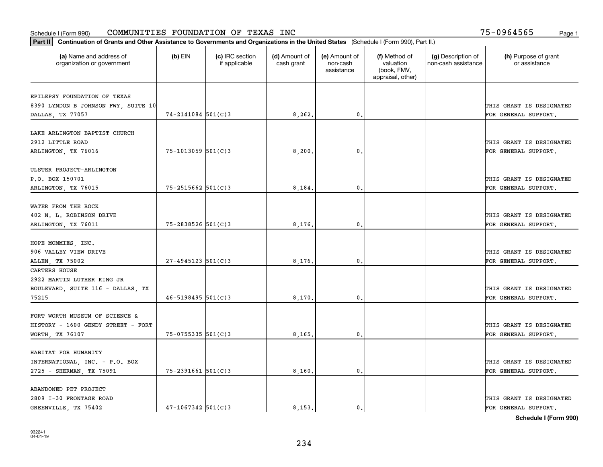#### Schedule I (Form 990) Page 1 COMMUNITIES FOUNDATION OF TEXAS INC 75-0964565

|                                                         | Part II   Continuation of Grants and Other Assistance to Governments and Organizations in the United States (Schedule I (Form 990), Part II.) |                                  |                             |                                         |                                                                |                                           |                                       |  |  |  |  |
|---------------------------------------------------------|-----------------------------------------------------------------------------------------------------------------------------------------------|----------------------------------|-----------------------------|-----------------------------------------|----------------------------------------------------------------|-------------------------------------------|---------------------------------------|--|--|--|--|
| (a) Name and address of<br>organization or government   | $(b)$ EIN                                                                                                                                     | (c) IRC section<br>if applicable | (d) Amount of<br>cash grant | (e) Amount of<br>non-cash<br>assistance | (f) Method of<br>valuation<br>(book, FMV,<br>appraisal, other) | (g) Description of<br>non-cash assistance | (h) Purpose of grant<br>or assistance |  |  |  |  |
|                                                         |                                                                                                                                               |                                  |                             |                                         |                                                                |                                           |                                       |  |  |  |  |
| EPILEPSY FOUNDATION OF TEXAS                            |                                                                                                                                               |                                  |                             |                                         |                                                                |                                           | THIS GRANT IS DESIGNATED              |  |  |  |  |
| 8390 LYNDON B JOHNSON FWY, SUITE 10<br>DALLAS, TX 77057 | $74 - 2141084$ 501(C)3                                                                                                                        |                                  | 8,262.                      | $\mathbf{0}$ .                          |                                                                |                                           | FOR GENERAL SUPPORT.                  |  |  |  |  |
|                                                         |                                                                                                                                               |                                  |                             |                                         |                                                                |                                           |                                       |  |  |  |  |
| LAKE ARLINGTON BAPTIST CHURCH                           |                                                                                                                                               |                                  |                             |                                         |                                                                |                                           |                                       |  |  |  |  |
| 2912 LITTLE ROAD                                        |                                                                                                                                               |                                  |                             |                                         |                                                                |                                           | THIS GRANT IS DESIGNATED              |  |  |  |  |
| ARLINGTON, TX 76016                                     | $75 - 1013059$ 501(C)3                                                                                                                        |                                  | 8,200                       | 0.                                      |                                                                |                                           | FOR GENERAL SUPPORT.                  |  |  |  |  |
|                                                         |                                                                                                                                               |                                  |                             |                                         |                                                                |                                           |                                       |  |  |  |  |
| ULSTER PROJECT-ARLINGTON                                |                                                                                                                                               |                                  |                             |                                         |                                                                |                                           |                                       |  |  |  |  |
| P.O. BOX 150701                                         |                                                                                                                                               |                                  |                             |                                         |                                                                |                                           | THIS GRANT IS DESIGNATED              |  |  |  |  |
| ARLINGTON, TX 76015                                     | 75-2515662 501(C)3                                                                                                                            |                                  | 8,184.                      | $^{\circ}$ .                            |                                                                |                                           | FOR GENERAL SUPPORT.                  |  |  |  |  |
|                                                         |                                                                                                                                               |                                  |                             |                                         |                                                                |                                           |                                       |  |  |  |  |
| WATER FROM THE ROCK                                     |                                                                                                                                               |                                  |                             |                                         |                                                                |                                           |                                       |  |  |  |  |
| 402 N. L. ROBINSON DRIVE                                |                                                                                                                                               |                                  |                             |                                         |                                                                |                                           | THIS GRANT IS DESIGNATED              |  |  |  |  |
| ARLINGTON, TX 76011                                     | $75 - 2838526$ 501(C)3                                                                                                                        |                                  | 8,176.                      | 0.                                      |                                                                |                                           | FOR GENERAL SUPPORT.                  |  |  |  |  |
|                                                         |                                                                                                                                               |                                  |                             |                                         |                                                                |                                           |                                       |  |  |  |  |
| HOPE MOMMIES, INC.                                      |                                                                                                                                               |                                  |                             |                                         |                                                                |                                           |                                       |  |  |  |  |
| 906 VALLEY VIEW DRIVE                                   |                                                                                                                                               |                                  |                             |                                         |                                                                |                                           | THIS GRANT IS DESIGNATED              |  |  |  |  |
| ALLEN, TX 75002                                         | $27 - 4945123$ 501(C)3                                                                                                                        |                                  | 8,176.                      | 0.                                      |                                                                |                                           | FOR GENERAL SUPPORT.                  |  |  |  |  |
| CARTERS HOUSE                                           |                                                                                                                                               |                                  |                             |                                         |                                                                |                                           |                                       |  |  |  |  |
| 2922 MARTIN LUTHER KING JR                              |                                                                                                                                               |                                  |                             |                                         |                                                                |                                           |                                       |  |  |  |  |
| BOULEVARD, SUITE 116 - DALLAS, TX                       |                                                                                                                                               |                                  |                             |                                         |                                                                |                                           | THIS GRANT IS DESIGNATED              |  |  |  |  |
| 75215                                                   | $46 - 5198495$ 501(C)3                                                                                                                        |                                  | 8,170                       | 0.                                      |                                                                |                                           | FOR GENERAL SUPPORT.                  |  |  |  |  |
|                                                         |                                                                                                                                               |                                  |                             |                                         |                                                                |                                           |                                       |  |  |  |  |
| FORT WORTH MUSEUM OF SCIENCE &                          |                                                                                                                                               |                                  |                             |                                         |                                                                |                                           |                                       |  |  |  |  |
| HISTORY - 1600 GENDY STREET - FORT                      |                                                                                                                                               |                                  |                             |                                         |                                                                |                                           | THIS GRANT IS DESIGNATED              |  |  |  |  |
| WORTH, TX 76107                                         | $75 - 0755335$ 501(C)3                                                                                                                        |                                  | 8,165.                      | 0.                                      |                                                                |                                           | FOR GENERAL SUPPORT.                  |  |  |  |  |
|                                                         |                                                                                                                                               |                                  |                             |                                         |                                                                |                                           |                                       |  |  |  |  |
| HABITAT FOR HUMANITY                                    |                                                                                                                                               |                                  |                             |                                         |                                                                |                                           |                                       |  |  |  |  |
| INTERNATIONAL, INC. - P.O. BOX                          |                                                                                                                                               |                                  |                             |                                         |                                                                |                                           | THIS GRANT IS DESIGNATED              |  |  |  |  |
| 2725 - SHERMAN, TX 75091                                | $75 - 2391661$ 501(C)3                                                                                                                        |                                  | 8,160                       | 0.                                      |                                                                |                                           | FOR GENERAL SUPPORT.                  |  |  |  |  |
|                                                         |                                                                                                                                               |                                  |                             |                                         |                                                                |                                           |                                       |  |  |  |  |
| ABANDONED PET PROJECT<br>2809 I-30 FRONTAGE ROAD        |                                                                                                                                               |                                  |                             |                                         |                                                                |                                           | THIS GRANT IS DESIGNATED              |  |  |  |  |
|                                                         | $47 - 1067342$ 501(C)3                                                                                                                        |                                  | 8.153.                      | $\mathbf{0}$ .                          |                                                                |                                           | FOR GENERAL SUPPORT.                  |  |  |  |  |
| GREENVILLE, TX 75402                                    |                                                                                                                                               |                                  |                             |                                         |                                                                |                                           |                                       |  |  |  |  |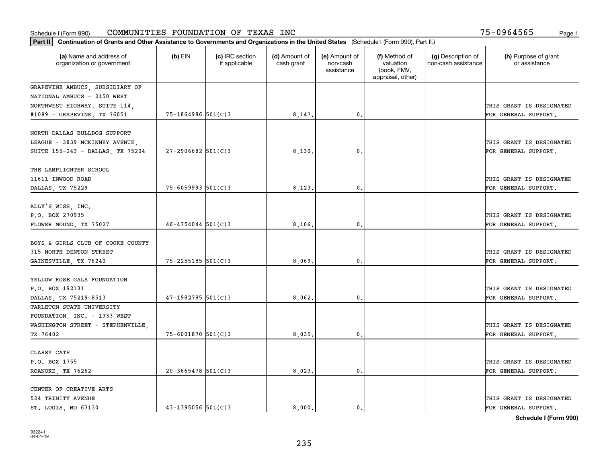| Part II   Continuation of Grants and Other Assistance to Governments and Organizations in the United States (Schedule I (Form 990), Part II.) |                        |                                  |                             |                                         |                                                                |                                           |                                       |
|-----------------------------------------------------------------------------------------------------------------------------------------------|------------------------|----------------------------------|-----------------------------|-----------------------------------------|----------------------------------------------------------------|-------------------------------------------|---------------------------------------|
| (a) Name and address of<br>organization or government                                                                                         | $(b)$ EIN              | (c) IRC section<br>if applicable | (d) Amount of<br>cash grant | (e) Amount of<br>non-cash<br>assistance | (f) Method of<br>valuation<br>(book, FMV,<br>appraisal, other) | (g) Description of<br>non-cash assistance | (h) Purpose of grant<br>or assistance |
| GRAPEVINE AMBUCS, SUBSIDIARY OF                                                                                                               |                        |                                  |                             |                                         |                                                                |                                           |                                       |
| NATIONAL AMBUCS - 2150 WEST                                                                                                                   |                        |                                  |                             |                                         |                                                                |                                           |                                       |
| NORTHWEST HIGHWAY, SUITE 114,                                                                                                                 |                        |                                  |                             |                                         |                                                                |                                           | THIS GRANT IS DESIGNATED              |
| #1089 - GRAPEVINE, TX 76051                                                                                                                   | 75-1864986 501(C)3     |                                  | 8,147.                      | 0.                                      |                                                                |                                           | FOR GENERAL SUPPORT.                  |
| NORTH DALLAS BULLDOG SUPPORT                                                                                                                  |                        |                                  |                             |                                         |                                                                |                                           |                                       |
| LEAGUE - 3839 MCKINNEY AVENUE,                                                                                                                |                        |                                  |                             |                                         |                                                                |                                           | THIS GRANT IS DESIGNATED              |
| SUITE 155-243 - DALLAS, TX 75204                                                                                                              | $27 - 2906682$ 501(C)3 |                                  | 8,130                       | 0.                                      |                                                                |                                           | FOR GENERAL SUPPORT.                  |
| THE LAMPLIGHTER SCHOOL                                                                                                                        |                        |                                  |                             |                                         |                                                                |                                           |                                       |
| 11611 INWOOD ROAD                                                                                                                             |                        |                                  |                             |                                         |                                                                |                                           | THIS GRANT IS DESIGNATED              |
| DALLAS, TX 75229                                                                                                                              | $75 - 6059993$ 501(C)3 |                                  | 8,123                       | $\mathbf{0}$ .                          |                                                                |                                           | FOR GENERAL SUPPORT.                  |
|                                                                                                                                               |                        |                                  |                             |                                         |                                                                |                                           |                                       |
| ALLY'S WISH, INC.                                                                                                                             |                        |                                  |                             |                                         |                                                                |                                           |                                       |
| P.O. BOX 270935                                                                                                                               |                        |                                  |                             |                                         |                                                                |                                           | THIS GRANT IS DESIGNATED              |
| FLOWER MOUND, TX 75027                                                                                                                        | $46 - 4754044$ 501(C)3 |                                  | 8,106                       | 0.                                      |                                                                |                                           | FOR GENERAL SUPPORT.                  |
| BOYS & GIRLS CLUB OF COOKE COUNTY                                                                                                             |                        |                                  |                             |                                         |                                                                |                                           |                                       |
| 315 NORTH DENTON STREET                                                                                                                       |                        |                                  |                             |                                         |                                                                |                                           | THIS GRANT IS DESIGNATED              |
| GAINESVILLE, TX 76240                                                                                                                         | $75 - 2255185$ 501(C)3 |                                  | 8,069.                      | 0.                                      |                                                                |                                           | FOR GENERAL SUPPORT.                  |
|                                                                                                                                               |                        |                                  |                             |                                         |                                                                |                                           |                                       |
| YELLOW ROSE GALA FOUNDATION                                                                                                                   |                        |                                  |                             |                                         |                                                                |                                           |                                       |
| P.O. BOX 192131                                                                                                                               |                        |                                  |                             |                                         |                                                                |                                           | THIS GRANT IS DESIGNATED              |
| DALLAS, TX 75219-8513                                                                                                                         | $47 - 1982785$ 501(C)3 |                                  | 8,062,                      | 0.                                      |                                                                |                                           | FOR GENERAL SUPPORT.                  |
| TARLETON STATE UNIVERSITY                                                                                                                     |                        |                                  |                             |                                         |                                                                |                                           |                                       |
| FOUNDATION, INC. - 1333 WEST                                                                                                                  |                        |                                  |                             |                                         |                                                                |                                           |                                       |
| WASHINGTON STREET - STEPHENVILLE,                                                                                                             |                        |                                  |                             |                                         |                                                                |                                           | THIS GRANT IS DESIGNATED              |
| TX 76402                                                                                                                                      | 75-6001870 501(C)3     |                                  | 8,035                       | 0.                                      |                                                                |                                           | FOR GENERAL SUPPORT.                  |
| CLASSY CATS                                                                                                                                   |                        |                                  |                             |                                         |                                                                |                                           |                                       |
| P.O. BOX 1755                                                                                                                                 |                        |                                  |                             |                                         |                                                                |                                           | THIS GRANT IS DESIGNATED              |
| ROANOKE, TX 76262                                                                                                                             | $20 - 3665478$ 501(C)3 |                                  | 8,023                       | 0.                                      |                                                                |                                           | FOR GENERAL SUPPORT.                  |
|                                                                                                                                               |                        |                                  |                             |                                         |                                                                |                                           |                                       |
| CENTER OF CREATIVE ARTS                                                                                                                       |                        |                                  |                             |                                         |                                                                |                                           |                                       |
| 524 TRINITY AVENUE                                                                                                                            |                        |                                  |                             |                                         |                                                                |                                           | THIS GRANT IS DESIGNATED              |
| ST. LOUIS, MO 63130                                                                                                                           | $43 - 1395056$ 501(C)3 |                                  | 8.000.                      | $\mathbf{0}$ .                          |                                                                |                                           | FOR GENERAL SUPPORT.                  |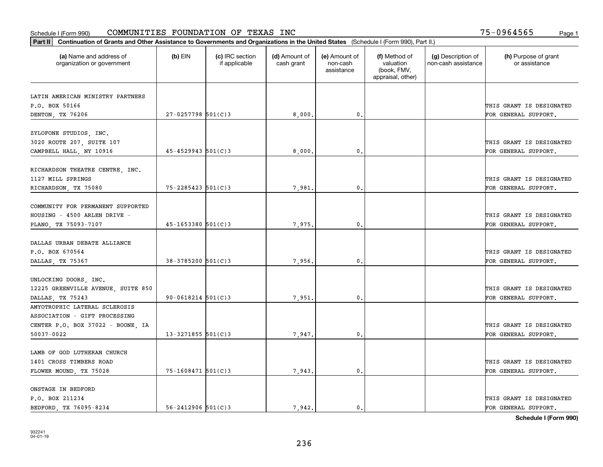|                                                       |                          |                                  |                             |                                         |                                                                | Part II   Continuation of Grants and Other Assistance to Governments and Organizations in the United States (Schedule I (Form 990), Part II.) |                                       |  |  |  |  |  |  |  |  |  |
|-------------------------------------------------------|--------------------------|----------------------------------|-----------------------------|-----------------------------------------|----------------------------------------------------------------|-----------------------------------------------------------------------------------------------------------------------------------------------|---------------------------------------|--|--|--|--|--|--|--|--|--|
| (a) Name and address of<br>organization or government | $(b)$ EIN                | (c) IRC section<br>if applicable | (d) Amount of<br>cash grant | (e) Amount of<br>non-cash<br>assistance | (f) Method of<br>valuation<br>(book, FMV,<br>appraisal, other) | (g) Description of<br>non-cash assistance                                                                                                     | (h) Purpose of grant<br>or assistance |  |  |  |  |  |  |  |  |  |
|                                                       |                          |                                  |                             |                                         |                                                                |                                                                                                                                               |                                       |  |  |  |  |  |  |  |  |  |
| LATIN AMERICAN MINISTRY PARTNERS<br>P.O. BOX 50166    |                          |                                  |                             |                                         |                                                                |                                                                                                                                               | THIS GRANT IS DESIGNATED              |  |  |  |  |  |  |  |  |  |
| DENTON, TX 76206                                      | $27 - 0257798$ 501(C)3   |                                  | 8,000,                      | 0.                                      |                                                                |                                                                                                                                               | FOR GENERAL SUPPORT.                  |  |  |  |  |  |  |  |  |  |
|                                                       |                          |                                  |                             |                                         |                                                                |                                                                                                                                               |                                       |  |  |  |  |  |  |  |  |  |
| ZYLOFONE STUDIOS, INC.                                |                          |                                  |                             |                                         |                                                                |                                                                                                                                               |                                       |  |  |  |  |  |  |  |  |  |
| 3020 ROUTE 207, SUITE 107                             |                          |                                  |                             |                                         |                                                                |                                                                                                                                               | THIS GRANT IS DESIGNATED              |  |  |  |  |  |  |  |  |  |
| CAMPBELL HALL, NY 10916                               | $45 - 4529943$ 501(C)3   |                                  | 8,000                       | $\mathbf{0}$                            |                                                                |                                                                                                                                               | FOR GENERAL SUPPORT.                  |  |  |  |  |  |  |  |  |  |
|                                                       |                          |                                  |                             |                                         |                                                                |                                                                                                                                               |                                       |  |  |  |  |  |  |  |  |  |
| RICHARDSON THEATRE CENTRE, INC.                       |                          |                                  |                             |                                         |                                                                |                                                                                                                                               |                                       |  |  |  |  |  |  |  |  |  |
| 1127 MILL SPRINGS                                     |                          |                                  |                             |                                         |                                                                |                                                                                                                                               | THIS GRANT IS DESIGNATED              |  |  |  |  |  |  |  |  |  |
| RICHARDSON, TX 75080                                  | $75 - 2285423$ 501(C)3   |                                  | 7,981                       | $\mathbf{0}$ .                          |                                                                |                                                                                                                                               | FOR GENERAL SUPPORT.                  |  |  |  |  |  |  |  |  |  |
|                                                       |                          |                                  |                             |                                         |                                                                |                                                                                                                                               |                                       |  |  |  |  |  |  |  |  |  |
| COMMUNITY FOR PERMANENT SUPPORTED                     |                          |                                  |                             |                                         |                                                                |                                                                                                                                               |                                       |  |  |  |  |  |  |  |  |  |
| HOUSING - 4500 ARLEN DRIVE -                          |                          |                                  |                             |                                         |                                                                |                                                                                                                                               | THIS GRANT IS DESIGNATED              |  |  |  |  |  |  |  |  |  |
| PLANO, TX 75093-7107                                  | $45 - 1653380$ 501(C)3   |                                  | 7,975.                      | $\mathbf{0}$                            |                                                                |                                                                                                                                               | FOR GENERAL SUPPORT.                  |  |  |  |  |  |  |  |  |  |
| DALLAS URBAN DEBATE ALLIANCE                          |                          |                                  |                             |                                         |                                                                |                                                                                                                                               |                                       |  |  |  |  |  |  |  |  |  |
| P.O. BOX 670564                                       |                          |                                  |                             |                                         |                                                                |                                                                                                                                               | THIS GRANT IS DESIGNATED              |  |  |  |  |  |  |  |  |  |
| DALLAS, TX 75367                                      | 38-3785200 501(C)3       |                                  | 7,956.                      | $\mathbf{0}$                            |                                                                |                                                                                                                                               | FOR GENERAL SUPPORT.                  |  |  |  |  |  |  |  |  |  |
|                                                       |                          |                                  |                             |                                         |                                                                |                                                                                                                                               |                                       |  |  |  |  |  |  |  |  |  |
| UNLOCKING DOORS, INC.                                 |                          |                                  |                             |                                         |                                                                |                                                                                                                                               |                                       |  |  |  |  |  |  |  |  |  |
| 12225 GREENVILLE AVENUE, SUITE 850                    |                          |                                  |                             |                                         |                                                                |                                                                                                                                               | THIS GRANT IS DESIGNATED              |  |  |  |  |  |  |  |  |  |
| DALLAS, TX 75243                                      | $90 - 0618214$ $501(C)3$ |                                  | 7,951                       | $\mathbf{0}$                            |                                                                |                                                                                                                                               | FOR GENERAL SUPPORT.                  |  |  |  |  |  |  |  |  |  |
| AMYOTROPHIC LATERAL SCLEROSIS                         |                          |                                  |                             |                                         |                                                                |                                                                                                                                               |                                       |  |  |  |  |  |  |  |  |  |
| ASSOCIATION - GIFT PROCESSING                         |                          |                                  |                             |                                         |                                                                |                                                                                                                                               |                                       |  |  |  |  |  |  |  |  |  |
| CENTER P.O. BOX 37022 - BOONE, IA                     |                          |                                  |                             |                                         |                                                                |                                                                                                                                               | THIS GRANT IS DESIGNATED              |  |  |  |  |  |  |  |  |  |
| 50037-0022                                            | $13 - 3271855$ 501(C)3   |                                  | 7,947.                      | $^{\rm 0}$ .                            |                                                                |                                                                                                                                               | FOR GENERAL SUPPORT.                  |  |  |  |  |  |  |  |  |  |
|                                                       |                          |                                  |                             |                                         |                                                                |                                                                                                                                               |                                       |  |  |  |  |  |  |  |  |  |
| LAMB OF GOD LUTHERAN CHURCH                           |                          |                                  |                             |                                         |                                                                |                                                                                                                                               |                                       |  |  |  |  |  |  |  |  |  |
| 1401 CROSS TIMBERS ROAD                               |                          |                                  |                             |                                         |                                                                |                                                                                                                                               | THIS GRANT IS DESIGNATED              |  |  |  |  |  |  |  |  |  |
| FLOWER MOUND, TX 75028                                | 75-1608471 501(C)3       |                                  | 7,943.                      | $\mathfrak{o}$ .                        |                                                                |                                                                                                                                               | FOR GENERAL SUPPORT.                  |  |  |  |  |  |  |  |  |  |
|                                                       |                          |                                  |                             |                                         |                                                                |                                                                                                                                               |                                       |  |  |  |  |  |  |  |  |  |
| ONSTAGE IN BEDFORD                                    |                          |                                  |                             |                                         |                                                                |                                                                                                                                               |                                       |  |  |  |  |  |  |  |  |  |
| P.O. BOX 211234                                       |                          |                                  |                             |                                         |                                                                |                                                                                                                                               | THIS GRANT IS DESIGNATED              |  |  |  |  |  |  |  |  |  |
| BEDFORD, TX 76095-8234                                | $56 - 2412906$ $501(C)3$ |                                  | 7.942.                      | $\mathfrak{o}$ .                        |                                                                |                                                                                                                                               | FOR GENERAL SUPPORT.                  |  |  |  |  |  |  |  |  |  |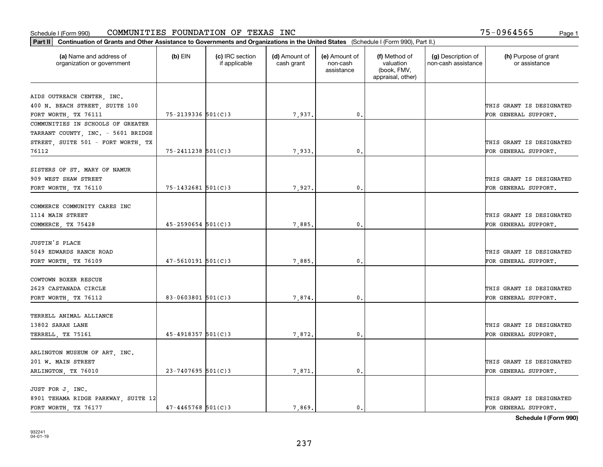| Part II   Continuation of Grants and Other Assistance to Governments and Organizations in the United States (Schedule I (Form 990), Part II.) |                          |                                  |                             |                                         |                                                                |                                           |                                       |
|-----------------------------------------------------------------------------------------------------------------------------------------------|--------------------------|----------------------------------|-----------------------------|-----------------------------------------|----------------------------------------------------------------|-------------------------------------------|---------------------------------------|
| (a) Name and address of<br>organization or government                                                                                         | $(b)$ EIN                | (c) IRC section<br>if applicable | (d) Amount of<br>cash grant | (e) Amount of<br>non-cash<br>assistance | (f) Method of<br>valuation<br>(book, FMV,<br>appraisal, other) | (g) Description of<br>non-cash assistance | (h) Purpose of grant<br>or assistance |
| AIDS OUTREACH CENTER, INC.                                                                                                                    |                          |                                  |                             |                                         |                                                                |                                           |                                       |
| 400 N. BEACH STREET, SUITE 100                                                                                                                |                          |                                  |                             |                                         |                                                                |                                           | THIS GRANT IS DESIGNATED              |
| FORT WORTH, TX 76111                                                                                                                          | 75-2139336 501(C)3       |                                  | 7,937.                      | 0.                                      |                                                                |                                           | FOR GENERAL SUPPORT.                  |
| COMMUNITIES IN SCHOOLS OF GREATER                                                                                                             |                          |                                  |                             |                                         |                                                                |                                           |                                       |
| TARRANT COUNTY, INC. - 5601 BRIDGE                                                                                                            |                          |                                  |                             |                                         |                                                                |                                           |                                       |
| STREET, SUITE 501 - FORT WORTH, TX                                                                                                            |                          |                                  |                             |                                         |                                                                |                                           | THIS GRANT IS DESIGNATED              |
| 76112                                                                                                                                         | $75 - 2411238$ 501(C)3   |                                  | 7,933                       | 0.                                      |                                                                |                                           | FOR GENERAL SUPPORT.                  |
| SISTERS OF ST. MARY OF NAMUR                                                                                                                  |                          |                                  |                             |                                         |                                                                |                                           |                                       |
| 909 WEST SHAW STREET                                                                                                                          |                          |                                  |                             |                                         |                                                                |                                           | THIS GRANT IS DESIGNATED              |
| FORT WORTH, TX 76110                                                                                                                          | $75 - 1432681$ 501(C)3   |                                  | 7,927.                      | $\mathbf{0}$ .                          |                                                                |                                           | FOR GENERAL SUPPORT.                  |
|                                                                                                                                               |                          |                                  |                             |                                         |                                                                |                                           |                                       |
| COMMERCE COMMUNITY CARES INC                                                                                                                  |                          |                                  |                             |                                         |                                                                |                                           |                                       |
| 1114 MAIN STREET                                                                                                                              |                          |                                  |                             |                                         |                                                                |                                           | THIS GRANT IS DESIGNATED              |
| COMMERCE, TX 75428                                                                                                                            | $45 - 2590654$ 501(C)3   |                                  | 7,885.                      | 0.                                      |                                                                |                                           | FOR GENERAL SUPPORT.                  |
|                                                                                                                                               |                          |                                  |                             |                                         |                                                                |                                           |                                       |
| JUSTIN'S PLACE                                                                                                                                |                          |                                  |                             |                                         |                                                                |                                           |                                       |
| 5049 EDWARDS RANCH ROAD                                                                                                                       |                          |                                  |                             |                                         |                                                                |                                           | THIS GRANT IS DESIGNATED              |
| FORT WORTH, TX 76109                                                                                                                          | $47 - 5610191$ $501(C)3$ |                                  | 7,885                       | 0.                                      |                                                                |                                           | FOR GENERAL SUPPORT.                  |
|                                                                                                                                               |                          |                                  |                             |                                         |                                                                |                                           |                                       |
| COWTOWN BOXER RESCUE                                                                                                                          |                          |                                  |                             |                                         |                                                                |                                           |                                       |
| 2629 CASTANADA CIRCLE                                                                                                                         |                          |                                  |                             |                                         |                                                                |                                           | THIS GRANT IS DESIGNATED              |
| FORT WORTH, TX 76112                                                                                                                          | 83-0603801 $501(C)$ 3    |                                  | 7,874                       | 0.                                      |                                                                |                                           | FOR GENERAL SUPPORT.                  |
| TERRELL ANIMAL ALLIANCE                                                                                                                       |                          |                                  |                             |                                         |                                                                |                                           |                                       |
| 13802 SARAH LANE                                                                                                                              |                          |                                  |                             |                                         |                                                                |                                           | THIS GRANT IS DESIGNATED              |
| TERRELL, TX 75161                                                                                                                             | 45-4918357 501(C)3       |                                  | 7,872.                      | 0.                                      |                                                                |                                           | FOR GENERAL SUPPORT.                  |
|                                                                                                                                               |                          |                                  |                             |                                         |                                                                |                                           |                                       |
| ARLINGTON MUSEUM OF ART, INC.                                                                                                                 |                          |                                  |                             |                                         |                                                                |                                           |                                       |
| 201 W. MAIN STREET                                                                                                                            |                          |                                  |                             |                                         |                                                                |                                           | THIS GRANT IS DESIGNATED              |
| ARLINGTON, TX 76010                                                                                                                           | $23 - 7407695$ 501(C)3   |                                  | 7,871                       | 0.                                      |                                                                |                                           | FOR GENERAL SUPPORT.                  |
|                                                                                                                                               |                          |                                  |                             |                                         |                                                                |                                           |                                       |
| JUST FOR J, INC.                                                                                                                              |                          |                                  |                             |                                         |                                                                |                                           |                                       |
| 8901 TEHAMA RIDGE PARKWAY, SUITE 12                                                                                                           |                          |                                  |                             |                                         |                                                                |                                           | THIS GRANT IS DESIGNATED              |
| FORT WORTH, TX 76177                                                                                                                          | $47 - 4465768$ 501(C)3   |                                  | 7,869.                      | $\mathbf{0}$ .                          |                                                                |                                           | FOR GENERAL SUPPORT.                  |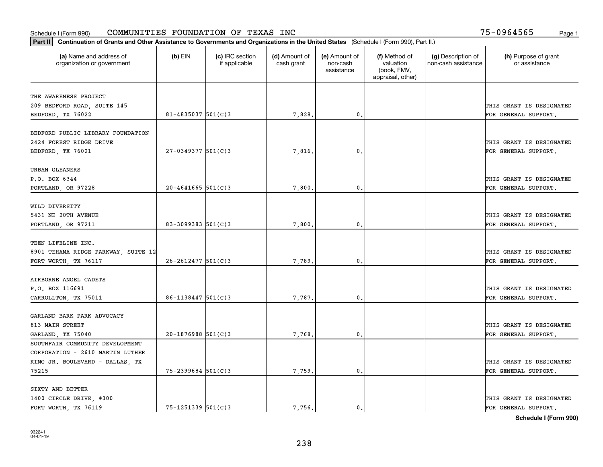| Part II   Continuation of Grants and Other Assistance to Governments and Organizations in the United States (Schedule I (Form 990), Part II.) |                          |                                  |                             |                                         |                                                                |                                           |                                       |
|-----------------------------------------------------------------------------------------------------------------------------------------------|--------------------------|----------------------------------|-----------------------------|-----------------------------------------|----------------------------------------------------------------|-------------------------------------------|---------------------------------------|
| (a) Name and address of<br>organization or government                                                                                         | $(b)$ EIN                | (c) IRC section<br>if applicable | (d) Amount of<br>cash grant | (e) Amount of<br>non-cash<br>assistance | (f) Method of<br>valuation<br>(book, FMV,<br>appraisal, other) | (g) Description of<br>non-cash assistance | (h) Purpose of grant<br>or assistance |
| THE AWARENESS PROJECT                                                                                                                         |                          |                                  |                             |                                         |                                                                |                                           |                                       |
| 209 BEDFORD ROAD, SUITE 145                                                                                                                   |                          |                                  |                             |                                         |                                                                |                                           | THIS GRANT IS DESIGNATED              |
| BEDFORD, TX 76022                                                                                                                             | $81 - 4835037$ 501(C)3   |                                  | 7,828.                      | 0.                                      |                                                                |                                           | FOR GENERAL SUPPORT.                  |
|                                                                                                                                               |                          |                                  |                             |                                         |                                                                |                                           |                                       |
| BEDFORD PUBLIC LIBRARY FOUNDATION                                                                                                             |                          |                                  |                             |                                         |                                                                |                                           |                                       |
| 2424 FOREST RIDGE DRIVE                                                                                                                       |                          |                                  |                             |                                         |                                                                |                                           | THIS GRANT IS DESIGNATED              |
| BEDFORD, TX 76021                                                                                                                             | $27 - 0349377$ 501(C)3   |                                  | 7,816                       | 0.                                      |                                                                |                                           | FOR GENERAL SUPPORT.                  |
|                                                                                                                                               |                          |                                  |                             |                                         |                                                                |                                           |                                       |
| URBAN GLEANERS                                                                                                                                |                          |                                  |                             |                                         |                                                                |                                           |                                       |
| P.O. BOX 6344                                                                                                                                 |                          |                                  |                             |                                         |                                                                |                                           | THIS GRANT IS DESIGNATED              |
| PORTLAND, OR 97228                                                                                                                            | $20 - 4641665$ 501(C)3   |                                  | 7,800                       | $\mathfrak{o}$ .                        |                                                                |                                           | FOR GENERAL SUPPORT.                  |
|                                                                                                                                               |                          |                                  |                             |                                         |                                                                |                                           |                                       |
| WILD DIVERSITY                                                                                                                                |                          |                                  |                             |                                         |                                                                |                                           | THIS GRANT IS DESIGNATED              |
| 5431 NE 20TH AVENUE                                                                                                                           |                          |                                  |                             | 0.                                      |                                                                |                                           |                                       |
| PORTLAND, OR 97211                                                                                                                            | 83-3099383 501(C)3       |                                  | 7,800                       |                                         |                                                                |                                           | FOR GENERAL SUPPORT.                  |
| TEEN LIFELINE INC.                                                                                                                            |                          |                                  |                             |                                         |                                                                |                                           |                                       |
| 8901 TEHAMA RIDGE PARKWAY, SUITE 12                                                                                                           |                          |                                  |                             |                                         |                                                                |                                           | THIS GRANT IS DESIGNATED              |
| FORT WORTH, TX 76117                                                                                                                          | $26 - 2612477$ 501(C)3   |                                  | 7,789                       | 0                                       |                                                                |                                           | FOR GENERAL SUPPORT.                  |
|                                                                                                                                               |                          |                                  |                             |                                         |                                                                |                                           |                                       |
| AIRBORNE ANGEL CADETS                                                                                                                         |                          |                                  |                             |                                         |                                                                |                                           |                                       |
| P.O. BOX 116691                                                                                                                               |                          |                                  |                             |                                         |                                                                |                                           | THIS GRANT IS DESIGNATED              |
| CARROLLTON, TX 75011                                                                                                                          | $86 - 1138447$ 501(C)3   |                                  | 7,787.                      | $\mathbf{0}$                            |                                                                |                                           | FOR GENERAL SUPPORT.                  |
|                                                                                                                                               |                          |                                  |                             |                                         |                                                                |                                           |                                       |
| GARLAND BARK PARK ADVOCACY                                                                                                                    |                          |                                  |                             |                                         |                                                                |                                           |                                       |
| 813 MAIN STREET                                                                                                                               |                          |                                  |                             |                                         |                                                                |                                           | THIS GRANT IS DESIGNATED              |
| GARLAND, TX 75040                                                                                                                             | $20-1876988$ 501(C)3     |                                  | 7,768                       | $\mathbf{0}$ .                          |                                                                |                                           | FOR GENERAL SUPPORT.                  |
| SOUTHFAIR COMMUNITY DEVELOPMENT                                                                                                               |                          |                                  |                             |                                         |                                                                |                                           |                                       |
| CORPORATION - 2610 MARTIN LUTHER                                                                                                              |                          |                                  |                             |                                         |                                                                |                                           |                                       |
| KING JR. BOULEVARD - DALLAS, TX                                                                                                               |                          |                                  |                             |                                         |                                                                |                                           | THIS GRANT IS DESIGNATED              |
| 75215                                                                                                                                         | $75 - 2399684$ 501(C)3   |                                  | 7,759.                      | $\mathfrak{o}$ .                        |                                                                |                                           | FOR GENERAL SUPPORT.                  |
|                                                                                                                                               |                          |                                  |                             |                                         |                                                                |                                           |                                       |
| SIXTY AND BETTER                                                                                                                              |                          |                                  |                             |                                         |                                                                |                                           |                                       |
| 1400 CIRCLE DRIVE, #300                                                                                                                       |                          |                                  |                             |                                         |                                                                |                                           | THIS GRANT IS DESIGNATED              |
| FORT WORTH, TX 76119                                                                                                                          | $75 - 1251339$ $501(C)3$ |                                  | 7.756.                      | $\mathfrak{o}$ .                        |                                                                |                                           | FOR GENERAL SUPPORT.                  |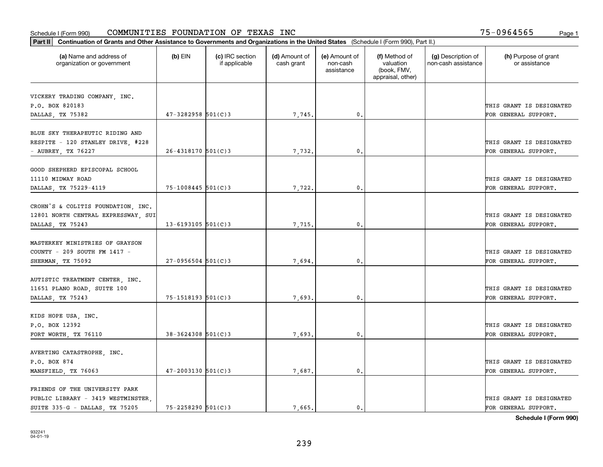| Part II   Continuation of Grants and Other Assistance to Governments and Organizations in the United States (Schedule I (Form 990), Part II.) |                        |                                  |                             |                                         |                                                                |                                           |                                       |
|-----------------------------------------------------------------------------------------------------------------------------------------------|------------------------|----------------------------------|-----------------------------|-----------------------------------------|----------------------------------------------------------------|-------------------------------------------|---------------------------------------|
| (a) Name and address of<br>organization or government                                                                                         | $(b)$ EIN              | (c) IRC section<br>if applicable | (d) Amount of<br>cash grant | (e) Amount of<br>non-cash<br>assistance | (f) Method of<br>valuation<br>(book, FMV,<br>appraisal, other) | (g) Description of<br>non-cash assistance | (h) Purpose of grant<br>or assistance |
| VICKERY TRADING COMPANY, INC.                                                                                                                 |                        |                                  |                             |                                         |                                                                |                                           |                                       |
| P.O. BOX 820183                                                                                                                               |                        |                                  |                             |                                         |                                                                |                                           | THIS GRANT IS DESIGNATED              |
| DALLAS, TX 75382                                                                                                                              | $47 - 3282958$ 501(C)3 |                                  | 7,745.                      | $\mathbf{0}$ .                          |                                                                |                                           | FOR GENERAL SUPPORT.                  |
|                                                                                                                                               |                        |                                  |                             |                                         |                                                                |                                           |                                       |
| BLUE SKY THERAPEUTIC RIDING AND                                                                                                               |                        |                                  |                             |                                         |                                                                |                                           |                                       |
| RESPITE - 120 STANLEY DRIVE, #228                                                                                                             |                        |                                  |                             |                                         |                                                                |                                           | THIS GRANT IS DESIGNATED              |
| - AUBREY, TX 76227                                                                                                                            | $26 - 4318170$ 501(C)3 |                                  | 7,732.                      | 0.                                      |                                                                |                                           | FOR GENERAL SUPPORT.                  |
|                                                                                                                                               |                        |                                  |                             |                                         |                                                                |                                           |                                       |
| GOOD SHEPHERD EPISCOPAL SCHOOL                                                                                                                |                        |                                  |                             |                                         |                                                                |                                           |                                       |
| 11110 MIDWAY ROAD                                                                                                                             |                        |                                  |                             |                                         |                                                                |                                           | THIS GRANT IS DESIGNATED              |
| DALLAS, TX 75229-4119                                                                                                                         | $75 - 1008445$ 501(C)3 |                                  | 7,722.                      | $\mathfrak{o}$ .                        |                                                                |                                           | FOR GENERAL SUPPORT.                  |
|                                                                                                                                               |                        |                                  |                             |                                         |                                                                |                                           |                                       |
| CROHN'S & COLITIS FOUNDATION, INC.                                                                                                            |                        |                                  |                             |                                         |                                                                |                                           |                                       |
| 12801 NORTH CENTRAL EXPRESSWAY, SUI                                                                                                           |                        |                                  |                             |                                         |                                                                |                                           | THIS GRANT IS DESIGNATED              |
| DALLAS, TX 75243                                                                                                                              | $13 - 6193105$ 501(C)3 |                                  | 7,715.                      | $\mathbf{0}$                            |                                                                |                                           | FOR GENERAL SUPPORT.                  |
| MASTERKEY MINISTRIES OF GRAYSON                                                                                                               |                        |                                  |                             |                                         |                                                                |                                           |                                       |
| COUNTY - 209 SOUTH FM 1417 -                                                                                                                  |                        |                                  |                             |                                         |                                                                |                                           | THIS GRANT IS DESIGNATED              |
| SHERMAN, TX 75092                                                                                                                             | $27-0956504$ 501(C)3   |                                  | 7,694.                      | $\mathbf 0$ .                           |                                                                |                                           | FOR GENERAL SUPPORT.                  |
|                                                                                                                                               |                        |                                  |                             |                                         |                                                                |                                           |                                       |
| AUTISTIC TREATMENT CENTER, INC.                                                                                                               |                        |                                  |                             |                                         |                                                                |                                           |                                       |
| 11651 PLANO ROAD, SUITE 100                                                                                                                   |                        |                                  |                             |                                         |                                                                |                                           | THIS GRANT IS DESIGNATED              |
| DALLAS, TX 75243                                                                                                                              | 75-1518193 501(C)3     |                                  | 7,693.                      | $\mathbf{0}$                            |                                                                |                                           | FOR GENERAL SUPPORT.                  |
|                                                                                                                                               |                        |                                  |                             |                                         |                                                                |                                           |                                       |
| KIDS HOPE USA, INC.                                                                                                                           |                        |                                  |                             |                                         |                                                                |                                           |                                       |
| P.O. BOX 12392                                                                                                                                |                        |                                  |                             |                                         |                                                                |                                           | THIS GRANT IS DESIGNATED              |
| FORT WORTH, TX 76110                                                                                                                          | $38 - 3624308$ 501(C)3 |                                  | 7,693.                      | $^{\circ}$ .                            |                                                                |                                           | FOR GENERAL SUPPORT.                  |
|                                                                                                                                               |                        |                                  |                             |                                         |                                                                |                                           |                                       |
| AVERTING CATASTROPHE, INC.                                                                                                                    |                        |                                  |                             |                                         |                                                                |                                           |                                       |
| P.O. BOX 874                                                                                                                                  |                        |                                  |                             |                                         |                                                                |                                           | THIS GRANT IS DESIGNATED              |
| MANSFIELD, TX 76063                                                                                                                           | $47 - 2003130$ 501(C)3 |                                  | 7,687.                      | $\mathbf{0}$                            |                                                                |                                           | FOR GENERAL SUPPORT.                  |
|                                                                                                                                               |                        |                                  |                             |                                         |                                                                |                                           |                                       |
| FRIENDS OF THE UNIVERSITY PARK                                                                                                                |                        |                                  |                             |                                         |                                                                |                                           |                                       |
| PUBLIC LIBRARY - 3419 WESTMINSTER,<br>SUITE 335-G - DALLAS, TX 75205                                                                          | 75-2258290 501(C)3     |                                  |                             | $\mathbf{0}$ .                          |                                                                |                                           | THIS GRANT IS DESIGNATED              |
|                                                                                                                                               |                        |                                  | 7,665.                      |                                         |                                                                |                                           | FOR GENERAL SUPPORT.                  |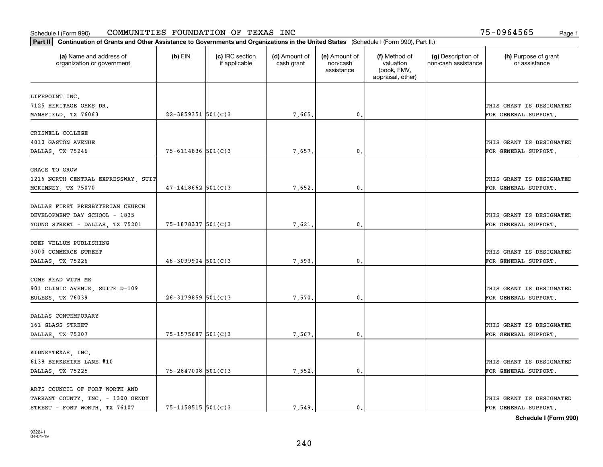| (a) Name and address of<br>organization or government     | $(b)$ EIN                | (c) IRC section<br>if applicable | (d) Amount of<br>cash grant | (e) Amount of<br>non-cash<br>assistance | (f) Method of<br>valuation<br>(book, FMV,<br>appraisal, other) | (g) Description of<br>non-cash assistance | (h) Purpose of grant<br>or assistance |
|-----------------------------------------------------------|--------------------------|----------------------------------|-----------------------------|-----------------------------------------|----------------------------------------------------------------|-------------------------------------------|---------------------------------------|
| LIFEPOINT INC.                                            |                          |                                  |                             |                                         |                                                                |                                           |                                       |
| 7125 HERITAGE OAKS DR.                                    |                          |                                  |                             |                                         |                                                                |                                           | THIS GRANT IS DESIGNATED              |
| MANSFIELD, TX 76063                                       | $22 - 3859351$ 501(C) 3  |                                  | 7,665.                      | 0.                                      |                                                                |                                           | FOR GENERAL SUPPORT.                  |
| CRISWELL COLLEGE                                          |                          |                                  |                             |                                         |                                                                |                                           |                                       |
| 4010 GASTON AVENUE                                        |                          |                                  |                             |                                         |                                                                |                                           | THIS GRANT IS DESIGNATED              |
| DALLAS, TX 75246                                          | $75 - 6114836$ 501(C)3   |                                  | 7.657.                      | $\mathbf{0}$ .                          |                                                                |                                           | FOR GENERAL SUPPORT.                  |
|                                                           |                          |                                  |                             |                                         |                                                                |                                           |                                       |
| <b>GRACE TO GROW</b>                                      |                          |                                  |                             |                                         |                                                                |                                           | THIS GRANT IS DESIGNATED              |
| 1216 NORTH CENTRAL EXPRESSWAY, SUIT<br>MCKINNEY, TX 75070 | $47 - 1418662$ 501(C)3   |                                  | 7,652.                      | $\mathbf{0}$ .                          |                                                                |                                           | FOR GENERAL SUPPORT.                  |
|                                                           |                          |                                  |                             |                                         |                                                                |                                           |                                       |
| DALLAS FIRST PRESBYTERIAN CHURCH                          |                          |                                  |                             |                                         |                                                                |                                           |                                       |
| DEVELOPMENT DAY SCHOOL - 1835                             |                          |                                  |                             |                                         |                                                                |                                           | THIS GRANT IS DESIGNATED              |
| YOUNG STREET - DALLAS, TX 75201                           | 75-1878337 501(C)3       |                                  | 7,621.                      | 0.                                      |                                                                |                                           | FOR GENERAL SUPPORT.                  |
|                                                           |                          |                                  |                             |                                         |                                                                |                                           |                                       |
| DEEP VELLUM PUBLISHING                                    |                          |                                  |                             |                                         |                                                                |                                           |                                       |
| 3000 COMMERCE STREET                                      |                          |                                  |                             |                                         |                                                                |                                           | THIS GRANT IS DESIGNATED              |
| DALLAS, TX 75226                                          | $46 - 3099904$ 501(C)3   |                                  | 7,593.                      | $\mathbf{0}$                            |                                                                |                                           | FOR GENERAL SUPPORT.                  |
| COME READ WITH ME                                         |                          |                                  |                             |                                         |                                                                |                                           |                                       |
| 901 CLINIC AVENUE, SUITE D-109                            |                          |                                  |                             |                                         |                                                                |                                           | THIS GRANT IS DESIGNATED              |
| EULESS, TX 76039                                          | $26 - 3179859$ 501(C)3   |                                  | 7,570.                      | 0.                                      |                                                                |                                           | FOR GENERAL SUPPORT.                  |
|                                                           |                          |                                  |                             |                                         |                                                                |                                           |                                       |
| DALLAS CONTEMPORARY                                       |                          |                                  |                             |                                         |                                                                |                                           |                                       |
| 161 GLASS STREET                                          |                          |                                  |                             |                                         |                                                                |                                           | THIS GRANT IS DESIGNATED              |
| DALLAS, TX 75207                                          | 75-1575687 501(C)3       |                                  | 7,567.                      | 0.                                      |                                                                |                                           | FOR GENERAL SUPPORT.                  |
|                                                           |                          |                                  |                             |                                         |                                                                |                                           |                                       |
| KIDNEYTEXAS, INC.                                         |                          |                                  |                             |                                         |                                                                |                                           |                                       |
| 6138 BERKSHIRE LANE #10                                   |                          |                                  |                             |                                         |                                                                |                                           | THIS GRANT IS DESIGNATED              |
| DALLAS, TX 75225                                          | $75 - 2847008$ 501(C) 3  |                                  | 7,552.                      | $\mathfrak o$ .                         |                                                                |                                           | FOR GENERAL SUPPORT.                  |
| ARTS COUNCIL OF FORT WORTH AND                            |                          |                                  |                             |                                         |                                                                |                                           |                                       |
| TARRANT COUNTY, INC. - 1300 GENDY                         |                          |                                  |                             |                                         |                                                                |                                           | THIS GRANT IS DESIGNATED              |
| STREET - FORT WORTH, TX 76107                             | $75 - 1158515$ $501(C)3$ |                                  | 7,549.                      | 0.                                      |                                                                |                                           | FOR GENERAL SUPPORT.                  |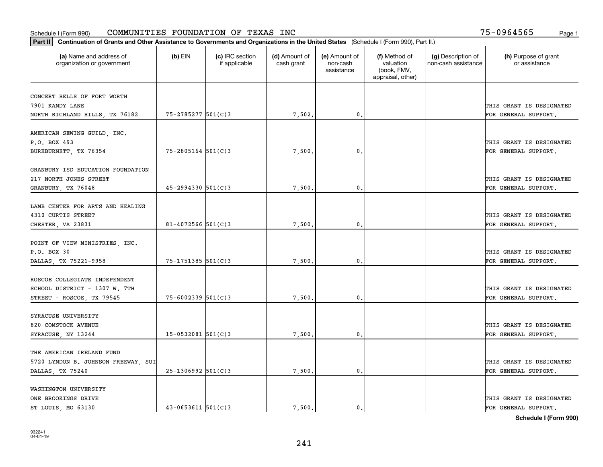| Part II   Continuation of Grants and Other Assistance to Governments and Organizations in the United States (Schedule I (Form 990), Part II.) |                        |                                  |                             |                                         |                                                                |                                           |                                                  |
|-----------------------------------------------------------------------------------------------------------------------------------------------|------------------------|----------------------------------|-----------------------------|-----------------------------------------|----------------------------------------------------------------|-------------------------------------------|--------------------------------------------------|
| (a) Name and address of<br>organization or government                                                                                         | $(b)$ EIN              | (c) IRC section<br>if applicable | (d) Amount of<br>cash grant | (e) Amount of<br>non-cash<br>assistance | (f) Method of<br>valuation<br>(book, FMV,<br>appraisal, other) | (g) Description of<br>non-cash assistance | (h) Purpose of grant<br>or assistance            |
|                                                                                                                                               |                        |                                  |                             |                                         |                                                                |                                           |                                                  |
| CONCERT BELLS OF FORT WORTH                                                                                                                   |                        |                                  |                             |                                         |                                                                |                                           |                                                  |
| 7901 KANDY LANE                                                                                                                               | 75-2785277 501(C)3     |                                  |                             | $\mathbf{0}$ .                          |                                                                |                                           | THIS GRANT IS DESIGNATED<br>FOR GENERAL SUPPORT. |
| NORTH RICHLAND HILLS, TX 76182                                                                                                                |                        |                                  | 7,502.                      |                                         |                                                                |                                           |                                                  |
| AMERICAN SEWING GUILD, INC.                                                                                                                   |                        |                                  |                             |                                         |                                                                |                                           |                                                  |
| P.O. BOX 493                                                                                                                                  |                        |                                  |                             |                                         |                                                                |                                           | THIS GRANT IS DESIGNATED                         |
| BURKBURNETT, TX 76354                                                                                                                         | $75 - 2805164$ 501(C)3 |                                  | 7,500                       | $\mathbf{0}$                            |                                                                |                                           | FOR GENERAL SUPPORT.                             |
|                                                                                                                                               |                        |                                  |                             |                                         |                                                                |                                           |                                                  |
| GRANBURY ISD EDUCATION FOUNDATION                                                                                                             |                        |                                  |                             |                                         |                                                                |                                           |                                                  |
| 217 NORTH JONES STREET                                                                                                                        |                        |                                  |                             |                                         |                                                                |                                           | THIS GRANT IS DESIGNATED                         |
| GRANBURY, TX 76048                                                                                                                            | $45 - 2994330$ 501(C)3 |                                  | 7,500.                      | $\mathfrak{o}$ .                        |                                                                |                                           | FOR GENERAL SUPPORT.                             |
|                                                                                                                                               |                        |                                  |                             |                                         |                                                                |                                           |                                                  |
| LAMB CENTER FOR ARTS AND HEALING                                                                                                              |                        |                                  |                             |                                         |                                                                |                                           |                                                  |
| 4310 CURTIS STREET                                                                                                                            |                        |                                  |                             |                                         |                                                                |                                           | THIS GRANT IS DESIGNATED                         |
| CHESTER, VA 23831                                                                                                                             | 81-4072566 $501(C)3$   |                                  | 7,500.                      | $\mathbf{0}$                            |                                                                |                                           | FOR GENERAL SUPPORT.                             |
|                                                                                                                                               |                        |                                  |                             |                                         |                                                                |                                           |                                                  |
| POINT OF VIEW MINISTRIES, INC.                                                                                                                |                        |                                  |                             |                                         |                                                                |                                           |                                                  |
| P.O. BOX 30                                                                                                                                   |                        |                                  |                             |                                         |                                                                |                                           | THIS GRANT IS DESIGNATED                         |
| DALLAS, TX 75221-9958                                                                                                                         | $75 - 1751385$ 501(C)3 |                                  | 7,500                       | 0.                                      |                                                                |                                           | FOR GENERAL SUPPORT.                             |
|                                                                                                                                               |                        |                                  |                             |                                         |                                                                |                                           |                                                  |
| ROSCOE COLLEGIATE INDEPENDENT                                                                                                                 |                        |                                  |                             |                                         |                                                                |                                           |                                                  |
| SCHOOL DISTRICT - 1307 W. 7TH                                                                                                                 |                        |                                  |                             | 0.                                      |                                                                |                                           | THIS GRANT IS DESIGNATED                         |
| STREET - ROSCOE, TX 79545                                                                                                                     | $75 - 6002339$ 501(C)3 |                                  | 7,500                       |                                         |                                                                |                                           | FOR GENERAL SUPPORT.                             |
| SYRACUSE UNIVERSITY                                                                                                                           |                        |                                  |                             |                                         |                                                                |                                           |                                                  |
| 820 COMSTOCK AVENUE                                                                                                                           |                        |                                  |                             |                                         |                                                                |                                           | THIS GRANT IS DESIGNATED                         |
| SYRACUSE, NY 13244                                                                                                                            | $15 - 0532081$ 501(C)3 |                                  | 7,500.                      | $\mathbf{0}$ .                          |                                                                |                                           | FOR GENERAL SUPPORT.                             |
|                                                                                                                                               |                        |                                  |                             |                                         |                                                                |                                           |                                                  |
| THE AMERICAN IRELAND FUND                                                                                                                     |                        |                                  |                             |                                         |                                                                |                                           |                                                  |
| 5720 LYNDON B. JOHNSON FREEWAY, SUI                                                                                                           |                        |                                  |                             |                                         |                                                                |                                           | THIS GRANT IS DESIGNATED                         |
| DALLAS, TX 75240                                                                                                                              | $25-1306992$ 501(C)3   |                                  | 7,500.                      | 0.                                      |                                                                |                                           | FOR GENERAL SUPPORT.                             |
|                                                                                                                                               |                        |                                  |                             |                                         |                                                                |                                           |                                                  |
| WASHINGTON UNIVERSITY                                                                                                                         |                        |                                  |                             |                                         |                                                                |                                           |                                                  |
| ONE BROOKINGS DRIVE                                                                                                                           |                        |                                  |                             |                                         |                                                                |                                           | THIS GRANT IS DESIGNATED                         |
| ST LOUIS, MO 63130                                                                                                                            | $43 - 0653611$ 501(C)3 |                                  | 7.500.                      | $\mathbf{0}$ .                          |                                                                |                                           | FOR GENERAL SUPPORT.                             |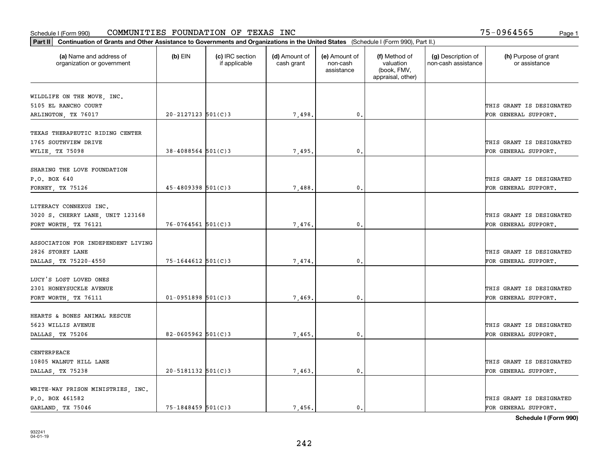| Part II   Continuation of Grants and Other Assistance to Governments and Organizations in the United States (Schedule I (Form 990), Part II.) |                          |                                  |                             |                                         |                                                                |                                           |                                       |
|-----------------------------------------------------------------------------------------------------------------------------------------------|--------------------------|----------------------------------|-----------------------------|-----------------------------------------|----------------------------------------------------------------|-------------------------------------------|---------------------------------------|
| (a) Name and address of<br>organization or government                                                                                         | $(b)$ EIN                | (c) IRC section<br>if applicable | (d) Amount of<br>cash grant | (e) Amount of<br>non-cash<br>assistance | (f) Method of<br>valuation<br>(book, FMV,<br>appraisal, other) | (g) Description of<br>non-cash assistance | (h) Purpose of grant<br>or assistance |
|                                                                                                                                               |                          |                                  |                             |                                         |                                                                |                                           |                                       |
| WILDLIFE ON THE MOVE, INC.<br>5105 EL RANCHO COURT                                                                                            |                          |                                  |                             |                                         |                                                                |                                           | THIS GRANT IS DESIGNATED              |
| ARLINGTON, TX 76017                                                                                                                           | $20 - 2127123$ 501(C)3   |                                  | 7,498.                      | 0.                                      |                                                                |                                           | FOR GENERAL SUPPORT.                  |
|                                                                                                                                               |                          |                                  |                             |                                         |                                                                |                                           |                                       |
| TEXAS THERAPEUTIC RIDING CENTER                                                                                                               |                          |                                  |                             |                                         |                                                                |                                           |                                       |
| 1765 SOUTHVIEW DRIVE                                                                                                                          |                          |                                  |                             |                                         |                                                                |                                           | THIS GRANT IS DESIGNATED              |
| WYLIE, TX 75098                                                                                                                               | $38 - 4088564$ 501(C)3   |                                  | 7,495.                      | 0.                                      |                                                                |                                           | FOR GENERAL SUPPORT.                  |
|                                                                                                                                               |                          |                                  |                             |                                         |                                                                |                                           |                                       |
| SHARING THE LOVE FOUNDATION                                                                                                                   |                          |                                  |                             |                                         |                                                                |                                           |                                       |
| P.O. BOX 640                                                                                                                                  |                          |                                  |                             |                                         |                                                                |                                           | THIS GRANT IS DESIGNATED              |
| FORNEY, TX 75126                                                                                                                              | $45 - 4809398$ 501(C)3   |                                  | 7,488.                      | $\mathbf{0}$ .                          |                                                                |                                           | FOR GENERAL SUPPORT.                  |
| LITERACY CONNEXUS INC.                                                                                                                        |                          |                                  |                             |                                         |                                                                |                                           |                                       |
| 3020 S. CHERRY LANE, UNIT 123168                                                                                                              |                          |                                  |                             |                                         |                                                                |                                           | THIS GRANT IS DESIGNATED              |
| FORT WORTH, TX 76121                                                                                                                          | $76 - 0764561$ 501(C)3   |                                  | 7,476.                      | $\mathbf{0}$                            |                                                                |                                           | FOR GENERAL SUPPORT.                  |
|                                                                                                                                               |                          |                                  |                             |                                         |                                                                |                                           |                                       |
| ASSOCIATION FOR INDEPENDENT LIVING                                                                                                            |                          |                                  |                             |                                         |                                                                |                                           |                                       |
| 2826 STOREY LANE                                                                                                                              |                          |                                  |                             |                                         |                                                                |                                           | THIS GRANT IS DESIGNATED              |
| DALLAS, TX 75220-4550                                                                                                                         | $75 - 1644612$ 501(C)3   |                                  | 7,474                       | $\mathbf{0}$                            |                                                                |                                           | FOR GENERAL SUPPORT.                  |
|                                                                                                                                               |                          |                                  |                             |                                         |                                                                |                                           |                                       |
| LUCY'S LOST LOVED ONES                                                                                                                        |                          |                                  |                             |                                         |                                                                |                                           |                                       |
| 2301 HONEYSUCKLE AVENUE                                                                                                                       |                          |                                  |                             |                                         |                                                                |                                           | THIS GRANT IS DESIGNATED              |
| FORT WORTH, TX 76111                                                                                                                          | $01-0951898$ 501(C)3     |                                  | 7,469.                      | $\mathbf{0}$                            |                                                                |                                           | FOR GENERAL SUPPORT.                  |
| HEARTS & BONES ANIMAL RESCUE                                                                                                                  |                          |                                  |                             |                                         |                                                                |                                           |                                       |
| 5623 WILLIS AVENUE                                                                                                                            |                          |                                  |                             |                                         |                                                                |                                           | THIS GRANT IS DESIGNATED              |
|                                                                                                                                               | 82-0605962 $501(C)$ 3    |                                  |                             | $^{\rm 0}$ .                            |                                                                |                                           |                                       |
| DALLAS, TX 75206                                                                                                                              |                          |                                  | 7,465.                      |                                         |                                                                |                                           | FOR GENERAL SUPPORT.                  |
| CENTERPEACE                                                                                                                                   |                          |                                  |                             |                                         |                                                                |                                           |                                       |
| 10805 WALNUT HILL LANE                                                                                                                        |                          |                                  |                             |                                         |                                                                |                                           | THIS GRANT IS DESIGNATED              |
| DALLAS, TX 75238                                                                                                                              | $20 - 5181132$ $501(C)3$ |                                  | 7,463.                      | $\mathfrak{o}$ .                        |                                                                |                                           | FOR GENERAL SUPPORT.                  |
|                                                                                                                                               |                          |                                  |                             |                                         |                                                                |                                           |                                       |
| WRITE-WAY PRISON MINISTRIES, INC.                                                                                                             |                          |                                  |                             |                                         |                                                                |                                           |                                       |
| P.O. BOX 461582                                                                                                                               |                          |                                  |                             |                                         |                                                                |                                           | THIS GRANT IS DESIGNATED              |
| GARLAND, TX 75046                                                                                                                             | $75 - 1848459$ 501(C)3   |                                  | 7.456.                      | $\mathbf{0}$ .                          |                                                                |                                           | FOR GENERAL SUPPORT.                  |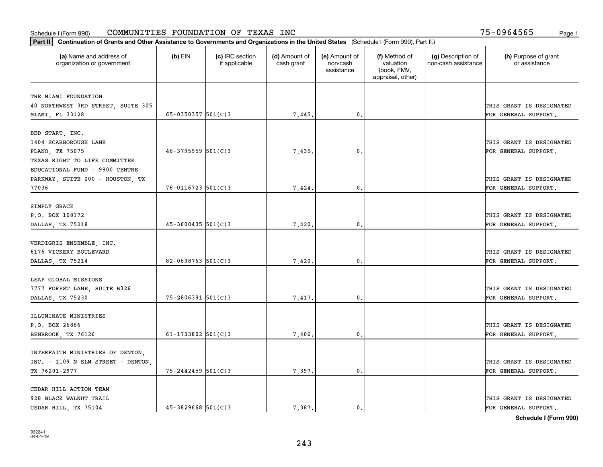| Part II   Continuation of Grants and Other Assistance to Governments and Organizations in the United States (Schedule I (Form 990), Part II.) |                        |                                  |                             |                                         |                                                                |                                           |                                       |
|-----------------------------------------------------------------------------------------------------------------------------------------------|------------------------|----------------------------------|-----------------------------|-----------------------------------------|----------------------------------------------------------------|-------------------------------------------|---------------------------------------|
| (a) Name and address of<br>organization or government                                                                                         | $(b)$ EIN              | (c) IRC section<br>if applicable | (d) Amount of<br>cash grant | (e) Amount of<br>non-cash<br>assistance | (f) Method of<br>valuation<br>(book, FMV,<br>appraisal, other) | (g) Description of<br>non-cash assistance | (h) Purpose of grant<br>or assistance |
|                                                                                                                                               |                        |                                  |                             |                                         |                                                                |                                           |                                       |
| THE MIAMI FOUNDATION<br>40 NORTHWEST 3RD STREET, SUITE 305                                                                                    |                        |                                  |                             |                                         |                                                                |                                           | THIS GRANT IS DESIGNATED              |
| MIAMI, FL 33128                                                                                                                               | 65-0350357 $501(C)3$   |                                  | 7,445.                      | $\mathbf{0}$ .                          |                                                                |                                           | FOR GENERAL SUPPORT.                  |
|                                                                                                                                               |                        |                                  |                             |                                         |                                                                |                                           |                                       |
| BED START, INC.                                                                                                                               |                        |                                  |                             |                                         |                                                                |                                           |                                       |
| 1404 SCARBOROUGH LANE                                                                                                                         |                        |                                  |                             |                                         |                                                                |                                           | THIS GRANT IS DESIGNATED              |
| PLANO, TX 75075                                                                                                                               | $46 - 3795959$ 501(C)3 |                                  | 7,435.                      | 0.                                      |                                                                |                                           | FOR GENERAL SUPPORT.                  |
| TEXAS RIGHT TO LIFE COMMITTEE                                                                                                                 |                        |                                  |                             |                                         |                                                                |                                           |                                       |
| EDUCATIONAL FUND - 9800 CENTRE                                                                                                                |                        |                                  |                             |                                         |                                                                |                                           |                                       |
| PARKWAY, SUITE 200 - HOUSTON, TX                                                                                                              |                        |                                  |                             |                                         |                                                                |                                           | THIS GRANT IS DESIGNATED              |
| 77036                                                                                                                                         | $76 - 0116723$ 501(C)3 |                                  | 7,424.                      | $^{\circ}$ .                            |                                                                |                                           | FOR GENERAL SUPPORT.                  |
|                                                                                                                                               |                        |                                  |                             |                                         |                                                                |                                           |                                       |
| SIMPLY GRACE                                                                                                                                  |                        |                                  |                             |                                         |                                                                |                                           |                                       |
| P.O. BOX 108172                                                                                                                               |                        |                                  |                             |                                         |                                                                |                                           | THIS GRANT IS DESIGNATED              |
| DALLAS, TX 75218                                                                                                                              | $45 - 3600435$ 501(C)3 |                                  | 7,420                       | 0.                                      |                                                                |                                           | FOR GENERAL SUPPORT.                  |
|                                                                                                                                               |                        |                                  |                             |                                         |                                                                |                                           |                                       |
| VERDIGRIS ENSEMBLE, INC.                                                                                                                      |                        |                                  |                             |                                         |                                                                |                                           |                                       |
| 6176 VICKERY BOULEVARD                                                                                                                        |                        |                                  |                             |                                         |                                                                |                                           | THIS GRANT IS DESIGNATED              |
| DALLAS, TX 75214                                                                                                                              | 82-0698763 $501(C)$ 3  |                                  | 7,420                       | 0.                                      |                                                                |                                           | FOR GENERAL SUPPORT.                  |
|                                                                                                                                               |                        |                                  |                             |                                         |                                                                |                                           |                                       |
| LEAP GLOBAL MISSIONS                                                                                                                          |                        |                                  |                             |                                         |                                                                |                                           |                                       |
| 7777 FOREST LANE, SUITE B326                                                                                                                  |                        |                                  |                             |                                         |                                                                |                                           | THIS GRANT IS DESIGNATED              |
| DALLAS, TX 75230                                                                                                                              | $75 - 2806391$ 501(C)3 |                                  | 7,417.                      | 0.                                      |                                                                |                                           | FOR GENERAL SUPPORT.                  |
|                                                                                                                                               |                        |                                  |                             |                                         |                                                                |                                           |                                       |
| ILLUMINATE MINISTRIES                                                                                                                         |                        |                                  |                             |                                         |                                                                |                                           |                                       |
| P.O. BOX 26866                                                                                                                                |                        |                                  |                             |                                         |                                                                |                                           | THIS GRANT IS DESIGNATED              |
| BENBROOK, TX 76126                                                                                                                            | 61-1733802 $501(C)3$   |                                  | 7,406.                      | 0.                                      |                                                                |                                           | FOR GENERAL SUPPORT.                  |
|                                                                                                                                               |                        |                                  |                             |                                         |                                                                |                                           |                                       |
| INTERFAITH MINISTRIES OF DENTON,                                                                                                              |                        |                                  |                             |                                         |                                                                |                                           |                                       |
| INC. - 1109 N ELM STREET - DENTON,                                                                                                            |                        |                                  |                             |                                         |                                                                |                                           | THIS GRANT IS DESIGNATED              |
| TX 76201-2977                                                                                                                                 | $75 - 2442459$ 501(C)3 |                                  | 7,397.                      | 0.                                      |                                                                |                                           | FOR GENERAL SUPPORT.                  |
| CEDAR HILL ACTION TEAM                                                                                                                        |                        |                                  |                             |                                         |                                                                |                                           |                                       |
| 928 BLACK WALNUT TRAIL                                                                                                                        |                        |                                  |                             |                                         |                                                                |                                           | THIS GRANT IS DESIGNATED              |
| CEDAR HILL, TX 75104                                                                                                                          | $45 - 3829668$ 501(C)3 |                                  | 7,387.                      | $\mathbf{0}$ .                          |                                                                |                                           | FOR GENERAL SUPPORT.                  |
|                                                                                                                                               |                        |                                  |                             |                                         |                                                                |                                           |                                       |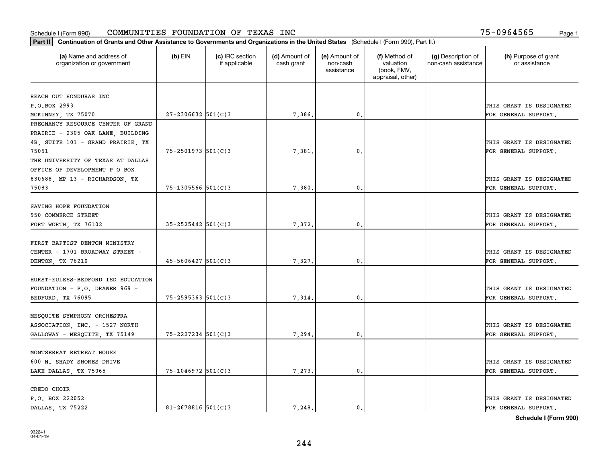| Part II   Continuation of Grants and Other Assistance to Governments and Organizations in the United States (Schedule I (Form 990), Part II.) |                          |                                  |                             |                                         |                                                                |                                           |                                       |
|-----------------------------------------------------------------------------------------------------------------------------------------------|--------------------------|----------------------------------|-----------------------------|-----------------------------------------|----------------------------------------------------------------|-------------------------------------------|---------------------------------------|
| (a) Name and address of<br>organization or government                                                                                         | $(b)$ EIN                | (c) IRC section<br>if applicable | (d) Amount of<br>cash grant | (e) Amount of<br>non-cash<br>assistance | (f) Method of<br>valuation<br>(book, FMV,<br>appraisal, other) | (g) Description of<br>non-cash assistance | (h) Purpose of grant<br>or assistance |
| REACH OUT HONDURAS INC                                                                                                                        |                          |                                  |                             |                                         |                                                                |                                           |                                       |
| P.O.BOX 2993                                                                                                                                  |                          |                                  |                             |                                         |                                                                |                                           | THIS GRANT IS DESIGNATED              |
| MCKINNEY, TX 75070                                                                                                                            | $27 - 2306632$ 501(C)3   |                                  | 7,386.                      | $\mathfrak{o}$ .                        |                                                                |                                           | FOR GENERAL SUPPORT.                  |
| PREGNANCY RESOURCE CENTER OF GRAND                                                                                                            |                          |                                  |                             |                                         |                                                                |                                           |                                       |
| PRAIRIE - 2305 OAK LANE, BUILDING                                                                                                             |                          |                                  |                             |                                         |                                                                |                                           |                                       |
| 4B, SUITE 101 - GRAND PRAIRIE, TX                                                                                                             |                          |                                  |                             |                                         |                                                                |                                           | THIS GRANT IS DESIGNATED              |
| 75051                                                                                                                                         | $75 - 2501973$ 501(C)3   |                                  | 7,381                       | 0.                                      |                                                                |                                           | FOR GENERAL SUPPORT.                  |
| THE UNIVERSITY OF TEXAS AT DALLAS                                                                                                             |                          |                                  |                             |                                         |                                                                |                                           |                                       |
| OFFICE OF DEVELOPMENT P O BOX                                                                                                                 |                          |                                  |                             |                                         |                                                                |                                           |                                       |
| 830688, MP 13 - RICHARDSON, TX                                                                                                                |                          |                                  |                             |                                         |                                                                |                                           | THIS GRANT IS DESIGNATED              |
| 75083                                                                                                                                         | $75 - 1305566$ $501(C)3$ |                                  | 7,380.                      | $\mathfrak{o}$ .                        |                                                                |                                           | FOR GENERAL SUPPORT.                  |
|                                                                                                                                               |                          |                                  |                             |                                         |                                                                |                                           |                                       |
| SAVING HOPE FOUNDATION                                                                                                                        |                          |                                  |                             |                                         |                                                                |                                           |                                       |
| 950 COMMERCE STREET                                                                                                                           |                          |                                  |                             |                                         |                                                                |                                           | THIS GRANT IS DESIGNATED              |
| FORT WORTH, TX 76102                                                                                                                          | $35 - 2525442$ 501(C)3   |                                  | 7,372.                      | 0.                                      |                                                                |                                           | FOR GENERAL SUPPORT.                  |
|                                                                                                                                               |                          |                                  |                             |                                         |                                                                |                                           |                                       |
| FIRST BAPTIST DENTON MINISTRY                                                                                                                 |                          |                                  |                             |                                         |                                                                |                                           |                                       |
| CENTER - 1701 BROADWAY STREET -                                                                                                               |                          |                                  |                             |                                         |                                                                |                                           | THIS GRANT IS DESIGNATED              |
| DENTON, TX 76210                                                                                                                              | $45 - 5606427$ 501(C)3   |                                  | 7,327.                      | 0.                                      |                                                                |                                           | FOR GENERAL SUPPORT.                  |
|                                                                                                                                               |                          |                                  |                             |                                         |                                                                |                                           |                                       |
| HURST-EULESS-BEDFORD ISD EDUCATION                                                                                                            |                          |                                  |                             |                                         |                                                                |                                           |                                       |
| FOUNDATION - P.O. DRAWER 969 -                                                                                                                |                          |                                  |                             |                                         |                                                                |                                           | THIS GRANT IS DESIGNATED              |
| BEDFORD, TX 76095                                                                                                                             | $75 - 2595363$ $501(C)3$ |                                  | 7,314.                      | 0.                                      |                                                                |                                           | FOR GENERAL SUPPORT.                  |
|                                                                                                                                               |                          |                                  |                             |                                         |                                                                |                                           |                                       |
| MESQUITE SYMPHONY ORCHESTRA                                                                                                                   |                          |                                  |                             |                                         |                                                                |                                           |                                       |
| ASSOCIATION, INC. - 1527 NORTH                                                                                                                |                          |                                  |                             |                                         |                                                                |                                           | THIS GRANT IS DESIGNATED              |
| GALLOWAY - MESQUITE, TX 75149                                                                                                                 | 75-2227234 501(C)3       |                                  | 7,294                       | 0.                                      |                                                                |                                           | FOR GENERAL SUPPORT.                  |
|                                                                                                                                               |                          |                                  |                             |                                         |                                                                |                                           |                                       |
| MONTSERRAT RETREAT HOUSE                                                                                                                      |                          |                                  |                             |                                         |                                                                |                                           |                                       |
| 600 N. SHADY SHORES DRIVE                                                                                                                     |                          |                                  |                             |                                         |                                                                |                                           | THIS GRANT IS DESIGNATED              |
| LAKE DALLAS, TX 75065                                                                                                                         | 75-1046972 501(C)3       |                                  | 7,273.                      | 0.                                      |                                                                |                                           | FOR GENERAL SUPPORT.                  |
|                                                                                                                                               |                          |                                  |                             |                                         |                                                                |                                           |                                       |
| CREDO CHOIR                                                                                                                                   |                          |                                  |                             |                                         |                                                                |                                           |                                       |
| P.O. BOX 222052                                                                                                                               |                          |                                  |                             |                                         |                                                                |                                           | THIS GRANT IS DESIGNATED              |
| DALLAS TX 75222                                                                                                                               | $81 - 2678816$ 501(C)3   |                                  | 7.248.                      | $\mathbf{0}$ .                          |                                                                |                                           | FOR GENERAL SUPPORT.                  |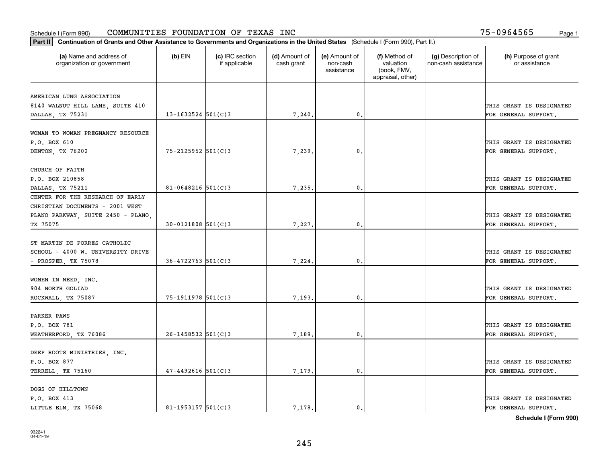| Part II   Continuation of Grants and Other Assistance to Governments and Organizations in the United States (Schedule I (Form 990), Part II.) |                        |                                  |                             |                                         |                                                                |                                           |                                       |
|-----------------------------------------------------------------------------------------------------------------------------------------------|------------------------|----------------------------------|-----------------------------|-----------------------------------------|----------------------------------------------------------------|-------------------------------------------|---------------------------------------|
| (a) Name and address of<br>organization or government                                                                                         | $(b)$ EIN              | (c) IRC section<br>if applicable | (d) Amount of<br>cash grant | (e) Amount of<br>non-cash<br>assistance | (f) Method of<br>valuation<br>(book, FMV,<br>appraisal, other) | (g) Description of<br>non-cash assistance | (h) Purpose of grant<br>or assistance |
| AMERICAN LUNG ASSOCIATION                                                                                                                     |                        |                                  |                             |                                         |                                                                |                                           |                                       |
| 8140 WALNUT HILL LANE, SUITE 410                                                                                                              |                        |                                  |                             |                                         |                                                                |                                           | THIS GRANT IS DESIGNATED              |
| DALLAS, TX 75231                                                                                                                              | $13 - 1632524$ 501(C)3 |                                  | 7,240,                      | 0.                                      |                                                                |                                           | FOR GENERAL SUPPORT.                  |
|                                                                                                                                               |                        |                                  |                             |                                         |                                                                |                                           |                                       |
| WOMAN TO WOMAN PREGNANCY RESOURCE                                                                                                             |                        |                                  |                             |                                         |                                                                |                                           |                                       |
| P.O. BOX 610                                                                                                                                  |                        |                                  |                             |                                         |                                                                |                                           | THIS GRANT IS DESIGNATED              |
| DENTON, TX 76202                                                                                                                              | $75 - 2125952$ 501(C)3 |                                  | 7,239                       | 0.                                      |                                                                |                                           | FOR GENERAL SUPPORT.                  |
|                                                                                                                                               |                        |                                  |                             |                                         |                                                                |                                           |                                       |
| CHURCH OF FAITH                                                                                                                               |                        |                                  |                             |                                         |                                                                |                                           |                                       |
| P.O. BOX 210858                                                                                                                               |                        |                                  |                             |                                         |                                                                |                                           | THIS GRANT IS DESIGNATED              |
| DALLAS, TX 75211                                                                                                                              | $81 - 0648216$ 501(C)3 |                                  | 7,235,                      | $\mathfrak{o}$ .                        |                                                                |                                           | FOR GENERAL SUPPORT.                  |
| CENTER FOR THE RESEARCH OF EARLY                                                                                                              |                        |                                  |                             |                                         |                                                                |                                           |                                       |
| CHRISTIAN DOCUMENTS - 2001 WEST                                                                                                               |                        |                                  |                             |                                         |                                                                |                                           |                                       |
| PLANO PARKWAY, SUITE 2450 - PLANO,                                                                                                            |                        |                                  |                             |                                         |                                                                |                                           | THIS GRANT IS DESIGNATED              |
| TX 75075                                                                                                                                      | $30 - 0121808$ 501(C)3 |                                  | 7,227.                      | 0.                                      |                                                                |                                           | FOR GENERAL SUPPORT.                  |
|                                                                                                                                               |                        |                                  |                             |                                         |                                                                |                                           |                                       |
| ST MARTIN DE PORRES CATHOLIC                                                                                                                  |                        |                                  |                             |                                         |                                                                |                                           |                                       |
| SCHOOL - 4000 W. UNIVERSITY DRIVE                                                                                                             |                        |                                  |                             |                                         |                                                                |                                           | THIS GRANT IS DESIGNATED              |
| - PROSPER, TX 75078                                                                                                                           | $36 - 4722763$ 501(C)3 |                                  | 7,224.                      | 0                                       |                                                                |                                           | FOR GENERAL SUPPORT.                  |
|                                                                                                                                               |                        |                                  |                             |                                         |                                                                |                                           |                                       |
| WOMEN IN NEED, INC.<br>904 NORTH GOLIAD                                                                                                       |                        |                                  |                             |                                         |                                                                |                                           | THIS GRANT IS DESIGNATED              |
|                                                                                                                                               | $75 - 1911978$ 501(C)3 |                                  |                             | $\mathbf{0}$                            |                                                                |                                           |                                       |
| ROCKWALL, TX 75087                                                                                                                            |                        |                                  | 7,193.                      |                                         |                                                                |                                           | FOR GENERAL SUPPORT.                  |
| PARKER PAWS                                                                                                                                   |                        |                                  |                             |                                         |                                                                |                                           |                                       |
| P.O. BOX 781                                                                                                                                  |                        |                                  |                             |                                         |                                                                |                                           | THIS GRANT IS DESIGNATED              |
| WEATHERFORD, TX 76086                                                                                                                         | $26 - 1458532$ 501(C)3 |                                  | 7,189.                      | $\mathfrak{o}$ .                        |                                                                |                                           | FOR GENERAL SUPPORT.                  |
|                                                                                                                                               |                        |                                  |                             |                                         |                                                                |                                           |                                       |
| DEEP ROOTS MINISTRIES, INC.                                                                                                                   |                        |                                  |                             |                                         |                                                                |                                           |                                       |
| P.O. BOX 877                                                                                                                                  |                        |                                  |                             |                                         |                                                                |                                           | THIS GRANT IS DESIGNATED              |
| TERRELL, TX 75160                                                                                                                             | $47 - 4492616$ 501(C)3 |                                  | 7,179.                      | $\mathfrak{o}$ .                        |                                                                |                                           | FOR GENERAL SUPPORT.                  |
|                                                                                                                                               |                        |                                  |                             |                                         |                                                                |                                           |                                       |
| DOGS OF HILLTOWN                                                                                                                              |                        |                                  |                             |                                         |                                                                |                                           |                                       |
| P.O. BOX 413                                                                                                                                  |                        |                                  |                             |                                         |                                                                |                                           | THIS GRANT IS DESIGNATED              |
| LITTLE ELM, TX 75068                                                                                                                          | $81 - 1953157$ 501(C)3 |                                  | 7.178.                      | $\mathfrak{o}$ .                        |                                                                |                                           | FOR GENERAL SUPPORT.                  |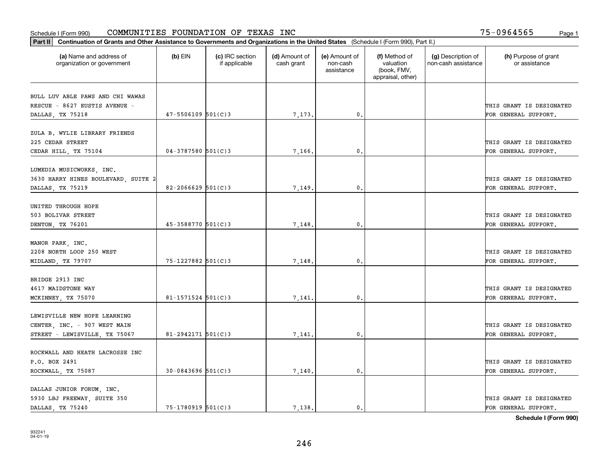| Part II   Continuation of Grants and Other Assistance to Governments and Organizations in the United States (Schedule I (Form 990), Part II.) |                          |                                  |                             |                                         |                                                                |                                           |                                       |
|-----------------------------------------------------------------------------------------------------------------------------------------------|--------------------------|----------------------------------|-----------------------------|-----------------------------------------|----------------------------------------------------------------|-------------------------------------------|---------------------------------------|
| (a) Name and address of<br>organization or government                                                                                         | $(b)$ EIN                | (c) IRC section<br>if applicable | (d) Amount of<br>cash grant | (e) Amount of<br>non-cash<br>assistance | (f) Method of<br>valuation<br>(book, FMV,<br>appraisal, other) | (g) Description of<br>non-cash assistance | (h) Purpose of grant<br>or assistance |
| BULL LUV ABLE PAWS AND CHI WAWAS                                                                                                              |                          |                                  |                             |                                         |                                                                |                                           |                                       |
| RESCUE - 8627 EUSTIS AVENUE -                                                                                                                 |                          |                                  |                             |                                         |                                                                |                                           | THIS GRANT IS DESIGNATED              |
| DALLAS, TX 75218                                                                                                                              | $47 - 5506109$ $501(C)3$ |                                  | 7,173.                      | $\mathfrak o$ .                         |                                                                |                                           | FOR GENERAL SUPPORT.                  |
|                                                                                                                                               |                          |                                  |                             |                                         |                                                                |                                           |                                       |
| ZULA B. WYLIE LIBRARY FRIENDS                                                                                                                 |                          |                                  |                             |                                         |                                                                |                                           |                                       |
| 225 CEDAR STREET                                                                                                                              |                          |                                  |                             |                                         |                                                                |                                           | THIS GRANT IS DESIGNATED              |
| CEDAR HILL, TX 75104                                                                                                                          | $04 - 3787580$ 501(C)3   |                                  | 7,166                       | 0.                                      |                                                                |                                           | FOR GENERAL SUPPORT.                  |
|                                                                                                                                               |                          |                                  |                             |                                         |                                                                |                                           |                                       |
| LUMEDIA MUSICWORKS, INC.                                                                                                                      |                          |                                  |                             |                                         |                                                                |                                           |                                       |
| 3630 HARRY HINES BOULEVARD, SUITE 2                                                                                                           |                          |                                  |                             |                                         |                                                                |                                           | THIS GRANT IS DESIGNATED              |
| DALLAS, TX 75219                                                                                                                              | $82 - 2066629$ 501(C)3   |                                  | 7,149.                      | $\mathfrak{o}$ .                        |                                                                |                                           | FOR GENERAL SUPPORT.                  |
| UNITED THROUGH HOPE                                                                                                                           |                          |                                  |                             |                                         |                                                                |                                           |                                       |
| 503 BOLIVAR STREET                                                                                                                            |                          |                                  |                             |                                         |                                                                |                                           | THIS GRANT IS DESIGNATED              |
| DENTON, TX 76201                                                                                                                              | $45 - 3588770$ 501(C)3   |                                  | 7,148.                      | 0.                                      |                                                                |                                           | FOR GENERAL SUPPORT.                  |
|                                                                                                                                               |                          |                                  |                             |                                         |                                                                |                                           |                                       |
| MANOR PARK, INC.                                                                                                                              |                          |                                  |                             |                                         |                                                                |                                           |                                       |
| 2208 NORTH LOOP 250 WEST                                                                                                                      |                          |                                  |                             |                                         |                                                                |                                           | THIS GRANT IS DESIGNATED              |
| MIDLAND, TX 79707                                                                                                                             | 75-1227882 501(C)3       |                                  | 7,148                       | 0                                       |                                                                |                                           | FOR GENERAL SUPPORT.                  |
|                                                                                                                                               |                          |                                  |                             |                                         |                                                                |                                           |                                       |
| BRIDGE 2913 INC                                                                                                                               |                          |                                  |                             |                                         |                                                                |                                           |                                       |
| 4617 MAIDSTONE WAY                                                                                                                            |                          |                                  |                             |                                         |                                                                |                                           | THIS GRANT IS DESIGNATED              |
| MCKINNEY, TX 75070                                                                                                                            | $81 - 1571524$ 501(C)3   |                                  | 7,141                       | $\mathbf{0}$                            |                                                                |                                           | FOR GENERAL SUPPORT.                  |
|                                                                                                                                               |                          |                                  |                             |                                         |                                                                |                                           |                                       |
| LEWISVILLE NEW HOPE LEARNING                                                                                                                  |                          |                                  |                             |                                         |                                                                |                                           |                                       |
| CENTER, INC. - 907 WEST MAIN                                                                                                                  |                          |                                  |                             |                                         |                                                                |                                           | THIS GRANT IS DESIGNATED              |
| STREET - LEWISVILLE, TX 75067                                                                                                                 | $81 - 2942171$ 501(C)3   |                                  | 7,141,                      | $\mathfrak{o}$ .                        |                                                                |                                           | FOR GENERAL SUPPORT.                  |
| ROCKWALL AND HEATH LACROSSE INC                                                                                                               |                          |                                  |                             |                                         |                                                                |                                           |                                       |
| P.O. BOX 2491                                                                                                                                 |                          |                                  |                             |                                         |                                                                |                                           | THIS GRANT IS DESIGNATED              |
| ROCKWALL, TX 75087                                                                                                                            | $30 - 0843696$ 501(C)3   |                                  | 7,140.                      | $\mathfrak{o}$ .                        |                                                                |                                           | FOR GENERAL SUPPORT.                  |
|                                                                                                                                               |                          |                                  |                             |                                         |                                                                |                                           |                                       |
| DALLAS JUNIOR FORUM, INC.                                                                                                                     |                          |                                  |                             |                                         |                                                                |                                           |                                       |
| 5930 LBJ FREEWAY, SUITE 350                                                                                                                   |                          |                                  |                             |                                         |                                                                |                                           | THIS GRANT IS DESIGNATED              |
| DALLAS, TX 75240                                                                                                                              | 75-1780919 501(C)3       |                                  | 7.138.                      | $\mathfrak{o}$ .                        |                                                                |                                           | FOR GENERAL SUPPORT.                  |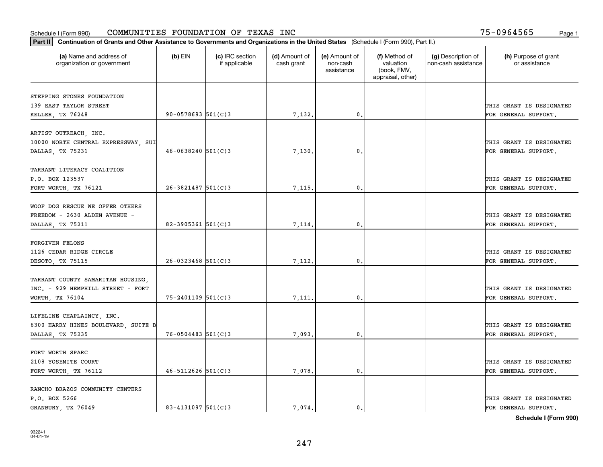|                          |                                                                                                      | assistance       | (book, FMV,<br>appraisal, other) |                          |
|--------------------------|------------------------------------------------------------------------------------------------------|------------------|----------------------------------|--------------------------|
|                          |                                                                                                      |                  |                                  |                          |
|                          |                                                                                                      |                  |                                  | THIS GRANT IS DESIGNATED |
| $90 - 0578693$ $501(C)3$ | 7,132.                                                                                               | 0.               |                                  | FOR GENERAL SUPPORT.     |
|                          |                                                                                                      |                  |                                  |                          |
|                          |                                                                                                      |                  |                                  | THIS GRANT IS DESIGNATED |
| $46 - 0638240$ 501(C)3   | 7,130                                                                                                | 0.               |                                  | FOR GENERAL SUPPORT.     |
|                          |                                                                                                      |                  |                                  |                          |
|                          |                                                                                                      |                  |                                  | THIS GRANT IS DESIGNATED |
| $26 - 3821487$ 501(C) 3  | 7,115.                                                                                               | $\mathfrak{o}$ . |                                  | FOR GENERAL SUPPORT.     |
|                          |                                                                                                      |                  |                                  |                          |
|                          |                                                                                                      |                  |                                  |                          |
|                          |                                                                                                      |                  |                                  | THIS GRANT IS DESIGNATED |
| $82 - 3905361$ 501(C)3   | 7,114.                                                                                               | 0.               |                                  | FOR GENERAL SUPPORT.     |
|                          |                                                                                                      |                  |                                  |                          |
|                          |                                                                                                      |                  |                                  |                          |
|                          |                                                                                                      |                  |                                  | THIS GRANT IS DESIGNATED |
|                          |                                                                                                      |                  |                                  | FOR GENERAL SUPPORT.     |
|                          |                                                                                                      |                  |                                  |                          |
|                          |                                                                                                      |                  |                                  | THIS GRANT IS DESIGNATED |
|                          | 7,111                                                                                                | $\mathbf{0}$ .   |                                  | FOR GENERAL SUPPORT.     |
|                          |                                                                                                      |                  |                                  |                          |
|                          |                                                                                                      |                  |                                  | THIS GRANT IS DESIGNATED |
|                          |                                                                                                      |                  |                                  | FOR GENERAL SUPPORT.     |
|                          |                                                                                                      |                  |                                  |                          |
|                          |                                                                                                      |                  |                                  |                          |
|                          |                                                                                                      |                  |                                  | THIS GRANT IS DESIGNATED |
|                          | 7,078.                                                                                               | $\mathbf{0}$ .   |                                  | FOR GENERAL SUPPORT.     |
|                          |                                                                                                      |                  |                                  |                          |
|                          |                                                                                                      |                  |                                  |                          |
|                          |                                                                                                      |                  |                                  | THIS GRANT IS DESIGNATED |
|                          | $26 - 0323468$ 501(C)3<br>$75 - 2401109$ 501(C)3<br>$76 - 0504483$ 501(C)3<br>$46 - 5112626$ 501(C)3 | 7,112.<br>7,093. | $\mathbf 0$ .<br>0.              |                          |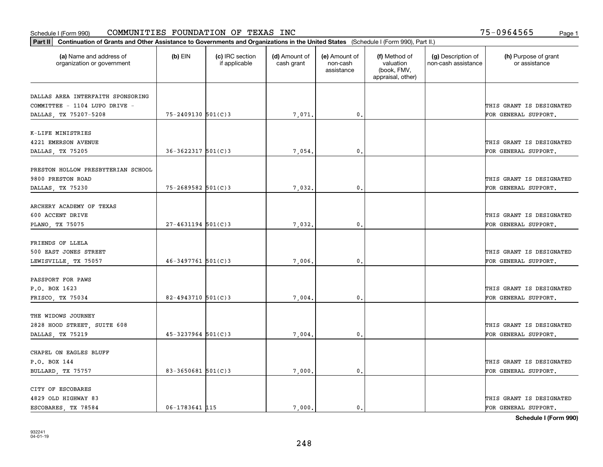| Part II   Continuation of Grants and Other Assistance to Governments and Organizations in the United States (Schedule I (Form 990), Part II.) |                         |                                  |                             |                                         |                                                                |                                           |                                       |
|-----------------------------------------------------------------------------------------------------------------------------------------------|-------------------------|----------------------------------|-----------------------------|-----------------------------------------|----------------------------------------------------------------|-------------------------------------------|---------------------------------------|
| (a) Name and address of<br>organization or government                                                                                         | $(b)$ EIN               | (c) IRC section<br>if applicable | (d) Amount of<br>cash grant | (e) Amount of<br>non-cash<br>assistance | (f) Method of<br>valuation<br>(book, FMV,<br>appraisal, other) | (g) Description of<br>non-cash assistance | (h) Purpose of grant<br>or assistance |
| DALLAS AREA INTERFAITH SPONSORING                                                                                                             |                         |                                  |                             |                                         |                                                                |                                           |                                       |
| COMMITTEE - 1104 LUPO DRIVE -                                                                                                                 |                         |                                  |                             |                                         |                                                                |                                           | THIS GRANT IS DESIGNATED              |
| DALLAS, TX 75207-5208                                                                                                                         | $75 - 2409130$ 501(C)3  |                                  | 7,071.                      | 0.                                      |                                                                |                                           | FOR GENERAL SUPPORT.                  |
|                                                                                                                                               |                         |                                  |                             |                                         |                                                                |                                           |                                       |
| K-LIFE MINISTRIES                                                                                                                             |                         |                                  |                             |                                         |                                                                |                                           |                                       |
| 4221 EMERSON AVENUE                                                                                                                           |                         |                                  |                             |                                         |                                                                |                                           | THIS GRANT IS DESIGNATED              |
| DALLAS, TX 75205                                                                                                                              | $36 - 3622317$ 501(C)3  |                                  | 7,054.                      | 0.                                      |                                                                |                                           | FOR GENERAL SUPPORT.                  |
|                                                                                                                                               |                         |                                  |                             |                                         |                                                                |                                           |                                       |
| PRESTON HOLLOW PRESBYTERIAN SCHOOL                                                                                                            |                         |                                  |                             |                                         |                                                                |                                           |                                       |
| 9800 PRESTON ROAD                                                                                                                             |                         |                                  |                             |                                         |                                                                |                                           | THIS GRANT IS DESIGNATED              |
| DALLAS, TX 75230                                                                                                                              | $75 - 2689582$ 501(C)3  |                                  | 7,032.                      | $\mathfrak{o}$ .                        |                                                                |                                           | FOR GENERAL SUPPORT.                  |
|                                                                                                                                               |                         |                                  |                             |                                         |                                                                |                                           |                                       |
| ARCHERY ACADEMY OF TEXAS                                                                                                                      |                         |                                  |                             |                                         |                                                                |                                           |                                       |
| 600 ACCENT DRIVE                                                                                                                              |                         |                                  |                             |                                         |                                                                |                                           | THIS GRANT IS DESIGNATED              |
| PLANO, TX 75075                                                                                                                               | $27 - 4631194$ 501(C)3  |                                  | 7,032.                      | 0.                                      |                                                                |                                           | FOR GENERAL SUPPORT.                  |
|                                                                                                                                               |                         |                                  |                             |                                         |                                                                |                                           |                                       |
| FRIENDS OF LLELA                                                                                                                              |                         |                                  |                             |                                         |                                                                |                                           |                                       |
| 500 EAST JONES STREET                                                                                                                         | $46 - 3497761$ 501(C)3  |                                  |                             | $\mathbf{0}$                            |                                                                |                                           | THIS GRANT IS DESIGNATED              |
| LEWISVILLE, TX 75057                                                                                                                          |                         |                                  | 7,006.                      |                                         |                                                                |                                           | FOR GENERAL SUPPORT.                  |
| PASSPORT FOR PAWS                                                                                                                             |                         |                                  |                             |                                         |                                                                |                                           |                                       |
| P.O. BOX 1623                                                                                                                                 |                         |                                  |                             |                                         |                                                                |                                           | THIS GRANT IS DESIGNATED              |
| FRISCO, TX 75034                                                                                                                              | $82 - 4943710$ 501(C)3  |                                  | 7,004.                      | $\mathbf{0}$                            |                                                                |                                           | FOR GENERAL SUPPORT.                  |
|                                                                                                                                               |                         |                                  |                             |                                         |                                                                |                                           |                                       |
| THE WIDOWS JOURNEY                                                                                                                            |                         |                                  |                             |                                         |                                                                |                                           |                                       |
| 2828 HOOD STREET, SUITE 608                                                                                                                   |                         |                                  |                             |                                         |                                                                |                                           | THIS GRANT IS DESIGNATED              |
| DALLAS, TX 75219                                                                                                                              | $45 - 3237964$ 501(C)3  |                                  | 7,004.                      | $\mathbf{0}$ .                          |                                                                |                                           | FOR GENERAL SUPPORT.                  |
|                                                                                                                                               |                         |                                  |                             |                                         |                                                                |                                           |                                       |
| CHAPEL ON EAGLES BLUFF                                                                                                                        |                         |                                  |                             |                                         |                                                                |                                           |                                       |
| P.O. BOX 144                                                                                                                                  |                         |                                  |                             |                                         |                                                                |                                           | THIS GRANT IS DESIGNATED              |
| BULLARD, TX 75757                                                                                                                             | $83 - 3650681$ 501(C) 3 |                                  | 7,000.                      | $\mathfrak{o}$ .                        |                                                                |                                           | FOR GENERAL SUPPORT.                  |
|                                                                                                                                               |                         |                                  |                             |                                         |                                                                |                                           |                                       |
| CITY OF ESCOBARES                                                                                                                             |                         |                                  |                             |                                         |                                                                |                                           |                                       |
| 4829 OLD HIGHWAY 83                                                                                                                           |                         |                                  |                             |                                         |                                                                |                                           | THIS GRANT IS DESIGNATED              |
| ESCOBARES, TX 78584                                                                                                                           | $06 - 1783641$ 115      |                                  | 7.000.                      | $\mathfrak{o}$ .                        |                                                                |                                           | FOR GENERAL SUPPORT.                  |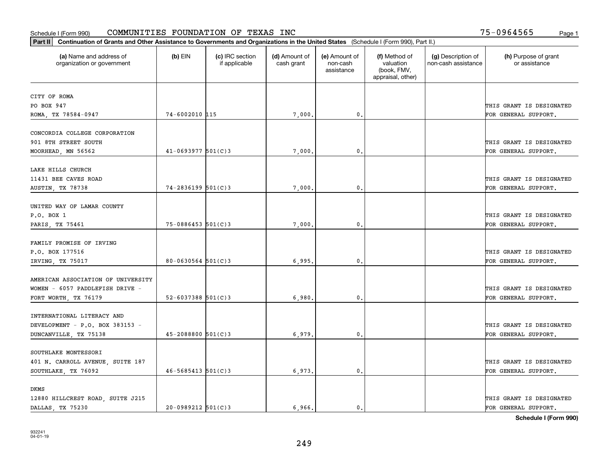| Part II   Continuation of Grants and Other Assistance to Governments and Organizations in the United States (Schedule I (Form 990), Part II.) |                          |                                  |                             |                                         |                                                                |                                           |                                                  |
|-----------------------------------------------------------------------------------------------------------------------------------------------|--------------------------|----------------------------------|-----------------------------|-----------------------------------------|----------------------------------------------------------------|-------------------------------------------|--------------------------------------------------|
| (a) Name and address of<br>organization or government                                                                                         | $(b)$ EIN                | (c) IRC section<br>if applicable | (d) Amount of<br>cash grant | (e) Amount of<br>non-cash<br>assistance | (f) Method of<br>valuation<br>(book, FMV,<br>appraisal, other) | (g) Description of<br>non-cash assistance | (h) Purpose of grant<br>or assistance            |
| CITY OF ROMA                                                                                                                                  |                          |                                  |                             |                                         |                                                                |                                           |                                                  |
| PO BOX 947                                                                                                                                    |                          |                                  |                             |                                         |                                                                |                                           | THIS GRANT IS DESIGNATED                         |
| ROMA, TX 78584-0947                                                                                                                           | 74-6002010 115           |                                  | 7,000.                      | 0.                                      |                                                                |                                           | FOR GENERAL SUPPORT.                             |
| CONCORDIA COLLEGE CORPORATION<br>901 8TH STREET SOUTH                                                                                         |                          |                                  |                             |                                         |                                                                |                                           | THIS GRANT IS DESIGNATED                         |
| MOORHEAD, MN 56562                                                                                                                            | $41 - 0693977$ 501(C)3   |                                  | 7,000                       | 0.                                      |                                                                |                                           | FOR GENERAL SUPPORT.                             |
| LAKE HILLS CHURCH<br>11431 BEE CAVES ROAD<br><b>AUSTIN, TX 78738</b>                                                                          | $74 - 2836199$ 501(C)3   |                                  | 7,000,                      | $\mathbf{0}$ .                          |                                                                |                                           | THIS GRANT IS DESIGNATED<br>FOR GENERAL SUPPORT. |
|                                                                                                                                               |                          |                                  |                             |                                         |                                                                |                                           |                                                  |
| UNITED WAY OF LAMAR COUNTY<br>P.O. BOX 1<br>PARIS, TX 75461                                                                                   | 75-0886453 501(C)3       |                                  | 7,000.                      | 0.                                      |                                                                |                                           | THIS GRANT IS DESIGNATED<br>FOR GENERAL SUPPORT. |
| FAMILY PROMISE OF IRVING                                                                                                                      |                          |                                  |                             |                                         |                                                                |                                           |                                                  |
| P.O. BOX 177516                                                                                                                               |                          |                                  |                             |                                         |                                                                |                                           | THIS GRANT IS DESIGNATED                         |
| IRVING, TX 75017                                                                                                                              | $80 - 0630564$ 501(C)3   |                                  | 6,995.                      | 0.                                      |                                                                |                                           | FOR GENERAL SUPPORT.                             |
| AMERICAN ASSOCIATION OF UNIVERSITY<br>WOMEN - 6057 PADDLEFISH DRIVE -                                                                         |                          |                                  |                             |                                         |                                                                |                                           | THIS GRANT IS DESIGNATED                         |
| FORT WORTH, TX 76179                                                                                                                          | $52 - 6037388$ $501(C)3$ |                                  | 6,980.                      | 0.                                      |                                                                |                                           | FOR GENERAL SUPPORT.                             |
| INTERNATIONAL LITERACY AND<br>DEVELOPMENT - P.O. BOX 383153 -<br>DUNCANVILLE, TX 75138                                                        | $45 - 2088800$ 501(C)3   |                                  | 6,979                       | $\mathbf{0}$ .                          |                                                                |                                           | THIS GRANT IS DESIGNATED<br>FOR GENERAL SUPPORT. |
|                                                                                                                                               |                          |                                  |                             |                                         |                                                                |                                           |                                                  |
| SOUTHLAKE MONTESSORI<br>401 N. CARROLL AVENUE, SUITE 187                                                                                      |                          |                                  |                             |                                         |                                                                |                                           | THIS GRANT IS DESIGNATED                         |
| SOUTHLAKE, TX 76092                                                                                                                           | $46 - 5685413$ $501(C)3$ |                                  | 6,973.                      | $\mathbf{0}$ .                          |                                                                |                                           | FOR GENERAL SUPPORT.                             |
| DKMS                                                                                                                                          |                          |                                  |                             |                                         |                                                                |                                           |                                                  |
| 12880 HILLCREST ROAD, SUITE J215<br>DALLAS, TX 75230                                                                                          | $20-0989212$ 501(C)3     |                                  | 6.966.                      | $\mathbf{0}$ .                          |                                                                |                                           | THIS GRANT IS DESIGNATED<br>FOR GENERAL SUPPORT. |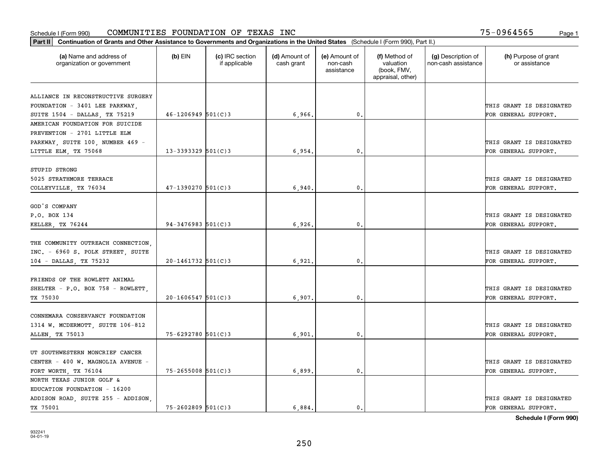| Part II   Continuation of Grants and Other Assistance to Governments and Organizations in the United States (Schedule I (Form 990), Part II.) |                        |                                  |                             |                                         |                                                                |                                           |                                       |
|-----------------------------------------------------------------------------------------------------------------------------------------------|------------------------|----------------------------------|-----------------------------|-----------------------------------------|----------------------------------------------------------------|-------------------------------------------|---------------------------------------|
| (a) Name and address of<br>organization or government                                                                                         | $(b)$ EIN              | (c) IRC section<br>if applicable | (d) Amount of<br>cash grant | (e) Amount of<br>non-cash<br>assistance | (f) Method of<br>valuation<br>(book, FMV,<br>appraisal, other) | (g) Description of<br>non-cash assistance | (h) Purpose of grant<br>or assistance |
|                                                                                                                                               |                        |                                  |                             |                                         |                                                                |                                           |                                       |
| ALLIANCE IN RECONSTRUCTIVE SURGERY                                                                                                            |                        |                                  |                             |                                         |                                                                |                                           | THIS GRANT IS DESIGNATED              |
| FOUNDATION - 3401 LEE PARKWAY,<br>SUITE 1504 - DALLAS, TX 75219                                                                               | $46 - 1206949$ 501(C)3 |                                  | 6,966,                      | $\mathfrak o$ .                         |                                                                |                                           | FOR GENERAL SUPPORT.                  |
| AMERICAN FOUNDATION FOR SUICIDE                                                                                                               |                        |                                  |                             |                                         |                                                                |                                           |                                       |
| PREVENTION - 2701 LITTLE ELM                                                                                                                  |                        |                                  |                             |                                         |                                                                |                                           |                                       |
| PARKWAY, SUITE 100, NUMBER 469 -                                                                                                              |                        |                                  |                             |                                         |                                                                |                                           | THIS GRANT IS DESIGNATED              |
| LITTLE ELM, TX 75068                                                                                                                          | $13 - 3393329$ 501(C)3 |                                  | 6,954                       | $\mathbf{0}$                            |                                                                |                                           | FOR GENERAL SUPPORT.                  |
|                                                                                                                                               |                        |                                  |                             |                                         |                                                                |                                           |                                       |
| STUPID STRONG                                                                                                                                 |                        |                                  |                             |                                         |                                                                |                                           |                                       |
| 5025 STRATHMORE TERRACE                                                                                                                       |                        |                                  |                             |                                         |                                                                |                                           | THIS GRANT IS DESIGNATED              |
| COLLEYVILLE, TX 76034                                                                                                                         | $47 - 1390270$ 501(C)3 |                                  | 6,940                       | $\mathfrak o$ .                         |                                                                |                                           | FOR GENERAL SUPPORT.                  |
|                                                                                                                                               |                        |                                  |                             |                                         |                                                                |                                           |                                       |
| GOD'S COMPANY                                                                                                                                 |                        |                                  |                             |                                         |                                                                |                                           |                                       |
| P.O. BOX 134                                                                                                                                  |                        |                                  |                             |                                         |                                                                |                                           | THIS GRANT IS DESIGNATED              |
| KELLER, TX 76244                                                                                                                              | $94 - 3476983$ 501(C)3 |                                  | 6,926                       | $\mathbf{0}$                            |                                                                |                                           | FOR GENERAL SUPPORT.                  |
|                                                                                                                                               |                        |                                  |                             |                                         |                                                                |                                           |                                       |
| THE COMMUNITY OUTREACH CONNECTION,                                                                                                            |                        |                                  |                             |                                         |                                                                |                                           |                                       |
| INC. - 6960 S. POLK STREET, SUITE                                                                                                             |                        |                                  |                             |                                         |                                                                |                                           | THIS GRANT IS DESIGNATED              |
| 104 - DALLAS, TX 75232                                                                                                                        | $20 - 1461732$ 501(C)3 |                                  | 6,921                       | $\mathbf 0$ .                           |                                                                |                                           | FOR GENERAL SUPPORT.                  |
|                                                                                                                                               |                        |                                  |                             |                                         |                                                                |                                           |                                       |
| FRIENDS OF THE ROWLETT ANIMAL                                                                                                                 |                        |                                  |                             |                                         |                                                                |                                           |                                       |
| SHELTER - P.O. BOX 758 - ROWLETT                                                                                                              |                        |                                  |                             |                                         |                                                                |                                           | THIS GRANT IS DESIGNATED              |
| TX 75030                                                                                                                                      | $20 - 1606547$ 501(C)3 |                                  | 6,907                       | 0.                                      |                                                                |                                           | FOR GENERAL SUPPORT.                  |
|                                                                                                                                               |                        |                                  |                             |                                         |                                                                |                                           |                                       |
| CONNEMARA CONSERVANCY FOUNDATION                                                                                                              |                        |                                  |                             |                                         |                                                                |                                           | THIS GRANT IS DESIGNATED              |
| 1314 W. MCDERMOTT, SUITE 106-812                                                                                                              |                        |                                  |                             |                                         |                                                                |                                           |                                       |
| ALLEN, TX 75013                                                                                                                               | $75 - 6292780$ 501(C)3 |                                  | 6,901                       | $^{\circ}$ .                            |                                                                |                                           | FOR GENERAL SUPPORT.                  |
| UT SOUTHWESTERN MONCRIEF CANCER                                                                                                               |                        |                                  |                             |                                         |                                                                |                                           |                                       |
| CENTER - 400 W. MAGNOLIA AVENUE -                                                                                                             |                        |                                  |                             |                                         |                                                                |                                           | THIS GRANT IS DESIGNATED              |
| FORT WORTH, TX 76104                                                                                                                          | $75 - 2655008$ 501(C)3 |                                  | 6,899                       | $\mathbf{0}$                            |                                                                |                                           | FOR GENERAL SUPPORT.                  |
| NORTH TEXAS JUNIOR GOLF &                                                                                                                     |                        |                                  |                             |                                         |                                                                |                                           |                                       |
| EDUCATION FOUNDATION - 16200                                                                                                                  |                        |                                  |                             |                                         |                                                                |                                           |                                       |
| ADDISON ROAD, SUITE 255 - ADDISON,                                                                                                            |                        |                                  |                             |                                         |                                                                |                                           | THIS GRANT IS DESIGNATED              |
| TX 75001                                                                                                                                      | $75 - 2602809$ 501(C)3 |                                  | 6.884.                      | $\mathfrak{o}$ .                        |                                                                |                                           | FOR GENERAL SUPPORT.                  |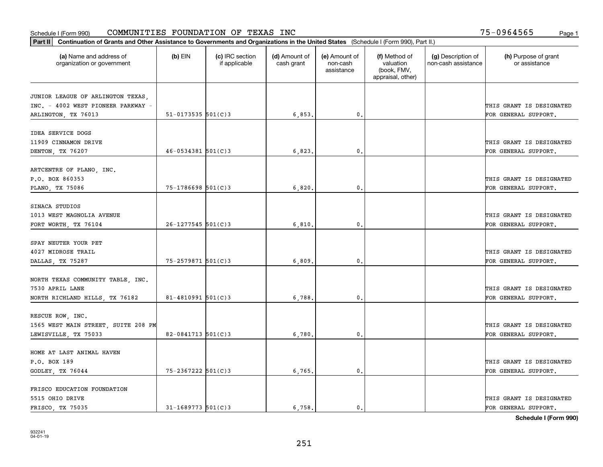| Part II   Continuation of Grants and Other Assistance to Governments and Organizations in the United States (Schedule I (Form 990), Part II.) |                          |                                  |                             |                                         |                                                                |                                           |                                       |
|-----------------------------------------------------------------------------------------------------------------------------------------------|--------------------------|----------------------------------|-----------------------------|-----------------------------------------|----------------------------------------------------------------|-------------------------------------------|---------------------------------------|
| (a) Name and address of<br>organization or government                                                                                         | $(b)$ EIN                | (c) IRC section<br>if applicable | (d) Amount of<br>cash grant | (e) Amount of<br>non-cash<br>assistance | (f) Method of<br>valuation<br>(book, FMV,<br>appraisal, other) | (g) Description of<br>non-cash assistance | (h) Purpose of grant<br>or assistance |
|                                                                                                                                               |                          |                                  |                             |                                         |                                                                |                                           |                                       |
| JUNIOR LEAGUE OF ARLINGTON TEXAS,<br>INC. - 4002 WEST PIONEER PARKWAY -                                                                       |                          |                                  |                             |                                         |                                                                |                                           | THIS GRANT IS DESIGNATED              |
| ARLINGTON, TX 76013                                                                                                                           | $51 - 0173535$ $501(C)3$ |                                  | 6,853.                      | $\mathbf{0}$ .                          |                                                                |                                           | FOR GENERAL SUPPORT.                  |
|                                                                                                                                               |                          |                                  |                             |                                         |                                                                |                                           |                                       |
| IDEA SERVICE DOGS                                                                                                                             |                          |                                  |                             |                                         |                                                                |                                           |                                       |
| 11909 CINNAMON DRIVE                                                                                                                          |                          |                                  |                             |                                         |                                                                |                                           | THIS GRANT IS DESIGNATED              |
| DENTON, TX 76207                                                                                                                              | $46 - 0534381$ 501(C)3   |                                  | 6,823                       | 0.                                      |                                                                |                                           | FOR GENERAL SUPPORT.                  |
|                                                                                                                                               |                          |                                  |                             |                                         |                                                                |                                           |                                       |
| ARTCENTRE OF PLANO, INC.                                                                                                                      |                          |                                  |                             |                                         |                                                                |                                           |                                       |
| P.O. BOX 860353                                                                                                                               |                          |                                  |                             |                                         |                                                                |                                           | THIS GRANT IS DESIGNATED              |
| PLANO, TX 75086                                                                                                                               | $75 - 1786698$ 501(C)3   |                                  | 6,820.                      | $\mathbf{0}$ .                          |                                                                |                                           | FOR GENERAL SUPPORT.                  |
|                                                                                                                                               |                          |                                  |                             |                                         |                                                                |                                           |                                       |
| SINACA STUDIOS                                                                                                                                |                          |                                  |                             |                                         |                                                                |                                           |                                       |
| 1013 WEST MAGNOLIA AVENUE                                                                                                                     |                          |                                  |                             |                                         |                                                                |                                           | THIS GRANT IS DESIGNATED              |
| FORT WORTH, TX 76104                                                                                                                          | $26 - 1277545$ 501(C)3   |                                  | 6,810.                      | 0.                                      |                                                                |                                           | FOR GENERAL SUPPORT.                  |
|                                                                                                                                               |                          |                                  |                             |                                         |                                                                |                                           |                                       |
| SPAY NEUTER YOUR PET                                                                                                                          |                          |                                  |                             |                                         |                                                                |                                           |                                       |
| 4027 MIDROSE TRAIL                                                                                                                            |                          |                                  |                             |                                         |                                                                |                                           | THIS GRANT IS DESIGNATED              |
| DALLAS, TX 75287                                                                                                                              | 75-2579871 501(C)3       |                                  | 6,809                       | 0.                                      |                                                                |                                           | FOR GENERAL SUPPORT.                  |
|                                                                                                                                               |                          |                                  |                             |                                         |                                                                |                                           |                                       |
| NORTH TEXAS COMMUNITY TABLE, INC.                                                                                                             |                          |                                  |                             |                                         |                                                                |                                           |                                       |
| 7530 APRIL LANE                                                                                                                               |                          |                                  |                             |                                         |                                                                |                                           | THIS GRANT IS DESIGNATED              |
| NORTH RICHLAND HILLS, TX 76182                                                                                                                | $81 - 4810991$ 501(C)3   |                                  | 6,788                       | 0.                                      |                                                                |                                           | FOR GENERAL SUPPORT.                  |
|                                                                                                                                               |                          |                                  |                             |                                         |                                                                |                                           |                                       |
| RESCUE ROW, INC.                                                                                                                              |                          |                                  |                             |                                         |                                                                |                                           |                                       |
| 1565 WEST MAIN STREET, SUITE 208 PM                                                                                                           |                          |                                  |                             |                                         |                                                                |                                           | THIS GRANT IS DESIGNATED              |
| LEWISVILLE, TX 75033                                                                                                                          | $82 - 0841713$ 501(C)3   |                                  | 6,780.                      | $\mathbf{0}$ .                          |                                                                |                                           | FOR GENERAL SUPPORT.                  |
|                                                                                                                                               |                          |                                  |                             |                                         |                                                                |                                           |                                       |
| HOME AT LAST ANIMAL HAVEN                                                                                                                     |                          |                                  |                             |                                         |                                                                |                                           |                                       |
| P.O. BOX 189                                                                                                                                  |                          |                                  |                             |                                         |                                                                |                                           | THIS GRANT IS DESIGNATED              |
| GODLEY, TX 76044                                                                                                                              | 75-2367222 501(C)3       |                                  | 6, 765.                     | 0.                                      |                                                                |                                           | FOR GENERAL SUPPORT.                  |
|                                                                                                                                               |                          |                                  |                             |                                         |                                                                |                                           |                                       |
| FRISCO EDUCATION FOUNDATION                                                                                                                   |                          |                                  |                             |                                         |                                                                |                                           |                                       |
| 5515 OHIO DRIVE                                                                                                                               |                          |                                  |                             |                                         |                                                                |                                           | THIS GRANT IS DESIGNATED              |
| FRISCO, TX 75035                                                                                                                              | $31 - 1689773$ 501(C)3   |                                  | 6.758.                      | $\mathbf{0}$ .                          |                                                                |                                           | FOR GENERAL SUPPORT.                  |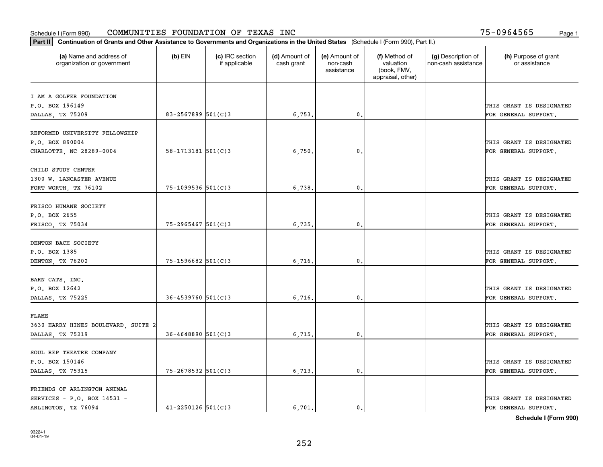| Part II   Continuation of Grants and Other Assistance to Governments and Organizations in the United States (Schedule I (Form 990), Part II.) |                          |                                  |                             |                                         |                                                                |                                           |                                       |
|-----------------------------------------------------------------------------------------------------------------------------------------------|--------------------------|----------------------------------|-----------------------------|-----------------------------------------|----------------------------------------------------------------|-------------------------------------------|---------------------------------------|
| (a) Name and address of<br>organization or government                                                                                         | $(b)$ EIN                | (c) IRC section<br>if applicable | (d) Amount of<br>cash grant | (e) Amount of<br>non-cash<br>assistance | (f) Method of<br>valuation<br>(book, FMV,<br>appraisal, other) | (g) Description of<br>non-cash assistance | (h) Purpose of grant<br>or assistance |
|                                                                                                                                               |                          |                                  |                             |                                         |                                                                |                                           |                                       |
| I AM A GOLFER FOUNDATION<br>P.O. BOX 196149                                                                                                   |                          |                                  |                             |                                         |                                                                |                                           | THIS GRANT IS DESIGNATED              |
| DALLAS, TX 75209                                                                                                                              | $83 - 2567899$ 501(C)3   |                                  | 6,753.                      | 0.                                      |                                                                |                                           | FOR GENERAL SUPPORT.                  |
|                                                                                                                                               |                          |                                  |                             |                                         |                                                                |                                           |                                       |
| REFORMED UNIVERSITY FELLOWSHIP                                                                                                                |                          |                                  |                             |                                         |                                                                |                                           |                                       |
| P.O. BOX 890004                                                                                                                               |                          |                                  |                             |                                         |                                                                |                                           | THIS GRANT IS DESIGNATED              |
| CHARLOTTE, NC 28289-0004                                                                                                                      | $58 - 1713181$ $501(C)3$ |                                  | 6,750                       | 0.                                      |                                                                |                                           | FOR GENERAL SUPPORT.                  |
|                                                                                                                                               |                          |                                  |                             |                                         |                                                                |                                           |                                       |
| CHILD STUDY CENTER                                                                                                                            |                          |                                  |                             |                                         |                                                                |                                           |                                       |
| 1300 W. LANCASTER AVENUE                                                                                                                      |                          |                                  |                             |                                         |                                                                |                                           | THIS GRANT IS DESIGNATED              |
| FORT WORTH, TX 76102                                                                                                                          | $75 - 1099536$ 501(C)3   |                                  | 6,738.                      | $\mathfrak{o}$ .                        |                                                                |                                           | FOR GENERAL SUPPORT.                  |
|                                                                                                                                               |                          |                                  |                             |                                         |                                                                |                                           |                                       |
| FRISCO HUMANE SOCIETY                                                                                                                         |                          |                                  |                             |                                         |                                                                |                                           |                                       |
| P.O. BOX 2655                                                                                                                                 |                          |                                  |                             |                                         |                                                                |                                           | THIS GRANT IS DESIGNATED              |
| FRISCO, TX 75034                                                                                                                              | $75 - 2965467$ 501(C)3   |                                  | 6,735.                      | $\mathbf{0}$                            |                                                                |                                           | FOR GENERAL SUPPORT.                  |
| DENTON BACH SOCIETY                                                                                                                           |                          |                                  |                             |                                         |                                                                |                                           |                                       |
| P.O. BOX 1385                                                                                                                                 |                          |                                  |                             |                                         |                                                                |                                           | THIS GRANT IS DESIGNATED              |
| DENTON, TX 76202                                                                                                                              | 75-1596682 501(C)3       |                                  | 6,716.                      | $\mathbf{0}$                            |                                                                |                                           | FOR GENERAL SUPPORT.                  |
|                                                                                                                                               |                          |                                  |                             |                                         |                                                                |                                           |                                       |
| BARN CATS, INC.                                                                                                                               |                          |                                  |                             |                                         |                                                                |                                           |                                       |
| P.O. BOX 12642                                                                                                                                |                          |                                  |                             |                                         |                                                                |                                           | THIS GRANT IS DESIGNATED              |
| DALLAS, TX 75225                                                                                                                              | $36 - 4539760$ 501(C)3   |                                  | 6,716.                      | 0.                                      |                                                                |                                           | FOR GENERAL SUPPORT.                  |
|                                                                                                                                               |                          |                                  |                             |                                         |                                                                |                                           |                                       |
| FLAME                                                                                                                                         |                          |                                  |                             |                                         |                                                                |                                           |                                       |
| 3630 HARRY HINES BOULEVARD, SUITE 2                                                                                                           |                          |                                  |                             |                                         |                                                                |                                           | THIS GRANT IS DESIGNATED              |
| DALLAS, TX 75219                                                                                                                              | $36 - 4648890$ 501(C)3   |                                  | 6,715,                      | $^{\rm 0}$ .                            |                                                                |                                           | FOR GENERAL SUPPORT.                  |
|                                                                                                                                               |                          |                                  |                             |                                         |                                                                |                                           |                                       |
| SOUL REP THEATRE COMPANY                                                                                                                      |                          |                                  |                             |                                         |                                                                |                                           |                                       |
| P.O. BOX 150146                                                                                                                               |                          |                                  |                             |                                         |                                                                |                                           | THIS GRANT IS DESIGNATED              |
| DALLAS, TX 75315                                                                                                                              | 75-2678532 501(C)3       |                                  | 6,713.                      | $\mathfrak{o}$ .                        |                                                                |                                           | FOR GENERAL SUPPORT.                  |
| FRIENDS OF ARLINGTON ANIMAL                                                                                                                   |                          |                                  |                             |                                         |                                                                |                                           |                                       |
| SERVICES - P.O. BOX 14531 -                                                                                                                   |                          |                                  |                             |                                         |                                                                |                                           | THIS GRANT IS DESIGNATED              |
| ARLINGTON, TX 76094                                                                                                                           | $41 - 2250126$ 501(C)3   |                                  | 6.701.                      | $\mathbf{0}$ .                          |                                                                |                                           | FOR GENERAL SUPPORT.                  |
|                                                                                                                                               |                          |                                  |                             |                                         |                                                                |                                           |                                       |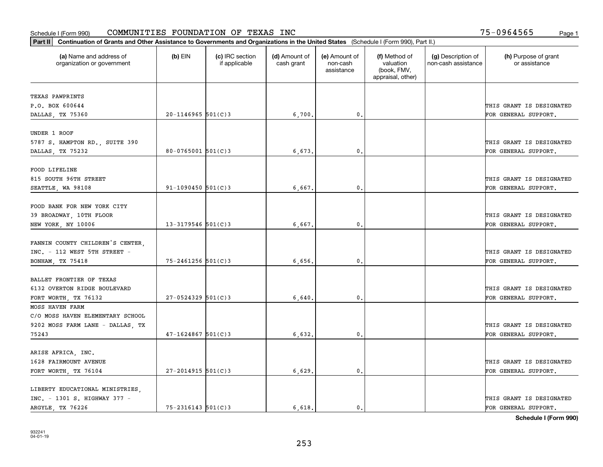| Part II   Continuation of Grants and Other Assistance to Governments and Organizations in the United States (Schedule I (Form 990), Part II.) |                        |                                  |                             |                                         |                                                                |                                           |                                       |
|-----------------------------------------------------------------------------------------------------------------------------------------------|------------------------|----------------------------------|-----------------------------|-----------------------------------------|----------------------------------------------------------------|-------------------------------------------|---------------------------------------|
| (a) Name and address of<br>organization or government                                                                                         | $(b)$ EIN              | (c) IRC section<br>if applicable | (d) Amount of<br>cash grant | (e) Amount of<br>non-cash<br>assistance | (f) Method of<br>valuation<br>(book, FMV,<br>appraisal, other) | (g) Description of<br>non-cash assistance | (h) Purpose of grant<br>or assistance |
| TEXAS PAWPRINTS                                                                                                                               |                        |                                  |                             |                                         |                                                                |                                           |                                       |
| P.O. BOX 600644                                                                                                                               |                        |                                  |                             |                                         |                                                                |                                           | THIS GRANT IS DESIGNATED              |
| DALLAS, TX 75360                                                                                                                              | $20 - 1146965$ 501(C)3 |                                  | 6,700.                      | 0.                                      |                                                                |                                           | FOR GENERAL SUPPORT.                  |
|                                                                                                                                               |                        |                                  |                             |                                         |                                                                |                                           |                                       |
| UNDER 1 ROOF                                                                                                                                  |                        |                                  |                             |                                         |                                                                |                                           |                                       |
| 5787 S. HAMPTON RD., SUITE 390                                                                                                                |                        |                                  |                             |                                         |                                                                |                                           | THIS GRANT IS DESIGNATED              |
| DALLAS, TX 75232                                                                                                                              | $80-0765001$ 501(C)3   |                                  | 6,673                       | 0.                                      |                                                                |                                           | FOR GENERAL SUPPORT.                  |
|                                                                                                                                               |                        |                                  |                             |                                         |                                                                |                                           |                                       |
| FOOD LIFELINE                                                                                                                                 |                        |                                  |                             |                                         |                                                                |                                           |                                       |
| 815 SOUTH 96TH STREET                                                                                                                         | $91 - 1090450$ 501(C)3 |                                  |                             |                                         |                                                                |                                           | THIS GRANT IS DESIGNATED              |
| SEATTLE, WA 98108                                                                                                                             |                        |                                  | 6,667.                      | $\mathbf 0$ .                           |                                                                |                                           | FOR GENERAL SUPPORT.                  |
| FOOD BANK FOR NEW YORK CITY                                                                                                                   |                        |                                  |                             |                                         |                                                                |                                           |                                       |
| 39 BROADWAY, 10TH FLOOR                                                                                                                       |                        |                                  |                             |                                         |                                                                |                                           | THIS GRANT IS DESIGNATED              |
| NEW YORK, NY 10006                                                                                                                            | $13 - 3179546$ 501(C)3 |                                  | 6,667.                      | 0.                                      |                                                                |                                           | FOR GENERAL SUPPORT.                  |
|                                                                                                                                               |                        |                                  |                             |                                         |                                                                |                                           |                                       |
| FANNIN COUNTY CHILDREN'S CENTER,                                                                                                              |                        |                                  |                             |                                         |                                                                |                                           |                                       |
| INC. - 112 WEST 5TH STREET -                                                                                                                  |                        |                                  |                             |                                         |                                                                |                                           | THIS GRANT IS DESIGNATED              |
| BONHAM, TX 75418                                                                                                                              | $75 - 2461256$ 501(C)3 |                                  | 6,656                       | 0                                       |                                                                |                                           | FOR GENERAL SUPPORT.                  |
|                                                                                                                                               |                        |                                  |                             |                                         |                                                                |                                           |                                       |
| BALLET FRONTIER OF TEXAS                                                                                                                      |                        |                                  |                             |                                         |                                                                |                                           |                                       |
| 6132 OVERTON RIDGE BOULEVARD                                                                                                                  |                        |                                  |                             |                                         |                                                                |                                           | THIS GRANT IS DESIGNATED              |
| FORT WORTH, TX 76132                                                                                                                          | $27 - 0524329$ 501(C)3 |                                  | 6,640.                      | $\mathbf{0}$                            |                                                                |                                           | FOR GENERAL SUPPORT.                  |
| MOSS HAVEN FARM                                                                                                                               |                        |                                  |                             |                                         |                                                                |                                           |                                       |
| C/O MOSS HAVEN ELEMENTARY SCHOOL                                                                                                              |                        |                                  |                             |                                         |                                                                |                                           |                                       |
| 9202 MOSS FARM LANE - DALLAS, TX                                                                                                              |                        |                                  |                             |                                         |                                                                |                                           | THIS GRANT IS DESIGNATED              |
| 75243                                                                                                                                         | $47 - 1624867$ 501(C)3 |                                  | 6,632.                      | $\mathbf{0}$ .                          |                                                                |                                           | FOR GENERAL SUPPORT.                  |
|                                                                                                                                               |                        |                                  |                             |                                         |                                                                |                                           |                                       |
| ARISE AFRICA, INC.                                                                                                                            |                        |                                  |                             |                                         |                                                                |                                           |                                       |
| 1628 FAIRMOUNT AVENUE                                                                                                                         |                        |                                  |                             |                                         |                                                                |                                           | THIS GRANT IS DESIGNATED              |
| FORT WORTH, TX 76104                                                                                                                          | $27 - 2014915$ 501(C)3 |                                  | 6,629.                      | $\mathfrak{o}$ .                        |                                                                |                                           | FOR GENERAL SUPPORT.                  |
| LIBERTY EDUCATIONAL MINISTRIES,                                                                                                               |                        |                                  |                             |                                         |                                                                |                                           |                                       |
| INC. - 1301 S. HIGHWAY 377 -                                                                                                                  |                        |                                  |                             |                                         |                                                                |                                           | THIS GRANT IS DESIGNATED              |
| ARGYLE, TX 76226                                                                                                                              | $75 - 2316143$ 501(C)3 |                                  | 6.618.                      | $\mathfrak{o}$ .                        |                                                                |                                           | FOR GENERAL SUPPORT.                  |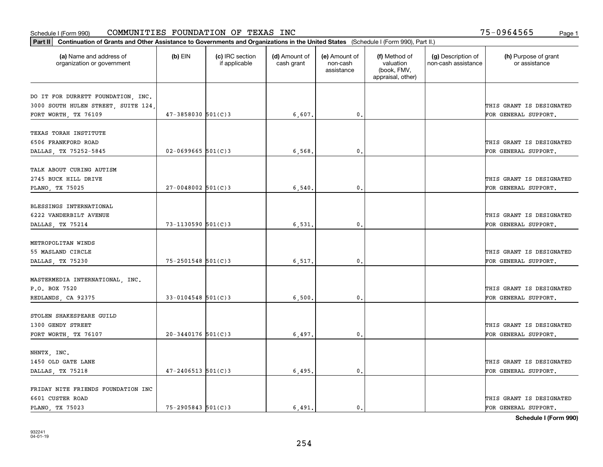| Part II   Continuation of Grants and Other Assistance to Governments and Organizations in the United States (Schedule I (Form 990), Part II.) |                          |                                  |                             |                                         |                                                                |                                           |                                       |
|-----------------------------------------------------------------------------------------------------------------------------------------------|--------------------------|----------------------------------|-----------------------------|-----------------------------------------|----------------------------------------------------------------|-------------------------------------------|---------------------------------------|
| (a) Name and address of<br>organization or government                                                                                         | $(b)$ EIN                | (c) IRC section<br>if applicable | (d) Amount of<br>cash grant | (e) Amount of<br>non-cash<br>assistance | (f) Method of<br>valuation<br>(book, FMV,<br>appraisal, other) | (g) Description of<br>non-cash assistance | (h) Purpose of grant<br>or assistance |
|                                                                                                                                               |                          |                                  |                             |                                         |                                                                |                                           |                                       |
| DO IT FOR DURRETT FOUNDATION, INC.                                                                                                            |                          |                                  |                             |                                         |                                                                |                                           |                                       |
| 3000 SOUTH HULEN STREET, SUITE 124,                                                                                                           | $47 - 3858030$ $501(C)3$ |                                  |                             | 0.                                      |                                                                |                                           | THIS GRANT IS DESIGNATED              |
| FORT WORTH, TX 76109                                                                                                                          |                          |                                  | 6,607.                      |                                         |                                                                |                                           | FOR GENERAL SUPPORT.                  |
| TEXAS TORAH INSTITUTE                                                                                                                         |                          |                                  |                             |                                         |                                                                |                                           |                                       |
| 6506 FRANKFORD ROAD                                                                                                                           |                          |                                  |                             |                                         |                                                                |                                           | THIS GRANT IS DESIGNATED              |
| DALLAS, TX 75252-5845                                                                                                                         | $02 - 0699665$ 501(C)3   |                                  | 6,568                       | 0.                                      |                                                                |                                           | FOR GENERAL SUPPORT.                  |
|                                                                                                                                               |                          |                                  |                             |                                         |                                                                |                                           |                                       |
| TALK ABOUT CURING AUTISM                                                                                                                      |                          |                                  |                             |                                         |                                                                |                                           |                                       |
| 2745 BUCK HILL DRIVE                                                                                                                          |                          |                                  |                             |                                         |                                                                |                                           | THIS GRANT IS DESIGNATED              |
| PLANO, TX 75025                                                                                                                               | $27 - 0048002$ 501(C)3   |                                  | 6,540                       | $\mathbf{0}$ .                          |                                                                |                                           | FOR GENERAL SUPPORT.                  |
|                                                                                                                                               |                          |                                  |                             |                                         |                                                                |                                           |                                       |
| BLESSINGS INTERNATIONAL                                                                                                                       |                          |                                  |                             |                                         |                                                                |                                           |                                       |
| 6222 VANDERBILT AVENUE                                                                                                                        |                          |                                  |                             |                                         |                                                                |                                           | THIS GRANT IS DESIGNATED              |
| DALLAS, TX 75214                                                                                                                              | $73 - 1130590$ 501(C)3   |                                  | 6,531.                      | 0.                                      |                                                                |                                           | FOR GENERAL SUPPORT.                  |
|                                                                                                                                               |                          |                                  |                             |                                         |                                                                |                                           |                                       |
| METROPOLITAN WINDS                                                                                                                            |                          |                                  |                             |                                         |                                                                |                                           |                                       |
| 55 MASLAND CIRCLE                                                                                                                             |                          |                                  |                             |                                         |                                                                |                                           | THIS GRANT IS DESIGNATED              |
| DALLAS, TX 75230                                                                                                                              | $75 - 2501548$ 501(C)3   |                                  | 6,517.                      | 0.                                      |                                                                |                                           | FOR GENERAL SUPPORT.                  |
|                                                                                                                                               |                          |                                  |                             |                                         |                                                                |                                           |                                       |
| MASTERMEDIA INTERNATIONAL, INC.                                                                                                               |                          |                                  |                             |                                         |                                                                |                                           |                                       |
| P.O. BOX 7520                                                                                                                                 |                          |                                  |                             |                                         |                                                                |                                           | THIS GRANT IS DESIGNATED              |
| REDLANDS, CA 92375                                                                                                                            | $33 - 0104548$ 501(C)3   |                                  | 6,500                       | 0.                                      |                                                                |                                           | FOR GENERAL SUPPORT.                  |
|                                                                                                                                               |                          |                                  |                             |                                         |                                                                |                                           |                                       |
| STOLEN SHAKESPEARE GUILD                                                                                                                      |                          |                                  |                             |                                         |                                                                |                                           |                                       |
| 1300 GENDY STREET                                                                                                                             |                          |                                  |                             |                                         |                                                                |                                           | THIS GRANT IS DESIGNATED              |
| FORT WORTH, TX 76107                                                                                                                          | $20 - 3440176$ 501(C)3   |                                  | 6,497.                      | $\mathbf{0}$ .                          |                                                                |                                           | FOR GENERAL SUPPORT.                  |
|                                                                                                                                               |                          |                                  |                             |                                         |                                                                |                                           |                                       |
| NHNTX, INC.                                                                                                                                   |                          |                                  |                             |                                         |                                                                |                                           |                                       |
| 1450 OLD GATE LANE                                                                                                                            |                          |                                  |                             |                                         |                                                                |                                           | THIS GRANT IS DESIGNATED              |
| DALLAS, TX 75218                                                                                                                              | $47 - 2406513$ 501(C)3   |                                  | 6,495.                      | 0.                                      |                                                                |                                           | FOR GENERAL SUPPORT.                  |
| FRIDAY NITE FRIENDS FOUNDATION INC                                                                                                            |                          |                                  |                             |                                         |                                                                |                                           |                                       |
| 6601 CUSTER ROAD                                                                                                                              |                          |                                  |                             |                                         |                                                                |                                           | THIS GRANT IS DESIGNATED              |
| PLANO, TX 75023                                                                                                                               | $75 - 2905843$ 501(C)3   |                                  | 6.491.                      | 0.                                      |                                                                |                                           | FOR GENERAL SUPPORT.                  |
|                                                                                                                                               |                          |                                  |                             |                                         |                                                                |                                           |                                       |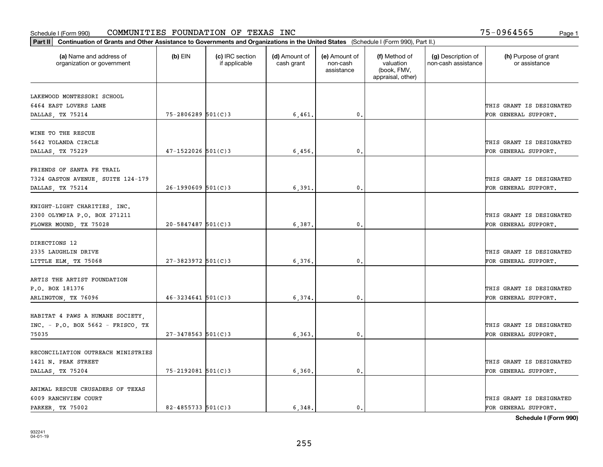| Part II   Continuation of Grants and Other Assistance to Governments and Organizations in the United States (Schedule I (Form 990), Part II.) |                        |                                  |                             |                                         |                                                                |                                           |                                       |
|-----------------------------------------------------------------------------------------------------------------------------------------------|------------------------|----------------------------------|-----------------------------|-----------------------------------------|----------------------------------------------------------------|-------------------------------------------|---------------------------------------|
| (a) Name and address of<br>organization or government                                                                                         | $(b)$ EIN              | (c) IRC section<br>if applicable | (d) Amount of<br>cash grant | (e) Amount of<br>non-cash<br>assistance | (f) Method of<br>valuation<br>(book, FMV,<br>appraisal, other) | (g) Description of<br>non-cash assistance | (h) Purpose of grant<br>or assistance |
| LAKEWOOD MONTESSORI SCHOOL                                                                                                                    |                        |                                  |                             |                                         |                                                                |                                           |                                       |
| 6464 EAST LOVERS LANE                                                                                                                         |                        |                                  |                             |                                         |                                                                |                                           | THIS GRANT IS DESIGNATED              |
| DALLAS, TX 75214                                                                                                                              | $75 - 2806289$ 501(C)3 |                                  | 6,461.                      | 0.                                      |                                                                |                                           | FOR GENERAL SUPPORT.                  |
|                                                                                                                                               |                        |                                  |                             |                                         |                                                                |                                           |                                       |
| WINE TO THE RESCUE                                                                                                                            |                        |                                  |                             |                                         |                                                                |                                           |                                       |
| 5642 YOLANDA CIRCLE                                                                                                                           |                        |                                  |                             |                                         |                                                                |                                           | THIS GRANT IS DESIGNATED              |
| DALLAS, TX 75229                                                                                                                              | $47 - 1522026$ 501(C)3 |                                  | 6,456                       | 0.                                      |                                                                |                                           | FOR GENERAL SUPPORT.                  |
|                                                                                                                                               |                        |                                  |                             |                                         |                                                                |                                           |                                       |
| FRIENDS OF SANTA FE TRAIL                                                                                                                     |                        |                                  |                             |                                         |                                                                |                                           |                                       |
| 7324 GASTON AVENUE, SUITE 124-179                                                                                                             |                        |                                  |                             |                                         |                                                                |                                           | THIS GRANT IS DESIGNATED              |
| DALLAS, TX 75214                                                                                                                              | $26 - 1990609$ 501(C)3 |                                  | 6,391                       | $\mathfrak{o}$ .                        |                                                                |                                           | FOR GENERAL SUPPORT.                  |
|                                                                                                                                               |                        |                                  |                             |                                         |                                                                |                                           |                                       |
| KNIGHT-LIGHT CHARITIES, INC.                                                                                                                  |                        |                                  |                             |                                         |                                                                |                                           |                                       |
| 2300 OLYMPIA P.O. BOX 271211                                                                                                                  |                        |                                  |                             |                                         |                                                                |                                           | THIS GRANT IS DESIGNATED              |
| FLOWER MOUND, TX 75028                                                                                                                        | $20 - 5847487$ 501(C)3 |                                  | 6,387.                      | 0.                                      |                                                                |                                           | FOR GENERAL SUPPORT.                  |
| DIRECTIONS 12                                                                                                                                 |                        |                                  |                             |                                         |                                                                |                                           |                                       |
| 2335 LAUGHLIN DRIVE                                                                                                                           |                        |                                  |                             |                                         |                                                                |                                           | THIS GRANT IS DESIGNATED              |
|                                                                                                                                               | $27 - 3823972$ 501(C)3 |                                  | 6,376,                      | $\mathbf{0}$                            |                                                                |                                           | FOR GENERAL SUPPORT.                  |
| LITTLE ELM, TX 75068                                                                                                                          |                        |                                  |                             |                                         |                                                                |                                           |                                       |
| ARTIS THE ARTIST FOUNDATION                                                                                                                   |                        |                                  |                             |                                         |                                                                |                                           |                                       |
| P.O. BOX 181376                                                                                                                               |                        |                                  |                             |                                         |                                                                |                                           | THIS GRANT IS DESIGNATED              |
| ARLINGTON, TX 76096                                                                                                                           | $46 - 3234641$ 501(C)3 |                                  | 6,374.                      | $\mathbf{0}$                            |                                                                |                                           | FOR GENERAL SUPPORT.                  |
|                                                                                                                                               |                        |                                  |                             |                                         |                                                                |                                           |                                       |
| HABITAT 4 PAWS A HUMANE SOCIETY,                                                                                                              |                        |                                  |                             |                                         |                                                                |                                           |                                       |
| $INC. - P.O. BOX 5662 - FRISCO. TX$                                                                                                           |                        |                                  |                             |                                         |                                                                |                                           | THIS GRANT IS DESIGNATED              |
| 75035                                                                                                                                         | $27 - 3478563$ 501(C)3 |                                  | 6,363                       | $\mathbf{0}$ .                          |                                                                |                                           | FOR GENERAL SUPPORT.                  |
|                                                                                                                                               |                        |                                  |                             |                                         |                                                                |                                           |                                       |
| RECONCILIATION OUTREACH MINISTRIES                                                                                                            |                        |                                  |                             |                                         |                                                                |                                           |                                       |
| 1421 N. PEAK STREET                                                                                                                           |                        |                                  |                             |                                         |                                                                |                                           | THIS GRANT IS DESIGNATED              |
| DALLAS, TX 75204                                                                                                                              | $75 - 2192081$ 501(C)3 |                                  | 6,360.                      | $\mathfrak{o}$ .                        |                                                                |                                           | FOR GENERAL SUPPORT.                  |
|                                                                                                                                               |                        |                                  |                             |                                         |                                                                |                                           |                                       |
| ANIMAL RESCUE CRUSADERS OF TEXAS                                                                                                              |                        |                                  |                             |                                         |                                                                |                                           |                                       |
| 6009 RANCHVIEW COURT                                                                                                                          |                        |                                  |                             |                                         |                                                                |                                           | THIS GRANT IS DESIGNATED              |
| PARKER, TX 75002                                                                                                                              | $82 - 4855733$ 501(C)3 |                                  | 6.348.                      | $\mathfrak{o}$ .                        |                                                                |                                           | FOR GENERAL SUPPORT.                  |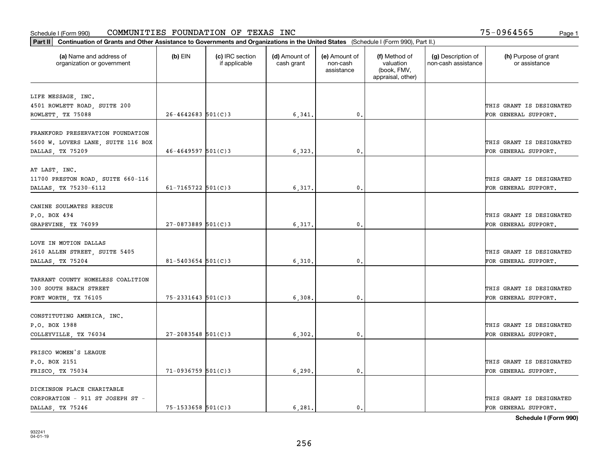| Part II   Continuation of Grants and Other Assistance to Governments and Organizations in the United States (Schedule I (Form 990), Part II.) |                          |                                  |                             |                                         |                                                                |                                           |                                       |
|-----------------------------------------------------------------------------------------------------------------------------------------------|--------------------------|----------------------------------|-----------------------------|-----------------------------------------|----------------------------------------------------------------|-------------------------------------------|---------------------------------------|
| (a) Name and address of<br>organization or government                                                                                         | $(b)$ EIN                | (c) IRC section<br>if applicable | (d) Amount of<br>cash grant | (e) Amount of<br>non-cash<br>assistance | (f) Method of<br>valuation<br>(book, FMV,<br>appraisal, other) | (g) Description of<br>non-cash assistance | (h) Purpose of grant<br>or assistance |
| LIFE MESSAGE, INC.                                                                                                                            |                          |                                  |                             |                                         |                                                                |                                           |                                       |
| 4501 ROWLETT ROAD, SUITE 200                                                                                                                  |                          |                                  |                             |                                         |                                                                |                                           | THIS GRANT IS DESIGNATED              |
| ROWLETT, TX 75088                                                                                                                             | $26 - 4642683$ 501(C)3   |                                  | 6,341.                      | 0.                                      |                                                                |                                           | FOR GENERAL SUPPORT.                  |
|                                                                                                                                               |                          |                                  |                             |                                         |                                                                |                                           |                                       |
| FRANKFORD PRESERVATION FOUNDATION                                                                                                             |                          |                                  |                             |                                         |                                                                |                                           |                                       |
| 5600 W. LOVERS LANE, SUITE 116 BOX                                                                                                            |                          |                                  |                             |                                         |                                                                |                                           | THIS GRANT IS DESIGNATED              |
| DALLAS, TX 75209                                                                                                                              | $46 - 4649597$ 501(C)3   |                                  | 6,323                       | 0.                                      |                                                                |                                           | FOR GENERAL SUPPORT.                  |
|                                                                                                                                               |                          |                                  |                             |                                         |                                                                |                                           |                                       |
| AT LAST, INC.                                                                                                                                 |                          |                                  |                             |                                         |                                                                |                                           |                                       |
| 11700 PRESTON ROAD, SUITE 660-116                                                                                                             |                          |                                  |                             |                                         |                                                                |                                           | THIS GRANT IS DESIGNATED              |
| DALLAS, TX 75230-6112                                                                                                                         | 61-7165722 $501(C)3$     |                                  | 6,317.                      | $\mathbf{0}$ .                          |                                                                |                                           | FOR GENERAL SUPPORT.                  |
| CANINE SOULMATES RESCUE                                                                                                                       |                          |                                  |                             |                                         |                                                                |                                           |                                       |
| P.O. BOX 494                                                                                                                                  |                          |                                  |                             |                                         |                                                                |                                           | THIS GRANT IS DESIGNATED              |
| GRAPEVINE, TX 76099                                                                                                                           | 27-0873889 501(C)3       |                                  | 6,317.                      | $\mathbf{0}$ .                          |                                                                |                                           | FOR GENERAL SUPPORT.                  |
|                                                                                                                                               |                          |                                  |                             |                                         |                                                                |                                           |                                       |
| LOVE IN MOTION DALLAS                                                                                                                         |                          |                                  |                             |                                         |                                                                |                                           |                                       |
| 2610 ALLEN STREET, SUITE 5405                                                                                                                 |                          |                                  |                             |                                         |                                                                |                                           | THIS GRANT IS DESIGNATED              |
| DALLAS, TX 75204                                                                                                                              | $81 - 5403654$ 501(C)3   |                                  | 6, 310.                     | 0.                                      |                                                                |                                           | FOR GENERAL SUPPORT.                  |
|                                                                                                                                               |                          |                                  |                             |                                         |                                                                |                                           |                                       |
| TARRANT COUNTY HOMELESS COALITION                                                                                                             |                          |                                  |                             |                                         |                                                                |                                           |                                       |
| 300 SOUTH BEACH STREET                                                                                                                        |                          |                                  |                             |                                         |                                                                |                                           | THIS GRANT IS DESIGNATED              |
| FORT WORTH, TX 76105                                                                                                                          | $75 - 2331643$ $501(C)3$ |                                  | 6,308.                      | 0.                                      |                                                                |                                           | FOR GENERAL SUPPORT.                  |
|                                                                                                                                               |                          |                                  |                             |                                         |                                                                |                                           |                                       |
| CONSTITUTING AMERICA, INC.                                                                                                                    |                          |                                  |                             |                                         |                                                                |                                           |                                       |
| P.O. BOX 1988                                                                                                                                 |                          |                                  |                             |                                         |                                                                |                                           | THIS GRANT IS DESIGNATED              |
| COLLEYVILLE, TX 76034                                                                                                                         | $27 - 2083548$ 501(C)3   |                                  | 6,302.                      | $\mathbf{0}$ .                          |                                                                |                                           | FOR GENERAL SUPPORT.                  |
| FRISCO WOMEN'S LEAGUE                                                                                                                         |                          |                                  |                             |                                         |                                                                |                                           |                                       |
| P.O. BOX 2151                                                                                                                                 |                          |                                  |                             |                                         |                                                                |                                           | THIS GRANT IS DESIGNATED              |
| FRISCO, TX 75034                                                                                                                              | $71-0936759$ 501(C)3     |                                  | 6, 290.                     | $\mathfrak o$ .                         |                                                                |                                           | FOR GENERAL SUPPORT.                  |
|                                                                                                                                               |                          |                                  |                             |                                         |                                                                |                                           |                                       |
| DICKINSON PLACE CHARITABLE                                                                                                                    |                          |                                  |                             |                                         |                                                                |                                           |                                       |
| CORPORATION - 911 ST JOSEPH ST -                                                                                                              |                          |                                  |                             |                                         |                                                                |                                           | THIS GRANT IS DESIGNATED              |
| DALLAS, TX 75246                                                                                                                              | 75-1533658 501(C)3       |                                  | 6.281.                      | $\mathbf{0}$ .                          |                                                                |                                           | FOR GENERAL SUPPORT.                  |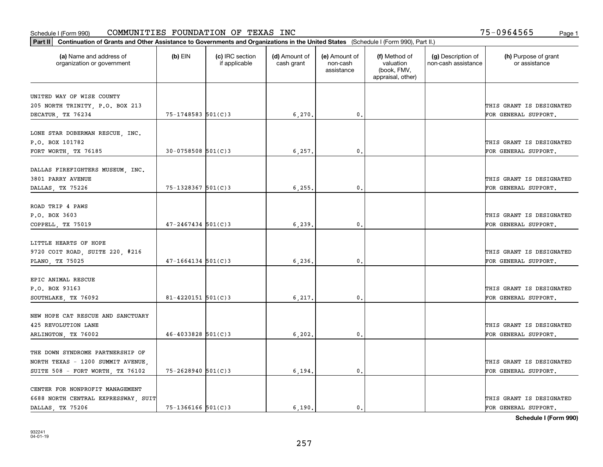| Part II   Continuation of Grants and Other Assistance to Governments and Organizations in the United States (Schedule I (Form 990), Part II.) |                        |                                  |                             |                                         |                                                                |                                           |                                       |
|-----------------------------------------------------------------------------------------------------------------------------------------------|------------------------|----------------------------------|-----------------------------|-----------------------------------------|----------------------------------------------------------------|-------------------------------------------|---------------------------------------|
| (a) Name and address of<br>organization or government                                                                                         | $(b)$ EIN              | (c) IRC section<br>if applicable | (d) Amount of<br>cash grant | (e) Amount of<br>non-cash<br>assistance | (f) Method of<br>valuation<br>(book, FMV,<br>appraisal, other) | (g) Description of<br>non-cash assistance | (h) Purpose of grant<br>or assistance |
|                                                                                                                                               |                        |                                  |                             |                                         |                                                                |                                           |                                       |
| UNITED WAY OF WISE COUNTY                                                                                                                     |                        |                                  |                             |                                         |                                                                |                                           | THIS GRANT IS DESIGNATED              |
| 205 NORTH TRINITY, P.O. BOX 213<br>DECATUR, TX 76234                                                                                          | 75-1748583 501(C)3     |                                  | 6,270.                      | $\mathbf{0}$ .                          |                                                                |                                           | FOR GENERAL SUPPORT.                  |
|                                                                                                                                               |                        |                                  |                             |                                         |                                                                |                                           |                                       |
| LONE STAR DOBERMAN RESCUE, INC.                                                                                                               |                        |                                  |                             |                                         |                                                                |                                           |                                       |
| P.O. BOX 101782                                                                                                                               |                        |                                  |                             |                                         |                                                                |                                           | THIS GRANT IS DESIGNATED              |
| FORT WORTH, TX 76185                                                                                                                          | $30 - 0758508$ 501(C)3 |                                  | 6,257                       | $\mathbf{0}$                            |                                                                |                                           | FOR GENERAL SUPPORT.                  |
|                                                                                                                                               |                        |                                  |                             |                                         |                                                                |                                           |                                       |
| DALLAS FIREFIGHTERS MUSEUM, INC.                                                                                                              |                        |                                  |                             |                                         |                                                                |                                           |                                       |
| 3801 PARRY AVENUE                                                                                                                             |                        |                                  |                             |                                         |                                                                |                                           | THIS GRANT IS DESIGNATED              |
| DALLAS, TX 75226                                                                                                                              | 75-1328367 501(C)3     |                                  | 6, 255.                     | 0.                                      |                                                                |                                           | FOR GENERAL SUPPORT.                  |
|                                                                                                                                               |                        |                                  |                             |                                         |                                                                |                                           |                                       |
| ROAD TRIP 4 PAWS                                                                                                                              |                        |                                  |                             |                                         |                                                                |                                           |                                       |
| P.O. BOX 3603                                                                                                                                 |                        |                                  |                             |                                         |                                                                |                                           | THIS GRANT IS DESIGNATED              |
| COPPELL, TX 75019                                                                                                                             | $47 - 2467434$ 501(C)3 |                                  | 6, 239.                     | 0.                                      |                                                                |                                           | FOR GENERAL SUPPORT.                  |
|                                                                                                                                               |                        |                                  |                             |                                         |                                                                |                                           |                                       |
| LITTLE HEARTS OF HOPE                                                                                                                         |                        |                                  |                             |                                         |                                                                |                                           |                                       |
| 9720 COIT ROAD, SUITE 220, #216                                                                                                               |                        |                                  |                             |                                         |                                                                |                                           | THIS GRANT IS DESIGNATED              |
| PLANO, TX 75025                                                                                                                               | $47 - 1664134$ 501(C)3 |                                  | 6,236                       | 0.                                      |                                                                |                                           | FOR GENERAL SUPPORT.                  |
|                                                                                                                                               |                        |                                  |                             |                                         |                                                                |                                           |                                       |
| EPIC ANIMAL RESCUE                                                                                                                            |                        |                                  |                             |                                         |                                                                |                                           |                                       |
| P.O. BOX 93163                                                                                                                                |                        |                                  |                             |                                         |                                                                |                                           | THIS GRANT IS DESIGNATED              |
| SOUTHLAKE, TX 76092                                                                                                                           | $81 - 4220151$ 501(C)3 |                                  | 6,217                       | 0.                                      |                                                                |                                           | FOR GENERAL SUPPORT.                  |
|                                                                                                                                               |                        |                                  |                             |                                         |                                                                |                                           |                                       |
| NEW HOPE CAT RESCUE AND SANCTUARY                                                                                                             |                        |                                  |                             |                                         |                                                                |                                           |                                       |
| 425 REVOLUTION LANE                                                                                                                           |                        |                                  |                             |                                         |                                                                |                                           | THIS GRANT IS DESIGNATED              |
| ARLINGTON, TX 76002                                                                                                                           | $46 - 4033828$ 501(C)3 |                                  | 6, 202.                     | $\mathbf{0}$ .                          |                                                                |                                           | FOR GENERAL SUPPORT.                  |
|                                                                                                                                               |                        |                                  |                             |                                         |                                                                |                                           |                                       |
| THE DOWN SYNDROME PARTNERSHIP OF                                                                                                              |                        |                                  |                             |                                         |                                                                |                                           |                                       |
| NORTH TEXAS - 1200 SUMMIT AVENUE,                                                                                                             |                        |                                  |                             |                                         |                                                                |                                           | THIS GRANT IS DESIGNATED              |
| SUITE 508 - FORT WORTH, TX 76102                                                                                                              | $75 - 2628940$ 501(C)3 |                                  | 6,194.                      | 0.                                      |                                                                |                                           | FOR GENERAL SUPPORT.                  |
| CENTER FOR NONPROFIT MANAGEMENT                                                                                                               |                        |                                  |                             |                                         |                                                                |                                           |                                       |
| 6688 NORTH CENTRAL EXPRESSWAY, SUIT                                                                                                           |                        |                                  |                             |                                         |                                                                |                                           | THIS GRANT IS DESIGNATED              |
| DALLAS, TX 75206                                                                                                                              | 75-1366166 501(C)3     |                                  | 6.190.                      | $\mathbf{0}$ .                          |                                                                |                                           | FOR GENERAL SUPPORT.                  |
|                                                                                                                                               |                        |                                  |                             |                                         |                                                                |                                           |                                       |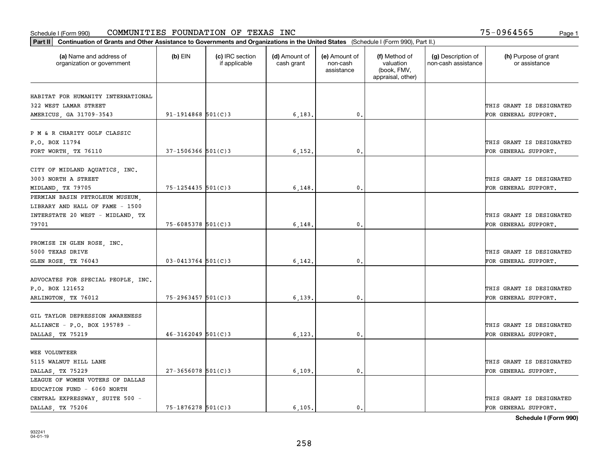| Part II   Continuation of Grants and Other Assistance to Governments and Organizations in the United States (Schedule I (Form 990), Part II.) |                        |                                  |                             |                                         |                                                                |                                           |                                       |
|-----------------------------------------------------------------------------------------------------------------------------------------------|------------------------|----------------------------------|-----------------------------|-----------------------------------------|----------------------------------------------------------------|-------------------------------------------|---------------------------------------|
| (a) Name and address of<br>organization or government                                                                                         | $(b)$ EIN              | (c) IRC section<br>if applicable | (d) Amount of<br>cash grant | (e) Amount of<br>non-cash<br>assistance | (f) Method of<br>valuation<br>(book, FMV,<br>appraisal, other) | (g) Description of<br>non-cash assistance | (h) Purpose of grant<br>or assistance |
|                                                                                                                                               |                        |                                  |                             |                                         |                                                                |                                           |                                       |
| HABITAT FOR HUMANITY INTERNATIONAL<br>322 WEST LAMAR STREET                                                                                   |                        |                                  |                             |                                         |                                                                |                                           | THIS GRANT IS DESIGNATED              |
| AMERICUS, GA 31709-3543                                                                                                                       | $91 - 1914868$ 501(C)3 |                                  | 6,183.                      | 0.                                      |                                                                |                                           | FOR GENERAL SUPPORT.                  |
|                                                                                                                                               |                        |                                  |                             |                                         |                                                                |                                           |                                       |
| P M & R CHARITY GOLF CLASSIC                                                                                                                  |                        |                                  |                             |                                         |                                                                |                                           |                                       |
| P.O. BOX 11794                                                                                                                                |                        |                                  |                             |                                         |                                                                |                                           | THIS GRANT IS DESIGNATED              |
| FORT WORTH, TX 76110                                                                                                                          | $37 - 1506366$ 501(C)3 |                                  | 6,152                       | 0.                                      |                                                                |                                           | FOR GENERAL SUPPORT.                  |
|                                                                                                                                               |                        |                                  |                             |                                         |                                                                |                                           |                                       |
| CITY OF MIDLAND AQUATICS, INC.                                                                                                                |                        |                                  |                             |                                         |                                                                |                                           |                                       |
| 3003 NORTH A STREET                                                                                                                           |                        |                                  |                             |                                         |                                                                |                                           | THIS GRANT IS DESIGNATED              |
| MIDLAND, TX 79705                                                                                                                             | $75 - 1254435$ 501(C)3 |                                  | 6,148                       | $\mathbf 0$ .                           |                                                                |                                           | FOR GENERAL SUPPORT.                  |
| PERMIAN BASIN PETROLEUM MUSEUM,                                                                                                               |                        |                                  |                             |                                         |                                                                |                                           |                                       |
| LIBRARY AND HALL OF FAME - 1500                                                                                                               |                        |                                  |                             |                                         |                                                                |                                           |                                       |
| INTERSTATE 20 WEST - MIDLAND, TX                                                                                                              |                        |                                  |                             |                                         |                                                                |                                           | THIS GRANT IS DESIGNATED              |
| 79701                                                                                                                                         | 75-6085378 501(C)3     |                                  | 6,148                       | 0.                                      |                                                                |                                           | FOR GENERAL SUPPORT.                  |
|                                                                                                                                               |                        |                                  |                             |                                         |                                                                |                                           |                                       |
| PROMISE IN GLEN ROSE, INC.                                                                                                                    |                        |                                  |                             |                                         |                                                                |                                           |                                       |
| 5000 TEXAS DRIVE                                                                                                                              |                        |                                  |                             |                                         |                                                                |                                           | THIS GRANT IS DESIGNATED              |
| GLEN ROSE, TX 76043                                                                                                                           | $03 - 0413764$ 501(C)3 |                                  | 6,142                       | 0                                       |                                                                |                                           | FOR GENERAL SUPPORT.                  |
|                                                                                                                                               |                        |                                  |                             |                                         |                                                                |                                           |                                       |
| ADVOCATES FOR SPECIAL PEOPLE, INC.                                                                                                            |                        |                                  |                             |                                         |                                                                |                                           |                                       |
| P.O. BOX 121652                                                                                                                               |                        |                                  |                             |                                         |                                                                |                                           | THIS GRANT IS DESIGNATED              |
| ARLINGTON, TX 76012                                                                                                                           | $75 - 2963457$ 501(C)3 |                                  | 6,139                       | $\mathbf{0}$                            |                                                                |                                           | FOR GENERAL SUPPORT.                  |
|                                                                                                                                               |                        |                                  |                             |                                         |                                                                |                                           |                                       |
| GIL TAYLOR DEPRESSION AWARENESS                                                                                                               |                        |                                  |                             |                                         |                                                                |                                           |                                       |
| ALLIANCE - P.O. BOX 195789 -                                                                                                                  |                        |                                  |                             |                                         |                                                                |                                           | THIS GRANT IS DESIGNATED              |
| DALLAS, TX 75219                                                                                                                              | $46 - 3162049$ 501(C)3 |                                  | 6,123                       | $\mathbf{0}$ .                          |                                                                |                                           | FOR GENERAL SUPPORT.                  |
|                                                                                                                                               |                        |                                  |                             |                                         |                                                                |                                           |                                       |
| <b>WEE VOLUNTEER</b>                                                                                                                          |                        |                                  |                             |                                         |                                                                |                                           |                                       |
| 5115 WALNUT HILL LANE                                                                                                                         | $27 - 3656078$ 501(C)3 |                                  |                             |                                         |                                                                |                                           | THIS GRANT IS DESIGNATED              |
| DALLAS, TX 75229                                                                                                                              |                        |                                  | 6,109.                      | $\mathfrak{o}$ .                        |                                                                |                                           | FOR GENERAL SUPPORT.                  |
| LEAGUE OF WOMEN VOTERS OF DALLAS<br>EDUCATION FUND - 6060 NORTH                                                                               |                        |                                  |                             |                                         |                                                                |                                           |                                       |
|                                                                                                                                               |                        |                                  |                             |                                         |                                                                |                                           | THIS GRANT IS DESIGNATED              |
| CENTRAL EXPRESSWAY, SUITE 500 -<br>DALLAS, TX 75206                                                                                           | $75 - 1876278$ 501(C)3 |                                  | 6.105.                      | $\mathfrak{o}$ .                        |                                                                |                                           | FOR GENERAL SUPPORT.                  |
|                                                                                                                                               |                        |                                  |                             |                                         |                                                                |                                           |                                       |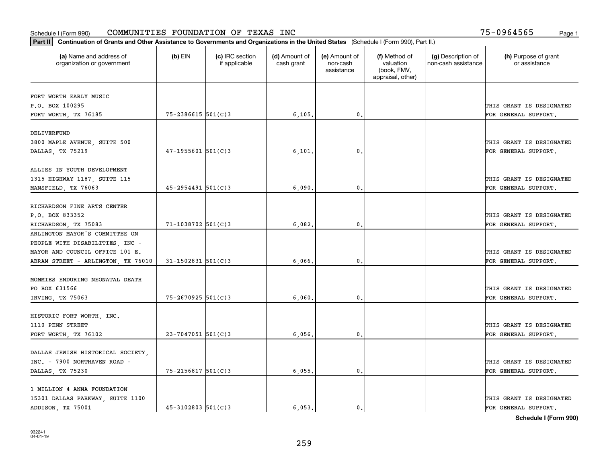| (a) Name and address of<br>(c) IRC section<br>(d) Amount of<br>(e) Amount of<br>(f) Method of<br>(g) Description of<br>$(b)$ EIN<br>valuation<br>organization or government<br>if applicable<br>cash grant<br>non-cash<br>non-cash assistance<br>(book, FMV,<br>assistance<br>appraisal, other)<br>FORT WORTH EARLY MUSIC<br>P.O. BOX 100295<br>THIS GRANT IS DESIGNATED<br>$75 - 2386615$ 501(C)3<br>6, 105.<br>0.<br>FORT WORTH, TX 76185<br>FOR GENERAL SUPPORT.<br>DELIVERFUND<br>3800 MAPLE AVENUE, SUITE 500<br>THIS GRANT IS DESIGNATED<br>$47 - 1955601$ 501(C)3<br>6,101<br>$\mathbf{0}$<br>DALLAS, TX 75219<br>FOR GENERAL SUPPORT.<br>ALLIES IN YOUTH DEVELOPMENT<br>THIS GRANT IS DESIGNATED<br>$45 - 2954491$ 501(C)3<br>0.<br>MANSFIELD, TX 76063<br>6,090<br>FOR GENERAL SUPPORT.<br>RICHARDSON FINE ARTS CENTER<br>P.O. BOX 833352<br>THIS GRANT IS DESIGNATED<br>71-1038702 501(C)3<br>6,082.<br>$\mathbf{0}$ .<br>FOR GENERAL SUPPORT.<br>RICHARDSON, TX 75083<br>ARLINGTON MAYOR'S COMMITTEE ON |                                       |
|--------------------------------------------------------------------------------------------------------------------------------------------------------------------------------------------------------------------------------------------------------------------------------------------------------------------------------------------------------------------------------------------------------------------------------------------------------------------------------------------------------------------------------------------------------------------------------------------------------------------------------------------------------------------------------------------------------------------------------------------------------------------------------------------------------------------------------------------------------------------------------------------------------------------------------------------------------------------------------------------------------------------|---------------------------------------|
|                                                                                                                                                                                                                                                                                                                                                                                                                                                                                                                                                                                                                                                                                                                                                                                                                                                                                                                                                                                                                    | (h) Purpose of grant<br>or assistance |
| 1315 HIGHWAY 1187, SUITE 115                                                                                                                                                                                                                                                                                                                                                                                                                                                                                                                                                                                                                                                                                                                                                                                                                                                                                                                                                                                       |                                       |
|                                                                                                                                                                                                                                                                                                                                                                                                                                                                                                                                                                                                                                                                                                                                                                                                                                                                                                                                                                                                                    |                                       |
|                                                                                                                                                                                                                                                                                                                                                                                                                                                                                                                                                                                                                                                                                                                                                                                                                                                                                                                                                                                                                    |                                       |
|                                                                                                                                                                                                                                                                                                                                                                                                                                                                                                                                                                                                                                                                                                                                                                                                                                                                                                                                                                                                                    |                                       |
|                                                                                                                                                                                                                                                                                                                                                                                                                                                                                                                                                                                                                                                                                                                                                                                                                                                                                                                                                                                                                    |                                       |
|                                                                                                                                                                                                                                                                                                                                                                                                                                                                                                                                                                                                                                                                                                                                                                                                                                                                                                                                                                                                                    |                                       |
|                                                                                                                                                                                                                                                                                                                                                                                                                                                                                                                                                                                                                                                                                                                                                                                                                                                                                                                                                                                                                    |                                       |
|                                                                                                                                                                                                                                                                                                                                                                                                                                                                                                                                                                                                                                                                                                                                                                                                                                                                                                                                                                                                                    |                                       |
|                                                                                                                                                                                                                                                                                                                                                                                                                                                                                                                                                                                                                                                                                                                                                                                                                                                                                                                                                                                                                    |                                       |
|                                                                                                                                                                                                                                                                                                                                                                                                                                                                                                                                                                                                                                                                                                                                                                                                                                                                                                                                                                                                                    |                                       |
|                                                                                                                                                                                                                                                                                                                                                                                                                                                                                                                                                                                                                                                                                                                                                                                                                                                                                                                                                                                                                    |                                       |
|                                                                                                                                                                                                                                                                                                                                                                                                                                                                                                                                                                                                                                                                                                                                                                                                                                                                                                                                                                                                                    |                                       |
|                                                                                                                                                                                                                                                                                                                                                                                                                                                                                                                                                                                                                                                                                                                                                                                                                                                                                                                                                                                                                    |                                       |
|                                                                                                                                                                                                                                                                                                                                                                                                                                                                                                                                                                                                                                                                                                                                                                                                                                                                                                                                                                                                                    |                                       |
|                                                                                                                                                                                                                                                                                                                                                                                                                                                                                                                                                                                                                                                                                                                                                                                                                                                                                                                                                                                                                    |                                       |
| PEOPLE WITH DISABILITIES, INC -                                                                                                                                                                                                                                                                                                                                                                                                                                                                                                                                                                                                                                                                                                                                                                                                                                                                                                                                                                                    |                                       |
| MAYOR AND COUNCIL OFFICE 101 E.<br>THIS GRANT IS DESIGNATED                                                                                                                                                                                                                                                                                                                                                                                                                                                                                                                                                                                                                                                                                                                                                                                                                                                                                                                                                        |                                       |
| $31 - 1502831$ 501(C)3<br>6,066<br>FOR GENERAL SUPPORT.<br>ABRAM STREET - ARLINGTON, TX 76010<br>0.                                                                                                                                                                                                                                                                                                                                                                                                                                                                                                                                                                                                                                                                                                                                                                                                                                                                                                                |                                       |
|                                                                                                                                                                                                                                                                                                                                                                                                                                                                                                                                                                                                                                                                                                                                                                                                                                                                                                                                                                                                                    |                                       |
| MOMMIES ENDURING NEONATAL DEATH                                                                                                                                                                                                                                                                                                                                                                                                                                                                                                                                                                                                                                                                                                                                                                                                                                                                                                                                                                                    |                                       |
| PO BOX 631566<br>THIS GRANT IS DESIGNATED                                                                                                                                                                                                                                                                                                                                                                                                                                                                                                                                                                                                                                                                                                                                                                                                                                                                                                                                                                          |                                       |
| 75-2670925 501(C)3<br>6,060,<br>0.<br>IRVING, TX 75063<br>FOR GENERAL SUPPORT.                                                                                                                                                                                                                                                                                                                                                                                                                                                                                                                                                                                                                                                                                                                                                                                                                                                                                                                                     |                                       |
|                                                                                                                                                                                                                                                                                                                                                                                                                                                                                                                                                                                                                                                                                                                                                                                                                                                                                                                                                                                                                    |                                       |
| HISTORIC FORT WORTH, INC.                                                                                                                                                                                                                                                                                                                                                                                                                                                                                                                                                                                                                                                                                                                                                                                                                                                                                                                                                                                          |                                       |
| 1110 PENN STREET<br>THIS GRANT IS DESIGNATED                                                                                                                                                                                                                                                                                                                                                                                                                                                                                                                                                                                                                                                                                                                                                                                                                                                                                                                                                                       |                                       |
| $23 - 7047051$ 501(C)3<br>FORT WORTH, TX 76102<br>6,056,<br>$^{\circ}$ .<br>FOR GENERAL SUPPORT.                                                                                                                                                                                                                                                                                                                                                                                                                                                                                                                                                                                                                                                                                                                                                                                                                                                                                                                   |                                       |
|                                                                                                                                                                                                                                                                                                                                                                                                                                                                                                                                                                                                                                                                                                                                                                                                                                                                                                                                                                                                                    |                                       |
| DALLAS JEWISH HISTORICAL SOCIETY,                                                                                                                                                                                                                                                                                                                                                                                                                                                                                                                                                                                                                                                                                                                                                                                                                                                                                                                                                                                  |                                       |
| INC. - 7900 NORTHAVEN ROAD -<br>THIS GRANT IS DESIGNATED                                                                                                                                                                                                                                                                                                                                                                                                                                                                                                                                                                                                                                                                                                                                                                                                                                                                                                                                                           |                                       |
| 75-2156817 501(C)3<br>6,055.<br>DALLAS, TX 75230<br>0.<br>FOR GENERAL SUPPORT.                                                                                                                                                                                                                                                                                                                                                                                                                                                                                                                                                                                                                                                                                                                                                                                                                                                                                                                                     |                                       |
| 1 MILLION 4 ANNA FOUNDATION                                                                                                                                                                                                                                                                                                                                                                                                                                                                                                                                                                                                                                                                                                                                                                                                                                                                                                                                                                                        |                                       |
| 15301 DALLAS PARKWAY, SUITE 1100<br>THIS GRANT IS DESIGNATED                                                                                                                                                                                                                                                                                                                                                                                                                                                                                                                                                                                                                                                                                                                                                                                                                                                                                                                                                       |                                       |
| $45 - 3102803$ 501(C)3<br>6.053.<br>ADDISON, TX 75001<br>$\mathbf{0}$ .<br>FOR GENERAL SUPPORT.                                                                                                                                                                                                                                                                                                                                                                                                                                                                                                                                                                                                                                                                                                                                                                                                                                                                                                                    |                                       |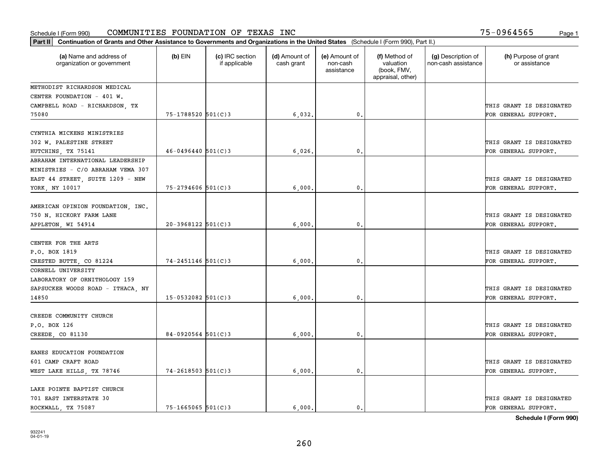| Part II   Continuation of Grants and Other Assistance to Governments and Organizations in the United States (Schedule I (Form 990), Part II.) |                        |                                  |                             |                                         |                                                                |                                           |                                       |  |  |
|-----------------------------------------------------------------------------------------------------------------------------------------------|------------------------|----------------------------------|-----------------------------|-----------------------------------------|----------------------------------------------------------------|-------------------------------------------|---------------------------------------|--|--|
| (a) Name and address of<br>organization or government                                                                                         | $(b)$ EIN              | (c) IRC section<br>if applicable | (d) Amount of<br>cash grant | (e) Amount of<br>non-cash<br>assistance | (f) Method of<br>valuation<br>(book, FMV,<br>appraisal, other) | (g) Description of<br>non-cash assistance | (h) Purpose of grant<br>or assistance |  |  |
| METHODIST RICHARDSON MEDICAL                                                                                                                  |                        |                                  |                             |                                         |                                                                |                                           |                                       |  |  |
| CENTER FOUNDATION - 401 W.                                                                                                                    |                        |                                  |                             |                                         |                                                                |                                           |                                       |  |  |
| CAMPBELL ROAD - RICHARDSON, TX                                                                                                                |                        |                                  |                             |                                         |                                                                |                                           | THIS GRANT IS DESIGNATED              |  |  |
| 75080                                                                                                                                         | $75 - 1788520$ 501(C)3 |                                  | 6,032.                      | 0.                                      |                                                                |                                           | FOR GENERAL SUPPORT.                  |  |  |
| CYNTHIA MICKENS MINISTRIES                                                                                                                    |                        |                                  |                             |                                         |                                                                |                                           |                                       |  |  |
| 302 W. PALESTINE STREET                                                                                                                       |                        |                                  |                             |                                         |                                                                |                                           | THIS GRANT IS DESIGNATED              |  |  |
| HUTCHINS, TX 75141                                                                                                                            | $46 - 0496440$ 501(C)3 |                                  | 6,026                       | 0.                                      |                                                                |                                           | FOR GENERAL SUPPORT.                  |  |  |
| ABRAHAM INTERNATIONAL LEADERSHIP                                                                                                              |                        |                                  |                             |                                         |                                                                |                                           |                                       |  |  |
| MINISTRIES - C/O ABRAHAM VEMA 307                                                                                                             |                        |                                  |                             |                                         |                                                                |                                           |                                       |  |  |
| EAST 44 STREET, SUITE 1209 - NEW                                                                                                              |                        |                                  |                             |                                         |                                                                |                                           | THIS GRANT IS DESIGNATED              |  |  |
| YORK, NY 10017                                                                                                                                | $75 - 2794606$ 501(C)3 |                                  | 6,000                       | 0.                                      |                                                                |                                           | FOR GENERAL SUPPORT.                  |  |  |
|                                                                                                                                               |                        |                                  |                             |                                         |                                                                |                                           |                                       |  |  |
| AMERICAN OPINION FOUNDATION, INC.                                                                                                             |                        |                                  |                             |                                         |                                                                |                                           |                                       |  |  |
| 750 N. HICKORY FARM LANE                                                                                                                      |                        |                                  |                             |                                         |                                                                |                                           | THIS GRANT IS DESIGNATED              |  |  |
| APPLETON, WI 54914                                                                                                                            | $20-3968122$ 501(C)3   |                                  | 6,000                       | 0.                                      |                                                                |                                           | FOR GENERAL SUPPORT.                  |  |  |
|                                                                                                                                               |                        |                                  |                             |                                         |                                                                |                                           |                                       |  |  |
| CENTER FOR THE ARTS                                                                                                                           |                        |                                  |                             |                                         |                                                                |                                           |                                       |  |  |
| P.O. BOX 1819                                                                                                                                 |                        |                                  |                             |                                         |                                                                |                                           | THIS GRANT IS DESIGNATED              |  |  |
| CRESTED BUTTE, CO 81224                                                                                                                       | $74 - 2451146$ 501(C)3 |                                  | 6,000                       | 0.                                      |                                                                |                                           | FOR GENERAL SUPPORT.                  |  |  |
| CORNELL UNIVERSITY                                                                                                                            |                        |                                  |                             |                                         |                                                                |                                           |                                       |  |  |
| LABORATORY OF ORNITHOLOGY 159                                                                                                                 |                        |                                  |                             |                                         |                                                                |                                           |                                       |  |  |
| SAPSUCKER WOODS ROAD - ITHACA, NY                                                                                                             |                        |                                  |                             |                                         |                                                                |                                           | THIS GRANT IS DESIGNATED              |  |  |
| 14850                                                                                                                                         | $15-0532082$ 501(C)3   |                                  | 6,000                       | 0.                                      |                                                                |                                           | FOR GENERAL SUPPORT.                  |  |  |
|                                                                                                                                               |                        |                                  |                             |                                         |                                                                |                                           |                                       |  |  |
| CREEDE COMMUNITY CHURCH                                                                                                                       |                        |                                  |                             |                                         |                                                                |                                           |                                       |  |  |
| P.O. BOX 126                                                                                                                                  |                        |                                  |                             |                                         |                                                                |                                           | THIS GRANT IS DESIGNATED              |  |  |
| CREEDE, CO 81130                                                                                                                              | $84 - 0920564$ 501(C)3 |                                  | 6,000                       | 0.                                      |                                                                |                                           | FOR GENERAL SUPPORT.                  |  |  |
|                                                                                                                                               |                        |                                  |                             |                                         |                                                                |                                           |                                       |  |  |
| EANES EDUCATION FOUNDATION                                                                                                                    |                        |                                  |                             |                                         |                                                                |                                           |                                       |  |  |
| 601 CAMP CRAFT ROAD                                                                                                                           |                        |                                  |                             |                                         |                                                                |                                           | THIS GRANT IS DESIGNATED              |  |  |
| WEST LAKE HILLS, TX 78746                                                                                                                     | $74 - 2618503$ 501(C)3 |                                  | 6,000                       | 0.                                      |                                                                |                                           | FOR GENERAL SUPPORT.                  |  |  |
| LAKE POINTE BAPTIST CHURCH                                                                                                                    |                        |                                  |                             |                                         |                                                                |                                           |                                       |  |  |
| 701 EAST INTERSTATE 30                                                                                                                        |                        |                                  |                             |                                         |                                                                |                                           | THIS GRANT IS DESIGNATED              |  |  |
| ROCKWALL, TX 75087                                                                                                                            | $75 - 1665065$ 501(C)3 |                                  | 6,000,                      | $\mathbf{0}$ .                          |                                                                |                                           | FOR GENERAL SUPPORT.                  |  |  |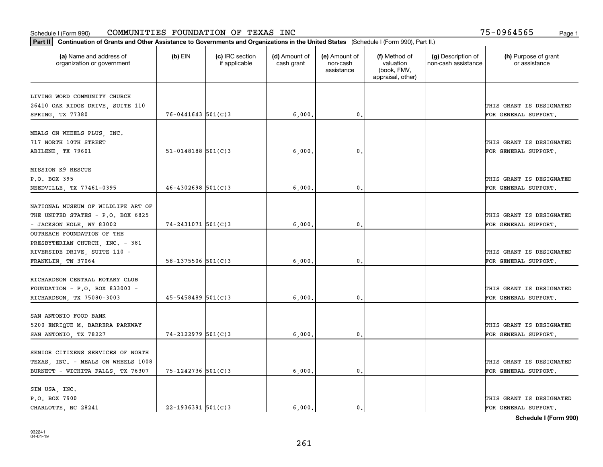| (a) Name and address of<br>organization or government         | $(b)$ EIN                | (c) IRC section<br>if applicable | (d) Amount of<br>cash grant | (e) Amount of<br>non-cash<br>assistance | (f) Method of<br>valuation<br>(book, FMV,<br>appraisal, other) | (g) Description of<br>non-cash assistance | (h) Purpose of grant<br>or assistance |
|---------------------------------------------------------------|--------------------------|----------------------------------|-----------------------------|-----------------------------------------|----------------------------------------------------------------|-------------------------------------------|---------------------------------------|
| LIVING WORD COMMUNITY CHURCH                                  |                          |                                  |                             |                                         |                                                                |                                           |                                       |
| 26410 OAK RIDGE DRIVE, SUITE 110                              |                          |                                  |                             |                                         |                                                                |                                           | THIS GRANT IS DESIGNATED              |
| SPRING, TX 77380                                              | $76 - 0441643$ 501(C)3   |                                  | 6,000,                      | 0.                                      |                                                                |                                           | FOR GENERAL SUPPORT.                  |
|                                                               |                          |                                  |                             |                                         |                                                                |                                           |                                       |
| MEALS ON WHEELS PLUS, INC.<br>717 NORTH 10TH STREET           |                          |                                  |                             |                                         |                                                                |                                           | THIS GRANT IS DESIGNATED              |
|                                                               | $51 - 0148188$ $501(C)3$ |                                  |                             | 0.                                      |                                                                |                                           |                                       |
| ABILENE, TX 79601                                             |                          |                                  | 6,000                       |                                         |                                                                |                                           | FOR GENERAL SUPPORT.                  |
| MISSION K9 RESCUE                                             |                          |                                  |                             |                                         |                                                                |                                           |                                       |
| P.O. BOX 395                                                  |                          |                                  |                             |                                         |                                                                |                                           | THIS GRANT IS DESIGNATED              |
| NEEDVILLE, TX 77461-0395                                      | $46 - 4302698$ 501(C)3   |                                  | 6,000                       | $\mathbf{0}$ .                          |                                                                |                                           | FOR GENERAL SUPPORT.                  |
|                                                               |                          |                                  |                             |                                         |                                                                |                                           |                                       |
| NATIONAL MUSEUM OF WILDLIFE ART OF                            |                          |                                  |                             |                                         |                                                                |                                           | THIS GRANT IS DESIGNATED              |
| THE UNITED STATES - P.O. BOX 6825<br>- JACKSON HOLE, WY 83002 | 74-2431071 501(C)3       |                                  | 6,000                       | $\mathbf{0}$                            |                                                                |                                           | FOR GENERAL SUPPORT.                  |
| OUTREACH FOUNDATION OF THE                                    |                          |                                  |                             |                                         |                                                                |                                           |                                       |
| PRESBYTERIAN CHURCH, INC. - 381                               |                          |                                  |                             |                                         |                                                                |                                           |                                       |
| RIVERSIDE DRIVE, SUITE 110 -                                  |                          |                                  |                             |                                         |                                                                |                                           | THIS GRANT IS DESIGNATED              |
| FRANKLIN, TN 37064                                            | $58 - 1375506$ 501(C)3   |                                  | 6,000                       | 0.                                      |                                                                |                                           | FOR GENERAL SUPPORT.                  |
|                                                               |                          |                                  |                             |                                         |                                                                |                                           |                                       |
| RICHARDSON CENTRAL ROTARY CLUB                                |                          |                                  |                             |                                         |                                                                |                                           |                                       |
| FOUNDATION - P.O. BOX 833003 -                                |                          |                                  |                             |                                         |                                                                |                                           | THIS GRANT IS DESIGNATED              |
| RICHARDSON, TX 75080-3003                                     | $45 - 5458489$ 501(C)3   |                                  | 6,000                       | $\mathbf{0}$                            |                                                                |                                           | FOR GENERAL SUPPORT.                  |
|                                                               |                          |                                  |                             |                                         |                                                                |                                           |                                       |
| SAN ANTONIO FOOD BANK                                         |                          |                                  |                             |                                         |                                                                |                                           |                                       |
| 5200 ENRIQUE M. BARRERA PARKWAY                               |                          |                                  |                             |                                         |                                                                |                                           | THIS GRANT IS DESIGNATED              |
| SAN ANTONIO, TX 78227                                         | $74 - 2122979$ 501(C)3   |                                  | 6,000                       | $^{\circ}$ .                            |                                                                |                                           | FOR GENERAL SUPPORT.                  |
| SENIOR CITIZENS SERVICES OF NORTH                             |                          |                                  |                             |                                         |                                                                |                                           |                                       |
| TEXAS, INC. - MEALS ON WHEELS 1008                            |                          |                                  |                             |                                         |                                                                |                                           | THIS GRANT IS DESIGNATED              |
| BURNETT - WICHITA FALLS, TX 76307                             | 75-1242736 501(C)3       |                                  | 6,000,                      | $\mathbf{0}$ .                          |                                                                |                                           | FOR GENERAL SUPPORT.                  |
|                                                               |                          |                                  |                             |                                         |                                                                |                                           |                                       |
| SIM USA, INC.                                                 |                          |                                  |                             |                                         |                                                                |                                           |                                       |
| P.O. BOX 7900                                                 |                          |                                  |                             |                                         |                                                                |                                           | THIS GRANT IS DESIGNATED              |
| CHARLOTTE, NC 28241                                           | $22 - 1936391$ 501(C)3   |                                  | 6.000.                      | $\mathbf{0}$ .                          |                                                                |                                           | FOR GENERAL SUPPORT.                  |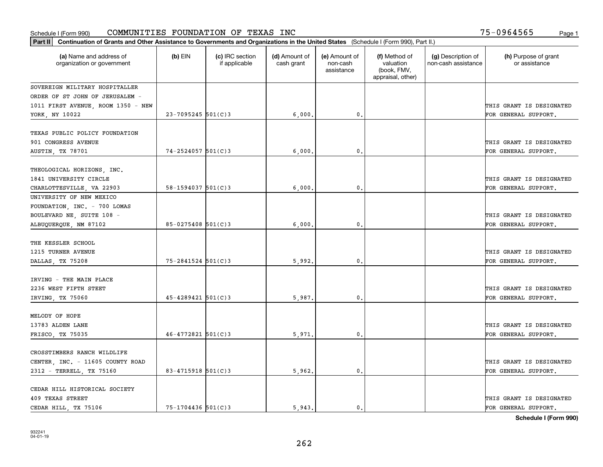| Part II   Continuation of Grants and Other Assistance to Governments and Organizations in the United States (Schedule I (Form 990), Part II.) |                        |                                  |                             |                                         |                                                                |                                           |                                                  |
|-----------------------------------------------------------------------------------------------------------------------------------------------|------------------------|----------------------------------|-----------------------------|-----------------------------------------|----------------------------------------------------------------|-------------------------------------------|--------------------------------------------------|
| (a) Name and address of<br>organization or government                                                                                         | $(b)$ EIN              | (c) IRC section<br>if applicable | (d) Amount of<br>cash grant | (e) Amount of<br>non-cash<br>assistance | (f) Method of<br>valuation<br>(book, FMV,<br>appraisal, other) | (g) Description of<br>non-cash assistance | (h) Purpose of grant<br>or assistance            |
| SOVEREIGN MILITARY HOSPITALLER                                                                                                                |                        |                                  |                             |                                         |                                                                |                                           |                                                  |
| ORDER OF ST JOHN OF JERUSALEM -                                                                                                               |                        |                                  |                             |                                         |                                                                |                                           |                                                  |
| 1011 FIRST AVENUE, ROOM 1350 - NEW                                                                                                            |                        |                                  |                             |                                         |                                                                |                                           | THIS GRANT IS DESIGNATED                         |
| YORK, NY 10022                                                                                                                                | $23 - 7095245$ 501(C)3 |                                  | 6,000,                      | 0.                                      |                                                                |                                           | FOR GENERAL SUPPORT.                             |
| TEXAS PUBLIC POLICY FOUNDATION<br>901 CONGRESS AVENUE<br><b>AUSTIN, TX 78701</b>                                                              | $74 - 2524057$ 501(C)3 |                                  | 6,000                       | $\mathbf{0}$                            |                                                                |                                           | THIS GRANT IS DESIGNATED<br>FOR GENERAL SUPPORT. |
|                                                                                                                                               |                        |                                  |                             |                                         |                                                                |                                           |                                                  |
| THEOLOGICAL HORIZONS, INC.<br>1841 UNIVERSITY CIRCLE                                                                                          |                        |                                  |                             |                                         |                                                                |                                           | THIS GRANT IS DESIGNATED                         |
| CHARLOTTESVILLE, VA 22903                                                                                                                     | $58 - 1594037$ 501(C)3 |                                  | 6,000                       | $\mathbf{0}$ .                          |                                                                |                                           | FOR GENERAL SUPPORT.                             |
| UNIVERSITY OF NEW MEXICO<br>FOUNDATION, INC. - 700 LOMAS<br>BOULEVARD NE, SUITE 108 -<br>ALBUQUERQUE, NM 87102                                | 85-0275408 501(C)3     |                                  | 6,000                       | $\mathbf{0}$                            |                                                                |                                           | THIS GRANT IS DESIGNATED<br>FOR GENERAL SUPPORT. |
| THE KESSLER SCHOOL<br>1215 TURNER AVENUE<br>DALLAS, TX 75208                                                                                  | 75-2841524 501(C)3     |                                  | 5,992.                      | $\mathbf{0}$                            |                                                                |                                           | THIS GRANT IS DESIGNATED<br>FOR GENERAL SUPPORT. |
| IRVING - THE MAIN PLACE<br>2236 WEST FIFTH STEET<br>IRVING, TX 75060                                                                          | $45 - 4289421$ 501(C)3 |                                  | 5,987.                      | $\mathbf{0}$                            |                                                                |                                           | THIS GRANT IS DESIGNATED<br>FOR GENERAL SUPPORT. |
| MELODY OF HOPE<br>13783 ALDEN LANE<br>FRISCO, TX 75035                                                                                        | $46 - 4772821$ 501(C)3 |                                  | 5,971                       | $^{\rm 0}$ .                            |                                                                |                                           | THIS GRANT IS DESIGNATED<br>FOR GENERAL SUPPORT. |
| CROSSTIMBERS RANCH WILDLIFE<br>CENTER, INC. - 11605 COUNTY ROAD<br>2312 - TERRELL, TX 75160                                                   | 83-4715918 $501(C)$ 3  |                                  | 5,962.                      | $\mathfrak{o}$ .                        |                                                                |                                           | THIS GRANT IS DESIGNATED<br>FOR GENERAL SUPPORT. |
| CEDAR HILL HISTORICAL SOCIETY<br>409 TEXAS STREET<br>CEDAR HILL, TX 75106                                                                     | $75 - 1704436$ 501(C)3 |                                  | 5.943.                      | $\mathfrak{o}$ .                        |                                                                |                                           | THIS GRANT IS DESIGNATED<br>FOR GENERAL SUPPORT. |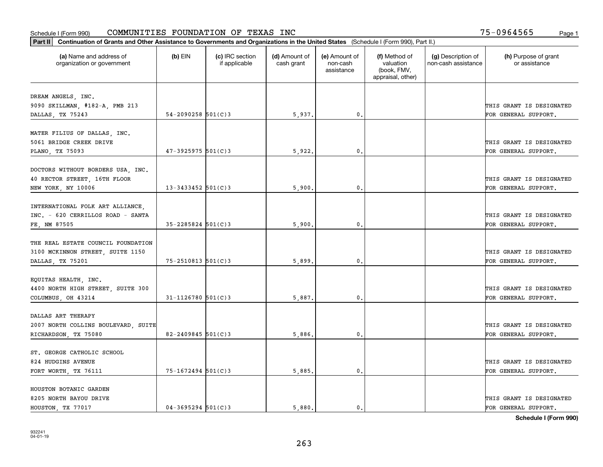| Part II   Continuation of Grants and Other Assistance to Governments and Organizations in the United States (Schedule I (Form 990), Part II.) |                        |                                  |                             |                                         |                                                                |                                           |                                       |
|-----------------------------------------------------------------------------------------------------------------------------------------------|------------------------|----------------------------------|-----------------------------|-----------------------------------------|----------------------------------------------------------------|-------------------------------------------|---------------------------------------|
| (a) Name and address of<br>organization or government                                                                                         | $(b)$ EIN              | (c) IRC section<br>if applicable | (d) Amount of<br>cash grant | (e) Amount of<br>non-cash<br>assistance | (f) Method of<br>valuation<br>(book, FMV,<br>appraisal, other) | (g) Description of<br>non-cash assistance | (h) Purpose of grant<br>or assistance |
|                                                                                                                                               |                        |                                  |                             |                                         |                                                                |                                           |                                       |
| DREAM ANGELS, INC.                                                                                                                            |                        |                                  |                             |                                         |                                                                |                                           | THIS GRANT IS DESIGNATED              |
| 9090 SKILLMAN, #182-A, PMB 213<br>DALLAS, TX 75243                                                                                            | $54 - 2090258$ 501(C)3 |                                  | 5,937.                      | $\mathbf{0}$ .                          |                                                                |                                           | FOR GENERAL SUPPORT.                  |
|                                                                                                                                               |                        |                                  |                             |                                         |                                                                |                                           |                                       |
| MATER FILIUS OF DALLAS, INC.                                                                                                                  |                        |                                  |                             |                                         |                                                                |                                           |                                       |
| 5061 BRIDGE CREEK DRIVE                                                                                                                       |                        |                                  |                             |                                         |                                                                |                                           | THIS GRANT IS DESIGNATED              |
| PLANO, TX 75093                                                                                                                               | $47 - 3925975$ 501(C)3 |                                  | 5,922                       | 0.                                      |                                                                |                                           | FOR GENERAL SUPPORT.                  |
|                                                                                                                                               |                        |                                  |                             |                                         |                                                                |                                           |                                       |
| DOCTORS WITHOUT BORDERS USA, INC.                                                                                                             |                        |                                  |                             |                                         |                                                                |                                           |                                       |
| 40 RECTOR STREET, 16TH FLOOR                                                                                                                  |                        |                                  |                             |                                         |                                                                |                                           | THIS GRANT IS DESIGNATED              |
| NEW YORK, NY 10006                                                                                                                            | $13 - 3433452$ 501(C)3 |                                  | 5,900                       | 0.                                      |                                                                |                                           | FOR GENERAL SUPPORT.                  |
|                                                                                                                                               |                        |                                  |                             |                                         |                                                                |                                           |                                       |
| INTERNATIONAL FOLK ART ALLIANCE,                                                                                                              |                        |                                  |                             |                                         |                                                                |                                           |                                       |
| INC. - 620 CERRILLOS ROAD - SANTA                                                                                                             |                        |                                  |                             |                                         |                                                                |                                           | THIS GRANT IS DESIGNATED              |
| FE, NM 87505                                                                                                                                  | $35 - 2285824$ 501(C)3 |                                  | 5,900.                      | 0.                                      |                                                                |                                           | FOR GENERAL SUPPORT.                  |
|                                                                                                                                               |                        |                                  |                             |                                         |                                                                |                                           |                                       |
| THE REAL ESTATE COUNCIL FOUNDATION                                                                                                            |                        |                                  |                             |                                         |                                                                |                                           |                                       |
| 3100 MCKINNON STREET, SUITE 1150                                                                                                              |                        |                                  |                             |                                         |                                                                |                                           | THIS GRANT IS DESIGNATED              |
| DALLAS, TX 75201                                                                                                                              | 75-2510813 501(C)3     |                                  | 5,899                       | $\mathbf 0$ .                           |                                                                |                                           | FOR GENERAL SUPPORT.                  |
|                                                                                                                                               |                        |                                  |                             |                                         |                                                                |                                           |                                       |
| EQUITAS HEALTH, INC.                                                                                                                          |                        |                                  |                             |                                         |                                                                |                                           |                                       |
| 4400 NORTH HIGH STREET, SUITE 300                                                                                                             |                        |                                  |                             |                                         |                                                                |                                           | THIS GRANT IS DESIGNATED              |
| COLUMBUS, OH 43214                                                                                                                            | $31 - 1126780$ 501(C)3 |                                  | 5,887                       | $\mathfrak{o}$ .                        |                                                                |                                           | FOR GENERAL SUPPORT.                  |
| DALLAS ART THERAPY                                                                                                                            |                        |                                  |                             |                                         |                                                                |                                           |                                       |
|                                                                                                                                               |                        |                                  |                             |                                         |                                                                |                                           | THIS GRANT IS DESIGNATED              |
| 2007 NORTH COLLINS BOULEVARD, SUITE                                                                                                           | $82 - 2409845$ 501(C)3 |                                  |                             |                                         |                                                                |                                           |                                       |
| RICHARDSON, TX 75080                                                                                                                          |                        |                                  | 5,886                       | 0.                                      |                                                                |                                           | FOR GENERAL SUPPORT.                  |
| ST. GEORGE CATHOLIC SCHOOL                                                                                                                    |                        |                                  |                             |                                         |                                                                |                                           |                                       |
| 824 HUDGINS AVENUE                                                                                                                            |                        |                                  |                             |                                         |                                                                |                                           | THIS GRANT IS DESIGNATED              |
| FORT WORTH, TX 76111                                                                                                                          | 75-1672494 501(C)3     |                                  | 5,885.                      | 0.                                      |                                                                |                                           | FOR GENERAL SUPPORT.                  |
|                                                                                                                                               |                        |                                  |                             |                                         |                                                                |                                           |                                       |
| HOUSTON BOTANIC GARDEN                                                                                                                        |                        |                                  |                             |                                         |                                                                |                                           |                                       |
| 8205 NORTH BAYOU DRIVE                                                                                                                        |                        |                                  |                             |                                         |                                                                |                                           | THIS GRANT IS DESIGNATED              |
| HOUSTON, TX 77017                                                                                                                             | $04 - 3695294$ 501(C)3 |                                  | 5,880.                      | $\mathbf{0}$ .                          |                                                                |                                           | FOR GENERAL SUPPORT.                  |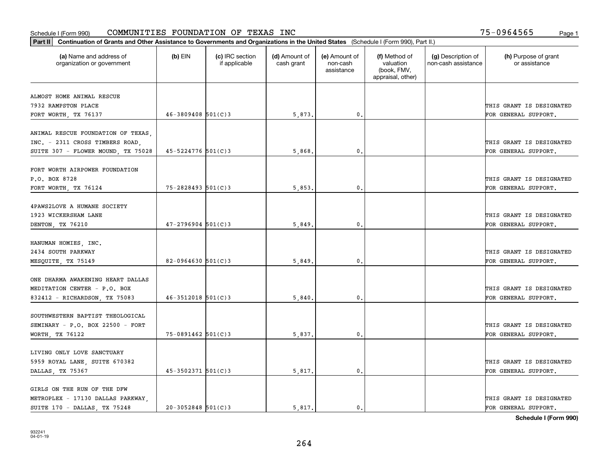| (a) Name and address of<br>(c) IRC section<br>(d) Amount of<br>(e) Amount of<br>(f) Method of<br>(g) Description of<br>(h) Purpose of grant<br>$(b)$ EIN<br>valuation<br>non-cash assistance<br>organization or government<br>if applicable<br>cash grant<br>non-cash<br>or assistance<br>(book, FMV,<br>assistance<br>appraisal, other)<br>ALMOST HOME ANIMAL RESCUE<br>THIS GRANT IS DESIGNATED<br>7932 RAMPSTON PLACE<br>$46 - 3809408$ 501(C)3<br>$\mathbf{0}$ .<br>5,873.<br>FOR GENERAL SUPPORT.<br>FORT WORTH, TX 76137<br>ANIMAL RESCUE FOUNDATION OF TEXAS,<br>INC. - 2311 CROSS TIMBERS ROAD,<br>THIS GRANT IS DESIGNATED<br>45-5224776 501(C)3<br>SUITE 307 - FLOWER MOUND, TX 75028<br>5,868<br>$\mathbf{0}$<br>FOR GENERAL SUPPORT.<br>FORT WORTH AIRPOWER FOUNDATION<br>P.O. BOX 8728<br>THIS GRANT IS DESIGNATED<br>75-2828493 501(C)3<br>$\mathfrak{o}$ .<br>FOR GENERAL SUPPORT.<br>5,853.<br>FORT WORTH, TX 76124<br>4PAWS2LOVE A HUMANE SOCIETY<br>1923 WICKERSHAM LANE<br>THIS GRANT IS DESIGNATED<br>$47 - 2796904$ 501(C)3<br>5,849<br>0.<br>FOR GENERAL SUPPORT.<br>DENTON, TX 76210<br>HANUMAN HOMIES, INC.<br>2434 SOUTH PARKWAY<br>THIS GRANT IS DESIGNATED<br>$82-0964630$ 501(C)3<br>5,849<br>$\mathbf{0}$ .<br>FOR GENERAL SUPPORT.<br>MESQUITE, TX 75149<br>ONE DHARMA AWAKENING HEART DALLAS<br>MEDITATION CENTER - P.O. BOX<br>THIS GRANT IS DESIGNATED<br>$46 - 3512018$ 501(C)3<br>$\mathbf{0}$ .<br>5,840<br>832412 - RICHARDSON, TX 75083<br>FOR GENERAL SUPPORT.<br>SOUTHWESTERN BAPTIST THEOLOGICAL<br>SEMINARY - P.O. BOX 22500 - FORT<br>THIS GRANT IS DESIGNATED<br>$75 - 0891462$ 501(C)3<br>$\mathbf{0}$ .<br>5,837.<br>FOR GENERAL SUPPORT.<br>WORTH, TX 76122<br>LIVING ONLY LOVE SANCTUARY<br>5959 ROYAL LANE, SUITE 670382<br>THIS GRANT IS DESIGNATED<br>$45 - 3502371$ 501(C)3<br>5,817.<br>0.<br>FOR GENERAL SUPPORT.<br>DALLAS, TX 75367<br>GIRLS ON THE RUN OF THE DFW<br>METROPLEX - 17130 DALLAS PARKWAY,<br>THIS GRANT IS DESIGNATED | Part II   Continuation of Grants and Other Assistance to Governments and Organizations in the United States (Schedule I (Form 990), Part II.) |  |        |                |  |                      |
|---------------------------------------------------------------------------------------------------------------------------------------------------------------------------------------------------------------------------------------------------------------------------------------------------------------------------------------------------------------------------------------------------------------------------------------------------------------------------------------------------------------------------------------------------------------------------------------------------------------------------------------------------------------------------------------------------------------------------------------------------------------------------------------------------------------------------------------------------------------------------------------------------------------------------------------------------------------------------------------------------------------------------------------------------------------------------------------------------------------------------------------------------------------------------------------------------------------------------------------------------------------------------------------------------------------------------------------------------------------------------------------------------------------------------------------------------------------------------------------------------------------------------------------------------------------------------------------------------------------------------------------------------------------------------------------------------------------------------------------------------------------------------------------------------------------------------------------------------------------------------------------------------------------------------------------------------------------------------------------------|-----------------------------------------------------------------------------------------------------------------------------------------------|--|--------|----------------|--|----------------------|
|                                                                                                                                                                                                                                                                                                                                                                                                                                                                                                                                                                                                                                                                                                                                                                                                                                                                                                                                                                                                                                                                                                                                                                                                                                                                                                                                                                                                                                                                                                                                                                                                                                                                                                                                                                                                                                                                                                                                                                                             |                                                                                                                                               |  |        |                |  |                      |
|                                                                                                                                                                                                                                                                                                                                                                                                                                                                                                                                                                                                                                                                                                                                                                                                                                                                                                                                                                                                                                                                                                                                                                                                                                                                                                                                                                                                                                                                                                                                                                                                                                                                                                                                                                                                                                                                                                                                                                                             |                                                                                                                                               |  |        |                |  |                      |
|                                                                                                                                                                                                                                                                                                                                                                                                                                                                                                                                                                                                                                                                                                                                                                                                                                                                                                                                                                                                                                                                                                                                                                                                                                                                                                                                                                                                                                                                                                                                                                                                                                                                                                                                                                                                                                                                                                                                                                                             |                                                                                                                                               |  |        |                |  |                      |
|                                                                                                                                                                                                                                                                                                                                                                                                                                                                                                                                                                                                                                                                                                                                                                                                                                                                                                                                                                                                                                                                                                                                                                                                                                                                                                                                                                                                                                                                                                                                                                                                                                                                                                                                                                                                                                                                                                                                                                                             |                                                                                                                                               |  |        |                |  |                      |
|                                                                                                                                                                                                                                                                                                                                                                                                                                                                                                                                                                                                                                                                                                                                                                                                                                                                                                                                                                                                                                                                                                                                                                                                                                                                                                                                                                                                                                                                                                                                                                                                                                                                                                                                                                                                                                                                                                                                                                                             |                                                                                                                                               |  |        |                |  |                      |
|                                                                                                                                                                                                                                                                                                                                                                                                                                                                                                                                                                                                                                                                                                                                                                                                                                                                                                                                                                                                                                                                                                                                                                                                                                                                                                                                                                                                                                                                                                                                                                                                                                                                                                                                                                                                                                                                                                                                                                                             |                                                                                                                                               |  |        |                |  |                      |
|                                                                                                                                                                                                                                                                                                                                                                                                                                                                                                                                                                                                                                                                                                                                                                                                                                                                                                                                                                                                                                                                                                                                                                                                                                                                                                                                                                                                                                                                                                                                                                                                                                                                                                                                                                                                                                                                                                                                                                                             |                                                                                                                                               |  |        |                |  |                      |
|                                                                                                                                                                                                                                                                                                                                                                                                                                                                                                                                                                                                                                                                                                                                                                                                                                                                                                                                                                                                                                                                                                                                                                                                                                                                                                                                                                                                                                                                                                                                                                                                                                                                                                                                                                                                                                                                                                                                                                                             |                                                                                                                                               |  |        |                |  |                      |
|                                                                                                                                                                                                                                                                                                                                                                                                                                                                                                                                                                                                                                                                                                                                                                                                                                                                                                                                                                                                                                                                                                                                                                                                                                                                                                                                                                                                                                                                                                                                                                                                                                                                                                                                                                                                                                                                                                                                                                                             |                                                                                                                                               |  |        |                |  |                      |
|                                                                                                                                                                                                                                                                                                                                                                                                                                                                                                                                                                                                                                                                                                                                                                                                                                                                                                                                                                                                                                                                                                                                                                                                                                                                                                                                                                                                                                                                                                                                                                                                                                                                                                                                                                                                                                                                                                                                                                                             |                                                                                                                                               |  |        |                |  |                      |
|                                                                                                                                                                                                                                                                                                                                                                                                                                                                                                                                                                                                                                                                                                                                                                                                                                                                                                                                                                                                                                                                                                                                                                                                                                                                                                                                                                                                                                                                                                                                                                                                                                                                                                                                                                                                                                                                                                                                                                                             |                                                                                                                                               |  |        |                |  |                      |
|                                                                                                                                                                                                                                                                                                                                                                                                                                                                                                                                                                                                                                                                                                                                                                                                                                                                                                                                                                                                                                                                                                                                                                                                                                                                                                                                                                                                                                                                                                                                                                                                                                                                                                                                                                                                                                                                                                                                                                                             |                                                                                                                                               |  |        |                |  |                      |
|                                                                                                                                                                                                                                                                                                                                                                                                                                                                                                                                                                                                                                                                                                                                                                                                                                                                                                                                                                                                                                                                                                                                                                                                                                                                                                                                                                                                                                                                                                                                                                                                                                                                                                                                                                                                                                                                                                                                                                                             |                                                                                                                                               |  |        |                |  |                      |
|                                                                                                                                                                                                                                                                                                                                                                                                                                                                                                                                                                                                                                                                                                                                                                                                                                                                                                                                                                                                                                                                                                                                                                                                                                                                                                                                                                                                                                                                                                                                                                                                                                                                                                                                                                                                                                                                                                                                                                                             |                                                                                                                                               |  |        |                |  |                      |
|                                                                                                                                                                                                                                                                                                                                                                                                                                                                                                                                                                                                                                                                                                                                                                                                                                                                                                                                                                                                                                                                                                                                                                                                                                                                                                                                                                                                                                                                                                                                                                                                                                                                                                                                                                                                                                                                                                                                                                                             |                                                                                                                                               |  |        |                |  |                      |
|                                                                                                                                                                                                                                                                                                                                                                                                                                                                                                                                                                                                                                                                                                                                                                                                                                                                                                                                                                                                                                                                                                                                                                                                                                                                                                                                                                                                                                                                                                                                                                                                                                                                                                                                                                                                                                                                                                                                                                                             |                                                                                                                                               |  |        |                |  |                      |
|                                                                                                                                                                                                                                                                                                                                                                                                                                                                                                                                                                                                                                                                                                                                                                                                                                                                                                                                                                                                                                                                                                                                                                                                                                                                                                                                                                                                                                                                                                                                                                                                                                                                                                                                                                                                                                                                                                                                                                                             |                                                                                                                                               |  |        |                |  |                      |
|                                                                                                                                                                                                                                                                                                                                                                                                                                                                                                                                                                                                                                                                                                                                                                                                                                                                                                                                                                                                                                                                                                                                                                                                                                                                                                                                                                                                                                                                                                                                                                                                                                                                                                                                                                                                                                                                                                                                                                                             |                                                                                                                                               |  |        |                |  |                      |
|                                                                                                                                                                                                                                                                                                                                                                                                                                                                                                                                                                                                                                                                                                                                                                                                                                                                                                                                                                                                                                                                                                                                                                                                                                                                                                                                                                                                                                                                                                                                                                                                                                                                                                                                                                                                                                                                                                                                                                                             |                                                                                                                                               |  |        |                |  |                      |
|                                                                                                                                                                                                                                                                                                                                                                                                                                                                                                                                                                                                                                                                                                                                                                                                                                                                                                                                                                                                                                                                                                                                                                                                                                                                                                                                                                                                                                                                                                                                                                                                                                                                                                                                                                                                                                                                                                                                                                                             |                                                                                                                                               |  |        |                |  |                      |
|                                                                                                                                                                                                                                                                                                                                                                                                                                                                                                                                                                                                                                                                                                                                                                                                                                                                                                                                                                                                                                                                                                                                                                                                                                                                                                                                                                                                                                                                                                                                                                                                                                                                                                                                                                                                                                                                                                                                                                                             |                                                                                                                                               |  |        |                |  |                      |
|                                                                                                                                                                                                                                                                                                                                                                                                                                                                                                                                                                                                                                                                                                                                                                                                                                                                                                                                                                                                                                                                                                                                                                                                                                                                                                                                                                                                                                                                                                                                                                                                                                                                                                                                                                                                                                                                                                                                                                                             |                                                                                                                                               |  |        |                |  |                      |
|                                                                                                                                                                                                                                                                                                                                                                                                                                                                                                                                                                                                                                                                                                                                                                                                                                                                                                                                                                                                                                                                                                                                                                                                                                                                                                                                                                                                                                                                                                                                                                                                                                                                                                                                                                                                                                                                                                                                                                                             |                                                                                                                                               |  |        |                |  |                      |
|                                                                                                                                                                                                                                                                                                                                                                                                                                                                                                                                                                                                                                                                                                                                                                                                                                                                                                                                                                                                                                                                                                                                                                                                                                                                                                                                                                                                                                                                                                                                                                                                                                                                                                                                                                                                                                                                                                                                                                                             |                                                                                                                                               |  |        |                |  |                      |
|                                                                                                                                                                                                                                                                                                                                                                                                                                                                                                                                                                                                                                                                                                                                                                                                                                                                                                                                                                                                                                                                                                                                                                                                                                                                                                                                                                                                                                                                                                                                                                                                                                                                                                                                                                                                                                                                                                                                                                                             |                                                                                                                                               |  |        |                |  |                      |
|                                                                                                                                                                                                                                                                                                                                                                                                                                                                                                                                                                                                                                                                                                                                                                                                                                                                                                                                                                                                                                                                                                                                                                                                                                                                                                                                                                                                                                                                                                                                                                                                                                                                                                                                                                                                                                                                                                                                                                                             |                                                                                                                                               |  |        |                |  |                      |
|                                                                                                                                                                                                                                                                                                                                                                                                                                                                                                                                                                                                                                                                                                                                                                                                                                                                                                                                                                                                                                                                                                                                                                                                                                                                                                                                                                                                                                                                                                                                                                                                                                                                                                                                                                                                                                                                                                                                                                                             |                                                                                                                                               |  |        |                |  |                      |
|                                                                                                                                                                                                                                                                                                                                                                                                                                                                                                                                                                                                                                                                                                                                                                                                                                                                                                                                                                                                                                                                                                                                                                                                                                                                                                                                                                                                                                                                                                                                                                                                                                                                                                                                                                                                                                                                                                                                                                                             |                                                                                                                                               |  |        |                |  |                      |
|                                                                                                                                                                                                                                                                                                                                                                                                                                                                                                                                                                                                                                                                                                                                                                                                                                                                                                                                                                                                                                                                                                                                                                                                                                                                                                                                                                                                                                                                                                                                                                                                                                                                                                                                                                                                                                                                                                                                                                                             |                                                                                                                                               |  |        |                |  |                      |
|                                                                                                                                                                                                                                                                                                                                                                                                                                                                                                                                                                                                                                                                                                                                                                                                                                                                                                                                                                                                                                                                                                                                                                                                                                                                                                                                                                                                                                                                                                                                                                                                                                                                                                                                                                                                                                                                                                                                                                                             |                                                                                                                                               |  |        |                |  |                      |
|                                                                                                                                                                                                                                                                                                                                                                                                                                                                                                                                                                                                                                                                                                                                                                                                                                                                                                                                                                                                                                                                                                                                                                                                                                                                                                                                                                                                                                                                                                                                                                                                                                                                                                                                                                                                                                                                                                                                                                                             |                                                                                                                                               |  |        |                |  |                      |
|                                                                                                                                                                                                                                                                                                                                                                                                                                                                                                                                                                                                                                                                                                                                                                                                                                                                                                                                                                                                                                                                                                                                                                                                                                                                                                                                                                                                                                                                                                                                                                                                                                                                                                                                                                                                                                                                                                                                                                                             |                                                                                                                                               |  |        |                |  |                      |
|                                                                                                                                                                                                                                                                                                                                                                                                                                                                                                                                                                                                                                                                                                                                                                                                                                                                                                                                                                                                                                                                                                                                                                                                                                                                                                                                                                                                                                                                                                                                                                                                                                                                                                                                                                                                                                                                                                                                                                                             |                                                                                                                                               |  |        |                |  |                      |
| $20 - 3052848$ 501(C)3                                                                                                                                                                                                                                                                                                                                                                                                                                                                                                                                                                                                                                                                                                                                                                                                                                                                                                                                                                                                                                                                                                                                                                                                                                                                                                                                                                                                                                                                                                                                                                                                                                                                                                                                                                                                                                                                                                                                                                      | SUITE 170 - DALLAS, TX 75248                                                                                                                  |  | 5,817. | $\mathbf{0}$ . |  | FOR GENERAL SUPPORT. |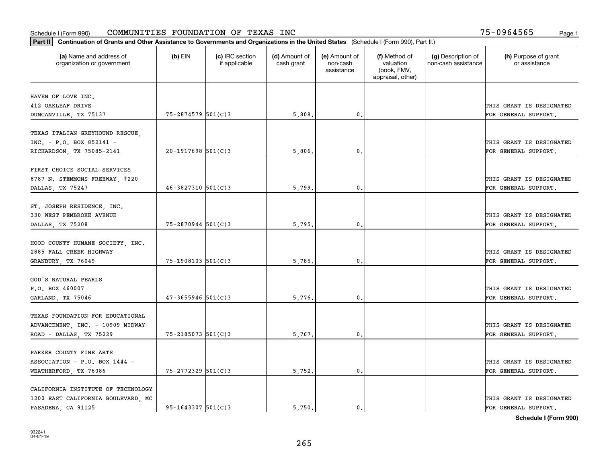| Part II   Continuation of Grants and Other Assistance to Governments and Organizations in the United States (Schedule I (Form 990), Part II.) |                        |                                  |                             |                                         |                                                                |                                           |                                       |
|-----------------------------------------------------------------------------------------------------------------------------------------------|------------------------|----------------------------------|-----------------------------|-----------------------------------------|----------------------------------------------------------------|-------------------------------------------|---------------------------------------|
| (a) Name and address of<br>organization or government                                                                                         | $(b)$ EIN              | (c) IRC section<br>if applicable | (d) Amount of<br>cash grant | (e) Amount of<br>non-cash<br>assistance | (f) Method of<br>valuation<br>(book, FMV,<br>appraisal, other) | (g) Description of<br>non-cash assistance | (h) Purpose of grant<br>or assistance |
| HAVEN OF LOVE INC.                                                                                                                            |                        |                                  |                             |                                         |                                                                |                                           |                                       |
| 412 OAKLEAF DRIVE                                                                                                                             |                        |                                  |                             |                                         |                                                                |                                           | THIS GRANT IS DESIGNATED              |
| DUNCANVILLE, TX 75137                                                                                                                         | 75-2874579 501(C)3     |                                  | 5,808.                      | $\mathbf 0$ .                           |                                                                |                                           | FOR GENERAL SUPPORT.                  |
|                                                                                                                                               |                        |                                  |                             |                                         |                                                                |                                           |                                       |
| TEXAS ITALIAN GREYHOUND RESCUE,                                                                                                               |                        |                                  |                             |                                         |                                                                |                                           |                                       |
| INC. - P.O. BOX 852141 -                                                                                                                      |                        |                                  |                             |                                         |                                                                |                                           | THIS GRANT IS DESIGNATED              |
| RICHARDSON, TX 75085-2141                                                                                                                     | $20 - 1917698$ 501(C)3 |                                  | 5,806,                      | 0.                                      |                                                                |                                           | FOR GENERAL SUPPORT.                  |
|                                                                                                                                               |                        |                                  |                             |                                         |                                                                |                                           |                                       |
| FIRST CHOICE SOCIAL SERVICES                                                                                                                  |                        |                                  |                             |                                         |                                                                |                                           |                                       |
| 8787 N. STEMMONS FREEWAY, #220                                                                                                                |                        |                                  |                             |                                         |                                                                |                                           | THIS GRANT IS DESIGNATED              |
| DALLAS, TX 75247                                                                                                                              | $46 - 3827310$ 501(C)3 |                                  | 5,799.                      | $\mathfrak{o}$ .                        |                                                                |                                           | FOR GENERAL SUPPORT.                  |
| ST. JOSEPH RESIDENCE, INC.                                                                                                                    |                        |                                  |                             |                                         |                                                                |                                           |                                       |
| 330 WEST PEMBROKE AVENUE                                                                                                                      |                        |                                  |                             |                                         |                                                                |                                           | THIS GRANT IS DESIGNATED              |
| DALLAS, TX 75208                                                                                                                              | $75 - 2870944$ 501(C)3 |                                  | 5,795.                      | $\mathbf{0}$                            |                                                                |                                           | FOR GENERAL SUPPORT.                  |
|                                                                                                                                               |                        |                                  |                             |                                         |                                                                |                                           |                                       |
| HOOD COUNTY HUMANE SOCIETY, INC.                                                                                                              |                        |                                  |                             |                                         |                                                                |                                           |                                       |
| 2885 FALL CREEK HIGHWAY                                                                                                                       |                        |                                  |                             |                                         |                                                                |                                           | THIS GRANT IS DESIGNATED              |
| GRANBURY, TX 76049                                                                                                                            | $75 - 1908103$ 501(C)3 |                                  | 5,785.                      | $\mathbf 0$ .                           |                                                                |                                           | FOR GENERAL SUPPORT.                  |
|                                                                                                                                               |                        |                                  |                             |                                         |                                                                |                                           |                                       |
| GOD'S NATURAL PEARLS                                                                                                                          |                        |                                  |                             |                                         |                                                                |                                           |                                       |
| P.O. BOX 460007                                                                                                                               |                        |                                  |                             |                                         |                                                                |                                           | THIS GRANT IS DESIGNATED              |
| GARLAND, TX 75046                                                                                                                             | $47 - 3655946$ 501(C)3 |                                  | 5,776.                      | $\mathbf{0}$                            |                                                                |                                           | FOR GENERAL SUPPORT.                  |
|                                                                                                                                               |                        |                                  |                             |                                         |                                                                |                                           |                                       |
| TEXAS FOUNDATION FOR EDUCATIONAL                                                                                                              |                        |                                  |                             |                                         |                                                                |                                           |                                       |
| ADVANCEMENT, INC. - 10909 MIDWAY                                                                                                              |                        |                                  |                             |                                         |                                                                |                                           | THIS GRANT IS DESIGNATED              |
| ROAD - DALLAS, TX 75229                                                                                                                       | 75-2185073 501(C)3     |                                  | 5,767.                      | $^{\circ}$ .                            |                                                                |                                           | FOR GENERAL SUPPORT.                  |
| PARKER COUNTY FINE ARTS                                                                                                                       |                        |                                  |                             |                                         |                                                                |                                           |                                       |
| ASSOCIATION - P.O. BOX 1444 -                                                                                                                 |                        |                                  |                             |                                         |                                                                |                                           | THIS GRANT IS DESIGNATED              |
| WEATHERFORD, TX 76086                                                                                                                         | 75-2772329 501(C)3     |                                  | 5,752.                      | $\mathbf{0}$                            |                                                                |                                           | FOR GENERAL SUPPORT.                  |
|                                                                                                                                               |                        |                                  |                             |                                         |                                                                |                                           |                                       |
| CALIFORNIA INSTITUTE OF TECHNOLOGY                                                                                                            |                        |                                  |                             |                                         |                                                                |                                           |                                       |
| 1200 EAST CALIFORNIA BOULEVARD, MC                                                                                                            |                        |                                  |                             |                                         |                                                                |                                           | THIS GRANT IS DESIGNATED              |
| PASADENA, CA 91125                                                                                                                            | 95-1643307 501(C)3     |                                  | 5.750.                      | $\mathbf{0}$ .                          |                                                                |                                           | FOR GENERAL SUPPORT.                  |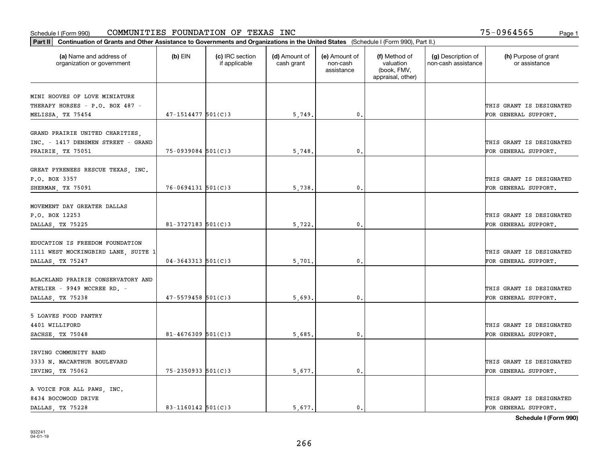| Part II   Continuation of Grants and Other Assistance to Governments and Organizations in the United States (Schedule I (Form 990), Part II.) |                          |                                  |                             |                                         |                                                                |                                           |                                                  |
|-----------------------------------------------------------------------------------------------------------------------------------------------|--------------------------|----------------------------------|-----------------------------|-----------------------------------------|----------------------------------------------------------------|-------------------------------------------|--------------------------------------------------|
| (a) Name and address of<br>organization or government                                                                                         | $(b)$ EIN                | (c) IRC section<br>if applicable | (d) Amount of<br>cash grant | (e) Amount of<br>non-cash<br>assistance | (f) Method of<br>valuation<br>(book, FMV,<br>appraisal, other) | (g) Description of<br>non-cash assistance | (h) Purpose of grant<br>or assistance            |
| MINI HOOVES OF LOVE MINIATURE                                                                                                                 |                          |                                  |                             |                                         |                                                                |                                           |                                                  |
| THERAPY HORSES - P.O. BOX 487 -                                                                                                               |                          |                                  |                             |                                         |                                                                |                                           | THIS GRANT IS DESIGNATED                         |
| MELISSA, TX 75454                                                                                                                             | $47 - 1514477$ 501(C)3   |                                  | 5,749.                      | 0.                                      |                                                                |                                           | FOR GENERAL SUPPORT.                             |
| GRAND PRAIRIE UNITED CHARITIES,<br>INC. - 1417 DENSMEN STREET - GRAND                                                                         |                          |                                  |                             |                                         |                                                                |                                           | THIS GRANT IS DESIGNATED                         |
| PRAIRIE, TX 75051                                                                                                                             | $75 - 0939084$ 501(C)3   |                                  | 5,748                       | 0.                                      |                                                                |                                           | FOR GENERAL SUPPORT.                             |
| GREAT PYRENEES RESCUE TEXAS, INC.<br>P.O. BOX 3357                                                                                            |                          |                                  |                             |                                         |                                                                |                                           | THIS GRANT IS DESIGNATED                         |
| SHERMAN, TX 75091                                                                                                                             | $76 - 0694131$ 501(C)3   |                                  | 5,738.                      | $\mathbf{0}$ .                          |                                                                |                                           | FOR GENERAL SUPPORT.                             |
| MOVEMENT DAY GREATER DALLAS<br>P.O. BOX 12253<br>DALLAS, TX 75225                                                                             | 81-3727183 $501(C)$ 3    |                                  | 5,722.                      | $\mathbf{0}$                            |                                                                |                                           | THIS GRANT IS DESIGNATED<br>FOR GENERAL SUPPORT. |
| EDUCATION IS FREEDOM FOUNDATION<br>1111 WEST MOCKINGBIRD LANE, SUITE 1                                                                        |                          |                                  |                             |                                         |                                                                |                                           | THIS GRANT IS DESIGNATED                         |
| DALLAS, TX 75247                                                                                                                              | $04 - 3643313$ $501(C)3$ |                                  | 5,701                       | $\mathbf{0}$                            |                                                                |                                           | FOR GENERAL SUPPORT.                             |
| BLACKLAND PRAIRIE CONSERVATORY AND<br>ATELIER - 9949 MCCREE RD. -<br>DALLAS, TX 75238                                                         | $47 - 5579458$ 501(C)3   |                                  | 5,693.                      | 0.                                      |                                                                |                                           | THIS GRANT IS DESIGNATED<br>FOR GENERAL SUPPORT. |
| 5 LOAVES FOOD PANTRY<br>4401 WILLIFORD<br>SACHSE, TX 75048                                                                                    | $81 - 4676309$ 501(C)3   |                                  | 5,685.                      | $^{\rm 0}$ .                            |                                                                |                                           | THIS GRANT IS DESIGNATED<br>FOR GENERAL SUPPORT. |
|                                                                                                                                               |                          |                                  |                             |                                         |                                                                |                                           |                                                  |
| IRVING COMMUNITY BAND<br>3333 N. MACARTHUR BOULEVARD<br>IRVING, TX 75062                                                                      | $75 - 2350933$ $501(C)3$ |                                  | 5,677.                      | $\mathfrak{o}$ .                        |                                                                |                                           | THIS GRANT IS DESIGNATED<br>FOR GENERAL SUPPORT. |
| A VOICE FOR ALL PAWS, INC.<br>8434 BOCOWOOD DRIVE<br>DALLAS TX 75228                                                                          | 83-1160142 $501(C)$ 3    |                                  | 5.677.                      | $\mathbf{0}$ .                          |                                                                |                                           | THIS GRANT IS DESIGNATED<br>FOR GENERAL SUPPORT. |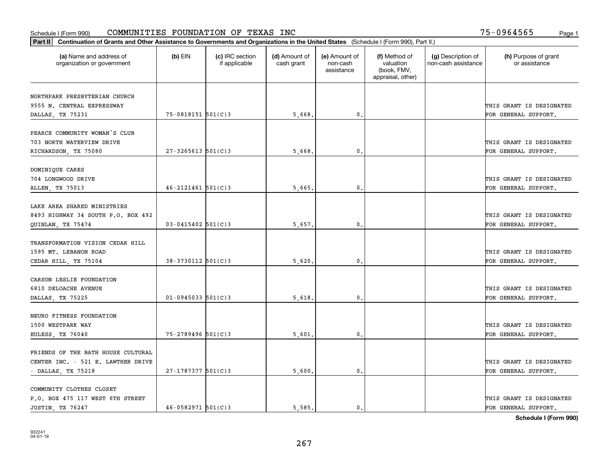| Part II   Continuation of Grants and Other Assistance to Governments and Organizations in the United States (Schedule I (Form 990), Part II.) |                        |                                  |                             |                                         |                                                                |                                           |                                       |
|-----------------------------------------------------------------------------------------------------------------------------------------------|------------------------|----------------------------------|-----------------------------|-----------------------------------------|----------------------------------------------------------------|-------------------------------------------|---------------------------------------|
| (a) Name and address of<br>organization or government                                                                                         | $(b)$ EIN              | (c) IRC section<br>if applicable | (d) Amount of<br>cash grant | (e) Amount of<br>non-cash<br>assistance | (f) Method of<br>valuation<br>(book, FMV,<br>appraisal, other) | (g) Description of<br>non-cash assistance | (h) Purpose of grant<br>or assistance |
| NORTHPARK PRESBYTERIAN CHURCH                                                                                                                 |                        |                                  |                             |                                         |                                                                |                                           |                                       |
| 9555 N. CENTRAL EXPRESSWAY                                                                                                                    |                        |                                  |                             |                                         |                                                                |                                           | THIS GRANT IS DESIGNATED              |
| DALLAS, TX 75231                                                                                                                              | 75-0818151 501(C)3     |                                  | 5,668.                      | $\mathbf 0$ .                           |                                                                |                                           | FOR GENERAL SUPPORT.                  |
|                                                                                                                                               |                        |                                  |                             |                                         |                                                                |                                           |                                       |
| PEARCE COMMUNITY WOMAN'S CLUB                                                                                                                 |                        |                                  |                             |                                         |                                                                |                                           |                                       |
| 703 NORTH WATERVIEW DRIVE                                                                                                                     |                        |                                  |                             |                                         |                                                                |                                           | THIS GRANT IS DESIGNATED              |
| RICHARDSON, TX 75080                                                                                                                          | $27 - 3265613$ 501(C)3 |                                  | 5,668                       | 0.                                      |                                                                |                                           | FOR GENERAL SUPPORT.                  |
|                                                                                                                                               |                        |                                  |                             |                                         |                                                                |                                           |                                       |
| DOMINIQUE CARES                                                                                                                               |                        |                                  |                             |                                         |                                                                |                                           |                                       |
| 704 LONGWOOD DRIVE                                                                                                                            | $46 - 2121461$ 501(C)3 |                                  |                             | $\mathbf{0}$ .                          |                                                                |                                           | THIS GRANT IS DESIGNATED              |
| ALLEN, TX 75013                                                                                                                               |                        |                                  | 5,665                       |                                         |                                                                |                                           | FOR GENERAL SUPPORT.                  |
| LAKE AREA SHARED MINISTRIES                                                                                                                   |                        |                                  |                             |                                         |                                                                |                                           |                                       |
| 8493 HIGHWAY 34 SOUTH P.O. BOX 492                                                                                                            |                        |                                  |                             |                                         |                                                                |                                           | THIS GRANT IS DESIGNATED              |
| QUINLAN, TX 75474                                                                                                                             | $03 - 0415402$ 501(C)3 |                                  | 5,657.                      | $\mathbf{0}$                            |                                                                |                                           | FOR GENERAL SUPPORT.                  |
|                                                                                                                                               |                        |                                  |                             |                                         |                                                                |                                           |                                       |
| TRANSFORMATION VISION CEDAR HILL                                                                                                              |                        |                                  |                             |                                         |                                                                |                                           |                                       |
| 1595 MT. LEBANON ROAD                                                                                                                         |                        |                                  |                             |                                         |                                                                |                                           | THIS GRANT IS DESIGNATED              |
| CEDAR HILL, TX 75104                                                                                                                          | $38-3730112$ 501(C)3   |                                  | 5,620                       | $\mathbf{0}$                            |                                                                |                                           | FOR GENERAL SUPPORT.                  |
|                                                                                                                                               |                        |                                  |                             |                                         |                                                                |                                           |                                       |
| CARSON LESLIE FOUNDATION                                                                                                                      |                        |                                  |                             |                                         |                                                                |                                           |                                       |
| 6810 DELOACHE AVENUE                                                                                                                          |                        |                                  |                             |                                         |                                                                |                                           | THIS GRANT IS DESIGNATED              |
| DALLAS, TX 75225                                                                                                                              | $01 - 0945033$ 501(C)3 |                                  | 5,618.                      | $\mathbf{0}$                            |                                                                |                                           | FOR GENERAL SUPPORT.                  |
| NEURO FITNESS FOUNDATION                                                                                                                      |                        |                                  |                             |                                         |                                                                |                                           |                                       |
| 1500 WESTPARK WAY                                                                                                                             |                        |                                  |                             |                                         |                                                                |                                           | THIS GRANT IS DESIGNATED              |
| EULESS, TX 76040                                                                                                                              | 75-2789496 501(C)3     |                                  | 5,601                       | $^{\rm 0}$ .                            |                                                                |                                           | FOR GENERAL SUPPORT.                  |
|                                                                                                                                               |                        |                                  |                             |                                         |                                                                |                                           |                                       |
| FRIENDS OF THE BATH HOUSE CULTURAL                                                                                                            |                        |                                  |                             |                                         |                                                                |                                           |                                       |
| CENTER INC. - 521 E. LAWTHER DRIVE                                                                                                            |                        |                                  |                             |                                         |                                                                |                                           | THIS GRANT IS DESIGNATED              |
| - DALLAS, TX 75218                                                                                                                            | 27-1787377 501(C)3     |                                  | 5,600.                      | $\mathfrak{o}$ .                        |                                                                |                                           | FOR GENERAL SUPPORT.                  |
|                                                                                                                                               |                        |                                  |                             |                                         |                                                                |                                           |                                       |
| COMMUNITY CLOTHES CLOSET                                                                                                                      |                        |                                  |                             |                                         |                                                                |                                           |                                       |
| P.O. BOX 475 117 WEST 6TH STREET                                                                                                              |                        |                                  |                             |                                         |                                                                |                                           | THIS GRANT IS DESIGNATED              |
| JUSTIN, TX 76247                                                                                                                              | $46 - 0582971$ 501(C)3 |                                  | 5.585.                      | $\mathbf{0}$ .                          |                                                                |                                           | FOR GENERAL SUPPORT.                  |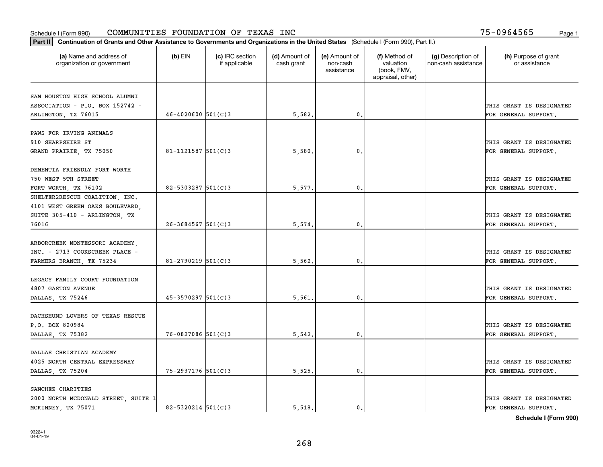| Part II   Continuation of Grants and Other Assistance to Governments and Organizations in the United States (Schedule I (Form 990), Part II.) |                        |                                  |                             |                                         |                                                                |                                           |                                       |
|-----------------------------------------------------------------------------------------------------------------------------------------------|------------------------|----------------------------------|-----------------------------|-----------------------------------------|----------------------------------------------------------------|-------------------------------------------|---------------------------------------|
| (a) Name and address of<br>organization or government                                                                                         | $(b)$ EIN              | (c) IRC section<br>if applicable | (d) Amount of<br>cash grant | (e) Amount of<br>non-cash<br>assistance | (f) Method of<br>valuation<br>(book, FMV,<br>appraisal, other) | (g) Description of<br>non-cash assistance | (h) Purpose of grant<br>or assistance |
| SAM HOUSTON HIGH SCHOOL ALUMNI                                                                                                                |                        |                                  |                             |                                         |                                                                |                                           |                                       |
| ASSOCIATION - P.O. BOX 152742 -                                                                                                               |                        |                                  |                             |                                         |                                                                |                                           | THIS GRANT IS DESIGNATED              |
| ARLINGTON, TX 76015                                                                                                                           | $46 - 4020600$ 501(C)3 |                                  | 5,582.                      | $\mathbf 0$ .                           |                                                                |                                           | FOR GENERAL SUPPORT.                  |
|                                                                                                                                               |                        |                                  |                             |                                         |                                                                |                                           |                                       |
| PAWS FOR IRVING ANIMALS                                                                                                                       |                        |                                  |                             |                                         |                                                                |                                           |                                       |
| 910 SHARPSHIRE ST                                                                                                                             |                        |                                  |                             |                                         |                                                                |                                           | THIS GRANT IS DESIGNATED              |
| GRAND PRAIRIE, TX 75050                                                                                                                       | $81 - 1121587$ 501(C)3 |                                  | 5,580                       | $\mathbf{0}$                            |                                                                |                                           | FOR GENERAL SUPPORT.                  |
|                                                                                                                                               |                        |                                  |                             |                                         |                                                                |                                           |                                       |
| DEMENTIA FRIENDLY FORT WORTH                                                                                                                  |                        |                                  |                             |                                         |                                                                |                                           |                                       |
| 750 WEST 5TH STREET                                                                                                                           |                        |                                  |                             |                                         |                                                                |                                           | THIS GRANT IS DESIGNATED              |
| FORT WORTH, TX 76102                                                                                                                          | $82 - 5303287$ 501(C)3 |                                  | 5,577.                      | $\mathbf{0}$ .                          |                                                                |                                           | FOR GENERAL SUPPORT.                  |
| SHELTER2RESCUE COALITION, INC.                                                                                                                |                        |                                  |                             |                                         |                                                                |                                           |                                       |
| 4101 WEST GREEN OAKS BOULEVARD,                                                                                                               |                        |                                  |                             |                                         |                                                                |                                           |                                       |
| SUITE 305-410 - ARLINGTON, TX                                                                                                                 |                        |                                  |                             |                                         |                                                                |                                           | THIS GRANT IS DESIGNATED              |
| 76016                                                                                                                                         | $26 - 3684567$ 501(C)3 |                                  | 5,574.                      | $\mathbf{0}$                            |                                                                |                                           | FOR GENERAL SUPPORT.                  |
|                                                                                                                                               |                        |                                  |                             |                                         |                                                                |                                           |                                       |
| ARBORCREEK MONTESSORI ACADEMY,                                                                                                                |                        |                                  |                             |                                         |                                                                |                                           |                                       |
| INC. - 2713 COOKSCREEK PLACE -                                                                                                                |                        |                                  |                             |                                         |                                                                |                                           | THIS GRANT IS DESIGNATED              |
| FARMERS BRANCH, TX 75234                                                                                                                      | $81 - 2790219$ 501(C)3 |                                  | 5,562                       | $\mathbf{0}$                            |                                                                |                                           | FOR GENERAL SUPPORT.                  |
| LEGACY FAMILY COURT FOUNDATION                                                                                                                |                        |                                  |                             |                                         |                                                                |                                           |                                       |
| <b>4807 GASTON AVENUE</b>                                                                                                                     |                        |                                  |                             |                                         |                                                                |                                           | THIS GRANT IS DESIGNATED              |
| DALLAS, TX 75246                                                                                                                              | $45 - 3570297$ 501(C)3 |                                  | 5,561                       | $\mathbf{0}$                            |                                                                |                                           | FOR GENERAL SUPPORT.                  |
|                                                                                                                                               |                        |                                  |                             |                                         |                                                                |                                           |                                       |
| DACHSHUND LOVERS OF TEXAS RESCUE                                                                                                              |                        |                                  |                             |                                         |                                                                |                                           |                                       |
| P.O. BOX 820984                                                                                                                               |                        |                                  |                             |                                         |                                                                |                                           | THIS GRANT IS DESIGNATED              |
| DALLAS, TX 75382                                                                                                                              | 76-0827086 501(C)3     |                                  | 5,542.                      | 0.                                      |                                                                |                                           | FOR GENERAL SUPPORT.                  |
|                                                                                                                                               |                        |                                  |                             |                                         |                                                                |                                           |                                       |
| DALLAS CHRISTIAN ACADEMY                                                                                                                      |                        |                                  |                             |                                         |                                                                |                                           |                                       |
| 4025 NORTH CENTRAL EXPRESSWAY                                                                                                                 |                        |                                  |                             |                                         |                                                                |                                           | THIS GRANT IS DESIGNATED              |
| DALLAS, TX 75204                                                                                                                              | 75-2937176 501(C)3     |                                  | 5,525.                      | $\mathfrak{o}$ .                        |                                                                |                                           | FOR GENERAL SUPPORT.                  |
|                                                                                                                                               |                        |                                  |                             |                                         |                                                                |                                           |                                       |
| SANCHEZ CHARITIES                                                                                                                             |                        |                                  |                             |                                         |                                                                |                                           |                                       |
| 2000 NORTH MCDONALD STREET, SUITE 1                                                                                                           |                        |                                  |                             |                                         |                                                                |                                           | THIS GRANT IS DESIGNATED              |
| MCKINNEY, TX 75071                                                                                                                            | $82 - 5320214$ 501(C)3 |                                  | 5.518.                      | $\mathfrak{o}$ .                        |                                                                |                                           | FOR GENERAL SUPPORT.                  |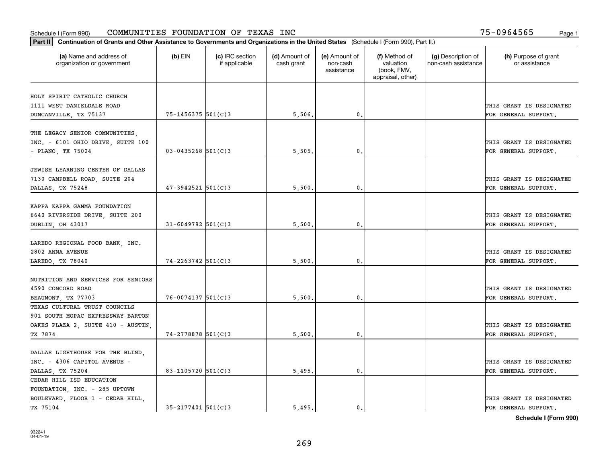| Part II   Continuation of Grants and Other Assistance to Governments and Organizations in the United States (Schedule I (Form 990), Part II.) |                        |                                  |                             |                                         |                                                                |                                           |                                                  |
|-----------------------------------------------------------------------------------------------------------------------------------------------|------------------------|----------------------------------|-----------------------------|-----------------------------------------|----------------------------------------------------------------|-------------------------------------------|--------------------------------------------------|
| (a) Name and address of<br>organization or government                                                                                         | $(b)$ EIN              | (c) IRC section<br>if applicable | (d) Amount of<br>cash grant | (e) Amount of<br>non-cash<br>assistance | (f) Method of<br>valuation<br>(book, FMV,<br>appraisal, other) | (g) Description of<br>non-cash assistance | (h) Purpose of grant<br>or assistance            |
| HOLY SPIRIT CATHOLIC CHURCH                                                                                                                   |                        |                                  |                             |                                         |                                                                |                                           |                                                  |
| 1111 WEST DANIELDALE ROAD                                                                                                                     |                        |                                  |                             |                                         |                                                                |                                           | THIS GRANT IS DESIGNATED                         |
| DUNCANVILLE, TX 75137                                                                                                                         | 75-1456375 501(C)3     |                                  | 5,506.                      | 0.                                      |                                                                |                                           | FOR GENERAL SUPPORT.                             |
|                                                                                                                                               |                        |                                  |                             |                                         |                                                                |                                           |                                                  |
| THE LEGACY SENIOR COMMUNITIES,<br>INC. - 6101 OHIO DRIVE, SUITE 100<br>- PLANO, TX 75024                                                      | $03 - 0435268$ 501(C)3 |                                  | 5,505                       | 0.                                      |                                                                |                                           | THIS GRANT IS DESIGNATED<br>FOR GENERAL SUPPORT. |
|                                                                                                                                               |                        |                                  |                             |                                         |                                                                |                                           |                                                  |
| JEWISH LEARNING CENTER OF DALLAS<br>7130 CAMPBELL ROAD, SUITE 204<br>DALLAS, TX 75248                                                         | $47 - 3942521$ 501(C)3 |                                  | 5,500                       | 0.                                      |                                                                |                                           | THIS GRANT IS DESIGNATED<br>FOR GENERAL SUPPORT. |
|                                                                                                                                               |                        |                                  |                             |                                         |                                                                |                                           |                                                  |
| KAPPA KAPPA GAMMA FOUNDATION<br>6640 RIVERSIDE DRIVE, SUITE 200<br>DUBLIN, OH 43017                                                           | $31 - 6049792$ 501(C)3 |                                  | 5,500                       | $\mathbf{0}$ .                          |                                                                |                                           | THIS GRANT IS DESIGNATED<br>FOR GENERAL SUPPORT. |
|                                                                                                                                               |                        |                                  |                             |                                         |                                                                |                                           |                                                  |
| LAREDO REGIONAL FOOD BANK, INC.<br>2802 ANNA AVENUE                                                                                           |                        |                                  |                             |                                         |                                                                |                                           | THIS GRANT IS DESIGNATED                         |
| LAREDO, TX 78040                                                                                                                              | $74 - 2263742$ 501(C)3 |                                  | 5,500                       | 0.                                      |                                                                |                                           | FOR GENERAL SUPPORT.                             |
| NUTRITION AND SERVICES FOR SENIORS<br>4590 CONCORD ROAD<br>BEAUMONT, TX 77703                                                                 | $76 - 0074137$ 501(C)3 |                                  | 5,500                       | 0.                                      |                                                                |                                           | THIS GRANT IS DESIGNATED<br>FOR GENERAL SUPPORT. |
| TEXAS CULTURAL TRUST COUNCILS                                                                                                                 |                        |                                  |                             |                                         |                                                                |                                           |                                                  |
| 901 SOUTH MOPAC EXPRESSWAY BARTON                                                                                                             |                        |                                  |                             |                                         |                                                                |                                           |                                                  |
| OAKES PLAZA 2, SUITE 410 - AUSTIN,                                                                                                            |                        |                                  |                             |                                         |                                                                |                                           | THIS GRANT IS DESIGNATED                         |
| TX 7874                                                                                                                                       | 74-2778878 501(C)3     |                                  | 5,500                       | $^{\circ}$ .                            |                                                                |                                           | FOR GENERAL SUPPORT.                             |
| DALLAS LIGHTHOUSE FOR THE BLIND,<br>INC. - 4306 CAPITOL AVENUE -<br>DALLAS, TX 75204                                                          | 83-1105720 501(C)3     |                                  | 5,495.                      | 0.                                      |                                                                |                                           | THIS GRANT IS DESIGNATED<br>FOR GENERAL SUPPORT. |
| CEDAR HILL ISD EDUCATION                                                                                                                      |                        |                                  |                             |                                         |                                                                |                                           |                                                  |
| FOUNDATION, INC. - 285 UPTOWN<br>BOULEVARD, FLOOR 1 - CEDAR HILL,                                                                             |                        |                                  |                             |                                         |                                                                |                                           | THIS GRANT IS DESIGNATED                         |
| TX 75104                                                                                                                                      | $35 - 2177401$ 501(C)3 |                                  | 5.495.                      | $\mathbf{0}$ .                          |                                                                |                                           | FOR GENERAL SUPPORT.                             |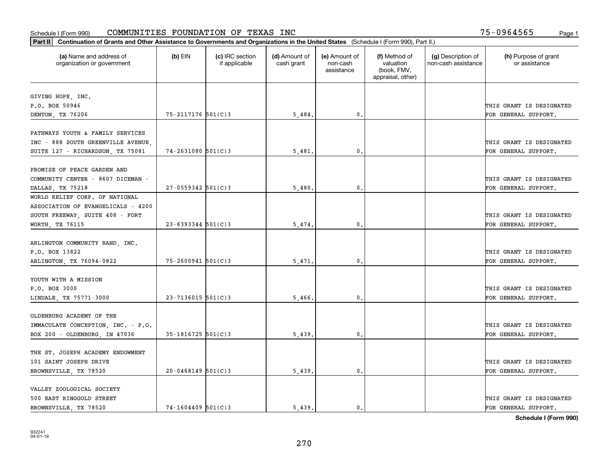| Part II   Continuation of Grants and Other Assistance to Governments and Organizations in the United States (Schedule I (Form 990), Part II.) |                        |                                  |                             |                                         |                                                                |                                           |                                       |
|-----------------------------------------------------------------------------------------------------------------------------------------------|------------------------|----------------------------------|-----------------------------|-----------------------------------------|----------------------------------------------------------------|-------------------------------------------|---------------------------------------|
| (a) Name and address of<br>organization or government                                                                                         | $(b)$ EIN              | (c) IRC section<br>if applicable | (d) Amount of<br>cash grant | (e) Amount of<br>non-cash<br>assistance | (f) Method of<br>valuation<br>(book, FMV,<br>appraisal, other) | (g) Description of<br>non-cash assistance | (h) Purpose of grant<br>or assistance |
|                                                                                                                                               |                        |                                  |                             |                                         |                                                                |                                           |                                       |
| GIVING HOPE, INC.<br>P.O. BOX 50946                                                                                                           |                        |                                  |                             |                                         |                                                                |                                           | THIS GRANT IS DESIGNATED              |
| DENTON, TX 76206                                                                                                                              | 75-2117176 501(C)3     |                                  | 5,484.                      | 0.                                      |                                                                |                                           | FOR GENERAL SUPPORT.                  |
|                                                                                                                                               |                        |                                  |                             |                                         |                                                                |                                           |                                       |
| PATHWAYS YOUTH & FAMILY SERVICES                                                                                                              |                        |                                  |                             |                                         |                                                                |                                           |                                       |
| INC - 888 SOUTH GREENVILLE AVENUE,                                                                                                            |                        |                                  |                             |                                         |                                                                |                                           | THIS GRANT IS DESIGNATED              |
| SUITE 127 - RICHARDSON, TX 75081                                                                                                              | $74 - 2631080$ 501(C)3 |                                  | 5,481                       | $\mathbf{0}$                            |                                                                |                                           | FOR GENERAL SUPPORT.                  |
|                                                                                                                                               |                        |                                  |                             |                                         |                                                                |                                           |                                       |
| PROMISE OF PEACE GARDEN AND                                                                                                                   |                        |                                  |                             |                                         |                                                                |                                           |                                       |
| COMMUNITY CENTER - 8607 DICEMAN -                                                                                                             |                        |                                  |                             |                                         |                                                                |                                           | THIS GRANT IS DESIGNATED              |
| DALLAS, TX 75218<br>WORLD RELIEF CORP. OF NATIONAL                                                                                            | $27 - 0559342$ 501(C)3 |                                  | 5,480                       | $\mathbf{0}$ .                          |                                                                |                                           | FOR GENERAL SUPPORT.                  |
| ASSOCIATION OF EVANGELICALS - 4200                                                                                                            |                        |                                  |                             |                                         |                                                                |                                           |                                       |
| SOUTH FREEWAY, SUITE 408 - FORT                                                                                                               |                        |                                  |                             |                                         |                                                                |                                           | THIS GRANT IS DESIGNATED              |
| WORTH, TX 76115                                                                                                                               | $23 - 6393344$ 501(C)3 |                                  | 5,474.                      | $\mathbf{0}$                            |                                                                |                                           | FOR GENERAL SUPPORT.                  |
|                                                                                                                                               |                        |                                  |                             |                                         |                                                                |                                           |                                       |
| ARLINGTON COMMUNITY BAND, INC.                                                                                                                |                        |                                  |                             |                                         |                                                                |                                           |                                       |
| P.O. BOX 13822                                                                                                                                |                        |                                  |                             |                                         |                                                                |                                           | THIS GRANT IS DESIGNATED              |
| ARLINGTON, TX 76094-0822                                                                                                                      | $75 - 2600941$ 501(C)3 |                                  | 5,471                       | $\mathbf{0}$                            |                                                                |                                           | FOR GENERAL SUPPORT.                  |
|                                                                                                                                               |                        |                                  |                             |                                         |                                                                |                                           |                                       |
| YOUTH WITH A MISSION                                                                                                                          |                        |                                  |                             |                                         |                                                                |                                           |                                       |
| P.O. BOX 3000                                                                                                                                 |                        |                                  |                             |                                         |                                                                |                                           | THIS GRANT IS DESIGNATED              |
| LINDALE, TX 75771-3000                                                                                                                        | $23 - 7136015$ 501(C)3 |                                  | 5,466.                      | $\mathbf{0}$                            |                                                                |                                           | FOR GENERAL SUPPORT.                  |
| OLDENBURG ACADEMY OF THE                                                                                                                      |                        |                                  |                             |                                         |                                                                |                                           |                                       |
| IMMACULATE CONCEPTION, INC. - P.O.                                                                                                            |                        |                                  |                             |                                         |                                                                |                                           | THIS GRANT IS DESIGNATED              |
| BOX 200 - OLDENBURG, IN 47036                                                                                                                 | $35 - 1816725$ 501(C)3 |                                  | 5,439                       | 0.                                      |                                                                |                                           | FOR GENERAL SUPPORT.                  |
|                                                                                                                                               |                        |                                  |                             |                                         |                                                                |                                           |                                       |
| THE ST. JOSEPH ACADEMY ENDOWMENT                                                                                                              |                        |                                  |                             |                                         |                                                                |                                           |                                       |
| 101 SAINT JOSEPH DRIVE                                                                                                                        |                        |                                  |                             |                                         |                                                                |                                           | THIS GRANT IS DESIGNATED              |
| BROWNSVILLE, TX 78520                                                                                                                         | $20 - 0468149$ 501(C)3 |                                  | 5,439.                      | $\mathfrak{o}$ .                        |                                                                |                                           | FOR GENERAL SUPPORT.                  |
|                                                                                                                                               |                        |                                  |                             |                                         |                                                                |                                           |                                       |
| VALLEY ZOOLOGICAL SOCIETY                                                                                                                     |                        |                                  |                             |                                         |                                                                |                                           |                                       |
| 500 EAST RINGGOLD STREET                                                                                                                      |                        |                                  |                             |                                         |                                                                |                                           | THIS GRANT IS DESIGNATED              |
| BROWNSVILLE, TX 78520                                                                                                                         | $74 - 1604409$ 501(C)3 |                                  | 5.439.                      | $\mathfrak{o}$ .                        |                                                                |                                           | FOR GENERAL SUPPORT.                  |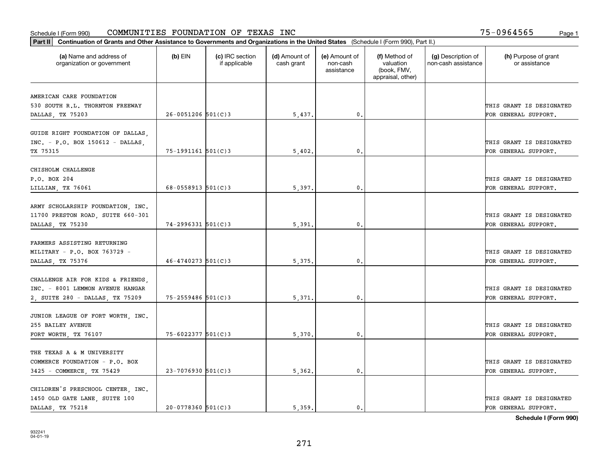| Part II   Continuation of Grants and Other Assistance to Governments and Organizations in the United States (Schedule I (Form 990), Part II.) |                          |                                  |                             |                                         |                                                                |                                           |                                       |
|-----------------------------------------------------------------------------------------------------------------------------------------------|--------------------------|----------------------------------|-----------------------------|-----------------------------------------|----------------------------------------------------------------|-------------------------------------------|---------------------------------------|
| (a) Name and address of<br>organization or government                                                                                         | $(b)$ EIN                | (c) IRC section<br>if applicable | (d) Amount of<br>cash grant | (e) Amount of<br>non-cash<br>assistance | (f) Method of<br>valuation<br>(book, FMV,<br>appraisal, other) | (g) Description of<br>non-cash assistance | (h) Purpose of grant<br>or assistance |
| AMERICAN CARE FOUNDATION                                                                                                                      |                          |                                  |                             |                                         |                                                                |                                           |                                       |
| 530 SOUTH R.L. THORNTON FREEWAY                                                                                                               |                          |                                  |                             |                                         |                                                                |                                           | THIS GRANT IS DESIGNATED              |
| DALLAS, TX 75203                                                                                                                              | $26 - 0051206$ 501(C)3   |                                  | 5,437.                      | 0.                                      |                                                                |                                           | FOR GENERAL SUPPORT.                  |
|                                                                                                                                               |                          |                                  |                             |                                         |                                                                |                                           |                                       |
| GUIDE RIGHT FOUNDATION OF DALLAS,                                                                                                             |                          |                                  |                             |                                         |                                                                |                                           |                                       |
| INC. - P.O. BOX 150612 - DALLAS,                                                                                                              |                          |                                  |                             |                                         |                                                                |                                           | THIS GRANT IS DESIGNATED              |
| TX 75315                                                                                                                                      | $75 - 1991161$ $501(C)3$ |                                  | 5,402.                      | $\mathbf{0}$                            |                                                                |                                           | FOR GENERAL SUPPORT.                  |
| CHISHOLM CHALLENGE                                                                                                                            |                          |                                  |                             |                                         |                                                                |                                           |                                       |
| P.O. BOX 204                                                                                                                                  |                          |                                  |                             |                                         |                                                                |                                           | THIS GRANT IS DESIGNATED              |
| LILLIAN, TX 76061                                                                                                                             | $68 - 0558913$ $501(C)3$ |                                  | 5,397.                      | $\mathbf{0}$ .                          |                                                                |                                           | FOR GENERAL SUPPORT.                  |
|                                                                                                                                               |                          |                                  |                             |                                         |                                                                |                                           |                                       |
| ARMY SCHOLARSHIP FOUNDATION, INC.                                                                                                             |                          |                                  |                             |                                         |                                                                |                                           |                                       |
| 11700 PRESTON ROAD, SUITE 660-301                                                                                                             |                          |                                  |                             |                                         |                                                                |                                           | THIS GRANT IS DESIGNATED              |
| DALLAS, TX 75230                                                                                                                              | $74 - 2996331$ 501(C)3   |                                  | 5,391                       | $\mathbf{0}$                            |                                                                |                                           | FOR GENERAL SUPPORT.                  |
|                                                                                                                                               |                          |                                  |                             |                                         |                                                                |                                           |                                       |
| FARMERS ASSISTING RETURNING                                                                                                                   |                          |                                  |                             |                                         |                                                                |                                           |                                       |
| MILITARY - P.O. BOX 763729 -                                                                                                                  |                          |                                  |                             |                                         |                                                                |                                           | THIS GRANT IS DESIGNATED              |
| DALLAS, TX 75376                                                                                                                              | $46 - 4740273$ 501(C)3   |                                  | 5, 375.                     | $\mathbf{0}$                            |                                                                |                                           | FOR GENERAL SUPPORT.                  |
| CHALLENGE AIR FOR KIDS & FRIENDS,                                                                                                             |                          |                                  |                             |                                         |                                                                |                                           |                                       |
| INC. - 8001 LEMMON AVENUE HANGAR                                                                                                              |                          |                                  |                             |                                         |                                                                |                                           | THIS GRANT IS DESIGNATED              |
| 2, SUITE 280 - DALLAS, TX 75209                                                                                                               | $75 - 2559486$ 501(C)3   |                                  | 5,371                       | $\mathbf{0}$                            |                                                                |                                           | FOR GENERAL SUPPORT.                  |
|                                                                                                                                               |                          |                                  |                             |                                         |                                                                |                                           |                                       |
| JUNIOR LEAGUE OF FORT WORTH, INC.                                                                                                             |                          |                                  |                             |                                         |                                                                |                                           |                                       |
| 255 BAILEY AVENUE                                                                                                                             |                          |                                  |                             |                                         |                                                                |                                           | THIS GRANT IS DESIGNATED              |
| FORT WORTH, TX 76107                                                                                                                          | 75-6022377 501(C)3       |                                  | 5,370                       | $^{\rm 0}$ .                            |                                                                |                                           | FOR GENERAL SUPPORT.                  |
|                                                                                                                                               |                          |                                  |                             |                                         |                                                                |                                           |                                       |
| THE TEXAS A & M UNIVERSITY                                                                                                                    |                          |                                  |                             |                                         |                                                                |                                           |                                       |
| COMMERCE FOUNDATION - P.O. BOX                                                                                                                |                          |                                  |                             |                                         |                                                                |                                           | THIS GRANT IS DESIGNATED              |
| 3425 - COMMERCE, TX 75429                                                                                                                     | $23 - 7076930$ 501(C)3   |                                  | 5,362.                      | $\mathfrak{o}$ .                        |                                                                |                                           | FOR GENERAL SUPPORT.                  |
|                                                                                                                                               |                          |                                  |                             |                                         |                                                                |                                           |                                       |
| CHILDREN'S PRESCHOOL CENTER. INC.<br>1450 OLD GATE LANE, SUITE 100                                                                            |                          |                                  |                             |                                         |                                                                |                                           | THIS GRANT IS DESIGNATED              |
| DALLAS, TX 75218                                                                                                                              | $20-0778360$ 501(C)3     |                                  | 5.359.                      | $\mathbf{0}$ .                          |                                                                |                                           | FOR GENERAL SUPPORT.                  |
|                                                                                                                                               |                          |                                  |                             |                                         |                                                                |                                           |                                       |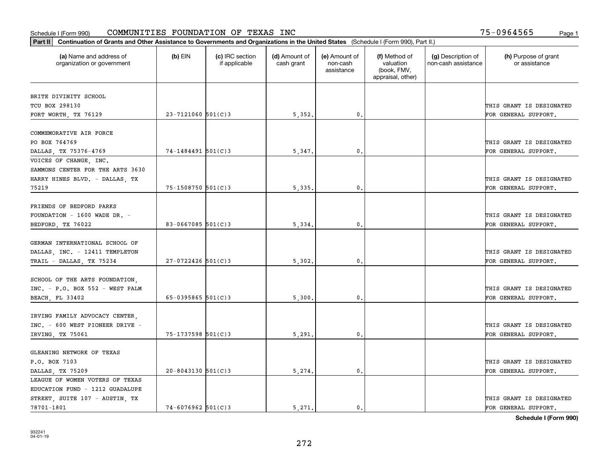| Part II   Continuation of Grants and Other Assistance to Governments and Organizations in the United States (Schedule I (Form 990), Part II.) |                        |                                  |                             |                                         |                                                                |                                           |                                       |
|-----------------------------------------------------------------------------------------------------------------------------------------------|------------------------|----------------------------------|-----------------------------|-----------------------------------------|----------------------------------------------------------------|-------------------------------------------|---------------------------------------|
| (a) Name and address of<br>organization or government                                                                                         | $(b)$ EIN              | (c) IRC section<br>if applicable | (d) Amount of<br>cash grant | (e) Amount of<br>non-cash<br>assistance | (f) Method of<br>valuation<br>(book, FMV,<br>appraisal, other) | (g) Description of<br>non-cash assistance | (h) Purpose of grant<br>or assistance |
| BRITE DIVINITY SCHOOL                                                                                                                         |                        |                                  |                             |                                         |                                                                |                                           |                                       |
| TCU BOX 298130                                                                                                                                |                        |                                  |                             |                                         |                                                                |                                           | THIS GRANT IS DESIGNATED              |
| FORT WORTH, TX 76129                                                                                                                          | $23 - 7121060$ 501(C)3 |                                  | 5,352.                      | $\mathbf 0$ .                           |                                                                |                                           | FOR GENERAL SUPPORT.                  |
|                                                                                                                                               |                        |                                  |                             |                                         |                                                                |                                           |                                       |
| COMMEMORATIVE AIR FORCE                                                                                                                       |                        |                                  |                             |                                         |                                                                |                                           |                                       |
| PO BOX 764769                                                                                                                                 |                        |                                  |                             |                                         |                                                                |                                           | THIS GRANT IS DESIGNATED              |
| DALLAS TX 75376-4769                                                                                                                          | $74 - 1484491$ 501(C)3 |                                  | 5,347.                      | 0.                                      |                                                                |                                           | FOR GENERAL SUPPORT.                  |
| VOICES OF CHANGE, INC.                                                                                                                        |                        |                                  |                             |                                         |                                                                |                                           |                                       |
| SAMMONS CENTER FOR THE ARTS 3630                                                                                                              |                        |                                  |                             |                                         |                                                                |                                           |                                       |
| HARRY HINES BLVD. - DALLAS, TX                                                                                                                |                        |                                  |                             |                                         |                                                                |                                           | THIS GRANT IS DESIGNATED              |
| 75219                                                                                                                                         | $75 - 1508750$ 501(C)3 |                                  | 5, 335.                     | $\mathbf{0}$ .                          |                                                                |                                           | FOR GENERAL SUPPORT.                  |
|                                                                                                                                               |                        |                                  |                             |                                         |                                                                |                                           |                                       |
| FRIENDS OF BEDFORD PARKS                                                                                                                      |                        |                                  |                             |                                         |                                                                |                                           |                                       |
| FOUNDATION - $1600$ WADE DR. -                                                                                                                |                        |                                  |                             |                                         |                                                                |                                           | THIS GRANT IS DESIGNATED              |
| BEDFORD, TX 76022                                                                                                                             | $83 - 0667085$ 501(C)3 |                                  | 5,334.                      | $\mathbf{0}$                            |                                                                |                                           | FOR GENERAL SUPPORT.                  |
| GERMAN INTERNATIONAL SCHOOL OF                                                                                                                |                        |                                  |                             |                                         |                                                                |                                           |                                       |
| DALLAS INC. - 12411 TEMPLETON                                                                                                                 |                        |                                  |                             |                                         |                                                                |                                           | THIS GRANT IS DESIGNATED              |
| TRAIL - DALLAS, TX 75234                                                                                                                      | $27 - 0722426$ 501(C)3 |                                  | 5,302.                      | $\mathbf{0}$                            |                                                                |                                           | FOR GENERAL SUPPORT.                  |
|                                                                                                                                               |                        |                                  |                             |                                         |                                                                |                                           |                                       |
| SCHOOL OF THE ARTS FOUNDATION.                                                                                                                |                        |                                  |                             |                                         |                                                                |                                           |                                       |
| $INC. - P.O. BOX 552 - WEST PALM$                                                                                                             |                        |                                  |                             |                                         |                                                                |                                           | THIS GRANT IS DESIGNATED              |
| <b>BEACH, FL 33402</b>                                                                                                                        | 65-0395865 $501(C)$ 3  |                                  | 5,300,                      | $\mathbf{0}$                            |                                                                |                                           | FOR GENERAL SUPPORT.                  |
|                                                                                                                                               |                        |                                  |                             |                                         |                                                                |                                           |                                       |
| IRVING FAMILY ADVOCACY CENTER,                                                                                                                |                        |                                  |                             |                                         |                                                                |                                           |                                       |
| INC. - 600 WEST PIONEER DRIVE -                                                                                                               |                        |                                  |                             |                                         |                                                                |                                           | THIS GRANT IS DESIGNATED              |
| IRVING, TX 75061                                                                                                                              | 75-1737598 501(C)3     |                                  | 5,291                       | $^{\circ}$ .                            |                                                                |                                           | FOR GENERAL SUPPORT.                  |
|                                                                                                                                               |                        |                                  |                             |                                         |                                                                |                                           |                                       |
| GLEANING NETWORK OF TEXAS                                                                                                                     |                        |                                  |                             |                                         |                                                                |                                           |                                       |
| P.O. BOX 7103                                                                                                                                 |                        |                                  |                             |                                         |                                                                |                                           | THIS GRANT IS DESIGNATED              |
| DALLAS, TX 75209                                                                                                                              | $20 - 8043130$ 501(C)3 |                                  | 5,274.                      | $\mathbf{0}$ .                          |                                                                |                                           | FOR GENERAL SUPPORT.                  |
| LEAGUE OF WOMEN VOTERS OF TEXAS                                                                                                               |                        |                                  |                             |                                         |                                                                |                                           |                                       |
| EDUCATION FUND - 1212 GUADALUPE                                                                                                               |                        |                                  |                             |                                         |                                                                |                                           |                                       |
| STREET, SUITE 107 - AUSTIN, TX                                                                                                                |                        |                                  |                             |                                         |                                                                |                                           | THIS GRANT IS DESIGNATED              |
| 78701-1801                                                                                                                                    | $74 - 6076962$ 501(C)3 |                                  | 5.271.                      | $\mathbf{0}$ .                          |                                                                |                                           | FOR GENERAL SUPPORT.                  |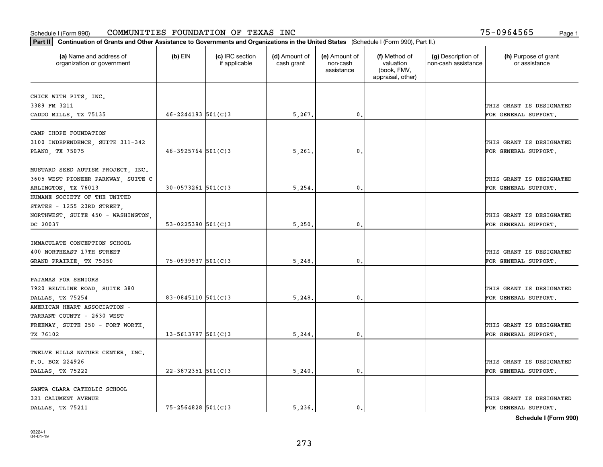| Part II   Continuation of Grants and Other Assistance to Governments and Organizations in the United States (Schedule I (Form 990), Part II.) |                         |                                  |                             |                                         |                                                                |                                           |                                       |
|-----------------------------------------------------------------------------------------------------------------------------------------------|-------------------------|----------------------------------|-----------------------------|-----------------------------------------|----------------------------------------------------------------|-------------------------------------------|---------------------------------------|
| (a) Name and address of<br>organization or government                                                                                         | $(b)$ EIN               | (c) IRC section<br>if applicable | (d) Amount of<br>cash grant | (e) Amount of<br>non-cash<br>assistance | (f) Method of<br>valuation<br>(book, FMV,<br>appraisal, other) | (g) Description of<br>non-cash assistance | (h) Purpose of grant<br>or assistance |
| CHICK WITH PITS, INC.                                                                                                                         |                         |                                  |                             |                                         |                                                                |                                           |                                       |
| 3389 FM 3211                                                                                                                                  |                         |                                  |                             |                                         |                                                                |                                           | THIS GRANT IS DESIGNATED              |
| CADDO MILLS, TX 75135                                                                                                                         | $46 - 2244193$ 501(C)3  |                                  | 5,267.                      | 0.                                      |                                                                |                                           | FOR GENERAL SUPPORT.                  |
|                                                                                                                                               |                         |                                  |                             |                                         |                                                                |                                           |                                       |
| CAMP IHOPE FOUNDATION                                                                                                                         |                         |                                  |                             |                                         |                                                                |                                           |                                       |
| 3100 INDEPENDENCE, SUITE 311-342                                                                                                              |                         |                                  |                             |                                         |                                                                |                                           | THIS GRANT IS DESIGNATED              |
| PLANO, TX 75075                                                                                                                               | $46 - 3925764$ 501(C)3  |                                  | 5,261                       | $\mathbf{0}$                            |                                                                |                                           | FOR GENERAL SUPPORT.                  |
|                                                                                                                                               |                         |                                  |                             |                                         |                                                                |                                           |                                       |
| MUSTARD SEED AUTISM PROJECT, INC.                                                                                                             |                         |                                  |                             |                                         |                                                                |                                           |                                       |
| 3605 WEST PIONEER PARKWAY, SUITE C                                                                                                            |                         |                                  |                             |                                         |                                                                |                                           | THIS GRANT IS DESIGNATED              |
| ARLINGTON, TX 76013                                                                                                                           | $30 - 0573261$ 501(C)3  |                                  | 5,254                       | $\mathbf{0}$ .                          |                                                                |                                           | FOR GENERAL SUPPORT.                  |
| HUMANE SOCIETY OF THE UNITED                                                                                                                  |                         |                                  |                             |                                         |                                                                |                                           |                                       |
| STATES - 1255 23RD STREET,                                                                                                                    |                         |                                  |                             |                                         |                                                                |                                           |                                       |
| NORTHWEST, SUITE 450 - WASHINGTON,                                                                                                            |                         |                                  |                             |                                         |                                                                |                                           | THIS GRANT IS DESIGNATED              |
| DC 20037                                                                                                                                      | 53-0225390 $501(C)3$    |                                  | 5,250.                      | $\mathbf{0}$ .                          |                                                                |                                           | FOR GENERAL SUPPORT.                  |
| IMMACULATE CONCEPTION SCHOOL                                                                                                                  |                         |                                  |                             |                                         |                                                                |                                           |                                       |
| 400 NORTHEAST 17TH STREET                                                                                                                     |                         |                                  |                             |                                         |                                                                |                                           | THIS GRANT IS DESIGNATED              |
| GRAND PRAIRIE, TX 75050                                                                                                                       | 75-0939937 501(C)3      |                                  | 5,248.                      | 0.                                      |                                                                |                                           | FOR GENERAL SUPPORT.                  |
|                                                                                                                                               |                         |                                  |                             |                                         |                                                                |                                           |                                       |
| PAJAMAS FOR SENIORS                                                                                                                           |                         |                                  |                             |                                         |                                                                |                                           |                                       |
| 7920 BELTLINE ROAD, SUITE 380                                                                                                                 |                         |                                  |                             |                                         |                                                                |                                           | THIS GRANT IS DESIGNATED              |
| DALLAS, TX 75254                                                                                                                              | 83-0845110 501(C)3      |                                  | 5,248.                      | 0.                                      |                                                                |                                           | FOR GENERAL SUPPORT.                  |
| AMERICAN HEART ASSOCIATION -                                                                                                                  |                         |                                  |                             |                                         |                                                                |                                           |                                       |
| TARRANT COUNTY - 2630 WEST                                                                                                                    |                         |                                  |                             |                                         |                                                                |                                           |                                       |
| FREEWAY, SUITE 250 - FORT WORTH,                                                                                                              |                         |                                  |                             |                                         |                                                                |                                           | THIS GRANT IS DESIGNATED              |
| TX 76102                                                                                                                                      | $13 - 5613797$ 501(C)3  |                                  | 5,244                       | $\mathfrak{o}$ .                        |                                                                |                                           | FOR GENERAL SUPPORT.                  |
|                                                                                                                                               |                         |                                  |                             |                                         |                                                                |                                           |                                       |
| TWELVE HILLS NATURE CENTER, INC.                                                                                                              |                         |                                  |                             |                                         |                                                                |                                           |                                       |
| P.O. BOX 224926                                                                                                                               |                         |                                  |                             |                                         |                                                                |                                           | THIS GRANT IS DESIGNATED              |
| DALLAS, TX 75222                                                                                                                              | $22 - 3872351$ 501(C) 3 |                                  | 5,240.                      | $\mathbf{0}$ .                          |                                                                |                                           | FOR GENERAL SUPPORT.                  |
|                                                                                                                                               |                         |                                  |                             |                                         |                                                                |                                           |                                       |
| SANTA CLARA CATHOLIC SCHOOL                                                                                                                   |                         |                                  |                             |                                         |                                                                |                                           |                                       |
| 321 CALUMENT AVENUE                                                                                                                           |                         |                                  |                             |                                         |                                                                |                                           | THIS GRANT IS DESIGNATED              |
| DALLAS, TX 75211                                                                                                                              | $75 - 2564828$ 501(C)3  |                                  | 5.236.                      | $\mathbf{0}$ .                          |                                                                |                                           | FOR GENERAL SUPPORT.                  |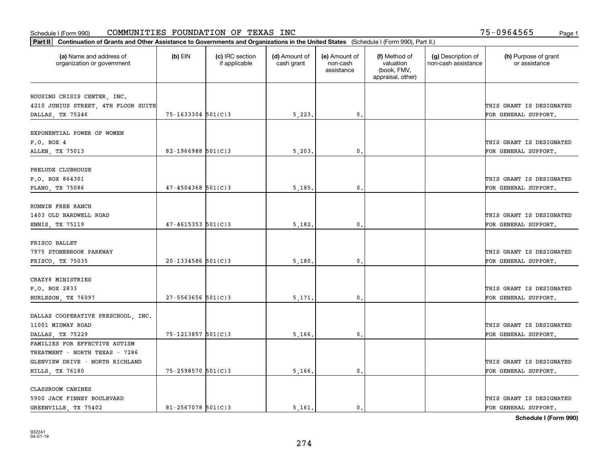| Part II   Continuation of Grants and Other Assistance to Governments and Organizations in the United States (Schedule I (Form 990), Part II.) |                          |                                  |                             |                                         |                                                                |                                           |                                       |
|-----------------------------------------------------------------------------------------------------------------------------------------------|--------------------------|----------------------------------|-----------------------------|-----------------------------------------|----------------------------------------------------------------|-------------------------------------------|---------------------------------------|
| (a) Name and address of<br>organization or government                                                                                         | $(b)$ EIN                | (c) IRC section<br>if applicable | (d) Amount of<br>cash grant | (e) Amount of<br>non-cash<br>assistance | (f) Method of<br>valuation<br>(book, FMV,<br>appraisal, other) | (g) Description of<br>non-cash assistance | (h) Purpose of grant<br>or assistance |
|                                                                                                                                               |                          |                                  |                             |                                         |                                                                |                                           |                                       |
| HOUSING CRISIS CENTER, INC.<br>4210 JUNIUS STREET, 4TH FLOOR SUITE                                                                            |                          |                                  |                             |                                         |                                                                |                                           | THIS GRANT IS DESIGNATED              |
| DALLAS, TX 75246                                                                                                                              | $75 - 1633304$ 501(C)3   |                                  | 5,223.                      | $\mathbf{0}$ .                          |                                                                |                                           | FOR GENERAL SUPPORT.                  |
|                                                                                                                                               |                          |                                  |                             |                                         |                                                                |                                           |                                       |
| EXPONENTIAL POWER OF WOMEN                                                                                                                    |                          |                                  |                             |                                         |                                                                |                                           |                                       |
| P.O. BOX 4                                                                                                                                    |                          |                                  |                             |                                         |                                                                |                                           | THIS GRANT IS DESIGNATED              |
| ALLEN, TX 75013                                                                                                                               | 82-1966988 $501(C)$ 3    |                                  | 5,203                       | 0.                                      |                                                                |                                           | FOR GENERAL SUPPORT.                  |
|                                                                                                                                               |                          |                                  |                             |                                         |                                                                |                                           |                                       |
| PRELUDE CLUBHOUSE                                                                                                                             |                          |                                  |                             |                                         |                                                                |                                           |                                       |
| P.O. BOX 864301                                                                                                                               |                          |                                  |                             |                                         |                                                                |                                           | THIS GRANT IS DESIGNATED              |
| PLANO, TX 75086                                                                                                                               | $47 - 4504368$ 501(C)3   |                                  | 5,185.                      | $\mathbf{0}$ .                          |                                                                |                                           | FOR GENERAL SUPPORT.                  |
|                                                                                                                                               |                          |                                  |                             |                                         |                                                                |                                           |                                       |
| RUNNIN FREE RANCH                                                                                                                             |                          |                                  |                             |                                         |                                                                |                                           |                                       |
| 1403 OLD BARDWELL ROAD                                                                                                                        |                          |                                  |                             |                                         |                                                                |                                           | THIS GRANT IS DESIGNATED              |
| ENNIS, TX 75119                                                                                                                               | $47 - 4615353$ $501(C)3$ |                                  | 5,182.                      | 0.                                      |                                                                |                                           | FOR GENERAL SUPPORT.                  |
|                                                                                                                                               |                          |                                  |                             |                                         |                                                                |                                           |                                       |
| FRISCO BALLET                                                                                                                                 |                          |                                  |                             |                                         |                                                                |                                           |                                       |
| 7975 STONEBROOK PARKWAY                                                                                                                       |                          |                                  |                             |                                         |                                                                |                                           | THIS GRANT IS DESIGNATED              |
| FRISCO, TX 75035                                                                                                                              | $20 - 1334586$ 501(C)3   |                                  | 5,180                       | 0.                                      |                                                                |                                           | FOR GENERAL SUPPORT.                  |
|                                                                                                                                               |                          |                                  |                             |                                         |                                                                |                                           |                                       |
| CRAZY8 MINISTRIES                                                                                                                             |                          |                                  |                             |                                         |                                                                |                                           |                                       |
| P.O. BOX 2833                                                                                                                                 |                          |                                  |                             |                                         |                                                                |                                           | THIS GRANT IS DESIGNATED              |
| BURLESON, TX 76097                                                                                                                            | $27 - 5563656$ 501(C)3   |                                  | 5,171                       | 0.                                      |                                                                |                                           | FOR GENERAL SUPPORT.                  |
| DALLAS COOPERATIVE PRESCHOOL, INC.                                                                                                            |                          |                                  |                             |                                         |                                                                |                                           |                                       |
| 11001 MIDWAY ROAD                                                                                                                             |                          |                                  |                             |                                         |                                                                |                                           | THIS GRANT IS DESIGNATED              |
| DALLAS, TX 75229                                                                                                                              | 75-1213857 501(C)3       |                                  | 5,166.                      | $\mathbf{0}$ .                          |                                                                |                                           | FOR GENERAL SUPPORT.                  |
| FAMILIES FOR EFFECTIVE AUTISM                                                                                                                 |                          |                                  |                             |                                         |                                                                |                                           |                                       |
| TREATMENT - NORTH TEXAS - 7286                                                                                                                |                          |                                  |                             |                                         |                                                                |                                           |                                       |
| GLENVIEW DRIVE - NORTH RICHLAND                                                                                                               |                          |                                  |                             |                                         |                                                                |                                           | THIS GRANT IS DESIGNATED              |
| HILLS, TX 76180                                                                                                                               | 75-2598570 501(C)3       |                                  | 5,166.                      | 0.                                      |                                                                |                                           | FOR GENERAL SUPPORT.                  |
|                                                                                                                                               |                          |                                  |                             |                                         |                                                                |                                           |                                       |
| CLASSROOM CANINES                                                                                                                             |                          |                                  |                             |                                         |                                                                |                                           |                                       |
| 5900 JACK FINNEY BOULEVARD                                                                                                                    |                          |                                  |                             |                                         |                                                                |                                           | THIS GRANT IS DESIGNATED              |
| GREENVILLE, TX 75402                                                                                                                          | $81 - 2567078$ 501(C)3   |                                  | 5.161.                      | $\mathbf{0}$ .                          |                                                                |                                           | FOR GENERAL SUPPORT.                  |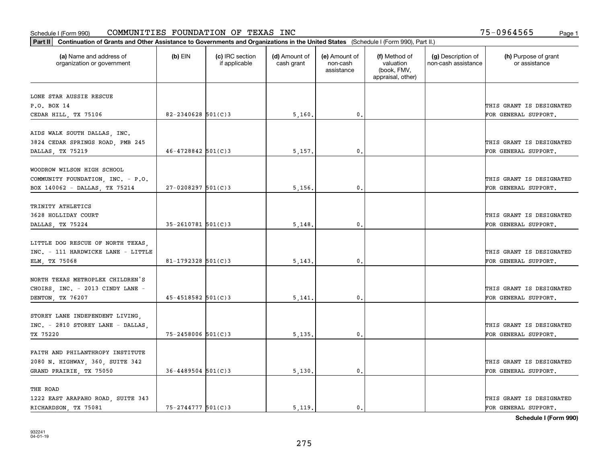| Part II   Continuation of Grants and Other Assistance to Governments and Organizations in the United States (Schedule I (Form 990), Part II.) |                         |                                  |                             |                                         |                                                                |                                           |                                       |
|-----------------------------------------------------------------------------------------------------------------------------------------------|-------------------------|----------------------------------|-----------------------------|-----------------------------------------|----------------------------------------------------------------|-------------------------------------------|---------------------------------------|
| (a) Name and address of<br>organization or government                                                                                         | $(b)$ EIN               | (c) IRC section<br>if applicable | (d) Amount of<br>cash grant | (e) Amount of<br>non-cash<br>assistance | (f) Method of<br>valuation<br>(book, FMV,<br>appraisal, other) | (g) Description of<br>non-cash assistance | (h) Purpose of grant<br>or assistance |
| LONE STAR AUSSIE RESCUE                                                                                                                       |                         |                                  |                             |                                         |                                                                |                                           |                                       |
| P.O. BOX 14                                                                                                                                   |                         |                                  |                             |                                         |                                                                |                                           | THIS GRANT IS DESIGNATED              |
| CEDAR HILL, TX 75106                                                                                                                          | $82 - 2340628$ 501(C)3  |                                  | 5,160.                      | 0.                                      |                                                                |                                           | FOR GENERAL SUPPORT.                  |
|                                                                                                                                               |                         |                                  |                             |                                         |                                                                |                                           |                                       |
| AIDS WALK SOUTH DALLAS, INC.                                                                                                                  |                         |                                  |                             |                                         |                                                                |                                           |                                       |
| 3824 CEDAR SPRINGS ROAD, PMB 245                                                                                                              |                         |                                  |                             |                                         |                                                                |                                           | THIS GRANT IS DESIGNATED              |
| DALLAS, TX 75219                                                                                                                              | $46 - 4728842$ 501(C)3  |                                  | 5,157.                      | 0.                                      |                                                                |                                           | FOR GENERAL SUPPORT.                  |
|                                                                                                                                               |                         |                                  |                             |                                         |                                                                |                                           |                                       |
| WOODROW WILSON HIGH SCHOOL                                                                                                                    |                         |                                  |                             |                                         |                                                                |                                           |                                       |
| COMMUNITY FOUNDATION, INC. - P.O.                                                                                                             |                         |                                  |                             |                                         |                                                                |                                           | THIS GRANT IS DESIGNATED              |
| BOX 140062 - DALLAS, TX 75214                                                                                                                 | $27 - 0208297$ 501(C)3  |                                  | 5,156.                      | 0.                                      |                                                                |                                           | FOR GENERAL SUPPORT.                  |
| TRINITY ATHLETICS                                                                                                                             |                         |                                  |                             |                                         |                                                                |                                           |                                       |
| 3628 HOLLIDAY COURT                                                                                                                           |                         |                                  |                             |                                         |                                                                |                                           | THIS GRANT IS DESIGNATED              |
| DALLAS, TX 75224                                                                                                                              | $35 - 2610781$ 501(C)3  |                                  | 5,148                       | 0.                                      |                                                                |                                           | FOR GENERAL SUPPORT.                  |
|                                                                                                                                               |                         |                                  |                             |                                         |                                                                |                                           |                                       |
| LITTLE DOG RESCUE OF NORTH TEXAS,                                                                                                             |                         |                                  |                             |                                         |                                                                |                                           |                                       |
| INC. - 111 HARDWICKE LANE - LITTLE                                                                                                            |                         |                                  |                             |                                         |                                                                |                                           | THIS GRANT IS DESIGNATED              |
| ELM, TX 75068                                                                                                                                 | 81-1792328 $501(C)$ 3   |                                  | 5,143                       | 0.                                      |                                                                |                                           | FOR GENERAL SUPPORT.                  |
|                                                                                                                                               |                         |                                  |                             |                                         |                                                                |                                           |                                       |
| NORTH TEXAS METROPLEX CHILDREN'S                                                                                                              |                         |                                  |                             |                                         |                                                                |                                           |                                       |
| CHOIRS, INC. - 2013 CINDY LANE -                                                                                                              |                         |                                  |                             |                                         |                                                                |                                           | THIS GRANT IS DESIGNATED              |
| DENTON, TX 76207                                                                                                                              | $45 - 4518582$ 501(C)3  |                                  | 5,141                       | 0.                                      |                                                                |                                           | FOR GENERAL SUPPORT.                  |
|                                                                                                                                               |                         |                                  |                             |                                         |                                                                |                                           |                                       |
| STOREY LANE INDEPENDENT LIVING,                                                                                                               |                         |                                  |                             |                                         |                                                                |                                           |                                       |
| INC. - 2810 STOREY LANE - DALLAS,                                                                                                             |                         |                                  |                             |                                         |                                                                |                                           | THIS GRANT IS DESIGNATED              |
| TX 75220                                                                                                                                      | $75 - 2458006$ 501(C)3  |                                  | 5,135,                      | $\mathbf{0}$ .                          |                                                                |                                           | FOR GENERAL SUPPORT.                  |
|                                                                                                                                               |                         |                                  |                             |                                         |                                                                |                                           |                                       |
| FAITH AND PHILANTHROPY INSTITUTE                                                                                                              |                         |                                  |                             |                                         |                                                                |                                           |                                       |
| 2080 N. HIGHWAY, 360, SUITE 342                                                                                                               |                         |                                  |                             |                                         |                                                                |                                           | THIS GRANT IS DESIGNATED              |
| GRAND PRAIRIE, TX 75050                                                                                                                       | $36 - 4489504$ 501(C) 3 |                                  | 5,130.                      | $\mathbf{0}$ .                          |                                                                |                                           | FOR GENERAL SUPPORT.                  |
| THE ROAD                                                                                                                                      |                         |                                  |                             |                                         |                                                                |                                           |                                       |
| 1222 EAST ARAPAHO ROAD, SUITE 343                                                                                                             |                         |                                  |                             |                                         |                                                                |                                           | THIS GRANT IS DESIGNATED              |
| RICHARDSON, TX 75081                                                                                                                          | $75 - 2744777$ 501(C)3  |                                  | 5.119.                      | 0.                                      |                                                                |                                           | FOR GENERAL SUPPORT.                  |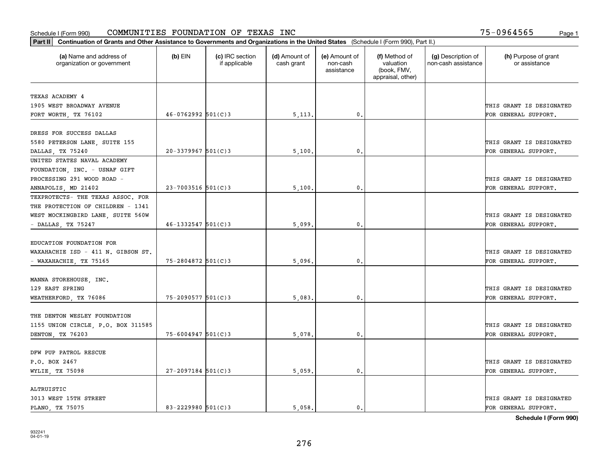| (a) Name and address of<br>$(b)$ EIN<br>(c) IRC section<br>(d) Amount of<br>(e) Amount of<br>(f) Method of<br>(g) Description of<br>(h) Purpose of grant<br>valuation<br>non-cash assistance<br>or assistance<br>organization or government<br>if applicable<br>cash grant<br>non-cash<br>(book, FMV,<br>assistance<br>appraisal, other)<br>TEXAS ACADEMY 4<br>THIS GRANT IS DESIGNATED<br>1905 WEST BROADWAY AVENUE<br>$46 - 0762992$ 501(C)3<br>$\mathbf{0}$ .<br>FORT WORTH, TX 76102<br>5,113.<br>FOR GENERAL SUPPORT.<br>DRESS FOR SUCCESS DALLAS<br>5580 PETERSON LANE, SUITE 155<br>THIS GRANT IS DESIGNATED<br>$20 - 3379967$ 501(C)3<br>0.<br>DALLAS, TX 75240<br>5,100<br>FOR GENERAL SUPPORT.<br>UNITED STATES NAVAL ACADEMY<br>FOUNDATION, INC. - USNAF GIFT<br>PROCESSING 291 WOOD ROAD -<br>THIS GRANT IS DESIGNATED<br>$23 - 7003516$ 501(C)3<br>$^{\circ}$ .<br>FOR GENERAL SUPPORT.<br>5,100<br>ANNAPOLIS, MD 21402<br>TEXPROTECTS- THE TEXAS ASSOC. FOR<br>THE PROTECTION OF CHILDREN - 1341<br>WEST MOCKINGBIRD LANE, SUITE 560W<br>THIS GRANT IS DESIGNATED<br>$46 - 1332547$ 501(C)3<br>- DALLAS, TX 75247<br>5,099<br>0.<br>FOR GENERAL SUPPORT.<br>EDUCATION FOUNDATION FOR<br>THIS GRANT IS DESIGNATED<br>WAXAHACHIE ISD - 411 N. GIBSON ST.<br>75-2804872 501(C)3<br>5,096<br>0.<br>FOR GENERAL SUPPORT.<br>- WAXAHACHIE, TX 75165<br>MANNA STOREHOUSE, INC.<br>129 EAST SPRING<br>THIS GRANT IS DESIGNATED<br>$75 - 2090577$ 501(C)3<br>0.<br>WEATHERFORD, TX 76086<br>5,083<br>FOR GENERAL SUPPORT.<br>THE DENTON WESLEY FOUNDATION<br>THIS GRANT IS DESIGNATED |  |
|--------------------------------------------------------------------------------------------------------------------------------------------------------------------------------------------------------------------------------------------------------------------------------------------------------------------------------------------------------------------------------------------------------------------------------------------------------------------------------------------------------------------------------------------------------------------------------------------------------------------------------------------------------------------------------------------------------------------------------------------------------------------------------------------------------------------------------------------------------------------------------------------------------------------------------------------------------------------------------------------------------------------------------------------------------------------------------------------------------------------------------------------------------------------------------------------------------------------------------------------------------------------------------------------------------------------------------------------------------------------------------------------------------------------------------------------------------------------------------------------------------------------------------------------------------------------------------------------|--|
| 1155 UNION CIRCLE, P.O. BOX 311585                                                                                                                                                                                                                                                                                                                                                                                                                                                                                                                                                                                                                                                                                                                                                                                                                                                                                                                                                                                                                                                                                                                                                                                                                                                                                                                                                                                                                                                                                                                                                         |  |
|                                                                                                                                                                                                                                                                                                                                                                                                                                                                                                                                                                                                                                                                                                                                                                                                                                                                                                                                                                                                                                                                                                                                                                                                                                                                                                                                                                                                                                                                                                                                                                                            |  |
|                                                                                                                                                                                                                                                                                                                                                                                                                                                                                                                                                                                                                                                                                                                                                                                                                                                                                                                                                                                                                                                                                                                                                                                                                                                                                                                                                                                                                                                                                                                                                                                            |  |
|                                                                                                                                                                                                                                                                                                                                                                                                                                                                                                                                                                                                                                                                                                                                                                                                                                                                                                                                                                                                                                                                                                                                                                                                                                                                                                                                                                                                                                                                                                                                                                                            |  |
|                                                                                                                                                                                                                                                                                                                                                                                                                                                                                                                                                                                                                                                                                                                                                                                                                                                                                                                                                                                                                                                                                                                                                                                                                                                                                                                                                                                                                                                                                                                                                                                            |  |
|                                                                                                                                                                                                                                                                                                                                                                                                                                                                                                                                                                                                                                                                                                                                                                                                                                                                                                                                                                                                                                                                                                                                                                                                                                                                                                                                                                                                                                                                                                                                                                                            |  |
|                                                                                                                                                                                                                                                                                                                                                                                                                                                                                                                                                                                                                                                                                                                                                                                                                                                                                                                                                                                                                                                                                                                                                                                                                                                                                                                                                                                                                                                                                                                                                                                            |  |
|                                                                                                                                                                                                                                                                                                                                                                                                                                                                                                                                                                                                                                                                                                                                                                                                                                                                                                                                                                                                                                                                                                                                                                                                                                                                                                                                                                                                                                                                                                                                                                                            |  |
|                                                                                                                                                                                                                                                                                                                                                                                                                                                                                                                                                                                                                                                                                                                                                                                                                                                                                                                                                                                                                                                                                                                                                                                                                                                                                                                                                                                                                                                                                                                                                                                            |  |
|                                                                                                                                                                                                                                                                                                                                                                                                                                                                                                                                                                                                                                                                                                                                                                                                                                                                                                                                                                                                                                                                                                                                                                                                                                                                                                                                                                                                                                                                                                                                                                                            |  |
|                                                                                                                                                                                                                                                                                                                                                                                                                                                                                                                                                                                                                                                                                                                                                                                                                                                                                                                                                                                                                                                                                                                                                                                                                                                                                                                                                                                                                                                                                                                                                                                            |  |
|                                                                                                                                                                                                                                                                                                                                                                                                                                                                                                                                                                                                                                                                                                                                                                                                                                                                                                                                                                                                                                                                                                                                                                                                                                                                                                                                                                                                                                                                                                                                                                                            |  |
|                                                                                                                                                                                                                                                                                                                                                                                                                                                                                                                                                                                                                                                                                                                                                                                                                                                                                                                                                                                                                                                                                                                                                                                                                                                                                                                                                                                                                                                                                                                                                                                            |  |
|                                                                                                                                                                                                                                                                                                                                                                                                                                                                                                                                                                                                                                                                                                                                                                                                                                                                                                                                                                                                                                                                                                                                                                                                                                                                                                                                                                                                                                                                                                                                                                                            |  |
|                                                                                                                                                                                                                                                                                                                                                                                                                                                                                                                                                                                                                                                                                                                                                                                                                                                                                                                                                                                                                                                                                                                                                                                                                                                                                                                                                                                                                                                                                                                                                                                            |  |
|                                                                                                                                                                                                                                                                                                                                                                                                                                                                                                                                                                                                                                                                                                                                                                                                                                                                                                                                                                                                                                                                                                                                                                                                                                                                                                                                                                                                                                                                                                                                                                                            |  |
|                                                                                                                                                                                                                                                                                                                                                                                                                                                                                                                                                                                                                                                                                                                                                                                                                                                                                                                                                                                                                                                                                                                                                                                                                                                                                                                                                                                                                                                                                                                                                                                            |  |
|                                                                                                                                                                                                                                                                                                                                                                                                                                                                                                                                                                                                                                                                                                                                                                                                                                                                                                                                                                                                                                                                                                                                                                                                                                                                                                                                                                                                                                                                                                                                                                                            |  |
|                                                                                                                                                                                                                                                                                                                                                                                                                                                                                                                                                                                                                                                                                                                                                                                                                                                                                                                                                                                                                                                                                                                                                                                                                                                                                                                                                                                                                                                                                                                                                                                            |  |
|                                                                                                                                                                                                                                                                                                                                                                                                                                                                                                                                                                                                                                                                                                                                                                                                                                                                                                                                                                                                                                                                                                                                                                                                                                                                                                                                                                                                                                                                                                                                                                                            |  |
|                                                                                                                                                                                                                                                                                                                                                                                                                                                                                                                                                                                                                                                                                                                                                                                                                                                                                                                                                                                                                                                                                                                                                                                                                                                                                                                                                                                                                                                                                                                                                                                            |  |
|                                                                                                                                                                                                                                                                                                                                                                                                                                                                                                                                                                                                                                                                                                                                                                                                                                                                                                                                                                                                                                                                                                                                                                                                                                                                                                                                                                                                                                                                                                                                                                                            |  |
|                                                                                                                                                                                                                                                                                                                                                                                                                                                                                                                                                                                                                                                                                                                                                                                                                                                                                                                                                                                                                                                                                                                                                                                                                                                                                                                                                                                                                                                                                                                                                                                            |  |
|                                                                                                                                                                                                                                                                                                                                                                                                                                                                                                                                                                                                                                                                                                                                                                                                                                                                                                                                                                                                                                                                                                                                                                                                                                                                                                                                                                                                                                                                                                                                                                                            |  |
|                                                                                                                                                                                                                                                                                                                                                                                                                                                                                                                                                                                                                                                                                                                                                                                                                                                                                                                                                                                                                                                                                                                                                                                                                                                                                                                                                                                                                                                                                                                                                                                            |  |
|                                                                                                                                                                                                                                                                                                                                                                                                                                                                                                                                                                                                                                                                                                                                                                                                                                                                                                                                                                                                                                                                                                                                                                                                                                                                                                                                                                                                                                                                                                                                                                                            |  |
|                                                                                                                                                                                                                                                                                                                                                                                                                                                                                                                                                                                                                                                                                                                                                                                                                                                                                                                                                                                                                                                                                                                                                                                                                                                                                                                                                                                                                                                                                                                                                                                            |  |
| $75 - 6004947$ 501(C)3<br>$^{\circ}$ .<br>FOR GENERAL SUPPORT.<br>DENTON, TX 76203<br>5,078                                                                                                                                                                                                                                                                                                                                                                                                                                                                                                                                                                                                                                                                                                                                                                                                                                                                                                                                                                                                                                                                                                                                                                                                                                                                                                                                                                                                                                                                                                |  |
|                                                                                                                                                                                                                                                                                                                                                                                                                                                                                                                                                                                                                                                                                                                                                                                                                                                                                                                                                                                                                                                                                                                                                                                                                                                                                                                                                                                                                                                                                                                                                                                            |  |
| DFW PUP PATROL RESCUE                                                                                                                                                                                                                                                                                                                                                                                                                                                                                                                                                                                                                                                                                                                                                                                                                                                                                                                                                                                                                                                                                                                                                                                                                                                                                                                                                                                                                                                                                                                                                                      |  |
| P.O. BOX 2467<br>THIS GRANT IS DESIGNATED                                                                                                                                                                                                                                                                                                                                                                                                                                                                                                                                                                                                                                                                                                                                                                                                                                                                                                                                                                                                                                                                                                                                                                                                                                                                                                                                                                                                                                                                                                                                                  |  |
| $27 - 2097184$ 501(C)3<br>5,059<br>WYLIE, TX 75098<br>0.<br>FOR GENERAL SUPPORT.                                                                                                                                                                                                                                                                                                                                                                                                                                                                                                                                                                                                                                                                                                                                                                                                                                                                                                                                                                                                                                                                                                                                                                                                                                                                                                                                                                                                                                                                                                           |  |
|                                                                                                                                                                                                                                                                                                                                                                                                                                                                                                                                                                                                                                                                                                                                                                                                                                                                                                                                                                                                                                                                                                                                                                                                                                                                                                                                                                                                                                                                                                                                                                                            |  |
| ALTRUISTIC                                                                                                                                                                                                                                                                                                                                                                                                                                                                                                                                                                                                                                                                                                                                                                                                                                                                                                                                                                                                                                                                                                                                                                                                                                                                                                                                                                                                                                                                                                                                                                                 |  |
| 3013 WEST 15TH STREET<br>THIS GRANT IS DESIGNATED                                                                                                                                                                                                                                                                                                                                                                                                                                                                                                                                                                                                                                                                                                                                                                                                                                                                                                                                                                                                                                                                                                                                                                                                                                                                                                                                                                                                                                                                                                                                          |  |
| $83 - 2229980$ 501(C)3<br>PLANO, TX 75075<br>5,058.<br>$\mathbf{0}$ .<br>FOR GENERAL SUPPORT.                                                                                                                                                                                                                                                                                                                                                                                                                                                                                                                                                                                                                                                                                                                                                                                                                                                                                                                                                                                                                                                                                                                                                                                                                                                                                                                                                                                                                                                                                              |  |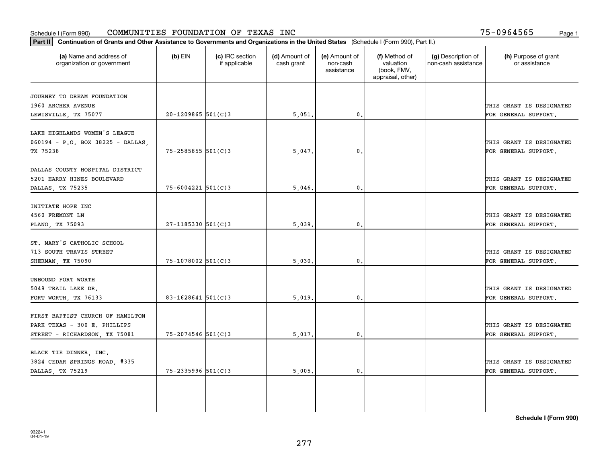#### Schedule I (Form 990) Page 1 COMMUNITIES FOUNDATION OF TEXAS INC

75-0964565

| Part II   Continuation of Grants and Other Assistance to Governments and Organizations in the United States (Schedule I (Form 990), Part II.) |                        |                                  |                             |                                         |                                                                |                                           |                                       |
|-----------------------------------------------------------------------------------------------------------------------------------------------|------------------------|----------------------------------|-----------------------------|-----------------------------------------|----------------------------------------------------------------|-------------------------------------------|---------------------------------------|
| (a) Name and address of<br>organization or government                                                                                         | $(b)$ EIN              | (c) IRC section<br>if applicable | (d) Amount of<br>cash grant | (e) Amount of<br>non-cash<br>assistance | (f) Method of<br>valuation<br>(book, FMV,<br>appraisal, other) | (g) Description of<br>non-cash assistance | (h) Purpose of grant<br>or assistance |
|                                                                                                                                               |                        |                                  |                             |                                         |                                                                |                                           |                                       |
| JOURNEY TO DREAM FOUNDATION<br>1960 ARCHER AVENUE                                                                                             |                        |                                  |                             |                                         |                                                                |                                           | THIS GRANT IS DESIGNATED              |
| LEWISVILLE, TX 75077                                                                                                                          | $20 - 1209865$ 501(C)3 |                                  | 5,051.                      | 0.                                      |                                                                |                                           | FOR GENERAL SUPPORT.                  |
|                                                                                                                                               |                        |                                  |                             |                                         |                                                                |                                           |                                       |
| LAKE HIGHLANDS WOMEN'S LEAGUE                                                                                                                 |                        |                                  |                             |                                         |                                                                |                                           |                                       |
| 060194 - P.O. BOX 38225 - DALLAS,                                                                                                             |                        |                                  |                             |                                         |                                                                |                                           | THIS GRANT IS DESIGNATED              |
| TX 75238                                                                                                                                      | 75-2585855 501(C)3     |                                  | 5,047.                      | $\mathfrak o$ .                         |                                                                |                                           | FOR GENERAL SUPPORT.                  |
|                                                                                                                                               |                        |                                  |                             |                                         |                                                                |                                           |                                       |
| DALLAS COUNTY HOSPITAL DISTRICT                                                                                                               |                        |                                  |                             |                                         |                                                                |                                           |                                       |
| 5201 HARRY HINES BOULEVARD                                                                                                                    |                        |                                  |                             |                                         |                                                                |                                           | THIS GRANT IS DESIGNATED              |
| DALLAS, TX 75235                                                                                                                              | $75 - 6004221$ 501(C)3 |                                  | 5.046.                      | 0.                                      |                                                                |                                           | FOR GENERAL SUPPORT.                  |
|                                                                                                                                               |                        |                                  |                             |                                         |                                                                |                                           |                                       |
| INITIATE HOPE INC                                                                                                                             |                        |                                  |                             |                                         |                                                                |                                           |                                       |
| 4560 FREMONT LN                                                                                                                               |                        |                                  |                             |                                         |                                                                |                                           | THIS GRANT IS DESIGNATED              |
| PLANO, TX 75093                                                                                                                               | $27 - 1185330$ 501(C)3 |                                  | 5,039.                      | $\mathbf{0}$ .                          |                                                                |                                           | FOR GENERAL SUPPORT.                  |
| ST. MARY'S CATHOLIC SCHOOL                                                                                                                    |                        |                                  |                             |                                         |                                                                |                                           |                                       |
| 713 SOUTH TRAVIS STREET                                                                                                                       |                        |                                  |                             |                                         |                                                                |                                           | THIS GRANT IS DESIGNATED              |
| SHERMAN, TX 75090                                                                                                                             | $75 - 1078002$ 501(C)3 |                                  | 5,030.                      | 0.                                      |                                                                |                                           | FOR GENERAL SUPPORT.                  |
|                                                                                                                                               |                        |                                  |                             |                                         |                                                                |                                           |                                       |
| UNBOUND FORT WORTH                                                                                                                            |                        |                                  |                             |                                         |                                                                |                                           |                                       |
| 5049 TRAIL LAKE DR.                                                                                                                           |                        |                                  |                             |                                         |                                                                |                                           | THIS GRANT IS DESIGNATED              |
| FORT WORTH, TX 76133                                                                                                                          | 83-1628641 $501(C)$ 3  |                                  | 5,019                       | $\mathbf{0}$                            |                                                                |                                           | FOR GENERAL SUPPORT.                  |
|                                                                                                                                               |                        |                                  |                             |                                         |                                                                |                                           |                                       |
| FIRST BAPTIST CHURCH OF HAMILTON                                                                                                              |                        |                                  |                             |                                         |                                                                |                                           |                                       |
| PARK TEXAS - 300 E. PHILLIPS                                                                                                                  |                        |                                  |                             |                                         |                                                                |                                           | THIS GRANT IS DESIGNATED              |
| STREET - RICHARDSON, TX 75081                                                                                                                 | 75-2074546 501(C)3     |                                  | 5,017.                      | 0.                                      |                                                                |                                           | FOR GENERAL SUPPORT.                  |
|                                                                                                                                               |                        |                                  |                             |                                         |                                                                |                                           |                                       |
| BLACK TIE DINNER, INC.                                                                                                                        |                        |                                  |                             |                                         |                                                                |                                           |                                       |
| 3824 CEDAR SPRINGS ROAD, #335                                                                                                                 |                        |                                  |                             |                                         |                                                                |                                           | THIS GRANT IS DESIGNATED              |
| DALLAS, TX 75219                                                                                                                              | 75-2335996 501(C)3     |                                  | 5,005.                      | $\mathbf{0}$ .                          |                                                                |                                           | FOR GENERAL SUPPORT.                  |
|                                                                                                                                               |                        |                                  |                             |                                         |                                                                |                                           |                                       |
|                                                                                                                                               |                        |                                  |                             |                                         |                                                                |                                           |                                       |
|                                                                                                                                               |                        |                                  |                             |                                         |                                                                |                                           |                                       |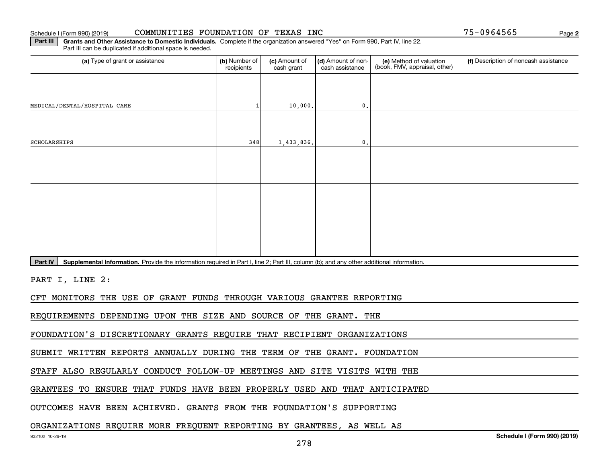#### Schedule I (Form 990) (2019) CO**MMUNITIES FOUNDATION OF TEXAS INC** Page

**2**

**Part III** | Grants and Other Assistance to Domestic Individuals. Complete if the organization answered "Yes" on Form 990, Part IV, line 22. Part III can be duplicated if additional space is needed.

| (a) Type of grant or assistance                                                                                                                      | (b) Number of<br>recipients | (c) Amount of<br>cash grant | (d) Amount of non-<br>cash assistance | (e) Method of valuation<br>(book, FMV, appraisal, other) | (f) Description of noncash assistance |  |  |  |
|------------------------------------------------------------------------------------------------------------------------------------------------------|-----------------------------|-----------------------------|---------------------------------------|----------------------------------------------------------|---------------------------------------|--|--|--|
|                                                                                                                                                      |                             |                             |                                       |                                                          |                                       |  |  |  |
| MEDICAL/DENTAL/HOSPITAL CARE                                                                                                                         | $\mathbf{1}$                | 10,000.                     | 0.                                    |                                                          |                                       |  |  |  |
|                                                                                                                                                      |                             |                             |                                       |                                                          |                                       |  |  |  |
| SCHOLARSHIPS                                                                                                                                         | 348                         | 1,433,836.                  | 0.                                    |                                                          |                                       |  |  |  |
|                                                                                                                                                      |                             |                             |                                       |                                                          |                                       |  |  |  |
|                                                                                                                                                      |                             |                             |                                       |                                                          |                                       |  |  |  |
|                                                                                                                                                      |                             |                             |                                       |                                                          |                                       |  |  |  |
|                                                                                                                                                      |                             |                             |                                       |                                                          |                                       |  |  |  |
|                                                                                                                                                      |                             |                             |                                       |                                                          |                                       |  |  |  |
|                                                                                                                                                      |                             |                             |                                       |                                                          |                                       |  |  |  |
| Supplemental Information. Provide the information required in Part I, line 2; Part III, column (b); and any other additional information.<br>Part IV |                             |                             |                                       |                                                          |                                       |  |  |  |
| PART I, LINE 2:                                                                                                                                      |                             |                             |                                       |                                                          |                                       |  |  |  |
| CFT MONITORS THE USE OF GRANT FUNDS THROUGH VARIOUS GRANTEE REPORTING                                                                                |                             |                             |                                       |                                                          |                                       |  |  |  |
| REQUIREMENTS DEPENDING UPON THE SIZE AND SOURCE OF THE GRANT. THE                                                                                    |                             |                             |                                       |                                                          |                                       |  |  |  |
| FOUNDATION'S DISCRETIONARY GRANTS REQUIRE THAT RECIPIENT ORGANIZATIONS                                                                               |                             |                             |                                       |                                                          |                                       |  |  |  |
| SUBMIT WRITTEN REPORTS ANNUALLY DURING THE TERM OF THE GRANT. FOUNDATION                                                                             |                             |                             |                                       |                                                          |                                       |  |  |  |

STAFF ALSO REGULARLY CONDUCT FOLLOW-UP MEETINGS AND SITE VISITS WITH THE

GRANTEES TO ENSURE THAT FUNDS HAVE BEEN PROPERLY USED AND THAT ANTICIPATED

OUTCOMES HAVE BEEN ACHIEVED. GRANTS FROM THE FOUNDATION'S SUPPORTING

ORGANIZATIONS REQUIRE MORE FREQUENT REPORTING BY GRANTEES, AS WELL AS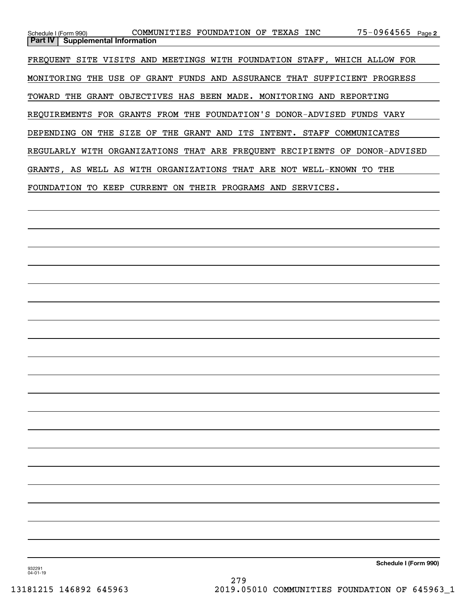| Schedule I (Form 990) COMMUNITIES FOUNDATION OF TEXAS INC                |            |                    |                  | $75 - 0964565$ Page 2                                                      |
|--------------------------------------------------------------------------|------------|--------------------|------------------|----------------------------------------------------------------------------|
| <b>Part IV</b><br><b>Supplemental Information</b>                        |            |                    |                  |                                                                            |
|                                                                          |            |                    |                  |                                                                            |
| FREOUENT SITE VISITS AND MEETINGS WITH FOUNDATION STAFF, WHICH ALLOW FOR |            |                    |                  |                                                                            |
|                                                                          |            |                    |                  |                                                                            |
| THE<br>MONITORING                                                        |            |                    |                  | USE OF GRANT FUNDS AND ASSURANCE THAT SUFFICIENT PROGRESS                  |
| TOWARD THE GRANT OBJECTIVES HAS BEEN MADE. MONITORING AND REPORTING      |            |                    |                  |                                                                            |
|                                                                          |            |                    |                  |                                                                            |
| REQUIREMENTS FOR GRANTS FROM THE FOUNDATION'S DONOR-ADVISED FUNDS VARY   |            |                    |                  |                                                                            |
|                                                                          |            |                    |                  |                                                                            |
| THE SIZE<br>DEPENDING<br>ON.                                             | OF         | THE GRANT AND ITS  | STAFF<br>INTENT. | COMMUNICATES                                                               |
|                                                                          |            |                    |                  |                                                                            |
|                                                                          |            |                    |                  | REGULARLY WITH ORGANIZATIONS THAT ARE FREOUENT RECIPIENTS OF DONOR-ADVISED |
|                                                                          |            |                    |                  |                                                                            |
| GRANTS, AS WELL AS WITH ORGANIZATIONS THAT ARE NOT WELL-KNOWN TO         |            |                    |                  | THE                                                                        |
|                                                                          |            |                    |                  |                                                                            |
| FOUNDATION<br>TO.<br>KEEP                                                | CURRENT ON | THEIR PROGRAMS AND | SERVICES.        |                                                                            |
|                                                                          |            |                    |                  |                                                                            |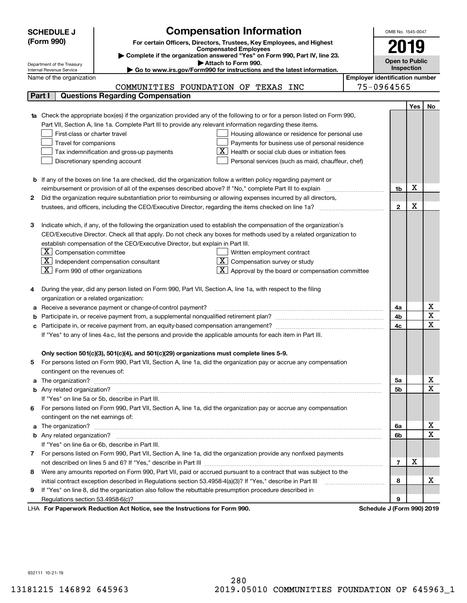|    | <b>SCHEDULE J</b>                                                                          | <b>Compensation Information</b>                                                                                                                                                                                                     |                                       | OMB No. 1545-0047     |      |                                     |  |
|----|--------------------------------------------------------------------------------------------|-------------------------------------------------------------------------------------------------------------------------------------------------------------------------------------------------------------------------------------|---------------------------------------|-----------------------|------|-------------------------------------|--|
|    | (Form 990)                                                                                 | For certain Officers, Directors, Trustees, Key Employees, and Highest                                                                                                                                                               |                                       |                       | 2019 |                                     |  |
|    |                                                                                            | <b>Compensated Employees</b>                                                                                                                                                                                                        |                                       |                       |      |                                     |  |
|    |                                                                                            | Complete if the organization answered "Yes" on Form 990, Part IV, line 23.<br>Attach to Form 990.                                                                                                                                   |                                       | <b>Open to Public</b> |      |                                     |  |
|    | Department of the Treasury<br>Internal Revenue Service                                     | Go to www.irs.gov/Form990 for instructions and the latest information.                                                                                                                                                              |                                       | Inspection            |      |                                     |  |
|    | Name of the organization                                                                   |                                                                                                                                                                                                                                     | <b>Employer identification number</b> |                       |      |                                     |  |
|    |                                                                                            | COMMUNITIES FOUNDATION OF TEXAS INC                                                                                                                                                                                                 |                                       | 75-0964565            |      |                                     |  |
|    | Part I                                                                                     | <b>Questions Regarding Compensation</b>                                                                                                                                                                                             |                                       |                       |      |                                     |  |
|    |                                                                                            |                                                                                                                                                                                                                                     |                                       |                       | Yes  | No                                  |  |
|    |                                                                                            | 1a Check the appropriate box(es) if the organization provided any of the following to or for a person listed on Form 990,                                                                                                           |                                       |                       |      |                                     |  |
|    |                                                                                            | Part VII, Section A, line 1a. Complete Part III to provide any relevant information regarding these items.                                                                                                                          |                                       |                       |      |                                     |  |
|    | First-class or charter travel                                                              | Housing allowance or residence for personal use                                                                                                                                                                                     |                                       |                       |      |                                     |  |
|    | Travel for companions                                                                      | Payments for business use of personal residence                                                                                                                                                                                     |                                       |                       |      |                                     |  |
|    | Health or social club dues or initiation fees<br>Tax indemnification and gross-up payments |                                                                                                                                                                                                                                     |                                       |                       |      |                                     |  |
|    |                                                                                            | Discretionary spending account<br>Personal services (such as maid, chauffeur, chef)                                                                                                                                                 |                                       |                       |      |                                     |  |
|    |                                                                                            |                                                                                                                                                                                                                                     |                                       |                       |      |                                     |  |
|    |                                                                                            | <b>b</b> If any of the boxes on line 1a are checked, did the organization follow a written policy regarding payment or                                                                                                              |                                       |                       | х    |                                     |  |
|    |                                                                                            | reimbursement or provision of all of the expenses described above? If "No," complete Part III to explain                                                                                                                            |                                       | 1b                    |      |                                     |  |
| 2  |                                                                                            | Did the organization require substantiation prior to reimbursing or allowing expenses incurred by all directors,                                                                                                                    |                                       | $\mathbf 2$           | X    |                                     |  |
|    |                                                                                            |                                                                                                                                                                                                                                     |                                       |                       |      |                                     |  |
| З  |                                                                                            | Indicate which, if any, of the following the organization used to establish the compensation of the organization's                                                                                                                  |                                       |                       |      |                                     |  |
|    |                                                                                            | CEO/Executive Director. Check all that apply. Do not check any boxes for methods used by a related organization to                                                                                                                  |                                       |                       |      |                                     |  |
|    |                                                                                            | establish compensation of the CEO/Executive Director, but explain in Part III.                                                                                                                                                      |                                       |                       |      |                                     |  |
|    | $\lfloor \texttt{X} \rfloor$ Compensation committee                                        | Written employment contract                                                                                                                                                                                                         |                                       |                       |      |                                     |  |
|    |                                                                                            | $ \mathbf{X} $ Independent compensation consultant<br>$X$ Compensation survey or study                                                                                                                                              |                                       |                       |      |                                     |  |
|    | $\boxed{\textbf{X}}$ Form 990 of other organizations                                       | $\mathbf{X}$ Approval by the board or compensation committee                                                                                                                                                                        |                                       |                       |      |                                     |  |
|    |                                                                                            |                                                                                                                                                                                                                                     |                                       |                       |      |                                     |  |
|    |                                                                                            | During the year, did any person listed on Form 990, Part VII, Section A, line 1a, with respect to the filing                                                                                                                        |                                       |                       |      |                                     |  |
|    | organization or a related organization:                                                    |                                                                                                                                                                                                                                     |                                       |                       |      |                                     |  |
|    |                                                                                            | Receive a severance payment or change-of-control payment?                                                                                                                                                                           |                                       | 4a                    |      | x                                   |  |
|    |                                                                                            |                                                                                                                                                                                                                                     |                                       | 4b                    |      | $\overline{\mathtt{x}}$             |  |
|    |                                                                                            |                                                                                                                                                                                                                                     |                                       | 4c                    |      | $\overline{\mathbf{x}}$             |  |
|    |                                                                                            | If "Yes" to any of lines 4a-c, list the persons and provide the applicable amounts for each item in Part III.                                                                                                                       |                                       |                       |      |                                     |  |
|    |                                                                                            |                                                                                                                                                                                                                                     |                                       |                       |      |                                     |  |
|    |                                                                                            | Only section 501(c)(3), 501(c)(4), and 501(c)(29) organizations must complete lines 5-9.                                                                                                                                            |                                       |                       |      |                                     |  |
| 5  |                                                                                            | For persons listed on Form 990, Part VII, Section A, line 1a, did the organization pay or accrue any compensation                                                                                                                   |                                       |                       |      |                                     |  |
|    | contingent on the revenues of:                                                             |                                                                                                                                                                                                                                     |                                       |                       |      |                                     |  |
|    |                                                                                            | a The organization? <b>Entitation</b> 2008 Communication of the contract of the contract of the contract of the contract of the contract of the contract of the contract of the contract of the contract of the contract of the con |                                       | 5а                    |      | <u>x</u>                            |  |
|    |                                                                                            |                                                                                                                                                                                                                                     |                                       | 5b                    |      | $\overline{\textbf{x}}$             |  |
|    |                                                                                            | If "Yes" on line 5a or 5b, describe in Part III.                                                                                                                                                                                    |                                       |                       |      |                                     |  |
| 6. |                                                                                            | For persons listed on Form 990, Part VII, Section A, line 1a, did the organization pay or accrue any compensation                                                                                                                   |                                       |                       |      |                                     |  |
|    | contingent on the net earnings of:                                                         |                                                                                                                                                                                                                                     |                                       |                       |      |                                     |  |
|    |                                                                                            |                                                                                                                                                                                                                                     |                                       | 6a                    |      | <u>x</u><br>$\overline{\textbf{x}}$ |  |
|    |                                                                                            | If "Yes" on line 6a or 6b, describe in Part III.                                                                                                                                                                                    |                                       | 6b                    |      |                                     |  |
|    |                                                                                            |                                                                                                                                                                                                                                     |                                       |                       |      |                                     |  |
|    |                                                                                            | 7 For persons listed on Form 990, Part VII, Section A, line 1a, did the organization provide any nonfixed payments                                                                                                                  |                                       | $\overline{7}$        | х    |                                     |  |
| 8  |                                                                                            | Were any amounts reported on Form 990, Part VII, paid or accrued pursuant to a contract that was subject to the                                                                                                                     |                                       |                       |      |                                     |  |
|    |                                                                                            | initial contract exception described in Regulations section 53.4958-4(a)(3)? If "Yes," describe in Part III                                                                                                                         |                                       | 8                     |      | х                                   |  |
| 9  |                                                                                            | If "Yes" on line 8, did the organization also follow the rebuttable presumption procedure described in                                                                                                                              |                                       |                       |      |                                     |  |
|    |                                                                                            |                                                                                                                                                                                                                                     |                                       | 9                     |      |                                     |  |
|    |                                                                                            | duction Act Notice, needles Instructions for Form 000                                                                                                                                                                               |                                       |                       |      |                                     |  |

LHA For Paperwork Reduction Act Notice, see the Instructions for Form 990. Schedule J (Form 990) 2019

932111 10-21-19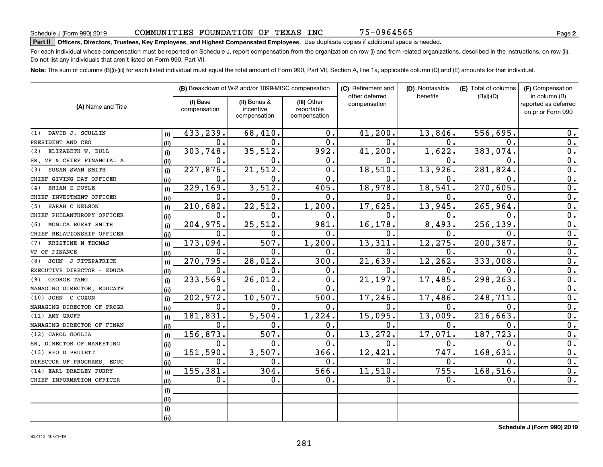75-0964565

# **Part II Officers, Directors, Trustees, Key Employees, and Highest Compensated Employees.**  Schedule J (Form 990) 2019 Page Use duplicate copies if additional space is needed.

For each individual whose compensation must be reported on Schedule J, report compensation from the organization on row (i) and from related organizations, described in the instructions, on row (ii). Do not list any individuals that aren't listed on Form 990, Part VII.

**Note:**  The sum of columns (B)(i)-(iii) for each listed individual must equal the total amount of Form 990, Part VII, Section A, line 1a, applicable column (D) and (E) amounts for that individual.

|                            |      |                          | (B) Breakdown of W-2 and/or 1099-MISC compensation |                                           | (C) Retirement and             | (D) Nontaxable | (E) Total of columns | (F) Compensation                                           |
|----------------------------|------|--------------------------|----------------------------------------------------|-------------------------------------------|--------------------------------|----------------|----------------------|------------------------------------------------------------|
| (A) Name and Title         |      | (i) Base<br>compensation | (ii) Bonus &<br>incentive<br>compensation          | (iii) Other<br>reportable<br>compensation | other deferred<br>compensation | benefits       | $(B)(i)-(D)$         | in column (B)<br>reported as deferred<br>on prior Form 990 |
| DAVID J. SCULLIN<br>(1)    | (i)  | 433,239.                 | 68,410.                                            | 0.                                        | 41,200.                        | 13,846.        | 556,695.             | 0.                                                         |
| PRESIDENT AND CEO          | (i)  | 0.                       | 0.                                                 | 0.                                        | $\mathbf{0}$ .                 | 0.             | 0.                   | 0.                                                         |
| ELIZABETH W. BULL<br>(2)   | (i)  | 303,748.                 | 35,512.                                            | 992.                                      | 41,200.                        | 1,622.         | 383,074.             | 0.                                                         |
| SR. VP & CHIEF FINANCIAL A | (i)  | 0.                       | 0.                                                 | 0.                                        | 0.                             | 0.             | О.                   | 0.                                                         |
| SUSAN SWAN SMITH<br>(3)    | (i)  | 227, 876.                | 21,512.                                            | $\overline{0}$ .                          | 18,510.                        | 13,926.        | 281,824.             | $\overline{0}$ .                                           |
| CHIEF GIVING DAY OFFICER   | (ii) | 0.                       | 0.                                                 | 0.                                        | $\mathbf{0}$ .                 | 0.             | 0.                   | $\overline{0}$ .                                           |
| BRIAN E DOYLE<br>(4)       | (i)  | 229,169.                 | 3,512.                                             | 405.                                      | 18,978.                        | 18, 541.       | 270,605.             | $\overline{0}$ .                                           |
| CHIEF INVESTMENT OFFICER   | (ii) | $\mathbf 0$ .            | 0.                                                 | 0.                                        | $\mathbf 0$ .                  | О.             | 0.                   | $\overline{0}$ .                                           |
| SARAH C NELSON<br>(5)      | (i)  | 210,682.                 | 22, 512.                                           | 1,200.                                    | 17,625.                        | 13,945.        | 265,964              | $\overline{0}$ .                                           |
| CHIEF PHILANTHROPY OFFICER | (ii) | $\mathbf 0$ .            | О.                                                 | 0.                                        | $\mathbf 0$ .                  | О.             | 0.                   | 0.                                                         |
| MONICA EGERT SMITH<br>(6)  | (i)  | 204,975.                 | 25, 512.                                           | 981.                                      | 16,178.                        | 8,493.         | 256,139.             | 0.                                                         |
| CHIEF RELATIONSHIP OFFICER | (ii) | $\mathbf 0$ .            | 0.                                                 | 0.                                        | $\mathbf 0$ .                  | О.             | О.                   | 0.                                                         |
| KRISTINE M THOMAS<br>(7)   | (i)  | 173,094.                 | 507.                                               | 1,200.                                    | 13,311.                        | 12,275.        | 200, 387.            | 0.                                                         |
| VP OF FINANCE              | (ii) | 0.                       | 0.                                                 | 0.                                        | 0.                             | 0.             | О.                   | 0.                                                         |
| JOHN J FITZPATRICK<br>(8)  | (i)  | 270,795.                 | 28,012.                                            | 300.                                      | 21,639.                        | 12,262.        | 333,008              | $\overline{0}$ .                                           |
| EXECUTIVE DIRECTOR - EDUCA | (ii) | $\mathbf 0$ .            | $\mathbf 0$ .                                      | 0.                                        | $\mathbf 0$ .                  | О.             | $\mathbf{0}$ .       | $\overline{0}$ .                                           |
| GEORGE TANG<br>(9)         | (i)  | 233,569.                 | 26,012.                                            | $\overline{0}$ .                          | 21,197.                        | 17, 485.       | 298,263.             | $\overline{0}$ .                                           |
| MANAGING DIRECTOR EDUCATE  | (ii) | 0.                       | $\mathbf 0$ .                                      | 0.                                        | $\mathbf 0$ .                  | $\mathbf 0$ .  | $\mathbf 0$ .        | $\overline{0}$ .                                           |
| (10) JOHN C COXON          | (i)  | 202,972.                 | 10, 507.                                           | 500.                                      | 17,246.                        | 17,486.        | 248,711              | $\overline{0}$ .                                           |
| MANAGING DIRECTOR OF PROGR | (ii) | 0.                       | 0.                                                 | 0.                                        | 0.                             | $\mathbf 0$ .  | 0.                   | 0.                                                         |
| (11) AMY GROFF             | (i)  | 181,831.                 | 5,504.                                             | 1,224.                                    | 15,095.                        | 13,009.        | 216,663.             | 0.                                                         |
| MANAGING DIRECTOR OF FINAN | (ii) | 0.                       | о.                                                 | 0.                                        | 0.                             | 0.             | $\mathbf 0$ .        | 0.                                                         |
| CAROL GOGLIA<br>(12)       | (i)  | 156,873.                 | 507.                                               | 0.                                        | 13,272.                        | 17,071.        | 187, 723.            | 0.                                                         |
| SR. DIRECTOR OF MARKETING  | (ii) | 0.                       | $\mathbf 0$ .                                      | $\overline{0}$ .                          | 0.                             | 0.             | 0.                   | $\overline{0}$ .                                           |
| (13) REO D PRUIETT         | (i)  | 151,590.                 | 3,507.                                             | 366.                                      | 12,421.                        | 747.           | 168, 631             | 0.                                                         |
| DIRECTOR OF PROGRAMS EDUC  | (ii) | 0.                       | 0.                                                 | 0.                                        | 0.                             | 0.             | 0.                   | 0.                                                         |
| EARL BRADLEY FURRY<br>(14) | (i)  | 155,381.                 | 304.                                               | 566.                                      | 11,510.                        | 755.           | 168,516.             | 0.                                                         |
| CHIEF INFORMATION OFFICER  | (ii) | 0.                       | 0.                                                 | 0.                                        | 0.                             | $\mathbf 0$ .  | 0.                   | 0.                                                         |
|                            | (i)  |                          |                                                    |                                           |                                |                |                      |                                                            |
|                            | (ii) |                          |                                                    |                                           |                                |                |                      |                                                            |
|                            | (i)  |                          |                                                    |                                           |                                |                |                      |                                                            |
|                            | (ii) |                          |                                                    |                                           |                                |                |                      |                                                            |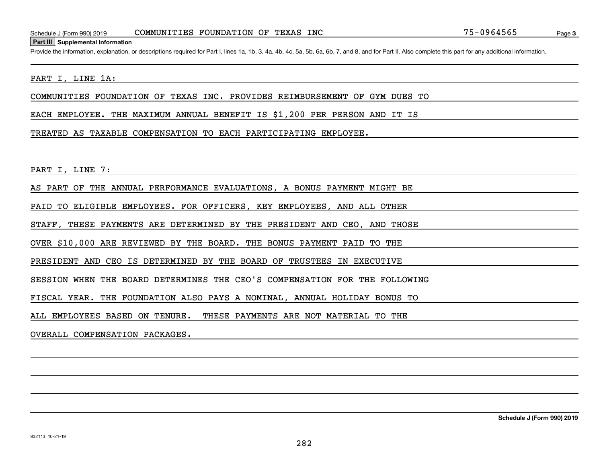#### **Part III Supplemental Information**

Schedule J (Form 990) 2019 COMMUNITIES FOUNDATION OF TEXAS INC 75-0964565<br>Part III Supplemental Information<br>Provide the information, explanation, or descriptions required for Part I, lines 1a, 1b, 3, 4a, 4b, 4c, 5a, 5b, 6a

#### PART I, LINE 1A:

COMMUNITIES FOUNDATION OF TEXAS INC. PROVIDES REIMBURSEMENT OF GYM DUES TO

EACH EMPLOYEE. THE MAXIMUM ANNUAL BENEFIT IS \$1,200 PER PERSON AND IT IS

#### TREATED AS TAXABLE COMPENSATION TO EACH PARTICIPATING EMPLOYEE.

PART I, LINE 7:

AS PART OF THE ANNUAL PERFORMANCE EVALUATIONS, A BONUS PAYMENT MIGHT BE

PAID TO ELIGIBLE EMPLOYEES. FOR OFFICERS, KEY EMPLOYEES, AND ALL OTHER

STAFF, THESE PAYMENTS ARE DETERMINED BY THE PRESIDENT AND CEO, AND THOSE

OVER \$10,000 ARE REVIEWED BY THE BOARD. THE BONUS PAYMENT PAID TO THE

PRESIDENT AND CEO IS DETERMINED BY THE BOARD OF TRUSTEES IN EXECUTIVE

SESSION WHEN THE BOARD DETERMINES THE CEO'S COMPENSATION FOR THE FOLLOWING

FISCAL YEAR. THE FOUNDATION ALSO PAYS A NOMINAL, ANNUAL HOLIDAY BONUS TO

ALL EMPLOYEES BASED ON TENURE. THESE PAYMENTS ARE NOT MATERIAL TO THE

OVERALL COMPENSATION PACKAGES.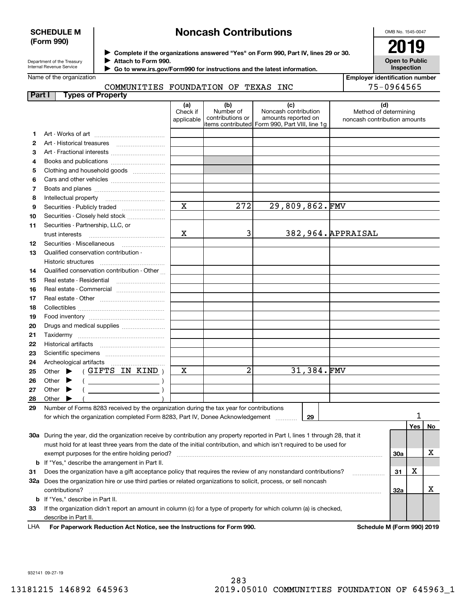#### **SCHEDULE M (Form 990)**

## **Noncash Contributions**

OMB No. 1545-0047

**Open to Public Inspection**

| Department of the Treasury      |
|---------------------------------|
| <b>Internal Revenue Service</b> |

**Complete if the organizations answered "Yes" on Form 990, Part IV, lines 29 or 30.** <sup>J</sup>**2019 Attach to Form 990.** J

 **Go to www.irs.gov/Form990 for instructions and the latest information.** J

Name of the organization

# COMMUNITIES FOUNDATION OF TEXAS INC

**Employer identification number** 75-0964565

| (d)<br>(a)<br>(b)<br>(c)<br>Number of<br>Noncash contribution<br>Check if<br>Method of determining<br>contributions or<br>amounts reported on<br>applicable<br>noncash contribution amounts<br>items contributed Form 990, Part VIII, line 1g<br>1<br>2<br>з<br>Art - Fractional interests<br>Books and publications<br>4<br>Clothing and household goods<br>5<br>6<br>7<br>8<br>$\mathbf x$<br>272<br>29,809,862.FMV<br>Securities - Publicly traded<br>9<br>Securities - Closely held stock<br>10<br>Securities - Partnership, LLC, or<br>11<br>3<br>Х<br>382, 964. APPRAISAL<br>trust interests<br>Securities - Miscellaneous<br>12<br>Qualified conservation contribution -<br>13 |    |
|---------------------------------------------------------------------------------------------------------------------------------------------------------------------------------------------------------------------------------------------------------------------------------------------------------------------------------------------------------------------------------------------------------------------------------------------------------------------------------------------------------------------------------------------------------------------------------------------------------------------------------------------------------------------------------------|----|
|                                                                                                                                                                                                                                                                                                                                                                                                                                                                                                                                                                                                                                                                                       |    |
|                                                                                                                                                                                                                                                                                                                                                                                                                                                                                                                                                                                                                                                                                       |    |
|                                                                                                                                                                                                                                                                                                                                                                                                                                                                                                                                                                                                                                                                                       |    |
|                                                                                                                                                                                                                                                                                                                                                                                                                                                                                                                                                                                                                                                                                       |    |
|                                                                                                                                                                                                                                                                                                                                                                                                                                                                                                                                                                                                                                                                                       |    |
|                                                                                                                                                                                                                                                                                                                                                                                                                                                                                                                                                                                                                                                                                       |    |
|                                                                                                                                                                                                                                                                                                                                                                                                                                                                                                                                                                                                                                                                                       |    |
|                                                                                                                                                                                                                                                                                                                                                                                                                                                                                                                                                                                                                                                                                       |    |
|                                                                                                                                                                                                                                                                                                                                                                                                                                                                                                                                                                                                                                                                                       |    |
|                                                                                                                                                                                                                                                                                                                                                                                                                                                                                                                                                                                                                                                                                       |    |
|                                                                                                                                                                                                                                                                                                                                                                                                                                                                                                                                                                                                                                                                                       |    |
|                                                                                                                                                                                                                                                                                                                                                                                                                                                                                                                                                                                                                                                                                       |    |
|                                                                                                                                                                                                                                                                                                                                                                                                                                                                                                                                                                                                                                                                                       |    |
|                                                                                                                                                                                                                                                                                                                                                                                                                                                                                                                                                                                                                                                                                       |    |
|                                                                                                                                                                                                                                                                                                                                                                                                                                                                                                                                                                                                                                                                                       |    |
| Historic structures                                                                                                                                                                                                                                                                                                                                                                                                                                                                                                                                                                                                                                                                   |    |
| Qualified conservation contribution - Other<br>14                                                                                                                                                                                                                                                                                                                                                                                                                                                                                                                                                                                                                                     |    |
| 15                                                                                                                                                                                                                                                                                                                                                                                                                                                                                                                                                                                                                                                                                    |    |
| 16                                                                                                                                                                                                                                                                                                                                                                                                                                                                                                                                                                                                                                                                                    |    |
| 17                                                                                                                                                                                                                                                                                                                                                                                                                                                                                                                                                                                                                                                                                    |    |
| 18                                                                                                                                                                                                                                                                                                                                                                                                                                                                                                                                                                                                                                                                                    |    |
| 19                                                                                                                                                                                                                                                                                                                                                                                                                                                                                                                                                                                                                                                                                    |    |
| Drugs and medical supplies<br>20                                                                                                                                                                                                                                                                                                                                                                                                                                                                                                                                                                                                                                                      |    |
| 21<br>Taxidermy                                                                                                                                                                                                                                                                                                                                                                                                                                                                                                                                                                                                                                                                       |    |
| 22                                                                                                                                                                                                                                                                                                                                                                                                                                                                                                                                                                                                                                                                                    |    |
| 23                                                                                                                                                                                                                                                                                                                                                                                                                                                                                                                                                                                                                                                                                    |    |
| 24                                                                                                                                                                                                                                                                                                                                                                                                                                                                                                                                                                                                                                                                                    |    |
| 2<br>31,384.FMV<br>Х<br>(GIFTS IN KIND)<br>Other $\blacktriangleright$<br>25                                                                                                                                                                                                                                                                                                                                                                                                                                                                                                                                                                                                          |    |
| 26<br>Other $\blacktriangleright$<br>$($ $)$                                                                                                                                                                                                                                                                                                                                                                                                                                                                                                                                                                                                                                          |    |
| $\begin{pmatrix} 1 & 1 & 1 \\ 1 & 1 & 1 \\ 1 & 1 & 1 \end{pmatrix}$<br>27<br>Other $\blacktriangleright$                                                                                                                                                                                                                                                                                                                                                                                                                                                                                                                                                                              |    |
| 28<br>Other $\blacktriangleright$                                                                                                                                                                                                                                                                                                                                                                                                                                                                                                                                                                                                                                                     |    |
| Number of Forms 8283 received by the organization during the tax year for contributions<br>29                                                                                                                                                                                                                                                                                                                                                                                                                                                                                                                                                                                         | 1  |
| for which the organization completed Form 8283, Part IV, Donee Acknowledgement<br>29                                                                                                                                                                                                                                                                                                                                                                                                                                                                                                                                                                                                  |    |
| Yes                                                                                                                                                                                                                                                                                                                                                                                                                                                                                                                                                                                                                                                                                   | No |
| 30a During the year, did the organization receive by contribution any property reported in Part I, lines 1 through 28, that it                                                                                                                                                                                                                                                                                                                                                                                                                                                                                                                                                        |    |
| must hold for at least three years from the date of the initial contribution, and which isn't required to be used for<br>30a                                                                                                                                                                                                                                                                                                                                                                                                                                                                                                                                                          | x  |
| exempt purposes for the entire holding period?<br><b>b</b> If "Yes," describe the arrangement in Part II.                                                                                                                                                                                                                                                                                                                                                                                                                                                                                                                                                                             |    |
| х<br>Does the organization have a gift acceptance policy that requires the review of any nonstandard contributions?<br>31                                                                                                                                                                                                                                                                                                                                                                                                                                                                                                                                                             |    |
| 31<br>32a Does the organization hire or use third parties or related organizations to solicit, process, or sell noncash                                                                                                                                                                                                                                                                                                                                                                                                                                                                                                                                                               |    |
| contributions?<br>32a                                                                                                                                                                                                                                                                                                                                                                                                                                                                                                                                                                                                                                                                 | x  |
| <b>b</b> If "Yes," describe in Part II.                                                                                                                                                                                                                                                                                                                                                                                                                                                                                                                                                                                                                                               |    |
| If the organization didn't report an amount in column (c) for a type of property for which column (a) is checked,<br>33                                                                                                                                                                                                                                                                                                                                                                                                                                                                                                                                                               |    |
| describe in Part II.                                                                                                                                                                                                                                                                                                                                                                                                                                                                                                                                                                                                                                                                  |    |

**For Paperwork Reduction Act Notice, see the Instructions for Form 990. Schedule M (Form 990) 2019** LHA

932141 09-27-19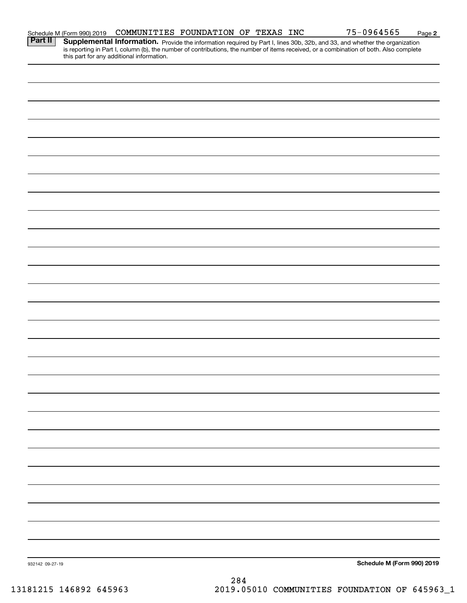|                 | Schedule M (Form 990) 2019 | COMMUNITIES FOUNDATION OF TEXAS INC       |  |  | 75-0964565                                                                                                                                                                                                                                                           | Page 2 |
|-----------------|----------------------------|-------------------------------------------|--|--|----------------------------------------------------------------------------------------------------------------------------------------------------------------------------------------------------------------------------------------------------------------------|--------|
| Part II         |                            | this part for any additional information. |  |  | Supplemental Information. Provide the information required by Part I, lines 30b, 32b, and 33, and whether the organization<br>is reporting in Part I, column (b), the number of contributions, the number of items received, or a combination of both. Also complete |        |
|                 |                            |                                           |  |  |                                                                                                                                                                                                                                                                      |        |
|                 |                            |                                           |  |  |                                                                                                                                                                                                                                                                      |        |
|                 |                            |                                           |  |  |                                                                                                                                                                                                                                                                      |        |
|                 |                            |                                           |  |  |                                                                                                                                                                                                                                                                      |        |
|                 |                            |                                           |  |  |                                                                                                                                                                                                                                                                      |        |
|                 |                            |                                           |  |  |                                                                                                                                                                                                                                                                      |        |
|                 |                            |                                           |  |  |                                                                                                                                                                                                                                                                      |        |
|                 |                            |                                           |  |  |                                                                                                                                                                                                                                                                      |        |
|                 |                            |                                           |  |  |                                                                                                                                                                                                                                                                      |        |
|                 |                            |                                           |  |  |                                                                                                                                                                                                                                                                      |        |
|                 |                            |                                           |  |  |                                                                                                                                                                                                                                                                      |        |
|                 |                            |                                           |  |  |                                                                                                                                                                                                                                                                      |        |
|                 |                            |                                           |  |  |                                                                                                                                                                                                                                                                      |        |
|                 |                            |                                           |  |  |                                                                                                                                                                                                                                                                      |        |
|                 |                            |                                           |  |  |                                                                                                                                                                                                                                                                      |        |
|                 |                            |                                           |  |  |                                                                                                                                                                                                                                                                      |        |
|                 |                            |                                           |  |  |                                                                                                                                                                                                                                                                      |        |
|                 |                            |                                           |  |  |                                                                                                                                                                                                                                                                      |        |
|                 |                            |                                           |  |  |                                                                                                                                                                                                                                                                      |        |
|                 |                            |                                           |  |  |                                                                                                                                                                                                                                                                      |        |
|                 |                            |                                           |  |  |                                                                                                                                                                                                                                                                      |        |
|                 |                            |                                           |  |  |                                                                                                                                                                                                                                                                      |        |
|                 |                            |                                           |  |  |                                                                                                                                                                                                                                                                      |        |
|                 |                            |                                           |  |  |                                                                                                                                                                                                                                                                      |        |
|                 |                            |                                           |  |  |                                                                                                                                                                                                                                                                      |        |
|                 |                            |                                           |  |  |                                                                                                                                                                                                                                                                      |        |
|                 |                            |                                           |  |  |                                                                                                                                                                                                                                                                      |        |
| 932142 09-27-19 |                            |                                           |  |  | Schedule M (Form 990) 2019                                                                                                                                                                                                                                           |        |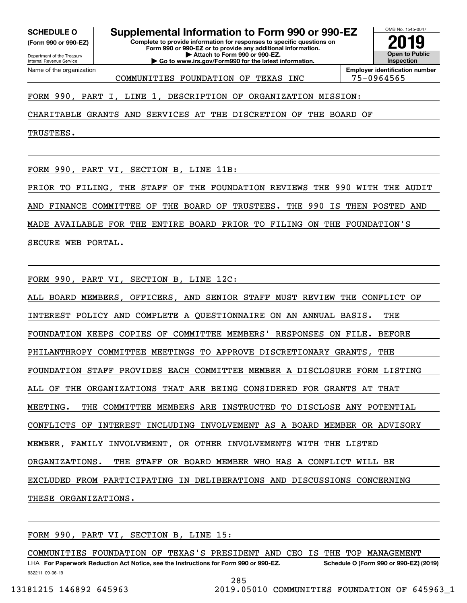**(Form 990 or 990-EZ)**

Department of the Treasury Internal Revenue Service Name of the organization

**Complete to provide information for responses to specific questions on SCHEDULE O Supplemental Information to Form 990 or 990-EZ**

**Form 990 or 990-EZ or to provide any additional information. | Attach to Form 990 or 990-EZ. | Go to www.irs.gov/Form990 for the latest information.**



COMMUNITIES FOUNDATION OF TEXAS INC | 75-0964565

FORM 990, PART I, LINE 1, DESCRIPTION OF ORGANIZATION MISSION:

CHARITABLE GRANTS AND SERVICES AT THE DISCRETION OF THE BOARD OF

TRUSTEES.

FORM 990, PART VI, SECTION B, LINE 11B:

PRIOR TO FILING, THE STAFF OF THE FOUNDATION REVIEWS THE 990 WITH THE AUDIT AND FINANCE COMMITTEE OF THE BOARD OF TRUSTEES. THE 990 IS THEN POSTED AND MADE AVAILABLE FOR THE ENTIRE BOARD PRIOR TO FILING ON THE FOUNDATION'S SECURE WEB PORTAL.

FORM 990, PART VI, SECTION B, LINE 12C:

ALL BOARD MEMBERS, OFFICERS, AND SENIOR STAFF MUST REVIEW THE CONFLICT OF INTEREST POLICY AND COMPLETE A QUESTIONNAIRE ON AN ANNUAL BASIS. THE FOUNDATION KEEPS COPIES OF COMMITTEE MEMBERS' RESPONSES ON FILE. BEFORE PHILANTHROPY COMMITTEE MEETINGS TO APPROVE DISCRETIONARY GRANTS, THE FOUNDATION STAFF PROVIDES EACH COMMITTEE MEMBER A DISCLOSURE FORM LISTING ALL OF THE ORGANIZATIONS THAT ARE BEING CONSIDERED FOR GRANTS AT THAT MEETING. THE COMMITTEE MEMBERS ARE INSTRUCTED TO DISCLOSE ANY POTENTIAL CONFLICTS OF INTEREST INCLUDING INVOLVEMENT AS A BOARD MEMBER OR ADVISORY MEMBER, FAMILY INVOLVEMENT, OR OTHER INVOLVEMENTS WITH THE LISTED ORGANIZATIONS. THE STAFF OR BOARD MEMBER WHO HAS A CONFLICT WILL BE EXCLUDED FROM PARTICIPATING IN DELIBERATIONS AND DISCUSSIONS CONCERNING THESE ORGANIZATIONS.

FORM 990, PART VI, SECTION B, LINE 15:

COMMUNITIES FOUNDATION OF TEXAS'S PRESIDENT AND CEO IS THE TOP MANAGEMENT

932211 09-06-19 LHA For Paperwork Reduction Act Notice, see the Instructions for Form 990 or 990-EZ. Schedule O (Form 990 or 990-EZ) (2019)

285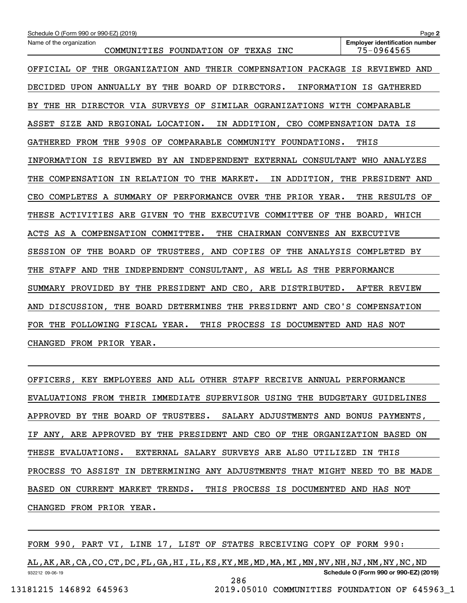| Schedule O (Form 990 or 990-EZ) (2019)                                         | Page 2                                              |  |  |  |  |  |
|--------------------------------------------------------------------------------|-----------------------------------------------------|--|--|--|--|--|
| Name of the organization<br>COMMUNITIES FOUNDATION OF TEXAS INC                | <b>Employer identification number</b><br>75-0964565 |  |  |  |  |  |
| OFFICIAL OF THE ORGANIZATION AND THEIR COMPENSATION PACKAGE IS REVIEWED AND    |                                                     |  |  |  |  |  |
| DECIDED UPON ANNUALLY BY THE BOARD OF DIRECTORS.                               | INFORMATION IS GATHERED                             |  |  |  |  |  |
| THE HR DIRECTOR VIA SURVEYS OF<br>SIMILAR OGRANIZATIONS WITH COMPARABLE<br>BY. |                                                     |  |  |  |  |  |
| ASSET SIZE AND REGIONAL LOCATION.<br>IN ADDITION, CEO COMPENSATION DATA IS     |                                                     |  |  |  |  |  |
| GATHERED FROM THE 990S OF COMPARABLE COMMUNITY FOUNDATIONS.                    | THIS                                                |  |  |  |  |  |
| INFORMATION IS REVIEWED BY AN INDEPENDENT EXTERNAL CONSULTANT                  | WHO ANALYZES                                        |  |  |  |  |  |
| COMPENSATION IN RELATION TO THE MARKET.<br>THE                                 | IN ADDITION, THE PRESIDENT AND                      |  |  |  |  |  |
| COMPLETES A SUMMARY OF PERFORMANCE OVER THE PRIOR YEAR.<br>CEO                 | THE RESULTS OF                                      |  |  |  |  |  |
| THESE ACTIVITIES ARE GIVEN TO THE EXECUTIVE COMMITTEE OF                       | THE<br>BOARD, WHICH                                 |  |  |  |  |  |
| ACTS AS A COMPENSATION COMMITTEE.<br>THE CHAIRMAN CONVENES AN EXECUTIVE        |                                                     |  |  |  |  |  |
| THE BOARD OF TRUSTEES, AND COPIES OF THE ANALYSIS COMPLETED BY<br>SESSION OF   |                                                     |  |  |  |  |  |
| INDEPENDENT CONSULTANT, AS WELL AS THE PERFORMANCE<br>THE<br>STAFF AND<br>THE  |                                                     |  |  |  |  |  |
| SUMMARY PROVIDED BY THE PRESIDENT AND CEO, ARE DISTRIBUTED.                    | AFTER REVIEW                                        |  |  |  |  |  |
| DISCUSSION, THE BOARD DETERMINES THE PRESIDENT AND CEO'S COMPENSATION<br>AND   |                                                     |  |  |  |  |  |
| THE FOLLOWING FISCAL YEAR.<br>THIS PROCESS IS DOCUMENTED AND HAS NOT<br>FOR    |                                                     |  |  |  |  |  |
| CHANGED FROM PRIOR YEAR.                                                       |                                                     |  |  |  |  |  |

OFFICERS, KEY EMPLOYEES AND ALL OTHER STAFF RECEIVE ANNUAL PERFORMANCE EVALUATIONS FROM THEIR IMMEDIATE SUPERVISOR USING THE BUDGETARY GUIDELINES APPROVED BY THE BOARD OF TRUSTEES. SALARY ADJUSTMENTS AND BONUS PAYMENTS, IF ANY, ARE APPROVED BY THE PRESIDENT AND CEO OF THE ORGANIZATION BASED ON THESE EVALUATIONS. EXTERNAL SALARY SURVEYS ARE ALSO UTILIZED IN THIS PROCESS TO ASSIST IN DETERMINING ANY ADJUSTMENTS THAT MIGHT NEED TO BE MADE BASED ON CURRENT MARKET TRENDS. THIS PROCESS IS DOCUMENTED AND HAS NOT CHANGED FROM PRIOR YEAR.

FORM 990, PART VI, LINE 17, LIST OF STATES RECEIVING COPY OF FORM 990:

932212 09-06-19 **Schedule O (Form 990 or 990-EZ) (2019)** AL,AK,AR,CA,CO,CT,DC,FL,GA,HI,IL,KS,KY,ME,MD,MA,MI,MN,NV,NH,NJ,NM,NY,NC,ND 286

13181215 146892 645963 2019.05010 COMMUNITIES FOUNDATION OF 645963\_1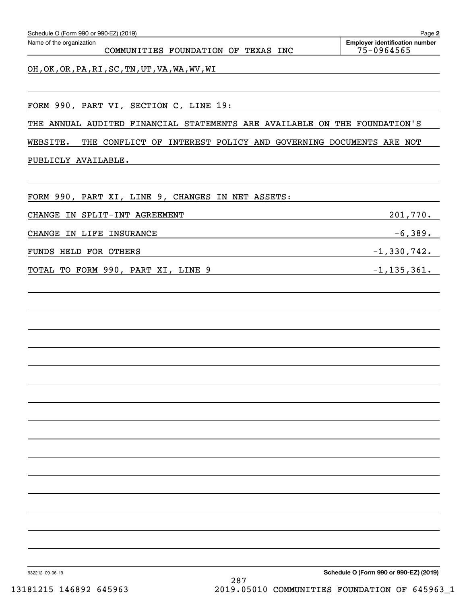| Schedule O (Form 990 or 990-EZ) (2019)                                      | Page 2                                              |
|-----------------------------------------------------------------------------|-----------------------------------------------------|
| Name of the organization<br>COMMUNITIES FOUNDATION OF TEXAS INC             | <b>Employer identification number</b><br>75-0964565 |
| OH, OK, OR, PA, RI, SC, TN, UT, VA, WA, WV, WI                              |                                                     |
|                                                                             |                                                     |
| FORM 990, PART VI, SECTION C, LINE 19:                                      |                                                     |
| THE ANNUAL AUDITED FINANCIAL STATEMENTS ARE AVAILABLE ON THE FOUNDATION'S   |                                                     |
| WEBSITE.<br>THE CONFLICT OF INTEREST POLICY AND GOVERNING DOCUMENTS ARE NOT |                                                     |
| PUBLICLY AVAILABLE.                                                         |                                                     |
|                                                                             |                                                     |
| FORM 990, PART XI, LINE 9, CHANGES IN NET ASSETS:                           |                                                     |
| CHANGE IN SPLIT-INT AGREEMENT                                               | 201,770.                                            |
| CHANGE IN LIFE INSURANCE                                                    | $-6,389.$                                           |
| FUNDS HELD FOR OTHERS                                                       | $-1,330,742.$                                       |
| TOTAL TO FORM 990, PART XI, LINE 9                                          | $-1, 135, 361.$                                     |
|                                                                             |                                                     |
|                                                                             |                                                     |
|                                                                             |                                                     |
|                                                                             |                                                     |
|                                                                             |                                                     |
|                                                                             |                                                     |
|                                                                             |                                                     |
|                                                                             |                                                     |
|                                                                             |                                                     |
|                                                                             |                                                     |
|                                                                             |                                                     |
|                                                                             |                                                     |
|                                                                             |                                                     |
|                                                                             |                                                     |
|                                                                             |                                                     |
|                                                                             |                                                     |
|                                                                             |                                                     |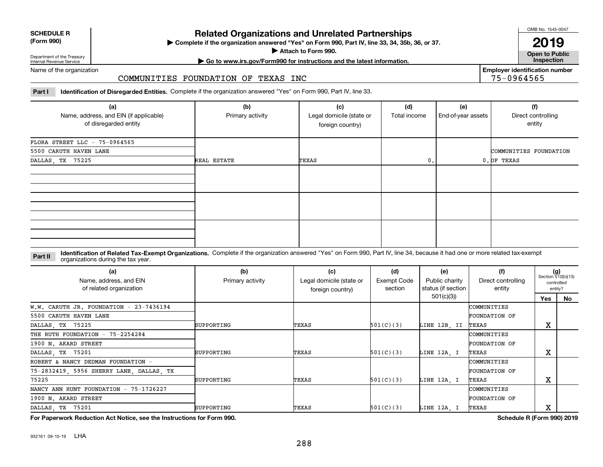| <b>SCHEDULE R</b>                          |  |
|--------------------------------------------|--|
| $\mathbf{r}$ , $\mathbf{r}$ , $\mathbf{r}$ |  |

#### **(Form 990)**

### **Related Organizations and Unrelated Partnerships**

**Complete if the organization answered "Yes" on Form 990, Part IV, line 33, 34, 35b, 36, or 37.** |

**Attach to Form 990.**  |

OMB No. 1545-0047

**Open to Public 2019**

**Employer identification number**

75-0964565

Department of the Treasury Internal Revenue Service

### **| Go to www.irs.gov/Form990 for instructions and the latest information. Inspection**

Name of the organization

#### COMMUNITIES FOUNDATION OF TEXAS INC

**Part I Identification of Disregarded Entities.**  Complete if the organization answered "Yes" on Form 990, Part IV, line 33.

| (a)<br>Name, address, and EIN (if applicable)<br>of disregarded entity | (b)<br>Primary activity | (c)<br>Legal domicile (state or<br>foreign country) | (d)<br>Total income | (e)<br>End-of-year assets | (f)<br>Direct controlling<br>entity |
|------------------------------------------------------------------------|-------------------------|-----------------------------------------------------|---------------------|---------------------------|-------------------------------------|
| FLORA STREET LLC - $75-0964565$                                        |                         |                                                     |                     |                           |                                     |
| 5500 CARUTH HAVEN LANE                                                 |                         |                                                     |                     |                           | COMMUNITIES FOUNDATION              |
| DALLAS, TX 75225                                                       | REAL ESTATE             | TEXAS                                               | 0.                  |                           | 0. OF TEXAS                         |
|                                                                        |                         |                                                     |                     |                           |                                     |
|                                                                        |                         |                                                     |                     |                           |                                     |
|                                                                        |                         |                                                     |                     |                           |                                     |

#### **Identification of Related Tax-Exempt Organizations.** Complete if the organization answered "Yes" on Form 990, Part IV, line 34, because it had one or more related tax-exempt **Part II** organizations during the tax year.

| (a)<br>Name, address, and EIN<br>of related organization | (b)<br>Primary activity | (c)<br>Legal domicile (state or<br>foreign country) | (d)<br>Exempt Code<br>section | (e)<br>Public charity<br>status (if section | (f)<br>Direct controlling<br>entity | $(g)$<br>Section 512(b)(13) | controlled<br>entity? |
|----------------------------------------------------------|-------------------------|-----------------------------------------------------|-------------------------------|---------------------------------------------|-------------------------------------|-----------------------------|-----------------------|
|                                                          |                         |                                                     |                               | 501(c)(3)                                   |                                     | Yes                         | No                    |
| W.W. CARUTH JR. FOUNDATION - $23-7436194$                |                         |                                                     |                               |                                             | COMMUNITIES                         |                             |                       |
| 5500 CARUTH HAVEN LANE                                   |                         |                                                     |                               |                                             | FOUNDATION OF                       |                             |                       |
| DALLAS, TX 75225                                         | SUPPORTING              | TEXAS                                               | 501(C)(3)                     | LINE 12B, II                                | TEXAS                               | Χ                           |                       |
| THE RUTH FOUNDATION - 75-2254284                         |                         |                                                     |                               |                                             | COMMUNITIES                         |                             |                       |
| 1900 N. AKARD STREET                                     |                         |                                                     |                               |                                             | <b>FOUNDATION OF</b>                |                             |                       |
| DALLAS, TX 75201                                         | SUPPORTING              | TEXAS                                               | 501(C)(3)                     | LINE 12A, I                                 | TEXAS                               | Χ                           |                       |
| ROBERT & NANCY DEDMAN FOUNDATION -                       |                         |                                                     |                               |                                             | COMMUNITIES                         |                             |                       |
| 75-2832419, 5956 SHERRY LANE, DALLAS, TX                 |                         |                                                     |                               |                                             | FOUNDATION OF                       |                             |                       |
| 75225                                                    | SUPPORTING              | TEXAS                                               | 501(C)(3)                     | LINE 12A, I                                 | TEXAS                               | Χ                           |                       |
| NANCY ANN HUNT FOUNDATION - 75-1726227                   |                         |                                                     |                               |                                             | COMMUNITIES                         |                             |                       |
| 1900 N. AKARD STREET                                     |                         |                                                     |                               |                                             | FOUNDATION OF                       |                             |                       |
| DALLAS, TX 75201                                         | SUPPORTING              | TEXAS                                               | 501(C)(3)                     | LINE 12A, I                                 | TEXAS                               | Χ                           |                       |

**For Paperwork Reduction Act Notice, see the Instructions for Form 990. Schedule R (Form 990) 2019**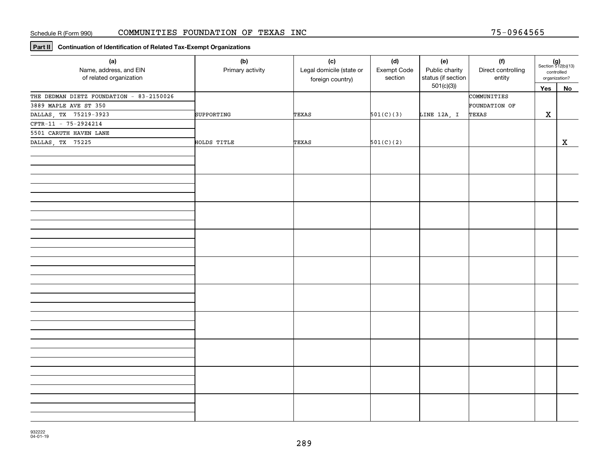**Part II Continuation of Identification of Related Tax-Exempt Organizations**

| (a)<br>Name, address, and EIN<br>of related organization | (b)<br>Primary activity | (c)<br>Legal domicile (state or<br>foreign country) | (d)<br>Exempt Code<br>section | (e)<br>Public charity<br>status (if section<br>501(c)(3) | (f)<br>Direct controlling<br>entity | $(g)$<br>Section 512(b)(13)<br>controlled<br>organization? |              |
|----------------------------------------------------------|-------------------------|-----------------------------------------------------|-------------------------------|----------------------------------------------------------|-------------------------------------|------------------------------------------------------------|--------------|
|                                                          |                         |                                                     |                               |                                                          |                                     | $Yes$                                                      | No           |
| THE DEDMAN DIETZ FOUNDATION - 83-2150026                 |                         |                                                     |                               |                                                          | COMMUNITIES                         |                                                            |              |
| 3889 MAPLE AVE ST 350                                    |                         |                                                     |                               |                                                          | FOUNDATION OF                       |                                                            |              |
| DALLAS, TX 75219-3923                                    | SUPPORTING              | TEXAS                                               | 501(C)(3)                     | LINE 12A, I                                              | TEXAS                               | $\mathbf X$                                                |              |
| CFTR-11 - 75-2924214                                     |                         |                                                     |                               |                                                          |                                     |                                                            |              |
| 5501 CARUTH HAVEN LANE                                   |                         |                                                     |                               |                                                          |                                     |                                                            |              |
| DALLAS, TX 75225                                         | HOLDS TITLE             | TEXAS                                               | 501(C)(2)                     |                                                          |                                     |                                                            | $\mathbf{x}$ |
|                                                          |                         |                                                     |                               |                                                          |                                     |                                                            |              |
|                                                          |                         |                                                     |                               |                                                          |                                     |                                                            |              |
|                                                          |                         |                                                     |                               |                                                          |                                     |                                                            |              |
|                                                          |                         |                                                     |                               |                                                          |                                     |                                                            |              |
|                                                          |                         |                                                     |                               |                                                          |                                     |                                                            |              |
|                                                          |                         |                                                     |                               |                                                          |                                     |                                                            |              |
|                                                          |                         |                                                     |                               |                                                          |                                     |                                                            |              |
|                                                          |                         |                                                     |                               |                                                          |                                     |                                                            |              |
|                                                          |                         |                                                     |                               |                                                          |                                     |                                                            |              |
|                                                          |                         |                                                     |                               |                                                          |                                     |                                                            |              |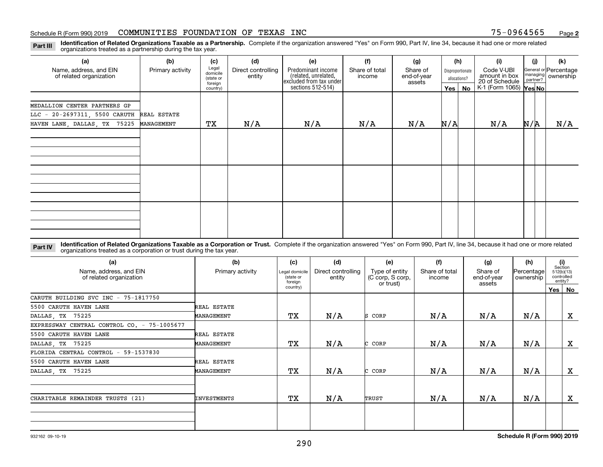**Identification of Related Organizations Taxable as a Partnership.** Complete if the organization answered "Yes" on Form 990, Part IV, line 34, because it had one or more related **Part III** organizations treated as a partnership during the tax year.

| (a)                                                                       | (b)              | (c)                                       | (d)                          | (e)                                                                   | (f)                      | (g)                               |     | (h)                              | (i)                                           | (i)                  | (k)                                |
|---------------------------------------------------------------------------|------------------|-------------------------------------------|------------------------------|-----------------------------------------------------------------------|--------------------------|-----------------------------------|-----|----------------------------------|-----------------------------------------------|----------------------|------------------------------------|
| Name, address, and EIN<br>of related organization                         | Primary activity | Legal<br>domicile<br>(state or<br>foreign | Direct controlling<br>entity | Predominant income<br>(related, unrelated,<br>excluded from tax under | Share of total<br>income | Share of<br>end-of-year<br>assets |     | Disproportionate<br>allocations? | Code V-UBI<br>amount in box<br>20 of Schedule | managing<br>partner? | General or Percentage<br>ownership |
|                                                                           |                  | country)                                  |                              | sections $512-514$ )                                                  |                          |                                   |     | Yes   No                         | K-1 (Form 1065) Yes No                        |                      |                                    |
| MEDALLION CENTER PARTNERS GP<br>LLC - 20-2697311, 5500 CARUTH REAL ESTATE |                  |                                           |                              |                                                                       |                          |                                   |     |                                  |                                               |                      |                                    |
| HAVEN LANE, DALLAS, TX 75225                                              | MANAGEMENT       | ТX                                        | N/A                          | N/A                                                                   | N/A                      | N/A                               | N/A |                                  | N/A                                           | N/A                  | N/A                                |
|                                                                           |                  |                                           |                              |                                                                       |                          |                                   |     |                                  |                                               |                      |                                    |
|                                                                           |                  |                                           |                              |                                                                       |                          |                                   |     |                                  |                                               |                      |                                    |
|                                                                           |                  |                                           |                              |                                                                       |                          |                                   |     |                                  |                                               |                      |                                    |
|                                                                           |                  |                                           |                              |                                                                       |                          |                                   |     |                                  |                                               |                      |                                    |
|                                                                           |                  |                                           |                              |                                                                       |                          |                                   |     |                                  |                                               |                      |                                    |
|                                                                           |                  |                                           |                              |                                                                       |                          |                                   |     |                                  |                                               |                      |                                    |
|                                                                           |                  |                                           |                              |                                                                       |                          |                                   |     |                                  |                                               |                      |                                    |
|                                                                           |                  |                                           |                              |                                                                       |                          |                                   |     |                                  |                                               |                      |                                    |

**Identification of Related Organizations Taxable as a Corporation or Trust.** Complete if the organization answered "Yes" on Form 990, Part IV, line 34, because it had one or more related **Part IV** organizations treated as a corporation or trust during the tax year.

| (a)<br>Name, address, and EIN<br>of related organization | (b)<br>Primary activity | (c)<br>Legal domicile<br>(state or<br>foreign | (d)<br>Direct controlling<br>entity | (e)<br>Type of entity<br>(C corp, S corp,<br>or trust) | (f)<br>Share of total<br>income | (g)<br>Share of<br>end-of-year<br>assets | (h)<br>Percentage<br>ownership | (i)<br>Section<br>512(b)(13)<br>controlled<br>entity? |              |
|----------------------------------------------------------|-------------------------|-----------------------------------------------|-------------------------------------|--------------------------------------------------------|---------------------------------|------------------------------------------|--------------------------------|-------------------------------------------------------|--------------|
|                                                          |                         | country)                                      |                                     |                                                        |                                 |                                          |                                |                                                       | Yes   No     |
| CARUTH BUILDING SVC INC - 75-1817750                     |                         |                                               |                                     |                                                        |                                 |                                          |                                |                                                       |              |
| 5500 CARUTH HAVEN LANE                                   | REAL ESTATE             |                                               |                                     |                                                        |                                 |                                          |                                |                                                       |              |
| DALLAS, TX 75225                                         | MANAGEMENT              | TХ                                            | N/A                                 | S CORP                                                 | N/A                             | N/A                                      | N/A                            |                                                       | X            |
| EXPRESSWAY CENTRAL CONTROL CO. - 75-1005677              |                         |                                               |                                     |                                                        |                                 |                                          |                                |                                                       |              |
| 5500 CARUTH HAVEN LANE                                   | REAL ESTATE             |                                               |                                     |                                                        |                                 |                                          |                                |                                                       |              |
| DALLAS, TX 75225                                         | MANAGEMENT              | TХ                                            | N/A                                 | CORP                                                   | N/A                             | N/A                                      | N/A                            |                                                       | $\mathbf{x}$ |
| FLORIDA CENTRAL CONTROL - 59-1537830                     |                         |                                               |                                     |                                                        |                                 |                                          |                                |                                                       |              |
| 5500 CARUTH HAVEN LANE                                   | REAL ESTATE             |                                               |                                     |                                                        |                                 |                                          |                                |                                                       |              |
| DALLAS, TX 75225                                         | MANAGEMENT              | TХ                                            | N/A                                 | CORP                                                   | N/A                             | N/A                                      | N/A                            |                                                       | X            |
| CHARITABLE REMAINDER TRUSTS (21)                         | INVESTMENTS             | TХ                                            | N/A                                 | TRUST                                                  | N/A                             | N/A                                      | N/A                            |                                                       | $\mathbf{x}$ |
|                                                          |                         |                                               |                                     |                                                        |                                 |                                          |                                |                                                       |              |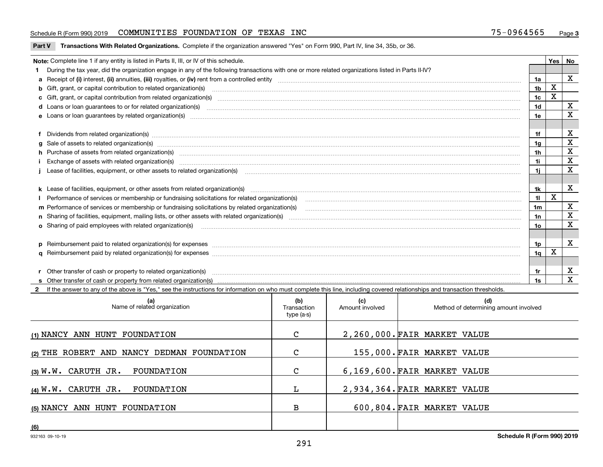#### Schedule R (Form 990) 2019 COMMUNITIES FOUNDATION OF TEXAS INC 75-0964565 <sub>Page</sub>

**Part V** T**ransactions With Related Organizations.** Complete if the organization answered "Yes" on Form 990, Part IV, line 34, 35b, or 36.

| Note: Complete line 1 if any entity is listed in Parts II, III, or IV of this schedule.                                                                                                                                        |                | Yes | No          |
|--------------------------------------------------------------------------------------------------------------------------------------------------------------------------------------------------------------------------------|----------------|-----|-------------|
| During the tax year, did the organization engage in any of the following transactions with one or more related organizations listed in Parts II-IV?                                                                            |                |     |             |
|                                                                                                                                                                                                                                | 1a             |     | X           |
| b Gift, grant, or capital contribution to related organization(s) manufaction contracts and contribution to related organization(s)                                                                                            | 1b             | X   |             |
| c Gift, grant, or capital contribution from related organization(s) www.communities.com/www.communities.com/www.communities.com/www.communities.com/www.communities.com/www.communities.com/www.communities.com/www.communitie | 1c             |     |             |
| d Loans or loan guarantees to or for related organization(s) material content to consume the content of the state of the content of the content of the state or for related organization(s) materials are consumed and content | 1 <sub>d</sub> |     | x           |
|                                                                                                                                                                                                                                | 1e             |     | x           |
|                                                                                                                                                                                                                                |                |     |             |
| f Dividends from related organization(s) manufactured and contract and contract of the contract of the contract of the contract of the contract of the contract of the contract of the contract of the contract of the contrac | 1f             |     | X           |
|                                                                                                                                                                                                                                | 1a             |     | X           |
| h Purchase of assets from related organization(s) manufactured and content to content and content and content and content and content and content and content and content and content and content and content and content and  | 1 <sub>h</sub> |     | $\mathbf X$ |
| Exchange of assets with related organization(s) www.andron.com/www.andron.com/www.andron.com/www.andron.com/www.andron.com/www.andron.com/www.andron.com/www.andron.com/www.andron.com/www.andron.com/www.andron.com/www.andro | 1i             |     | $\mathbf X$ |
| Lease of facilities, equipment, or other assets to related organization(s) manufactured content and content and content and content and content and content and content and content and content and content and content and co | 11             |     | X           |
|                                                                                                                                                                                                                                |                |     |             |
| k Lease of facilities, equipment, or other assets from related organization(s) manufaction content and content to the assets from related organization(s) manufaction content and content and content and content and content  | 1k             |     | $\mathbf X$ |
| Performance of services or membership or fundraising solicitations for related organization(s) manufaction manufaction and the service of services or membership or fundraising solicitations for related organization(s) manu | 11             | X   |             |
| m Performance of services or membership or fundraising solicitations by related organization(s)                                                                                                                                | 1 <sub>m</sub> |     | x           |
|                                                                                                                                                                                                                                | 1n             |     | X           |
| <b>o</b> Sharing of paid employees with related organization(s)                                                                                                                                                                | 10             |     | X           |
|                                                                                                                                                                                                                                |                |     |             |
| p Reimbursement paid to related organization(s) for expenses [11111] [12] manufacture manufacture manufacture manufacture manufacture manufacture manufacture manufacture manufacture manufacture manufacture manufacture manu | 1p.            |     | X           |
|                                                                                                                                                                                                                                | 1q             | х   |             |
|                                                                                                                                                                                                                                |                |     |             |
| r Other transfer of cash or property to related organization(s)                                                                                                                                                                | 1r             |     | х           |
|                                                                                                                                                                                                                                | 1s             |     | $\mathbf x$ |
| 2 If the answer to any of the above is "Yes," see the instructions for information on who must complete this line, including covered relationships and transaction thresholds.                                                 |                |     |             |

| (a)<br>Name of related organization        | (b)<br>Transaction<br>type (a-s) | (c)<br>Amount involved | (d)<br>Method of determining amount involved |
|--------------------------------------------|----------------------------------|------------------------|----------------------------------------------|
| (1) NANCY ANN HUNT FOUNDATION              | C                                |                        | 2,260,000. FAIR MARKET VALUE                 |
| (2) THE ROBERT AND NANCY DEDMAN FOUNDATION | $\mathbf{C}$                     |                        | 155,000. FAIR MARKET VALUE                   |
| $(3)$ W.W. CARUTH JR.<br>FOUNDATION        | C                                |                        | 6,169,600. FAIR MARKET VALUE                 |
| $(4)$ W.W. CARUTH JR.<br>FOUNDATION        | L                                |                        | 2,934,364. FAIR MARKET VALUE                 |
| (5) NANCY ANN HUNT FOUNDATION              | в                                |                        | 600,804. FAIR MARKET VALUE                   |
| (6)                                        |                                  |                        |                                              |

 $\overline{\phantom{a}}$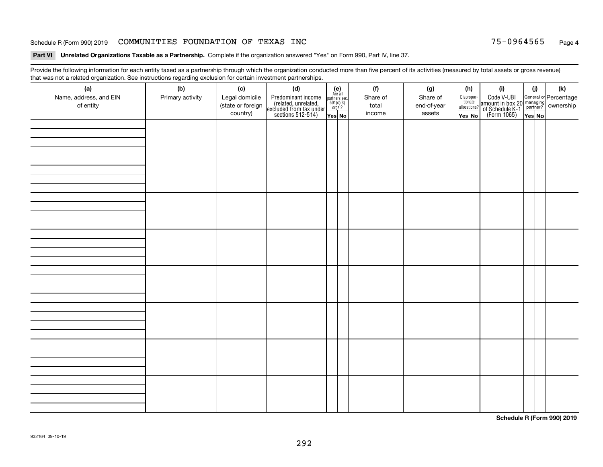#### Schedule R (Form 990) 2019 COMMUNITIES FOUNDATION OF TEXAS INC 75-0964565 <sub>Page</sub>

#### **Part VI Unrelated Organizations Taxable as a Partnership. Complete if the organization answered "Yes" on Form 990, Part IV, line 37.**

Provide the following information for each entity taxed as a partnership through which the organization conducted more than five percent of its activities (measured by total assets or gross revenue) that was not a related organization. See instructions regarding exclusion for certain investment partnerships.

| ັ<br>(a)<br>Name, address, and EIN<br>of entity | ັ<br>ັ<br>(b)<br>Primary activity | (c)<br>Legal domicile<br>(state or foreign<br>country) | (d)<br>Predominant income<br>(related, unrelated,<br>excluded from tax under<br>sections 512-514) | (e)<br>Are all<br>$\begin{array}{c}\n\text{partners} \sec.\n\\ \n501(c)(3)\n\\ \n0rgs.?\n\end{array}$<br>Yes No | (f)<br>Share of<br>total<br>income | (g)<br>Share of<br>end-of-year<br>assets | (h)<br>Dispropor-<br>tionate<br>allocations?<br>Yes No | (i)<br>Code V-UBI<br>amount in box 20 managing<br>of Schedule K-1<br>(Form 1065)<br>$\overline{Yes}$ No | (i)<br>Yes No | (k) |
|-------------------------------------------------|-----------------------------------|--------------------------------------------------------|---------------------------------------------------------------------------------------------------|-----------------------------------------------------------------------------------------------------------------|------------------------------------|------------------------------------------|--------------------------------------------------------|---------------------------------------------------------------------------------------------------------|---------------|-----|
|                                                 |                                   |                                                        |                                                                                                   |                                                                                                                 |                                    |                                          |                                                        |                                                                                                         |               |     |
|                                                 |                                   |                                                        |                                                                                                   |                                                                                                                 |                                    |                                          |                                                        |                                                                                                         |               |     |
|                                                 |                                   |                                                        |                                                                                                   |                                                                                                                 |                                    |                                          |                                                        |                                                                                                         |               |     |
|                                                 |                                   |                                                        |                                                                                                   |                                                                                                                 |                                    |                                          |                                                        |                                                                                                         |               |     |
|                                                 |                                   |                                                        |                                                                                                   |                                                                                                                 |                                    |                                          |                                                        |                                                                                                         |               |     |
|                                                 |                                   |                                                        |                                                                                                   |                                                                                                                 |                                    |                                          |                                                        |                                                                                                         |               |     |
|                                                 |                                   |                                                        |                                                                                                   |                                                                                                                 |                                    |                                          |                                                        |                                                                                                         |               |     |
|                                                 |                                   |                                                        |                                                                                                   |                                                                                                                 |                                    |                                          |                                                        |                                                                                                         |               |     |

**Schedule R (Form 990) 2019**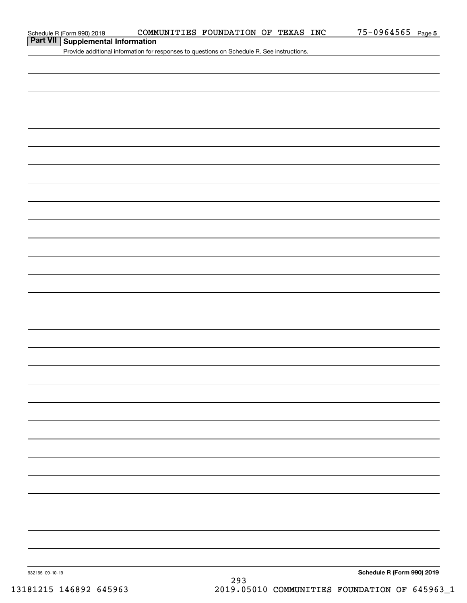## **Part VII Supplemental Information**

Provide additional information for responses to questions on Schedule R. See instructions.

932165 09-10-19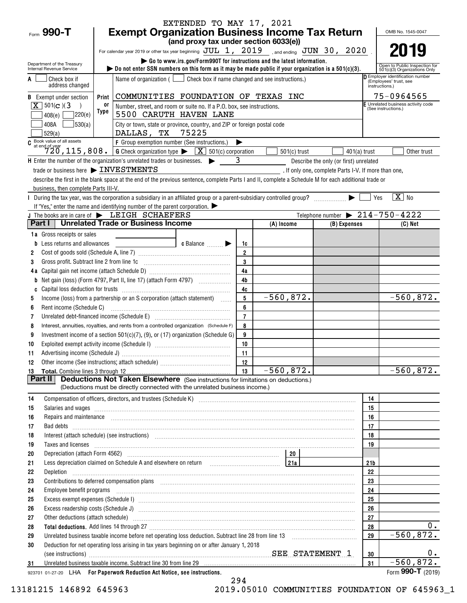|                                                        |                                                                                                                                                                                                                                                                                                                                                                                                                                           | EXTENDED TO MAY 17, 2021                                                         |                |                |                                                      |                 |                                                                   |
|--------------------------------------------------------|-------------------------------------------------------------------------------------------------------------------------------------------------------------------------------------------------------------------------------------------------------------------------------------------------------------------------------------------------------------------------------------------------------------------------------------------|----------------------------------------------------------------------------------|----------------|----------------|------------------------------------------------------|-----------------|-------------------------------------------------------------------|
| Form 990-T                                             | <b>Exempt Organization Business Income Tax Return</b>                                                                                                                                                                                                                                                                                                                                                                                     |                                                                                  |                |                |                                                      |                 | OMB No. 1545-0047                                                 |
|                                                        |                                                                                                                                                                                                                                                                                                                                                                                                                                           | (and proxy tax under section 6033(e))                                            |                |                |                                                      |                 | 2019                                                              |
|                                                        | For calendar year 2019 or other tax year beginning $JUL$ 1, $2019$ , and ending $JUN$ 30, $2020$ .                                                                                                                                                                                                                                                                                                                                        | Go to www.irs.gov/Form990T for instructions and the latest information.          |                |                |                                                      |                 |                                                                   |
| Department of the Treasury<br>Internal Revenue Service | bo not enter SSN numbers on this form as it may be made public if your organization is a $501(c)(3)$ .                                                                                                                                                                                                                                                                                                                                    |                                                                                  |                |                |                                                      |                 | Open to Public Inspection for<br>501(c)(3) Organizations Only     |
| Check box if                                           |                                                                                                                                                                                                                                                                                                                                                                                                                                           | Name of organization $($ $\Box$ Check box if name changed and see instructions.) |                |                |                                                      |                 | <b>D</b> Employer identification number<br>(Employees' trust, see |
| address changed                                        |                                                                                                                                                                                                                                                                                                                                                                                                                                           |                                                                                  |                |                |                                                      | instructions.)  |                                                                   |
| <b>B</b> Exempt under section                          | Print                                                                                                                                                                                                                                                                                                                                                                                                                                     | COMMUNITIES FOUNDATION OF TEXAS INC                                              |                |                |                                                      |                 | 75-0964565                                                        |
| $\sqrt{X}$ 501(c)(3)                                   | 0ľ<br>Type                                                                                                                                                                                                                                                                                                                                                                                                                                | Number, street, and room or suite no. If a P.O. box, see instructions.           |                |                |                                                      |                 | E Unrelated business activity code<br>(See instructions.)         |
| 220(e)<br>408(e)                                       |                                                                                                                                                                                                                                                                                                                                                                                                                                           | 5500 CARUTH HAVEN LANE                                                           |                |                |                                                      |                 |                                                                   |
| 530(a)<br>408A<br>529(a)                               | DALLAS, TX 75225                                                                                                                                                                                                                                                                                                                                                                                                                          | City or town, state or province, country, and ZIP or foreign postal code         |                |                |                                                      |                 |                                                                   |
| $C$ Book value of all assets<br>at end of year         | F Group exemption number (See instructions.)                                                                                                                                                                                                                                                                                                                                                                                              |                                                                                  | ▶              |                |                                                      |                 |                                                                   |
|                                                        | $\overline{720}$ , 115, 808. G Check organization type $\blacktriangleright$ $\overline{X}$ 501(c) corporation                                                                                                                                                                                                                                                                                                                            |                                                                                  |                | $501(c)$ trust | $401(a)$ trust                                       |                 | Other trust                                                       |
|                                                        | H Enter the number of the organization's unrelated trades or businesses. $\triangleright$ 3                                                                                                                                                                                                                                                                                                                                               |                                                                                  |                |                | Describe the only (or first) unrelated               |                 |                                                                   |
|                                                        | trade or business here > INVESTMENTS                                                                                                                                                                                                                                                                                                                                                                                                      |                                                                                  |                |                | . If only one, complete Parts I-V. If more than one, |                 |                                                                   |
|                                                        | describe the first in the blank space at the end of the previous sentence, complete Parts I and II, complete a Schedule M for each additional trade or                                                                                                                                                                                                                                                                                    |                                                                                  |                |                |                                                      |                 |                                                                   |
| business, then complete Parts III-V.                   |                                                                                                                                                                                                                                                                                                                                                                                                                                           |                                                                                  |                |                |                                                      |                 | $\sqrt{X}$ No                                                     |
|                                                        | During the tax year, was the corporation a subsidiary in an affiliated group or a parent-subsidiary controlled group?<br>If "Yes," enter the name and identifying number of the parent corporation. $\blacktriangleright$                                                                                                                                                                                                                 |                                                                                  |                |                |                                                      | Yes             |                                                                   |
|                                                        | J The books are in care of $\blacktriangleright$ LEIGH SCHAEFERS                                                                                                                                                                                                                                                                                                                                                                          |                                                                                  |                |                | Telephone number $\triangleright$ 214-750-4222       |                 |                                                                   |
|                                                        | Part I   Unrelated Trade or Business Income                                                                                                                                                                                                                                                                                                                                                                                               |                                                                                  |                | (A) Income     | (B) Expenses                                         |                 | $(C)$ Net                                                         |
| 1a Gross receipts or sales                             |                                                                                                                                                                                                                                                                                                                                                                                                                                           |                                                                                  |                |                |                                                      |                 |                                                                   |
| <b>b</b> Less returns and allowances                   |                                                                                                                                                                                                                                                                                                                                                                                                                                           | c Balance $\Box$                                                                 | 1c             |                |                                                      |                 |                                                                   |
| 2                                                      |                                                                                                                                                                                                                                                                                                                                                                                                                                           |                                                                                  | $\overline{2}$ |                |                                                      |                 |                                                                   |
| Gross profit. Subtract line 2 from line 1c<br>3        |                                                                                                                                                                                                                                                                                                                                                                                                                                           |                                                                                  | $\mathbf{3}$   |                |                                                      |                 |                                                                   |
|                                                        |                                                                                                                                                                                                                                                                                                                                                                                                                                           |                                                                                  | 4a             |                |                                                      |                 |                                                                   |
| b                                                      |                                                                                                                                                                                                                                                                                                                                                                                                                                           |                                                                                  | 4 <sub>b</sub> |                |                                                      |                 |                                                                   |
| C                                                      |                                                                                                                                                                                                                                                                                                                                                                                                                                           |                                                                                  | 4c             |                |                                                      |                 |                                                                   |
| 5                                                      | Income (loss) from a partnership or an S corporation (attach statement)                                                                                                                                                                                                                                                                                                                                                                   |                                                                                  | 5<br>6         | $-560,872.$    |                                                      |                 | $-560,872.$                                                       |
| Rent income (Schedule C)<br>6<br>7                     | Unrelated debt-financed income (Schedule E) [11] [2010] [2010] [2010] [2010] [2010] [2010] [2010] [2010] [2010                                                                                                                                                                                                                                                                                                                            |                                                                                  | $\overline{7}$ |                |                                                      |                 |                                                                   |
| 8                                                      | Interest, annuities, royalties, and rents from a controlled organization (Schedule F)                                                                                                                                                                                                                                                                                                                                                     |                                                                                  | 8              |                |                                                      |                 |                                                                   |
| 9                                                      | Investment income of a section 501(c)(7), (9), or (17) organization (Schedule G)                                                                                                                                                                                                                                                                                                                                                          |                                                                                  | 9              |                |                                                      |                 |                                                                   |
| 10                                                     |                                                                                                                                                                                                                                                                                                                                                                                                                                           |                                                                                  | 10             |                |                                                      |                 |                                                                   |
| 11                                                     |                                                                                                                                                                                                                                                                                                                                                                                                                                           |                                                                                  | 11             |                |                                                      |                 |                                                                   |
| 12                                                     |                                                                                                                                                                                                                                                                                                                                                                                                                                           |                                                                                  | 12             |                |                                                      |                 |                                                                   |
|                                                        |                                                                                                                                                                                                                                                                                                                                                                                                                                           |                                                                                  | 13             | $-560,872.$    |                                                      |                 | $-560,872.$                                                       |
| Part II                                                | <b>Deductions Not Taken Elsewhere</b> (See instructions for limitations on deductions.)<br>(Deductions must be directly connected with the unrelated business income.)                                                                                                                                                                                                                                                                    |                                                                                  |                |                |                                                      |                 |                                                                   |
|                                                        |                                                                                                                                                                                                                                                                                                                                                                                                                                           |                                                                                  |                |                |                                                      |                 |                                                                   |
| 14<br>15                                               | Compensation of officers, directors, and trustees (Schedule K) [11] [2010] [2010] [2010] [2010] [2010] [3010] [                                                                                                                                                                                                                                                                                                                           |                                                                                  |                |                |                                                      | 14<br>15        |                                                                   |
| 16                                                     | Salaries and wages information continuous contracts and wages in the salaries and wages incommutation of the salarities and wages in the salarities and wages in the salarities of the salarities of the salarities of the sal<br>Repairs and maintenance <i>[1] [1] [1] [1] [1] [1] [1] [1] [1] [1]</i> [1] <b>[1]</b> [1] <b>[1]</b> [1] <b>[1] [1] [1] [1] [1] [1] [1] [1] [1] [1] [1] [1] [1] [1] [1] [1] [1] [1] [1] [1] [1] [1]</b> |                                                                                  |                |                |                                                      | 16              |                                                                   |
| 17                                                     |                                                                                                                                                                                                                                                                                                                                                                                                                                           |                                                                                  |                |                |                                                      | 17              |                                                                   |
| 18                                                     | Interest (attach schedule) (see instructions) www.communically.communically.communically.communically.communically.communically.communically.communically.communically.communically.communically.communically.communically.com                                                                                                                                                                                                            |                                                                                  |                |                |                                                      | 18              |                                                                   |
| 19                                                     | Taxes and licenses <b>contract the contract of the contract of the contract of the contract of the contract of the contract of the contract of the contract of the contract of the contract of the contract of the contract of t</b>                                                                                                                                                                                                      |                                                                                  |                |                |                                                      | 19              |                                                                   |
| 20                                                     |                                                                                                                                                                                                                                                                                                                                                                                                                                           |                                                                                  |                |                |                                                      |                 |                                                                   |
| 21                                                     | Less depreciation claimed on Schedule A and elsewhere on return [211] [212]                                                                                                                                                                                                                                                                                                                                                               |                                                                                  |                |                |                                                      | 21 <sub>b</sub> |                                                                   |
| 22                                                     |                                                                                                                                                                                                                                                                                                                                                                                                                                           |                                                                                  |                |                |                                                      | 22              |                                                                   |
| 23                                                     |                                                                                                                                                                                                                                                                                                                                                                                                                                           |                                                                                  |                |                |                                                      | 23              |                                                                   |
| 24                                                     | Employee benefit programs with an accommodation of the contract of the contract of the contract of the contract of the contract of the contract of the contract of the contract of the contract of the contract of the contrac                                                                                                                                                                                                            |                                                                                  |                |                |                                                      | 24              |                                                                   |
| 25<br>26                                               |                                                                                                                                                                                                                                                                                                                                                                                                                                           |                                                                                  |                |                |                                                      | 25<br>26        |                                                                   |
| 27                                                     |                                                                                                                                                                                                                                                                                                                                                                                                                                           |                                                                                  |                |                |                                                      | 27              |                                                                   |
| 28                                                     |                                                                                                                                                                                                                                                                                                                                                                                                                                           |                                                                                  |                |                |                                                      | 28              | $0$ .                                                             |
| 29                                                     |                                                                                                                                                                                                                                                                                                                                                                                                                                           |                                                                                  |                |                |                                                      | 29              | $-560, 872.$                                                      |
| 30                                                     | Deduction for net operating loss arising in tax years beginning on or after January 1, 2018                                                                                                                                                                                                                                                                                                                                               |                                                                                  |                |                |                                                      |                 |                                                                   |
|                                                        |                                                                                                                                                                                                                                                                                                                                                                                                                                           |                                                                                  |                |                |                                                      | 30              | 0.                                                                |
| 31                                                     | Unrelated business taxable income. Subtract line 30 from line 29 [11] manufacture incommunications and the Unrelated business taxable income. Subtract line 30 from line 29 [11] manufacture income in the Unrelated business                                                                                                                                                                                                             |                                                                                  |                |                |                                                      | 31              | $-560,872.$                                                       |
|                                                        | 923701 01-27-20 LHA For Paperwork Reduction Act Notice, see instructions.                                                                                                                                                                                                                                                                                                                                                                 |                                                                                  |                |                |                                                      |                 | Form 990-T (2019)                                                 |

294 13181215 146892 645963 2019.05010 COMMUNITIES FOUNDATION OF 645963\_1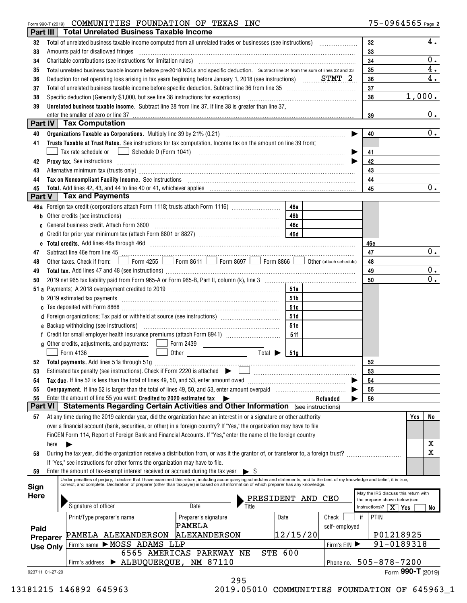### Form 990-T (2019) Page COMMUNITIES FOUNDATION OF TEXAS INC

| Part III       |                 | <b>Total Unrelated Business Taxable Income</b>                                                        |                                                                                                                                                                                                                                                                                                                                                                                                                                             |          |               |            |                                               |
|----------------|-----------------|-------------------------------------------------------------------------------------------------------|---------------------------------------------------------------------------------------------------------------------------------------------------------------------------------------------------------------------------------------------------------------------------------------------------------------------------------------------------------------------------------------------------------------------------------------------|----------|---------------|------------|-----------------------------------------------|
| 32             |                 |                                                                                                       |                                                                                                                                                                                                                                                                                                                                                                                                                                             |          |               | 32         | 4.                                            |
| 33             |                 | Amounts paid for disallowed fringes                                                                   | $\begin{minipage}[b]{0.5\textwidth} \centering \begin{tabular}{ l l l } \hline \multicolumn{1}{ l l l } \hline \multicolumn{1}{ l l } \multicolumn{1}{ l } \multicolumn{1}{ l } \multicolumn{1}{ l } \multicolumn{1}{ l } \multicolumn{1}{ l } \multicolumn{1}{ l } \multicolumn{1}{ l } \multicolumn{1}{ l } \multicolumn{1}{ l } \multicolumn{1}{ l } \multicolumn{1}{ l } \multicolumn{1}{ l } \multicolumn{1}{ l } \multicolumn{1}{ l $ |          |               | 33         |                                               |
| 34             |                 |                                                                                                       |                                                                                                                                                                                                                                                                                                                                                                                                                                             |          |               | 34         | $0$ .                                         |
| 35             |                 |                                                                                                       | Total unrelated business taxable income before pre-2018 NOLs and specific deduction. Subtract line 34 from the sum of lines 32 and 33                                                                                                                                                                                                                                                                                                       |          |               | 35         | 4.                                            |
| 36             |                 |                                                                                                       | Deduction for net operating loss arising in tax years beginning before January 1, 2018 (see instructions) $STMT_2$                                                                                                                                                                                                                                                                                                                          |          |               | 36         | 4.                                            |
|                |                 |                                                                                                       |                                                                                                                                                                                                                                                                                                                                                                                                                                             |          |               | 37         |                                               |
| 37             |                 |                                                                                                       |                                                                                                                                                                                                                                                                                                                                                                                                                                             |          |               |            | 1,000.                                        |
| 38             |                 |                                                                                                       | Specific deduction (Generally \$1,000, but see line 38 instructions for exceptions) [10] manufacture in the substitution of the second state of the second state of the second state of the second state of the second state of                                                                                                                                                                                                             |          |               | 38         |                                               |
| 39             |                 |                                                                                                       | Unrelated business taxable income. Subtract line 38 from line 37. If line 38 is greater than line 37,                                                                                                                                                                                                                                                                                                                                       |          |               |            |                                               |
| Part IV        |                 | enter the smaller of zero or line 37<br><b>Tax Computation</b>                                        |                                                                                                                                                                                                                                                                                                                                                                                                                                             |          |               | 39         | 0.                                            |
|                |                 |                                                                                                       |                                                                                                                                                                                                                                                                                                                                                                                                                                             |          |               |            | $0$ .                                         |
| 40             |                 |                                                                                                       |                                                                                                                                                                                                                                                                                                                                                                                                                                             |          | ▶             | 40         |                                               |
| 41             |                 |                                                                                                       | Trusts Taxable at Trust Rates. See instructions for tax computation. Income tax on the amount on line 39 from:                                                                                                                                                                                                                                                                                                                              |          |               |            |                                               |
|                |                 |                                                                                                       |                                                                                                                                                                                                                                                                                                                                                                                                                                             |          |               | 41         |                                               |
| 42             |                 |                                                                                                       | Proxy tax. See instructions <i>material content content and all the set of the set of the set of the set of the set of the set of the set of the set of the set of the set of the set of the set of the set of the set of the se</i>                                                                                                                                                                                                        |          |               | 42         |                                               |
| 43             |                 |                                                                                                       | Alternative minimum tax (trusts only) manufactured and an according term of the state of the state of the state of the state of the state of the state of the state of the state of the state of the state of the state of the                                                                                                                                                                                                              |          |               | 43         |                                               |
| 44             |                 |                                                                                                       | Tax on Noncompliant Facility Income. See instructions [11] The manufacture in the contraction of the contraction of the contraction of the contraction of the contraction of the contraction of the contraction of the contrac                                                                                                                                                                                                              |          |               | 44         |                                               |
| 45             |                 |                                                                                                       |                                                                                                                                                                                                                                                                                                                                                                                                                                             |          |               | 45         | $0 \cdot$                                     |
| Part V         |                 | <b>Tax and Payments</b>                                                                               |                                                                                                                                                                                                                                                                                                                                                                                                                                             |          |               |            |                                               |
|                |                 |                                                                                                       | 46a Foreign tax credit (corporations attach Form 1118; trusts attach Form 1116)                                                                                                                                                                                                                                                                                                                                                             | 46a      |               |            |                                               |
|                |                 | b Other credits (see instructions) with an according of the credits of the credits (see instructions) |                                                                                                                                                                                                                                                                                                                                                                                                                                             | 46b      |               |            |                                               |
| c              |                 | General business credit. Attach Form 3800                                                             |                                                                                                                                                                                                                                                                                                                                                                                                                                             | 46c      |               |            |                                               |
| d              |                 |                                                                                                       |                                                                                                                                                                                                                                                                                                                                                                                                                                             |          |               |            |                                               |
|                |                 |                                                                                                       |                                                                                                                                                                                                                                                                                                                                                                                                                                             |          |               | 46e        |                                               |
| 47             |                 |                                                                                                       | Subtract line 46e from line 45 <b>manual construction</b> 45                                                                                                                                                                                                                                                                                                                                                                                |          |               | 47         | 0.                                            |
| 48             |                 |                                                                                                       | Other taxes. Check if from: Form 4255 Form 8611 Form 8697 Form 8866 Ober (attach schedule)                                                                                                                                                                                                                                                                                                                                                  |          |               | 48         |                                               |
| 49             |                 |                                                                                                       |                                                                                                                                                                                                                                                                                                                                                                                                                                             |          |               | 49         | $0$ .                                         |
| 50             |                 |                                                                                                       |                                                                                                                                                                                                                                                                                                                                                                                                                                             |          |               | 50         | 0.                                            |
|                |                 |                                                                                                       |                                                                                                                                                                                                                                                                                                                                                                                                                                             | 51a      |               |            |                                               |
|                |                 |                                                                                                       |                                                                                                                                                                                                                                                                                                                                                                                                                                             | 51b      |               |            |                                               |
|                |                 |                                                                                                       |                                                                                                                                                                                                                                                                                                                                                                                                                                             | 51c      |               |            |                                               |
|                |                 | d Foreign organizations: Tax paid or withheld at source (see instructions) [                          |                                                                                                                                                                                                                                                                                                                                                                                                                                             | 51d      |               |            |                                               |
|                |                 |                                                                                                       |                                                                                                                                                                                                                                                                                                                                                                                                                                             | 51e      |               |            |                                               |
|                |                 |                                                                                                       |                                                                                                                                                                                                                                                                                                                                                                                                                                             | 51f      |               |            |                                               |
|                |                 |                                                                                                       |                                                                                                                                                                                                                                                                                                                                                                                                                                             |          |               |            |                                               |
|                |                 | Form 4136                                                                                             | Total $\blacktriangleright$<br>Other <u>and the series of the series of the series</u>                                                                                                                                                                                                                                                                                                                                                      | 51a      |               |            |                                               |
| 52             |                 |                                                                                                       |                                                                                                                                                                                                                                                                                                                                                                                                                                             |          |               | 52         |                                               |
| 53             |                 |                                                                                                       |                                                                                                                                                                                                                                                                                                                                                                                                                                             |          |               | 53         |                                               |
| 54             |                 | Tax due. If line 52 is less than the total of lines 49, 50, and 53, enter amount owed                 |                                                                                                                                                                                                                                                                                                                                                                                                                                             |          |               | 54         |                                               |
| 55             |                 |                                                                                                       | Overpayment. If line 52 is larger than the total of lines 49, 50, and 53, enter amount overpaid <i>mummumumum</i>                                                                                                                                                                                                                                                                                                                           |          |               | 55         |                                               |
| 56             |                 | Enter the amount of line 55 you want: Credited to 2020 estimated tax                                  | ▶                                                                                                                                                                                                                                                                                                                                                                                                                                           |          | Refunded      | 56         |                                               |
| <b>Part VI</b> |                 |                                                                                                       | <b>Statements Regarding Certain Activities and Other Information</b> (see instructions)                                                                                                                                                                                                                                                                                                                                                     |          |               |            |                                               |
| 57             |                 |                                                                                                       | At any time during the 2019 calendar year, did the organization have an interest in or a signature or other authority                                                                                                                                                                                                                                                                                                                       |          |               |            | Yes<br>No                                     |
|                |                 |                                                                                                       | over a financial account (bank, securities, or other) in a foreign country? If "Yes," the organization may have to file                                                                                                                                                                                                                                                                                                                     |          |               |            |                                               |
|                |                 |                                                                                                       | FinCEN Form 114, Report of Foreign Bank and Financial Accounts. If "Yes," enter the name of the foreign country                                                                                                                                                                                                                                                                                                                             |          |               |            |                                               |
|                | here            |                                                                                                       |                                                                                                                                                                                                                                                                                                                                                                                                                                             |          |               |            | x                                             |
| 58             |                 |                                                                                                       | During the tax year, did the organization receive a distribution from, or was it the grantor of, or transferor to, a foreign trust?                                                                                                                                                                                                                                                                                                         |          |               |            | $\overline{\text{X}}$                         |
|                |                 | If "Yes," see instructions for other forms the organization may have to file.                         |                                                                                                                                                                                                                                                                                                                                                                                                                                             |          |               |            |                                               |
| 59             |                 | Enter the amount of tax-exempt interest received or accrued during the tax year $\triangleright$ \$   |                                                                                                                                                                                                                                                                                                                                                                                                                                             |          |               |            |                                               |
|                |                 |                                                                                                       | Under penalties of perjury, I declare that I have examined this return, including accompanying schedules and statements, and to the best of my knowledge and belief, it is true,                                                                                                                                                                                                                                                            |          |               |            |                                               |
| Sign           |                 |                                                                                                       | correct, and complete. Declaration of preparer (other than taxpayer) is based on all information of which preparer has any knowledge.                                                                                                                                                                                                                                                                                                       |          |               |            | May the IRS discuss this return with          |
| <b>Here</b>    |                 |                                                                                                       | PRESIDENT AND                                                                                                                                                                                                                                                                                                                                                                                                                               |          | CEO           |            | the preparer shown below (see                 |
|                |                 | Signature of officer                                                                                  | Date<br>Title                                                                                                                                                                                                                                                                                                                                                                                                                               |          |               |            | instructions)? $\boxed{\mathbf{X}}$ Yes<br>No |
|                |                 | Print/Type preparer's name                                                                            | Preparer's signature                                                                                                                                                                                                                                                                                                                                                                                                                        | Date     | Check         | PTIN<br>if |                                               |
| Paid           |                 |                                                                                                       | PAMELA                                                                                                                                                                                                                                                                                                                                                                                                                                      |          | self-employed |            |                                               |
|                | Preparer        | PAMELA ALEXANDERSON                                                                                   | <b>ALEXANDERSON</b>                                                                                                                                                                                                                                                                                                                                                                                                                         | 12/15/20 |               |            | P01218925                                     |
|                | <b>Use Only</b> | Firm's name MOSS ADAMS LLP                                                                            |                                                                                                                                                                                                                                                                                                                                                                                                                                             |          | Firm's EIN    |            | 91-0189318                                    |
|                |                 |                                                                                                       | <b>STE 600</b><br>6565 AMERICAS PARKWAY NE                                                                                                                                                                                                                                                                                                                                                                                                  |          |               |            |                                               |
|                |                 | > ALBUQUERQUE, NM 87110<br>Firm's address                                                             |                                                                                                                                                                                                                                                                                                                                                                                                                                             |          | Phone no.     |            | 505-878-7200                                  |
|                | 923711 01-27-20 |                                                                                                       |                                                                                                                                                                                                                                                                                                                                                                                                                                             |          |               |            | Form 990-T (2019)                             |
|                |                 |                                                                                                       | 295                                                                                                                                                                                                                                                                                                                                                                                                                                         |          |               |            |                                               |

13181215 146892 645963 2019.05010 COMMUNITIES FOUNDATION OF 645963\_1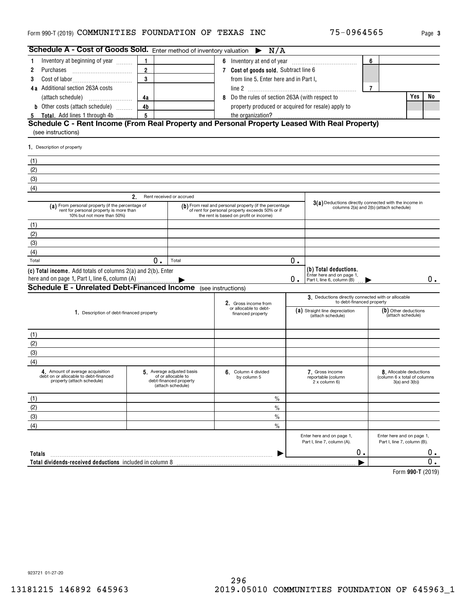#### <code>Form</code> 990-T (2019) <code>COMMUNITIES</code> <code>FOUNDATION OF TEXAS INC</code>  $75-0964565$   $_{\mathrm{Page}}$

| Schedule A - Cost of Goods Sold. Enter method of inventory valuation                                                      |                                |                                                                                                |                                                                                                                                                     | $\blacktriangleright$ N/A |    |                                                                                  |                |                                                                              |       |
|---------------------------------------------------------------------------------------------------------------------------|--------------------------------|------------------------------------------------------------------------------------------------|-----------------------------------------------------------------------------------------------------------------------------------------------------|---------------------------|----|----------------------------------------------------------------------------------|----------------|------------------------------------------------------------------------------|-------|
| Inventory at beginning of year<br>1                                                                                       | $\mathbf{1}$                   |                                                                                                |                                                                                                                                                     |                           |    |                                                                                  | 6              |                                                                              |       |
| Purchases<br>2                                                                                                            | $\overline{2}$                 |                                                                                                | 7 Cost of goods sold. Subtract line 6                                                                                                               |                           |    |                                                                                  |                |                                                                              |       |
| 3                                                                                                                         | 3                              |                                                                                                | from line 5. Enter here and in Part I,                                                                                                              |                           |    |                                                                                  |                |                                                                              |       |
| 4a Additional section 263A costs                                                                                          |                                |                                                                                                |                                                                                                                                                     |                           |    |                                                                                  | $\overline{7}$ |                                                                              |       |
| (attach schedule)                                                                                                         | 4a                             |                                                                                                | 8 Do the rules of section 263A (with respect to                                                                                                     |                           |    |                                                                                  |                | Yes                                                                          | No    |
| <b>b</b> Other costs (attach schedule)                                                                                    | 4b                             |                                                                                                |                                                                                                                                                     |                           |    | property produced or acquired for resale) apply to                               |                |                                                                              |       |
| 5 Total. Add lines 1 through 4b                                                                                           | $5\phantom{.0}$                |                                                                                                | the organization?                                                                                                                                   |                           |    |                                                                                  |                |                                                                              |       |
| Schedule C - Rent Income (From Real Property and Personal Property Leased With Real Property)<br>(see instructions)       |                                |                                                                                                |                                                                                                                                                     |                           |    |                                                                                  |                |                                                                              |       |
| 1. Description of property                                                                                                |                                |                                                                                                |                                                                                                                                                     |                           |    |                                                                                  |                |                                                                              |       |
| (1)                                                                                                                       |                                |                                                                                                |                                                                                                                                                     |                           |    |                                                                                  |                |                                                                              |       |
| (2)                                                                                                                       |                                |                                                                                                |                                                                                                                                                     |                           |    |                                                                                  |                |                                                                              |       |
| (3)                                                                                                                       |                                |                                                                                                |                                                                                                                                                     |                           |    |                                                                                  |                |                                                                              |       |
| (4)                                                                                                                       |                                |                                                                                                |                                                                                                                                                     |                           |    |                                                                                  |                |                                                                              |       |
|                                                                                                                           | 2.<br>Rent received or accrued |                                                                                                |                                                                                                                                                     |                           |    |                                                                                  |                |                                                                              |       |
| (a) From personal property (if the percentage of<br>rent for personal property is more than<br>10% but not more than 50%) |                                |                                                                                                | (b) From real and personal property (if the percentage<br>of rent for personal property exceeds 50% or if<br>the rent is based on profit or income) |                           |    | 3(a) Deductions directly connected with the income in                            |                | columns 2(a) and 2(b) (attach schedule)                                      |       |
| (1)                                                                                                                       |                                |                                                                                                |                                                                                                                                                     |                           |    |                                                                                  |                |                                                                              |       |
| (2)                                                                                                                       |                                |                                                                                                |                                                                                                                                                     |                           |    |                                                                                  |                |                                                                              |       |
| (3)                                                                                                                       |                                |                                                                                                |                                                                                                                                                     |                           |    |                                                                                  |                |                                                                              |       |
| (4)                                                                                                                       |                                |                                                                                                |                                                                                                                                                     |                           |    |                                                                                  |                |                                                                              |       |
| Total                                                                                                                     | Ο.                             | Total                                                                                          |                                                                                                                                                     |                           | 0. |                                                                                  |                |                                                                              |       |
| (c) Total income. Add totals of columns 2(a) and 2(b). Enter<br>here and on page 1, Part I, line 6, column (A)            |                                |                                                                                                |                                                                                                                                                     |                           | О. | (b) Total deductions.<br>Enter here and on page 1,<br>Part I, line 6, column (B) |                |                                                                              | $0$ . |
| <b>Schedule E - Unrelated Debt-Financed Income</b>                                                                        |                                |                                                                                                | (see instructions)                                                                                                                                  |                           |    |                                                                                  |                |                                                                              |       |
|                                                                                                                           |                                |                                                                                                | 2. Gross income from                                                                                                                                |                           |    | 3. Deductions directly connected with or allocable<br>to debt-financed property  |                |                                                                              |       |
| 1. Description of debt-financed property                                                                                  |                                |                                                                                                | or allocable to debt-<br>financed property                                                                                                          |                           |    | (a) Straight line depreciation<br>(attach schedule)                              |                | (b) Other deductions<br>(attach schedule)                                    |       |
| (1)                                                                                                                       |                                |                                                                                                |                                                                                                                                                     |                           |    |                                                                                  |                |                                                                              |       |
| (2)                                                                                                                       |                                |                                                                                                |                                                                                                                                                     |                           |    |                                                                                  |                |                                                                              |       |
| (3)                                                                                                                       |                                |                                                                                                |                                                                                                                                                     |                           |    |                                                                                  |                |                                                                              |       |
| (4)                                                                                                                       |                                |                                                                                                |                                                                                                                                                     |                           |    |                                                                                  |                |                                                                              |       |
| 4. Amount of average acquisition<br>debt on or allocable to debt-financed<br>property (attach schedule)                   |                                | 5. Average adjusted basis<br>of or allocable to<br>debt-financed property<br>(attach schedule) | 6. Column 4 divided<br>by column 5                                                                                                                  |                           |    | 7. Gross income<br>reportable (column<br>2 x column 6)                           |                | 8. Allocable deductions<br>(column 6 x total of columns<br>$3(a)$ and $3(b)$ |       |
| (1)                                                                                                                       |                                |                                                                                                |                                                                                                                                                     | $\%$                      |    |                                                                                  |                |                                                                              |       |
| (2)                                                                                                                       |                                |                                                                                                |                                                                                                                                                     | $\%$                      |    |                                                                                  |                |                                                                              |       |
| (3)                                                                                                                       |                                |                                                                                                |                                                                                                                                                     | $\%$                      |    |                                                                                  |                |                                                                              |       |
| (4)                                                                                                                       |                                |                                                                                                |                                                                                                                                                     | $\frac{0}{0}$             |    |                                                                                  |                |                                                                              |       |
|                                                                                                                           |                                |                                                                                                |                                                                                                                                                     |                           |    | Enter here and on page 1,<br>Part I, line 7, column (A).                         |                | Enter here and on page 1,<br>Part I, line 7, column (B).                     |       |
| Totals                                                                                                                    |                                |                                                                                                |                                                                                                                                                     |                           |    | 0.                                                                               |                |                                                                              | 0.    |
| Total dividends-received deductions included in column 8                                                                  |                                |                                                                                                |                                                                                                                                                     |                           |    |                                                                                  |                |                                                                              | 0.    |
|                                                                                                                           |                                |                                                                                                |                                                                                                                                                     |                           |    |                                                                                  |                |                                                                              |       |

**990-T**  Form (2019)

923721 01-27-20

**3**

| 3181215 146892 645963 |  |
|-----------------------|--|
|-----------------------|--|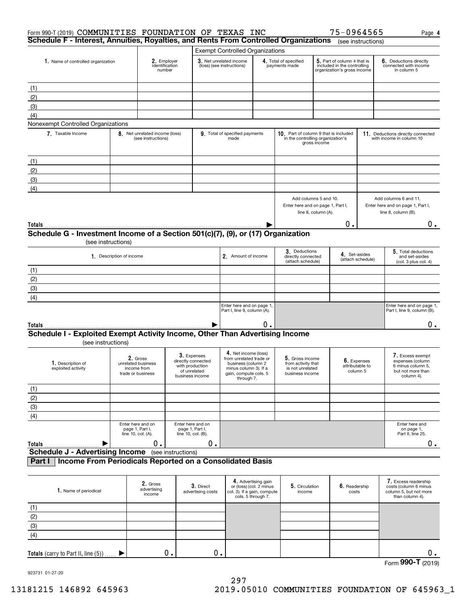| Form 990-T (2019) COMMUNITIES FOUNDATION OF TEXAS INC<br>Schedule F - Interest, Annuities, Royalties, and Rents From Controlled Organizations |                          |                                                                    |                    |                                                                      |                                                                                                                                       |                                                                                                     |                                                                              |                     | 75-0964565                                                                                |                         | Page 4                                                                                       |
|-----------------------------------------------------------------------------------------------------------------------------------------------|--------------------------|--------------------------------------------------------------------|--------------------|----------------------------------------------------------------------|---------------------------------------------------------------------------------------------------------------------------------------|-----------------------------------------------------------------------------------------------------|------------------------------------------------------------------------------|---------------------|-------------------------------------------------------------------------------------------|-------------------------|----------------------------------------------------------------------------------------------|
|                                                                                                                                               |                          |                                                                    |                    |                                                                      |                                                                                                                                       |                                                                                                     |                                                                              |                     |                                                                                           | (see instructions)      |                                                                                              |
| 1. Name of controlled organization                                                                                                            |                          | 2. Employer<br>identification<br>number                            |                    |                                                                      | <b>Exempt Controlled Organizations</b><br>3. Net unrelated income<br>(loss) (see instructions)                                        |                                                                                                     | 4. Total of specified<br>payments made                                       |                     | 5. Part of column 4 that is<br>included in the controlling<br>organization's gross income |                         | 6. Deductions directly<br>connected with income<br>in column 5                               |
| (1)                                                                                                                                           |                          |                                                                    |                    |                                                                      |                                                                                                                                       |                                                                                                     |                                                                              |                     |                                                                                           |                         |                                                                                              |
| (2)                                                                                                                                           |                          |                                                                    |                    |                                                                      |                                                                                                                                       |                                                                                                     |                                                                              |                     |                                                                                           |                         |                                                                                              |
| (3)                                                                                                                                           |                          |                                                                    |                    |                                                                      |                                                                                                                                       |                                                                                                     |                                                                              |                     |                                                                                           |                         |                                                                                              |
| (4)                                                                                                                                           |                          |                                                                    |                    |                                                                      |                                                                                                                                       |                                                                                                     |                                                                              |                     |                                                                                           |                         |                                                                                              |
| Nonexempt Controlled Organizations                                                                                                            |                          |                                                                    |                    |                                                                      |                                                                                                                                       |                                                                                                     |                                                                              |                     |                                                                                           |                         |                                                                                              |
| 7. Taxable Income                                                                                                                             |                          | 8. Net unrelated income (loss)<br>(see instructions)               |                    |                                                                      | 9. Total of specified payments<br>made                                                                                                |                                                                                                     | 10. Part of column 9 that is included<br>in the controlling organization's   | gross income        |                                                                                           |                         | 11. Deductions directly connected<br>with income in column 10                                |
| (1)                                                                                                                                           |                          |                                                                    |                    |                                                                      |                                                                                                                                       |                                                                                                     |                                                                              |                     |                                                                                           |                         |                                                                                              |
| (2)                                                                                                                                           |                          |                                                                    |                    |                                                                      |                                                                                                                                       |                                                                                                     |                                                                              |                     |                                                                                           |                         |                                                                                              |
| (3)                                                                                                                                           |                          |                                                                    |                    |                                                                      |                                                                                                                                       |                                                                                                     |                                                                              |                     |                                                                                           |                         |                                                                                              |
| (4)                                                                                                                                           |                          |                                                                    |                    |                                                                      |                                                                                                                                       |                                                                                                     |                                                                              |                     |                                                                                           |                         |                                                                                              |
|                                                                                                                                               |                          |                                                                    |                    |                                                                      |                                                                                                                                       |                                                                                                     | Add columns 5 and 10.<br>Enter here and on page 1, Part I,                   | line 8, column (A). |                                                                                           |                         | Add columns 6 and 11.<br>Enter here and on page 1, Part I,<br>line 8, column (B).            |
| Totals                                                                                                                                        |                          |                                                                    |                    |                                                                      |                                                                                                                                       |                                                                                                     |                                                                              |                     | 0.                                                                                        |                         | 0.                                                                                           |
| Schedule G - Investment Income of a Section 501(c)(7), (9), or (17) Organization                                                              |                          |                                                                    |                    |                                                                      |                                                                                                                                       |                                                                                                     |                                                                              |                     |                                                                                           |                         |                                                                                              |
| (see instructions)                                                                                                                            |                          |                                                                    |                    |                                                                      |                                                                                                                                       |                                                                                                     |                                                                              |                     |                                                                                           |                         |                                                                                              |
|                                                                                                                                               | 1. Description of income |                                                                    |                    |                                                                      | 2. Amount of income                                                                                                                   |                                                                                                     | 3. Deductions<br>directly connected<br>(attach schedule)                     |                     | 4. Set-asides                                                                             | (attach schedule)       | 5. Total deductions<br>and set-asides<br>(col. 3 plus col. 4)                                |
| (1)                                                                                                                                           |                          |                                                                    |                    |                                                                      |                                                                                                                                       |                                                                                                     |                                                                              |                     |                                                                                           |                         |                                                                                              |
| (2)                                                                                                                                           |                          |                                                                    |                    |                                                                      |                                                                                                                                       |                                                                                                     |                                                                              |                     |                                                                                           |                         |                                                                                              |
| (3)                                                                                                                                           |                          |                                                                    |                    |                                                                      |                                                                                                                                       |                                                                                                     |                                                                              |                     |                                                                                           |                         |                                                                                              |
| (4)                                                                                                                                           |                          |                                                                    |                    |                                                                      |                                                                                                                                       |                                                                                                     |                                                                              |                     |                                                                                           |                         |                                                                                              |
|                                                                                                                                               |                          |                                                                    |                    |                                                                      | Enter here and on page 1,<br>Part I, line 9, column (A).                                                                              |                                                                                                     |                                                                              |                     |                                                                                           |                         | Enter here and on page 1,<br>Part I, line 9, column (B).                                     |
| Totals                                                                                                                                        |                          |                                                                    |                    |                                                                      |                                                                                                                                       | О.                                                                                                  |                                                                              |                     |                                                                                           |                         | $0$ .                                                                                        |
| Schedule I - Exploited Exempt Activity Income, Other Than Advertising Income<br>(see instructions)                                            |                          |                                                                    |                    |                                                                      |                                                                                                                                       |                                                                                                     |                                                                              |                     |                                                                                           |                         |                                                                                              |
| 1. Description of<br>exploited activity                                                                                                       |                          | 2. Gross<br>unrelated business<br>income from<br>trade or business | business income    | 3. Expenses<br>directly connected<br>with production<br>of unrelated | 4. Net income (loss)<br>from unrelated trade or<br>business (column 2<br>minus column 3). If a<br>gain, compute cols. 5<br>through 7. |                                                                                                     | 5. Gross income<br>from activity that<br>is not unrelated<br>business income |                     | attributable to                                                                           | 6. Expenses<br>column 5 | 7. Excess exempt<br>expenses (column<br>6 minus column 5,<br>but not more than<br>column 4). |
| (1)                                                                                                                                           |                          |                                                                    |                    |                                                                      |                                                                                                                                       |                                                                                                     |                                                                              |                     |                                                                                           |                         |                                                                                              |
| (2)                                                                                                                                           |                          |                                                                    |                    |                                                                      |                                                                                                                                       |                                                                                                     |                                                                              |                     |                                                                                           |                         |                                                                                              |
| (3)                                                                                                                                           |                          |                                                                    |                    |                                                                      |                                                                                                                                       |                                                                                                     |                                                                              |                     |                                                                                           |                         |                                                                                              |
| (4)                                                                                                                                           |                          |                                                                    |                    |                                                                      |                                                                                                                                       |                                                                                                     |                                                                              |                     |                                                                                           |                         |                                                                                              |
| Totals                                                                                                                                        |                          | Enter here and on<br>page 1, Part I,<br>line 10, col. (A).<br>Ο.   | line 10, col. (B). | Enter here and on<br>page 1, Part I,<br>0.                           |                                                                                                                                       |                                                                                                     |                                                                              |                     |                                                                                           |                         | Enter here and<br>on page 1,<br>Part II, line 25.<br>$0$ .                                   |
| <b>Schedule J - Advertising Income</b>                                                                                                        |                          |                                                                    | (see instructions) |                                                                      |                                                                                                                                       |                                                                                                     |                                                                              |                     |                                                                                           |                         |                                                                                              |
| Income From Periodicals Reported on a Consolidated Basis<br>Part I                                                                            |                          |                                                                    |                    |                                                                      |                                                                                                                                       |                                                                                                     |                                                                              |                     |                                                                                           |                         |                                                                                              |
| 1. Name of periodical                                                                                                                         |                          | 2. Gross<br>advertising<br>income                                  |                    | 3. Direct<br>advertising costs                                       |                                                                                                                                       | 4. Advertising gain<br>or (loss) (col. 2 minus<br>col. 3). If a gain, compute<br>cols. 5 through 7. | 5. Circulation<br>income                                                     |                     | 6. Readership<br>costs                                                                    |                         | 7. Excess readership<br>costs (column 6 minus<br>column 5, but not more<br>than column 4).   |
| (1)                                                                                                                                           |                          |                                                                    |                    |                                                                      |                                                                                                                                       |                                                                                                     |                                                                              |                     |                                                                                           |                         |                                                                                              |
| (2)                                                                                                                                           |                          |                                                                    |                    |                                                                      |                                                                                                                                       |                                                                                                     |                                                                              |                     |                                                                                           |                         |                                                                                              |
| (3)                                                                                                                                           |                          |                                                                    |                    |                                                                      |                                                                                                                                       |                                                                                                     |                                                                              |                     |                                                                                           |                         |                                                                                              |

923731 01-27-20

(4)

 $\blacktriangleright$ 

**Totals** (carry to Part II, line (5))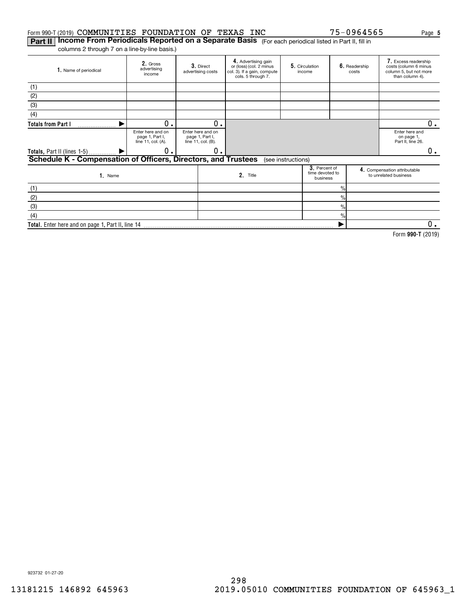#### Form 990-T(2019)  $\mathsf{COMMUNITIES}$  FOUNDATION OF TEXAS INC  $75\text{--}0964565$  Page

 $\frac{9}{6}$ 

 $\blacktriangleright$ 

**5**

**990-T**  Form (2019)

 $\overline{0}$ .

**Part II | Income From Periodicals Reported on a Separate Basis** (For each periodical listed in Part II, fill in columns 2 through 7 on a line-by-line basis.)

**Total.**  Enter here and on page 1, Part II, line 14

**2.** Gross<br>advertising income **3.** Direct advertising costs **4.** Advertising gain<br>or (loss) (col. 2 minus col. 3). If a gain, compute cols. 5 through 7. **5.** Circulation | **6.** income Readership costs Excess readership **7.**  costs (column 6 minus column 5, but not more than column 4). **1.** Name of periodical Enter here and on page 1, Part I, line 11, col. (A). Enter here and on page 1, Part I, line 11, col. (B). Enter here and on page 1, Part II, line 26. **3**. Percent of<br>time devoted to<br>business e and the compensation attributable<br>
2. Title to unrelated business<br>
to unrelated business<br>
to unrelated business Name**1. 2. Totals from Part I Totals,** Part II (lines 1-5) **Schedule K - Compensation of Officers, Directors, and Trustees 3. 4.**  $\frac{1}{2}$  $\frac{1}{2}$ %(1) (2) (3) (4) (see instructions) (1) (2) (3) $\blacktriangleright$  $\blacktriangleright$  $0.1$  0 0. 0. 0.  $0_{.}$ 

923732 01-27-20

(4)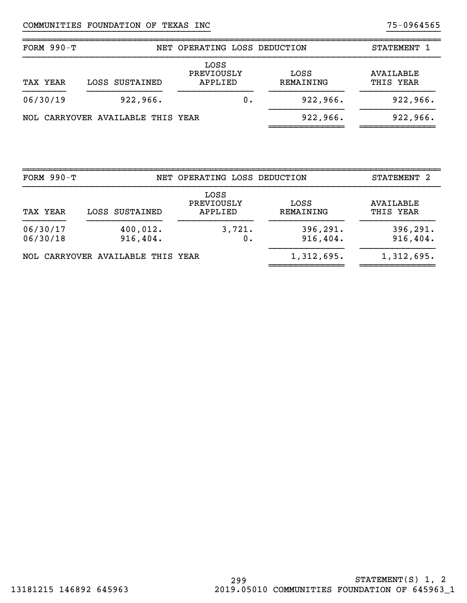| FORM $990-T$ |                                   | NET OPERATING LOSS DEDUCTION  |    |                   | STATEMENT 1            |
|--------------|-----------------------------------|-------------------------------|----|-------------------|------------------------|
| TAX YEAR     | LOSS SUSTAINED                    | LOSS<br>PREVIOUSLY<br>APPLIED |    | LOSS<br>REMAINING | AVAILABLE<br>THIS YEAR |
| 06/30/19     | 922, 966.                         |                               | О. | 922,966.          | 922,966.               |
|              | NOL CARRYOVER AVAILABLE THIS YEAR |                               |    | 922, 966.         | 922, 966.              |

}}}}}}}}}}}}}}}}}}}}}}}}}}}}}}}}}}} }}}}}}}}}}

| FORM $990-T$                                  |                                   | NET OPERATING LOSS DEDUCTION  |                        | STATEMENT 2            |
|-----------------------------------------------|-----------------------------------|-------------------------------|------------------------|------------------------|
| TAX YEAR                                      | LOSS SUSTAINED                    | LOSS<br>PREVIOUSLY<br>APPLIED | LOSS<br>REMAINING      | AVAILABLE<br>THIS YEAR |
| 06/30/17<br>400,012.<br>06/30/18<br>916, 404. |                                   | 3,721.<br>0.                  | 396, 291.<br>916, 404. | 396, 291.<br>916,404.  |
|                                               | NOL CARRYOVER AVAILABLE THIS YEAR |                               | 1,312,695.             | 1,312,695.             |

~~~~~~~~~~~~~~~~~~~~~~~~~~~~~~~~~~~~~~~~~~~~~~~~~~~~~~~~~~~~~~~~~~~~~~~~~~~~~~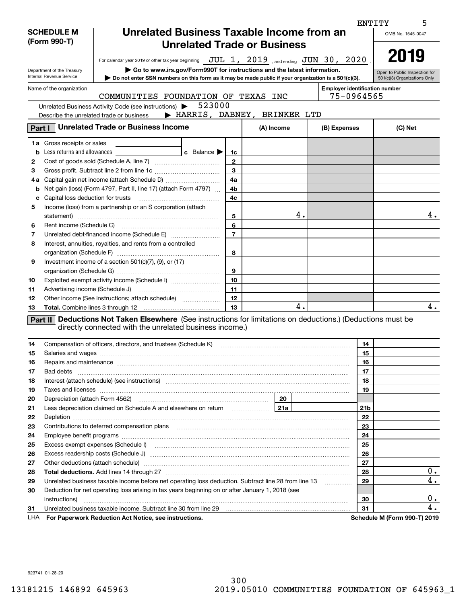|                          |                                                                                                                                 |                                                                                                                                                                                                                               |                   |                               |                 | <b>ENTITY</b><br>5           |  |  |
|--------------------------|---------------------------------------------------------------------------------------------------------------------------------|-------------------------------------------------------------------------------------------------------------------------------------------------------------------------------------------------------------------------------|-------------------|-------------------------------|-----------------|------------------------------|--|--|
|                          | <b>SCHEDULE M</b>                                                                                                               | Unrelated Business Taxable Income from an                                                                                                                                                                                     | OMB No. 1545-0047 |                               |                 |                              |  |  |
|                          | (Form 990-T)                                                                                                                    |                                                                                                                                                                                                                               |                   |                               |                 |                              |  |  |
|                          | <b>Unrelated Trade or Business</b>                                                                                              |                                                                                                                                                                                                                               |                   |                               |                 |                              |  |  |
|                          |                                                                                                                                 | For calendar year 2019 or other tax year beginning $JUL$ $1, 2019$ , and ending $JUN$ $30, 2020$                                                                                                                              | 2019              |                               |                 |                              |  |  |
|                          | $\triangleright$ Go to www.irs.gov/Form990T for instructions and the latest information.<br>Department of the Treasury          |                                                                                                                                                                                                                               |                   |                               |                 |                              |  |  |
|                          | Internal Revenue Service<br>Do not enter SSN numbers on this form as it may be made public if your organization is a 501(c)(3). |                                                                                                                                                                                                                               |                   |                               |                 |                              |  |  |
| Name of the organization | <b>Employer identification number</b>                                                                                           |                                                                                                                                                                                                                               |                   |                               |                 |                              |  |  |
|                          | 75-0964565                                                                                                                      |                                                                                                                                                                                                                               |                   |                               |                 |                              |  |  |
|                          |                                                                                                                                 | 523000<br>Unrelated Business Activity Code (see instructions) >                                                                                                                                                               |                   |                               |                 |                              |  |  |
|                          |                                                                                                                                 | Describe the unrelated trade or business                                                                                                                                                                                      |                   | > HARRIS, DABNEY, BRINKER LTD |                 |                              |  |  |
| Part I                   | <b>Unrelated Trade or Business Income</b>                                                                                       | (B) Expenses                                                                                                                                                                                                                  | (C) Net           |                               |                 |                              |  |  |
|                          |                                                                                                                                 |                                                                                                                                                                                                                               |                   | (A) Income                    |                 |                              |  |  |
|                          | <b>1a</b> Gross receipts or sales                                                                                               |                                                                                                                                                                                                                               |                   |                               |                 |                              |  |  |
| b                        | Less returns and allowances                                                                                                     | <b>c</b> Balance $\blacktriangleright$                                                                                                                                                                                        | 1c                |                               |                 |                              |  |  |
| 2                        |                                                                                                                                 |                                                                                                                                                                                                                               | $\mathbf{2}$      |                               |                 |                              |  |  |
| З                        |                                                                                                                                 |                                                                                                                                                                                                                               | $\mathbf{3}$      |                               |                 |                              |  |  |
| 4а                       |                                                                                                                                 |                                                                                                                                                                                                                               | 4a                |                               |                 |                              |  |  |
| b                        |                                                                                                                                 | Net gain (loss) (Form 4797, Part II, line 17) (attach Form 4797)                                                                                                                                                              | 4b                |                               |                 |                              |  |  |
| с                        | Capital loss deduction for trusts                                                                                               |                                                                                                                                                                                                                               | 4c                |                               |                 |                              |  |  |
| 5                        |                                                                                                                                 | Income (loss) from a partnership or an S corporation (attach                                                                                                                                                                  |                   |                               |                 |                              |  |  |
|                          | statement)                                                                                                                      |                                                                                                                                                                                                                               | 5                 | 4.                            |                 | 4.                           |  |  |
| 6                        | Rent income (Schedule C)                                                                                                        |                                                                                                                                                                                                                               | 6                 |                               |                 |                              |  |  |
| 7                        |                                                                                                                                 |                                                                                                                                                                                                                               | $\overline{7}$    |                               |                 |                              |  |  |
| 8                        |                                                                                                                                 | Interest, annuities, royalties, and rents from a controlled                                                                                                                                                                   |                   |                               |                 |                              |  |  |
|                          |                                                                                                                                 |                                                                                                                                                                                                                               | 8                 |                               |                 |                              |  |  |
| 9                        |                                                                                                                                 | Investment income of a section $501(c)(7)$ , $(9)$ , or $(17)$                                                                                                                                                                |                   |                               |                 |                              |  |  |
|                          |                                                                                                                                 |                                                                                                                                                                                                                               | 9                 |                               |                 |                              |  |  |
| 10                       |                                                                                                                                 | Exploited exempt activity income (Schedule I)                                                                                                                                                                                 | 10                |                               |                 |                              |  |  |
| 11                       |                                                                                                                                 |                                                                                                                                                                                                                               | 11                |                               |                 |                              |  |  |
| 12                       |                                                                                                                                 | Other income (See instructions; attach schedule)                                                                                                                                                                              | 12                |                               |                 |                              |  |  |
| 13                       | <b>Total.</b> Combine lines 3 through 12                                                                                        |                                                                                                                                                                                                                               | 13                | 4.                            |                 | 4.                           |  |  |
|                          |                                                                                                                                 | <b>Part II</b> Deductions Not Taken Elsewhere (See instructions for limitations on deductions.) (Deductions must be                                                                                                           |                   |                               |                 |                              |  |  |
|                          |                                                                                                                                 | directly connected with the unrelated business income.)                                                                                                                                                                       |                   |                               |                 |                              |  |  |
| 14                       |                                                                                                                                 | Compensation of officers, directors, and trustees (Schedule K)                                                                                                                                                                |                   |                               | 14              |                              |  |  |
| 15                       |                                                                                                                                 |                                                                                                                                                                                                                               |                   |                               | 15              |                              |  |  |
| 16                       |                                                                                                                                 |                                                                                                                                                                                                                               |                   |                               |                 |                              |  |  |
| 17                       | Bad debts                                                                                                                       | Repairs and maintenance material content and maintenance and maintenance and maintenance material content and maintenance and maintenance and maintenance and maintenance and maintenance and maintenance and maintenance and |                   |                               |                 |                              |  |  |
| 18                       | Interest (attach schedule) (see instructions) material content at the content of the content of the content of                  | 17<br>18                                                                                                                                                                                                                      |                   |                               |                 |                              |  |  |
| 19                       | Taxes and licenses                                                                                                              | 19                                                                                                                                                                                                                            |                   |                               |                 |                              |  |  |
| 20                       |                                                                                                                                 |                                                                                                                                                                                                                               |                   | 20                            |                 |                              |  |  |
| 21                       |                                                                                                                                 | Less depreciation claimed on Schedule A and elsewhere on return [21a]                                                                                                                                                         |                   |                               | 21 <sub>b</sub> |                              |  |  |
| 22                       |                                                                                                                                 |                                                                                                                                                                                                                               |                   |                               | 22              |                              |  |  |
| 23                       |                                                                                                                                 |                                                                                                                                                                                                                               | 23                |                               |                 |                              |  |  |
| 24                       |                                                                                                                                 |                                                                                                                                                                                                                               | 24                |                               |                 |                              |  |  |
| 25                       |                                                                                                                                 |                                                                                                                                                                                                                               | 25                |                               |                 |                              |  |  |
| 26                       |                                                                                                                                 |                                                                                                                                                                                                                               | 26                |                               |                 |                              |  |  |
| 27                       | Other deductions (attach schedule) manufactured and according to the deductions (attach schedule)                               | 27                                                                                                                                                                                                                            |                   |                               |                 |                              |  |  |
| 28                       |                                                                                                                                 | 28                                                                                                                                                                                                                            | 0.                |                               |                 |                              |  |  |
| 29                       | Unrelated business taxable income before net operating loss deduction. Subtract line 28 from line 13<br>.                       |                                                                                                                                                                                                                               |                   |                               |                 | 4.<br>29                     |  |  |
| 30                       | Deduction for net operating loss arising in tax years beginning on or after January 1, 2018 (see                                |                                                                                                                                                                                                                               |                   |                               |                 |                              |  |  |
|                          | instructions)                                                                                                                   |                                                                                                                                                                                                                               |                   |                               | 30              | 0.                           |  |  |
| 31                       |                                                                                                                                 | Unrelated business taxable income. Subtract line 30 from line 29                                                                                                                                                              |                   |                               | 31              | 4.                           |  |  |
| LHA                      | For Paperwork Reduction Act Notice, see instructions.                                                                           |                                                                                                                                                                                                                               |                   |                               |                 | Schedule M (Form 990-T) 2019 |  |  |

923741 01-28-20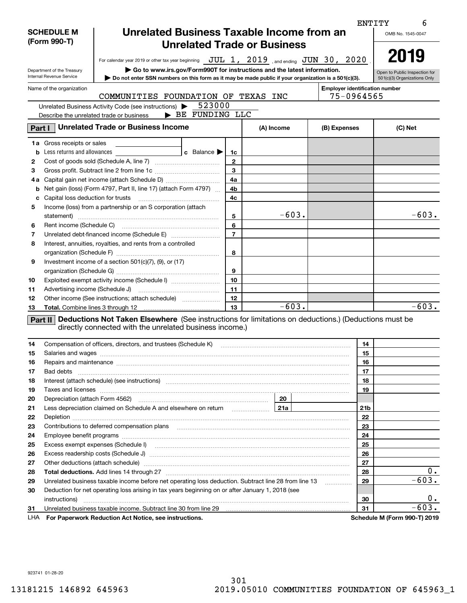|                                                                                                                                                                                                                                            | ENTITY                                                                                                                                                                                                                         |                                                                                                                                                                                                                                |                |         |                 |         |  |  |  |
|--------------------------------------------------------------------------------------------------------------------------------------------------------------------------------------------------------------------------------------------|--------------------------------------------------------------------------------------------------------------------------------------------------------------------------------------------------------------------------------|--------------------------------------------------------------------------------------------------------------------------------------------------------------------------------------------------------------------------------|----------------|---------|-----------------|---------|--|--|--|
|                                                                                                                                                                                                                                            | Unrelated Business Taxable Income from an<br><b>SCHEDULE M</b><br>(Form 990-T)                                                                                                                                                 |                                                                                                                                                                                                                                |                |         |                 |         |  |  |  |
|                                                                                                                                                                                                                                            | <b>Unrelated Trade or Business</b>                                                                                                                                                                                             |                                                                                                                                                                                                                                |                |         |                 |         |  |  |  |
|                                                                                                                                                                                                                                            | For calendar year 2019 or other tax year beginning JUL 1, 2019, and ending JUN 30, 2020                                                                                                                                        |                                                                                                                                                                                                                                |                |         |                 |         |  |  |  |
|                                                                                                                                                                                                                                            | $\triangleright$ Go to www.irs.gov/Form990T for instructions and the latest information.<br>Department of the Treasury                                                                                                         |                                                                                                                                                                                                                                |                |         |                 |         |  |  |  |
| Internal Revenue Service                                                                                                                                                                                                                   | Open to Public Inspection for<br>501(c)(3) Organizations Only                                                                                                                                                                  |                                                                                                                                                                                                                                |                |         |                 |         |  |  |  |
| Name of the organization                                                                                                                                                                                                                   | <b>Employer identification number</b>                                                                                                                                                                                          |                                                                                                                                                                                                                                |                |         |                 |         |  |  |  |
|                                                                                                                                                                                                                                            | 75-0964565<br>COMMUNITIES FOUNDATION OF TEXAS INC                                                                                                                                                                              |                                                                                                                                                                                                                                |                |         |                 |         |  |  |  |
|                                                                                                                                                                                                                                            | 523000<br>Unrelated Business Activity Code (see instructions)                                                                                                                                                                  |                                                                                                                                                                                                                                |                |         |                 |         |  |  |  |
| BE FUNDING LLC<br>Describe the unrelated trade or business                                                                                                                                                                                 |                                                                                                                                                                                                                                |                                                                                                                                                                                                                                |                |         |                 |         |  |  |  |
| Part I                                                                                                                                                                                                                                     | <b>Unrelated Trade or Business Income</b>                                                                                                                                                                                      | (B) Expenses                                                                                                                                                                                                                   | (C) Net        |         |                 |         |  |  |  |
|                                                                                                                                                                                                                                            |                                                                                                                                                                                                                                |                                                                                                                                                                                                                                |                |         |                 |         |  |  |  |
|                                                                                                                                                                                                                                            | <b>1a</b> Gross receipts or sales<br><b>b</b> Less returns and allowances                                                                                                                                                      | <b>c</b> Balance $\blacktriangleright$                                                                                                                                                                                         | 1c             |         |                 |         |  |  |  |
| 2                                                                                                                                                                                                                                          |                                                                                                                                                                                                                                |                                                                                                                                                                                                                                | $\mathbf{2}$   |         |                 |         |  |  |  |
| з                                                                                                                                                                                                                                          |                                                                                                                                                                                                                                |                                                                                                                                                                                                                                | 3              |         |                 |         |  |  |  |
| 4а                                                                                                                                                                                                                                         |                                                                                                                                                                                                                                |                                                                                                                                                                                                                                | 4a             |         |                 |         |  |  |  |
|                                                                                                                                                                                                                                            |                                                                                                                                                                                                                                | <b>b</b> Net gain (loss) (Form 4797, Part II, line 17) (attach Form 4797) $\ldots$                                                                                                                                             | 4b             |         |                 |         |  |  |  |
| c                                                                                                                                                                                                                                          |                                                                                                                                                                                                                                |                                                                                                                                                                                                                                | 4c             |         |                 |         |  |  |  |
| 5                                                                                                                                                                                                                                          |                                                                                                                                                                                                                                | Income (loss) from a partnership or an S corporation (attach                                                                                                                                                                   |                |         |                 |         |  |  |  |
|                                                                                                                                                                                                                                            |                                                                                                                                                                                                                                |                                                                                                                                                                                                                                | 5              | $-603.$ |                 | $-603.$ |  |  |  |
| 6                                                                                                                                                                                                                                          |                                                                                                                                                                                                                                |                                                                                                                                                                                                                                | 6              |         |                 |         |  |  |  |
| 7                                                                                                                                                                                                                                          |                                                                                                                                                                                                                                |                                                                                                                                                                                                                                | $\overline{7}$ |         |                 |         |  |  |  |
| 8                                                                                                                                                                                                                                          |                                                                                                                                                                                                                                | Interest, annuities, royalties, and rents from a controlled                                                                                                                                                                    |                |         |                 |         |  |  |  |
|                                                                                                                                                                                                                                            |                                                                                                                                                                                                                                |                                                                                                                                                                                                                                | 8              |         |                 |         |  |  |  |
| 9                                                                                                                                                                                                                                          |                                                                                                                                                                                                                                | Investment income of a section $501(c)(7)$ , $(9)$ , or $(17)$                                                                                                                                                                 |                |         |                 |         |  |  |  |
|                                                                                                                                                                                                                                            |                                                                                                                                                                                                                                |                                                                                                                                                                                                                                | 9              |         |                 |         |  |  |  |
| 10                                                                                                                                                                                                                                         |                                                                                                                                                                                                                                | Exploited exempt activity income (Schedule I)                                                                                                                                                                                  | 10             |         |                 |         |  |  |  |
| 11                                                                                                                                                                                                                                         |                                                                                                                                                                                                                                |                                                                                                                                                                                                                                | 11             |         |                 |         |  |  |  |
| 12                                                                                                                                                                                                                                         |                                                                                                                                                                                                                                | Other income (See instructions; attach schedule)                                                                                                                                                                               | 12             |         |                 |         |  |  |  |
| 13                                                                                                                                                                                                                                         |                                                                                                                                                                                                                                |                                                                                                                                                                                                                                | 13             | $-603.$ |                 | $-603.$ |  |  |  |
|                                                                                                                                                                                                                                            |                                                                                                                                                                                                                                | Part II Deductions Not Taken Elsewhere (See instructions for limitations on deductions.) (Deductions must be                                                                                                                   |                |         |                 |         |  |  |  |
|                                                                                                                                                                                                                                            |                                                                                                                                                                                                                                | directly connected with the unrelated business income.)                                                                                                                                                                        |                |         |                 |         |  |  |  |
|                                                                                                                                                                                                                                            |                                                                                                                                                                                                                                |                                                                                                                                                                                                                                |                |         |                 |         |  |  |  |
| 14                                                                                                                                                                                                                                         |                                                                                                                                                                                                                                | Compensation of officers, directors, and trustees (Schedule K) [11] [2000] [2000] [2000] [2000] [2000] [2000] [                                                                                                                |                |         | 14              |         |  |  |  |
| 15                                                                                                                                                                                                                                         |                                                                                                                                                                                                                                | Repairs and maintenance material content content and material content and maintenance material content and maintenance material content and maintenance material content and maintenance material content and material content |                |         | 15              |         |  |  |  |
| 16                                                                                                                                                                                                                                         |                                                                                                                                                                                                                                | 16                                                                                                                                                                                                                             |                |         |                 |         |  |  |  |
| 17                                                                                                                                                                                                                                         | Bad debts                                                                                                                                                                                                                      | 17                                                                                                                                                                                                                             |                |         |                 |         |  |  |  |
| 18<br>19                                                                                                                                                                                                                                   | Interest (attach schedule) (see instructions) material content in the content of the content of the content of                                                                                                                 | 18<br>19                                                                                                                                                                                                                       |                |         |                 |         |  |  |  |
| 20                                                                                                                                                                                                                                         |                                                                                                                                                                                                                                |                                                                                                                                                                                                                                |                | 20      |                 |         |  |  |  |
| 21                                                                                                                                                                                                                                         |                                                                                                                                                                                                                                |                                                                                                                                                                                                                                |                |         | 21 <sub>b</sub> |         |  |  |  |
| 22                                                                                                                                                                                                                                         |                                                                                                                                                                                                                                |                                                                                                                                                                                                                                |                |         | 22              |         |  |  |  |
| 23                                                                                                                                                                                                                                         |                                                                                                                                                                                                                                | 23                                                                                                                                                                                                                             |                |         |                 |         |  |  |  |
| 24                                                                                                                                                                                                                                         |                                                                                                                                                                                                                                |                                                                                                                                                                                                                                |                |         |                 |         |  |  |  |
| 25                                                                                                                                                                                                                                         |                                                                                                                                                                                                                                |                                                                                                                                                                                                                                |                |         |                 |         |  |  |  |
| 26                                                                                                                                                                                                                                         |                                                                                                                                                                                                                                | 25<br>26                                                                                                                                                                                                                       |                |         |                 |         |  |  |  |
| 27                                                                                                                                                                                                                                         | Other deductions (attach schedule) manufactured and according to the deductions (attach schedule) manufactured and according to the deductions (attach schedule) manufactured and according to the deduction of the determinat | 27                                                                                                                                                                                                                             |                |         |                 |         |  |  |  |
| 28                                                                                                                                                                                                                                         |                                                                                                                                                                                                                                | 28                                                                                                                                                                                                                             | $0$ .          |         |                 |         |  |  |  |
| 29                                                                                                                                                                                                                                         | Unrelated business taxable income before net operating loss deduction. Subtract line 28 from line 13                                                                                                                           | 29<br>.                                                                                                                                                                                                                        | $-603.$        |         |                 |         |  |  |  |
| 30                                                                                                                                                                                                                                         | Deduction for net operating loss arising in tax years beginning on or after January 1, 2018 (see                                                                                                                               |                                                                                                                                                                                                                                |                |         |                 |         |  |  |  |
|                                                                                                                                                                                                                                            |                                                                                                                                                                                                                                |                                                                                                                                                                                                                                |                |         | 30              | 0.      |  |  |  |
| Unrelated business taxable income. Subtract line 30 from line 29 [11] manuscription business taxable income. Subtract line 30 from line 29 [11] manuscription business taxable income. Subtract line 30 from line 29 [11] manu<br>31<br>31 |                                                                                                                                                                                                                                |                                                                                                                                                                                                                                |                |         |                 | $-603.$ |  |  |  |
| LHA                                                                                                                                                                                                                                        | <b>Schedule M (Form 990-T) 2019</b><br>For Paperwork Reduction Act Notice, see instructions.                                                                                                                                   |                                                                                                                                                                                                                                |                |         |                 |         |  |  |  |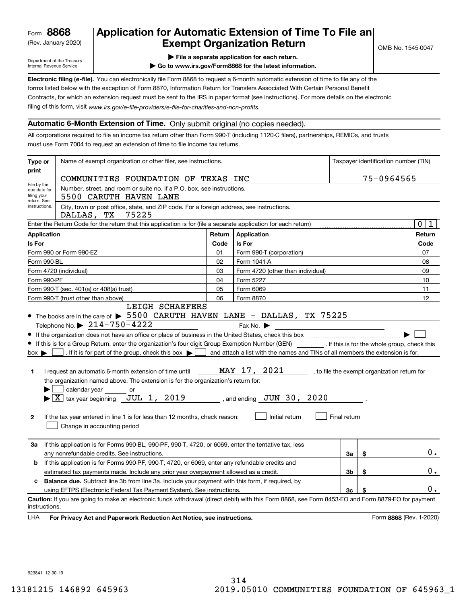(Rev. January 2020)

# **Application for Automatic Extension of Time To File an Exempt Organization Return**

Department of the Treasury Internal Revenue Service

**| File a separate application for each return.**

OMB No. 1545-0047

**| Go to www.irs.gov/Form8868 for the latest information.**

**Electronic filing (e-file).**  You can electronically file Form 8868 to request a 6-month automatic extension of time to file any of the filing of this form, visit www.irs.gov/e-file-providers/e-file-for-charities-and-non-profits. forms listed below with the exception of Form 8870, Information Return for Transfers Associated With Certain Personal Benefit Contracts, for which an extension request must be sent to the IRS in paper format (see instructions). For more details on the electronic

### **Automatic 6-Month Extension of Time.** Only submit original (no copies needed).

All corporations required to file an income tax return other than Form 990-T (including 1120-C filers), partnerships, REMICs, and trusts must use Form 7004 to request an extension of time to file income tax returns.

| Type or                                                                                                                                                                                                                                                                                                                                                                                                                                                                                                                                                                                                                                                                                                                                                                                                                                                                                                                                                                                                                                           | Name of exempt organization or other filer, see instructions.                                                                                                                                                               |        |                                   |    | Taxpayer identification number (TIN) |                         |  |  |
|---------------------------------------------------------------------------------------------------------------------------------------------------------------------------------------------------------------------------------------------------------------------------------------------------------------------------------------------------------------------------------------------------------------------------------------------------------------------------------------------------------------------------------------------------------------------------------------------------------------------------------------------------------------------------------------------------------------------------------------------------------------------------------------------------------------------------------------------------------------------------------------------------------------------------------------------------------------------------------------------------------------------------------------------------|-----------------------------------------------------------------------------------------------------------------------------------------------------------------------------------------------------------------------------|--------|-----------------------------------|----|--------------------------------------|-------------------------|--|--|
| print                                                                                                                                                                                                                                                                                                                                                                                                                                                                                                                                                                                                                                                                                                                                                                                                                                                                                                                                                                                                                                             | COMMUNITIES FOUNDATION OF TEXAS INC                                                                                                                                                                                         |        |                                   |    | 75-0964565                           |                         |  |  |
| File by the<br>due date for<br>filing your                                                                                                                                                                                                                                                                                                                                                                                                                                                                                                                                                                                                                                                                                                                                                                                                                                                                                                                                                                                                        | Number, street, and room or suite no. If a P.O. box, see instructions.<br>5500 CARUTH HAVEN LANE                                                                                                                            |        |                                   |    |                                      |                         |  |  |
| return. See<br>instructions.                                                                                                                                                                                                                                                                                                                                                                                                                                                                                                                                                                                                                                                                                                                                                                                                                                                                                                                                                                                                                      | City, town or post office, state, and ZIP code. For a foreign address, see instructions.<br>75225<br>DALLAS, TX                                                                                                             |        |                                   |    |                                      |                         |  |  |
|                                                                                                                                                                                                                                                                                                                                                                                                                                                                                                                                                                                                                                                                                                                                                                                                                                                                                                                                                                                                                                                   | Enter the Return Code for the return that this application is for (file a separate application for each return)                                                                                                             |        |                                   |    |                                      | $\mathbf 0$<br>1        |  |  |
| Application                                                                                                                                                                                                                                                                                                                                                                                                                                                                                                                                                                                                                                                                                                                                                                                                                                                                                                                                                                                                                                       |                                                                                                                                                                                                                             | Return | Application                       |    |                                      | Return                  |  |  |
| Is For                                                                                                                                                                                                                                                                                                                                                                                                                                                                                                                                                                                                                                                                                                                                                                                                                                                                                                                                                                                                                                            |                                                                                                                                                                                                                             | Code   | Is For                            |    |                                      | Code                    |  |  |
|                                                                                                                                                                                                                                                                                                                                                                                                                                                                                                                                                                                                                                                                                                                                                                                                                                                                                                                                                                                                                                                   | Form 990 or Form 990-EZ                                                                                                                                                                                                     | 01     | Form 990-T (corporation)          |    |                                      | 07                      |  |  |
| Form 990-BL                                                                                                                                                                                                                                                                                                                                                                                                                                                                                                                                                                                                                                                                                                                                                                                                                                                                                                                                                                                                                                       |                                                                                                                                                                                                                             | 02     | Form 1041-A                       |    |                                      | 08                      |  |  |
|                                                                                                                                                                                                                                                                                                                                                                                                                                                                                                                                                                                                                                                                                                                                                                                                                                                                                                                                                                                                                                                   | Form 4720 (individual)                                                                                                                                                                                                      | 03     | Form 4720 (other than individual) |    |                                      | 09                      |  |  |
| Form 990-PF                                                                                                                                                                                                                                                                                                                                                                                                                                                                                                                                                                                                                                                                                                                                                                                                                                                                                                                                                                                                                                       |                                                                                                                                                                                                                             | 04     | Form 5227                         |    |                                      | 10                      |  |  |
| Form 990-T (sec. 401(a) or 408(a) trust)                                                                                                                                                                                                                                                                                                                                                                                                                                                                                                                                                                                                                                                                                                                                                                                                                                                                                                                                                                                                          |                                                                                                                                                                                                                             |        | Form 6069                         |    |                                      | 11                      |  |  |
|                                                                                                                                                                                                                                                                                                                                                                                                                                                                                                                                                                                                                                                                                                                                                                                                                                                                                                                                                                                                                                                   | Form 990-T (trust other than above)<br>LEIGH SCHAEFERS                                                                                                                                                                      | 06     | Form 8870                         | 12 |                                      |                         |  |  |
| • The books are in the care of > 5500 CARUTH HAVEN LANE - DALLAS, TX 75225<br>Telephone No. $\triangleright$ 214-750-4222<br>Fax No. $\blacktriangleright$<br>If this is for a Group Return, enter the organization's four digit Group Exemption Number (GEN) _________. If this is for the whole group, check this<br>. If it is for part of the group, check this box $\blacktriangleright$<br>and attach a list with the names and TINs of all members the extension is for.<br>$box \blacktriangleright$<br>MAY 17, 2021<br>I request an automatic 6-month extension of time until<br>, to file the exempt organization return for<br>1<br>the organization named above. The extension is for the organization's return for:<br>calendar year _______ or<br>$\blacktriangleright$ $\underline{X}$ tax year beginning $\underline{JUL}$ 1, 2019<br>, and ending $JUN$ 30, 2020<br>Initial return<br>If the tax year entered in line 1 is for less than 12 months, check reason:<br>Final return<br>$\mathbf{2}$<br>Change in accounting period |                                                                                                                                                                                                                             |        |                                   |    |                                      |                         |  |  |
| За                                                                                                                                                                                                                                                                                                                                                                                                                                                                                                                                                                                                                                                                                                                                                                                                                                                                                                                                                                                                                                                | If this application is for Forms 990-BL, 990-PF, 990-T, 4720, or 6069, enter the tentative tax, less<br>any nonrefundable credits. See instructions.                                                                        |        |                                   | За | \$                                   | $0$ .                   |  |  |
| b                                                                                                                                                                                                                                                                                                                                                                                                                                                                                                                                                                                                                                                                                                                                                                                                                                                                                                                                                                                                                                                 | If this application is for Forms 990-PF, 990-T, 4720, or 6069, enter any refundable credits and                                                                                                                             |        |                                   | 3b | \$                                   | $0$ .                   |  |  |
| estimated tax payments made. Include any prior year overpayment allowed as a credit.                                                                                                                                                                                                                                                                                                                                                                                                                                                                                                                                                                                                                                                                                                                                                                                                                                                                                                                                                              |                                                                                                                                                                                                                             |        |                                   |    |                                      |                         |  |  |
| <b>Balance due.</b> Subtract line 3b from line 3a. Include your payment with this form, if required, by<br>c<br>using EFTPS (Electronic Federal Tax Payment System). See instructions.                                                                                                                                                                                                                                                                                                                                                                                                                                                                                                                                                                                                                                                                                                                                                                                                                                                            |                                                                                                                                                                                                                             |        |                                   | 3c | \$                                   | $0$ .                   |  |  |
| instructions.<br>LHA                                                                                                                                                                                                                                                                                                                                                                                                                                                                                                                                                                                                                                                                                                                                                                                                                                                                                                                                                                                                                              | Caution: If you are going to make an electronic funds withdrawal (direct debit) with this Form 8868, see Form 8453-EO and Form 8879-EO for payment<br>For Privacy Act and Paperwork Reduction Act Notice, see instructions. |        |                                   |    |                                      | Form 8868 (Rev. 1-2020) |  |  |